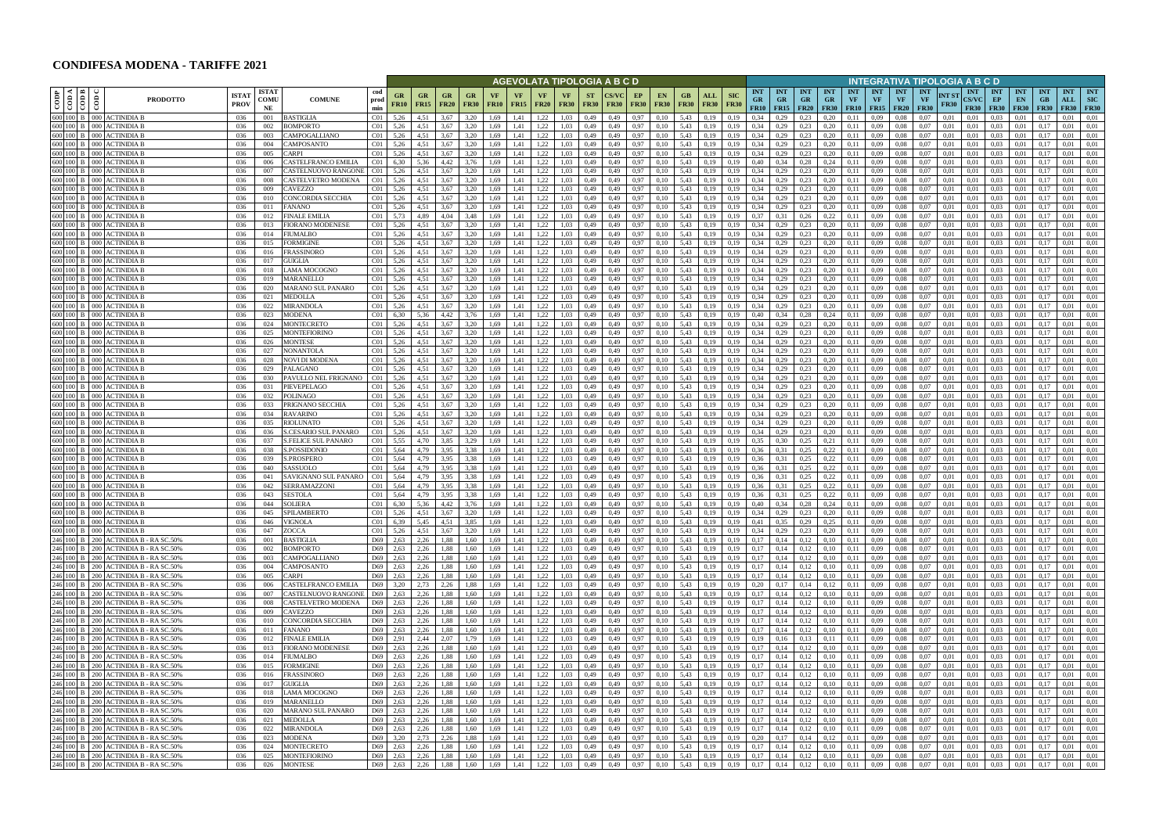## **CONDIFESA MODENA - TARIFFE 2021**

|                                                        |                                                                                                                                                                                             |                            |                            |                                            |                                    |                                           |                          |                          |                                        |                   |                          |                                     |                     |                          | AGEVOLATA TIPOLOGIA A B C D |                          |                                    |                                          |                                                      |                           |                                        |                                        |                                      |                                        |                         | INTEGRATIVA TIPOLOGIA A B C D                |                                        |                                 |                       |                                           |                                 |                                 |                                    |                                     |                                            |
|--------------------------------------------------------|---------------------------------------------------------------------------------------------------------------------------------------------------------------------------------------------|----------------------------|----------------------------|--------------------------------------------|------------------------------------|-------------------------------------------|--------------------------|--------------------------|----------------------------------------|-------------------|--------------------------|-------------------------------------|---------------------|--------------------------|-----------------------------|--------------------------|------------------------------------|------------------------------------------|------------------------------------------------------|---------------------------|----------------------------------------|----------------------------------------|--------------------------------------|----------------------------------------|-------------------------|----------------------------------------------|----------------------------------------|---------------------------------|-----------------------|-------------------------------------------|---------------------------------|---------------------------------|------------------------------------|-------------------------------------|--------------------------------------------|
| ⊲ ∣ ⊭<br>copp<br>$\frac{1}{6}$                         | <b>PRODOTTO</b>                                                                                                                                                                             | <b>ISTA</b><br><b>PROV</b> | <b>ISTAT</b><br>comu<br>NE | <b>COMUNE</b>                              | cod<br>prod<br>min                 | GR<br><b>FR10</b>                         | <b>GR</b><br><b>FR15</b> | <b>GR</b><br><b>FR20</b> | <b>GR</b><br><b>FR30</b>               | VF<br><b>FR10</b> | <b>VF</b><br><b>FR15</b> | VF<br><b>FR20</b>                   | VF<br><b>FR30</b>   | <b>ST</b><br><b>FR30</b> | CS/VC<br>FR30               | EP<br><b>FR30</b>        | <b>EN</b><br><b>FR30</b>           | GB<br><b>FR30</b>                        | <b>ALL</b><br><b>FR30</b>                            | <b>SIC</b><br><b>FR30</b> | <b>INT</b><br><b>GR</b><br><b>FR10</b> | <b>INT</b><br><b>GR</b><br><b>FR15</b> | <b>INT</b><br>$G_{R}$<br><b>FR20</b> | <b>INT</b><br><b>GR</b><br><b>FR30</b> | <b>INT</b><br><b>VF</b> | <b>INT</b><br>VF<br><b>FR10</b> FR15         | <b>INT</b><br><b>VF</b><br><b>FR20</b> | <b>INT</b><br>VF<br><b>FR30</b> | INT ST<br><b>FR30</b> | <b>INT</b><br><b>CS/VC</b><br><b>FR30</b> | <b>INT</b><br>EP<br><b>FR30</b> | <b>INT</b><br>EN<br><b>FR30</b> | <b>INT</b><br>$G$ B<br><b>FR30</b> | <b>INT</b><br>ALL                   | <b>INT</b><br>SIC<br><b>FR30 FR30</b>      |
| 600 100 B 000 ACTINIDIA B                              |                                                                                                                                                                                             | 036                        | 001                        | <b>BASTIGLIA</b>                           | C <sub>01</sub>                    | 5,26                                      | 4,51                     | 3.67                     | 3.20                                   | 1,69              | 1.41                     | 1,22                                | 1.03                | 0,49                     | 0,49                        | 0,97                     | 0,10                               | 5,43                                     | 0,19                                                 | 0,19                      | 0.34                                   | 0.29                                   | 0.23                                 | 0.20                                   | 0.11                    | 0,09                                         | 0.08                                   | 0.07                            | 0,01                  | 0.01                                      | 0.03                            | 0.01                            | 0,17                               | 0,01                                | 0.01                                       |
| 600 100 B<br>000<br>600 100 B<br>000                   | ACTINIDIA E<br>ACTINIDIA B                                                                                                                                                                  | 036<br>036                 | 002<br>003                 | BOMPORTO<br>'AMPOGALLIANO                  | C <sub>01</sub><br>C <sub>01</sub> | 5,26<br>5.26                              | 4,51                     | 3,67<br>3.67             | 3,20                                   | 1,69              | 1,41<br>1.41             | 1,22<br>,22                         | 1,03                | 0,49<br>0.49             | 0,49<br>0.49                | 0,97<br>0,97             | 0,10                               | 5,43<br>5,43                             | 0,19                                                 | 0,19                      | 0,34<br>0.34                           | 0,29                                   | 0,23<br>0.23                         | 0,20<br>0.20                           | 0,11<br>0.11            | 0,09<br>0.09                                 | 0.08<br>0.08                           | 0,07<br>0.07                    | 0,01<br>0.01          | 0,01<br>0.01                              | 0.03<br>0.03                    | 0,01<br>0.01                    | 0,17                               | 0,01<br>0.01                        | 0,01<br>0.01                               |
| 600 100 B<br>000                                       | ACTINIDIA B                                                                                                                                                                                 | 036                        | 004                        | CAMPOSANTO                                 | C <sub>01</sub>                    | 5,26                                      | 4,51                     | 3,67                     | 3,20                                   | 1,69              | 1,41                     | .22                                 | 1,03                | 0,49                     | 0,49                        | 0,97                     | 0,10                               | 5,43                                     |                                                      | 0,19                      | 0,34                                   | 0,29                                   | 0,23                                 | 0,20                                   | 0,11                    | 0,09                                         | 0,08                                   | 0,07                            | 0,01                  | 0.01                                      | 0.03                            | 0,01                            | 0,17                               | 0.01                                | 0,01                                       |
| 600 100 B<br>000                                       | ACTINIDIA B                                                                                                                                                                                 | 036                        | 005                        | CARPI                                      | C <sub>01</sub>                    | 5,26                                      | 4,51                     | 3,67                     | 3,20                                   | 1,69              | 1,41                     | 1,22                                | 1,03                | 0,49                     | 0,49                        | 0,97                     |                                    | 5,43                                     | 0,19                                                 | 0,19                      | 0,34                                   | 0,29                                   | 0,23                                 | 0,20                                   | 0,11                    | 0,09                                         | 0.08                                   | 0,07                            | 0,01                  | 0.01                                      | 0,03                            | 0,01                            | 0,17                               | 0,01                                | 0,01                                       |
| 600 100 B 000 ACTINIDIA B<br>600 100 B                 | 000 ACTINIDIA B                                                                                                                                                                             | 036<br>036                 | 006<br>007                 | CASTELFRANCO EMILIA<br>CASTELNUOVO RANGONE | C <sub>01</sub><br>C01             | 6,30<br>5,26                              | 5,36<br>4,51             | 4,42<br>3,67             | 3.76<br>3,20                           | 1,69<br>1,69      | 1,41<br>1,41             | 1,22<br>1,22                        | 1.03<br>1,03        | 0,49<br>0,49             | 0,49<br>0,49                | 0,97<br>0,97             | 0,10                               | 5,43<br>5,43                             | 0,19                                                 | 0.19<br>0.19              | 0.40<br>0.34                           | 0,34<br>0,29                           | 0,28<br>0,23                         | 0,24<br>0,20                           | 0,11<br>0,11            | 0,09<br>0,09                                 | 0.08<br>0.08                           | 0.07<br>0.07                    | 0,01<br>0,01          | 0,01<br>0,01                              | 0.03<br>0.03                    | 0,01<br>0.01                    | 0,17<br>0,17                       | 0,01<br>0,01                        | 0.01<br>0.01                               |
| 600 100 B 000 ACTINIDIA B                              |                                                                                                                                                                                             | 036                        | 008                        | CASTELVETRO MODENA                         | C <sub>01</sub>                    | 5,26                                      | 4,51                     | 3,67                     | 3,20                                   | 1,69              | 1,41                     | 1,22                                | 1,03                | 0,49                     | 0,49                        | 0,97                     | 0,10                               | 5,43                                     | 0,19                                                 | 0,19                      | 0,34                                   | 0,29                                   | 0,23                                 | 0,20                                   | 0,11                    | 0,09                                         | 0.08                                   | 0.07                            | 0,01                  | 0.01                                      | 0.03                            | 0,01                            | 0,17                               | 0,01                                | 0,01                                       |
| 600 100 B<br>000                                       | ACTINIDIA B                                                                                                                                                                                 | 036                        | 009                        | CAVEZZO                                    | C <sub>01</sub>                    | 5.26                                      | 4.51                     | 3.67                     | 3.20                                   | 1.69              | 1.41                     | 1,22                                | L.03                | 0,49                     | 0.49                        | 0.97                     |                                    | 5.43                                     |                                                      |                           | 0.34                                   | 0,29                                   | 0.23                                 | 0.20                                   | 0.11                    | 0.09                                         | 0.08                                   |                                 | 0.01                  | 0.01                                      | 0.03                            | 0.01                            | 0.17                               | 0.01                                | 0.01                                       |
| 600 100 B<br>000                                       | ACTINIDIA B                                                                                                                                                                                 | 036                        | 010                        | CONCORDIA SECCHIA                          | C <sub>01</sub>                    | 5,26                                      | 4,51                     | 3.67                     | 3,20                                   | 1,69              | 1,41                     | 1,22                                | 1,03                | 0,49                     | 0,49                        | 0,97                     | 0,10                               | 5,43                                     | 0.19                                                 | 0,19                      | 0,34                                   | 0,29                                   | 0,23                                 | 0,20                                   | 0,11                    | 0,09                                         | 0.08                                   | 0.07                            | 0,01                  | 0,01                                      | 0.03                            | 0,01                            | 0,17                               | 0.01                                | 0,01                                       |
| 600 100 B<br>000<br>600 100 B 000                      | <b>ACTINIDIA B</b><br><b>ACTINIDIA B</b>                                                                                                                                                    | 036<br>036                 | 011<br>012                 | FANANO<br>FINALE EMILIA                    | C <sub>01</sub><br>CO1             | 5,26<br>5.73                              | 4,51<br>4.89             | 3.67<br>4.04             | 3,20<br>3,48                           | 1,69<br>1.69      | 1,41<br>1.41             | 1,22<br>1,22                        | 1.03<br>1.03        | 0,49<br>0,49             | 0.49<br>0,49                | 0,97<br>0.97             | 0,10<br>0.10                       | 5,43<br>5,43                             | 0,19<br>0,19                                         | 0.19<br>0.19              | 0.34<br>0.37                           | 0,29<br>0.31                           | 0,23<br>0,26                         | 0,20<br>0,22                           | 0,11<br>0.11            | 0,09<br>0.09                                 | 0.08<br>0.08                           | 0.07<br>0.07                    | 0.01<br>0,01          | 0,01<br>0.01                              | 0.03<br>0.03                    | 0,01<br>0,01                    | 0,17<br>0,17                       | 0,01<br>0.01                        | 0.01<br>0.01                               |
| 600 100 B<br>000                                       | <b>ACTINIDIA B</b>                                                                                                                                                                          | 036                        | 013                        | <b>FIORANO MODENESE</b>                    | C <sub>01</sub>                    | 5,26                                      | 4,51                     | 3.67                     | 3,20                                   | 1,69              | 1,41                     | 1,22                                | 1.03                | 0,49                     | 0,49                        | 0,97                     | 0,10                               | 5,43                                     | 0,19                                                 | 0,19                      | 0.34                                   | 0,29                                   | 0,23                                 | 0,20                                   | 0,11                    | 0.09                                         | 0.08                                   | 0.07                            | 0,01                  | 0.01                                      | 0.03                            | 0,01                            | 0,17                               | 0,01                                | 0,01                                       |
| 600 100 B 000 ACTINIDIA B                              |                                                                                                                                                                                             | 036                        | 014                        | FIUMALBO                                   | C <sub>01</sub>                    | 5,26                                      | 4,51                     | 3.67                     | 3,20                                   | 1,69              | 1,41                     | 1,22                                | 1,03                | 0,49                     | 0,49                        | 0,97                     | 0,10                               | 5,43                                     | 0,19                                                 | 0,19                      | 0.34                                   | 0,29                                   | 0,23                                 | 0,20                                   | 0,11                    | 0,09                                         | 0.08                                   | 0,07                            | 0,01                  | 0,01                                      | 0.03                            | 0,01                            | 0,17                               | 0,01                                | 0,01                                       |
| 600 100 B<br>600 100 B 000 ACTINIDIA B                 | 000 ACTINIDIA B                                                                                                                                                                             | 036<br>036                 | 015<br>016                 | FORMIGINE<br>FRASSINORO                    | CO1<br>C <sub>01</sub>             | 5,26<br>5,26                              | 4,51<br>4,51             | 3.67<br>3,67             | 3,20<br>3,20                           | 1,69<br>1,69      | 1,41<br>1,41             | 1,22<br>1,22                        | 1,03<br>1,03        | 0,49<br>0,49             | 0,49<br>0,49                | 0,97<br>0,97             | 0,10<br>0,10                       | 5,43<br>5,43                             | 0,19<br>0,19                                         | 0,19<br>0,19              | 0.34<br>0,34                           | 0,29<br>0,29                           | 0,23<br>0,23                         | 0,20<br>0,20                           | 0,11<br>0,11            | 0,09<br>0,09                                 | 0.08<br>0,08                           | 0,07<br>0,07                    | 0,01<br>0,01          | 0,01<br>0,01                              | 0.03<br>0.03                    | 0,01<br>0,01                    | 0,17<br>0,17                       | 0,01<br>0,01                        | 0.01<br>0,01                               |
| 600 100 B                                              | 000 ACTINIDIA B                                                                                                                                                                             | 036                        | 017                        | GUIGLIA                                    | C <sub>01</sub>                    | 5,26                                      | 4,51                     | 3,67                     | 3,20                                   | 1,69              | 1,41                     | 1,22                                | 1,03                | 0,49                     | 0,49                        | 0,97                     | 0,10                               | 5,43                                     | 0,19                                                 | 0,19                      | 0,34                                   | 0,29                                   | 0,23                                 | 0,20                                   | 0,11                    | 0,09                                         | 0.08                                   | 0,07                            | 0,01                  | 0.01                                      | 0.03                            | 0,01                            | 0,17                               | 0,01                                | 0,01                                       |
| 600 100 B 000                                          | <b>ACTINIDIA B</b>                                                                                                                                                                          | 036                        | 018                        | AMA MOCOGNO                                | C <sub>01</sub>                    | 5,26                                      | 4.51                     | 3.67                     | 3,20                                   | 1,69              | 1,41                     | 1,22                                | 1,03                | 0,49                     | 0,49                        | 0,97                     | 0.10                               | 5,43                                     | 0,19                                                 | 0,19                      | 0,34                                   | 0,29                                   | 0,23                                 | 0,20                                   | 0.11                    | 0,09                                         | 0.08                                   | 0,07                            | 0,01                  | 0.01                                      | 0,03                            | 0,01                            | 0.17                               | 0,01                                | 0,01                                       |
| 600 100 B 000 ACTINIDIA B<br>600 100 B 000 ACTINIDIA B |                                                                                                                                                                                             | 036<br>036                 | 019<br>020                 | MARANELLO                                  | C <sub>01</sub><br>C <sub>01</sub> | 5,26<br>5,26                              | 4.51<br>4,51             | 3,67<br>3,67             | 3,20<br>3,20                           | 1,69<br>1,69      | 1,41<br>1,41             | 1,22                                | 1,03<br>1,03        | 0,49<br>0,49             | 0,49<br>0,49                | 0,97<br>0,97             | 0,10                               | 5,43<br>5,43                             | 0,19                                                 | 0,19<br>0,19              | 0,34<br>0,34                           | 0,29<br>0,29                           | 0,23<br>0,23                         | 0,20<br>0,20                           | 0,11<br>0,11            | 0,09                                         | 0.08<br>0.08                           | 0,07<br>0,07                    | 0,01<br>0,01          | 0.01<br>0,01                              | 0,03<br>0.03                    | 0,01<br>0,01                    | 0,17<br>0,17                       | 0,01<br>0,01                        | 0.01<br>0,01                               |
| 600 100 B 000 ACTINIDIA B                              |                                                                                                                                                                                             | 036                        | 021                        | MARANO SUL PANARO<br><b>MEDOLLA</b>        | C <sub>01</sub>                    | 5.26                                      | 4.51                     | 3,67                     | 3.20                                   | 1.69              | 1,41                     | 1,22<br>1,22                        | 1.03                | 0,49                     | 0,49                        | 0.97                     | 0,10<br>0.10                       | 5,43                                     | 0,19<br>0.19                                         | 0.19                      | 0.34                                   | 0,29                                   | 0.23                                 | 0,20                                   | 0,11                    | 0,09<br>0,09                                 | 0.08                                   | 0.07                            | 0,01                  | 0.01                                      | 0.03                            | 0.01                            | 0,17                               | 0,01                                | 0.01                                       |
| 600 100 B 000                                          | <b>ACTINIDIA B</b>                                                                                                                                                                          | 036                        | 022                        | MIRANDOLA                                  | C <sub>01</sub>                    | 5,26                                      | 4,51                     | 3,67                     | 3,20                                   | 1.69              | 1,41                     | 1,22                                | 1,03                | 0,49                     | 0,49                        | 0,97                     | 0.10                               | 5,43                                     | 0,19                                                 | 0,19                      | 0,34                                   | 0,29                                   | 0,23                                 | 0,20                                   | 0.11                    | 0,09                                         | 0.08                                   | 0.07                            | 0,01                  | 0.01                                      | 0.03                            | 0,01                            | 0,17                               | 0,01                                | 0,01                                       |
| 600 100 B<br>000                                       | <b>ACTINIDIA E</b>                                                                                                                                                                          | 036                        | 023                        | MODENA                                     | C <sub>01</sub>                    | 6,30                                      | 5.36                     | 4,42                     | 3.76                                   | 1,69              | 1,41                     | 1,22                                | 1.03                | 0,49                     | 0,49                        | 0,97                     |                                    | 5,43                                     | 0.19                                                 | 0,19                      | 0,40                                   |                                        | 0,28                                 | 0,24                                   | 0,11                    | 0,09                                         | 0.08                                   | 0,07                            | 0,01                  | 0,01                                      | 0.03                            | 0,01                            | 0,17                               | 0.01                                | 0.01                                       |
| 600 100 B<br>000<br>600 100 B<br>000                   | <b>ACTINIDIA B</b><br><b>ACTINIDIA E</b>                                                                                                                                                    | 036<br>036                 | 024<br>025                 | MONTECRETO<br>MONTEFIORINO                 | CO1<br>C <sub>01</sub>             | 5.26<br>5,26                              | 4.51<br>4,51             | 3.67<br>3,67             | 3.20<br>3.20                           | 1.69<br>1,69      | 1.41<br>1.41             | 1,22<br>1,22                        | 1.03<br>1.03        | 0.49<br>0,49             | 0.49<br>0,49                | 0.97<br>0,97             | 0,10                               | 5,43<br>5,43                             | 0,19                                                 | 0.19<br>0,19              | 0.34<br>0,34                           | 0.29<br>0,29                           | 0.23<br>0,23                         | 0,20<br>0,20                           | 0.11<br>0,11            | 0.09<br>0,09                                 | 0.08<br>0.08                           | 0.07<br>0,07                    | 0.01<br>0,01          | 0.01<br>0.01                              | 0,03<br>0,03                    | 0.01<br>0,01                    | 0.17<br>0,17                       | 0.01<br>0,01                        | 0.01<br>0.01                               |
| 600 100 B<br>000                                       | ACTINIDIA B                                                                                                                                                                                 | 036                        | 026                        | MONTESE                                    | C <sub>01</sub>                    | 5,26                                      | 4,51                     | 3.67                     | 3.20                                   | 1.69              | 1.41                     | 1,22                                | 1.03                | 0,49                     | 0.49                        | 0,97                     |                                    | 5,43                                     | 0.19                                                 | 0,19                      | 0.34                                   | 0,29                                   | 0,23                                 | 0,20                                   | 0,11                    | 0,09                                         | 0.08                                   | 0.07                            | 0,01                  | 0,01                                      | 0,03                            | 0,01                            | 0,17                               | 0,01                                | 0.01                                       |
| 600 100 B 000                                          | ACTINIDIA B                                                                                                                                                                                 | 036                        | 027                        | NONANTOLA                                  | C <sub>01</sub>                    | 5,26                                      | 4,51                     | 3.67                     | 3.20                                   | 1.69              | 1.41                     | .22                                 | 1.03                | 0,49                     | 0,49                        | 0,97                     | 0.10                               | 5,43                                     |                                                      | 0,19                      | 0.34                                   | 0,29                                   | 0,23                                 | 0,20                                   | 0,11                    | 0,09                                         | 0.08                                   | 0,07                            | 0.01                  | 0.01                                      | 0,03                            | 0,01                            | 0,17                               | 0.01                                | 0.01                                       |
| 600 100 B<br>000<br>600 100 B                          | ACTINIDIA B                                                                                                                                                                                 | 036                        | 028                        | NOVI DI MODENA<br>PALAGANO                 | C <sub>01</sub>                    | 5,26                                      | 4,51<br>4.51             | 3,67<br>3.67             | 3.20<br>3.20                           | 1.69<br>1.69      | 1,41                     | .22<br>1.22                         | 1.03<br>1.03        | 0,49                     | 0,49                        | 0,97                     |                                    | 5,43<br>5,43                             |                                                      | 0.19                      | 0,34<br>0.34                           | 0,29                                   | 0,23                                 | 0,20                                   | 0,11                    | 0,09<br>0.09                                 | 0.08                                   | 0.07<br>0.07                    | 0.01<br>0.01          | $_{0.01}$<br>0.01                         | 0.03<br>0.03                    | 0.01                            | 0.17                               | 0,01<br>0.01                        | 0.01<br>0.01                               |
| 000<br>600 100 B<br>000 <sub>1</sub>                   | ACTINIDIA E<br>ACTINIDIA B                                                                                                                                                                  | 036<br>036                 | 029<br>030                 | PAVULLO NEL FRIGNANO                       | C <sub>01</sub><br>C <sub>01</sub> | 5,26<br>5,26                              | 4.51                     | 3.67                     | 3.20                                   | 1.69              | 1,41<br>1.41             | 1.22                                | 1.03                | 0,49<br>0,49             | 0,49<br>0.49                | 0,97<br>0,97             | 0.10                               | 5.43                                     | 0.19<br>0.19                                         | 0.19                      | 0.34                                   | 0,29<br>0.29                           | 0,23<br>0.23                         | 0,20<br>0.20                           | 0,11<br>0,11            | 0.09                                         | 0.08<br>0.08                           | 0.07                            | 0.01                  | 0.01                                      | 0.03                            | 0,01<br>0.01                    | 0.17                               | 0.01                                | 0.01                                       |
| 600 100 B 000 ACTINIDIA B                              |                                                                                                                                                                                             | 036                        | 031                        | PIEVEPELAGO                                | C <sub>01</sub>                    | 5,26                                      | 4,51                     | 3,67                     | 3,20                                   | 1,69              | 1,41                     | 1,22                                | 1,03                | 0,49                     | 0,49                        | 0,97                     | 0,10                               | 5,43                                     | 0,19                                                 | 0,19                      | 0,34                                   | 0,29                                   | 0,23                                 | 0,20                                   | 0,11                    | 0,09                                         | 0.08                                   | 0,07                            | 0,01                  | 0,01                                      | 0.03                            | 0,01                            | 0,17                               | 0,01                                | 0,01                                       |
| 600 100 B<br>000                                       | <b>ACTINIDIA B</b>                                                                                                                                                                          | 036                        | 032                        | <b>POLINAGO</b>                            | C <sub>01</sub>                    | 5.26                                      | 4.51                     | 3.67                     | 3.20                                   | 1.69              | 1.41                     | 1,22                                | 1.03                | 0.49                     | 0.49                        | 0.97                     |                                    | 5,43                                     |                                                      |                           | 0.34                                   | 0,29                                   | 0.23                                 | 0.20                                   | 0.11                    | 0.09                                         | 0.08                                   |                                 | 0.01                  | 0.01                                      | 0.03                            | 0.01                            | 0.17                               | 0.01                                | 0.01                                       |
| 600 100 B<br>000<br>600 100 B<br>000                   | <b>ACTINIDIA B</b><br>ACTINIDIA B                                                                                                                                                           | 036<br>036                 | 033<br>034                 | PRIGNANO SECCHIA<br><b>RAVARINO</b>        | C <sub>01</sub><br>C <sub>01</sub> | 5.26<br>5,26                              | 4.51<br>4,51             | 3.67<br>3.67             | 3.20<br>3.20                           | 1.69<br>1.69      | 1.41<br>1,41             | 1,22<br>1,22                        | 1.03<br>1.03        | 0,49<br>0,49             | 0,49<br>0.49                | 0,97<br>0,97             | 0.10<br>0.10                       | 5,43<br>5,43                             | 0.19                                                 | 0.19<br>0.19              | 0.34<br>0.34                           | 0,29<br>0,29                           | 0.23<br>0,23                         | 0,20<br>0.20                           | 0,11<br>0,11            | 0.09<br>0.09                                 | 0.08<br>0.08                           | 0.07<br>0.07                    | 0.01<br>0.01          | 0.01<br>0.01                              | 0.03<br>0.03                    | 0,01<br>0,01                    | 0,17<br>0.17                       | 0.01<br>0,01                        | 0.01<br>0,01                               |
| 600 100 B 000 ACTINIDIA B                              |                                                                                                                                                                                             | 036                        | 035                        | <b>RIOLUNATO</b>                           | C <sub>01</sub>                    | 5,26                                      | 4,51                     | 3.67                     | 3,20                                   | 1,69              | 1,41                     | 1,22                                | 1,03                | 0,49                     | 0,49                        | 0,97                     | 0,10                               | 5,43                                     | 0,19                                                 | 0,19                      | 0,34                                   | 0,29                                   | 0,23                                 | 0,20                                   | 0,11                    | 0,09                                         | 0.08                                   | 0.07                            | 0,01                  | 0,01                                      | 0.03                            | 0,01                            | 0,17                               | 0,01                                | 0,01                                       |
| 600 100 B<br>000                                       | <b>ACTINIDIA B</b>                                                                                                                                                                          | 036                        | 036                        | S.CESARIO SUL PANARO                       | C01                                | 5.26                                      | 4,51                     | 3.67                     | 3,20                                   | 1.69              | 1,41                     | 1,22                                | 1.03                | 0,49                     | 0.49                        | 0,97                     | 0.10                               | 5,43                                     | 0,19                                                 | 0.19                      | 0.34                                   | 0,29                                   | 0.23                                 | 0,20                                   | 0,11                    | 0.09                                         | 0.08                                   | 0.07                            | 0.01                  | 0.01                                      | 0.03                            | 0,01                            | 0,17                               | 0.01                                | 0.01                                       |
| 600 100 B 000 ACTINIDIA B<br>600 100 B<br>000          | ACTINIDIA B                                                                                                                                                                                 | 036<br>036                 | 037<br>038                 | <b>S.FELICE SUL PANARO</b><br>S.POSSIDONIO | C <sub>01</sub><br>C <sub>01</sub> | 5,55<br>5,64                              | 4,70<br>4,79             | 3,85<br>3,95             | 3,29<br>3,38                           | 1,69<br>1,69      | 1,41<br>1,41             | 1,22<br>1,22                        | 1,03<br>1.03        | 0,49<br>0,49             | 0,49<br>0,49                | 0,97<br>0,97             | 0,10                               | 5,43<br>5,43                             | 0,19                                                 | 0,19<br>0,19              | 0.35<br>0.36                           | 0,30<br>0.31                           | 0,25<br>0.25                         | 0,21<br>0,22                           | 0,11<br>0,11            | 0,09<br>0,09                                 | 0.08<br>0.08                           | 0,07<br>0,07                    | 0,01<br>0,01          | 0,01<br>0,01                              | 0,03<br>0,03                    | 0,01<br>0,01                    | 0,17<br>0,17                       | 0,01<br>0,01                        | 0,01<br>0,01                               |
| 600 100 B 000                                          | <b>ACTINIDIA B</b>                                                                                                                                                                          | 036                        | 039                        | S.PROSPERO                                 | C <sub>01</sub>                    | 5,64                                      | 4,79                     | 3,95                     | 3,38                                   | 1,69              | 1,41                     | 1,22                                | 1,03                | 0,49                     | 0,49                        | 0,97                     | 0,10<br>0,10                       | 5,43                                     | 0,19<br>0,19                                         | 0,19                      | 0,36                                   | 0.31                                   | 0,25                                 | 0,22                                   | 0,11                    | 0,09                                         | 0.08                                   | 0,07                            | 0,01                  | 0,01                                      | 0,03                            | 0,01                            | 0,17                               | 0.01                                | 0,01                                       |
| 600 100 B 000 ACTINIDIA B                              |                                                                                                                                                                                             | 036                        | 040                        | SASSUOLO                                   | C <sub>01</sub>                    | 5,64                                      | 4,79                     | 3,95                     | 3,38                                   | 1,69              | 1,41                     | 1,22                                | 1,03                | 0,49                     | 0,49                        | 0,97                     | 0,10                               | 5,43                                     | 0,19                                                 | 0,19                      | 0,36                                   | 0,31                                   | 0,25                                 | 0,22                                   | 0,11                    | 0,09                                         | 0,08                                   | 0,07                            | 0,01                  | 0,01                                      | 0.03                            | 0,01                            | 0,17                               | 0,01                                | 0,01                                       |
| 600 100 B 000 ACTINIDIA B                              |                                                                                                                                                                                             | 036                        | 041                        | SAVIGNANO SUL PANARO                       | C <sub>01</sub>                    | 5,64                                      | 4.79                     | 3,95                     | 3,38                                   | 1,69              | 1,41                     | 1,22                                | 1,03                | 0,49                     | 0,49                        | 0,97                     | 0,10                               | 5,43                                     | 0,19                                                 | 0,19                      | 0,36                                   | 0.31                                   | 0,25                                 | 0,22                                   | 0,11                    | 0,09                                         | 0.08                                   | 0,07                            | 0,01                  | 0,01                                      | 0,03                            | 0,01                            | 0.17                               | 0,01                                | 0,01                                       |
| 600 100 B 000 ACTINIDIA B<br>600 100 B 000 ACTINIDIA B |                                                                                                                                                                                             | 036<br>036                 | 042<br>043                 | SERRAMAZZONI<br>SESTOLA                    | C <sub>01</sub><br>C <sub>01</sub> | 5,64<br>5,64                              | 4,79<br>4,79             | 3,95<br>3,95             | 3,38<br>3,38                           | 1,69<br>1,69      | 1,41<br>1,41             | 1,22<br>1,22                        | 1,03<br>1,03        | 0,49<br>0,49             | 0,49<br>0,49                | 0,97<br>0,97             | 0,10<br>0,10                       | 5,43<br>5,43                             | 0,19<br>0,19                                         | 0,19<br>0,19              | 0,36<br>0,36                           | 0.31<br>0.31                           | 0,25<br>0,25                         | 0,22<br>0,22                           | 0,11<br>0,11            | 0,09<br>0,09                                 | 0.08<br>0.08                           | 0,07<br>0,07                    | 0,01<br>0,01          | 0,01<br>0.01                              | 0,03<br>0,03                    | 0,01<br>0,01                    | 0.17<br>0,17                       | 0,01<br>0,01                        | 0,01<br>0,01                               |
| 600 100 B 000 ACTINIDIA B                              |                                                                                                                                                                                             | 036                        | 044                        | <b>SOLIERA</b>                             | C <sub>01</sub>                    | 6.30                                      | 5.36                     | 4,42                     | 3.76                                   | 1,69              | 1,41                     | 1,22                                | 1,03                | 0,49                     | 0,49                        | 0,97                     | 0,10                               | 5,43                                     | 0,19                                                 | 0,19                      | 0,40                                   | 0.34                                   | 0,28                                 | 0,24                                   | 0,11                    | 0,09                                         | 0.08                                   | 0,07                            | 0,01                  | 0.01                                      | 0,03                            | 0,01                            | 0,17                               | 0,01                                | 0.01                                       |
| 600 100 B 000 ACTINIDIA B                              |                                                                                                                                                                                             | 036                        | 045                        | SPILAMBERTO                                | C <sub>01</sub>                    | 5,26                                      | 4.51                     | 3.67                     | 3,20                                   | 1.69              | 1.41                     | 1,22                                | 1.03                | 0,49                     | 0,49                        | 0,97                     | 0,10                               | 5,43                                     | 0,19                                                 | 0,19                      | 0.34                                   | 0,29                                   | 0,23                                 | 0,20                                   | 0,11                    | 0,09                                         | 0.08                                   | 0.07                            | 0.01                  | 0.01                                      | 0.03                            | 0.01                            | 0.17                               | 0.01                                | 0.01                                       |
| 600 100 B 000 ACTINIDIA B<br>600 100 B 000 ACTINIDIA B |                                                                                                                                                                                             | 036<br>036                 | 046<br>047                 | <b>VIGNOLA</b><br>ZOCCA                    | CO1<br>CO1                         | 6,39<br>5,26                              | 5,45<br>4,51             | 4,51 3,85<br>3,67        | 3,20                                   | 1,69<br>1,69      | 1,41<br>1,41             | 1,22<br>1,22                        | 1,03<br>1,03        | 0,49<br>0,49             | 0,49                        | 0,97                     | $0,49$ 0.97 0.10 5.43 0.19<br>0,10 |                                          | 5,43 0,19                                            | 0,19<br>0,19              | 0,41<br>0,34                           | 0,35<br>0,29                           | 0,29<br>0,23                         | 0,25<br>0,20                           | 0,11<br>0,11            | 0,09<br>0,09                                 | 0,08<br>0,08                           | 0,07<br>0,07                    | 0,01<br>0,01          | 0,01<br>0,01                              | 0,03<br>0,03                    | 0,01<br>0,01                    | 0,17<br>0,17                       | $0,01$ $0,01$<br>$0,01$ $0,01$      |                                            |
|                                                        | 246 100 B 200 ACTINIDIA B - RA SC.50%                                                                                                                                                       | 036                        | 001                        | <b>BASTIGLIA</b>                           | D69                                | 2,63                                      | 2,26                     | 1,88 1,60                |                                        | 1,69              | 1,41                     | $1,22$ 1,03                         |                     | 0,49                     | 0,49                        | 0,97                     |                                    | $0,10$ $5,43$ $0,19$                     |                                                      | 0,19                      | $0,17$ $0,14$                          |                                        | 0,12                                 | 0,10                                   |                         | $0,11$ $0,09$                                | 0,08                                   | 0,07                            | 0,01                  | 0,01                                      | $0,03$ $0,01$                   |                                 | 0,17                               | $0.01$ $0.01$                       |                                            |
|                                                        | 246 100 B 200 ACTINIDIA B - RA SC.50%                                                                                                                                                       | 036                        | 002                        | <b>BOMPORTO</b>                            | D69                                | 2,63                                      | 2,26                     | 1,88 1,60                |                                        | 1,69              | 1,41                     | $1,22 \quad 1,03$                   |                     | 0,49                     | 0,49                        | 0,97                     | 0,10                               |                                          | 5,43 0,19                                            | 0,19                      | 0,17                                   | 0,14                                   | 0,12                                 | 0,10                                   |                         | $0,11$ 0.09                                  | 0,08                                   | 0,07                            | 0,01                  | 0,01                                      | 0,03                            | 0,01                            | 0,17                               |                                     | $0.01 \qquad 0.01$                         |
|                                                        | $\begin{array}{ c c c c c } \hline 246 & 100 & \text{B} & 200 & \text{ACTINDIA B - RA SC.50\%} \\ \hline 246 & 100 & \text{B} & 200 & \text{ACTINDIA B - RA SC.50\%} \\ \hline \end{array}$ | 036                        | 003                        | CAMPOGALLIANO                              | D69                                | 2,63                                      | 2,26                     |                          | 1,88 1,60 1,69                         |                   | 1,41                     | 1,22                                | 1,03                | 0,49                     | 0,49                        | 0,97                     |                                    | $0,10$ $5,43$ $0,19$<br>$0,10$ 5.43 0.19 |                                                      | 0,19                      | 0,17                                   | 0,14                                   | 0,12                                 | 0,10                                   |                         | $0,11$ $0,09$                                | 0,08                                   | 0,07                            | 0,01                  | 0,01                                      | 0,03                            | 0,01                            | 0,17                               |                                     | $0.01 \qquad 0.01$                         |
|                                                        |                                                                                                                                                                                             | 036<br>036                 | 004<br>005                 | CAMPOSANTO<br>CARPI                        | D69<br>D69                         | 2,63<br>2,63                              | 2,26<br>2,26             | 1,88 1,60                | $1,88$ 1,60 1,69 1,41                  | 1,69              | 1,41                     | 1,22<br>1,22                        | $1,03$ 0,49<br>1,03 | 0,49                     | 0,49 0,97                   | $0,49$ 0.97              |                                    | $0,10$ $5,43$ $0,19$                     |                                                      | 0,19<br>0,19              | 0,17<br>0,17                           | 0,14<br>0,14                           | 0,12<br>0,12                         | 0,10<br>0,10                           |                         | $0,11$ $0,09$<br>$0,11$ $0,09$               | 0,08<br>0,08                           | 0,07<br>0,07                    | 0,01<br>0,01          | 0,01<br>0,01                              | 0,03<br>0,03                    | 0,01<br>0,01                    | 0,17<br>0,17                       |                                     | $0,01$ $0,01$<br>$0,01$ $0,01$             |
|                                                        | 246 100 B 200 ACTINIDIA B - RA SC.50%<br>246 100 B 200 ACTINIDIA B - RA SC.50%                                                                                                              | 036                        | 006                        | CASTELFRANCO EMILIA                        | D69                                | 3,20                                      | 2,73                     | 2,26                     | 1,88                                   | 1,69              | 1,41                     | 1,22                                | 1,03                | 0,49                     |                             | 0,49 0,97                | 0,10                               |                                          | 5,43 0,19                                            | 0,19                      | 0,20                                   | 0,17                                   | 0,14                                 | 0,12                                   |                         | $0,11$ 0.09                                  | 0,08                                   | 0,07                            | 0,01                  | 0.01                                      |                                 | $0,03$ $0,01$                   | 0,17                               |                                     | $0.01 \qquad 0.01$                         |
|                                                        | 246 100 B 200 ACTINIDIA B - RA SC.50%<br>246 100 B 200 ACTINIDIA B - RA SC.50%                                                                                                              | 036                        | 007                        | CASTELNUOVO RANGONE                        | D69                                | 2,63                                      | 2,26                     | 1,88                     | 1,60                                   | 1,69              | 1,41                     | 1,22                                | 1,03                | 0,49                     | 0,49 0,97                   |                          | 0,10                               |                                          | 5,43 0,19                                            | 0,19                      | 0,17                                   | 0,14                                   | 0,12                                 | 0,10                                   | $0,11$ 0.09             |                                              | 0,08                                   | 0,07                            | 0,01                  | 0.01                                      | 0,03                            | 0,01                            | 0,17                               |                                     | $0,01$ $0,01$                              |
|                                                        |                                                                                                                                                                                             | 036<br>036                 | 008<br>009                 | CASTELVETRO MODENA<br>CAVEZZO              | D69                                | 2,63<br>D69 2,63 2,26 1,88 1,60 1,69 1,41 | 2,26                     |                          | 1,88 1,60 1,69                         |                   | 1,41                     | 1,22<br>$1,22$ $1,03$ $0,49$        | 1,03 0,49           |                          |                             | 0,49 0,97                | $0,49$ 0.97 0.10 5.43 0.19         | $0,10$ $5,43$ $0,19$                     |                                                      | 0,19<br>$0,19$ $0,17$     | 0,17                                   | $0,14$ $0,12$                          | $0,14$ $0,12$                        | 0,10                                   |                         | $0,11$ $0,09$<br>$0,10$ $0,11$ $0,09$        | 0,08<br>0,08                           | 0,07                            | 0,01<br>$0,07$ 0.01   | 0,01<br>0,01                              | $0.03 \qquad 0.01$              | $0,03$ $0,01$                   | 0,17                               |                                     | $0.01 \qquad 0.01$<br>$0,17$ $0,01$ $0,01$ |
|                                                        | $\begin{array}{ c c c c c }\hline 246 & 100 & \text{B} & 200 & \text{ACTINDIA B - RA SC.50\%} \\ \hline 246 & 100 & \text{B} & 200 & \text{ACTINDIA B - RA SC.50\%} \\ \hline \end{array}$  | 036                        | 010                        | CONCORDIA SECCHIA                          |                                    | $D69$ 2,63 2,26 1,88 1,60 1,69 1,41       |                          |                          |                                        |                   |                          | $1,22$ $1,03$ $0,49$                |                     |                          |                             | 0,49 0,97                |                                    |                                          | $0,10$ $5,43$ $0,19$                                 | $0,19$ $0,17$             |                                        |                                        | $0,14$ $0,12$                        |                                        |                         | $0,10$ $0,11$ $0,09$                         | 0,08                                   | 0,07                            | 0,01                  | 0,01                                      |                                 | $0,03$ $0,01$                   |                                    |                                     | $0,17$ 0.01 0.01                           |
|                                                        | 246 100 B 200 ACTINIDIA B - RA SC.50%                                                                                                                                                       | 036                        | 011                        | FANANO                                     | D69                                | $2,63$ $2,26$                             |                          |                          | 1,88 1,60 1,69                         |                   | 1,41                     | $1,22$ 1,03 0,49                    |                     |                          | 0,49 0,97                   |                          |                                    |                                          | $0,10$ $5,43$ $0,19$                                 | 0,19                      | 0,17                                   |                                        | $0,14$ $0,12$                        |                                        |                         | $0,10$ $0,11$ $0,09$                         | 0,08                                   | 0,07                            | 0,01                  | 0,01                                      | $0,03$ 0.01                     |                                 | 0,17                               |                                     | $0,01$ $0,01$                              |
|                                                        | 246 100 B 200 ACTINIDIA B - RA SC.50%                                                                                                                                                       | 036                        | 012                        | <b>FINALE EMILIA</b>                       | D69                                | 2,91                                      | 2,44                     |                          | 2,07 1,79 1,69                         |                   | 1,41                     | $1,22$ 1,03                         |                     | 0,49                     |                             | 0,49 0,97                |                                    |                                          | $0,10$ $5,43$ $0,19$                                 | 0,19                      | 0,19                                   |                                        | $0,16$ $0,13$                        | 0,11                                   |                         | $0,11$ $0,09$                                | 0,08                                   | 0,07                            | 0,01                  | 0,01                                      |                                 | $0,03$ $0,01$                   | 0,17                               |                                     | $0,01$ $0,01$                              |
|                                                        | 246 100 B 200 ACTINIDIA B - RA SC.50%<br>246 100 B 200 ACTINIDIA B - RA SC.50%                                                                                                              | 036<br>036                 | 013<br>014                 | FIORANO MODENESE<br>FIUMALBO               | D69<br>D69                         | 2,63                                      | 2,26<br>2,63 2,26        |                          | 1,88 1,60 1,69<br>$1,88$ $1,60$ $1,69$ |                   | 1,41<br>1,41             | $1,22$ 1,03<br>$1,22$ $1,03$ $0,49$ |                     | 0,49                     |                             | 0,49 0,97<br>$0,49$ 0.97 |                                    |                                          | $0,10$ 5,43 0,19 0,19<br>$0,10$ $5,43$ $0,19$ $0,19$ |                           | 0,17<br>0,17                           | $0,14$ $0,12$                          | $0,14$ $0,12$                        |                                        |                         | $0,10$ $0,11$ $0,09$<br>$0,10$ $0,11$ $0,09$ | 0,08<br>0,08                           | 0,07<br>0,07                    | 0,01<br>0,01          | 0,01<br>0,01                              |                                 | $0,03$ $0,01$<br>$0,03$ $0,01$  | 0,17<br>0,17                       |                                     | $0,01$ $0,01$<br>$0,01$ $0,01$             |
|                                                        | 246 100 B 200 ACTINIDIA B - RA SC.50%                                                                                                                                                       | 036                        | 015                        | <b>FORMIGINE</b>                           | D69                                | 2,63                                      | 2,26                     |                          | 1,88 1,60 1,69                         |                   | 1,41                     | $1,22$ 1,03                         |                     | 0,49                     |                             | $0,49$ 0.97              | 0,10                               |                                          | $5,43$ 0,19                                          | 0,19                      | 0,17                                   | $0,14$ $0,12$                          |                                      | 0,10                                   |                         | $0,11$ $0,09$                                | 0,08                                   | 0,07                            | 0,01                  | 0,01                                      | 0,03                            | 0,01                            | 0,17                               | 0,01                                | 0,01                                       |
|                                                        | 246 100 B 200 ACTINIDIA B - RA SC.50%                                                                                                                                                       | 036                        | 016                        | FRASSINORO                                 | D69                                | 2,63                                      | 2,26                     |                          | $1,88$ $1,60$ $1,69$                   |                   | 1,41                     | $1,22$ 1,03                         |                     | 0,49                     |                             | $0,49$ 0.97              | 0,10                               |                                          | 5,43 0,19                                            | 0,19                      | 0,17                                   | 0,14                                   | 0,12                                 | 0,10                                   |                         | $0,11$ $0,09$                                | 0,08                                   | 0,07                            | 0,01                  | 0,01                                      | 0,03                            | 0,01                            | 0,17                               |                                     | $0,01$ $0,01$                              |
|                                                        | 246 100 B 200 ACTINIDIA B - RA SC.50%<br>246 100 B 200 ACTINIDIA B - RA SC.50%                                                                                                              | 036<br>036                 | 017<br>018                 | <b>GUIGLIA</b><br>LAMA MOCOGNO             | D69<br>D69                         | 2,63<br>2,63                              | 2,26<br>2,26             | 1,88 1,60                | $1,88$ $1,60$ $1,69$                   | 1,69              | 1,41<br>1,41             | $1,22$ 1,03<br>$1,22$ 1,03 0,49     |                     | 0,49                     | 0,49                        | 0,97<br>0,49 0,97        | 0,10<br>0,10                       |                                          | 5,43 0,19<br>5,43 0,19                               | 0,19<br>0,19              | 0,17<br>0,17                           | 0,14<br>$0,14$ $0,12$                  | 0,12                                 | 0,10                                   |                         | $0,11$ $0,09$<br>$0,10$ $0,11$ $0,09$        | 0,08<br>0.08                           | 0,07                            | 0,01<br>$0.07$ 0.01   | 0,01<br>0,01                              | 0,03                            | 0,01<br>$0.03 \qquad 0.01$      | 0,17<br>0,17                       | 0,01                                | 0,01<br>$0,01$ $0,01$                      |
|                                                        | 246 100 B 200 ACTINIDIA B - RA SC.50%                                                                                                                                                       | 036                        | 019                        | <b>MARANELLO</b>                           | D69                                | 2,63                                      | 2,26                     |                          | $1,88$ $1,60$ $1,69$                   |                   | 1,41                     | $1,22$ 1,03 0,49                    |                     |                          | 0,49 0,97                   |                          |                                    |                                          | $0,10$ 5,43 0,19                                     | 0,19                      | 0,17                                   | $0,14$ $0,12$                          |                                      |                                        |                         | $0,10$ $0,11$ $0,09$                         | 0,08                                   |                                 | $0,07$ 0.01           | 0,01                                      |                                 | $0,03$ $0,01$                   | 0,17                               |                                     | $0,01$ $0,01$                              |
|                                                        | 246 100 B 200 ACTINIDIA B - RA SC.50%                                                                                                                                                       | 036                        | 020                        | MARANO SUL PANARO                          | D69                                | 2,63                                      | 2,26                     |                          | 1,88 1,60 1,69                         |                   |                          | $1,41$ $1,22$ $1,03$ $0,49$         |                     |                          |                             |                          | $0,49$ 0.97 0.10 5.43 0.19         |                                          |                                                      | 0,19                      | $0,17$ 0,14 0,12                       |                                        |                                      |                                        |                         | $0,10$ $0,11$ $0,09$                         | 0,08                                   | 0,07                            | 0,01                  | 0,01                                      |                                 | $0,03$ $0,01$                   | 0,17                               |                                     | $0,01$ $0,01$                              |
|                                                        | 246 100 B 200 ACTINIDIA B - RA SC.50%                                                                                                                                                       | 036                        | 021                        | <b>MEDOLLA</b>                             | D69                                | 2.63                                      | 2,26                     |                          | $1,88$ $1,60$ $1,69$                   |                   | 1,41                     | $1,22$ 1,03 0,49                    |                     |                          |                             | 0,49 0,97                | 0,10                               |                                          | 5,43 0,19                                            | 0,19                      | $0,17$ $0,14$ $0,12$                   |                                        |                                      | 0,10                                   |                         | $0,11$ $0,09$                                | 0.08                                   | $0,07$ 0.01                     |                       | 0,01                                      | $0.03 \qquad 0.01$              |                                 | 0,17                               | $0.01 \qquad 0.01$                  |                                            |
|                                                        | 246 100 B 200 ACTINIDIA B - RA SC.50%<br>246 100 B 200 ACTINIDIA B - RA SC.50%                                                                                                              | 036<br>036                 | 022<br>023                 | <b>MIRANDOLA</b><br><b>MODENA</b>          | D69<br>D69                         | 2,63<br>3,20                              | 2,26<br>2,73             |                          | $1,88$ $1,60$ $1,69$<br>2,26 1,88 1,69 |                   | 1,41<br>1,41             | $1,22$ 1,03 0,49<br>1,22 1,03       |                     | 0,49                     | 0,49 0,97                   | 0,49 0,97                | $0,10$ $5,43$ $0,19$<br>0,10       | 5,43 0,19                                |                                                      | 0,19<br>0,19              | $0,17$ $0,14$ $0,12$<br>0,20           | 0,17                                   | 0,14                                 | 0,10<br>0,12                           |                         | $0,11$ $0,09$<br>$0,11$ $0,09$               | 0,08<br>0,08                           | 0,07<br>0,07                    | 0,01<br>0,01          | 0,01<br>0,01                              | $0,03$ 0.01<br>$0,03$ 0.01      |                                 | 0,17<br>0,17                       | $0.01 \qquad 0.01$<br>$0,01$ $0,01$ |                                            |
|                                                        | 246 100 B 200 ACTINIDIA B - RA SC.50%                                                                                                                                                       | 036                        | 024                        | MONTECRETO                                 | D69                                | 2,63                                      | 2,26                     |                          | $1,88$ $1,60$ $1,69$                   |                   | 1,41                     | $1,22 \quad 1,03$                   |                     | 0,49                     |                             | 0,49 0,97                |                                    | $0,10$ $5,43$ $0,19$                     |                                                      | 0,19                      | $0,17$ $0,14$                          |                                        | 0,12                                 | 0,10                                   |                         | $0,11$ 0.09                                  | 0,08                                   | 0,07                            | 0,01                  | 0,01                                      | $0,03$ 0.01                     |                                 | 0,17                               |                                     | $0.01 \qquad 0.01$                         |
|                                                        | $\begin{array}{ c c c c c } \hline 246 & 100 & \text{B} & 200 & \text{ACTINDIA B - RA SC.50\%} \\ \hline 246 & 100 & \text{B} & 200 & \text{ACTINDIA B - RA SC.50\%} \\ \hline \end{array}$ | 036                        | 025                        | <b>MONTEFIORINO</b>                        | D69                                | 2,63                                      | 2,26                     |                          | 1,88 1,60 1,69 1,41                    |                   |                          | $1,22$ $1,03$ $0,49$                |                     |                          |                             |                          | $0,49$ $0,97$ $0,10$ $5,43$ $0,19$ |                                          |                                                      | 0,19                      | $0,17$ $0,14$ $0,12$                   |                                        |                                      | 0,10                                   |                         | $0,11$ $0,09$                                | 0,08                                   |                                 | $0,07$ 0.01           | 0,01                                      |                                 | $0,03$ $0,01$                   |                                    |                                     | $0,17$ 0.01 0.01                           |
|                                                        |                                                                                                                                                                                             | 036                        | 026                        | MONTESE                                    |                                    | D69 2,63                                  | 2,26                     |                          | $1,88$ 1,60 1,69 1,41                  |                   |                          | $1,22$ $1,03$ $0,49$                |                     |                          |                             |                          |                                    |                                          |                                                      |                           |                                        |                                        |                                      |                                        |                         |                                              |                                        | $0,07$ 0.01                     |                       | 0,01                                      | $0,03$ $0,01$                   |                                 |                                    |                                     | $0,17$ 0.01 0.01                           |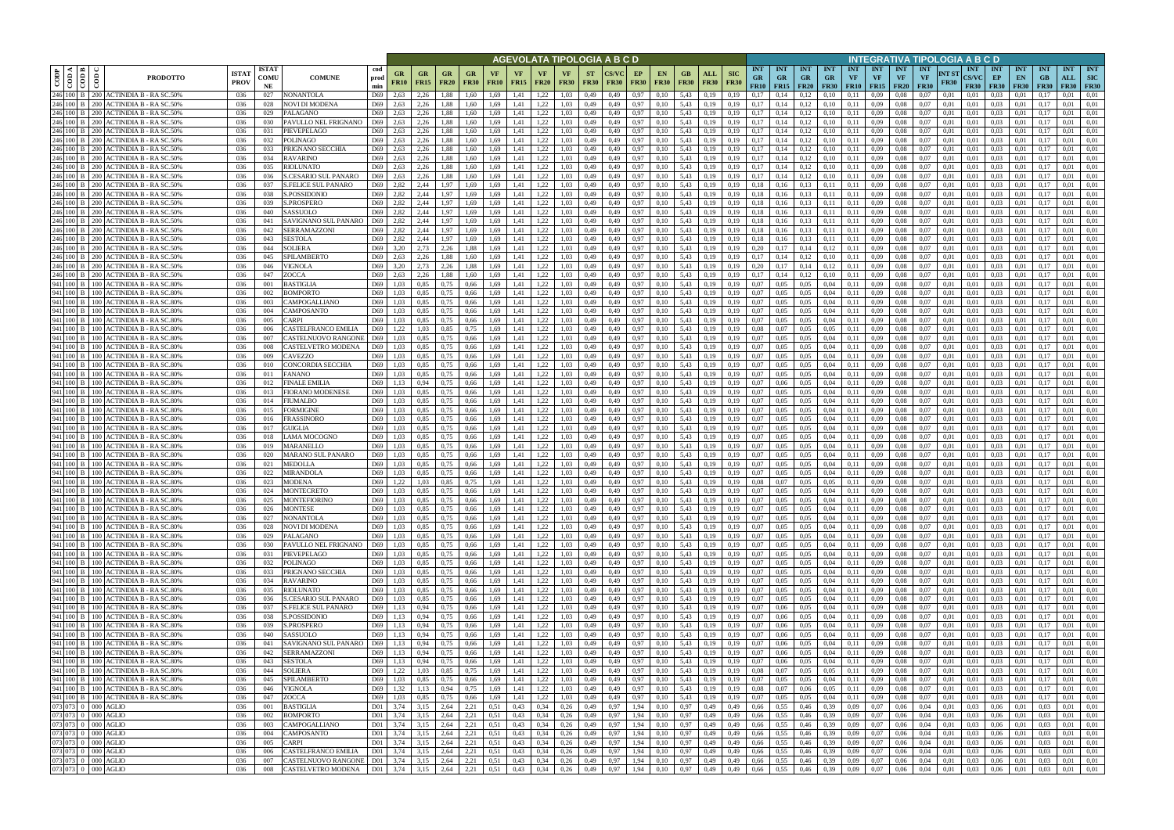|                                                                                                                                             |                                                                                  |                             |                            |                                           |                        |                   |                          |                                                         |                          |                   |                    |                                  |                   |                          | AGEVOLATA TIPOLOGIA A B C D               |                   |                                          |                    |                        |                                                      |                            |                                               |                                        |                         |                                        |                                        | INTEGRATIVA TIPOLOGIA A B C D   |                      |                                           |                                 |                                 |                           |                                       |                   |
|---------------------------------------------------------------------------------------------------------------------------------------------|----------------------------------------------------------------------------------|-----------------------------|----------------------------|-------------------------------------------|------------------------|-------------------|--------------------------|---------------------------------------------------------|--------------------------|-------------------|--------------------|----------------------------------|-------------------|--------------------------|-------------------------------------------|-------------------|------------------------------------------|--------------------|------------------------|------------------------------------------------------|----------------------------|-----------------------------------------------|----------------------------------------|-------------------------|----------------------------------------|----------------------------------------|---------------------------------|----------------------|-------------------------------------------|---------------------------------|---------------------------------|---------------------------|---------------------------------------|-------------------|
| ≺ I ¤<br>CODP<br>$\frac{1}{60}$<br>$\epsilon$                                                                                               | <b>PRODOTTO</b>                                                                  | <b>ISTA1</b><br><b>PROV</b> | <b>ISTAT</b><br>COMU<br>NE | <b>COMUNE</b>                             | cod<br>prod<br>min     | GR<br><b>FR10</b> | <b>GR</b><br><b>FR15</b> | <b>GR</b><br><b>FR20</b>                                | <b>GR</b><br><b>FR30</b> | VF<br><b>FR10</b> | VF.<br><b>FR15</b> | VF<br><b>FR20</b>                | VF<br><b>FR30</b> | <b>ST</b><br><b>FR30</b> | <b>CS/VC</b><br><b>FR30</b>               | EP<br><b>FR30</b> | EN.<br><b>FR30</b>                       | GB.<br><b>FR30</b> | ALL<br><b>FR30</b>     | <b>INT</b><br><b>SIC</b><br><b>GR</b><br><b>FR30</b> | <b>INT</b><br><b>GR</b>    | <b>INT</b><br><b>GR</b><br>FR10   FR15   FR20 | <b>INT</b><br><b>GR</b><br><b>FR30</b> | <b>INT</b><br><b>VF</b> | <b>INT</b><br><b>VF</b><br>$FR10$ FR15 | <b>INT</b><br><b>VF</b><br><b>FR20</b> | <b>INT</b><br>VF<br><b>FR30</b> | NT ST<br><b>FR30</b> | <b>INT</b><br><b>CS/VC</b><br><b>FR30</b> | <b>INT</b><br>EP<br><b>FR30</b> | <b>INT</b><br>EN<br><b>FR30</b> | <b>INT</b><br>GB<br>F R30 | <b>INT</b><br>ALL<br><b>FR30 FR30</b> | <b>INT</b><br>SIC |
| 246 100 B<br>246 100 B<br>200 L                                                                                                             | 200 ACTINIDIA B - RA SC.50%<br><b>ACTINIDIA B - RA SC.50%</b>                    | 036<br>036                  | 027<br>028                 | <b>NONANTOLA</b><br>NOVI DI MODENA        | D69<br>D69             | 2,63<br>2,63      | 2,26<br>2,26             | 1,88<br>1,88                                            | 1.60<br>1.60             | 1.69<br>1,69      | 1,41<br>1,41       | 1,22<br>1,22                     | 1.03<br>1.03      | 0,49<br>0,49             | 0,49<br>0,49                              | 0,97<br>0,97      | 0.10<br>0,10                             | 5,43<br>5,43       | 0.19<br>0,19           | 0.19<br>0.17<br>0,19<br>0.17                         | 0,14                       | 0,12<br>0,12                                  | 0.10<br>0,10                           | 0.11<br>0,11            | 0.09<br>0.09                           | 0.08<br>0.08                           | 0.07<br>0.07                    | 0.01<br>0,01         | 0.01<br>0,01                              | 0.03<br>0.03                    | 0.01<br>0,01                    | 0.17                      | 0.01<br>0.01                          | 0.01<br>0.01      |
| 246 100 B                                                                                                                                   | 200 ACTINIDIA B - RA SC.50%                                                      | 036                         | 029                        | PALAGANO                                  | D69                    | 2.63              | 2,26                     | 1,88                                                    | 1.60                     | 1,69              | 1,41               | 1,22                             | 1,03              | 0,49                     | 0,49                                      | 0,97              | 0,10                                     | 5,43               | 0,19                   | 0,17<br>0,19                                         | 0,14                       | 0,12                                          | 0,10                                   | 0,11                    | 0,09                                   | 0.08                                   | 0.07                            | 0,01                 | 0,01                                      | 0.03                            | 0,01                            | 0.17                      | 0.01                                  | 0,01              |
| 246 100 B                                                                                                                                   | 200 ACTINIDIA B - RA SC.50%                                                      | 036                         | 030                        | PAVULLO NEL FRIGNANO                      | D69                    | 2.63              | 2.26                     | 1.88                                                    | 1.60                     | 1.69              | 1.41               | 1,22                             | 1.03              | 0,49                     | 0,49                                      | 0,97              | 0,10                                     | 5,43               | 0.19                   | 0.17<br>0.19                                         | 0,14                       | 0,12                                          | 0,10                                   | 0.11                    | 0.09                                   | 0.08                                   | 0.07                            | 0.01                 | 0.01                                      | 0.03                            | 0.01                            | 0.17                      | 0.01                                  | 0.01              |
| 246 100 B<br><b>200</b>                                                                                                                     | <b>ACTINIDIA B - RA SC.50%</b>                                                   | 036                         | 031                        | PIEVEPELAGO                               | D69                    | 2.63              | 2.26                     | 1.88                                                    | 1.60                     | 1.69              | 1.41               | 1,22                             | 1.03              | 0.49                     | 0.49                                      | 0.97              | 0.10                                     | 5.43               | 0.19                   | 0.17<br>0.19                                         | 0.14                       | 0,12                                          | 0.10                                   | 0.11                    | 0.09                                   | 0.08                                   | 0.07                            | 0.01                 | 0.01                                      | 0.03                            | 0.01                            | 0.17                      | 0.01                                  | 0.01              |
| 246 100 B<br>246 100 B                                                                                                                      | 200 ACTINIDIA B - RA SC.50%<br>200 ACTINIDIA B - RA SC.50%                       | 036                         | 032                        | POLINAGO                                  | D69                    | 2.63              | 2.26                     | 1.88                                                    | 1.60                     | 1.69              | 1,41               | 1,22                             | 1.03              | 0,49                     | 0,49                                      | 0,97              | 0,10                                     | 5,43               | 0,19                   | 0.17<br>0.19                                         | 0,14                       | 0,12                                          | 0,10                                   | 0.11                    | 0.09                                   | 0.08                                   | 0.07                            | 0.01                 | 0.01                                      | 0.03                            | 0,01                            | 0.17                      | 0.01                                  | 0.01              |
|                                                                                                                                             | 246 100 B 200 ACTINIDIA B - RA SC.50%                                            | -036<br>-036                | 033<br>034                 | PRIGNANO SECCHIA<br><b>RAVARINO</b>       | D69<br>D69             | 2.63<br>2.63      | 2.26<br>2.26             | 1.88<br>1.88                                            | 1.60<br>1,60             | 1.69<br>1.69      | 1.41<br>1.41       | 1,22<br>1,22                     | 1.03<br>1.03      | 0.49<br>0.49             | 0.49<br>0,49                              | 0.97<br>0,97      | 0,10<br>0,10                             | 5.43<br>5.43       | 0.19<br>0,19           | 0.17<br>0.19<br>0.17<br>0.19                         | 0.14<br>0,14               | 0,12<br>0,12                                  | 0,10<br>0,10                           | 0.11<br>0.11            | 0.09<br>0.09                           | 0.08<br>0.08                           | 0.07<br>0.07                    | 0.01<br>0.01         | 0.01<br>0.01                              | 0.03<br>0.03                    | 0.01<br>0.01                    | 0.17<br>0.17              | 0.01<br>0.01                          | 0.01<br>0.01      |
|                                                                                                                                             | 246 100 B   200 ACTINIDIA B - RA SC.50%                                          | 036                         | 035                        | <b>RIOLUNATO</b>                          | D69                    | 2.63              | 2,26                     | 1.88                                                    | 1,60                     | 1,69              | 1,41               | 1,22                             | 1.03              | 0,49                     | 0.49                                      | 0,97              | 0,10                                     | 5,43               | 0,19                   | 0.17<br>0.19                                         | 0,14                       | 0,12                                          | 0,10                                   | 0,11                    | 0.09                                   | 0.08                                   | 0.07                            | 0.01                 | 0.01                                      | 0.03                            | 0,01                            | 0,17                      | 0.01                                  | 0.01              |
| 246 100 B                                                                                                                                   | 200 ACTINIDIA B - RA SC.50%                                                      | 036                         | 036                        | <b>S.CESARIO SUL PANARO</b>               | D69                    | 2,63              | 2,26                     | 1.88                                                    | 1,60                     | 1,69              | 1.41               | 1,22                             | 1.03              | 0,49                     | 0,49                                      | 0,97              | 0,10                                     | 5,43               | 0.19                   | 0.17<br>0.19                                         | 0,14                       | 0,12                                          | 0,10                                   | 0,11                    | 0.09                                   | 0.08                                   | 0.07                            | 0.01                 | 0.01                                      | 0.03                            | 0,01                            | 0.17                      | 0.01                                  | 0.01              |
| 246 100 B                                                                                                                                   | 200 ACTINIDIA B - RA SC.50%                                                      | 036                         | 037                        | S.FELICE SUL PANARO                       | D69                    | 2,82              | 2,44                     | 1,97                                                    | 1,69                     | 1,69              | 1,41               | 1,22                             | 1.03              | 0,49                     | 0,49                                      | 0,97              | 0,10                                     | 5,43               | 0,19                   | 0.18<br>0.19                                         | 0,16                       | 0,13                                          | 0,11                                   | 0,11                    | 0.09                                   | 0.08                                   | 0.07                            | 0.01                 | 0,01                                      | 0.03                            | 0,01                            | 0,17                      | 0.01                                  | 0.01              |
|                                                                                                                                             | 246 100 B 200 ACTINIDIA B - RA SC.50%<br>246 100 B   200 ACTINIDIA B - RA SC.50% | 036<br>036                  | 038<br>039                 | S.POSSIDONIO<br>S.PROSPERO                | D69<br>D69             | 2,82<br>2.82      | 2,44<br>2.44             | 1,97<br>1.97                                            | 1,69<br>1.69             | 1,69<br>1.69      | 1,41<br>1,41       | 1,22<br>1,22                     | 1,03<br>1.03      | 0,49<br>0,49             | 0,49<br>0.49                              | 0,97<br>0.97      | 0,10<br>0,10                             | 5,43<br>5,43       | 0,19<br>0.19           | 0,19<br>0.18<br>0.19<br>0.18                         | 0,16<br>0.16               | 0,13<br>0,13                                  | 0,11<br>0,11                           | 0,11<br>0,11            | 0,09<br>0.09                           | 0.08<br>0.08                           | 0.07<br>0.07                    | 0,01<br>0.01         | 0,01<br>0.01                              | 0,03<br>0.03                    | 0,01<br>0.01                    | 0,17<br>0.17              | 0,01<br>0,01                          | 0,01<br>0.01      |
|                                                                                                                                             | 246 100 B   200 ACTINIDIA B - RA SC.50%                                          | 036                         | 040                        | SASSUOLO                                  | D69                    | 2,82              | 2,44                     | 1.97                                                    | 1,69                     | 1,69              | 1,41               | 1,22                             | 1.03              | 0,49                     | 0,49                                      | 0,97              | 0,10                                     | 5,43               | 0,19                   | 0,19<br>0.18                                         | 0,16                       | 0,13                                          | 0,11                                   | 0,11                    | 0,09                                   | 0.08                                   | 0.07                            | 0,01                 | 0.01                                      | 0.03                            | 0,01                            | 0.17                      | 0,01                                  | 0.01              |
|                                                                                                                                             | 246 100 B   200 ACTINIDIA B - RA SC.50%                                          | 036                         | 041                        | SAVIGNANO SUL PANARO                      | D69                    | 2,82              | 2,44                     | 1,97                                                    | 1,69                     | 1,69              | 1,41               | 1,22                             | 1,03              | 0,49                     | 0,49                                      | 0,97              | 0,10                                     | 5,43               | 0,19                   | 0.18<br>0.19                                         | 0,16                       | 0,13                                          | 0,11                                   | 0,11                    | 0,09                                   | 0.08                                   | 0.07                            | 0,01                 | 0,01                                      | 0,03                            | 0,01                            | 0.17                      | 0,01                                  | 0.01              |
| 246 100 B                                                                                                                                   | 200 ACTINIDIA B - RA SC.50%                                                      | 036                         | 042                        | SERRAMAZZONI                              | D69                    | 2.82              | 2.44                     | 1.97                                                    | 1.69                     | 1.69              | 1.41               | 1,22                             | 1.03              | 0.49                     | 0.49                                      | 0.97              | 0.10                                     | 5.43               | 0.19                   | 0.18<br>0.19                                         | 0.16                       | 0,13                                          | 0.11                                   | 0.11                    | 0.09                                   | 0.08                                   | 0.07                            | 0.01                 | 0.01                                      | 0.03                            | 0.01                            | 0.17                      | 0.01                                  | 0.01              |
| 246 100 B<br>246 100 B                                                                                                                      | 200 ACTINIDIA B - RA SC.50%<br>200 ACTINIDIA B - RA SC.50%                       | 036<br>036                  | 043<br>044                 | <b>SESTOLA</b><br>SOLIERA                 | D69<br>D <sub>69</sub> | 2.82<br>3.20      | 2.44<br>2,73             | 1.97<br>2.26                                            | 1.69<br>1.88             | 1.69<br>1.69      | 1.41<br>1,41       | 1,22<br>1,22                     | 1.03<br>1.03      | 0.49<br>0,49             | 0.49<br>0.49                              | 0.97<br>0,97      | 0.10<br>0,10                             | 5.43<br>5,43       | 0.19<br>0.19           | 0.18<br>0.19<br>0.20<br>0.19                         | 0.16<br>0.17               | 0,13<br>0,14                                  | 0,11<br>0,12                           | 0.11<br>0.11            | 0.09<br>0,09                           | 0.08<br>0.08                           | 0.07<br>0.07                    | 0.01<br>0.01         | 0.01<br>0.01                              | 0.03<br>0.03                    | 0.01<br>0.01                    | 0.17<br>0.17              | 0.01<br>0.01                          | 0.01<br>0.01      |
| 246 100 B<br>200                                                                                                                            | ACTINIDIA B - RA SC.50%                                                          | 036                         | 045                        | SPILAMBERTO                               | D69                    | 2.63              | 2.26                     | 1.88                                                    |                          | 1.69              | 1.41               | 1,22                             | 1.03              | 0.49                     | 0.49                                      | 0.97              | 0.10                                     | 5.43               | 0.19                   | 0.17                                                 |                            |                                               | 0,10                                   | 0.11                    | 0.09                                   | 0.08                                   | 0.07                            | 0.01                 | 0.01                                      | 0.03                            | 0.01                            |                           | 0.01                                  | 0.01              |
| 246 100 B<br><b>200</b>                                                                                                                     | ACTINIDIA B - RA SC.50%                                                          | 036                         | 046                        | VIGNOLA                                   | D69                    | 3.20              | 2.73                     | 2.26                                                    | 1.88                     | 1.69              | 1.41               | 1,22                             | 1.03              | 0.49                     | 0.49                                      | 0.97              | 0.10                                     | 5.43               | 0.19                   | 0.20<br>0.19                                         |                            | 0.14                                          | 0,12                                   | 0.11                    | 0.09                                   | 0.08                                   | 0.07                            | 0.01                 | 0.01                                      | 0.03                            | 0.01                            |                           | 0.01                                  | 0.01              |
| 246 100 B<br>200 L                                                                                                                          | ACTINIDIA B - RA SC.50%                                                          | 036                         | 047                        | ZOCCA                                     | D69                    | 2.63              | 2,26                     | 1.88                                                    |                          | 1.69              | 1,41               | 1,22                             | 1.03              | 0,49                     | 0,49                                      | 0,97              | 0,10                                     | 5,43               | 0.19                   | 0.17<br>0.19                                         | 0.14                       | 0,12                                          | 0,10                                   | 0.11                    | 0.09                                   | 0.08                                   | 0.07                            | 0.01                 | 0.01                                      | 0,03                            | 0.01                            | $0.1^{\circ}$             | 0.01                                  | 0.01              |
| 941 100 B                                                                                                                                   | 100 ACTINIDIA B - RA SC.80%                                                      | 036                         | 001                        | BASTIGLIA                                 | D69                    | 1.03              | 0.85                     | 0.75                                                    | 0.66                     | 1.69              | 1.41               | 1,22                             | 1.03              | 0.49                     | 0.49                                      | 0,97              | 0.10                                     | 5.43               | 0.19                   | 0.07<br>0.19                                         | 0.05                       | 0,05                                          | 0,04                                   | 0.11                    | 0.09                                   | 0.08                                   | 0.07                            | 0.01                 | 0.01                                      | 0.03                            | 0.01                            |                           | 0.01                                  | 0.01              |
| 941 100 B<br>941 100 B<br>100 l                                                                                                             | 100 ACTINIDIA B - RA SC.80%<br>ACTINIDIA B - RA SC.80%                           | 036<br>036                  | 002<br>003                 | BOMPORTO<br>CAMPOGALLIANO                 | D69<br>D69             | 1.03<br>1.03      | 0.85<br>0,85             | 0.75<br>0.75                                            | 0.66<br>0,66             | 1,69<br>1.69      | 1,41<br>1,41       | 1,22<br>1,22                     | 1.03<br>1.03      | 0,49<br>0,49             | 0,49<br>0,49                              | 0,97<br>0,97      | 0,10<br>0,10                             | 5,43<br>5,43       | 0.19<br>0.19           | 0.07<br>0,19<br>0.07<br>0,19                         | 0.05<br>0.05               | 0,05<br>0,05                                  | 0,04<br>0,04                           | 0,11<br>0,11            | 0.09<br>0.09                           | 0.08<br>0.08                           | 0.07<br>0.07                    | 0.01<br>0.01         | 0,01<br>0.01                              | 0.03<br>0.03                    | 0.01<br>0.01                    | 0.17                      | 0.01<br>0.01                          | 0.01<br>0.01      |
| 941 100 B<br>100 L                                                                                                                          | ACTINIDIA B - RA SC.80%                                                          | 036                         | 004                        | CAMPOSANTO                                | D69                    | 1.03              | 0.85                     | 0.75                                                    | 0,66                     | 1.69              | 1,41               | 1,22                             | 1.03              | 0,49                     | 0,49                                      | 0,97              | 0.10                                     | 5,43               | 0.19                   | 0.07<br>0.19                                         |                            | 0,05                                          | 0,04                                   | 0.11                    | 0.09                                   | 0.08                                   | 0.07                            | 0.01                 | 0,01                                      | 0.03                            | 0.01                            | $0.1^{\circ}$             | 0.01                                  | 0.01              |
| 941 100 B<br>100 L                                                                                                                          | ACTINIDIA B - RA SC.80%                                                          | 036                         | 005                        | `ARPI                                     | D69                    | 1.03              | 0.85                     | 0.75                                                    | 0.66                     | 1.69              | 1.41               | 1,22                             | 1.03              | 0,49                     | 0.49                                      | 0.97              | 0.10                                     | 5.43               | 0.19                   | 0.07<br>0.19                                         |                            | 0,05                                          | 0.04                                   | 0.11                    | 0.09                                   | 0.08                                   | 0.07                            | 0.01                 | 0.01                                      | 0.03                            | 0.01                            |                           | 0.01                                  | 0.01              |
| 941 100 B                                                                                                                                   | 100 ACTINIDIA B - RA SC.80%                                                      | 036                         | 006                        | CASTELFRANCO EMILIA                       | D69                    | 1,22              | 1,03                     | 0,85                                                    | 0.75                     | 1,69              | 1,41               | 1,22                             | 1,03              | 0,49                     | 0,49                                      | 0,97              | 0,10                                     | 5,43               | 0,19                   | 0.08<br>0,19                                         |                            | 0,05                                          | 0.05                                   | 0,11                    | 0,09                                   | 0.08                                   | 0.07                            | 0,01                 | 0,01                                      | 0,03                            | 0,01                            | 0,17                      | 0,01                                  | 0,01              |
| 941 100 B                                                                                                                                   | 100 ACTINIDIA B - RA SC.80%<br>941 100 B 100 ACTINIDIA B - RA SC.80%             | 036<br>036                  | 007<br>008                 | CASTELNUOVO RANGONE<br>CASTELVETRO MODENA | D69<br>D69             | 1.03<br>1.03      | 0.85<br>0.85             | 0.75<br>0.75                                            | 0.66                     | 1.69<br>1.69      | 1.41<br>1,41       | 1,22<br>1,22                     | 1.03<br>1.03      | 0,49<br>0,49             | 0.49<br>0,49                              | 0,97<br>0,97      | 0,10                                     | 5,43<br>5,43       | 0.19                   | 0.07<br>0.19<br>0.19<br>0.07                         | 0.05<br>0.05               | 0,05<br>0,05                                  | 0.04<br>0,04                           | 0.11<br>0.11            | 0.09<br>0.09                           | 0.08<br>0.08                           | 0.07<br>0.07                    | 0.01<br>0.01         | 0.01<br>0.01                              | 0.03<br>0.03                    | 0.01<br>0,01                    | 0.17<br>0.17              | 0.01<br>0.01                          | 0.01<br>0.01      |
| 941 100 B                                                                                                                                   | 100 ACTINIDIA B - RA SC.80%                                                      | 036                         | 009                        | CAVEZZO                                   | D69                    | 1.03              | 0.85                     | 0.75                                                    | 0,66<br>0.66             | 1.69              | 1,41               | 1,22                             | 1.03              | 0,49                     | 0,49                                      | 0,97              | 0,10<br>0,10                             | 5,43               | 0,19<br>0,19           | 0.07<br>0.19                                         | 0.05                       | 0.05                                          | 0,04                                   | 0.11                    | 0.09                                   | 0.08                                   | 0.07                            | 0.01                 | 0.01                                      | 0.03                            | 0.01                            | 0.17                      | 0.01                                  | 0.01              |
| 941 100 B<br>100 <sub>1</sub>                                                                                                               | <b>ACTINIDIA B - RA SC.80%</b>                                                   | 036                         | 010                        | CONCORDIA SECCHIA                         | D69                    | 1.03              | 0.85                     | 0.75                                                    | 0,66                     | 1.69              | 1.41               | 1,22                             | 1.03              | 0.49                     | 0,49                                      | 0,97              | 0,10                                     | 5.43               | 0.19                   | 0.07<br>0.19                                         | 0.05                       | 0.05                                          | 0.04                                   | 0.11                    | 0.09                                   | 0.08                                   | 0.07                            | 0.01                 | 0.01                                      | 0.03                            | 0.01                            | 0.17                      | 0.01                                  | 0.01              |
| 941 100 B<br>100 L                                                                                                                          | ACTINIDIA B - RA SC.80%                                                          | -036                        | 011                        | FANANO                                    | D69                    | 1.03              | 0.85                     | 0.75                                                    | 0.66                     | 1.69              | 1.41               | 1,22                             | 1.03              | 0.49                     | 0.49                                      | 0,97              | 0,10                                     | 5.43               | 0.19                   | 0.07<br>0.19                                         | 0.05                       | 0.05                                          | 0.04                                   | 0.11                    | 0.09                                   | 0.08                                   | 0.07                            | 0.01                 | 0.01                                      | 0.03                            | 0.01                            | 0.17                      | 0.01                                  | 0.01              |
|                                                                                                                                             | 941 100 B 100 ACTINIDIA B - RA SC.80%                                            | 036                         | 012                        | FINALE EMILIA                             | D69                    | 1,13              | 0.94                     | 0.75                                                    | 0,66                     | 1,69              | 1,41               | 1,22                             | 1.03              | 0,49                     | 0,49                                      | 0,97              | 0,10                                     | 5,43               | 0,19                   | 0,19<br>0.07                                         | 0,06                       | 0,05                                          | 0,04                                   | 0,11                    | 0,09                                   | 0.08                                   | 0.07                            | 0,01                 | 0,01                                      | 0.03                            | 0,01                            | 0,17                      | 0.01                                  | 0.01              |
| 941 100 B<br>100 <sup>1</sup><br>941 100 B                                                                                                  | <b>ACTINIDIA B - RA SC.80%</b><br>100 ACTINIDIA B - RA SC.80%                    | 036<br>036                  | 013<br>014                 | FIORANO MODENESE<br>FIUMALBO              | D69<br>D69             | 1.03<br>1,03      | 0.85<br>0.85             | 0,75<br>0,75                                            | 0,66<br>0,66             | 1.69<br>1,69      | 1,41<br>1,41       | 1,22<br>1,22                     | 1.03<br>1.03      | 0,49<br>0,49             | 0.49<br>0,49                              | 0.97<br>0,97      | 0,10<br>0,10                             | 5,43<br>5,43       | 0.19<br>0,19           | 0.19<br>0.07<br>0,19<br>0.07                         | 0.05<br>0,05               | 0.05<br>0,05                                  | 0,04<br>0,04                           | 0,11<br>0,11            | 0.09<br>0.09                           | 0.08<br>0.08                           | 0.07<br>0.07                    | 0.01<br>0,01         | 0.01<br>0.01                              | 0.03<br>0.03                    | 0.01<br>0,01                    | 0.17<br>0.17              | 0.01<br>0.01                          | 0.01<br>0,01      |
| 941 100 B                                                                                                                                   | 100 ACTINIDIA B - RA SC.80%                                                      | 036                         | 015                        | FORMIGINE                                 | D69                    | 1,03              | 0,85                     | 0,75                                                    | 0,66                     | 1,69              | 1,41               | 1,22                             | 1,03              | 0,49                     | 0,49                                      | 0,97              | 0,10                                     | 5,43               | 0,19                   | 0.07<br>0,19                                         | 0,05                       | 0,05                                          | 0,04                                   | 0,11                    | 0,09                                   | 0.08                                   | 0.07                            | 0,01                 | 0,01                                      | 0,03                            | 0,01                            | 0,17                      | 0,01                                  | 0,01              |
| 941 100 B                                                                                                                                   | 100 ACTINIDIA B - RA SC.80%                                                      | 036                         | 016                        | FRASSINORO                                | D69                    | 1,03              | 0.85                     | 0.75                                                    | 0,66                     | 1.69              | 1,41               | 1,22                             | 1.03              | 0,49                     | 0,49                                      | 0,97              | 0,10                                     | 5,43               | 0.19                   | 0,19<br>0.07                                         | 0.05                       | 0,05                                          | 0,04                                   | 0,11                    | 0,09                                   | 0.08                                   | 0.07                            | 0,01                 | 0.01                                      | 0.03                            | 0,01                            | 0.17                      | 0,01                                  | 0.01              |
| 941 100 B                                                                                                                                   | 100 ACTINIDIA B - RA SC.80%                                                      | 036                         | 017                        | GUIGLIA                                   | D69                    | 1,03              | 0.85                     | 0,75                                                    | 0,66                     | 1.69              | 1,41               | 1,22                             | 1.03              | 0,49                     | 0,49                                      | 0,97              | 0,10                                     | 5,43               | 0,19                   | 0,07<br>0.19                                         | 0.05                       | 0,05                                          | 0,04                                   | 0,11                    | 0.09                                   | 0.08                                   | 0.07                            | 0.01                 | 0,01                                      | 0.03                            | 0,01                            | 0.17                      | 0.01                                  | 0.01              |
| 941 100 B<br>941 100 B                                                                                                                      | 100 ACTINIDIA B - RA SC.80%<br>100 ACTINIDIA B - RA SC.80%                       | 036<br>036                  | 018<br>019                 | LAMA MOCOGNO<br><b>MARANELLO</b>          | D69<br>D69             | 1,03<br>1.03      | 0,85<br>0.85             | 0,75<br>0.75                                            | 0,66<br>0.66             | 1,69<br>1.69      | 1,41<br>1.41       | 1,22<br>1,22                     | 1,03<br>1.03      | 0,49<br>0,49             | 0,49<br>0.49                              | 0,97<br>0.97      | 0,10<br>0.10                             | 5,43<br>5.43       | 0,19<br>0.19           | 0,19<br>0,07<br>0.07                                 | 0.05<br>0.05               | 0,05<br>0,05                                  | 0,04<br>0,04                           | 0,11<br>0.11            | 0,09<br>0.09                           | 0.08<br>0.08                           | 0.07<br>0.07                    | 0,01<br>0.01         | 0.01<br>0.01                              | 0,03<br>0.03                    | 0,01<br>0.01                    | 0.17<br>0.17              | 0,01<br>0.01                          | 0.01<br>0.01      |
| 941 100 B<br>100                                                                                                                            | <b>ACTINIDIA B - RA SC.80%</b>                                                   | 036                         | 020                        | MARANO SUL PANARO                         | D <sub>69</sub>        | 1.03              | 0.85                     | 0.75                                                    | 0.66                     | 1.69              | 1.41               | 1,22                             | 1.03              | 0,49                     | 0.49                                      | 0.97              | 0.10                                     | 5.43               | 0.19                   | 0.07<br>0.19                                         | 0.05                       | 0,05                                          | 0.04                                   | 0.11                    | 0.09                                   | 0.08                                   | 0.07                            | 0.01                 | 0.01                                      | 0.03                            | 0.01                            | 0.17                      | 0.01                                  | 0.01              |
| 941 100 B                                                                                                                                   | 100 ACTINIDIA B - RA SC.80%                                                      | 036                         | 021                        | <b>MEDOLLA</b>                            | D69                    | 1,03              | 0,85                     | 0,75                                                    | 0,66                     | 1,69              | 1,41               | 1,22                             | 1.03              | 0,49                     | 0,49                                      | 0,97              | 0,10                                     | 5,43               | 0,19                   | 0,07<br>0.19                                         | 0.05                       | 0,05                                          | 0,04                                   | 0,11                    | 0,09                                   | 0.08                                   | 0.07                            | 0.01                 | 0.01                                      | 0.03                            | 0,01                            | 0.17                      | 0,01                                  | 0.01              |
| 941 100 B                                                                                                                                   | 100 ACTINIDIA B - RA SC.80%                                                      | 036                         | 022                        | MIRANDOLA                                 | D69                    | 1.03              | 0.85                     | 0.75                                                    | 0.66                     | 1.69              | 1.41               | 1.22                             | 1.03              | 0.49                     | 0.49                                      | 0.97              | 0.10                                     | 5.43               | 0.19                   | 0.07<br>0.19                                         | 0.05                       | 0.05                                          | 0.04                                   | 0.11                    | 0.09                                   | 0.08                                   | 0.07                            | 0.01                 | 0.01                                      | 0.03                            | 0.01                            |                           | 0.01                                  | 0.01              |
|                                                                                                                                             | 941 100 B 100 ACTINIDIA B - RA SC.80%                                            | 036                         | 023                        | <b>MODENA</b><br><b>MONTECRETO</b>        | D69<br>D69             | 1,22              | 1.03                     | 0.85                                                    | 0.75                     | 1.69              | 1,41               | 1,22                             | 1.03              | 0.49                     | 0,49                                      | 0,97              | 0.10                                     | 5.43               | 0.19                   | 0.08<br>0.19                                         | 0.07                       | 0.05                                          | 0.05                                   | 0.11                    | 0.09                                   | 0.08                                   | 0.07                            | 0.01                 | 0.01                                      | 0.03                            | 0.01                            | 0.17                      | 0.01                                  | 0.01              |
|                                                                                                                                             | 941 100 B 100 ACTINIDIA B - RA SC.80%<br>941 100 B 100 ACTINIDIA B - RA SC.80%   | 036<br>036                  | 024<br>025                 | <b>MONTEFIORINO</b>                       | D69                    | 1.03<br>1,03      | 0.85<br>0.85             | 0.75<br>0,75                                            | 0.66<br>0,66             | 1.69<br>1,69      | 1.41<br>1,41       | 1,22<br>1,22                     | 1.03<br>1,03      | 0.49<br>0,49             | 0.49<br>0,49                              | 0.97<br>0,97      | 0.10<br>0,10                             | 5.43<br>5,43       | 0.19<br>0,19           | 0.19<br>0.07<br>0,19<br>0,07                         | 0.05<br>0.05               | 0.05<br>0,05                                  | 0.04<br>0,04                           | 0.11<br>0,11            | 0.09<br>0,09                           | 0.08<br>0.08                           | 0.07<br>0,07                    | 0.01<br>0,01         | 0.01<br>0,01                              | 0.03<br>0,03                    | 0.01<br>0,01                    | 0,17                      | 0.01<br>0.01                          | 0.01<br>0,01      |
|                                                                                                                                             | 941 100 B 100 ACTINIDIA B - RA SC.80%                                            | 036                         | 026                        | <b>MONTESE</b>                            | D69                    | 1.03              | 0,85                     | 0,75                                                    | 0,66                     | 1,69              | 1,41               | 1,22                             | 1,03              | 0,49                     | 0,49                                      | 0,97              | 0,10                                     | 5,43               | 0,19                   | 0,19<br>0,07                                         | 0,05                       | 0,05                                          | 0,04                                   |                         | $0,11$ 0.09                            | 0.08                                   | 0,07                            | 0,01                 | 0,01                                      | 0,03                            | 0,01                            | 0,17                      | 0,01                                  | 0,01              |
|                                                                                                                                             | 941 100 B 100 ACTINIDIA B - RA SC.80%                                            | 036                         | 027                        | <b>NONANTOLA</b>                          | D69                    | 1,03              | 0,85                     | 0,75                                                    | 0,66                     | 1,69              | 1,41               | 1,22                             | 1,03              | 0,49                     | 0,49                                      | 0,97              | 0,10                                     | 5,43               | 0,19                   | 0,07<br>0,19                                         | 0,05                       | 0,05                                          | 0,04                                   |                         | $0,11$ 0.09                            | 0,08                                   | 0,07                            | 0,01                 | 0,01                                      | 0,03                            | 0,01                            | 0,17                      | 0,01                                  | 0,01              |
|                                                                                                                                             | 941 100 B 100 ACTINIDIA B - RA SC.80%                                            | 036                         | 028                        | <b>NOVI DI MODENA</b>                     | D69                    | 1,03              | 0,85                     | 0,75                                                    | 0,66                     | 1,69              | 1,41               | 1,22                             | 1,03              | 0,49                     | 0,49 0,97                                 |                   | 0,10                                     |                    | 5,43 0,19              | 0,19<br>0,07                                         | 0,05                       | 0,05                                          | 0,04                                   |                         | $0,11$ 0.09                            | 0,08                                   | 0,07                            | 0,01                 | 0,01                                      | 0,03                            | 0,01                            | 0,17                      | 0,01                                  | 0,01              |
|                                                                                                                                             | 941 100 B 100 ACTINIDIA B - RA SC.80%<br>941 100 B 100 ACTINIDIA B - RA SC.80%   | 036<br>036                  | 029<br>030                 | PALAGANO<br>PAVULLO NEL FRIGNANO          | D69<br>D69             | 1,03<br>1,03      | 0,85<br>0,85             | 0,75<br>0,75                                            | 0,66<br>0,66             | 1,69<br>1,69      | 1,41<br>1,41       | 1,22<br>1,22                     | 1,03<br>1,03      | 0,49<br>0,49             | 0,49<br>0,49 0,97                         | 0,97              | 0,10<br>0,10                             |                    | 5,43 0,19<br>5,43 0,19 | 0,19<br>0,07<br>0,19<br>0,07                         | 0,05<br>0,05               | 0,05<br>0,05                                  | 0,04<br>0,04                           |                         | $0,11$ 0.09<br>$0,11$ 0,09             | 0,08<br>0,08                           | 0,07<br>0,07                    | 0,01<br>0,01         | 0,01<br>0,01                              | 0,03<br>0,03                    | 0,01<br>0,01                    | 0,17<br>0,17              | 0,01<br>0.01                          | 0,01<br>0,01      |
|                                                                                                                                             | 941 100 B 100 ACTINIDIA B - RA SC.80%                                            | 036                         | 031                        | PIEVEPELAGO                               | D69                    | 1,03              | 0,85                     | 0,75                                                    | 0,66                     | 1,69              | 1,41               | $1,22 \quad 1,03$                |                   | 0,49                     | 0,49 0,97                                 |                   | 0,10                                     |                    | 5,43 0,19              | 0,07<br>0,19                                         | 0,05                       | 0,05                                          | 0,04                                   |                         | $0,11$ 0.09                            | 0.08                                   | 0,07                            | 0,01                 | 0.01                                      | $0.03 \qquad 0.01$              |                                 | 0,17                      | $0,01$ $0,01$                         |                   |
|                                                                                                                                             | 941 100 B 100 ACTINIDIA B - RA SC.80%                                            | 036                         | 032                        | <b>POLINAGO</b>                           | D69                    | 1,03              | 0,85                     | 0,75 0,66                                               |                          | 1,69              | 1,41               | $1,22$ 1,03 0,49                 |                   |                          | 0,49 0,97                                 |                   | 0,10                                     |                    | 5,43 0,19              | 0,19<br>0,07                                         | 0,05                       | 0,05                                          | 0,04                                   |                         | $0,11$ 0.09                            | 0.08                                   | 0,07                            | 0,01                 | 0.01                                      | $0,03$ $0,01$                   |                                 | 0,17                      | 0.01                                  | 0,01              |
|                                                                                                                                             | 941 100 B 100 ACTINIDIA B - RA SC.80%                                            | 036                         | 033                        | PRIGNANO SECCHIA                          | D69                    | 1,03              | 0,85                     | 0,75                                                    | 0,66                     | 1,69              | 1,41               |                                  | $1,22$ 1,03       | 0,49                     | 0,49 0,97                                 |                   | 0,10                                     |                    | 5,43 0,19              | 0,19<br>0,07                                         | 0,05                       | 0,05                                          | 0,04                                   |                         | $0,11$ 0.09                            | 0,08                                   | 0,07                            | 0,01                 | 0,01                                      | $0,03$ 0.01                     |                                 | 0,17                      | 0,01                                  | 0,01              |
|                                                                                                                                             | 941 100 B 100 ACTINIDIA B - RA SC.80%<br>941 100 B 100 ACTINIDIA B - RA SC.80%   | 036<br>036                  | 034<br>035                 | <b>RAVARINO</b><br><b>RIOLUNATO</b>       | D69<br>D69             | 1,03<br>1,03      | 0,85<br>0,85             | 0,75<br>0,75                                            | 0,66<br>0,66             | 1,69<br>1,69      | 1,41<br>1,41       | $1,22$ 1,03<br>$1,22$ 1,03       |                   | 0,49<br>0,49             | $0,49$ 0.97<br>0,49                       | 0,97              | 0,10<br>0,10                             |                    | 5,43 0,19<br>5,43 0,19 | 0,07<br>0,19<br>0,07<br>0,19                         | 0,05<br>0,05               | 0,05<br>0,05                                  | 0,04<br>0,04                           | 0,11<br>0,11            | 0,09<br>0,09                           | 0,08<br>0,08                           | 0,07<br>0,07                    | 0,01<br>0,01         | 0,01<br>0,01                              | 0,03<br>0,03                    | 0,01<br>0,01                    | 0,17<br>0,17              | 0,01<br>0,01                          | 0,01<br>0,01      |
|                                                                                                                                             | 941 100 B 100 ACTINIDIA B - RA SC.80%                                            | 036                         | 036                        | S.CESARIO SUL PANARO                      | D69                    | 1,03              | 0,85                     | 0,75                                                    | 0,66                     | 1,69              | 1,41               | 1,22                             | 1,03              | 0,49                     | 0,49                                      | 0,97              | 0,10                                     |                    | 5,43 0,19              | 0,19<br>0,07                                         | 0,05                       | 0,05                                          | 0,04                                   | 0,11                    | 0,09                                   | 0,08                                   | 0,07                            | 0,01                 | 0,01                                      | 0,03                            | 0,01                            | 0,17                      | 0,01                                  | 0,01              |
|                                                                                                                                             | 941 100 B 100 ACTINIDIA B - RA SC.80%                                            | 036                         | 037                        | <b>S.FELICE SUL PANARO</b>                | D69                    | 1,13              | 0,94                     | 0,75                                                    | 0,66                     | 1,69              | 1,41               | $1,22$ 1,03                      |                   | 0,49                     | 0,49                                      | 0,97              | 0,10                                     |                    | 5,43 0,19              | 0,19<br>0,07                                         | 0,06                       | 0,05                                          | 0,04                                   |                         | $0,11$ 0.09                            | 0,08                                   | 0,07                            | 0,01                 | 0,01                                      | $0,03$ $0,01$                   |                                 | 0,17                      | 0,01                                  | 0,01              |
|                                                                                                                                             | 941 100 B 100 ACTINIDIA B - RA SC.80%                                            | 036                         | 038                        | S.POSSIDONIO                              | D69                    | 1,13              | 0,94                     | $0,75$ 0.66                                             |                          | 1,69              | 1,41               | $1,22 \quad 1,03$                |                   | 0,49                     | 0,49 0,97                                 |                   | 0,10                                     |                    | 5,43 0,19              | 0,19<br>0.07                                         | 0,06                       | 0,05                                          | 0,04                                   |                         | $0,11$ 0.09                            | 0,08                                   | 0,07                            | 0,01                 | 0,01                                      | $0,03$ $0,01$                   |                                 | 0,17                      | 0,01                                  | 0,01              |
|                                                                                                                                             | 941 100 B 100 ACTINIDIA B - RA SC.80%<br>941 100 B 100 ACTINIDIA B - RA SC.80%   | 036                         | 039                        | S.PROSPERO                                | D69<br>D69             | 1,13<br>1,13      | 0,94<br>0,94             | 0,75                                                    | 0,66                     | 1,69              | 1,41               | $1,22$ 1,03                      |                   | 0,49                     | 0,49                                      | 0,97              | 0,10                                     | 5,43 0,19          |                        | 0,19<br>0,07<br>0,07                                 | 0,06<br>0,06               | 0,05<br>0,05                                  | 0,04                                   |                         | $0,11$ 0.09                            | 0,08                                   | 0,07<br>0,07                    | 0,01<br>0,01         | 0,01                                      | 0,03                            | 0,01                            | 0,17                      | 0,01<br>0,01                          | 0,01<br>0,01      |
|                                                                                                                                             | 941 100 B 100 ACTINIDIA B - RA SC.80%                                            | 036<br>036                  | 040<br>041                 | SASSUOLO<br>SAVIGNANO SUL PANARO          | D69                    | 1,13              | 0,94                     | $0,75$ 0.66<br>0,75                                     | 0,66                     | 1,69<br>1,69      | 1,41<br>1,41       | $1,22$ 1,03<br>$1,22 \quad 1,03$ |                   | 0,49<br>0,49             | $0,49$ 0.97 0.10                          | $0,49$ 0.97 0.10  |                                          |                    | 5,43 0,19<br>5,43 0,19 | 0,19<br>0,19<br>0,07                                 | 0,06                       | 0,05                                          | 0,04<br>0,04                           |                         | $0,11$ $0,09$<br>$0,11$ 0.09           | 0.08<br>0.08                           | 0,07                            | 0,01                 | 0.01<br>0,01                              | $0,03$ $0,01$<br>$0,03$ $0,01$  |                                 | 0, 17<br>0,17             | 0,01                                  | 0,01              |
|                                                                                                                                             | 941 100 B 100 ACTINIDIA B - RA SC.80%                                            | 036                         | 042                        | SERRAMAZZONI                              | D69                    | 1,13              | 0,94                     | 0,75 0,66                                               |                          | 1,69              | 1,41               | $1,22 \quad 1,03$                |                   | 0,49                     | $0,49$ 0.97 0.10                          |                   |                                          |                    | 5,43 0,19              | 0,19                                                 | $0,07$ 0.06                | 0,05                                          | 0,04                                   |                         | $0,11$ $0,09$                          | 0,08                                   | 0,07                            | 0,01                 | 0,01                                      | $0,03$ $0,01$                   |                                 | 0,17                      | 0,01                                  | 0,01              |
|                                                                                                                                             | 941 100 B 100 ACTINIDIA B - RA SC.80%                                            | 036                         | 043                        | <b>SESTOLA</b>                            | D69                    | 1,13              | 0,94                     | $0,75$ 0.66                                             |                          | 1,69              | 1,41               | $1,22 \quad 1,03$                |                   | 0,49                     | $0,49$ 0.97 0.10                          |                   |                                          |                    | 5,43 0,19              | 0,19                                                 | $0.07\qquad 0.06$          | 0,05                                          | 0,04                                   |                         | $0,11$ $0,09$                          | 0.08                                   | 0,07                            | 0,01                 | 0,01                                      | $0,03$ $0,01$                   |                                 | 0.17                      | 0,01                                  | 0,01              |
|                                                                                                                                             | 941 100 B 100 ACTINIDIA B - RA SC.80%                                            | 036                         | 044                        | <b>SOLIERA</b>                            | D69                    | 1,22              | 1,03                     | 0,85 0,75                                               |                          | 1,69              | 1,41               | $1,22$ 1,03                      |                   | 0,49                     |                                           |                   | $0,49$ 0.97 0.10                         | 5,43 0,19          |                        | 0,19                                                 | $0,08$ 0.07                | 0,05                                          | 0,05                                   |                         | $0,11$ $0,09$                          | 0,08                                   | 0,07                            | 0,01                 | 0,01                                      | $0,03$ $0,01$                   |                                 | 0.17                      | 0,01                                  | 0,01              |
|                                                                                                                                             | 941 100 B 100 ACTINIDIA B - RA SC.80%<br>941 100 B 100 ACTINIDIA B - RA SC.80%   | 036<br>036                  | 045<br>046                 | SPILAMBERTO<br><b>VIGNOLA</b>             | D69<br>D69             | 1,03<br>1,32      | 0,85<br>1,13             | $0,75$ 0.66<br>0,94 0,75                                |                          | 1,69<br>1,69      | 1,41<br>1,41       | $1,22 \quad 1,03$<br>$1,22$ 1,03 |                   | 0,49<br>0,49             |                                           |                   | $0,49$ $0,97$ $0,10$<br>$0,49$ 0.97 0.10 |                    | 5,43 0,19<br>5,43 0,19 | 0,19<br>0,19                                         | $0,07$ 0.05<br>$0,08$ 0.07 | 0,05<br>0,06                                  | 0,04<br>0,05                           |                         | $0,11$ $0,09$<br>$0,11$ 0.09           | 0,08<br>0,08                           | 0,07<br>0,07                    | 0,01<br>0,01         | 0,01<br>0,01                              | $0,03$ $0,01$<br>$0,03$ $0,01$  |                                 | 0,17<br>0,17              | 0,01<br>0,01                          | 0,01<br>0,01      |
|                                                                                                                                             | 941 100 B 100 ACTINIDIA B - RA SC.80%                                            | 036                         | 047                        | <b>ZOCCA</b>                              | D69                    | 1,03              | 0,85                     | $0,75$ 0.66                                             |                          | 1,69              | 1,41               | 1,22                             | 1,03              | 0,49                     |                                           |                   | $0,49$ 0.97 0.10                         |                    | 5,43 0,19              | 0,19<br>0,07                                         | 0.05                       | 0,05                                          | 0,04                                   |                         | $0,11$ 0.09                            | 0.08                                   | 0,07                            | 0,01                 | 0,01                                      | $0,03$ $0,01$                   |                                 | 0,17                      | 0,01                                  | 0,01              |
| 073 073 0 000 AGLIO                                                                                                                         |                                                                                  | 036                         | 001                        | <b>BASTIGLIA</b>                          | D01                    | 3,74              | 3,15                     | $2,64$ 2,21                                             |                          | 0,51              | 0,43               | 0,34                             | 0,26              | 0,49                     |                                           | $0,97$ 1,94       | 0,10                                     |                    | 0,97 0,49              | 0,49<br>0,66                                         | 0,55                       | 0,46                                          | 0,39                                   |                         | $0,09$ 0.07                            | 0,06                                   | 0,04                            | 0,01                 | 0,03                                      | $0,06$ 0.01                     |                                 | 0,03                      | 0,01                                  | 0,01              |
| 073 073 0 000 AGLIO                                                                                                                         |                                                                                  | 036                         | 002                        | <b>BOMPORTO</b>                           | D01                    | 3,74              | 3,15                     | 2,64                                                    | 2,21                     | 0,51              | 0,43               | 0,34                             | 0,26              | 0,49                     | 0,97                                      | 1,94              | 0,10                                     | 0,97               | 0,49                   | 0,49<br>0,66                                         | 0,55                       | 0,46                                          | 0,39                                   |                         | $0,09$ $0,07$                          | 0,06                                   | 0,04                            | 0,01                 | 0.03                                      | 0,06                            | 0,01                            | 0,03                      | 0,01                                  | 0.01              |
| 073 073 0 000 AGLIO<br>073 073 0 000 AGLIO                                                                                                  |                                                                                  | 036<br>036                  | 003                        | CAMPOGALLIANO<br>CAMPOSANTO               | D01<br>D01             | 3,74              | 3,15                     | 2,64                                                    | 2,21                     | 0,51              | 0,43<br>0,43       | 0,34                             | 0,26              | 0,49<br>0,49             |                                           | $0,97$ 1,94       | 0,10                                     | 0,97               | 0,49                   | 0,49<br>0,66<br>0,49<br>0,66                         | 0,55<br>0,55               | 0,46<br>0,46                                  | 0,39                                   |                         | $0,09$ 0.07                            | 0,06                                   | 0,04<br>0,04                    | 0,01<br>0,01         | 0,03<br>0,03                              | 0,06<br>$0,06$ 0.01             | 0,01                            | 0,03                      | 0,01                                  | 0,01<br>0,01      |
|                                                                                                                                             |                                                                                  | 036                         | 004<br>005                 | CARPI                                     | D01                    | 3,74<br>3,74      | 3,15<br>3,15             | $2,64$ $2,21$ 0.51<br>$2,64$ 2,21 0,51                  |                          |                   | 0,43               | $0,34$ $0,26$<br>$0,34$ $0,26$   |                   | 0,49                     |                                           |                   | $0,97$   1,94   0,10<br>$0,97$ 1,94 0,10 |                    | 0,97 0,49<br>0,97 0,49 | 0,49<br>0,66                                         | 0,55                       | 0,46                                          | 0,39<br>0,39                           |                         | $0,09$ 0.07<br>$0,09$ 0.07             | 0,06<br>0,06                           | 0,04                            | 0,01                 | 0,03                                      | $0,06$ $0,01$                   |                                 | 0,03<br>0,03              | 0,01<br>0.01                          | 0,01              |
| $\begin{array}{ c c c c c c } \hline 073 & 073 & 0 & 000 & \text{AGLIO} \\ \hline 073 & 073 & 0 & 000 & \text{AGLIO} \\ \hline \end{array}$ |                                                                                  | 036                         | 006                        | CASTELFRANCO EMILIA                       | D <sub>01</sub>        |                   |                          | $3,74$ $3,15$ $2,64$ $2,21$ $0,51$                      |                          |                   | 0,43               |                                  | $0,34$ $0,26$     | 0,49                     |                                           |                   | $0,97$ 1,94 0,10                         |                    | 0,97 0,49              | 0,49<br>0,66                                         |                            |                                               | $0,55$ 0,46 0,39                       |                         | $0,09$ 0.07                            | 0,06                                   | 0,04                            | 0,01                 | $0,03$ 0.06 0.01 0.03                     |                                 |                                 |                           | 0.01                                  | 0,01              |
| $\begin{array}{ c c c c c c } \hline 073 & 073 & 0 & 000 & \text{AGLIO} \\ \hline 073 & 073 & 0 & 000 & \text{AGLIO} \\ \hline \end{array}$ |                                                                                  | 036                         | 007                        | CASTELNUOVO RANGONE                       |                        |                   |                          | $D01 \mid 3,74 \mid 3,15 \mid 2,64 \mid 2,21 \mid 0,51$ |                          |                   | 0,43               | $0,34$ $0,26$                    |                   | 0,49                     |                                           |                   | $0,97$ 1,94 0,10                         |                    | 0,97 0,49              | 0,49                                                 | 0,66                       | $0,55$ 0,46                                   | 0,39                                   |                         | $0,09$ 0.07                            | 0,06                                   | 0,04                            | 0,01                 | 0,03                                      | $0,06$ 0.01                     |                                 | 0,03                      | $0,01$ $0,01$                         |                   |
|                                                                                                                                             |                                                                                  | 036                         | 008                        | <b>CASTELVETRO MODENA</b>                 |                        |                   |                          | D01 3,74 3,15 2,64 2,21 0,51 0,43                       |                          |                   |                    |                                  |                   |                          | $0,34$ 0.26 0.49 0.97 1.94 0.10 0.97 0.49 |                   |                                          |                    |                        | $0,49$ 0.66 0.55 0.46 0.39                           |                            |                                               |                                        |                         | $0,09$ 0.07                            | 0,06                                   | 0,04                            | 0,01                 | $0,03$ $0,06$ $0,01$ $0,03$               |                                 |                                 |                           | $0,01$ $0,01$                         |                   |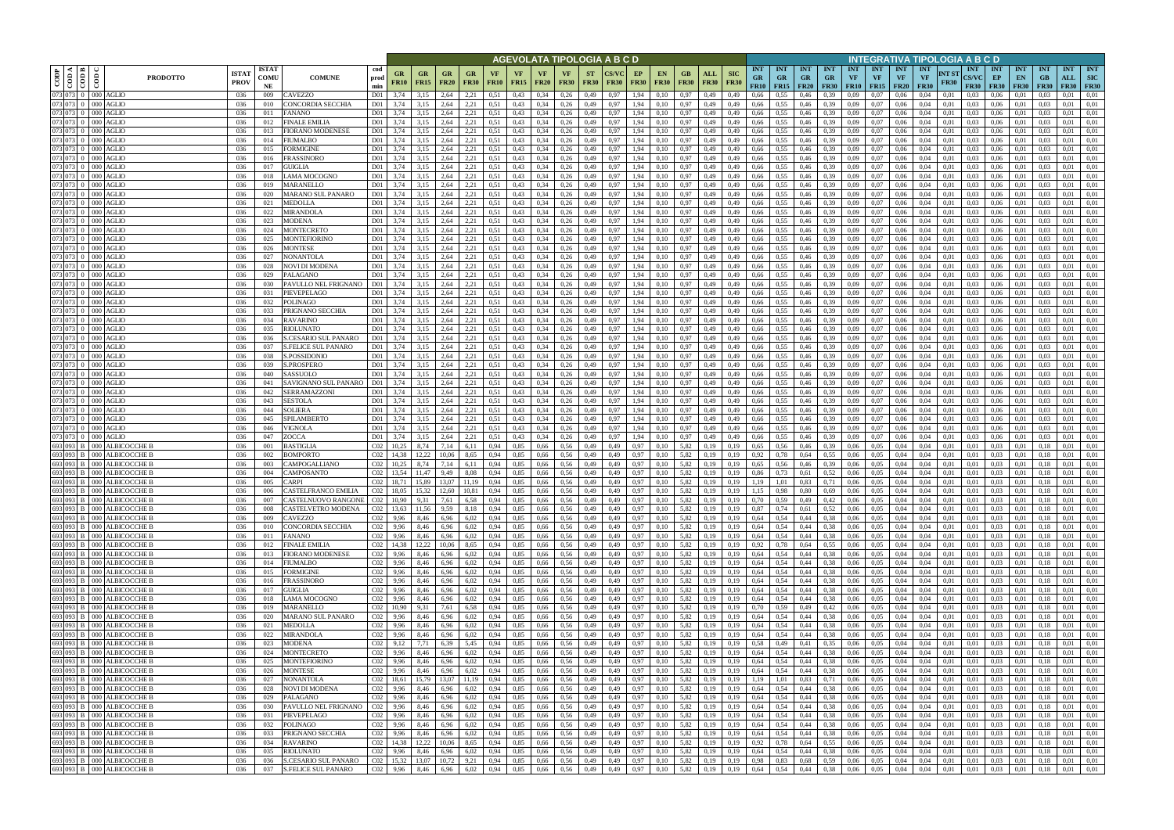|                            |                                                        |                                                                        |                            |                                          |                                               |                   |                          |                          |                          |                   |              |                          |                            |                          | AGEVOLATA TIPOLOGIA A B C D |              |                                         |                        |                    |                           |                                        |                                          |                         |                                        |                         |                                             |                                            | INTEGRATIVA TIPOLOGIA A B C D   |                      |                                           |                                 |                                 |                           |                   |                                              |
|----------------------------|--------------------------------------------------------|------------------------------------------------------------------------|----------------------------|------------------------------------------|-----------------------------------------------|-------------------|--------------------------|--------------------------|--------------------------|-------------------|--------------|--------------------------|----------------------------|--------------------------|-----------------------------|--------------|-----------------------------------------|------------------------|--------------------|---------------------------|----------------------------------------|------------------------------------------|-------------------------|----------------------------------------|-------------------------|---------------------------------------------|--------------------------------------------|---------------------------------|----------------------|-------------------------------------------|---------------------------------|---------------------------------|---------------------------|-------------------|----------------------------------------------|
| $\overline{\mathrm{CODP}}$ | $\frac{10000000000000}{\pi}$<br>$\overline{\text{co}}$ | <b>ISTAT</b><br><b>PRODOTTO</b><br><b>PROV</b>                         | <b>ISTAT</b><br>COMU<br>NE | <b>COMUNE</b>                            | cod<br>prod<br>min                            | GR<br><b>FR10</b> | <b>GR</b><br><b>FR15</b> | GR<br><b>FR20</b>        | <b>GR</b><br><b>FR30</b> | VF<br><b>FR10</b> | VF<br>FR15   | <b>VF</b><br><b>FR20</b> | <b>VF</b><br><b>FR30</b>   | <b>ST</b><br><b>FR30</b> | <b>CS/VC</b><br><b>FR30</b> | EP           | <b>EN</b><br><b>FR30</b><br><b>FR30</b> | GB<br><b>FR30</b>      | ALL<br><b>FR30</b> | <b>SIC</b><br><b>FR30</b> | <b>INT</b><br><b>GR</b><br><b>FR10</b> | <b>INT</b><br><b>GR</b><br>$FR15$ $FR20$ | <b>INT</b><br><b>GR</b> | <b>INT</b><br><b>GR</b><br><b>FR30</b> | <b>INT</b><br><b>VF</b> | <b>INT</b><br><b>VF</b><br><b>FR10</b> FR15 | <b>INT</b><br>$\mathbf{VF}$<br><b>FR20</b> | <b>INT</b><br>VF<br><b>FR30</b> | NT ST<br><b>FR30</b> | <b>INT</b><br><b>CS/VC</b><br><b>FR30</b> | <b>INT</b><br>EP<br><b>FR30</b> | <b>INT</b><br>EN<br><b>FR30</b> | <b>INT</b><br>GB<br>F R30 | <b>INT</b><br>ALL | <b>INT</b><br><b>SIC</b><br><b>FR30 FR30</b> |
|                            | 073 073 0 000 AGLIO<br>073 073 0 000 AGLIO             | 036<br>036                                                             | 009<br>010                 | CAVEZZO<br>CONCORDIA SECCHIA             | D01<br>D <sub>01</sub>                        | 3,74<br>3,74      | 3,15<br>3,15             | 2,64<br>2,64             | 2,21<br>2,21             | 0.51<br>0,51      | 0,43<br>0,43 | 0,34<br>0,34             | 0,26<br>0,26               | 0,49<br>0,49             | 0.97<br>0,97                | 1,94<br>1,94 | 0,10<br>0,10                            | 0.97<br>0.97           | 0,49<br>0,49       | 0,49<br>0,49              | 0,66<br>0,66                           | 0.55<br>0,55                             | 0.46<br>0,46            | 0.39<br>0,39                           | 0.09<br>0,09            | 0.07<br>0,07                                | 0.06<br>0,06                               | 0.04<br>0.04                    | 0.01<br>0,01         | 0.03<br>0.03                              | 0.06<br>0.06                    | 0.01                            | 0.03                      | 0.01<br>0,01      | 0,01<br>0,01                                 |
| 073 073                    | $0$ 000 AGLIO                                          | 036                                                                    | 011                        | FANANO                                   | D <sub>01</sub>                               |                   | 3,15                     | 2,64                     | 2,21                     | 0,51              | 0,43         | 0,34                     | 0,26                       | 0,49                     | 0.97                        | 1,94         | 0,10                                    | 0,97                   | 0,49               | 0,49                      | 0,66                                   | 0.55                                     | 0,46                    | 0.39                                   | 0,09                    | 0,07                                        | 0,06                                       | 0.04                            | 0.01                 | 0.03                                      | 0,06                            |                                 |                           | 0.01              | 0,01                                         |
|                            | 073 073 0 000 AGLIO                                    | 036                                                                    | 012                        | <b>FINALE EMILIA</b>                     | D <sub>01</sub>                               | 3,74              | 3,15                     | 2,64                     | 2,21                     | 0.51              | 0,43         | 0,34                     | 0,26                       | 0,49                     | 0,97                        | 1,94         | 0,10                                    | 0.97                   | 0,49               | 0,49                      | 0,66                                   | 0.55                                     | 0,46                    | 0.39                                   | 0.09                    | 0.07                                        | 0,06                                       | 0,04                            | 0,01                 | 0.03                                      | 0,06                            | 0,01                            | 0.03                      | 0.01              | 0,01                                         |
|                            | 073 073 0 000 AGLIO<br>073 073 0 000 AGLIO             | 036                                                                    | 013                        | FIORANO MODENESE                         | D01<br>D01                                    | 3,74              | 3,15                     | 2,64<br>2,64             | 2,21                     | 0.51              | 0,43         | 0.34                     | 0,26                       | 0,49                     | 0.97                        | 1,94         | 0.10                                    | 0,97                   | 0,49               | 0,49                      | 0,66                                   | 0.55                                     | 0,46                    | 0.39                                   | 0.09                    | 0.07                                        | 0,06                                       | 0.04                            | 0.01                 | 0.03                                      | 0.06                            | 0.01                            | 0.03                      | 0.01              | 0,01<br>0,01                                 |
|                            | 073 073 0 000 AGLIO                                    | 036<br>036                                                             | 014<br>015                 | FIUMALBO<br><b>FORMIGINE</b>             | D01                                           | 3,74<br>3.74      | 3,15<br>3,15             | 2,64                     | 2,21<br>2,21             | 0,51<br>0.51      | 0,43<br>0,43 | 0.34<br>0.34             | 0,26<br>0,26               | 0,49<br>0,49             | 0,97<br>0.97                | 1,94         | 0,10<br>1.94<br>0.10                    | 0.97<br>0.97           | 0,49<br>0,49       | 0,49<br>0.49              | 0,66<br>0,66                           | 0.55<br>0.55                             | 0,46<br>0,46            | 0.39<br>0.39                           | 0,09<br>0.09            | 0,07<br>0.07                                | 0,06<br>0.06                               | 0,04<br>0.04                    | 0,01<br>0.01         | 0.03<br>0.03                              | 0,06<br>0.06                    | 0,01<br>0.01                    | 0,03                      | 0,01<br>0.01      | 0,01                                         |
|                            | 073 073 0 000 AGLIO                                    | 036                                                                    | 016                        | FRASSINORO                               | D01                                           | 3.74              | 3,15                     | 2,64                     | 2,21                     | 0.51              | 0,43         | 0.34                     | 0,26                       | 0,49                     | 0.97                        | 1.94         | 0,10                                    | 0,97                   | 0,49               | 0,49                      | 0,66                                   | 0,55                                     | 0,46                    | 0.39                                   | 0.09                    | 0.07                                        | 0.06                                       | 0.04                            | 0.01                 | 0.03                                      | 0.06                            | 0,01                            | 0.03                      | 0,01              | 0,01                                         |
|                            | 073 073 0 000 AGLIO                                    | 036                                                                    | 017                        | GUIGLIA                                  | D01                                           | 3,74              | 3,15                     | 2,64                     | 2,21                     | 0.51              | 0,43         | 0.34                     | 0,26                       | 0,49                     | 0.97                        | 1,94         | 0,10                                    | 0.97                   | 0,49               | 0,49                      | 0,66                                   | 0,55                                     | 0,46                    | 0.39                                   | 0.09                    | 0,07                                        | 0,06                                       | 0.04                            | 0.01                 | 0.03                                      | 0,06                            | 0,01                            | 0.03                      | 0.01              | 0,01                                         |
|                            | 073 073 0 000 AGLIO<br>073 073 0 000 AGLIO             | 036<br>036                                                             | 018<br>019                 | LAMA MOCOGNO<br><b>MARANELLO</b>         | D01<br>D01                                    | 3,74<br>3.74      | 3,15<br>3,15             | 2,64<br>2,64             | 2,21<br>2,21             | 0.51<br>0.51      | 0,43<br>0,43 | 0.34<br>0.34             | 0,26<br>0,26               | 0,49<br>0,49             | 0.97<br>0.97                | 1,94<br>1,94 | 0,10<br>0,10                            | 0,97<br>0,97           | 0,49<br>0,49       | 0,49<br>0.49              | 0.66<br>0,66                           | 0.55<br>0.55                             | 0,46<br>0,46            | 0.39<br>0.39                           | 0,09<br>0.09            | 0.07<br>0.07                                | 0.06<br>0.06                               | 0.04<br>0.04                    | 0.01<br>0.01         | 0.03<br>0.03                              | 0.06<br>0.06                    | 0.01<br>0.01                    | 0.03<br>0.03              | 0.01<br>0.01      | 0,01<br>0,01                                 |
|                            | 073 073 0 000 AGLIO                                    | 036                                                                    | 020                        | MARANO SUL PANARO                        | D <sub>01</sub>                               | 3,74              | 3,15                     | 2,64                     | 2,21                     | 0,51              | 0,43         | 0,34                     | 0,26                       | 0,49                     | 0,97                        | 1,94         | 0,10                                    | 0,97                   | 0,49               | 0,49                      | 0,66                                   | 0,55                                     | 0,46                    | 0,39                                   | 0,09                    | 0,07                                        | 0,06                                       | 0,04                            | 0,01                 | 0,03                                      | 0,06                            | 0,01                            | 0.03                      | 0,01              | 0,01                                         |
|                            | 073 073 0 000 AGLIO                                    | 036                                                                    | 021                        | <b>MEDOLLA</b>                           | D <sub>01</sub>                               | 3.74              | 3,15                     | 2,64                     | 2,21                     | 0.51              | 0,43         | 0,34                     | 0,26                       | 0,49                     | 0.97                        | 1,94         | 0,10                                    | 0,97                   | 0,49               | 0,49                      | 0,66                                   | 0,55                                     | 0,46                    | 0.39                                   | 0,09                    | 0,07                                        | 0,06                                       | 0,04                            | 0.01                 | 0.03                                      | 0,06                            | 0,01                            | 0.03                      | 0,01              | 0,01                                         |
|                            | 073 073 0 000 AGLIO                                    | 036                                                                    | 022                        | <b>MIRANDOLA</b>                         | D01                                           | 3,74              | 3,15                     | 2,64                     | 2,21                     | 0,51              | 0,43         | 0,34                     | 0,26                       | 0,49                     | 0,97                        | 1,94         | 0,10                                    | 0,97                   | 0,49               | 0,49                      | 0,66                                   | 0,55                                     | 0,46                    | 0.39                                   | 0,09                    | 0,07                                        | 0,06                                       | 0,04                            | 0,01                 | 0.03                                      | 0,06                            | 0,01                            | 0.03                      | 0,01              | 0,01                                         |
|                            | 073 073 0 000 AGLIO<br>073 073 0 000 AGLIO             | 036<br>036                                                             | 023<br>024                 | MODENA<br>MONTECRETO                     | D <sub>01</sub><br>D01                        | 3,74<br>3,74      | 3,15<br>3,15             | 2,64<br>2,64             | 2,21<br>2,21             | 0,51<br>0,51      | 0,43<br>0,43 | 0,34<br>0,34             | 0,26<br>0,26               | 0,49<br>0,49             | 0.97<br>0.97                | 1,94<br>1,94 | 0,10<br>0,10                            | 0,97<br>0,97           | 0,49<br>0,49       | 0,49<br>0,49              | 0,66<br>0,66                           | 0,55<br>0,55                             | 0,46<br>0,46            | 0,39<br>0.39                           | 0,09<br>0,09            | 0,07<br>0,07                                | 0,06<br>0,06                               | 0,04<br>0.04                    | 0,01<br>0,01         | 0.03<br>0.03                              | 0,06<br>0,06                    | 0,01<br>0,01                    | 0,03<br>0.03              | 0,01<br>0,01      | 0,01<br>0,01                                 |
|                            | 073 073 0 000 AGLIO                                    | 036                                                                    | 025                        | MONTEFIORINO                             | D01                                           | 3,74              | 3,15                     | 2,64                     | 2,21                     | 0,51              | 0,43         | 0,34                     | 0,26                       | 0,49                     | 0,97                        | 1,94         | 0,10                                    | 0,97                   | 0,49               | 0,49                      | 0,66                                   | 0.55                                     | 0,46                    | 0.39                                   | 0,09                    | 0,07                                        | 0,06                                       | 0,04                            | 0.01                 | 0.03                                      | 0,06                            | 0,01                            | 0.03                      | 0,01              | 0,01                                         |
|                            | 073 073 0 000 AGLIO                                    | 036                                                                    | 026                        | <b>MONTESE</b>                           | D01                                           | 3,74              | 3,15                     | 2,64                     | 2,21                     | 0,51              | 0,43         | 0,34                     | 0,26                       | 0,49                     | 0,97                        | 1,94         | 0,10                                    | 0,97                   | 0,49               | 0,49                      | 0,66                                   | 0,55                                     | 0,46                    | 0.39                                   | 0,09                    | 0,07                                        | 0,06                                       | 0,04                            | 0,01                 | 0.03                                      | 0,06                            | 0,01                            | 0.03                      | 0,01              | 0,01                                         |
|                            | 073 073 0 000 AGLIO                                    | 036                                                                    | 027                        | <b>NONANTOLA</b>                         | D <sub>01</sub>                               | 3.74              | 3,15                     | 2.64                     | 2,21                     | 0,51              | 0,43         | 0,34                     | 0,26                       | 0,49                     | 0.97                        | 1,94         | 0,10                                    | 0,97                   | 0,49               | 0.49                      | 0,66                                   | 0.55                                     | 0,46                    | 0.39                                   | 0,09                    | 0,07                                        | 0,06                                       | 0.04                            | 0.01                 | 0.03                                      | 0.06                            | 0,01                            | 0.03                      | 0,01              | 0,01                                         |
|                            | 073 073 0 000 AGLIO<br>073 073 0 000 AGLIO             | 036<br>036                                                             | 028<br>029                 | NOVI DI MODENA<br>PALAGANO               | D <sub>01</sub><br>D <sub>01</sub>            | 3.74<br>3,74      | 3,15<br>3,15             | 2,64<br>2,64             | 2,21<br>2,21             | 0,51<br>0,51      | 0,43<br>0,43 | 0,34<br>0,34             | 0,26<br>0,26               | 0,49<br>0,49             | 0.97<br>0,97                | 1,94<br>1,94 | 0,10<br>0,10                            | 0,97<br>0,97           | 0,49<br>0,49       | 0,49<br>0,49              | 0.66<br>0,66                           | 0,55<br>0.55                             | 0,46<br>0,46            | 0.39<br>0,39                           | 0.09<br>0,09            | 0,07<br>0,07                                | 0.06<br>0,06                               | 0.04<br>0,04                    | 0.01<br>0,01         | 0.03<br>0.03                              | 0.06<br>0,06                    | 0.01<br>0,01                    | 0.03<br>0.03              | 0,01<br>0,01      | 0,01<br>0,01                                 |
|                            | 073 073 0 000 AGLIO                                    | 036                                                                    | 030                        | PAVULLO NEL FRIGNANO                     | D <sub>01</sub>                               | 3.74              | 3.15                     | 2.64                     | 2,21                     | 0.51              | 0,43         | 0,34                     | 0,26                       | 0,49                     | 0.97                        | 1.94         | 0.10                                    | 0,97                   | 0.49               | 0,49                      | 0,66                                   | 0.55                                     | 0,46                    | 0.39                                   | 0.09                    | 0,07                                        | 0,06                                       | 0.04                            | 0.01                 | 0.03                                      | 0.06                            | 0.01                            | 0.03                      | 0.01              | 0.01                                         |
|                            | 073 073 0 000 AGLIO                                    | 036                                                                    | 031                        | PIEVEPELAGO                              | D <sub>01</sub>                               | 3.74              |                          | 2.64                     | 2,21                     | 0.51              | 0,43         | 0,34                     | 0,26                       | 0,49                     | 0.97                        | 1.94         | 0,10                                    | 0,97                   | 0,49               | 0,49                      | 0,66                                   | 0.55                                     | 0,46                    | 0.39                                   | 0.09                    | 0,07                                        | 0,06                                       | 0,04                            | 0.01                 | 0.03                                      | 0.06                            | 0.01                            | 0.03                      | 0,01              | 0.01                                         |
|                            | 073 073 0 000 AGLIO                                    | 036                                                                    | 032                        | POLINAGO                                 | D01                                           | 3.74              | 3,15                     | 2.64                     | 2,21                     | 0.51              | 0,43         | 0.34                     | 0,26                       | 0,49                     | 0.97                        | 1.94         | 0,10                                    | 0,97                   | 0,49               | 0.49                      | 0,66                                   | 0.55                                     | 0,46                    | 0.39                                   | 0,09                    | 0,07                                        | 0.06                                       | 0.04                            | 0.01                 | 0.03                                      | 0,06                            | 0.01                            | 0.03                      | 0.01              | 0,01                                         |
|                            | 073 073 0 000 AGLIO<br>073 073 0 000 AGLIO             | 036<br>036                                                             | 033<br>034                 | PRIGNANO SECCHIA<br>RAVARINO             | D <sub>01</sub><br>D01                        | 3,74<br>3,74      | 3,15<br>3,15             | 2,64<br>2,64             | 2,21<br>2,21             | 0.51<br>0.51      | 0,43<br>0,43 | 0,34<br>0,34             | 0,26<br>0,26               | 0,49<br>0,49             | 0,97<br>0.97                | 1,94<br>1.94 | 0,10<br>0,10                            | 0.97<br>0,97           | 0,49<br>0.49       | 0,49<br>0,49              | 0,66<br>0,66                           | 0.55<br>0.55                             | 0,46<br>0,46            | 0,39<br>0.39                           | 0.09<br>0.09            | 0,07<br>0.07                                | 0,06<br>0,06                               | 0.04<br>0.04                    | 0,01<br>0.01         | 0.03<br>0.03                              | 0,06<br>0.06                    | 0,01<br>0.01                    | 0.03<br>0.03              | 0,01<br>0.01      | 0,01<br>0,01                                 |
|                            | 073 073 0 000 AGLIO                                    | 036                                                                    | 035                        | RIOLUNATO                                | D <sub>01</sub>                               | 3,74              | 3,15                     | 2,64                     | 2,21                     | 0.51              | 0,43         | 0,34                     | 0,26                       | 0,49                     | 0,97                        | 1,94         | 0,10                                    | 0,97                   | 0,49               | 0,49                      | 0,66                                   | 0,55                                     | 0,46                    | 0.39                                   | 0,09                    | 0,07                                        | 0,06                                       | 0.04                            | 0,01                 | 0.03                                      | 0,06                            | 0,01                            | 0.03                      | 0,01              | 0,01                                         |
| 073 073                    | $0$ 000 AGLIO                                          | 036                                                                    | 036                        | <b>S.CESARIO SUL PANARO</b>              | D01                                           | 3.74              | 3,15                     | 2,64                     | 2,21                     | 0.51              | 0,43         | 0.34                     | 0,26                       | 0,49                     | 0.97                        |              | 1,94<br>0.10                            | 0.97                   | 0,49               | 0,49                      | 0,66                                   |                                          | 0,46                    | 0.39                                   | 0.09                    | 0.07                                        | 0,06                                       | 0.04                            | 0.01                 | 0.03                                      | 0.06                            | 0.01                            |                           | 0.01              | 0.01                                         |
|                            | 073 073 0 000 AGLIO                                    | 036                                                                    | 037                        | <b>S.FELICE SUL PANARO</b>               | D <sub>01</sub>                               | 3,74              | 3,15                     | 2,64                     | 2,21                     | 0.51              | 0,43         | 0,34                     | 0,26                       | 0,49                     | 0,97                        | 1,94         | 0.10                                    | 0.97                   | 0,49               | 0,49                      | 0,66                                   | 0,55                                     | 0,46                    | 0.39                                   | 0.09                    | 0.07                                        | 0,06                                       | 0.04                            | 0,01                 | 0.03                                      | 0,06                            | 0,01                            | 0.03                      | 0.01              | 0,01                                         |
|                            | 073 073 0 000 AGLIO<br>073 073 0 000 AGLIO             | 036<br>036                                                             | 038<br>039                 | S.POSSIDONIO<br>S.PROSPERO               | D <sub>01</sub><br>D <sub>01</sub>            | 3,74<br>3.74      | 3,15<br>3,15             | 2,64<br>2,64             | 2,21<br>2,21             | 0.51<br>0.51      | 0,43<br>0,43 | 0.34<br>0.34             | 0,26<br>0,26               | 0,49<br>0,49             | 0,97<br>0.97                | 1,94<br>1,94 | 0,10<br>0,10                            | 0.97<br>0,97           | 0,49<br>0,49       | 0,49<br>0,49              | 0,66<br>0,66                           | 0,55<br>0.55                             | 0,46<br>0,46            | 0.39<br>0.39                           | 0.09<br>0,09            | 0,07<br>0.07                                | 0,06<br>0,06                               | 0.04<br>0.04                    | 0.01<br>0.01         | 0.03<br>0.03                              | 0.06<br>0.06                    | 0,01<br>0,01                    | 0.03<br>0.03              | 0,01<br>0,01      | 0,01<br>0,01                                 |
|                            | 073 073 0 000 AGLIO                                    | 036                                                                    | 040                        | SASSUOLO                                 | D01                                           | 3.74              | 3,15                     | 2,64                     | 2,21                     | 0.51              | 0,43         | 0.34                     | 0,26                       | 0,49                     | 0.97                        | 1,94         | 0.10                                    | 0.97                   | 0,49               | 0.49                      | 0,66                                   | 0.55                                     | 0,46                    | 0.39                                   | 0.09                    | 0.07                                        | 0.06                                       | 0.04                            | 0.01                 | 0.03                                      | 0.06                            | 0.01                            | 0.03                      | 0.01              | 0,01                                         |
|                            | 073 073 0 000 AGLIO                                    | 036                                                                    | 041                        | SAVIGNANO SUL PANARO                     | D01                                           | 3,74              | 3,15                     | 2,64                     | 2,21                     | 0.51              | 0,43         | 0,34                     | 0,26                       | 0,49                     | 0,97                        | 1,94         | 0,10                                    | 0,97                   | 0,49               | 0,49                      | 0,66                                   | 0,55                                     | 0,46                    | 0.39                                   | 0,09                    | 0,07                                        | 0,06                                       | 0.04                            | 0.01                 | 0.03                                      | 0,06                            | 0,01                            | 0.03                      | 0,01              | 0,01                                         |
|                            | 073 073 0 000 AGLIO<br>073 073 0 000 AGLIO             | 036                                                                    | 042                        | SERRAMAZZONI                             | D01                                           | 3.74              | 3,15                     | 2.64                     | 2,21                     | 0.51              | 0,43         | 0.34                     | 0,26                       | 0,49                     | 0.97                        | 1,94         | 0,10                                    | 0,97                   | 0,49               | 0,49                      | 0,66                                   | 0.55                                     | 0.46                    | 0.39                                   | 0.09                    | 0.07                                        | 0.06                                       | 0.04                            | 0.01                 | 0.03                                      | 0.06                            | 0.01                            | 0.03                      | 0.01              | 0,01                                         |
|                            | 073 073 0 000 AGLIO                                    | 036<br>036                                                             | 043<br>044                 | <b>SESTOLA</b><br>SOLIERA                | D01<br>D01                                    | 3,74<br>3,74      | 3,15<br>3,15             | 2,64<br>2,64             | 2,21<br>2,21             | 0.51<br>0,51      | 0,43<br>0,43 | 0,34<br>0,34             | 0,26<br>0,26               | 0,49<br>0,49             | 0,97<br>0,97                |              | 1,94<br>0,10<br>1,94<br>0,10            | 0,97<br>0,97           | 0,49<br>0,49       | 0,49<br>0,49              | 0.66<br>0,66                           | 0,55<br>0,55                             | 0,46<br>0,46            | 0.39<br>0,39                           | 0,09<br>0,09            | 0,07<br>0,07                                | 0,06<br>0,06                               | 0.04<br>0,04                    | 0.01<br>0.01         | 0.03<br>0,03                              | 0.06<br>0,06                    | 0,01<br>0,01                    | 0.03<br>0,03              | 0,01<br>0.01      | 0,01<br>0,01                                 |
|                            | 073 073 0 000 AGLIO                                    | 036                                                                    | 045                        | SPILAMBERTO                              | D01                                           | 3,74              | 3,15                     | 2,64                     | 2,21                     | 0.51              | 0,43         | 0,34                     | 0,26                       | 0,49                     | 0,97                        | 1,94         | 0,10                                    | 0,97                   | 0,49               | 0,49                      | 0,66                                   | 0,55                                     | 0,46                    | 0,39                                   | 0,09                    | 0,07                                        | 0,06                                       | 0,04                            | 0,01                 | 0.03                                      | 0,06                            | 0,01                            | 0.03                      | 0,01              | 0,01                                         |
|                            | 073 073 0 000 AGLIO                                    | 036                                                                    | 046                        | VIGNOLA                                  | D01                                           | 3,74              | 3,15                     | 2,64                     | 2,21                     | 0.51              | 0,43         | 0,34                     | 0,26                       | 0,49                     | 0,97                        | 1,94         | 0,10                                    | 0,97                   | 0,49               | 0,49                      | 0,66                                   | 0,55                                     | 0,46                    | 0.39                                   | 0,09                    | 0,07                                        | 0,06                                       | 0,04                            | 0.01                 | 0.03                                      | 0,06                            | 0,01                            | 0.03                      | 0,01              | 0,01                                         |
|                            | 073 073 0 000 AGLIO                                    | 036<br>693 093 B 000 ALBICOCCHE B<br>036                               | 047<br>001                 | ZOCCA<br><b>BASTIGLIA</b>                | D <sub>01</sub><br>CO <sub>2</sub>            | 3,74<br>10,25     | 3,15<br>8,74             | 2,64<br>7,14             | 2,21<br>6,11             | 0,51<br>0,94      | 0,43<br>0,85 | 0,34<br>0,66             | 0,26<br>0.56               | 0,49<br>0,49             | 0.97<br>0,49                | 1,94<br>0,97 | 0,10<br>0,10                            | 0,97<br>5,82           | 0,49<br>0,19       | 0,49<br>0,19              | 0,66<br>0,65                           | 0,55<br>0,56                             | 0,46<br>0,46            | 0,39<br>0.39                           | 0,09<br>0,06            | 0,07<br>0,05                                | 0,06<br>0,04                               | 0,04<br>0,04                    | 0,01<br>0.01         | 0,03<br>0,01                              | 0,06<br>0.03                    | 0,01<br>0,01                    | 0,03<br>0.18              | 0,01<br>0,01      | 0,01<br>0,01                                 |
|                            |                                                        | 693 093 B 000 ALBICOCCHE B<br>036                                      | 002                        | BOMPORTO                                 | CO <sub>2</sub>                               | 14,38             | 12.22                    | 10,06                    | 8,65                     | 0,94              | 0,85         | 0,66                     | 0,56                       | 0,49                     | 0,49                        | 0,97         | 0,10                                    | 5,82                   | 0,19               | 0,19                      | 0,92                                   | 0,78                                     | 0,64                    | 0.55                                   | 0,06                    | 0,05                                        | 0,04                                       | 0,04                            | 0,01                 | 0,01                                      | 0,03                            | 0,01                            | 0.18                      | 0,01              | 0,01                                         |
|                            |                                                        | 693 093 B 000 ALBICOCCHE B<br>036                                      | 003                        | CAMPOGALLIANO                            | CO <sub>2</sub>                               | 10,25             | 8,74                     | 7,14                     | 6,11                     | 0,94              | 0,85         | 0,66                     | 0,56                       | 0,49                     | 0,49                        | 0,97         | 0,10                                    | 5,82                   | 0,19               | 0,19                      | 0,65                                   | 0,56                                     | 0,46                    | 0.39                                   | 0,06                    | 0,05                                        | 0,04                                       | 0,04                            | 0,01                 | 0,01                                      | 0,03                            | 0,01                            | 0,18                      | 0,01              | 0,01                                         |
|                            |                                                        | 693 093 B 000 ALBICOCCHE B<br>036                                      | 004                        | CAMPOSANTO                               | CO <sub>2</sub>                               | 13.54             | 11.47                    | 9.49                     | 8.08                     | 0.94              | 0,85         | 0,66                     | 0.56                       | 0,49                     | 0.49                        | 0,97         | 0.10                                    | 5,82                   | 0.19               | 0.19                      | 0,86                                   | 0.73                                     | 0,61                    | 0,52                                   | 0,06                    | 0,05                                        | 0.04                                       | 0.04                            | 0.01                 | 0.01                                      | 0,03                            | 0,01                            | 0.18                      | 0,01              | 0,01                                         |
|                            |                                                        | 693 093 B 000 ALBICOCCHE B<br>036<br>693 093 B 000 ALBICOCCHE B<br>036 | 005<br>006                 | CARPI<br><b>CASTELFRANCO EMILIA</b>      | CO2<br>C <sub>02</sub> 18,05                  | 18,71             | 15,89                    | 13,07<br>15,32 12,60     | 11,19<br>10,81           | 0,94<br>0,94      | 0,85<br>0,85 | 0,66<br>0,66             | 0,56<br>0,56               | 0,49<br>0,49             | 0,49<br>0,49                | 0,97         | 0,10<br>0,97<br>0,10                    | 5,82<br>5,82           | 0,19<br>0,19       | 0,19<br>0,19              | 1,19<br>1,15                           | 1,01<br>0,98                             | 0,83<br>0,80            | 0,71<br>0,69                           | 0,06<br>0,06            | 0,05<br>0,05                                | 0,04<br>0,04                               | 0,04<br>0.04                    | 0,01<br>0,01         | 0.01<br>0,01                              | 0,03<br>0.03                    | 0,01<br>0,01                    | 0.18<br>0.18              | 0,01<br>0.01      | 0,01<br>0,01                                 |
|                            |                                                        | 693 093 B 000 ALBICOCCHE B<br>036                                      | 007                        | CASTELNUOVO RANGONE   C02   10,90        |                                               |                   | 9,31                     | 7,61                     | 6,58                     | 0,94              | 0,85         | 0,66                     | 0,56                       | 0,49                     | 0,49                        |              | 0,97<br>0,10                            | 5,82                   | 0,19               | 0,19                      | 0,70                                   | 0,59                                     | 0,49                    | 0,42                                   | 0,06                    | 0,05                                        | 0,04                                       | 0,04                            | 0,01                 | 0,01                                      | 0,03                            | 0,01                            | 0,18                      | 0,01              | 0,01                                         |
|                            |                                                        | 693 093 B 000 ALBICOCCHE B<br>036                                      | 008                        | CASTELVETRO MODENA                       | C <sub>02</sub> 13,63                         |                   | 11,56                    | 9,59                     | 8,18                     | 0,94              | 0,85         |                          | $0,66$ 0.56                | 0,49                     | 0,49                        |              | 0,97<br>0,10                            | 5,82                   | 0,19               | 0,19                      | 0,87                                   | 0,74                                     | 0,61                    | 0,52                                   | 0,06                    | 0,05                                        | 0,04                                       | 0,04                            | 0,01                 | 0,01                                      | 0,03                            | 0,01                            | 0,18                      | 0,01              | 0,01                                         |
|                            |                                                        | 693 093 B 000 ALBICOCCHE B<br>036<br>693 093 B 000 ALBICOCCHE B        | 009                        | CAVEZZO                                  | C <sub>02</sub> 9,96                          |                   | 8,46                     | 6,96                     | 6,02                     | 0,94              | 0,85         |                          | $0,66$ 0.56                | 0,49                     | 0,49                        |              | 0,97<br>0,10                            |                        | 5,82 0,19          | 0,19                      | 0,64                                   | 0,54                                     | 0,44                    | 0,38                                   | 0,06                    | 0,05                                        | 0,04                                       | 0,04                            | 0,01                 | 0,01                                      | $0,03$ $0,01$                   |                                 | 0,18                      | 0,01              | 0,01                                         |
|                            |                                                        | 036<br>693 093 B 000 ALBICOCCHE B<br>036                               | 010<br>011                 | CONCORDIA SECCHIA<br>FANANO              | $C02$ 9,96<br>$C02$ 9,96                      |                   | 8,46<br>8,46             | 6,96<br>6,96             | 6,02<br>6,02             | 0,94<br>0,94      | 0,85<br>0,85 |                          | 0,66 0,56<br>0,66 0,56     | 0,49<br>0,49             | 0,49<br>0,49                | 0,97         | 0,97<br>0,10<br>0,10                    | 5,82                   | 5,82 0,19<br>0,19  | 0,19<br>0,19              | 0,64<br>0,64                           | 0,54<br>0,54                             | 0,44<br>0,44            | 0,38<br>0,38                           | 0,06                    | $0.06\qquad 0.05$<br>0,05                   | 0,04<br>0,04                               | 0,04<br>0,04                    | 0,01<br>0,01         | 0,01<br>0,01                              | $0.03 \qquad 0.01$<br>0,03      | 0,01                            | 0,18<br>0,18              | 0,01<br>0,01      | 0,01<br>0,01                                 |
|                            |                                                        | 693 093 B 000 ALBICOCCHE B<br>036                                      | 012                        | <b>FINALE EMILIA</b>                     | C <sub>02</sub> 14,38                         |                   | 12,22                    | 10,06                    | 8,65                     | 0,94              | 0,85         | 0,66                     | 0,56                       | 0,49                     | 0,49                        | 0,97         | 0,10                                    | 5,82                   | 0,19               | 0,19                      | 0,92                                   | 0,78                                     | 0,64                    | 0,55                                   | 0,06                    | 0,05                                        | 0,04                                       | 0,04                            | 0,01                 | 0,01                                      | 0,03                            | 0,01                            | 0,18                      | 0,01              | 0,01                                         |
|                            |                                                        | 693 093 B 000 ALBICOCCHE B<br>036                                      | 013                        | <b>FIORANO MODENESE</b>                  | C <sub>02</sub> 9,96                          |                   | 8,46                     | 6,96                     | 6,02                     | 0,94              | 0,85         | 0,66                     | 0,56                       | 0,49                     | 0,49                        | 0,97         | 0,10                                    | 5,82                   | 0,19               | 0,19                      | 0,64                                   | 0,54                                     | 0,44                    | 0,38                                   | 0,06                    | 0,05                                        | 0,04                                       | 0,04                            | 0,01                 | 0,01                                      | 0,03                            | 0,01                            | 0,18                      | 0,01              | 0,01                                         |
|                            |                                                        | 693 093 B 000 ALBICOCCHE B<br>036<br>693 093 B 000 ALBICOCCHE B<br>036 | 014<br>015                 | FIUMALBO<br><b>FORMIGINE</b>             | $C02$ 9,96<br>$C02$ 9,96                      |                   | 8,46                     | 6,96<br>6,96             | 6,02<br>6,02             | 0,94<br>0,94      | 0,85<br>0,85 | 0,66<br>0,66             | 0,56<br>0,56               | 0,49<br>0,49             | 0,49<br>0,49                |              | 0,97<br>0,10<br>0,10                    | 5,82<br>5,82           | 0,19               | 0,19<br>0,19              | 0,64<br>0,64                           | 0,54<br>0,54                             | 0,44<br>0,44            | 0,38<br>0,38                           | 0,06<br>0,06            | 0,05<br>0,05                                | 0,04<br>0,04                               | 0,04<br>0,04                    | 0,01<br>0,01         | 0,01<br>0,01                              | 0,03<br>0,03                    | 0,01<br>0,01                    | 0,18<br>0,18              | 0,01<br>0,01      | 0,01<br>0,01                                 |
|                            |                                                        | $\overline{693}$ 093 B 000 ALBICOCCHE B<br>036                         | 016                        | <b>FRASSINORO</b>                        | $C02$ 9,96                                    |                   | 8,46<br>8,46             | 6,96                     | $6,02$ 0.94              |                   | 0,85         |                          | 0,66 0,56                  | 0,49                     | 0,49                        |              | 0,97<br>0,97<br>0,10                    | 5,82 0,19              | 0,19               | 0,19                      | 0,64                                   | $0,54$ 0,44                              |                         | 0,38                                   |                         | $0,06$ 0.05                                 | 0,04                                       | 0,04                            | 0,01                 | 0,01                                      | $0,03$ $0,01$                   |                                 | 0,18                      | 0.01              | 0,01                                         |
|                            |                                                        | 693 093 B 000 ALBICOCCHE B<br>036                                      | 017                        | <b>GUIGLIA</b>                           | $C02$ 9,96                                    |                   | 8,46                     | 6,96                     | 6,02 0,94                |                   | 0,85         |                          | 0,66 0,56                  | 0,49                     | 0,49                        |              | 0,97<br>0,10                            |                        | 5,82 0,19          | 0,19                      | 0,64                                   | $0,54$ 0,44                              |                         | 0,38                                   |                         | $0,06$ 0.05                                 | 0,04                                       | 0,04                            | 0,01                 | 0,01                                      | $0,03$ $0,01$                   |                                 | 0,18                      |                   | $0,01$ $0,01$                                |
|                            |                                                        | 693 093 B 000 ALBICOCCHE B<br>036                                      | 018                        | LAMA MOCOGNO                             | $C02$ 9,96                                    |                   | 8,46                     | 6,96                     | 6,02                     | 0,94              | 0,85         |                          | 0,66 0,56                  | 0,49                     | 0,49                        |              | 0,97<br>0,10                            | 5,82 0,19              |                    | 0,19                      | 0,64                                   | $0,54$ 0,44                              |                         | 0,38                                   |                         | $0,06$ 0.05                                 | 0,04                                       | 0,04                            | 0,01                 | 0,01                                      | 0,03                            | 0,01                            | 0,18                      | 0.01              | 0,01                                         |
|                            |                                                        | 693 093 B 000 ALBICOCCHE B<br>036<br>693 093 B 000 ALBICOCCHE B<br>036 | 019<br>020                 | MARANELLO<br>MARANO SUL PANARO           | C <sub>02</sub> 10,90<br>C <sub>02</sub> 9,96 |                   | 9,31<br>8,46             | 7,61<br>6,96             | 6,58<br>6,02             | 0,94<br>0,94      | 0,85<br>0,85 |                          | $0,66$ 0.56<br>$0,66$ 0.56 | 0,49<br>0,49             | 0,49<br>0,49                |              | 0,10<br>0,97<br>0,97<br>0,10            | $5,82$ 0,19            | 5,82 0,19          | 0,19<br>0,19              | 0,70<br>0,64                           | 0,59<br>$0,54$ 0.44                      | 0,49                    | 0,42<br>0,38                           | 0,06<br>0,06            | 0,05<br>0,05                                | 0,04<br>0,04                               | 0,04<br>0,04                    | 0,01<br>0,01         | 0,01<br>0,01                              | 0,03<br>$0,03$ 0.01             | 0,01                            | 0,18<br>0,18              | 0.01<br>0,01      | 0,01<br>0,01                                 |
|                            |                                                        | 693 093 B 000 ALBICOCCHE B<br>036                                      | 021                        | MEDOLLA                                  | C <sub>02</sub> 9,96                          |                   | 8,46                     | 6,96                     | 6,02                     | 0,94              | 0,85         |                          | 0,66 0,56                  | 0,49                     | 0,49                        |              | 0,97<br>0,10                            | 5,82 0,19              |                    | 0,19                      | 0,64                                   | $0,54$ 0,44                              |                         | 0,38                                   | 0,06                    | 0,05                                        | 0,04                                       | 0,04                            | 0,01                 | 0,01                                      | $0,03$ 0.01                     |                                 | 0,18                      | 0,01              | 0,01                                         |
|                            |                                                        | 693 093 B 000 ALBICOCCHE B<br>036                                      | 022                        | <b>MIRANDOLA</b>                         | $C02$ 9,96                                    |                   | 8,46                     | 6,96                     | 6,02                     | 0,94              | 0,85         |                          | $0,66$ 0.56                | 0,49                     | 0,49                        |              | 0,97<br>0,10                            |                        | 5,82 0,19          | 0,19                      | 0,64                                   | 0,54                                     | 0,44                    | 0,38                                   | 0,06                    | 0,05                                        | 0,04                                       | 0,04                            | 0,01                 | 0,01                                      | 0,03                            | 0,01                            | 0,18                      | 0,01              | 0,01                                         |
|                            |                                                        | 693 093 B 000 ALBICOCCHE B<br>036                                      | 023                        | <b>MODENA</b>                            | $C02$ 9,12                                    |                   | 7,71                     | 6,39                     | 5,45                     | 0,94              | 0,85         |                          | $0,66$ 0.56                | 0,49                     | 0,49                        |              | 0,97<br>0,10                            |                        | 5,82 0,19          | 0,19                      | 0,58                                   | 0,49                                     | 0,41                    | 0,35                                   | 0,06                    | 0,05                                        | 0,04                                       | 0,04                            | 0,01                 | 0,01                                      | 0,03                            | 0,01                            | 0,18                      | 0,01              | 0,01                                         |
|                            |                                                        | 693 093 B 000 ALBICOCCHE B<br>036<br>693 093 B 000 ALBICOCCHE B<br>036 | 024<br>025                 | <b>MONTECRETO</b><br><b>MONTEFIORINO</b> | $C02$ 9,96<br>$C02$ 9,96                      |                   | 8,46<br>8,46             | 6,96<br>6,96             | 6,02<br>6,02             | 0,94<br>0,94      | 0,85<br>0,85 |                          | $0,66$ 0.56<br>0,66 0,56   | 0,49<br>0,49             | 0,49<br>0,49                |              | 0,97<br>0,10<br>$0,97$ 0,10             | 5,82 0,19              | 5,82 0,19          | 0,19<br>0,19              | 0,64<br>0,64                           | 0,54<br>$0,54$ $0,44$                    | 0,44                    | 0,38<br>0,38                           | 0,06                    | 0,05<br>$0,06$ 0.05                         | 0,04<br>0,04                               | 0,04<br>0,04                    | 0,01<br>0,01         | 0,01<br>0,01                              | 0,03<br>$0,03$ 0.01             | 0,01                            | 0,18<br>  0.18            | 0,01<br>0,01      | 0,01<br>0,01                                 |
|                            |                                                        | 693 093 B 000 ALBICOCCHE B<br>036                                      | 026                        | <b>MONTESE</b>                           | $C02$ 9,96                                    |                   |                          | 8,46 6,96                | 6,02                     | 0.94              | 0,85         |                          | 0,66 0,56                  | 0,49                     | 0,49                        |              | $0,97$ 0,10                             |                        | 5,82 0,19          | 0,19                      |                                        | $0,64$ 0.54 0.44                         |                         | 0,38                                   |                         | $0,06$ 0.05                                 | 0,04                                       | 0,04                            | 0,01                 | 0,01                                      | $0,03$ $0,01$                   |                                 | 0,18                      | 0,01              | 0,01                                         |
|                            |                                                        | 693 093 B 000 ALBICOCCHE B<br>036                                      | 027                        | <b>NONANTOLA</b>                         | C <sub>02</sub> 18,61                         |                   |                          | $15,79$ 13,07 11,19 0,94 |                          |                   | 0,85         |                          | $0,66$ 0.56                | 0,49                     | 0,49                        |              | $0,97$ 0,10                             |                        | 5,82 0,19          | 0,19                      | 1,19                                   | 1,01                                     | 0,83                    | 0,71                                   |                         | $0,06$ 0.05                                 | 0,04                                       | 0,04                            | 0,01                 | 0,01                                      | 0,03                            | 0,01                            | 0,18                      | 0,01              | 0,01                                         |
|                            |                                                        | 693 093 B 000 ALBICOCCHE B<br>036                                      | 028                        | NOVI DI MODENA                           | $C02$ 9,96                                    |                   | 8,46                     | 6,96                     | 6,02                     | 0,94              | 0,85         | 0,66 0,56                |                            | 0,49                     | 0,49                        |              | $0,97$ $0,10$                           | 5,82 0,19              |                    | 0,19                      | 0,64                                   | 0,54                                     | 0,44                    | 0,38                                   |                         | $0,06$ 0.05                                 | 0,04                                       | 0,04                            | 0,01                 | 0,01                                      | 0,03                            | 0,01                            | 0,18                      | 0,01              | 0,01                                         |
|                            |                                                        | 693 093 B 000 ALBICOCCHE B<br>036<br>693 093 B 000 ALBICOCCHE B<br>036 | 029<br>030                 | PALAGANO<br>PAVULLO NEL FRIGNANO         | $C02$ 9.96<br>C <sub>02</sub> 9,96            |                   | 8,46<br>8,46             | 6,96<br>6,96             | 6,02<br>6,02             | 0,94<br>0,94      | 0,85<br>0,85 | $0,66$ 0.56              | $0,66$ 0.56                | 0,49<br>0,49             | 0,49<br>0,49                |              | $0,97$ 0,10<br>$0,97$ 0,10              | 5,82 0,19<br>5,82 0,19 |                    | 0,19<br>0,19              | 0,64<br>$0,64$ 0.54                    | 0,54                                     | 0,44<br>0,44            | 0,38<br>0,38                           |                         | $0,06$ 0.05<br>$0,06$ 0.05                  | 0,04<br>0,04                               | 0,04<br>0,04                    | 0,01<br>0,01         | 0,01<br>0,01                              | 0,03<br>$0,03$ $0,01$           | 0,01                            | 0,18<br>0,18              | 0,01<br>0,01      | 0,01<br>0,01                                 |
|                            |                                                        | 693 093 B 000 ALBICOCCHE B<br>036                                      | 031                        | PIEVEPELAGO                              | $C02$ 9,96                                    |                   | 8,46                     | 6,96                     | 6,02                     | 0,94              | 0,85         |                          | 0,66 0,56                  | 0,49                     | 0,49                        |              | $0,97$ $0,10$                           |                        | 5,82 0,19          | 0,19                      |                                        | $0,64$ 0.54 0.44                         |                         | 0,38                                   |                         | $0,06$ 0.05                                 | 0,04                                       | 0,04                            | 0,01                 | 0,01                                      | $0,03$ $0,01$                   |                                 | 0,18                      | 0,01              | 0,01                                         |
|                            |                                                        | 693 093 B 000 ALBICOCCHE B<br>036                                      | 032                        | POLINAGO                                 | C <sub>02</sub> 9,96                          |                   | 8,46                     | 6,96                     | 6,02                     | 0,94              | 0,85         |                          | 0,66 0,56                  | 0,49                     | 0,49                        | 0,97         | 0,10                                    | 5,82 0,19              |                    | 0,19                      | 0,64                                   | 0,54                                     | 0,44                    | 0,38                                   | 0,06                    | 0,05                                        | 0,04                                       | 0,04                            | 0,01                 | 0,01                                      | 0,03                            | 0,01                            | 0,18                      | 0,01              | 0,01                                         |
|                            |                                                        | 693 093 B 000 ALBICOCCHE B<br>036                                      | 033                        | PRIGNANO SECCHIA                         | $C02$ 9,96                                    |                   | 8,46                     | 6,96                     | 6,02                     | 0,94              | 0,85         |                          | $0,66$ 0.56                | 0,49                     | 0,49                        | 0,97         | 0,10                                    | 5,82                   | 0,19               | 0,19                      | 0,64                                   | 0,54                                     | 0,44                    | 0,38                                   | 0,06                    | 0,05                                        | 0,04                                       | 0,04                            | 0,01                 | 0,01                                      | 0,03                            | 0,01                            | 0,18                      | 0,01              | 0,01                                         |
|                            |                                                        | 693 093 B 000 ALBICOCCHE B<br>036<br>693 093 B 000 ALBICOCCHE B<br>036 | 034<br>035                 | RAVARINO<br>RIOLUNATO                    | C <sub>02</sub> 14,38<br>$C02$ 9.96           |                   | 12,22<br>8,46            | 10,06<br>6,96            | 8,65<br>6,02             | 0,94<br>0,94      | 0,85<br>0,85 | 0,66                     | 0,56<br>0,66 0,56          | 0,49<br>0,49             | 0,49<br>0,49                | 0,97         | 0,10<br>0,97<br>0,10                    | 5,82<br>5,82           | 0,19<br>0,19       | 0,19<br>0,19              | 0,92<br>0,64                           | 0,78<br>0,54                             | 0,64<br>0,44            | 0,55<br>0,38                           | 0,06<br>0,06            | 0,05<br>0,05                                | 0,04<br>0,04                               | 0,04<br>0,04                    | 0,01<br>0,01         | 0,01<br>0,01                              | 0,03<br>$0,03$ $0,01$           | 0,01                            | 0,18<br>0,18              | 0,01<br>0,01      | 0,01<br>0,01                                 |
|                            |                                                        | 693 093 B 000 ALBICOCCHE B<br>036                                      | 036                        | S.CESARIO SUL PANARO                     |                                               |                   |                          | $CO2$ 15,32 13,07 10,72  | 9,21                     | 0,94              | 0,85         |                          | 0,66 0,56                  | 0,49                     | 0,49                        |              | 0,97<br>0,10                            | 5,82 0,19              |                    | 0,19                      | 0,98                                   | 0,83 0,68                                |                         | 0,59                                   |                         | $0,06$ 0.05                                 | 0,04                                       | 0,04                            | 0,01                 | 0,01                                      | $0,03$ $0,01$                   |                                 | 0,18                      | 0,01              | 0,01                                         |
|                            |                                                        | 693 093 B 000 ALBICOCCHE B<br>036                                      | 037                        | <b>S.FELICE SUL PANARO</b>               |                                               |                   |                          | $C02$ 9,96 8,46 6,96     | 6,02                     | 0,94              | 0,85         |                          |                            |                          | $0,66$ 0.56 0.49 0.49       |              | $0,10$ $5,82$ $0,19$<br>0,97            |                        |                    |                           | $0,19$ 0.64 0.54 0.44 0.38             |                                          |                         |                                        |                         | $0,06$ 0.05                                 | 0,04                                       | 0,04                            | 0,01                 | $0,01$ $0,03$ $0,01$                      |                                 |                                 | 0,18                      |                   | $0,01$ $0,01$                                |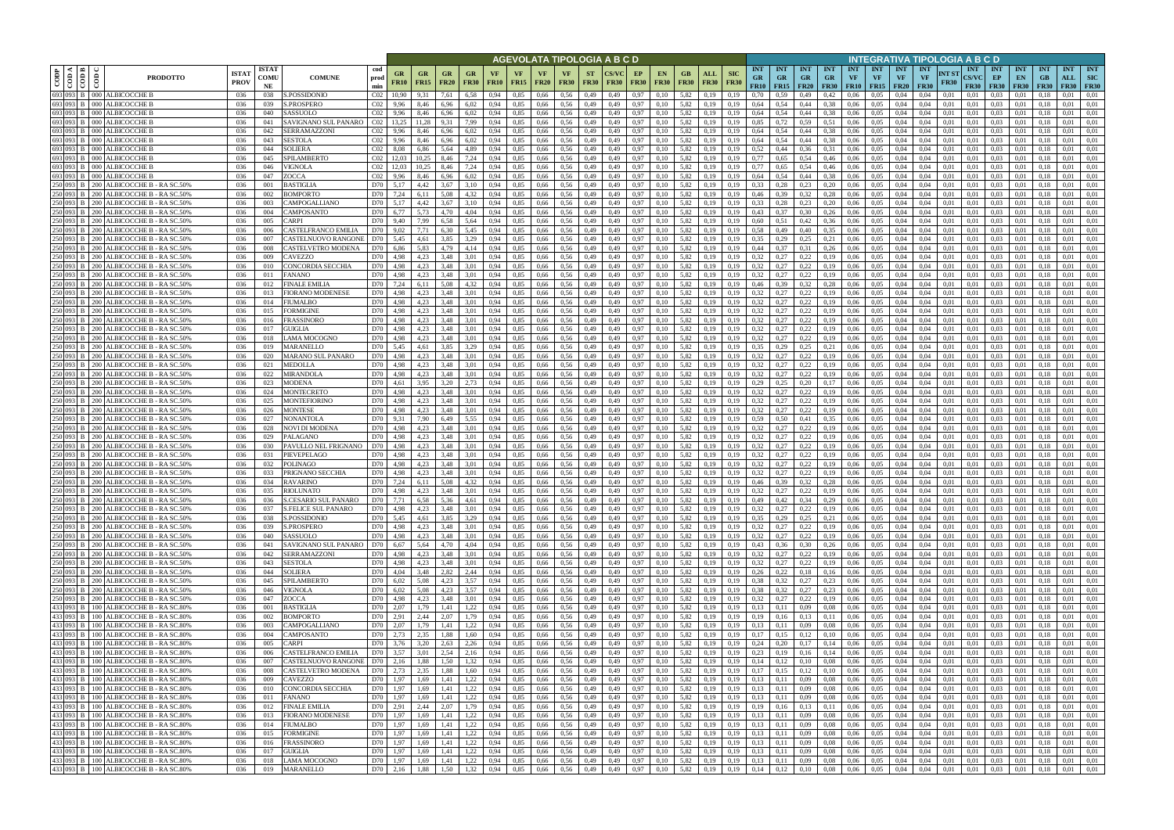|           |                                       |                                                                                     |                             |                            |                                                 |                                    |                      |                   |                                       |                                |                   |                   |                            |                   |                          | AGEVOLATA TIPOLOGIA A B C D |              |                                                                          |                        |                    |                                                          |                                 |                                        |                                                      |                                 |                         |                                             |                                        | INTEGRATIVA TIPOLOGIA A B C D |                      |                                           |                                   |                                 |                           |                           |                                  |
|-----------|---------------------------------------|-------------------------------------------------------------------------------------|-----------------------------|----------------------------|-------------------------------------------------|------------------------------------|----------------------|-------------------|---------------------------------------|--------------------------------|-------------------|-------------------|----------------------------|-------------------|--------------------------|-----------------------------|--------------|--------------------------------------------------------------------------|------------------------|--------------------|----------------------------------------------------------|---------------------------------|----------------------------------------|------------------------------------------------------|---------------------------------|-------------------------|---------------------------------------------|----------------------------------------|-------------------------------|----------------------|-------------------------------------------|-----------------------------------|---------------------------------|---------------------------|---------------------------|----------------------------------|
| CODP      | ≺ I ¤ I<br>$rac{1}{\sqrt{100}}$<br>ම් | <b>PRODOTTO</b>                                                                     | <b>ISTA7</b><br><b>PROV</b> | <b>ISTAT</b><br>COMU<br>NE | <b>COMUNE</b>                                   | cod<br>prod<br>min                 | GR<br>FR10           | GR<br><b>FR15</b> | <b>FR20</b>                           | <b>GR</b><br><b>FR30</b>       | VF<br><b>FR10</b> | VF<br><b>FR15</b> | <b>VF</b><br><b>FR20</b>   | VF<br><b>FR30</b> | <b>ST</b><br><b>FR30</b> | <b>FR30</b>                 | EP           | EN<br><b>FR30</b><br><b>FR30</b>                                         | GB.<br><b>FR30</b>     | ALL<br><b>FR30</b> | <b>SIC</b><br><b>FR30</b>                                | <b>INT</b><br><b>GR</b><br>FR10 | <b>INT</b><br><b>GR</b><br>$FR15$ FR20 | <b>INT</b><br><b>GR</b>                              | <b>INT</b><br>GR<br><b>FR30</b> | <b>INT</b><br><b>VF</b> | <b>INT</b><br><b>VF</b><br><b>FR10</b> FR15 | <b>INT</b><br><b>VF</b><br><b>FR20</b> | <b>INT</b><br>VF              | NT ST<br><b>FR30</b> | <b>INT</b><br><b>CS/VC</b><br><b>FR30</b> | <b>INT</b><br>EP<br><b>FR30</b>   | <b>INT</b><br>EN<br><b>FR30</b> | <b>INT</b><br><b>FR30</b> | <b>INT</b><br>ALL<br>FR30 | <b>INT</b><br>SIC<br><b>FR30</b> |
|           |                                       | 693 093 B 000 ALBICOCCHE B                                                          | 036                         | 038                        | S.POSSIDONIO                                    | CO2                                | 10.90                | 9,31              | 7,61                                  | 6,58                           | 0.94              | 0.85              | 0,66                       | 0.56              | 0,49                     | 0,49                        |              | 0,97<br>0.10                                                             | 5,82                   | 0.19               | 0.19                                                     | 0.70                            | 0.59                                   | 0,49                                                 | 0,42                            | 0.06                    | 0.05                                        | 0.04                                   | 0.04                          | 0.01                 | 0.01                                      | 0.03                              | 0.01                            |                           | 0.01                      | 0.01                             |
|           |                                       | 693 093 B 000 ALBICOCCHE B<br>693 093 B 000 ALBICOCCHE B                            | 036<br>036                  | 039<br>040                 | <b>S.PROSPERO</b><br>SASSUOLO                   | CO <sub>2</sub><br>CO <sub>2</sub> | 9,96<br>9,96         | 8,46<br>8,46      | 6,96<br>6,96                          | 6,02<br>6,02                   | 0,94<br>0.94      | 0,85<br>0.85      | 0,66<br>0,66               | 0.56<br>0,56      | 0,49<br>0,49             | 0,49<br>0,49                |              | 0,97<br>0.10<br>0,97<br>0.10                                             | 5,82<br>5,82           | 0,19<br>0,19       | 0,19<br>0.19                                             | 0,64<br>0.64                    | 0,54<br>0.54                           | 0,44<br>0,44                                         | 0.38<br>0.38                    | 0,06<br>0.06            | 0.05<br>0,05                                | 0,04<br>0,04                           | 0,04<br>0.04                  | 0,01<br>0,01         | 0,01<br>0,01                              | 0.03<br>0.03                      | 0,01<br>0,01                    | 0.18<br>0.13              | 0.01<br>0.01              | 0.01<br>0.01                     |
|           |                                       | 693 093 B 000 ALBICOCCHE B                                                          | 036                         | 041                        | SAVIGNANO SUL PANARO                            | CO <sub>2</sub>                    | 13.25                | 11.28             | 9.31                                  | 7,99                           | 0.94              | 0.85              | 0,66                       | 0.56              | 0,49                     | 0.49                        |              | 0,97<br>0.10                                                             | 5.82                   | 0.19               | 0.19                                                     | 0.85                            | 0.72                                   | 0.59                                                 | 0.51                            | 0.06                    | 0.05                                        | 0.04                                   | 0.04                          | 0.01                 | 0.01                                      | 0.03                              | 0.01                            | 0.18                      | 0.01                      | 0.01                             |
|           |                                       | 693 093 B 000 ALBICOCCHE B                                                          | 036                         | 042                        | <b>SERRAMAZZONI</b>                             | CO <sub>2</sub>                    | 9.96                 | 8.46              | 6.96                                  | 6,02                           | 0.94              | 0.85              | 0.66                       | 0.56              | 0,49                     | 0.49                        |              | 0.97<br>0.10                                                             | 5.82                   | 0.19               | 0.19                                                     | 0.64                            | 0.54                                   | 0.44                                                 | 0.38                            | 0.06                    | 0.05                                        | 0.04                                   | 0.04                          | 0.01                 | 0.01                                      | 0.03                              | 0.01                            |                           | 0.01                      | 0.01                             |
|           |                                       | 693 093 B 000 ALBICOCCHE B<br>693 093 B 000 ALBICOCCHE B                            | 036<br>036                  | 043<br>044                 | <b>SESTOLA</b><br>SOLIERA                       | CO <sub>2</sub><br>CO <sub>2</sub> | 9.96                 | 8,46              | 6.96<br>5.64                          | 6,02                           | 0.94              | 0.85<br>0.85      | 0,66                       | 0.56<br>0.56      | 0,49                     | 0,49                        |              | 0,97<br>0,10<br>0.97                                                     | 5,82<br>5.82           | 0.19               | 0.19<br>0.19                                             | 0.64<br>0.52                    | 0.54<br>0.44                           | 0,44<br>0.36                                         | 0.38                            | 0,06<br>0.06            | 0.05<br>0.05                                | 0.04<br>0.04                           | 0.04                          | 0.01                 | 0.01                                      | 0.03                              | 0,01<br>0.01                    | 0.18<br>0.18              | 0.01<br>0.01              | 0.01<br>0.01                     |
|           |                                       | 693 093 B 000 ALBICOCCHE B                                                          | -036                        | 045                        | SPILAMBERTO                                     | CO <sub>2</sub>                    | 8.08<br>12.03        | 6.86<br>10.25     | 8.46                                  | 4,89<br>7,24                   | 0.94<br>0.94      | 0.85              | 0.66<br>0.66               | 0.56              | 0,49<br>0,49             | 0.49<br>0.49                | 0,97         | 0.10<br>0,10                                                             | 5.82                   | 0.19<br>0.19       | 0.19                                                     | 0.77                            | 0.65                                   | 0,54                                                 | 0.31<br>0,46                    | 0.06                    | 0.05                                        | 0.04                                   | 0.04<br>0.04                  | 0.01<br>0.01         | 0.01<br>0.01                              | 0.03<br>0.03                      | 0.01                            | 0.18                      | 0.01                      | 0.01                             |
|           |                                       | 693 093 B 000 ALBICOCCHE B                                                          | 036                         | 046                        | VIGNOLA                                         | CO <sub>2</sub>                    | 12.03                | 10.25             | 8.46                                  | 7,24                           | 0.94              | 0.85              | 0.66                       | 0.56              | 0,49                     | 0.49                        | 0,97         | 0,10                                                                     | 5,82                   | 0,19               | 0.19                                                     | 0.77                            | 0.65                                   | 0,54                                                 | 0,46                            | 0.06                    | 0.05                                        | 0.04                                   | 0.04                          | 0.01                 | 0.01                                      | 0.03                              | 0,01                            | 0.18                      | 0.01                      | 0.01                             |
|           |                                       | 693 093 B 000 ALBICOCCHE E                                                          | 036                         | 047                        | ZOCCA                                           | CO <sub>2</sub>                    | 9,96                 | 8.46              | 6.96                                  | 6,02                           | 0.94              | 0,85              | 0,66                       | 0.56              | 0,49                     | 0,49                        |              | 0,97<br>0.10                                                             | 5,82                   | 0.19               | 0.19                                                     | 0.64                            | 0,54                                   | 0,44                                                 | 0.38                            | 0,06                    | 0,05                                        | 0,04                                   | 0.04                          | 0,01                 | 0.01                                      | 0.03                              | 0,01                            | 0.18                      | 0.01                      | 0,01                             |
|           |                                       | 250 093 B 200 ALBICOCCHE B - RA SC.50%<br>250 093 B   200 ALBICOCCHE B - RASC.50%   | 036<br>036                  | 001<br>002                 | BASTIGLIA<br>3OMPORTO                           | D70<br>D70                         | 5,17<br>7,24         | 4.42<br>6,11      | 3.67<br>5,08                          | 3,10<br>4,32                   | 0.94<br>0,94      | 0,85<br>0,85      | 0,66<br>0,66               | 0.56<br>0,56      | 0,49<br>0,49             | 0.49<br>0,49                | 0,97         | 0,97<br>0,10<br>0,10                                                     | 5,82<br>5,82           | 0,19<br>0,19       | 0.19<br>0,19                                             | 0.33<br>0,46                    | 0,28<br>0,39                           | 0,23<br>0,32                                         | 0,20<br>0,28                    | 0,06<br>0,06            | 0.05<br>0,05                                | 0,04<br>0,04                           | 0.04<br>0,04                  | 0.01<br>0,01         | 0.01<br>0,01                              | 0.03<br>0,03                      | 0,01<br>0,01                    | 0.18<br>0,18              | 0.01<br>0,01              | 0.01<br>0,01                     |
|           |                                       | 250 093 B 200 ALBICOCCHE B - RA SC.509                                              | 036                         | 003                        | CAMPOGALLIANO                                   | D70                                | 5,17                 | 4.42              | 3.67                                  | 3,10                           | 0.94              | 0,85              | 0,66                       | 0.56              | 0,49                     | 0.49                        | 0.97         | 0.10                                                                     | 5,82                   | 0.19               | 0.19                                                     | 0.33                            | 0.28                                   | 0,23                                                 | 0,20                            | 0,06                    | 0.05                                        | 0,04                                   | 0.04                          | 0.01                 | 0.01                                      | 0.03                              | 0.01                            | 0.18                      | 0,01                      | 0.01                             |
|           |                                       | 250 093 B   200 ALBICOCCHE B - RA SC.50%                                            | 036                         | 004                        | CAMPOSANTO                                      | D70                                | 6,77                 | 5,73              | 4.70                                  | 4,04                           | 0.94              | 0,85              | 0,66                       | 0.56              | 0,49                     | 0.49                        | 0,97         | 0.10                                                                     | 5,82                   | 0,19               | 0.19                                                     | 0,43                            | 0.37                                   | 0,30                                                 | 0,26                            | 0,06                    | 0,05                                        | 0,04                                   | 0.04                          | 0,01                 | 0.01                                      | 0.03                              | 0,01                            | 0.18                      | 0,01                      | 0.01                             |
|           |                                       | 250 093 B 200 ALBICOCCHE B - RA SC.509                                              | 036                         | 005                        | CARPI                                           | D70                                | 9,40                 | 7,99              | 6.58                                  | 5,64                           | 0,94              | 0,85              | 0,66                       | 0.56              | 0,49                     | 0,49                        |              | 0,97<br>0,10                                                             | 5,82                   | 0,19               | 0.19                                                     | 0,60                            | 0.51                                   | 0,42                                                 | 0.36                            | 0,06                    | 0,05                                        | 0,04                                   | 0.04                          | 0.01                 | 0.01                                      | 0,03                              | 0,01                            | 0.18                      | 0,01                      | 0.01                             |
|           |                                       | 250 093 B   200 ALBICOCCHE B - RASC.50%<br>250 093 B   200 ALBICOCCHE B - RA SC.50% | 036<br>036                  | 006<br>007                 | CASTELFRANCO EMILIA<br>CASTELNUOVO RANGONI      | D70<br>D70                         | 9.02<br>5.45         | 7.71<br>4.61      | 6.30<br>3.85                          | 5.45<br>3,29                   | 0.94<br>0.94      | 0.85<br>0.85      | 0.66<br>0.66               | 0.56<br>0.56      | 0.49<br>0,49             | 0.49<br>0.49                |              | 0.97<br>0.10<br>0.97<br>0.10                                             | 5.82<br>5.82           | 0.19<br>0.19       | 0.19<br>0.19                                             | 0.58<br>0.35                    | 0.49<br>0.29                           | 0.40<br>0.25                                         | 0.35<br>0.21                    | 0.06<br>0.06            | 0.05<br>0.05                                | 0.04<br>0.04                           | 0.04<br>0.04                  | 0.01<br>0.01         | 0.01<br>0.01                              | 0.03<br>0.03                      | 0.01<br>0.01                    | 01<br>0.18                | 0.01<br>0.01              | 0.01<br>0.01                     |
|           |                                       | 250 093 B   200 ALBICOCCHE B - RA SC.50%                                            | 036                         | 008                        | CASTELVETRO MODENA                              | D70                                | 6,86                 | 5.83              | 4,79                                  | 4.14                           | 0.94              | 0,85              | 0,66                       | 0,56              | 0,49                     | 0.49                        |              | 0,97<br>0.10                                                             | 5,82                   | 0.19               | 0.19                                                     | 0,44                            | 0.37                                   | 0,31                                                 | 0,26                            | 0.06                    | 0,05                                        | 0.04                                   | 0.04                          | 0.01                 | 0.01                                      | 0,03                              | 0.01                            | 01                        | 0.01                      | 0.01                             |
|           | 250 093 B 200                         | ALBICOCCHE B - RA SC.509                                                            | 036                         | 009                        | <b>AVEZZO</b>                                   | D70                                | 4.98                 | 4.23              | 3.48                                  | 3.01                           |                   | 0.85              | 0.66                       | 0.56              | 0,49                     | 0.49                        | 0.97         | 0.10                                                                     | 5.82                   | 0.19               |                                                          | 0.32                            |                                        | 0,22                                                 |                                 | 0.06                    | 0.05                                        | 0.04                                   | 0.04                          | 0.01                 | 0.01                                      | 0.03                              | 0.01                            |                           | 0.01                      | 0.01                             |
| 250 093 B | <b>200</b>                            | <b>ALBICOCCHE B</b><br>- RA SC.509                                                  | 036                         | 010                        | CONCORDIA SECCHIA                               | D70                                | 4.98                 | 4.23              | 3.48                                  | 3.01                           | 0.94              | 0.85<br>0.85      | 0.66                       | 0.56              | 0.49                     | 0.49                        | 0.97         | 0.10                                                                     | 5.82                   | 0.19               |                                                          | 0.32<br>0,32                    |                                        | 0,22                                                 |                                 | 0.06                    | 0.05<br>0.05                                | 0.04                                   | 0.04<br>0.04                  | 0.01                 | 0.01                                      | 0.03<br>0.03                      | 0.01                            |                           | 0.01<br>0.01              | 0.01<br>0.01                     |
|           |                                       | 250 093 B 200 ALBICOCCHE B - RA SC.509<br>250 093 B 200 ALBICOCCHE B - RA SC.50%    | 036<br>036                  | 011<br>012                 | FANANO<br>FINALE EMILIA                         | D70<br>D70                         | 4,98<br>7.24         | 4,23<br>6.11      | 3.48<br>5.08                          | 3.01<br>4,32                   | 0.94<br>0.94      | 0.85              | 0.66<br>0,66               | 0.56<br>0.56      | 0,49<br>0,49             | 0.49<br>0.49                | 0,97<br>0.97 | 0,10<br>0.10                                                             | 5,82<br>5.82           | 0.19<br>0.19       | 0.19<br>0.19                                             | 0,46                            | 0,27<br>0.39                           | 0,22<br>0,32                                         | 0.28                            | 0.06<br>0.06            | 0.05                                        | 0.04<br>0.04                           | 0.04                          | 0.01<br>0.01         | 0.01<br>0.01                              | 0.03                              | 0.01<br>0.01                    |                           | 0.01                      | 0.01                             |
|           |                                       | 250 093 B 200 ALBICOCCHE B - RA SC.509                                              | 036                         | 013                        | <b>FIORANO MODENESE</b>                         | D70                                | 4,98                 | 4.23              | 3.48                                  | 3,01                           | 0.94              | 0,85              | 0,66                       | 0.56              | 0,49                     | 0,49                        | 0,97         | 0,10                                                                     | 5,82                   | 0.19               | 0,19                                                     | 0.32                            | 0,27                                   | 0,22                                                 | 0.19                            | 0.06                    | 0.05                                        | 0,04                                   | 0.04                          | 0.01                 | 0,01                                      | 0.03                              | 0.01                            | 0.18                      | 0.01                      | 0.01                             |
|           |                                       | 250 093 B 200 ALBICOCCHE B - RA SC.509                                              | 036                         | 014                        | FIUMALBO                                        | D70                                | 4,98                 | 4,23              | 3.48                                  | 3,01                           | 0.94              | 0,85              | 0,66                       | 0.56              | 0,49                     | 0.49                        | 0,97         | 0.10                                                                     | 5,82                   | 0.19               | 0.19                                                     | 0,32                            | 0.27                                   | 0,22                                                 | 0.19                            | 0.06                    | 0.05                                        | 0.04                                   | 0.04                          | 0.01                 | 0.01                                      | 0.03                              | 0.01                            |                           | 0.01                      | 0.01                             |
| 250 093   | <b>B</b> 200                          | 250 093 B 200 ALBICOCCHE B - RA SC.509                                              | 036<br>036                  | 015<br>016                 | FORMIGINE                                       | D70<br>D70                         | 4.98                 | 4,23<br>4.23      | 3.48<br>3.48                          | 3.01<br>3.01                   | 0.94              | 0,85<br>0.85      | 0,66<br>0.66               | 0.56<br>0.56      | 0,49                     | 0,49<br>0.49                | 0.97<br>0.97 | 0.10<br>0.10                                                             | 5,82<br>5.82           | 0.19               | 0.19<br>0.19                                             | 0.32<br>0.32                    |                                        | 0,22                                                 | 0.19                            | 0,06<br>0.06            | 0.05<br>0.05                                | 0,04                                   | 0.04<br>0.04                  | 0.01<br>0.01         | 0.01                                      | 0.03<br>0.03                      | 0.01                            | 01                        | 0.01<br>0.01              | 0.01<br>0.01                     |
|           |                                       | ALBICOCCHE B - RA SC.509<br>250 093 B 200 ALBICOCCHE B - RA SC.509                  | 036                         | 017                        | FRASSINORO<br>GUIGLIA                           | D70                                | 4.98<br>4,98         | 4,23              | 3,48                                  | 3,01                           | 0.94<br>0,94      | 0,85              | 0,66                       | 0,56              | 0,49<br>0,49             | 0,49                        | 0,97         | 0,10                                                                     | 5,82                   | 0.19<br>0,19       | 0,19                                                     | 0,32                            | 0,27                                   | 0,22<br>0,22                                         | 0.19<br>0.19                    | 0,06                    | 0,05                                        | 0.04<br>0,04                           | 0,04                          | 0,01                 | 0.01<br>0,01                              | 0,03                              | 0.01<br>0,01                    | 0.18                      | 0,01                      | 0,01                             |
|           |                                       | 250 093 B 200 ALBICOCCHE B - RASC.50%                                               | 036                         | 018                        | LAMA MOCOGNO                                    | D70                                | 4.98                 | 4.23              | 3.48                                  | 3.01                           | 0.94              | 0.85              | 0.66                       | 0.56              | 0,49                     | 0.49                        |              | 0.97<br>0.10                                                             | 5.82                   | 0.19               | 0.19                                                     | 0.32                            | 0,27                                   | 0,22                                                 | 0,19                            | 0.06                    | 0.05                                        | 0.04                                   | 0.04                          | 0.01                 | 0.01                                      | 0.03                              | 0.01                            |                           | 0.01                      | 0.01                             |
|           |                                       | 250 093 B   200 ALBICOCCHE B - RASC.50%                                             | 036                         | 019                        | MARANELLO                                       | D70                                | 5,45                 | 4.61              | 3.85                                  | 3,29                           | 0.94              | 0.85              | 0,66                       | 0.56              | 0,49                     | 0,49                        |              | 0,97<br>0.10                                                             | 5,82                   | 0.19               | 0.19                                                     | 0.35                            | 0,29                                   | 0,25                                                 | 0,21                            | 0,06                    | 0.05                                        | 0.04                                   | 0.04                          | 0.01                 | 0.01                                      | 0.03                              | 0.01                            | 0.18                      | 0.01                      | 0.01                             |
|           |                                       | 250 093 B 200 ALBICOCCHE B - RA SC.509<br>250 093 B 200 ALBICOCCHE B - RA SC.50%    | 036<br>036                  | 020<br>021                 | MARANO SUL PANARO<br>MEDOLLA                    | D70<br>D70                         | 4.98<br>4.98         | 4.23<br>4.23      | 3.48<br>3.48                          | 3.01<br>3.01                   | 0.94<br>0.94      | 0.85<br>0.85      | 0.66<br>0.66               | 0.56<br>0.56      | 0,49<br>0,49             | 0.49<br>0.49                |              | 0,97<br>0.10<br>0,97<br>0.10                                             | 5,82<br>5.82           | 0.19<br>0.19       | 0.19<br>0.19                                             | 0.32<br>0.32                    | 0.27<br>0,27                           | 0,22<br>0,22                                         | 0,19<br>0,19                    | 0.06<br>0.06            | 0.05<br>0.05                                | 0.04<br>0.04                           | 0.04<br>0.04                  | 0.01<br>0.01         | 0.01<br>0.01                              | 0.03<br>0.03                      | 0.01<br>0.01                    | -0.18<br>0.18             | 0.01<br>0.01              | 0.01<br>0.01                     |
|           |                                       | 250 093 B 200 ALBICOCCHE B - RA SC.50%                                              | 036                         | 022                        | MIRANDOLA                                       | D70                                | 4.98                 | 4.23              | 3.48                                  | 3.01                           | 0.94              | 0.85              | 0.66                       | 0.56              | 0,49                     | 0.49                        |              | 0.97<br>0.10                                                             | 5.82                   | 0.19               | 0.19                                                     | 0.32                            | 0,27                                   | 0,22                                                 | 0,19                            | 0.06                    | 0.05                                        | 0.04                                   | 0.04                          | 0.01                 | 0.01                                      | 0.03                              | 0.01                            | 0.18                      | 0.01                      | 0.01                             |
|           |                                       | 250 093 B 200 ALBICOCCHE B - RA SC.50%                                              | 036                         | 023                        | <b>MODENA</b>                                   | D70                                | 4,61                 | 3,95              | 3.20                                  | 2,73                           | 0.94              | 0.85              | 0,66                       | 0.56              | 0,49                     | 0,49                        | 0,97         | 0,10                                                                     | 5,82                   | 0,19               | 0.19                                                     | 0,29                            | 0,25                                   | 0,20                                                 | 0,17                            | 0,06                    | 0,05                                        | 0,04                                   | 0.04                          | 0,01                 | 0,01                                      | 0.03                              | 0,01                            | 0,18                      | 0.01                      | 0,01                             |
|           |                                       | 250 093 B 200 ALBICOCCHE B - RA SC.509                                              | 036                         | 024                        | MONTECRETO                                      | D70                                | 4.98                 | 4.23              | 3.48                                  | 3.01                           | 0.94              | 0,85              | 0,66                       | 0.56              | 0,49                     | 0.49                        |              | 0.97<br>0,10                                                             | 5,82                   | 0.19               | 0.19                                                     | 0,32                            | 0,27                                   | 0,22                                                 | 0,19                            | 0.06                    | 0.05                                        | 0.04                                   | 0.04                          | 0.01                 | 0.01                                      | 0.03                              | 0.01                            | 0.18                      | 0.01                      | 0.01                             |
|           |                                       | 250 093 B 200 ALBICOCCHE B - RA SC.50%<br>250 093 B 200 ALBICOCCHE B - RA SC.50%    | 036<br>036                  | 025<br>026                 | MONTEFIORINO<br>MONTESE                         | D70<br>D70                         | 4,98<br>4,98         | 4.23<br>4,23      | 3.48<br>3,48                          | 3,01<br>3,01                   | 0.94<br>0,94      | 0,85<br>0,85      | 0,66<br>0,66               | 0.56<br>0,56      | 0,49<br>0,49             | 0,49<br>0,49                |              | 0,97<br>0,10<br>0,97<br>0,10                                             | 5,82<br>5,82           | 0.19<br>0,19       | 0.19<br>0.19                                             | 0,32<br>0,32                    | 0,27<br>0,27                           | 0,22<br>0,22                                         | 0,19<br>0,19                    | 0,06<br>0,06            | 0,05<br>0,05                                | 0,04<br>0,04                           | 0.04<br>0,04                  | 0,01<br>0,01         | 0.01<br>0,01                              | 0.03<br>0,03                      | 0,01<br>0,01                    | 0.18<br>0.18              | 0.01<br>0,01              | 0,01<br>0,01                     |
|           |                                       | 250 093 B   200 ALBICOCCHE B - RA SC.50%                                            | 036                         | 027                        | NONANTOLA                                       | D70                                | 9.31                 | 7.90              | 6.49                                  | 5,55                           | 0.94              | 0,85              | 0,66                       | 0.56              | 0,49                     | 0,49                        | 0,97         | 0.10                                                                     | 5,82                   | 0.19               | 0.19                                                     | 0.59                            | 0.50                                   | 0,41                                                 | 0.35                            | 0,06                    | 0,05                                        | 0,04                                   | 0.04                          | 0,01                 | 0.01                                      | 0.03                              | 0,01                            | 0.18                      | 0,01                      | 0.01                             |
|           |                                       | 250 093 B 200 ALBICOCCHE B - RA SC.509                                              | 036                         | 028                        | NOVI DI MODENA                                  | D70                                | 4.98                 | 4.23              | 3.48                                  | 3,01                           | 0.94              | 0,85              | 0,66                       | 0.56              | 0,49                     | 0,49                        | 0,97         | 0,10                                                                     | 5,82                   | 0.19               | 0.19                                                     | 0,32                            | 0,27                                   | 0,22                                                 | 0,19                            | 0,06                    | 0,05                                        | 0,04                                   | 0,04                          | 0.01                 | 0,01                                      | 0.03                              | 0,01                            | 0.18                      | 0,01                      | 0.01                             |
|           |                                       | 250 093 B 200 ALBICOCCHE B - RA SC.509                                              | 036                         | 029                        | PALAGANO                                        | D70                                | 4,98                 | 4,23              | 3,48                                  | 3,01                           | 0.94              | 0,85              | 0,66                       | 0,56              | 0,49                     | 0,49                        | 0,97         | 0.10                                                                     | 5,82                   | 0.19               | 0.19                                                     | 0,32                            | 0,27                                   | 0,22                                                 | 0,19                            | 0,06                    | 0,05                                        | 0,04                                   | 0.04                          | 0,01                 | 0.01                                      | 0,03                              | 0,01                            | 0.18                      | 0.01                      | 0.01                             |
|           |                                       | 250 093 B   200 ALBICOCCHE B - RA SC.509<br>250 093 B   200 ALBICOCCHE B - RASC.50% | 036<br>036                  | 030<br>031                 | PAVULLO NEL FRIGNANO<br>PIEVEPELAGO             | D70<br>D70                         | 4.98<br>4.98         | 4.23<br>4.23      | 3.48<br>3.48                          | 3.01<br>3.01                   | 0.94<br>0.94      | 0.85<br>0.85      | 0.66<br>0.66               | 0.56<br>0.56      | 0,49<br>0,49             | 0.49<br>0.49                |              | 0,97<br>0.10<br>0,97<br>0.10                                             | 5.82<br>5.82           | 0.19<br>0.19       | 0.19                                                     | 0.32<br>0.32                    | 0.27<br>0.27                           | 0,22<br>0,22                                         | 0.19<br>0.19                    | 0.06<br>0.06            | 0.05<br>0.05                                | 0.04<br>0.04                           | 0.04<br>0.04                  | 0.01<br>0.01         | 0.01<br>0.01                              | 0.03<br>0.03                      | 0.01<br>0.01                    | 01                        | 0.01<br>0.01              | 0.01<br>0.01                     |
|           |                                       | 250 093 B 200 ALBICOCCHE B - RA SC.509                                              | 036                         | 032                        | POLINAGO                                        | D70                                | 4,98                 | 4,23              | 3,48                                  | 3.01                           | 0.94              | 0,85              | 0,66                       | 0,56              | 0,49                     | 0.49                        | 0,97         | 0,10                                                                     | 5,82                   | 0,19               | 0.19                                                     | 0,32                            | 0,27                                   | 0,22                                                 | 0,19                            | 0,06                    | 0,05                                        | 0,04                                   | 0.04                          | 0.01                 | 0.01                                      | 0,03                              | 0,01                            | 0.18                      | 0,01                      | 0.01                             |
|           |                                       | 250 093 B 200 ALBICOCCHE B - RA SC.509                                              | 036                         | 033                        | PRIGNANO SECCHIA                                | D70                                | 4.98                 | 4.23              | 3.48                                  | 3.01                           | 0.94              | 0.85              | 0.66                       | 0.56              | 0.49                     | 0.49                        | 0.97         | 0.10                                                                     | 5.82                   | 0.19               | 0.19                                                     | 0.32                            |                                        | 0.22                                                 |                                 | 0.06                    | 0.05                                        | 0.04                                   | 0.04                          | 0.01                 | 0.01                                      | 0.03                              | 0.01                            |                           | 0.01                      | 0.01                             |
|           |                                       | 250 093 B 200 ALBICOCCHE B - RA SC.509                                              | 036                         | 034                        | <b>RAVARINO</b>                                 | D70                                | 7,24                 | 6.11              | 5.08                                  | 4,32                           | 0.94              | 0.85              | 0.66                       | 0.56              | 0,49                     | 0.49                        |              | 0,97<br>0.10                                                             | 5.82                   | 0.19               | 0.19                                                     | 0.46                            | 0.39                                   | 0,32                                                 | 0,28                            | 0.06                    | 0.05                                        | 0.04                                   | 0.04                          | 0.01                 | 0.01                                      | 0.03                              | 0.01                            | 0.18                      | 0.01                      | 0.01                             |
|           |                                       | 250 093 B 200 ALBICOCCHE B - RA SC.50%<br>250 093 B 200 ALBICOCCHE B - RA SC.50%    | 036<br>036                  | 035<br>036                 | <b>RIOLUNATO</b><br>S.CESARIO SUL PANARO        | D70<br>D70 7,71                    | 4.98                 | 4.23<br>6,58      | 3.48<br>5,36                          | 3.01<br>4,61                   | 0.94<br>0,94      | 0.85<br>0,85      | 0.66<br>0,66               | 0.56<br>0,56      | 0.49<br>0,49             | 0.49<br>0,49                | 0.97         | 0.10<br>0,97<br>0,10                                                     | 5.82<br>5,82           | 0.19<br>0,19       | 0.19<br>0,19                                             | 0.32<br>0,49                    | 0,27<br>0,42                           | 0,22<br>0,34                                         | 0.19<br>0,29                    | 0.06<br>0,06            | 0.05<br>0,05                                | 0.04<br>0,04                           | 0.04<br>0,04                  | 0.01<br>0,01         | 0.01<br>0,01                              | 0.03<br>0,03                      | 0.01<br>0,01                    | 0,18                      | 0.01<br>0,01              | 0.01<br>0,01                     |
|           |                                       | 250 093 B 200 ALBICOCCHE B - RA SC.50%                                              | 036                         | 037                        | <b>S.FELICE SUL PANARO</b>                      | D70                                | 4,98                 | 4,23              | 3,48                                  | 3,01                           | 0,94              | 0,85              | 0,66                       | 0,56              | 0,49                     | 0,49                        |              | 0,97<br>0,10                                                             | 5,82                   | 0,19               | 0,19                                                     | 0.32                            | 0,27                                   | 0,22                                                 | 0,19                            | 0,06                    | 0,05                                        | 0,04                                   | 0,04                          | 0,01                 | 0,01                                      | 0,03                              | 0,01                            | 0,18                      | 0,01                      | 0,01                             |
|           |                                       | 250 093 B 200 ALBICOCCHE B - RA SC.50%<br>250 093 B 200 ALBICOCCHE B - RA SC.50%    | 036                         | 038                        | S.POSSIDONIO                                    |                                    | D70 5,45             | 4,61              | 3,85                                  | 3,29                           | 0,94              | 0,85              | 0,66 0,56                  |                   | 0,49                     | 0,49                        |              | 0,97<br>0,10                                                             | 5,82                   | 0,19               | 0,19                                                     | 0,35                            | 0,29                                   | 0,25                                                 | 0,21                            |                         | $0,06$ 0.05                                 | 0,04                                   | 0,04                          | 0,01                 | 0,01                                      | $0,03$ 0.01                       |                                 | 0,18                      | 0,01                      | 0,01                             |
|           |                                       |                                                                                     | 036                         | 039                        | S.PROSPERO                                      |                                    | D70 4,98             |                   | 4,23 3,48                             | 3,01                           | 0,94              | 0,85              |                            | 0,66 0,56         | 0,49                     | 0,49                        |              | 0,97<br>0,10                                                             | 5,82 0,19              |                    | 0,19                                                     | 0,32                            | 0,27                                   | 0,22                                                 | 0,19                            |                         | $0,06$ 0.05                                 | 0,04                                   | 0,04                          | 0,01                 | 0,01                                      | 0,03                              | 0,01                            | 0,18                      | 0,01                      | 0,01                             |
|           |                                       | 250 093 B 200 ALBICOCCHE B - RA SC.50%<br>250 093 B 200 ALBICOCCHE B - RA SC.50%    | 036<br>036                  | 040<br>041                 | SASSUOLO<br>SAVIGNANO SUL PANARO                | D70<br>D70                         | 4,98<br>6,67         | 4,23<br>5,64      | 3,48<br>4,70                          | 3,01<br>4,04                   | 0,94<br>0,94      | 0,85<br>0,85      | $0,66$ 0.56                | 0,66 0,56         | 0,49<br>0,49             | 0,49<br>0,49                |              | 0,97<br>0,10<br>0,97<br>0,10                                             | 5,82<br>5,82 0,19      | 0,19               | 0,19<br>0,19                                             | 0,32<br>0,43                    | 0,27<br>0,36                           | 0,22<br>$0,30$ 0,26                                  | 0,19                            | 0,06                    | 0,05<br>$0,06$ 0.05                         | 0,04<br>0,04                           | 0,04<br>0,04                  | 0,01<br>0,01         | 0,01<br>0,01                              | 0,03<br>0,03                      | 0,01<br>0,01                    | 0,18<br>0,18              | 0,01<br>0.01              | 0,01<br>0,01                     |
|           |                                       | 250 093 B 200 ALBICOCCHE B - RA SC.50%<br>250 093 B 200 ALBICOCCHE B - RA SC.50%    | 036                         | 042                        | SERRAMAZZONI                                    |                                    | D70 4,98             |                   | 4,23 3,48                             | 3,01                           | 0.94              | 0,85              | 0,66 0,56                  |                   | 0,49                     | 0,49                        |              | 0,97<br>0,10                                                             | 5,82 0,19              |                    | 0,19                                                     | 0,32                            |                                        | $0,27$ $0,22$ $0,19$                                 |                                 |                         | $0,06$ 0.05                                 | 0,04                                   | 0,04                          | 0,01                 | 0.01                                      | $0.03 \qquad 0.01$                |                                 | 0,18                      |                           | $0,01$ $0,01$                    |
|           |                                       |                                                                                     | 036                         | 043                        | <b>SESTOLA</b>                                  | D70                                | 4,98                 |                   | 4,23 3,48                             | 3,01 0,94                      |                   | 0,85              | 0,66 0,56                  |                   | 0,49                     | 0,49                        |              | 0,97<br>0,10                                                             | 5,82 0,19              |                    | 0,19                                                     |                                 |                                        | $0,32$ $0,27$ $0,22$ $0,19$                          |                                 |                         | $0.06\qquad 0.05$                           | 0,04                                   | 0,04                          | 0,01                 | 0.01                                      | $0,03$ $0,01$                     |                                 | 0,18                      |                           | $0,01$ $0,01$                    |
|           |                                       | 250 093 B 200 ALBICOCCHE B - RA SC.50%<br>250 093 B 200 ALBICOCCHE B - RA SC.50%    | 036                         | 044                        | <b>SOLIERA</b>                                  |                                    | D70 4,04             |                   | $3,48$ $2,82$                         | 2,44 0,94                      |                   | 0,85              | 0,66 0,56                  |                   | 0,49                     | 0,49                        |              | 0,97<br>0,10                                                             | 5,82 0,19              |                    | 0,19                                                     | 0,26                            |                                        | $0,22$ $0,18$ $0,16$                                 |                                 |                         | $0,06$ 0.05                                 | 0,04                                   | 0,04                          | 0,01                 | 0,01                                      | $0,03$ $0,01$                     |                                 | 0,18                      |                           | $0,01$ 0.01                      |
|           |                                       | 250 093 B 200 ALBICOCCHE B - RA SC.50%                                              | 036<br>036                  | 045<br>046                 | SPILAMBERTO<br><b>VIGNOLA</b>                   | D70                                | D70 6,02<br>6,02     | 5,08<br>5,08      | 4,23<br>4,23                          | 3,57 0,94<br>3,57              | 0,94              | 0,85<br>0,85      | $0,66$ 0.56<br>$0,66$ 0.56 |                   | 0,49<br>0,49             | 0,49<br>0,49                |              | 0,97<br>0,10<br>0,97<br>0,10                                             | 5,82 0,19<br>5,82 0,19 |                    | 0,19<br>0,19                                             | 0,38<br>0,38                    | 0,32<br>0,32                           | 0,27<br>0,27                                         | 0,23<br>0,23                    | 0,06<br>0,06            | 0,05<br>0,05                                | 0,04<br>0,04                           | 0,04<br>0,04                  | 0,01<br>0,01         | 0,01<br>0,01                              |                                   | $0,03$ $0,01$<br>$0,03$ $0,01$  | 0,18<br>0,18              | 0,01<br>0,01              | 0,01<br>0,01                     |
|           |                                       | 250 093 B 200 ALBICOCCHE B - RA SC.50%                                              | 036                         | 047                        | ZOCCA                                           |                                    | D70 4,98             |                   | 4,23 3,48                             | 3,01                           | 0,94              | 0,85              |                            | 0,66 0,56         | 0,49                     | 0,49                        |              | 0,97<br>0,10                                                             | 5,82 0,19              |                    | 0,19                                                     | 0,32                            | $0,27$ $0,22$                          |                                                      | 0,19                            | 0,06                    | 0,05                                        | 0,04                                   | 0,04                          | 0,01                 | 0,01                                      |                                   | $0,03$ $0,01$                   | 0,18                      | 0,01                      | 0,01                             |
|           |                                       | 433 093 B 100 ALBICOCCHE B - RA SC.80%                                              | 036                         | 001                        | <b>BASTIGLIA</b>                                |                                    | D70 2,07             | 1,79              | 1,41                                  | 1,22                           | 0.94              | 0,85              | 0,66 0,56                  |                   | 0,49                     | 0,49                        |              | 0,97<br>0,10                                                             | 5,82 0,19              |                    | 0,19                                                     | 0,13                            | 0,11                                   | 0,09                                                 | 0,08                            | 0,06                    | 0,05                                        | 0,04                                   | 0,04                          | 0,01                 | 0,01                                      | $0,03$ 0.01                       |                                 | 0,18                      | 0,01                      | 0,01                             |
|           |                                       | 433 093 B 100 ALBICOCCHE B - RA SC 80%<br>433 093 B 100 ALBICOCCHE B - RA SC.80%    | 036<br>036                  | 002<br>003                 | <b>BOMPORTO</b><br>CAMPOGALLIANO                |                                    | D70 2,91<br>D70 2,07 | 1,79              | $2,44$ $2,07$<br>1,41                 | 1,79 0,94<br>1,22              | 0,94              | 0,85<br>0,85      | 0,66 0,56<br>0,66 0,56     |                   | 0,49<br>0,49             | 0,49<br>0,49                |              | 0,97<br>0,10<br>0,97<br>0,10                                             | 5,82 0,19<br>5,82 0,19 |                    | 0,19<br>0,19                                             | $0,13$ $0,11$                   |                                        | $0,19$ 0,16 0,13 0,11<br>0,09                        | 0,08                            | 0,06                    | 0,05<br>$0,06$ 0.05                         | 0,04<br>0,04                           | 0,04<br>0,04                  | 0,01<br>0,01         | 0,01<br>0,01                              | $0,03$ 0.01                       | $0,03$ $0,01$                   | 0.18<br>0,18              | 0,01<br>0,01              | 0,01<br>0,01                     |
|           |                                       | 433 093 B 100 ALBICOCCHE B - RA SC.80%                                              | 036                         | 004                        | CAMPOSANTO                                      |                                    | D70 2,73             | 2,35              | 1,88                                  | 1,60                           | 0,94              | 0,85              |                            | 0,66 0,56         | 0,49                     | 0,49                        |              | $0.97 \qquad 0.10$                                                       | 5,82 0,19              |                    | 0,19                                                     |                                 |                                        | $0,17$ 0,15 0,12 0,10                                |                                 |                         | $0.06\qquad 0.05$                           | 0,04                                   | 0,04                          | 0,01                 | 0,01                                      | $0.03 \qquad 0.01$                |                                 | 0,18                      | 0,01                      | 0,01                             |
|           |                                       | 433 093 B 100 ALBICOCCHE B - RA SC.80%                                              | 036                         | 005                        | CARPI                                           |                                    | D70 3,76             |                   | $3,20$ $2,63$                         | 2,26 0,94                      |                   | 0,85              | 0,66 0,56                  |                   | 0,49                     | 0,49                        |              | $0,97$ $0,10$                                                            | 5,82 0,19              |                    | 0,19                                                     |                                 |                                        | $0,24$ 0,20 0,17 0,14                                |                                 |                         | $0,06$ 0.05                                 | 0,04                                   | 0,04                          | 0,01                 | 0,01                                      | $0,03$ $0,01$                     |                                 | 0,18                      | 0,01                      | 0,01                             |
|           |                                       | 433 093 B 100 ALBICOCCHE B - RA SC.80%                                              | 036                         | 006                        | CASTELFRANCO EMILIA                             | D70 3,57                           |                      |                   | $3,01$ $2,54$                         | 2,16 0,94                      |                   | 0,85              | 0,66 0,56                  |                   | 0,49                     | 0,49                        |              | $0,97$ 0,10                                                              | 5,82 0,19              |                    | 0,19                                                     |                                 |                                        | $0,23$ 0,19 0,16 0,14                                |                                 |                         | $0,06$ 0.05                                 | 0,04                                   | 0,04                          | 0,01                 | 0,01                                      | $0,03$ $0,01$                     |                                 | 0,18                      | 0,01                      | 0,01                             |
|           |                                       | 433 093 B 100 ALBICOCCHE B - RA SC.80%<br>433 093 B 100 ALBICOCCHE B - RA SC.80%    | 036<br>036                  | 007<br>008                 | CASTELNUOVO RANGONE<br>CASTELVETRO MODENA       |                                    | D70 2,16<br>D70 2,73 | 2,35              | 1,88 1,50 1,32 0,94<br>1,88 1,60 0,94 |                                |                   | 0,85<br>0,85      | 0,66 0,56<br>0,66 0,56     |                   | 0,49<br>0,49             | 0,49<br>0,49                |              | $0,97$ 0,10<br>$0,97$ $0,10$                                             | 5,82 0,19<br>5,82 0,19 |                    | 0,19<br>0,19                                             |                                 |                                        | $0,14$ $0,12$ $0,10$ $0,08$<br>$0,17$ 0,15 0,12 0,10 |                                 |                         | $0,06$ 0.05<br>$0,06$ 0.05                  | 0,04<br>0,04                           | 0,04<br>0,04                  | 0,01<br>0,01         | 0.01                                      | $0,01$ 0.03 0.01<br>$0,03$ $0,01$ |                                 | 0,18<br>0,18              | 0,01<br>0,01              | 0,01<br>0,01                     |
|           |                                       | 433 093 B 100 ALBICOCCHE B - RA SC.80%                                              | 036                         | 009                        | CAVEZZO                                         |                                    | D70 1,97             | 1,69              | $1,41$ $1,22$ 0.94                    |                                |                   | 0,85              | 0,66 0,56                  |                   | 0,49                     | 0,49                        |              | $0,97$ $0,10$                                                            | 5,82 0,19              |                    | 0,19                                                     |                                 |                                        | $0,13$ 0,11 0,09 0,08                                |                                 |                         | $0,06$ 0.05                                 | 0,04                                   | 0,04                          | 0,01                 | 0.01                                      | $0,03$ $0,01$                     |                                 | 0,18                      | 0,01                      | 0,01                             |
|           |                                       | 433 093 B 100 ALBICOCCHE B - RA SC.80%                                              | 036                         | 010                        | CONCORDIA SECCHIA                               |                                    | D70 1,97             | 1,69              | $1,41$ $1,22$ 0.94                    |                                |                   | 0,85              | 0,66 0,56                  |                   | 0,49                     | 0,49                        |              | $0,97$ $0,10$                                                            | 5,82 0,19              |                    | 0,19                                                     |                                 |                                        | $0,13$ 0,11 0,09 0,08                                |                                 |                         | $0,06$ 0.05                                 | 0,04                                   | 0,04                          | 0,01                 |                                           | $0,01$ 0.03 0.01                  |                                 | 0,18                      | 0,01                      | 0,01                             |
|           |                                       | 433 093 B 100 ALBICOCCHE B - RA SC.80%                                              | 036                         | 011                        | FANANO                                          |                                    | D70 1.97             | 1,69              | 1,41                                  | $1,22 \quad 0,94$              |                   | 0,85              | 0,66 0,56                  |                   | 0,49                     | 0,49                        |              | $0,97$ 0.10                                                              | 5,82 0,19              |                    | 0,19                                                     |                                 |                                        | $0,13$ 0,11 0,09 0,08                                |                                 |                         | $0,06$ 0.05                                 | 0,04                                   | 0,04                          | 0,01                 | 0,01                                      | $0,03$ $0,01$                     |                                 | 0,18                      | 0.01                      | 0,01                             |
|           |                                       | 433 093 B 100 ALBICOCCHE B - RA SC.80%<br>433 093 B 100 ALBICOCCHE B - RA SC.80%    | 036<br>036                  | 012<br>013                 | <b>FINALE EMILIA</b><br><b>FIORANO MODENESE</b> | D70 2,91<br>D70                    | 1,97                 | 2,44<br>1,69      | 2,07<br>1,41                          | 1,79<br>1,22                   | 0,94<br>0,94      | 0,85<br>0,85      | 0,66 0,56                  | 0,66 0,56         | 0,49<br>0,49             | 0,49<br>0,49                |              | 0,97<br>0,10<br>0,97<br>0,10                                             | 5,82 0,19<br>5,82      | 0,19               | 0,19<br>0,19                                             | $0,19$ $0,16$<br>0,13           | 0,11                                   | 0,13<br>0,09                                         | 0,11<br>0,08                    | 0,06<br>0,06            | 0,05<br>0,05                                | 0,04<br>0,04                           | 0,04<br>0,04                  | 0,01<br>0,01         | 0,01<br>0,01                              | $0,03$ $0,01$<br>0,03             | 0.01                            | 0,18<br>0.18              | 0,01<br>0,01              | 0,01<br>0,01                     |
|           |                                       | 433 093 B 100 ALBICOCCHE B - RA SC.80%                                              | 036                         | 014                        | FIUMALBO                                        | D70                                | 1,97                 | 1,69              | 1,41                                  | 1,22                           | 0,94              | 0,85              | $0,66$ 0.56                |                   | 0,49                     | 0,49                        |              | 0,97<br>0,10                                                             | 5,82                   | 0,19               | 0,19                                                     | 0,13                            | 0,11                                   | 0,09                                                 | 0,08                            | 0,06                    | 0,05                                        | 0,04                                   | 0,04                          | 0,01                 | 0,01                                      | 0,03                              | 0,01                            | 0,18                      | 0,01                      | 0,01                             |
|           |                                       | 433 093 B 100 ALBICOCCHE B - RA SC.80%                                              | 036                         | 015                        | <b>FORMIGINE</b>                                |                                    | D70 1,97             | 1,69              | 1,41                                  | 1,22 0,94                      |                   | 0,85              | 0,66 0,56                  |                   |                          | $0,49$ $0,49$               |              | 0,97<br>0,10                                                             | 5,82 0,19              |                    | 0,19                                                     |                                 |                                        | $0,13$ 0,11 0,09 0,08                                |                                 |                         | $0,06$ 0.05                                 | 0,04                                   | 0,04                          | 0,01                 | 0,01                                      | $0,03$ $0,01$                     |                                 | 0,18                      | 0,01                      | 0,01                             |
|           |                                       | 433 093 B 100 ALBICOCCHE B - RA SC.80%<br>433 093 B 100 ALBICOCCHE B - RA SC.80%    | 036                         | 016                        | <b>FRASSINORO</b>                               |                                    | D70 1,97             | 1,69              | 1,41                                  | $1,22 \quad 0,94$              |                   | 0,85              | 0,66 0,56                  |                   |                          | 0,49 0,49                   |              | $0,10$ $5,82$ $0,19$<br>0,97                                             |                        |                    | 0,19                                                     |                                 |                                        | $0,13$ 0,11 0,09 0,08                                |                                 |                         | $0,06$ 0.05                                 | 0,04                                   | 0,04                          | 0,01                 | 0,01                                      |                                   | $0,03$ 0,01 0,18                |                           | 0,01                      | 0,01                             |
|           |                                       | 433 093 B 100 ALBICOCCHE B - RA SC.80%                                              | 036<br>036                  | 017<br>018                 | <b>GUIGLIA</b><br>LAMA MOCOGNO                  |                                    | D70 1,97<br>D70 1,97 | 1,69<br>1,69      | 1,41<br>1,41                          | $1,22 \quad 0,94$<br>1,22 0,94 |                   | 0,85<br>0,85      |                            |                   |                          | $0,66$ 0.56 0.49 0.49       |              | $0,97$ $0,10$<br>$0,66$ $0,56$ $0,49$ $0,49$ $0,97$ $0,10$ $5,82$ $0,19$ |                        | 5,82 0,19          | $0,19$ 0.13 0.11 0.09 0.08<br>$0,19$ 0.13 0.11 0.09 0.08 |                                 |                                        |                                                      |                                 |                         | $0,06$ 0.05<br>$0,06$ 0.05                  | 0,04<br>0,04                           | 0,04<br>0,04                  | 0,01<br>0,01         | 0,01<br>0,01                              | $0,03$ $0,01$                     | $0,03$ $0,01$ $0,18$            | 0,18                      |                           | $0,01$ $0,01$<br>$0,01$ $0,01$   |
|           |                                       | 433 093 B 100 ALBICOCCHE B - RA SC.80%                                              | 036                         | 019                        | <b>MARANELLO</b>                                |                                    |                      |                   | D70 2,16 1,88 1,50 1,32 0,94          |                                |                   | 0,85              |                            |                   |                          |                             |              | $0,66$ $0,56$ $0,49$ $0,49$ $0,97$ $0,10$ $5,82$ $0,19$                  |                        |                    | $0,19$ 0.14 0.12 0.10 0.08                               |                                 |                                        |                                                      |                                 |                         | $0,06$ 0.05                                 |                                        | $0,04$ 0.04                   | 0,01                 | $0,01$ 0.03 0.01 0.18                     |                                   |                                 |                           | $0,01$ $0,01$             |                                  |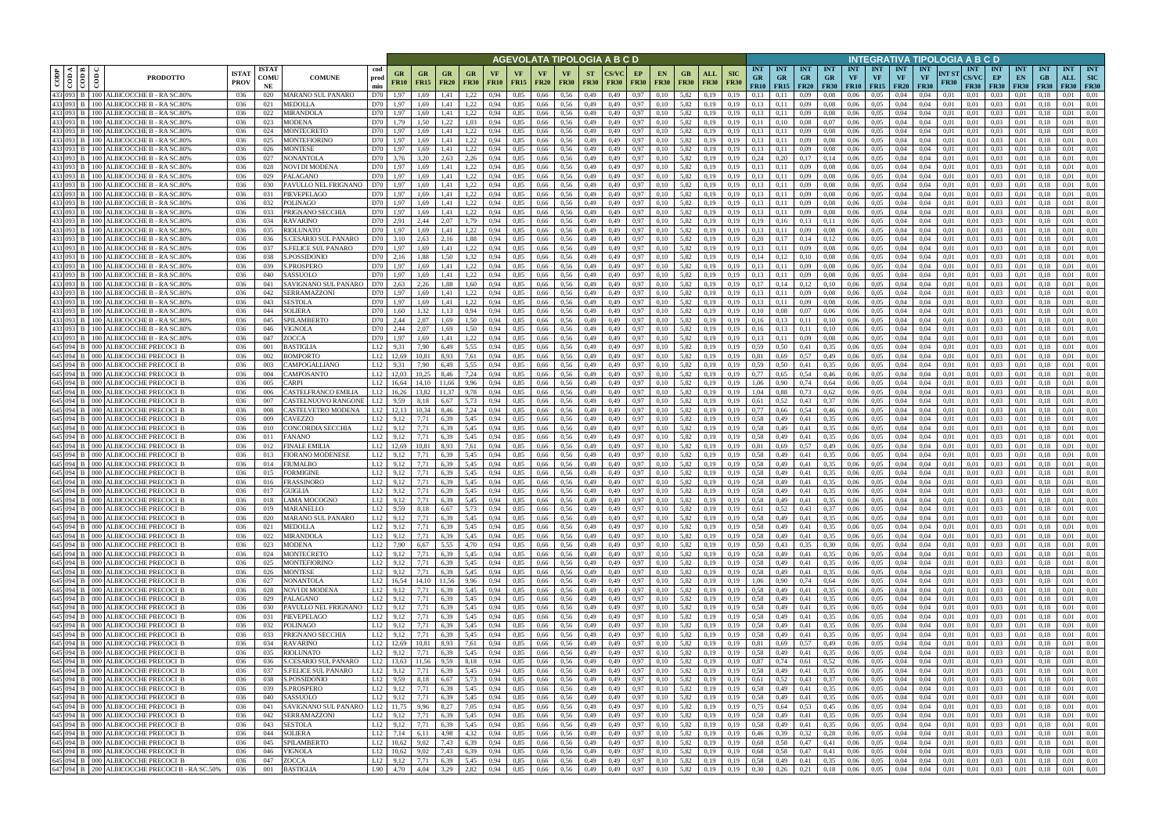|                                                   |                                       |                                                                                      |                             |                            |                                                    |                          |                                    |                              |                                                     |                     | <u>AGEVOLATA TIPOLOGIA A B C D</u>            |                                      |                          |               |                   |                                                         |                    |                        |                           |                                 |                                                     |                         |                                 |                         |                                             |                                        | INTEGRATIVA TIPOLOGIA A B C D   |                      |                                           |                                     |                                 |                                 |                                  |                                         |
|---------------------------------------------------|---------------------------------------|--------------------------------------------------------------------------------------|-----------------------------|----------------------------|----------------------------------------------------|--------------------------|------------------------------------|------------------------------|-----------------------------------------------------|---------------------|-----------------------------------------------|--------------------------------------|--------------------------|---------------|-------------------|---------------------------------------------------------|--------------------|------------------------|---------------------------|---------------------------------|-----------------------------------------------------|-------------------------|---------------------------------|-------------------------|---------------------------------------------|----------------------------------------|---------------------------------|----------------------|-------------------------------------------|-------------------------------------|---------------------------------|---------------------------------|----------------------------------|-----------------------------------------|
| $\overline{\overline{\mathsf{g}}\hspace{-0.5mm}}$ | ≺ I ¤ I<br>$rac{1}{\sqrt{100}}$<br>ම් | <b>PRODOTTO</b>                                                                      | <b>ISTA7</b><br><b>PROV</b> | <b>ISTAT</b><br>COMU<br>NE | <b>COMUNE</b>                                      | cod<br>prod<br>min       | GR<br><b>FR10</b>                  | GR<br><b>FR15</b>            | <b>GR</b><br><b>FR20</b><br><b>FR30</b>             | VF<br><b>FR10</b>   | <b>VF</b><br>VF<br><b>FR15</b><br><b>FR20</b> | VF<br><b>FR30</b>                    | <b>ST</b><br><b>FR30</b> | <b>FR30</b>   | EP<br><b>FR30</b> | EN<br><b>FR30</b>                                       | GB.<br><b>FR30</b> | ALL<br><b>FR30</b>     | <b>SIC</b><br><b>FR30</b> | <b>INT</b><br><b>GR</b><br>FR10 | <b>INT</b><br><b>GR</b><br>$FR15$ FR20              | <b>INT</b><br><b>GR</b> | <b>INT</b><br>GR<br><b>FR30</b> | <b>INT</b><br><b>VF</b> | <b>INT</b><br><b>VF</b><br><b>FR10</b> FR15 | <b>INT</b><br><b>VF</b><br><b>FR20</b> | <b>INT</b><br>VF<br><b>FR30</b> | NT ST<br><b>FR30</b> | <b>INT</b><br><b>CS/VC</b><br><b>FR30</b> | <b>INT</b><br>EP<br><b>FR30</b>     | <b>INT</b><br>EN<br><b>FR30</b> | <b>INT</b><br>GB<br><b>FR30</b> | <b>INT</b><br>ALL<br><b>FR30</b> | <b>INT</b><br><b>SIC</b><br><b>FR30</b> |
|                                                   |                                       | 433 093 B 100 ALBICOCCHE B - RA SC.809                                               | 036                         | 020                        | <b>MARANO SUL PANARO</b>                           | D70                      | 1,97                               | 1,69                         | 1.41<br>.22                                         | 0.94                | 0.85<br>0,66                                  | 0.56                                 | 0,49                     | 0.49          | 0,97              | 0.10                                                    | 5,82               | 0.19                   | 0.19                      | 0.13                            |                                                     | 0,09                    | 0.08                            | 0.06                    | 0.05                                        | 0.04                                   | 0.04                            | 0.01                 | 0.01                                      | 0.03                                | 0.01                            |                                 | 0.01                             | 0.01                                    |
|                                                   |                                       | 433 093 B 100 ALBICOCCHE B - RA SC.809<br>433 093 B   100 ALBICOCCHE B - RA SC.80%   | 036<br>036                  | 021<br>022                 | MEDOLLA<br>MIRANDOLA                               | D70<br>D70               | 1.97<br>1,97                       | 1,69<br>1,69                 | 1.41<br>1.22<br>1,22<br>1,41                        | 0,94<br>0.94        | 0,85<br>0,66<br>0.85<br>0,66                  | 0.56<br>0,56                         | 0,49<br>0,49             | 0,49<br>0,49  | 0,97<br>0,97      | 0,10<br>0.10                                            | 5,82<br>5,82       | 0.19<br>0,19           | 0,19<br>0.19              | 0.13<br>0,13                    | 0,11<br>0,11                                        | 0,09<br>0,09            | 0.08<br>0.08                    | 0,06<br>0.06            | 0.05<br>0.05                                | 0,04<br>0,04                           | 0.04<br>0.04                    | 0,01<br>0,01         | 0,01<br>0,01                              | 0.03<br>0.03                        | 0,01<br>0,01                    | 0.18<br>0.13                    | 0.01<br>0.01                     | 0.01<br>0.01                            |
|                                                   |                                       | 433 093 B   100 ALBICOCCHE B - RA SC.809                                             | 036                         | 023                        | <b>MODENA</b>                                      | D70                      | 1.79                               | 1.50                         | 1.22<br>1,03                                        | 0.94                | 0.85<br>0,66                                  | 0.56                                 | 0,49                     | 0.49          | 0,97              | 0.10                                                    | 5.82               | 0.19                   | 0.19                      | 0.11                            | 0.10                                                | 0.08                    | 0.07                            | 0.06                    | 0.05                                        | 0.04                                   | 0.04                            | 0.01                 | 0.01                                      | 0.03                                | 0.01                            | 0.18                            | 0.01                             | 0.01                                    |
| 433 093 B                                         |                                       | 100 ALBICOCCHE B - RA SC.80%                                                         | 036                         | 024                        | MONTECRETO                                         | D70                      | 1.97                               | 1.69                         | 1,22<br>1.41                                        | 0.94                | 0.85<br>0.66                                  | 0.56                                 | 0,49                     | 0.49          | 0.97              | 0.10                                                    | 5.82               | 0.19                   | 0.19                      | 0.13                            |                                                     | 0.09                    | 0.08                            | 0.06                    | 0.05                                        | 0.04                                   | 0.04                            | 0.01                 | 0.01                                      | 0.03                                | 0.01                            |                                 | 0.01                             | 0.01                                    |
|                                                   |                                       | 433 093 B   100 ALBICOCCHE B - RA SC.809<br>433 093 B 100 ALBICOCCHE B - RA SC.80%   | 036                         | 025<br>026                 | MONTEFIORINO<br>MONTESE                            | D70<br>D70               | 1.97                               | 1.69                         | 1,22<br>1.41<br>1,22                                | 0.94                | 0.85<br>0,66<br>0.85                          | 0.56<br>0.56                         | 0,49                     | 0,49          | 0,97<br>0.97      | 0,10                                                    | 5,82<br>5.82       | 0.19                   | 0.19<br>0.19              | 0.13<br>0.13                    | 0,11                                                | 0,09<br>0.09            | 0.08                            | 0,06<br>0.06            | 0.05<br>0.05                                | 0.04<br>0.04                           | 0.04                            | 0.01                 | 0.01                                      | 0.03<br>0.03                        | 0,01<br>0.01                    | 0.18<br>0.18                    | 0.01<br>0.01                     | 0.01<br>0.01                            |
|                                                   |                                       | 433 093 B 100 ALBICOCCHE B - RA SC.80%                                               | -036<br>036                 | 027                        | NONANTOLA                                          | D70                      | 1.97<br>3.76                       | 1.69<br>3.20                 | 1.41<br>2.63<br>2,26                                | 0.94<br>0.94        | 0.66<br>0.85<br>0.66                          | 0.56                                 | 0,49<br>0,49             | 0.49<br>0.49  | 0,97              | 0.10<br>0,10                                            | 5.82               | 0.19<br>0.19           | 0.19                      | 0.24                            | 0.11<br>0,20                                        | 0,17                    | 0.08<br>0,14                    | 0.06                    | 0.05                                        | 0.04                                   | 0.04<br>0.04                    | 0.01<br>0.01         | 0.01<br>0.01                              | 0.03                                | 0.01                            | 0.18                            | 0.01                             | 0.01                                    |
|                                                   |                                       | 433 093 B 100 ALBICOCCHE B - RA SC.80%                                               | 036                         | 028                        | NOVI DI MODENA                                     | D70                      | 1,97                               | 1,69                         | 1,22<br>1,41                                        | 0.94                | 0.85<br>0.66                                  | 0.56                                 | 0,49                     | 0.49          | 0,97              | 0,10                                                    | 5,82               | 0,19                   | 0.19                      | 0.13                            | 0,11                                                | 0,09                    | 0.08                            | 0.06                    | 0.05                                        | 0.04                                   | 0.04                            | 0.01                 | 0.01                                      | 0.03                                | 0,01                            | 0.18                            | 0.01                             | 0.01                                    |
|                                                   |                                       | 433 093 B 100 ALBICOCCHE B - RA SC.809                                               | 036                         | 029                        | PALAGANO                                           | D70                      | 1,97                               | 1.69                         | 1,22<br>1,41                                        | 0.94                | 0,85<br>0,66                                  | 0.56                                 | 0,49                     | 0,49          | 0,97              | 0.10                                                    | 5,82               | 0.19                   | 0.19                      | 0.13                            | 0,11                                                | 0,09                    | 0.08                            | 0,06                    | 0,05                                        | 0.04                                   | 0.04                            | 0,01                 | 0.01                                      | 0.03                                | 0,01                            | 0.18                            | 0.01                             | 0.01                                    |
|                                                   |                                       | 433 093 B   100 ALBICOCCHE B - RA SC.80%<br>433 093 B 100 ALBICOCCHE B - RA SC.809   | 036<br>036                  | 030<br>031                 | PAVULLO NEL FRIGNANO<br>PIEVEPELAGO                | D70<br>D70               | 1,97<br>1,97                       | 1.69<br>1,69                 | 1,41<br>1,22<br>1,41<br>1,22                        | 0.94<br>0,94        | 0,85<br>0,66<br>0,85<br>0,66                  | 0.56<br>0,56                         | 0,49<br>0,49             | 0.49<br>0,49  | 0.97<br>0,97      | 0,10<br>0,10                                            | 5,82<br>5,82       | 0,19<br>0,19           | 0.19<br>0,19              | 0,13<br>0,13                    | 0,11<br>0,11                                        | 0,09<br>0,09            | 0.08<br>0.08                    | 0.06<br>0,06            | 0.05<br>0,05                                | 0.04<br>0,04                           | 0.04<br>0,04                    | 0.01<br>0,01         | 0.01<br>0,01                              | 0.03<br>0,03                        | 0,01<br>0,01                    | 0.18<br>0,18                    | 0.01<br>0,01                     | 0.01<br>0,01                            |
|                                                   |                                       | 433 093 B   100 ALBICOCCHE B - RASC.80%                                              | 036                         | 032                        | POLINAGO                                           | D70                      | 1,97                               | 1.69                         | 1.22<br>1.41                                        | 0.94                | 0,85<br>0,66                                  | 0.56                                 | 0,49                     | 0.49          | 0.97              | 0.10                                                    | 5,82               | 0.19                   | 0.19                      | 0,13                            | 0.11                                                | 0.09                    | 0.08                            | 0,06                    | 0.05                                        | 0,04                                   | 0.04                            | 0.01                 | 0.01                                      | 0.03                                | 0.01                            | 0.18                            | 0,01                             | 0.01                                    |
|                                                   |                                       | 433 093 B 100 ALBICOCCHE B - RA SC.809                                               | 036                         | 033                        | PRIGNANO SECCHIA                                   | D70                      | 1,97                               | 1,69                         | 1,22<br>1,41                                        | 0.94                | 0,85<br>0,66                                  | 0.56                                 | 0,49                     | 0.49          | 0,97              | 0.10                                                    | 5,82               | 0,19                   | 0.19                      | 0,13                            | 0,11                                                | 0,09                    | 0.08                            | 0,06                    | 0,05                                        | 0,04                                   | 0.04                            | 0,01                 | 0.01                                      | 0.03                                | 0,01                            | 0.18                            | 0.01                             | 0.01                                    |
|                                                   |                                       | 433 093 B 100 ALBICOCCHE B - RA SC.809                                               | 036                         | 034                        | <b>RAVARINO</b>                                    | D70                      | 2,91                               | 2,44                         | 2.07<br>1,79                                        | 0,94                | 0,85<br>0,66                                  | 0.56                                 | 0,49                     | 0,49          | 0,97              | 0,10                                                    | 5,82               | 0,19                   | 0.19                      | 0,19                            | 0.16                                                | 0,13                    | 0,11                            | 0,06                    | 0,05                                        | 0,04                                   | 0.04                            | 0.01                 | 0.01                                      | 0,03                                | 0,01                            | 0.18                            | 0,01                             | 0.01                                    |
|                                                   |                                       | 433 093 B   100 ALBICOCCHE B - RA SC.809<br>433 093 B   100 ALBICOCCHE B - RA SC.809 | 036<br>036                  | 035<br>036                 | RIOLUNATO<br>S.CESARIO SUL PANARO                  | D70<br>D70               | 1.97<br>3.10                       | 1.69<br>2.63                 | 1.22<br>1.41<br>2.16<br>1.88                        | 0.94<br>0.94        | 0.85<br>0.66<br>0.85<br>0.66                  | 0.56<br>0.56                         | 0.49<br>0,49             | 0.49<br>0.49  | 0.97<br>0.97      | 0.10<br>0.10                                            | 5.82<br>5.82       | 0.19<br>0.19           | 0.19<br>0.19              | 0.13<br>0.20                    | 0.11<br>0.17                                        | 0,09<br>0.14            | 0.08<br>0.12                    | 0.06<br>0.06            | 0.05<br>0.05                                | 0.04<br>0.04                           | 0.04<br>0.04                    | 0.01<br>0.01         | 0.01<br>0.01                              | 0.03<br>0.03                        | 0.01<br>0.01                    | 01<br>0.18                      | 0.01<br>0.01                     | 0.01<br>0.01                            |
| 433 093 B                                         | <b>100</b>                            | ALBICOCCHE B - RA SC.809                                                             | 036                         | 037                        | <b>S.FELICE SUL PANARO</b>                         | D70                      | 1,97                               | 1.69                         | 1.41<br>1,22                                        | 0.94                | 0,85<br>0,66                                  | 0,56                                 | 0,49                     | 0.49          | 0,97              | 0.10                                                    | 5,82               | 0.19                   | 0.19                      | 0,13                            | 0.11                                                | 0,09                    | 0.08                            | 0.06                    | 0,05                                        | 0.04                                   | 0.04                            | 0.01                 | 0.01                                      | 0,03                                | 0.01                            | 01                              | 0.01                             | 0.01                                    |
| 433 093 B                                         | 100                                   | ALBICOCCHE B - RA SC.809                                                             | 036                         | 038                        | <b>S.POSSIDONIC</b>                                | D70                      | 2.16                               | 1.88                         | 1.50<br>1.32                                        |                     | 0.85<br>0.66                                  | 0.56                                 | 0.49                     | 0.49          | 0.97              | 0.10                                                    | 5.82               | 0.19                   |                           | 0.14                            |                                                     | 0.10                    | 0.08                            | 0.06                    | 0.05                                        | 0.04                                   | 0.04                            | 0.01                 | 0.01                                      | 0.03                                | 0.01                            |                                 | 0.01                             | 0.01                                    |
| 433 093 B                                         | 100                                   | <b>ALBICOCCHE B</b><br>- RA SC.809                                                   | 036                         | 039                        | <b>S.PROSPERO</b>                                  | D70                      | 1.97                               |                              | 1,22<br>1.41                                        |                     | 0.85<br>0.66                                  | 0.56                                 | 0.49                     | 0.49          | 0.97              | 0.10                                                    | 5.82               | 0.19                   | 0.19                      | 0.13                            |                                                     | 0.09                    | 0.08                            | 0.06                    | 0.05                                        | 0.04                                   | 0.04                            | 0.01                 | 0.01                                      | 0.03                                | 0.01                            |                                 | 0.01                             | 0.01                                    |
|                                                   |                                       | 433 093 B 100 ALBICOCCHE B - RA SC.809<br>433 093 B   100 ALBICOCCHE B - RA SC.80%   | 036<br>036                  | 040<br>041                 | SASSUOLO<br>SAVIGNANO SUL PANARO                   | D70<br>D70               | 1.97<br>2.63                       | 2.26                         | 1,22<br>1.41<br>1.88<br>1.60                        | 0.94                | 0.85<br>0.66<br>0.85<br>0,66                  | 0.56<br>0.56                         | 0,49<br>0,49             | 0.49<br>0.49  | 0,97<br>0.97      | 0.10<br>0.10                                            | 5,82<br>5.82       | 0.19<br>0.19           | 0.19<br>0.19              | 0,13<br>0,17                    | 0,1<br>0.14                                         | 0,09<br>0,12            | 0.08<br>0,10                    | 0.06<br>0.06            | 0.05<br>0.05                                | 0.04<br>0.04                           | 0.04<br>0.04                    | 0.01<br>0.01         | 0.01<br>0.01                              | 0.03<br>0.03                        | 0.01<br>0.01                    |                                 | 0.01<br>0.01                     | 0.01<br>0.01                            |
|                                                   |                                       | 433 093 B   100 ALBICOCCHE B - RA SC.80%                                             | 036                         | 042                        | SERRAMAZZONI                                       | D70                      | 1,97                               | 1,69                         | 1,41<br>1.22                                        |                     | 0,85<br>0,66                                  | 0.56                                 | 0,49                     | 0,49          | 0,97              | 0,10                                                    | 5,82               | 0.19                   | 0,19                      | 0.13                            | 0,11                                                | 0,09                    | 0.08                            | 0.06                    | 0.05                                        | 0,04                                   | 0.04                            | 0.01                 | 0,01                                      | 0.03                                | 0.01                            | 0.18                            | 0.01                             | 0.01                                    |
| 433 093 B                                         | l 100                                 | ALBICOCCHE B - RA SC.809                                                             | 036                         | 043                        | <b>SESTOLA</b>                                     | D70                      | 1.97                               | 1.69                         | 1,22<br>1,41                                        |                     | 0,85<br>0,66                                  | 0.56                                 | 0,49                     | 0.49          | 0,97              | 0.10                                                    | 5,82               | 0.19                   | 0.19                      | 0,13                            |                                                     | 0,09                    | 0,08                            | 0.06                    | 0.05                                        | 0.04                                   | 0.04                            | 0.01                 | 0.01                                      | 0.03                                | 0.01                            |                                 | 0.01                             | 0.01                                    |
|                                                   | 433 093 B 100                         | ALBICOCCHE B - RA SC.809                                                             | 036                         | 044                        | SOLIERA                                            | D70                      | 1.60                               |                              | 1.13<br>0.94                                        | 0.94                | 0,85<br>0,66                                  | 0.56                                 | 0,49                     | 0,49          | 0.97              | 0.10                                                    | 5,82               | 0.19                   | 0.19                      | 0.10                            |                                                     | 0,07                    | 0,06                            | 0,06                    | 0.05                                        | 0.04                                   | 0.04                            | 0.01                 | 0.01                                      | 0.03                                | 0.01                            | 01                              | 0.01                             | 0.01                                    |
| 433 093                                           | <b>B</b> 100                          | ALBICOCCHE B - RA SC.809<br>433 093 B   100 ALBICOCCHE B - RA SC.809                 | 036<br>036                  | 045<br>046                 | SPILAMBERTO<br>VIGNOLA                             | D70<br>D70               | 2.44<br>2,44                       | 2.07<br>2,07                 | .69<br>1,69<br>1,50                                 | .50<br>0.94<br>0,94 | 0.85<br>0.66<br>0,85<br>0,66                  | 0.56<br>0,56                         | 0,49<br>0,49             | 0.49<br>0,49  | 0.97<br>0,97      | 0.10<br>0,10                                            | 5.82<br>5,82       | 0.19<br>0,19           | 0.19<br>0,19              | 0.16<br>0,16                    | 0,13                                                | 0.11<br>0,11            | 0.10<br>0,10                    | 0.06<br>0,06            | 0.05<br>0,05                                | 0.04<br>0,04                           | 0.04<br>0,04                    | 0.01<br>0,01         | 0.01<br>0,01                              | 0.03<br>0,03                        | 0.01<br>0,01                    | 0.18                            | 0.01<br>0,01                     | 0.01<br>0,01                            |
|                                                   |                                       | 433 093 B   100 ALBICOCCHE B - RASC.80%                                              | 036                         | 047                        | ZOCCA                                              | D70                      | 1.97                               | 1.69                         | 1.22<br>1.41                                        | 0.94                | 0.85<br>0.66                                  | 0.56                                 | 0,49                     | 0.49          | 0.97              | 0.10                                                    | 5.82               | 0.19                   | 0.19                      | 0.13                            | 0.11                                                | 0.09                    | 0.08                            | 0.06                    | 0.05                                        | 0.04                                   | 0.04                            | 0.01                 | 0.01                                      | 0.03                                | 0.01                            |                                 | 0.01                             | 0.01                                    |
|                                                   |                                       | 645 094 B 000 ALBICOCCHE PRECOCI B                                                   | 036                         | 001                        | <b>BASTIGLIA</b>                                   | L12                      | 9.31                               | 7,90                         | 5,55<br>6.49                                        | 0.94                | 0.85<br>0,66                                  | 0.56                                 | 0,49                     | 0,49          | 0,97              | 0.10                                                    | 5,82               | 0.19                   | 0.19                      | 0.59                            | 0.50                                                | 0,41                    | 0.35                            | 0.06                    | 0.05                                        | 0.04                                   | 0.04                            | 0.01                 | 0.01                                      | 0.03                                | 0.01                            | 0.18                            | 0.01                             | 0.01                                    |
| 645 094 B                                         |                                       | 000 ALBICOCCHE PRECOCI B                                                             | 036                         | 002                        | <b>BOMPORTO</b>                                    | L12                      | 12.69                              | 10.81                        | 8.93<br>7,61                                        | 0.94                | 0.85<br>0.66                                  | 0.56                                 | 0,49                     | 0.49          | 0,97              | 0.10                                                    | 5.82               | 0.19                   | 0.19                      | 0.81                            | 0.69                                                | 0.57                    | 0,49                            | 0.06                    | 0.05                                        | 0.04                                   | 0.04                            | 0.01                 | 0.01                                      | 0.03                                | 0.01                            | -0.18                           | 0.01                             | 0.01                                    |
|                                                   |                                       | 645 094 B 000 ALBICOCCHE PRECOCI B<br>645 094 B 000 ALBICOCCHE PRECOCI B             | 036<br>036                  | 003<br>004                 | CAMPOGALLIANO<br>CAMPOSANTO                        | L12<br>L12               | 9.31<br>12.03                      | 7.90<br>10.25                | 5,55<br>6.49<br>8.46<br>7,24                        | 0.94<br>0.94        | 0.85<br>0.66<br>0.85<br>0.66                  | 0.56<br>0.56                         | 0,49<br>0,49             | 0.49<br>0.49  | 0,97<br>0.97      | 0.10<br>0.10                                            | 5.82<br>5.82       | 0.19<br>0.19           | 0.19<br>0.19              | 0.59<br>0.77                    | 0.50<br>0.65                                        | 0.41<br>0,54            | 0.35<br>0,46                    | 0.06<br>0.06            | 0.05<br>0.05                                | 0.04<br>0.04                           | 0.04<br>0.04                    | 0.01<br>0.01         | 0.01<br>0.01                              | 0.03<br>0.03                        | 0.01<br>0.01                    | 0.18<br>0.18                    | 0.01<br>0.01                     | 0.01<br>0.01                            |
|                                                   |                                       | 645 094 B 000 ALBICOCCHE PRECOCI B                                                   | -036                        | 005                        | CARPI                                              | L12                      | 16.64                              | 14,10                        | 9,96<br>11,66                                       | 0,94                | 0,85<br>0,66                                  | 0.56                                 | 0,49                     | 0,49          | 0,97              | 0,10                                                    | 5,82               | 0,19                   | 0,19                      | 1.06                            | 0,90                                                | 0,74                    | 0.64                            | 0,06                    | 0.05                                        | 0.04                                   | 0.04                            | 0,01                 | 0,01                                      | 0.03                                | 0,01                            | 0.18                            | 0.01                             | 0.01                                    |
|                                                   |                                       | 645 094 B 000 ALBICOCCHE PRECOCI B                                                   | 036                         | 006                        | CASTELFRANCO EMILIA                                | L12                      | 16.26                              | 13.82                        | 11.37<br>9,78                                       | 0.94                | 0.85<br>0,66                                  | 0.56                                 | 0,49                     | 0.49          | 0.97              | 0.10                                                    | 5,82               | 0.19                   | 0.19                      | 1.04                            | 0.88                                                | 0.73                    | 0.62                            | 0.06                    | 0.05                                        | 0.04                                   | 0.04                            | 0.01                 | 0.01                                      | 0.03                                | 0.01                            | 0.18                            | 0.01                             | 0.01                                    |
|                                                   |                                       | 645 094 B 000 ALBICOCCHE PRECOCI B<br>645 094 B 000 ALBICOCCHE PRECOCI B             | 036                         | 007                        | CASTELNUOVO RANGONI                                | L12                      | 9.59                               | 8,18                         | 6,67<br>5,73                                        | 0.94                | 0,85<br>0,66                                  | 0.56                                 | 0,49                     | 0,49          | 0,97              | 0,10                                                    | 5,82               | 0.19                   | 0.19                      | 0,61                            | 0,52                                                | 0,43                    | 0,37                            | 0,06                    | 0.05                                        | 0.04                                   | 0.04                            | 0,01                 | 0.01                                      | 0.03                                | 0,01                            | 0.18                            | 0.01                             | 0,01                                    |
|                                                   |                                       | 645 094 B 000 ALBICOCCHE PRECOCI B                                                   | 036<br>036                  | 008<br>009                 | CASTELVETRO MODENA<br>CAVEZZO                      | L12<br>L12               | 12,13<br>9,12                      | 10,34<br>7,71                | 8,46<br>7,24<br>6.39<br>5,45                        | 0,94<br>0.94        | 0,85<br>0,66<br>0,85<br>0,66                  | 0,56<br>0.56                         | 0,49<br>0,49             | 0,49<br>0,49  | 0,97<br>0,97      | 0,10<br>0.10                                            | 5,82<br>5,82       | 0,19<br>0.19           | 0.19<br>0.19              | 0,77<br>0.58                    | 0,66<br>0,49                                        | 0,54<br>0,41            | 0,46<br>0.35                    | 0,06<br>0,06            | 0,05<br>0,05                                | 0,04<br>0,04                           | 0,04<br>0.04                    | 0,01<br>0,01         | 0,01<br>0.01                              | 0,03<br>0.03                        | 0,01<br>0,01                    | 0.18<br>0.18                    | 0,01<br>0,01                     | 0,01<br>0.01                            |
|                                                   |                                       | 645 094 B 000 ALBICOCCHE PRECOCI B                                                   | 036                         | 010                        | CONCORDIA SECCHIA                                  | L12                      | 9,12                               | 7,71                         | 6,39<br>5,45                                        | 0.94                | 0,85<br>0,66                                  | 0.56                                 | 0,49                     | 0,49          | 0,97              | 0,10                                                    | 5,82               | 0.19                   | 0.19                      | 0,58                            | 0,49                                                | 0,41                    | 0.35                            | 0,06                    | 0,05                                        | 0,04                                   | 0,04                            | 0.01                 | 0,01                                      | 0.03                                | 0,01                            | 0.18                            | 0,01                             | 0.01                                    |
|                                                   |                                       | 645 094 B 000 ALBICOCCHE PRECOCI B                                                   | 036                         | 011                        | FANANO                                             | L12                      | 9,12                               | 7,71                         | 6,39<br>5,45                                        | 0.94                | 0,85<br>0,66                                  | 0,56                                 | 0,49                     | 0,49          | 0,97              | 0.10                                                    | 5,82               | 0.19                   | 0.19                      | 0.58                            | 0,49                                                | 0,41                    | 0.35                            | 0,06                    | 0,05                                        | 0,04                                   | 0.04                            | 0.01                 | 0.01                                      | 0.03                                | 0,01                            | 0.18                            | 0.01                             | 0.01                                    |
| 645 094 B                                         | $-000$                                | 645 094 B 000 ALBICOCCHE PRECOCL B<br><b>ALBICOCCHE PRECOCI B</b>                    | 036<br>036                  | 012<br>013                 | <b>FINALE EMILIA</b><br><b>FIORANO MODENESE</b>    | L12<br>L12               | 12.69<br>9.12                      | 10.81<br>7.71                | 8.93<br>7.61<br>6.39<br>5.45                        | 0.94<br>0.94        | 0.85<br>0.66<br>0.85<br>0.66                  | 0.56<br>0.56                         | 0,49<br>0,49             | 0.49<br>0.49  | 0,97<br>0.97      | 0.10<br>0.10                                            | 5.82<br>5.82       | 0.19<br>0.19           | 0.19                      | 0.81<br>0.58                    | 0.69<br>0.49                                        | 0.57<br>0.41            | 0.49<br>0.35                    | 0.06<br>0.06            | 0.05<br>0.05                                | 0.04<br>0.04                           | 0.04<br>0.04                    | 0.01<br>0.01         | 0.01<br>0.01                              | 0.03<br>0.03                        | 0.01<br>0.01                    | 01<br>0.18                      | 0.01<br>0.01                     | 0.01<br>0.01                            |
|                                                   |                                       | 645 094 B 000 ALBICOCCHE PRECOCI B                                                   | 036                         | 014                        | FIUMALBO                                           | L12                      | 9,12                               | 7,71                         | 6,39<br>5,45                                        | 0.94                | 0,85<br>0,66                                  | 0.56                                 | 0,49                     | 0.49          | 0,97              | 0,10                                                    | 5,82               | 0,19                   | 0.19                      | 0,58                            | 0,49                                                | 0,41                    | 0.35                            | 0,06                    | 0,05                                        | 0,04                                   | 0.04                            | 0.01                 | 0.01                                      | 0,03                                | 0,01                            | 0.18                            | 0,01                             | 0.01                                    |
|                                                   |                                       | 645 094 B 000 ALBICOCCHE PRECOCI B                                                   | 036                         | 015                        | FORMIGINE                                          | L12                      | 9.12                               | 7.71                         | 6.39<br>5.45                                        | 0.94                | 0.85<br>0.66                                  | 0.56                                 | 0.49                     | 0.49          | 0.97              | 0.10                                                    | 5.82               | 0.19                   | 0.19                      | 0.58                            | 0.49                                                | 0.41                    | 0.35                            | 0.06                    | 0.05                                        | 0.04                                   | 0.04                            | 0.01                 | 0.01                                      | 0.03                                | 0.01                            |                                 | 0.01                             | 0.01                                    |
|                                                   |                                       | 645 094 B 000 ALBICOCCHE PRECOCI B                                                   | 036                         | 016                        | FRASSINORO                                         | L12                      | 9,12                               | 7.71                         | 5.45<br>6.39                                        | 0.94                | 0.85<br>0.66                                  | 0.56                                 | 0,49                     | 0.49          | 0.97              | 0.10                                                    | 5.82               | 0.19                   | 0.19                      | 0.58                            | 0,49                                                | 0.41                    | 0.35                            | 0.06                    | 0.05                                        | 0.04                                   | 0.04                            | 0.01                 | 0.01                                      | 0.03                                | 0.01                            | 0.18                            | 0.01                             | 0.01                                    |
|                                                   |                                       | 645 094 B 000 ALBICOCCHE PRECOCI B<br>645 094 B 000 ALBICOCCHE PRECOCI B             | 036<br>036                  | 017<br>018                 | <b>GUIGLIA</b><br><b>LAMA MOCOGNO</b>              | $L12$ 9,12<br>$L12$ 9,12 |                                    | 7,71<br>7,71                 | 6.39<br>5,45<br>6,39<br>5,45                        | 0.94<br>0,94        | 0.85<br>0.66<br>0,85<br>0,66                  | 0.56<br>0,56                         | 0.49<br>0,49             | 0.49<br>0,49  | 0.97<br>0,97      | 0.10<br>0,10                                            | 5.82<br>5,82       | 0.19<br>0,19           | 0.19<br>0,19              | 0.58<br>0.58                    | 0.49<br>0,49                                        | 0.41<br>0,41            | 0.35<br>0,35                    | 0.06<br>0,06            | 0.05<br>0.05                                | 0.04<br>0,04                           | 0.04<br>0,04                    | 0.01<br>0,01         | 0.01<br>0,01                              | 0.03<br>0,03                        | 0.01<br>0,01                    | 0,18                            | 0.01<br>0,01                     | 0.01<br>0,01                            |
|                                                   |                                       | $645$ 094 B 000 ALBICOCCHE PRECOCI B                                                 | 036                         | 019                        | MARANELLO                                          | $L12$ 9.59               |                                    | 8,18                         | 6,67<br>5,73                                        | 0,94                | 0,85<br>0,66                                  | 0,56                                 | 0,49                     | 0,49          | 0,97              | 0,10                                                    | 5,82               | 0,19                   | 0,19                      | 0,61                            | 0,52                                                | 0,43                    | 0,37                            | 0,06                    | 0,05                                        | 0,04                                   | 0,04                            | 0,01                 | 0,01                                      | 0,03                                | 0,01                            | 0,18                            | 0,01                             | 0,01                                    |
|                                                   |                                       | 645 094 B 000 ALBICOCCHE PRECOCI B                                                   | 036                         | 020                        | MARANO SUL PANARO                                  | $L12$ 9,12               |                                    | 7,71                         | 6,39<br>5,45                                        | 0,94                | 0,85                                          | 0,66 0,56                            | 0,49                     | 0,49          | 0,97              | 0,10                                                    | 5,82               | 0,19                   | 0,19                      | 0,58                            | 0,49                                                | 0,41                    | 0,35                            | 0,06                    | 0,05                                        | 0,04                                   | 0,04                            | 0,01                 | 0,01                                      | 0,03                                | 0,01                            | 0,18                            | 0,01                             | 0,01                                    |
|                                                   |                                       | 645 094 B 000 ALBICOCCHE PRECOCI B                                                   | 036                         | 021                        | MEDOLLA                                            |                          | $L12$ 9,12                         | 7,71                         | 5,45<br>6,39                                        | 0.94                | 0,85                                          | 0,66 0,56                            | 0,49                     | 0,49          | 0,97              | 0,10                                                    |                    | 5,82 0,19              | 0,19                      | 0,58                            | 0,49                                                | 0,41                    | 0,35                            |                         | $0,06$ 0.05                                 | 0,04                                   | 0,04                            | 0,01                 | 0,01                                      | 0,03                                | 0,01                            | 0,18                            | 0,01                             | 0,01                                    |
|                                                   |                                       | 645 094 B 000 ALBICOCCHE PRECOCI B<br>645 094 B 000 ALBICOCCHE PRECOCI B             | 036<br>036                  | 022<br>023                 | <b>MIRANDOLA</b><br><b>MODENA</b>                  |                          | $L12$ 9,12<br>L <sub>12</sub> 7,90 | 7,71                         | 6,39<br>5,45<br>6,67 5,55<br>4,70                   | 0,94<br>0,94        | 0,85<br>0,66<br>0,85<br>0,66                  | 0,56<br>0,56                         | 0,49<br>0,49             | 0,49<br>0,49  | 0,97<br>0,97      | 0,10<br>0,10                                            | 5,82               | 0,19<br>5,82 0,19      | 0,19<br>0,19              | 0,58<br>0,50                    | 0,49<br>0,43                                        | 0,41<br>0,35            | 0,35<br>0,30                    | 0,06<br>0,06            | 0,05<br>0,05                                | 0,04<br>0,04                           | 0,04<br>0,04                    | 0,01<br>0,01         | 0,01<br>0,01                              | 0,03<br>0,03                        | 0,01<br>0,01                    | 0,18<br>0,18                    | 0,01<br>0.01                     | 0,01<br>0,01                            |
|                                                   |                                       | 645 094 B 000 ALBICOCCHE PRECOCI B                                                   | 036                         | 024                        | <b>MONTECRETO</b>                                  |                          | $L12$ 9,12                         | 7,71                         | 6,39<br>5,45                                        | 0.94                | 0,85                                          | 0,66 0,56                            | 0,49                     | 0,49          | 0,97              | 0,10                                                    |                    | 5,82 0,19              | 0,19                      | 0,58                            | $0,49$ $0,41$                                       |                         | 0,35                            |                         | $0,06$ 0.05                                 | 0,04                                   | 0,04                            | 0,01                 | 0.01                                      | $0.03 \qquad 0.01$                  |                                 | 0,18                            |                                  | $0,01$ $0,01$                           |
|                                                   |                                       | 645 094 B 000 ALBICOCCHE PRECOCI B                                                   | 036                         | 025                        | <b>MONTEFIORINO</b>                                |                          | $L12$ 9,12                         |                              | 7,71 6,39                                           | 5,45 0,94           | 0,85                                          | 0,66 0,56                            | 0,49                     | 0,49          | 0,97              | 0,10                                                    |                    | 5,82 0,19              | 0,19                      |                                 | $0,58$ $0,49$ $0,41$                                |                         | 0,35                            | 0,06                    | 0,05                                        | 0,04                                   | 0,04                            | 0,01                 | 0.01                                      | $0,03$ $0,01$                       |                                 | 0,18                            | 0.01                             | 0,01                                    |
|                                                   |                                       | 645 094 B 000 ALBICOCCHE PRECOCI B                                                   | 036                         | 026                        | <b>MONTESE</b>                                     | L12 9,12                 |                                    | 7,71                         | 6,39                                                | 5,45 0,94           | 0,85                                          | 0,66 0,56                            | 0,49                     | 0,49          | 0,97              | 0,10                                                    | 5,82 0,19          |                        | 0,19                      | 0,58                            | 0,49 0,41                                           |                         | 0,35                            | 0,06                    | 0,05                                        | 0,04                                   | 0,04                            | 0,01                 | 0,01                                      | $0,03$ $0,01$                       |                                 | 0,18                            | 0,01                             | 0,01                                    |
|                                                   |                                       | 645 094 B 000 ALBICOCCHE PRECOCI B<br>645 094 B 000 ALBICOCCHE PRECOCI B             | 036<br>036                  | 027<br>028                 | <b>NONANTOLA</b><br>NOVI DI MODENA                 | L12 9,12                 |                                    | $L12$ 16,54 14,10<br>7,71    | 9,96<br>11,56<br>6,39<br>5,45                       | 0,94<br>0,94        | 0,85<br>0,85                                  | $0,66$ 0.56<br>$0,66$ 0.56           | 0,49<br>0,49             | 0,49<br>0,49  | 0,97<br>0,97      | 0,10<br>0,10                                            |                    | 5,82 0,19<br>5,82 0,19 | 0,19<br>0,19              | 1,06<br>0,58                    | 0,90<br>0,49                                        | 0,74<br>0,41            | 0,64<br>0,35                    | 0,06<br>0,06            | 0,05<br>0,05                                | 0,04<br>0,04                           | 0,04<br>0,04                    | 0,01<br>0,01         | 0,01<br>0,01                              |                                     | $0,03$ $0,01$<br>$0,03$ $0,01$  | 0,18<br>0,18                    | 0.01<br>0,01                     | 0,01<br>0,01                            |
|                                                   |                                       | 645 094 B 000 ALBICOCCHE PRECOCI B                                                   | 036                         | 029                        | PALAGANO                                           |                          | $L12$ 9,12                         | 7,71                         | 5,45<br>6,39                                        | 0,94                | 0,85                                          | $0,66$ 0.56                          | 0,49                     | 0,49          | 0,97              | 0,10                                                    |                    | 5,82 0,19              | 0,19                      | 0,58                            | 0,49                                                | 0,41                    | 0,35                            | 0,06                    | 0,05                                        | 0,04                                   | 0,04                            | 0,01                 | 0,01                                      |                                     | $0,03$ $0,01$                   | 0,18                            | 0,01                             | 0,01                                    |
|                                                   |                                       | $645$ 094 B 000 ALBICOCCHE PRECOCI B                                                 | 036                         | 030                        | PAVULLO NEL FRIGNANO                               | $L12$ 9,12               |                                    | 7,71                         | 6,39<br>5,45                                        | 0.94                | 0,85                                          | 0,66 0,56                            | 0,49                     | 0,49          | 0,97              | 0,10                                                    |                    | 5,82 0,19              | 0,19                      | 0,58                            | 0,49                                                | 0,41                    | 0,35                            | 0,06                    | 0,05                                        | 0,04                                   | 0,04                            | 0,01                 | 0,01                                      | $0,03$ $0,01$                       |                                 | 0,18                            | 0,01                             | 0,01                                    |
|                                                   |                                       | 645 094 B 000 ALBICOCCHE PRECOCI B<br>$645$ 094 B 000 ALBICOCCHE PRECOCI B           | 036                         | 031                        | PIEVEPELAGO                                        | L12 9,12                 | $L12$ 9,12                         | 7,71 6,39                    |                                                     | 5,45 0,94           | 0,85                                          | 0,66 0,56                            | 0,49                     | 0,49          | 0,97              | 0,10                                                    |                    | 5,82 0,19<br>5,82 0,19 | 0,19                      | 0,58 0,49                       |                                                     | 0,41                    | 0,35                            | 0,06                    | 0,05                                        | 0,04                                   | 0,04                            | 0,01                 | 0,01                                      | $0,03$ 0.01                         |                                 | 0,18                            | 0,01                             | 0,01                                    |
|                                                   |                                       | 645 094 B 000 ALBICOCCHE PRECOCI B                                                   | 036<br>036                  | 032<br>033                 | POLINAGO<br>PRIGNANO SECCHIA                       |                          |                                    | 7,71<br>L12 $9,12$ 7,71 6,39 | 6,39<br>5,45<br>5,45                                | 0,94<br>0.94        | 0,85<br>0,85                                  | 0,66 0,56<br>0,66 0,56               | 0,49<br>0,49             | 0,49<br>0,49  | 0,97              | 0,10<br>$0.97\qquad 0.10$                               |                    | 5,82 0,19              | 0,19<br>0,19              | $0,58$ 0,49<br>0.58 0.49        |                                                     | 0,41<br>0,41            | 0,35<br>0,35                    | 0,06                    | 0,05<br>$0.06\qquad 0.05$                   | 0,04<br>0,04                           | 0,04<br>0,04                    | 0,01<br>0,01         | 0,01<br>0,01                              | $0.03 \qquad 0.01$                  | $0,03$ $0,01$                   | 0,18<br>0,18                    | 0,01<br>0,01                     | 0,01<br>0,01                            |
|                                                   |                                       | $645$ 094 B 000 ALBICOCCHE PRECOCI B                                                 | 036                         | 034                        | RAVARINO                                           |                          |                                    |                              | L12 12,69 10,81 8,93<br>7,61                        | 0,94                | 0,85                                          | 0,66 0,56                            | 0,49                     | 0,49          |                   | $0,97$ 0,10                                             |                    | 5,82 0,19              | 0,19                      | 0,81 0,69                       |                                                     | 0,57                    | 0,49                            |                         | $0,06$ 0.05                                 | 0,04                                   | 0,04                            | 0,01                 | 0,01                                      | $0,03$ 0.01                         |                                 | 0,18                            | 0,01                             | 0,01                                    |
|                                                   |                                       | 645 094 B 000 ALBICOCCHE PRECOCI B                                                   | 036                         | 035                        | RIOLUNATO                                          |                          | $L12$ 9,12                         |                              | 7,71 6,39<br>5,45                                   | 0,94                | 0,85                                          | 0,66 0,56                            | 0,49                     | 0,49          |                   | $0,97$ 0,10                                             |                    | 5,82 0,19              | 0,19                      | 0,58 0,49                       |                                                     | 0,41                    | 0,35                            |                         | $0,06$ 0.05                                 | 0,04                                   | 0,04                            | 0,01                 | 0,01                                      | $0,03$ $0,01$                       |                                 | 0,18                            | 0,01                             | 0,01                                    |
|                                                   |                                       | 645 094 B 000 ALBICOCCHE PRECOCI B<br>645 094 B 000 ALBICOCCHE PRECOCI B             | 036<br>036                  | 036<br>037                 | S.CESARIO SUL PANARO<br><b>S.FELICE SUL PANARO</b> |                          | $L12$ 9,12                         |                              | L12 13,63 11,56 9,59 8,18 0,94<br>7,71 6,39<br>5,45 | 0,94                | 0,85<br>0,85                                  | 0,66 0,56<br>0,66 0,56               | 0,49<br>0,49             | 0,49<br>0,49  |                   | $0,97$ 0,10<br>$0,97$ 0,10                              |                    | 5,82 0,19<br>5,82 0,19 | 0,19<br>0,19              | 0,58 0,49                       | $0,87$ 0.74 0.61                                    | 0,41                    | 0,52<br>0,35                    |                         | $0.06\qquad 0.05$<br>$0,06$ 0.05            | 0,04<br>0,04                           | 0,04<br>0,04                    | 0,01<br>0,01         | 0.01<br>0,01                              | $0.03 \qquad 0.01$<br>$0,03$ $0,01$ |                                 | 0,18<br>0,18                    | 0,01<br>0,01                     | 0,01<br>0,01                            |
|                                                   |                                       | 645 094 B 000 ALBICOCCHE PRECOCI B                                                   | 036                         | 038                        | S.POSSIDONIO                                       | $L12$ 9.59               |                                    |                              | 8,18 6,67                                           | 5,73 0,94           | 0,85                                          | 0,66 0,56                            | 0,49                     | 0,49          |                   | $0,97$ 0,10                                             |                    | 5,82 0,19              | 0,19                      | $0,61$ $0,52$                   |                                                     | 0,43                    | 0,37                            |                         | $0,06$ 0.05                                 | 0,04                                   | 0,04                            | 0,01                 | 0,01                                      | $0,03$ $0,01$                       |                                 | 0,18                            | 0,01                             | 0,01                                    |
|                                                   |                                       | 645 094 B 000 ALBICOCCHE PRECOCI B                                                   | 036                         | 039                        | S.PROSPERO                                         |                          | $L12$ 9,12                         |                              | 7,71 6,39                                           | 5,45 0,94           | 0,85                                          | 0,66 0,56                            | 0,49                     | 0,49          |                   | $0,97$ $0,10$                                           |                    | 5,82 0,19              | 0,19                      |                                 | $0,58$ $0,49$ $0,41$                                |                         | 0,35                            |                         | $0,06$ 0.05                                 | 0,04                                   | 0,04                            | 0,01                 | 0,01                                      | $0,03$ $0,01$                       |                                 | 0.18                            | 0,01                             | 0,01                                    |
|                                                   |                                       | 645 094 B 000 ALBICOCCHE PRECOCI B                                                   | 036                         | 040                        | SASSUOLO                                           |                          | $L12$ 9,12                         |                              | 7,71 6,39<br>5,45                                   | 0.94                | 0,85                                          | 0,66 0,56                            | 0,49                     | 0,49          |                   | $0,97$ 0.10                                             |                    | 5,82 0,19              | 0,19                      | 0,58 0,49                       |                                                     | 0,41                    | 0,35                            |                         | $0,06$ 0.05                                 | 0,04                                   | 0,04                            | 0,01                 | 0.01                                      | $0,03$ $0,01$                       |                                 | 0,18                            | 0,01                             | 0,01                                    |
|                                                   |                                       | 645 094 B 000 ALBICOCCHE PRECOCI B<br>$645$ 094 B 000 ALBICOCCHE PRECOCI B           | 036<br>036                  | 041<br>042                 | SAVIGNANO SUL PANARO<br>SERRAMAZZONI               | L12 11,75<br>$L12$ 9,12  |                                    | 9,96<br>7,71                 | 8,27<br>7,05<br>6,39<br>5,45                        | 0,94<br>0,94        | 0,85<br>0,85                                  | 0,66 0,56<br>0,66 0,56               | 0,49<br>0,49             | 0,49<br>0,49  | 0,97<br>0,97      | 0,10<br>0,10                                            | 5,82 0,19<br>5,82  | 0,19                   | 0,19<br>0,19              | $0,75$ 0.64<br>0,58             | 0,49                                                | 0,53<br>0,41            | 0,45<br>0,35                    | 0,06<br>0,06            | 0,05<br>0,05                                | 0,04<br>0,04                           | 0,04<br>0,04                    | 0,01<br>0,01         | 0,01<br>0,01                              | $0,03$ $0,01$<br>0,03               | 0.01                            | 0,18<br>0,18                    | 0,01<br>0,01                     | 0,01<br>0,01                            |
|                                                   |                                       | 645 094 B 000 ALBICOCCHE PRECOCI B                                                   | 036                         | 043                        | <b>SESTOLA</b>                                     | $L12$ 9,12               |                                    | 7,71                         | 6,39<br>5,45                                        | 0,94                | 0,85                                          | $0,66$ 0.56                          | 0,49                     | 0,49          | 0,97              | 0,10                                                    | 5,82               | 0,19                   | 0,19                      | 0,58                            | 0,49                                                | 0,41                    | 0,35                            | 0,06                    | 0,05                                        | 0,04                                   | 0,04                            | 0,01                 | 0,01                                      | 0,03                                | 0,01                            | 0,18                            | 0,01                             | 0,01                                    |
|                                                   |                                       | $645$ 094 B 000 ALBICOCCHE PRECOCI $\, {\bf B}$                                      | 036                         | 044                        | <b>SOLIERA</b>                                     |                          | $L12$ 7,14                         |                              | $6,11$ 4,98                                         | 4,32 0,94           | 0,85                                          | 0,66 0,56                            | 0,49 0,49                |               | 0,97              | 0,10                                                    |                    | 5,82 0,19              | 0,19                      | 0,46                            | 0,39                                                | 0,32                    | 0,28                            |                         | $0,06$ 0.05                                 | 0,04                                   | 0,04                            | 0,01                 | 0,01                                      | $0,03$ $0,01$                       |                                 | 0,18                            | 0,01                             | 0,01                                    |
|                                                   |                                       | 645 094 B 000 ALBICOCCHE PRECOCI B                                                   | 036                         | 045                        | SPILAMBERTO                                        |                          |                                    |                              | L12 10.62 9.02 7.43                                 | 6,39 0,94           | 0,85                                          | 0,66 0,56                            | 0,49 0,49                |               | 0,97              | 0,10                                                    |                    | 5,82 0,19              | 0,19                      | 0,68                            | $0,58$ 0.47 0.41                                    |                         |                                 |                         | $0,06$ 0.05                                 | 0,04                                   | 0,04                            | 0,01                 | 0,01                                      | $0,03$ $0,01$                       |                                 | 0,18                            | 0.01                             | 0,01                                    |
|                                                   |                                       | 645 094 B 000 ALBICOCCHE PRECOCI B<br>645 094 B 000 ALBICOCCHE PRECOCI B             | 036<br>036                  | 046<br>047                 | <b>VIGNOLA</b><br>ZOCCA                            |                          |                                    |                              | L12 10.62 9.02 7.43<br>L12 9,12 7,71 6,39 5,45 0,94 | 6,39 0,94           | 0,85<br>0,85                                  | $0,66$ 0.56 0.49 0.49<br>$0,66$ 0.56 |                          | $0,49$ $0,49$ | 0,97              | 0,10<br>$0,97$ 0,10 5,82 0,19                           |                    | 5,82 0,19              | 0,19                      |                                 | $0,19$ 0.68 0.58 0.47 0.41<br>$0,58$ 0.49 0.41 0.35 |                         |                                 |                         | $0,06$ 0.05<br>$0,06$ 0.05                  | 0,04<br>0,04                           | 0,04<br>0,04                    | 0,01<br>0,01         | 0,01<br>0,01                              | $0,03$ $0,01$                       | $0,03$ $0,01$ $0,18$            | 0,18                            | 0.01                             | 0,01<br>$0,01$ $0,01$                   |
|                                                   |                                       | 647 094 B 200 ALBICOCCHE PRECOCI B - RA SC.50%                                       | 036                         | 001                        | <b>BASTIGLIA</b>                                   |                          |                                    |                              | L90 4,70 4,04 3,29 2,82 0,94                        |                     | 0,85                                          |                                      |                          |               |                   | $0,66$ $0,56$ $0,49$ $0,49$ $0,97$ $0,10$ $5,82$ $0,19$ |                    |                        |                           |                                 | $0,19$ 0,30 0,26 0,21 0,18                          |                         |                                 |                         | $0,06$ 0.05                                 |                                        | $0,04$ 0.04                     | 0,01                 | $0,01$ 0.03 0.01 0.18                     |                                     |                                 |                                 | $0,01$ $0,01$                    |                                         |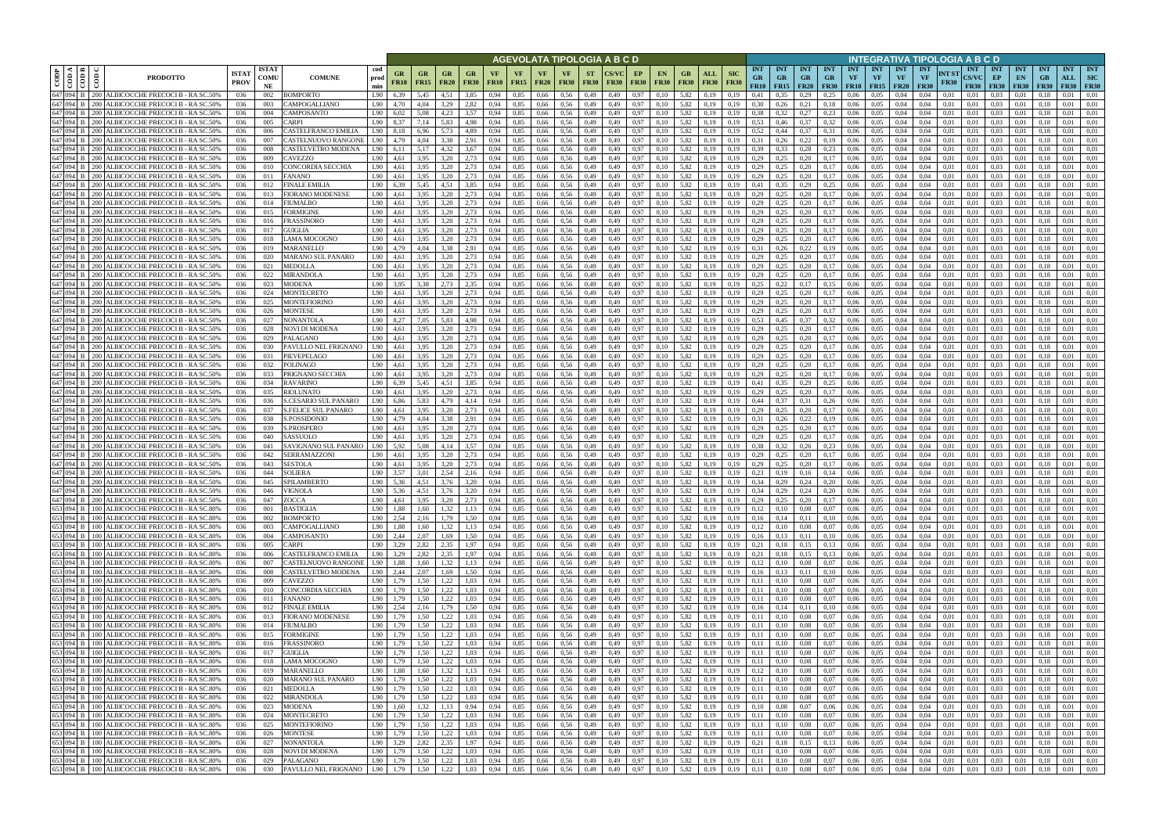|      |                        |              |                                                                                                    |                             |                            |                                                                           |                                         |                               |                                              |                          |                   |              |                          | AGEVOLATA TIPOLOGIA A B C D                          |                          |              |                   |                          |                                                                   |                           |                                                          |                                        |                         |                                 |                                  |                                 |                                        | INTEGRATIVA TIPOLOGIA A B C D |              |                                           |                                     |                                 |                                 |                           |                                         |
|------|------------------------|--------------|----------------------------------------------------------------------------------------------------|-----------------------------|----------------------------|---------------------------------------------------------------------------|-----------------------------------------|-------------------------------|----------------------------------------------|--------------------------|-------------------|--------------|--------------------------|------------------------------------------------------|--------------------------|--------------|-------------------|--------------------------|-------------------------------------------------------------------|---------------------------|----------------------------------------------------------|----------------------------------------|-------------------------|---------------------------------|----------------------------------|---------------------------------|----------------------------------------|-------------------------------|--------------|-------------------------------------------|-------------------------------------|---------------------------------|---------------------------------|---------------------------|-----------------------------------------|
| CODP | k I ≊ I<br>$rac{1}{2}$ | $\epsilon$   | <b>PRODOTTO</b>                                                                                    | <b>ISTA1</b><br><b>PROV</b> | <b>ISTAT</b><br>COMU<br>NE | <b>COMUNE</b>                                                             | cod<br>GR<br>prod<br><b>FR10</b><br>min | G <sub>R</sub><br><b>FR15</b> | GR<br><b>FR20</b>                            | GR<br><b>FR30</b>        | VF<br><b>FR10</b> | <b>FR15</b>  | VF<br><b>FR20</b>        | VF<br><b>FR30</b>                                    | <b>ST</b><br><b>FR30</b> | <b>FR30</b>  | EP<br><b>FR30</b> | <b>EN</b><br><b>FR30</b> | ALL<br>GB.<br><b>FR30</b><br><b>FR30</b>                          | <b>SIC</b><br><b>FR30</b> | <b>INT</b><br><b>GR</b><br>FR10                          | <b>INT</b><br><b>GR</b><br>$FR15$ FR20 | <b>INT</b><br><b>GR</b> | <b>INT</b><br>GR<br><b>FR30</b> | <b>INT</b><br>VF<br><b>FR10</b>  | <b>INT</b><br>VF<br><b>FR15</b> | <b>INT</b><br><b>VF</b><br><b>FR20</b> | <b>INT</b><br>VF              | NT ST        | <b>INT</b><br><b>CS/VC</b><br><b>FR30</b> | <b>INT</b><br>EP<br><b>FR30</b>     | <b>INT</b><br>EN<br><b>FR30</b> | <b>INT</b><br>GB<br><b>FR30</b> | <b>INT</b><br>ALL<br>FR30 | <b>INT</b><br><b>SIC</b><br><b>FR30</b> |
|      | 647 094                |              | 200   ALBICOCCHE PRECOCI B - RA SC.50%                                                             | 036                         | 002                        | BOMPORTO                                                                  | L90<br>6.39                             | 5,45                          | 4.51                                         | 3.85                     | 0.94              | 0.85         | 0.66                     | 0.56                                                 | 0,49                     | 0.49         | 0.97              | 0.10                     | 5.82<br>0.19                                                      | 0.19                      | 0.41                                                     | 0.35                                   | 0.29                    | 0.25                            | 0.06                             | 0.05                            | 0.04                                   | 0.04                          | 0.01         | 0.01                                      | 0.03                                | 0.01                            |                                 | $_{0.01}$                 | 0.01                                    |
|      | 647 094<br>647 094     | 200-<br>200- | ALBICOCCHE PRECOCI B - RA SC.50%<br>ALBICOCCHE PRECOCI B - RA SC.50%                               | 036<br>036                  | 003<br>004                 | <b>CAMPOGALLIANO</b><br>CAMPOSANTO                                        | L90<br>4.70<br>L90<br>6.02              | 4,04<br>5.08                  | 3.29<br>4.23                                 | 2,82<br>3,57             | 0.94<br>0.94      | 0,85<br>0,85 | 0,66<br>0.66             | 0.56<br>0,56                                         | 0,49<br>0,49             | 0,49<br>0.49 | 0,97<br>0,97      | 0.10<br>0.10             | 5,82<br>0,19<br>5,82<br>0,19                                      | 0.19<br>0.19              | 0.30<br>0.38                                             | 0,26<br>0.32                           | 0,21<br>0,27            | 0.18<br>0.23                    | 0.06<br>0.06                     | 0.05<br>0,05                    | 0,04<br>0.04                           | 0.04<br>0.04                  | 0,01<br>0,01 | 0,01<br>0,01                              | 0.03<br>0.03                        | 0.01<br>0,01                    | 0.18<br>0.13                    | 0.01<br>0.01              | 0.01<br>0,01                            |
|      | 647 094 B              | 200-         | ALBICOCCHE PRECOCI B - RA SC.50%                                                                   | 036                         | 005                        | <b>ARPI</b>                                                               | L90<br>8.37                             | 7.14                          | 5.83                                         | 4,98                     | 0.94              | 0.85         | 0.66                     | 0.56                                                 | 0,49                     | 0.49         | 0.97              | 0.10                     | 5.82<br>0.19                                                      | 0.19                      | 0.53                                                     | 0,46                                   | 0.37                    | 0.32                            | 0.06                             | 0.05                            | 0.04                                   | 0.04                          | 0.01         | 0.01                                      | 0.03                                | 0.01                            | 0.18                            | 0.01                      | 0.01                                    |
|      | 647 094                |              | ALBICOCCHE PRECOCI B - RA SC.50%                                                                   | 036                         | 006                        | CASTELFRANCO EMILIA                                                       | L90<br>8.18                             | 6.96                          | 5.73                                         | 4.89                     | 0.94              | 0.85         | 0.66                     | 0.56                                                 | 0.49                     | 0.49         | 0.97              | 0.10                     | 5.82<br>0.19                                                      | 0.19                      | 0.52                                                     | 0.44                                   | 0.37                    | 0.31                            | 0.06                             | 0.05                            | 0.04                                   | 0.04                          | 0.01         | 0.01                                      | 0.03                                | 0.01                            |                                 | 0.01                      | 0.01                                    |
|      | 647 094                | 200-         | ALBICOCCHE PRECOCI B - RA SC.50%                                                                   | 036                         | 007                        | CASTELNUOVO RANGONE                                                       | L90<br>4.79                             | 4,04                          | 3.38                                         | 2,91                     | 0.94              | 0,85         | 0,66                     | 0.56                                                 | 0,49                     | 0.49         | 0.97              | 0.10                     | 5,82<br>0,19                                                      | 0.19                      | 0,31                                                     | 0,26                                   | 0,22                    | 0.19                            | 0.06                             | 0.05                            | 0.04                                   | 0.04                          | 0.01         | 0.01                                      | 0.03                                | 0.01                            | 0.18                            | 0.01                      | 0.01                                    |
|      | 647 094                |              | ALBICOCCHE PRECOCI B - RA SC.50%                                                                   | 036                         | 008                        | CASTELVETRO MODENA                                                        | L90<br>6.11                             | 5.17                          | 4.32                                         | 3.67                     | 0.94              | 0.85         | 0.66                     | 0.56                                                 | 0.49                     | 0.49         | 0.97              | 0.10                     | 5.82<br>0.19                                                      | 0.19                      | 0.39                                                     | 0.33                                   | 0.28                    | 0.23                            | 0.06                             | 0.05                            | 0.04                                   | 0.04                          | 0.01         | 0.01                                      | 0.03                                | 0.01                            | 0.18                            | 0.01                      | 0.01                                    |
|      | 647 094 B<br>647 094 B |              | ALBICOCCHE PRECOCI B - RA SC.50%<br>ALBICOCCHE PRECOCI B - RA SC.50%                               | 036<br>036                  | 009<br>010                 | CAVEZZO<br>CONCORDIA SECCHIA                                              | L90<br>4,61<br>L90<br>4,61              | 3.95<br>3.95                  | 3.20<br>3.20                                 | 2.73<br>2,73             | 0.94<br>0.94      | 0.85<br>0.85 | 0.66<br>0.66             | 0.56<br>0.56                                         | 0,49<br>0,49             | 0.49<br>0.49 | 0.97<br>0.97      | 0.10<br>0.10             | 5.82<br>0.19<br>5.82<br>0.19                                      | 0.19<br>0.19              | 0.29<br>0,29                                             | 0,25<br>0.25                           | 0,20<br>0,20            | 0,17<br>0,17                    | 0.06<br>0.06                     | 0.05<br>0.05                    | 0.04<br>0.04                           | 0.04<br>0.04                  | 0.01<br>0.01 | 0.01<br>0.01                              | 0.03<br>0.03                        | 0.01<br>0.01                    | 0.18<br>0.18                    | 0.01<br>0.01              | 0.01<br>0.01                            |
|      | 647 094                |              | ALBICOCCHE PRECOCI B - RA SC.50%                                                                   | 036                         | 011                        | FANANO                                                                    | L90<br>4,61                             | 3,95                          | 3.20                                         | 2,73                     | 0.94              | 0,85         | 0,66                     | 0.56                                                 | 0,49                     | 0.49         | 0.97              | 0.10                     | 5,82<br>0.19                                                      | 0.19                      | 0,29                                                     | 0,25                                   | 0,20                    | 0,17                            | 0,06                             | 0.05                            | 0.04                                   | 0.04                          | 0.01         | 0.01                                      | 0.03                                | 0.01                            | 0.18                            | 0.01                      | 0.01                                    |
|      | 647 094                |              | ALBICOCCHE PRECOCI B - RA SC.50%                                                                   | 036                         | 012                        | FINALE EMILIA                                                             | L90<br>6,39                             | 5.45                          | 4.51                                         | 3,85                     | 0.94              | 0,85         | 0,66                     | 0.56                                                 | 0,49                     | 0.49         | 0.97              | 0.10                     | 5,82<br>0.19                                                      | 0.19                      | 0,41                                                     | 0.35                                   | 0,29                    | 0,25                            | 0.06                             | 0.05                            | 0.04                                   | 0.04                          | 0.01         | 0.01                                      | 0.03                                | 0,01                            | 0.18                            | 0.01                      | 0.01                                    |
|      | 647 094                |              | ALBICOCCHE PRECOCI B - RA SC.50%                                                                   | 036                         | 013                        | FIORANO MODENESE                                                          | L90<br>4,61                             | 3,95                          | 3,20                                         | 2,73                     | 0,94              | 0,85         | 0,66                     | 0,56                                                 | 0,49                     | 0,49         | 0,97              | 0,10                     | 5,82<br>0,19                                                      | 0,19                      | 0,29                                                     | 0,25                                   | 0,20                    | 0,17                            | 0,06                             | 0.05                            | 0,04                                   | 0,04                          | 0,01         | 0.01                                      | 0,03                                | 0,01                            | 0.18                            | 0,01                      | 0,01                                    |
|      | 647 094 B<br>647 094 B |              | ALBICOCCHE PRECOCI B - RA SC.50%                                                                   | 036                         | 014                        | FIUMALBO                                                                  | L90<br>4,61                             | 3.95                          | 3.20                                         | 2.73                     | 0.94              | 0,85         | 0,66                     | 0.56                                                 | 0,49                     | 0.49         | 0.97              | 0.10                     | 5.82<br>0.19                                                      | 0.19                      | 0.29                                                     | 0.25                                   | 0.20                    | 0,17                            | 0.06                             | 0.05                            | 0,04                                   | 0.04                          | 0.01         | 0.01                                      | 0.03                                | 0.01                            | 0.18                            | 0,01                      | 0.01                                    |
|      | 647 094 B              |              | ALBICOCCHE PRECOCI B - RA SC.50%<br>ALBICOCCHE PRECOCI B - RA SC.50%                               | 036<br>036                  | 015<br>016                 | FORMIGINE<br>FRASSINORO                                                   | L90<br>4,61<br>L90<br>4,61              | 3,95<br>3,95                  | 3.20<br>3.20                                 | 2,73<br>2,73             | 0.94<br>0.94      | 0,85<br>0,85 | 0,66<br>0,66             | 0.56<br>0,56                                         | 0,49<br>0,49             | 0.49<br>0.49 | 0,97<br>0,97      | 0.10<br>0.10             | 5,82<br>0,19<br>5,82<br>0,19                                      | 0.19<br>0.19              | 0,29<br>0,29                                             | 0.25<br>0.25                           | 0,20<br>0,20            | 0,17<br>0,17                    | 0,06<br>0,06                     | 0.05<br>0,05                    | 0,04<br>0,04                           | 0.04<br>0.04                  | 0.01<br>0.01 | 0.01<br>0.01                              | 0.03<br>0,03                        | 0,01<br>0,01                    | 0.18<br>0.18                    | 0.01<br>0,01              | 0.01<br>0.01                            |
|      | 647 094                |              | ALBICOCCHE PRECOCI B - RA SC.50%                                                                   | 036                         | 017                        | <b>GUIGLIA</b>                                                            | L90<br>4.61                             | 3.95                          | 3.20                                         | 2.73                     | 0.94              | 0.85         | 0.66                     | 0.56                                                 | 0.49                     | 0.49         | 0.97              | 0.10                     | 5.82<br>0.19                                                      | 0.19                      | 0.29                                                     | 0.25                                   | 0.20                    | 0.17                            | 0.06                             | 0.05                            | 0.04                                   | 0.04                          | 0.01         | 0.01                                      | 0.03                                | 0.01                            | -0.1                            | 0.01                      | 0.01                                    |
|      | 647 094                |              | ALBICOCCHE PRECOCI B - RA SC.50%                                                                   | 036                         | 018                        | LAMA MOCOGNO                                                              | L90<br>4.61                             | 3.95                          | 3.20                                         | 2.73                     | 0.94              | 0.85         | 0.66                     | 0.56                                                 | 0.49                     | 0.49         | 0.97              | 0.10                     | 5.82<br>0.19                                                      | 0.19                      | 0.29                                                     | 0.25                                   | 0.20                    | 0.17                            | 0.06                             | 0.05                            | 0.04                                   | 0.04                          | 0.01         | 0.01                                      | 0.03                                | 0.01                            | 0.18                            | 0.01                      | 0.01                                    |
|      | 647 094                |              | ALBICOCCHE PRECOCI B - RA SC.50%                                                                   | 036                         | 019                        | MARANELLO                                                                 | L90<br>4.79                             | 4.04                          | 3.38                                         | 2,91                     | 0.94              | 0,85         | 0,66                     | 0,56                                                 | 0,49                     | 0.49         | 0.97              | 0.10                     | 5,82<br>0.19                                                      | 0.19                      | 0,31                                                     | 0.26                                   | 0.22                    | 0.19                            | 0.06                             | 0.05                            | 0.04                                   | 0.04                          | 0.01         | 0.01                                      | 0.03                                | 0.01                            | 01                              | 0.01                      | 0.01                                    |
|      | 647 094 B<br>647 094   |              | <b>\LBICOCCHE PRECOCI B - RA SC.50%</b><br>ALBICOCCHE PRECOCI B - RA SC.50%                        | 036<br>036                  | 020<br>021                 | MARANO SUL PANARO<br>MEDOLLA                                              | L90<br>4.61<br>L90<br>4.61              | 3.95<br>3.95                  | 3.20<br>3.20                                 | 2.73<br>2.73             | 0.94<br>0.94      | 0.85<br>0.85 | 0.66<br>0.66             | 0.56<br>0.56                                         | 0.49<br>0.49             |              | 0.97<br>0.97      | 0.10<br>0.10             | 5.82<br>0.19<br>5.82<br>0.19                                      |                           | 0.29<br>0.29                                             | 0.25                                   | 0.20<br>0.20            |                                 | 0.06<br>0.06                     | 0.05<br>0.05                    | 0.04<br>0.04                           | 0.04<br>0.04                  | 0.01<br>0.01 | 0.01<br>0.01                              | 0.03<br>0.03                        | $0.0^{\circ}$                   |                                 | 0.01<br>0.01              | 0.01<br>0.01                            |
|      | 647 094 B              |              | ALBICOCCHE PRECOCI B - RA SC.50%                                                                   | 036                         | 022                        | <b>MIRANDOLA</b>                                                          | L90<br>4.61                             | 3.95                          | 3.20                                         | 2,73                     | 0.94              | 0,85         | 0.66                     | 0.56                                                 | 0.49                     |              | 0.97              | 0.10                     | 5.82<br>0.19                                                      |                           | 0,29                                                     | 0.25                                   | 0,20                    |                                 | 0.06                             | 0.05                            | 0.04                                   | 0.04                          | 0.01         | 0.01                                      | 0.03                                | 0.0                             |                                 | 0.01                      | 0.01                                    |
|      | 647 094                | 200.         | ALBICOCCHE PRECOCI B - RA SC.50%                                                                   | 036                         | 023                        | MODENA                                                                    | L90<br>3.95                             | 3.38                          | 2.73                                         | 2.35                     | 0.94              | 0.85         | 0.66                     | 0.56                                                 | 0.49                     | 0.49         | 0.97              | 0.10                     | 5.82<br>0.19                                                      | 0.19                      | 0.25                                                     | 0.22                                   | 0.17                    | 0.15                            | 0.06                             | 0.05                            | 0.04                                   | 0.04                          | 0.01         | 0.01                                      | 0.03                                | 0.01                            |                                 | 0.01                      | 0.01                                    |
|      | 647 094 B              | 200 I        | ALBICOCCHE PRECOCI B - RA SC.50%                                                                   | 036                         | 024                        | MONTECRETO                                                                | L90<br>4,61                             | 3,95                          | 3.20                                         | 2.73                     | 0.94              | 0,85         | 0.66                     | 0.56                                                 | 0,49                     | 0.49         | 0.97              | 0.10                     | 5.82<br>0,19                                                      | 0,19                      | 0,29                                                     | 0.25                                   | 0,20                    | 0,17                            | 0.06                             | 0.05                            | 0,04                                   | 0.04                          | 0.01         | 0.01                                      | 0.03                                | 0.01                            | 0.18                            | 0.01                      | 0.01                                    |
|      | 647 094                | 200.         | ALBICOCCHE PRECOCI B - RA SC.50%                                                                   | 036                         | 025                        | MONTEFIORINC                                                              | L90<br>4,61                             | 3,95                          | 3.20                                         | 2,73                     | 0.94              | 0,85         | 0,66                     | 0.56                                                 | 0,49                     | 0.49         | 0.97              | 0.10                     | 5,82<br>0.19                                                      |                           | 0,29                                                     | 0.25                                   | 0,20                    | 0,17                            | 0.06                             | 0.05                            | 0.04                                   | 0.04                          | 0.01         | 0.01                                      | 0.03                                | 0.01                            |                                 | 0.01                      | 0.01                                    |
|      | 647 094<br>647 094     |              | ALBICOCCHE PRECOCI B - RA SC.50%<br>ALBICOCCHE PRECOCI B - RA SC.50%                               | 036<br>036                  | 026<br>027                 | MONTESE<br>NONANTOLA                                                      | L90<br>L90<br>8.27                      | 3,95<br>7.05                  | 3.20<br>5.83                                 | 2.73<br>4.98             | 0.94<br>0.94      | 0,85<br>0.85 | 0,66<br>0,66             | 0.56<br>0.56                                         | 0,49<br>0.49             |              | 0.97<br>0.97      | 0.10                     | 5.82<br>0.19<br>5.82<br>0.19                                      |                           | 0,29<br>0.53                                             | 0.25<br>0.45                           | 0,20<br>0.37            | 0.17<br>0.32                    | 0.06<br>0.06                     | 0.05<br>0.05                    | 0.04<br>0.04                           | 0.04<br>0.04                  | 0.01<br>0.01 | 0.01<br>0.01                              | 0.03<br>0.03                        | 0.01<br>0.01                    | 01                              | 0.01<br>0.01              | 0.01<br>0.01                            |
|      | 647 094                | 200-         | ALBICOCCHE PRECOCI B - RA SC.50%                                                                   | 036                         | 028                        | NOVI DI MODENA                                                            | L90<br>4,61                             | 3,95                          | 3,20                                         | 2,73                     | 0,94              | 0,85         | 0,66                     | 0,56                                                 | 0,49                     | 0.49         | 0,97              | 0.10                     | 5,82<br>0,19                                                      | 0,19                      | 0,29                                                     | 0,25                                   | 0,20                    | 0,17                            | 0,06                             | 0,05                            | 0,04                                   | 0,04                          | 0,01         | 0,01                                      | 0.03                                | 0,01                            | 0.18                            | 0,01                      | 0,01                                    |
|      | 647 094                |              | ALBICOCCHE PRECOCI B - RA SC.50%                                                                   | 036                         | 029                        | PALAGANO                                                                  | L90<br>4.61                             | 3.95                          | 3.20                                         | 2.73                     | 0.94              | 0.85         | 0.66                     | 0.56                                                 | 0.49                     |              | 0.97              | 0.10                     | 5.82<br>0.19                                                      | 0.19                      | 0.29                                                     | 0.25                                   | 0.20                    | 0.17                            | 0.06                             | 0.05                            | 0.04                                   | 0.04                          | 0.01         | 0.01                                      | 0.03                                | 0.01                            |                                 | 0.01                      | 0.01                                    |
|      | 647 094 B              | 200 I        | ALBICOCCHE PRECOCI B - RA SC.50%                                                                   | 036                         | 030                        | PAVULLO NEL FRIGNANO                                                      | L90<br>4.61                             | 3.95                          | 3.20                                         | 2,73                     | 0.94              | 0.85         | 0.66                     | 0.56                                                 | 0,49                     | 0.49         | 0.97              | 0.10                     | 5.82<br>0.19                                                      | 0.19                      | 0,29                                                     | 0,25                                   | 0,20                    | 0,17                            | 0.06                             | 0.05                            | 0.04                                   | 0.04                          | 0.01         | 0.01                                      | 0.03                                | 0.01                            | 0.18                            | 0.01                      | 0.01                                    |
|      | 647 094                |              | ALBICOCCHE PRECOCI B - RA SC.50%                                                                   | 036                         | 031                        | PIEVEPELAGO                                                               | L90<br>4.61                             | 3.95                          | 3.20<br>3.20                                 | 2,73                     | 0.94              | 0.85         | 0.66                     | 0.56                                                 | 0,49                     | 0.49         | 0.97              | 0.10                     | 5.82<br>0.19                                                      | 0.19                      | 0,29                                                     | 0.25                                   | 0.20                    | 0.17                            | 0.06                             | 0.05                            | 0.04                                   | 0.04                          | 0.01         | 0.01                                      | 0.03<br>0.03                        | 0.01                            | 0.18                            | 0.01                      | 0.01                                    |
|      | 647 094 B<br>647 094   |              | ALBICOCCHE PRECOCI B - RA SC.50%<br>ALBICOCCHE PRECOCI B - RA SC.50%                               | 036<br>036                  | 032<br>033                 | POLINAGO<br>PRIGNANO SECCHIA                                              | L90<br>4.61<br>L90<br>4.61              | 3.95<br>3.95                  | 3.20                                         | 2.73<br>2.73             | 0.94<br>0.94      | 0.85<br>0.85 | 0.66<br>0.66             | 0.56<br>0.56                                         | 0.49<br>0.49             | 0.49<br>0.49 | 0.97<br>0.97      | 0.10<br>0.10             | 5.82<br>0.19<br>5.82<br>0.19                                      | 0.19<br>0.19              | 0.29<br>0.29                                             | 0,25<br>0.25                           | 0,20<br>0,20            | 0,17<br>0,17                    | 0.06<br>0.06                     | 0.05<br>0.05                    | 0.04<br>0.04                           | 0.04<br>0.04                  | 0.01<br>0.01 | 0.01<br>0.01                              | 0.03                                | 0.01<br>0.01                    | 0.18<br>0.18                    | 0.01<br>0.01              | 0.01<br>0.01                            |
|      | 647 094 B              |              | ALBICOCCHE PRECOCI B - RA SC.50%                                                                   | 036                         | 034                        | RAVARINO                                                                  | L90<br>6,39                             | 5,45                          | 4.51                                         | 3,85                     | 0.94              | 0,85         | 0.66                     | 0.56                                                 | 0,49                     | 0.49         | 0,97              | 0,10                     | 5.82<br>0,19                                                      | 0.19                      | 0,41                                                     | 0,35                                   | 0,29                    | 0,25                            | 0,06                             | 0.05                            | 0.04                                   | 0.04                          | 0,01         | 0.01                                      | 0.03                                | 0,01                            | 0.18                            | 0.01                      | 0.01                                    |
|      | 647 094                |              | ALBICOCCHE PRECOCI B - RA SC.50%                                                                   | 036                         | 035                        | RIOLUNATO                                                                 | L90<br>4.61                             | 3.95                          | 3.20                                         | 2.73                     | 0.94              | 0,85         | 0,66                     | 0.56                                                 | 0,49                     | 0.49         | 0.97              | 0.10                     | 5,82<br>0.19                                                      | 0.19                      | 0.29                                                     | 0.25                                   | 0,20                    | 0,17                            | 0.06                             | 0.05                            | 0.04                                   | 0.04                          | 0.01         | 0.01                                      | 0.03                                | 0.01                            | 0.18                            | 0.01                      | 0.01                                    |
|      | 647 094                |              | ALBICOCCHE PRECOCI B - RA SC.50%                                                                   | 036                         | 036                        | S.CESARIO SUL PANARO                                                      | L90<br>6,86                             | 5,83                          | 4.79                                         | 4,14                     | 0.94              | 0,85         | 0,66                     | 0.56                                                 | 0,49                     | 0.49         | 0,97              | 0.10                     | 5,82<br>0,19                                                      | 0.19                      | 0.44                                                     | 0.37                                   | 0,31                    | 0,26                            | 0,06                             | 0.05                            | 0,04                                   | 0.04                          | 0,01         | 0.01                                      | 0.03                                | 0.01                            | 0.18                            | 0.01                      | 0,01                                    |
|      | 647 094<br>647 094     |              | ALBICOCCHE PRECOCI B - RA SC.50%<br>ALBICOCCHE PRECOCI B - RA SC.50%                               | 036<br>036                  | 037<br>038                 | S.FELICE SUL PANARO<br>S.POSSIDONIO                                       | L90<br>4,61<br>L90<br>4,79              | 3,95<br>4.04                  | 3,20<br>3.38                                 | 2,73<br>2,91             | 0.94<br>0.94      | 0,85<br>0,85 | 0,66<br>0,66             | 0.56<br>0.56                                         | 0,49<br>0,49             | 0.49<br>0.49 | 0,97<br>0,97      | 0,10<br>0.10             | 5,82<br>0,19<br>5.82<br>0,19                                      | 0.19<br>0.19              | 0,29<br>0.31                                             | 0,25<br>0,26                           | 0,20<br>0,22            | 0,17<br>0,19                    | 0,06<br>0,06                     | 0,05<br>0.05                    | 0,04<br>0,04                           | 0,04<br>0.04                  | 0,01<br>0,01 | 0,01<br>0.01                              | 0,03<br>0.03                        | 0,01<br>0,01                    | 0.18<br>0.18                    | 0,01<br>0.01              | 0,01<br>0.01                            |
|      | 647 094 B              |              | ALBICOCCHE PRECOCI B - RA SC.50%                                                                   | 036                         | 039                        | S.PROSPERO                                                                | L90<br>4.61                             | 3.95                          | 3.20                                         | 2.73                     | 0.94              | 0,85         | 0,66                     | 0.56                                                 | 0,49                     | 0.49         | 0,97              | 0.10                     | 5,82<br>0,19                                                      | 0.19                      | 0,29                                                     | 0.25                                   | 0,20                    | 0,17                            | 0,06                             | 0.05                            | 0,04                                   | 0.04                          | 0.01         | 0.01                                      | 0.03                                | 0.01                            | 0.18                            | 0,01                      | 0.01                                    |
|      | 647 094                |              | ALBICOCCHE PRECOCI B - RA SC.50%                                                                   | 036                         | 040                        | SASSUOLO                                                                  | L90<br>4,61                             | 3,95                          | 3,20                                         | 2,73                     | 0.94              | 0,85         | 0,66                     | 0,56                                                 | 0,49                     | 0.49         | 0,97              | 0.10                     | 5,82<br>0,19                                                      | 0.19                      | 0,29                                                     | 0.25                                   | 0,20                    | 0,17                            | 0.06                             | 0,05                            | 0.04                                   | 0.04                          | 0.01         | 0.01                                      | 0.03                                | 0,01                            | 0.18                            | 0.01                      | 0.01                                    |
|      | 647 094                |              | ALBICOCCHE PRECOCI B - RA SC.50%                                                                   | 036                         | 041                        | SAVIGNANO SUL PANARO                                                      | L90<br>5.92                             | 5.08                          | 4.14                                         | 3.57                     | 0.94              | 0.85         | 0.66                     | 0.56                                                 | 0.49                     |              | 0.97              | 0.10                     | 5.82<br>0.19                                                      |                           | 0.38                                                     |                                        | 0.26                    | 0.23                            | 0.06                             | 0.05                            | 0.04                                   | 0.04                          | 0.01         | 0.01                                      | 0.03                                | 0.01                            | 01                              | 0.01                      | 0.01                                    |
|      | 647 094                |              | ALBICOCCHE PRECOCI B - RA SC.50%                                                                   | 036                         | 042                        | SERRAMAZZONI                                                              | L90<br>4.61                             | 3.95                          | 3.20                                         | 2.73                     | 0.94              | 0.85         | 0.66                     | 0.56                                                 | 0.49                     | 0.49         | 0.97              | 0.10                     | 5.82<br>0.19                                                      | 0.19                      | 0.29                                                     | 0.25                                   | 0.20                    | 0.17                            | 0.06                             | 0.05                            | 0.04                                   | 0.04                          | 0.01         | 0.01                                      | 0.03                                | 0.01                            | 01                              | 0.01                      | 0.01                                    |
|      | 647 094<br>647 094 B   |              | ALBICOCCHE PRECOCI B - RA SC.50%<br>ALBICOCCHE PRECOCI B - RA SC.50%                               | 036<br>036                  | 043<br>044                 | SESTOLA<br>SOLIERA                                                        | L90<br>4,61<br>L90<br>3.57              | 3,95<br>3.01                  | 3.20<br>2.54                                 | 2,73<br>2.16             | 0.94<br>0.94      | 0,85<br>0.85 | 0,66<br>0.66             | 0,56<br>0.56                                         | 0,49<br>0.49             | 0.49         | 0,97<br>0.97      | 0.10<br>0.10             | 5,82<br>0,19<br>5.82<br>0.19                                      | 0.19                      | 0,29<br>0.23                                             | 0.25                                   | 0,20<br>0.16            | 0,17                            | 0.06<br>0.06                     | 0.05<br>0.05                    | 0,04<br>0.04                           | 0.04<br>0.04                  | 0.01<br>0.01 | 0.01<br>0.01                              | 0,03<br>0.03                        | 0.01                            | 0.18                            | 0,01<br>0.01              | 0.01<br>0.01                            |
|      | 647 094 B              |              | 200 ALBICOCCHE PRECOCI B - RA SC.50%                                                               | 036                         | 045                        | SPILAMBERTO                                                               | L90<br>5.36                             | 4.51                          | 3.76                                         | 3.20                     | 0.94              | 0.85         | 0.66                     | 0.56                                                 | 0.49                     | 0.49         | 0.97              | 0.10                     | 5.82<br>0.19                                                      | 0.19                      | 0.34                                                     | 0.29                                   | 0.24                    | 0,20                            | 0.06                             | 0.05                            | 0.04                                   | 0.04                          | 0.01         | 0.01                                      | 0.03                                | 0.01                            | 0.18                            | 0.01                      | 0.01                                    |
|      | 647 094 B              |              | 200 ALBICOCCHE PRECOCI B - RA SC.50%                                                               | 036                         | 046                        | VIGNOLA                                                                   | L90<br>5.36                             | 4.51                          | 3.76                                         | 3,20                     | 0.94              | 0.85         | 0.66                     | 0.56                                                 | 0.49                     | 0.49         | 0.97              | 0.10                     | 5.82<br>0.19                                                      | 0.19                      | 0.34                                                     | 0.29                                   | 0.24                    | 0.20                            | 0.06                             | 0.05                            | 0.04                                   | 0.04                          | 0.01         | 0.01                                      | 0.03                                | 0.01                            |                                 | 0.01                      | 0.01                                    |
|      |                        |              | 647 094 B 200 ALBICOCCHE PRECOCI B - RA SC.50%                                                     | 036                         | 047                        | ZOCCA                                                                     | L90<br>4,61                             | 3,95                          | 3,20                                         | 2,73                     | 0,94              | 0,85         | 0,66                     | 0,56                                                 | 0,49                     | 0,49         | 0,97              | 0,10                     | 5,82<br>0,19                                                      | 0,19                      | 0,29                                                     | 0,25                                   | 0,20                    | 0,17                            | 0,06                             | 0,05                            | 0,04                                   | 0,04                          | 0,01         | 0,01                                      | 0,03                                | 0,01                            | 0,18                            | 0,01                      | 0,01                                    |
|      |                        |              | 653 094 B 100 ALBICOCCHE PRECOCI B - RA SC.80%<br>653 094 B 100 ALBICOCCHE PRECOCI B - RA SC.80%   | 036<br>036                  | 001<br>002                 | <b>BASTIGLIA</b><br>BOMPORTO                                              | L90<br>1.88<br>$L90 \quad 2,54$         | 1,60<br>2,16                  | 1,32<br>1,79                                 | 1,13<br>1,50             | 0,94<br>0,94      | 0,85<br>0,85 | 0,66<br>0,66 0,56        | 0,56                                                 | 0,49<br>0,49             | 0,49<br>0,49 | 0,97<br>0,97      | 0,10<br>0,10             | 5,82<br>0,19<br>5,82 0,19                                         | 0,19<br>0,19              | 0,12<br>0,16                                             | $0,10$ $0,08$<br>$0,14$ $0,11$         |                         | 0,07<br>0,10                    | 0,06<br>0,06                     | 0,05<br>0,05                    | 0,04<br>0,04                           | 0.04<br>0,04                  | 0,01<br>0,01 | 0,01<br>0,01                              | 0.03<br>$0,03$ 0.01                 | 0.01                            | 0.18<br>0,18                    | 0,01<br>0,01              | 0,01<br>0,01                            |
|      |                        |              | 653 094 B 100 ALBICOCCHE PRECOCI B - RA SC.80%                                                     | 036                         | 003                        | CAMPOGALLIANO                                                             | $L90 \, 1.88$                           | 1,60                          | 1,32                                         | $1,13$ 0.94              |                   | 0,85         |                          | 0,66 0,56                                            | 0,49                     | 0,49         | 0,97              | 0,10                     | 5,82 0,19                                                         |                           | $0,19$ $0,12$                                            | $0,10 \qquad 0,08$                     |                         | 0,07                            | $0,06$ 0.05                      |                                 | 0,04                                   | 0,04                          | 0,01         | 0,01                                      | $0.03 \qquad 0.01$                  |                                 | 0,18                            | 0,01                      | 0,01                                    |
|      |                        |              | 653 094 B 100 ALBICOCCHE PRECOCI B - RA SC.80%                                                     | 036                         | 004                        | CAMPOSANTO                                                                | $L90 \, 2,44$                           | 2,07                          | 1,69                                         | 1,50 0,94                |                   | 0,85         | 0,66 0,56                |                                                      | 0,49                     | 0,49         | 0,97              | 0,10                     | 5,82<br>0,19                                                      | 0,19                      | 0,16                                                     | $0,13$ $0,11$                          |                         | 0,10                            | 0,06                             | 0,05                            | 0,04                                   | 0,04                          | 0,01         | 0,01                                      | 0,03                                | 0,01                            | 0,18                            | 0,01                      | 0,01                                    |
|      |                        |              | 653 094 B 100 ALBICOCCHE PRECOCI B - RA SC.80%                                                     | 036                         | 005                        | CARPI                                                                     | $L90 \, \overline{\phantom{0}}\,$ 3,29  | 2,82 2,35                     |                                              | 1,97                     | 0,94              | 0,85         | 0,66 0,56                |                                                      | 0,49                     | 0,49         | 0,97              | 0,10                     | 5,82 0,19                                                         | 0,19                      | 0,21                                                     | $0,18$ $0,15$                          |                         | 0,13                            | $0,06$ 0.05                      |                                 | 0,04                                   | 0,04                          | 0,01         | 0,01                                      | 0,03                                | 0,01                            | 0,18                            | 0.01                      | 0,01                                    |
|      |                        |              | 653 094 B 100 ALBICOCCHE PRECOCI B - RA SC.80%<br>653 094 B 100 ALBICOCCHE PRECOCI B - RA SC.80%   | 036                         | 006                        | CASTELFRANCO EMILIA                                                       | $L90$ 3,29                              | 2,82 2,35                     |                                              | 1,97                     | 0,94              | 0,85         | 0,66 0,56                |                                                      | 0,49                     | 0,49         | 0,97              | 0,10                     | 5,82 0,19                                                         |                           | $0,19$ $0,21$<br>$0.19$ 0.12 0.10 0.08 0.07              | $0,18$ $0,15$                          |                         | 0,13                            | $0.06\qquad 0.05$<br>$0,06$ 0.05 |                                 | 0,04                                   | 0,04                          | 0,01         | 0.01                                      | $0.03 \qquad 0.01$                  |                                 | 0,18                            |                           | $0,01$ $0,01$                           |
|      |                        |              | 653 094 B 100 ALBICOCCHE PRECOCI B - RA SC.80%                                                     | 036<br>036                  | 007<br>008                 | CASTELNUOVO RANGONE L90 1,88<br>CASTELVETRO MODENA                        | $L90 \quad 2,44$                        | $1,60$ $1,32$<br>2,07         | 1,69                                         | $1,13$ 0.94<br>1,50 0,94 |                   | 0,85<br>0,85 | 0,66 0,56                | $0,66$ 0.56                                          | 0,49<br>0,49             | 0,49<br>0,49 | 0,97<br>0,97      | 0,10                     | 5,82 0,19<br>$0,10$ $5,82$ $0,19$                                 | 0,19                      | $0,16$ $0,13$ $0,11$                                     |                                        |                         | 0,10                            | $0,06$ 0.05                      |                                 | 0,04<br>0,04                           | 0,04<br>0,04                  | 0,01<br>0,01 | 0,01<br>0,01                              | $0.03 \qquad 0.01$<br>$0,03$ $0,01$ |                                 | 0,18<br>  0, 18                 | $0,01$ 0.01               | $0,01$ $0,01$                           |
|      |                        |              | 653 094 B 100 ALBICOCCHE PRECOCI B - RA SC.80%                                                     | 036                         | 009                        | CAVEZZO                                                                   | $L90 \quad 1.79$                        | 1,50                          | 1,22                                         | 1,03                     | 0,94              | 0,85         | 0,66 0,56                |                                                      | 0,49                     | 0,49         | 0,97              | 0,10                     | 5,82 0,19                                                         | 0,19                      | 0,11                                                     | $0,10$ $0,08$                          |                         | 0,07                            | 0,06                             | 0,05                            | 0,04                                   | 0,04                          | 0,01         | 0,01                                      | $0,03$ $0,01$                       |                                 | 0,18                            | 0,01                      | 0,01                                    |
|      |                        |              | 653 094 B 100 ALBICOCCHE PRECOCI B - RA SC.80%                                                     | 036                         | 010                        | CONCORDIA SECCHIA                                                         | $L90 \t1,79$                            | 1,50                          | 1,22                                         | 1,03                     | 0,94              | 0,85         | 0,66 0,56                |                                                      | 0,49                     | 0,49         | 0,97              | 0,10                     | 5,82 0,19                                                         | 0,19                      | 0,11                                                     | $0,10$ $0,08$                          |                         | 0,07                            | 0,06                             | 0,05                            | 0,04                                   | 0,04                          | 0,01         | 0,01                                      | $0,03$ 0.01                         |                                 | 0,18                            | 0,01                      | 0,01                                    |
|      |                        |              | 653 094 B   100 ALBICOCCHE PRECOCI B - RA SC.80%                                                   | 036                         | 011                        | FANANO                                                                    | $L90 \, 1,79$                           | 1,50                          | 1,22                                         | 1,03                     | 0,94              | 0,85         | 0,66 0,56                |                                                      | 0,49                     | 0,49         | 0,97              | 0,10                     | 5,82 0,19                                                         | 0,19                      | 0,11                                                     | $0,10$ $0,08$                          |                         | 0,07                            | 0,06                             | 0,05                            | 0,04                                   | 0,04                          | 0,01         | 0,01                                      | $0,03$ $0,01$                       |                                 | 0,18                            | 0,01                      | 0,01                                    |
|      |                        |              | 653 094 B 100 ALBICOCCHE PRECOCI B - RA SC.80%<br>653 094 B   100 ALBICOCCHE PRECOCI B - RA SC.80% | 036<br>036                  | 012<br>013                 | <b>FINALE EMILIA</b><br><b>FIORANO MODENESE</b>                           | $L90 \, 2,54$<br>$L90 \t1,79$           | 2,16<br>1,50                  | 1,79<br>1,22                                 | $1,50$ 0.94<br>1,03 0,94 |                   | 0,85<br>0,85 |                          | 0,66 0,56<br>0,66 0,56                               | 0,49<br>0,49             | 0,49<br>0,49 | 0,97<br>0,97      | 0,10<br>0,10             | 5,82 0,19<br>5,82 0,19                                            | 0,19<br>0,19              | 0,16                                                     | $0,14$ $0,11$<br>$0,11$ $0,10$ $0,08$  |                         | 0,10<br>0,07                    | 0,06<br>0,06                     | 0,05<br>0,05                    | 0,04<br>0,04                           | 0,04<br>0,04                  | 0,01<br>0,01 | 0,01<br>0,01                              | 0.03 0.01<br>$0,03$ $0,01$          |                                 | 0,18<br>0,18                    | 0,01<br>0.01              | 0,01<br>0,01                            |
|      |                        |              | 653 094 B 100 ALBICOCCHE PRECOCI B - RA SC.80%                                                     | 036                         | 014                        | FIUMALBO                                                                  | $L90 \, 1,79$                           | 1,50                          | 1,22                                         | 1,03 0,94                |                   | 0,85         |                          | 0,66 0,56                                            | 0,49                     | 0,49         | 0,97              | 0,10                     | 5,82 0,19                                                         | 0,19                      |                                                          | $0,11$ $0,10$ $0,08$                   |                         | 0,07                            | 0,06                             | 0,05                            | 0,04                                   | 0,04                          | 0,01         | 0,01                                      | $0,03$ 0.01                         |                                 | 0,18                            | 0.01                      | 0,01                                    |
|      |                        |              | 653 094 B 100 ALBICOCCHE PRECOCI B - RA SC.80%                                                     | 036                         | 015                        | <b>FORMIGINE</b>                                                          | $L90 \quad 1.79$                        | 1,50                          | 1,22                                         | 1,03 0,94                |                   | 0,85         |                          | $0,66$ $0,56$ $0,49$                                 |                          | 0,49         | 0,97              | 0,10                     | 5,82 0,19                                                         | 0,19                      |                                                          | $0,11$ $0,10$ $0,08$                   |                         | 0,07                            | $0.06$ 0.05                      |                                 | 0,04                                   | 0,04                          | 0,01         | 0,01                                      | $0.03 \qquad 0.01$                  |                                 | 0,18                            | 0,01                      | 0,01                                    |
|      |                        |              | 653 094 B 100 ALBICOCCHE PRECOCI B - RA SC.80%                                                     | 036                         | 016                        | <b>FRASSINORO</b>                                                         | $L90 \t1,79$                            | 1,50                          | 1,22                                         | 1,03 0,94                |                   | 0,85         |                          | $0,66$ $0,56$ $0,49$                                 |                          | 0,49         | 0,97              | 0,10                     | 5,82 0,19                                                         | 0,19                      |                                                          | $0,11$ $0,10$ $0,08$                   |                         | 0,07                            | $0.06$ 0.05                      |                                 | 0,04                                   | 0,04                          | 0,01         | 0,01                                      | $0,03$ $0,01$                       |                                 | 0,18                            | 0,01                      | 0,01                                    |
|      |                        |              | 653 094 B 100 ALBICOCCHE PRECOCI B - RA SC.80%<br>653 094 B 100 ALBICOCCHE PRECOCI B - RA SC.80%   | 036                         | 017                        | <b>GUIGLIA</b>                                                            | $L90 \t1,79$                            | 1,50                          | 1,22                                         | 1,03 0,94                |                   | 0,85         |                          | $0,66$ $0,56$ $0,49$                                 |                          | 0,49         | 0,97              | 0,10                     | 5,82 0,19                                                         | 0,19                      | $0,11$ $0,10$ $0,08$                                     |                                        |                         | 0,07                            | $0,06$ 0.05                      |                                 | 0,04                                   | 0,04                          | 0,01         | 0,01                                      | $0,03$ $0,01$                       |                                 | 0.18                            | 0,01                      | 0,01                                    |
|      |                        |              | 653 094 B   100 ALBICOCCHE PRECOCI B - RA SC.80%                                                   | 036<br>036                  | 018<br>019                 | LAMA MOCOGNO<br>MARANELLO                                                 | $L90 \t1.79$<br>$L90$ 1,88              | 1,50<br>1,60                  | $1,22$ $1,03$ $0,94$<br>$1,32$ $1,13$ $0,94$ |                          |                   | 0,85<br>0,85 |                          | $0,66$ $0,56$ $0,49$ $0,49$<br>$0,66$ 0.56 0.49 0.49 |                          |              | 0,97<br>0,97      | 0,10<br>0,10             | 5,82 0,19<br>5,82 0,19                                            |                           | $0,19$ 0.11 0.10 0.08 0.07<br>$0,19$ 0.12 0.10 0.08 0.07 |                                        |                         |                                 | $0.06\qquad 0.05$<br>$0.06$ 0.05 |                                 | 0,04<br>0,04                           | 0,04<br>0,04                  | 0,01<br>0,01 | 0,01<br>0,01                              | $0.03 \qquad 0.01$<br>$0,03$ $0,01$ |                                 | 0.18<br>0,18                    | 0,01<br>0,01              | 0,01<br>0,01                            |
|      |                        |              | 653 094 B 100 ALBICOCCHE PRECOCI B - RA SC.80%                                                     | 036                         | 020                        | MARANO SUL PANARO                                                         | $L90 \t1.79$                            | 1,50                          | 1,22                                         | 1,03                     | 0,94              | 0,85         |                          | 0,66 0,56                                            | 0,49                     | 0.49         | 0,97              | 0,10                     | 5,82 0,19                                                         | 0,19                      | $0,11$ $0,10$ $0,08$                                     |                                        |                         | 0,07                            | $0.06 \qquad 0.05$               |                                 | 0,04                                   | 0,04                          | 0,01         | 0.01                                      | $0,03$ $0,01$                       |                                 | 0,18                            | 0,01                      | 0,01                                    |
|      |                        |              | 653 094 B 100 ALBICOCCHE PRECOCI B - RA SC.80%                                                     | 036                         | 021                        | <b>MEDOLLA</b>                                                            | $L90 \t1.79$                            | 1,50                          | 1,22                                         | 1,03 0,94                |                   | 0,85         | $0,66$ 0.56              |                                                      | 0,49                     | 0,49         | 0,97              | 0,10                     | 5,82 0,19                                                         | 0,19                      | $0,11$ $0,10$ $0,08$                                     |                                        |                         | 0,07                            | 0,06                             | 0,05                            | 0,04                                   | 0,04                          | 0,01         | 0,01                                      | $0,03$ $0,01$                       |                                 | 0,18                            | $0,01$ $0,01$             |                                         |
|      |                        |              | 653 094 B 100 ALBICOCCHE PRECOCI B - RA SC.80%                                                     | 036                         | 022                        | <b>MIRANDOLA</b>                                                          | $L90 \mid 1,79$                         | $1,50$ $1,22$                 |                                              | 1,03 0,94                |                   | 0,85         |                          | 0,66 0,56                                            | 0,49 0,49                |              | 0,97              | 0,10                     | 5,82 0,19                                                         | 0,19                      |                                                          | $0,11$ $0,10$ $0,08$                   |                         | 0,07                            | $0,06$ 0.05                      |                                 | 0,04                                   | 0,04                          | 0,01         | 0,01                                      | $0,03$ $0,01$                       |                                 | 0,18                            | 0,01                      | 0,01                                    |
|      |                        |              | 653 094 B 100 ALBICOCCHE PRECOCI B - RA SC.80%<br>653 094 B 100 ALBICOCCHE PRECOCI B - RA SC.80%   | 036<br>036                  | 023<br>024                 | <b>MODENA</b><br>MONTECRETO                                               | $L90 \, 1,60$<br>L90<br>1.79            | 1,32<br>1,50                  | 1,13<br>1,22                                 | 0,94<br>1,03             | 0,94<br>0,94      | 0,85<br>0,85 | 0,66 0,56<br>$0,66$ 0.56 |                                                      | 0,49<br>0,49             | 0,49<br>0,49 | 0,97<br>0,97      | 0,10<br>0,10             | 5,82 0,19<br>5,82<br>0,19                                         | 0,19<br>0,19              | $0,10$ $0,08$<br>0,11                                    | 0,10                                   | 0,07<br>0.08            | 0,06<br>0,07                    | 0,06<br>0,06                     | 0,05<br>0,05                    | 0,04<br>0,04                           | 0,04<br>0,04                  | 0,01<br>0,01 | 0,01<br>0,01                              | $0,03$ $0,01$<br>0,03               | 0.01                            | 0,18<br>0.18                    | 0,01<br>0,01              | 0,01<br>0.01                            |
|      |                        |              | 653 094 B 100 ALBICOCCHE PRECOCI B - RA SC.80%                                                     | 036                         | 025                        | MONTEFIORINO                                                              | L90<br>1,79                             | 1,50                          | 1,22                                         | 1,03                     | 0,94              | 0,85         | 0,66 0,56                |                                                      | 0,49                     | 0,49         | 0,97              | 0,10                     | 5,82<br>0,19                                                      | 0,19                      | 0,11                                                     | 0,10                                   | 0,08                    | 0,07                            | 0,06                             | 0,05                            | 0,04                                   | 0,04                          | 0,01         | 0,01                                      | 0,03                                | 0,01                            | 0,18                            | 0,01                      | 0,01                                    |
|      |                        |              | 653 094 B 100 ALBICOCCHE PRECOCI B - RA SC.80%                                                     | 036                         | 026                        | <b>MONTESE</b>                                                            | $L90 \t1,79$                            | 1,50                          | 1,22                                         | 1,03 0,94                |                   | 0,85         | 0,66 0,56                |                                                      | 0,49 0,49                |              | 0,97              | 0,10                     | 5,82 0,19                                                         |                           | $0,19$ $0,11$ $0,10$ $0,08$                              |                                        |                         | 0,07                            | $0,06$ 0.05                      |                                 | 0,04                                   | 0,04                          | 0,01         | 0,01                                      | $0,03$ $0,01$                       |                                 | 0,18                            | 0,01                      | 0,01                                    |
|      |                        |              | 653 094 B 100 ALBICOCCHE PRECOCI B - RA SC.80%                                                     | 036                         | 027                        | <b>NONANTOLA</b>                                                          | $L90 \t3,29$                            | 2,82                          | 2,35                                         | 1,97 0,94                |                   | 0,85         |                          | $0,66$ $0,56$                                        | 0,49 0,49                |              | 0,97              |                          | $0,10$ 5,82 0,19 0,19 0,21 0,18 0,15 0,13                         |                           |                                                          |                                        |                         |                                 | $0,06$ 0.05                      |                                 | 0,04                                   | 0,04                          | 0,01         | 0,01                                      | $0,03$ 0.01 0.18                    |                                 |                                 | $0,01$ $0,01$             |                                         |
|      |                        |              | 653 094 B 100 ALBICOCCHE PRECOCI B - RA SC.80%<br>653 094 B 100 ALBICOCCHE PRECOCI B - RA SC.80%   | 036                         | 028                        | <b>NOVI DI MODENA</b>                                                     | $L90 \t1.79$                            | $1,50$ $1,22$ $1,03$ $0,94$   |                                              |                          |                   | 0,85         |                          | $0,66$ $0,56$ $0,49$ $0,49$                          |                          |              | 0,97              |                          | $0,10$ 5,82 0,19                                                  |                           | $0,19$ 0,11 0,10 0,08 0,07                               |                                        |                         |                                 | $0.06\qquad 0.05$                |                                 | 0,04                                   | 0,04                          | 0,01         | 0,01                                      | $0.03 \qquad 0.01 \qquad 0.18$      |                                 |                                 | $0.01 \qquad 0.01$        |                                         |
|      |                        |              | 653 094 B 100 ALBICOCCHE PRECOCI B - RA SC.80%                                                     | 036<br>036                  | 029<br>030                 | PALAGANO<br>PAVULLO NEL FRIGNANO   L90   1,79   1,50   1,22   1,03   0,94 | L90 1,79 1,50 1,22 1,03 0,94            |                               |                                              |                          |                   | 0,85         |                          | $0,85$ 0.66 0.56 0.49 0.49<br>$0,66$ 0.56 0.49 0.49  |                          |              | 0,97<br>0,97      |                          | $0,10$ 5,82 0,19 0,19 0,11 0,10 0,08 0,07<br>$0,10$ $5,82$ $0,19$ |                           | $0,19$ 0,11 0,10 0,08 0,07                               |                                        |                         |                                 | $0,06$ 0.05<br>$0,06$ 0.05       |                                 |                                        | $0,04$ 0.04<br>$0,04$ 0.04    | 0,01         | 0,01<br>$0,01$ 0.01 0.03 0.01             | $0,03$ $0,01$ $0,18$                |                                 | 0,18                            | $0,01$ $0,01$             | $0,01$ $0,01$                           |
|      |                        |              |                                                                                                    |                             |                            |                                                                           |                                         |                               |                                              |                          |                   |              |                          |                                                      |                          |              |                   |                          |                                                                   |                           |                                                          |                                        |                         |                                 |                                  |                                 |                                        |                               |              |                                           |                                     |                                 |                                 |                           |                                         |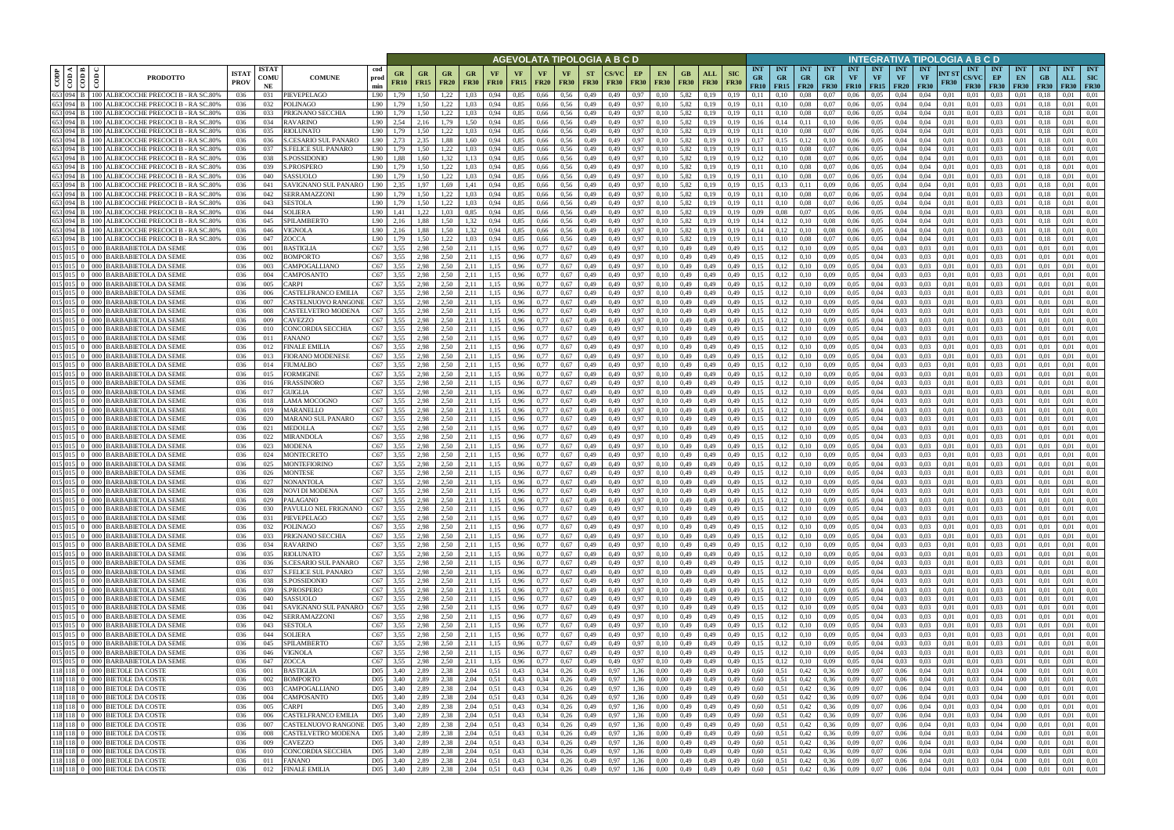|      |                                              |                                                                                       |                             |                            |                                                           |                      |                                                                |                   |                          |                   |                      |                            | <u>AGEVOLATA TIPOLOGIA A B C D</u> |                          |              |                   |                          |                            |                                                                                                                             |                                    |                                               |                         |                                 |                                   |                                 |                                        | INTEGRATIVA TIPOLOGIA A B C D                   |                                           |                                        |                                 |                                 |                                |                                         |
|------|----------------------------------------------|---------------------------------------------------------------------------------------|-----------------------------|----------------------------|-----------------------------------------------------------|----------------------|----------------------------------------------------------------|-------------------|--------------------------|-------------------|----------------------|----------------------------|------------------------------------|--------------------------|--------------|-------------------|--------------------------|----------------------------|-----------------------------------------------------------------------------------------------------------------------------|------------------------------------|-----------------------------------------------|-------------------------|---------------------------------|-----------------------------------|---------------------------------|----------------------------------------|-------------------------------------------------|-------------------------------------------|----------------------------------------|---------------------------------|---------------------------------|--------------------------------|-----------------------------------------|
| CODP | k I ≊ I<br>$\frac{\cos \theta}{\cos \theta}$ | $\epsilon$<br><b>PRODOTTO</b>                                                         | <b>ISTA1</b><br><b>PROV</b> | <b>ISTAT</b><br>COMU<br>NE | cod<br><b>COMUNE</b><br>prod<br>min                       | GR<br><b>FR10</b>    | $G_{R}$<br><b>FR15</b>                                         | GR<br><b>FR20</b> | GR<br><b>FR30</b>        | VF<br><b>FR10</b> | VF<br><b>FR15</b>    | VF.<br><b>FR20</b>         | <b>VF</b><br><b>FR30</b>           | <b>ST</b><br><b>FR30</b> | <b>FR30</b>  | EP<br><b>FR30</b> | <b>EN</b><br><b>FR30</b> | GB.<br><b>FR30</b>         | <b>SIC</b><br>ALL<br><b>FR30</b><br><b>FR30</b>                                                                             | <b>INT</b><br><b>GR</b><br>FR10    | <b>INT</b><br><b>GR</b><br>$FR15$ FR20        | <b>INT</b><br><b>GR</b> | <b>INT</b><br>GR<br><b>FR30</b> | <b>INT</b><br>VF<br><b>FR10</b>   | <b>INT</b><br>VF<br><b>FR15</b> | <b>INT</b><br><b>VF</b><br><b>FR20</b> | <b>INT</b><br>NT ST<br><b>VF</b><br><b>FR30</b> | <b>INT</b><br><b>CS/VC</b><br><b>FR30</b> | <b>INT</b><br>EP<br><b>FR30</b>        | <b>INT</b><br>EN<br><b>FR30</b> | <b>INT</b><br>GB<br><b>FR30</b> | <b>INT</b><br>ALL<br>FR30      | <b>INT</b><br><b>SIC</b><br><b>FR30</b> |
|      | 653 094                                      | 100 ALBICOCCHE PRECOCI B - RA SC.80%                                                  | 036                         | 031                        | PIEVEPELAGO<br>L90                                        | 1.79                 | 1,50                                                           | 1.22              | 1.03                     | 0.94              | 0.85                 | 0,66                       | 0.56                               | 0,49                     | 0.49         | 0.97              | 0.10                     | 5,82                       | 0.19<br>0.19                                                                                                                | 0.11                               |                                               | 0.08                    | 0.07                            | 0.06                              | 0.05                            | 0.04                                   | 0.04<br>0.01                                    | 0.01                                      | 0.03                                   | 0.01                            |                                 | 0.01                           | 0.01                                    |
|      | 653 094 B<br>653 094                         | ALBICOCCHE PRECOCI B - RA SC.80%<br>$00-$<br>ALBICOCCHE PRECOCI B - RA SC.80%<br>(0() | 036<br>036                  | 032<br>033                 | POLINAGO<br>L90<br>PRIGNANO SECCHIA<br>L90                | 1.79<br>1.79         | 1,50<br>1,50                                                   | 1.22<br>1.22      | 1,03<br>1,03             | 0.94<br>0.94      | 0,85<br>0,85         | 0,66<br>0,66               | 0.56<br>0,56                       | 0,49<br>0,49             | 0,49<br>0.49 | 0,97<br>0,97      | 0,10<br>0.10             | 5,82<br>5,82               | 0.19<br>0,19<br>0.19<br>0,19                                                                                                | 0,11<br>0,11                       | 0.10<br>0.10                                  | 0,08<br>0.08            | 0,07<br>0,07                    | 0.06<br>0.06                      | 0.05<br>0,05                    | 0,04<br>0.04                           | 0.04<br>0,01<br>0.04<br>0,01                    | 0,01<br>0,01                              | 0.03<br>0.03                           | 0.01<br>0,01                    | 0.18<br>0.13                    | 0.01<br>0.01                   | 0.01<br>0,01                            |
|      | 653 094 B                                    | ALBICOCCHE PRECOCI B - RA SC.80%<br>100 I                                             | 036                         | 034                        | <b>RAVARINO</b><br>L90                                    | 2.54                 | 2.16                                                           | 1.79              | 1,50                     | 0.94              | 0.85                 | 0.66                       | 0.56                               | 0,49                     | 0.49         | 0.97              | 0.10                     | 5.82                       | 0.19<br>0.19                                                                                                                | 0.16                               | 0,14                                          | 0.11                    | 0.10                            | 0.06                              | 0.05                            | 0.04                                   | 0.04<br>0.01                                    | 0.01                                      | 0.03                                   | 0.01                            | 0.18                            | 0.01                           | 0.01                                    |
|      | 653 094                                      | ALBICOCCHE PRECOCI B - RA SC.80%                                                      | 036                         | 035                        | RIOLUNATO<br>L90                                          | 1.79                 | 1.50                                                           | 1.22              | 1.03                     | 0.94              | 0.85                 | 0.66                       | 0.56                               | 0.49                     | 0.49         | 0.97              | 0.10                     | 5.82                       | 0.19<br>0.19                                                                                                                | 0.11                               | 0.10                                          | 0.08                    | 0.07                            | 0.06                              | 0.05                            | 0.04                                   | 0.04<br>0.01                                    | 0.01                                      | 0.03                                   | 0.01                            |                                 | 0.01                           | 0.01                                    |
|      | 653 094 B<br>653 094 B                       | ALBICOCCHE PRECOCI B - RA SC.80%<br>$00-$<br>ALBICOCCHE PRECOCI B - RA SC.80%         | 036<br>036                  | 036<br>037                 | S.CESARIO SUL PANARO<br>L90<br>S.FELICE SUL PANARO<br>L90 | 2,73<br>1.79         | 2,35<br>1.50                                                   | 1.88<br>1.22      | 1,60<br>1.03             | 0.94<br>0.94      | 0,85<br>0.85         | 0,66<br>0.66               | 0.56<br>0.56                       | 0,49<br>0.49             | 0.49<br>0.49 | 0.97<br>0.97      | 0.10<br>0.10             | 5,82<br>5.82               | 0.19<br>0,19<br>0.19<br>0.19                                                                                                | 0.17<br>0.11                       | 0,15<br>0.10                                  | 0.12<br>0.08            | 0,10<br>0.07                    | 0.06<br>0.06                      | 0.05<br>0.05                    | 0.04<br>0.04                           | 0.04<br>0.01<br>0.04<br>0.01                    | 0.01<br>0.01                              | 0.03<br>0.03                           | 0.01<br>0.01                    | 0.18<br>0.18                    | 0.01<br>0.01                   | 0.01<br>0.01                            |
|      | 653 094 B                                    | ALBICOCCHE PRECOCI B - RA SC.80%                                                      | 036                         | 038                        | S.POSSIDONIO<br>L90                                       | 1,88                 | 1.60                                                           | 1.32              | 1,13                     | 0.94              | 0.85                 | 0.66                       | 0.56                               | 0,49                     | 0.49         | 0.97              | 0.10                     | 5.82                       | 0.19<br>0.19                                                                                                                | 0.12                               | 0,10                                          | 0.08                    | 0,07                            | 0.06                              | 0.05                            | 0.04                                   | 0.04<br>0.01                                    | 0.01                                      | 0.03                                   | 0.01                            | 0.18                            | 0.01                           | 0.01                                    |
|      | 653 094 B                                    | ALBICOCCHE PRECOCI B - RA SC.80%                                                      | 036                         | 039                        | S.PROSPERO<br>L90                                         | 1.79                 | 1.50                                                           | 1,22              | 1.03                     | 0.94              | 0.85                 | 0.66                       | 0.56                               | 0,49                     | 0.49         | 0.97              | 0.10                     | 5,82                       | 0,19<br>0.19                                                                                                                | 0,11                               | 0,10                                          | 0.08                    | 0,07                            | 0.06                              | 0.05                            | 0.04                                   | 0.01<br>0.04                                    | 0.01                                      | 0.03                                   | 0.01                            | 0.18                            | 0.01                           | 0.01                                    |
|      | 653 094 B<br>653 094                         | ALBICOCCHE PRECOCI B - RA SC.80%<br>ALBICOCCHE PRECOCI B - RA SC.80%                  | 036                         | 040                        | L90<br>SASSUOLO                                           | 1.79                 | 1.50                                                           | 1,22              | 1,03                     | 0.94              | 0,85                 | 0,66                       | 0.56                               | 0,49                     | 0.49         | 0,97              | 0.10                     | 5,82                       | 0,19<br>0.19                                                                                                                | 0.11                               | 0,10                                          | 0,08                    | 0,07                            | 0,06                              | 0.05                            | 0.04                                   | 0.04<br>0,01                                    | 0.01                                      | 0.03                                   | 0.01                            | 0.18                            | 0.01                           | 0.01                                    |
|      | 653 094 B                                    | ALBICOCCHE PRECOCI B - RA SC.809                                                      | 036<br>036                  | 041<br>042                 | SAVIGNANO SUL PANARO<br>L90<br>SERRAMAZZONI<br>L90        | 2.35<br>1,79         | 1.97<br>1,50                                                   | 1.69<br>1,22      | 1,41<br>1,03             | 0.94<br>0,94      | 0,85<br>0,85         | 0,66<br>0,66               | 0.56<br>0,56                       | 0,49<br>0,49             | 0.49<br>0,49 | 0.97<br>0,97      | 0.10<br>0,10             | 5,82<br>5,82               | 0,19<br>0.19<br>0,19<br>0,19                                                                                                | 0,15<br>0,11                       | 0,13<br>0,10                                  | 0,11<br>0,08            | 0.09<br>0,07                    | 0.06<br>0,06                      | 0.05<br>0.05                    | 0.04<br>0,04                           | 0.04<br>0.01<br>0,04<br>0,01                    | 0.01<br>0.01                              | 0.03<br>0,03                           | 0,01<br>0,01                    | 0.18<br>0.18                    | 0.01<br>0,01                   | 0.01<br>0,01                            |
|      | 653 094 B                                    | ALBICOCCHE PRECOCI B - RA SC.80%                                                      | 036                         | 043                        | SESTOLA<br>L90                                            | 1.79                 | 1.50                                                           | 1.22              | 1.03                     | 0.94              | 0,85                 | 0,66                       | 0.56                               | 0,49                     | 0.49         | 0.97              | 0.10                     | 5,82                       | 0.19<br>0.19                                                                                                                | 0.11                               | 0.10                                          | 0.08                    | 0.07                            | 0.06                              | 0.05                            | 0,04                                   | 0.04<br>0.01                                    | 0.01                                      | 0.03                                   | 0.01                            | 0.18                            | 0,01                           | 0.01                                    |
|      | 653 094 B                                    | ALBICOCCHE PRECOCI B - RA SC.80%                                                      | 036                         | 044                        | SOLIERA<br>L90                                            | 1,41                 | 1,22                                                           | 1.03              | 0.85                     | 0.94              | 0,85                 | 0,66                       | 0,56                               | 0,49                     | 0.49         | 0,97              | 0.10                     | 5,82                       | 0,19<br>0.19                                                                                                                | 0.09                               | 0.08                                          | 0,07                    | 0.05                            | 0,06                              | 0.05                            | 0,04                                   | 0.04<br>0,01                                    | 0.01                                      | 0.03                                   | 0,01                            | 0.18                            | 0.01                           | 0.01                                    |
|      | 653 094 B<br>653 094                         | ALBICOCCHE PRECOCI B - RA SC.809<br>ALBICOCCHE PRECOCI B - RA SC.80%                  | 036<br>036                  | 045<br>046                 | SPILAMBERTO<br>L90<br>VIGNOLA<br>L90                      | 2,16<br>2.16         | 1,88<br>1.88                                                   | 1.50<br>1.50      | 1,32<br>1.32             | 0.94<br>0.94      | 0,85<br>0.85         | 0,66<br>0.66               | 0,56<br>0.56                       | 0,49<br>0.49             | 0.49<br>0.49 | 0,97<br>0.97      | 0.10<br>0.10             | 5,82<br>5.82               | 0,19<br>0.19<br>0.19<br>0.19                                                                                                | 0,14<br>0.14                       | 0,12<br>0.12                                  | 0,10<br>0.10            | 0.08<br>0.08                    | 0,06<br>0.06                      | 0,05<br>0.05                    | 0,04<br>0.04                           | 0.04<br>0.01<br>0.01<br>0.04                    | 0.01<br>0.01                              | 0,03<br>0.03                           | 0,01<br>0.01                    | 0.18<br>-0.1                    | 0,01<br>0.01                   | 0.01<br>0.01                            |
|      | 653 094 B                                    | ALBICOCCHE PRECOCI B - RA SC.80%                                                      | 036                         | 047                        | ZOCCA<br>L90                                              | 1.79                 | 1.50                                                           | 1.22              | 1.03                     | 0.94              | 0.85                 | 0.66                       | 0.56                               | 0.49                     | 0.49         | 0.97              | 0.10                     | 5.82                       | 0.19<br>0.19                                                                                                                | 0.11                               | 0.10                                          | 0.08                    | 0.07                            | 0.06                              | 0.05                            | 0.04                                   | 0.01<br>0.04                                    | 0.01                                      | 0.03                                   | 0.01                            | 0.18                            | 0.01                           | 0.01                                    |
|      | 015 015 0                                    | <b>BARBABIETOLA DA SEME</b>                                                           | 036                         | 001                        | C67<br>BASTIGLIA                                          | 3.55                 | 2.98                                                           | 2.50              | 2,11                     | 1.15              | 0,96                 | 0.77                       | 0.67                               | 0,49                     | 0.49         | 0,97              | 0.10                     | 0,49                       | 0,49<br>0.49                                                                                                                | 0.15                               | 0,12                                          | 0.10                    | 0.09                            | 0.05                              | 0.04                            | 0.03                                   | 0.03<br>0.01                                    | 0.01                                      | 0,03                                   | 0.01                            | 0.01                            | 0.01                           | 0.01                                    |
|      | $015$ 015 0<br>015 015                       | BARBABIETOLA DA SEME<br>000 <sup>1</sup><br><b>BARBABIETOLA DA SEME</b>               | 036<br>036                  | 002                        | <b>BOMPORTO</b><br>C67<br>C67                             | 3.55<br>3.55         | 2.98<br>2.98                                                   | 2.50<br>2.50      | 2.11                     |                   | 0.96                 | 0.77<br>0.77               | 0.67                               | 0.49                     |              | 0.97              | 0.10                     | 0.49                       | 0.49<br>0.49<br>0.49                                                                                                        | 0.15<br>0.15                       |                                               |                         | 0.09                            | 0.05<br>0.05                      | 0.04<br>0.04                    | 0.03                                   | 0.03<br>0.01<br>0.01                            | 0.01<br>0.01                              | 0.03                                   | 0.0                             |                                 | 0.01                           | 0.01<br>0.01                            |
|      | $015$ 015 0                                  | <b>BARBABIETOLA DA SEME</b><br>000 l                                                  | 036                         | 003<br>004                 | <b>CAMPOGALLIANO</b><br>C67<br><b>CAMPOSANTO</b>          | 3.55                 | 2.98                                                           | 2.50              | 2.11<br>2,11             | 1.15              | 0.96<br>0.96         | 0.77                       | 0.67<br>0.67                       | 0.49<br>0,49             |              | 0.97<br>0,97      | 0.10<br>0.10             | 0.49<br>0.49               | 0.49<br>0.49                                                                                                                | 0.15                               |                                               | 0.10<br>0.10            | 0.09<br>0.09                    | 0.05                              | 0.04                            | 0.03<br>0.03                           | 0.03<br>0.03<br>0.01                            | 0.01                                      | 0.03<br>0.03                           | 0.0<br>0.0                      |                                 | 0.01<br>0.01                   | 0.01                                    |
|      | $015$ 015 0                                  | <b>BARBABIETOLA DA SEME</b><br>000 I                                                  | 036                         | 005                        | C67<br>`ARPI                                              | 3.55                 | 2.98                                                           | 2.50              | 2.11                     | 1.15              | 0.96                 | 0.77                       | 0.67                               | 0,49                     | 0.49         | 0.97              | 0.10                     | 0.49                       | 0.49<br>0.49                                                                                                                | 0.15                               | 0.12                                          | 0,10                    | 0.09                            | 0.05                              | 0.04                            | 0.03                                   | 0.03<br>0.01                                    | 0.01                                      | 0.03                                   | 0.01                            |                                 | 0.01                           | 0.01                                    |
|      | $015 \ 015 \ 0$                              | 000 BARBABIETOLA DA SEME                                                              | 036                         | 006                        | C67<br><b>ASTELFRANCO EMILIA</b>                          | 3.55                 | 2.98                                                           | 2.50              | 2.11                     | 1.15              | 0,96                 | 0.77                       | 0.67                               | 0,49                     | 0.49         | 0.97              | 0.10                     | 0.49                       | 0,49<br>0,49                                                                                                                | 0.15                               | 0,12                                          | 0,10                    | 0.09                            | 0.05                              | 0.04                            | 0.03                                   | 0.03<br>0.01                                    | 0.01                                      | 0.03                                   | 0.01                            | 0.01                            | 0.01                           | 0.01                                    |
|      | 015 015                                      | <b>BARBABIETOLA DA SEME</b><br>DOC<br><b>BARBABIETOLA DA SEME</b><br>000 I            | 036<br>036                  | 007<br>008                 | CASTELNUOVO RANGONI<br>C67<br>C67<br>CASTELVETRO MODENA   | 3.55<br>3.55         | 2,98<br>2,98                                                   | 2.50<br>2.50      | 2,11<br>2.11             | 1.15<br>1.15      | 0,96<br>0,96         | 0.77                       | 0.67<br>0.67                       | 0,49<br>0,49             | 0.49<br>0.49 | 0.97<br>0.97      | 0.10<br>0.10             | 0,49<br>0.49               | 0.49<br>0.49<br>0,49<br>0,49                                                                                                | 0.15<br>0.15                       |                                               | 0,10<br>0.10            | 0.09<br>0.09                    | 0,05<br>0.05                      | 0.04<br>0.04                    | 0.03                                   | 0.03<br>0.01<br>0.03<br>0.01                    | 0.01<br>0.01                              | 0.03<br>0.03                           | 0.01<br>0.01                    | 0.01                            | 0.01<br>0.01                   | 0.01<br>0.01                            |
|      |                                              | <b>BARBABIETOLA DA SEME</b>                                                           | 036                         | 009                        | CAVEZZO<br>C67                                            | 3.55                 | 2.98                                                           | 2.50              | 2.11                     |                   | 0.96                 | 0.77                       | 0.67                               | 0,49                     |              | 0.97              |                          | 0.49                       | 0.49<br>0.49                                                                                                                | 0.15                               |                                               | 0.10                    | 0.09                            | 0.05                              | 0.04                            |                                        | 0.03<br>0.01                                    | 0.01                                      | 0.03                                   | 0.01                            |                                 | 0.01                           | 0.01                                    |
|      | 015 015                                      | 000 BARBABIETOLA DA SEME                                                              | 036                         | 010                        | C67<br>CONCORDIA SECCHIA                                  | 3,55                 | 2,98                                                           | 2.50              | 2,11                     | 1,15              | 0,96                 | 0,77                       | 0.67                               | 0,49                     | 0.49         | 0,97              | 0,10                     | 0,49                       | 0,49<br>0,49                                                                                                                | 0.15                               | 0,12                                          | 0,10                    | 0.09                            | 0,05                              | 0,04                            | 0.03                                   | 0,03<br>0,01                                    | 0,01                                      | 0,03                                   | 0,01                            | 0,01                            | 0,01                           | 0,01                                    |
|      | 015 015                                      | 000 BARBABIETOLA DA SEME                                                              | 036                         | 011                        | C67<br>FANANO                                             | 3.55                 | 2.98                                                           | 2.50              | 2.11                     | 1.15              | 0.96                 | 0.77                       | 0.67                               | 0.49                     | 0.49         | 0.97              | 0.10                     | 0.49                       | 0.49<br>0.49                                                                                                                | 0.15                               | 0.12                                          | 0.10                    | 0.09                            | 0.05                              | 0.04                            | 0.03                                   | 0.03<br>0.01                                    | 0.01                                      | 0.03                                   | 0.01                            | 0.01                            | 0.01                           | 0.01                                    |
|      | $015$ 015 0<br>015 015                       | 000 BARBABIETOLA DA SEME<br>000 BARBABIETOLA DA SEME                                  | 036<br>036                  | 012<br>013                 | <b>FINALE EMILIA</b><br>C67<br>C67<br>FIORANO MODENESE    | 3.55<br>3.55         | 2.98<br>2.98                                                   | 2.50<br>2.50      | 2,11<br>2,11             | 1.15<br>1.15      | 0,96<br>0.96         | 0.77<br>0.77               | 0.67<br>0.67                       | 0,49<br>0,49             | 0.49<br>0.49 | 0.97<br>0.97      | 0.10<br>0.10             | 0.49<br>0.49               | 0,49<br>0,49<br>0,49<br>0.49                                                                                                | 0.15<br>0.15                       | 0,12<br>0,12                                  | 0,10<br>0.10            | 0.09<br>0.09                    | 0,05<br>0.05                      | 0.04<br>0.04                    | 0.03<br>0.03                           | 0.03<br>0.01<br>0.03<br>0.01                    | 0.01<br>0.01                              | 0.03<br>0.03                           | 0.01<br>0.01                    | 0.01<br>-0.01                   | 0.01<br>0.01                   | 0.01<br>0.01                            |
|      | $015$ 015 0                                  | <b>BARBABIETOLA DA SEME</b><br>0001                                                   | 036                         | 014                        | C67<br>FIUMALBO                                           | 3.55                 | 2.98                                                           | 2.50              | 2.11                     | 1.15              | 0.96                 | 0.77                       | 0.67                               | 0.49                     | 0.49         | 0.97              | 0.10                     | 0.49                       | 0.49<br>0.49                                                                                                                | 0.15                               | 0,12                                          | 0.10                    | 0.09                            | 0.05                              | 0.04                            | 0.03                                   | 0.03<br>0.01                                    | 0.01                                      | 0.03                                   | 0.01                            | 0.01                            | 0.01                           | 0.01                                    |
|      | 015 015                                      | BARBABIETOLA DA SEME                                                                  | 036                         | 015                        | FORMIGINE<br>C67                                          | 3.55                 | 2.98                                                           | 2.50              | 2.11                     | -1.15             | 0.96                 | 0.77                       | 0.67                               | 0.49                     | 0.49         | 0.97              | 0.10                     | 0.49                       | 0.49<br>0.49                                                                                                                | 0.15                               | 0,12                                          | 0.10                    | 0.09                            | 0.05                              | 0.04                            | 0.03                                   | 0.01<br>0.03                                    | 0.01                                      | 0.03                                   | 0.01                            | 0.01                            | 0.01                           | 0.01                                    |
|      | $015$ 015 0<br>015 015                       | 000 BARBABIETOLA DA SEME                                                              | 036                         | 016                        | C67<br>FRASSINORO                                         | 3,55                 | 2,98                                                           | 2.50              | 2,11                     | 1,15              | 0,96                 | 0,77                       | 0.67                               | 0,49                     | 0.49         | 0,97              | 0,10                     | 0,49                       | 0,49<br>0,49                                                                                                                | 0,15                               | 0,12                                          | 0,10                    | 0.09                            | 0,05                              | 0.04                            | 0.03                                   | 0.03<br>0,01                                    | 0.01                                      | 0,03                                   | 0,01                            | 0.01                            | 0.01                           | 0.01                                    |
|      | $015$ 015 0                                  | <b>BARBABIETOLA DA SEME</b><br>000 I<br>000 BARBABIETOLA DA SEME                      | 036<br>036                  | 017<br>018                 | C67<br>GUIGLIA<br>C67<br>LAMA MOCOGNO                     | 3.55<br>3,55         | 2.98<br>2,98                                                   | 2.50<br>2.50      | 2.11<br>2,11             | 1.15<br>1,15      | 0.96<br>0,96         | 0.77<br>0,77               | 0.67<br>0.67                       | 0,49<br>0,49             | 0.49<br>0.49 | 0.97<br>0,97      | 0.10<br>0.10             | 0.49<br>0,49               | 0.49<br>0.49<br>0,49<br>0.49                                                                                                | 0,15<br>0,15                       | 0,12<br>0,12                                  | 0,10<br>0,10            | 0.09<br>0.09                    | 0.05<br>0,05                      | 0.04<br>0.04                    | 0.03<br>0.03                           | 0.03<br>0.01<br>0.03<br>0,01                    | 0.01<br>0.01                              | 0.03<br>0.03                           | 0.01<br>0,01                    | 0.01<br>0.01                    | 0.01<br>0.01                   | 0.01<br>0,01                            |
|      | $015$ 015 0                                  | <b>BARBABIETOLA DA SEME</b>                                                           | 036                         | 019                        | MARANELLO<br>C67                                          | 3,55                 | 2.98                                                           | 2.50              | 2,11                     | 1,15              | 0,96                 | 0,77                       | 0.67                               | 0,49                     | 0,49         | 0,97              | 0,10                     | 0,49                       | 0,49<br>0,49                                                                                                                | 0,15                               | 0,12                                          | 0,10                    | 0.09                            | 0.05                              | 0,04                            | 0.03                                   | 0,03<br>0,01                                    | 0,01                                      | 0,03                                   | 0,01                            | 0,01                            | 0,01                           | 0,01                                    |
|      | $015$ 015 0                                  | <b>BARBABIETOLA DA SEME</b>                                                           | 036                         | 020                        | C67<br>MARANO SUL PANARO                                  | 3,55                 | 2.98                                                           | 2.50              | 2,11                     | 1,15              | 0,96                 | 0.77                       | 0.67                               | 0,49                     | 0.49         | 0,97              | 0.10                     | 0,49                       | 0,49<br>0.49                                                                                                                | 0.15                               | 0,12                                          | 0,10                    | 0,09                            | 0.05                              | 0.04                            | 0.03                                   | 0.03<br>0,01                                    | 0.01                                      | 0.03                                   | 0,01                            | 0.01                            | 0,01                           | 0.01                                    |
|      | $015$ 015 0<br>$015$ 015 0                   | <b>BARBABIETOLA DA SEME</b><br>000.<br><b>BARBABIETOLA DA SEME</b><br>000.            | 036<br>036                  | 021<br>022                 | C67<br>MEDOLLA<br>C67<br>MIRANDOLA                        | 3.55<br>3,55         | 2.98<br>2,98                                                   | 2.50<br>2.50      | 2.11<br>2,11             | 1.15<br>1,15      | 0,96<br>0,96         | 0.77<br>0.77               | 0.67<br>0,67                       | 0,49<br>0,49             | 0.49<br>0.49 | 0,97<br>0,97      | 0.10<br>0.10             | 0,49<br>0,49               | 0,49<br>0.49<br>0,49<br>0.49                                                                                                | 0,15<br>0,15                       | 0.12<br>0,12                                  | 0,10<br>0,10            | 0,09<br>0.09                    | 0,05<br>0,05                      | 0.04<br>0,04                    | 0.03<br>0.03                           | 0,03<br>0.01<br>0,03<br>0.01                    | 0.01<br>0.01                              | 0,03<br>0,03                           | 0,01<br>0,01                    | 0.01<br>0.01                    | 0,01<br>0.01                   | 0.01<br>0.01                            |
|      | $015$ 015 0                                  | <b>BARBABIETOLA DA SEME</b><br>000.                                                   | 036                         | 023                        | MODENA<br>C67                                             | 3.55                 | 2.98                                                           | 2.50              | 2.11                     | 1.15              | 0.96                 | 0.77                       | 0.67                               | 0.49                     | 0.49         | 0.97              | 0.10                     | 0.49                       | 0.49<br>0.49                                                                                                                | 0.15                               |                                               | 0.10                    | 0.09                            | 0.05                              | 0.04                            | 0.03                                   | 0.03<br>0.01                                    | 0.01                                      | 0.03                                   | 0.01                            | 0.01                            | 0.01                           | 0.01                                    |
|      | 015 015                                      | <b>BARBABIETOLA DA SEME</b>                                                           | 036                         | 024                        | C67<br>MONTECRETO                                         | 3.55                 | 2.98                                                           | 2.50              | 2.11                     | 1.15              | 0.96                 | 0.77                       | 0.67                               | 0.49                     | 0.49         | 0.97              | 0.10                     | 0.49                       | 0.49<br>0.49                                                                                                                | 0.15                               | 0.12                                          | 0.10                    | 0.09                            | 0.05                              | 0.04                            | 0.03                                   | 0.03<br>0.01                                    | 0.01                                      | 0.03                                   | 0.01                            | 0.01                            | 0.01                           | 0.01                                    |
|      | $015$ 015 0                                  | <b>BARBABIETOLA DA SEME</b><br>000 l                                                  | 036                         | 025                        | C67<br>MONTEFIORINO                                       | 3.55                 | 2.98                                                           | 2.50              | 2,11                     | 1.15              | 0,96                 | 0.77                       | 0,67                               | 0,49                     | 0.49         | 0,97              | 0.10                     | 0,49                       | 0,49<br>0.49                                                                                                                | 0,15                               | 0,12                                          | 0,10                    | 0,09                            | 0,05                              | 0.04                            | 0,03                                   | 0.03<br>0.01                                    | 0.01                                      | 0,03                                   | 0,01                            | 0.01                            | 0,01                           | 0.01                                    |
|      | $015$ 015 0                                  | 000 BARBABIETOLA DA SEME<br>015 015 0 000 BARBABIETOLA DA SEME                        | 036<br>036                  | 026<br>027                 | C67<br>MONTESE<br>C67<br>NONANTOLA                        | 3.55<br>3.55         | 2.98<br>2.98                                                   | 2.50<br>2.50      | 2.11<br>2.11             | 1.15<br>1.15      | 0.96<br>0.96         | 0.77<br>0.77               | 0.67<br>0.67                       | 0.49<br>0.49             | 0.49<br>0.49 | 0.97<br>0.97      | 0.10<br>0.10             | 0.49<br>0.49               | 0.49<br>0.49<br>0.49<br>0.49                                                                                                | 0.15<br>0.15                       | 0,12                                          | 0.10<br>0.10            | 0.09<br>0.09                    | 0.05<br>0.05                      | 0.04<br>0.04                    | 0.03<br>0.03                           | 0.03<br>0.01<br>0.03<br>0.01                    | 0.01<br>0.01                              | 0.03<br>0.03                           | 0.01<br>0.01                    | 0.01                            | 0.01<br>0.01                   | 0.01<br>0.01                            |
|      |                                              | $015$ 015 0   000 BARBABIETOLA DA SEME                                                | 036                         | 028                        | C67<br>NOVI DI MODENA                                     | 3.55                 | 2.98                                                           | 2.50              | 2.11                     | 1.15              | 0.96                 | 0.77                       | 0.67                               | 0.49                     | 0.49         | 0.97              | 0.10                     | 0.49                       | 0.49<br>0.49                                                                                                                | 0.15                               | 0.12                                          | 0.10                    | 0.09                            | 0.05                              | 0.04                            | 0.03                                   | 0.03<br>0.01                                    | 0.01                                      | 0.03                                   | 0.01                            | 0.01                            | 0.01                           | 0.01                                    |
|      |                                              | 015 015 0 000 BARBABIETOLA DA SEME                                                    | 036                         | 029                        | PALAGANO                                                  | C <sub>67</sub> 3.55 | 2,98                                                           | 2,50              | 2,11                     | 1,15              | 0,96                 | 0,77                       | 0,67                               | 0,49                     | 0,49         | 0,97              | 0,10                     | 0,49                       | 0,49<br>0,49                                                                                                                | 0.15                               | 0,12                                          | 0,10                    | 0,09                            | 0.05                              | 0,04                            | 0.03                                   | 0,03<br>0,01                                    | 0,01                                      | 0,03                                   | 0,01                            | 0,01                            | 0,01                           | 0,01                                    |
|      |                                              | 015 015 0 000 BARBABIETOLA DA SEME<br>015 015 0 000 BARBABIETOLA DA SEME              | 036<br>036                  | 030<br>031                 | PAVULLO NEL FRIGNANO<br>C67<br>PIEVEPELAGO                | 3.55<br>C67 3,55     | 2,98<br>2,98                                                   | 2.50<br>2,50      | 2,11<br>2,11             | 1,15<br>1,15      | 0,96<br>0,96         | 0,77<br>$0,77$ 0.67        | 0,67                               | 0,49<br>0,49             | 0,49<br>0,49 | 0,97<br>0,97      | 0,10<br>0,10             | 0,49<br>$0,49$ $0,49$      | 0,49<br>0,49<br>0,49                                                                                                        | 0,15<br>0,15                       | 0,12<br>$0,12$ $0,10$                         | 0,10                    | 0,09<br>0,09                    | 0.05<br>0,05                      | 0,04<br>0,04                    | 0.03<br>0,03                           | 0,03<br>0,01<br>0,03<br>0,01                    | 0,01<br>0,01                              | 0,03<br>0,03                           | 0,01<br>0,01                    | 0,01<br>0,01                    | 0,01<br>0,01                   | 0,01<br>0,01                            |
|      |                                              | 015 015 0 000 BARBABIETOLA DA SEME                                                    | 036                         | 032                        | POLINAGO                                                  | C <sub>67</sub> 3,55 | 2,98                                                           | 2,50              | 2,11                     | 1,15              | 0,96                 | $0,77$ 0.67                |                                    | 0,49                     | 0,49         | 0,97              | 0,10                     | $0,49$ $0,49$              | 0,49                                                                                                                        | 0,15                               | $0,12$ $0,10$                                 |                         | 0,09                            | $0,05$ 0.04                       |                                 | 0,03                                   | 0,01<br>0,03                                    | 0,01                                      | 0,03                                   | 0,01                            | 0,01                            | 0.01                           | 0,01                                    |
|      |                                              | 015 015 0 000 BARBABIETOLA DA SEME                                                    | 036                         | 033                        | PRIGNANO SECCHIA                                          | C67 3,55             | 2,98                                                           | 2,50              | 2,11                     | 1,15              | 0,96                 | $0,77$ 0.67                |                                    | 0,49                     | 0,49         | 0,97              | 0,10                     | 0,49 0,49                  | 0,49                                                                                                                        | 0,15                               | $0,12$ $0,10$                                 |                         | 0,09                            | 0,05                              | 0,04                            | 0,03                                   | 0,03<br>0,01                                    | 0,01                                      | 0,03                                   | 0,01                            | 0,01                            | 0.01                           | 0,01                                    |
|      |                                              | 015 015 0 000 BARBABIETOLA DA SEME                                                    | 036                         | 034                        | <b>RAVARINO</b>                                           | C67 3,55             | 2,98                                                           | 2,50              | 2,11                     | 1,15              | 0,96                 | $0,77$ 0.67                |                                    | 0,49                     | 0,49         | 0,97              | 0,10                     | 0,49 0,49                  | 0,49                                                                                                                        | 0,15                               | $0,12$ $0,10$ $0,09$                          |                         |                                 | $0,05$ 0.04                       |                                 | 0,03                                   | 0,03<br>0,01                                    | 0,01                                      | 0,03                                   | 0,01                            | 0,01                            | 0.01                           | 0,01                                    |
|      |                                              | 015 015 0 000 BARBABIETOLA DA SEME<br>015 015 0 000 BARBABIETOLA DA SEME              | 036<br>036                  | 035<br>036                 | RIOLUNATO<br>S.CESARIO SUL PANARO                         | C67 3,55<br>C67 3.55 | 2,98<br>2,98 2,50                                              | 2,50              | 2,11<br>$2,11$ 1,15      | 1,15              | 0,96<br>0,96         | $0,77$ 0.67<br>$0,77$ 0.67 |                                    | 0,49<br>0,49             | 0,49<br>0,49 | 0,97<br>0,97      | 0,10<br>0,10             | 0,49 0,49<br>0,49 0,49     | 0,49                                                                                                                        | 0,15<br>$0,49$ 0.15 0.12 0.10 0.09 | $0,12$ $0,10$ $0,09$                          |                         |                                 | $0,05$ 0.04                       | $0.05 \qquad 0.04$              | 0,03<br>0,03                           | 0,03<br>0,01<br>0,03<br>0,01                    | 0.01<br>0,01                              | $0.03 \qquad 0.01$<br>0,03             | 0,01                            | 0,01<br>0,01                    |                                | $0,01$ $0,01$<br>$0,01$ $0,01$          |
|      |                                              | 015 015 0 000 BARBABIETOLA DA SEME                                                    | 036                         | 037                        | <b>S.FELICE SUL PANARO</b>                                | C67 3,55             | 2,98 2,50                                                      |                   | $2,11$ 1,15              |                   | 0,96                 | $0,77$ 0.67                |                                    | 0,49                     | 0,49         | 0,97              | 0,10                     | 0,49 0,49                  | 0,49                                                                                                                        |                                    | $0,15$ $0,12$ $0,10$ $0,09$                   |                         |                                 | $0,05$ 0.04                       |                                 | 0,03                                   | 0,03<br>0,01                                    | 0,01                                      | $0,03$ $0,01$                          |                                 | 0,01                            | $0,01$ 0.01                    |                                         |
|      |                                              | 015 015 0 000 BARBABIETOLA DA SEME                                                    | 036                         | 038                        | S.POSSIDONIO                                              | C67 3.55             | 2,98                                                           | 2,50              | 2,11                     | 1,15              | 0,96                 | $0,77$ 0.67                |                                    | 0,49                     | 0,49         | 0,97              | 0,10                     | $0,49$ $0,49$              | 0,49                                                                                                                        | 0,15                               | $0,12$ $0,10$                                 |                         | 0,09                            | 0,05                              | 0,04                            | 0,03                                   | 0,03<br>0,01                                    | 0,01                                      | $0,03$ $0,01$                          |                                 | 0,01                            | 0.01                           | 0,01                                    |
|      |                                              | 015 015 0 000 BARBABIETOLA DA SEME<br>015 015 0 000 BARBABIETOLA DA SEME              | 036<br>036                  | 039<br>040                 | S.PROSPERO<br>SASSUOLO                                    | C67 3,55<br>C67 3.55 | 2,98<br>2,98                                                   | 2,50<br>2,50      | 2,11<br>2,11             | 1,15<br>1,15      | 0,96<br>0,96         | $0,77$ 0.67<br>$0,77$ 0.67 |                                    | 0,49<br>0,49             | 0,49<br>0,49 | 0,97<br>0,97      | 0,10<br>0,10             | 0,49<br>$0,49$ 0,49        | 0,49<br>0,49<br>0,49                                                                                                        | 0,15<br>0,15                       | $0,12$ $0,10$<br>$0,12$ $0,10$                |                         | 0,09<br>0,09                    | 0,05<br>0,05                      | 0,04<br>0,04                    | 0,03<br>0,03                           | 0,03<br>0,01<br>0,03<br>0,01                    | 0,01<br>0,01                              | $0,03$ $0,01$<br>$0,03$ $0,01$         |                                 | 0,01<br>0,01                    | 0,01<br>0.01                   | 0,01<br>0,01                            |
|      |                                              | 015 015 0 000 BARBABIETOLA DA SEME                                                    | 036                         | 041                        | SAVIGNANO SUL PANARO                                      | C67 3,55             | 2,98                                                           | 2,50              | 2,11                     | 1,15              | 0,96                 | $0,77$ 0.67                |                                    | 0,49                     | 0,49         | 0,97              | 0,10                     | 0,49                       | 0,49<br>0,49                                                                                                                | 0,15                               | $0,12$ $0,10$                                 |                         | 0,09                            | 0,05                              | 0,04                            | 0,03                                   | 0,03<br>0,01                                    | 0,01                                      | $0.03 \qquad 0.01$                     |                                 | 0,01                            | 0,01                           | 0,01                                    |
|      |                                              | 015 015 0 000 BARBABIETOLA DA SEME                                                    | 036                         | 042                        | SERRAMAZZONI                                              | C67 3.55             | 2,98                                                           | 2,50              | 2,11 1,15                |                   | 0,96                 | $0,77$ 0.67                |                                    | 0,49                     | 0,49         | 0,97              | 0,10                     | 0,49 0,49                  | 0,49                                                                                                                        |                                    | $0,15$ $0,12$ $0,10$                          |                         | 0,09                            | 0,05                              | 0,04                            | 0,03                                   | 0,03<br>0,01                                    | 0,01                                      | $0,03$ 0.01                            |                                 | 0,01                            | 0,01                           | 0,01                                    |
|      |                                              | 015 015 0 000 BARBABIETOLA DA SEME                                                    | 036                         | 043                        | <b>SESTOLA</b>                                            | C67 3,55             | 2,98                                                           | 2,50              | $2,11$ 1,15              |                   | 0,96                 | $0,77$ 0.67                |                                    | 0,49                     | 0,49         | 0,97              | 0,10                     | 0,49 0,49                  | 0,49                                                                                                                        | 0,15                               | $0,12$ $0,10$                                 |                         | 0,09                            | 0,05                              | 0,04                            | 0,03                                   | 0,03<br>0,01                                    | 0,01                                      | $0,03$ $0,01$                          |                                 | 0,01                            | 0,01                           | 0,01                                    |
|      |                                              | 015 015 0 000 BARBABIETOLA DA SEME<br>015 015 0 000 BARBABIETOLA DA SEME              | 036<br>036                  | 044<br>045                 | SOLIERA<br>SPILAMBERTO                                    | C67 3.55<br>C67 3,55 | 2,98<br>2,98                                                   | 2,50<br>2,50      | 2,11 1,15<br>$2,11$ 1,15 |                   | 0,96<br>0,96         | $0,77$ 0.67<br>$0,77$ 0.67 |                                    | 0,49<br>0,49             | 0,49<br>0,49 | 0,97<br>0,97      | 0,10<br>0,10             | 0,49 0,49<br>0,49 0,49     | 0,49<br>0,49                                                                                                                |                                    | $0,15$ $0,12$ $0,10$<br>$0,15$ $0,12$ $0,10$  |                         | 0,09<br>0,09                    | $0.05 \qquad 0.04$<br>$0,05$ 0.04 |                                 | 0,03<br>0,03                           | 0,03<br>0,01<br>0,03<br>0,01                    | 0,01<br>0,01                              | $0.03 \qquad 0.01$<br>$0,03$ 0.01      |                                 | 0,01<br>0,01                    | 0,01<br>0,01                   | 0,01<br>0,01                            |
|      |                                              | 015 015 0 000 BARBABIETOLA DA SEME                                                    | 036                         | 046                        | <b>VIGNOLA</b>                                            | C67 3,55             | 2,98                                                           | 2,50              | $2,11 \quad 1,15$        |                   | 0,96                 | $0,77$ 0.67                |                                    | 0,49                     | 0,49         | 0,97              | 0,10                     | 0,49 0,49                  | 0,49                                                                                                                        |                                    | $0,15$ $0,12$ $0,10$ $0,09$                   |                         |                                 | 0,05                              | 0,04                            | 0,03                                   | 0,03<br>0,01                                    | 0,01                                      | $0,03$ $0,01$                          |                                 | 0,01                            | 0,01                           | 0,01                                    |
|      |                                              | 015 015 0 000 BARBABIETOLA DA SEME                                                    | 036                         | 047                        | ZOCCA                                                     | C67 3.55             | 2,98 2,50 2,11 1,15                                            |                   |                          |                   | 0,96                 |                            | $0,77$ 0.67                        | 0,49                     | 0.49         | 0,97              | 0,10                     | 0,49 0,49                  | 0,49                                                                                                                        |                                    | $0,15$ $0,12$ $0,10$ $0,09$                   |                         |                                 | $0.05 \qquad 0.04$                |                                 | 0,03                                   | 0,03<br>0,01                                    | 0.01                                      | $0.03 \qquad 0.01$                     |                                 | 0.01                            | 0,01                           | 0,01                                    |
|      |                                              | 118 118 0 000 BIETOLE DA COSTE<br>118 118 0 000 BIETOLE DA COSTE                      | 036<br>036                  | 001                        | <b>BASTIGLIA</b>                                          | D05 3,40<br>D05 3,40 | 2,89                                                           | 2,38              | 2,04 0,51                |                   | 0,43                 | $0,34$ 0,26<br>$0,34$ 0,26 |                                    | 0,49                     | 0.97         | 1,36<br>1,36      | 0,00<br>0,00             | 0,49 0,49                  | 0,49                                                                                                                        |                                    | $0,60$ 0.51 0.42 0.36<br>$0,60$ $0,51$ $0,42$ |                         |                                 | $0,09$ 0.07                       |                                 | 0,06<br>0,06                           | 0,04<br>0,01<br>0,04<br>0,01                    | 0,03<br>0,03                              | $0.04\qquad 0.00$<br>$0.04\qquad 0.00$ |                                 | 0.01<br>  0.01                  | 0,01<br>0,01                   | 0,01<br>0,01                            |
|      |                                              | 118 118 0 000 BIETOLE DA COSTE                                                        | 036                         | 002<br>003                 | BOMPORTO<br>CAMPOGALLIANO                                 | D05 3,40             | 2,89<br>2,89                                                   | 2,38<br>2,38      | 2,04 0,51<br>2,04 0,51   |                   | 0,43<br>0,43         | $0,34$ 0,26                |                                    | 0,49<br>0,49             | 0,97<br>0,97 | 1,36              | 0,00                     | 0,49 0,49<br>$0,49$ $0,49$ | 0,49<br>0,49                                                                                                                |                                    | $0,60$ 0.51 0.42 0.36                         |                         | 0,36                            | $0,09$ 0.07<br>0,09               | 0,07                            | 0,06                                   | 0,04<br>0,01                                    |                                           | $0.03 \qquad 0.04 \qquad 0.00$         |                                 | 0.01                            | 0,01                           | 0,01                                    |
|      |                                              | 118 118 0 000 BIETOLE DA COSTE                                                        | 036                         | 004                        | CAMPOSANTO                                                | D05 3,40             | 2,89                                                           | 2,38              | 2,04 0,51                |                   | 0,43                 |                            | $0,34$ 0,26                        | 0,49                     | 0,97         | 1,36              | 0,00                     | 0,49 0,49                  | 0,49                                                                                                                        |                                    | $0,60$ 0.51 0.42 0.36                         |                         |                                 | $0,09$ 0.07                       |                                 | 0,06                                   | 0,04<br>0,01                                    |                                           | $0.03 \qquad 0.04 \qquad 0.00$         |                                 | 0,01                            | 0,01                           | 0,01                                    |
|      |                                              | 118 118 0 000 BIETOLE DA COSTE                                                        | 036                         | 005                        | CARPI                                                     | D05 3,40             | 2,89                                                           | 2,38              | 2,04                     | 0,51              | 0,43                 | $0,34$ 0,26                |                                    | 0,49                     | 0,97         | 1,36              | 0,00                     | 0,49 0,49                  | 0,49                                                                                                                        | 0,60                               | 0,51                                          | 0,42                    | 0,36                            | 0,09                              | 0,07                            | 0,06                                   | 0,04<br>0,01                                    | 0,03                                      | $0,04$ 0.00                            |                                 | 0,01                            | 0,01                           | 0,01                                    |
|      |                                              | 118 118 0 000 BIETOLE DA COSTE<br>118 118 0 000 BIETOLE DA COSTE                      | 036<br>036                  | 006<br>007                 | CASTELFRANCO EMILIA<br>CASTELNUOVO RANGONE                | D05 3,40<br>D05 3,40 | 2,89<br>2,89                                                   | 2,38<br>2,38      | 2,04<br>2,04             | 0.51<br>0,51      | 0,43<br>0,43         | $0,34$ 0,26<br>$0,34$ 0,26 |                                    | 0,49<br>0,49             | 0,97<br>0,97 | 1,36<br>1,36      | 0,00<br>0,00             | 0,49<br>0,49               | 0,49<br>0,49<br>0,49<br>0,49                                                                                                | 0,60<br>0,60                       | 0,51<br>0,51                                  | 0,42<br>0,42            | 0,36<br>0,36                    | 0,09<br>0,09                      | 0,07<br>0,07                    | 0,06<br>0,06                           | 0,04<br>0,01<br>0,04<br>0,01                    | 0,03<br>0,03                              | 0,04<br>0,04                           | 0.00<br>0,00                    | 0,01<br>0,01                    | 0,01<br>0,01                   | 0,01<br>0,01                            |
|      |                                              | 118 118 0 000 BIETOLE DA COSTE                                                        | 036                         | 008                        | CASTELVETRO MODENA                                        | D05 3,40             | 2,89 2,38                                                      |                   | 2,04 0,51                |                   | 0,43                 | $0,34$ $0,26$              |                                    | 0,49 0,97                |              | 1,36              | 0,00                     | 0,49 0,49                  | 0,49                                                                                                                        | 0,60                               | $0,51$ 0,42 0,36                              |                         |                                 | $0,09$ 0.07                       |                                 | 0,06                                   | 0,04<br>0,01                                    | 0,03                                      |                                        | $0,04$ 0,00 0,01                |                                 | 0,01                           | 0,01                                    |
|      |                                              | 118 118 0 000 BIETOLE DA COSTE                                                        | 036                         | 009                        | CAVEZZO                                                   | D05 3,40             | 2,89                                                           | 2,38              | 2,04 0,51                |                   | $0,43$ 0.34 0.26     |                            |                                    | 0,49 0,97                |              | 1,36              | 0,00                     | $0,49$ $0,49$              |                                                                                                                             | $0,49$ $0,60$                      | $0,51$ $0,42$ $0,36$                          |                         |                                 | $0,09$ 0.07                       |                                 | 0,06                                   | 0,04<br>0,01                                    | 0,03                                      | $0,04$ $0,00$ $0,01$                   |                                 |                                 | 0,01                           | 0,01                                    |
|      |                                              | 118 118 0 000 BIETOLE DA COSTE                                                        | 036                         | 010                        | CONCORDIA SECCHIA                                         | D05 3,40             | 2,89 2,38                                                      |                   | 2,04 0,51                |                   | $0,43$ 0,34 0,26     |                            |                                    | 0,49 0,97                |              | 1,36              | 0,00                     | $0,49$ $0,49$              |                                                                                                                             | $0,49$ $0,60$                      | $0,51$ 0.42 0.36                              |                         |                                 | $0,09$ 0.07                       |                                 | 0,06                                   | 0,01<br>0,04                                    |                                           | $0,03$ 0.04 0.00 0.01                  |                                 |                                 |                                | $0,01$ $0,01$                           |
|      |                                              | 118 118 0 000 BETOLE DA COSTE<br>118 118 0 000 BIETOLE DA COSTE                       | 036<br>036                  | 011<br>012                 | FANANO<br><b>FINALE EMILIA</b>                            |                      | $D05$ 3,40 2,89 2,38 2,04 0,51<br>D05 3,40 2,89 2,38 2,04 0,51 |                   |                          |                   | $0,43$ $0,34$ $0,26$ |                            |                                    | 0,49 0,97                |              | 1,36              | 0,00                     | 0,49 0,49                  | $0.43$   $0.34$   $0.26$   $0.49$   $0.97$   $1.36$   $0.00$   $0.49$   $0.49$   $0.49$   $0.60$   $0.51$   $0.42$   $0.36$ | $0,49$ 0.60 0.51 0.42 0.36         |                                               |                         |                                 | $0,09$ 0.07<br>$0,09$ $0,07$      |                                 | 0,06                                   | 0,04<br>0,01<br>$0,06$ 0.04                     | $0,01$ 0.03 0.04 0.00 0.01                | $0,03$ 0.04 0.00 0.01                  |                                 |                                 | $0,01$ $0,01$<br>$0,01$ $0,01$ |                                         |
|      |                                              |                                                                                       |                             |                            |                                                           |                      |                                                                |                   |                          |                   |                      |                            |                                    |                          |              |                   |                          |                            |                                                                                                                             |                                    |                                               |                         |                                 |                                   |                                 |                                        |                                                 |                                           |                                        |                                 |                                 |                                |                                         |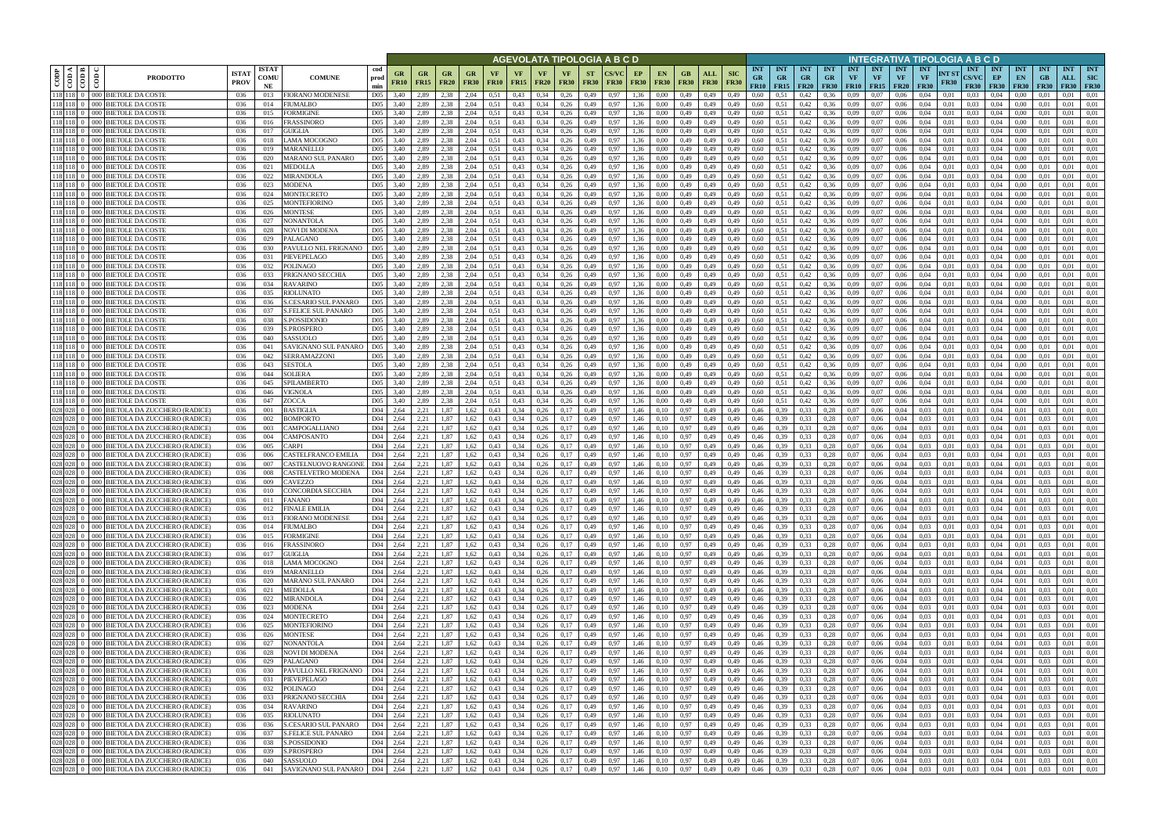|                     |                                      |                                                                                          |                             |                            |                                                                                                       |                                    |                   |                   |              |                                          |                          |                          |                                                     |                      |                          | AGEVOLATA TIPOLOGIA A B C D |                   |                            |                            |              |                           |                                 |                                        |                                         |                                 |                            |                                            |                                 |                                        |                      | INTEGRATIVA TIPOLOGIA A B C D                       |                                 |                                 |                           |                                  |                                         |
|---------------------|--------------------------------------|------------------------------------------------------------------------------------------|-----------------------------|----------------------------|-------------------------------------------------------------------------------------------------------|------------------------------------|-------------------|-------------------|--------------|------------------------------------------|--------------------------|--------------------------|-----------------------------------------------------|----------------------|--------------------------|-----------------------------|-------------------|----------------------------|----------------------------|--------------|---------------------------|---------------------------------|----------------------------------------|-----------------------------------------|---------------------------------|----------------------------|--------------------------------------------|---------------------------------|----------------------------------------|----------------------|-----------------------------------------------------|---------------------------------|---------------------------------|---------------------------|----------------------------------|-----------------------------------------|
| $rac{op}{\sqrt{2}}$ | K I ⊯<br>$\frac{1}{6}$ $\frac{1}{6}$ | ලී<br><b>PRODOTTO</b>                                                                    | <b>ISTA7</b><br><b>PROV</b> | <b>ISTAT</b><br>comu<br>NE | <b>COMUNE</b>                                                                                         | cod<br>prod<br>min                 | GR<br><b>FR10</b> | GR<br><b>FR15</b> | <b>FR20</b>  | GR<br><b>FR30</b>                        | <b>VF</b><br><b>FR10</b> | <b>VF</b><br><b>FR15</b> | VF<br><b>FR20</b>                                   | VF<br><b>FR30</b>    | <b>ST</b><br><b>FR30</b> | CS/VC<br><b>FR30</b>        | EP<br><b>FR30</b> | <b>EN</b><br><b>FR30</b>   | GB<br><b>FR30</b>          | <b>FR30</b>  | <b>SIC</b><br><b>FR30</b> | <b>INT</b><br><b>GR</b><br>FR10 | <b>INT</b><br><b>GR</b><br><b>FR15</b> | <b>INT</b><br><b>GR</b><br><b>FR20</b>  | <b>INT</b><br>GR<br><b>FR30</b> | <b>INT</b><br>VF           | <b>INT</b><br><b>VF</b><br>$FR10$   $FR15$ | <b>INT</b><br>VF<br><b>FR20</b> | <b>INT</b><br><b>VF</b><br><b>FR30</b> | NT ST<br><b>FR30</b> | <b>INT</b><br>CS/VC<br><b>FR30</b>                  | <b>INT</b><br>EP<br><b>FR30</b> | <b>INT</b><br>EN<br><b>FR30</b> | <b>INT</b><br>GB<br>F R30 | <b>INT</b><br>ALL<br><b>FR30</b> | <b>INT</b><br><b>SIC</b><br><b>FR30</b> |
|                     |                                      | 118 118 0 000 BIETOLE DA COSTE                                                           | 036                         | 013                        | <b>IORANO MODENESE</b>                                                                                | D <sub>05</sub>                    | 3.40              | 2.89              | 2.38         | 2.04                                     | 0,51                     | 0,43                     |                                                     | 0,26                 | 0,49                     | ),97                        | 1.36              | 0.00                       | 0,49                       | 0.49         | 0.49                      | 0.60                            |                                        | 0,42                                    | 0.36                            | 0.09                       | 0.07                                       | 0.06                            | 0.04                                   | 0.01                 | 0.03                                                |                                 | 0.00                            |                           | 0.01                             | 0.01                                    |
|                     | 118 118 0<br>118 118                 | 000 BIETOLE DA COSTI<br>000 BIETOLE DA COSTI                                             | 036<br>036                  | 014<br>015                 | <b>IUMALBO</b><br>ORMIGINE                                                                            | D <sub>05</sub><br>D <sub>05</sub> | 3.40              | 2,89<br>2,89      | 2.38<br>2.38 | 2,04<br>2.04                             | 0,51                     | 0,43<br>0,43             |                                                     | 0,26<br>0,26         | 0,49<br>0,49             | ),97<br>).97                | 1,36<br>1.36      | 0.00<br>$_{0.00}$          | 0,49<br>0,49               | 0,49         | 0,49<br>0,49              | 0,60<br>0,60                    | 0.51                                   | 0,42<br>0,42                            | 0.36<br>0.36                    | 0,09<br>0,09               | 0,07<br>0,07                               | 0.06<br>0,06                    | 0.04<br>0.04                           | 0.01<br>0.01         | 0.03<br>0.03                                        | 0.04<br>0.04                    | 0.00<br>0.00                    | 0.01                      | 0.01<br>0.01                     | 0.01<br>0.01                            |
|                     |                                      | 118 118 0 000 BIETOLE DA COSTE                                                           | 036                         | 016                        | RASSINORO                                                                                             | D <sub>05</sub>                    | 3,40              | 2.89              | 2.38         | 2,04                                     | 0.51                     | 0,43                     | 0.34                                                | 0,26                 | 0,49                     | 0.97                        | 1.36              | 0.00                       | 0,49                       | 0,49         | 0,49                      | 0,60                            | 0,51                                   | 0,42                                    | 0,36                            | 0,09                       | 0,07                                       | 0,06                            | 0.04                                   | 0.01                 | 0.03                                                | 0.04                            | 0,00                            | 0.01                      | 0,01                             | 0.01                                    |
|                     |                                      | 118 118 0 000 BIETOLE DA COSTE                                                           | 036                         | 017                        | <b>GUIGLIA</b>                                                                                        | D <sub>05</sub>                    | 3.40              | 2.89              | 2.38         | 2.04                                     | 0.51                     | 0,43                     |                                                     | 0,26                 | 0.49                     | 0.97                        | 1.36              | 0.00                       | 0.49                       | 0.49         | 0.49                      | 0.60                            | 0.51                                   | 0,42                                    | 0.36                            | 0.09                       | 0.07                                       | 0,06                            | 0.04                                   | 0.01                 | 0.03                                                |                                 | 0.00                            |                           | 0.01                             | 0.01                                    |
|                     |                                      | 118 118 0 000 BIETOLE DA COSTE                                                           | 036                         | 018                        | AMA MOCOGNO.                                                                                          | D <sub>05</sub>                    | 3,40              | 2.89              | 2,38         | 2,04                                     | 0.51                     | 0,43                     | 0.34                                                | 0,26                 | 0,49                     | 0,97                        | 1,36              | 0.00                       | 0,49                       | 0,49         | 0,49                      | 0,60                            | 0,51                                   | 0,42                                    | 0,36                            | 0,09                       | 0,07                                       | 0,06                            | 0.04                                   | 0.01                 | 0.03                                                | 0.04                            | 0,00                            | 0.01                      | 0,01                             | 0,01                                    |
|                     |                                      | 118 118 0 000 BIETOLE DA COSTE                                                           | 036                         | 019                        | MARANELLO                                                                                             | D <sub>05</sub>                    | 3.40              | 2.89              | 2.38         | 2.04                                     | 0.51                     | 0,43                     |                                                     | 0.26                 | 0.49                     | ).97                        | 1.36              | $0.00\,$                   | 0.49                       | 0.49         | 0.49                      | 0.60                            | 0.51                                   | 0,42                                    | 0.36                            | 0.09                       | 0.07                                       | 0.06                            | 0.04                                   | 0.01                 | 0.03                                                | 0.04                            | 0.00                            |                           | 0.01                             | 0.01                                    |
|                     |                                      | 118 118 0 000 BIETOLE DA COSTE                                                           | 036                         | 020                        | MARANO SUL PANARO                                                                                     | D <sub>05</sub>                    | 3.40              | 2.89              | 2.38         | 2.04                                     | 0.51                     | 0,43                     | 0.34                                                | 0,26                 | 0,49                     | 0.97                        | 1.36              | 0.00                       | 0.49                       | 0.49         | 0.49                      | 0.60                            | 0.51                                   | 0,42                                    | 0,36                            | 0,09                       | 0.07                                       | 0.06                            | 0.04                                   | 0.01                 | 0.03                                                | 0.04                            | 0.00                            | 0.01                      | 0.01                             | 0.01                                    |
|                     |                                      | 118 118 0 000 BIETOLE DA COSTE                                                           | 036                         | 021                        | MEDOLLA                                                                                               | D <sub>05</sub>                    | 3.40              | 2,89              | 2.38         | 2,04                                     | 0.51                     | 0,43                     | 0.34                                                | 0.26                 | 0,49                     | 0.97                        | 1.36              | 0.00                       | 0.49                       | 0,49         | 0.49                      | 0.60                            | 0.51                                   | 0,42                                    | 0.36                            | 0.09                       | 0.07                                       | 0,06                            | 0.04                                   | 0.01                 | 0.03                                                | 0.04                            | 0.00                            | -0.01                     | 0.01                             | 0,01                                    |
|                     | $118$ 118 0                          | 118 118 0 000 BETOLE DA COSTE<br>000 BIETOLE DA COSTE                                    | 036<br>036                  | 022<br>023                 | MIRANDOLA<br>MODENA                                                                                   | D <sub>05</sub><br>D <sub>05</sub> | 3.40<br>3.40      | 2.89<br>2.89      | 2.38<br>2.38 | 2,04<br>2,04                             | 0.51<br>0.51             | 0.43<br>0,43             | 0.34<br>0.34                                        | 0,26<br>0,26         | 0,49<br>0,49             | 0.97<br>0.97                |                   | 0.00<br>$0.00\,$           | 0.49<br>0.49               | 0,49<br>0,49 | 0,49<br>0.49              | 0.60<br>0.60                    | 0.51<br>0.51                           | 0,42<br>0,42                            | 0,36<br>0.36                    | 0,09<br>0.09               | 0.07<br>0.07                               | 0.06<br>0.06                    | 0.04<br>0.04                           | 0.01<br>0.01         | 0.03<br>0.03                                        | 0.04<br>0.04                    | 0.00<br>0.00                    | 0.01<br>0.01              | 0.01<br>0.01                     | 0.01<br>0.01                            |
|                     |                                      | 118 118 0 000 BIETOLE DA COSTE                                                           | 036                         | 024                        | <b>MONTECRETO</b>                                                                                     | D <sub>05</sub>                    | 3.40              | 2.89              | 2.38         | 2,04                                     | 0,51                     | 0,43                     | 0.34                                                | 0,26                 | 0,49                     | 0.97                        | 1.36              | 0.00                       | 0,49                       | 0,49         | 0,49                      | 0.60                            | 0.51                                   | 0,42                                    | 0,36                            | 0,09                       | 0,07                                       | 0,06                            | 0.04                                   | 0.01                 | 0.03                                                | 0.04                            | 0,00                            | 0.01                      | 0.01                             | 0,01                                    |
|                     |                                      | 118 118 0 000 BIETOLE DA COSTE                                                           | 036                         | 025                        | MONTEFIORINO                                                                                          | D <sub>05</sub>                    | 3.40              | 2.89              | 2.38         | 2,04                                     | 0.51                     | 0,43                     | 0.34                                                | 0,26                 | 0,49                     | 0.97                        | 1.36              | 0.00                       | 0,49                       | 0,49         | 0,49                      | 0.60                            | 0.51                                   | 0,42                                    | 0,36                            | 0,09                       | 0.07                                       | 0,06                            | 0.04                                   | 0.01                 | 0.03                                                | 0,04                            | 0,00                            | 0.01                      | 0.01                             | 0.01                                    |
|                     |                                      | 118 118 0 000 BIETOLE DA COSTE                                                           | 036                         | 026                        | <b>MONTESE</b>                                                                                        | D <sub>05</sub>                    | 3,40              | 2.89              | 2.38         | 2,04                                     | 0.51                     | 0,43                     | 0.34                                                | 0,26                 | 0,49                     | 0,97                        | 1,36              | 0.00                       | 0,49                       | 0,49         | 0,49                      | 0.60                            | 0,51                                   | 0,42                                    | 0,36                            | 0,09                       | 0,07                                       | 0,06                            | 0.04                                   | 0,01                 | 0.03                                                | 0.04                            | 0,00                            | 0.01                      | 0.01                             | 0,01                                    |
|                     |                                      | 118 118 0 000 BETOLE DA COSTE                                                            | 036                         | 027                        | VONANTOLA                                                                                             | D <sub>05</sub>                    | 3,40              | 2,89              | 2,38         | 2,04                                     | 0.51                     | 0,43                     | 0.34                                                | 0,26                 | 0,49                     | 0,97                        | 1,36              | 0,00                       | 0,49                       | 0,49         | 0,49                      | 0,60                            | 0,51                                   | 0,42                                    | 0,36                            | 0,09                       | 0,07                                       | 0,06                            | 0,04                                   | 0.01                 | 0.03                                                | 0,04                            | 0,00                            | 0,01                      | 0,01                             | 0,01                                    |
|                     |                                      | 118 118 0 000 BETOLE DA COSTE                                                            | 036                         | 028                        | <b>JOVI DI MODENA</b>                                                                                 | D <sub>05</sub>                    | 3.40              | 2.89              | 2.38         | 2,04                                     | 0.51                     | 0,43                     | 0.34                                                | 0,26                 | 0,49                     | 0.97                        | 1.36              | 0.00                       | 0,49                       | 0,49         | 0,49                      | 0,60                            | 0.51                                   | 0,42                                    | 0,36                            | 0,09                       | 0.07                                       | 0,06                            | 0.04                                   | 0.01                 | 0.03                                                | 0.04                            | 0,00                            | 0.01                      | 0.01                             | 0.01                                    |
|                     |                                      | 118 118 0 000 BIETOLE DA COSTE<br>118 118 0 000 BIETOLE DA COSTE                         | 036                         | 029<br>030                 | <b>ALAGANO</b><br><b>PAVULLO NEL FRIGNANO</b>                                                         | D <sub>05</sub><br>D <sub>05</sub> | 3.40              | 2.89<br>2.89      | 2.38<br>2,38 | 2,04                                     | 0.51<br>0.51             | 0,43<br>0,43             | 0.34<br>0.34                                        | 0,26                 | 0,49                     | 0,97<br>0.97                | 1.36<br>1.36      | 0.00                       | 0,49                       | 0,49         | 0,49                      | 0,60                            | 0,51                                   | 0,42                                    | 0,36<br>0,36                    | 0,09                       | 0.07                                       | 0,06                            | 0.04<br>0.04                           | 0.01                 | 0.03<br>0.03                                        | 0.04<br>0.04                    | 0,00                            | 0.01<br>0.01              | 0,01<br>0.01                     | 0.01<br>0.01                            |
|                     |                                      | 118 118 0 000 BETOLE DA COSTE                                                            | 036<br>036                  | 031                        | PIEVEPELAGO                                                                                           | D <sub>05</sub>                    | 3,40<br>3.40      | 2.89              | 2.38         | 2,04<br>2.04                             | 0.51                     | 0.43                     | 0.34                                                | 0,26<br>0.26         | 0,49<br>0.49             | 0.97                        | 1.36              | 0.00<br>0.00               | 0,49<br>0.49               | 0,49<br>0.49 | 0,49<br>0.49              | 0,60<br>0.60                    | 0,51<br>0.51                           | 0,42<br>0,42                            | 0,36                            | 0,09<br>0.09               | 0,07<br>0.07                               | 0,06<br>0.06                    | 0.04                                   | 0,01<br>0.01         | 0.03                                                | 0.04                            | 0,00<br>0.00                    | 0.01                      | 0.01                             | 0.01                                    |
|                     |                                      | 118 118 0 000 BIETOLE DA COSTE                                                           | 036                         | 032                        | <b>OLINAGO</b>                                                                                        | D <sub>05</sub>                    | 3.40              | 2.89              | 2.38         | 2.04                                     | 0.51                     | 0.43                     | 0.34                                                | 0.26                 | 0.49                     | ).97                        | 1.36              | 0.00                       | 0.49                       | 0.49         | 0.49                      | 0.60                            | 0.51                                   | 0,42                                    | 0.36                            | 0.09                       | 0.07                                       | 0.06                            | 0.04                                   | 0.01                 | 0.03                                                | 0.04                            | 0.00                            | 0.01                      | 0.01                             | 0.01                                    |
|                     |                                      | 118 118 0 000 BIETOLE DA COSTE                                                           | 036                         | 033                        | PRIGNANO SECCHIA                                                                                      | D <sub>05</sub>                    | 3.40              | 2,89              | 2,38         | 2,04                                     | 0.51                     | 0,43                     | 0.34                                                | 0.26                 | 0,49                     | 0.97                        | 1.36              | 0.00                       | 0,49                       | 0,49         | 0.49                      | 0,60                            | 0.51                                   | 0,42                                    | 0,36                            | 0,09                       | 0,07                                       | 0.06                            | 0.04                                   | 0.01                 | 0.03                                                | 0.04                            | 0,00                            | 0.01                      | 0,01                             | 0.01                                    |
|                     |                                      | $118$ $118$ 0 000 BETOLE DA COSTE                                                        | 036                         | 034                        | RAVARINO                                                                                              | D <sub>05</sub>                    | 3.40              | 2.89              | 2.38         | 2.04                                     | 0.51                     | 0.43                     | 0.34                                                | 0.26                 | 0.49                     | 0.97                        | 1.36              | 0.00                       | 0.49                       | 0.49         | 0.49                      | 0.60                            | 0.51                                   | 0.42                                    | 0.36                            | 0.09                       | 0.07                                       | 0.06                            | 0.04                                   | 0.01                 | 0.03                                                | 0.04                            | 0.00                            | 0.01                      | 0.01                             | 0.01                                    |
|                     |                                      | 118 118 0 000 BETOLE DA COSTE                                                            | 036                         | 035                        | RIOLUNATO                                                                                             | D <sub>05</sub>                    | 3.40              | 2.89              | 2.38         | 2.04                                     | 0.51                     | 0.43                     |                                                     | 0.26                 | 0.49                     | 0.97                        | 1.36              | 0.00                       | 0.49                       | 0.49         | 0.49                      | 0.60                            | 0.51                                   | 0.42                                    | 0.36                            | 0.09                       | 0.07                                       | 0.06                            | 0.04                                   | 0.01                 | 0.03                                                | 0.04                            | 0.00                            | 0.01                      | 0.01                             | 0.01                                    |
|                     | 118 118                              | 000 BIETOLE DA COSTI                                                                     | 036                         | 036                        | CESARIO SUL PANARO                                                                                    | D <sub>05</sub>                    | 3.40              | 2.89              | 2.38         | 2.04                                     | 0.51                     | 0,43                     |                                                     | 0.26                 | 0.49                     | 0.97                        |                   | 0.00                       | 0.49                       | 0.49         | 0.49                      | 0.60                            |                                        | 0,42                                    | 0,36                            | 0.09                       | 0.07                                       | 0.06                            | 0.04                                   | 0.01                 | 0.03                                                | 0.04                            | 0.00                            | $0.0^{\circ}$             | 0.01                             | 0.01                                    |
|                     | 118 118<br>118 118                   | 000 BIETOLE DA COSTI<br>000 BIETOLE DA COSTI                                             | 036<br>036                  | 037<br>038                 | FELICE SUL PANARO<br>.POSSIDONIO                                                                      | D <sub>05</sub><br>D <sub>05</sub> | 3.40<br>3.40      | 2.89<br>2.89      | 2.38<br>2.38 | 2,04<br>2.04                             | 0,51<br>0.51             | 0,43<br>0.43             |                                                     | 0,26<br>0,26         | 0,49<br>0.49             | ),97<br>).97                | 1.36              | 0.00<br>0.00               | 0,49<br>0.49               | 0,49<br>0.49 | 0.49<br>0.49              | 0,60<br>0.60                    | 0.51<br>0.51                           | 0,42<br>0,42                            | 0.36<br>0.36                    | 0,09<br>0.09               | 0,07<br>0.07                               | 0.06<br>0.06                    | 0.04<br>0.04                           | 0.01                 | 0.03<br>0.03                                        | 0.04<br>0.04                    | 0.00<br>0.00                    | 0.01                      | 0.01<br>0.01                     | 0.01<br>0.01                            |
|                     |                                      | 118 118 0 000 BETOLE DA COSTE                                                            | 036                         | 039                        | PROSPERO                                                                                              | D <sub>05</sub>                    | 3.40              | 2,89              | 2,38         | 2,04                                     | 0.51                     | 0,43                     | 0,34                                                | 0,26                 | 0,49                     | 0,97                        | 1.36              | 0,00                       | 0,49                       | 0,49         | 0,49                      | 0,60                            | 0,51                                   | 0,42                                    | 0,36                            | 0,09                       | 0,07                                       | 0,06                            | 0.04                                   | 0,01                 | 0.03                                                | 0,04                            | 0.00                            | 0,01                      | 0,01                             | 0,01                                    |
|                     | $118$ 118 0                          | 000 BIETOLE DA COSTE                                                                     | 036                         | 040                        | <b>ASSUOLO</b>                                                                                        | D <sub>05</sub>                    | 3.40              | 2.89              | 2.38         | 2.04                                     |                          | 0.43                     |                                                     | 0.26                 | 0.49                     | 0.97                        | 1.36              |                            | 0.49                       | 0.49         | 0.49                      | 0.60                            | 0.51                                   | 0,42                                    | 0.36                            | 0.09                       | 0.07                                       | 0.06                            | 0.04                                   | 0.01                 | 0.03                                                |                                 | 0.00                            |                           | 0.01                             | 0.01                                    |
|                     |                                      | 118 118 0 000 BIETOLE DA COSTE                                                           | 036                         | 041                        | AVIGNANO SUL PANARO                                                                                   | D <sub>05</sub>                    | 3,40              | 2.89              | 2.38         | 2,04                                     | 0,51                     | 0,43                     |                                                     | 0,26                 | 0,49                     | ),97                        | 1.36              | 0.00                       | 0,49                       | 0,49         | 0,49                      | 0,60                            | 0.51                                   | 0,42                                    | 0.36                            | 0,09                       | 0.07                                       | 0,06                            | 0.04                                   | 0.01                 | 0.03                                                | 0.04                            | 0,00                            | 0.01                      | 0.01                             | 0.01                                    |
|                     | 118 118 0                            | 000 BIETOLE DA COSTE                                                                     | 036                         | 042                        | <b>ERRAMAZZONI</b>                                                                                    | D <sub>05</sub>                    | 3,40              | 2,89              | 2,38         | 2,04                                     | 0,51                     | 0,43                     |                                                     | 0,26                 | 0,49                     | ).97                        | 1.36              |                            | 0,49                       | 0,49         | 0,49                      | 0,60                            | 0.51                                   | 0,42                                    | 0.36                            | 0,09                       | 0.07                                       | 0,06                            | 0.04                                   | 0.01                 | 0.03                                                |                                 | 0,00                            | 0.01                      | 0.01                             | 0,01                                    |
|                     |                                      | 118 118 0 000 BETOLE DA COSTE                                                            | 036                         | 043                        | SESTOLA                                                                                               | D <sub>05</sub>                    | 3.40              | 2.89              | 2.38         | 2.04                                     | 0.51                     | 0,43                     | 0.34                                                | 0,26                 | 0,49                     | 0.97                        | 1.36              | 0.00                       | 0.49                       | 0.49         | 0.49                      | 0.60                            | 0.51                                   | 0,42                                    | 0,36                            | 0,09                       | 0.07                                       | 0.06                            | 0.04                                   | 0.01                 | 0.03                                                | 0.04                            | 0.00                            | 0.01                      | 0.01                             | 0.01                                    |
|                     |                                      | 118 118 0 000 BETOLE DA COSTE<br>118 118 0 000 BIETOLE DA COSTE                          | 036<br>036                  | 044<br>045                 | <b>OLIERA</b><br>PILAMBERTO                                                                           | D <sub>05</sub><br>D <sub>05</sub> | 3.40<br>3.40      | 2.89<br>2,89      | 2.38<br>2,38 | 2.04<br>2,04                             | 0.51<br>0,51             | 0,43<br>0,43             | 0.34<br>0,34                                        | 0.26<br>0,26         | 0,49<br>0,49             | 0.97<br>0,97                | 1.36<br>1.36      | 0.00<br>0.00               | 0.49<br>0,49               | 0.49<br>0,49 | 0.49<br>0,49              | 0.60<br>0.60                    | 0.51<br>0,51                           | 0,42<br>0,42                            | 0.36<br>0,36                    | 0.09<br>0,09               | 0.07<br>0,07                               | 0.06<br>0,06                    | 0.04<br>0.04                           | 0.01<br>0.01         | 0.03<br>0.03                                        | 0.04<br>0.04                    | 0.00<br>0,00                    | 0.01<br>0.01              | 0.01<br>0.01                     | 0.01<br>0,01                            |
|                     |                                      | 118 118 0 000 BIETOLE DA COSTE                                                           | 036                         | 046                        | VIGNOLA                                                                                               | D <sub>05</sub>                    | 3.40              | 2.89              | 2.38         | 2.04                                     | 0.51                     | 0.43                     | 0.34                                                | 0,26                 | 0,49                     | 0.97                        |                   | 0.00                       | 0.49                       | 0,49         | 0.49                      | 0.60                            | 0.51                                   | 0,42                                    | 0.36                            | 0.09                       | 0.07                                       | 0.06                            | 0.04                                   | 0.01                 | 0.03                                                | 0.04                            | 0.00                            | 0.01                      | 0.01                             | 0.01                                    |
|                     |                                      | 118 118 0 000 BIETOLE DA COSTE                                                           | 036                         | 047                        | <b>ZOCCA</b>                                                                                          | D <sub>05</sub>                    | 3.40              | 2.89              | 2.38         | 2,04                                     | 0.51                     | 0.43                     | 0.34                                                | 0,26                 | 0,49                     | 0.97                        | 1.36              | 0.00                       | 0.49                       | 0,49         | 0,49                      | 0.60                            | 0.51                                   | 0,42                                    | 0,36                            | 0,09                       | 0.07                                       | 0.06                            | 0.04                                   | 0.01                 | 0.03                                                | 0.04                            | 0,00                            | 0.01                      | 0.01                             | 0.01                                    |
|                     | 028 028                              | 000 BIETOLA DA ZUCCHERO (RADICE)                                                         | 036                         | 001                        | BASTIGLIA                                                                                             | D <sub>04</sub>                    | 2.64              | 2,21              | 1,87         | 1,62                                     | 0,43                     | 0,34                     | 0,26                                                | 0,17                 | 0,49                     | 0.97                        | 1.46              | 0,10                       | 0,97                       | 0,49         | 0,49                      | 0.46                            | 0.39                                   | 0,33                                    | 0,28                            | 0.07                       | 0.06                                       | 0.04                            | 0.03                                   | 0.01                 | 0.03                                                | 0.04                            | 0,01                            | 0.03                      | 0.01                             | 0.01                                    |
|                     | 028 028                              | 000 BIETOLA DA ZUCCHERO (RADICE)                                                         | 036                         | 002                        | <b>BOMPORTO</b>                                                                                       | D <sub>04</sub>                    | 2,64              | 2,21              | 1.87         | 1,62                                     | 0,43                     | 0,34                     | 0,26                                                | 0,17                 | 0,49                     | 0,97                        | 1,46              | 0,10                       | 0.97                       | 0,49         | 0,49                      | 0.46                            | 0.39                                   | 0,33                                    | 0,28                            | 0,07                       | 0.06                                       | 0,04                            | 0.03                                   | 0,01                 | 0.03                                                | 0.04                            | 0,01                            | 0.03                      | 0.01                             | 0,01                                    |
|                     | 028 028                              | 000 BIETOLA DA ZUCCHERO (RADICE)                                                         | 036                         | 003                        | 'AMPOGALLIANO                                                                                         | D <sub>04</sub>                    | 2,64              | 2,21              | 1,87         | 1,62                                     | 0.43                     | 0,34                     | 0.26                                                | 0,17                 | 0,49                     | 0,97                        | 1.46              | 0,10                       | 0,97                       | 0,49         | 0,49                      | 0,46                            | 0.39                                   | 0,33                                    | 0,28                            | 0.07                       | 0.06                                       | 0,04                            | 0.03                                   | 0.01                 | 0.03                                                | 0.04                            | 0,01                            | 0.03                      | 0,01                             | 0,01                                    |
|                     | 028 028<br>028 028                   | 000 BIETOLA DA ZUCCHERO (RADICE)                                                         | 036                         | 004                        | <b>AMPOSANTO</b>                                                                                      | D <sub>04</sub>                    | 2,64              | 2,21              | 1,87         | 1,62                                     | 0,43                     | 0,34                     | 0,26                                                | 0,17                 | 0,49                     | 0,97                        | 1,46              | 0,10                       | 0.97                       | 0,49         | 0,49                      | 0,46                            | 0,39                                   | 0,33                                    | 0,28                            | 0,07                       | 0,06                                       | 0,04                            | 0.03                                   | 0,01                 | 0.03                                                | 0,04                            | 0,01                            | 0.03                      | 0,01                             | 0,01<br>0.01                            |
|                     | 028 028                              | 000 BIETOLA DA ZUCCHERO (RADICE)<br>000 BIETOLA DA ZUCCHERO (RADICE)                     | 036<br>036                  | 005<br>006                 | 'ARPI<br>'ASTELFRANCO EMILIA                                                                          | D <sub>04</sub><br>D <sub>04</sub> | 2.64<br>2,64      | 2.21<br>2.21      | 1,87<br>1,87 | 1,62<br>1,62                             | 0.43<br>0,43             | 0,34<br>0,34             | 0.26<br>0.26                                        | 0.17<br>0,17         | 0,49<br>0,49             | 0,97<br>0,97                | 1,46<br>1,46      | 0,10<br>0,10               | 0,97<br>0,97               | 0,49<br>0,49 | 0,49<br>0,49              | 0,46<br>0,46                    | 0.39<br>0,39                           | 0,33<br>0,33                            | 0,28<br>0,28                    | 0,07<br>0,07               | 0,06<br>0,06                               | 0,04<br>0,04                    | 0.03<br>0.03                           | 0.01<br>0,01         | 0.03<br>0.03                                        | 0.04<br>0,04                    | 0,01<br>0,01                    | 0.03<br>0.03              | 0,01<br>0,01                     | 0.01                                    |
|                     | 028 028                              | 000 BIETOLA DA ZUCCHERO (RADICE)                                                         | 036                         | 007                        | 'ASTELNUOVO RANGONE                                                                                   | D <sub>04</sub>                    | 2,64              | 2,21              | 1,87         | 1,62                                     | 0.43                     | 0,34                     | 0.26                                                | 0,17                 | 0,49                     | 0.97                        | 1,46              | 0,10                       | 0.97                       | 0,49         | 0,49                      | 0,46                            | 0.39                                   | 0,33                                    | 0,28                            | 0,07                       | 0,06                                       | 0,04                            | 0.03                                   | 0.01                 | 0.03                                                | 0.04                            | 0,01                            | 0.03                      | 0,01                             | 0.01                                    |
|                     | 028 028                              | 000 BIETOLA DA ZUCCHERO (RADICE)                                                         | 036                         | 008                        | <b>ASTELVETRO MODENA</b>                                                                              | D <sub>04</sub>                    | 2.64              | 2.21              | 1.87         | 1.62                                     | 0.43                     | 0.34                     | 0.26                                                |                      | 0.49                     | ).97                        | 1.46              |                            | 0.97                       | 0.49         | 0.49                      | 0.46                            |                                        | 0.33                                    | 0.28                            | 0.07                       | 0.06                                       | 0.04                            | 0.03                                   | 0.01                 | 0.03                                                | 0.04                            | 0.01                            | 0.03                      | 0.01                             | 0.01                                    |
|                     |                                      | 028 028 0 000 BIETOLA DA ZUCCHERO (RADICE)                                               | 036                         | 009                        | <b>AVEZZO</b>                                                                                         | D <sub>04</sub>                    | 2.64              | 2.21              | 1.87         | 1,62                                     | 0.43                     | 0.34                     | 0.26                                                | 0.17                 | 0.49                     | 0.97                        | 1.46              | 0.10                       | 0.97                       | 0.49         | 0.49                      | 0.46                            | 0.39                                   | 0,33                                    | 0,28                            | 0.07                       | 0.06                                       | 0.04                            | 0.03                                   | 0.01                 | 0.03                                                | 0.04                            | 0.01                            | 0.03                      | 0.01                             | 0.01                                    |
|                     |                                      | 028 028 0 000 BIETOLA DA ZUCCHERO (RADICE)                                               | 036                         | 010                        | CONCORDIA SECCHIA                                                                                     | D <sub>04</sub>                    | 2.64              | 2,21              | 1.87         | 1,62                                     | 0.43                     | 0.34                     | 0.26                                                | 0.17                 | 0.49                     | 0.97                        | 1.46              | 0.10                       | 0.97                       | 0.49         | 0.49                      | 0.46                            | 0.39                                   | 0.33                                    | 0.28                            | 0.07                       | 0.06                                       | 0.04                            | 0.03                                   | 0.01                 | 0.03                                                | 0.04                            | 0.01                            | 0.03                      | 0.01                             | 0.01                                    |
|                     |                                      | 028 028 0 000 BIETOLA DA ZUCCHERO (RADICE)<br>028 028 0 000 BIETOLA DA ZUCCHERO (RADICE) | 036<br>036                  | 011<br>012                 | <b>FANANO</b><br>FINALE EMILIA                                                                        | D04<br>D04                         | 2,64<br>2,64      | 2,21<br>2,21      | 1,87<br>1,87 | 1,62<br>1,62                             | 0,43<br>0,43             | 0,34<br>0,34             | 0,26<br>0,26                                        | 0,17<br>0,17         | 0,49<br>0,49             | 0,97<br>0,97                | 1,46<br>1,46      | 0,10<br>0,10               | 0,97<br>0,97               | 0,49<br>0,49 | 0,49<br>0,49              | 0,46<br>0,46                    | 0,39<br>0,39                           | 0,33<br>0,33                            | 0,28<br>0,28                    |                            | $0,07$ 0.06<br>$0,07$ 0.06                 | 0,04<br>0,04                    | 0.03<br>0,03                           | 0,01<br>0,01         | 0,03<br>0,03                                        | 0,04<br>$0,04$ 0.01             | 0,01                            | 0,03<br>0,03              | 0,01<br>0,01                     | 0,01<br>0,01                            |
|                     |                                      | 028 028 0 000 BIETOLA DA ZUCCHERO (RADICE)                                               | 036                         | 013                        | <b>FIORANO MODENESE</b>                                                                               | D04                                | 2,64              | 2,21              | 1,87         | 1,62                                     | 0,43                     | 0,34                     | 0,26                                                | 0,17                 | 0,49                     | 0,97                        | 1,46              | 0,10                       | $0,97$ 0,49                |              | 0,49                      | 0,46                            | 0,39                                   | 0,33                                    | 0,28                            | $0,07$ 0.06                |                                            | 0,04                            | 0,03                                   | 0,01                 | 0,03                                                | $0,04$ $0,01$                   |                                 | 0,03                      | 0,01                             | 0,01                                    |
|                     |                                      | 028 028 0 000 BIETOLA DA ZUCCHERO (RADICE)                                               | 036                         | 014                        | FIUMALBO                                                                                              | D04                                | 2,64              | 2,21              | 1,87         | 1,62                                     | 0,43                     | 0,34                     |                                                     | $0,26$ $0,17$ $0,49$ |                          | 0,97                        | 1,46              | 0,10                       | 0,97 0,49                  |              | 0,49                      | 0,46                            | 0,39                                   | 0,33                                    | 0,28                            | $0,07$ 0.06                |                                            | 0,04                            | 0,03                                   | 0,01                 | 0,03                                                | $0,04$ 0.01                     |                                 | 0,03                      | 0,01                             | 0,01                                    |
|                     |                                      | 028 028 0 000 BIETOLA DA ZUCCHERO (RADICE)                                               | 036                         | 015                        | FORMIGINE                                                                                             | D <sub>04</sub>                    | 2,64              | 2,21              | 1,87         | 1,62                                     | 0,43                     | 0,34                     | 0,26                                                | 0,17                 | 0,49                     | 0,97                        | 1,46              | 0,10                       | 0,97 0,49                  |              | 0,49                      | 0,46                            | 0,39                                   | 0,33                                    | 0,28                            | $0,07$ 0.06                |                                            | 0,04                            | 0,03                                   | 0,01                 | 0,03                                                | $0,04$ 0.01                     |                                 | 0,03                      | 0,01                             | 0,01                                    |
|                     |                                      | 028 028 0 000 BIETOLA DA ZUCCHERO (RADICE)                                               | 036                         | 016                        | FRASSINORO                                                                                            | D04                                | 2,64              | 2,21              | 1,87         | 1,62                                     | 0,43                     | 0,34                     | 0,26                                                | 0,17                 | 0,49                     | 0,97                        | 1,46              | 0,10                       | 0,97                       | 0,49         | 0,49                      | 0,46                            | 0,39                                   | 0,33                                    | 0,28                            | $0,07$ 0.06                |                                            | 0,04                            | 0,03                                   | 0,01                 | 0,03                                                | 0,04                            | 0,01                            | 0,03                      | 0,01                             | 0,01                                    |
|                     |                                      | 028 028 0 000 BIETOLA DA ZUCCHERO (RADICE)<br>028 028 0 000 BIETOLA DA ZUCCHERO (RADICE) | 036                         | 017                        | <b>JUIGLIA</b>                                                                                        | D <sub>04</sub>                    | 2,64              | 2,21              | 1,87         | 1,62                                     | 0,43                     | 0,34                     | 0,26                                                | 0,17                 | 0,49                     | 0,97                        | 1,46              | 0,10                       | 0,97                       | 0,49         | 0,49                      | 0,46                            | 0,39                                   | 0,33                                    | 0,28                            | $0,07$ 0.06                |                                            | 0,04                            | 0,03                                   | 0,01                 | 0.03                                                | 0,04                            | 0,01                            | 0,03                      | 0,01                             | 0,01                                    |
|                     |                                      | 028 028 0 000 BIETOLA DA ZUCCHERO (RADICE)                                               | 036<br>036                  | 018<br>019                 | AMA MOCOGNO<br>MARANELLO                                                                              | D <sub>04</sub><br>D <sub>04</sub> | 2,64<br>2,64      | 2,21<br>2,21      | 1,87<br>1,87 | 1,62<br>1,62                             | 0,43<br>0,43             | 0,34<br>0,34             | 0.26<br>0,26                                        | 0,17<br>0,17         | 0,49<br>0,49             | 0.97<br>0,97                | 1,46<br>1,46      | 0,10<br>0,10               | 0,97 0,49<br>0,97          | 0,49         | 0,49<br>0,49              | 0,46<br>0,46                    | 0,39<br>0,39                           | 0,33<br>0,33                            | 0,28<br>0,28                    | $0,07$ 0.06                | $0,07$ 0.06                                | 0,04<br>0,04                    | 0,03<br>0,03                           | 0,01<br>0,01         | 0,03<br>0,03                                        | 0,04<br>0,04                    | 0,01<br>0,01                    | 0,03<br>0,03              | 0,01<br>0,01                     | 0,01<br>0,01                            |
|                     |                                      | 028 028 0 000 BIETOLA DA ZUCCHERO (RADICE)                                               | 036                         | 020                        | MARANO SUL PANARO                                                                                     |                                    | D04 2.64          | 2,21              | 1,87         | 1,62                                     |                          |                          | $0,43$ 0.34 0.26 0.17                               |                      | 0,49                     | $0,97$ 1,46                 |                   | 0,10                       | 0,97 0,49                  |              | 0,49                      | 0,46                            | 0,39                                   | 0,33                                    | 0,28                            |                            | $0,07$ 0.06                                | 0,04                            | 0,03                                   | 0,01                 | 0,03                                                | $0,04$ 0.01                     |                                 | 0,03                      | 0.01                             | 0,01                                    |
|                     |                                      | 028 028 0 000 BIETOLA DA ZUCCHERO (RADICE)                                               | 036                         | 021                        | MEDOLLA                                                                                               |                                    | D04 2,64          | 2,21              | 1,87         | 1,62                                     |                          | $0,43$ $0,34$            | $0,26$ $0,17$                                       |                      | 0,49                     | 0,97 1,46                   |                   | 0,10                       | 0,97 0,49                  |              | 0,49                      | 0,46                            | 0,39                                   | 0,33                                    | 0,28                            | $0,07$ 0.06                |                                            | 0,04                            | 0,03                                   | 0,01                 | 0,03                                                | $0,04$ 0.01                     |                                 | 0,03                      | 0.01                             | 0,01                                    |
|                     |                                      | 028 028 0 000 BIETOLA DA ZUCCHERO (RADICE)                                               | 036                         | 022                        | MIRANDOLA                                                                                             | D <sub>04</sub>                    | 2,64              | 2,21              | 1,87         | 1,62                                     | 0,43                     | 0,34                     | 0,26                                                | 0,17                 | 0,49                     | 0,97                        | 1,46              | 0,10                       | 0,97 0,49                  |              | 0,49                      | 0,46                            | 0,39                                   | 0,33                                    | 0,28                            |                            | $0,07$ 0.06                                | 0,04                            | 0,03                                   | 0,01                 | 0,03                                                | 0,04                            | 0,01                            | 0,03                      | 0.01                             | 0,01                                    |
|                     |                                      | 028 028 0 000 BIETOLA DA ZUCCHERO (RADICE)                                               | 036                         | 023                        | MODENA                                                                                                |                                    | D04 2.64          | 2,21              |              | $1,87$ $1,62$ 0.43                       |                          | 0,34                     | $0,26$ $0,17$                                       |                      | 0,49                     | 0,97                        | 1,46              | 0,10                       | 0,97 0,49                  |              | 0,49                      | 0,46                            | 0,39                                   | 0,33                                    | 0,28                            |                            | $0,07$ 0.06                                | 0,04                            | 0,03                                   | 0,01                 | 0,03                                                | $0,04$ $0,01$                   |                                 | 0,03                      | 0.01                             | 0,01                                    |
|                     |                                      | 028 028 0 000 BIETOLA DA ZUCCHERO (RADICE)<br>028 028 0 000 BIETOLA DA ZUCCHERO (RADICE) | 036                         | 024                        | MONTECRETO                                                                                            | D <sub>04</sub>                    | 2,64              | 2,21              |              | $1,87$ 1.62 0.43                         |                          | 0,34                     | 0,26                                                | 0,17                 | 0,49                     | $0,97$ 1,46                 |                   | 0,10                       | 0,97 0,49                  |              | 0,49                      | 0,46                            | 0,39                                   | 0,33                                    | 0,28                            |                            | $0,07$ 0.06                                | 0,04                            | 0,03                                   | 0,01                 | 0,03                                                | $0,04$ 0.01                     |                                 | 0,03                      | 0.01                             | 0,01                                    |
|                     |                                      | 028 028 0 000 BIETOLA DA ZUCCHERO (RADICE)                                               | 036<br>036                  | 025<br>026                 | MONTEFIORINO<br>MONTESE                                                                               | D <sub>04</sub>                    | D04 2,64<br>2,64  | 2,21<br>2,21      | 1,87<br>1,87 | 1,62<br>1,62                             | 0,43<br>0,43             | 0,34<br>0,34             | $0,26$ 0,17<br>0,26                                 | 0,17                 | 0,49<br>0,49             | 0,97<br>0,97                | 1,46<br>1,46      | 0,10<br>0,10               | $0,97$ 0,49<br>$0,97$ 0,49 |              | 0,49<br>0,49              | 0,46<br>0,46                    | 0,39<br>0,39                           | 0,33<br>0,33                            | 0,28<br>0,28                    | $0,07$ 0,06<br>$0,07$ 0.06 |                                            | 0,04<br>0,04                    | 0,03<br>0,03                           | 0,01<br>0,01         | 0,03<br>0,03                                        | $0,04$ $0,01$<br>0,04           | 0,01                            | 0,03<br>0,03              | 0.01<br>0,01                     | 0,01<br>0,01                            |
|                     |                                      | 028 028 0 000 BETOLA DA ZUCCHERO (RADICE)                                                | 036                         | 027                        | NONANTOLA                                                                                             | D <sub>04</sub>                    | 2,64              | 2,21              | 1,87         | 1,62                                     | 0,43                     | 0,34                     | 0,26                                                | 0,17                 | 0,49                     | 0,97                        | 1,46              | 0,10                       | 0,97                       | 0,49         | 0,49                      | 0,46                            | 0,39                                   | 0,33                                    | 0,28                            | $0,07$ 0.06                |                                            | 0,04                            | 0,03                                   | 0,01                 | 0,03                                                | 0,04                            | 0,01                            | 0,03                      | 0,01                             | 0,01                                    |
|                     |                                      | 028 028 0 000 BIETOLA DA ZUCCHERO (RADICE)                                               | 036                         | 028                        | NOVI DI MODENA                                                                                        | D <sub>04</sub>                    | 2,64              | 2,21              | 1,87         | 1,62                                     | 0,43                     | 0,34                     | 0,26                                                | 0,17                 | 0,49                     | 0,97                        | 1,46              | 0,10                       | $0,97$ 0,49                |              | 0,49                      | 0,46                            | 0,39                                   | 0,33                                    | 0,28                            | $0,07$ 0.06                |                                            | 0,04                            | 0,03                                   | 0,01                 | 0,03                                                | 0,04                            | 0,01                            | 0,03                      | 0,01                             | 0,01                                    |
|                     |                                      | 028 028 0 000 BIETOLA DA ZUCCHERO (RADICE)                                               | 036                         | 029                        | PALAGANO                                                                                              | D <sub>04</sub>                    | 2,64              | 2,21              | 1,87         | 1,62                                     | 0,43                     | 0,34                     | $0,26$ $0,17$                                       |                      | 0,49                     | $0,97$ 1,46                 |                   | 0,10                       | $0,97$ 0.49                |              | 0,49                      | 0,46                            | 0,39                                   | 0,33                                    | 0,28                            | $0,07$ 0.06                |                                            | 0,04                            | 0,03                                   | 0,01                 | 0,03                                                | $0,04$ 0.01                     |                                 | 0,03                      | 0,01                             | 0,01                                    |
|                     |                                      | 028 028 0 000 BIETOLA DA ZUCCHERO (RADICE)                                               | 036                         | 030                        | PAVULLO NEL FRIGNANO                                                                                  | D04                                | 2,64              | 2,21              |              | 1,87 1,62                                | 0,43                     | 0,34                     | $0,26$ $0,17$                                       |                      | 0,49                     | 0,97 1,46                   |                   | 0,10                       | $0,97$ 0.49                |              | 0,49                      | 0,46                            | 0,39                                   | 0,33                                    | 0,28                            | $0,07$ 0.06                |                                            | 0,04                            | 0,03                                   | 0,01                 | 0,03                                                | $0,04$ 0.01                     |                                 | 0,03                      | 0,01                             | 0,01                                    |
|                     |                                      | 028 028 0 000 BIETOLA DA ZUCCHERO (RADICE)<br>028 028 0 000 BIETOLA DA ZUCCHERO (RADICE) | 036                         | 031                        | PIEVEPELAGO                                                                                           | D <sub>04</sub>                    | 2,64              | 2,21              |              | 1,87 1,62                                | 0,43                     | 0,34                     | $0,26$ 0,17                                         |                      | 0,49                     | 0,97 1,46                   |                   | 0,10                       | $0,97$ 0.49                |              | 0,49                      | 0,46                            | 0,39                                   | 0,33                                    | 0,28                            | $0,07$ 0.06                |                                            | 0,04                            | 0,03                                   | 0,01                 | 0,03                                                | $0,04$ 0.01                     |                                 | 0,03                      | 0,01                             | 0,01                                    |
|                     |                                      |                                                                                          | 036<br>036                  | 032<br>033                 | POLINAGO<br>PRIGNANO SECCHIA                                                                          | D <sub>04</sub><br>D <sub>04</sub> | 2,64<br>2,64      | 2,21<br>2,21      |              | $1,87$ $1,62$ 0.43<br>$1,87$ $1,62$ 0.43 |                          |                          | $0,34$ $0,26$ $0,17$<br>$0,34$ $0,26$ $0,17$ $0,49$ |                      | 0,49                     | $0,97$ 1,46<br>0,97 1,46    |                   | 0,10<br>0,10               | 0,97 0,49<br>0,97 0,49     |              | 0,49<br>0,49              | 0,46<br>0,46                    | 0,39<br>0,39                           | 0,33<br>0,33                            | 0,28<br>0,28                    | $0,07$ 0.06                | $0,07$ 0.06                                | 0,04<br>0,04                    | 0,03<br>0,03                           | 0,01<br>0,01         | $0.03$ $0.04$ $0.01$ $0.03$<br>$0,03$ $0,04$ $0,01$ |                                 |                                 | 0,03                      | 0.01<br>0,01                     | 0,01<br>0,01                            |
|                     |                                      | 028 028 0 000 BIETOLA DA ZUCCHERO (RADICE)<br>028 028 0 000 BIETOLA DA ZUCCHERO (RADICE) | 036                         | 034                        | <b>RAVARINO</b>                                                                                       | D <sub>04</sub>                    | 2,64              | 2,21              |              | 1,87 1,62                                | 0,43                     |                          | $0,34$ $0,26$ $0,17$                                |                      | 0,49                     | 0,97                        | 1,46              | 0,10                       | 0,97 0,49                  |              | 0,49                      | 0,46                            | 0,39                                   | 0,33                                    | 0,28                            | $0,07$ 0,06                |                                            | 0,04                            | 0,03                                   | 0,01                 |                                                     | $0,03$ $0,04$ $0,01$            |                                 | 0,03                      | 0,01                             | 0,01                                    |
|                     |                                      | 028 028 0 000 BIETOLA DA ZUCCHERO (RADICE)                                               | 036                         | 035                        | RIOLUNATO                                                                                             | D04                                | 2,64              | 2,21              | 1,87         | 1,62                                     | 0,43                     | 0,34                     | $0,26$ $0,17$                                       |                      | 0,49                     | 0,97                        | 1,46              | 0,10                       | $0,97$ 0,49                |              | 0,49                      | 0,46                            | 0,39                                   | 0,33                                    | 0,28                            | $0,07$ 0.06                |                                            | 0,04                            | 0,03                                   | 0,01                 | 0,03                                                | $0,04$ 0.01                     |                                 | 0,03                      | 0,01                             | 0,01                                    |
|                     |                                      | 028 028 0 000 BIETOLA DA ZUCCHERO (RADICE)                                               | 036                         | 036                        | S.CESARIO SUL PANARO                                                                                  | D04                                | 2,64              | 2,21              | 1,87         | 1,62                                     | 0,43                     | 0,34                     | 0,26                                                | 0,17                 | 0,49                     | 0,97                        | 1,46              | 0,10                       | 0,97 0,49                  |              | 0,49                      | 0,46                            | 0,39                                   | 0,33                                    | 0,28                            | $0,07$ 0.06                |                                            | 0,04                            | 0,03                                   | 0,01                 | 0,03                                                | $0,04$ 0.01                     |                                 | 0,03                      | 0,01                             | 0,01                                    |
|                     |                                      | 028 028 0 000 BIETOLA DA ZUCCHERO (RADICE)                                               | 036                         | 037                        | S.FELICE SUL PANARO                                                                                   | D <sub>04</sub>                    | 2,64              | 2,21              | 1,87         | 1,62                                     | 0,43                     | 0,34                     | 0,26                                                | 0,17                 | 0,49                     | 0,97                        | 1,46              | 0,10                       | $0,97$ 0,49                |              | 0,49                      | 0,46                            | 0,39                                   | 0,33                                    | 0,28                            | $0,07$ 0.06                |                                            | 0,04                            | 0,03                                   | 0,01                 | 0,03                                                | $0,04$ 0.01                     |                                 | 0,03                      | 0,01                             | 0,01                                    |
|                     |                                      | 028 028 0 000 BIETOLA DA ZUCCHERO (RADICE)                                               | 036                         | 038                        | <b>S.POSSIDONIO</b>                                                                                   | D <sub>04</sub>                    | 2,64              | 2,21              | 1,87         | 1,62                                     | 0,43                     | 0,34                     | 0,26                                                | 0,17                 | 0,49                     | 0,97                        | 1,46              | 0,10                       | $0,97$ 0,49                |              | 0,49                      | 0,46                            | 0,39                                   | 0,33                                    | 0,28                            | $0,07$ 0.06                |                                            | 0,04                            | 0,03                                   | 0,01                 | 0,03                                                | $0,04$ 0.01                     |                                 | 0,03                      | 0,01                             | 0,01                                    |
|                     |                                      | 028 028 0 000 BIETOLA DA ZUCCHERO (RADICE)<br>028 028 0 000 BIETOLA DA ZUCCHERO (RADICE) | 036                         | 039<br>040                 | S.PROSPERO                                                                                            | D <sub>04</sub>                    | 2,64<br>D04 2,64  | 2,21<br>2,21      | 1,87<br>1,87 | 1,62<br>1,62                             | 0,43<br>0,43             | 0,34<br>0,34             | $0,26$ $0,17$                                       | $0,26$ $0,17$        | 0,49<br>0,49             | 0,97<br>0,97                | 1,46<br>1,46      | 0,10<br>0,10               | 0,97 0,49<br>0,97 0,49     |              | 0,49                      | 0,46<br>0,46                    | 0,39<br>0,39                           | 0,33                                    | 0,28<br>0,28                    | $0,07$ 0.06                |                                            | 0,04<br>0,04                    | 0,03<br>0,03                           | 0,01<br>0,01         | 0,03<br>0,03                                        | $0,04$ $0,01$<br>$0,04$ 0.01    |                                 | 0,03                      | 0,01<br>0,01                     | 0,01<br>0,01                            |
|                     |                                      | 028 028 0 000 BIETOLA DA ZUCCHERO (RADICE)                                               | 036<br>036                  | 041                        | SASSUOLO<br>SAVIGNANO SUL PANARO   D04   2,64   2,21   1,87   1,62   0,43   0,34   0,26   0,17   0,49 |                                    |                   |                   |              |                                          |                          |                          |                                                     |                      |                          |                             |                   | $0.97$ 1.46 0.10 0.97 0.49 |                            |              | 0,49<br>0,49              |                                 |                                        | 0,33<br>$0,46$ 0.39 0.33 0.28 0.07 0.06 |                                 | $0,07$ 0.06                |                                            | 0,04                            |                                        | $0,03$ $0,01$        |                                                     |                                 |                                 | 0,03                      | $0,03$ 0.04 0.01 0.03 0.01 0.01  |                                         |
|                     |                                      |                                                                                          |                             |                            |                                                                                                       |                                    |                   |                   |              |                                          |                          |                          |                                                     |                      |                          |                             |                   |                            |                            |              |                           |                                 |                                        |                                         |                                 |                            |                                            |                                 |                                        |                      |                                                     |                                 |                                 |                           |                                  |                                         |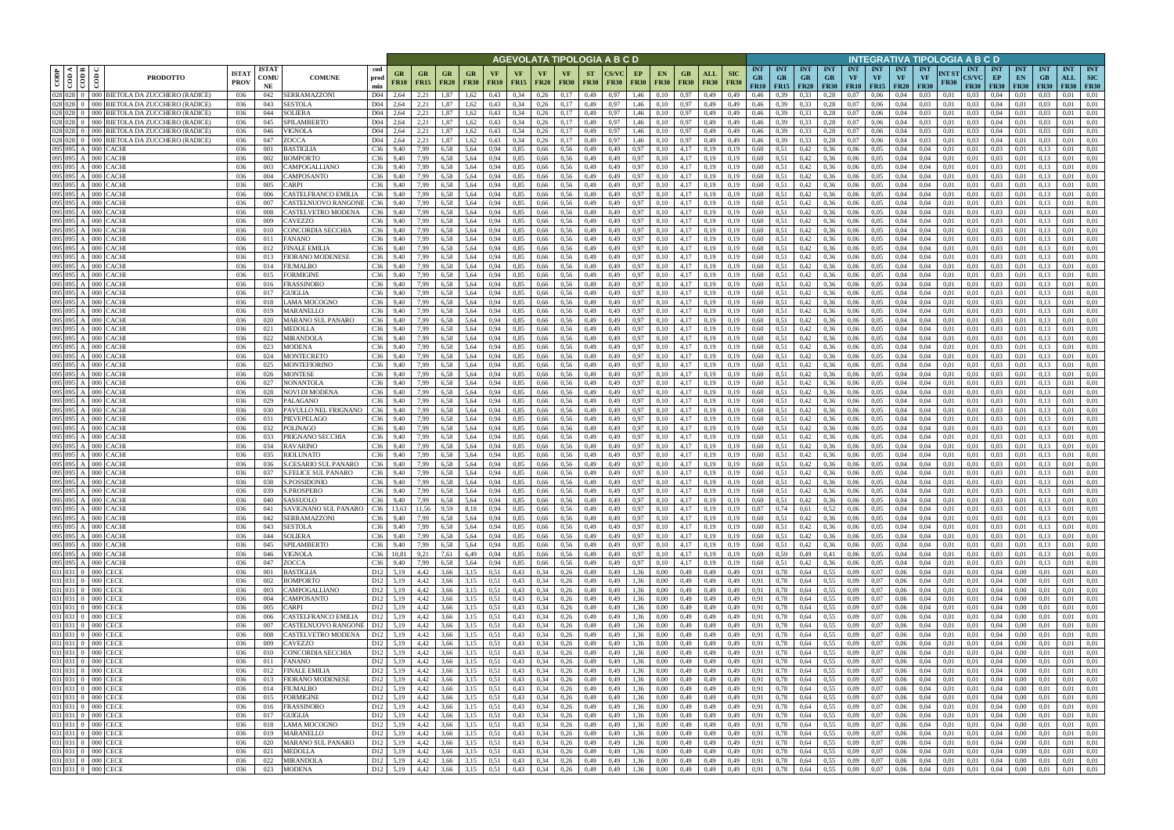|                                      |                                                                                           |                             |                            |                                                          |                                              |                          |                   |                   |                   |                          |                              | AGEVOLATA TIPOLOGIA A B C D |                          |                      |                                               |                                         |                           |                                 |                                        |                         |                                        |                     |                                      |                                        | NTEGRATIVA TIPOLOGIA A B C D           |                      |                                    |                                 |                                 |                                 |                                  |                                         |
|--------------------------------------|-------------------------------------------------------------------------------------------|-----------------------------|----------------------------|----------------------------------------------------------|----------------------------------------------|--------------------------|-------------------|-------------------|-------------------|--------------------------|------------------------------|-----------------------------|--------------------------|----------------------|-----------------------------------------------|-----------------------------------------|---------------------------|---------------------------------|----------------------------------------|-------------------------|----------------------------------------|---------------------|--------------------------------------|----------------------------------------|----------------------------------------|----------------------|------------------------------------|---------------------------------|---------------------------------|---------------------------------|----------------------------------|-----------------------------------------|
| ≺ ∣ ≃<br>CODP<br>$rac{1}{\sqrt{10}}$ | $\frac{6}{2}$<br><b>PRODOTTO</b>                                                          | <b>ISTA7</b><br><b>PROV</b> | <b>ISTAT</b><br>comu<br>NE | cod<br><b>COMUNE</b><br>prod<br>min                      | GR<br><b>FR10</b>                            | <b>GR</b><br><b>FR15</b> | GR<br><b>FR20</b> | GR<br><b>FR30</b> | VF<br><b>FR10</b> | <b>VF</b><br><b>FR15</b> | <b>VF</b><br><b>FR20</b>     | <b>VF</b><br><b>FR30</b>    | <b>ST</b><br><b>FR30</b> | CS/VC<br><b>FR30</b> | EP<br><b>EN</b><br><b>FR30</b><br><b>FR30</b> | GВ<br>ALL<br><b>FR30</b><br><b>FR30</b> | <b>SIC</b><br><b>FR30</b> | <b>INT</b><br><b>GR</b><br>FR10 | <b>INT</b><br><b>GR</b><br>$FR15$ FR20 | <b>INT</b><br><b>GR</b> | <b>INT</b><br><b>GR</b><br><b>FR30</b> | <b>INT</b><br>VF    | <b>INT</b><br>VF<br><b>FR10</b> FR15 | <b>INT</b><br><b>VF</b><br><b>FR20</b> | <b>INT</b><br><b>VF</b><br><b>FR30</b> | NT ST<br><b>FR30</b> | <b>INT</b><br>CS/VC<br><b>FR30</b> | <b>INT</b><br>EP<br><b>FR30</b> | <b>INT</b><br>EN<br><b>FR30</b> | <b>INT</b><br>GB<br><b>FR30</b> | <b>INT</b><br>ALL<br><b>FR30</b> | <b>INT</b><br><b>SIC</b><br><b>FR30</b> |
| 028 028<br>028 028                   | 000 BIETOLA DA ZUCCHERO (RADICE)                                                          | 036                         | 042                        | SERRAMAZZONI<br>D04                                      | 2,64                                         | 2,21                     | 1.87              | 1.62              | 0,43              | 0,34                     | 0,26                         | 0,17                        | 0,49                     | 0.97                 | 1,46<br>0.10                                  | 0,97<br>0,49                            | 0,49                      | 0.46                            |                                        | 0.33                    | 0.28                                   | 0.07                | 0.06                                 | 0.04                                   | 0.03                                   | 0.01                 | 0.03                               | 0.04                            |                                 |                                 | 0.01                             | 0.01                                    |
| 028 028                              | 000 <sub>1</sub><br>BIETOLA DA ZUCCHERO (RADICE)<br>BIETOLA DA ZUCCHERO (RADICE)<br>)OO I | 036<br>036                  | 043<br>044                 | D04<br>SESTOLA<br>SOLIERA<br>D <sub>04</sub>             | 2,64                                         | 2,21<br>2,21             | 1,87<br>1,87      | 1,62<br>.62       | 0,43<br>0,43      | 0,34<br>0,34             | 0,26<br>0,26                 | 0,17<br>0,17                | 0,49<br>0,49             | 0,97<br>0.97         | 1,46<br>0,10<br>1,46<br>0,10                  | 0.97<br>0,49<br>0.97<br>0,49            | 0,49<br>0,49              | 0,46<br>0,46                    | 0.39                                   | 0,33<br>0,33            | 0,28<br>0,28                           | 0,07<br>$_{0.07}$   | 0,06<br>0,06                         | 0,04<br>0,04                           | 0,03<br>0,03                           | 0,01<br>0,01         | 0.03<br>0.03                       | 0,04<br>0,04                    | 0.01<br>0.0                     | 0.03                            | 0,01<br>0.01                     | 0,01<br>0,01                            |
| 028 028                              | 000 BIETOLA DA ZUCCHERO (RADICE)                                                          | 036                         | 045                        | SPILAMBERTO<br>D04                                       | 2,64                                         | 2,21                     | 1,87              | 1,62              | 0,43              | 0,34                     | 0,26                         | 0,17                        | 0,49                     | 0,97                 | 1,46<br>0,10                                  | 0,97<br>0,49                            | 0,49                      | 0,46                            | 0,39                                   | 0,33                    | 0,28                                   | 0,07                | 0,06                                 | 0,04                                   | 0,03                                   | 0,01                 | 0.03                               | 0,04                            | 0,01                            | 0.03                            | 0,01                             | 0,01                                    |
| 028 028                              | 000 BIETOLA DA ZUCCHERO (RADICE)                                                          | 036                         | 046                        | VIGNOLA<br>D04                                           | 2,64                                         | 2,21                     | 1,87              | 1,62              | 0,43              | 0,34                     | 0,26                         | 0,17                        | 0,49                     | 0.97                 | 1,46<br>0.10                                  | 0,97<br>0,49                            | 0,49                      | 0,46                            | 0.39                                   | 0,33                    | 0,28                                   | 0,07                | 0,06                                 | 0,04                                   | 0.03                                   | 0.01                 | 0.03                               | 0.04                            | 0.01                            | 0.03                            | 0.01                             | 0.01                                    |
| 028 028 0                            | 000 BIETOLA DA ZUCCHERO (RADICE)                                                          | 036                         | 047                        | ZOCCA<br>D04                                             | 2,64                                         | 2,21                     | 1,87              | 1,62              | 0,43              | 0,34                     | 0,26                         | 0,17                        | 0,49                     | 0,97                 | 1,46<br>0,10                                  | 0.97<br>0,49                            | 0,49                      | 0,46                            | 0,39                                   | 0,33                    | 0,28                                   | 0,07                | 0,06                                 | 0,04                                   | 0,03                                   | 0,01                 | 0.03                               | 0,04                            | 0,01                            | 0,03                            | 0,01                             | 0,01                                    |
| 095 095 A<br>095 095 A               | 000 CACHI<br>000 CACHI                                                                    | 036<br>036                  | 001<br>002                 | BASTIGLIA<br>C36<br>BOMPORTO<br>C36                      | 9.40<br>9,40                                 | 7.99<br>7,99             | 6.58<br>6.58      | 5,64<br>5,64      | 0.94<br>0.94      | 0,85<br>0,85             | 0.66<br>0,66                 | 0,56<br>0,56                | 0,49<br>0,49             | 0.49                 | 0,97<br>0.10<br>0,97<br>0.10                  | 4.17<br>0,19<br>4.17<br>0,19            | 0.19<br>0.19              | 0.60<br>0,60                    | 0.51<br>0.51                           | 0,42<br>0,42            | 0.36<br>0.36                           | 0.06<br>0,06        | 0.05<br>0.05                         | 0.04<br>0.04                           | 0.04<br>0.04                           | 0.01<br>0.01         | 0.01<br>0.01                       | 0.03<br>0.03                    | 0.01<br>0,01                    | 0.13                            | 0.01<br>0.01                     | 0.01<br>0,01                            |
| 095 095 A                            | 000 CACHI                                                                                 | 036                         | 003                        | CAMPOGALLIANO<br>C36                                     | 9,40                                         | 7,99                     | 6,58              | 5,64              | 0,94              | 0,85                     | 0,66                         | 0,56                        | 0,49                     | 0.49                 | 0,97<br>0.10                                  | 4,17<br>0,19                            | 0.19                      | 0,60                            | 0,51                                   | 0,42                    | 0.36                                   | 0.06                | 0,05                                 | 0.04                                   | 0.04                                   | 0.01                 | 0.01                               | 0,03                            | 0,01                            | 0.13                            | 0.01                             | 0,01                                    |
| 095 095 A                            | $000$ CACH                                                                                | 036                         | 004                        | C36<br>CAMPOSANTO                                        | 9,40                                         | 7,99                     | 6.58              | 5,64              | 0.94              | 0.85                     | 0,66                         | 0.56                        | 0,49                     | 0.49                 | 0,97<br>0.10                                  | 4,17<br>0,19                            | 0.19                      | 0.60                            | 0,51                                   | 0,42                    | 0.36                                   | 0.06                | 0.05                                 | 0.04                                   | 0.04                                   | 0.01                 | 0.01                               | 0.03                            | 0.01                            | 0.13                            | 0.01                             | 0.01                                    |
| 095 095 A                            | 000 CACH                                                                                  | 036                         | 005                        | C36<br>CARPI                                             | 9.40                                         | 7.99                     | 6.58              | 5,64              | 0.94              | 0,85                     | 0,66                         | 0.56                        | 0,49                     | 0.49                 | 0,97<br>0.10                                  | 4,17<br>0,19                            | 0.19                      | 0.60                            | 0.51                                   | 0,42                    | 0.36                                   | 0.06                | 0.05                                 | 0.04                                   | 0.04                                   | 0.01                 | 0.01                               | 0.03                            | 0.01                            | 0.13                            | 0.01                             | 0.01                                    |
| 095 095 A<br>095 095 A               | 000 CACHI<br>000 CACH                                                                     | 036<br>036                  | 006                        | CASTELFRANCO EMILIA<br>C36<br>C36<br>CASTELNUOVO RANGONI | 9,40<br>9,40                                 | 7,99<br>7,99             | 6.58<br>6,58      | 5,64<br>5,64      | 0,94<br>0,94      | 0,85<br>0,85             | 0,66<br>0,66                 | 0,56<br>0,56                | 0,49<br>0,49             | 0,49                 | 0,97<br>0,10<br>0,97<br>0,10                  | 4,17<br>0,19<br>4,17<br>0,19            | 0,19<br>0,19              | 0.60<br>0,60                    | 0,51<br>0,51                           | 0,42<br>0,42            | 0,36<br>0.36                           | 0,06<br>0,06        | 0,05<br>0.05                         | 0,04<br>0,04                           | 0,04<br>0,04                           | 0,01<br>0.01         | 0.01<br>0.01                       | 0,03<br>0,03                    | 0,01<br>0,01                    | 0,13                            | 0,01<br>0,01                     | 0,01<br>0,01                            |
| 095 095 A                            | 000 CACHI                                                                                 | 036                         | 007<br>008                 | C36<br>CASTELVETRO MODENA                                | 9,40                                         | 7,99                     | 6.58              | 5,64              | 0,94              | 0,85                     | 0,66                         | 0,56                        | 0,49                     | 0,49<br>0,49         | 0,97<br>0,10                                  | 4,17<br>0,19                            | 0,19                      | 0,60                            | 0,51                                   | 0,42                    | 0.36                                   | 0,06                | 0.05                                 | 0,04                                   | 0,04                                   | 0,01                 | 0.01                               | 0,03                            | 0,01                            | 0,13<br>0,13                    | 0,01                             | 0,01                                    |
| 095 095 A                            | 000 CACHI                                                                                 | 036                         | 009                        | C36<br>CAVEZZO                                           | 9,40                                         | 7,99                     | 6,58              | 5,64              | 0,94              | 0,85                     | 0,66                         | 0,56                        | 0,49                     | 0.49                 | 0,97<br>0,10                                  | 4,17<br>0,19                            | 0,19                      | 0,60                            | 0,51                                   | 0,42                    | 0,36                                   | 0,06                | 0,05                                 | 0,04                                   | 0,04                                   | 0,01                 | 0,01                               | 0,03                            | 0,01                            | 0,13                            | 0,01                             | 0,01                                    |
| 095 095 A                            | 000<br>CACHI                                                                              | 036                         | 010                        | CONCORDIA SECCHIA<br>C36                                 | 9,40                                         | 7,99                     | 6,58              | 5,64              | 0,94              | 0,85                     | 0,66                         | 0,56                        | 0,49                     | 0.49                 | 0,97<br>0.10                                  | 4,17<br>0,19                            | 0.19                      | 0,60                            | 0,51                                   | 0,42                    | 0.36                                   | 0,06                | 0,05                                 | 0,04                                   | 0.04                                   | 0,01                 | 0.01                               | 0,03                            | 0,01                            | 0.13                            | 0,01                             | 0,01                                    |
| 095 095 A<br>095 095 A               | 000<br>CACHI<br>000<br>CACHI                                                              | 036<br>036                  | 011<br>012                 | <b>FANANO</b><br>C36<br>FINALE EMILIA<br>C36             | 9,40<br>9,40                                 | 7,99<br>7,99             | 6,58<br>6,58      | 5,64<br>5,64      | 0,94<br>0,94      | 0,85<br>0,85             | 0,66<br>0,66                 | 0,56<br>0,56                | 0,49<br>0,49             | 0.49<br>0,49         | 0,97<br>0,10<br>0,97<br>0,10                  | 4,17<br>0,19<br>4,17<br>0,19            | 0.19<br>0,19              | 0,60<br>0,60                    | 0,51<br>0,51                           | 0,42<br>0,42            | 0.36<br>0.36                           | 0,06<br>0,06        | 0,05<br>0,05                         | 0,04<br>0,04                           | 0,04<br>0,04                           | 0,01<br>0,01         | 0.01<br>0,01                       | 0,03<br>0,03                    | 0,01<br>0,01                    | 0.13<br>0,13                    | 0,01<br>0,01                     | 0,01<br>0,01                            |
| 095 095 A                            | 000 CACH                                                                                  | 036                         | 013                        | FIORANO MODENESE<br>C36                                  | 9,40                                         | 7,99                     | 6.58              | 5.64              | 0.94              | 0,85                     | 0,66                         | 0.56                        | 0,49                     | 0.49                 | 0,97<br>0.10                                  | 4,17<br>0,19                            | 0.19                      | 0,60                            | 0.51                                   | 0,42                    | 0.36                                   | 0,06                | 0,05                                 | 0,04                                   | 0.04                                   | 0.01                 | 0.01                               | 0,03                            | 0,01                            | 0.13                            | 0,01                             | 0.01                                    |
| 095 095 A                            | CACHI<br>000                                                                              | 036                         | 014                        | FIUMALBO<br>C36                                          | 9,40                                         | 7,99                     | 6.58              | 5,64              | 0.94              | 0,85                     | 0,66                         | 0,56                        | 0,49                     | 0.49                 | 0,97<br>0.10                                  | 4,17<br>0,19                            | 0.19                      | 0.60                            | 0.51                                   | 0,42                    | 0.36                                   | 0.06                | 0,05                                 | 0.04                                   | 0.04                                   | 0.01                 | 0.01                               | 0,03                            | 0.01                            | 0.13                            | 0.01                             | 0.01                                    |
|                                      | 095 095 A 000 CACH                                                                        | 036                         | 015                        | C36<br>FORMIGINE                                         | 9,40                                         | 7,99                     | 6,58              | 5,64              | 0,94              | 0,85                     | 0,66                         | 0,56                        | 0,49                     | 0,49                 | 0,97<br>0,10                                  | 4,17<br>0,19                            | 0,19                      | 0,60                            | 0.51                                   | 0,42                    | 0,36                                   | 0,06                | 0,05                                 | 0,04                                   | 0,04                                   | 0,01                 | 0,01                               | 0,03                            | 0,01                            | 0,13                            | 0,01                             | 0,01                                    |
| 095 095                              | `ACHI<br>000                                                                              | 036                         | 016                        | C36<br>FRASSINORO                                        | 9.40                                         | 7.99                     | 6.58              | 5.64              | 0.94              | 0,85                     | 0,66                         | 0.56                        | 0,49                     |                      | 0,97<br>0.10                                  | 4,17<br>0.19                            | 0.19                      | 0,60                            | 0.51                                   | 0,42                    | 0.36                                   | 0.06                | 0,05                                 | 0.04                                   | 0.04                                   | 0.01                 | 0.01                               | 0,03                            | 0.0                             |                                 | 0.01                             | 0.01                                    |
| 095 095 A<br>095 095                 | 000<br>`ACHI<br>CACHI<br>000 <sub>1</sub>                                                 | 036<br>036                  | 017<br>018                 | C36<br>GUIGLIA<br>C36<br>LAMA MOCOGNO                    | 9,40<br>9,40                                 | 7,99<br>7,99             | 6.58<br>6.58      | 5.64<br>5.64      | 0.94<br>0,94      | 0,85<br>0,85             | 0,66<br>0,66                 | 0.56<br>0,56                | 0,49<br>0,49             | 0.49<br>0.49         | 0,97<br>0.10<br>0,97<br>0.10                  | 4,17<br>0,19<br>4,17<br>0.19            | 0.19                      | 0.60<br>0,60                    | 0.51<br>0.51                           | 0,42<br>0,42            | 0.36<br>0.36                           | 0.06<br>0.06        | 0.05<br>0.05                         | 0.04<br>0.04                           | 0,04<br>0.04                           | 0.01<br>0.01         | 0.01<br>0.01                       | 0,03<br>0,03                    | 0.01<br>0.0                     | 0.13                            | 0,01<br>0.01                     | 0.01<br>0,01                            |
|                                      | 095 095 A 000 CACH                                                                        | 036                         | 019                        | C36<br>MARANELLO                                         | 9,40                                         | 7,99                     | 6,58              | 5,64              | 0,94              | 0,85                     | 0,66                         | 0,56                        | 0,49                     | 0,49                 | 0,97<br>0,10                                  | 4,17<br>0,19                            | 0,19                      | 0,60                            | 0,51                                   | 0,42                    | 0.36                                   | 0,06                | 0.05                                 | 0,04                                   | 0,04                                   | 0,01                 | 0,01                               | 0,03                            | 0.01                            | 0.13                            | 0,01                             | 0,01                                    |
| 095 095 A                            | 000 CACH                                                                                  | 036                         | 020                        | C36<br>MARANO SUL PANARO                                 | 9,40                                         | 7,99                     | 6,58              | 5,64              | 0.94              | 0,85                     | 0,66                         | 0.56                        | 0,49                     | 0.49                 | 0.97<br>0.10                                  | 4,17<br>0.19                            | 0.19                      | 0,60                            | 0.51                                   | 0,42                    | 0.36                                   | 0.06                | 0.05                                 | 0.04                                   | 0.04                                   | 0.01                 | 0.01                               | 0.03                            | 0.01                            |                                 | 0.01                             | 0.01                                    |
| 095 095 A<br>095 095                 | $000$ CACHI                                                                               | 036                         | 021                        | C36<br>MEDOLLA                                           | 9,40                                         | 7,99                     | 6,58              | 5,64              | 0,94              | 0,85                     | 0,66                         | 0,56                        | 0,49                     | 0,49                 | 0,10<br>0,97                                  | 4,17<br>0,19                            |                           | 0,60                            | 0,51                                   | 0,42                    | 0.36                                   | 0,06                | 0,05                                 | 0,04                                   | 0,04                                   | 0,01                 | 0,01                               | 0,03                            | 0,01                            | 0,13                            | 0.01                             | 0,01                                    |
| 095 095 A                            | CACHI<br>000 IO<br>000 CACHI                                                              | 036<br>036                  | 022<br>023                 | C36<br>MIRANDOLA<br>C36<br>MODENA                        | 9.40<br>9,40                                 | 7,99<br>7,99             | 6.58<br>6,58      | 5,64<br>5,64      | 0.94<br>0,94      | 0,85<br>0,85             | 0,66<br>0,66                 | 0.56<br>0,56                | 0,49<br>0,49             | 0.49<br>0,49         | 0.97<br>0,97<br>0.10                          | 4,17<br>0,19<br>4,17<br>0,19            | 0.19<br>0,19              | 0,60<br>0,60                    | 0,51                                   | 0,42<br>0,42            | 0.36<br>0.36                           | 0.06<br>0,06        | 0.05<br>0.05                         | 0.04<br>0,04                           | 0.04<br>0,04                           | 0.01<br>0,01         | 0.01<br>0,01                       | 0.03<br>0.03                    | 0.01<br>0.01                    | 0.13                            | 0.01<br>0.01                     | 0.01<br>0.01                            |
| 095 095 A                            | 000 CACHI                                                                                 | 036                         | 024                        | C36<br>MONTECRETO                                        | 9,40                                         | 7,99                     | 6,58              | 5,64              | 0,94              | 0,85                     | 0,66                         | 0,56                        | 0,49                     | 0.49                 | 0,97<br>0,10                                  | 4,17<br>0,19                            | 0.19                      | 0,60                            | 0,51                                   | 0,42                    | 0.36                                   | 0,06                | 0,05                                 | 0,04                                   | 0.04                                   | 0,01                 | 0,01                               | 0.03                            | 0,01                            | 0.13                            | 0,01                             | 0,01                                    |
|                                      | 095 095 A 000 CACH                                                                        | 036                         | 025                        | MONTEFIORINO<br>C36                                      | 9,40                                         | 7,99                     | 6.58              | 5,64              | 0.94              | 0,85                     | 0,66                         | 0.56                        | 0,49                     | 0.49                 | 0,97<br>0.10                                  | 4,17<br>0,19                            | 0.19                      | 0,60                            | 0.51                                   | 0,42                    | 0.36                                   | 0,06                | 0.05                                 | 0,04                                   | 0.04                                   | 0.01                 | 0.01                               | 0.03                            | 0,01                            | 0.13                            | 0.01                             | 0,01                                    |
| 095 095 A                            | 000 CACHI                                                                                 | 036                         | 026                        | <b>MONTESE</b><br>C36                                    | 9,40                                         | 7.99                     | 6.58              | 5,64              | 0.94              | 0,85                     | 0,66                         | 0.56                        | 0,49                     | 0.49                 | 0,97<br>0.10                                  | 4,17<br>0,19                            | 0.19                      | 0,60                            | 0.51                                   | 0,42                    | 0.36                                   | 0.06                | 0.05                                 | 0.04                                   | 0.04                                   | 0.01                 | 0.01                               | 0.03                            | 0.01                            | $0.1^{\circ}$                   | 0.01                             | 0,01                                    |
| 095 095 A<br>095 095 A               | 000 CACHI<br>000 CACH                                                                     | 036<br>036                  | 027<br>028                 | C36<br>NONANTOLA<br>NOVI DI MODENA                       | 9,40<br>C <sub>36</sub> 9.40                 | 7,99<br>7.99             | 6,58<br>6.58      | 5,64<br>5.64      | 0,94<br>0.94      | 0,85<br>0,85             | 0,66<br>0,66                 | 0,56<br>0,56                | 0,49<br>0,49             | 0.49<br>0.49         | 0,97<br>0,10<br>0,97<br>0.10                  | 4,17<br>0,19<br>4,17<br>0,19            | 0,19<br>0.19              | 0,60<br>0.60                    | 0,51<br>0,51                           | 0,42<br>0,42            | 0.36<br>0.36                           | 0,06<br>0.06        | 0,05<br>0.05                         | 0,04<br>0.04                           | 0.04<br>0.04                           | 0,01<br>0.01         | 0.01<br>0.01                       | 0.03<br>0.03                    | 0,01<br>0.01                    | 0.13<br>0.13                    | 0,01<br>0.01                     | 0,01<br>0.01                            |
|                                      | 095 095 A 000 CACH                                                                        | 036                         | 029                        | C36<br>PALAGANO                                          | 9,40                                         | 7,99                     | 6.58              | 5,64              | 0.94              | 0,85                     | 0,66                         | 0,56                        | 0,49                     | 0.49                 | 0,97<br>0,10                                  | 4,17<br>0,19                            | 0,19                      | 0.60                            | 0,51                                   | 0,42                    | 0.36                                   | 0,06                | 0.05                                 | 0,04                                   | 0.04                                   | 0.01                 | 0.01                               | 0.03                            | 0,01                            | 0.13                            | 0.01                             | 0,01                                    |
| 095 095 A                            | 000 CACH                                                                                  | 036                         | -030                       | PAVULLO NEL FRIGNANO<br>C36                              | 9,40                                         | 7,99                     | 6,58              | 5,64              | 0,94              | 0,85                     | 0,66                         | 0,56                        | 0,49                     | 0,49                 | 0,97<br>0,10                                  | 4,17<br>0,19                            | 0,19                      | 0.60                            | 0,51                                   | 0,42                    | 0,36                                   | 0,06                | 0,05                                 | 0,04                                   | 0,04                                   | 0,01                 | 0.01                               | 0,03                            | 0,01                            | 0,13                            | 0.01                             | 0,01                                    |
| 095 095 A                            | 000 CACHI                                                                                 | 036                         | 031                        | PIEVEPELAGO<br>C36                                       | 9,40                                         | 7,99                     | 6.58              | 5,64              | 0,94              | 0,85                     | 0,66                         | 0,56                        | 0,49                     | 0,49                 | 0,97<br>0.10                                  | 4,17<br>0,19                            | 0,19                      | 0.60                            | 0,51                                   | 0,42                    | 0.36                                   | 0,06                | 0,05                                 | 0,04                                   | 0,04                                   | 0,01                 | 0,01                               | 0,03                            | 0,01                            | 0.13                            | 0,01                             | 0,01                                    |
| 095 095 A<br>095 095 A               | 000 CACHI                                                                                 | 036                         | 032                        | C36<br>POLINAGO<br>C36                                   | 9,40                                         | 7,99                     | 6,58<br>6,58      | 5,64              | 0.94<br>0,94      | 0,85<br>0,85             | 0,66                         | 0,56                        | 0,49                     | 0,49<br>0,49         | 0,97<br>0,10                                  | 4,17<br>0,19<br>4,17                    | 0,19<br>0,19              | 0,60<br>0,60                    | 0,51                                   | 0,42                    | 0.36                                   | 0,06                | 0,05<br>0.05                         | 0,04                                   | 0,04<br>0,04                           | 0,01                 | 0.01                               | 0,03<br>0,03                    | 0,01                            | 0,13<br>0,13                    | 0,01<br>0,01                     | 0,01<br>0,01                            |
| 095 095 A                            | 000 CACH<br>CACHI<br>000                                                                  | 036<br>036                  | 033<br>034                 | PRIGNANO SECCHIA<br><b>RAVARINO</b><br>C36               | 9,40<br>9,40                                 | 7,99<br>7,99             | 6,58              | 5,64<br>5,64      | 0.94              | 0,85                     | 0,66<br>0,66                 | 0,56<br>0.56                | 0,49<br>0,49             | 0.49                 | 0,97<br>0,10<br>0,97<br>0,10                  | 0,19<br>4,17<br>0,19                    | 0.19                      | 0,60                            | 0,51<br>0,51                           | 0,42<br>0,42            | 0,36<br>0.36                           | 0,06<br>0,06        | 0.05                                 | 0,04<br>0,04                           | 0,04                                   | 0,01<br>0,01         | 0,01<br>0,01                       | 0,03                            | 0,01<br>0,01                    | 0,13                            | 0,01                             | 0,01                                    |
| 095 095 A                            | 000<br>CACHI                                                                              | 036                         | 035                        | C36<br>RIOLUNATO                                         | 9,40                                         | 7,99                     | 6,58              | 5,64              | 0,94              | 0,85                     | 0,66                         | 0,56                        | 0,49                     | 0,49                 | 0,97<br>0,10                                  | 4,17<br>0,19                            | 0,19                      | 0,60                            | 0.51                                   | 0,42                    | 0.36                                   | 0,06                | 0,05                                 | 0,04                                   | 0,04                                   | 0,01                 | 0,01                               | 0,03                            | 0,01                            | 0.13                            | 0,01                             | 0,01                                    |
| 095 095 A                            | 000 CACHI                                                                                 | 036                         | 036                        | C36<br>S.CESARIO SUL PANARO                              | 9,40                                         | 7,99                     | 6,58              | 5,64              | 0,94              | 0,85                     | 0,66                         | 0,56                        | 0,49                     | 0.49                 | 0,97<br>0,10                                  | 4,17<br>0,19                            | 0,19                      | 0,60                            | 0,51                                   | 0,42                    | 0.36                                   | 0,06                | 0,05                                 | 0,04                                   | 0,04                                   | 0,01                 | 0,01                               | 0,03                            | 0,01                            | 0,13                            | 0,01                             | 0,01                                    |
| 095 095 A                            | CACHI<br>000<br>095 095 A 000 CACHI                                                       | 036<br>036                  | 037<br>038                 | <b>S.FELICE SUL PANARO</b><br>C36                        | 9,40<br>$C36$ 9,40                           | 7,99                     | 6.58<br>6,58      | 5.64              | 0.94              | 0,85<br>0,85             | 0,66                         | 0,56                        | 0,49                     | 0.49                 | 0,97<br>0.10                                  | 4,17<br>0.19<br>4,17                    | 0.19                      | 0.60                            | 0.51                                   | 0,42                    | 0.36                                   | 0,06                | 0.05                                 | 0.04                                   | 0.04                                   | 0.01                 | 0.01<br>0.01                       | 0,03<br>0,03                    | 0.01                            | 0.13<br>0.13                    | 0,01<br>0,01                     | 0,01<br>0,01                            |
|                                      | 095 095 A 000 CACHI                                                                       | 036                         | 039                        | S.POSSIDONIO<br><b>S.PROSPERO</b>                        | $C36$ 9.40                                   | 7,99<br>7.99             | 6.58              | 5,64<br>5,64      | 0,94<br>0,94      | 0,85                     | 0,66<br>0,66                 | 0,56<br>0,56                | 0,49<br>0,49             | 0,49<br>0.49         | 0,97<br>0,10<br>0,97<br>0,10                  | 0,19<br>4,17<br>0,19                    | 0,19<br>0,19              | 0,60<br>0,60                    | 0.51<br>0,51                           | 0,42<br>0,42            | 0,36<br>0,36                           | 0,06<br>0,06        | 0,05<br>0,05                         | 0,04<br>0.04                           | 0,04<br>0.04                           | 0,01<br>0,01         | 0.01                               | 0.03                            | 0,01<br>0,01                    | 0.13                            | 0.01                             | 0,01                                    |
|                                      | 095 095 A 000 CACHI                                                                       | 036                         | 040                        | SASSUOLO                                                 | C36 9,40                                     | 7,99                     | 6,58              | 5,64              | 0,94              | 0,85                     | 0,66 0,56                    |                             | 0,49                     | 0,49                 | 0,10<br>0,97                                  | $4,17$ 0,19                             | 0,19                      | 0,60                            | 0,51                                   | 0,42                    | 0,36                                   | 0,06                | 0,05                                 | 0,04                                   | 0,04                                   | 0,01                 | 0,01                               | 0,03                            | 0,01                            | 0,13                            | 0,01                             | 0,01                                    |
|                                      | 095 095 A 000 CACHI                                                                       | 036                         | 041                        | SAVIGNANO SUL PANARO                                     | C36 13.63                                    | 11,56                    | 9,59              | 8,18              | 0,94              | 0,85                     | $0,66$ 0.56                  |                             | 0,49                     | 0,49                 | 0,97<br>0,10                                  | $4,17$ 0,19                             | 0,19                      | 0,87                            | 0,74                                   | 0,61                    | 0,52                                   | 0,06                | 0,05                                 | 0,04                                   | 0,04                                   | 0,01                 | 0,01                               | 0,03                            | 0.01                            | 0,13                            | 0,01                             | 0,01                                    |
|                                      | 095 095 A 000 CACHI<br>095 095 A 000 CACHI                                                | 036<br>036                  | 042<br>043                 | SERRAMAZZONI<br><b>SESTOLA</b>                           | C36 9,40<br>$C36$ 9.40                       | 7,99<br>7,99             | 6,58<br>6,58      | 5,64<br>5,64      | 0,94<br>0,94      | 0,85<br>0,85             | $0,66$ 0.56                  | $0,66$ 0.56                 | 0,49<br>0,49             | 0,49<br>0,49         | 0,10<br>0,97<br>0,97<br>0,10                  | $4,17$ 0,19<br>$4,17$ 0,19              | 0,19<br>0,19              | 0,60<br>0,60                    | 0,51<br>0,51                           | 0,42<br>0,42            | 0,36<br>0,36                           | 0,06<br>0,06        | 0,05<br>0,05                         | 0,04<br>0,04                           | 0,04<br>0,04                           | 0,01<br>0,01         | 0,01<br>0,01                       | $0,03$ $0,01$<br>0,03           | 0,01                            | 0,13<br>0,13                    | 0,01<br>0,01                     | 0,01<br>0,01                            |
|                                      | 095 095 A 000 CACHI                                                                       | 036                         | 044                        | <b>SOLIERA</b>                                           | C36 9,40                                     | 7,99                     | 6,58              | 5,64              | 0,94              | 0,85                     | $0,66$ 0.56                  |                             | 0,49                     | 0,49                 | 0,97<br>0,10                                  | $4,17$ 0,19                             | 0,19                      | 0,60                            | 0,51                                   | 0,42                    | 0,36                                   | 0,06                | 0,05                                 | 0,04                                   | 0,04                                   | 0,01                 | 0,01                               | 0,03                            | 0,01                            | 0,13                            | 0,01                             | 0,01                                    |
|                                      | 095 095 A 000 CACHI                                                                       | 036                         | 045                        | SPILAMBERTO                                              | C36 9,40                                     | 7,99                     | 6,58              | 5,64              | 0,94              | 0,85                     | 0,66                         | 0,56                        | 0,49                     | 0,49                 | 0,97<br>0,10                                  | $4,17$ 0,19                             | 0,19                      | 0,60                            | 0,51                                   | 0,42                    | 0,36                                   | 0,06                | 0,05                                 | 0,04                                   | 0,04                                   | 0,01                 | 0,01                               | 0,03                            | 0,01                            | 0,13                            | 0,01                             | 0,01                                    |
|                                      | 095 095 A 000 CACHI                                                                       | 036                         | 046                        | <b>VIGNOLA</b>                                           | C36 10,81                                    | 9,21                     | 7,61              | 6,49              | 0,94              | 0,85                     | 0,66                         | 0,56                        | 0,49                     | 0,49                 | 0,97<br>0,10                                  | 4,17<br>0,19                            | 0,19                      | 0,69                            | 0,59                                   | 0,49                    | 0,41                                   | 0,06                | 0,05                                 | 0,04                                   | 0,04                                   | 0,01                 | 0,01                               | 0,03                            | 0,01                            | 0,13                            | 0,01                             | 0,01                                    |
|                                      | 095 095 A 000 CACHI<br>031 031 0 000 CECE                                                 | 036<br>036                  | 047<br>001                 | ZOCCA<br><b>BASTIGLIA</b>                                | C36 9,40<br>D <sub>12</sub> 5,19             | 7,99<br>4,42             | 6,58<br>3,66      | 5,64<br>3,15      | 0,94<br>0,51      | 0,85<br>0,43             | 0,66<br>$0,34$ $0,26$        | 0,56                        | 0,49<br>0,49             | 0,49<br>0,49         | 0,97<br>0,10<br>1,36<br>0,00                  | $4,17$ 0,19<br>$0,49$ $0,49$            | 0,19<br>0,49              | 0,60<br>0,91                    | 0,51<br>0,78                           | 0,42<br>0,64            | 0,36<br>0,55                           | 0,06<br>0,09        | 0,05<br>0,07                         | 0,04<br>0,06                           | 0,04<br>0,04                           | 0,01<br>0,01         | 0,01<br>0,01                       | 0,03<br>0,04                    | 0,01<br>0,00                    | 0,13<br>0,01                    | 0,01<br>0,01                     | 0,01<br>0,01                            |
|                                      | 031 031 0 000 CECE                                                                        | 036                         | 002                        | <b>BOMPORTO</b>                                          | D <sub>12</sub> 5,19                         | 4,42 3,66                |                   | $3,15$ 0.51       |                   | 0,43                     | $0,34$ 0,26                  |                             | 0,49                     | 0,49                 | 1,36<br>0,00                                  | $0,49$ $0,49$                           | 0,49                      | 0,91                            | 0,78                                   | 0,64                    | 0,55                                   |                     | $0,09$ 0.07                          | 0,06                                   | 0,04                                   | 0,01                 | 0,01                               | 0,04                            | $0,00$ $0,01$                   |                                 | 0,01                             | 0,01                                    |
|                                      | 031 031 0 000 CECE                                                                        | 036                         | 003                        | CAMPOGALLIANO                                            | D <sub>12</sub> 5,19                         | 4,42 3,66                |                   | $3,15$ 0.51       |                   | 0,43                     | $0,34$ 0,26                  |                             | 0,49                     | 0,49                 | 1,36<br>0,00                                  | 0,49 0,49                               | 0,49                      | 0,91                            | $0,78$ 0.64                            |                         | 0,55                                   |                     | $0,09$ 0.07                          | 0,06                                   | 0,04                                   | 0,01                 | 0,01                               | 0,04                            | $0,00$ $0,01$                   |                                 |                                  | $0,01$ $0,01$                           |
|                                      | 031 031 0 000 CECE                                                                        | 036                         | 004                        | CAMPOSANTO                                               | D <sub>12</sub> 5,19                         |                          | 4,42 3,66         | 3,15              | 0,51              | 0,43                     | $0,34$ 0,26                  |                             | 0,49                     | 0,49                 | 1,36<br>0,00                                  | $0,49$ $0,49$                           | 0,49                      | 0,91                            | 0,78                                   | 0,64                    | 0,55                                   |                     | $0,09$ 0.07                          | 0,06                                   | 0,04                                   | 0,01                 | 0,01                               | 0,04                            | $0,00$ $0,01$                   |                                 | 0,01                             | 0,01                                    |
|                                      | 031 031 0 000 CECE<br>031 031 0 000 CECE                                                  | 036<br>036                  | 005<br>006                 | CARPI<br>CASTELFRANCO EMILIA                             | D <sub>12</sub> 5,19<br>D <sub>12</sub> 5,19 | 4,42<br>4,42             | 3,66<br>3,66      | 3,15<br>3,15      | 0,51<br>0,51      | 0,43<br>0,43             | $0,34$ 0,26<br>$0,34$ 0,26   |                             | 0,49<br>0,49             | 0,49<br>0,49         | 1,36<br>0,00<br>1,36<br>0,00                  | 0,49<br>0,49<br>0,49<br>0,49            | 0,49<br>0,49              | 0,91<br>0,91                    | 0,78<br>0,78                           | 0,64<br>0,64            | 0,55<br>0,55                           | 0,09<br>0,09        | 0,07<br>0,07                         | 0,06<br>0,06                           | 0,04<br>0,04                           | 0,01<br>0,01         | 0,01<br>0,01                       | 0,04<br>0,04                    | $0,00$ $0,01$<br>$0,00$ $0,01$  |                                 | 0,01<br>0,01                     | 0,01<br>0,01                            |
|                                      | 031 031 0 000 CECE                                                                        | 036                         | 007                        | CASTELNUOVO RANGONE                                      | D <sub>12</sub> 5,19                         | 4,42                     | 3,66              | 3,15              | 0,51              | 0,43                     | $0,34$ 0,26                  |                             | 0,49                     | 0,49                 | 1,36<br>0,00                                  | 0,49<br>0,49                            | 0,49                      | 0,91                            | 0,78                                   | 0,64                    | 0,55                                   | 0,09                | 0,07                                 | 0,06                                   | 0,04                                   | 0,01                 | 0,01                               | 0,04                            | $0,00$ $0,01$                   |                                 | 0,01                             | 0,01                                    |
|                                      | 031 031 0 000 CECE                                                                        | 036                         | 008                        | CASTELVETRO MODENA                                       | D <sub>12</sub> 5,19                         | 4,42                     | 3,66              | 3,15              | 0,51              | 0,43                     | $0,34$ 0,26                  |                             | 0,49                     | 0,49                 | 1,36<br>0,00                                  | 0,49<br>0,49                            | 0,49                      | 0,91                            | 0,78                                   | 0,64                    | 0,55                                   | 0,09                | 0,07                                 | 0,06                                   | 0,04                                   | 0,01                 | 0,01                               | 0,04                            | $0.00\,$                        | 0,01                            | 0,01                             | 0,01                                    |
|                                      | 031 031 0 000 CECE                                                                        | 036                         | 009                        | CAVEZZO                                                  | D <sub>12</sub> 5,19                         | 4,42                     | 3,66              | 3,15              | 0,51              | 0,43                     | $0,34$ 0,26                  |                             | 0,49                     | 0,49                 | 1,36<br>0,00                                  | 0,49<br>0,49                            | 0,49                      | 0,91                            | 0,78                                   | 0,64                    | 0,55                                   | 0,09                | 0,07                                 | 0,06                                   | 0,04                                   | 0,01                 | 0,01                               | 0,04                            | 0,00                            | 0.01                            | 0,01                             | 0,01                                    |
|                                      | 031 031 0 000 CECE<br>031 031 0 000 CECE                                                  | 036<br>036                  | 010<br>011                 | CONCORDIA SECCHIA<br><b>FANANO</b>                       | D <sub>12</sub> 5,19<br>D <sub>12</sub> 5,19 | 4,42<br>4,42             | 3,66<br>3,66      | 3,15<br>3,15      | 0,51<br>0,51      | 0,43<br>0,43             | $0,34$ 0,26<br>$0,34$ $0,26$ |                             | 0,49<br>0,49             | 0,49<br>0,49         | 1,36<br>0,00<br>1,36<br>0,00                  | 0,49<br>0,49<br>$0,49$ $0,49$           | 0,49<br>0,49              | 0,91<br>0,91                    | 0,78<br>$0,78$ 0.64                    | 0,64                    | 0,55<br>0,55                           | 0,09<br>$0,09$ 0.07 | 0,07                                 | 0,06<br>0,06                           | 0,04<br>0,04                           | 0,01<br>0,01         | 0,01<br>0,01                       | 0,04<br>$0,04$ 0,00 0,01        | 0,00                            | 0,01                            | 0,01<br>0,01                     | 0,01<br>0,01                            |
|                                      | 031 031 0 000 CECE                                                                        | 036                         | 012                        | <b>FINALE EMILIA</b>                                     | D <sub>12</sub> 5,19                         | 4,42                     | 3,66              | $3,15$ 0.51       |                   | 0,43                     | $0,34$ 0,26                  |                             | 0,49                     | 0,49                 | 1,36<br>0,00                                  | 0,49 0,49                               | 0,49                      | 0,91                            | $0,78$ 0.64                            |                         | 0,55                                   |                     | $0,09$ 0.07                          | 0,06                                   | 0,04                                   | 0,01                 | 0,01                               | $0.04$ 0.00 0.01                |                                 |                                 | 0,01                             | 0,01                                    |
|                                      | 031 031 0 000 CECE                                                                        | 036                         | 013                        | <b>FIORANO MODENESE</b>                                  | D <sub>12</sub> 5,19                         | 4,42                     | 3,66              | $3,15$ 0.51       |                   | 0,43                     | $0,34$ 0,26                  |                             | 0,49                     | 0,49                 | 1,36<br>0,00                                  | $0,49$ $0,49$                           | 0,49                      | 0,91                            | $0,78$ 0.64                            |                         | 0,55                                   | $0,09$ 0.07         |                                      | 0,06                                   | 0,04                                   | 0,01                 | 0,01                               | 0,04                            | $0,00$ $0,01$                   |                                 | 0,01                             | 0,01                                    |
|                                      | 031 031 0 000 CECE                                                                        | 036                         | 014                        | <b>FIUMALBO</b>                                          | D <sub>12</sub> 5,19                         | 4,42                     | 3,66              | $3,15$ 0.51       |                   | 0,43                     | $0,34$ 0,26                  |                             | 0,49                     | 0,49                 | 1,36<br>0,00                                  | $0,49$ $0,49$                           | 0,49                      | 0,91                            | 0,78                                   | 0,64                    | 0,55                                   | 0,09                | 0,07                                 | 0,06                                   | 0,04                                   | 0,01                 | 0,01                               | 0,04                            | 0,00                            | 0,01                            | 0,01                             | 0,01                                    |
|                                      | 031 031 0 000 CECE<br>031 031 0 000 CECE                                                  | 036<br>036                  | 015<br>016                 | <b>FORMIGINE</b><br><b>FRASSINORO</b>                    | D <sub>12</sub> 5,19<br>D <sub>12</sub> 5,19 | 4,42<br>4,42             | 3,66<br>3,66      | 3,15<br>3,15      | 0,51<br>0,51      | 0,43<br>0,43             | $0,34$ 0,26<br>$0,34$ 0,26   |                             | 0,49<br>0,49             | 0,49<br>0,49         | 1,36<br>0,00<br>1,36<br>0,00                  | $0,49$ 0.49<br>0,49<br>0,49             | 0,49<br>0,49              | 0,91<br>0,91                    | 0,78<br>0,78                           | 0,64<br>0,64            | 0,55<br>0,55                           | 0,09<br>0,09        | 0,07<br>0,07                         | 0,06<br>0,06                           | 0,04<br>0,04                           | 0,01<br>0,01         | 0,01<br>0,01                       | 0,04<br>0,04                    | 0,00<br>0,00                    | 0,01<br>0,01                    | 0,01<br>0,01                     | 0,01<br>0,01                            |
|                                      | 031 031 0 000 CECE                                                                        | 036                         | 017                        | <b>GUIGLIA</b>                                           | D <sub>12</sub> 5,19                         | 4,42                     | 3,66              | $3,15$ 0.51       |                   | 0,43                     | $0,34$ 0,26                  |                             | 0,49                     | 0,49                 | 1,36<br>0,00                                  | $0,49$ $0,49$                           | 0,49                      | 0,91                            | 0,78                                   | 0,64                    | 0,55                                   | $0,09$ 0.07         |                                      | 0,06                                   | 0,04                                   | 0,01                 | 0,01                               | $0.04\qquad 0.00$               |                                 | 0,01                            | 0,01                             | 0,01                                    |
|                                      | 031 031 0 000 CECE                                                                        | 036                         | 018                        | LAMA MOCOGNO                                             | D <sub>12</sub> 5,19                         | 4,42                     | 3,66              | 3,15              | 0,51              | 0,43                     | $0,34$ 0,26                  |                             | 0,49                     | 0,49                 | 1,36<br>0,00                                  | 0,49<br>0,49                            | 0,49                      | 0,91                            | 0,78                                   | 0,64                    | 0,55                                   | 0,09                | 0,07                                 | 0,06                                   | 0,04                                   | 0,01                 | 0,01                               | 0,04                            | 0,00                            | 0,01                            | 0,01                             | 0,01                                    |
|                                      | 031 031 0 000 CECE                                                                        | 036                         | 019                        | <b>MARANELLO</b>                                         | D <sub>12</sub> 5,19                         | 4,42                     | 3,66              | 3,15              | 0,51              | 0,43                     | $0,34$ 0,26                  |                             | 0,49                     | 0,49                 | 1,36<br>0,00                                  | 0,49<br>0,49                            | 0,49                      | 0,91                            | 0,78                                   | 0,64                    | 0,55                                   | 0,09                | 0,07                                 | 0,06                                   | 0,04                                   | 0,01                 | 0,01                               | 0,04                            | 0,00                            | 0,01                            | 0,01                             | 0,01                                    |
|                                      | 031 031 0 000 CECE<br>031 031 0 000 CECE                                                  | 036<br>036                  | 020                        | <b>MARANO SUL PANARO</b><br>MEDOLLA                      | D <sub>12</sub> 5,19<br>D <sub>12</sub> 5,19 | 4,42<br>4,42             | 3,66<br>3,66      | 3,15<br>3,15      | 0,51              | 0,43                     | $0,34$ 0,26<br>$0,34$ $0,26$ |                             | 0,49                     | 0,49<br>0,49         | 1,36<br>0,00<br>1,36<br>0,00                  | 0,49<br>0,49<br>$0,49$ $0,49$           | 0,49                      | 0,91<br>0,91                    | 0,78                                   | 0,64<br>0,64            | 0,55<br>0,55                           | 0,09<br>0,09        | 0,07<br>0,07                         | 0,06                                   | 0,04<br>0,04                           | 0,01<br>0,01         | 0,01<br>0,01                       | 0,04<br>0,04                    | 0,00<br>0,00                    | 0,01                            | 0,01<br>0,01                     | 0,01<br>0,01                            |
|                                      | 031 031 0 000 CECE                                                                        | 036                         | 021<br>022                 | <b>MIRANDOLA</b>                                         | D <sub>12</sub> 5,19                         | 4,42                     | 3,66              | $3,15$ 0.51       | 0.51              | 0,43<br>0,43             | $0,34$ 0,26                  |                             | 0,49<br>0,49             | 0,49                 | 1,36<br>0,00                                  | $0,49$ $0,49$                           | 0,49<br>0,49              | 0,91                            | 0,78<br>0,78                           | 0,64                    | 0,55                                   | 0,09                | 0,07                                 | 0,06<br>0,06                           | 0,04                                   | 0,01                 | 0,01                               | $0,04$ 0.00                     |                                 | 0,01<br>0,01                    | 0,01                             | 0,01                                    |
|                                      | 031 031 0 000 CECE                                                                        | 036                         | 023                        | <b>MODENA</b>                                            | D <sub>12</sub> 5,19                         | 4,42                     | 3,66              | $3,15$ 0.51       |                   |                          |                              | $0,43$ 0,34 0,26            | $0,49$ 0,49 1,36         |                      | 0,00                                          | $0,49$ $0,49$                           |                           | $0,49$ 0.91 0.78 0.64 0.55      |                                        |                         |                                        | 0,09                | 0,07                                 | 0,06                                   | 0,04                                   | 0,01                 | $0,01$ 0.04 0.00 0.01              |                                 |                                 |                                 |                                  | $0,01$ 0.01                             |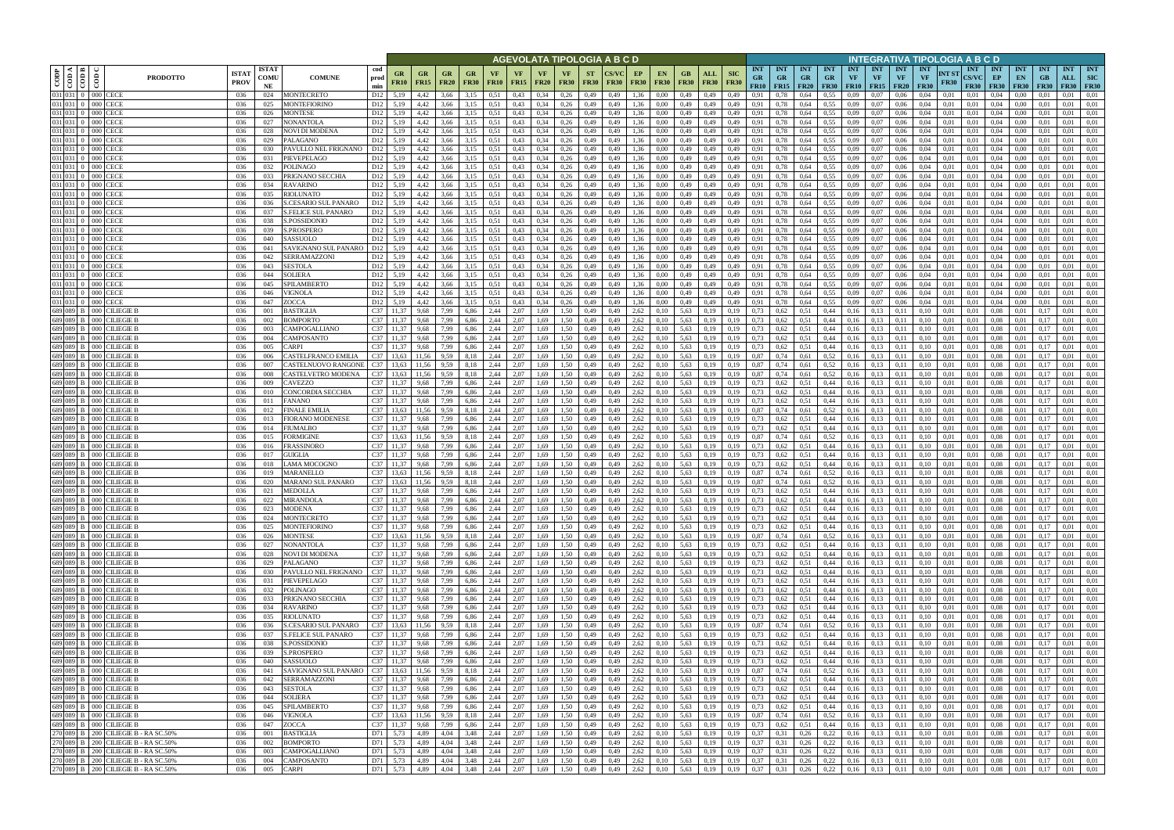|         |                                                          |                                                                  |                             |                            |                                                    |                                    |                          |                   |                   |                          |                       |                   |                   | AGEVOLATA TIPOLOGIA A B C D   |                          |              |                   |                   |                    |                            |                           |                                        |                                          |                   |                                        |                  |                                             |                                        |                             |                       | NTEGRATIVA TIPOLOGIA A B C D              |                            |                                 |                                 |                                       |                   |
|---------|----------------------------------------------------------|------------------------------------------------------------------|-----------------------------|----------------------------|----------------------------------------------------|------------------------------------|--------------------------|-------------------|-------------------|--------------------------|-----------------------|-------------------|-------------------|-------------------------------|--------------------------|--------------|-------------------|-------------------|--------------------|----------------------------|---------------------------|----------------------------------------|------------------------------------------|-------------------|----------------------------------------|------------------|---------------------------------------------|----------------------------------------|-----------------------------|-----------------------|-------------------------------------------|----------------------------|---------------------------------|---------------------------------|---------------------------------------|-------------------|
| CODP    | $\leq$ $\leq$ $\leq$<br>$\overline{5}$<br>$\overline{c}$ | $\overline{\text{co}}$<br><b>PRODOTTO</b>                        | <b>ISTA1</b><br><b>PROV</b> | <b>ISTAT</b><br>COMU<br>NE | <b>COMUNE</b>                                      | cod<br>prod<br>min                 | <b>GR</b><br><b>FR10</b> | GR<br><b>FR15</b> | <b>GR</b><br>FR20 | <b>GR</b><br><b>FR30</b> | VF<br><b>FR10</b>     | VF<br><b>FR15</b> | VF<br><b>FR20</b> | <b>VF</b><br><b>FR30</b>      | <b>ST</b><br><b>FR30</b> | <b>FR30</b>  | EP<br><b>FR30</b> | EN<br><b>FR30</b> | GB.<br><b>FR30</b> | ALL<br><b>FR30</b>         | <b>SIC</b><br><b>FR30</b> | <b>INT</b><br><b>GR</b><br><b>FR10</b> | <b>INT</b><br><b>GR</b><br>$FR15$ $FR20$ | <b>INT</b><br>GR. | <b>INT</b><br><b>GR</b><br><b>FR30</b> | <b>INT</b><br>VF | <b>INT</b><br><b>VF</b><br><b>FR10 FR15</b> | <b>INT</b><br><b>VF</b><br><b>FR20</b> | <b>INT</b><br>VF            | INT ST<br><b>FR30</b> | <b>INT</b><br><b>CS/VC</b><br><b>FR30</b> | INT<br>EP<br><b>FR30</b>   | <b>INT</b><br>EN<br><b>FR30</b> | <b>INT</b><br>GB<br><b>FR30</b> | <b>INT</b><br>ALL<br><b>FR30 FR30</b> | <b>INT</b><br>SIC |
|         |                                                          | 031 031 0 000 CECE                                               | 036                         | 024                        | MONTECRETO                                         | D <sub>12</sub>                    | 5,19                     | 4,42              | 3,66              | 3.15                     | 0,51                  | 0,43              | 0,34              | 0,26                          | 0,49                     | 0,49         | 1,36              | 0,00              | 0,49               | 0,49                       | 0,49                      | 0.91                                   | 0.78                                     | 0,64              | 0,55                                   | 0.09             | 0.07                                        | 0,06                                   | 0.04                        | 0,01                  | 0.01                                      | 0.04                       | 0.00                            |                                 | 0.01                                  | 0,01              |
|         |                                                          | 031 031 0 000 CECE<br>031 031 0 000 CECE                         | 036<br>036                  | 025<br>026                 | MONTEFIORINO<br>MONTESE                            | D <sub>12</sub><br>D <sub>12</sub> | 5,19<br>5,19             | 4,42<br>4,42      | 3,66<br>3,66      | 3,15<br>3,15             | 0,51<br>0,51          | 0,43<br>0,43      | 0,34<br>0,34      | 0,26<br>0,26                  | 0,49<br>0,49             | 0,49<br>0,49 | 1,36<br>1,36      | 0,00<br>0,00      | 0,49<br>0,49       | 0,49<br>0,49               | 0,49<br>0,49              | 0,91<br>0,91                           | 0,78<br>0,78                             | 0,64<br>0,64      | 0,55<br>0.55                           | 0,09<br>0.09     | 0,07<br>0,07                                | 0,06<br>0,06                           | 0,04<br>0,04                | 0,01<br>0,01          | 0,01<br>0,01                              | 0,04<br>0,04               | 0,00<br>0,00                    | 0,01<br>0,01                    | 0.01<br>0,01                          | 0,01<br>0,01      |
|         |                                                          | 031 031 0 000 CECE                                               | 036                         | 027                        | <b>NONANTOLA</b>                                   | D <sub>12</sub>                    | 5,19                     | 4,42              | 3.66              | 3,15                     | 0,51                  | 0,43              | 0,34              | 0,26                          | 0,49                     | 0.49         | 1,36              | 0.00              | 0,49               | 0,49                       | 0,49                      | 0,91                                   | 0,78                                     | 0,64              | 0.55                                   | 0.09             | 0.07                                        | 0,06                                   | 0.04                        | 0,01                  | 0.01                                      | 0.04                       | 0.00                            | 0.01                            | 0,01                                  | 0,01              |
|         |                                                          | 031 031 0 000 CECE                                               | 036                         | 028                        | NOVI DI MODENA                                     | D <sub>12</sub>                    | 5,19                     | 4,42              | 3.66              | 3,15                     | 0,51                  | 0,43              | 0,34              | 0,26                          | 0,49                     | 0.49         | 1,36              | 0.00              | 0,49               | 0,49                       | 0,49                      | 0,91                                   | 0.78                                     | 0,64              | 0.55                                   | 0.09             | 0.07                                        | 0.06                                   | 0.04                        | 0.01                  | 0.01                                      | 0.04                       | 0.00                            | 0.01                            | 0.01                                  | 0,01              |
|         |                                                          | 031 031 0 000 CECE                                               | 036                         | 029                        | PALAGANO                                           | D <sub>12</sub>                    | 5,19                     | 4,42              | 3.66              | 3,15                     | 0,51                  | 0,43              | 0,34              | 0,26                          | 0,49                     | 0.49         | 1,36              | 0,00              | 0,49               | 0,49                       | 0,49                      | 0,91                                   | 0,78                                     | 0,64              | 0.55                                   | 0.09             | 0,07                                        | 0,06                                   | 0,04                        | 0,01                  | 0,01                                      | 0,04                       | 0,00                            | 0.01                            | 0,01                                  | 0,01              |
|         |                                                          | 031 031 0 000 CECE                                               | 036                         | 030                        | PAVULLO NEL FRIGNANO                               | D12                                | 5,19                     | 4,42              | 3.66              | 3,15                     | 0.51                  | 0,43              | 0,34              | 0,26                          | 0,49                     | 0.49         | 1,36              | 0.00              | 0,49               | 0,49                       | 0,49                      | 0,91                                   | 0,78                                     | 0,64              | 0.55                                   | 0.09             | 0.07                                        | 0.06                                   | 0.04                        | 0.01                  | 0.01                                      | 0.04                       | 0.00                            | 0.01                            | 0.01                                  | 0,01              |
|         |                                                          | 031 031 0 000 CECE<br>031 031 0 000 CECE                         | 036<br>036                  | 031<br>032                 | PIEVEPELAGO<br><b>POLINAGO</b>                     | D <sub>12</sub><br>D <sub>12</sub> | 5,19<br>5,19             | 4,42<br>4,42      | 3.66<br>3,66      | 3,15<br>3,15             | 0,51<br>0.51          | 0,43<br>0,43      | 0,34<br>0,34      | 0,26<br>0,26                  | 0,49<br>0,49             | 0.49<br>0,49 | 1,36<br>1,36      | 0.00<br>0,00      | 0,49<br>0,49       | 0,49<br>0,49               | 0,49<br>0,49              | 0,91<br>0,91                           | 0,78<br>0,78                             | 0,64<br>0,64      | 0.55<br>0.55                           | 0,09<br>0,09     | 0.07<br>0,07                                | 0,06<br>0,06                           | 0.04<br>0,04                | 0,01<br>0,01          | 0.01<br>0.01                              | 0,04<br>0,04               | $0.00\,$<br>$0.00\,$            | 0.01<br>0.01                    | 0,01<br>0.01                          | 0,01<br>0,01      |
|         |                                                          | 031 031 0 000 CECE                                               | 036                         | 033                        | PRIGNANO SECCHIA                                   | D <sub>12</sub>                    | 5,19                     | 4,42              | 3,66              | 3,15                     | 0,51                  | 0,43              | 0,34              | 0,26                          | 0,49                     | 0,49         | 1,36              | 0,00              | 0,49               | 0,49                       | 0,49                      | 0,91                                   | 0,78                                     | 0,64              | 0.55                                   | 0,09             | 0,07                                        | 0,06                                   | 0,04                        | 0,01                  | 0,01                                      | 0,04                       | 0,00                            | 0,01                            | 0.01                                  | 0,01              |
|         |                                                          | 031 031 0 000 CECE                                               | 036                         | 034                        | <b>RAVARINO</b>                                    | D <sub>12</sub>                    | 5,19                     | 4,42              | 3,66              | 3,15                     | 0,51                  | 0,43              | 0,34              | 0,26                          | 0,49                     | 0,49         | 1,36              | 0,00              | 0,49               | 0,49                       | 0,49                      | 0,91                                   | 0,78                                     | 0,64              | 0.55                                   | 0,09             | 0,07                                        | 0,06                                   | 0,04                        | 0,01                  | 0.01                                      | 0,04                       | 0,00                            | 0,01                            | 0,01                                  | 0,01              |
|         |                                                          | 031 031 0 000 CECE                                               | 036                         | 035                        | RIOLUNATO                                          | D <sub>12</sub>                    | 5,19                     | 4,42              | 3,66              | 3,15                     | 0,51                  | 0,43              | 0,34              | 0,26                          | 0,49                     | 0,49         | 1,36              | 0,00              | 0,49               | 0,49                       | 0,49                      | 0,91                                   | 0,78                                     | 0,64              | 0,55                                   | 0,09             | 0,07                                        | 0,06                                   | 0,04                        | 0,01                  | 0,01                                      | 0,04                       | 0,00                            | 0,01                            | 0,01                                  | 0,01              |
|         |                                                          | 031 031 0 000 CECE                                               | 036                         | 036                        | S.CESARIO SUL PANARO                               | D <sub>12</sub>                    | 5,19                     | 4,42              | 3,66              | 3,15                     | 0.51                  | 0,43              | 0,34              | 0,26                          | 0,49                     | 0,49         | 1,36              | 0,00              | 0,49               | 0,49                       | 0,49                      | 0,91                                   | 0,78                                     | 0,64              | 0.55                                   | 0,09             | 0,07                                        | 0,06                                   | 0,04                        | 0,01                  | 0,01                                      | 0,04                       | 0,00                            | 0,01                            | 0,01                                  | 0,01              |
|         |                                                          | 031 031 0 000 CECE<br>031 031 0 000 CECE                         | 036<br>036                  | 037<br>038                 | S.FELICE SUL PANARO<br>S.POSSIDONIO                | D <sub>12</sub><br>D12             | 5,19<br>5,19             | 4,42<br>4,42      | 3,66<br>3,66      | 3,15<br>3,15             | 0,51<br>0,51          | 0,43<br>0,43      | 0,34<br>0,34      | 0,26<br>0,26                  | 0,49<br>0,49             | 0,49<br>0,49 | 1,36<br>1,36      | 0,00<br>0,00      | 0,49<br>0,49       | 0,49<br>0,49               | 0,49<br>0,49              | 0,91<br>0,91                           | 0,78<br>0,78                             | 0,64<br>0,64      | 0.55<br>0.55                           | 0,09<br>0,09     | 0,07<br>0,07                                | 0,06<br>0,06                           | 0,04<br>0,04                | 0,01<br>0,01          | 0,01<br>0.01                              | 0,04<br>0,04               | 0,00<br>0,00                    | 0,01<br>0,01                    | 0,01<br>0,01                          | 0,01<br>0,01      |
|         |                                                          | 031 031 0 000 CECE                                               | 036                         | 039                        | <b>S.PROSPERO</b>                                  | D <sub>12</sub>                    | 5.19                     | 4.42              | 3.66              | 3,15                     | 0,51                  | 0,43              | 0,34              | 0,26                          | 0,49                     | 0.49         | 1,36              | 0.00              | 0,49               | 0,49                       | 0.49                      | 0,91                                   | 0.78                                     | 0,64              | 0,55                                   | 0.09             | 0,07                                        | 0,06                                   | 0.04                        | 0.01                  | 0.01                                      | 0,04                       | 0.00                            | 0.01                            | 0,01                                  | 0,01              |
|         |                                                          | 031 031 0 000 CECE                                               | 036                         | 040                        | SASSUOLO                                           | D <sub>12</sub>                    | 5.19                     | 4.42              | 3.66              | 3,15                     | 0,51                  | 0,43              | 0,34              | 0,26                          | 0,49                     | 0.49         | 1,36              | 0.00              | 0,49               | 0,49                       | 0,49                      | 0,91                                   | 0.78                                     | 0,64              | 0.55                                   | 0.09             | 0,07                                        | 0,06                                   | 0.04                        | 0.01                  | 0.01                                      | 0,04                       | 0.00                            | 0.01                            | 0,01                                  | 0,01              |
|         |                                                          | 031 031 0 000 CECE                                               | 036                         | 041                        | SAVIGNANO SUL PANARO                               | D <sub>12</sub>                    | 5,19                     | 4,42              | 3,66              | 3,15                     | 0,51                  | 0,43              | 0,34              | 0,26                          | 0,49                     | 0.49         | 1,36              | 0,00              | 0,49               | 0,49                       | 0,49                      | 0,91                                   | 0,78                                     | 0,64              | 0,55                                   | 0.09             | 0,07                                        | 0,06                                   | 0,04                        | 0,01                  | 0.01                                      | 0,04                       | 0,00                            | 0.01                            | 0,01                                  | 0,01              |
|         |                                                          | 031 031 0 000 CECE<br>031 031 0 000 CECE                         | 036<br>036                  | 042<br>043                 | SERRAMAZZONI                                       | D <sub>12</sub>                    | 5,19<br>5.19             | 4,42              | 3.66<br>3.66      | 3,15                     | 0.51<br>0.51          | 0,43              | 0,34              | 0,26                          | 0,49                     | 0,49         | 1.36<br>1.36      | 0.00              | 0,49               | 0,49                       | 0,49                      | 0,91                                   | 0.78                                     | 0,64              | 0,55                                   | 0.09             | 0,07<br>0.07                                | 0,06                                   | 0,04<br>0.04                | 0.01                  | 0.01                                      | 0.04                       | 0.00                            | 0.01                            | 0,01<br>0.01                          | 0.01<br>0.01      |
|         |                                                          | 031 031 0 000 CECE                                               | 036                         | 044                        | SESTOLA<br><b>SOLIERA</b>                          | D <sub>12</sub><br>D <sub>12</sub> | 5,19                     | 4,42<br>4,42      | 3.66              | 3,15<br>3,15             | 0,51                  | 0,43<br>0,43      | 0,34<br>0,34      | 0,26<br>0,26                  | 0,49<br>0,49             | 0.49<br>0,49 | 1,36              | 0.00<br>0,00      | 0,49<br>0,49       | 0,49<br>0,49               | 0.49<br>0,49              | 0,91<br>0,91                           | 0.78<br>0,78                             | 0,64<br>0,64      | 0,55<br>0,55                           | 0.09<br>0,09     | 0,07                                        | 0.06<br>0,06                           | 0,04                        | 0.01<br>0,01          | 0.01<br>0.01                              | 0,04<br>0,04               | 0.00<br>0,00                    | 0.01<br>0,01                    | 0,01                                  | 0,01              |
| 031 031 |                                                          | 0 000 CECE                                                       | 036                         | 045                        | SPILAMBERTO                                        | D <sub>12</sub>                    | 5.19                     | 4,42              | 3.66              | 3,15                     | 0,51                  | 0,43              | 0,34              | 0,26                          | 0,49                     | 0,49         | 1,36              | 0,00              | 0,49               | 0,49                       | 0,49                      | 0.91                                   | 0.78                                     | 0,64              | 0.55                                   | 0.09             | 0,07                                        | 0,06                                   | 0.04                        | 0.01                  | 0,01                                      | 0,04                       | 0.00                            | 0,01                            | 0.01                                  | 0,01              |
|         |                                                          | 031 031 0 000 CECE                                               | 036                         | 046                        | VIGNOLA                                            | D <sub>12</sub>                    | 5,19                     | 4,42              | 3,66              | 3,15                     | 0,51                  | 0,43              | 0,34              | 0,26                          | 0,49                     | 0,49         | 1,36              | 0,00              | 0,49               | 0,49                       | 0,49                      | 0,91                                   | 0,78                                     | 0,64              | 0.55                                   | 0.09             | 0,07                                        | 0,06                                   | 0,04                        | 0,01                  | 0,01                                      | 0,04                       | $0.00\,$                        | 0,01                            | 0,01                                  | 0,01              |
|         |                                                          | 031 031 0 000 CECE                                               | 036                         | 047                        | ZOCCA                                              | D <sub>12</sub>                    | 5,19                     | 4,42              | 3,66              | 3,15                     | 0.51                  | 0,43              | 0,34              | 0,26                          | 0,49                     | 0.49         | 1,36              | 0,00              | 0,49               | 0,49                       | 0,49                      | 0.91                                   | 0.78                                     | 0,64              | 0,55                                   | 0.09             | 0,07                                        | 0,06                                   | 0.04                        | 0.01                  | 0.01                                      | 0,04                       | 0,00                            | 0,01                            | 0.01                                  | 0,01              |
|         |                                                          | 689 089 B 000 CILIEGIE B<br>689 089 B 000 CILIEGIE B             | 036<br>036                  | 001<br>002                 | <b>BASTIGLIA</b><br>BOMPORTO                       | C <sub>37</sub><br>C37             | 11.37                    | 9,68<br>9.68      | 7.99<br>7.99      | 6,86<br>6,86             | 2,44<br>2,44          | 2,07<br>2.07      | 1,69<br>.69       | 1.50<br>1.50                  | 0,49<br>0,49             | 0.49<br>0.49 | 2,62<br>2,62      | 0.10<br>0.10      | 5,63<br>5,63       | 0,19<br>0,19               |                           | 0,73<br>0.73                           | 0,62<br>0.62                             | 0,51<br>0,51      | 0,44<br>0,44                           | 0,16<br>0,16     | 0,13<br>0,13                                | 0,11                                   | 0.10<br>0.10                | 0.01<br>0.01          | 0.01<br>0.01                              | 0.08<br>0.08               | 0.01<br>0.01                    | $0.1^{\circ}$                   | 0,01<br>0.01                          | 0,01<br>0.01      |
|         |                                                          | 689 089 B 000 CILIEGIE B                                         | 036                         | 003                        | CAMPOGALLIANO                                      | C37                                | 11,37                    | 9,68              | 7,99              | 6,86                     | 2,44                  | 2,07              | 1,69              | 1,50                          | 0,49                     | 0,49         | 2,62              | 0,10              | 5,63               | 0,19                       | 0,19                      | 0,73                                   | 0,62                                     | 0,51              | 0,44                                   | 0,16             | 0,13                                        | 0,11                                   | 0,10                        | 0,01                  | 0,01                                      | 0,08                       | 0,01                            | 0,17                            | 0,01                                  | 0,01              |
|         |                                                          | 689 089 B 000 CILIEGIE B                                         | 036                         | 004                        | CAMPOSANTO                                         | C37 11,37                          |                          | 9.68              | 7,99              | 6,86                     | 2,44                  | 2.07              | 1,69              | 1.50                          | 0,49                     | 0.49         | 2,62              | 0.10              | 5,63               | 0,19                       | 0.19                      | 0,73                                   | 0,62                                     | 0,51              | 0,44                                   | 0,16             | 0,13                                        | 0.11                                   | 0.10                        | 0.01                  | 0.01                                      | 0.08                       | 0,01                            | 0.17                            | 0.01                                  | 0,01              |
|         |                                                          | 689 089 B 000 CILIEGIE B                                         | 036                         | 005                        | CARPI                                              | C37                                | 11.37                    | 9.68              | 7.99              | 6,86                     | 2,44                  | 2,07              | 1,69              | 1.50                          | 0,49                     | 0.49         | 2,62              | 0.10              | 5,63               | 0,19                       | 0,19                      | 0,73                                   | 0,62                                     | 0,51              | 0,44                                   | 0,16             | 0,13                                        | 0,11                                   | 0,10                        | 0,01                  | 0.01                                      | 0.08                       | 0,01                            | 0.17                            | 0,01                                  | 0,01              |
|         |                                                          | 689 089 B 000 CILIEGIE B                                         | 036                         | 006                        | CASTELFRANCO EMILIA                                | C37                                | 13,63                    | 11.56             | 9.59              | 8,18                     | 2,44                  | 2,07              | 1,69              | 1,50                          | 0,49                     | 0.49         | 2,62              | 0,10              | 5,63               | 0,19                       | 0.19                      | 0,87                                   | 0,74                                     | 0,61              | 0,52                                   | 0,16             | 0,13                                        | 0,11                                   | 0.10                        | 0.01                  | 0.01                                      | 0.08                       | 0.01                            | 0.17                            | 0.01                                  | 0,01              |
|         |                                                          | 689 089 B 000 CILIEGIE B<br>689 089 B 000 CILIEGIE B             | 036<br>036                  | 007<br>008                 | CASTELNUOVO RANGONE<br>CASTELVETRO MODENA          | C37<br>C37                         | 13,63<br>13,63           | 11,56<br>11.56    | 9.59<br>9,59      | 8,18<br>8,18             | 2,44<br>2,44          | 2,07<br>2,07      | 1,69<br>1,69      | 1.50<br>1.50                  | 0,49<br>0,49             | 0.49<br>0.49 | 2,62<br>2,62      | 0.10<br>0,10      | 5,63<br>5,63       | 0,19<br>0,19               | 0,19<br>0,19              | 0,87<br>0,87                           | 0,74<br>0,74                             | 0,61<br>0,61      | 0,52<br>0,52                           | 0,16<br>0,16     | 0,13<br>0,13                                | 0.11<br>0,11                           | 0.10<br>0.10                | 0.01<br>0.01          | 0.01<br>0.01                              | 0.08<br>0.08               | 0.01<br>0.01                    | 0.17<br>0.17                    | 0.01<br>0.01                          | 0,01<br>0,01      |
|         |                                                          | 689 089 B 000 CILIEGIE B                                         | 036                         | 009                        | CAVEZZO                                            | C37                                | 11,37                    | 9,68              | 7.99              | 6,86                     | 2,44                  | 2,07              | 1,69              | 1,50                          | 0,49                     | 0,49         | 2,62              | 0,10              | 5,63               | 0,19                       | 0,19                      | 0,73                                   | 0,62                                     | 0,51              | 0,44                                   | 0,16             | 0,13                                        | 0,11                                   | 0,10                        | 0,01                  | 0,01                                      | 0,08                       | 0,01                            | 0,17                            | 0,01                                  | 0,01              |
|         | 689 089 B 000                                            | <b>CILIEGIE B</b>                                                | 036                         | 010                        | CONCORDIA SECCHIA                                  | C37                                | 11,37                    | 9,68              | 7,99              | 6,86                     | 2,44                  | 2,07              | 1,69              | 1.50                          | 0,49                     | 0,49         | 2,62              | 0,10              | 5,63               | 0,19                       | 0,19                      | 0,73                                   | 0,62                                     | 0.51              | 0,44                                   | 0,16             | 0,13                                        | 0,11                                   | 0.10                        | 0,01                  | 0.01                                      | 0.08                       | 0,01                            | 0,17                            | 0,01                                  | 0,01              |
|         |                                                          | 689 089 B 000 CILIEGIE B                                         | 036                         | 011                        | FANANO                                             | C <sub>37</sub>                    | 11,37                    | 9,68              | 7.99              | 6,86                     | 2,44                  | 2,07              | 1,69              | 1,50                          | 0,49                     | 0,49         | 2,62              | 0,10              | 5,63               | 0,19                       | 0,19                      | 0,73                                   | 0,62                                     | 0.51              | 0,44                                   | 0,16             | 0,13                                        | 0,11                                   | 0,10                        | 0,01                  | 0.01                                      | 0.08                       | 0,01                            | 0,17                            | 0,01                                  | 0,01              |
|         |                                                          | 689 089 B 000 CILIEGIE B                                         | 036                         | 012                        | FINALE EMILIA                                      | C <sub>37</sub>                    | 13,63                    | 11,56             | 9,59              | 8,18                     | 2,44                  | 2,07              | 1,69              | 1,50                          | 0,49                     | 0,49         | 2,62              | 0,10              | 5,63               | 0,19                       | 0,19                      | 0,87                                   | 0,74                                     | 0,61              | 0,52                                   | 0,16             | 0,13                                        | 0,11                                   | 0,10                        | 0,01                  | 0,01                                      | 0.08                       | 0,01                            | 0,17                            | 0,01                                  | 0,01              |
|         |                                                          | 689 089 B 000 CILIEGIE B<br>689 089 B 000 CILIEGIE B             | 036<br>036                  | 013<br>014                 | FIORANO MODENESE<br><b>FIUMALBO</b>                | C37<br>C37                         | 11,37<br>11,37           | 9,68<br>9.68      | 7,99<br>7,99      | 6,86<br>6,86             | 2,44<br>2,44          | 2,07<br>2,07      | 1,69<br>1,69      | 1,50<br>1,50                  | 0,49<br>0,49             | 0,49<br>0,49 | 2,62<br>2,62      | 0,10<br>0,10      | 5,63<br>5,63       | 0,19<br>0,19               | 0,19<br>0,19              | 0,73<br>0,73                           | 0,62<br>0,62                             | 0,51<br>0,51      | 0,44<br>0,44                           | 0,16<br>0,16     | 0,13<br>0,13                                | 0,11<br>0,11                           | 0,10<br>0,10                | 0,01<br>0,01          | 0,01<br>0,01                              | 0.08<br>0,08               | 0,01<br>0,01                    | 0.17<br>0,17                    | 0,01<br>0,01                          | 0,01<br>0,01      |
|         | 689 089 B 000                                            | CILIEGIE B                                                       | 036                         | 015                        | FORMIGINE                                          | C37                                | 13,63                    | 11,56             | 9,59              | 8,18                     | 2,44                  | 2,07              | 1,69              | 1,50                          | 0,49                     | 0,49         | 2,62              | 0,10              | 5,63               | 0,19                       | 0,19                      | 0,87                                   | 0,74                                     | 0,61              | 0,52                                   | 0,16             | 0,13                                        | 0,11                                   | 0,10                        | 0,01                  | 0,01                                      | 0.08                       | 0,01                            | 0,17                            | 0,01                                  | 0,01              |
|         | 689 089 B 000                                            | CILIEGIE B                                                       | 036                         | 016                        | FRASSINORO                                         | C37 11.37                          |                          | 9.68              | 7,99              | 6,86                     | 2,44                  | 2,07              | 1,69              | 1.50                          | 0,49                     | 0.49         | 2,62              | 0.10              | 5,63               | 0,19                       | 0.19                      | 0,73                                   | 0,62                                     | 0,51              | 0,44                                   | 0,16             | 0,13                                        | 0,11                                   | 0.10                        | 0.01                  | 0.01                                      | 0,08                       | 0,01                            | 0.17                            | 0,01                                  | 0.01              |
|         | 689 089 B 000                                            | <b>CILIEGIE B</b>                                                | 036                         | 017                        | <b>GUIGLIA</b>                                     | C37                                | 11.37                    | 9.68              | 7.99              | 6,86                     | 2,44                  | 2,07              | 1,69              | 1,50                          | 0,49                     | 0.49         | 2,62              | 0.10              | 5,63               | 0,19                       | 0.19                      | 0,73                                   | 0,62                                     | 0,51              | 0,44                                   | 0,16             | 0,13                                        | 0.11                                   | 0.10                        | 0.01                  | 0.01                                      | 0,08                       | 0.01                            | 0.17                            | 0,01                                  | 0,01              |
|         | 689 089 B 000                                            | CILIEGIE B                                                       | 036                         | 018                        | LAMA MOCOGNO                                       | C37 11,37                          |                          | 9.68              | 7,99              | 6,86                     | 2,44                  | 2,07              | 1,69              | 1,50                          | 0,49                     | 0,49         | 2,62              | 0,10              | 5,63               | 0,19                       | 0,19                      | 0,73                                   | 0,62                                     | 0,51              | 0,44                                   | 0,16             | 0,13                                        | 0,11                                   | 0,10                        | 0,01                  | 0.01                                      | 0.08                       | 0,01                            | 0,17                            | 0,01                                  | 0,01              |
|         | 689 089 B 000                                            | CILIEGIE B<br>689 089 B 000 CILIEGIE B                           | 036<br>036                  | 019<br>020                 | MARANELLO<br>MARANO SUL PANARO                     | C37 13.63<br>$C37$ 13,63           |                          | 11.56<br>11.56    | 9.59<br>9,59      | 8.18<br>8,18             | 2.44<br>2,44          | 2.07<br>2,07      | 1.69<br>1,69      | 1.50<br>1,50                  | 0.49<br>0,49             | 0.49<br>0,49 | 2,62<br>2,62      | 0.10<br>0,10      | 5.63<br>5,63       | 0.19<br>0,19               | 0.19<br>0,19              | 0,87<br>0,87                           | 0,74<br>0,74                             | 0.61<br>0,61      | 0,52<br>0,52                           | 0,16<br>0,16     | 0,13<br>0,13                                | 0.11<br>0,11                           | 0.10<br>0,10                | 0.01<br>0,01          | 0.01<br>0.01                              | 0.08<br>0.08               | 0.01<br>0.01                    | 0.17<br>0.17                    | 0.01<br>0,01                          | 0.01<br>0,01      |
|         |                                                          | 689 089 B 000 CILIEGIE B                                         | 036                         | 021                        | <b>MEDOLLA</b>                                     | C37 11,37                          |                          | 9,68              | 7,99              | 6,86                     | 2,44                  | 2,07              | 1,69              | 1,50                          | 0,49                     | 0.49         | 2,62              | 0.10              |                    | 5,63 0,19                  | 0,19                      | 0,73                                   | 0,62                                     | 0,51              | 0,44                                   | 0,16             | 0,13                                        | 0,11                                   | 0,10                        | 0.01                  | 0.01                                      | 0.08                       | 0.01                            | 0.17                            | 0.01                                  | 0,01              |
|         |                                                          | 689 089 B 000 CILIEGIE B                                         | 036                         | 022                        | <b>MIRANDOLA</b>                                   | C37 11,37                          |                          | 9,68              | 7,99              | 6,86                     | 2,44                  | 2,07              | 1,69              | 1,50                          | 0,49                     | 0,49         | 2,62              | 0,10              | 5,63               | 0,19                       | 0,19                      | 0,73                                   | 0,62                                     | 0,51              | 0,44                                   | 0,16             | 0,13                                        | 0,11                                   | 0,10                        | 0,01                  | 0,01                                      | 0.08                       | 0,01                            | 0,17                            | 0.01                                  | 0,01              |
|         |                                                          | 689 089 B 000 CILIEGIE B                                         | 036                         | 023                        | <b>MODENA</b>                                      | C37 11,37                          |                          | 9,68              | 7.99              | 6,86                     | 2,44                  | 2,07              | 1,69              | 1,50                          | 0,49                     | 0,49         | 2,62              | 0,10              | 5,63               | 0,19                       | 0,19                      | 0,73                                   | 0,62                                     | 0,51              | 0,44                                   | 0,16             | 0,13                                        | 0,11                                   | 0,10                        | 0,01                  | 0,01                                      | 0.08                       | 0.01                            | 0,17                            | 0,01                                  | 0,01              |
|         |                                                          | 689 089 B 000 CILIEGIE B<br>689 089 B 000 CILIEGIE B             | 036                         | 024                        | <b>MONTECRETO</b><br><b>MONTEFIORINO</b>           | C37 11,37                          |                          | 9,68              | 7,99              | 6,86                     | 2,44                  | 2,07              | 1,69              | 1,50                          | 0,49                     | 0,49         | 2,62              | 0,10              |                    | 5,63 0,19                  | 0,19                      | 0,73                                   | $0,62$ 0.51                              |                   | 0,44                                   | 0,16             | 0,13                                        | 0,11                                   | 0,10                        | 0,01                  | 0,01                                      | 0,08                       | 0,01                            | 0,17                            | 0,01                                  | 0,01              |
|         |                                                          | 689 089 B 000 CILIEGIE B                                         | 036<br>036                  | 025<br>026                 | MONTESE                                            | C37 11,37<br>C37 13,63             |                          | 9,68<br>11,56     | 7,99<br>9,59      | 6,86 2,44<br>8,18 2,44   |                       | 2,07<br>2,07      | 1,69              | 1,69 1,50<br>1,50             | 0,49<br>0,49             | 0,49<br>0,49 | 2,62<br>2,62      | 0,10<br>0,10      |                    | 5,63 0,19<br>5,63 0,19     | 0,19<br>0,19              | 0,73<br>0,87                           | 0,62<br>0,74                             | 0,51<br>0,61      | 0,44<br>0,52                           | 0,16<br>0,16     | 0,13<br>0,13                                | 0,11<br>0,11                           | 0,10<br>0,10                | 0,01<br>0,01          | 0,01<br>0,01                              | 0.08<br>0.08               | 0,01<br>0,01                    | 0,17<br>0,17                    | 0.01<br>0,01                          | 0,01<br>0,01      |
|         |                                                          | 689 089 B 000 CILIEGIE B                                         | 036                         | 027                        | <b>NONANTOLA</b>                                   | C37 11,37                          |                          | 9,68              | 7,99              | 6,86 2,44                |                       | 2,07              | 1,69              | 1,50                          | 0,49                     | 0,49         | 2,62              | 0,10              |                    | 5,63 0,19                  | 0,19                      | 0,73                                   | 0,62                                     | 0,51              | 0,44                                   | 0,16             | 0,13                                        | 0,11                                   | 0,10                        | 0,01                  | 0,01                                      | 0,08                       | 0,01                            | 0,17                            | 0.01                                  | 0,01              |
|         |                                                          | 689 089 B 000 CILIEGIE B                                         | 036                         | 028                        | <b>NOVI DI MODENA</b>                              | C37 11,37                          |                          | 9,68              | 7,99              | 6,86 2,44                |                       | 2,07              |                   | 1,69 1,50                     | 0,49                     | 0,49         | 2,62              | 0,10              |                    | 5,63 0,19                  | 0,19                      | 0,73                                   | $0,62$ $0,51$                            |                   | 0,44                                   | 0,16             | 0,13                                        | 0,11                                   | 0,10                        | 0,01                  | 0.01                                      | $0.08$ 0.01                |                                 | 0,17                            |                                       | $0,01$ $0,01$     |
|         |                                                          | 689 089 B 000 CILIEGIE B                                         | 036                         | 029                        | <b>PALAGANO</b>                                    | C37 11,37                          |                          | 9,68 7,99         |                   | 6,86 2,44                |                       | 2,07              |                   | 1,69 1,50                     | 0,49                     | 0,49         | 2,62              | 0,10              |                    | 5,63 0,19                  |                           | $0,19$ $0,73$                          | $0,62$ $0,51$                            |                   | 0,44                                   | 0,16             | 0,13                                        | 0,11                                   | 0,10                        | 0,01                  | 0.01                                      | 0.08                       | 0,01                            | 0,17                            |                                       | $0,01$ $0,01$     |
|         |                                                          | 689 089 B 000 CILIEGIE B<br>689 089 B 000 CILIEGIE B             | 036<br>036                  | 030<br>031                 | PAVULLO NEL FRIGNANO<br>PIEVEPELAGO                | C37 11,37<br>C37 11,37             |                          | 9,68<br>9,68      | 7,99<br>7,99      | 6,86 2,44<br>6,86 2,44   |                       | 2,07<br>2,07      | 1,69              | 1,69 1,50<br>1,50             | 0,49<br>0,49             | 0,49<br>0,49 | 2,62<br>2,62      | 0,10<br>0,10      |                    | 5,63 0,19<br>5,63 0,19     | 0,19<br>0,19              | 0,73<br>0,73                           | $0,62$ $0,51$<br>0,62                    | 0,51              | 0,44<br>0,44                           | 0,16<br>0,16     | 0,13<br>0,13                                | 0,11<br>0,11                           | 0,10<br>0,10                | 0,01<br>0,01          | 0,01<br>0,01                              | $0,08$ 0.01<br>0,08        | 0,01                            | 0,17<br>0,17                    | $0,01$ 0.01<br>0,01                   | 0,01              |
|         |                                                          | 689 089 B 000 CILIEGIE B                                         | 036                         | 032                        | POLINAGO                                           | $C37$ 11,37                        |                          | 9,68              | 7,99              | 6,86 2,44                |                       | 2,07              | 1,69              | 1,50                          | 0,49                     | 0,49         | 2,62              | 0,10              |                    | 5,63 0,19                  | 0,19                      | 0,73                                   | 0,62                                     | 0,51              | 0,44                                   | 0,16             | 0,13                                        | 0,11                                   | 0,10                        | 0,01                  | 0,01                                      | 0,08                       | 0,01                            | 0,17                            | 0,01                                  | 0,01              |
|         |                                                          | 689 089 B 000 CILIEGIE B                                         | 036                         | 033                        | PRIGNANO SECCHIA                                   | C37 11,37                          |                          | 9,68              | 7,99              | 6,86 2,44                |                       | 2,07              |                   | 1,69 1,50                     | 0,49                     | 0,49         | 2,62              | 0,10              |                    | 5,63 0,19                  | 0,19                      | 0,73                                   | 0,62                                     | 0,51              | 0,44                                   | 0,16             | 0,13                                        | 0,11                                   | 0,10                        | 0,01                  | 0,01                                      | $0,08$ 0.01                |                                 | 0,17                            | 0.01                                  | 0,01              |
|         |                                                          | 689 089 B 000 CILIEGIE B                                         | 036                         | 034                        | <b>RAVARINO</b>                                    | C37 11,37                          |                          | 9,68              | 7,99              | 6,86 2,44                |                       | 2,07              |                   | 1,69 1,50                     | 0,49                     | 0,49         | 2,62              | 0,10              |                    | 5,63 0,19                  | 0,19                      | 0,73                                   | 0,62                                     | 0,51              | 0,44                                   | 0,16             | 0,13                                        | 0,11                                   | 0,10                        | 0,01                  | 0,01                                      | $0,08$ 0.01                |                                 | 0,17                            | 0,01                                  | 0,01              |
|         |                                                          | 689 089 B 000 CILIEGIE B<br>689 089 B 000 CILIEGIE B             | 036<br>036                  | 035<br>036                 | <b>RIOLUNATO</b><br>S.CESARIO SUL PANARO           | C37 11,37<br>C37 13,63             |                          | 9,68<br>11,56     | 7,99<br>9,59      | 6,86 2,44<br>8,18 2,44   |                       | 2,07<br>2,07      |                   | 1,69 1,50<br>1,69 1,50        | 0,49<br>0,49             | 0,49<br>0,49 | 2,62<br>2,62      | 0,10<br>0,10      |                    | 5,63 0,19<br>5,63 0,19     | 0,19<br>0,19              | 0,73<br>0,87                           | 0,62<br>$0,74$ 0.61                      | 0,51              | 0,44<br>0,52                           | 0,16<br>0,16     | 0,13<br>0,13                                | 0,11<br>0,11                           | 0,10<br>0,10                | 0,01<br>0,01          | 0,01<br>0,01                              | $0,08$ 0.01<br>0,08        | 0,01                            | 0,17<br>0,17                    | 0,01<br>0,01                          | 0,01<br>0,01      |
|         |                                                          | 689 089 B 000 CILIEGIE B                                         | 036                         | 037                        | <b>S.FELICE SUL PANARO</b>                         | C37 11,37                          |                          | 9,68              | 7,99              | 6,86 2,44                |                       | 2,07              |                   | 1,69 1,50                     | 0,49                     | 0,49         | 2,62              | 0,10              |                    | 5,63 0,19                  | 0,19                      | 0,73                                   | $0,62$ $0,51$                            |                   | 0,44                                   | 0,16             | 0,13                                        | 0,11                                   | 0,10                        | 0,01                  | 0,01                                      | $0.08$ 0.01                |                                 | 0,17                            | 0,01                                  | 0,01              |
|         |                                                          | 689 089 B 000 CILIEGIE B                                         | 036                         | 038                        | S.POSSIDONIO                                       | C37 11,37                          |                          | 9,68              | 7,99              | 6,86 2,44                |                       | 2,07              |                   | 1,69 1,50                     | 0,49                     | 0,49         | 2,62              | 0,10              |                    | 5,63 0,19                  | 0,19                      | 0,73                                   | $0,62$ 0.51                              |                   | 0,44                                   | 0,16             | 0,13                                        | 0,11                                   | 0,10                        | 0,01                  | 0,01                                      | $0,08$ 0.01                |                                 | 0,17                            | 0,01                                  | 0,01              |
|         |                                                          | 689 089 B 000 CILIEGIE B                                         | 036                         | 039                        | S.PROSPERO                                         | C37 11,37                          |                          | 9,68              | 7,99              | 6,86 2,44                |                       | 2,07              |                   | 1,69 1,50                     | 0,49                     | 0,49         | 2,62              | 0,10              |                    | 5,63 0,19                  | 0,19                      | 0,73                                   | $0,62$ $0,51$                            |                   | 0,44                                   | 0,16             | 0,13                                        | 0,11                                   | 0,10                        | 0,01                  | 0,01                                      | $0,08$ 0.01                |                                 | 0,17                            | 0,01                                  | 0,01              |
|         |                                                          | 689 089 B 000 CILIEGIE B                                         | 036                         | 040                        | SASSUOLO                                           | C37 11,37                          |                          | 9,68              | 7,99              | 6,86 2,44                |                       | 2,07              |                   | 1,69 1,50                     | 0,49                     | 0,49         | 2,62              | 0,10              |                    | 5,63 0,19                  | 0,19                      | 0,73                                   | $0,62$ $0,51$                            |                   | 0,44                                   |                  | $0,16$ $0,13$                               | 0,11                                   | 0,10                        | 0,01                  | 0.01                                      | $0.08$ 0.01                |                                 | 0,17                            | 0,01                                  | 0,01              |
|         |                                                          | 689 089 B 000 CILIEGIE B<br>689 089 B 000 CILIEGIE B             | 036<br>036                  | 041<br>042                 | SAVIGNANO SUL PANARO   C37   13,63<br>SERRAMAZZONI | C37 11,37                          |                          | 11,56<br>9,68     | 9,59<br>7,99      | 8,18 2,44<br>6,86 2,44   |                       | 2,07<br>2,07      |                   | 1,69 1,50<br>1,69 1,50        | 0,49<br>0,49             | 0,49<br>0,49 | 2,62<br>2,62      | 0,10<br>0,10      |                    | 5,63 0,19<br>5,63 0,19     | 0,19<br>0,19              | 0,87<br>0,73                           | $0,74$ $0,61$<br>$0,62$ $0,51$           |                   | 0,52<br>0,44                           | 0,16<br>0,16     | 0,13<br>0,13                                | 0,11<br>0,11                           | 0,10<br>0,10                | 0,01<br>0,01          | 0,01<br>0,01                              | $0.08$ 0.01<br>$0,08$ 0.01 |                                 | 0,17<br>0,17                    | 0,01<br>0,01                          | 0,01<br>0,01      |
|         |                                                          | 689 089 B 000 CILIEGIE B                                         | 036                         | 043                        | <b>SESTOLA</b>                                     | C37 11,37                          |                          | 9,68              | 7,99              | 6,86 2,44                |                       | 2,07              | 1,69              | 1,50                          | 0,49                     | 0,49         | 2,62              | 0,10              |                    | 5,63 0,19                  | 0,19                      | 0,73                                   | $0,62$ $0,51$                            |                   | 0,44                                   | 0,16             | 0,13                                        | 0,11                                   | 0,10                        | 0,01                  | 0.01                                      | $0.08$ 0.01                |                                 | 0,17                            | 0,01                                  | 0,01              |
|         |                                                          | 689 089 B 000 CILIEGIE B                                         | 036                         | 044                        | <b>SOLIERA</b>                                     | C37 11,37                          |                          | 9,68              | 7,99              | 6,86 2,44                |                       | 2,07              |                   | 1,69 1,50                     | 0,49                     | 0,49         | 2,62              | 0,10              |                    | 5,63 0,19                  | 0,19                      | 0,73                                   | $0,62$ $0,51$                            |                   | 0,44                                   | 0,16             | 0,13                                        | 0,11                                   | 0,10                        | 0,01                  | 0.01                                      | $0.08$ 0.01                |                                 | 0,17                            | 0,01                                  | 0,01              |
|         |                                                          | 689 089 B 000 CILIEGIE B                                         | 036                         | 045                        | SPILAMBERTO                                        | C37 11,37                          |                          | 9,68              | 7,99              | 6,86                     | 2,44                  | 2,07              | 1,69              | 1,50                          | 0,49                     | 0,49         | 2,62              | 0,10              |                    | $5,63$ 0,19                | 0,19                      | 0,73                                   | 0,62                                     | 0,51              | 0,44                                   | 0,16             | 0,13                                        | 0,11                                   | 0,10                        | 0,01                  | 0,01                                      | $0,08$ 0.01                |                                 | 0,17                            | 0,01                                  | 0,01              |
|         |                                                          | 689 089 B 000 CILIEGIE B                                         | 036                         | 046                        | VIGNOLA                                            | C37 13,63                          |                          | 11,56             | 9,59              | 8,18                     | 2,44                  | 2,07              | 1,69              | 1,50                          | 0,49                     | 0,49         | 2,62              | 0,10              | 5,63               | 0,19                       | 0,19                      | 0,87                                   | 0,74                                     | 0,61              | 0,52                                   | 0,16             | 0,13                                        | 0,11                                   | 0,10                        | 0,01                  | 0,01                                      | 0.08                       | 0.01                            | 0,17                            | 0,01                                  | 0,01              |
|         |                                                          | 689 089 B 000 CILIEGIE B<br>270 089 B 200 CILIEGIE B - RA SC.50% | 036<br>036                  | 047<br>001                 | ZOCCA<br><b>BASTIGLIA</b>                          | C37 11,37<br>D71 5,73              |                          | 9,68<br>4,89      | 7,99<br>4,04      | 6,86<br>3,48 2,44        | 2,44                  | 2,07<br>2,07      | 1,69              | 1,50<br>1,69 1,50             | 0,49<br>0,49             | 0,49<br>0,49 | 2,62<br>2,62      | 0,10<br>0,10      | 5,63               | 0,19<br>5,63 0,19          | 0,19<br>0,19              | 0,73<br>0,37                           | 0,62<br>0,31                             | 0,51<br>0,26      | 0,44<br>0,22                           | 0,16<br>0,16     | 0,13<br>0,13                                | 0,11<br>0,11                           | 0,10<br>0,10                | 0,01<br>0,01          | 0,01<br>0,01                              | 0,08<br>$0,08$ 0.01        | 0,01                            | 0,17<br>0,17                    | 0,01<br>0,01                          | 0,01<br>0,01      |
|         |                                                          | 270 089 B 200 CILIEGIE B - RA SC.50%                             | 036                         | 002                        | <b>BOMPORTO</b>                                    | D71 5,73                           |                          | 4,89              | 4,04              | 3,48 2,44                |                       | 2,07              |                   | 1,69 1,50                     | 0,49                     | 0,49         | 2,62              | 0,10              |                    | 5,63 0,19 0,19             |                           | 0,37                                   | $0,31$ $0,26$                            |                   | 0,22                                   | 0,16             | 0,13                                        | 0,11                                   | 0,10                        | 0,01                  | 0,01                                      |                            | $0.08$ 0.01 0.17                |                                 | 0,01                                  | 0,01              |
|         |                                                          | 270 089 B 200 CILIEGIE B - RA SC.50%                             | 036                         | 003                        | CAMPOGALLIANO                                      | D71 5,73                           |                          | 4,89              |                   | $4,04$ 3,48 2,44         |                       | 2,07              |                   | 1,69 1,50                     |                          | 0,49 0,49    | 2,62              | 0,10              |                    | 5,63 0,19 0,19 0,37        |                           |                                        | $0,31$ $0,26$                            |                   | 0,22                                   |                  | $0,16$ 0.13                                 | 0,11                                   | 0,10                        | 0,01                  | 0,01                                      | $0.08$ $0.01$ $0.17$       |                                 |                                 | 0,01                                  | 0,01              |
|         |                                                          | 270 089 B 200 CILIEGIE B - RA SC.50%                             | 036                         | 004                        | CAMPOSANTO                                         | D71 5,73                           |                          | 4,89              |                   |                          | $4,04$ 3,48 2,44 2,07 |                   |                   | 1,69 1,50                     | 0,49                     | 0,49         | 2,62              |                   |                    | $0,10$ 5,63 0,19 0,19 0,37 |                           |                                        | $0,31$ $0,26$                            |                   | 0,22                                   |                  | $0,16$ $0,13$                               | 0,11                                   | 0,10                        | 0,01                  | 0,01                                      | $0,08$ $0,01$ $0,17$       |                                 |                                 |                                       | $0,01$ $0,01$     |
|         |                                                          | 270 089 B 200 CILIEGIE B - RA SC.50%                             | 036                         | 005                        | <b>CARPI</b>                                       | D71 5,73                           |                          | 4,89              |                   |                          |                       |                   |                   | 4,04 3,48 2,44 2,07 1,69 1,50 |                          |              |                   |                   |                    |                            |                           |                                        |                                          |                   |                                        |                  |                                             |                                        | $0,16$ $0,13$ $0,11$ $0,10$ |                       | $0,01$ 0.01 0.08 0.01 0.17                |                            |                                 |                                 | $0,01$ $0,01$                         |                   |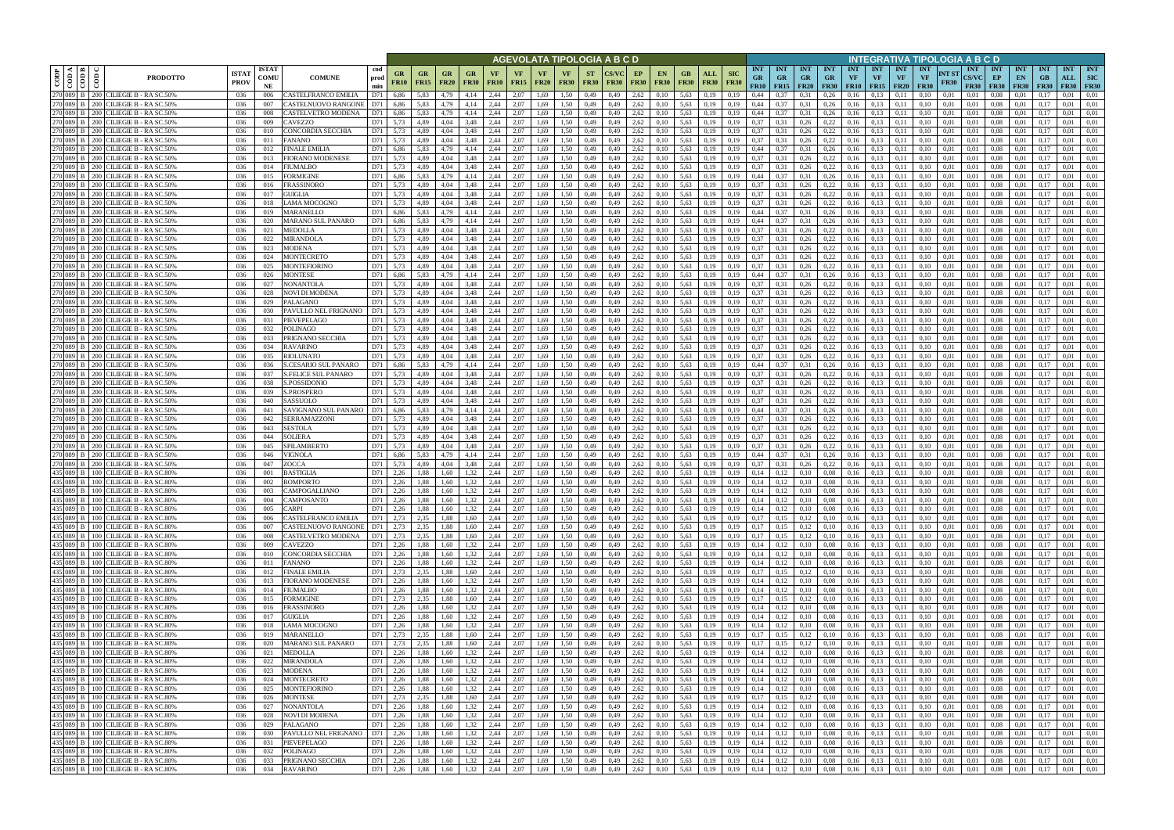|                              |                                                                              |                            |                            |                                             |                    |                                   |                          |                                |                                                  |                   |                   |                   |                                  |                          | AGEVOLATA TIPOLOGIA A B C D                                                                                        |                   |                                                          |                   |                           |                           |                                 |                                        |                                                            |                                 |                  |                                            |                                 | INTEGRATIVA TIPOLOGIA A B C D       |                      |                                           |                                 |                                          |               |                   |                                              |
|------------------------------|------------------------------------------------------------------------------|----------------------------|----------------------------|---------------------------------------------|--------------------|-----------------------------------|--------------------------|--------------------------------|--------------------------------------------------|-------------------|-------------------|-------------------|----------------------------------|--------------------------|--------------------------------------------------------------------------------------------------------------------|-------------------|----------------------------------------------------------|-------------------|---------------------------|---------------------------|---------------------------------|----------------------------------------|------------------------------------------------------------|---------------------------------|------------------|--------------------------------------------|---------------------------------|-------------------------------------|----------------------|-------------------------------------------|---------------------------------|------------------------------------------|---------------|-------------------|----------------------------------------------|
| ≺ ⊫ m<br>CODP<br>$rac{1}{2}$ | <b>PRODOTTO</b>                                                              | <b>ISTA</b><br><b>PROV</b> | <b>ISTAT</b><br>COMU<br>NE | <b>COMUNE</b>                               | cod<br>prod<br>min | GR<br><b>FR10</b>                 | <b>GR</b><br><b>FR15</b> | <b>GR</b><br><b>FR20</b>       | <b>GR</b><br><b>FR30</b>                         | VF<br><b>FR10</b> | VF<br><b>FR15</b> | VF<br><b>FR20</b> | VF<br><b>FR30</b>                | <b>ST</b><br><b>FR30</b> | <b>CS/VC</b><br><b>FR30</b>                                                                                        | EP<br><b>FR30</b> | EN.<br><b>FR30</b>                                       | GB<br><b>FR30</b> | <b>ALL</b><br><b>FR30</b> | <b>SIC</b><br><b>FR30</b> | <b>INT</b><br><b>GR</b><br>FR10 | <b>INT</b><br><b>GR</b><br>$FR15$ FR20 | <b>INT</b><br><b>GR</b>                                    | <b>INT</b><br>GR<br><b>FR30</b> | <b>INT</b><br>VF | <b>INT</b><br><b>VF</b><br>$FR10$   $FR15$ | <b>INT</b><br>VF<br><b>FR20</b> | INT<br>VF<br><b>FR30</b>            | NT ST<br><b>FR30</b> | <b>INT</b><br><b>CS/VC</b><br><b>FR30</b> | <b>INT</b><br>EP<br><b>FR30</b> | <b>INT</b><br>EN<br>$F$ R30 FR30         | <b>INT</b>    | <b>INT</b><br>ALL | <b>INT</b><br><b>SIC</b><br><b>FR30 FR30</b> |
| 270 089 B<br>270 089 B       | 200 CILIEGIE B - RA SC.50%<br>200 CILIEGIE B - RA SC.50%                     | 036<br>036                 | 006<br>007                 | CASTELFRANCO EMILIA<br>CASTELNUOVO RANGONE  | D71<br>D71         | 6.86<br>6,86                      | 5,83<br>5,83             | 4,79<br>4,79                   | 4.14<br>4,14                                     | 2,44<br>2,44      | 2.07<br>2,07      | 1.69<br>1.69      | 1.50<br>1,50                     | 0,49<br>0,49             | 0,49<br>0,49                                                                                                       | 2,62<br>2,62      | 0,10<br>0,10                                             | 5.63<br>5,63      | 0.19<br>0,19              | 0.19<br>0,19              | 0.44<br>0.44                    | 0.37                                   | 0.31<br>0,31                                               | 0.26<br>0,26                    | 0.16<br>0.16     | 0.13<br>0,13                               | 0.11<br>0,11                    | 0.10                                | 0.01<br>0.01         | 0.01<br>0,01                              | 0.08<br>0.08                    | 0.01<br>0.01                             | 0.17          | 0.01<br>0.01      | 0.01<br>0.01                                 |
| 270 089 B                    | 200 CILIEGIE B - RA SC.50%                                                   | 036                        | 008                        | CASTELVETRO MODENA                          |                    | 6,86                              | 5,83                     | 4,79                           |                                                  | 2,44              | 2,07              | 1.69              | 1,50                             | 0,49                     | 0.49                                                                                                               | 2,62              | 0,10                                                     | 5,63              | 0.19                      | 0,19                      | 0,44                            |                                        | 0,31                                                       | 0,26                            | 0.16             | 0.13                                       | 0,11                            |                                     | 0.01                 | 0,01                                      | 0.08                            | 0.01                                     |               | 0.01              | 0.01                                         |
| 270 089 B                    | 200 CILIEGIE B - RA SC.50%                                                   | 036                        | 009                        | CAVEZZO                                     | D71                | 5,73                              | 4.89                     | 4.04                           | 3,48                                             | 2,44              | 2,07              | 1,69              | 1,50                             | 0,49                     | 0,49                                                                                                               | 2,62              | 0,10                                                     | 5.63              | 0,19                      | 0,19                      | 0.37                            | 0.31                                   | 0,26                                                       | 0,22                            | 0,16             | 0.13                                       | 0,11                            | 0.10                                | 0,01                 | 0,01                                      | 0.08                            | 0,01                                     | 0.17          | 0.01              | 0.01                                         |
| 270 089 B                    | 200 CILIEGIE B - RA SC.50%                                                   | 036                        | 010                        | CONCORDIA SECCHIA                           | D71                | 5,73                              | 4.89                     | 4.04                           | 3,48                                             | 2,44              | 2.07              | 1,69              | 1,50                             | 0,49                     | 0,49                                                                                                               | 2,62              | 0.10                                                     | 5.63              | 0.19                      | 0.19                      | 0.37                            | 0.31                                   | 0,26                                                       | 0,22                            | 0,16             | 0.13                                       | 0.11                            | 0.10                                | 0.01                 | 0,01                                      | 0.08                            | 0.01                                     |               | 0.01              | 0.01                                         |
| 270 089 B                    | 270 089 B   200 CILIEGIE B - RA SC.50%<br>200 CILIEGIE B - RA SC.50%         | 036<br>036                 | 011<br>012                 | FANANO<br>FINALE EMILIA                     | D71<br>D71         | 5,73<br>6.86                      | 4,89<br>5.83             | 4,04<br>4.79                   | 3,48<br>4.14                                     | 2,44<br>2.44      | 2,07<br>2.07      | 1,69<br>1.69      | 1,50<br>1.50                     | 0,49<br>0,49             | 0,49<br>0.49                                                                                                       | 2,62<br>2,62      | 0,10                                                     | 5,63<br>5.63      | 0,19<br>0.19              | 0,19<br>0.19              | 0,37<br>0.44                    | 0.31<br>0.37                           | 0,26<br>0.31                                               | 0,22<br>0,26                    | 0,16<br>0.16     | 0,13<br>0,13                               | 0,11<br>0.11                    | 0,10                                | 0,01<br>0.01         | 0,01<br>0.01                              | 0.08<br>0.08                    | 0,01<br>0.01                             | 0,17          | 0,01<br>0.01      | 0,01<br>0.01                                 |
| 270 089 B                    | 200 CILIEGIE B - RA SC.50%                                                   | 036                        | 013                        | FIORANO MODENESE                            | D71                | 5.73                              | 4.89                     | 4.04                           | 3,48                                             | 2.44              | 2.07              | 1.69              | 1.50                             | 0,49                     | 0,49                                                                                                               | 2,62              | 0,10<br>0,10                                             | 5.63              | 0.19                      | 0.19                      | 0.37                            | 0.31                                   | 0,26                                                       | 0,22                            | 0,16             | 0,13                                       | 0.11                            |                                     | 0.01                 | 0.01                                      | 0.08                            | 0.01                                     | 0.17          | 0.01              | 0.01                                         |
| 270 089 B                    | 200 CILIEGIE B - RA SC.50%                                                   | 036                        | 014                        | <b>IUMALBO</b>                              | D71                | 5,73                              | 4.89                     | 4.04                           | 3.48                                             | 2.44              | 2,07              | 1.69              | 1,50                             | 0,49                     | 0,49                                                                                                               | 2,62              | 0,10                                                     | 5,63              | 0,19                      | 0.19                      | 0.37                            | 0.31                                   | 0,26                                                       | 0,22                            | 0.16             | 0,13                                       | 0,11                            |                                     | 0.01                 | 0.01                                      | 0.08                            | 0,01                                     | 0.17          | 0.01              | 0,01                                         |
|                              | 270 089 B 200 CILIEGIE B - RA SC.50%                                         | -036                       | 015                        | FORMIGINE                                   | D71                | 6.86                              | 5.83                     | 4.79                           | 4.14                                             | 2.44              | 2.07              | 1.69              | 1.50                             | 0.49                     | 0,49                                                                                                               | 2.62              | 0,10                                                     | 5.63              | 0.19                      | 0.19                      | 0.44                            | 0.37                                   | 0.31                                                       | 0,26                            | 0,16             | 0,13                                       | 0.11                            | 0.10                                | 0.01                 | 0.01                                      | 0.08                            | 0.01                                     | 0.17          | 0.01              | 0.01                                         |
| 270 089 B                    | 200 CILIEGIE B - RA SC.50%<br>270 089 B 200 CILIEGIE B - RA SC.50%           | -036<br>036                | 016<br>017                 | <b>FRASSINORO</b><br>GUIGLIA                | D71<br>D71         | 5.73<br>5,73                      | 4.89<br>4.89             | 4.04<br>4.04                   | 3.48<br>3,48                                     | 2.44<br>2,44      | 2.07<br>2.07      | 1.69<br>1,69      | 1.50<br>1.50                     | 0.49<br>0,49             | 0.49<br>0,49                                                                                                       | 2.62<br>2,62      | 0,10<br>0,10                                             | 5.63<br>5,63      | 0.19<br>0,19              | 0.19<br>0.19              | 0.37<br>0.37                    | 0.31<br>0.31                           | 0,26<br>0,26                                               | 0,22<br>0,22                    | 0.16<br>0,16     | 0.13<br>0,13                               | 0.11<br>0,11                    | 0.10                                | 0.01<br>0.01         | 0.01<br>0,01                              | 0.08<br>0.08                    | 0.01<br>0,01                             | 0.17<br>0,17  | 0.01<br>0.01      | 0.01<br>0.01                                 |
| 270 089 B                    | 200 CILIEGIE B - RA SC.50%                                                   | 036                        | 018                        | LAMA MOCOGNO                                | D71                | 5.73                              | 4.89                     | 4.04                           | 3,48                                             | 2.44              | 2.07              | 1.69              | 1.50                             | 0,49                     | 0,49                                                                                                               | 2,62              | 0,10                                                     | 5,63              | 0,19                      | 0.19                      | 0.37                            | 0,31                                   | 0,26                                                       | 0,22                            | 0,16             | 0,13                                       | 0,11                            | 0.10                                | 0.01                 | 0,01                                      | 0.08                            | 0,01                                     | 0,1           | 0.01              | 0.01                                         |
| 270 089 B                    | 200 CILIEGIE B - RA SC.50%                                                   | 036                        | 019                        | <b>MARANELLO</b>                            | D71                | 6,86                              | 5,83                     | 4,79                           | 4,14                                             | 2,44              | 2.07              | 1,69              | 1.50                             | 0,49                     | 0,49                                                                                                               | 2,62              | 0,10                                                     | 5,63              | 0,19                      | 0,19                      | 0.44                            | 0,37                                   | 0,31                                                       | 0,26                            | 0,16             | 0,13                                       | 0,11                            | 0.10                                | 0,01                 | 0,01                                      | 0.08                            | 0,01                                     | 0,17          | 0.01              | 0.01                                         |
| 270 089 B                    | 200 CILIEGIE B - RA SC.50%                                                   | 036                        | 020                        | MARANO SUL PANARO                           | D71                | 6,86                              | 5,83                     | 4,79                           | 4,14                                             | 2,44              | 2,07              | 1,69              | 1,50                             | 0,49                     | 0,49                                                                                                               | 2,62              | 0,10                                                     | 5,63              | 0,19                      | 0,19                      | 0,44                            | 0,37                                   | 0,31                                                       | 0,26                            | 0,16             | 0,13                                       | 0,11                            | 0.10                                | 0,01                 | 0,01                                      | 0,08                            | 0,01                                     | 0,17          | 0,01              | 0,01                                         |
| 270 089 B<br>270 089 B       | 200 CILIEGIE B - RA SC.50%<br>200 CILIEGIE B - RA SC.50%                     | 036<br>036                 | 021<br>022                 | <b>MEDOLLA</b><br><b>MIRANDOLA</b>          | D71<br>D71         | 5,73<br>5,73                      | 4.89<br>4.89             | 4.04<br>4.04                   | 3,48<br>3,48                                     | 2,44<br>2,44      | 2,07<br>2,07      | 1,69<br>1,69      | 1,50<br>1,50                     | 0,49<br>0,49             | 0,49<br>0,49                                                                                                       | 2,62<br>2,62      | 0,10<br>0,10                                             | 5,63<br>5,63      | 0.19<br>0,19              | 0.19<br>0.19              | 0.37<br>0.37                    | 0.31<br>0,31                           | 0,26<br>0,26                                               | 0,22<br>0,22                    | 0,16<br>0,16     | 0.13<br>0.13                               | 0.11<br>0,11                    | 0.10<br>0.10                        | 0,01<br>0.01         | 0.01<br>0.01                              | 0.08<br>0.08                    | 0,01<br>0,01                             | 0.17<br>0.17  | 0.01<br>0,01      | 0.01<br>0.01                                 |
|                              | 270 089 B 200 CILIEGIE B - RA SC.50%                                         | 036                        | 023                        | MODENA                                      | D71                | 5,73                              | 4,89                     | 4,04                           | 3,48                                             | 2,44              | 2,07              | 1,69              | 1,50                             | 0,49                     | 0,49                                                                                                               | 2,62              | 0,10                                                     | 5,63              | 0,19                      | 0,19                      | 0,37                            | 0,31                                   | 0,26                                                       | 0,22                            | 0,16             | 0,13                                       | 0,11                            | 0,10                                | 0,01                 | 0,01                                      | 0.08                            | 0,01                                     | 0.17          | 0,01              | 0.01                                         |
| 270 089 B                    | 200 CILIEGIE B - RA SC.50%                                                   | 036                        | 024                        | <b>MONTECRETO</b>                           | D71                | 5.73                              | 4.89                     | 4.04                           | 3.48                                             | 2.44              | 2.07              | 1.69              | 1.50                             | 0,49                     | 0.49                                                                                                               | 2,62              | 0,10                                                     | 5.63              | 0.19                      | 0.19                      | 0.37                            | 0.31                                   | 0,26                                                       | 0,22                            | 0,16             | 0,13                                       | 0.11                            | 0.10                                | 0.01                 | 0.01                                      | 0.08                            | 0.01                                     | 0.17          | 0.01              | 0.01                                         |
| 270 089 B                    | 200 CILIEGIE B - RA SC.50%                                                   | 036                        | 025                        | MONTEFIORINO                                | D71                | 5.73                              | 4.89                     | 4.04                           | 3.48                                             | 2.44              | 2,07              | 1.69              | 1,50                             | 0,49                     | 0.49                                                                                                               | 2,62              | 0,10                                                     | 5.63              | 0.19                      | 0.19                      | 0.37                            | 0.31                                   | 0,26                                                       | 0,22                            | 0,16             | 0.13                                       | 0.11                            | 0.10                                | 0.01                 | 0.01                                      | 0.08                            | 0.01                                     | 0.17          | 0.01              | 0.01                                         |
|                              | 270 089 B 200 CILIEGIE B - RA SC.50%<br>200 CILIEGIE B - RA SC.50%           | 036<br>036                 | 026                        | <b>MONTESE</b>                              | D71<br>D71         | 6,86<br>5.73                      | 5,83                     | 4,79                           | 4,14                                             | 2,44<br>2.44      | 2,07<br>2.07      | 1,69              | 1,50                             | 0,49                     | 0,49                                                                                                               | 2,62<br>2.62      | 0,10                                                     | 5,63<br>5.63      | 0,19                      | 0,19                      | 0,44<br>0.37                    | 0,37                                   | 0,31                                                       | 0,26                            | 0,16             | 0,13                                       | 0,11                            | 0.10                                | 0,01                 | 0,01                                      | 0.08                            | 0,01                                     | 0.17          | 0,01<br>0.01      | 0.01<br>0.01                                 |
| 270 089 B<br>270 089 B       | 200 CILIEGIE B - RA SC.50%                                                   | 036                        | 027<br>028                 | <b>NONANTOLA</b><br>NOVI DI MODENA          | D71                | 5.73                              | 4.89<br>4.89             | 4.04<br>4.04                   | 3.48<br>3.48                                     | 2.44              | 2.07              | 1.69<br>1.69      | 1.50<br>1.50                     | 0.49<br>0,49             | 0.49<br>0.49                                                                                                       | 2.62              | 0.10<br>0,10                                             | 5.63              | 0.19<br>0.19              | 0.19                      | 0.37                            | 0.31<br>0.31                           | 0,26<br>0,26                                               | 0,22<br>0,22                    | 0.16<br>0.16     | 0.13<br>0.13                               | 0.11<br>0.11                    |                                     | 0.01<br>0.01         | 0.01<br>0.01                              | 0.08<br>0.08                    | 0.01<br>0.01                             | $0.1^{\circ}$ | 0.01              | 0.01                                         |
| 270 089 B                    | 200 CILIEGIE B - RA SC.50%                                                   | 036                        | 029                        | PALAGANO                                    | D71                | 5.73                              | 4.89                     | 4.04                           | 3.48                                             | 2.44              | 2.07              | 1.69              | 1.50                             | 0.49                     | 0.49                                                                                                               | 2,62              | 0,10                                                     | 5.63              | 0.19                      | 0.19                      | 0.37                            | 0.31                                   | 0,26                                                       | 0,22                            | 0.16             | 0,13                                       | 0.11                            |                                     | 0.01                 | 0.01                                      | 0.08                            | 0.01                                     |               | 0.01              | 0.01                                         |
| 270 089 B                    | 200 CILIEGIE B - RA SC.50%                                                   | 036                        | 030                        | PAVULLO NEL FRIGNANO                        | D71                | 5.73                              | 4.89                     | 4,04                           | 3,48                                             | 2,44              | 2.07              | 1.69              | 1.50                             | 0,49                     | 0,49                                                                                                               | 2,62              | 0,10                                                     | 5.63              | 0,19                      | 0,19                      | 0.37                            | 0,31                                   | 0,26                                                       | 0,22                            | 0,16             | 0,13                                       | 0,11                            | 0.10                                | 0.01                 | 0,01                                      | 0.08                            | 0.01                                     | 0.17          | 0.01              | 0.01                                         |
| 270 089 B                    | 200 CILIEGIE B - RA SC.50%<br>200 CILIEGIE B - RA SC.50%                     | 036                        | 031                        | PIEVEPELAGO                                 | D71                | 5.73                              | 4.89                     | 4.04                           | 3,48                                             | 2.44              | 2.07              | 1.69              | 1.50                             | 0.49                     | 0.49                                                                                                               | 2,62              | 0,10                                                     | 5.63              | 0.19                      | 0.19                      | 0.37                            | 0.31                                   | 0,26                                                       | 0,22                            | 0,16             | 0.13                                       | 0.11                            |                                     | 0.01                 | 0.01                                      | 0.08                            | 0.01                                     |               | 0.01              | 0.01                                         |
| 270 089 B<br>270 089 B       | 200 CILIEGIE B - RA SC.50%                                                   | 036<br>036                 | 032<br>033                 | POLINAGO<br>PRIGNANO SECCHIA                | D71<br>D71         | 5,73<br>5.73                      | 4,89<br>4.89             | 4,04<br>4.04                   | 3,48<br>3.48                                     | 2,44<br>2.44      | 2,07<br>2.07      | 1,69<br>1.69      | 1,50<br>1,50                     | 0,49<br>0,49             | 0,49<br>0.49                                                                                                       | 2,62<br>2,62      | 0,10<br>0.10                                             | 5,63<br>5,63      | 0,19<br>0.19              | 0,19<br>0.19              | 0.37<br>0.37                    | 0,31                                   | 0,26<br>0,26                                               | 0,22<br>0,22                    | 0.16<br>0.16     | 0,13<br>0.13                               | 0,11<br>0.11                    |                                     | 0,01<br>0.01         | 0,01<br>0.01                              | 0.08<br>0.08                    | 0,01<br>0.01                             | $0.1^{\circ}$ | 0.01<br>0.01      | 0.01<br>0.01                                 |
| 270 089 B                    | 200 CILIEGIE B - RA SC.50%                                                   | 036                        | 034                        | <b>RAVARINO</b>                             | D71                | 5,73                              | 4.89                     | 4.04                           | 3,48                                             | 2,44              | 2,07              | 1,69              | 1,50                             | 0,49                     | 0,49                                                                                                               | 2,62              | 0,10                                                     | 5,63              | 0.19                      | 0,19                      | 0.37                            | 0.31                                   | 0,26                                                       | 0,22                            | 0,16             | 0.13                                       | 0.11                            | 0.10                                | 0.01                 | 0,01                                      | 0.08                            | 0,01                                     | 0.17          | 0.01              | 0.01                                         |
| 270 089 B                    | 200 CILIEGIE B - RA SC.50%                                                   | 036                        | 035                        | <b>RIOLUNATO</b>                            | D71                | 5,73                              | 4.89                     | 4.04                           | 3,48                                             | 2,44              | 2,07              | 1,69              | 1,50                             | 0,49                     | 0,49                                                                                                               | 2,62              | 0,10                                                     | 5,63              | 0,19                      | 0,19                      | 0,37                            | 0,31                                   | 0,26                                                       | 0,22                            | 0,16             | 0,13                                       | 0,11                            | 0.10                                | 0,01                 | 0,01                                      | 0.08                            | 0,01                                     | -0.13         | 0.01              | 0,01                                         |
| 270 089 B<br>270 089 B       | 200 CILIEGIE B - RA SC.50%<br>200 CILIEGIE B - RA SC.50%                     | 036<br>036                 | 036                        | S.CESARIO SUL PANARO<br>S.FELICE SUL PANARO | D71<br>D71         | 6.86<br>5.73                      | 5.83<br>4.89             | 4.79<br>4.04                   | 4.14<br>3.48                                     | 2.44<br>2.44      | 2.07<br>2.07      | 1.69<br>1.69      | 1.50<br>1.50                     | 0,49                     | 0,49<br>0.49                                                                                                       | 2,62<br>2,62      | 0,10                                                     | 5,63<br>5.63      | 0.19                      | 0.19                      | 0.44<br>0.37                    | 0.37                                   | 0.31                                                       | 0,26<br>0,22                    | 0,16             | 0,13<br>0.13                               | 0.11                            |                                     | 0.01<br>0.01         | 0.01                                      | 0.08                            | 0.01<br>0.01                             | 0.17          | 0.01<br>0.01      | 0.01<br>0.01                                 |
| 270 089 B                    | 200 CILIEGIE B - RA SC.50%                                                   | 036                        | 037<br>038                 | S.POSSIDONIO                                | D71                | 5,73                              | 4,89                     | 4.04                           | 3,48                                             | 2,44              | 2,07              | 1,69              | 1,50                             | 0,49<br>0,49             | 0,49                                                                                                               | 2,62              | 0,10<br>0,10                                             | 5,63              | 0.19<br>0,19              | 0.19<br>0.19              | 0.37                            | 0.31<br>0,31                           | 0,26<br>0,26                                               | 0,22                            | 0.16<br>0,16     | 0,13                                       | 0.11<br>0,11                    | 0.10                                | 0.01                 | 0.01<br>0.01                              | 0.08<br>0.08                    | 0,01                                     | 0.17          | 0.01              | 0,01                                         |
| 270 089 B                    | 200 CILIEGIE B - RA SC.50%                                                   | -036                       | 039                        | S.PROSPERO                                  | D71                | 5.73                              | 4.89                     | 4.04                           | 3.48                                             | 2.44              | 2.07              | 1.69              | 1.50                             | 0,49                     | 0.49                                                                                                               | 2.62              | 0,10                                                     | 5.63              | 0.19                      | 0.19                      | 0.37                            | 0.31                                   | 0,26                                                       | 0,22                            | 0.16             | 0,13                                       | 0.11                            |                                     | 0.01                 | 0.01                                      | 0.08                            | 0.01                                     | 0.17          | 0.01              | 0.01                                         |
|                              | 270 089 B   200 CILIEGIE B - RASC.50%                                        | -036                       | 040                        | SASSUOLO                                    | D71                | 5.73                              | 4.89                     | 4.04                           | 3.48                                             | 2.44              | 2.07              | 1.69              | 1.50                             | 0,49                     | 0,49                                                                                                               | 2,62              | 0,10                                                     | 5.63              | 0.19                      | 0.19                      | 0.37                            | 0.31                                   | 0,26                                                       | 0,22                            | 0,16             | 0,13                                       | 0.11                            | 0.10                                | 0.01                 | 0.01                                      | 0.08                            | 0.01                                     | 0.17          | 0.01              | 0.01                                         |
| 270 089 B                    | 270 089 B   200 CILIEGIE B - RA SC.50%<br>200 CILIEGIE B - RA SC.50%         | 036<br>036                 | 041<br>042                 | SAVIGNANO SUL PANARO<br>SERRAMAZZONI        | D71<br>D71         | 6,86<br>5,73                      | 5,83<br>4.89             | 4,79<br>4.04                   | 4,14<br>3,48                                     | 2,44<br>2,44      | 2,07<br>2.07      | 1,69<br>1,69      | 1.50<br>1.50                     | 0,49<br>0,49             | 0,49<br>0,49                                                                                                       | 2,62<br>2,62      | 0,10<br>0,10                                             | 5.63<br>5,63      | 0,19                      | 0.19<br>0.19              | 0.44<br>0.37                    | 0,37<br>0,31                           | 0,31<br>0,26                                               | 0,26<br>0,22                    | 0,16<br>0,16     | 0,13<br>0,13                               | 0,11<br>0.11                    | 0.10<br>0.10                        | 0.01<br>0,01         | 0,01<br>0.01                              | 0.08<br>0.08                    | 0,01<br>0,01                             | 0,17<br>0.17  | 0.01<br>0.01      | 0,01<br>0,01                                 |
| 270 089 B                    | 200 CILIEGIE B - RA SC.50%                                                   | 036                        | 043                        | SESTOLA                                     | D71                | 5,73                              | 4.89                     | 4.04                           | 3,48                                             | 2,44              | 2,07              | 1.69              | 1.50                             | 0,49                     | 0,49                                                                                                               | 2,62              | 0,10                                                     | 5,63              | 0,19<br>0,19              | 0.19                      | 0.37                            | 0.31                                   | 0,26                                                       | 0,22                            | 0,16             | 0,13                                       | 0,11                            | 0.10                                | 0.01                 | 0,01                                      | 0.08                            | 0,01                                     | 0.17          | 0.01              | 0,01                                         |
| 270 089 B                    | 200 CILIEGIE B - RA SC.50%                                                   | 036                        | 044                        | SOLIERA                                     | D71                | 5,73                              | 4,89                     | 4,04                           | 3,48                                             | 2,44              | 2,07              | 1,69              | 1,50                             | 0,49                     | 0,49                                                                                                               | 2,62              | 0,10                                                     | 5,63              | 0,19                      | 0,19                      | 0,37                            | 0,31                                   | 0,26                                                       | 0,22                            | 0,16             | 0,13                                       | 0,11                            | 0,10                                | 0,01                 | 0,01                                      | 0,08                            | 0,01                                     | 0,17          | 0,01              | 0,01                                         |
| 270 089 B                    | 200 CILIEGIE B - RA SC.50%                                                   | 036                        | 045                        | SPILAMBERTO                                 | D71                | 5,73                              | 4.89                     | 4.04                           | 3,48                                             | 2,44              | 2,07              | 1,69              | 1.50                             | 0,49                     | 0,49                                                                                                               | 2,62              | 0,10                                                     | 5,63              | 0.19                      | 0.19                      | 0,37                            | 0,31                                   | 0,26                                                       | 0,22                            | 0,16             | 0,13                                       | 0,11                            | 0.10                                | 0.01                 | 0,01                                      | 0.08                            | 0,01                                     | 0.17          | 0,01              | 0.01                                         |
| 270 089 B                    | 200 CILIEGIE B - RA SC.50%<br>270 089 B   200 CILIEGIE B - RA SC.50%         | 036<br>036                 | 046<br>047                 | VIGNOLA<br>ZOCCA                            | D71<br>D71         | 6,86<br>5,73                      | 5,83<br>4,89             | 4,79<br>4,04                   | 4,14<br>3,48                                     | 2,44<br>2,44      | 2,07<br>2,07      | 1,69<br>1,69      | 1,50<br>1,50                     | 0,49<br>0,49             | 0,49<br>0,49                                                                                                       | 2,62<br>2,62      | 0,10<br>0,10                                             | 5,63<br>5,63      | 0,19<br>0,19              | 0,19<br>0,19              | 0,44<br>0,37                    | 0,37<br>0,31                           | 0,31<br>0,26                                               | 0,26<br>0,22                    | 0,16<br>0,16     | 0,13<br>0,13                               | 0,11<br>0,11                    | 0.10<br>0.10                        | 0,01<br>0,01         | 0,01<br>0,01                              | 0.08<br>0,08                    | 0,01<br>0,01                             | 0.17<br>0,17  | 0,01<br>0,01      | 0.01<br>0.01                                 |
|                              | 435 089 B 100 CILIEGIE B - RASC.80%                                          | 036                        | 001                        | BASTIGLIA                                   | D71                | 2.26                              | 1.88                     | 1.60                           | 1.32                                             | 2.44              | 2.07              | 1.69              | 1.50                             | 0.49                     | 0.49                                                                                                               | 2.62              | 0.10                                                     | 5.63              | 0.19                      |                           | 0.14                            | 0.12                                   | 0,10                                                       | 0.08                            | 0,16             | 0.13                                       | 0.11                            | 0.10                                | 0.01                 | 0.01                                      | 0.08                            | 0.01                                     | 0.17          | 0.01              | 0.01                                         |
|                              | 435 089 B 100 CILIEGIE B - RA SC.80%                                         | 036                        | 002                        | <b>BOMPORTO</b>                             | D71                | 2.26                              | 1.88                     | 1.60                           | 1.32                                             | 2.44              | 2,07              | 1.69              | 1.50                             | 0,49                     | 0,49                                                                                                               | 2,62              | 0,10                                                     | 5.63              | 0,19                      | 0.19                      | 0.14                            | 0,12                                   | 0,10                                                       | 0.08                            | 0,16             | 0.13                                       | 0.11                            | 0.10                                | 0.01                 | 0.01                                      | 0.08                            | 0.01                                     | 0.17          | 0.01              | 0.01                                         |
|                              | 435 089 B 100 CILIEGIE B - RASC.80%                                          | 036                        | 003                        | CAMPOGALLIANO                               | D71                | 2.26                              | 1.88                     | 1.60                           | 1,32                                             | 2.44              | 2.07              | 1.69              | 1.50                             | 0.49                     | 0.49                                                                                                               | 2,62              | 0.10                                                     | 5.63              | 0.19                      | 0.19                      | 0.14                            | 0,12                                   | 0.10                                                       | 0.08                            | 0.16             | 0.13                                       | 0.11                            | 0.10                                | 0.01                 | 0.01                                      | 0.08                            | 0.01                                     | 0.17          | 0.01              | 0.01                                         |
|                              | 435 089 B 100 CILIEGIE B - RA SC.80%<br>435 089 B 100 CILIEGIE B - RA SC.80% | 036<br>036                 | 004<br>005                 | CAMPOSANTO<br>CARPI                         | D71<br>D71         | 2,26<br>2,26                      | 1,88<br>1,88             | $1,60$ $1,32$<br>$1,60$ $1,32$ |                                                  | 2,44<br>2,44      | 2,07<br>2,07      | 1,69<br>1,69      | 1,50<br>1,50                     | 0,49<br>0,49             | 0,49<br>0,49                                                                                                       |                   | $2,62$ 0,10<br>$2,62$ 0,10                               | 5,63              | 0,19<br>5,63 0,19         | 0,19<br>0,19              | $0,14$ $0,12$<br>0,14           | 0,12                                   | 0,10<br>0,10                                               | 0,08<br>0.08                    |                  | $0,16$ $0,13$<br>$0,16$ 0.13               | 0,11<br>0,11                    | 0,10<br>0,10                        | 0,01<br>0,01         | 0,01<br>0,01                              | 0.08<br>0.08                    | 0,01<br>0,01                             | 0,17<br>0,17  | 0,01<br>0,01      | 0,01<br>0,01                                 |
|                              | 435 089 B 100 CILIEGIE B - RA SC.80%                                         | 036                        | 006                        | CASTELFRANCO EMILIA                         |                    | D71 2,73                          | 2,35                     | 1,88 1,60                      |                                                  | 2,44              | 2,07              | 1,69              | 1,50                             | 0,49                     | 0,49                                                                                                               |                   | $2,62$ 0,10                                              | 5,63 0,19         |                           | 0,19                      | $0,17$ 0,15                     |                                        | 0,12                                                       | 0,10                            |                  | $0,16$ $0,13$                              | 0,11                            | 0,10                                | 0,01                 | 0,01                                      | $0.08$ 0.01                     |                                          | 0,17          | 0,01              | 0,01                                         |
|                              | 435 089 B 100 CILIEGIE B - RA SC.80%                                         | 036                        | 007                        | CASTELNUOVO RANGONE                         |                    | D71 2,73                          | 2,35                     |                                | 1,88 1,60 2,44                                   |                   | 2,07              | 1,69              | 1,50                             | 0,49                     |                                                                                                                    |                   | $0,49$ 2.62 0.10                                         | 5,63 0,19         |                           | 0,19                      |                                 | $0,17$ $0,15$                          | 0,12                                                       | 0,10                            |                  | $0,16$ $0,13$                              | 0,11                            | 0,10                                | 0,01                 | 0.01                                      | $0.08$ 0.01                     |                                          | 0,17          | 0,01              | 0,01                                         |
|                              | 435 089 B 100 CILIEGIE B - RA SC.80%<br>435 089 B 100 CILIEGIE B - RA SC.80% | 036<br>036                 | 008<br>009                 | CASTELVETRO MODENA<br>CAVEZZO               | D71                | D71 2,73<br>2,26                  | 2,35<br>1,88             | 1,88 1,60<br>1,60              | 1,32                                             | 2,44              | 2,07<br>2,07      | 1,69<br>1,69      | 1,50<br>1,50                     | 0,49<br>0,49             | 0,49<br>0,49                                                                                                       | 2,62              | $2,62$ 0.10<br>0,10                                      | 5,63 0,19<br>5,63 | 0,19                      | 0,19<br>0,19              | 0,17<br>0,14                    | 0,15<br>0,12                           | 0,12<br>0,10                                               | 0,10<br>0,08                    |                  | $0,16$ $0,13$<br>$0,16$ $0,13$             | 0,11<br>0,11                    | 0,10<br>0,10                        | 0,01<br>0,01         | 0,01<br>0,01                              | $0.08$ 0.01<br>0,08             | 0,01                                     | 0,17<br>0,17  | 0.01<br>0,01      | 0,01<br>0,01                                 |
|                              | 435 089 B 100 CILIEGIE B - RA SC.80%                                         | 036                        | 010                        | CONCORDIA SECCHIA                           | D71                | 2,26                              | 1,88                     | 1,60                           | 1,32                                             | 2,44<br>2,44      | 2,07              | 1,69              | 1,50                             | 0,49                     | 0,49                                                                                                               | 2,62              | 0,10                                                     | 5,63              | 0,19                      | 0,19                      | 0,14                            | 0,12                                   | 0,10                                                       | 0,08                            |                  | $0,16$ $0,13$                              | 0,11                            | 0,10                                | 0,01                 | 0,01                                      | 0.08                            | 0,01                                     | 0,17          | 0,01              | 0,01                                         |
|                              | 435 089 B 100 CILIEGIE B - RA SC.80%                                         | 036                        | 011                        | FANANO                                      | D71                | 2,26                              | 1,88                     | 1,60                           | 1,32                                             | 2,44              | 2,07              | 1,69              | 1,50                             | 0,49                     |                                                                                                                    | $0,49$ 2,62       | 0,10                                                     |                   | 5,63 0,19                 | 0,19                      | 0,14                            | 0,12                                   | 0,10                                                       | 0.08                            |                  | $0,16$ 0.13                                | 0,11                            | 0,10                                | 0,01                 | 0,01                                      | 0,08                            | 0,01                                     | 0,17          | 0.01              | 0,01                                         |
|                              | 435 089 B 100 CILIEGIE B - RA SC.80%                                         | 036                        | 012                        | <b>FINALE EMILIA</b>                        | D71                | 2,73                              | 2,35                     | 1,88                           | 1,60                                             | 2,44              | 2,07              | 1,69              | 1,50                             | 0,49                     |                                                                                                                    |                   | $0,49$ 2,62 0,10                                         |                   | 5,63 0,19                 | 0,19                      | 0,17                            | 0,15                                   | 0,12                                                       | 0,10                            |                  | $0,16$ $0,13$                              | 0,11                            | 0,10                                | 0,01                 | 0,01                                      | 0,08                            | 0,01                                     | 0,17          | 0,01              | 0,01                                         |
|                              | 435 089 B 100 CILIEGIE B - RA SC.80%                                         | 036<br>036                 | 013<br>014                 | <b>FIORANO MODENESE</b><br><b>FIUMALBO</b>  |                    | D71 2,26<br>D71 2,26 1,88         | 1,88                     | $1,60$ $1,32$ $2,44$           |                                                  |                   | 2,07<br>2,07      |                   | 1,69 1,50 0,49                   |                          |                                                                                                                    |                   | $0,49$ 2,62 0,10 5,63 0,19<br>$0,49$ 2,62 0,10 5,63 0,19 |                   |                           | 0,19<br>0,19              | 0,14                            |                                        | $0,12$ $0,10$<br>$0,14$ $0,12$ $0,10$ $0,08$               | 0,08                            |                  | $0,16$ $0,13$                              | 0,11<br>0,11                    | 0,10<br>0,10                        | 0,01<br>0,01         | 0,01<br>0,01                              |                                 | $0,08$ 0.01<br>$0.08$ 0.01 0.17          | 0,17          |                   | $0,01$ $0,01$<br>$0,01$ $0,01$               |
|                              | 435 089 B 100 CLIEGIE B - RA SC.80%<br>435 089 B 100 CLIEGIE B - RA SC.80%   | 036                        | 015                        | <b>FORMIGINE</b>                            |                    |                                   | $D71$ 2,73 2,35          | $1,88$ 1,60 2,44               | $1,60$ $1,32$ $2,44$                             |                   | 2,07              |                   | 1,69 1,50 0,49<br>1,69 1,50 0,49 |                          |                                                                                                                    |                   | $0,49$ 2,62 0,10                                         |                   | 5,63 0,19                 | 0,19                      |                                 |                                        | $0,17$ $0,15$ $0,12$                                       | 0,10                            |                  | $0,16$ $0,13$<br>$0,16$ $0,13$             | 0,11                            | 0,10                                | 0,01                 | 0,01                                      |                                 | $0,08$ $0,01$                            | 0,17          |                   | $0,01$ 0.01                                  |
|                              | 435 089 B 100 CILIEGIE B - RA SC.80%                                         | 036                        | 016                        | <b>FRASSINORO</b>                           | D71                | 2,26                              | 1,88                     | $1,60$ $1,32$                  |                                                  | 2,44              | 2,07              |                   | 1,69 1,50                        | 0,49                     |                                                                                                                    |                   | $0,49$ 2.62 0.10                                         |                   | 5,63 0,19                 | 0,19                      | 0,14                            | 0,12                                   | 0,10                                                       | 0,08                            |                  | $0,16$ $0,13$                              | 0,11                            | 0,10                                | 0,01                 | 0,01                                      | $0,08$ $0,01$                   |                                          | 0,17          |                   | $0,01$ 0.01                                  |
|                              | 435 089 B 100 CILIEGIE B - RA SC.80%                                         | 036                        | 017                        | <b>GUIGLIA</b>                              |                    | D71 2,26 1,88                     |                          |                                | $1,60$ 1,32 2,44                                 |                   | 2,07              |                   | 1,69 1,50                        | 0,49                     |                                                                                                                    |                   | $0,49$ 2,62 0,10                                         |                   | 5,63 0,19                 | 0,19                      | 0,14                            | $0,12$ $0,10$                          |                                                            | 0,08                            |                  | $0,16$ $0,13$                              | 0,11                            | 0,10                                | 0,01                 | 0,01                                      | $0,08$ 0.01                     |                                          | 0,17          | 0.01              | 0,01                                         |
|                              | 435 089 B 100 CILIEGIE B - RA SC.80%<br>435 089 B 100 CILIEGIE B - RA SC.80% | 036<br>036                 | 018<br>019                 | LAMA MOCOGNO<br><b>MARANELLO</b>            |                    | D71 2,26 1,88<br>$D71$ 2,73 2,35  |                          |                                | $1,60$ $1,32$ $2,44$<br>$1,88$ $1,60$ $2,44$     |                   | 2,07<br>2,07      |                   | 1,69 1,50<br>1,69 1,50           | 0,49<br>0,49             |                                                                                                                    | $0,49$ 2,62       | $0,49$ 2,62 0,10<br>0,10                                 |                   | 5,63 0,19<br>5,63 0,19    | 0,19<br>0,19              | 0,14                            | $0,12$ $0,10$<br>$0,17$ $0,15$         | 0,12                                                       | 0,08<br>0,10                    |                  | $0,16$ $0,13$<br>$0,16$ $0,13$             | 0,11<br>0,11                    | 0,10<br>0,10                        | 0,01<br>0,01         | 0,01<br>0,01                              | $0.08$ 0.01                     | $0,08$ 0.01                              | 0,17<br>0,17  | 0,01<br>0,01      | 0,01<br>0,01                                 |
|                              | 435 089 B 100 CILIEGIE B - RA SC.80%                                         | 036                        | 020                        | <b>MARANO SUL PANARO</b>                    |                    | $D71$ 2,73 2,35                   |                          | 1,88 1,60                      |                                                  | 2,44              | 2,07              |                   | 1,69 1,50                        | 0,49                     |                                                                                                                    |                   | $0,49$ 2,62 0,10                                         |                   | 5,63 0,19                 | 0,19                      |                                 | $0,17$ $0,15$                          | 0,12                                                       | 0,10                            |                  | $0,16$ $0,13$                              | 0,11                            | 0,10                                | 0,01                 | 0,01                                      | $0,08$ 0.01                     |                                          | 0,17          | 0,01              | 0,01                                         |
|                              | 435 089 B 100 CILIEGIE B - RA SC.80%                                         | 036                        | 021                        | <b>MEDOLLA</b>                              |                    | $D71$ 2,26 1,88                   |                          |                                | $1,60$ $1,32$ $2,44$                             |                   | 2,07              |                   | 1,69 1,50                        | 0,49                     |                                                                                                                    | $0,49$ 2,62 0,10  |                                                          |                   | 5,63 0,19                 | 0,19                      | 0,14                            | 0,12                                   | 0,10                                                       | 0,08                            |                  | $0,16$ $0,13$                              | 0,11                            | 0,10                                | 0,01                 | 0,01                                      | $0,08$ 0.01                     |                                          | 0,17          | 0,01              | 0,01                                         |
|                              | 435 089 B 100 CILIEGIE B - RA SC.80%                                         | 036                        | 022                        | <b>MIRANDOLA</b>                            |                    | $D71$ 2,26 1,88                   |                          |                                | $1,60$ $1,32$ $2,44$                             |                   | 2,07              |                   | $1,69$ $1,50$ 0.49               |                          | $0,49$ $2,62$ $0,10$                                                                                               |                   |                                                          |                   | 5,63 0,19                 | 0,19                      |                                 |                                        | $0,14$ $0,12$ $0,10$ $0,08$                                |                                 |                  | $0,16$ $0,13$                              | 0,11                            | 0,10                                | 0,01                 | 0.01                                      |                                 | $0,08$ 0.01 0.17                         |               | 0.01              | 0,01                                         |
|                              | 435 089 B 100 CILIEGIE B - RA SC.80%<br>435 089 B 100 CILIEGIE B - RA SC.80% | 036<br>036                 | 023<br>024                 | <b>MODENA</b><br><b>MONTECRETO</b>          |                    | $D71$ 2,26 1,88<br>D71 2,26 1,88  |                          |                                | $1,60$   $1,32$   $2,44$<br>$1,60$ $1,32$ $2,44$ |                   | 2,07<br>2,07      |                   | 1,69 1,50 0,49<br>1,69 1,50 0,49 |                          | $0,49$ 2,62 0,10                                                                                                   |                   | $0,49$ 2,62 0,10 5,63 0,19                               |                   | 5,63 0,19                 | 0,19<br>0,19              |                                 |                                        | $0,14$ $0,12$ $0,10$ $0,08$<br>$0,14$ $0,12$ $0,10$ $0,08$ |                                 |                  | $0,16$ $0,13$<br>$0,16$ $0,13$             | 0,11<br>0,11                    | 0,10<br>0,10                        | 0,01<br>0,01         | 0.01<br>0,01                              |                                 | $0,08$ $0,01$ $0,17$<br>$0,08$ 0.01 0.17 |               | 0,01<br>0.01      | 0,01<br>0,01                                 |
|                              | 435 089 B 100 CILIEGIE B - RA SC.80%                                         | 036                        | 025                        | <b>MONTEFIORINO</b>                         |                    | D71 2,26 1,88                     |                          |                                | $1,60$ $1,32$ $2,44$                             |                   | 2,07              |                   | $1,69$ $1,50$                    | 0,49                     |                                                                                                                    |                   | $0,49$ 2,62 0,10                                         |                   | 5,63 0,19                 | 0,19                      |                                 | $0,14$ $0,12$                          | $0,10$ $0,08$                                              |                                 |                  | $0,16$ $0,13$                              | 0,11                            | 0,10                                | 0,01                 | 0,01                                      |                                 | $0,08$ 0.01                              | 0,17          | 0,01              | 0,01                                         |
|                              | 435 089 B 100 CILIEGIE B - RA SC.80%                                         | 036                        | 026                        | <b>MONTESE</b>                              |                    | $D71$ 2,73 2,35                   |                          |                                | $1,88$ $1,60$ $2,44$                             |                   | 2,07              |                   | 1,69 1,50                        | 0,49                     |                                                                                                                    |                   | $0,49$ 2,62 0,10                                         |                   | 5,63 0,19                 | 0,19                      |                                 | $0,17$ $0,15$                          | 0,12                                                       | 0,10                            |                  | $0,16$ $0,13$                              | 0,11                            | 0,10                                | 0,01                 | 0,01                                      | $0,08$ 0.01                     |                                          | 0,17          | 0,01              | 0,01                                         |
|                              | 435 089 B 100 CILIEGIE B - RA SC.80%                                         | 036                        | 027                        | <b>NONANTOLA</b>                            |                    | D71 2,26 1,88                     |                          |                                | $1,60$ 1,32 2,44                                 |                   | 2,07              |                   | 1,69 1,50                        | 0,49                     |                                                                                                                    |                   | $0,49$ 2,62 0,10                                         |                   | $5,63$ 0,19               | 0,19                      |                                 | $0,14$ $0,12$                          | 0,10                                                       | 0,08                            |                  | $0,16$ $0,13$                              | 0,11                            | 0,10                                | 0,01                 | 0,01                                      | $0,08$ 0.01                     |                                          | 0,17          | 0,01              | 0,01                                         |
|                              | 435 089 B 100 CILIEGIE B - RA SC.80%<br>435 089 B 100 CILIEGIE B - RA SC.80% | 036<br>036                 | 028<br>029                 | <b>NOVI DI MODENA</b><br>PALAGANO           |                    | D71 2,26 1,88<br>$D71 \quad 2,26$ | 1,88                     | $1,60$ $1,32$                  | $1,60$ $1,32$ $2,44$                             | 2,44              | 2,07<br>2,07      | 1,69              | $1,69$ $1,50$ 0.49<br>1,50       | 0,49                     | 0,49                                                                                                               |                   | $0,49$ 2,62 0,10<br>$2,62$ 0,10                          | 5,63 0,19         | 5,63 0,19                 | 0,19<br>0,19              | $0,14$ $0,12$                   | $0,14$ $0,12$ $0,10$                   | 0,10                                                       | 0,08<br>0,08                    |                  | $0,16$ $0,13$<br>$0,16$ $0,13$             | 0,11<br>0,11                    | 0,10<br>0,10                        | 0,01<br>0,01         | 0.01<br>0,01                              | $0.08$ 0.01<br>0,08             | 0,01                                     | 0,17<br>0,17  | 0.01<br>0,01      | 0,01<br>0,01                                 |
|                              | 435 089 B 100 CILIEGIE B - RA SC.80%                                         | 036                        | 030                        | PAVULLO NEL FRIGNANO                        |                    | D71 2,26                          | 1,88                     | 1,60                           | 1,32                                             | 2,44              | 2,07              | 1,69              | 1,50                             | 0,49                     | 0,49                                                                                                               | 2,62              | 0,10                                                     |                   | 5,63 0,19                 | 0,19                      | 0,14                            | 0,12                                   | 0,10                                                       | 0,08                            |                  | $0,16$ $0,13$                              | 0,11                            | 0,10                                | 0,01                 | 0,01                                      | 0,08                            | 0,01                                     | 0,17          | 0,01              | 0,01                                         |
|                              | 435 089 B 100 CILIEGIE B - RA SC.80%                                         | 036                        | 031                        | PIEVEPELAGO                                 | D71                | 2,26                              | 1,88                     | 1,60                           | 1,32                                             | 2,44              | 2,07              | 1,69              | 1,50                             | 0,49                     | 0,49                                                                                                               | 2,62              | 0,10                                                     |                   | 5,63 0,19                 | 0,19                      | $0,14$ $0,12$                   |                                        | 0,10                                                       | 0,08                            |                  | $0,16$ $0,13$                              | 0,11                            | 0,10                                | 0,01                 | 0,01                                      | 0.08                            | 0,01                                     | 0,17          | 0,01              | 0,01                                         |
|                              | 435 089 B 100 CILIEGIE B - RA SC.80%                                         | 036                        | 032                        | POLINAGO                                    | D71                | 2,26                              | 1,88                     | 1,60 1,32                      |                                                  | 2,44              | 2,07              | 1,69              | 1,50                             | 0,49                     |                                                                                                                    |                   | $0,49$ 2,62 0,10                                         |                   | 5,63 0,19                 | 0,19                      |                                 | $0,14$ $0,12$                          | 0,10                                                       | 0,08                            |                  | $0,16$ $0,13$                              | 0,11                            | 0,10                                | 0,01                 | 0.01                                      | $0.08$ 0.01                     |                                          | 0,17          | 0,01              | 0,01                                         |
|                              | 435 089 B 100 CILIEGIE B - RA SC.80%<br>435 089 B 100 CILIEGIE B - RA SC.80% | 036<br>036                 | 033<br>034                 | PRIGNANO SECCHIA<br><b>RAVARINO</b>         |                    | D71 2,26                          | 1,88<br>D71 2,26 1,88    | $1,60$ $1,32$ $2,44$ $2,07$    | $1,60$ $1,32$ $2,44$                             |                   | 2,07              |                   | 1,69 1,50                        | 0,49                     | $1,69$   $1,50$   $0,49$   $0,49$   $2,62$   $0,10$   $5,63$   $0,19$   $0,19$   $0,14$   $0,12$   $0,10$   $0,08$ |                   | $0,49$ 2,62 0,10 5,63 0,19                               |                   |                           | 0,19                      |                                 |                                        | $0,14$ $0,12$ $0,10$ $0,08$                                |                                 |                  | $0,16$ $0,13$                              | 0,11                            | 0,10<br>$0,16$ $0,13$ $0,11$ $0,10$ | 0,01<br>0,01         | 0,01<br>$0,01$ $0,08$ $0,01$ $0,17$       | $0,08$ 0.01                     |                                          | 0,17          | 0,01              | 0,01<br>$0,01$ $0,01$                        |
|                              |                                                                              |                            |                            |                                             |                    |                                   |                          |                                |                                                  |                   |                   |                   |                                  |                          |                                                                                                                    |                   |                                                          |                   |                           |                           |                                 |                                        |                                                            |                                 |                  |                                            |                                 |                                     |                      |                                           |                                 |                                          |               |                   |                                              |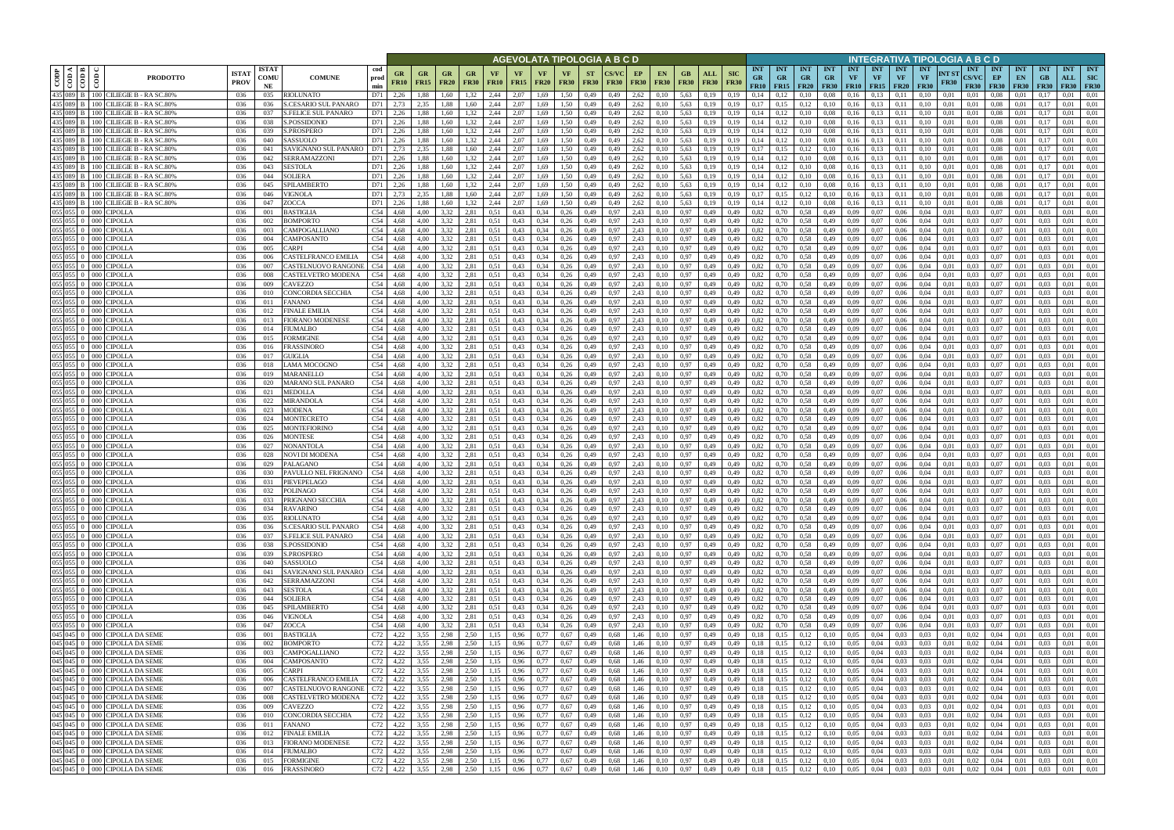|                                |                                                               |                                                                           |                             |                            |                                                           |                          |                                |                   |                            |                   |                   |                                | AGEVOLATA TIPOLOGIA A B C D |                          |              |                   |                          |                        |                    |                           |                                                          |                                        |                      |                                        |                     |                                      |                                        | INTEGRATIVA TIPOLOGIA A B C D                   |                                           |                                 |                                 |                                 |                                  |                                         |
|--------------------------------|---------------------------------------------------------------|---------------------------------------------------------------------------|-----------------------------|----------------------------|-----------------------------------------------------------|--------------------------|--------------------------------|-------------------|----------------------------|-------------------|-------------------|--------------------------------|-----------------------------|--------------------------|--------------|-------------------|--------------------------|------------------------|--------------------|---------------------------|----------------------------------------------------------|----------------------------------------|----------------------|----------------------------------------|---------------------|--------------------------------------|----------------------------------------|-------------------------------------------------|-------------------------------------------|---------------------------------|---------------------------------|---------------------------------|----------------------------------|-----------------------------------------|
| CODP                           | $\triangleleft$   $\triangleq$  <br>$rac{\text{1}}{\text{1}}$ | දී<br><b>PRODOTTO</b>                                                     | <b>ISTA1</b><br><b>PROV</b> | <b>ISTAT</b><br>COMU<br>NE | cod<br><b>COMUNE</b><br>prod<br>min                       | <b>GR</b><br><b>FR10</b> | <b>GR</b><br><b>FR15</b>       | GR<br><b>FR20</b> | GR.<br><b>FR30</b>         | VF<br><b>FR10</b> | VF<br><b>FR15</b> | <b>VF</b><br><b>FR20</b>       | <b>VF</b><br><b>FR30</b>    | <b>ST</b><br><b>FR30</b> | <b>FR30</b>  | EP<br><b>FR30</b> | <b>EN</b><br><b>FR30</b> | GB.<br><b>FR30</b>     | ALL<br><b>FR30</b> | <b>SIC</b><br><b>FR30</b> | <b>INT</b><br><b>GR</b><br>FR10                          | <b>INT</b><br><b>GR</b><br>$FR15$ FR20 | INT<br><b>GR</b>     | <b>INT</b><br><b>GR</b><br><b>FR30</b> | <b>INT</b><br>VF    | <b>INT</b><br>VF<br><b>FR10</b> FR15 | <b>INT</b><br><b>VF</b><br><b>FR20</b> | <b>INT</b><br>NT ST<br><b>VF</b><br><b>FR30</b> | <b>INT</b><br><b>CS/VC</b><br><b>FR30</b> | <b>INT</b><br>EP<br><b>FR30</b> | <b>INT</b><br>EN<br><b>FR30</b> | <b>INT</b><br>GB<br><b>FR30</b> | <b>INT</b><br>ALL<br><b>FR30</b> | <b>INT</b><br><b>SIC</b><br><b>FR30</b> |
| 435 089                        | B                                                             | 100 CILIEGIE B - RA SC.80%                                                | 036                         | 035                        | RIOLUNATO<br>D71                                          | 2,26                     | 1,88                           | 1.60              | .32                        | 2,44              | 2.07              | 1,69                           | 1.50                        | 0,49                     | 0.49         | 2,62              | 0.10                     | 5,63                   | 0.19               | 0.19                      | 0.14                                                     |                                        | 0.10                 | 0.08                                   | 0.16                | 0.13                                 | 0.11                                   | 0.10<br>0.01                                    | 0.01                                      | 0.08                            | 0.01                            |                                 | 0.01                             | 0.01                                    |
| 435 089 B<br>435 089 B         |                                                               | CILIEGIE B - RA SC.80%<br>$1001$ $\epsilon$<br>100 CILIEGIE B - RA SC.80% | 036<br>036                  | 036<br>037                 | S.CESARIO SUL PANARO<br>D71<br>S.FELICE SUL PANARO<br>D71 | 2,73<br>2,26             | 2,35<br>1,88                   | 1,88<br>1,60      | 1,60<br>1,32               | 2,44<br>2,44      | 2,07<br>2.07      | 1,69<br>1,69                   | 1,50<br>1,50                | 0,49<br>0,49             | 0,49<br>0.49 | 2,62<br>2,62      | 0,10<br>0,10             | 5,63<br>5,63           | 0.19<br>0,19       | 0,19<br>0,19              | 0,17<br>0,14                                             | 0,15<br>0,12                           | 0.12<br>0,10         | 0,10<br>0.08                           | 0,16<br>0,16        | 0,13<br>0,13                         | 0.11<br>0,11                           | 0,10<br>0,01<br>0,10<br>0,01                    | 0,01<br>0,01                              | 0.08<br>0,08                    | 0,01<br>0,01                    | 0.17<br>0.17                    | 0.01<br>0.01                     | 0,01<br>0,01                            |
| 435 089 B                      |                                                               | 100 CILIEGIE B - RA SC.80%                                                | 036                         | 038                        | S.POSSIDONIO<br>D71                                       | 2,26                     | 1.88                           | 1.60              | 1,32                       | 2,44              | 2.07              | 1.69                           | 1.50                        | 0,49                     | 0.49         | 2,62              | 0.10                     | 5.63                   | 0.19               | 0.19                      | 0.14                                                     | 0,12                                   | 0.10                 | 0.08                                   | 0,16                | 0.13                                 | 0.11                                   | 0.10<br>0.01                                    | 0.01                                      | 0.08                            | 0.01                            | 0.17                            | 0.01                             | 0.01                                    |
| 435 089 B                      |                                                               | CILIEGIE B - RA SC.80%<br>100 I                                           | 036                         | 039                        | S.PROSPERO                                                | D71 2.26                 | 1.88                           | 1.60              | 1.32                       | 2.44              | 2.07              | 1.69                           | 1.50                        | 0,49                     | 0.49         | 2,62              | 0.10                     | 5.63                   | 0.19               | 0.19                      | 0.14                                                     | 0,12                                   | 0.10                 | 0.08                                   | 0.16                | 0.13                                 | 0.11                                   | 0.01                                            | 0.01                                      | 0.08                            | 0.01                            |                                 | 0.01                             | 0.01                                    |
| 435 089 B                      |                                                               | 100 CILIEGIE B - RA SC.80%                                                | 036                         | 040                        | SASSUOLO<br>D71                                           | 2,26                     | 1,88                           | 1.60              | 1,32                       | 2,44              | 2.07              | 1,69                           | 1.50                        | 0,49                     | 0.49         | 2,62              | 0.10                     | 5,63                   | 0,19               | 0.19                      | 0,14                                                     | 0,12                                   | 0,10                 | 0.08                                   | 0,16                | 0,13                                 | 0,11                                   | 0,10<br>0.01                                    | 0.01                                      | 0.08                            | 0,01                            | 0.17                            | 0.01                             | 0,01                                    |
| 435 089 B<br>435 089 B         |                                                               | CILIEGIE B - RA SC.80%<br>100 I<br>CILIEGIE B - RA SC.80%<br>100 I        | 036<br>036                  | 041<br>042                 | SAVIGNANO SUL PANARO<br><b>SERRAMAZZONI</b><br>D71        | D71 2,73<br>2,26         | 2.35<br>1.88                   | 1.88<br>1.60      | 1.60<br>1,32               | 2.44<br>2,44      | 2.07<br>2.07      | 1.69<br>1.69                   | 1.50<br>1.50                | 0,49<br>0,49             | 0.49<br>0.49 | 2.62<br>2,62      | 0,10<br>0,10             | 5.63<br>5.63           | 0.19<br>0,19       | 0.19<br>0.19              | 0,17<br>0.14                                             | 0,15                                   | 0,12<br>0,10         | 0,10                                   | 0.16<br>0,16        | 0,13<br>0,13                         | 0.11<br>0.11                           | 0.10<br>0.01<br>0.10<br>0.01                    | 0.01<br>0.01                              | 0.08<br>0.08                    | 0.01<br>0.01                    | 0.17<br>0.17                    | 0.01<br>0.01                     | 0.01<br>0.01                            |
| 435 089 B                      |                                                               | CILIEGIE B - RA SC.80%<br>100 I                                           | 036                         | 043                        | SESTOLA                                                   | D71 2,26                 | 1.88                           | 1.60              | 1,32                       | 2,44              | 2.07              | 1,69                           | 1,50                        | 0,49                     | 0.49         | 2,62              | 0,10                     | 5,63                   | 0,19               | 0,19                      | 0,14                                                     | 0,12<br>0,12                           | 0,10                 | 0.08<br>0.08                           | 0,16                | 0,13                                 | 0,11                                   | 0.01<br>0.10                                    | 0,01                                      | 0.08                            | 0,01                            | 0,17                            | 0.01                             | 0,01                                    |
| 435 089 B                      |                                                               | 100 l<br>CILIEGIE B - RA SC.80%                                           | 036                         | 044                        | SOLIERA<br>D71                                            | 2,26                     | 1,88                           | 1.60              | 1,32                       | 2,44              | 2,07              | 1,69                           | 1.50                        | 0,49                     | 0,49         | 2,62              | 0,10                     | 5,63                   | 0,19               | 0,19                      | 0,14                                                     | 0,12                                   | 0,10                 | 0.08                                   | 0,16                | 0,13                                 | 0,11                                   | 0,10<br>0,01                                    | 0,01                                      | 0.08                            | 0,01                            | 0.17                            | 0.01                             | 0,01                                    |
| 435 089 B                      |                                                               | <b>CILIEGIE B - RA SC.80%</b><br>100 I                                    | 036                         | 045                        | SPILAMBERTO<br>D71                                        | 2,26                     | 1,88                           | 1,60              | 1,32                       | 2,44              | 2,07              | 1,69                           | 1.50                        | 0,49                     | 0.49         | 2,62              | 0,10                     | 5,63                   | 0,19               | 0,19                      | 0,14                                                     | 0,12                                   | 0,10                 | 0.08                                   | 0,16                | 0,13                                 | 0,11                                   | 0,10<br>0.01                                    | 0,01                                      | 0,08                            | 0,01                            | 0,17                            | 0,01                             | 0,01                                    |
| 435 089 B<br>435 089 B         |                                                               | CILIEGIE B - RA SC.80%<br>100 I                                           | 036                         | 046                        | VIGNOLA<br>D71                                            | 2,73                     | 2,35                           | 1,88              | 1,60                       | 2,44              | 2,07              | 1,69                           | 1,50                        | 0,49                     | 0.49         | 2,62              | 0,10                     | 5,63                   | 0,19               | 0,19                      | 0,17                                                     | 0,15                                   | 0,12                 | 0,10                                   | 0,16                | 0,13                                 | 0,11                                   | 0,10<br>0,01                                    | 0.01                                      | 0,08                            | 0,01                            | 0,17                            | 0,01                             | 0,01                                    |
| 055 055 0                      |                                                               | CILIEGIE B - RA SC.80%<br>100 l<br><b>CIPOLLA</b><br>000                  | 036<br>036                  | 047<br>001                 | ZOCCA<br>BASTIGLIA<br>C54                                 | D71 2,26<br>4,68         | 1.88<br>4.00                   | 1,60<br>3,32      | 1.32<br>2,81               | 2.44<br>0,51      | 2,07<br>0,43      | 1,69<br>0,34                   | 1.50<br>0,26                | 0,49<br>0,49             | 0.49<br>0.97 | 2,62<br>2,43      | 0.10<br>0.10             | 5,63<br>0,97           | 0,19<br>0,49       | 0.19<br>0,49              | 0,14<br>0,82                                             | 0,12<br>0,70                           | 0,10<br>0,58         | 0.08<br>0,49                           | 0,16<br>0,09        | 0,13<br>0,07                         | 0,11<br>0,06                           | 0.10<br>0.01<br>0,04<br>0,01                    | 0.01<br>0.03                              | 0.08<br>0,07                    | 0.01<br>0,01                    | 0.17<br>0.03                    | 0,01<br>0,01                     | 0,01<br>0,01                            |
| 055 055 0                      |                                                               | <b>CIPOLLA</b><br>000                                                     | 036                         | 002                        | BOMPORTO<br>C54                                           | 4,68                     | 4.00                           | 3,32              | 2,81                       | 0,51              | 0,43              | 0.34                           | 0,26                        | 0,49                     | 0.97         | 2,43              | 0,10                     | 0.97                   | 0,49               | 0,49                      | 0,82                                                     | 0,70                                   | 0,58                 | 0,49                                   | 0,09                | 0,07                                 | 0,06                                   | 0,04<br>0,01                                    | 0.03                                      | 0,07                            | 0,01                            | 0,03                            | 0,01                             | 0,01                                    |
| 055 055 0                      |                                                               | CIPOLLA                                                                   | 036                         | 003                        | C54<br>CAMPOGALLIANO                                      | 4.68                     | 4.00                           | 3.32              | 2,81                       | 0.51              | 0.43              | 0.34                           | 0,26                        | 0,49                     | 0.97         | 2,43              | 0.10                     | 0,97                   | 0.49               | 0.49                      | 0.82                                                     | 0.70                                   | 0,58                 | 0.49                                   | 0.09                | 0.07                                 | 0.06                                   | 0.04<br>0.01                                    | 0.03                                      | 0.07                            | 0.01                            | 0.03                            | 0.01                             | 0.01                                    |
| $055 \, 055 \, 0$<br>055 055 0 |                                                               | <b>CIPOLLA</b><br>000 l                                                   | 036                         | 004                        | C54<br>CAMPOSANTO                                         | 4.68                     | 4.00                           | 3.32              | 2,81                       | 0,51              | 0,43              | 0,34                           | 0,26                        | 0,49                     | 0.97         | 2,43              | 0.10                     | 0,97                   | 0,49               | 0.49                      | 0,82                                                     | 0.70                                   | 0.58                 | 0,49                                   | 0.09                | 0.07                                 | 0.06                                   | 0.04<br>0.01                                    | 0.03                                      | 0.07                            | 0.01                            | 0.03                            | 0,01                             | 0.01                                    |
| 055                            | 0550                                                          | <b>CIPOLLA</b><br><b>CIPOLLA</b><br>000 <sub>1</sub>                      | 036<br>036                  | 005<br>006                 | C54<br>CARPI<br>C54<br><b>CASTELFRANCO EMILIA</b>         | 4,68<br>4.68             | 4.00<br>4.00                   | 3.32<br>3.32      | 2,81<br>2.81               | 0,51<br>0.51      | 0,43<br>0,43      | 0,34<br>0,34                   | 0,26<br>0.26                | 0,49<br>0,49             | 0.97<br>0.97 | 2,43<br>2,43      | 0.10<br>0.10             | 0.97<br>0.97           | 0,49<br>0.49       | 0,49<br>0.49              | 0,82<br>0.82                                             | 0.70                                   | 0,58<br>0.58         | 0,49<br>0,49                           | 0.09<br>0.09        | 0,07<br>0.07                         | 0,06<br>0.06                           | 0.04<br>0.01<br>0.04<br>0.01                    | 0.03<br>0.03                              | 0,07<br>0.07                    | 0,01<br>0.01                    | 0.03<br>0.03                    | 0,01<br>0.01                     | 0,01<br>0.01                            |
| 055 055                        |                                                               | 'IPOLLA                                                                   | 036                         | 007                        | C54<br>CASTELNUOVO RANGONI                                | 4.68                     | 4.00                           | 3.32              | 2.81                       | 0.51              | 0,43              | 0,34                           | 0.26                        | 0.49                     | 0.97         | 2,43              | 0.10                     | 0.97                   | 0.49               | 0.49                      | 0.82                                                     | 0.70                                   | 0.58                 | 0,49                                   | 0.09                | 0.07                                 | 0.06                                   | 0.04<br>0.01                                    | 0.03                                      | 0.07                            | 0.0                             |                                 | 0.01                             | 0.01                                    |
| 055 055 0                      |                                                               | <b>CIPOLLA</b><br>000 l                                                   | 036                         | 008                        | C54<br>CASTELVETRO MODENA                                 | 4,68                     | 4,00                           | 3,32              | 2,81                       | 0,51              | 0,43              | 0,34                           | 0,26                        | 0,49                     | 0.97         | 2,43              | 0.10                     | 0,97                   | 0,49               | 0,49                      | 0,82                                                     | 0.70                                   | 0,58                 | 0,49                                   | 0,09                | 0,07                                 | 0,06                                   | 0,04<br>0.01                                    | 0.03                                      | 0,07                            | 0.01                            | 0.03                            | 0,01                             | 0,01                                    |
| 055 055 0                      |                                                               | <b>CIPOLLA</b><br>000.                                                    | 036                         | 009                        | C54<br>CAVEZZO                                            | 4,68                     | 4.00                           | 3.32              | 2.81                       | 0.51              | 0,43              | 0,34                           | 0,26                        | 0,49                     | 0.97         | 2.43              | 0.10                     | 0,97                   | 0,49               | 0,49                      | 0,82                                                     | 0.70                                   | 0,58                 | 0.49                                   | 0.09                | 0.07                                 | 0,06                                   | 0.04<br>0.01                                    | 0.03                                      | 0.07                            | 0.01                            | 0.03                            | 0.01                             | 0.01                                    |
| 055 055 0<br>055 055           |                                                               | 000<br>CIPOLLA<br><b>CIPOLLA</b><br>000 <sup>1</sup>                      | 036<br>036                  | 010<br>011                 | C54<br>CONCORDIA SECCHIA<br>C54<br>FANANO                 | 4,68<br>4,68             | 4,00<br>4.00                   | 3.32<br>3.32      | 2,81<br>2,81               | 0.51<br>0,51      | 0,43<br>0,43      | 0,34<br>0,34                   | 0,26<br>0,26                | 0,49<br>0,49             | 0.97<br>0.97 | 2,43<br>2,43      | 0,10<br>0,10             | 0,97<br>0.97           | 0,49<br>0,49       | 0,49<br>0,49              | 0,82<br>0,82                                             | 0.70<br>0.70                           | 0,58<br>0,58         | 0.49<br>0.49                           | 0.09<br>0,09        | 0.07<br>0,07                         | 0,06<br>0,06                           | 0,04<br>0.01<br>0.04<br>0.01                    | 0.03<br>0,03                              | 0,07<br>0.07                    | 0.01<br>0.01                    | 0.03                            | 0,01<br>0.01                     | 0,01<br>0,01                            |
| 055 055 0                      |                                                               | <b>CIPOLLA</b><br>0001                                                    | 036                         | 012                        | C54<br>FINALE EMILIA                                      | 4,68                     | 4,00                           | 3.32              | 2,81                       | 0,51              | 0,43              | 0,34                           | 0,26                        | 0,49                     | 0.97         | 2,43              | 0.10                     | 0.97                   | 0,49               | 0,49                      | 0,82                                                     | 0.70                                   | 0,58                 | 0,49                                   | 0,09                | 0.07                                 | 0,06                                   | 0.04<br>0.01                                    | 0.03                                      | 0.07                            | 0.01                            | 0.03                            | 0,01                             | 0.01                                    |
| 055 055                        |                                                               | <b>CIPOLLA</b><br>DOC                                                     | 036                         | 013                        | C54<br>FIORANO MODENESE                                   | 4.68                     | 4.00                           | 3.32              | 2.81                       | 0.51              | 0,43              | 0.34                           | 0.26                        | 0,49                     | 0.97         | 2,43              |                          | 0.97                   | 0,49               | 0.49                      | 0,82                                                     |                                        | 0.58                 | 0.49                                   | 0.09                | 0.07                                 | 0.06                                   | 0.04<br>0.01                                    | 0.03                                      | 0.07                            | 0.01                            |                                 | 0.01                             | 0.01                                    |
| 055 055 0                      |                                                               | 000 CIPOLLA                                                               | 036                         | 014                        | C54<br>FIUMALBO                                           | 4,68                     | 4,00                           | 3.32              | 2,81                       | 0,51              | 0,43              | 0,34                           | 0,26                        | 0,49                     | 0,97         | 2,43              | 0,10                     | 0.97                   | 0,49               | 0,49                      | 0,82                                                     | 0,70                                   | 0,58                 | 0,49                                   | 0,09                | 0,07                                 | 0,06                                   | 0,04<br>0,01                                    | 0.03                                      | 0.07                            | 0,01                            | 0,03                            | 0,01                             | 0,01                                    |
| $055$ 055 0<br>055 055 0       |                                                               | <b>CIPOLLA</b><br>0001<br>000 CIPOLLA                                     | 036<br>036                  | 015                        | C54<br>FORMIGINE<br>C54<br>FRASSINORO                     | 4.68<br>4.68             | 4.00<br>4.00                   | 3.32<br>3.32      | 2,81<br>2,81               | 0.51<br>0.51      | 0,43<br>0,43      | 0.34<br>0,34                   | 0,26<br>0,26                | 0,49<br>0,49             | 0.97<br>0.97 | 2,43<br>2,43      | 0.10<br>0.10             | 0.97<br>0,97           | 0,49<br>0,49       | 0.49<br>0,49              | 0,82<br>0,82                                             | 0.70                                   | 0.58<br>0,58         | 0,49<br>0,49                           | 0.09<br>0,09        | 0.07<br>0.07                         | 0.06<br>0,06                           | 0.04<br>0.01<br>0.04<br>0.01                    | 0.03<br>0.03                              | 0.07<br>0.07                    | 0.01<br>0,01                    | 0.03<br>0.03                    | 0.01<br>0.01                     | 0.01<br>0,01                            |
| 055 055 0                      |                                                               | <b>CIPOLLA</b><br>000                                                     | 036                         | 016<br>017                 | C54<br>GUIGLIA                                            | 4.68                     | 4.00                           | 3.32              | 2,81                       | 0.51              | 0,43              | 0.34                           | 0,26                        | 0,49                     | 0.97         | 2,43              | 0.10                     | 0.97                   | 0,49               | 0.49                      | 0,82                                                     | 0,70<br>0.70                           | 0,58                 | 0,49                                   | 0.09                | 0.07                                 | 0,06                                   | 0.04<br>0.01                                    | 0.03                                      | 0.07                            | 0.01                            | 0.03                            | 0.01                             | 0,01                                    |
| $055 \ 055 \ 0$                |                                                               | <b>CIPOLLA</b><br>000                                                     | 036                         | 018                        | C54<br>LAMA MOCOGNO                                       | 4,68                     | 4.00                           | 3.32              | 2,81                       | 0.51              | 0,43              | 0.34                           | 0,26                        | 0,49                     | 0.97         | 2,43              | 0.10                     | 0.97                   | 0,49               | 0,49                      | 0.82                                                     | 0.70                                   | 0,58                 | 0,49                                   | 0.09                | 0.07                                 | 0.06                                   | 0.04<br>0.01                                    | 0.03                                      | 0.07                            | 0.01                            | 0.03                            | 0.01                             | 0.01                                    |
| $055 \ 055 \ 0$                |                                                               | <b>CIPOLLA</b><br>000 <sup>1</sup>                                        | 036                         | 019                        | C54<br>MARANELLO                                          | 4.68                     | 4.00                           | 3.32              | 2,81                       | 0.51              | 0,43              | 0.34                           | 0,26                        | 0,49                     | 0.97         | 2,43              | 0.10                     | 0,97                   | 0,49               | 0.49                      | 0,82                                                     | 0.70                                   | 0,58                 | 0,49                                   | 0.09                | 0.07                                 | 0.06                                   | 0.01<br>0.04                                    | 0.03                                      | 0.07                            | 0.01                            | 0.03                            | 0.01                             | 0.01                                    |
| 055 055 0                      |                                                               | 000 CIPOLLA                                                               | 036                         | 020                        | C54<br>MARANO SUL PANARO                                  | 4,68                     | 4,00                           | 3.32              | 2,81                       | 0,51              | 0,43              | 0,34                           | 0,26                        | 0,49                     | 0.97         | 2,43              | 0,10                     | 0,97                   | 0,49               | 0,49                      | 0,82                                                     | 0,70                                   | 0,58                 | 0,49                                   | 0.09                | 0.07                                 | 0,06                                   | 0,04<br>0,01                                    | 0,03                                      | 0,07                            | 0,01                            | 0.03                            | 0,01                             | 0,01                                    |
| $055 \ 055 \ 0$<br>055 055 0   |                                                               | <b>CIPOLLA</b><br>$000 -$<br><b>CIPOLLA</b><br>000                        | 036<br>036                  | 021<br>022                 | C54<br>MEDOLLA<br>C54<br>MIRANDOLA                        | 4,68<br>4,68             | 4.00<br>4.00                   | 3,32<br>3,32      | 2,81<br>2,81               | 0.51<br>0,51      | 0,43<br>0,43      | 0,34<br>0,34                   | 0,26<br>0,26                | 0,49<br>0,49             | 0.97<br>0.97 | 2,43<br>2,43      | 0,10<br>0,10             | 0,97<br>0,97           | 0,49<br>0,49       | 0.49<br>0,49              | 0,82<br>0,82                                             | 0,70<br>0,70                           | 0,58<br>0,58         | 0,49<br>0,49                           | 0,09<br>0,09        | 0.07<br>0,07                         | 0,06<br>0,06                           | 0.04<br>0.01<br>0,04<br>0,01                    | 0.03<br>0.03                              | 0,07<br>0,07                    | 0.01<br>0,01                    | 0.03<br>0.03                    | 0,01<br>0.01                     | 0,01<br>0,01                            |
| 055 055 0                      |                                                               | <b>CIPOLLA</b><br>$000 -$                                                 | 036                         | 023                        | C54<br>MODENA                                             | 4,68                     | 4,00                           | 3,32              | 2,81                       | 0,51              | 0,43              | 0,34                           | 0,26                        | 0,49                     | 0.97         | 2,43              | 0,10                     | 0,97                   | 0,49               | 0,49                      | 0,82                                                     | 0,70                                   | 0,58                 | 0,49                                   | 0,09                | 0,07                                 | 0,06                                   | 0,04<br>0,01                                    | 0.03                                      | 0,07                            | 0,01                            | 0,03                            | 0,01                             | 0,01                                    |
| 055 055 0                      |                                                               | <b>CIPOLLA</b><br>000                                                     | 036                         | 024                        | C54<br>MONTECRETO                                         | 4,68                     | 4.00                           | 3.32              | 2,81                       | 0,51              | 0,43              | 0,34                           | 0,26                        | 0,49                     | 0.97         | 2,43              | 0.10                     | 0.97                   | 0,49               | 0,49                      | 0,82                                                     | 0,70                                   | 0,58                 | 0,49                                   | 0,09                | 0,07                                 | 0,06                                   | 0,04<br>0,01                                    | 0.03                                      | 0,07                            | 0,01                            | 0.03                            | 0.01                             | 0,01                                    |
| 055 055 0                      |                                                               | <b>CIPOLLA</b><br>000                                                     | 036                         | 025                        | C54<br>MONTEFIORINO                                       | 4,68                     | 4.00                           | 3,32              | 2,81                       | 0,51              | 0,43              | 0,34                           | 0,26                        | 0,49                     | 0,97         | 2,43              | 0,10                     | 0,97                   | 0,49               | 0,49                      | 0,82                                                     | 0,70                                   | 0,58                 | 0,49                                   | 0,09                | 0,07                                 | 0,06                                   | 0,04<br>0.01                                    | 0.03                                      | 0,07                            | 0,01                            | 0.03                            | 0,01                             | 0,01                                    |
| 055 055 0<br>$055 \ 055 \ 0$   |                                                               | <b>CIPOLLA</b><br>000<br><b>CIPOLLA</b><br>000                            | 036<br>036                  | 026<br>027                 | C54<br>MONTESE<br>NONANTOLA<br>C54                        | 4,68<br>4.68             | 4.00<br>4.00                   | 3,32<br>3.32      | 2,81<br>2,81               | 0,51<br>0,51      | 0,43<br>0,43      | 0,34<br>0,34                   | 0,26<br>0,26                | 0,49<br>0,49             | 0,97<br>0.97 | 2,43<br>2,43      | 0.10<br>0.10             | 0.97<br>0.97           | 0,49<br>0,49       | 0,49<br>0.49              | 0,82<br>0,82                                             | 0,70<br>0.70                           | 0,58<br>0,58         | 0,49<br>0,49                           | 0,09<br>0.09        | 0,07<br>0,07                         | 0,06<br>0,06                           | 0,04<br>0,01<br>0.04<br>0.01                    | 0.03<br>0.03                              | 0,07<br>0,07                    | 0,01<br>0.01                    | 0.03<br>0.03                    | 0,01<br>0,01                     | 0,01<br>0.01                            |
| $055$ 055 0                    |                                                               | 'IPOLLA                                                                   | 036                         | 028                        | C54<br>NOVI DI MODENA                                     | 4.68                     | 4.00                           | 3.32              | 2,81                       | 0.51              | 0,43              | 0.34                           | 0,26                        | 0,49                     | 0.97         | 2,43              | 0.10                     | 0.97                   | 0,49               | 0.49                      | 0,82                                                     | 0.70                                   | 0,58                 | 0,49                                   | 0.09                | 0,07                                 | 0.06                                   | 0.04<br>0.01                                    | 0.03                                      | 0,07                            | 0.01                            | 0.03                            | 0.01                             | 0,01                                    |
| $055 \ 055 \ 0$                |                                                               | <b>CIPOLLA</b><br>000                                                     | 036                         | 029                        | C54<br>PALAGANO                                           | 4,68                     | 4.00                           | 3,32              | 2,81                       | 0,51              | 0,43              | 0,34                           | 0,26                        | 0,49                     | 0.97         | 2,43              | 0,10                     | 0.97                   | 0,49               | 0,49                      | 0,82                                                     | 0,70                                   | 0,58                 | 0,49                                   | 0,09                | 0,07                                 | 0,06                                   | 0,04<br>0,01                                    | 0.03                                      | 0,07                            | 0,01                            | 0.03                            | 0,01                             | 0,01                                    |
| 055 055 0                      |                                                               | 'IPOLLA<br>000                                                            | 036                         | 030                        | C54<br>PAVULLO NEL FRIGNANO                               | 4.68                     | 4.00                           | 3.32              | 2.81                       | 0.51              | 0.43              | 0.34                           | 0.26                        | 0.49                     | 0.97         | 2.43              | 0.10                     | 0.97                   | 0.49               | 0.49                      | 0.82                                                     | 0.70                                   | 0.58                 | 0,49                                   | 0.09                | 0.07                                 | 0.06                                   | 0.04<br>0.01                                    | 0.03                                      | 0.07                            | 0.01                            | 0.03                            | 0.01                             | 0.01                                    |
| 055 055 0 000 0                |                                                               | CIPOLLA<br>055 055 0 000 CIPOLLA                                          | 036<br>036                  | 031<br>032                 | C54<br>PIEVEPELAGO<br><b>POLINAGO</b>                     | 4,68<br>C54 4.68         | 4.00<br>4.00                   | 3,32<br>3,32      | 2,81<br>2,81               | 0,51<br>0,51      | 0,43<br>0,43      | 0,34<br>$0,34$ 0,26            | 0,26                        | 0,49<br>0,49             | 0.97<br>0.97 | 2,43<br>2,43      | 0.10<br>0.10             | 0,97<br>0.97           | 0,49<br>0,49       | 0,49<br>0.49              | 0,82<br>0,82                                             | 0.70<br>0.70                           | 0,58<br>0.58         | 0,49<br>0.49                           | 0,09<br>0.09        | 0.07<br>0.07                         | 0.06<br>0.06                           | 0,04<br>0,01<br>0.04<br>0.01                    | 0.03<br>0.03                              | 0.07<br>0.07                    | 0.01<br>0.01                    | 0.03<br>0.03                    | 0,01<br>0.01                     | 0,01<br>0.01                            |
|                                |                                                               | 055 055 0 000 CIPOLLA                                                     | 036                         | 033                        | PRIGNANO SECCHIA                                          | C54 4,68                 | 4,00                           | 3,32              | 2,81                       | 0,51              | 0,43              | 0,34                           | 0,26                        | 0,49                     | 0,97         | 2,43              | 0,10                     | 0,97                   | 0,49               | 0,49                      | 0,82                                                     | 0,70                                   | 0,58                 | 0,49                                   | 0,09                | 0,07                                 | 0,06                                   | 0,04<br>0,01                                    | 0,03                                      | 0,07                            | 0,01                            | 0,03                            | 0.01                             | 0,01                                    |
|                                |                                                               | 055 055 0 000 CIPOLLA                                                     | 036                         | 034                        | C54<br>RAVARINO                                           | 4,68                     | 4,00                           | 3,32              | 2,81                       | 0,51              | 0,43              | $0,34$ 0.26                    |                             | 0,49                     | 0,97         | 2,43              | 0,10                     | 0,97                   | 0,49               | 0,49                      | 0,82                                                     | 0,70                                   | 0,58                 | 0,49                                   | 0,09                | 0,07                                 | 0,06                                   | 0,04<br>0,01                                    | 0.03                                      | 0,07                            | 0,01                            | 0,03                            | 0.01                             | 0,01                                    |
|                                |                                                               | 055 055 0 000 CIPOLLA<br>055 055 0 000 CIPOLLA                            | 036                         | 035                        | RIOLUNATO                                                 | C54 4,68                 | 4,00                           | 3,32              | 2,81                       | 0,51              | 0,43              | $0,34$ 0,26                    |                             | 0,49                     | 0,97         | 2,43              | 0,10                     | 0,97                   | 0,49               | 0,49                      | 0,82                                                     | 0,70                                   | 0,58                 | 0,49                                   | 0,09                | 0,07                                 | 0,06                                   | 0,04<br>0,01                                    | 0,03                                      | 0,07                            | 0,01                            | 0,03                            | 0,01                             | 0,01                                    |
|                                |                                                               | 055 055 0 000 CIPOLLA                                                     | 036<br>036                  | 036<br>037                 | S.CESARIO SUL PANARO<br><b>S.FELICE SUL PANARO</b>        | C54 4,68<br>C54 4,68     | 4,00<br>4,00                   | 3,32<br>3,32      | 2,81<br>2,81               | 0,51<br>0,51      | 0,43<br>0,43      | $0,34$ 0,26<br>$0,34$ 0,26     |                             | 0,49<br>0,49             | 0,97<br>0,97 | 2,43<br>2,43      | 0,10<br>0,10             | 0,97 0,49<br>0,97      | 0,49               | 0,49<br>0,49              | 0,82<br>0,82                                             | 0,70<br>0,70                           | 0,58<br>0,58         | 0,49<br>0,49                           | $0,09$ 0.07<br>0,09 | 0,07                                 | 0,06<br>0,06                           | 0,04<br>0,01<br>0,04<br>0,01                    | 0,03<br>0,03                              | 0,07<br>0,07                    | 0,01<br>0,01                    | 0,03<br>0,03                    | 0,01<br>0,01                     | 0,01<br>0,01                            |
|                                |                                                               | 055 055 0 000 CIPOLLA                                                     | 036                         | 038                        | S.POSSIDONIO                                              | C54 4,68                 | 4,00                           | 3,32              | 2,81                       | 0,51              | 0,43              | $0,34$ 0.26                    |                             | 0,49                     | 0,97         | 2,43              | 0,10                     | 0,97 0,49              |                    | 0,49                      | 0,82                                                     | 0,70                                   | 0,58                 | 0,49                                   | $0,09$ 0.07         |                                      | 0,06                                   | 0,04<br>0,01                                    | 0,03                                      | 0,07                            | 0,01                            | 0,03                            | 0,01                             | 0,01                                    |
|                                |                                                               | 055 055 0 000 CIPOLLA                                                     | 036                         | 039                        | S.PROSPERO                                                | C54 4,68                 | 4,00                           | 3,32              | 2,81                       | 0,51              | 0,43              | $0,34$ 0,26                    |                             | 0,49                     | 0,97         | 2,43              | 0,10                     | 0,97                   | 0,49               | 0,49                      | 0,82                                                     | $0,70$ $0,58$                          |                      | 0,49                                   | $0,09$ 0.07         |                                      | 0,06                                   | 0,04<br>0,01                                    | 0,03                                      | 0,07                            | 0,01                            | 0,03                            | 0,01                             | 0,01                                    |
|                                |                                                               | 055 055 0 000 CIPOLLA                                                     | 036                         | 040                        | SASSUOLO                                                  | C54 4.68                 |                                | $4,00$ $3,32$     | 2,81                       | 0.51              | 0,43              | $0,34$ 0,26                    |                             | 0,49                     | 0,97         | 2,43              | 0,10                     | 0,97 0,49              |                    | 0,49                      | 0,82                                                     | $0,70$ $0,58$                          |                      | 0,49                                   | $0.09 \quad 0.07$   |                                      | 0,06                                   | 0,04<br>0,01                                    | 0,03                                      | 0,07                            | 0,01                            | 0,03                            | 0,01                             | 0,01                                    |
|                                |                                                               | 055 055 0 000 CIPOLLA<br>055 055 0 000 CIPOLLA                            | 036<br>036                  | 041<br>042                 | SAVIGNANO SUL PANARO   C54   4,68<br><b>SERRAMAZZONI</b>  | C54 4,68                 | 4,00<br>4,00                   | 3,32<br>3,32      | 2,81<br>2,81               | 0,51<br>0,51      | 0,43<br>0,43      | $0,34$ 0,26<br>0,34            | 0,26                        | 0,49<br>0,49             | 0,97<br>0,97 | 2,43<br>2,43      | 0,10<br>0,10             | 0,97<br>$0,97$ 0.49    | 0,49               | 0,49<br>0,49              | 0,82<br>0,82                                             | $0,70$ $0,58$<br>0,70                  | 0,58                 | 0,49<br>0,49                           | $0,09$ 0.07<br>0,09 | 0,07                                 | 0,06<br>0,06                           | 0,04<br>0,01<br>0,01<br>0,04                    | 0,03<br>0,03                              | 0,07<br>0,07                    | $0,\!01$<br>0,01                | 0,03<br>0,03                    | 0,01<br>0.01                     | 0,01<br>0,01                            |
|                                |                                                               | 055 055 0 000 CIPOLLA                                                     | 036                         | 043                        | <b>SESTOLA</b>                                            | C54 4,68                 | 4,00                           | 3,32              | 2,81                       | 0,51              | 0,43              | 0,34                           | 0,26                        | 0,49                     | 0,97         | 2,43              | 0,10                     | 0,97                   | 0,49               | 0,49                      | 0,82                                                     | $0,70$ 0.58                            |                      | 0,49                                   | 0,09                | 0,07                                 | 0,06                                   | 0,04<br>0,01                                    | 0,03                                      | 0,07                            | 0,01                            | 0,03                            | 0.01                             | 0,01                                    |
|                                |                                                               | 055 055 0 000 CIPOLLA                                                     | 036                         | 044                        | <b>SOLIERA</b>                                            | C54 4,68                 | 4,00                           | 3,32              | 2,81                       | 0,51              | 0,43              | $0,34$ 0,26                    |                             | 0,49                     | 0,97         | 2,43              | 0,10                     | 0,97 0,49              |                    | 0,49                      | 0,82                                                     | $0,70$ $0,58$                          |                      | 0,49                                   | 0,09                | 0,07                                 | 0,06                                   | 0,04<br>0,01                                    | 0,03                                      | 0,07                            | 0,01                            | 0,03                            | 0,01                             | 0,01                                    |
|                                |                                                               | 055 055 0 000 CIPOLLA                                                     | 036                         | 045                        | SPILAMBERTO                                               | C54 4,68                 | 4,00                           | 3,32              | 2,81                       | 0,51              | 0,43              | $0,34$ 0,26                    |                             | 0,49                     | 0,97         | 2,43              | 0,10                     | 0,97                   | 0,49               | 0,49                      | 0,82                                                     | $0,70$ $0,58$                          |                      | 0,49                                   | 0,09                | 0,07                                 | 0,06                                   | 0,04<br>0,01                                    | 0,03                                      |                                 | $0,07$ 0.01                     | 0,03                            | 0,01                             | 0,01                                    |
|                                |                                                               | 055 055 0 000 CIPOLLA<br>055 055 0 000 CIPOLLA                            | 036<br>036                  | 046<br>047                 | <b>VIGNOLA</b><br>ZOCCA                                   | C54 4,68<br>C54 4,68     | 4,00<br>4,00                   | 3,32<br>3,32      | 2,81<br>2,81               | 0,51<br>0,51      | 0,43<br>0,43      | $0,34$ $0,26$<br>$0,34$ $0,26$ |                             | 0,49<br>0,49             | 0,97<br>0,97 | 2,43<br>2,43      | 0,10<br>0,10             | 0,97 0,49<br>0,97      | 0,49               | 0,49<br>0,49              | 0,82<br>0,82                                             | $0,70$ $0,58$<br>$0,70$ $0,58$         |                      | 0,49<br>0,49                           | 0,09<br>0,09        | 0,07<br>0,07                         | 0,06<br>0,06                           | 0,04<br>0,01<br>0,04<br>0,01                    | 0,03<br>0,03                              | 0,07                            | $0,07$ 0.01<br>0,01             | 0,03<br>0,03                    | 0,01<br>0,01                     | 0,01<br>0,01                            |
|                                |                                                               | 045 045 0 000 CIPOLLA DA SEME                                             | 036                         | 001                        | <b>BASTIGLIA</b>                                          | $C72$ 4,22               | 3,55                           | 2,98              | $2,50$ 1,15                |                   | 0,96              | $0,77$ 0.67                    |                             | 0,49                     | 0,68         | 1,46              | 0,10                     | 0,97 0,49              |                    | 0,49                      | $0,18$ $0,15$ $0,12$                                     |                                        |                      | 0,10                                   | $0,05$ 0.04         |                                      | 0.03                                   | 0,03<br>0,01                                    | 0,02                                      |                                 | $0.04 \qquad 0.01$              | 0,03                            | 0,01                             | 0,01                                    |
|                                |                                                               | 045 045 0 000 CIPOLLA DA SEME                                             | 036                         | 002                        | <b>BOMPORTO</b>                                           | $C72$ 4,22               | 3,55                           | 2,98              | $2,50$ 1,15                |                   | 0,96              | $0,77$ 0.67                    |                             | 0,49                     | 0,68         | 1,46              | 0,10                     | 0,97 0,49              |                    | 0,49                      | $0,18$ $0,15$ $0,12$                                     |                                        |                      | 0,10                                   | $0,05$ 0.04         |                                      | 0,03                                   | 0,03<br>0,01                                    | 0,02                                      |                                 | $0,04$ 0.01                     | 0,03                            | 0,01                             | 0,01                                    |
|                                |                                                               | 045 045 0 000 CIPOLLA DA SEME                                             | 036                         | 003                        | CAMPOGALLIANO                                             | C72 4,22                 | 3,55                           | 2,98              | 2,50 1,15                  |                   | 0,96              | $0,77$ 0.67                    |                             | 0,49                     | 0,68         | 1,46              | 0,10                     | $0,97$ 0,49            |                    | 0,49                      | $0,18$ 0,15 0,12 0,10                                    |                                        |                      |                                        | 0,05                | 0,04                                 | 0,03                                   | 0,03<br>0,01                                    | 0,02                                      | 0,04                            | 0,01                            | 0,03                            | 0,01                             | 0,01                                    |
|                                |                                                               | 045 045 0 000 CIPOLLA DA SEME<br>045 045 0 000 CIPOLLA DA SEME            | 036<br>036                  | 004                        | CAMPOSANTO<br>CARPI                                       | C72 4,22<br>$C72$ 4,22   | 3,55<br>3,55                   | 2,98<br>2,98      | $2,50$ 1,15<br>$2,50$ 1,15 |                   | 0,96              | $0,77$ 0.67<br>$0,77$ 0.67     |                             | 0,49                     | 0,68         | 1,46              | 0,10                     | 0,97 0,49              |                    | 0,49                      | $0,18$ 0,15 0,12 0,10<br>$0,18$ 0,15 0,12 0,10           |                                        |                      |                                        | $0.05$ 0.04         | 0,04                                 | 0,03                                   | 0,03<br>0,01<br>0,03                            | 0,02                                      |                                 | $0,04$ $0,01$<br>$0,04$ 0.01    | 0,03                            | 0,01<br>0,01                     | 0,01<br>0,01                            |
|                                |                                                               | 045 045 0 000 CIPOLLA DA SEME                                             | 036                         | 005<br>006                 | CASTELFRANCO EMILIA                                       | $C72$ 4,22               | 3,55                           | 2,98              | 2,50 1,15                  |                   | 0,96<br>0,96      | $0,77$ 0.67                    |                             | 0,49<br>0,49             | 0,68<br>0,68 | 1,46<br>1,46      | 0,10<br>0,10             | 0,97 0,49<br>0,97 0,49 |                    | 0,49<br>0,49              | 0,18                                                     | $0,15$ $0,12$                          |                      | 0,10                                   | 0,05<br>0,05        | 0,04                                 | 0,03<br>0,03                           | 0,01<br>0,03<br>0,01                            | 0,02<br>0,02                              |                                 | $0,04$ 0.01                     | 0,03<br>0,03                    | 0,01                             | 0,01                                    |
|                                |                                                               | 045 045 0 000 CIPOLLA DA SEME                                             | 036                         | 007                        | CASTELNUOVO RANGONE                                       | $C72$ 4,22               | 3,55                           | 2,98              | $2,50$ 1,15                |                   | 0,96              | $0,77$ 0.67                    |                             | 0,49                     | 0,68         | 1,46              | 0,10                     | $0,97$ 0,49            |                    | 0,49                      | $0,18$ 0,15 0,12 0,10                                    |                                        |                      |                                        | 0,05                | 0,04                                 | 0,03                                   | 0,03<br>0,01                                    | 0,02                                      |                                 | $0,04$ 0.01                     | 0,03                            | 0,01                             | 0,01                                    |
|                                |                                                               | 045 045 0 000 CIPOLLA DA SEME                                             | 036                         | 008                        | CASTELVETRO MODENA                                        | C72 4,22                 | 3,55                           | 2,98              | $2,50$ 1,15                |                   | 0,96              | $0,77$ 0.67                    |                             | 0,49                     | 0,68         | 1,46              | 0,10                     | 0,97 0,49              |                    | 0,49                      | 0,18                                                     | $0,15$ $0,12$                          |                      | 0,10                                   | $0,05$ 0.04         |                                      | 0.03                                   | 0,03<br>0,01                                    |                                           | $0,02 \quad 0,04 \quad 0,01$    |                                 | 0,03                            | 0,01                             | 0,01                                    |
|                                |                                                               | 045 045 0 000 CIPOLLA DA SEME<br>045 045 0 000 CIPOLLA DA SEME            | 036                         | 009                        | CAVEZZO                                                   | $C72$ 4,22               | 3,55                           | 2,98              | 2,50                       | 1,15              | 0,96              | $0,77$ 0.67                    |                             | 0,49                     | 0,68         | 1,46              | 0,10                     | 0,97                   | 0,49               | 0,49                      | 0,18                                                     | 0,15                                   | 0,12                 | 0,10                                   | 0,05                | 0,04                                 | 0,03                                   | 0,03<br>0,01                                    | 0,02                                      |                                 | $0,04$ 0.01                     | 0,03                            | 0,01                             | 0,01                                    |
|                                |                                                               | 045 045 0 000 CIPOLLA DA SEME                                             | 036<br>036                  | 010<br>011                 | CONCORDIA SECCHIA<br>FANANO                               | $C72$ 4,22<br>$C72$ 4,22 | 3,55<br>3,55                   | 2,98<br>2,98      | 2,50<br>2,50               | 1,15<br>1,15      | 0,96<br>0,96      | 0,77<br>$0,77$ 0.67            | 0,67                        | 0,49<br>0,49             | 0,68<br>0,68 | 1,46<br>1,46      | 0,10<br>0,10             | 0,97<br>0,97           | 0,49<br>0,49       | 0,49<br>0,49              | 0,18<br>0,18                                             | 0,15<br>0,15                           | 0,12<br>0,12         | 0,10<br>0,10                           | 0,05<br>0,05        | 0,04<br>0,04                         | 0.03<br>0,03                           | 0,03<br>0,01<br>0,03<br>0,01                    | 0,02<br>0,02                              | 0,04<br>0,04                    | 0.01<br>0,01                    | 0,03<br>0,03                    | 0,01<br>0,01                     | 0,01<br>0,01                            |
|                                |                                                               | 045 045 0 000 CIPOLLA DA SEME                                             | 036                         | 012                        | <b>FINALE EMILIA</b>                                      | $C72$ 4,22               | 3,55                           | 2,98              | 2,50 1,15                  |                   | 0,96              | $0,77$ 0.67                    |                             | 0,49                     | 0,68         | 1,46              | 0,10                     | 0,97 0,49              |                    | 0,49                      | 0,18                                                     | $0,15$ $0,12$                          |                      | 0,10                                   | 0,05                | 0,04                                 | 0,03                                   | 0,03<br>0,01                                    | 0,02                                      |                                 | $0,04$ $0,01$                   | 0,03                            | 0,01                             | 0,01                                    |
|                                |                                                               | 045 045 0 000 CIPOLLA DA SEME                                             | 036                         | 013                        | <b>FIORANO MODENESE</b>                                   | C72 4,22                 | 3,55                           | 2,98              | $2,50$ 1,15                |                   | 0,96              | $0,77$ 0.67                    |                             | 0,49                     | 0,68         | 1,46              | 0,10                     | 0,97 0,49              |                    | 0,49                      | 0,18                                                     |                                        | $0,15$ $0,12$ $0,10$ |                                        | 0,05                | 0,04                                 | 0,03                                   | 0,03<br>0,01                                    | 0,02                                      | 0,04                            | 0,01                            | 0,03                            | 0,01                             | 0,01                                    |
|                                |                                                               | 045 045 0 000 CIPOLLA DA SEME                                             | 036                         | 014                        | FIUMALBO                                                  | $C72$ 4,22               |                                | $3,55$ 2,98       | 2,50 1,15                  |                   | 0,96              | $0,77$ 0.67                    |                             | 0,49 0,68                |              | 1,46              | 0,10                     | 0,97 0,49              |                    |                           | $0,49$ $0,18$                                            |                                        | $0,15$ $0,12$ $0,10$ |                                        | $0,05$ 0.04         |                                      | 0,03                                   | 0,03<br>0,01                                    | 0,02                                      |                                 | $0,04$ 0.01                     | 0,03                            | 0,01                             | 0,01                                    |
|                                |                                                               | 045 045 0 000 CIPOLLA DA SEME<br>045 045 0 000 CIPOLLA DA SEME            | 036<br>036                  | 015<br>016                 | <b>FORMIGINE</b><br><b>FRASSINORO</b>                     |                          | $C72$ 4,22 3,55 2,98 2,50 1,15 |                   |                            |                   | $0,96$ 0,77 0,67  |                                | $0.96$ 0.77 0.67 0.49 0.68  | 0,49                     | 0,68         | 1,46<br>1,46      | 0,10<br>$0,10$ 0.97 0.49 | 0,97 0,49              |                    |                           | $0,49$ 0,18 0,15 0,12 0,10<br>$0,49$ 0,18 0,15 0,12 0,10 |                                        |                      |                                        | $0,05$ 0.04         | $0,05$ 0.04                          | 0,03                                   | 0,03<br>0,01<br>$0,03$ 0.03<br>0,01             | 0,02                                      | $0,02 \qquad 0,04 \qquad 0,01$  | $0,04$ $0,01$                   | 0,03<br>0,03                    |                                  | $0,01$ $0,01$<br>$0,01$ $0,01$          |
|                                |                                                               |                                                                           |                             |                            |                                                           |                          |                                |                   |                            |                   |                   |                                |                             |                          |              |                   |                          |                        |                    |                           |                                                          |                                        |                      |                                        |                     |                                      |                                        |                                                 |                                           |                                 |                                 |                                 |                                  |                                         |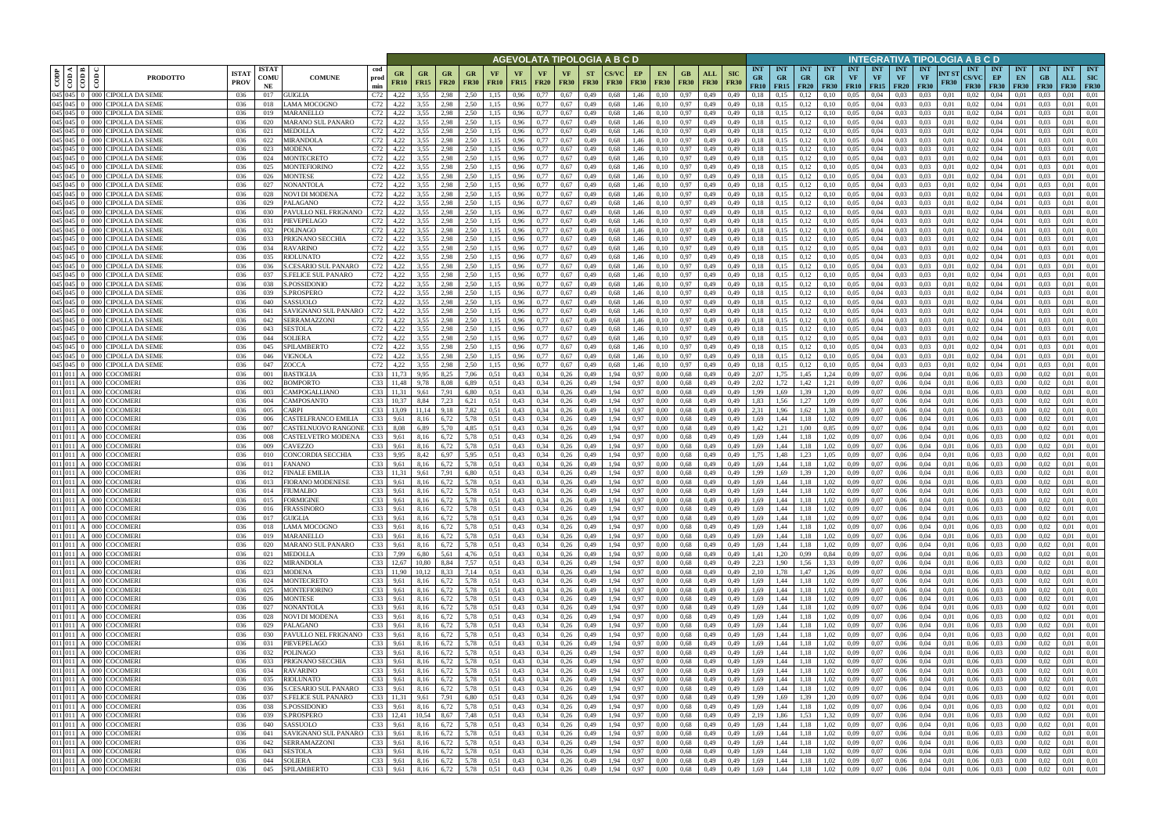|      |                                                                   |                                                                              |                             |                                   |                                            |                        |                      |                          |                   |                        |                   |                   |                          | AGEVOLATA TIPOLOGIA A B C D |                          |              |                   |                   |                   |                                      |                           |                                 |                                          |                   |                                      |                                 |                                 |                                        |                                        |                       | NTEGRATIVA TIPOLOGIA A B C D              |                                          |                                 |                                 |                                  |                                  |
|------|-------------------------------------------------------------------|------------------------------------------------------------------------------|-----------------------------|-----------------------------------|--------------------------------------------|------------------------|----------------------|--------------------------|-------------------|------------------------|-------------------|-------------------|--------------------------|-----------------------------|--------------------------|--------------|-------------------|-------------------|-------------------|--------------------------------------|---------------------------|---------------------------------|------------------------------------------|-------------------|--------------------------------------|---------------------------------|---------------------------------|----------------------------------------|----------------------------------------|-----------------------|-------------------------------------------|------------------------------------------|---------------------------------|---------------------------------|----------------------------------|----------------------------------|
| CODP | ا دە ا<br>$\blacktriangleleft$<br>$\overline{c}$<br>$\frac{1}{2}$ | $\overline{\text{co}}$<br><b>PRODOTTO</b>                                    | <b>ISTA1</b><br><b>PROV</b> | <b>ISTAT</b><br><b>COMU</b><br>NE | <b>COMUNE</b>                              | cod<br>prod<br>min     | GR<br><b>FR10</b>    | <b>GR</b><br><b>FR15</b> | <b>GR</b><br>FR20 | GR.<br><b>FR30</b>     | VF<br><b>FR10</b> | VF<br><b>FR15</b> | <b>VF</b><br><b>FR20</b> | <b>VF</b><br><b>FR30</b>    | <b>ST</b><br><b>FR30</b> | <b>FR30</b>  | EP<br><b>FR30</b> | EN<br><b>FR30</b> | GВ<br><b>FR30</b> | ALL<br><b>FR30</b>                   | <b>SIC</b><br><b>FR30</b> | <b>INT</b><br><b>GR</b><br>FR10 | <b>INT</b><br><b>GR</b><br>$FR15$ $FR20$ | <b>INT</b><br>GR. | <b>INT</b><br>$G_{R}$<br><b>FR30</b> | <b>INT</b><br>VF<br><b>FR10</b> | <b>INT</b><br>VF<br><b>FR15</b> | <b>INT</b><br><b>VF</b><br><b>FR20</b> | <b>INT</b><br><b>VF</b><br><b>FR30</b> | INT ST<br><b>FR30</b> | <b>INT</b><br><b>CS/VC</b><br><b>FR30</b> | <b>INT</b><br>EP<br><b>FR30</b>          | <b>INT</b><br>EN<br><b>FR30</b> | <b>INT</b><br>GB<br><b>FR30</b> | <b>INT</b><br>ALL<br><b>FR30</b> | <b>INT</b><br>SIC<br><b>FR30</b> |
|      |                                                                   | 045 045 0 000 CIPOLLA DA SEME                                                | 036                         | 017                               | <b>GUIGLIA</b>                             | C72                    | 4,22                 | 3,55                     | 2.98              | 2.50                   | 1.15              | 0,96              | 0.77                     | 0,67                        | 0,49                     | 0,68         | 1,46              | 0,10              | 0.97              | 0,49                                 | 0,49                      | 0.18                            |                                          | 0.12              | 0.10                                 | 0.05                            | 0.04                            | 0.03                                   | 0.03                                   | 0.01                  | 0.02                                      | 0.04                                     | 0.01                            | 0.03                            | 0.01                             | 0.01                             |
|      |                                                                   | 045 045 0 000 CIPOLLA DA SEME<br>045 045 0 000 CIPOLLA DA SEME               | 036<br>036                  | 018<br>019                        | LAMA MOCOGNO<br>MARANELLO                  | C72<br>C72             | 4,22<br>4,22         | 3,55<br>3,55             | 2,98<br>2.98      | 2,50<br>2,50           | 1.15<br>1,15      | 0,96<br>0,96      | 0,77<br>0,77             | 0,67<br>0,67                | 0,49<br>0,49             | 0,68<br>0.68 | 1,46<br>1,46      | 0,10<br>0,10      | 0,97<br>0,97      | 0,49<br>0,49                         | 0,49<br>0,49              | 0.18<br>0,18                    | 0,15<br>0,15                             | 0.12<br>0,12      | 0,10<br>0,10                         | 0,05<br>0.05                    | 0,04<br>0,04                    | 0.03<br>0,03                           | 0,03<br>0,03                           | 0,01<br>0,01          | 0,02<br>0,02                              | 0,04<br>0,04                             | 0,01<br>0,01                    | 0.03<br>0.03                    | 0,01<br>0.01                     | 0,01<br>0,01                     |
|      |                                                                   | 045 045 0 000 CIPOLLA DA SEME                                                | 036                         | 020                               | <b>MARANO SUL PANARO</b>                   | C72                    | 4,22                 | 3,55                     | 2.98              | 2,50                   | 1.15              | 0,96              | 0,77                     | 0.67                        | 0,49                     | 0.68         | 1,46              | 0.10              | 0.97              | 0,49                                 | 0,49                      | 0.18                            | 0,15                                     | 0.12              | 0.10                                 | 0.05                            | 0.04                            | 0.03                                   | 0.03                                   | 0.01                  | 0.02                                      | 0.04                                     | 0.01                            | 0.03                            | 0.01                             | 0.01                             |
|      |                                                                   | 045 045 0 000 CIPOLLA DA SEME                                                | 036                         | 021                               | MEDOLLA                                    | C72                    | 4,22                 | 3.55                     | 2.98              | 2.50                   | 1.15              | 0.96              | 0.77                     | 0.67                        | 0,49                     | 0.68         | 1,46              | 0.10              | 0.97              | 0,49                                 | 0.49                      | 0.18                            | 0.15                                     | 0.12              | 0.10                                 | 0.05                            | 0.04                            | 0.03                                   | 0.03                                   | 0.01                  | 0.02                                      | 0.04                                     | 0.01                            | 0.03                            | 0.01                             | 0.01                             |
|      |                                                                   | 045 045 0 000 CIPOLLA DA SEME                                                | 036                         | 022                               | MIRANDOLA                                  | C72                    | 4,22                 | 3.55                     | 2.98              | 2,50                   | 1.15              | 0,96              | 0,77                     | 0,67                        | 0,49                     | 0.68         | 1,46              | 0.10              | 0,97              | 0,49                                 | 0,49                      | 0,18                            | 0,15                                     | 0,12              | 0,10                                 | 0,05                            | 0.04                            | 0.03                                   | 0.03                                   | 0,01                  | 0,02                                      | 0,04                                     | 0,01                            | 0.03                            | 0.01                             | 0,01                             |
|      |                                                                   | 045 045 0 000 CIPOLLA DA SEME                                                | 036                         | 023                               | <b>MODENA</b>                              | C72                    | 4,22                 | 3.55                     | 2.98              | 2.50                   | 1.15              | 0.96              | 0,77                     | 0,67                        | 0,49                     | 0.68         | 1.46              | 0.10              | 0,97              | 0.49                                 | 0.49                      | 0,18                            | 0,15                                     | 0.12              | 0,10                                 | 0.05                            | 0.04                            | 0.03                                   | 0.03                                   | 0.01                  | 0.02                                      | 0.04                                     | 0.01                            | 0.03                            | 0.01                             | 0.01                             |
|      |                                                                   | 045 045 0 000 CIPOLLA DA SEME<br>045 045 0 000 CIPOLLA DA SEME               | 036<br>036                  | 024<br>025                        | MONTECRETO<br>MONTEFIORINO                 | C72<br>C72             | 4,22<br>4,22         | 3.55<br>3.55             | 2.98<br>2.98      | 2.50<br>2,50           | 1.15<br>1,15      | 0,96<br>0,96      | 0,77<br>0,77             | 0,67<br>0,67                | 0,49<br>0,49             | 0.68<br>0.68 | 1,46<br>1,46      | 0.10<br>0,10      | 0.97<br>0,97      | 0,49<br>0,49                         | 0,49<br>0,49              | 0.18<br>0.18                    | 0,15<br>0,15                             | 0,12<br>0,12      | 0,10<br>0,10                         | 0,05<br>0,05                    | 0.04<br>0.04                    | 0.03<br>0.03                           | 0.03<br>0.03                           | 0.01<br>0.01          | 0.02<br>0,02                              | 0.04<br>0,04                             | 0.01<br>0,01                    | 0.03<br>0.03                    | 0.01<br>0.01                     | 0.01<br>0,01                     |
|      |                                                                   | 045 045 0 000 CIPOLLA DA SEME                                                | 036                         | 026                               | <b>MONTESE</b>                             | C72                    | 4,22                 | 3,55                     | 2.98              | 2,50                   | 1,15              | 0,96              | 0,77                     | 0,67                        | 0,49                     | 0.68         | 1,46              | 0.10              | 0,97              | 0,49                                 | 0,49                      | 0,18                            | 0,15                                     | 0,12              | 0,10                                 | 0,05                            | 0.04                            | 0,03                                   | 0,03                                   | 0,01                  | 0.02                                      | 0,04                                     | 0,01                            | 0.03                            | 0.01                             | 0,01                             |
|      |                                                                   | 045 045 0 000 CIPOLLA DA SEME                                                | 036                         | 027                               | NONANTOLA                                  | C72                    | 4,22                 | 3,55                     | 2.98              | 2,50                   | 1,15              | 0,96              | 0,77                     | 0.67                        | 0,49                     | 0.68         | 1,46              | 0.10              | 0,97              | 0,49                                 | 0,49                      | 0,18                            | 0,15                                     | 0,12              | 0,10                                 | 0.05                            | 0.04                            | 0,03                                   | 0,03                                   | 0.01                  | 0.02                                      | 0,04                                     | 0,01                            | 0.03                            | 0,01                             | 0,01                             |
|      |                                                                   | 045 045 0 000 CIPOLLA DA SEMI                                                | 036                         | 028                               | NOVI DI MODENA                             | C72                    | 4,22                 | 3,55                     | 2,98              | 2,50                   | 1,15              | 0,96              | 0,77                     | 0,67                        | 0,49                     | 0.68         | 1,46              | 0,10              | 0,97              | 0,49                                 | 0,49                      | 0,18                            | 0,15                                     | 0,12              | 0,10                                 | 0,05                            | 0,04                            | 0,03                                   | 0,03                                   | 0,01                  | 0.02                                      | 0,04                                     | 0,01                            | 0,03                            | 0,01                             | 0,01                             |
|      |                                                                   | 045 045 0 000 CIPOLLA DA SEME                                                | 036                         | 029                               | PALAGANO                                   | C72                    | 4.22                 | 3.55                     | 2.98              | 2.50                   | 1.15              | 0,96              | 0,77                     | 0,67                        | 0,49                     | 0.68         | 1,46              | 0.10              | 0,97              | 0,49                                 | 0,49                      | 0,18                            | 0.15                                     | 0.12              | 0,10                                 | 0,05                            | 0.04                            | 0.03                                   | 0.03                                   | 0.01                  | 0.02                                      | 0,04                                     | 0.01                            | 0.03                            | 0,01                             | 0.01                             |
|      |                                                                   | 045 045 0 000 CIPOLLA DA SEME                                                | 036                         | 030                               | PAVULLO NEL FRIGNANO                       | C72                    | 4,22                 | 3,55                     | 2,98              | 2,50                   | 1.15              | 0,96              | 0,77                     | 0,67                        | 0,49                     | 0.68         | 1,46              | 0.10              | 0,97              | 0,49                                 | 0,49                      | 0,18                            | 0,15                                     | 0,12              | 0,10                                 | 0,05                            | 0,04                            | 0.03                                   | 0,03                                   | 0,01                  | 0.02                                      | 0,04                                     | 0,01                            | 0.03                            | 0,01                             | 0,01                             |
|      |                                                                   | 045 045 0 000 CIPOLLA DA SEME<br>$045$ $045$ $0$ $000$ CIPOLLA DA SEMI       | 036<br>036                  | 031<br>032                        | PIEVEPELAGO<br><b>POLINAGO</b>             | C72<br>C72             | 4,22<br>4.22         | 3,55<br>3.55             | 2,98<br>2.98      | 2,50<br>2,50           | 1,15<br>1.15      | 0,96<br>0.96      | 0,77<br>0.77             | 0,67<br>0,67                | 0,49<br>0,49             | 0.68<br>0.68 | 1,46<br>1.46      | 0,10<br>0.10      | 0,97<br>0,97      | 0,49<br>0.49                         | 0,49<br>0.49              | 0,18<br>0.18                    | 0.15<br>0.15                             | 0,12<br>0.12      | 0,10<br>0.10                         | 0,05<br>0.05                    | 0,04<br>0.04                    | 0.03<br>0.03                           | 0,03<br>0.03                           | 0,01<br>0.01          | 0.02<br>0.02                              | 0,04<br>0.04                             | 0,01<br>0.01                    | 0,03<br>0.03                    | 0,01<br>0.01                     | 0.01<br>0.01                     |
|      |                                                                   | 045 045 0 000 CIPOLLA DA SEMI                                                | 036                         | 033                               | PRIGNANO SECCHIA                           | C72                    | 4,22                 | 3.55                     | 2.98              | 2,50                   | 1.15              | 0,96              | 0.77                     | 0,67                        | 0,49                     | 0.68         | 1.46              | 0.10              | 0,97              | 0,49                                 | 0.49                      | 0,18                            | 0.15                                     | 0.12              | 0.10                                 | 0.05                            | 0.04                            | 0.03                                   | 0.03                                   | 0.01                  | 0.02                                      | 0.04                                     | 0.01                            | 0.03                            | 0,01                             | 0.01                             |
|      |                                                                   | 045 045 0 000 CIPOLLA DA SEMI                                                | 036                         | 034                               | <b>RAVARINO</b>                            | C72                    | 4,22                 | 3.55                     | 2.98              | 2,50                   | 1.15              | 0,96              | 0.77                     | 0,67                        | 0,49                     | 0.68         | 1,46              | 0.10              | 0,97              | 0,49                                 | 0,49                      | 0,18                            | 0.15                                     | 0.12              | 0.10                                 | 0,05                            | 0,04                            | 0.03                                   | 0,03                                   | 0.01                  | 0.02                                      | 0,04                                     | 0.01                            | 0.03                            | 0.01                             | 0,01                             |
|      |                                                                   | 045 045 0 000 CIPOLLA DA SEMI                                                | 036                         | 035                               | <b>RIOLUNATO</b>                           | C72                    | 4,22                 | 3.55                     | 2.98              | 2.50                   |                   | 0,96              | 0.77                     | 0.67                        | 0.49                     | 0.68         | 1.46              | 0.10              | 0,97              | 0.49                                 | 0.49                      | 0.18                            |                                          | 0.12              | 0.10                                 | 0.05                            | 0.04                            | 0.03                                   | 0.03                                   | 0.01                  | 0.02                                      | 0.04                                     | 0.01                            | 0.03                            | 0.01                             | 0.01                             |
|      |                                                                   | 045 045 0 000 CIPOLLA DA SEMI                                                | 036                         | 036                               | S.CESARIO SUL PANARO                       | C72                    | 4,22                 | 3.55                     | 2.98              | 2,50                   |                   | 0,96              | 0.77                     | 0,67                        | 0.49                     | 0.68         | 1.46              | 0.10              | 0,97              | 0.49                                 | 0.49                      | 0.18                            | 0.15                                     | 0.12              | 0.10                                 | 0.05                            | 0.04                            | 0.03                                   | 0.03                                   | 0.01                  | 0.02                                      | 0.04                                     | 0.01                            | 0.03                            | 0.01                             | 0.01                             |
|      |                                                                   | 045 045 0 000 CIPOLLA DA SEMI                                                | 036                         | 037                               | <b>S.FELICE SUL PANARO</b>                 | C72                    | 4,22                 | 3,55                     | 2.98              | 2,50                   | 1.15              | 0,96              | 0.77                     | 0,67                        | 0,49                     | 0.68         | 1,46              | 0.10              | 0,97              | 0,49                                 | 0,49                      | 0,18                            |                                          | 0,12              | 0,10                                 | 0,05                            | 0.04                            | 0.03                                   | 0,03                                   | 0.01                  | 0.02                                      | 0,04                                     | 0.01                            | 0.03                            | 0,01                             | 0.01                             |
|      |                                                                   | 045 045 0 000 CIPOLLA DA SEMI<br>$\left 045\right 045$ 0 000 CIPOLLA DA SEMI | 036                         | 038                               | S.POSSIDONIO                               | C72                    | 4.22                 | 3.55                     | 2.98              | 2.50<br>2.50           |                   | 0,96              | 0.77                     | 0,67                        | 0,49                     | 0.68         | 1,46              | 0.10              | 0,97              | 0,49                                 | 0,49                      | 0,18                            | 0.15                                     | 0,12              | 0,10                                 | 0.05                            | 0.04                            | 0.03                                   | 0.03                                   | 0.01                  | 0.02                                      | 0,04                                     | 0.01                            | 0.03                            | 0.01                             | 0.01                             |
|      |                                                                   | 045 045 0 000 CIPOLLA DA SEME                                                | 036<br>036                  | 039<br>040                        | S.PROSPERO<br>SASSUOLO                     | C72<br>C72             | 4,22<br>4,22         | 3,55<br>3,55             | 2.98<br>2.98      | 2,50                   | 1.15              | 0,96<br>0,96      | 0,77<br>0.77             | 0,67<br>0,67                | 0,49<br>0,49             | 0.68<br>0.68 | 1,46<br>1,46      | 0,10<br>0,10      | 0.97<br>0,97      | 0,49<br>0,49                         | 0,49<br>0,49              | 0,18<br>0.18                    | 0,15                                     | 0,12<br>0,12      | 0,10<br>0,10                         | 0.05<br>0.05                    | 0.04<br>0,04                    | 0,03<br>0.03                           | 0,03<br>0,03                           | 0.01<br>0.01          | 0,02<br>0,02                              | 0,04<br>0,04                             | 0.01<br>0.01                    | 0.03<br>0.03                    | 0,01<br>0.01                     | 0.01<br>0,01                     |
|      |                                                                   | 045 045 0 000 CIPOLLA DA SEME                                                | 036                         | 041                               | SAVIGNANO SUL PANARO                       | C72                    | 4,22                 | 3,55                     | 2.98              | 2,50                   |                   | 0,96              | 0.77                     | 0.67                        | 0,49                     | 0.68         | 1,46              | 0.10              | 0,97              | 0,49                                 | 0,49                      | 0,18                            |                                          | 0.12              | 0,10                                 | 0.05                            | 0,04                            | 0.03                                   | 0.03                                   | 0.01                  | 0.02                                      | 0.04                                     | 0.01                            | 0.03                            | 0,01                             | 0.01                             |
|      |                                                                   | 045 045 0 000 CIPOLLA DA SEME                                                | 036                         | 042                               | <b>SERRAMAZZON</b>                         | C72                    | 4,22                 | 3,55                     | 2.98              | 2.50                   |                   | 0.96              | 0.77                     | 0,67                        | 0,49                     | 0.68         | 1,46              | 0.10              | 0.97              | 0,49                                 | 0.49                      | 0.18                            |                                          | 0.12              | 0.10                                 | 0.05                            | 0.04                            |                                        | 0.03                                   | 0.01                  | 0.02                                      | 0.04                                     | 0.01                            | 0.03                            | 0.01                             | 0.01                             |
|      |                                                                   | 045 045 0 000 CIPOLLA DA SEME                                                | 036                         | 043                               | SESTOLA                                    | C72                    | 4,22                 | 3,55                     | 2,98              | 2,50                   | 1,15              | 0,96              | 0,77                     | 0,67                        | 0,49                     | 0.68         | 1,46              | 0,10              | 0,97              | 0,49                                 | 0,49                      | 0,18                            | 0,15                                     | 0,12              | 0,10                                 | 0,05                            | 0,04                            | 0.03                                   | 0,03                                   | 0,01                  | 0.02                                      | 0,04                                     | 0,01                            | 0,03                            | 0,01                             | 0,01                             |
|      |                                                                   | 045 045 0 000 CIPOLLA DA SEME                                                | 036                         | 044                               | <b>SOLIERA</b>                             | C72                    | 4.22                 | 3.55                     | 2.98              | 2,50                   | 1.15              | 0,96              | 0,77                     | 0,67                        | 0,49                     | 0.68         | 1,46              | 0.10              | 0.97              | 0,49                                 | 0.49                      | 0,18                            | 0,15                                     | 0,12              | 0,10                                 | 0.05                            | 0.04                            | 0.03                                   | 0.03                                   | 0.01                  | 0.02                                      | 0.04                                     | 0.01                            | 0.03                            | 0.01                             | 0.01                             |
|      |                                                                   | 045 045 0 000 CIPOLLA DA SEME                                                | 036                         | 045                               | SPILAMBERTO                                | C72                    | 4,22                 | 3.55                     | 2.98              | 2,50                   | 1.15              | 0,96              | 0,77                     | 0,67                        | 0,49                     | 0.68         | 1,46              | 0.10              | 0,97              | 0,49                                 | 0,49                      | 0,18                            | 0,15                                     | 0,12              | 0,10                                 | 0,05                            | 0.04                            | 0.03                                   | 0.03                                   | 0.01                  | 0,02                                      | 0.04                                     | 0,01                            | 0.03                            | 0.01                             | 0.01                             |
|      |                                                                   | 045 045 0 000 CIPOLLA DA SEME<br>045 045 0 000 CIPOLLA DA SEME               | 036<br>036                  | 046<br>047                        | VIGNOLA<br>ZOCCA                           | C72<br>C72             | 4,22<br>4,22         | 3.55<br>3.55             | 2.98<br>2.98      | 2,50<br>2,50           | 1.15<br>1.15      | 0,96<br>0,96      | 0,77<br>0,77             | 0,67<br>0.67                | 0,49<br>0,49             | 0.68<br>0.68 | 1,46<br>1,46      | 0.10<br>0.10      | 0,97<br>0.97      | 0,49<br>0,49                         | 0.49<br>0,49              | 0,18<br>0.18                    | 0,15<br>0,15                             | 0,12<br>0,12      | 0,10<br>0,10                         | 0.05<br>0.05                    | 0.04<br>0.04                    | 0.03<br>0.03                           | 0.03<br>0.03                           | 0.01<br>0.01          | 0.02<br>0.02                              | 0.04<br>0.04                             | 0.01<br>0.01                    | 0.03<br>0.03                    | 0.01<br>0.01                     | 0,01<br>0.01                     |
|      |                                                                   | 011 011 A 000 COCOMERI                                                       | 036                         | -001                              | BASTIGLIA                                  | C <sub>33</sub>        | 11,73                | 9.95                     | 8.25              | 7.06                   | 0.51              | 0,43              | 0,34                     | 0,26                        | 0,49                     | 1.94         | 0.97              | 0.00              | 0.68              | 0,49                                 | 0.49                      | 2.07                            | 1,75                                     | 1,45              | 1,24                                 | 0.09                            | 0.07                            | 0.06                                   | 0.04                                   | 0.01                  | 0.06                                      | 0.03                                     | 0.00                            | 0.02                            | 0.01                             | 0.01                             |
|      |                                                                   | 011 011 A 000 COCOMERI                                                       | 036                         | 002                               | <b>BOMPORTO</b>                            | C33                    | 11,48                | 9,78                     | 8.08              | 6,89                   | 0.51              | 0,43              | 0,34                     | 0,26                        | 0,49                     | 1.94         | 0,97              | 0.00              | 0,68              | 0,49                                 | 0,49                      | 2,02                            | 1,72                                     | 1,42              | 1,21                                 | 0.09                            | 0.07                            | 0,06                                   | 0,04                                   | 0,01                  | 0,06                                      | 0,03                                     | $0.00\,$                        | 0.02                            | 0.01                             | 0,01                             |
|      |                                                                   | 011 011 A 000 COCOMERI                                                       | 036                         | 003                               | CAMPOGALLIANO                              | C33                    | 11,31                | 9,61                     | 7,91              | 6,80                   | 0.51              | 0,43              | 0,34                     | 0,26                        | 0,49                     | 1.94         | 0.97              | 0.00              | 0,68              | 0,49                                 | 0.49                      | 1,99                            | 1,69                                     | 1,39              | 1,20                                 | 0.09                            | 0.07                            | 0,06                                   | 0.04                                   | 0.01                  | 0.06                                      | 0.03                                     | 0.00                            | 0.02                            | 0.01                             | 0,01                             |
|      |                                                                   | 011 011 A 000 COCOMERI                                                       | 036                         | 004                               | CAMPOSANTO                                 | C <sub>33</sub>        | 10,37                | 8.84                     | 7,23              | 6,21                   | 0,51              | 0,43              | 0,34                     | 0,26                        | 0,49                     | 1,94         | 0,97              | 0.00              | 0,68              | 0,49                                 | 0,49                      | 1,83                            | 1,56                                     | 1,27              | 1,09                                 | 0,09                            | 0,07                            | 0,06                                   | 0,04                                   | 0,01                  | 0,06                                      | 0,03                                     | 0,00                            | 0.02                            | 0.01                             | 0,01                             |
|      |                                                                   | 011 011 A 000 COCOMERI                                                       | 036                         | 005                               | CARPI                                      | C33                    | 13,09                | 11.14                    | 9,18              | 7,82                   | 0.51              | 0,43              | 0,34                     | 0,26                        | 0,49                     | 1,94         | 0,97              | 0,00              | 0,68              | 0,49                                 | 0,49                      | 2,31                            | 1,96                                     | 1,62              | 1,38                                 | 0.09                            | 0,07                            | 0,06                                   | 0,04                                   | 0,01                  | 0,06                                      | 0,03                                     | 0,00                            | 0,02                            | 0,01                             | 0,01                             |
|      |                                                                   | 011 011 A 000 COCOMERI<br>011 011 A 000 COCOMERI                             | 036<br>036                  | -006<br>-007                      | CASTELFRANCO EMILIA<br>CASTELNUOVO RANGONE | C <sub>33</sub><br>C33 | 9,61<br>8,08         | 8,16<br>6.89             | 6,72<br>5,70      | 5,78<br>4,85           | 0,51<br>0,51      | 0,43<br>0,43      | 0,34<br>0,34             | 0,26<br>0,26                | 0,49<br>0,49             | 1,94<br>1,94 | 0,97<br>0,97      | 0.00<br>0,00      | 0,68<br>0.68      | 0,49<br>0,49                         | 0,49<br>0,49              | 1,69<br>1,42                    | 1,44<br>1,21                             | 1,18<br>1,00      | 1,02<br>0.85                         | 0.09<br>0,09                    | 0,07<br>0,07                    | 0,06<br>0,06                           | 0.04<br>0,04                           | 0,01<br>0.01          | 0,06<br>0,06                              | 0,03<br>0,03                             | 0,00<br>0,00                    | 0.02<br>0.02                    | 0,01<br>0,01                     | 0,01<br>0,01                     |
|      |                                                                   | 011 011 A 000 COCOMERI                                                       | 036                         | 008                               | CASTELVETRO MODENA                         | C <sub>33</sub>        | 9,61                 | 8,16                     | 6,72              | 5,78                   | 0,51              | 0,43              | 0,34                     | 0,26                        | 0,49                     | 1,94         | 0,97              | 0.00              | 0,68              | 0,49                                 | 0,49                      | 1,69                            | 1,44                                     | 1,18              | 1,02                                 | 0,09                            | 0,07                            | 0,06                                   | 0,04                                   | 0,01                  | 0,06                                      | 0,03                                     | 0,00                            | 0.02                            | 0,01                             | 0,01                             |
|      |                                                                   | 011 011 A 000 COCOMERI                                                       | 036                         | 009                               | CAVEZZO                                    | C <sub>33</sub>        | 9,61                 | 8.16                     | 6.72              | 5.78                   | 0.51              | 0,43              | 0,34                     | 0,26                        | 0,49                     | 1.94         | 0.97              | 0.00              | 0,68              | 0,49                                 | 0.49                      | 1.69                            | l.44                                     | 1.18              | 1,02                                 | 0.09                            | 0,07                            | 0,06                                   | 0.04                                   | 0.01                  | 0.06                                      | 0,03                                     | 0.00                            | 0.02                            | 0,01                             | 0.01                             |
|      | 011 011 A 000                                                     | <b>COCOMERI</b>                                                              | 036                         | 010                               | CONCORDIA SECCHIA                          | C <sub>33</sub>        | 9,95                 | 8.42                     | 6.97              | 5,95                   | 0.51              | 0,43              | 0,34                     | 0,26                        | 0,49                     | 1.94         | 0.97              | 0.00              | 0,68              | 0,49                                 | 0.49                      | 1,75                            | 1,48                                     | 1,23              | 1,05                                 | 0.09                            | 0,07                            | 0.06                                   | 0.04                                   | 0.01                  | 0.06                                      | 0,03                                     | 0.00                            | 0.02                            | 0.01                             | 0.01                             |
|      |                                                                   | 011 011 A 000 COCOMER                                                        | 036                         | 011                               | FANANO                                     | C <sub>33</sub>        | 9,61                 | 8,16                     | 6,72              | 5,78                   | 0,51              | 0,43              | 0,34                     | 0,26                        | 0,49                     | 1,94         | 0,97              | 0.00              | 0,68              | 0,49                                 | 0,49                      | 1,69                            | 1,44                                     | 1.18              | 1,02                                 | 0.09                            | 0,07                            | 0,06                                   | 0,04                                   | 0,01                  | 0,06                                      | 0,03                                     | 0,00                            | 0.02                            | 0,01                             | 0,01                             |
|      |                                                                   | 011 011 A 000 COCOMERI                                                       | 036                         | 012                               | FINALE EMILIA                              | C <sub>33</sub>        | 11.31                | 9.61                     | 7.91              | 6.80                   | 0.51              | 0.43              | 0.34                     | 0.26                        | 0.49                     | 1.94         | 0.97              | 0.00              | 0.68              | 0.49                                 | 0.49                      | 1.99                            | 1.69                                     | 1.39              | 1.20                                 | 0.09                            | 0.07                            | 0.06                                   | 0.04                                   | 0.01                  | 0.06                                      | 0.03                                     | 0.00                            | 0.02                            | 0.01                             | 0.01                             |
|      |                                                                   | 011 011 A 000 COCOMERI<br>011 011 A 000 COCOMERI                             | 036<br>036                  | 013<br>014                        | <b>FIORANO MODENESE</b><br><b>FIUMALBO</b> | C <sub>33</sub><br>C33 | 9,61<br>9,61         | 8.16<br>8.16             | 6,72<br>6,72      | 5,78<br>5,78           | 0,51<br>0.51      | 0,43<br>0,43      | 0,34<br>0.34             | 0,26<br>0,26                | 0,49<br>0.49             | 1,94<br>1.94 | 0.97<br>0.97      | 0.00<br>0.00      | 0.68<br>0.68      | 0,49<br>0.49                         | 0,49<br>0.49              | 1.69<br>1.69                    | 1,44<br>1,44                             | 1.18<br>1.18      | 1,02<br>1,02                         | 0.09<br>0.09                    | 0.07<br>0.07                    | 0.06<br>0.06                           | 0,04<br>0.04                           | 0.01<br>0.01          | 0.06<br>0.06                              | 0.03<br>0.03                             | 0.00<br>0.00                    | 0.02<br>0.02                    | 0,01<br>0.01                     | 0.01<br>0.01                     |
|      |                                                                   | 011 011 A 000 COCOMERI                                                       | 036                         | 015                               | <b>FORMIGINE</b>                           | C33                    | 9,61                 | 8,16                     | 6,72              | 5,78                   | 0,51              | 0,43              | 0,34                     | 0,26                        | 0,49                     | 1,94         | 0,97              | 0,00              | 0.68              | 0,49                                 | 0,49                      | 1,69                            | 1,44                                     | 1,18              | 1,02                                 | 0.09                            | 0,07                            | 0,06                                   | 0,04                                   | 0,01                  | 0,06                                      | 0,03                                     | 0,00                            | 0,02                            | 0,01                             | 0,01                             |
|      |                                                                   | 011 011 A 000 COCOMERI                                                       | 036                         | 016                               | <b>FRASSINORO</b>                          | C33                    | 9,61                 | 8,16                     | 6,72              | 5,78                   | 0,51              | 0,43              | 0,34                     | 0,26                        | 0,49                     | 1,94         | 0,97              | 0,00              | 0,68              | 0,49                                 | 0,49                      | 1,69                            | 1,44                                     | 1,18              | 1,02                                 | 0,09                            | 0,07                            | 0,06                                   | 0,04                                   | 0,01                  | 0,06                                      | 0,03                                     | 0.00                            | 0,02                            | 0,01                             | 0,01                             |
|      |                                                                   | 011 011 A 000 COCOMERI                                                       | 036                         | 017                               | <b>GUIGLIA</b>                             | C33                    | 9,61                 | 8,16                     | 6,72              | 5,78                   | 0,51              | 0,43              | 0,34                     | 0,26                        | 0,49                     | 1,94         | 0,97              | 0,00              |                   | 0,68 0,49                            | 0,49                      | 1,69                            | 1,44                                     | 1,18              | 1,02                                 | 0,09                            | 0,07                            | 0,06                                   | 0,04                                   | 0,01                  | 0,06                                      | 0,03                                     | 0,00                            | 0,02                            | 0,01                             | 0,01                             |
|      |                                                                   | 011 011 A 000 COCOMERI                                                       | 036                         | 018                               | LAMA MOCOGNO                               | C33                    | 9,61                 | 8,16                     | 6,72              | 5,78                   | 0, 51             | 0,43              | 0,34                     | 0,26                        | 0,49                     | 1,94         | 0,97              | 0,00              |                   | 0,68 0,49                            | 0,49                      | 1,69                            | 1,44                                     | 1,18              | 1,02                                 | 0,09                            | 0,07                            | 0,06                                   | 0,04                                   | 0,01                  | 0,06                                      | 0,03                                     | 0,00                            | 0,02                            | 0,01                             | 0,01                             |
|      |                                                                   | 011 011 A 000 COCOMERI<br>011 011 A 000 COCOMERI                             | 036                         | 019                               | MARANELLO                                  | C33                    | 9,61                 | 8,16                     | 6,72              | 5,78                   | 0,51              | 0,43              | 0,34                     | 0,26                        | 0,49                     | 1,94         | 0,97              | 0,00              |                   | 0,68 0,49                            | 0,49                      | 1,69                            | 1,44                                     | 1,18              | 1,02                                 | 0,09                            | 0,07                            | 0,06                                   | 0,04                                   | 0,01                  | 0,06                                      | 0,03                                     | 0,00                            | 0,02                            | 0,01                             | 0,01                             |
|      |                                                                   | 011 011 A 000 COCOMERI                                                       | 036<br>036                  | 020<br>021                        | MARANO SUL PANARO<br><b>MEDOLLA</b>        | $C33$ 9,61             | $C33$ 7,99           | 8,16<br>6,80             | 6,72<br>5,61      | 5,78<br>$4,76$ 0.51    | 0,51              | 0,43<br>0,43      | 0,34<br>0,34             | 0,26<br>0,26                | 0,49<br>0,49             | 1,94<br>1,94 | 0,97<br>0,97      | 0,00<br>0,00      |                   | $0,68$ 0,49<br>0,68 0,49             | 0,49<br>0,49              | 1,69<br>1,41                    | 1,44<br>1,20 0,99                        | 1,18              | 1,02<br>0,84                         | 0,09<br>0,09                    | 0,07<br>0,07                    | 0,06<br>0,06                           | 0,04<br>0,04                           | 0,01<br>0,01          | 0,06<br>0,06                              | 0,03<br>0,03                             | 0,00<br>$0.00\,$                | 0,02<br>0,02                    | 0,01<br>0,01                     | 0,01<br>0,01                     |
|      |                                                                   | 011 011 A 000 COCOMERI                                                       | 036                         | 022                               | <b>MIRANDOLA</b>                           |                        | C33 12.67            | 10,80 8,84               |                   | 7,57 0,51              |                   | 0,43              | 0,34                     | 0,26                        | 0,49                     | 1,94         | 0,97              | 0,00              |                   | 0,68 0,49                            | 0,49                      | 2,23                            | 1,90 1,56                                |                   | 1,33                                 |                                 | $0.09\qquad 0.07$               | 0,06                                   | 0,04                                   | 0,01                  | 0,06                                      | 0,03                                     | $0.00\,$                        | 0,02                            | 0,01                             | 0,01                             |
|      |                                                                   | 011 011 A 000 COCOMERI                                                       | 036                         | 023                               | <b>MODENA</b>                              |                        | $C33$ 11,90          | 10,12                    | 8,33              | $7,14$ 0.51            |                   | 0,43              | 0,34                     | 0,26                        | 0,49                     | 1,94         | 0,97              | 0,00              |                   | 0,68 0,49                            | 0,49                      | 2,10                            | 1,78 1,47                                |                   | 1,26                                 | 0,09                            | 0,07                            | 0,06                                   | 0,04                                   | 0,01                  | 0,06                                      | 0,03                                     | 0,00                            | 0,02                            | 0,01                             | 0,01                             |
|      |                                                                   | 011 011 A 000 COCOMERI                                                       | 036                         | 024                               | <b>MONTECRETO</b>                          | $C33$ 9,61             |                      | 8,16                     | 6,72              | 5,78                   | 0,51              | 0,43              | 0,34                     | 0,26                        | 0,49                     | 1,94         | 0,97              | 0,00              |                   | $0,68$ 0.49                          | 0,49                      | 1,69                            | 1,44                                     | 1,18              | 1,02                                 | 0,09                            | 0,07                            | 0,06                                   | 0,04                                   | 0,01                  | 0,06                                      | 0,03                                     | 0,00                            | 0,02                            | 0,01                             | 0,01                             |
|      |                                                                   | 011 011 A 000 COCOMERI                                                       | 036                         | 025                               | <b>MONTEFIORINO</b>                        | C33 9,61               |                      | 8,16                     | 6,72              | 5,78                   | 0,51              | 0,43              | 0,34                     | 0,26                        | 0,49                     | 1,94         | 0,97              | 0,00              | 0,68              | 0,49                                 | 0,49                      | 1,69                            | $1,44$ 1,18                              |                   | 1,02                                 | 0,09                            | 0,07                            | 0,06                                   | 0,04                                   | 0,01                  | 0,06                                      | 0,03                                     | 0,00                            | 0,02                            | 0.01                             | 0,01                             |
|      |                                                                   | 011 011 A 000 COCOMERI<br>011 011 A 000 COCOMERI                             | 036<br>036                  | 026<br>027                        | MONTESE<br><b>NONANTOLA</b>                |                        | C33 9,61<br>C33 9,61 | 8,16<br>8,16             | 6,72<br>6,72      | 5,78 0,51<br>5,78 0,51 |                   | 0,43<br>0,43      | 0,34<br>0,34             | 0,26<br>0,26                | 0,49<br>0,49             | 1,94<br>1,94 | 0,97<br>0,97      | 0,00<br>0,00      |                   | $0,68$ 0.49<br>0,68 0,49             | 0,49<br>0,49              | 1,69<br>1,69                    | $1,44$ $1,18$<br>$1,44$ $1,18$           |                   | 1,02<br>1,02                         | 0,09<br>0,09                    | 0,07<br>0,07                    | 0,06<br>0,06                           | 0,04<br>0,04                           | 0,01<br>0,01          | 0,06<br>0,06                              | 0,03<br>0,03                             | $0.00\,$<br>0,00                | 0,02<br>0,02                    | 0,01<br>0,01                     | 0,01<br>0,01                     |
|      |                                                                   | 011 011 A 000 COCOMERI                                                       | 036                         | 028                               | NOVI DI MODENA                             | C33                    | 9,61                 | 8,16                     | 6,72              | 5,78 0,51              |                   | 0,43              | 0,34                     | 0,26                        | 0,49                     | 1,94         | 0,97              | 0,00              |                   | 0,68 0,49                            | 0,49                      | 1,69                            | $1,44$ $1,18$                            |                   | 1,02                                 | 0,09                            | 0,07                            | 0,06                                   | 0,04                                   | 0,01                  | 0,06                                      | 0,03                                     | 0,00                            | 0,02                            | 0,01                             | 0,01                             |
|      |                                                                   | 011 011 A 000 COCOMERI                                                       | 036                         | 029                               | PALAGANO                                   | C33                    | 9,61                 | 8,16                     | 6,72              | 5,78                   | 0,51              | 0,43              | 0,34                     | 0,26                        | 0,49                     | 1,94         | 0,97              | 0,00              |                   | $0,68$ 0,49                          | 0,49                      | 1,69                            | $1,44$ $1,18$                            |                   | 1,02                                 | 0,09                            | 0,07                            | 0,06                                   | 0,04                                   | 0,01                  | 0,06                                      | 0,03                                     | 0,00                            | 0,02                            | 0,01                             | 0,01                             |
|      |                                                                   | 011 011 A 000 COCOMERI                                                       | 036                         | 030                               | PAVULLO NEL FRIGNANO                       |                        | C33 9,61             | 8,16                     | 6,72              | 5,78 0,51              |                   | 0,43              | 0,34                     | 0,26                        | 0,49                     | 1,94         | 0,97              | 0,00              |                   | 0,68 0,49                            | 0,49                      | 1,69                            | $1,44$ $1,18$                            |                   | 1,02                                 | 0,09                            | 0,07                            | 0,06                                   | 0,04                                   | 0,01                  | 0,06                                      | 0,03                                     | 0,00                            | 0,02                            | 0,01                             | 0.01                             |
|      |                                                                   | 011 011 A 000 COCOMERI                                                       | 036                         | 031                               | PIEVEPELAGO                                |                        | $C33$ 9,61           | 8,16                     | 6,72              | 5,78 0,51              |                   | 0,43              | 0,34                     | 0,26                        | 0,49                     | 1,94         | 0,97              | 0,00              |                   | 0,68 0,49                            | 0,49                      | 1,69                            | $1,44$ $1,18$                            |                   | 1,02                                 | 0,09                            | 0,07                            | 0,06                                   | 0,04                                   | 0,01                  | 0,06                                      | 0,03                                     | 0,00                            | 0,02                            | 0,01                             | 0.01                             |
|      |                                                                   | 011 011 A 000 COCOMERI                                                       | 036                         | 032                               | POLINAGO                                   |                        | $C33$ 9,61           | 8,16                     | 6,72              | 5,78 0,51              |                   | 0,43              | 0,34                     | 0,26                        | 0,49                     | 1,94         | 0,97              | 0,00              |                   | 0,68 0,49                            | 0,49                      | 1,69                            | $1,44$ $1,18$                            |                   | 1,02                                 | 0,09                            | 0,07                            | 0,06                                   | 0,04                                   | 0,01                  | 0,06                                      | 0,03                                     | 0,00                            | 0,02                            | 0,01                             | 0,01                             |
|      |                                                                   | 011 011 A 000 COCOMERI<br>011 011 A 000 COCOMERI                             | 036<br>036                  | 033<br>034                        | PRIGNANO SECCHIA<br><b>RAVARINO</b>        | $C33$ 9,61             | C33 9.61             | 8,16<br>8,16             | 6,72<br>6,72      | 5,78 0,51<br>5,78 0,51 |                   | 0,43<br>0,43      | 0,34                     | $0,34$ $0,26$<br>0,26       | 0,49<br>0,49             | 1,94<br>1,94 | 0,97<br>0,97      | 0,00<br>0,00      |                   | 0,68 0,49<br>0,68 0,49               | 0,49<br>0,49              | 1,69<br>1,69                    | $1,44$ $1,18$<br>$1,44$ 1,18             |                   | 1,02<br>1,02                         | 0,09<br>0,09                    | 0,07<br>0,07                    | 0,06<br>0,06                           | 0,04<br>0,04                           | 0,01<br>0,01          | 0,06<br>0,06                              | $0.03 \qquad 0.00$<br>$0.03 \qquad 0.00$ |                                 | 0,02<br>0,02                    | 0,01<br>0,01                     | 0,01<br>0,01                     |
|      |                                                                   | 011 011 A 000 COCOMERI                                                       | 036                         | 035                               | <b>RIOLUNATO</b>                           |                        | $C33$ 9.61           | 8,16                     | 6,72              | 5,78 0,51              |                   | 0,43              |                          | $0,34$ 0,26                 | 0,49                     | 1,94         | 0,97              | 0,00              |                   | 0,68 0,49                            | 0,49                      | 1,69                            | $1,44$ 1,18                              |                   | 1,02                                 | 0,09                            | 0,07                            | 0,06                                   | 0,04                                   | 0,01                  | 0,06                                      | 0,03                                     | 0,00                            | 0,02                            | 0,01                             | 0,01                             |
|      |                                                                   | 011 011 A 000 COCOMERI                                                       | 036                         | 036                               | <b>S.CESARIO SUL PANARO</b>                | C33 9,61               |                      | 8,16                     | 6,72              | 5,78 0,51              |                   | 0,43              | 0,34                     | 0,26                        | 0,49                     | 1,94         | 0,97              | 0,00              |                   | 0,68 0,49                            | 0,49                      | 1,69                            | 1,44 1,18                                |                   | 1,02                                 | 0,09                            | 0,07                            | 0,06                                   | 0,04                                   | 0,01                  | 0,06                                      | $0.03 \qquad 0.00$                       |                                 | 0,02                            | 0,01                             | 0,01                             |
|      |                                                                   | 011 011 A 000 COCOMERI                                                       | 036                         | 037                               | <b>S.FELICE SUL PANARO</b>                 |                        | $C33$ 11,31          | 9,61                     | 7,91              | 6,80 0,51              |                   | 0,43              |                          | $0,34$ 0,26                 | 0,49                     | 1,94         | 0,97              | 0,00              |                   | 0,68 0,49                            | 0,49                      | 1,99                            | $1,69$ $1,39$                            |                   | 1,20                                 | 0,09                            | 0,07                            | 0,06                                   | 0,04                                   | 0,01                  | 0,06                                      | $0.03 \qquad 0.00$                       |                                 | 0,02                            | 0,01                             | 0,01                             |
|      |                                                                   | 011 011 A 000 COCOMERI                                                       | 036                         | 038                               | S.POSSIDONIO                               |                        | $C33$ 9,61           | 8,16                     | 6,72              | 5,78                   | 0,51              | 0,43              | 0,34                     | 0,26                        | 0,49                     | 1,94         | 0,97              | 0,00              |                   | $0,68$ 0,49                          | 0,49                      | 1,69                            | 1,44                                     | 1,18              | 1,02                                 | 0,09                            | 0,07                            | 0,06                                   | 0,04                                   | 0,01                  | 0,06                                      | 0,03                                     | 0,00                            | 0,02                            | 0,01                             | 0,01                             |
|      |                                                                   | 011 011 A 000 COCOMERI                                                       | 036                         | 039                               | S.PROSPERO                                 |                        | C33 12,41            | 10,54                    | 8,67              | 7,48                   | 0,51              | 0,43              | 0,34                     | 0,26                        | 0,49                     | 1,94         | 0,97              | 0,00              | 0,68              | 0,49                                 | 0,49                      | 2,19                            | 1,86                                     | 1,53              | 1,32                                 | 0,09                            | 0,07                            | 0,06                                   | 0,04                                   | 0,01                  | 0,06                                      | 0,03                                     | 0.00                            | 0,02                            | 0.01                             | 0,01                             |
|      |                                                                   | 011 011 A 000 COCOMERI<br>011 011 A 000 COCOMERI                             | 036                         | 040                               | SASSUOLO                                   | C33                    | 9,61                 | 8,16                     | 6,72              | 5,78                   | 0,51              | 0,43              | 0,34                     | 0,26<br>$0,34$ 0,26         | 0,49                     | 1,94         | 0,97              | 0,00              | 0,68              | 0,49                                 | 0,49                      | 1,69                            | 1,44                                     | 1,18              | 1,02                                 | 0,09                            | 0,07                            | 0,06                                   | 0,04                                   | 0,01                  | 0,06                                      | 0,03                                     | 0,00<br>0,00                    | 0,02                            | 0.01<br>0.01                     | 0,01<br>0,01                     |
|      |                                                                   | 011 011 A 000 COCOMERI                                                       | 036<br>036                  | 041<br>042                        | SAVIGNANO SUL PANARO<br>SERRAMAZZONI       | $C33$ 9,61             | $C33$ 9,61           | 8,16<br>8,16             | 6,72<br>6,72      | 5,78 0,51<br>5,78 0,51 |                   | 0,43<br>0,43      | 0,34                     | 0,26                        | 0,49<br>0,49             | 1,94<br>1,94 | 0,97<br>0,97      | 0,00<br>0,00      |                   | 0,68 0,49<br>$0,68$ 0,49             | 0,49<br>0,49              | 1,69<br>1,69                    | 1,44 1,18<br>$1,44$ 1,18                 |                   | 1,02<br>1,02                         | 0,09<br>0,09                    | 0,07<br>0,07                    | 0,06<br>0,06                           | 0,04<br>0,04                           | 0,01<br>0,01          | 0,06<br>0,06                              | 0,03<br>0,03                             | 0,00                            | 0,02<br>0,02                    | 0,01                             | 0,01                             |
|      |                                                                   | 011 011 A 000 COCOMERI                                                       | 036                         | 043                               | <b>SESTOLA</b>                             |                        | $C33$ 9,61           | 8,16                     |                   | $6,72$ $5,78$ $0,51$   |                   | 0,43              |                          | $0,34$ $0,26$               | 0,49                     | 1,94         | 0,97              | 0,00              |                   | $0,68$ 0,49                          |                           | $0,49$ 1,69                     | $1,44$ $1,18$                            |                   | 1,02                                 |                                 | 0.09 0.07                       | 0,06                                   | 0,04                                   | 0,01                  | 0,06                                      | 0,03                                     | $0.00\,$                        | 0,02                            | 0,01                             | 0,01                             |
|      |                                                                   | 011 011 A 000 COCOMERI                                                       | 036                         | 044                               | <b>SOLIERA</b>                             |                        | $C33$ 9,61           | 8,16                     |                   | 6,72 5,78 0,51         |                   | 0,43              |                          | $0,34$ 0,26                 | 0,49                     | 1,94         | 0,97              | 0,00              |                   | 0,68 0,49                            | 0,49                      | 1,69                            | 1,44 1,18                                |                   | 1,02                                 | $0,09$ 0.07                     |                                 | 0,06                                   | 0,04                                   | 0,01                  | 0,06                                      | 0,03                                     | 0,00                            | 0,02                            |                                  | $0,01$ $0,01$                    |
|      |                                                                   | 011 011 A 000 COCOMERI                                                       | 036                         |                                   | 045 SPILAMBERTO                            |                        | C33 9,61             | 8,16                     |                   | $6,72$ $5,78$ $0,51$   |                   |                   |                          | $0,43$ 0.34 0.26            | 0,49                     | 1,94         | 0,97              | 0,00              |                   | $0,68$ 0.49 0.49 1.69 1.44 1.18 1.02 |                           |                                 |                                          |                   |                                      |                                 | $0,09$ 0.07                     | 0,06                                   | 0,04                                   | 0,01                  | $0,06$ $0,03$ $0,00$                      |                                          |                                 | 0,02                            |                                  | $0,01$ 0.01                      |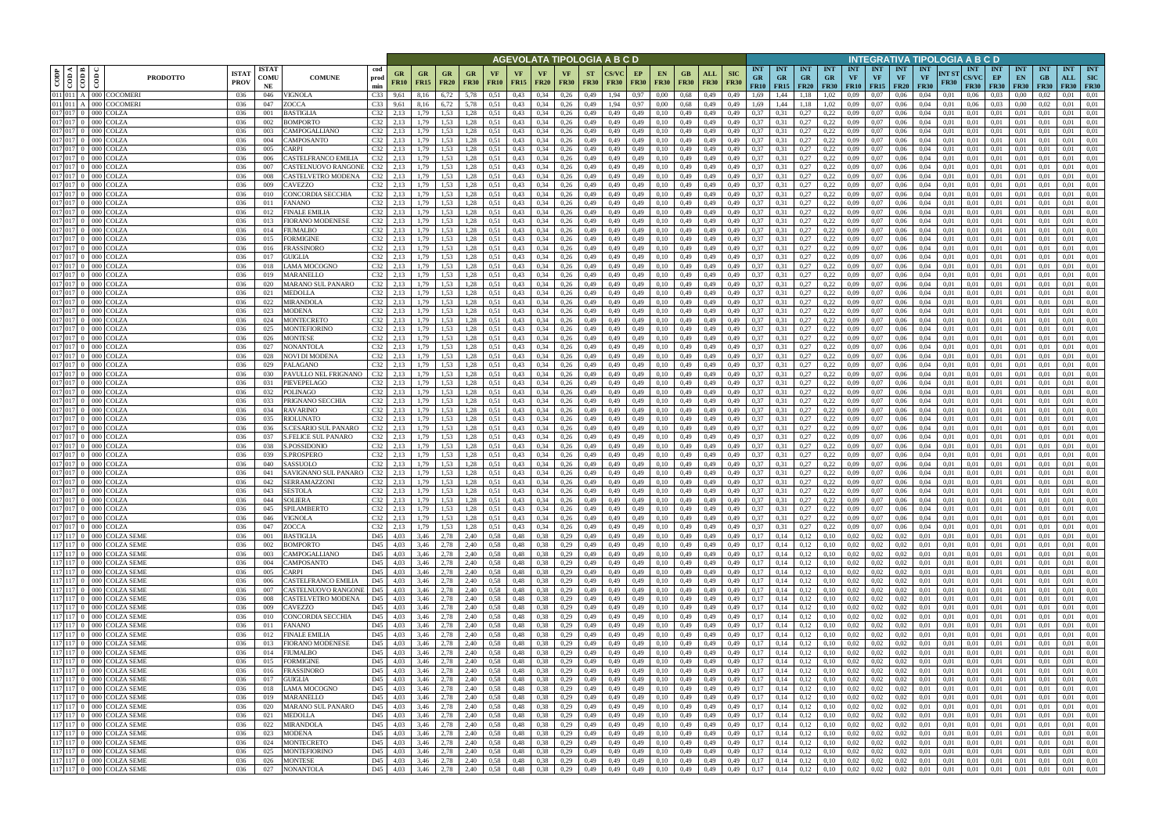|                        |                               |                                                      |                             |                            |                                                        |                                  |                                               |                              |                   |                          |                                | AGEVOLATA TIPOLOGIA A B C D |                          |                      |                                               |                   |                            |                           |                                                |                                        |                         |                                        |                  |                                      |                                        | NTEGRATIVA TIPOLOGIA A B C D           |                      |                                    |                                         |                                 |                           |                                  |                                         |
|------------------------|-------------------------------|------------------------------------------------------|-----------------------------|----------------------------|--------------------------------------------------------|----------------------------------|-----------------------------------------------|------------------------------|-------------------|--------------------------|--------------------------------|-----------------------------|--------------------------|----------------------|-----------------------------------------------|-------------------|----------------------------|---------------------------|------------------------------------------------|----------------------------------------|-------------------------|----------------------------------------|------------------|--------------------------------------|----------------------------------------|----------------------------------------|----------------------|------------------------------------|-----------------------------------------|---------------------------------|---------------------------|----------------------------------|-----------------------------------------|
| CODP                   | ≺ I ⊨<br>$\frac{1}{\sqrt{2}}$ | $\frac{6}{2}$<br><b>PRODOTTO</b>                     | <b>ISTA7</b><br><b>PROV</b> | <b>ISTAT</b><br>comu<br>NE | cod<br><b>COMUNE</b><br>prod<br>min                    | GR<br><b>FR10</b>                | <b>GR</b><br>GR<br><b>FR15</b><br><b>FR20</b> | GR<br><b>FR30</b>            | VF<br><b>FR10</b> | <b>VF</b><br><b>FR15</b> | <b>VF</b><br><b>FR20</b>       | <b>VF</b><br><b>FR30</b>    | <b>ST</b><br><b>FR30</b> | CS/VC<br><b>FR30</b> | EP<br><b>EN</b><br><b>FR30</b><br><b>FR30</b> | GВ<br><b>FR30</b> | ALL<br><b>FR30</b>         | <b>SIC</b><br><b>FR30</b> | <b>INT</b><br><b>GR</b><br>FR10                | <b>INT</b><br><b>GR</b><br>$FR15$ FR20 | <b>INT</b><br><b>GR</b> | <b>INT</b><br><b>GR</b><br><b>FR30</b> | <b>INT</b><br>VF | <b>INT</b><br>VF<br><b>FR10</b> FR15 | <b>INT</b><br><b>VF</b><br><b>FR20</b> | <b>INT</b><br><b>VF</b><br><b>FR30</b> | NT ST<br><b>FR30</b> | <b>INT</b><br>CS/VC<br><b>FR30</b> | <b>INT</b><br>EP<br><b>FR30</b>         | <b>INT</b><br>EN<br><b>FR30</b> | <b>INT</b><br>GB<br>F R30 | <b>INT</b><br>ALL<br><b>FR30</b> | <b>INT</b><br><b>SIC</b><br><b>FR30</b> |
| $\overline{011}$ 011 A |                               | 011 011 A 000 COCOMER                                | 036                         | 046                        | C <sub>33</sub><br>VIGNOLA                             | 9,61                             | 8,16<br>6,72                                  | 5.78                         | 0.51              | 0,43                     | 0,34                           | 0,26                        | 0,49                     | 1,94                 | 0.97<br>0.00                                  | 0.68              | 0,49                       | 0,49                      | 1.69                                           | .44                                    |                         | 1,02                                   | 0.09             | 0.07                                 | 0.06                                   | 0.04                                   | 0.01                 | 0.06                               | 0.03                                    | 0.00                            |                           | 0.01                             | 0.01                                    |
| 017 017                |                               | <b>COCOMER</b><br>000<br>000 COLZA                   | 036<br>036                  | 047<br>001                 | ZOCCA<br>C <sub>33</sub><br><b>BASTIGLIA</b><br>C32    | 9,61                             | 6,72<br>1.53                                  | 5,78<br>.28                  | 0,51<br>0,51      | 0,43<br>0,43             | 0,34<br>0,34                   | 0,26<br>0,26                | 0,49<br>0,49             | .94<br>0.49          | 0,97<br>0.00<br>0,49<br>0.10                  | 0,68<br>0,49      | 0,49<br>0,49               | 0,49<br>0,49              | 1,69<br>0,37                                   | ,44                                    | 1,18<br>0,27            | 1,02<br>0,22                           | 0.09<br>0.09     | 0.07<br>0,07                         | 0,06<br>0,06                           | 0,04<br>0.04                           | 0,01<br>0.01         | 0,06<br>0.01                       | 0.03<br>0,01                            | 0.00<br>0.01                    | 0,02                      | 0,01<br>0.01                     | 0,01<br>0,01                            |
|                        | 017 017 0                     | 000 COLZA                                            | 036                         | 002                        | C32<br>BOMPORTO                                        | 2,13                             | 1.79                                          | 1.53<br>1,28                 | 0.51              | 0,43                     | 0,34                           | 0,26                        | 0,49                     | 0,49                 | 0,10<br>0,49                                  | 0,49              | 0,49                       | 0,49                      | 0,37                                           | 0,31                                   | 0,27                    | 0,22                                   | 0.09             | 0.07                                 | 0,06                                   | 0,04                                   | 0,01                 | 0.01                               | 0.01                                    | 0,01                            | 0.01                      | 0.01                             | 0,01                                    |
| 017 017                |                               | 000 COLZA                                            | 036                         | 003                        | C32<br>CAMPOGALLIANO                                   | 2,13                             | 1.79<br>1.53                                  | 1,28                         | 0.51              | 0,43                     | 0,34                           | 0,26                        | 0,49                     | 0.49                 | 0,49<br>0.10                                  | 0,49              | 0,49                       | 0,49                      | 0,37                                           | 0.31                                   | 0,27                    | 0,22                                   | 0.09             | 0.07                                 | 0,06                                   | 0.04                                   | 0.01                 | 0,01                               | 0.01                                    | 0.01                            | 0.01                      | 0.01                             | 0,01                                    |
| $\overline{017}$ 017 0 |                               | 000 COLZA                                            | 036                         | 004                        | C32<br>CAMPOSANTO                                      | 2,13                             | 1,79<br>1,53                                  | 1,28                         | 0.51              | 0,43                     | 0,34                           | 0,26                        | 0,49                     | 0,49                 | 0,10<br>0,49                                  | 0,49              | 0,49                       | 0,49                      | 0,37                                           | 0,31                                   | 0,27                    | 0,22                                   | 0.09             | 0,07                                 | 0,06                                   | 0,04                                   | 0,01                 | 0.01                               | 0.01                                    | 0,01                            | 0,01                      | 0,01                             | 0,01                                    |
| 017 017<br>017 017     |                               | COLZA<br>DOO 1<br>000 COLZA                          | 036<br>036                  | 005<br>006                 | CARPI<br>C32<br>CASTELFRANCO EMILIA<br>C32             | 2.13<br>2,13                     | 1.53<br>1.79<br>1.53<br>1,79                  | 1,28<br>1,28                 | 0.51<br>0.51      | 0,43<br>0,43             | 0.34<br>0.34                   | 0,26<br>0,26                | 0,49<br>0,49             | 0.49                 | 0,49<br>0.10<br>0,49<br>0.10                  | 0.49<br>0.49      | 0,49<br>0,49               | 0.49<br>0,49              | 0,37<br>0,37                                   | 0.31                                   | 0,27<br>0,27            | 0,22<br>0,22                           | 0.09<br>0.09     | 0.07<br>0.07                         | 0.06<br>0,06                           | 0.04<br>0.04                           | 0.01<br>0.01         | 0.01<br>0.01                       | 0.01<br>0.01                            | 0.01<br>0,01                    | 0.01                      | 0.01<br>0.01                     | 0,01<br>0,01                            |
| 017 017                |                               | 000 COLZA                                            | 036                         | 007                        | C32<br>CASTELNUOVO RANGONI                             | 2,13                             | 1,53<br>1,79                                  | 1,28                         | 0.51              | 0,43                     | 0.34                           | 0,26                        | 0,49                     | 0.49                 | 0,49<br>0.10                                  | 0,49              | 0,49                       | 0.49                      | 0,37                                           | 0,31                                   | 0,27                    | 0,22                                   | 0.09             | 0.07                                 | 0,06                                   | 0.04                                   | 0.01                 | 0.01                               | 0.01                                    | 0,01                            | 0.01                      | 0.01                             | 0,01                                    |
| 017 017 0              |                               | 000 COLZA                                            | 036                         | 008                        | C32<br>CASTELVETRO MODENA                              | 2,13                             | 1.53<br>1,79                                  | 1,28                         | 0.51              | 0,43                     | 0.34                           | 0,26                        | 0,49                     | 0.49                 | 0,49<br>0.10                                  | 0.49              | 0,49                       | 0,49                      | 0.37                                           | 0,31                                   | 0,27                    | 0,22                                   | 0.09             | 0.07                                 | 0.06                                   | 0.04                                   | 0.01                 | 0.01                               | 0.01                                    | 0.01                            | 0.01                      | 0.01                             | 0,01                                    |
| 017 017                |                               | <b>COLZA</b><br>000 <sub>1</sub>                     | 036                         | 009                        | CAVEZZO                                                | C32<br>2,13                      | 1.53<br>1,79                                  | 1,28                         | 0.51              | 0,43                     | 0.34                           | 0,26                        | 0,49                     | 0.49                 | 0,49<br>0.10                                  | 0,49              | 0,49                       | 0.49                      | 0,37                                           | 0.31                                   | 0,27                    | 0,22                                   | 0.09             | 0.07                                 | 0.06                                   | 0.04                                   | 0.01                 | 0.01                               | 0.01                                    | 0.01                            | 0.01                      | 0.01                             | 0,01                                    |
| 017 017 0              |                               | 000 COLZA                                            | 036                         | 010                        | CONCORDIA SECCHIA<br>C32                               | 2,13                             | 1,53<br>1,79                                  | 1,28                         | 0,51              | 0,43                     | 0,34                           | 0,26                        | 0,49                     | 0,49                 | 0,49<br>0,10                                  | 0,49              | 0,49                       | 0,49                      | 0,37                                           | 0,31                                   | 0,27                    | 0,22                                   | 0,09             | 0,07                                 | 0,06                                   | 0,04                                   | 0,01                 | 0.01                               | 0,01                                    | 0,01                            | 0.01                      | 0,01                             | 0,01                                    |
| 017 017<br>017 017     |                               | <b>COLZA</b><br>0001<br>000 COLZA                    | 036<br>036                  | 011<br>012                 | C32<br>FANANO<br>FINALE EMILIA<br>C32                  | 2,13<br>2,13                     | 1.53<br>1,79<br>1.53<br>1,79                  | 1,28<br>1,28                 | 0,51<br>0,51      | 0,43<br>0,43             | 0,34<br>0,34                   | 0,26<br>0,26                | 0,49<br>0,49             | 0,49<br>0,49         | 0,49<br>0,10<br>0,49<br>0,10                  | 0,49<br>0,49      | 0,49<br>0,49               | 0,49<br>0,49              | 0,37<br>0,37                                   | 0,31<br>0,31                           | 0,27<br>0,27            | 0,22<br>0,22                           | 0,09<br>0,09     | 0,07<br>0,07                         | 0,06<br>0,06                           | 0,04<br>0,04                           | 0.01<br>0,01         | 0.01<br>0.01                       | 0,01<br>0,01                            | 0,01<br>0,01                    | 0,01<br>0,01              | 0,01<br>0.01                     | 0,01<br>0,01                            |
| 017 017 0              |                               | 000 COLZA                                            | 036                         | 013                        | C32<br>FIORANO MODENESE                                | 2,13                             | 1,79<br>1,53                                  | 1,28                         | 0,51              | 0,43                     | 0.34                           | 0,26                        | 0,49                     | 0.49                 | 0,49<br>0,10                                  | 0,49              | 0,49                       | 0,49                      | 0,37                                           | 0,31                                   | 0,27                    | 0,22                                   | 0,09             | 0,07                                 | 0,06                                   | 0,04                                   | 0,01                 | 0,01                               | 0,01                                    | 0,01                            | 0,01                      | 0,01                             | 0,01                                    |
| 017 017                |                               | COLZA                                                | 036                         | 014                        | FIUMALBO<br>C32                                        | 2,13                             | 1.53<br>1,79                                  | 1,28                         | 0,51              | 0,43                     | 0.34                           | 0,26                        | 0,49                     | 0.49                 | 0,49<br>0.10                                  | 0,49              | 0,49                       | 0,49                      | 0,37                                           | 0.31                                   | 0,27                    | 0,22                                   | 0,09             | 0,07                                 | 0,06                                   | 0.04                                   | 0,01                 | 0.01                               | 0,01                                    | 0,01                            | 0.01                      | 0,01                             | 0,01                                    |
|                        | 017 017 0                     | COLZA<br>000 <sub>1</sub>                            | 036                         | 015                        | FORMIGINE                                              | $C32$ 2,13                       | 1,53<br>1,79                                  | 1,28                         | 0,51              | 0,43                     | 0,34                           | 0,26                        | 0,49                     | 0.49                 | 0,49<br>0,10                                  | 0,49              | 0,49                       | 0,49                      | 0,37                                           | 0.31                                   | 0,27                    | 0,22                                   | 0,09             | 0,07                                 | 0,06                                   | 0,04                                   | 0,01                 | 0.01                               | 0,01                                    | 0,01                            | 0,01                      | 0,01                             | 0,01                                    |
| 017 017<br>017 017 0   |                               | COLZA<br><b>COLZA</b><br>000                         | 036<br>036                  | 016<br>017                 | FRASSINORO<br><b>GUIGLIA</b>                           | C32<br>2,13<br>$C32$ 2.13        | 1,53<br>1,79<br>1.53<br>1.79                  | 1,28<br>1.28                 | 0,51<br>0,51      | 0,43<br>0,43             | 0,34<br>0,34                   | 0,26<br>0,26                | 0,49<br>0,49             | 0,49<br>0.49         | 0,49<br>0,10<br>0,49<br>0.10                  | 0,49<br>0,49      | 0,49<br>0,49               | 0,49<br>0.49              | 0,37<br>0,37                                   | 0,31<br>0.31                           | 0,27<br>0,27            | 0,22<br>0,22                           | 0,09<br>0.09     | 0,07<br>0,07                         | 0,06<br>0,06                           | 0,04<br>0.04                           | 0,01<br>0.01         | 0.01<br>0.01                       | 0,01<br>0,01                            | 0,01<br>0,01                    | 0,01<br>0.01              | 0,01<br>0,01                     | 0,01<br>0,01                            |
|                        | $017$ 017 0                   | COLZA<br>000-                                        | 036                         | 018                        | LAMA MOCOGNO                                           | $C32$ 2,13                       | 1.53<br>1.79                                  | 1,28                         | 0.51              | 0,43                     | 0,34                           | 0,26                        | 0,49                     | 0.49                 | 0,49<br>0.10                                  | 0,49              | 0,49                       | 0.49                      | 0,37                                           | 0.31                                   | 0,27                    | 0,22                                   | 0.09             | 0,07                                 | 0.06                                   | 0.04                                   | 0.01                 | 0.01                               | 0,01                                    | 0,01                            | 0.01                      | 0,01                             | 0,01                                    |
|                        | 017 017 0                     | COLZA<br>000                                         | 036                         | 019                        | <b>MARANELLO</b>                                       | $C32$ 2,13                       | 1,53<br>1,79                                  | 1,28                         | 0,51              | 0,43                     | 0,34                           | 0,26                        | 0,49                     | 0,49                 | 0,49<br>0,10                                  | 0,49              | 0,49                       | 0,49                      | 0,37                                           | 0,31                                   | 0,27                    | 0,22                                   | 0,09             | 0,07                                 | 0,06                                   | 0,04                                   | 0,01                 | 0.01                               | 0,01                                    | 0,01                            | 0,01                      | 0,01                             | 0,01                                    |
| 017 017                |                               | COLZA                                                | 036                         | 020                        | C32<br>MARANO SUL PANARO                               | 2,13                             | 1.53<br>1.79                                  | 1.28                         | 0.51              | 0,43                     | 0,34                           | 0,26                        | 0,49                     |                      | 0,49<br>0.10                                  | 0,49              | 0.49                       | 0.49                      | 0,37                                           |                                        | 0,27                    | 0,22                                   | 0.09             | 0.07                                 | 0.06                                   | 0.04                                   | 0.01                 | 0.01                               | 0.01                                    | 0.0                             |                           | 0.01                             | 0.01                                    |
| 017 017                | 017 017 0                     | COLZA<br>000 <sub>1</sub>                            | 036                         | 021                        | MEDOLLA                                                | C32<br>2,13                      | 1.53<br>1.79                                  | 1.28                         | 0.51              | 0,43                     | 0,34                           | 0,26                        | 0,49                     | 0.49                 | 0,49<br>0.10                                  | 0,49              | 0.49                       | 0,49                      | 0,37                                           |                                        | 0,27                    | 0,22                                   | 0.09             | 0.07                                 | 0,06                                   | 0,04                                   | 0.01                 | 0.01                               | 0,01                                    | 0.01                            | 0.01                      | 0,01                             | 0.01                                    |
| 017 017 0              |                               | COLZA<br>OOC<br>000 COLZA                            | 036<br>036                  | 022<br>023                 | C32<br>MIRANDOLA<br>C32<br>MODENA                      | 2.13<br>2,13                     | 1.53<br>1.79<br>1.53<br>1.79                  | 1,28<br>1,28                 | 0,51<br>0.51      | 0,43<br>0,43             | 0,34<br>0,34                   | 0,26<br>0,26                | 0,49<br>0,49             | 0.49<br>0,49         | 0,49<br>0.10<br>0,49<br>0,10                  | 0.49<br>0,49      | 0.49<br>0,49               | 0.49<br>0,49              | 0,37<br>0,37                                   | 0.31<br>0.31                           | 0,27<br>0,27            | 0,22<br>0,22                           | 0.09<br>0,09     | 0.07<br>0.07                         | 0.06<br>0,06                           | 0.04<br>0,04                           | 0.01<br>0,01         | 0.01<br>0,01                       | 0,01<br>0,01                            | 0.01<br>0.01                    | 0.01<br>0,01              | 0.01<br>0,01                     | 0,01<br>0,01                            |
| 017 017                |                               | COLZA<br>000 <sub>1</sub>                            | 036                         | 024                        | C32<br>MONTECRETO                                      | 2,13                             | 1.53<br>1.79                                  | 1,28                         | 0.51              | 0,43                     | 0,34                           | 0,26                        | 0,49                     | 0.49                 | 0,49<br>0.10                                  | 0,49              | 0.49                       | 0,49                      | 0,37                                           | 0.31                                   | 0,27                    | 0,22                                   | 0.09             | 0.07                                 | 0.06                                   | 0.04                                   | 0.01                 | 0.01                               | 0.01                                    | 0.01                            | 0.01                      | 0.01                             | 0.01                                    |
| 017 017 0              |                               | 000 COLZA                                            | 036                         | 025                        | C32<br>MONTEFIORINC                                    | 2,13                             | 1,79<br>1,53                                  | 1,28                         | 0,51              | 0,43                     | 0,34                           | 0,26                        | 0,49                     | 0.49                 | 0,49<br>0,10                                  | 0,49              | 0,49                       | 0,49                      | 0,37                                           | 0.31                                   | 0,27                    | 0,22                                   | 0,09             | 0,07                                 | 0,06                                   | 0,04                                   | 0,01                 | 0,01                               | 0,01                                    | 0,01                            | 0,01                      | 0.01                             | 0,01                                    |
| 017 017                |                               | COLZA<br>)OO I                                       | 036                         | 026                        | MONTESE<br>C32                                         |                                  | 1.53<br>l.79                                  | 1.28                         | 0.51              | 0,43                     | 0,34                           | 0,26                        | 0,49                     | 0.49                 | 0,49                                          | 0,49              | 0,49                       | 0.49                      | 0,37                                           |                                        | 0,27                    | 0,22                                   | 0.09             | 0.07                                 | 0,06                                   | 0.04                                   | 0.01                 | 0.01                               | 0.01                                    | 0.01                            |                           | 0.01                             | 0.01                                    |
| 017 017<br>017 017     |                               | 000 COLZA<br>000 COLZA                               | 036<br>036                  | 027<br>028                 | C32<br>NONANTOLA<br>C32<br>NOVI DI MODENA              | 2,13<br>2,13                     | 1.53<br>1,79<br>1,79<br>1,53                  | 1,28<br>1,28                 | 0.51<br>0.51      | 0,43<br>0,43             | 0,34<br>0.34                   | 0,26<br>0,26                | 0,49<br>0,49             | 0,49<br>0.49         | 0,49<br>0.10<br>0,49<br>0,10                  | 0,49<br>0,49      | 0,49<br>0,49               | 0,49<br>0,49              | 0,37<br>0,37                                   | 0.31<br>0,31                           | 0,27<br>0,27            | 0,22<br>0,22                           | 0,09<br>0.09     | 0.07<br>0,07                         | 0,06<br>0,06                           | 0,04<br>0.04                           | 0,01<br>0,01         | 0,01<br>0,01                       | 0.01<br>0.01                            | 0,01<br>0,01                    | 0.01<br>0,01              | 0.01<br>0.01                     | 0,01<br>0,01                            |
| 017 017 0              |                               | 000 COLZA                                            | 036                         | 029                        | C32<br>PALAGANO                                        | 2,13                             | 1.53<br>1.79                                  | 1,28                         | 0.51              | 0,43                     | 0.34                           | 0,26                        | 0,49                     | 0.49                 | 0,49<br>0.10                                  | 0.49              | 0,49                       | 0,49                      | 0.37                                           | 0.31                                   | 0,27                    | 0,22                                   | 0.09             | 0.07                                 | 0,06                                   | 0.04                                   | 0.01                 | 0.01                               | 0.01                                    | 0,01                            | 0.01                      | 0.01                             | 0,01                                    |
| 017 017                |                               | 000 COLZA                                            | 036                         | 030                        | PAVULLO NEL FRIGNANO<br>C32                            | 2,13                             | 1.53<br>1,79                                  | 1,28                         | 0.51              | 0,43                     | 0.34                           | 0,26                        | 0,49                     | 0.49                 | 0,49<br>0.10                                  | 0.49              | 0,49                       | 0.49                      | 0,37                                           | 0.31                                   | 0,27                    | 0,22                                   | 0.09             | 0.07                                 | 0.06                                   | 0.04                                   | 0.01                 | 0.01                               | 0.01                                    | 0.01                            | 0.01                      | 0.01                             | 0,01                                    |
| 017 017                |                               | 000 COLZA                                            | 036                         | 031                        | PIEVEPELAGO<br>C32                                     | 2,13                             | 1,53<br>1,79                                  | 1,28                         | 0.51              | 0,43                     | 0.34                           | 0,26                        | 0,49                     | 0.49                 | 0,49<br>0.10                                  | 0,49              | 0,49                       | 0,49                      | 0,37                                           | 0,31                                   | 0,27                    | 0,22                                   | 0,09             | 0.07                                 | 0,06                                   | 0.04                                   | 0,01                 | 0.01                               | 0.01                                    | 0,01                            | 0.01                      | 0,01                             | 0,01                                    |
| 017 017                |                               | COLZA<br>000 I                                       | 036                         | 032                        | POLINAGO                                               | $C32$ 2,13                       | 1.53<br>1.79                                  | 1,28                         | 0.51              | 0,43                     | 0.34                           | 0,26                        | 0,49                     | 0.49                 | 0,49<br>0.10                                  | 0.49              | 0,49                       | 0.49                      | 0,37                                           | 0,31                                   | 0,27                    | 0,22                                   | 0.09             | 0.07                                 | 0.06                                   | 0.04                                   | 0.01                 | 0.01                               | 0.01                                    | 0.01                            | 0.01                      | 0.01                             | 0,01                                    |
| 017 017 0<br>017 017   |                               | 000 COLZA<br>000 COLZA                               | 036<br>036                  | 033<br>034                 | PRIGNANO SECCHIA<br>RAVARINO                           | $C32$ 2,13<br>$C32$ 2,13         | 1.53<br>1,79<br>1,79<br>1,53                  | 1,28<br>1,28                 | 0.51<br>0,51      | 0,43<br>0,43             | 0.34<br>0,34                   | 0,26<br>0,26                | 0,49<br>0,49             | 0.49<br>0,49         | 0,49<br>0,10<br>0,49<br>0,10                  | 0,49<br>0,49      | 0,49<br>0,49               | 0,49<br>0,49              | 0,37<br>0,37                                   | 0,31<br>0,31                           | 0,27<br>0,27            | 0,22<br>0,22                           | 0.09<br>0,09     | 0.07<br>0,07                         | 0,06<br>0,06                           | 0.04<br>0,04                           | 0.01<br>0,01         | 0.01<br>0,01                       | 0.01<br>0,01                            | 0,01<br>0,01                    | 0.01<br>0,01              | 0.01<br>0.01                     | 0,01<br>0,01                            |
| 017 017                |                               | COLZA<br>000 I                                       | 036                         | 035                        | C32<br>RIOLUNATO                                       | 2,13                             | 1.53<br>1,79                                  | 1,28                         | 0,51              | 0,43                     | 0,34                           | 0,26                        | 0,49                     | 0,49                 | 0,49<br>0,10                                  | 0,49              | 0,49                       | 0,49                      | 0,37                                           | 0,31                                   | 0,27                    | 0,22                                   | 0,09             | 0,07                                 | 0,06                                   | 0,04                                   | 0,01                 | 0.01                               | 0,01                                    | 0,01                            | 0,01                      | 0,01                             | 0,01                                    |
| 017 017                |                               | <b>COLZA</b><br>0001                                 | 036                         | 036                        | S.CESARIO SUL PANARO                                   | C32<br>2,13                      | 1,53<br>1,79                                  | 1,28                         | 0,51              | 0,43                     | 0,34                           | 0,26                        | 0,49                     | 0.49                 | 0,49<br>0,10                                  | 0,49              | 0,49                       | 0,49                      | 0,37                                           | 0,31                                   | 0,27                    | 0,22                                   | 0,09             | 0,07                                 | 0,06                                   | 0,04                                   | 0.01                 | 0.01                               | 0,01                                    | 0,01                            | 0,01                      | 0,01                             | 0,01                                    |
| 017 017                |                               | COLZA<br>000 I                                       | 036                         | 037                        | S.FELICE SUL PANARO                                    | C32<br>2,13                      | 1,53<br>1,79                                  | 1,28                         | 0,51              | 0,43                     | 0,34                           | 0,26                        | 0,49                     | 0.49                 | 0,49<br>0,10                                  | 0,49              | 0,49                       | 0,49                      | 0,37                                           | 0,31                                   | 0,27                    | 0,22                                   | 0,09             | 0,07                                 | 0,06                                   | 0,04                                   | 0,01                 | 0,01                               | 0,01                                    | 0,01                            | 0,01                      | 0,01                             | 0,01                                    |
| 017 017 0              | 017 017 0                     | COLZA<br>000<br>COLZA<br>000 <sub>1</sub>            | 036<br>036                  | 038<br>039                 | S.POSSIDONIO<br>S.PROSPERO                             | $C32$ 2,13<br>$C32$ 2,13         | 1,53<br>1,79<br>1.53<br>1,79                  | 1,28<br>1,28                 | 0,51<br>0,51      | 0,43<br>0,43             | 0,34<br>0,34                   | 0,26<br>0,26                | 0,49<br>0,49             | 0.49<br>0,49         | 0,49<br>0,10<br>0,49<br>0,10                  | 0,49<br>0,49      | 0,49<br>0,49               | 0,49<br>0,49              | 0,37<br>0,37                                   | 0,31<br>0,31                           | 0,27<br>0,27            | 0,22<br>0,22                           | 0,09<br>0,09     | 0,07<br>0,07                         | 0,06<br>0,06                           | 0,04<br>0,04                           | 0.01<br>0,01         | 0.01<br>0,01                       | 0,01<br>0,01                            | 0,01<br>0,01                    | 0,01<br>0,01              | 0,01<br>0,01                     | 0,01<br>0,01                            |
|                        | 017 017 0                     | COLZA<br>000                                         | 036                         | 040                        | C32<br>SASSUOLO                                        | 2,13                             | 1,53<br>1,79                                  | 1,28                         | 0,51              | 0,43                     | 0,34                           | 0,26                        | 0,49                     | 0.49                 | 0,49<br>0,10                                  | 0,49              | 0,49                       | 0,49                      | 0,37                                           | 0,31                                   | 0,27                    | 0,22                                   | 0,09             | 0,07                                 | 0,06                                   | 0,04                                   | 0,01                 | 0,01                               | 0,01                                    | 0,01                            | 0,01                      | 0,01                             | 0,01                                    |
| 017 017                |                               | COLZA                                                | 036                         | 041                        | C32<br>SAVIGNANO SUL PANARO                            | 2,13                             | 1.53<br>1.79                                  | 1.28                         | 0,51              | 0,43                     | 0,34                           | 0,26                        | 0,49                     | 0.49                 | 0,49<br>0.10                                  | 0,49              | 0,49                       | 0.49                      | 0,37                                           | 0.31                                   | 0,27                    | 0,22                                   | 0,09             | 0,07                                 | 0.06                                   | 0.04                                   | 0.01                 | 0.01                               | 0,01                                    | 0,01                            | 0.01                      | 0,01                             | 0,01                                    |
|                        |                               | 017 017 0 000 COLZA                                  | 036                         | 042                        | SERRAMAZZONI                                           | $C32$ 2,13                       | 1,53<br>1,79                                  | 1,28                         | 0.51              | 0,43                     | 0,34                           | 0,26                        | 0,49                     | 0,49                 | 0,49<br>0,10                                  | 0,49              | 0,49                       | 0,49                      | 0,37                                           | 0,31                                   | 0,27                    | 0,22                                   | 0,09             | 0,07                                 | 0,06                                   | 0,04                                   | 0,01                 | 0.01                               | 0,01                                    | 0,01                            | 0,01                      | 0,01                             | 0,01                                    |
|                        |                               | 017 017 0 000 COLZA                                  | 036                         | 043                        | <b>SESTOLA</b>                                         | $C32$ 2,13                       | 1,79<br>1.53                                  | 1,28                         | 0,51              | 0,43                     | 0,34                           | 0,26                        | 0,49                     | 0,49                 | 0,49<br>0,10                                  | 0,49              | 0,49                       | 0,49                      | 0,37                                           | 0,31                                   | 0,27                    | 0,22                                   | 0.09             | 0,07                                 | 0,06                                   | 0.04                                   | 0,01                 | 0.01                               | 0,01                                    | 0,01                            | 0.01                      | 0.01                             | 0,01                                    |
|                        |                               | 017 017 0 000 COLZA<br>017 017 0 000 COLZA           | 036<br>036                  | 044<br>045                 | <b>SOLIERA</b><br>SPILAMBERTO                          | $C32$ 2,13<br>$C32$ 2,13         | 1,79<br>1,79<br>1,53                          | 1,53<br>1,28<br>1,28         | 0,51<br>0,51      | 0,43<br>0,43             | $0,34$ $0,26$<br>$0,34$ $0,26$ |                             | 0,49<br>0,49             | 0,49<br>0,49         | 0,49<br>0,10<br>0,49<br>0,10                  | 0,49<br>0,49      | 0,49<br>0,49               | 0,49<br>0,49              | 0,37<br>0,37                                   | 0,31<br>0,31                           | 0,27<br>0,27            | 0,22<br>0,22                           | 0,09<br>0,09     | 0,07<br>0,07                         | 0,06<br>0,06                           | 0,04<br>0,04                           | 0,01<br>0,01         | 0.01<br>0.01                       | $0.01 \quad 0.01$<br>$0.01 \qquad 0.01$ |                                 | 0,01<br>0,01              | 0.01<br>0,01                     | 0,01<br>0,01                            |
|                        |                               | 017 017 0 000 COLZA                                  | 036                         | 046                        | <b>VIGNOLA</b>                                         | $C32$ 2,13                       | 1,79                                          | 1,53<br>1,28                 | 0,51              | 0,43                     | $0,34$ 0,26                    |                             | 0,49                     | 0,49                 | 0,49<br>0,10                                  |                   | $0,49$ $0,49$              | 0,49                      | 0,37                                           | 0,31                                   | 0,27                    | 0,22                                   | 0,09             | 0,07                                 | 0,06                                   | 0,04                                   | 0,01                 | 0,01                               | $0.01 \qquad 0.01$                      |                                 | 0,01                      | 0,01                             | 0,01                                    |
|                        |                               | 017 017 0 000 COLZA                                  | 036                         | 047                        | ZOCCA                                                  | $C32$ 2,13                       | 1,79<br>1,53                                  | 1,28                         | 0,51              | 0,43                     |                                | $0.34$ 0.26                 | 0,49                     | 0,49                 | 0,49<br>0,10                                  |                   | 0.49 0.49                  | 0,49                      | 0,37                                           | 0,31                                   | 0,27                    | 0,22                                   | $0,09$ 0.07      |                                      | 0,06                                   | 0,04                                   | 0,01                 | 0.01                               | $0.01 \qquad 0.01$                      |                                 | 0,01                      | 0,01                             | 0.01                                    |
|                        |                               | 117 117 0 000 COLZA SEME                             | 036                         | 001                        | <b>BASTIGLIA</b>                                       | D45 4,03                         | 2,78<br>3,46                                  | 2,40                         | 0,58              | 0,48                     | $0,38$ $0,29$                  |                             | 0,49                     | 0,49                 | 0,49<br>0,10                                  |                   | 0,49 0,49                  | 0,49                      | 0,17                                           | $0,14$ $0,12$                          |                         | 0,10                                   | 0,02             | 0,02                                 | 0,02                                   | 0,01                                   | 0,01                 | 0,01                               | $0.01 \qquad 0.01$                      |                                 | 0,01                      | 0,01                             | 0,01                                    |
|                        |                               | 117 117 0 000 COLZA SEME<br>117 117 0 000 COLZA SEME | 036<br>036                  | 002<br>003                 | BOMPORTO<br>CAMPOGALLIANO                              | D45 4,03<br>D45<br>4,03          | 3,46<br>2,78<br>3,46<br>2,78                  | 2,40<br>2,40                 | 0,58<br>0,58      | 0,48<br>0,48             | $0,38$ $0,29$<br>$0,38$ 0,29   |                             | 0,49<br>0,49             | 0,49<br>0,49         | 0,49<br>0,10<br>0,49<br>0,10                  | 0,49              | 0,49 0,49<br>0,49          | 0,49<br>0,49              | 0,17<br>0,17                                   | $0,14$ $0,12$<br>0,14                  | 0,12                    | 0,10<br>0,10                           | 0,02<br>0,02     | 0,02<br>0,02                         | 0,02<br>0,02                           | 0,01<br>0,01                           | 0,01<br>0,01         | 0,01<br>0,01                       | 0,01<br>0,01                            | 0,01<br>0,01                    | 0,01<br>0,01              | 0,01<br>0,01                     | 0,01<br>0,01                            |
|                        |                               | 117 117 0 000 COLZA SEME                             | 036                         | 004                        | CAMPOSANTO                                             | D45<br>4,03                      | 3,46<br>2,78                                  | 2,40                         | 0,58              | 0,48                     | $0,38$ $0,29$                  |                             | 0,49                     | 0,49                 | 0,49<br>0,10                                  |                   | 0,49 0,49                  | 0,49                      | 0,17                                           | $0,14$ $0,12$                          |                         | 0,10                                   | 0,02             | 0,02                                 | 0,02                                   | 0,01                                   | 0,01                 | 0,01                               | 0.01                                    | 0,01                            | 0,01                      | 0,01                             | 0,01                                    |
|                        |                               | 117 117 0 000 COLZA SEME                             | 036                         | 005                        | CARPI                                                  | D45 4,03                         | 3,46<br>2,78                                  | 2,40                         | 0,58              | 0,48                     | $0,38$ $0,29$                  |                             | 0,49                     | 0,49                 | 0,49<br>0,10                                  |                   | 0,49 0,49                  | 0,49                      | 0,17                                           | $0,14$ $0,12$                          |                         | 0,10                                   | 0,02             | 0,02                                 | 0,02                                   | 0,01                                   | 0,01                 | 0,01                               | 0,01                                    | 0,01                            | 0,01                      | 0,01                             | 0,01                                    |
|                        |                               | 117 117 0 000 COLZA SEME                             | 036                         | 006                        | <b>CASTELFRANCO EMILIA</b>                             | D <sub>45</sub> 4,03             | $3,46$ $2,78$                                 |                              | 2,40 0,58         | 0,48                     | $0,38$ $0,29$                  |                             | 0,49                     | 0,49                 | 0,49<br>0,10                                  |                   | 0,49 0,49                  |                           | $0,49$ $0,17$                                  | $0,14$ $0,12$ $0,10$                   |                         |                                        |                  | $0,02 \quad 0,02$                    | 0,02                                   | 0,01                                   | 0,01                 | 0.01                               | $0,01$ $0,01$                           |                                 | 0,01                      |                                  | $0,01$ $0,01$                           |
|                        |                               | 117 117 0 000 COLZA SEME<br>117 117 0 000 COLZA SEME | 036<br>036                  | 007<br>008                 | CASTELNUOVO RANGONE   D45   4,03<br>CASTELVETRO MODENA | D45 4,03                         | $3,46$ 2,78<br>3,46 2,78                      | 2,40                         | 2,40 0,58<br>0,58 | $0,48$ 0,38 0,29<br>0,48 |                                | 0,38 0,29                   | 0,49<br>0,49             | 0,49<br>0,49         | 0,49<br>0,10<br>0,49<br>0,10                  |                   | 0,49 0,49<br>0,49 0,49     | 0,49                      | $0,49$ 0.17 0.14 0.12 0.10<br>0,17             | $0,14$ $0,12$ $0,10$                   |                         |                                        |                  | $0,02$ 0.02<br>$0,02$ 0.02           | 0,02<br>0,02                           | 0,01<br>0,01                           | 0,01<br>0,01         | 0.01<br>0,01                       | $0,01$ $0,01$<br>0,01                   | 0,01                            | 0,01<br>0,01              | 0.01                             | $0,01$ $0,01$<br>0,01                   |
|                        |                               | 117 117 0 000 COLZA SEME                             | 036                         | 009                        | CAVEZZO                                                | D <sub>45</sub> 4,03             | 3,46<br>2,78                                  | 2,40                         | 0,58              | 0,48                     | $0,38$ 0,29                    |                             | 0,49                     | 0,49                 | 0,10<br>0,49                                  |                   | $0,49$ $0,49$              | 0,49                      | 0,17                                           | $0,14$ $0,12$                          |                         | 0,10                                   |                  | $0,02$ 0.02                          | 0,02                                   | 0,01                                   | 0,01                 | 0,01                               | $0.01 \qquad 0.01$                      |                                 | 0,01                      | 0,01                             | 0,01                                    |
|                        |                               | 117 117 0 000 COLZA SEME                             | 036                         | 010                        | CONCORDIA SECCHIA                                      | D <sub>45</sub> 4,03             | 3,46 2,78                                     | 2,40                         | 0,58              | 0,48                     | $0,38$ $0,29$                  |                             | 0,49                     | 0,49                 | 0,49<br>0,10                                  |                   | 0,49 0,49                  | 0,49                      | 0,17                                           | $0,14$ $0,12$ $0,10$                   |                         |                                        |                  | $0,02$ 0.02                          | 0,02                                   | 0,01                                   | 0,01                 | 0,01                               | $0.01 \qquad 0.01$                      |                                 | 0,01                      | 0.01                             | 0,01                                    |
|                        |                               | 117 117 0 000 COLZA SEME                             | 036                         | 011                        | FANANO                                                 | D45 4,03                         | 2,78<br>3,46                                  | 2,40                         | 0,58              | 0,48                     | $0,38$ $0,29$                  |                             | 0,49                     | 0,49                 | 0,49<br>0,10                                  |                   | 0,49 0,49                  | 0,49                      | 0,17                                           | $0,14$ $0,12$                          |                         | 0,10                                   | 0,02             | 0,02                                 | 0,02                                   | 0,01                                   | 0,01                 | 0,01                               | $0,01$ $0,01$                           |                                 | 0,01                      | 0.01                             | 0,01                                    |
|                        |                               | 117 117 0 000 COLZA SEME                             | 036                         | 012                        | <b>FINALE EMILIA</b>                                   | D <sub>45</sub> 4,03             | 2,78<br>3,46                                  | 2,40                         | 0,58              | 0,48                     | $0,38$ $0,29$                  |                             | 0,49                     | 0,49                 | 0,49<br>0,10                                  | 0,49              | 0,49                       | 0,49                      | 0,17                                           | $0,14$ $0,12$                          |                         | 0,10                                   | 0,02             | 0,02                                 | 0,02                                   | 0,01                                   | 0,01                 | 0,01                               | $0,01$ $0,01$                           |                                 | 0,01                      | 0,01                             | 0,01                                    |
|                        |                               | 117 117 0 000 COLZA SEME<br>117 117 0 000 COLZA SEME | 036<br>036                  | 013<br>014                 | <b>FIORANO MODENESE</b><br>FIUMALBO                    | D45 4,03<br>D45 4,03             | 3,46<br>2,78<br>2,78<br>3,46                  | 2,40<br>2,40                 | 0,58<br>0,58      | 0,48<br>0,48             | $0,38$ $0,29$<br>$0,38$ $0,29$ |                             | 0,49<br>0,49             | 0,49<br>0,49         | 0,49<br>0,10<br>0,49<br>0,10                  |                   | $0,49$ $0,49$<br>0,49 0,49 | 0,49<br>0,49              | 0,17<br>0,17                                   | $0,14$ $0,12$<br>$0,14$ $0,12$         |                         | 0,10<br>0,10                           | 0,02<br>0,02     | 0,02<br>0,02                         | 0,02<br>0,02                           | 0,01<br>0,01                           | 0,01<br>0,01         | 0,01<br>0,01                       | $0,01$ $0,01$<br>$0,01$ $0,01$          |                                 | 0,01<br>0,01              | 0,01<br>0,01                     | 0,01<br>0,01                            |
|                        |                               | 117 117 0 000 COLZA SEME                             | 036                         | 015                        | <b>FORMIGINE</b>                                       | D45 4,03                         | 3,46                                          | 2,78                         | 2,40 0,58         | 0,48                     | $0,38$ $0,29$                  |                             | 0,49                     | 0.49                 | 0,49<br>0,10                                  |                   | 0,49 0,49                  | 0,49                      | $0,17$ 0,14 0,12 0,10                          |                                        |                         |                                        | $0,02$ 0.02      |                                      | 0,02                                   | 0,01                                   | 0,01                 | 0,01                               | $0.01 \qquad 0.01$                      |                                 | 0.01                      | 0,01                             | 0,01                                    |
|                        |                               | 117 117 0 000 COLZA SEME                             | 036                         | 016                        | FRASSINORO                                             | D <sub>45</sub> 4,03             | 3,46<br>2,78                                  |                              | 2,40 0.58         | 0,48                     | $0,38$ $0,29$                  |                             | 0,49                     | 0,49                 | 0,49<br>0,10                                  |                   | 0,49 0,49                  | 0,49                      | $0,17$ 0,14 0,12 0,10                          |                                        |                         |                                        |                  | $0,02$ 0.02                          | 0,02                                   | 0,01                                   | 0,01                 | 0.01                               |                                         | $0,01$ 0.01 0.01                |                           | 0,01                             | 0,01                                    |
|                        |                               | 117 117 0 000 COLZA SEME                             | 036                         | 017                        | <b>GUIGLIA</b>                                         | D45 4,03                         | 3,46                                          | 2,78                         | 2,40 0,58         | 0,48                     | $0,38$ $0,29$                  |                             | 0,49                     | 0,49                 | 0,49<br>0,10                                  |                   | 0,49 0,49                  | 0,49                      | $0,17$ 0,14 0,12 0,10                          |                                        |                         |                                        |                  | $0,02$ 0.02                          | 0,02                                   | 0,01                                   | 0,01                 | 0,01                               | $0,01$ $0,01$                           |                                 | 0,01                      | 0,01                             | 0,01                                    |
|                        |                               | 117 117 0 000 COLZA SEME<br>117 117 0 000 COLZA SEME | 036<br>036                  | 018<br>019                 | LAMA MOCOGNO<br><b>MARANELLO</b>                       | D <sub>45</sub> 4,03<br>D45 4,03 | 3,46<br>3,46                                  | 2,78<br>2,40<br>2,78<br>2,40 | 0,58<br>0,58      | 0,48<br>0,48             | $0,38$ $0,29$<br>$0,38$ $0,29$ |                             | 0,49<br>0,49             | 0,49<br>0,49         | 0,49<br>0,10<br>0,49<br>0,10                  |                   | 0,49 0,49<br>0,49 0,49     | 0,49<br>0,49              | $0,17$ 0,14 0,12 0,10<br>$0,17$ 0,14 0,12 0,10 |                                        |                         |                                        | $0,02$ 0.02      | $0,02 \quad 0,02$                    | 0,02<br>0,02                           | 0,01<br>0,01                           | 0,01<br>0,01         | 0,01<br>0,01                       | $0,01$ $0,01$<br>$0.01 \qquad 0.01$     |                                 | 0,01<br>0,01              | 0,01<br>0,01                     | 0,01<br>0,01                            |
|                        |                               | 117 117 0 000 COLZA SEME                             | 036                         | 020                        | MARANO SUL PANARO                                      | D45 4,03                         | 3,46                                          | 2,78<br>2,40                 | 0,58              | 0,48                     | $0,38$ $0,29$                  |                             | 0,49                     | 0,49                 | 0,49<br>0,10                                  |                   | 0,49 0,49                  | 0,49                      | $0,17$ 0,14 0,12 0,10                          |                                        |                         |                                        | 0,02             | 0,02                                 | 0,02                                   | 0,01                                   | 0,01                 | 0,01                               | $0,01$ $0,01$                           |                                 | 0,01                      | 0,01                             | 0,01                                    |
|                        |                               | 117 117 0 000 COLZA SEME                             | 036                         | 021                        | MEDOLLA                                                | D45 4,03                         | 3,46                                          | 2,78                         | 2,40 0.58         | 0,48                     |                                | 0,38 0,29                   | 0,49                     | 0,49                 | 0,49<br>0,10                                  |                   | 0,49 0,49                  | 0,49                      | $0,17$ 0,14 0,12 0,10                          |                                        |                         |                                        |                  | $0.02 \qquad 0.02$                   | 0,02                                   | 0,01                                   | 0,01                 | 0,01                               | $0,01$ $0,01$                           |                                 | 0,01                      | 0,01                             | 0,01                                    |
|                        |                               | 117 117 0 000 COLZA SEME                             | 036                         | 022                        | <b>MIRANDOLA</b>                                       | D45 4,03                         | 3,46                                          | 2,78<br>2,40                 | 0,58              | 0,48                     | $0,38$ 0,29                    |                             | 0,49                     | 0,49                 | 0,49<br>0,10                                  |                   | 0,49 0,49                  | 0,49                      | 0,17                                           | $0,14$ $0,12$                          |                         | 0,10                                   | 0,02             | 0,02                                 | 0,02                                   | 0,01                                   | 0,01                 | 0,01                               | $0,01$ $0,01$                           |                                 | 0,01                      | 0,01                             | 0,01                                    |
|                        |                               | 117 117 0 000 COLZA SEME                             | 036                         | 023                        | <b>MODENA</b>                                          | D <sub>45</sub> 4,03             | 3,46                                          | 2,78<br>2,40                 | 0,58              | 0,48                     | $0,38$ $0,29$                  |                             | 0,49                     | 0,49                 | 0,49<br>0,10                                  | 0,49              | 0,49                       | 0,49                      | 0,17                                           | 0,14                                   | 0,12                    | 0,10                                   | 0,02             | 0,02                                 | 0,02                                   | 0,01                                   | 0,01                 | 0,01                               | 0,01                                    | 0,01                            | 0,01                      | 0.01                             | 0,01                                    |
|                        |                               | 117 117 0 000 COLZA SEME<br>117 117 0 000 COLZA SEME | 036<br>036                  | 024<br>025                 | <b>MONTECRETO</b><br><b>MONTEFIORINO</b>               | D45 4,03<br>D45 4,03             | 3,46<br>3,46                                  | 2,78<br>2,40<br>2,78<br>2,40 | 0,58<br>0,58      | 0,48<br>0,48             | $0,38$ 0,29                    | $0,38$ $0,29$               | 0,49<br>0,49             | 0,49<br>0,49         | 0,49<br>0,10<br>0,49<br>0,10                  | 0,49              | 0,49<br>0.49 0.49          | 0,49<br>0,49              | 0,17<br>0,17                                   | 0,14<br>$0,14$ $0,12$                  | 0,12                    | 0,10<br>0,10                           | 0,02<br>0,02     | 0,02<br>0,02                         | 0,02<br>0,02                           | 0,01<br>0,01                           | 0,01<br>0,01         | 0,01<br>0,01                       | 0.01<br>$0.01 \qquad 0.01$              | 0,01                            | 0,01<br>0,01              | 0,01<br>0,01                     | 0,01<br>0.01                            |
|                        |                               | 117 117 0 000 COLZA SEME                             | 036                         | 026                        | <b>MONTESE</b>                                         | D <sub>45</sub> 4,03             | 3,46                                          | 2,78<br>2,40                 | 0,58              | 0,48                     | $0,38$ $0,29$                  |                             | 0,49                     | 0,49                 | 0,49<br>0,10                                  |                   | 0,49 0,49                  | 0,49                      | 0,17                                           | $0,14$ $0,12$ $0,10$                   |                         |                                        | 0,02             | 0,02                                 | 0,02                                   | 0,01                                   | 0,01                 | 0,01                               | $0,01$ $0,01$                           |                                 | 0,01                      | 0,01                             | 0,01                                    |
|                        |                               | 117 117 0 000 COLZA SEME                             | 036                         | 027                        | <b>NONANTOLA</b>                                       | D45 4,03                         | $3,46$ $2,78$ $2,40$                          |                              | 0,58              |                          |                                | $0,48$ 0,38 0,29            | 0,49 0,49                |                      | 0,49                                          |                   | $0,10$ $0,49$ $0,49$       |                           | $0,49$ $0,17$ $0,14$ $0,12$ $0,10$             |                                        |                         |                                        | 0,02             | 0,02                                 | 0,02                                   | 0,01                                   | 0,01                 | $0,01$ $0,01$ $0,01$               |                                         |                                 | 0,01                      |                                  | $0,01$ 0.01                             |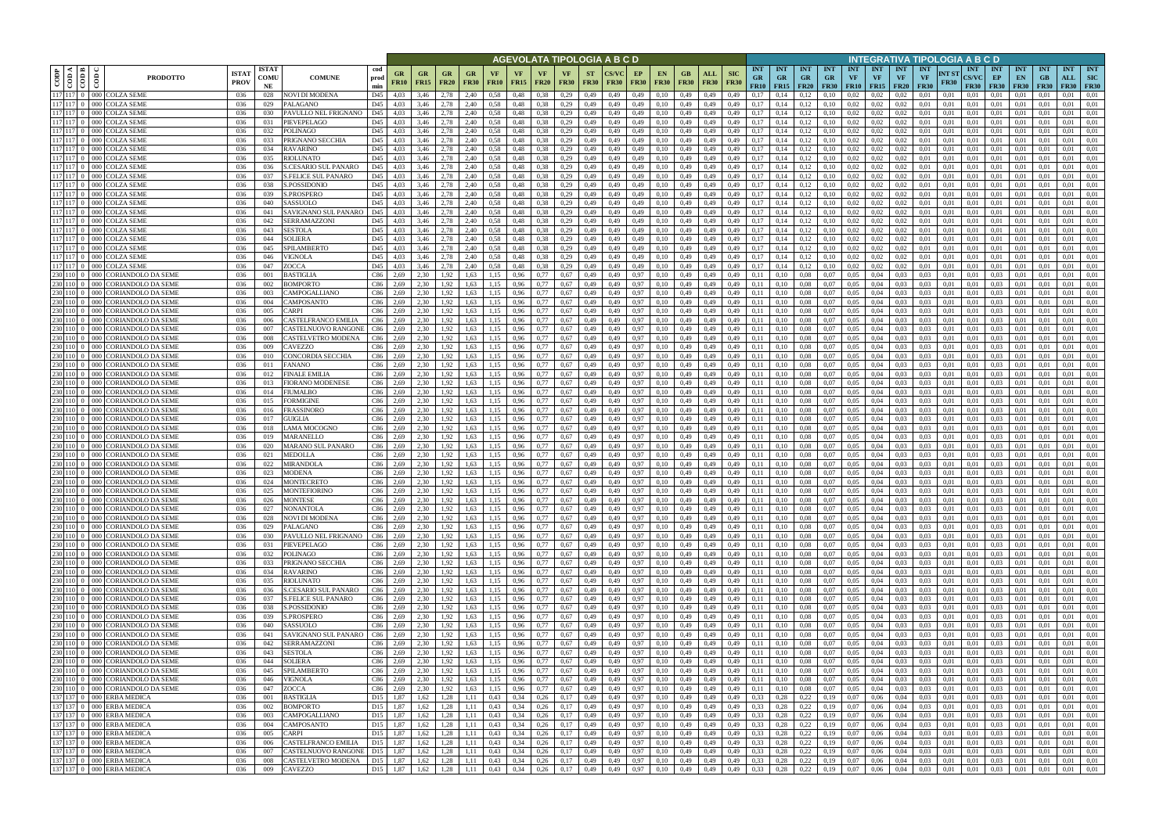|                        |                                        |                                                                      |                             |                            |                                                    |                        |                      |                          |                                   |                   |                   |                   |                     |                   |                          | AGEVOLATA TIPOLOGIA A B C D               |                                      |                    |                    |                                |                                        |                                     |                                          |                         |                                        |                                        |                         |                                        | INTEGRATIVA TIPOLOGIA A B C D   |                      |                                           |                                     |                                 |                                 |                                  |                                  |
|------------------------|----------------------------------------|----------------------------------------------------------------------|-----------------------------|----------------------------|----------------------------------------------------|------------------------|----------------------|--------------------------|-----------------------------------|-------------------|-------------------|-------------------|---------------------|-------------------|--------------------------|-------------------------------------------|--------------------------------------|--------------------|--------------------|--------------------------------|----------------------------------------|-------------------------------------|------------------------------------------|-------------------------|----------------------------------------|----------------------------------------|-------------------------|----------------------------------------|---------------------------------|----------------------|-------------------------------------------|-------------------------------------|---------------------------------|---------------------------------|----------------------------------|----------------------------------|
| $\rm{cop}$             | kt I ⊯<br>$\frac{1}{60}$<br>$\epsilon$ | <b>PRODOTTO</b>                                                      | <b>ISTA1</b><br><b>PROV</b> | <b>ISTAT</b><br>COMU<br>NE | <b>COMUNE</b>                                      | cod<br>prod<br>min     | GR<br><b>FR10</b>    | <b>GR</b><br><b>FR15</b> | <b>GR</b><br><b>FR20</b>          | GR<br><b>FR30</b> | VF<br><b>FR10</b> | VF<br><b>FR15</b> | VF<br><b>FR20</b>   | VF<br><b>FR30</b> | <b>ST</b><br><b>FR30</b> | <b>CS/VC</b><br><b>FR30</b>               | EP<br><b>FR30</b>                    | EN.<br><b>FR30</b> | GB.<br><b>FR30</b> | ALL<br><b>FR30</b>             | <b>SIC</b><br><b>GR</b><br><b>FR30</b> | <b>INT</b><br>FR10                  | <b>INT</b><br><b>GR</b><br>$FR15$ $FR20$ | <b>INT</b><br><b>GR</b> | <b>INT</b><br><b>GR</b><br><b>FR30</b> | <b>INT</b><br><b>VF</b><br>$FR10$ FR15 | <b>INT</b><br><b>VF</b> | <b>INT</b><br><b>VF</b><br><b>FR20</b> | <b>INT</b><br>VF<br><b>FR30</b> | NT ST<br><b>FR30</b> | <b>INT</b><br><b>CS/VC</b><br><b>FR30</b> | <b>INT</b><br>EP<br><b>FR30</b>     | <b>INT</b><br>EN<br><b>FR30</b> | <b>INT</b><br>GB<br><b>FR30</b> | <b>INT</b><br>ALL<br><b>FR30</b> | <b>INT</b><br>SIC<br><b>FR30</b> |
|                        |                                        | 117 117 0 000 COLZA SEME<br>117 117 0 000 COLZA SEME                 | 036<br>036                  | 028<br>029                 | <b>NOVI DI MODENA</b><br>PALAGANO                  | D45<br>D45             | 4.03<br>4.03         | 3,46<br>3,46             | 2.78<br>2.78                      | 2.40<br>2,40      | 0.58              | 0,48<br>0,48      | 0.38<br>0.38        | 0,29<br>0,29      | 0,49<br>0,49             | 0,49<br>0,49                              | 0,49<br>0,49                         | 0.10<br>0,10       | 0,49<br>0,49       | 0.49                           | 0.49<br>0.17<br>0,17<br>0,49           |                                     | 0,14                                     | 0,12<br>0,12            | 0.10<br>0,10                           | 0.02<br>0,02                           | 0.02<br>0.02            | 0.02<br>0,02                           | 0.01<br>0,01                    | 0.01<br>0,01         | 0.01<br>0,01                              | 0.01<br>0.01                        | 0.01<br>0,01                    |                                 | 0.01<br>0.01                     | 0.01<br>0,01                     |
| 117 117 0              |                                        | 000 COLZA SEME                                                       | 036                         | 030                        | PAVULLO NEL FRIGNANO                               | D45                    | 4,03                 | 3,46                     | 2,78                              | 2,40              | 0.58<br>0.58      | 0,48              | 0.38                | 0,29              | 0,49                     | 0,49                                      | 0,49                                 | 0,10               | 0,49               | 0,49<br>0,49                   | 0,17<br>0,49                           |                                     | 0,14                                     | 0,12                    | 0,10                                   | 0,02                                   | 0,02                    | 0,02                                   | 0.01                            | 0,01                 | 0,01                                      | 0,01                                | 0,01                            | 0,01<br>0,01                    | 0,01                             | 0,01                             |
|                        |                                        | 117 117 0 000 COLZA SEME                                             | 036                         | 031                        | PIEVEPELAGO                                        | D45                    | 4.03                 | 3.46                     | 2.78                              | 2,40              | 0.58              | 0,48              | 0.38                | 0.29              | 0,49                     | 0,49                                      | 0,49                                 | 0,10               | 0,49               | 0.49                           | 0.17<br>0.49                           |                                     | 0,14                                     | 0,12                    | 0,10                                   | 0,02                                   | 0.02                    | 0,02                                   | 0.01                            | 0.01                 | 0.01                                      | 0.01                                | 0,01                            | 0.01                            | 0.01                             | 0.01                             |
| 117 117 0              |                                        | 000 COLZA SEME                                                       | 036                         | 032                        | <b>POLINAGO</b>                                    | D45                    | 4.03                 | 3.46                     | 2.78                              | 2.40              | 0.58              | 0.48              | 0.38                | 0.29              | 0,49                     | 0.49                                      | 0,49                                 | 0,10               | 0,49               | 0.49                           | 0.49<br>0.17                           |                                     | 0.14                                     | 0,12                    | 0,10                                   | 0.02                                   | 0.02                    | 0.02                                   | 0.01                            | 0.01                 | 0.01                                      | 0.01                                | 0.01                            | 0.01                            | 0.01                             | 0.01                             |
|                        |                                        | 117 117 0 000 COLZA SEME<br>117 117 0 000 COLZA SEME                 | 036<br>036                  | 033<br>034                 | PRIGNANO SECCHIA<br><b>RAVARINO</b>                | D45<br>D45             | 4.03<br>4.03         | 3.46<br>3.46             | 2.78<br>2.78                      | 2,40<br>2.40      | 0.58<br>0.58      | 0,48<br>0.48      | 0.38<br>0.38        | 0,29<br>0.29      | 0,49<br>0,49             | 0,49<br>0.49                              | 0,49<br>0,49                         | 0,10<br>0,10       | 0,49<br>0,49       | 0,49<br>0.49                   | 0.17<br>0.49<br>0.49<br>0.17           |                                     | 0,14<br>0.14                             | 0,12<br>0,12            | 0,10<br>0,10                           | 0,02<br>0.02                           | 0,02<br>0.02            | 0,02<br>0.02                           | 0.01<br>0.01                    | 0.01<br>0.01         | 0,01<br>0.01                              | 0.01<br>0.01                        | 0,01<br>0.01                    | 0.01<br>0.01                    | 0.01<br>0.01                     | 0,01<br>0.01                     |
|                        |                                        | 117 117 0 000 COLZA SEME                                             | -036                        | 035                        | <b>RIOLUNATO</b>                                   | D45                    | 4.03                 | 3.46                     | 2.78                              | 2,40              | 0.58              | 0.48              | 0.38                | 0,29              | 0,49                     | 0,49                                      | 0,49                                 | 0,10               | 0,49               | 0,49                           | 0.49                                   | 0.17                                | 0,14                                     | 0,12                    | 0,10                                   | 0,02                                   | 0,02                    | 0.02                                   | 0.01                            | 0.01                 | 0.01                                      | 0.01                                | 0,01                            | 0.01                            | 0.01                             | 0.01                             |
|                        |                                        | 117 117 0 000 COLZA SEME                                             | 036                         | 036                        | <b>S.CESARIO SUL PANARO</b>                        | D45                    | 4.03                 | 3.46                     | 2,78                              | 2,40              | 0.58              | 0,48              | 0.38                | 0,29              | 0,49                     | 0,49                                      | 0,49                                 | 0,10               | 0,49               | 0,49                           | 0.49                                   | 0,17                                | 0,14                                     | 0,12                    | 0,10                                   | 0,02                                   | 0,02                    | 0,02                                   | 0.01                            | 0.01                 | 0,01                                      | 0,01                                | 0,01                            | 0.01                            | 0.01                             | 0,01                             |
| $117$ 117 0            |                                        | 117 117 0 000 COLZA SEME<br>000 COLZA SEME                           | 036<br>036                  | 037<br>038                 | <b>S.FELICE SUL PANARO</b><br>S.POSSIDONIO         | D45<br>D45             | 4,03<br>4.03         | 3,46<br>3.46             | 2.78<br>2.78                      | 2,40<br>2,40      | 0.58<br>0.58      | 0.48<br>0,48      | 0.38<br>0.38        | 0,29<br>0,29      | 0,49<br>0,49             | 0,49<br>0,49                              | 0,49<br>0,49                         | 0,10<br>0,10       | 0,49<br>0,49       | 0,49<br>0,49                   | 0,17<br>0,49<br>0.49                   | 0,17                                | 0,14<br>0,14                             | 0,12<br>0,12            | 0,10<br>0,10                           | 0,02<br>0,02                           | 0,02<br>0.02            | 0,02<br>0,02                           | 0,01<br>0.01                    | 0,01<br>0.01         | 0,01<br>0,01                              | 0,01<br>0,01                        | 0,01<br>0,01                    | 0.01<br>0.01                    | 0.01<br>0,01                     | 0,01<br>0,01                     |
|                        |                                        | 117 117 0 000 COLZA SEME                                             | 036                         | 039                        | <b>S.PROSPERO</b>                                  | D45                    | 4,03                 | 3,46                     | 2,78                              | 2,40              | 0.58              | 0,48              | 0.38                | 0,29              | 0,49                     | 0,49                                      | 0,49                                 | 0,10               | 0,49               | 0,49                           | 0,17<br>0,49                           |                                     | 0,14                                     | 0,12                    | 0,10                                   | 0,02                                   | 0,02                    | 0,02                                   | 0,01                            | 0,01                 | 0,01                                      | 0,01                                | 0,01                            | 0,01                            | 0,01                             | 0,01                             |
|                        |                                        | 117 117 0 000 COLZA SEME                                             | 036                         | 040                        | SASSUOLO                                           | D45                    | 4.03                 | 3.46                     | 2.78                              | 2,40              | 0.58              | 0,48              | 0.38                | 0.29              | 0,49                     | 0,49                                      | 0.49                                 | 0,10               | 0,49               | 0,49                           | 0.49                                   | 0,17                                | 0,14                                     | 0,12                    | 0,10                                   | 0,02                                   | 0.02                    | 0,02                                   | 0.01                            | 0.01                 | 0.01                                      | 0,01                                | 0,01                            | 0.01                            | 0,01                             | 0.01                             |
|                        |                                        | 117 117 0 000 COLZA SEME<br>117 117 0 000 COLZA SEME                 | 036<br>036                  | 041<br>042                 | SAVIGNANO SUL PANARO<br>SERRAMAZZONI               | D45<br>D45             | 4,03<br>4,03         | 3,46<br>3,46             | 2.78<br>2.78                      | 2,40<br>2,40      | 0.58<br>0,58      | 0,48<br>0,48      | 0.38<br>0.38        | 0,29<br>0,29      | 0,49<br>0,49             | 0,49<br>0,49                              | 0,49<br>0,49                         | 0,10<br>0,10       | 0,49<br>0,49       | 0,49<br>0,49                   | 0,49<br>0,49                           | 0,17<br>0,17                        | 0,14<br>0,14                             | 0,12<br>0,12            | 0,10<br>0,10                           | 0,02<br>0,02                           | 0,02<br>0,02            | 0,02<br>0,02                           | 0.01<br>0,01                    | 0,01<br>0,01         | 0,01<br>0,01                              | 0,01<br>0,01                        | 0,01<br>0,01                    | 0.01<br>0.01                    | 0,01<br>0,01                     | 0,01<br>0.01                     |
|                        |                                        | 117 117 0 000 COLZA SEME                                             | 036                         | 043                        | SESTOLA                                            | D45                    | 4.03                 | 3.46                     | 2.78                              | 2.40              | 0.58              | 0.48              | 0.38                | 0,29              | 0,49                     | 0.49                                      | 0,49                                 | 0.10               | 0,49               | 0.49                           | 0.17<br>0.49                           |                                     | 0.14                                     | 0,12                    | 0.10                                   | 0,02                                   | 0.02                    | 0.02                                   | 0.01                            | 0.01                 | 0.01                                      | 0.01                                | 0.01                            | 0.01                            | 0.01                             | 0.01                             |
|                        |                                        | 117 117 0 000 COLZA SEME                                             | 036                         | 044                        | SOLIERA                                            | D45                    | 4.03                 | 3.46                     | 2.78                              | 2.40              | 0.58              | 0.48              | 0.38                | 0.29              | 0,49                     | 0,49                                      | 0.49                                 | 0,10               | 0,49               | 0.49                           | 0.49                                   | 0.17                                | 0.14                                     | 0,12                    | 0,10                                   | 0,02                                   | 0.02                    | 0.02                                   | 0.01                            | 0.01                 | 0.01                                      | 0.01                                | 0.01                            | 0.01                            | 0,01                             | 0.01                             |
|                        |                                        | 117 117 0 000 COLZA SEME<br>117 117 0 000 COLZA SEME                 | 036<br>036                  | 045<br>046                 | SPILAMBERTO<br>VIGNOLA                             | D45<br>D45             | 4.03<br>4.03         | 3.46<br>3.46             | 2.78<br>2.78                      | 2.40<br>2.40      | 0.58              | 0,48<br>0.48      | 0.38<br>0.38        | 0,29<br>0.29      | 0,49<br>0,49             | 0,49<br>0.49                              | 0,49<br>0.49                         | 0,10<br>0.10       | 0,49<br>0.49       | 0,49<br>0.49                   | 0,17<br>0.49<br>0.17<br>0.49           |                                     | 0.14                                     | 0,12<br>0,12            | 0,10<br>0,10                           | 0,02<br>0,02                           | 0,02<br>0.02            | 0.02<br>0.02                           | 0.01<br>0.01                    | 0.01<br>0.01         | 0.01<br>0.01                              | 0,01<br>0.01                        | 0,01<br>0.01                    | 0.01<br>$0.0^{\circ}$           | 0,01<br>0.01                     | 0,01<br>0.01                     |
| 117 117 0              |                                        | 000 COLZA SEME                                                       | 036                         | 047                        | ZOCCA                                              | D45                    | 4.03                 | 3.46                     | 2.78                              | 2.40              | 0.58              | 0.48              | 0.38                | 0.29              | 0.49                     | 0.49                                      | 0,49                                 | 0.10               | 0.49               | 0.49                           | 0.17<br>0.49                           |                                     |                                          | 0,12                    | 0,10                                   | 0.02                                   | 0.02                    | 0.02                                   | 0.01                            | 0.01                 | 0.01                                      | 0.01                                | 0.01                            | $0.0^{\circ}$                   | 0.01                             | 0.01                             |
| 230 110 0              |                                        | 000 CORIANDOLO DA SEME                                               | 036                         | 001                        | BASTIGLIA                                          | C86                    | 2.69                 | 2.30                     | 1,92                              | 1.63              |                   | 0,96              |                     | 0.67              | 0,49                     | 0,49                                      | 0,97                                 | 0,10               | 0,49               | 0,49                           | 0,11<br>0.49                           |                                     | 0.10                                     | 0,08                    | 0,07                                   | 0,05                                   | 0.04                    | 0.03                                   | 0.03                            | 0.01                 | 0.01                                      | 0,03                                | 0,01                            | 0.01                            | 0.01                             | 0.01                             |
|                        |                                        | 230 110 0 000 CORIANDOLO DA SEME                                     | 036                         | 002                        | BOMPORTO                                           | C86                    | 2.69                 | 2.30                     | 1.92                              | 1.63              |                   | 0,96              | 0.77                | 0.67              | 0,49                     | 0,49                                      | 0,97                                 | 0,10               | 0,49               | 0.49                           | 0,11<br>0,49                           |                                     | 0.10                                     | 0.08                    | 0.07                                   | 0.05                                   | 0.04                    | 0.03                                   | 0.03                            | 0.01                 | 0.01                                      | 0.03                                | 0.01                            | 0.01                            | 0.01                             | 0.01                             |
| 230 110 0              |                                        | 230 110 0 000 CORIANDOLO DA SEME<br>000 CORIANDOLO DA SEME           | 036<br>036                  | 003<br>004                 | CAMPOGALLIANO<br>CAMPOSANTO                        | C86<br>C86             | 2.69<br>2.69         | 2.30<br>2,30             | 1.92<br>.92                       | 1.63<br>1.63      |                   | 0,96<br>0,96      | 0.77                | 0.67<br>0,67      | 0,49<br>0,49             | 0,49<br>0,49                              | 0,97<br>0,97                         | 0,10<br>0,10       | 0,49<br>0,49       | 0,49<br>0.49                   | 0,11<br>0,49<br>0,11<br>0,49           |                                     | 0,10                                     | 0.08<br>0,08            | 0,07<br>0,07                           | 0.05<br>0,05                           | 0.04<br>0,04            | 0.03<br>0,03                           | 0.03<br>0.03                    | 0,01<br>0.01         | 0,01<br>0,01                              | 0.03<br>0.03                        | 0.01<br>0,01                    | 0.01                            | 0.01<br>0.01                     | 0.01<br>0,01                     |
| 230 110 0              |                                        | 000 CORIANDOLO DA SEME                                               | 036                         | 005                        | <b>ARPI</b>                                        | C86                    | 2.69                 | 2.30                     | .92                               | 1.63              |                   | 0,96              |                     | 0,67              | 0,49                     | 0,49                                      | 0,97                                 | 0,10               | 0,49               | 0.49                           | 0,49<br>0.11                           |                                     |                                          | 0,08                    | 0,07                                   | 0,05                                   | 0,04                    | 0.03                                   | 0.03                            | 0.01                 | 0,01                                      | 0.03                                | 0,01                            | 0.01                            | 0,01                             | 0.01                             |
| 230 110 0              | $000 -$                                | <b>CORIANDOLO DA SEME</b>                                            | 036                         | 006                        | CASTELFRANCO EMILIA                                | C86                    | 2.69                 | 2.30                     | .92                               | 1.63              |                   | 0.96              |                     | 0.67              | 0,49                     | 0.49                                      | 0,97                                 | 0.10               | 0,49               | 0.49                           | 0.49<br>0.11                           |                                     |                                          | 0.08                    | 0.07                                   | 0,05                                   | 0.04                    | 0.03                                   | 0.03                            | 0.01                 | 0.01                                      | 0.03                                | 0.01                            |                                 | 0.01                             | 0.01                             |
| 230 110 0<br>230 110 0 |                                        | 000 CORIANDOLO DA SEME<br>000 CORIANDOLO DA SEME                     | 036<br>036                  | 007<br>008                 | CASTELNUOVO RANGONE<br>CASTELVETRO MODENA          | C86<br>C86             | 2,69<br>2.69         | 2,30<br>2.30             | .92<br>1.92                       | 1,63<br>1.63      | 1,15              | 0,96<br>0.96      | 0.77                | 0,67<br>0.67      | 0,49<br>0,49             | 0,49<br>0.49                              | 0,97<br>0,97                         | 0,10<br>0,10       | 0,49<br>0,49       | 0,49<br>0.49                   | 0,49<br>0,11<br>0.49<br>0.11           |                                     | 0.10                                     | 0.08<br>0.08            | 0,07<br>0.07                           | 0,05<br>0.05                           | 0,04<br>0.04            | 0.03<br>0.03                           | 0,03<br>0.03                    | 0,01<br>0.01         | 0,01<br>0.01                              | 0,03<br>0.03                        | 0,01<br>0,01                    | 0,01<br>0.01                    | 0,01<br>0.01                     | 0,01<br>0.01                     |
| 230 110 0              |                                        | 000 CORIANDOLO DA SEME                                               | 036                         | 009                        | CAVEZZO                                            | C86                    | 2.69                 | 2.30                     | 1.92                              | 1,63              | 1,15              | 0,96              | 0.77                | 0.67              | 0,49                     | 0,49                                      | 0,97                                 | 0,10               | 0,49               | 0,49                           | 0,49<br>0.11                           |                                     | 0,10                                     | 0.08                    | 0,07                                   | 0,05                                   | 0.04                    | 0.03                                   | 0.03                            | 0.01                 | 0.01                                      | 0.03                                | 0,01                            | 0.01                            | 0.01                             | 0,01                             |
| 230 110 0              |                                        | 000 CORIANDOLO DA SEME                                               | 036                         | 010                        | CONCORDIA SECCHIA                                  | C86                    | 2.69                 | 2.30                     | 1.92                              | 1.63              | 1,15              | 0.96              | 0.77                | 0.67              | 0,49                     | 0,49                                      | 0,97                                 | 0,10               | 0,49               | 0,49                           | 0,11<br>0.49                           |                                     | 0.10                                     | 0.08                    | 0.07                                   | 0.05                                   | 0.04                    | 0.03                                   | 0.03                            | 0.01                 | 0.01                                      | 0.03                                | 0,01                            | 0.01                            | 0.01                             | 0,01                             |
| 230 110 0<br>230 110 0 | $000 -$                                | 000 CORIANDOLO DA SEME<br><b>CORIANDOLO DA SEME</b>                  | 036<br>-036                 | 011<br>012                 | FANANO<br><b>FINALE EMILIA</b>                     | C86<br>C86             | 2.69<br>2.69         | 2.30<br>2.30             | 1.92<br>1.92                      | 1.63<br>1.63      | 1.15<br>1.15      | 0.96<br>0.96      | 0.77<br>0.77        | 0.67<br>0.67      | 0,49<br>0,49             | 0,49<br>0.49                              | 0,97<br>0,97                         | 0,10<br>0,10       | 0,49<br>0,49       | 0,49<br>0,49                   | 0.49<br>0.11<br>0.49<br>0.11           |                                     | 0.10<br>0.10                             | 0,08<br>0.08            | 0.07<br>0.07                           | 0.05<br>0.05                           | 0.04<br>0.04            | 0.03<br>0.03                           | 0.03<br>0.03                    | 0.01<br>0.01         | 0.01<br>0.01                              | 0.03<br>0.03                        | 0.01<br>0.01                    | 0.01<br>0.01                    | 0.01<br>0.01                     | 0.01<br>0.01                     |
|                        |                                        | 230 110 0 000 CORIANDOLO DA SEME                                     | 036                         | 013                        | FIORANO MODENESE                                   | C86                    | 2.69                 | 2,30                     | 1,92                              | 1,63              | 1,15              | 0,96              | 0,77                | 0.67              | 0,49                     | 0,49                                      | 0,97                                 | 0,10               | 0,49               | 0,49                           | 0,49<br>0,11                           |                                     | 0,10                                     | 0,08                    | 0,07                                   | 0,05                                   | 0,04                    | 0.03                                   | 0.03                            | 0,01                 | 0,01                                      | 0,03                                | 0,01                            | 0.01                            | 0.01                             | 0,01                             |
| 230 110 0              | $000 -$                                | CORIANDOLO DA SEME                                                   | 036                         | 014                        | FIUMALBO                                           | C86                    | 2.69                 | 2.30                     | 1,92                              | 1.63              | 1,15              | 0,96              | 0.77                | 0.67              | 0,49                     | 0,49                                      | 0.97                                 | 0,10               | 0,49               | 0,49                           | 0.49<br>0,11                           |                                     | 0,10                                     | 0.08                    | 0,07                                   | 0,05                                   | 0.04                    | 0.03                                   | 0.03                            | 0.01                 | 0.01                                      | 0.03                                | 0.01                            | 0.01                            | 0,01                             | 0,01                             |
| 230 110 0<br>230 110 0 |                                        | 000 CORIANDOLO DA SEME<br>000 CORIANDOLO DA SEME                     | 036<br>036                  | 015<br>016                 | FORMIGINE<br>FRASSINORO                            | C86<br>C86             | 2,69<br>2,69         | 2.30<br>2,30             | 1,92<br>1,92                      | 1,63<br>1,63      | 1,15<br>1,15      | 0,96<br>0,96      | 0,77<br>0,77        | 0,67<br>0.67      | 0,49<br>0,49             | 0,49<br>0,49                              | 0,97<br>0,97                         | 0,10<br>0,10       | 0,49<br>0,49       | 0,49<br>0,49                   | 0,49<br>0,11<br>0,11<br>0,49           |                                     | 0,10<br>0,10                             | 0,08<br>0,08            | 0,07<br>0,07                           | 0,05<br>0,05                           | 0,04<br>0,04            | 0.03<br>0.03                           | 0.03<br>0,03                    | 0,01<br>0,01         | 0,01<br>0,01                              | 0.03<br>0,03                        | 0,01<br>0,01                    | 0.01<br>0,01                    | 0.01<br>0,01                     | 0,01<br>0,01                     |
| 230 110 0              |                                        | 000 CORIANDOLO DA SEME                                               | 036                         | 017                        | GUIGLIA                                            | C86                    | 2,69                 | 2.30                     | 1.92                              | 1,63              | 1.15              | 0,96              | 0.77                | 0,67              | 0,49                     | 0,49                                      | 0,97                                 | 0,10               | 0,49               | 0,49                           | 0,49<br>0,11                           |                                     | 0,10                                     | 0,08                    | 0,07                                   | 0,05                                   | 0,04                    | 0.03                                   | 0.03                            | 0,01                 | 0,01                                      | 0.03                                | 0,01                            | 0.01                            | 0,01                             | 0.01                             |
| 230 110 0              |                                        | 000 CORIANDOLO DA SEME                                               | 036                         | 018                        | LAMA MOCOGNO                                       | C86                    | 2,69                 | 2.30                     | 1,92                              | 1,63              | 1.15              | 0,96              | 0,77                | 0,67              | 0,49                     | 0,49                                      | 0,97                                 | 0,10               | 0,49               | 0,49                           | 0,49                                   | 0,11                                | 0,10                                     | 0,08                    | 0,07                                   | 0,05                                   | 0,04                    | 0.03                                   | 0,03                            | 0.01                 | 0,01                                      | 0,03                                | 0,01                            | 0.01                            | 0,01                             | 0,01                             |
| 230 110 0              |                                        | 230 110 0 000 CORIANDOLO DA SEME                                     | 036                         | 019                        | <b>MARANELLO</b>                                   | C86                    | 2,69                 | 2,30                     | 1,92                              | 1,63              | 1,15              | 0,96              | 0.77                | 0,67              | 0,49                     | 0,49                                      | 0,97                                 | 0,10               | 0,49               | 0,49                           | 0,49<br>0,11                           |                                     | 0,10                                     | 0,08                    | 0,07                                   | 0.05                                   | 0,04                    | 0.03                                   | 0.03                            | 0,01                 | 0.01                                      | 0,03                                | 0,01                            | 0.01                            | 0,01                             | 0,01                             |
| 230 110 0              | 000<br>000                             | <b>CORIANDOLO DA SEME</b><br>CORIANDOLO DA SEME                      | 036<br>036                  | 020<br>021                 | MARANO SUL PANARO<br><b>MEDOLLA</b>                | C86<br>C86             | 2.69<br>2.69         | 2.30<br>2.30             | 1.92<br>1.92                      | 1.63<br>1.63      |                   | 0.96<br>0.96      | 0.77                | 0.67<br>0.67      | 0,49<br>0,49             | 0,49<br>0.49                              | 0,97<br>0,97                         | 0,10<br>0.10       | 0,49<br>0,49       | 0.49<br>0.49                   | 0,11<br>0.49<br>0,11<br>0.49           |                                     | 0.10<br>0.10                             | 0,08<br>0,08            | 0,07<br>0.07                           | 0,05<br>0,05                           | 0.04<br>0.04            | 0.03<br>0.03                           | 0.03<br>0.03                    | 0.01<br>0.01         | 0.01<br>0.01                              | 0.03<br>0.03                        | 0.01<br>0.01                    | 0.01<br>0.01                    | 0,01<br>0.01                     | 0.01<br>0.01                     |
|                        |                                        | 230 110 0 000 CORIANDOLO DA SEME                                     | 036                         | 022                        | MIRANDOLA                                          | C86                    | 2.69                 | 2,30                     | 1,92                              | 1.63              | 1.15              | 0,96              | 0.77                | 0.67              | 0,49                     | 0,49                                      | 0,97                                 | 0,10               | 0,49               | 0,49                           | 0,11<br>0,49                           |                                     | 0,10                                     | 0,08                    | 0,07                                   | 0,05                                   | 0,04                    | 0.03                                   | 0.03                            | 0,01                 | 0,01                                      | 0,03                                | 0,01                            | 0.01                            | 0,01                             | 0,01                             |
| 230 110 0              | 000                                    | <b>CORIANDOLO DA SEME</b>                                            | 036                         | 023                        | MODENA                                             | C86                    | 2.69                 | 2.30                     | 1.92                              | 1.63              |                   | 0.96              | 0.77                | 0.67              | 0.49                     | 0.49                                      | 0.97                                 | 0.10               | 0.49               | 0.49                           | 0.49<br>0.11                           |                                     | 0.10                                     | 0.08                    | 0.07                                   | 0.05                                   | 0.04                    | 0.03                                   | 0.03                            | 0.01                 | 0.01                                      | 0.03                                | 0.01                            | 0.01                            | 0.01                             | 0.01                             |
|                        |                                        | 230 110 0 000 CORIANDOLO DA SEME<br>230 110 0 000 CORIANDOLO DA SEME | 036<br>036                  | 024<br>025                 | MONTECRETO<br><b>MONTEFIORINO</b>                  | C86<br>C86             | 2.69<br>2.69         | 2.30<br>2.30             | 1,92<br>1,92                      | 1.63<br>1.63      | 1.15<br>1.15      | 0,96<br>0.96      | 0.77<br>0.77        | 0.67<br>0.67      | 0,49<br>0.49             | 0,49<br>0.49                              | 0,97<br>0.97                         | 0,10<br>0.10       | 0.49<br>0.49       | 0,49<br>0.49                   | 0,11<br>0.49<br>0.11<br>0.49           |                                     | 0.10<br>0.10                             | 0.08<br>0.08            | 0,07<br>0.07                           | 0,05<br>0.05                           | 0.04<br>0.04            | 0.03<br>0.03                           | 0.03<br>0.03                    | 0.01<br>0.01         | 0.01<br>0.01                              | 0.03<br>0.03                        | 0.01<br>0.01                    | 0.01<br>0.01                    | 0,01<br>0.01                     | 0,01<br>0.01                     |
|                        |                                        | 230 110 0 000 CORIANDOLO DA SEME                                     | 036                         | 026                        | <b>MONTESE</b>                                     | C86                    | 2,69                 | 2,30                     | 1,92                              | 1,63              | 1,15              | 0,96              | 0,77                | 0,67              | 0,49                     | 0,49                                      | 0,97                                 | 0,10               | 0,49               | 0,49                           | 0,49<br>0,11                           |                                     | 0,10                                     | 0.08                    | 0,07                                   | 0,05                                   | 0,04                    | 0.03                                   | 0,03                            | 0,01                 | 0,01                                      | 0,03                                | 0,01                            | 0,01                            | 0.01                             | 0,01                             |
|                        |                                        | 230 110 0 000 CORIANDOLO DA SEME                                     | 036                         | 027                        | <b>NONANTOLA</b>                                   | C86                    | 2.69                 | 2,30                     | 1,92                              | 1,63              | 1,15              | 0,96              | 0,77                | 0,67              | 0,49                     | 0,49                                      | 0,97                                 | 0,10               | 0,49               | 0,49                           | 0,11<br>0,49                           |                                     | 0,10                                     | 0.08                    | 0,07                                   | 0.05                                   | 0,04                    | 0.03                                   | 0,03                            | 0,01                 | 0,01                                      | 0,03                                | 0,01                            | 0,01                            | 0,01                             | 0,01                             |
|                        |                                        | 230 110 0 000 CORIANDOLO DA SEME<br>230 110 0 000 CORIANDOLO DA SEME | 036<br>036                  | 028<br>029                 | NOVI DI MODENA<br>PALAGANO                         | C86<br>C86             | 2,69<br>2,69         | 2,30<br>2,30             | 1,92 1,63<br>1,92                 | 1,63              | 1,15<br>1,15      | 0,96<br>0,96      | 0,77<br>0,77        | 0,67<br>0,67      | 0,49<br>0,49             | 0,49<br>0,49                              | 0,97<br>0,97                         | 0,10<br>0,10       | 0,49               | 0,49<br>$0,49$ $0,49$          | 0,49<br>0,49                           | 0,11<br>0,11                        | 0,10<br>0,10                             | 0,08<br>0,08            | 0,07<br>0,07                           | $0,05$ 0.04<br>$0,05$ 0.04             |                         | 0,03<br>0,03                           | 0,03<br>0,03                    | 0,01<br>0,01         | 0,01<br>0,01                              | 0,03<br>0,03                        | 0,01<br>0,01                    | 0,01<br>0,01                    | 0,01<br>0,01                     | 0,01<br>0,01                     |
|                        |                                        | 230 110 0 000 CORIANDOLO DA SEME                                     | 036                         | 030                        | PAVULLO NEL FRIGNANO                               | C86                    | 2,69                 | 2,30                     | 1,92                              | 1,63              | 1,15              | 0,96              | 0,77                | 0,67              | 0,49                     | 0,49                                      | 0,97                                 | 0,10               | 0,49               | 0,49                           | 0,49<br>0,11                           |                                     | 0,10                                     | 0,08                    | 0,07                                   | $0,05$ 0.04                            |                         | 0,03                                   | 0,03                            | 0,01                 | 0,01                                      | 0,03                                | 0,01                            | 0,01                            | 0,01                             | 0,01                             |
|                        |                                        | 230 110 0 000 CORIANDOLO DA SEME                                     | 036                         | 031                        | PIEVEPELAGO                                        | C86                    | 2,69                 | 2,30                     | 1,92                              | 1,63              | 1,15              | 0,96              | 0,77                | 0,67              | 0,49                     | $0,49$ 0.97                               |                                      | 0,10               |                    | $0,49$ $0,49$                  | 0,49<br>0,11                           |                                     | 0,10                                     | 0,08                    | 0,07                                   | $0,05$ 0.04                            |                         | 0,03                                   | 0,03                            | 0,01                 | 0,01                                      | 0,03                                | 0,01                            | 0,01                            | 0.01                             | 0,01                             |
|                        |                                        | 230 110 0 000 CORIANDOLO DA SEME<br>230 110 0 000 CORIANDOLO DA SEME | 036<br>036                  | 032<br>033                 | POLINAGO<br>PRIGNANO SECCHIA                       | C86<br>C86             | 2,69<br>2,69         | 2,30<br>2,30             | 1,92 1,63<br>$1,92$ 1.63 1.15     |                   | 1,15              | 0,96<br>0,96      | 0,77<br>0,77        | 0,67<br>0,67      | 0,49<br>0,49             | $0,49$ 0.97<br>0,49 0,97                  |                                      | 0,10<br>0,10       | 0,49 0,49          | $0,49$ $0,49$                  | 0,49<br>0,49<br>0,11                   | 0,11                                | 0,10<br>0,10                             | 0,08<br>0.08            | 0,07<br>0,07                           | $0,05$ 0.04<br>$0.05 \qquad 0.04$      |                         | 0,03<br>0,03                           | 0,03<br>0,03                    | 0,01<br>0,01         | 0.01<br>0.01                              | 0,03<br>0,03                        | 0,01<br>0,01                    | 0,01<br>0,01                    | 0.01                             | $0,01$ $0,01$<br>0,01            |
|                        |                                        | 230 110 0 000 CORIANDOLO DA SEME                                     | 036                         | 034                        | RAVARINO                                           | C86                    | 2,69                 | 2,30                     | 1,92 1,63                         |                   | 1,15              | 0,96              | 0,77                | 0,67              | 0,49                     | 0,49 0,97                                 |                                      | 0,10               |                    | 0,49 0,49                      | 0,49                                   | 0,11                                | 0,10                                     | 0,08                    | 0,07                                   | $0,05$ 0.04                            |                         | 0,03                                   | 0,03                            | 0,01                 | 0,01                                      | 0,03                                | 0,01                            | 0,01                            | 0,01                             | 0,01                             |
|                        |                                        | 230 110 0 000 CORIANDOLO DA SEME                                     | 036                         | 035                        | <b>RIOLUNATO</b>                                   | C86                    | 2,69                 | 2,30                     | 1,92                              | 1,63              | 1,15              | 0,96              | 0,77                | 0,67              | 0,49                     | 0,49                                      | 0,97                                 | 0,10               |                    | $0,49$ $0,49$                  | 0,49                                   | 0,11                                | 0,10                                     | 0,08                    | 0,07                                   | $0,05$ 0.04                            |                         | 0,03                                   | 0,03                            | 0,01                 | 0,01                                      | 0,03                                | 0,01                            | 0,01                            | 0.01                             | 0,01                             |
|                        |                                        | 230 110 0 000 CORIANDOLO DA SEME<br>230 110 0 000 CORIANDOLO DA SEME | 036<br>036                  | 036<br>037                 | S.CESARIO SUL PANARO<br><b>S.FELICE SUL PANARO</b> | C86<br>C86             | 2,69<br>2,69         | 2,30<br>2,30             | $1,92$ 1,63<br>$1,92$ 1,63        |                   | 1,15<br>1,15      | 0,96<br>0,96      | 0,77<br>0,77        | 0,67<br>0,67      | 0,49<br>0,49             | 0,49<br>0,49                              | 0,97<br>0,97                         | 0,10<br>0,10       | 0,49               | 0,49<br>0,49 0,49              | 0,49<br>0,49                           | 0,11<br>0,11                        | 0,10<br>0,10                             | 0,08<br>0,08            | 0,07<br>0,07                           | $0,05$ 0.04<br>0,05                    | 0,04                    | 0,03<br>0,03                           | 0,03<br>0,03                    | 0,01<br>0,01         | 0,01<br>0,01                              | 0,03<br>$0,03$ $0,01$               | 0,01                            | 0,01<br>0,01                    | 0.01<br>0,01                     | 0,01<br>0,01                     |
|                        |                                        | 230 110 0 000 CORIANDOLO DA SEME                                     | 036                         | 038                        | S.POSSIDONIO                                       | C86                    | 2,69                 | 2,30                     | $1,92$ 1,63                       |                   | 1,15              | 0,96              | 0,77                | 0,67              | 0,49                     | 0,49                                      | 0,97                                 | 0,10               |                    | $0,49$ $0,49$                  | 0,49                                   | 0,11                                | 0,10                                     | 0,08                    | 0,07                                   | $0,05$ 0.04                            |                         | 0,03                                   | 0,03                            | 0,01                 | 0,01                                      | $0,03$ $0,01$                       |                                 | 0,01                            | 0,01                             | 0,01                             |
|                        |                                        | 230 110 0 000 CORIANDOLO DA SEME                                     | 036                         | 039                        | S.PROSPERO                                         | C86                    | 2,69                 | 2,30                     | 1,92 1,63                         |                   | 1,15              | 0,96              | 0,77                | 0,67              | 0,49                     |                                           | $0,49$ 0.97                          | 0,10               |                    | $0,49$ $0,49$                  | 0,49                                   | 0,11                                | 0,10                                     | 0,08                    | 0,07                                   | $0,05$ 0.04                            |                         | 0,03                                   | 0.03                            | 0,01                 | 0,01                                      | $0,03$ $0,01$                       |                                 | 0,01                            | 0,01                             | 0,01                             |
|                        |                                        | 230 110 0 000 CORIANDOLO DA SEME<br>230 110 0 000 CORIANDOLO DA SEME | 036<br>036                  | 040<br>041                 | SASSUOLO<br>SAVIGNANO SUL PANARO                   | C86<br>C86             | 2,69<br>2,69         | 2,30<br>2,30             | $1,92$ 1,63<br>$1,92$ 1,63        |                   | 1,15<br>1,15      | 0,96<br>0,96      | 0,77<br>$0.77$ 0.67 | 0,67              | 0,49<br>0,49             | 0,49<br>0,49                              | 0,97<br>0,97                         | 0,10<br>0,10       |                    | $0,49$ $0,49$<br>$0,49$ $0,49$ | 0,49<br>0,49                           | 0,11<br>0,11                        | 0,10<br>0,10                             | 0,08<br>0,08            | 0,07<br>0,07                           | $0,05$ 0.04<br>$0.05 \qquad 0.04$      |                         | 0,03<br>0,03                           | 0,03<br>0,03                    | 0,01<br>0,01         | 0,01<br>0,01                              | 0,03<br>$0.03 \qquad 0.01$          | 0,01                            | 0,01<br>0,01                    | 0,01<br>0,01                     | 0,01<br>0,01                     |
|                        |                                        | 230 110 0 000 CORIANDOLO DA SEME                                     | 036                         | 042                        | SERRAMAZZONI                                       | C86                    | 2,69                 | 2,30                     | 1,92 1,63                         |                   | 1,15              | 0,96              | $0,77$ 0.67         |                   | 0,49                     | 0,49 0,97                                 |                                      | 0,10               |                    | $0,49$ $0,49$                  | 0,49                                   | 0,11                                | 0,10                                     | 0,08                    | 0,07                                   | $0,05$ 0.04                            |                         | 0.03                                   | 0,03                            | 0,01                 | 0,01                                      | $0,03$ $0,01$                       |                                 | 0,01                            | 0,01                             | 0,01                             |
|                        |                                        | 230 110 0 000 CORIANDOLO DA SEME                                     | 036                         | 043                        | <b>SESTOLA</b>                                     | C86                    | 2,69                 | 2,30                     | 1,92 1,63                         |                   | 1,15              | 0,96              | $0,77$ 0.67         |                   | 0,49                     | 0,49                                      | $0,97$ 0,10                          |                    |                    | $0,49$ $0,49$                  | 0,49                                   | $0,11$ $0,10$                       |                                          | 0,08                    | 0,07                                   | $0,05$ 0.04                            |                         | 0.03                                   | 0,03                            | 0,01                 | 0,01                                      | $0,03$ $0,01$                       |                                 | 0.01                            | 0,01                             | 0,01                             |
|                        |                                        | 230 110 0 000 CORIANDOLO DA SEME<br>230 110 0 000 CORIANDOLO DA SEME | 036<br>036                  | 044<br>045                 | <b>SOLIERA</b><br>SPILAMBERTO                      | C86<br>C86             | 2,69<br>2,69         | 2,30<br>2,30             | 1,92 1,63<br>$1,92$ 1,63          |                   | 1,15<br>1,15      | 0,96<br>0,96      | $0,77$ 0.67<br>0,77 | 0.67              | 0,49<br>0,49             |                                           | $0,49$ 0.97 0.10<br>$0,49$ 0.97 0.10 |                    |                    | $0,49$ $0,49$<br>$0,49$ $0,49$ | 0,49<br>0,49                           | $0,11$ $0,10$<br>$0,11$ $0,10$      |                                          | 0,08<br>0,08            | 0,07<br>0,07                           | $0,05$ 0.04<br>$0.05 \qquad 0.04$      |                         | 0.03<br>0.03                           | 0,03<br>0,03                    | 0,01<br>0,01         | 0,01<br>0,01                              | $0,03$ $0,01$<br>$0.03 \qquad 0.01$ |                                 | 0,01<br>  0.01                  | 0,01<br>0,01                     | 0,01<br>0,01                     |
|                        |                                        | 230 110 0 000 CORIANDOLO DA SEME                                     | 036                         | 046                        | <b>VIGNOLA</b>                                     | C86                    | 2,69                 | 2,30                     | 1,92 1,63                         |                   | 1,15              | 0,96              | $0,77$ 0.67         |                   | 0,49                     |                                           | $0,49$ 0.97 0.10                     |                    |                    | $0,49$ $0,49$                  | 0,49                                   | $0,11$ $0,10$                       |                                          | 0,08                    | 0,07                                   | $0,05$ 0.04                            |                         | 0.03                                   | 0,03                            | 0,01                 | 0,01                                      | $0.03 \qquad 0.01$                  |                                 | 0,01                            | 0,01                             | 0,01                             |
|                        |                                        | 230 110 0 000 CORIANDOLO DA SEME                                     | 036                         | 047                        | <b>ZOCCA</b>                                       | C86                    | 2,69                 | 2,30                     | 1,92 1,63                         |                   | 1,15              | 0,96              | $0,77$ 0.67         |                   | 0,49                     |                                           | $0,49$ $0,97$ $0,10$                 |                    | 0,49 0,49          |                                | 0,49                                   | $0,11$ $0,10$                       |                                          | 0,08                    | 0,07                                   | $0,05$ 0.04                            |                         | 0.03                                   | 0,03                            | 0,01                 | 0,01                                      | $0,03$ 0.01                         |                                 | 0.01                            | 0,01                             | 0,01                             |
|                        |                                        | 137 137 0 000 ERBA MEDICA                                            | 036                         | 001                        | <b>BASTIGLIA</b>                                   | D <sub>15</sub>        | 1,87                 | 1,62                     | $1,28$ 1,11 0,43                  |                   |                   | 0,34              | $0,26$ $0,17$       |                   | 0,49                     |                                           | $0,49$ $0,97$ $0,10$                 |                    | 0,49 0,49          |                                | 0,49                                   | $0.33 \qquad 0.28$                  |                                          | 0,22                    | 0,19                                   | $0,07$ 0.06                            |                         | 0,04                                   | 0,03                            | 0,01                 | 0,01                                      | $0,03$ 0.01                         |                                 | 0,01                            | 0,01                             | 0,01                             |
|                        |                                        | 137 137 0 000 ERBA MEDICA<br>137 137 0 000 ERBA MEDICA               | 036<br>036                  | 002<br>003                 | <b>BOMPORTO</b><br>CAMPOGALLIANO                   | D <sub>15</sub><br>D15 | 1,87<br>1,87         | 1,62<br>1,62             | $1,28$ 1,11<br>1,28               |                   | 0,43<br>0.43      | 0,34<br>0,34      | 0,26<br>0,26        | 0,17<br>0,17      | 0,49<br>0,49             | 0,49<br>0,49                              | 0,97<br>0,97                         | 0,10<br>0,10       | 0,49<br>0,49       | 0,49<br>0,49                   | 0,49<br>0,49                           | $0,33$ $0,28$<br>0,33               | 0,28                                     | 0,22<br>0,22            | 0,19<br>0,19                           | $0,07$ 0.06<br>0,07                    | 0,06                    | 0,04<br>0,04                           | 0,03<br>0,03                    | 0,01<br>0,01         | 0,01<br>0,01                              | $0,03$ 0.01<br>0,03                 | 0.01                            | 0,01<br>0,01                    | 0,01<br>0,01                     | 0,01<br>0,01                     |
|                        |                                        | 137 137 0 000 ERBA MEDICA                                            | 036                         | 004                        | CAMPOSANTO                                         | D15                    | 1,87                 | 1,62                     | 1,28                              | 1,11              | 0,43              | 0,34              | 0,26                | 0,17              | 0,49                     | 0,49                                      | 0,97                                 | 0,10               | 0,49               | 0,49                           | 0,49                                   | 0,33                                | 0,28                                     | 0,22                    | 0,19                                   | $0,07$ 0.06                            |                         | 0,04                                   | 0,03                            | 0,01                 | 0,01                                      | 0,03                                | 0,01                            | 0,01                            | 0,01                             | 0,01                             |
|                        |                                        | 137 137 0 000 ERBA MEDICA                                            | 036                         | 005                        | CARPI                                              | D <sub>15</sub>        | 1,87                 | 1,62                     | $1,28$ 1,11                       |                   | 0,43              | 0,34              | $0,26$ 0.17         |                   | 0,49                     | 0,49 0,97                                 |                                      | 0,10               | 0,49 0,49          |                                | 0,49                                   | $0,33$ $0,28$                       |                                          | 0,22                    | 0,19                                   | $0,07$ 0.06                            |                         | 0,04                                   | 0,03                            | 0,01                 | 0,01                                      | $0,03$ $0,01$                       |                                 | 0,01                            | 0,01                             | 0,01                             |
|                        |                                        | 137 137 0 000 ERBA MEDICA<br>137 137 0 000 ERBA MEDICA               | 036<br>036                  | 006<br>007                 | CASTELFRANCO EMILIA<br>CASTELNUOVO RANGONE         | D15<br>D <sub>15</sub> | 1,87<br>1,87         | 1,62<br>1,62             | $1,28$ $1,11$<br>$1,28$ 1,11 0,43 |                   | 0,43              | 0,34<br>0,34      | $0,26$ 0,17         | $0,26$ $0,17$     | 0,49<br>0,49             | $0,49$ $0,97$                             | 0,49 0,97                            | 0,10<br>0,10       |                    | 0,49 0,49<br>0,49 0,49         | 0,49<br>0,49                           | $0.33 \qquad 0.28$<br>$0,33$ $0,28$ |                                          | 0,22<br>$0,22$ $0,19$   | 0,19                                   | $0,07$ 0.06<br>$0,07$ 0.06             |                         | 0,04<br>0,04                           | 0,03<br>0,03                    | 0,01<br>0,01         | 0,01<br>0,01                              | $0,03$ $0,01$<br>$0,03$ $0,01$      |                                 | 0,01<br>0,01                    | 0.01<br>0.01                     | 0,01<br>0,01                     |
|                        |                                        | 137 137 0 000 ERBA MEDICA                                            | 036                         | 008                        | CASTELVETRO MODENA                                 |                        | D <sub>15</sub> 1,87 | 1,62                     | $1,28$ $1,11$                     |                   | 0,43              | 0,34              | $0,26$ $0,17$       |                   | 0,49                     |                                           |                                      | $0,49$ 0.97 0.10   |                    | 0,49 0,49                      | 0,49                                   | $0,33$ $0,28$                       |                                          | $0,22$ $0,19$           |                                        | $0,07$ 0.06                            |                         | 0,04                                   | 0,03                            | 0,01                 | 0,01                                      | $0,03$ $0,01$                       |                                 | 0,01                            |                                  | $0,01$ $0,01$                    |
|                        |                                        | 137 137 0 000 ERBA MEDICA                                            | 036                         | 009                        | CAVEZZO                                            |                        |                      |                          | D15 1,87 1,62 1,28 1,11 0,43 0,34 |                   |                   |                   |                     |                   |                          | $0,26$ 0.17 0.49 0.49 0.97 0.10 0.49 0.49 |                                      |                    |                    |                                | $0,49$ 0.33 0.28 0.22 0.19             |                                     |                                          |                         |                                        | $0,07$ 0.06                            |                         | 0,04                                   | 0,03                            | 0,01                 | $0,01$ $0,03$ $0,01$ $0,01$               |                                     |                                 |                                 | $0,01$ $0,01$                    |                                  |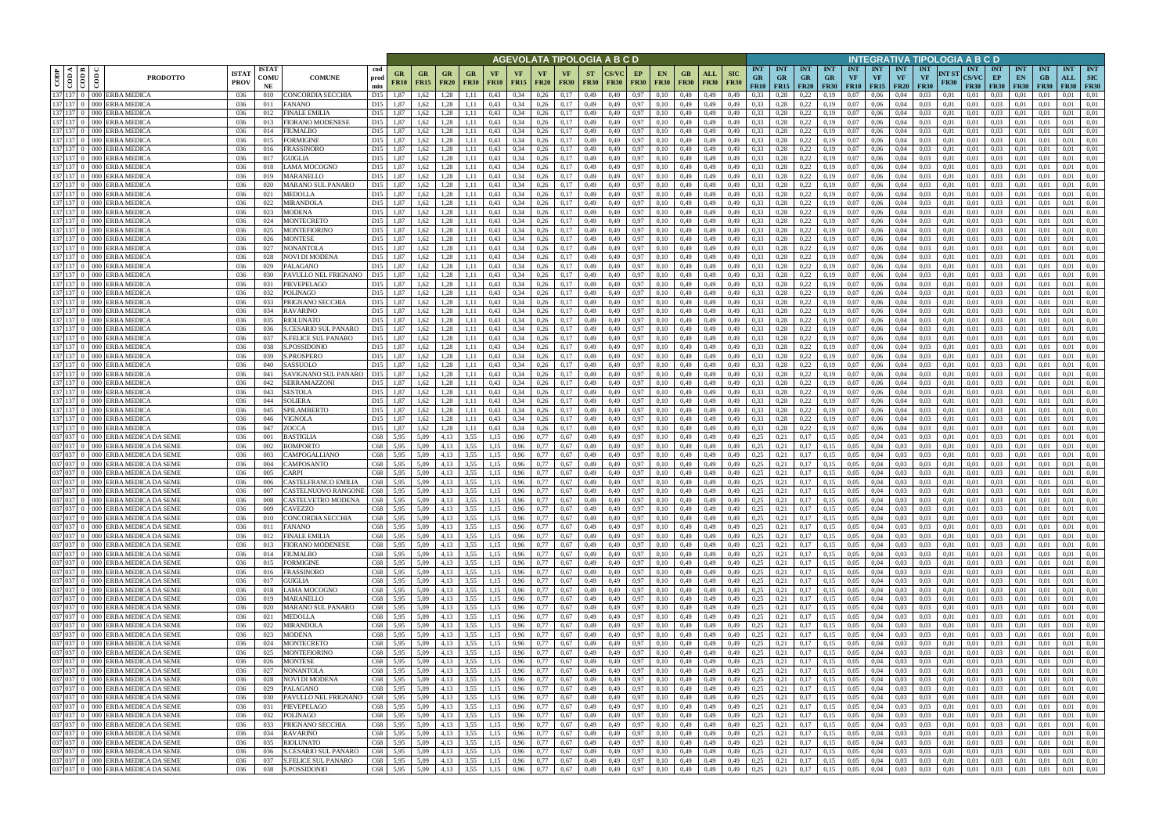|                           |                                            |                                                                        |                            |                            |                                                    |                                    |                      |                          |                          |                            |                   |                   |                   |                            |                          | AGEVOLATA TIPOLOGIA A B C D |                                |             |                                  |                                         |                                 |                                        |                                  |                                      |                        |                                             |                                        |                                        | NTEGRATIVA TIPOLOGIA A B C D   |                                           |                                 |                                                               |                              |                                |                                         |
|---------------------------|--------------------------------------------|------------------------------------------------------------------------|----------------------------|----------------------------|----------------------------------------------------|------------------------------------|----------------------|--------------------------|--------------------------|----------------------------|-------------------|-------------------|-------------------|----------------------------|--------------------------|-----------------------------|--------------------------------|-------------|----------------------------------|-----------------------------------------|---------------------------------|----------------------------------------|----------------------------------|--------------------------------------|------------------------|---------------------------------------------|----------------------------------------|----------------------------------------|--------------------------------|-------------------------------------------|---------------------------------|---------------------------------------------------------------|------------------------------|--------------------------------|-----------------------------------------|
| $\overline{\mathrm{COP}}$ | <b>⊲ Im</b><br>$\frac{\text{1}}{\text{1}}$ | <b>PRODOTTO</b>                                                        | <b>ISTA</b><br><b>PROV</b> | <b>ISTAT</b><br>comu<br>NE | <b>COMUNE</b>                                      | cod<br>prod<br>min                 | GR<br><b>FR10</b>    | <b>GR</b><br><b>FR15</b> | <b>GR</b><br><b>FR20</b> | GR<br><b>FR30</b>          | VF<br><b>FR10</b> | VF<br><b>FR15</b> | VF<br><b>FR20</b> | <b>VF</b><br><b>FR30</b>   | <b>ST</b><br><b>FR30</b> | <b>FR30</b>                 | EP<br><b>EN</b><br><b>FR30</b> | <b>FR30</b> | GВ<br><b>FR30</b><br><b>FR30</b> | <b>SIC</b><br><b>ALL</b><br><b>FR30</b> | <b>INT</b><br>GR<br><b>FR10</b> | <b>INT</b><br><b>GR</b><br><b>FR15</b> | <b>INT</b><br><b>GR</b><br>F R20 | <b>INT</b><br>$G_{R}$<br><b>FR30</b> | <b>INT</b><br>VF       | <b>INT</b><br><b>VF</b><br><b>FR10</b> FR15 | <b>INT</b><br><b>VF</b><br><b>FR20</b> | <b>INT</b><br><b>VF</b><br><b>FR30</b> | $\bf NT\ S1$<br><b>FR30</b>    | <b>INT</b><br><b>CS/VC</b><br><b>FR30</b> | <b>INT</b><br>EP<br><b>FR30</b> | <b>INT</b><br><b>INT</b><br>EN.<br><b>FR30</b><br><b>FR30</b> | <b>GB</b><br>ALL             | <b>INT</b><br><b>FR30</b>      | <b>INT</b><br><b>SIC</b><br><b>FR30</b> |
| 137                       | 137 137 0                                  | 000 ERBA MEDICA<br>000 ERBA MEDICA                                     | 036<br>036                 | 010<br>011                 | CONCORDIA SECCHIA<br>FANANO                        | D <sub>15</sub><br>D <sub>15</sub> | 1.87<br>1,87         | 1,62<br>1,62             | 1.28<br>1.28             | 1.11                       | 0,43<br>0,43      | 0,34<br>0,34      | 0,26<br>0,26      | 0,17<br>0,17               | 0,49<br>0,49             | 0.49<br>0,49                | 0.97<br>0.10<br>0,97<br>0.10   |             | 0,49<br>0,49                     | 0,49<br>0.49<br>0,49<br>0,49            | 0.33<br>0,33                    | 0.28<br>0,28                           | 0.22<br>0,22                     | 0.19<br>0,19                         | 0.07<br>0.07           | 0.06<br>0,06                                | 0.04<br>0,04                           | 0.03<br>0.03                           | 0.01<br>0,01                   | 0.01<br>0.01                              | 0.03<br>0.03                    | 0.01<br>0.01                                                  | 0.01<br>0.01<br>0,01         |                                | 0.01<br>0,01                            |
| 137                       |                                            | <b>ERBA MEDICA</b><br>000 I                                            | 036                        | 012                        | FINALE EMILIA                                      | D <sub>15</sub>                    | 1.87                 | 1,62                     | 1.28                     |                            | 0,43              | 0,34              | 0,26              | 0,17                       | 0,49                     | 0.49                        | 0.97<br>0.10                   |             | 0,49<br>0,49                     | 0,49                                    | 0,33                            | 0.28                                   | 0,22                             | 0,19                                 | 0.07                   | 0,06                                        | 0,04                                   | 0,03                                   | 0,01                           | $_{0.01}$                                 | 0.03                            | 0.01                                                          | 0,01                         |                                | 0,01                                    |
|                           | 137 137 0                                  | 000 ERBA MEDICA                                                        | 036                        | 013                        | FIORANO MODENESE                                   | D15                                | 1,87                 | 1,62                     | 1,28                     | 1,11                       | 0,43              | 0,34              | 0,26              | 0,17                       | 0,49                     | 0,49                        | 0,97<br>0,10                   |             | 0,49                             | 0,49<br>0,49                            | 0,33                            | 0,28                                   | 0.22                             | 0,19                                 | 0,07                   | 0,06                                        | 0,04                                   | 0,03                                   | 0,01                           | 0,01                                      | 0.03                            | 0.01<br>0.01                                                  | 0,01                         |                                | 0,01                                    |
|                           | 137 137 0                                  | 000 ERBA MEDICA                                                        | 036                        | 014                        | FIUMALBO                                           | D <sub>15</sub>                    | 1,87                 | 1,62                     | 1.28                     | 1.11                       | 0,43              | 0,34              | 0,26              | 0,17                       | 0,49                     | 0.49                        | 0,97<br>0,10                   |             | 0,49                             | 0,49<br>0,49                            | 0,33                            | 0.28                                   | 0.22                             | 0.19                                 | 0.07                   | 0,06                                        | 0.04                                   | 0,03                                   | 0.01                           | 0.01                                      | 0.03                            | 0.01<br>0.01                                                  | 0.01                         |                                | 0,01                                    |
|                           | 137 137 0<br>137 137                       | 000 ERBA MEDICA<br>000 ERBA MEDICA                                     | 036<br>036                 | 015<br>016                 | FORMIGINE<br>FRASSINORO                            | D15<br>D15                         | 1,87<br>1.87         | 1,62<br>1.62             | 1,28<br>1.28             | 1,11<br>1.11               | 0,43<br>0,43      | 0,34<br>0.34      | 0,26<br>0.26      | 0,17<br>0,17               | 0,49<br>0,49             | 0,49<br>0.49                | 0,97<br>0,10<br>0.97<br>0.10   |             | 0,49<br>0.49                     | 0,49<br>0,49<br>0,49<br>0.49            | 0,33<br>0,33                    | 0,28<br>0.28                           | 0,22<br>0,22                     | 0,19<br>0.19                         | 0,07<br>0.07           | 0,06<br>0.06                                | 0,04<br>0.04                           | 0,03<br>0.03                           | 0,01<br>0.01                   | 0,01<br>0.01                              | 0,03<br>0.03                    | 0,01<br>0,01<br>0.01<br>0.01                                  | 0,01<br>0.01                 |                                | 0,01<br>0.01                            |
|                           | 137 137 0                                  | 000 ERBA MEDICA                                                        | 036                        | 017                        | GUIGLIA                                            | D15                                | 1,87                 | 1.62                     | 1.28                     | 1.11                       | 0,43              | 0.34              | 0.26              | 0,17                       | 0,49                     | 0.49                        | 0.97<br>0.10                   |             | 0.49                             | 0,49<br>0.49                            | 0.33                            | 0,28                                   | 0,22                             | 0.19                                 | 0.07                   | 0.06                                        | 0.04                                   | 0.03                                   | 0.01                           | 0.01                                      | 0.03                            | 0.01<br>0.01                                                  | 0.01                         |                                | 0.01                                    |
|                           | 137 137 0                                  | 000 ERBA MEDICA                                                        | 036                        | 018                        | LAMA MOCOGNO                                       | D15                                | 1,87                 | 1,62                     | 1,28                     | 1,11                       | 0,43              | 0.34              | 0,26              | 0,17                       | 0,49                     | 0.49                        | 0.97<br>0.10                   |             | 0,49                             | 0,49<br>0.49                            | 0,33                            | 0,28                                   | 0,22                             | 0,19                                 | 0.07                   | 0,06                                        | 0.04                                   | 0,03                                   | 0.01                           | $_{0.01}$                                 | 0.03                            | 0.01<br>0.01                                                  | 0,01                         |                                | 0,01                                    |
|                           | 137 137 0                                  | 000 ERBA MEDICA                                                        | 036                        | 019                        | MARANELLO                                          | D15                                | 1,87                 | 1.62                     | 1.28                     | 1.11                       | 0.43              | 0,34              | 0,26              | 0,17                       | 0,49                     | 0.49                        | 0.97<br>0.10                   |             | 0.49                             | 0,49<br>0,49                            | 0.33                            | 0,28                                   | 0,22                             | 0.19                                 | 0.07                   | 0.06                                        | 0.04                                   | 0.03                                   | 0,01                           | 0.01                                      | 0.03                            | 0.01<br>0.01                                                  | 0.01                         |                                | 0.01                                    |
|                           | 137 137 0<br>137 137 0                     | 000 ERBA MEDICA<br>000 ERBA MEDICA                                     | 036<br>036                 | 020<br>021                 | <b>MARANO SUL PANARO</b><br>MEDOLLA                | D15<br>D15                         | 1,87<br>1,87         | 1.62<br>1,62             | 1.28<br>1.28             | 1.11<br>1,11               | 0.43<br>0,43      | 0,34<br>0,34      | 0,26<br>0,26      | 0,17<br>0,17               | 0.49<br>0,49             | 0.49<br>0,49                | 0.97<br>0.10<br>0,97<br>0.10   |             | 0,49<br>0,49                     | 0,49<br>0.49<br>0,49<br>0,49            | 0,33<br>0,33                    | 0.28<br>0,28                           | 0.22<br>0,22                     | 0.19<br>0,19                         | 0.07<br>0,07           | 0.06<br>0,06                                | 0.04<br>0,04                           | 0.03<br>0,03                           | 0.01<br>0,01                   | 0.01<br>0,01                              | 0.03<br>0,03                    | 0.01<br>0.01<br>0,01<br>0.01                                  | 0.01<br>0.01                 |                                | 0.01<br>0,01                            |
|                           | 137 137 0                                  | ERBA MEDICA<br>000 <sup>1</sup>                                        | 036                        | 022                        | MIRANDOLA                                          | D15                                | 1,87                 | 1.62                     | 1.28                     | 1,11                       | 0,43              | 0,34              | 0,26              | 0,17                       | 0,49                     | 0.49                        | 0.97<br>0.10                   |             | 0,49                             | 0,49<br>0.49                            | 0,33                            | 0,28                                   | 0,22                             | 0,19                                 | 0.07                   | 0,06                                        | 0.04                                   | 0,03                                   | 0,01                           | 0.01                                      | 0.03                            | 0.01<br>0.01                                                  | 0,01                         |                                | 0,01                                    |
|                           | 137 137 0                                  | $000 -$<br><b>ERBA MEDICA</b>                                          | 036                        | 023                        | MODENA                                             | D15                                | 1,87                 | 1,62                     | 1.28                     | 1,11                       | 0,43              | 0,34              | 0,26              | 0,17                       | 0,49                     | 0,49                        | 0,97<br>0.10                   |             | 0,49                             | 0,49<br>0,49                            | 0,33                            | 0,28                                   | 0,22                             | 0,19                                 | 0,07                   | 0,06                                        | 0,04                                   | 0,03                                   | 0,01                           | 0,01                                      | 0.03                            | 0.01<br>0.01                                                  | 0.01                         |                                | 0,01                                    |
|                           | 137 137 0                                  | <b>ERBA MEDICA</b><br>$000 -$                                          | 036                        | 024                        | MONTECRETO                                         | D <sub>15</sub>                    | 1,87                 | 1,62                     | 1,28                     | 1,11                       | 0,43              | 0,34              | 0,26              | 0,17                       | 0,49                     | 0,49                        | 0,97<br>0,10                   |             | 0,49                             | 0,49<br>0,49                            | 0,33                            | 0,28                                   | 0,22                             | 0,19                                 | 0,07                   | 0,06                                        | 0,04                                   | 0,03                                   | 0,01                           | 0,01                                      | 0,03                            | 0,01<br>0.01                                                  | 0,01                         |                                | 0,01                                    |
| 137<br>137                | $137 \quad 0$<br>$137 \quad 0$             | <b>ERBA MEDIC</b><br>000 I<br><b>ERBA MEDIC</b><br>000 <sub>1</sub>    | 036<br>036                 | 025<br>026                 | MONTEFIORINO<br>MONTESE                            | D15<br>D15                         | 1,87<br>1,87         | 1,62<br>1,62             | 1,28<br>1,28             | 1.11<br>1.11               | 0,43<br>0,43      | 0,34<br>0,34      | 0,26<br>0,26      | 0,17<br>0,17               | 0,49<br>0,49             | 0.49<br>0.49                | 0,97<br>0.10<br>0.97<br>0.10   |             | 0,49<br>0,49                     | 0,49<br>0.49<br>0,49<br>0.49            | 0,33<br>0.33                    | 0.28<br>0.28                           | 0,22<br>0,22                     | 0,19<br>0,19                         | 0.07<br>0.07           | 0,06<br>0,06                                | 0.04<br>0.04                           | 0,03<br>0,03                           | 0,01<br>0,01                   | 0.01<br>0.01                              | 0.03<br>0,03                    | 0.01<br>0.01<br>0.01<br>0.01                                  | 0.01<br>0,01                 |                                | 0,01<br>0,01                            |
| 137                       | 137 0                                      | <b>ERBA MEDIC</b><br>000 <sub>1</sub>                                  | 036                        | 027                        | NONANTOLA                                          | D15                                | 1,87                 | 1,62                     | 1,28                     | 1,11                       | 0,43              | 0,34              | 0,26              | 0,17                       | 0,49                     | 0,49                        | 0,97<br>0,10                   |             | 0,49                             | 0,49<br>0,49                            | 0.33                            | 0,28                                   | 0,22                             | 0,19                                 | 0.07                   | 0,06                                        | 0,04                                   | 0,03                                   | 0,01                           | 0.01                                      | 0,03                            | 0,01<br>0,01                                                  | 0,01                         |                                | 0,01                                    |
|                           | $137$ 137 0                                | 000 ERBA MEDIC                                                         | 036                        | 028                        | NOVI DI MODENA                                     | D15                                | 1.87                 | 1.62                     | 1.28                     | 1.11                       | 0,43              | 0.34              | 0.26              | 0,17                       | 0.49                     | 0.49                        | 0.97<br>0.10                   |             | 0,49                             | 0,49<br>0.49                            | 0,33                            | 0.28                                   | 0,22                             | 0.19                                 | 0.07                   | 0.06                                        | 0.04                                   | 0,03                                   | 0.01                           | 0.01                                      | 0.03                            | 0.01<br>0.01                                                  | 0.01                         |                                | 0.01                                    |
|                           | $137$ 137 0                                | 000 ERBA MEDIC.                                                        | 036                        | 029                        | PALAGANO                                           | D15                                | 1.87                 | 1.62                     | 1.28                     | 1.11                       | 0,43              | 0.34              | 0,26              | 0,17                       | 0.49                     | 0.49                        | 0.10<br>0.97                   |             | 0,49                             | 0,49<br>0.49                            | 0.33                            | 0.28                                   | 0,22                             | 0.19                                 | 0.07                   | 0.06                                        | 0.04                                   | 0.03                                   | 0.01                           | 0.01                                      | 0.03                            | 0.01<br>0.01                                                  | 0.01                         |                                | 0.01                                    |
|                           | 137 137 0                                  | 000 ERBA MEDIC                                                         | 036                        | -030                       | PAVULLO NEL FRIGNANO                               | D <sub>15</sub>                    | 1,87                 | 1,62                     | 1,28                     | 1,11                       | 0,43              | 0,34              | 0,26              | 0,17                       | 0,49                     | 0,49                        | 0,97<br>0.10                   |             | 0,49                             | 0,49<br>0,49                            | 0,33                            | 0.28                                   | 0,22                             | 0,19                                 | 0.07                   | 0,06                                        | 0,04                                   | 0,03                                   | 0,01                           | 0,01                                      | 0,03                            | 0,01<br>0.01                                                  | 0,01                         |                                | 0,01                                    |
| 137                       | $137$ 137 0                                | ERBA MEDIC.<br>000 <sub>1</sub><br>000 ERBA MEDIC                      | 036<br>036                 | 031<br>032                 | <b>PIEVEPELAGO</b><br>POLINAGO                     | D <sub>15</sub><br>D15             | 1.87<br>1.87         | 1.62<br>1.62             | 1.28<br>1.28             |                            | 0.43<br>0,43      | 0,34<br>0,34      | 0.26<br>0.26      | 0,17<br>0,17               | 0.49<br>0,49             | 0.49<br>0.49                | 0.97<br>0.10<br>0.97<br>0.10   |             | 0.49<br>0,49<br>0,49<br>0.49     | 0.49                                    | 0.33<br>0,33                    | 0.28<br>0.28                           | 0,22<br>0,22                     | 0.19<br>0.19                         | $_{0.07}$<br>$_{0.07}$ | 0.06<br>0.06                                | 0.04<br>0.04                           | 0,03<br>0,03                           | 0.01<br>0.01                   | 0.01<br>0.01                              | 0.03<br>0,03                    | 0.01<br>0.01                                                  | 0.01<br>0,01                 |                                | 0.01<br>0.01                            |
| 137                       | 137 0                                      | <b>ERBA MEDIC</b><br>000 <sub>1</sub>                                  | 036                        | 033                        | PRIGNANO SECCHIA                                   | D <sub>15</sub>                    | 1.87                 | 1,62                     | 1.28                     | 1,11                       | 0,43              | 0.34              | 0,26              | 0,17                       | 0.49                     | 0.49                        | 0.97<br>0.10                   |             | 0,49<br>0,49                     | 0.49                                    | 0,33                            | 0.28                                   | 0,22                             | 0.19                                 | $_{0.07}$              | 0.06                                        | 0.04                                   | 0,03                                   | 0.01                           | 0.01                                      | 0.03                            | 0.01                                                          | 0.01                         |                                | 0.01                                    |
|                           | $137$ 137 0                                | 000 ERBA MEDICA                                                        | 036                        | 034                        | RAVARINO                                           | D <sub>15</sub>                    | 1,87                 | 1,62                     | 1.28                     | 1.11                       | 0,43              | 0,34              | 0,26              | 0,17                       | 0,49                     | 0,49                        | 0.10<br>0,97                   |             | 0,49                             | 0,49<br>0,49                            | 0,33                            | 0,28                                   | 0,22                             | 0,19                                 | 0,07                   | 0,06                                        | 0,04                                   | 0,03                                   | 0,01                           | 0,01                                      | 0.03                            | 0.01<br>0.01                                                  | 0,01                         |                                | 0,01                                    |
|                           | $137$ 137 0                                | 000 ERBA MEDICA                                                        | 036                        | 035                        | RIOLUNATO                                          | D <sub>15</sub>                    | 1.87                 | 1,62                     | 1.28                     | 1.11                       | 0,43              | 0,34              | 0,26              | 0,17                       | 0,49                     | 0.49                        | 0.97<br>0.10                   |             | 0,49                             | 0,49<br>0.49                            | 0,33                            | 0.28                                   | 0,22                             | 0.19                                 | 0.07                   | 0.06                                        | 0.04                                   | 0.03                                   | 0.01                           | 0.01                                      | 0.03                            | 0.01<br>0.01                                                  | 0.01                         |                                | 0.01                                    |
| 137                       | 13700<br>137 137 0                         | 000 ERBA MEDICA<br><b>ERBA MEDICA</b><br>000 I                         | 036<br>036                 | 036<br>037                 | <b>S.CESARIO SUL PANARO</b><br>S.FELICE SUL PANARO | D15<br>D <sub>15</sub>             | 1,87<br>1,87         | 1,62<br>1,62             | 1,28<br>1.28             | 1,11<br>1.11               | 0,43<br>0,43      | 0,34<br>0.34      | 0,26<br>0,26      | 0,17<br>0,17               | 0,49<br>0,49             | 0,49<br>0.49                | 0.10<br>0,97<br>0.97<br>0.10   |             | 0,49<br>0,49<br>0.49<br>0,49     | 0,49<br>0.49                            | 0,33<br>0.33                    | 0,28<br>0.28                           | 0,22<br>0.22                     | 0,19<br>0.19                         | $_{0.07}$<br>0.07      | 0,06<br>0,06                                | 0,04<br>0.04                           | 0,03<br>0,03                           | 0,01<br>0.01                   | 0,01<br>0.01                              | 0,03<br>0.03                    | 0.01<br>0.01                                                  | 0,01<br>0.01<br>0.01         |                                | 0,01<br>0,01                            |
|                           | 137 137 0                                  | 000 ERBA MEDICA                                                        | 036                        | 038                        | S.POSSIDONIO                                       | D <sub>15</sub>                    | 1,87                 | 1,62                     | 1,28                     | 1,11                       | 0,43              | 0,34              | 0,26              | 0,17                       | 0,49                     | 0.49                        | 0,97<br>0.10                   |             | 0,49                             | 0,49<br>0,49                            | 0,33                            | 0,28                                   | 0.22                             | 0,19                                 | 0.07                   | 0,06                                        | 0,04                                   | 0,03                                   | 0,01                           | 0.01                                      | 0.03                            | 0.01<br>0.01                                                  | 0,01                         |                                | 0,01                                    |
| 137                       | $137 \quad 0$                              | 000 ERBA MEDICA                                                        | 036                        | 039                        | S.PROSPERO                                         | D <sub>15</sub>                    | 1,87                 | 1,62                     | 1,28                     | 1,11                       | 0,43              | 0,34              | 0,26              | 0,17                       | 0,49                     | 0.49                        | 0,97<br>0,10                   |             | 0,49                             | 0,49<br>0,49                            | 0,33                            | 0.28                                   | 0,22                             | 0,19                                 | 0.07                   | 0,06                                        | 0,04                                   | 0,03                                   | 0,01                           | 0.01                                      | 0.03                            | 0.01<br>0,01                                                  | 0,01                         |                                | 0,01                                    |
|                           | 137 137 0                                  | 000 ERBA MEDICA                                                        | 036                        | 040                        | SASSUOLO                                           | D15                                | 1.87                 | 1,62                     | 1.28                     | 1,11                       | 0,43              | 0,34              | 0,26              | 0,17                       | 0,49                     | 0.49                        | 0.97<br>0.10                   |             | 0.49                             | 0,49<br>0.49                            | 0,33                            | 0,28                                   | 0,22                             | 0.19                                 | 0.07                   | 0.06                                        | 0.04                                   | 0.03                                   | 0.01                           | 0.01                                      | 0.03                            | 0.01<br>0.01                                                  | 0.01                         |                                | 0.01                                    |
|                           | 137 137 0<br>137 137 0                     | 000 ERBA MEDICA<br>000 ERBA MEDICA                                     | 036<br>036                 | 041<br>042                 | SAVIGNANO SUL PANARO<br>SERRAMAZZONI               | D <sub>15</sub><br>D15             | 1,87<br>1,87         | 1.62<br>1,62             | 1.28<br>1.28             | 1.11<br>1,11               | 0,43<br>0,43      | 0.34<br>0,34      | 0.26<br>0,26      | 0,17<br>0,17               | 0,49<br>0,49             | 0.49<br>0.49                | 0.97<br>0.10<br>0.97<br>0.10   |             | 0,49<br>0,49                     | 0,49<br>0.49<br>0,49<br>0,49            | 0.33<br>0,33                    | 0.28<br>0,28                           | 0.22<br>0,22                     | 0.19<br>0,19                         | 0.07<br>0.07           | 0.06<br>0,06                                | 0.04<br>0,04                           | 0.03<br>0,03                           | 0.01<br>0,01                   | 0.01<br>0.01                              | 0.03<br>0.03                    | 0.01<br>0.01<br>0.01<br>0.01                                  | 0.01<br>0.01                 |                                | 0.01<br>0,01                            |
|                           | 137 137 0                                  | 000 ERBA MEDICA                                                        | 036                        | 043                        | <b>SESTOLA</b>                                     | D15                                | 1.87                 | 1.62                     | 1.28                     | 1.11                       | 0.43              | 0.34              | 0,26              | 0,17                       | 0,49                     | 0.49                        | 0.97<br>0.10                   |             | 0,49                             | 0,49<br>0.49                            | 0,33                            | 0.28                                   | 0.22                             | 0.19                                 | 0.07                   | 0.06                                        | 0.04                                   | 0.03                                   | 0.01                           | 0.01                                      | 0.03                            | 0.01<br>0.01                                                  | 0.01                         |                                | 0.01                                    |
|                           | 137 137 0                                  | 000 ERBA MEDICA                                                        | 036                        | 044                        | <b>SOLIERA</b>                                     | D15                                | 1,87                 | 1.62                     | 1.28                     | 1,11                       | 0.43              | 0,34              | 0,26              | 0,17                       | 0,49                     | 0.49                        | 0,97<br>0.10                   |             | 0,49                             | 0,49<br>0,49                            | 0.33                            | 0,28                                   | 0,22                             | 0.19                                 | 0.07                   | 0.06                                        | 0,04                                   | 0.03                                   | 0,01                           | 0.01                                      | 0.03                            | 0.01<br>0.01                                                  | 0.01                         |                                | 0.01                                    |
|                           | 137 137 0                                  | 000 ERBA MEDICA                                                        | 036                        | 045                        | SPILAMBERTO                                        | D <sub>15</sub>                    | 1,87                 | 1,62                     | 1,28                     | 1,11                       | 0,43              | 0,34              | 0,26              | 0,17                       | 0,49                     | 0.49                        | 0,97<br>0.10                   |             | 0,49                             | 0,49<br>0,49                            | 0,33                            | 0,28                                   | 0,22                             | 0,19                                 | 0.07                   | 0,06                                        | 0,04                                   | 0,03                                   | 0,01                           | 0.01                                      | 0,03                            | 0.01<br>0.01                                                  | 0,01                         |                                | 0,01                                    |
|                           | 137 137<br>137 137                         | ERBA MEDICA<br>000-<br>ERBA MEDICA<br>000-                             | 036<br>036                 | 046<br>047                 | VIGNOLA<br>ZOCCA                                   | D <sub>15</sub><br>D15             | 1,87<br>1,87         | 1,62<br>1.62             | 1.28<br>1,28             | 1,11<br>1,11               | 0,43<br>0,43      | 0,34<br>0,34      | 0,26<br>0,26      | 0,17<br>0,17               | 0,49<br>0,49             | 0.49<br>0,49                | 0,97<br>0.10<br>0.97<br>0.10   |             | 0,49<br>0,49                     | 0,49<br>0,49<br>0,49<br>0,49            | 0,33<br>0,33                    | 0,28<br>0,28                           | 0,22<br>0,22                     | 0,19<br>0,19                         | 0,07<br>0.07           | 0,06<br>0,06                                | 0,04<br>0.04                           | 0,03<br>0,03                           | 0,01<br>0,01                   | 0.01<br>0.01                              | 0.03<br>0.03                    | 0.01<br>0.01<br>0.01<br>0.01                                  | 0.01<br>0,01                 |                                | 0,01<br>0,01                            |
|                           | 037 037                                    | ERBA MEDICA DA SEME<br>000 I                                           | 036                        | 001                        | BASTIGLIA                                          | C68                                | 5,95                 | 5,09                     | 4,13                     | 3,55                       | 1,15              | 0,96              | 0,77              | 0,67                       | 0,49                     | 0,49                        | 0,97<br>0,10                   |             | 0,49                             | 0,49<br>0,49                            | 0,25                            | 0,21                                   | 0,17                             | 0,15                                 | 0,05                   | 0,04                                        | 0.03                                   | 0,03                                   | 0,01                           | 0,01                                      | 0.03                            | 0,01<br>0,01                                                  | 0,01                         |                                | 0,01                                    |
|                           | 037 037 0                                  | ERBA MEDICA DA SEME<br>000 <sup>1</sup>                                | 036                        | 002                        | <b>BOMPORTO</b>                                    | C68                                | 5,95                 | 5.09                     | 4.13                     | 3.55                       | 1.15              | 0,96              | 0.77              | 0,67                       | 0,49                     | 0.49                        | 0.97<br>0.10                   |             | 0,49                             | 0,49<br>0.49                            | 0,25                            | 0.21                                   | 0,17                             | 0.15                                 | 0,05                   | 0,04                                        | 0.03                                   | 0,03                                   | 0,01                           | 0.01                                      | 0,03                            | 0.01<br>0.01                                                  | 0,01                         |                                | 0,01                                    |
|                           | 037 037 0                                  | ERBA MEDICA DA SEME<br>000 I                                           | 036                        | 003                        | CAMPOGALLIANO                                      | C68                                | 5,95                 | 5,09                     | 4.13                     | 3,55                       | 1.15              | 0,96              | 0,77              | 0,67                       | 0,49                     | 0,49                        | 0,97<br>0,10                   |             | 0,49                             | 0,49<br>0,49                            | 0,25                            | 0.21                                   | 0,17                             | 0.15                                 | 0,05                   | 0,04                                        | 0.03                                   | 0,03                                   | 0,01                           | 0,01                                      | 0,03                            | 0.01<br>0.01                                                  | 0,01                         |                                | 0,01                                    |
|                           | 037 037 0<br>037 037                       | 000 ERBA MEDICA DA SEME<br>ERBA MEDICA DA SEME<br>000 <sup>1</sup>     | 036<br>036                 | 004<br>005                 | CAMPOSANTO<br>CARPI                                | C68<br>C68                         | 5,95<br>5.95         | 5,09<br>5.09             | 4,13<br>4.13             | 3,55<br>3.55               | 1,15              | 0,96<br>0.96      | 0,77<br>0.77      | 0,67<br>0,67               | 0,49<br>0.49             | 0,49<br>0.49                | 0,97<br>0,10<br>0.97<br>0.10   |             | 0,49<br>0,49                     | 0,49<br>0,49<br>0.49<br>0.49            | 0,25<br>0,25                    | 0,21<br>0.21                           | 0,17<br>0.17                     | 0.15<br>0.15                         | 0,05<br>0.05           | 0,04<br>0.04                                | 0.03<br>0.03                           | 0,03<br>0.03                           | 0,01<br>0.01                   | 0.01<br>0.01                              | 0,03<br>0.03                    | 0.01<br>0,01<br>0.01<br>0.01                                  | 0,01<br>0.01                 |                                | 0,01<br>0.01                            |
|                           |                                            | 037 037 0 000 ERBA MEDICA DA SEME                                      | 036                        | 006                        | CASTELFRANCO EMILIA                                | C68                                | 5,95                 | 5.09                     | 4.13                     | 3,55                       | 1.15              | 0,96              | 0,77              | 0,67                       | 0,49                     | 0.49                        | 0.97<br>0.10                   |             | 0,49                             | 0,49<br>0.49                            | 0,25                            | 0,21                                   | 0,17                             | 0.15                                 | 0.05                   | 0.04                                        | 0.03                                   | 0,03                                   | 0,01                           | 0.01                                      | 0.03                            | 0.01<br>0.01                                                  | 0.01                         |                                | 0.01                                    |
|                           |                                            | 037 037 0 000 ERBA MEDICA DA SEME                                      | 036                        | 007                        | CASTELNUOVO RANGONE                                | C68                                | 5,95                 | 5.09                     | 4.13                     | 3,55                       | 1.15              | 0,96              | 0.77              | 0,67                       | 0.49                     | 0.49                        | 0.97<br>0.10                   |             | 0.49                             | 0,49<br>0.49                            | 0,25                            | 0,21                                   | 0.17                             | 0.15                                 | 0.05                   | 0.04                                        | 0.03                                   | 0.03                                   | 0.01                           | 0.01                                      | 0.03                            | 0.01<br>0.01                                                  | 0.01                         |                                | 0.01                                    |
|                           |                                            | 037 037 0 000 ERBA MEDICA DA SEME                                      | 036                        | 008                        | CASTELVETRO MODENA                                 | C68                                | 5,95                 | 5,09                     | 4,13                     | 3,55                       | 1,15              | 0,96              | 0,77              | 0,67                       | 0,49                     | 0,49                        | 0,97<br>0,10                   |             | 0,49<br>0,49                     | 0,49                                    | 0,25                            | 0,21                                   | 0,17                             | 0,15                                 | 0,05                   | 0,04                                        | 0,03                                   | 0,03                                   | 0,01                           | 0,01                                      | 0.03                            | 0,01                                                          | 0,01<br>0,01                 |                                | 0,01                                    |
|                           |                                            | 037 037 0 000 ERBA MEDICA DA SEME<br>037 037 0 000 ERBA MEDICA DA SEME | 036<br>036                 | 009<br>010                 | CAVEZZO<br>CONCORDIA SECCHIA                       | C68                                | 5,95<br>C68 5,95     | 5,09<br>5,09             | 4,13<br>4,13             | $3,55$ 1,15<br>$3,55$ 1,15 |                   | 0,96<br>0,96      | 0,77<br>0,77      | 0,67<br>0,67               | 0,49<br>0,49             | 0,49<br>0,49                | 0,97<br>0,10<br>0,10<br>0,97   |             | 0.49<br>0,49 0,49                | 0,49<br>0,49<br>0,49                    | 0,25<br>0,25                    | 0,21<br>0,21                           | 0,17<br>0,17                     | 0,15<br>0,15                         | 0.05<br>0,05           | 0,04<br>0,04                                | 0,03<br>0,03                           | 0,03                                   | 0,01<br>$0,03$ 0.01            | 0,01<br>0,01                              | 0,03<br>0,03                    | 0.01<br>0,01                                                  | 0,01<br>0,01<br>0,01<br>0,01 |                                | 0,01<br>0,01                            |
|                           |                                            | 037 037 0 000 ERBA MEDICA DA SEME                                      | 036                        | 011                        | FANANO                                             |                                    | C68 5.95             | 5,09                     | 4,13                     | $3,55$ 1,15                |                   | 0,96              | 0,77              | 0,67                       | 0,49                     | 0,49                        | 0,97<br>0,10                   |             | $0,49$ 0,49 0,49                 |                                         | 0,25                            | 0,21                                   | 0,17                             | 0,15                                 | 0,05                   | 0,04                                        | 0,03                                   |                                        | $0,03$ $0,01$                  | 0,01                                      | 0,03                            | 0.01                                                          | 0,01                         | 0,01                           | 0,01                                    |
|                           |                                            | 037 037 0 000 ERBA MEDICA DA SEME                                      | 036                        | 012                        | <b>FINALE EMILIA</b>                               |                                    | C68 5,95             | 5,09                     | 4,13                     | $3,55$ 1,15                |                   | 0,96              | 0,77              | 0,67                       | 0,49                     | 0,49                        | 0,97<br>0,10                   |             | $0,49$ 0.49                      | 0,49                                    | 0,25                            | 0,21                                   | 0,17                             | 0,15                                 | 0,05                   | 0,04                                        | 0.03                                   |                                        | $0.03 \qquad 0.01$             | 0,01                                      | 0,03                            | 0.01<br>0,01                                                  |                              | 0,01                           | 0,01                                    |
|                           |                                            | 037 037 0 000 ERBA MEDICA DA SEME                                      | 036                        | 013                        | FIORANO MODENESE                                   |                                    | C68 5,95             | 5,09                     | 4,13                     | $3,55$ 1,15                |                   | 0,96              | 0,77              | 0,67                       | 0,49                     | 0,49                        | 0,97<br>0,10                   |             | 0,49<br>0,49                     | 0,49                                    | 0,25                            | 0,21                                   | 0,17                             | 0,15                                 | 0,05                   | 0,04                                        | 0,03                                   | 0,03                                   | 0,01                           | 0,01                                      | 0,03                            | 0,01                                                          | 0,01                         | 0,01                           | 0,01                                    |
|                           |                                            | 037 037 0 000 ERBA MEDICA DA SEME<br>037 037 0 000 ERBA MEDICA DA SEME | 036<br>036                 | 014<br>015                 | FIUMALBO<br><b>FORMIGINE</b>                       | C68                                | 5,95<br>C68 5.95     | 5,09<br>5,09             | 4,13<br>4,13             | $3,55$ 1,15<br>$3,55$ 1,15 |                   | 0,96<br>0,96      | 0,77<br>0,77      | 0,67<br>0,67               | 0,49<br>0,49             | 0,49<br>0,49                | 0,97<br>0,10<br>0,97<br>0,10   |             | 0,49<br>0,49 0,49                | 0,49<br>0,49<br>0.49                    | 0,25<br>0,25                    | 0,21<br>0,21                           | 0,17<br>0,17                     | 0,15<br>0,15                         | 0,05<br>0,05           | 0,04<br>0,04                                | 0,03<br>0.03                           | 0,03<br>0,03                           | 0,01<br>0,01                   | 0,01<br>0,01                              | 0,03<br>0,03                    | 0,01<br>0,01                                                  | 0,01<br>0,01<br>0,01         | 0.01                           | 0,01<br>0,01                            |
|                           |                                            | 037 037 0 000 ERBA MEDICA DA SEME                                      | 036                        | 016                        | <b>FRASSINORO</b>                                  |                                    | C68 5,95             | 5,09                     | 4,13                     | $3,55$ 1,15                |                   | 0,96              | 0,77              | 0,67                       | 0,49                     | 0,49                        | 0,97<br>0,10                   |             | 0,49                             | 0,49<br>0,49                            | 0,25                            | 0,21                                   | 0,17                             | 0,15                                 | 0,05                   | 0,04                                        | 0,03                                   | 0,03                                   | 0,01                           | 0,01                                      | 0,03                            | 0,01                                                          | 0,01                         | 0,01                           | 0,01                                    |
|                           |                                            | 037 037 0 000 ERBA MEDICA DA SEME                                      | 036                        | 017                        | <b>GUIGLIA</b>                                     |                                    | C68 5.95             | 5,09                     | 4,13                     | $3,55$ 1,15                |                   | 0,96              |                   | $0,77$ 0.67                | 0,49                     | 0,49                        | 0,97<br>0,10                   |             | $0,49$ 0,49 0,49                 |                                         | 0,25                            | 0,21                                   | 0,17                             | 0,15                                 |                        | $0.05$ 0.04                                 | 0,03                                   |                                        | $0,03$ $0,01$                  | 0.01                                      | 0,03                            | 0,01<br>0,01                                                  |                              | $0,01$ $0,01$                  |                                         |
|                           |                                            | 037 037 0 000 ERBA MEDICA DA SEME                                      | 036                        | 018                        | LAMA MOCOGNO                                       |                                    | C68 5,95             | 5,09                     |                          | $4,13$ $3,55$ $1,15$       |                   | 0,96              |                   | $0,77$ 0.67                | 0,49                     | 0,49                        | 0,97<br>0,10                   |             | $0,49$ 0,49 0,49                 |                                         | 0,25                            | $0,21$ $0,17$                          |                                  | 0,15                                 |                        | $0,05$ 0.04                                 | 0,03                                   |                                        | $0,03$ $0,01$                  | 0,01                                      | 0,03                            | 0,01<br>0.01                                                  |                              | $0,01$ $0,01$                  |                                         |
|                           |                                            | 037 037 0 000 ERBA MEDICA DA SEME<br>037 037 0 000 ERBA MEDICA DA SEME | 036<br>036                 | 019<br>020                 | MARANELLO<br>MARANO SUL PANARO                     |                                    | C68 5,95<br>C68 5,95 | 5,09<br>5,09             | 4,13<br>4,13             | $3,55$ 1,15<br>$3,55$ 1,15 |                   | 0,96<br>0,96      | 0,77              | $0,77$ 0.67<br>0,67        | 0,49<br>0,49             | 0,49<br>0,49                | 0,97<br>0,10<br>0,97<br>0,10   |             | $0,49$ 0,49 0,49<br>0,49 0,49    | 0,49                                    | 0,25<br>0,25                    | 0,21<br>0,21                           | 0,17<br>0,17                     | 0,15<br>0.15                         | 0,05                   | $0,05$ 0.04<br>0,04                         | 0,03<br>0,03                           | 0,03                                   | $0,03$ $0,01$<br>0,01          | 0,01<br>0,01                              | 0,03<br>0,03                    | 0,01<br>0,01<br>0.01                                          | 0,01                         | $0,01$ $0,01$<br>$0,01$ $0,01$ |                                         |
|                           |                                            | 037 037 0 000 ERBA MEDICA DA SEME                                      | 036                        | 021                        | <b>MEDOLLA</b>                                     |                                    | C68 5,95             | 5,09                     | 4,13                     | $3,55$ 1,15                |                   | 0,96              |                   | $0,77$ 0.67                | 0,49                     | 0,49                        | 0,97<br>0,10                   |             | $0,49$ $0,49$                    | 0,49                                    | 0,25                            | 0,21                                   | 0,17                             | 0,15                                 | 0,05                   | 0,04                                        | 0,03                                   |                                        | $0,03$ 0.01                    | 0,01                                      | 0,03                            | 0.01                                                          | 0,01                         | 0,01                           | 0,01                                    |
|                           |                                            | 037 037 0 000 ERBA MEDICA DA SEME                                      | 036                        | 022                        | <b>MIRANDOLA</b>                                   |                                    | C68 5,95             | 5,09                     | 4,13                     | $3,55$ 1,15                |                   | 0,96              |                   | $0,77$ 0.67                | 0,49                     | 0,49                        | 0,97<br>0,10                   |             | 0,49 0,49                        | 0,49                                    | 0,25                            | 0,21                                   | 0,17                             | 0,15                                 | 0,05                   | 0,04                                        | 0,03                                   | 0,03                                   | 0,01                           | 0,01                                      | 0,03                            | 0,01<br>0,01                                                  |                              | 0,01                           | 0,01                                    |
|                           |                                            | 037 037 0 000 ERBA MEDICA DA SEME                                      | 036                        | 023                        | <b>MODENA</b>                                      |                                    | C68 5,95             | 5,09                     | 4,13                     | $3,55$ 1,15                |                   | 0,96              | 0,77              | 0,67                       | 0,49                     | 0,49                        | 0,97<br>0,10                   |             | $0,49$ 0.49                      | 0.49                                    | 0,25                            | 0,21                                   | 0,17                             | 0,15                                 | 0,05                   | 0,04                                        | 0.03                                   |                                        | $0,03$ $0,01$                  | 0,01                                      | 0,03                            | 0,01<br>0,01                                                  | 0,01                         |                                | 0,01                                    |
|                           |                                            | 037 037 0 000 ERBA MEDICA DA SEME<br>037 037 0 000 ERBA MEDICA DA SEME | 036<br>036                 | 024<br>025                 | <b>MONTECRETO</b><br><b>MONTEFIORINO</b>           |                                    | C68 5,95<br>C68 5,95 | 5,09<br>5,09             | 4,13<br>4,13             | $3,55$ 1,15<br>$3,55$ 1,15 |                   | 0,96<br>0,96      | 0,77<br>0,77      | 0,67<br>0,67               | 0,49<br>0,49             | 0,49<br>0,49                | 0,97<br>0,10<br>0,97<br>0,10   |             | $0,49$ $0,49$<br>$0,49$ $0,49$   | 0,49<br>0,49                            | 0,25<br>0,25                    | 0,21<br>0,21                           | 0,17<br>0,17                     | 0,15<br>0,15                         | 0,05<br>0,05           | 0,04<br>0,04                                | 0.03<br>0,03                           |                                        | $0,03$ 0.01<br>$0,03$ 0.01     | 0,01<br>0,01                              | 0,03<br>0,03                    | 0.01<br>0,01<br>0,01<br>0,01                                  | 0,01<br>0,01                 |                                | 0,01<br>0,01                            |
|                           |                                            | 037 037 0 000 ERBA MEDICA DA SEME                                      | 036                        | 026                        | <b>MONTESE</b>                                     |                                    | C68 5,95             | 5,09                     | 4,13                     | $3,55$ 1,15                |                   | 0,96              |                   | $0,77$ 0.67                | 0,49                     | 0,49                        | 0,97<br>0,10                   |             | $0,49$ 0,49 0,49                 |                                         | 0,25                            | 0,21                                   | 0,17                             | 0,15                                 | 0,05                   | 0,04                                        | 0,03                                   |                                        | $0,03$ $0,01$                  | 0,01                                      | 0,03                            | 0.01<br>0,01                                                  |                              | 0,01                           | 0,01                                    |
|                           |                                            | 037 037 0 000 ERBA MEDICA DA SEME                                      | 036                        | 027                        | <b>NONANTOLA</b>                                   |                                    | C68 5.95             | 5,09                     | 4,13                     | 3,55 1,15                  |                   | 0,96              |                   | $0,77$ 0.67                | 0,49                     | 0,49                        | 0,97<br>0,10                   |             | $0,49$ 0,49 0,49                 |                                         | 0,25                            | $0,21$ $0,17$                          |                                  | 0,15                                 | 0,05                   | $0,04$ 0.03                                 |                                        |                                        | $0,03$ $0,01$                  | 0,01                                      | 0,03                            | 0.01                                                          | 0,01                         | 0,01                           | 0,01                                    |
|                           |                                            | 037 037 0 000 ERBA MEDICA DA SEME                                      | 036                        | 028                        | NOVI DI MODENA                                     |                                    | C68 5,95             | 5,09                     | 4,13                     | $3,55$ 1,15                |                   | 0,96              |                   | $0,77$ 0.67                | 0,49                     | 0,49                        | 0,97<br>0,10                   |             | $0,49$ $0,49$ $0,49$             |                                         | 0,25                            | 0,21                                   | 0,17                             | 0,15                                 | 0,05                   | 0,04                                        | 0,03                                   |                                        | $0,03$ $0,01$                  | 0,01                                      | 0,03                            | 0.01<br>0,01                                                  | 0,01                         |                                | 0,01                                    |
|                           |                                            | 037 037 0 000 ERBA MEDICA DA SEME                                      | 036                        | 029                        | <b>PALAGANO</b>                                    |                                    | C68 5.95             | 5,09                     |                          | $4,13$ $3,55$ $1,15$       |                   | 0,96              |                   | $0,77$ 0.67                | 0,49                     | 0,49                        | 0,97<br>0,10                   |             | $0,49$ $0,49$                    | 0,49                                    | 0,25                            | 0,21                                   | 0,17                             | 0,15                                 | 0,05                   | 0,04                                        | 0,03                                   |                                        | $0,03$ $0,01$                  | 0,01                                      | 0,03                            | 0,01<br>0,01                                                  |                              | 0,01                           | 0,01                                    |
|                           |                                            | 037 037 0 000 ERBA MEDICA DA SEME<br>037 037 0 000 ERBA MEDICA DA SEME | 036<br>036                 | 030<br>031                 | PAVULLO NEL FRIGNANO<br>PIEVEPELAGO                |                                    | C68 5.95<br>C68 5,95 | 5,09<br>5,09             | 4,13<br>4,13             | $3,55$ 1,15<br>$3,55$ 1,15 |                   | 0,96<br>0,96      |                   | $0,77$ 0.67<br>$0,77$ 0.67 | 0,49<br>0,49             | 0,49<br>0,49                | 0,97<br>0,10<br>0,97<br>0,10   |             | $0,49$ $0,49$<br>0,49 0,49       | 0,49<br>0,49                            | 0,25<br>0,25                    | 0,21<br>0,21                           | 0,17<br>0,17                     | 0,15<br>0,15                         | 0,05<br>0,05           | 0,04<br>0,04                                | 0,03<br>0,03                           |                                        | $0,03$ $0,01$<br>$0,03$ $0,01$ | 0,01<br>0,01                              | 0,03<br>0,03                    | 0,01<br>0,01<br>0,01<br>0,01                                  | 0,01<br>0,01                 |                                | 0,01<br>0,01                            |
|                           |                                            | 037 037 0 000 ERBA MEDICA DA SEME                                      | 036                        | 032                        | POLINAGO                                           |                                    | C68 5.95             | 5,09                     | 4,13                     | $3,55$ 1,15                |                   | 0,96              |                   | $0,77$ 0.67                | 0,49                     | 0,49                        | 0,97<br>0,10                   |             | $0,49$ $0,49$ $0,49$             |                                         | 0,25                            | 0,21                                   | 0,17                             | 0,15                                 | 0,05                   | 0,04                                        | 0,03                                   |                                        | $0,03$ $0,01$                  | 0,01                                      | 0,03                            | 0.01                                                          | 0,01                         | 0,01                           | 0,01                                    |
|                           |                                            | 037 037 0 000 ERBA MEDICA DA SEME                                      | 036                        | 033                        | PRIGNANO SECCHIA                                   |                                    | C68 5,95             | 5,09                     | 4,13                     | $3,55$ 1,15                |                   | 0,96              | 0,77              | 0,67                       | 0,49                     | 0,49                        | 0,97<br>0,10                   |             | $0,49$ 0.49                      | 0,49                                    | 0,25                            | 0,21                                   | 0,17                             | 0,15                                 | 0,05                   | 0,04                                        | 0,03                                   |                                        | $0,03$ 0.01                    | 0,01                                      | 0,03                            | 0,01                                                          | 0,01<br>0,01                 |                                | 0,01                                    |
|                           |                                            | 037 037 0 000 ERBA MEDICA DA SEME                                      | 036                        | 034                        | RAVARINO                                           |                                    | C68 5,95             | 5,09                     | 4,13                     | $3,55$ 1,15                |                   | 0,96              | 0,77              | 0,67                       | 0,49                     | 0,49                        | 0,97<br>0,10                   |             | 0,49<br>0,49                     | 0,49                                    | 0,25                            | 0,21                                   | 0,17                             | 0,15                                 | 0,05                   | 0,04                                        | 0,03                                   |                                        | $0,03$ $0,01$                  | 0,01                                      | 0,03                            | 0,01                                                          | 0,01<br>0,01                 |                                | 0,01                                    |
|                           |                                            | 037 037 0 000 ERBA MEDICA DA SEME<br>037 037 0 000 ERBA MEDICA DA SEME | 036<br>036                 | 035<br>036                 | RIOLUNATO<br>S.CESARIO SUL PANARO                  | C68                                | 5,95<br>C68 5,95     | 5,09<br>5,09             | 4,13<br>4,13             | $3,55$ 1,15<br>$3,55$ 1,15 |                   | 0,96<br>0,96      | 0,77<br>0,77      | 0,67<br>0,67               | 0,49<br>0,49             | 0,49<br>0,49                | 0,10<br>0,97<br>0,97<br>0,10   |             | 0,49<br>0,49<br>$0,49$ 0,49 0,49 | 0,49                                    | 0,25<br>0,25                    | 0,21<br>0,21                           | 0,17<br>0,17                     | 0,15<br>0,15                         | 0,05<br>0,05           | 0,04<br>0,04                                | 0.03<br>0,03                           |                                        | $0,03$ 0.01<br>$0,03$ $0,01$   | 0,01<br>0,01                              | 0,03<br>0,03                    | 0,01<br>0.01                                                  | 0,01<br>0,01<br>0,01         | 0,01                           | 0,01<br>0,01                            |
|                           |                                            | 037 037 0 000 ERBA MEDICA DA SEME                                      | 036                        | 037                        | <b>S.FELICE SUL PANARO</b>                         |                                    | C68 5,95             | 5,09                     |                          | $4,13$ $3,55$ $1,15$       |                   | 0,96              | 0,77              | 0,67                       | 0,49                     | 0,49                        | 0,97<br>0,10                   |             | $0,49$ 0,49 0,49                 |                                         | 0,25                            | 0,21                                   | 0,17                             | 0,15                                 | 0,05                   | 0,04                                        | 0,03                                   |                                        | $0,03$ 0,01                    | 0,01                                      | 0,03                            | 0,01                                                          | 0,01                         | $0,01$ $0,01$                  |                                         |
|                           |                                            | 037 037 0 000 ERBA MEDICA DA SEME                                      | 036                        | 038                        | S.POSSIDONIO                                       |                                    | C68 5,95             | 5,09                     |                          | $4,13$ $3,55$ $1,15$       |                   |                   |                   | $0.96$ 0.77 0.67           |                          | 0,49 0,49                   | 0,97                           |             | $0,10$ $0,49$ $0,49$ $0,49$      |                                         | 0,25                            | $0,21$ 0,17 0,15                       |                                  |                                      |                        | $0,05$ 0.04 0.03                            |                                        |                                        | $0,03$ $0,01$                  | 0,01                                      | 0,03                            | 0,01                                                          | 0,01                         | $0,01$ $0,01$                  |                                         |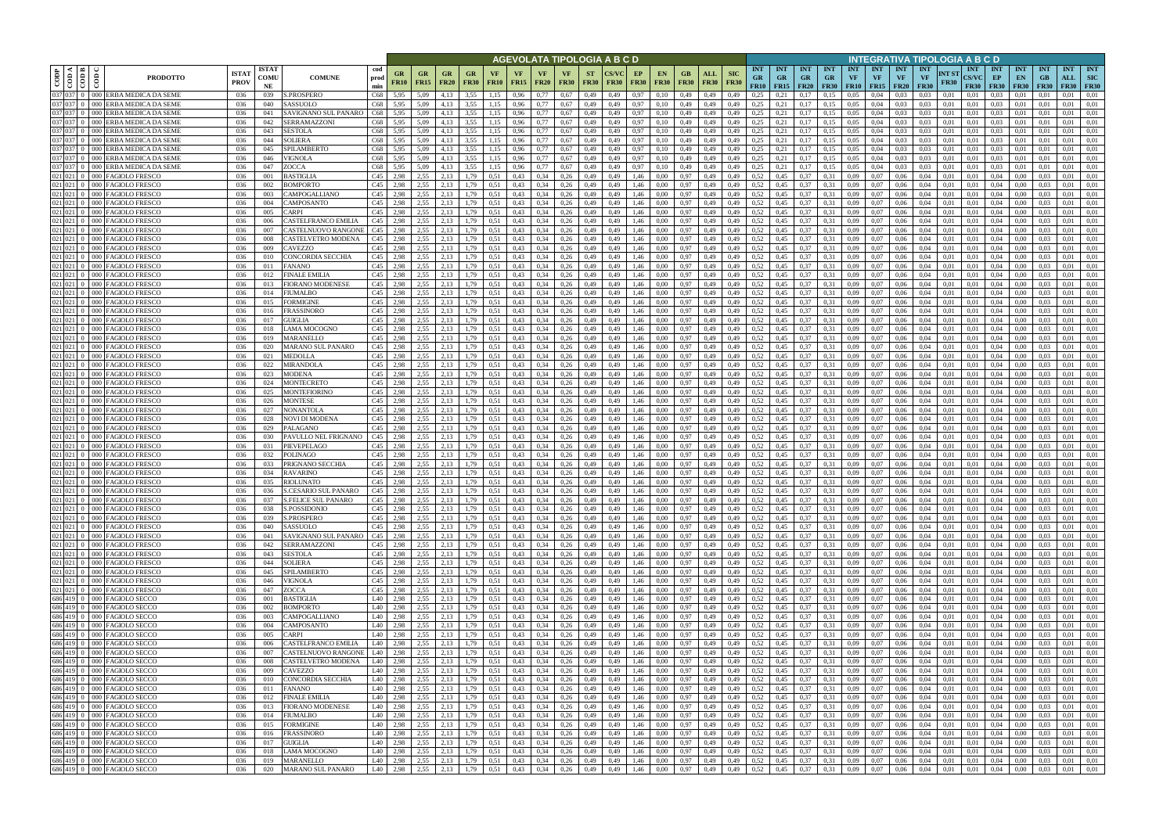|             |                                                 |                                                              |                             |                            |                                                    |                      |                                    | AGEVOLATA TIPOLOGIA A B C D |                                                      |                          |                   |                   |                            |                              |                          |              |                   |                                                   |                            |                    |                           |                                                                   |                                        |                                |                                        | INTEGRATIVA TIPOLOGIA A B C D |                                             |                                        |                                 |                      |                                           |                                  |                                 |                                           |                                  |                                         |
|-------------|-------------------------------------------------|--------------------------------------------------------------|-----------------------------|----------------------------|----------------------------------------------------|----------------------|------------------------------------|-----------------------------|------------------------------------------------------|--------------------------|-------------------|-------------------|----------------------------|------------------------------|--------------------------|--------------|-------------------|---------------------------------------------------|----------------------------|--------------------|---------------------------|-------------------------------------------------------------------|----------------------------------------|--------------------------------|----------------------------------------|-------------------------------|---------------------------------------------|----------------------------------------|---------------------------------|----------------------|-------------------------------------------|----------------------------------|---------------------------------|-------------------------------------------|----------------------------------|-----------------------------------------|
| CODP        | $\frac{\overline{1000}}{\overline{1000}}$<br>ම් | <b>PRODOTTO</b>                                              | <b>ISTA7</b><br><b>PROV</b> | <b>ISTAT</b><br>COMU<br>NE | <b>COMUNE</b>                                      | cod<br>prod<br>min   | GR<br>FR10                         | GR<br><b>FR15</b>           | GR<br><b>FR20</b>                                    | <b>GR</b><br><b>FR30</b> | VF<br><b>FR10</b> | VF<br><b>FR15</b> | <b>VF</b><br><b>FR20</b>   | <b>VF</b><br><b>FR30</b>     | <b>ST</b><br><b>FR30</b> | <b>FR30</b>  | EP<br><b>FR30</b> | <b>EN</b><br><b>FR30</b>                          | GB.<br><b>FR30</b>         | ALL<br><b>FR30</b> | <b>SIC</b><br><b>FR30</b> | <b>INT</b><br><b>GR</b><br>FR10                                   | <b>INT</b><br><b>GR</b><br>$FR15$ FR20 | <b>INT</b><br><b>GR</b>        | <b>INT</b><br><b>GR</b><br><b>FR30</b> | <b>INT</b><br>VF              | <b>INT</b><br><b>VF</b><br><b>FR10</b> FR15 | <b>INT</b><br><b>VF</b><br><b>FR20</b> | <b>INT</b><br>VF<br><b>FR30</b> | NT ST<br><b>FR30</b> | <b>INT</b><br><b>CS/VC</b><br><b>FR30</b> | <b>INT</b><br>EP<br><b>FR30</b>  | <b>INT</b><br>EN<br><b>FR30</b> | <b>INT</b><br>GB<br><b>FR30</b>           | <b>INT</b><br>ALL<br><b>FR30</b> | <b>INT</b><br><b>SIC</b><br><b>FR30</b> |
| 037 037     |                                                 | 0 000 ERBA MEDICA DA SEME                                    | 036                         | 039                        | S.PROSPERO                                         | C68                  | 5,95                               | 5,09                        | 4.13                                                 | 3,55                     | 1,15              | 0,96              | 0.77                       | 0.67                         | 0,49                     | 0,49         | 0,97              | 0.10                                              | 0,49                       | 0.49               | 0.49                      | 0.25                                                              |                                        | 0.17                           | 0.15                                   | 0.05                          | 0.04                                        | 0.03                                   | 0.03                            | 0.01                 | 0.01                                      | 0.03                             | 0.01                            |                                           | 0.01                             | 0.01                                    |
| 037 037     |                                                 | 037 037 0 000 ERBA MEDICA DA SEME<br>000 ERBA MEDICA DA SEME | 036<br>036                  | 040<br>041                 | SASSUOLO<br>SAVIGNANO SUL PANARO                   | C68<br>C68           | 5,95<br>5,95                       | 5,09<br>5,09                | 4,13<br>4,13                                         | 3,55<br>3,55             | 1,15<br>1,15      | 0,96<br>0,96      | 0,77<br>0.77               | 0.67<br>0.67                 | 0,49<br>0,49             | 0,49<br>0,49 | 0,97<br>0,97      | 0,10<br>0,10                                      | 0,49<br>0,49               | 0,49<br>0,49       | 0,49<br>0,49              | 0.25<br>0,25                                                      | 0,21<br>0,21                           | 0,17<br>0,17                   | 0.15<br>0,15                           | 0,05<br>0,05                  | 0,04<br>0,04                                | 0.03<br>0.03                           | 0,03<br>0.03                    | 0,01<br>0,01         | 0,01<br>0,01                              | 0.03<br>0.03                     | 0,01<br>0,01                    | 0,01<br>-0.01                             | 0.01<br>0.01                     | 0,01<br>0,01                            |
|             |                                                 | 037 037 0 000 ERBA MEDICA DA SEME                            | 036                         | 042                        | SERRAMAZZONI                                       | C68                  | 5,95                               | 5,09                        | 4.13                                                 | 3,55                     | 1.15              | 0.96              | 0.77                       | 0.67                         | 0,49                     | 0,49         | 0,97              | 0.10                                              | 0,49                       | 0.49               | 0,49                      | 0.25                                                              | 0,21                                   | 0.17                           | 0.15                                   | 0.05                          | 0.04                                        | 0.03                                   | 0.03                            | 0.01                 | 0.01                                      | 0.03                             | 0.01                            | 0.01                                      | 0.01                             | 0.01                                    |
| 037 037     |                                                 | 000 ERBA MEDICA DA SEME                                      | 036                         | 043                        | <b>SESTOLA</b>                                     | C68                  | 5.95                               | 5.09                        | 4.13                                                 | 3.55                     | 1.15              | 0.96              | 0.77                       | 0.67                         | 0,49                     | 0.49         | 0,97              | 0.10                                              | 0.49                       | 0.49               | 0.49                      | 0.25                                                              | 0.21                                   | 0.17                           | 0.15                                   | 0.05                          | 0.04                                        | 0.03                                   | 0.03                            | 0.01                 | 0.01                                      | 0.03                             | 0.01                            | 0.01                                      | 0.01                             | 0.01                                    |
| 037 037     |                                                 | 037 037 0 000 ERBA MEDICA DA SEME<br>000 ERBA MEDICA DA SEME | 036<br>036                  | 044                        | <b>SOLIERA</b><br>SPILAMBERTO                      | C68<br>C68           | 5,95<br>5.95                       | 5,09                        | 4.13<br>4.13                                         | 3,55<br>3.55             | 1,15<br>1.15      | 0.96<br>0.96      | 0.77<br>0.77               | 0.67<br>0.67                 | 0,49                     | 0,49         | 0,97              | 0,10                                              | 0,49<br>0.49               | 0,49               | 0.49<br>0.49              | 0.25<br>0.25                                                      | 0,21                                   | 0,17                           | 0,15                                   | 0,05<br>0.05                  | 0,04<br>0.04                                | 0.03<br>0.03                           | 0.03<br>0.03                    | 0.01<br>0.01         | 0.01                                      | 0.03<br>0.03                     | 0,01<br>0.01                    | 0.01<br>0.01                              | 0.01<br>0.01                     | 0,01<br>0.01                            |
|             |                                                 | 037 037 0 0 000 ERBA MEDICA DA SEME                          | 036                         | 045<br>046                 | <b>VIGNOLA</b>                                     | C68                  | 5,95                               | 5.09<br>5.09                | 4.13                                                 | 3,55                     | 1.15              | 0.96              | 0.77                       | 0.67                         | 0,49<br>0,49             | 0.49<br>0,49 | 0,97<br>0,97      | 0,10<br>0,10                                      | 0,49                       | 0.49<br>0,49       | 0,49                      | 0.25                                                              | 0,21<br>0,21                           | 0,17<br>0,17                   | 0,15<br>0,15                           | 0.05                          | 0.04                                        | 0.03                                   | 0.03                            | 0.01                 | 0.01<br>0.01                              | 0.03                             | 0.01                            | 0.01                                      | 0.01                             | 0.01                                    |
|             |                                                 | 037 037 0 000 ERBA MEDICA DA SEME                            | 036                         | 047                        | ZOCCA                                              | C68                  | 5,95                               | 5,09                        | 4,13                                                 | 3,55                     | 1,15              | 0,96              | 0.77                       | 0,67                         | 0,49                     | 0.49         | 0,97              | 0,10                                              | 0,49                       | 0,49               | 0.49                      | 0.25                                                              | 0,21                                   | 0,17                           | 0,15                                   | 0.05                          | 0.04                                        | 0.03                                   | 0.03                            | 0.01                 | 0.01                                      | 0.03                             | 0,01                            | 0.01                                      | 0.01                             | 0,01                                    |
|             | $021$ 021 0 000                                 | <b>FAGIOLO FRESCO</b>                                        | 036                         | 001                        | <b>BASTIGLIA</b>                                   | C45                  | 2,98                               | 2.55                        | 2,13                                                 | 1,79                     | 0.51              | 0,43              | 0.34                       | 0,26                         | 0,49                     | 0,49         | 1,46              | 0.00                                              | 0,97                       | 0,49               | 0,49                      | 0,52                                                              | 0,45                                   | 0,37                           | 0.31                                   | 0,09                          | 0,07                                        | 0,06                                   | 0.04                            | 0,01                 | 0.01                                      | 0.04                             | 0,00                            | 0.03                                      | 0.01                             | 0,01                                    |
|             | 021 021 0 000<br>$021$ 021 0 000                | <b>FAGIOLO FRESCO</b><br><b>FAGIOLO FRESCO</b>               | 036<br>036                  | 002<br>003                 | 3OMPORTO<br>CAMPOGALLIANO                          | C45<br>C45           | 2,98<br>2,98                       | 2.55<br>2,55                | 2,13<br>2,13                                         | 1,79<br>1,79             | 0.51<br>0.51      | 0,43<br>0,43      | 0.34<br>0.34               | 0,26<br>0,26                 | 0,49<br>0,49             | 0,49<br>0,49 | 1,46<br>1,46      | 0,00<br>0,00                                      | 0,97<br>0,97               | 0,49<br>0,49       | 0.49<br>0,49              | 0,52<br>0,52                                                      | 0,45<br>0,45                           | 0,37<br>0,37                   | 0.31<br>0,31                           | 0,09<br>0,09                  | 0.07<br>0,07                                | 0,06<br>0,06                           | 0.04<br>0,04                    | 0.01<br>0,01         | 0,01<br>0,01                              | 0,04<br>0.04                     | 0,00<br>0,00                    | 0.03<br>0,03                              | 0.01<br>0,01                     | 0,01<br>0,01                            |
|             |                                                 | 021 021 0 000 FAGIOLO FRESCO                                 | 036                         | 004                        | CAMPOSANTO                                         | C45                  | 2.98                               | 2.55                        | 2.13                                                 | 1.79                     | 0.51              | 0,43              | 0,34                       | 0.26                         | 0,49                     | 0.49         | 1,46              | 0.00                                              | 0,97                       | 0,49               | 0.49                      | 0,52                                                              | 0.45                                   | 0.37                           | 0.31                                   | 0,09                          | 0.07                                        | 0,06                                   | 0.04                            | 0.01                 | 0.01                                      | 0,04                             | 0.00                            | 0.03                                      | 0,01                             | 0.01                                    |
|             |                                                 | 021 021 0 000 FAGIOLO FRESCO                                 | 036                         | 005                        | CARPI                                              | C45                  | 2,98                               | 2,55                        | 2.13                                                 | 1,79                     | 0,51              | 0,43              | 0,34                       | 0,26                         | 0,49                     | 0,49         | 1,46              | 0.00                                              | 0,97                       | 0,49               | 0,49                      | 0,52                                                              | 0.45                                   | 0,37                           | 0.31                                   | 0,09                          | 0,07                                        | 0,06                                   | 0.04                            | 0,01                 | 0,01                                      | 0,04                             | 0,00                            | 0.03                                      | 0,01                             | 0,01                                    |
|             |                                                 | 021 021 0 000 FAGIOLO FRESCO                                 | 036                         | 006                        | CASTELFRANCO EMILIA                                | C45                  | 2,98                               | 2,55                        | 2,13                                                 | 1,79                     | 0.51              | 0,43              | 0,34                       | 0,26                         | 0,49                     | 0,49         | 1,46              | 0,00                                              | 0.97                       | 0,49               | 0,49                      | 0,52                                                              | 0,45                                   | 0,37                           | 0.31                                   | 0,09                          | 0,07                                        | 0,06                                   | 0,04                            | 0.01                 | 0,01                                      | 0,04                             | 0,00                            | 0.03                                      | 0,01                             | 0.01                                    |
|             |                                                 | 021 021 0 000 FAGIOLO FRESCO<br>021 021 0 000 FAGIOLO FRESCO | 036<br>036                  | 007<br>008                 | CASTELNUOVO RANGONI<br>CASTELVETRO MODENA          | C45<br>C45           | 2.98<br>2.98                       | 2.55<br>2.55                | 2.13<br>2.13                                         | 1.79<br>1.79             | 0.51<br>0.51      | 0.43<br>0.43      | 0.34<br>0.34               | 0.26<br>0.26                 | 0,49<br>0,49             | 0.49<br>0.49 | 1.46<br>1.46      | 0.00<br>0.00                                      | 0,97<br>0.97               | 0.49<br>0,49       | 0.49<br>0.49              | 0.52<br>0,52                                                      | 0.45<br>0.45                           | 0,37<br>0.37                   | 0.31<br>0.31                           | 0.09<br>0.09                  | 0.07<br>0.07                                | 0.06<br>0.06                           | 0.04<br>0.04                    | 0.01<br>0.01         | 0.01<br>0.01                              | 0.04<br>0.04                     | 0.00<br>0.00                    | 0.03<br>0.03                              | 0.01<br>0.01                     | 0.01<br>0.01                            |
|             | 021 021 0 000                                   | <b>FAGIOLO FRESCO</b>                                        | 036                         | 009                        | CAVEZZO                                            | C45                  | 2,98                               | 2,55                        | 2,13                                                 | 1.79                     | 0.51              | 0,43              | 0.34                       | 0,26                         | 0,49                     | 0.49         | 1,46              | 0.00                                              | 0,97                       | 0,49               | 0.49                      | 0,52                                                              | 0.45                                   | 0,37                           | 0.31                                   | 0,09                          | 0,07                                        | 0,06                                   | 0.04                            | 0.01                 | 0.01                                      | 0.04                             | 0.00                            | 0.03                                      | 0.01                             | 0,01                                    |
|             | $021$ 021 0 000                                 | <b>FAGIOLO FRESCO</b>                                        | 036                         | 010                        | CONCORDIA SECCHIA                                  | C45                  | 2.98                               | 2.55                        | 2.13                                                 | .79                      | 0.51              | 0,43              | 0.34                       | 0.26                         | 0,49                     | 0.49         | 1.46              | 0.00                                              | 0.97                       | 0.49               |                           | 0.52                                                              |                                        | 0.37                           | 0.31                                   | 0.09                          | 0.07                                        | 0.06                                   | 0.04                            | 0.01                 | 0.01                                      | 0.04                             | 0.00                            |                                           | 0.01                             | 0.01                                    |
| $021$ 021 0 | 000                                             | AGIOLO FRESCO                                                | 036                         | 011                        | FANANO                                             | C45                  | 2.98                               | 2.55                        | 2.13                                                 | 79                       | 0.51              | 0.43              | 0.34                       | 0.26                         | 0.49                     | 0.49         | 1.46              | 0.00                                              | 0.97                       | 0.49               | 0.49                      | 0,52                                                              | 0.45                                   | 0.37                           | 0.31                                   | 0.09                          | 0.07                                        | 0.06                                   | 0.04                            | 0.01                 | 0.01                                      | 0.04                             | 0.00                            |                                           | 0.01                             | 0.01                                    |
|             | 021 021 0 000                                   | <b>FAGIOLO FRESCO</b><br>021 021 0 000 FAGIOLO FRESCO        | 036<br>036                  | 012<br>013                 | FINALE EMILIA<br><b>FIORANO MODENESE</b>           | C45<br>C45           | 2.98<br>2.98                       | 2,55<br>2.55                | 2,13<br>2.13                                         | .79<br>1.79              | 0.51<br>0.51      | 0,43<br>0.43      | 0.34<br>0.34               | 0,26<br>0,26                 | 0,49<br>0,49             | 0.49<br>0.49 | 1.46<br>1.46      | 0.00<br>0.00                                      | 0,97<br>0,97               | 0,49<br>0.49       | 0,49                      | 0,52<br>0,52                                                      | 0.45<br>0,45                           | 0,37<br>0,37                   | 0.31<br>0.31                           | 0,09<br>0.09                  | 0,07<br>0.07                                | 0.06<br>0,06                           | 0,04<br>0.04                    | 0.01<br>0.01         | 0.01<br>0.01                              | 0.04<br>0.04                     | 0.00<br>0.00                    | 0.03<br>0.03                              | 0.01<br>0.01                     | 0.01<br>0.01                            |
|             |                                                 | 021 021 0 000 FAGIOLO FRESCO                                 | 036                         | 014                        | FIUMALBO                                           | C45                  | 2.98                               | 2.55                        | 2.13                                                 | 1.79                     | 0.51              | 0,43              | 0,34                       | 0,26                         | 0,49                     | 0,49         | 1,46              | 0.00                                              | 0.97                       | 0,49               | 0,49                      | 0,52                                                              | 0,45                                   | 0,37                           | 0.31                                   | 0,09                          | 0.07                                        | 0,06                                   | 0.04                            | 0.01                 | 0,01                                      | 0.04                             | $0.00\,$                        | 0.03                                      | 0.01                             | 0.01                                    |
| 021 021 0   | 000                                             | <b>FAGIOLO FRESCO</b>                                        | 036                         | 015                        | FORMIGINE                                          | C45                  | 2,98                               | 2,55                        | 2,13                                                 | l.79                     | 0.51              | 0,43              | 0.34                       | 0,26                         | 0,49                     | 0.49         | 1,46              | 0.00                                              | 0,97                       | 0,49               | 0,49                      | 0,52                                                              | 0,45                                   | 0,37                           | 0.31                                   | 0,09                          | 0.07                                        | 0,06                                   | 0.04                            | 0.01                 | 0,01                                      | 0,04                             | 0.00                            |                                           | 0.01                             | 0.01                                    |
| 021 021     | $0 \quad 000$                                   | FAGIOLO FRESCO                                               | 036                         | 016                        | <b>RASSINORO</b>                                   | C45                  | 2.98                               | 2,55                        | 2.13                                                 | .79                      | 0.51              | 0,43              | 0.34                       | 0.26                         | 0,49                     | 0,49         | 1.46              | 0.00                                              | 0,97                       | 0,49               | 0,49                      | 0,52                                                              | 0,45                                   | 0,37                           | 0.31                                   | 0,09                          | 0.07                                        | 0,06                                   | 0.04                            | 0.01                 | 0,01                                      | 0.04                             | 0.00                            | 0.03                                      | 0.01                             | 0.01                                    |
| 021 021     | $-000$                                          | AGIOLO FRESCO<br>021 021 0 000 FAGIOLO FRESCO                | 036<br>036                  | 017<br>018                 | <b>GUIGLIA</b><br>LAMA MOCOGNO                     | C45<br>C45           | 2.98<br>2,98                       | 2,55<br>2,55                | 2.13<br>2,13                                         | 1,79                     | 0.51              | 0.43<br>0,43      | 0.34<br>0,34               | 0.26<br>0,26                 | 0,49<br>0,49             | 0.49<br>0,49 | 1.46<br>1,46      | 0.00<br>0,00                                      | 0.97<br>0.97               | 0.49<br>0,49       | 0.49<br>0,49              | 0,52<br>0,52                                                      | 0.45<br>0,45                           | 0.37<br>0,37                   | 0.31<br>0.31                           | 0.09<br>0,09                  | 0.07<br>0,07                                | 0.06<br>0,06                           | 0.04<br>0,04                    | 0.01<br>0,01         | 0.01<br>0,01                              | 0.04<br>0,04                     | 0.00<br>0,00                    | 0,03                                      | 0.01<br>0,01                     | 0.01<br>0,01                            |
| 021 021 0   |                                                 | 000 FAGIOLO FRESCO                                           | 036                         | 019                        | MARANELLO                                          | C45                  | 2.98                               | 2.55                        | 2,13                                                 | 1,79                     | 0.51              | 0.43              | 0.34                       | 0,26                         | 0,49                     | 0.49         | 1,46              | 0.00                                              | 0.97                       | 0,49               | 0.49                      | 0.52                                                              | 0,45                                   | 0,37                           | 0.31                                   | 0.09                          | 0.07                                        | 0.06                                   | 0.04                            | 0.01                 | 0.01                                      | 0.04                             | 0.00                            | 0.03                                      | 0.01                             | 0.01                                    |
|             |                                                 | 021 021 0 000 FAGIOLO FRESCO                                 | 036                         | 020                        | MARANO SUL PANARO                                  | C45                  | 2,98                               | 2,55                        | 2,13                                                 | 1,79                     | 0.51              | 0,43              | 0.34                       | 0,26                         | 0,49                     | 0,49         | 1,46              | 0.00                                              | 0,97                       | 0,49               | 0,49                      | 0.52                                                              | 0,45                                   | 0,37                           | 0.31                                   | 0.09                          | 0.07                                        | 0,06                                   | 0.04                            | 0.01                 | 0.01                                      | 0.04                             | 0.00                            | 0.03                                      | 0.01                             | 0.01                                    |
|             | $021$ 021 0 000                                 | <b>FAGIOLO FRESCO</b>                                        | 036                         | 021                        | MEDOLLA                                            | C45                  | 2.98                               | 2,55                        | 2,13                                                 | 1,79                     | 0.51              | 0,43              | 0.34                       | 0,26                         | 0,49                     | 0.49         | 1,46              | 0.00                                              | 0.97                       | 0,49               | 0.49                      | 0,52                                                              | 0,45                                   | 0,37                           | 0.31                                   | 0.09                          | 0.07                                        | 0.06                                   | 0.04                            | 0.01                 | 0.01                                      | 0.04                             | 0.00                            | 0.03                                      | 0.01                             | 0,01                                    |
|             | $021$ 021 0 000<br>$021$ 021 0 000              | <b>FAGIOLO FRESCO</b><br>FAGIOLO FRESCO                      | 036<br>036                  | 022<br>023                 | MIRANDOLA<br>MODENA                                | C45<br>C45           | 2.98<br>2.98                       | 2.55<br>2.55                | 2.13<br>2,13                                         | 1,79<br>1,79             | 0.51<br>0.51      | 0.43<br>0.43      | 0.34<br>0.34               | 0,26<br>0,26                 | 0,49<br>0,49             | 0.49<br>0.49 | 1,46<br>1.46      | 0.00<br>0.00                                      | 0.97<br>0.97               | 0,49<br>0.49       | 0.49<br>0.49              | 0.52<br>0,52                                                      | 0,45<br>0.45                           | 0,37<br>0,37                   | 0.31<br>0.31                           | 0.09<br>0.09                  | 0.07<br>0.07                                | 0.06<br>0.06                           | 0.04<br>0.04                    | 0.01<br>0.01         | 0.01<br>0.01                              | 0.04<br>0.04                     | 0.00<br>0.00                    | 0.03<br>0.03                              | 0.01<br>0.01                     | 0.01<br>0.01                            |
|             |                                                 | 021 021 0 000 FAGIOLO FRESCO                                 | 036                         | 024                        | MONTECRETO                                         | C45                  | 2,98                               | 2,55                        | 2,13                                                 | 1,79                     | 0,51              | 0,43              | 0,34                       | 0,26                         | 0,49                     | 0,49         | 1,46              | 0,00                                              | 0,97                       | 0,49               | 0,49                      | 0,52                                                              | 0,45                                   | 0,37                           | 0.31                                   | 0,09                          | 0,07                                        | 0,06                                   | 0.04                            | 0,01                 | 0,01                                      | 0,04                             | $0.00\,$                        | 0.03                                      | 0.01                             | 0,01                                    |
| 021 021 0   | $-000$                                          | FAGIOLO FRESCO                                               | 036                         | 025                        | MONTEFIORINO                                       | C45                  | 2,98                               | 2.55                        | 2,13                                                 | 1,79                     | 0.51              | 0,43              | 0.34                       | 0,26                         | 0,49                     | 0.49         | 1.46              | 0.00                                              | 0.97                       | 0,49               | 0.49                      | 0,52                                                              | 0,45                                   | 0,37                           | 0.31                                   | 0.09                          | 0.07                                        | 0,06                                   | 0.04                            | 0.01                 | 0.01                                      | 0.04                             | 0.00                            | 0.03                                      | 0.01                             | 0,01                                    |
|             | 021 021 0 000                                   | 021 021 0 000 FAGIOLO FRESCO<br>FAGIOLO FRESCO               | 036<br>036                  | 026<br>027                 | MONTESE<br>NONANTOLA                               | C45<br>C45           | 2,98<br>2,98                       | 2,55<br>2,55                | 2,13<br>2,13                                         | 1,79<br>1,79             | 0.51              | 0,43              | 0.34<br>0,34               | 0,26<br>0,26                 | 0,49                     | 0,49<br>0,49 | 1,46<br>1,46      | 0.00                                              | 0.97                       | 0,49<br>0,49       | 0,49                      | 0,52<br>0,52                                                      | 0,45<br>0,45                           | 0,37<br>0,37                   | 0.31                                   | 0,09<br>0,09                  | 0,07<br>0,07                                | 0,06<br>0,06                           | 0.04<br>0,04                    | 0,01<br>0,01         | 0,01<br>0,01                              | 0.04<br>0,04                     | 0,00<br>0,00                    | 0.03<br>0.03                              | 0.01<br>0,01                     | 0,01<br>0,01                            |
|             |                                                 | 021 021 0 000 FAGIOLO FRESCO                                 | 036                         | 028                        | NOVI DI MODENA                                     | C45                  | 2,98                               | 2,55                        | 2.13                                                 | 1,79                     | 0.51<br>0,51      | 0,43<br>0,43      | 0.34                       | 0,26                         | 0,49<br>0,49             | 0,49         | 1,46              | 0,00<br>0.00                                      | 0,97<br>0,97               | 0,49               | 0,49<br>0,49              | 0,52                                                              | 0.45                                   | 0,37                           | 0,31<br>0.31                           | 0,09                          | 0,07                                        | 0,06                                   | 0.04                            | 0,01                 | 0,01                                      | 0.04                             | 0,00                            | 0.03                                      | 0,01                             | 0.01                                    |
|             |                                                 | 021 021 0 000 FAGIOLO FRESCO                                 | 036                         | 029                        | PALAGANO                                           | C45                  | 2.98                               | 2.55                        | 2.13                                                 | 1,79                     | 0.51              | 0,43              | 0,34                       | 0,26                         | 0,49                     | 0,49         | 1,46              | 0,00                                              | 0.97                       | 0,49               | 0,49                      | 0,52                                                              | 0.45                                   | 0,37                           | 0.31                                   | 0,09                          | 0,07                                        | 0,06                                   | 0,04                            | 0.01                 | 0,01                                      | 0,04                             | 0,00                            | 0.03                                      | 0,01                             | 0.01                                    |
|             |                                                 | 021 021 0 000 FAGIOLO FRESCO                                 | 036                         | 030                        | PAVULLO NEL FRIGNANO                               | C45                  | 2,98                               | 2,55                        | 2,13                                                 | 1,79                     | 0.51              | 0,43              | 0,34                       | 0,26                         | 0,49                     | 0,49         | 1,46              | 0.00                                              | 0,97                       | 0,49               | 0,49                      | 0,52                                                              | 0.45                                   | 0,37                           | 0.31                                   | 0,09                          | 0,07                                        | 0,06                                   | 0,04                            | 0,01                 | 0.01                                      | 0,04                             | 0,00                            | 0.03                                      | 0.01                             | 0.01                                    |
|             | $021$ 021 0 000                                 | 021 021 0 000 FAGIOLO FRESCO<br><b>FAGIOLO FRESCO</b>        | 036<br>036                  | 031<br>032                 | PIEVEPELAGO<br>POLINAGO                            | C45<br>C45           | 2.98<br>2.98                       | 2.55<br>2.55                | 2.13<br>2.13                                         | 1.79<br>1.79             | 0.51<br>0.51      | 0,43<br>0.43      | 0.34<br>0.34               | 0.26<br>0.26                 | 0,49<br>0,49             | 0.49<br>0.49 | 1,46<br>1,46      | 0.00<br>0.00                                      | 0,97<br>0,97               | 0,49<br>0,49       | 0.49<br>0.49              | 0,52<br>0,52                                                      | 0.45<br>0.45                           | 0,37<br>0,37                   | 0.31<br>0.31                           | 0.09<br>0.09                  | 0.07<br>0.07                                | 0.06<br>0.06                           | 0.04<br>0.04                    | 0.01<br>0.01         | 0.01<br>0.01                              | 0.04<br>0.04                     | 0.00<br>0.00                    | 0.03<br>0.03                              | 0.01<br>0.01                     | 0.01<br>0.01                            |
|             |                                                 | 021 021 0 000 FAGIOLO FRESCO                                 | 036                         | 033                        | PRIGNANO SECCHIA                                   | C45                  | 2,98                               | 2,55                        | 2,13                                                 | 1,79                     | 0.51              | 0,43              | 0,34                       | 0,26                         | 0,49                     | 0,49         | 1,46              | 0.00                                              | 0,97                       | 0,49               | 0.49                      | 0,52                                                              | 0.45                                   | 0,37                           | 0.31                                   | 0,09                          | 0,07                                        | 0,06                                   | 0,04                            | 0.01                 | 0,01                                      | 0,04                             | 0,00                            | 0.03                                      | 0,01                             | 0,01                                    |
|             |                                                 | 021 021 0 000 FAGIOLO FRESCO                                 | 036                         | 034                        | RAVARINO                                           | C45                  | 2.98                               | 2.55                        | 2.13                                                 | l.79                     | 0.51              | 0.43              | 0.34                       | 0.26                         | 0.49                     | 0.49         | 1.46              | 0.00                                              | 0.97                       | 0.49               | 0.49                      | 0.52                                                              | 0.45                                   | 0.37                           | 0.31                                   | 0.09                          | 0.07                                        | 0.06                                   | 0.04                            | 0.01                 | 0.01                                      | 0.04                             | 0.00                            | 0.03                                      | 0.01                             | 0.01                                    |
|             |                                                 | 021 021 0 000 FAGIOLO FRESCO                                 | 036                         | 035                        | <b>RIOLUNATO</b>                                   | C45                  | 2,98                               | 2,55                        | 2,13                                                 | 1.79                     | 0.51              | 0,43              | 0.34                       | 0,26                         | 0,49                     | 0,49         | 1,46              | 0.00                                              | 0.97                       | 0,49               | 0,49                      | 0,52                                                              | 0.45                                   | 0,37                           | 0,31                                   | 0.09                          | 0.07                                        | 0.06                                   | 0.04                            | 0.01                 | 0.01                                      | 0.04                             | 0.00                            | 0.03                                      | 0,01                             | 0,01                                    |
|             |                                                 | 021 021 0 000 FAGIOLO FRESCO<br>021 021 0 000 FAGIOLO FRESCO | 036<br>036                  | 036<br>037                 | S.CESARIO SUL PANARO<br><b>S.FELICE SUL PANARO</b> | C <sub>45</sub> 2,98 | C <sub>45</sub> 2,98               | 2,55<br>2,55                | 2,13<br>2,13                                         | 1,79<br>1,79             | 0.51<br>0,51      | 0.43<br>0,43      | 0.34<br>0,34               | 0,26<br>0,26                 | 0.49<br>0,49             | 0.49<br>0,49 | 1.46<br>1,46      | 0.00<br>0,00                                      | 0.97<br>0,97               | 0.49<br>0,49       | 0.49<br>0,49              | 0,52<br>0,52                                                      | 0,45<br>0,45                           | 0,37<br>0,37                   | 0.31<br>0,31                           | 0.09<br>0,09                  | 0.07<br>0,07                                | 0.06<br>0,06                           | 0.04<br>0,04                    | 0.01<br>0,01         | 0.01<br>0,01                              | 0.04<br>0,04                     | 0.00<br>0,00                    | 0.03<br>0,03                              | 0.01<br>0,01                     | 0.01<br>0,01                            |
|             |                                                 | 021 021 0 000 FAGIOLO FRESCO                                 | 036                         | 038                        | S.POSSIDONIO                                       |                      | C <sub>45</sub> 2,98               | 2,55                        | 2,13                                                 | 1,79                     | 0,51              | 0,43              | 0,34                       | 0,26                         | 0,49                     | 0,49         | 1,46              | 0,00                                              | 0,97                       | 0,49               | 0,49                      | 0,52                                                              | 0,45                                   | 0,37                           | 0,31                                   | 0,09                          | 0,07                                        | 0,06                                   | 0,04                            | 0,01                 | 0,01                                      | 0,04                             | 0,00                            | 0,03                                      | 0,01                             | 0,01                                    |
|             |                                                 | 021 021 0 000 FAGIOLO FRESCO                                 | 036                         | 039                        | S.PROSPERO                                         |                      | $C45$ 2,98                         | 2,55                        | 2,13                                                 | 1,79                     | 0,51              | 0,43              |                            | $0,34$ 0,26                  | 0,49                     | 0,49         | 1,46              | 0,00                                              | 0,97                       | 0,49               | 0,49                      | 0,52                                                              | 0,45                                   | 0,37                           | 0,31                                   | 0,09                          | 0,07                                        | 0,06                                   | 0,04                            | 0,01                 | 0,01                                      | 0,04                             | 0,00                            | 0,03                                      | 0,01                             | 0,01                                    |
|             |                                                 | 021 021 0 000 FAGIOLO FRESCO<br>021 021 0 000 FAGIOLO FRESCO | 036                         | 040                        | SASSUOLO                                           |                      | $C45$ 2,98                         |                             | 2,55 2,13                                            | 1,79                     | 0.51              | 0,43              |                            | $0,34$ $0,26$                | 0,49                     | 0,49         | 1,46              | 0,00                                              | 0,97                       | 0,49               | 0,49                      | 0,52                                                              | 0,45                                   | 0,37                           | 0,31                                   |                               | $0,09$ 0.07                                 | 0,06                                   | 0,04                            | 0,01                 | 0,01                                      | 0,04                             | $0.00\,$                        | 0,03                                      | 0,01                             | 0,01                                    |
|             |                                                 | 021 021 0 000 FAGIOLO FRESCO                                 | 036<br>036                  | 041<br>042                 | SAVIGNANO SUL PANARO<br>SERRAMAZZONI               | C <sub>45</sub> 2,98 | $C45$ 2,98                         | 2,55<br>2,55                | 2,13<br>2,13                                         | 1,79<br>1,79             | 0,51<br>0,51      | 0,43<br>0,43      | 0,34                       | 0,26<br>$0,34$ 0,26          | 0,49<br>0,49             | 0,49<br>0,49 | 1,46<br>1,46      | 0,00<br>0,00                                      | 0,97<br>$0,97$ 0,49        | 0,49               | 0,49<br>0,49              | 0,52<br>0,52                                                      | 0,45<br>0,45                           | 0,37<br>0,37                   | 0,31<br>0,31                           | 0,09                          | 0,07<br>$0,09$ 0.07                         | 0,06<br>0,06                           | 0,04<br>0,04                    | 0,01<br>0,01         | 0,01<br>0,01                              | 0,04<br>0,04                     | 0,00<br>0,00                    | 0,03<br>  0,03                            | 0.01<br>0.01                     | 0,01<br>0,01                            |
|             |                                                 | 021 021 0 000 FAGIOLO FRESCO                                 | 036                         | 043                        | <b>SESTOLA</b>                                     |                      | $C45$ 2,98                         |                             | 2,55 2,13                                            | 1,79                     | 0,51              | 0,43              |                            | $0,34$ 0,26                  | 0,49                     | 0,49         | 1,46              | 0,00                                              | $0,97$ 0,49                |                    | 0,49                      | 0,52                                                              | $0,45$ 0,37                            |                                | 0,31                                   |                               | $0,09$ $0,07$                               | 0,06                                   | 0,04                            | 0,01                 | 0.01                                      | 0,04                             | $0,00$ 0.03                     |                                           |                                  | $0,01$ $0,01$                           |
|             |                                                 | 021 021 0 000 FAGIOLO FRESCO                                 | 036                         | 044                        | <b>SOLIERA</b>                                     |                      | C <sub>45</sub> 2,98               |                             | 2,55 2,13                                            | 1,79                     | 0,51              | 0,43              |                            | $0,34$ $0,26$                | 0,49                     | 0,49         | 1,46              | 0,00                                              | 0,97 0,49                  |                    | 0,49                      | 0,52                                                              | $0,45$ 0.37                            |                                | 0,31                                   |                               | $0,09$ 0.07                                 | 0,06                                   | 0,04                            | 0,01                 | 0,01                                      | 0,04                             |                                 | $0,00$ 0.03                               | 0.01                             | 0,01                                    |
|             |                                                 | 021 021 0 000 FAGIOLO FRESCO<br>021 021 0 000 FAGIOLO FRESCO | 036                         | 045                        | SPILAMBERTO                                        |                      | C <sub>45</sub> 2,98<br>$C45$ 2,98 | $2,55$ $2,13$               |                                                      | 1,79                     | 0,51              | 0,43              | $0,34$ 0,26                |                              | 0,49                     | 0,49         | 1,46              | 0,00                                              | 0,97                       | 0,49               | 0,49                      | 0,52                                                              | 0,45 0,37                              |                                | 0,31                                   |                               | $0,09$ 0.07                                 | 0,06                                   | 0,04                            | 0,01                 | 0,01                                      | 0,04                             | $0,00$ 0.03                     |                                           | 0,01                             | 0,01                                    |
|             |                                                 | 021 021 0 000 FAGIOLO FRESCO                                 | 036<br>036                  | 046<br>047                 | <b>VIGNOLA</b><br>ZOCCA                            |                      | $C45$ 2,98                         | 2,55<br>2,55                | 2,13<br>2,13                                         | 1,79<br>1,79             | 0,51<br>0,51      | 0,43<br>0,43      | $0,34$ 0,26<br>$0,34$ 0,26 |                              | 0,49<br>0,49             | 0,49<br>0,49 | 1,46<br>1,46      | 0,00<br>0,00                                      | 0,97 0,49<br>0,97          | 0,49               | 0,49<br>0,49              | 0,52<br>0,52                                                      | 0,45<br>0,45                           | 0,37<br>0,37                   | 0,31<br>0,31                           | 0,09<br>0,09                  | 0,07<br>0,07                                | 0,06<br>0,06                           | 0,04<br>0,04                    | 0,01<br>0,01         | 0,01<br>0,01                              | 0,04<br>0,04                     | 0,00<br>0,00                    | 0,03<br>0,03                              | 0.01<br>0,01                     | 0,01<br>0,01                            |
|             |                                                 | 686 419 0 000 FAGIOLO SECCO                                  | 036                         | 001                        | <b>BASTIGLIA</b>                                   |                      | $L40$ 2,98                         |                             | $2,55$ 2,13                                          | 1,79                     | 0,51              | 0,43              |                            | $0,34$ 0,26                  | 0,49                     | 0,49         | 1,46              | 0,00                                              |                            | $0,97$ 0.49        | 0,49                      | 0,52                                                              | 0,45                                   | 0,37                           | 0,31                                   | 0,09                          | 0,07                                        | 0,06                                   | 0,04                            | 0,01                 | 0,01                                      | 0,04                             | 0,00                            | 0,03                                      | 0,01                             | 0,01                                    |
|             |                                                 | 686 419 0 000 FAGIOLO SECCO                                  | 036                         | 002                        | <b>BOMPORTO</b>                                    |                      | $L40$ 2,98                         |                             | $2,55$ 2,13                                          | 1,79                     | 0,51              | 0,43              |                            | $0,34$ $0,26$                | 0,49                     | 0,49         | 1,46              | 0,00                                              | 0,97                       | 0,49               | 0,49                      | 0,52                                                              | 0,45                                   | 0,37                           | 0,31                                   | 0,09                          | 0,07                                        | 0,06                                   | 0,04                            | 0,01                 | 0,01                                      | 0,04                             | 0,00                            | 0,03                                      | 0,01                             | 0,01                                    |
|             |                                                 | 686 419 0 000 FAGIOLO SECCO<br>686 419 0 000 FAGIOLO SECCO   | 036                         | 003<br>004                 | CAMPOGALLIANO                                      |                      | $L40$ 2,98<br>L <sub>40</sub> 2,98 |                             | 2,55 2,13                                            | 1,79                     | 0,51              | 0,43<br>0,43      |                            | $0,34$ $0,26$<br>$0,34$ 0,26 | 0,49                     | 0,49<br>0,49 | 1,46<br>1,46      | 0,00                                              | $0,97$ 0,49<br>$0,97$ 0,49 |                    | 0,49<br>0,49              | 0,52<br>0,52                                                      | 0,45                                   | 0,37<br>0,37                   | 0,31                                   |                               | $0,09$ 0.07                                 | 0,06                                   | 0,04<br>0,04                    | 0,01<br>0,01         | 0,01<br>0,01                              | 0,04<br>0,04                     | 0,00<br>0,00                    | 0,03<br>0,03                              | 0,01                             | 0,01<br>0,01                            |
|             |                                                 | 686 419 0 000 FAGIOLO SECCO                                  | 036<br>036                  | 005                        | CAMPOSANTO<br>CARPI                                |                      | L <sub>40</sub> 2,98               |                             | 2,55 2,13<br>2,55 2,13                               | 1,79<br>1,79             | 0,51<br>0,51      | 0,43              |                            | $0,34$ 0,26                  | 0,49<br>0,49             | 0,49         | 1,46              | 0,00<br>0,00                                      | $0,97$ 0,49                |                    | 0,49                      | $0,52$ 0.45                                                       | 0,45                                   | 0,37                           | 0,31<br>0,31                           |                               | $0,09$ 0.07<br>$0,09$ 0.07                  | 0,06<br>0,06                           | 0,04                            | 0,01                 | 0,01                                      | 0,04                             | $0.00\,$                        | 0,03                                      | 0,01<br>0,01                     | 0,01                                    |
|             |                                                 | 686 419 0 000 FAGIOLO SECCO                                  | 036                         | 006                        | CASTELFRANCO EMILIA                                |                      | $L40 \t 2,98$                      |                             | 2,55 2,13                                            | 1,79                     | 0,51              | 0,43              |                            | $0,34$ 0,26                  | 0,49                     | 0,49         |                   | $1,46$ 0,00                                       | 0,97 0,49                  |                    | 0,49                      | $0,52$ 0,45                                                       |                                        | $0,37$ 0,31                    |                                        |                               | $0,09$ 0.07                                 | 0,06                                   | 0,04                            | 0,01                 | 0,01                                      | 0,04                             | $0,00$ 0.03                     |                                           | 0,01                             | 0,01                                    |
|             |                                                 | 686 419 0 000 FAGIOLO SECCO                                  | 036                         | 007                        | CASTELNUOVO RANGONE                                |                      | $L40 \quad 2.98$                   |                             | 2,55 2,13                                            | 1,79                     | 0,51              | 0,43              |                            | $0,34$ 0,26                  | 0,49                     | 0,49         |                   | $1,46$ 0,00                                       | 0,97 0,49                  |                    | 0,49                      | $0,52$ $0,45$                                                     |                                        | $0,37$ $0,31$                  |                                        |                               | $0,09$ 0.07                                 | 0,06                                   | 0,04                            | 0,01                 | 0,01                                      | 0,04                             | $0,00$ 0.03                     |                                           | 0,01                             | 0,01                                    |
|             |                                                 | 686 419 0 000 FAGIOLO SECCO<br>686 419 0 000 FAGIOLO SECCO   | 036                         | 008                        | CASTELVETRO MODENA                                 |                      | $LA0 = 2,98$<br>$L40$ 2,98         |                             | $2,55$ $2,13$                                        | 1,79                     | 0,51              | 0,43              |                            | $0,34$ $0,26$                | 0,49                     | 0,49         |                   | 1,46 0,00                                         | 0,97 0,49                  |                    | 0,49                      | $0,52$ 0.45                                                       |                                        | $0,37$ 0,31                    |                                        |                               | $0,09$ 0.07                                 | 0,06                                   | 0,04                            | 0,01                 | 0,01                                      | $0.04$ 0.00 0.03                 |                                 |                                           | 0,01                             | 0,01                                    |
|             |                                                 | 686 419 0 000 FAGIOLO SECCO                                  | 036<br>036                  | 009<br>010                 | CAVEZZO<br>CONCORDIA SECCHIA                       |                      | $L40 \quad 2.98$                   |                             | $2,55$ $2,13$<br>2,55 2,13                           | 1,79<br>1,79             | 0,51<br>0,51      | 0,43<br>0,43      |                            | $0,34$ 0,26<br>$0,34$ 0,26   | 0,49<br>0,49             | 0,49<br>0,49 |                   | 1,46 0,00<br>1,46 0,00                            | $0,97$ 0,49<br>0,97 0,49   |                    | 0,49<br>0,49              | $0,52$ 0.45<br>$0,52$ 0.45                                        |                                        | $0,37$ $0,31$<br>$0,37$ $0,31$ |                                        |                               | $0,09$ 0.07<br>$0,09$ 0.07                  | 0,06<br>0,06                           | 0,04<br>0,04                    | 0,01<br>0,01         | 0,01<br>0,01                              | $0.04\qquad 0.00$<br>$0,04$ 0.00 |                                 | 0,03<br>0,03                              | 0,01<br>0,01                     | 0,01<br>0,01                            |
|             |                                                 | 686 419 0 000 FAGIOLO SECCO                                  | 036                         | 011                        | FANANO                                             |                      | $L40$ 2,98                         |                             | $2,55$ $2,13$                                        | 1,79                     | 0,51              | 0,43              |                            | $0,34$ 0,26                  | 0,49                     | 0,49         |                   | 1,46 0,00                                         | $0,97$ 0.49                |                    | 0,49                      | $0,52$ 0.45                                                       |                                        | $0,37$ $0,31$                  |                                        |                               | $0,09$ 0.07                                 | 0,06                                   | 0,04                            | 0,01                 | 0,01                                      | $0,04$ 0.00                      |                                 | 0,03                                      | 0,01                             | 0,01                                    |
|             |                                                 | 686 419 0 000 FAGIOLO SECCO                                  | 036                         | 012                        | <b>FINALE EMILIA</b>                               |                      | L <sub>40</sub> 2,98               |                             | $2,55$ $2,13$                                        | 1,79                     | 0,51              | 0,43              |                            | $0,34$ $0,26$                | 0,49                     | 0,49         |                   | 1,46 0,00                                         | $0,97$ 0,49                |                    | 0,49                      | $0,52$ $0,45$                                                     |                                        | 0,37                           | 0,31                                   |                               | $0,09$ 0.07                                 | 0,06                                   | 0,04                            | 0,01                 | 0,01                                      | $0,04$ 0.00                      |                                 | 0.03                                      | 0,01                             | 0,01                                    |
|             |                                                 | 686 419 0 000 FAGIOLO SECCO                                  | 036                         | 013                        | FIORANO MODENESE                                   |                      | L <sub>40</sub> 2,98               |                             | $2,55$ $2,13$                                        | 1,79                     | 0,51              | 0,43              |                            | $0,34$ 0,26                  | 0,49                     | 0,49         | 1,46              | 0,00                                              | 0,97                       | 0,49               | 0,49                      | $0,52$ 0,45                                                       |                                        | 0,37                           | 0,31                                   | 0,09                          | 0,07                                        | 0,06                                   | 0,04                            | 0,01                 | 0,01                                      | $0,04$ 0.00                      |                                 | 0,03                                      | 0,01                             | 0,01                                    |
|             |                                                 | 686 419 0 000 FAGIOLO SECCO<br>686 419 0 000 FAGIOLO SECCO   | 036<br>036                  | 014<br>015                 | FIUMALBO<br><b>FORMIGINE</b>                       | L40<br>L40           | 2,98<br>2,98                       | 2,55<br>2,55                | 2,13<br>2,13                                         | 1,79<br>1,79             | 0.51<br>0,51      | 0,43<br>0,43      |                            | $0,34$ 0,26<br>$0,34$ 0,26   | 0,49<br>0,49             | 0,49<br>0,49 | 1,46<br>1,46      | 0,00<br>0,00                                      | 0,97<br>0,97               | 0,49<br>0,49       | 0,49<br>0,49              | 0,52<br>0,52                                                      | 0,45<br>0,45                           | 0,37<br>0,37                   | 0,31<br>0,31                           | 0,09<br>0,09                  | 0,07<br>0,07                                | 0,06<br>0,06                           | 0,04<br>0,04                    | 0,01<br>0,01         | 0,01<br>0,01                              | 0,04<br>0,04                     | 0,00<br>0,00                    | 0,03<br>0,03                              | 0,01<br>0,01                     | 0,01<br>0,01                            |
|             |                                                 | 686 419 0 000 FAGIOLO SECCO                                  | 036                         | 016                        | FRASSINORO                                         |                      | $L40$ 2,98                         |                             | 2,55 2,13                                            | 1,79                     | 0,51              | 0,43              |                            | $0,34$ $0,26$                |                          | 0,49 0,49    | 1,46              | 0,00                                              | $0,97$ 0,49                |                    | 0,49                      | 0,52                                                              | 0,45 0,37                              |                                | 0,31                                   |                               | $0,09$ 0.07                                 | 0,06                                   | 0,04                            | 0,01                 | 0,01                                      | $0,04$ 0.00                      |                                 | 0,03                                      | 0,01                             | 0,01                                    |
|             |                                                 | 686 419 0 000 FAGIOLO SECCO                                  | 036                         | 017                        | <b>GUIGLIA</b>                                     |                      | $L40$ 2,98                         |                             | 2,55 2,13                                            | 1,79                     | 0,51              | 0,43              |                            | $0,34$ $0,26$                | 0,49                     | 0,49         | 1,46              | 0,00                                              | 0,97 0,49                  |                    | 0,49                      | 0,52                                                              | $0,45$ 0,37 0,31                       |                                |                                        |                               | $0,09$ $0,07$                               | 0,06                                   | 0,04                            | 0,01                 | 0,01                                      | 0,04                             |                                 | $0,00$ 0.03                               | 0.01                             | 0,01                                    |
|             |                                                 | 686 419 0 000 FAGIOLO SECCO                                  | 036                         | 018                        | LAMA MOCOGNO                                       |                      |                                    |                             | $L40$ 2,98 2,55 2,13                                 | 1,79                     | 0,51              | 0,43              |                            | $0,34$ $0,26$                |                          | 0,49 0,49    | 1,46              | 0,00                                              | 0,97 0,49                  |                    |                           | $0,49$ $0,52$                                                     | $0,45$ 0.37 0.31                       |                                |                                        |                               | $0,09$ 0.07                                 | 0,06                                   | 0,04                            | 0,01                 | 0,01                                      | $0,04$ 0,00 0,03                 |                                 |                                           | 0.01                             | 0,01                                    |
|             |                                                 | 686 419 0 000 FAGIOLO SECCO<br>686 419 0 000 FAGIOLO SECCO   | 036<br>036                  | 019<br>020                 | MARANELLO<br>MARANO SUL PANARO                     |                      |                                    |                             | $L40$ 2,98 2,55 2,13<br>L40 2,98 2,55 2,13 1,79 0,51 | 1,79                     | 0,51              | 0,43              |                            | $0,34$ 0,26                  |                          | 0,49 0,49    |                   | 1,46 0,00<br>$0,43$ 0.34 0.26 0.49 0.49 1.46 0.00 | 0,97 0,49                  | 0,97 0,49          | 0,49                      | $0,52$ $0,45$ $0,37$ $0,31$<br>$0,49$ $0,52$ $0,45$ $0,37$ $0,31$ |                                        |                                |                                        |                               | $0,09$ $0,07$<br>$0,09$ 0.07                | 0,06<br>0,06                           | 0,04<br>0,04                    | 0,01<br>0,01         | 0,01                                      |                                  |                                 | $0,04$ 0,00 0,03<br>$0,01$ 0.04 0.00 0.03 | $0,01$ $0,01$                    | $0,01$ $0,01$                           |
|             |                                                 |                                                              |                             |                            |                                                    |                      |                                    |                             |                                                      |                          |                   |                   |                            |                              |                          |              |                   |                                                   |                            |                    |                           |                                                                   |                                        |                                |                                        |                               |                                             |                                        |                                 |                      |                                           |                                  |                                 |                                           |                                  |                                         |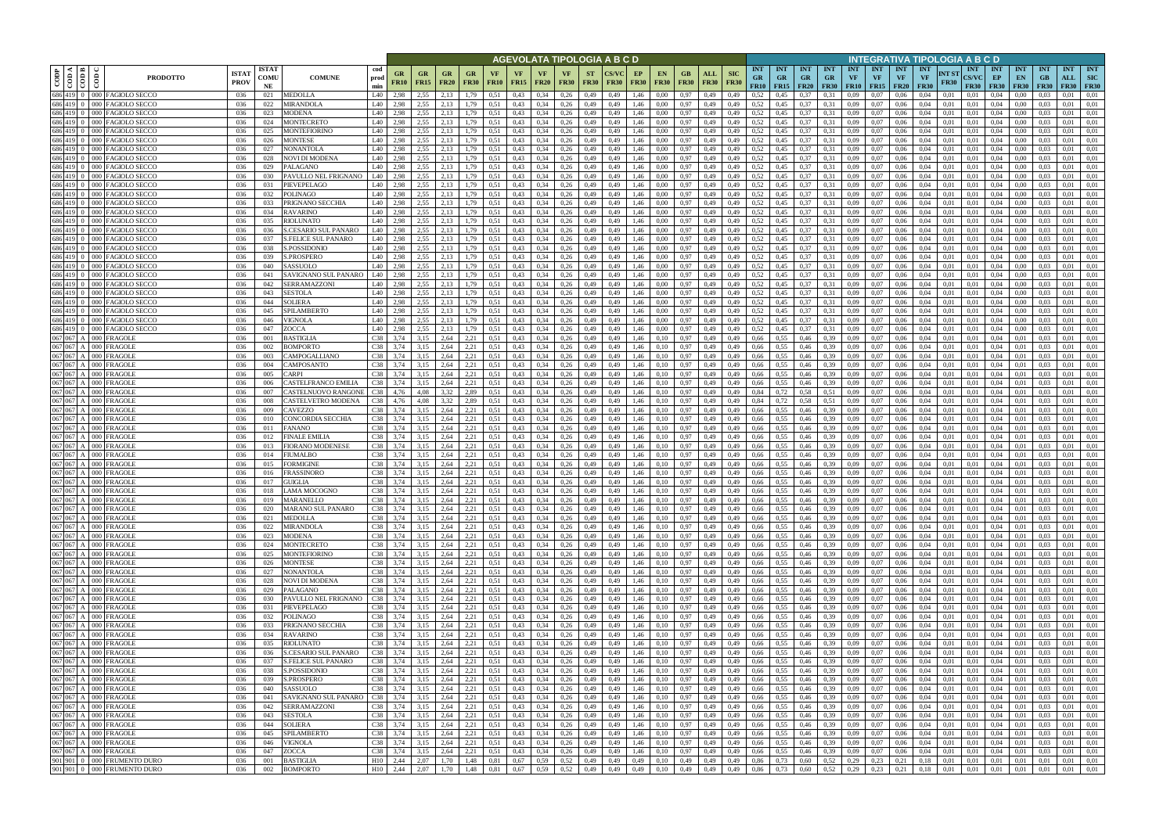|                    |                                |                                                                           |            |                            |                                                    |                          | AGEVOLATA TIPOLOGIA A B C D |                   |                                |                            |                   |                   |                            |                                |                          |                   |                   |                                           |                            |                    |                           |                                        |                                        |                         |                                        |                         |                                             |                                        | INTEGRATIVA TIPOLOGIA A B C D   |                      |                                           |                                 |                                 |                                 |                                  |                                         |
|--------------------|--------------------------------|---------------------------------------------------------------------------|------------|----------------------------|----------------------------------------------------|--------------------------|-----------------------------|-------------------|--------------------------------|----------------------------|-------------------|-------------------|----------------------------|--------------------------------|--------------------------|-------------------|-------------------|-------------------------------------------|----------------------------|--------------------|---------------------------|----------------------------------------|----------------------------------------|-------------------------|----------------------------------------|-------------------------|---------------------------------------------|----------------------------------------|---------------------------------|----------------------|-------------------------------------------|---------------------------------|---------------------------------|---------------------------------|----------------------------------|-----------------------------------------|
| CODP               | $\overline{\text{cond}}$<br>ම් | <b>ISTA7</b><br><b>PRODOTTO</b><br><b>PROV</b>                            |            | <b>ISTAT</b><br>COMU<br>NE | <b>COMUNE</b>                                      | cod<br>prod<br>min       | GR<br><b>FR10</b>           | GR<br><b>FR15</b> | GR<br><b>FR20</b>              | <b>GR</b><br><b>FR30</b>   | VF<br><b>FR10</b> | VF<br><b>FR15</b> | <b>VF</b><br><b>FR20</b>   | <b>VF</b><br><b>FR30</b>       | <b>ST</b><br><b>FR30</b> | <b>FR30</b>       | EP<br><b>FR30</b> | <b>EN</b><br><b>FR30</b>                  | GB<br><b>FR30</b>          | ALL<br><b>FR30</b> | <b>SIC</b><br><b>FR30</b> | <b>INT</b><br><b>GR</b><br><b>FR10</b> | <b>INT</b><br><b>GR</b><br>$FR15$ FR20 | <b>INT</b><br><b>GR</b> | <b>INT</b><br><b>GR</b><br><b>FR30</b> | <b>INT</b><br><b>VF</b> | <b>INT</b><br><b>VF</b><br><b>FR10</b> FR15 | <b>INT</b><br><b>VF</b><br><b>FR20</b> | <b>INT</b><br>VF<br><b>FR30</b> | NT ST<br><b>FR30</b> | <b>INT</b><br><b>CS/VC</b><br><b>FR30</b> | <b>INT</b><br>EP<br><b>FR30</b> | <b>INT</b><br>EN<br><b>FR30</b> | <b>INT</b><br>GB<br><b>FR30</b> | <b>INT</b><br>ALL<br><b>FR30</b> | <b>INT</b><br><b>SIC</b><br><b>FR30</b> |
|                    |                                | 686 419 0 000 FAGIOLO SECCO<br>036                                        |            | 021                        | <b>MEDOLLA</b>                                     | L40                      | 2,98                        | 2,55              | 2.13                           | .79                        | 0.51              | 0,43              | 0.34                       | 0,26                           | 0,49                     | 0,49              | 1,46              | 0.00                                      | 0.97                       | 0,49               | 0,49                      | 0.52                                   | 0.45                                   | 0.37                    | 0.31                                   | 0.09                    | 0.07                                        | 0.06                                   | 0.04                            | 0.01                 | 0.01                                      | 0.04                            | 0.00                            |                                 | 0.01                             | 0.01                                    |
| 686 419 0          |                                | 686 419 0 000 FAGIOLO SECCO<br>036<br>000 FAGIOLO SECCO<br>036            |            | 022<br>023                 | MIRANDOLA<br>MODENA                                | L40<br>L40               | 2.98<br>2,98                | 2,55<br>2,55      | 2.13<br>2,13                   | .79<br>1,79                | 0.51<br>0.51      | 0,43<br>0,43      | 0,34<br>0.34               | 0,26<br>0,26                   | 0,49<br>0,49             | 0,49<br>0,49      | 1,46<br>1,46      | 0.00<br>0.00                              | 0.97<br>0.97               | 0,49<br>0,49       | 0,49<br>0,49              | 0,52<br>0,52                           | 0,45<br>0,45                           | 0,37<br>0,37            | 0.31<br>0.31                           | 0.09<br>0,09            | 0.07<br>0,07                                | 0,06<br>0,06                           | 0,04<br>0,04                    | 0,01<br>0,01         | 0,01<br>0,01                              | 0,04<br>0,04                    | 0,00<br>0,00                    | 0.03<br>0.03                    | 0.01<br>0.01                     | 0,01<br>0,01                            |
|                    |                                | 686 419 0 000 FAGIOLO SECCO<br>036                                        |            | 024                        | MONTECRETO                                         | L40                      | 2.98                        | 2,55              | 2.13                           | 1,79                       | 0.51              | 0.43              | 0.34                       | 0.26                           | 0,49                     | 0,49              | 1,46              | 0.00                                      | 0,97                       | 0,49               | 0,49                      | 0.52                                   | 0,45                                   | 0,37                    | 0.31                                   | 0.09                    | 0.07                                        | 0,06                                   | 0.04                            | 0.01                 | 0.01                                      | 0.04                            | 0.00                            | 0.03                            | 0.01                             | 0,01                                    |
| 686 419            | $-000$                         | <b>FAGIOLO SECCO</b>                                                      | 036        | 025                        | <b>MONTEFIORINO</b>                                | L40                      | 2.98                        | 2.55              | 2,13                           | l.79                       | 0.51              | 0.43              | 0.34                       | 0.26                           | 0,49                     | 0.49              | 1,46              | 0.00                                      | 0.97                       | 0,49               | 0.49                      | 0,52                                   | 0,45                                   | 0.37                    | 0.31                                   | 0.09                    | 0.07                                        | 0.06                                   | 0.04                            | 0.01                 | 0.01                                      | 0.04                            | 0.00                            |                                 | 0.01                             | 0.01                                    |
|                    |                                | 686 419 0 000 FAGIOLO SECCO<br>036                                        |            | 026                        | <b>MONTESE</b>                                     | L40                      | 2,98                        | 2,55              | 2,13                           | 1,79                       | 0.51              | 0,43              | 0,34                       | 0,26                           | 0,49                     | 0,49              | 1,46              | 0.00                                      | 0,97                       | 0,49               | 0,49                      | 0,52                                   | 0,45                                   | 0,37                    | 0.31                                   | 0,09                    | 0.07                                        | 0,06                                   | 0.04                            | 0.01                 | 0,01                                      | 0.04                            | 0,00                            | 0.03                            | 0.01                             | 0,01                                    |
|                    |                                | 686 419 0 000 FAGIOLO SECCO<br>036<br>686 419 0 000 FAGIOLO SECCO<br>-036 |            | 027<br>028                 | NONANTOLA<br>NOVI DI MODENA                        | L40<br>L40               | 2.98<br>2,98                | 2.55<br>2,55      | 2,13<br>2,13                   | 1,79<br>1,79               | 0.51<br>0.51      | 0,43<br>0,43      | 0.34<br>0.34               | 0,26<br>0,26                   | 0,49<br>0,49             | 0.49<br>0,49      | 1,46<br>1,46      | 0.00<br>0.00                              | 0,97<br>0.97               | 0,49<br>0,49       | 0.49<br>0,49              | 0,52<br>0.52                           | 0,45<br>0,45                           | 0,37<br>0,37            | 0.31<br>0.31                           | 0.09<br>0,09            | 0.07<br>0,07                                | 0.06<br>0,06                           | 0.04<br>0.04                    | 0.01<br>0.01         | 0.01<br>0.01                              | 0.04<br>0.04                    | 0.00<br>0.00                    | 0.03<br>0.03                    | 0.01<br>0.01                     | 0.01<br>0.01                            |
|                    |                                | 686 419 0 000 FAGIOLO SECCO<br>036                                        |            | 029                        | PALAGANO                                           | L40                      | 2,98                        | 2.55              | 2,13                           | 1,79                       | 0.51              | 0,43              | 0.34                       | 0,26                           | 0,49                     | 0,49              | 1,46              | 0,00                                      | 0.97                       | 0,49               | 0.49                      | 0,52                                   | 0,45                                   | 0,37                    | 0.31                                   | 0,09                    | 0,07                                        | 0,06                                   | 0.04                            | 0.01                 | 0,01                                      | 0,04                            | $0.00\,$                        | 0.03                            | 0.01                             | 0,01                                    |
|                    |                                | 686 419 0 000 FAGIOLO SECCO<br>036                                        |            | 030                        | PAVULLO NEL FRIGNANO                               | L40                      | 2,98                        | 2,55              | 2,13                           | 1,79                       | 0.51              | 0,43              | 0,34                       | 0,26                           | 0,49                     | 0,49              | 1,46              | 0,00                                      | 0,97                       | 0,49               | 0,49                      | 0,52                                   | 0,45                                   | 0,37                    | 0.31                                   | 0,09                    | 0,07                                        | 0,06                                   | 0,04                            | 0,01                 | 0,01                                      | 0,04                            | 0,00                            | 0.03                            | 0.01                             | 0,01                                    |
| 686 419            | $000 -$                        | FAGIOLO SECCO<br>036<br>686 419 0 000 FAGIOLO SECCO                       |            | 031                        | PIEVEPELAGO                                        | L40<br>L40               | 2,98                        | 2,55<br>2,55      | 2,13<br>2,13                   | 1,79                       | 0.51<br>0.51      | 0,43<br>0,43      | 0,34<br>0,34               | 0,26                           | 0,49                     | 0,49<br>0,49      | 1,46              | 0,00<br>0,00                              | 0,97                       | 0,49               | 0.49<br>0,49              | 0,52<br>0,52                           | 0,45                                   | 0,37                    | 0.31                                   | 0,09                    | 0,07<br>0,07                                | 0,06<br>0,06                           | 0,04<br>0,04                    | 0.01<br>0,01         | 0,01<br>0,01                              | 0.04                            | 0,00                            | 0.03<br>0,03                    | 0,01<br>0,01                     | 0,01<br>0,01                            |
|                    |                                | 036<br>686 419 0 000 FAGIOLO SECCO<br>036                                 |            | 032<br>033                 | POLINAGO<br>PRIGNANO SECCHIA                       | L40                      | 2,98<br>2,98                | 2.55              | 2.13                           | 1,79<br>1,79               | 0,51              | 0,43              | 0,34                       | 0,26<br>0,26                   | 0,49<br>0,49             | 0,49              | 1,46<br>1,46      | 0,00                                      | 0,97<br>0,97               | 0,49<br>0,49       | 0.49                      | 0,52                                   | 0,45<br>0.45                           | 0,37<br>0,37            | 0,31<br>0.31                           | 0,09<br>0,09            | 0,07                                        | 0,06                                   | 0,04                            | 0.01                 | 0,01                                      | 0,04<br>0,04                    | 0,00<br>0,00                    | 0.03                            | 0,01                             | 0,01                                    |
|                    |                                | 686 419 0 000 FAGIOLO SECCO<br>036                                        |            | 034                        | <b>RAVARINO</b>                                    | L40                      | 2,98                        | 2,55              | 2,13                           | 1,79                       | 0,51              | 0,43              | 0,34                       | 0,26                           | 0,49                     | 0,49              | 1,46              | 0.00                                      | 0,97                       | 0,49               | 0,49                      | 0,52                                   | 0.45                                   | 0,37                    | 0.31                                   | 0,09                    | 0,07                                        | 0,06                                   | 0,04                            | 0,01                 | 0,01                                      | 0,04                            | 0,00                            | 0.03                            | 0,01                             | 0,01                                    |
|                    |                                | 686 419 0 000 FAGIOLO SECCO<br>036                                        |            | 035                        | <b>RIOLUNATO</b>                                   | L40                      | 2,98                        | 2,55              | 2,13                           | 1,79                       | 0,51              | 0,43              | 0,34                       | 0,26                           | 0,49                     | 0,49              | 1,46              | 0,00                                      | 0,97                       | 0,49               | 0,49                      | 0,52                                   | 0,45                                   | 0,37                    | 0.31                                   | 0,09                    | 0,07                                        | 0,06                                   | 0,04                            | 0,01                 | 0,01                                      | 0,04                            | 0,00                            | 0.03                            | 0,01                             | 0,01                                    |
|                    |                                | 686 419 0 000 FAGIOLO SECCO<br>036<br>686 419 0 000 FAGIOLO SECCO<br>036  |            | 036<br>037                 | S.CESARIO SUL PANARO<br><b>S.FELICE SUL PANARO</b> | L40<br>L40               | 2.98<br>2,98                | 2.55<br>2,55      | 2.13<br>2.13                   | 1.79<br>1.79               | 0.51<br>0.51      | 0.43<br>0,43      | 0.34<br>0.34               | 0.26<br>0,26                   | 0,49<br>0,49             | 0.49<br>0.49      | 1.46<br>1,46      | 0.00<br>0.00                              | 0,97<br>0,97               | 0,49<br>0,49       | 0.49<br>0.49              | 0,52<br>0,52                           | 0.45<br>0.45                           | 0,37<br>0,37            | 0.31<br>0.31                           | 0.09<br>0.09            | 0.07<br>0.07                                | 0.06<br>0.06                           | 0.04<br>0.04                    | 0.01<br>0.01         | 0.01<br>0.01                              | 0.04<br>0.04                    | 0.00<br>0.00                    | 0.03<br>0.03                    | 0.01<br>0,01                     | 0.01<br>0.01                            |
|                    |                                | 686 419 0 000 FAGIOLO SECCO<br>036                                        |            | 038                        | <b>S.POSSIDONIC</b>                                | L40                      | 2,98                        | 2,55              | 2,13                           | 1,79                       | 0.51              | 0,43              | 0,34                       | 0,26                           | 0,49                     | 0.49              | 1,46              | 0.00                                      | 0,97                       | 0,49               | 0.49                      | 0,52                                   | 0.45                                   | 0,37                    | 0.31                                   | 0,09                    | 0,07                                        | 0,06                                   | 0.04                            | 0.01                 | 0.01                                      | 0,04                            | 0,00                            | 0.03                            | 0.01                             | 0,01                                    |
|                    |                                | 686 419 0 000 FAGIOLO SECCO<br>036                                        |            | 039                        | <b>S.PROSPERO</b>                                  | L40                      | 2.98                        | 2.55              | 2.13                           | .79                        | 0.51              | 0,43              | 0,34                       | 0.26                           | 0,49                     | 0.49              | 1.46              | 0.00                                      | 0,97                       | 0.49               | 0.49                      | 0,52                                   |                                        | 0,37                    | 0.31                                   | 0.09                    | 0.07                                        | 0.06                                   | 0.04                            | 0.01                 | 0.01                                      | 0.04                            | 0.00                            | 0.03                            | 0.01                             | 0.01                                    |
|                    | 686 419 0 000                  | FAGIOLO SECCO<br>036                                                      |            | 040                        | SASSUOLO                                           | L40                      | 2.98                        | 2.55              | 2.13                           | 79                         | 0.51              | 0,43              | 0,34                       | 0.26                           | 0,49                     | 0.49              | 1.46              | 0.00                                      | 0,97                       | 0.49               | 0.49                      | 0,52                                   | 0.45                                   | 0,37                    | 0.31                                   | 0.09                    | 0.07                                        | 0.06                                   | 0.04                            | 0.01                 | 0.01                                      | 0.04                            | 0.00                            |                                 | 0.01                             | 0.01                                    |
|                    |                                | 686 419 0 000 FAGIOLO SECCO<br>036<br>686 419 0 000 FAGIOLO SECCO<br>036  | 041        | 042                        | SAVIGNANO SUL PANARO<br>SERRAMAZZONI               | L40<br>L40               | 2.98<br>2.98                | 2,55<br>2.55      | 2,13<br>2.13                   | .79<br>1.79                | 0.51<br>0.51      | 0,43<br>0,43      | 0,34<br>0.34               | 0,26<br>0,26                   | 0,49<br>0,49             | 0,49<br>0,49      | 1.46<br>1,46      | 0.00<br>0.00                              | 0,97<br>0,97               | 0,49<br>0.49       | 0,49                      | 0,52<br>0,52                           | 0.45<br>0,45                           | 0,37<br>0,37            | 0.31<br>0.31                           | 0,09<br>0.09            | 0,07<br>0.07                                | 0,06<br>0,06                           | 0,04<br>0.04                    | 0.01<br>0.01         | 0,01<br>0,01                              | 0,04<br>0.04                    | 0.00<br>0.00                    | 0.03<br>0.03                    | 0,01<br>0.01                     | 0,01<br>0.01                            |
|                    |                                | 686 419 0 000 FAGIOLO SECCO<br>036                                        |            | 043                        | <b>SESTOLA</b>                                     | L40                      | 2,98                        | 2.55              | 2.13                           | 1,79                       | 0.51              | 0,43              | 0,34                       | 0,26                           | 0,49                     | 0,49              | 1,46              | 0.00                                      | 0.97                       | 0,49               | 0,49                      | 0,52                                   | 0,45                                   | 0,37                    | 0.31                                   | 0,09                    | 0,07                                        | 0,06                                   | 0.04                            | 0,01                 | 0,01                                      | 0.04                            | 0.00                            | 0.03                            | 0,01                             | 0.01                                    |
| 686 419 0          |                                | 000 FAGIOLO SECCO<br>036                                                  |            | 044                        | SOLIERA                                            | L40                      | 2,98                        | 2,55              | 2,13                           | l.79                       | 0,51              | 0,43              | 0.34                       | 0,26                           | 0,49                     | 0,49              | 1,46              | 0.00                                      | 0,97                       | 0,49               | 0,49                      | 0,52                                   | 0,45                                   | 0,37                    | 0.31                                   | 0,09                    | 0,07                                        | 0,06                                   | 0.04                            | 0.01                 | 0.01                                      | 0,04                            | 0.00                            |                                 | 0.01                             | 0,01                                    |
|                    |                                | 686 419 0 000 FAGIOLO SECCO<br>036                                        |            | 045                        | SPILAMBERTO                                        | L40                      | 2,98                        | 2,55              | 2.13                           | .79                        | 0.51              | 0,43              | 0,34                       | 0,26                           | 0,49                     | 0,49              | 1,46              | 0.00                                      | 0,97                       | 0,49               | 0,49                      | 0,52                                   | 0,45                                   | 0,37                    | 0.31                                   | 0,09                    | 0.07                                        | 0,06                                   | 0.04                            | 0.01                 | 0,01                                      | 0.04                            | 0.00                            | 0.03                            | 0,01                             | 0.01                                    |
| 686 419            | $0 - 000$                      | AGIOLO SECCO<br>036<br>686 419 0 000 FAGIOLO SECCO<br>036                 |            | 046<br>047                 | VIGNOLA<br>ZOCCA                                   | L40<br>L40               | 2.98<br>2,98                | 2,55<br>2,55      | 2.13<br>2,13                   | 1,79                       | 0.51<br>0.51      | 0.43<br>0,43      | 0.34<br>0,34               | 0.26<br>0,26                   | 0,49<br>0,49             | 0.49<br>0,49      | 1.46<br>1,46      | 0.00<br>0,00                              | 0.97<br>0,97               | 0,49<br>0,49       | 0.49<br>0,49              | 0,52<br>0,52                           | 0.45<br>0,45                           | 0.37<br>0,37            | 0.31<br>0.31                           | 0.09<br>0,09            | 0.07<br>0,07                                | 0,06<br>0,06                           | 0.04<br>0,04                    | 0.01<br>0,01         | 0.01<br>0,01                              | 0.04<br>0,04                    | 0.00<br>0,00                    | 0,03                            | 0.01<br>0,01                     | 0.01<br>0,01                            |
| 067 067            |                                | A 000 FRAGOLE<br>036                                                      |            | 001                        | <b>BASTIGLIA</b>                                   | C38                      | 3.74                        | 3,15              | 2,64                           | 2,21                       | 0.51              | 0.43              | 0.34                       | 0,26                           | 0,49                     | 0.49              | 1,46              | 0.10                                      | 0,97                       | 0,49               | 0.49                      | 0,66                                   | 0.55                                   | 0,46                    | 0.39                                   | 0.09                    | 0.07                                        | 0.06                                   | 0.04                            | 0.01                 | 0.01                                      | 0.04                            | 0.01                            | 0.03                            | 0.01                             | 0.01                                    |
|                    |                                | 067 067 A 000 FRAGOLE<br>036                                              |            | 002                        | <b>BOMPORTO</b>                                    | C38                      | 3,74                        | 3,15              | 2,64                           | 2,21                       | 0.51              | 0,43              | 0.34                       | 0,26                           | 0,49                     | 0,49              | 1,46              | 0,10                                      | 0,97                       | 0,49               | 0,49                      | 0,66                                   | 0.55                                   | 0,46                    | 0.39                                   | 0,09                    | 0.07                                        | 0,06                                   | 0.04                            | 0.01                 | 0.01                                      | 0.04                            | 0,01                            | 0.03                            | 0,01                             | 0,01                                    |
| 067 067            |                                | A 000 FRAGOLE<br>036<br>067 067 A 000 FRAGOLI                             |            | 003<br>004                 | CAMPOGALLIANO                                      | C38<br>C38               | 3,74<br>3.74                | 3,15              | 2,64<br>2.64                   | 2,21                       | 0.51<br>0.51      | 0,43<br>0,43      | 0.34<br>0.34               | 0,26<br>0,26                   | 0,49                     | 0,49<br>0.49      | 1,46<br>1,46      | 0,10                                      | 0.97<br>0,97               | 0,49               | 0.49                      | 0,66<br>0.66                           | 0.55<br>0.55                           | 0,46                    | 0.39                                   | 0.09<br>0.09            | 0.07<br>0.07                                | 0,06                                   | 0.04<br>0.04                    | 0.01<br>0.01         | 0.01<br>0.01                              | 0.04<br>0.04                    | 0.01<br>0.01                    | 0.03<br>0.03                    | 0.01<br>0.01                     | 0,01<br>0.01                            |
| 067 067            |                                | 036<br>A 000 FRAGOLE<br>036                                               |            | 005                        | CAMPOSANTO<br>CARPI                                | C38                      | 3.74                        | 3,15<br>3.15      | 2.64                           | 2,21<br>2,21               | 0.51              | 0,43              | 0.34                       | 0,26                           | 0,49<br>0,49             | 0.49              | 1,46              | 0,10<br>0,10                              | 0.97                       | 0,49<br>0,49       | 0,49<br>0.49              | 0.66                                   | 0.55                                   | 0,46<br>0.46            | 0.39<br>0.39                           | 0.09                    | 0.07                                        | 0,06<br>0.06                           | 0.04                            | 0.01                 | 0.01                                      | 0.04                            | 0.01                            | 0.03                            | 0.01                             | 0.01                                    |
|                    |                                | 067 067 A 000 FRAGOLE<br>036                                              |            | 006                        | CASTELFRANCO EMILIA                                | C38                      | 3,74                        | 3,15              | 2,64                           | 2,21                       | 0,51              | 0,43              | 0,34                       | 0,26                           | 0,49                     | 0,49              | 1,46              | 0,10                                      | 0,97                       | 0,49               | 0,49                      | 0,66                                   | 0,55                                   | 0,46                    | 0,39                                   | 0,09                    | 0,07                                        | 0,06                                   | 0,04                            | 0,01                 | 0,01                                      | 0,04                            | 0,01                            | 0.03                            | 0,01                             | 0,01                                    |
| 067 067            |                                | A 000 FRAGOLE<br>036                                                      |            | 007                        | CASTELNUOVO RANGONI                                | C38                      | 4,76                        | 4.08              | 3,32                           | 2,89                       | 0.51              | 0,43              | 0,34                       | 0,26                           | 0,49                     | 0,49              | 1,46              | 0,10                                      | 0,97                       | 0,49               | 0,49                      | 0,84                                   | 0,72                                   | 0,58                    | 0.51                                   | 0,09                    | 0.07                                        | 0,06                                   | 0.04                            | 0.01                 | 0,01                                      | 0.04                            | 0,01                            | 0.03                            | 0,01                             | 0,01                                    |
| 067 067            |                                | 067 067 A 000 FRAGOLE<br>036<br>A 000 FRAGOLI<br>036                      |            | 008<br>009                 | CASTELVETRO MODENA<br>CAVEZZO                      | C38<br>C38               | 4,76<br>3,74                | 4,08<br>3,15      | 3,32<br>2,64                   | 2,89<br>2,21               | 0.51<br>0.51      | 0,43<br>0,43      | 0,34<br>0,34               | 0,26<br>0,26                   | 0,49<br>0,49             | 0,49<br>0,49      | 1,46<br>1,46      | 0,10<br>0,10                              | 0,97<br>0,97               | 0,49<br>0,49       | 0,49<br>0,49              | 0,84<br>0,66                           | 0,72<br>0,55                           | 0,58<br>0,46            | 0,51<br>0,39                           | 0,09<br>0,09            | 0,07<br>0,07                                | 0,06<br>0,06                           | 0,04<br>0,04                    | 0,01<br>0,01         | 0,01<br>0,01                              | 0.04<br>0,04                    | 0,01<br>0,01                    | 0.03<br>0.03                    | 0,01<br>0,01                     | 0,01<br>0,01                            |
|                    |                                | 067 067 A 000 FRAGOLI<br>036                                              |            | 010                        | CONCORDIA SECCHIA                                  | C38                      | 3,74                        | 3,15              | 2,64                           | 2,21                       | 0,51              | 0,43              | 0,34                       | 0,26                           | 0,49                     | 0,49              | 1,46              | 0,10                                      | 0,97                       | 0,49               | 0,49                      | 0,66                                   | 0,55                                   | 0,46                    | 0.39                                   | 0,09                    | 0,07                                        | 0,06                                   | 0,04                            | 0,01                 | 0,01                                      | 0,04                            | 0,01                            | 0.03                            | 0,01                             | 0,01                                    |
|                    |                                | 067 067 A 000 FRAGOLE<br>036                                              | 011        |                            | FANANO                                             | C38                      | 3,74                        | 3,15              | 2,64                           | 2,21                       | 0,51              | 0,43              | 0,34                       | 0,26                           | 0,49                     | 0,49              | 1,46              | 0,10                                      | 0,97                       | 0,49               | 0,49                      | 0,66                                   | 0.55                                   | 0,46                    | 0.39                                   | 0,09                    | 0,07                                        | 0,06                                   | 0,04                            | 0,01                 | 0,01                                      | 0,04                            | 0,01                            | 0.03                            | 0,01                             | 0,01                                    |
|                    |                                | 067 067 A 000 FRAGOLE<br>036                                              |            | 012                        | <b>FINALE EMILIA</b>                               | C38                      | 3,74                        | 3,15              | 2,64                           | 2,21                       | 0,51              | 0,43              | 0,34                       | 0,26                           | 0,49                     | 0,49              | 1,46              | 0,10                                      | 0,97                       | 0,49               | 0,49                      | 0,66                                   | 0.55                                   | 0,46                    | 0.39                                   | 0,09                    | 0,07                                        | 0,06                                   | 0,04                            | 0,01                 | 0.01                                      | 0,04                            | 0,01                            | 0.03                            | 0,01                             | 0,01                                    |
| 067 067<br>067 067 |                                | A 000 FRAGOLI<br>036<br>$A$ 000 FRAGOLE<br>036                            |            | 013<br>014                 | <b>FIORANO MODENESE</b><br>FIUMALBO                | C38<br>C38               | 3.74<br>3.74                | 3.15<br>3.15      | 2.64<br>2.64                   | 2,21<br>2,21               | 0.51<br>0.51      | 0,43<br>0,43      | 0.34<br>0.34               | 0,26<br>0,26                   | 0,49<br>0,49             | 0.49<br>0.49      | 1,46<br>1,46      | 0,10<br>0.10                              | 0,97<br>0,97               | 0,49<br>0,49       | 0.49<br>0.49              | 0.66<br>0.66                           | 0.55<br>0.55                           | 0,46<br>0,46            | 0.39<br>0.39                           | 0.09<br>0.09            | 0,07<br>0,07                                | 0,06<br>0.06                           | 0.04<br>0.04                    | 0.01<br>0.01         | 0.01<br>0.01                              | 0.04<br>0,04                    | 0.01<br>0.01                    | 0.03<br>0.03                    | 0,01<br>0.01                     | 0.01<br>0,01                            |
| 067 067            |                                | A 000 FRAGOLI<br>036                                                      |            | 015                        | FORMIGINE                                          | C38                      | 3,74                        | 3,15              | 2,64                           | 2,21                       | 0.51              | 0,43              | 0,34                       | 0,26                           | 0,49                     | 0,49              | 1,46              | 0,10                                      | 0,97                       | 0,49               | 0,49                      | 0,66                                   | 0.55                                   | 0,46                    | 0.39                                   | 0,09                    | 0,07                                        | 0,06                                   | 0,04                            | 0,01                 | 0,01                                      | 0,04                            | 0,01                            | 0.03                            | 0,01                             | 0,01                                    |
| 067 067            |                                | A 000 FRAGOLE<br>036                                                      |            | 016                        | FRASSINORO                                         | C38                      | 3.74                        | 3.15              | 2.64                           | 2.21                       | 0.51              | 0.43              | 0.34                       | 0.26                           | 0.49                     | 0.49              | 1.46              | 0.10                                      | 0.97                       | 0.49               | 0.49                      | 0.66                                   | 0.55                                   | 0.46                    | 0.39                                   | 0.09                    | 0.07                                        | 0.06                                   | 0.04                            | 0.01                 | 0.01                                      | 0.04                            | 0.01                            | 0.03                            | 0.01                             | 0.01                                    |
|                    |                                | 067 067 A 000 FRAGOLE<br>036<br>067 067 A 000 FRAGOLE                     | 036        | 017<br>018                 | <b>GUIGLIA</b><br><b>LAMA MOCOGNO</b>              | C38<br>C38               | 3.74<br>3,74                | 3,15<br>3,15      | 2.64<br>2,64                   | 2,21<br>2,21               | 0.51<br>0.51      | 0,43<br>0.43      | 0,34<br>0.34               | 0,26                           | 0,49<br>0,49             | 0,49<br>0.49      | 1,46<br>1,46      | 0,10<br>0.10                              | 0,97<br>0,97               | 0,49<br>0,49       | 0,49<br>0.49              | 0,66<br>0,66                           | 0.55<br>0.55                           | 0,46<br>0.46            | 0,39<br>0.39                           | 0,09<br>0.09            | 0.07<br>0.07                                | 0.06<br>0.06                           | 0,04<br>0.04                    | 0,01<br>0.01         | 0.01<br>0.01                              | 0.04<br>0.04                    | 0.01<br>0.01                    | 0.03<br>0.03                    | 0,01<br>0.01                     | 0,01<br>0.01                            |
|                    |                                | 067 067 A 000 FRAGOLE                                                     | 036        | 019                        | <b>MARANELLO</b>                                   | C38                      | 3,74                        | 3,15              | 2,64                           | 2,21                       | 0,51              | 0,43              | 0,34                       | 0,26<br>0,26                   | 0,49                     | 0,49              | 1,46              | 0,10                                      | 0.97                       | 0,49               | 0,49                      | 0,66                                   | 0.55                                   | 0,46                    | 0,39                                   | 0,09                    | 0,07                                        | 0,06                                   | 0,04                            | 0,01                 | 0,01                                      | 0,04                            | 0,01                            | 0,03                            | 0.01                             | 0,01                                    |
|                    |                                | 067 067 A 000 FRAGOLE                                                     | 036        | 020                        | MARANO SUL PANARO                                  | C38                      | 3,74                        | 3,15              | 2,64                           | 2,21                       | 0,51              | 0,43              | 0,34                       | 0,26                           | 0,49                     | 0,49              | 1,46              | 0,10                                      | 0,97                       | 0,49               | 0,49                      | 0,66                                   | 0,55                                   | 0,46                    | 0,39                                   | 0,09                    | 0,07                                        | 0,06                                   | 0,04                            | 0,01                 | 0,01                                      | 0,04                            | 0,01                            | 0,03                            | 0.01                             | 0,01                                    |
|                    |                                | 067 067 A 000 FRAGOLE                                                     | 036        | 021                        | MEDOLLA                                            | C38 3,74                 |                             | 3,15              | 2,64                           | 2,21                       | 0,51              | 0,43              | $0,34$ 0,26                |                                | 0,49                     | 0,49              | 1,46              | 0,10                                      | 0,97                       | 0,49               | 0,49                      | 0,66                                   | 0,55                                   | 0,46                    | 0,39                                   | 0,09                    | 0,07                                        | 0,06                                   | 0,04                            | 0,01                 | 0,01                                      | 0,04                            | 0,01                            | 0,03                            | 0,01                             | 0,01                                    |
|                    |                                | 067 067 A 000 FRAGOLE<br>067 067 A 000 FRAGOLE                            | 036<br>036 | 022<br>023                 | <b>MIRANDOLA</b><br><b>MODENA</b>                  | C38 3,74<br>$C38$ 3,74   |                             | 3,15<br>3,15      | 2,64<br>2,64                   | 2,21<br>2,21               | 0.51<br>0,51      | 0,43<br>0,43      | $0,34$ 0,26<br>0,34        | 0,26                           | 0,49<br>0,49             | 0,49<br>0,49      | 1,46<br>1,46      | 0,10<br>0,10                              | 0,97<br>0,97               | 0,49<br>0,49       | 0,49<br>0,49              | 0,66<br>0,66                           | 0,55<br>0,55                           | 0,46<br>0,46            | 0,39<br>0,39                           | 0,09                    | $0,09$ 0.07<br>0,07                         | 0,06<br>0,06                           | 0,04<br>0,04                    | 0,01<br>0,01         | 0,01<br>0,01                              | 0,04<br>0,04                    | 0,01<br>0,01                    | 0,03<br>0,03                    | 0,01<br>0,01                     | 0,01<br>0,01                            |
|                    |                                | 067 067 A 000 FRAGOLE                                                     | 036        | 024                        | <b>MONTECRETO</b>                                  | $C38$ 3,74               |                             | 3,15              | 2,64                           | 2,21                       | 0,51              | 0,43              | 0,34                       | 0,26                           | 0,49                     | 0,49              | 1,46              | 0,10                                      | 0,97                       | 0,49               | 0,49                      | 0,66                                   | 0,55                                   | 0,46                    | 0,39                                   |                         | $0,09$ 0.07                                 | 0,06                                   | 0,04                            | 0,01                 | 0,01                                      | 0,04                            | 0,01                            | 0,03                            | 0,01                             | 0,01                                    |
|                    |                                | 067 067 A 000 FRAGOLE                                                     | 036        | 025                        | <b>MONTEFIORINO</b>                                | $C38$ 3,74               |                             | 3,15              | 2,64                           | 2,21                       | 0,51              | 0,43              | $0,34$ $0,26$              |                                | 0,49                     | 0,49              | 1,46              | 0,10                                      | 0,97                       | 0,49               | 0,49                      | 0,66                                   | 0,55                                   | 0,46                    | 0,39                                   |                         | $0,09$ 0.07                                 | 0,06                                   | 0,04                            | 0,01                 | 0,01                                      | 0,04                            | 0,01                            | 0,03                            | 0.01                             | 0,01                                    |
|                    |                                | 067 067 A 000 FRAGOLE                                                     | 036        | 026                        | <b>MONTESE</b>                                     | $C38$ 3,74               |                             |                   | 3,15 2,64                      | 2,21                       | 0,51              | 0,43              |                            | $0,34$ $0,26$                  | 0,49                     | 0,49              | 1,46              | 0,10                                      |                            | 0,97 0,49          | 0,49                      | 0,66                                   | 0,55                                   | 0,46                    | 0,39                                   |                         | $0,09$ 0.07                                 | 0,06                                   | 0,04                            | 0,01                 | 0,01                                      | 0,04                            | 0,01                            | 0,03                            | 0,01                             | 0,01                                    |
|                    |                                | 067 067 A 000 FRAGOLE<br>067 067 A 000 FRAGOLE                            | 036<br>036 | 027<br>028                 | <b>NONANTOLA</b><br>NOVI DI MODENA                 | $C38$ 3,74<br>$C38$ 3,74 |                             | 3,15<br>3,15      | 2,64<br>2,64                   | 2,21<br>2,21               | 0,51<br>0,51      | 0,43<br>0,43      | $0,34$ 0,26<br>0,34        | 0,26                           | 0,49<br>0,49             | 0,49<br>0,49      | 1,46<br>1,46      | 0,10<br>0,10                              | 0,97<br>0,97               | 0,49<br>0,49       | 0,49<br>0,49              | 0,66<br>0,66                           | 0,55<br>0,55                           | 0,46<br>0,46            | 0,39<br>0,39                           | 0,09                    | $0,09$ 0.07<br>0,07                         | 0,06<br>0,06                           | 0,04<br>0,04                    | 0,01<br>0,01         | 0,01<br>0,01                              | 0,04<br>0,04                    | $0,\!01$<br>0,01                | 0,03<br>0,03                    | 0,01<br>0,01                     | 0,01<br>0,01                            |
|                    |                                | 067 067 A 000 FRAGOLE                                                     | 036        | 029                        | PALAGANO                                           | C38 3,74                 |                             | 3,15              | 2,64                           | 2,21                       | 0,51              | 0,43              | $0,34$ 0,26                |                                | 0,49                     | 0,49              | 1,46              | 0,10                                      | 0,97                       | 0,49               | 0,49                      | 0,66                                   | 0,55                                   | 0,46                    | 0,39                                   | 0,09                    | 0,07                                        | 0,06                                   | 0,04                            | 0,01                 | 0,01                                      | 0,04                            | 0,01                            | 0,03                            | 0.01                             | 0,01                                    |
|                    |                                | 067 067 A 000 FRAGOLE                                                     | 036        | 030                        | PAVULLO NEL FRIGNANO                               | $C38$ 3,74               |                             | 3,15              | 2,64                           | 2,21                       | 0,51              | 0,43              | $0,34$ 0,26                |                                | 0,49                     | 0,49              | 1,46              | 0,10                                      | 0,97                       | 0,49               | 0,49                      | 0,66                                   | 0,55                                   | 0,46                    | 0,39                                   | 0,09                    | 0,07                                        | 0,06                                   | 0,04                            | 0,01                 | 0,01                                      | 0,04                            | 0,01                            | 0,03                            | 0,01                             | 0,01                                    |
|                    |                                | 067 067 A 000 FRAGOLE<br>067 067 A 000 FRAGOLE                            | 036        | 031                        | PIEVEPELAGO                                        | C38 3,74                 |                             | 3,15              | 2,64                           | 2,21                       | 0,51              | 0,43              | $0,34$ 0,26                |                                | 0,49                     | 0,49              | 1,46              | 0,10                                      | 0,97                       | 0,49               | 0,49                      | 0,66                                   | 0,55                                   | 0,46                    | 0,39                                   | 0,09                    | 0,07                                        | 0,06                                   | 0,04                            | 0,01                 | 0,01                                      | $0,04$ $0,01$                   |                                 | 0,03                            | 0,01                             | 0,01                                    |
|                    |                                | 067 067 A 000 FRAGOLE<br>036                                              | 036        | 032<br>033                 | POLINAGO<br>PRIGNANO SECCHIA                       | $C38$ 3,74<br>$C38$ 3,74 |                             | 3,15<br>3,15      | 2,64<br>2,64                   | 2,21<br>2,21               | 0,51<br>0,51      | 0,43<br>0,43      | $0,34$ 0,26<br>$0,34$ 0,26 |                                | 0,49<br>0,49             | 0,49<br>0,49      | 1,46<br>1,46      | 0,10<br>0,10                              | 0,97                       | 0,97 0,49<br>0,49  | 0,49<br>0,49              | 0,66<br>0,66                           | 0,55<br>0,55                           | 0,46<br>0,46            | 0,39<br>0,39                           |                         | $0,09$ 0.07<br>$0,09$ 0.07                  | 0,06<br>0,06                           | 0,04<br>0,04                    | 0,01<br>0,01         | 0,01<br>0,01                              | 0,04<br>0,04                    | 0,01<br>0,01                    | 0,03<br>0,03                    | 0,01<br>0,01                     | 0,01<br>0,01                            |
|                    |                                | 067 067 A 000 FRAGOLE                                                     | 036        | 034                        | <b>RAVARINO</b>                                    | C38 3.74                 |                             | 3,15              | 2,64                           | 2,21                       | 0,51              | 0,43              | $0,34$ 0,26                |                                | 0,49                     | 0,49              | 1,46              | 0,10                                      | $0,97$ 0,49                |                    | 0,49                      | 0,66                                   | 0,55                                   | 0,46                    | 0,39                                   |                         | $0,09$ 0.07                                 | 0,06                                   | 0,04                            | 0,01                 | 0,01                                      | 0,04                            | 0,01                            | 0,03                            | 0,01                             | 0,01                                    |
|                    |                                | 067 067 A 000 FRAGOLE<br>036                                              |            | 035                        | RIOLUNATO                                          | $C38$ 3,74               |                             | 3,15              | 2,64                           | 2,21                       | 0,51              | 0,43              | $0,34$ 0,26                |                                | 0,49                     | 0,49              |                   | $1,46$ 0,10                               | $0,97$ 0,49                |                    | 0,49                      | 0,66                                   | 0,55                                   | 0,46                    | 0,39                                   |                         | $0,09$ 0.07                                 | 0,06                                   | 0,04                            | 0,01                 | 0,01                                      | $0,04$ 0.01                     |                                 | 0,03                            | 0,01                             | 0,01                                    |
|                    |                                | 067 067 A 000 FRAGOLE<br>036<br>067 067 A 000 FRAGOLE                     |            | 036                        | S.CESARIO SUL PANARO<br><b>S.FELICE SUL PANARO</b> | $C38$ 3,74               |                             | 3,15              | 2,64                           | 2,21                       | 0,51              | 0,43              | $0,34$ 0,26                |                                | 0,49                     | 0,49              |                   | $1,46$ 0,10                               | 0,97                       | 0,49               | 0,49                      | 0,66                                   | 0,55                                   | 0,46                    | 0,39                                   |                         | $0,09$ 0.07                                 | 0,06                                   | 0,04                            | 0,01                 | 0,01                                      | 0,04                            | 0,01                            | 0,03                            | 0,01                             | 0,01                                    |
|                    |                                | 036<br>067 067 A 000 FRAGOLE<br>036                                       |            | 037<br>038                 | S.POSSIDONIO                                       | $C38$ 3,74<br>$C38$ 3,74 |                             | 3,15              | $3,15$ $2,64$<br>2,64          | $2,21$ 0.51<br>2,21        | 0,51              | 0,43<br>0,43      | $0,34$ 0,26<br>$0,34$ 0,26 |                                | 0,49<br>0,49             | 0,49<br>0,49      |                   | 1,46 0,10<br>$1,46$ 0,10                  | $0,97$ 0,49<br>$0,97$ 0,49 |                    | 0,49<br>0,49              | 0,66<br>0,66                           | 0,55<br>0,55                           | 0,46<br>0,46            | 0,39<br>0,39                           |                         | $0,09$ 0.07<br>$0,09$ 0.07                  | 0,06<br>0,06                           | 0,04<br>0,04                    | 0,01<br>0,01         | 0,01<br>0,01                              | 0,04<br>0,04                    | 0,01<br>0,01                    | 0,03<br>0,03                    | 0,01<br>0,01                     | 0,01<br>0,01                            |
|                    |                                | 067 067 A 000 FRAGOLE<br>036                                              | 039        |                            | S.PROSPERO                                         | $C38$ 3,74               |                             |                   | $3,15$ $2,64$                  | 2,21                       | 0,51              | 0,43              | $0,34$ 0,26                |                                | 0,49                     | 0,49              |                   | $1,46$ 0,10                               | 0,97                       | 0,49               | 0,49                      | 0,66                                   | 0,55                                   | 0,46                    | 0,39                                   |                         | $0,09$ 0.07                                 | 0,06                                   | 0,04                            | 0,01                 | 0,01                                      | $0,04$ 0.01                     |                                 | 0,03                            | 0,01                             | 0,01                                    |
|                    |                                | 067 067 A 000 FRAGOLE<br>036                                              |            | 040                        | SASSUOLO                                           | $C38$ 3,74               |                             | 3,15              | 2,64                           | $2,21$ 0.51                |                   | 0,43              | $0,34$ 0,26                |                                | 0,49                     | 0,49              |                   | $1,46$ 0,10                               | $0,97$ 0.49                |                    | 0,49                      | 0,66                                   | 0,55                                   | 0,46                    | 0,39                                   |                         | $0,09$ 0.07                                 | 0,06                                   | 0,04                            | 0,01                 | 0,01                                      | $0,04$ $0,01$                   |                                 | 0,03                            | 0,01                             | 0,01                                    |
|                    |                                | 067 067 A 000 FRAGOLE<br>036<br>067 067 A 000 FRAGOLE                     | 036        | 041<br>042                 | SAVIGNANO SUL PANARO<br>SERRAMAZZONI               | C38 3,74<br>$C38$ 3,74   |                             | 3,15<br>3,15      | 2,64<br>2,64                   | $2,21$ 0.51<br>2,21        | 0,51              | 0,43<br>0,43      | $0,34$ 0,26                | $0,34$ $0,26$                  | 0,49<br>0,49             | 0,49<br>0,49      | 1,46              | $1,46$ 0,10<br>0,10                       | $0,97$ 0,49<br>0,97        | 0,49               | 0,49<br>0,49              | 0,66<br>0,66                           | 0,55<br>0,55                           | 0,46<br>0,46            | 0,39<br>0,39                           | 0,09                    | $0,09$ 0.07<br>0,07                         | 0,06<br>0,06                           | 0,04<br>0,04                    | 0,01<br>0,01         | 0,01<br>0,01                              | $0,04$ $0,01$<br>$0,04$ 0.01    |                                 | 0,03<br>0,03                    | 0,01<br>0,01                     | 0,01<br>0,01                            |
|                    |                                | 067 067 A 000 FRAGOLE                                                     | 036        | 043                        | <b>SESTOLA</b>                                     | C38                      | 3,74                        | 3,15              | 2,64                           | 2,21                       | 0.51              | 0,43              |                            | $0,34$ 0,26                    | 0,49                     | 0,49              | 1,46              | 0,10                                      | 0,97                       | 0,49               | 0,49                      | 0,66                                   | 0,55                                   | 0,46                    | 0,39                                   | 0,09                    | 0,07                                        | 0,06                                   | 0,04                            | 0,01                 | 0,01                                      | 0,04                            | 0,01                            | 0,03                            | 0,01                             | 0,01                                    |
|                    |                                | 067 067 A 000 FRAGOLE                                                     | 036        | 044                        | SOLIERA                                            | C38 3,74                 |                             | 3,15              | 2,64                           | 2,21                       | 0,51              | 0,43              | $0,34$ 0,26                |                                | 0,49                     | 0,49              | 1,46              | 0,10                                      | 0,97                       | 0,49               | 0,49                      | 0,66                                   | 0,55                                   | 0,46                    | 0,39                                   | 0,09                    | 0,07                                        | 0,06                                   | 0,04                            | 0,01                 | 0,01                                      | 0,04                            | 0,01                            | 0,03                            | 0,01                             | 0,01                                    |
|                    |                                | $\overline{067}$ 067   A   000   FRAGOLE                                  | 036        | 045                        | SPILAMBERTO                                        | $C38$ 3,74               |                             | 3,15              | 2,64                           | 2,21                       | 0,51              | 0,43              |                            | $0,34$ $0,26$                  | 0,49                     | 0,49              | 1,46              | 0,10                                      | $0,97$ 0,49                |                    | 0,49                      | 0,66                                   | 0,55                                   | 0,46                    | 0,39                                   |                         | $0,09$ 0.07                                 | 0,06                                   | 0,04                            | 0,01                 | 0,01                                      | $0,04$ $0,01$                   |                                 | 0,03                            | 0,01                             | 0,01                                    |
|                    |                                | 067 067 A 000 FRAGOLE<br>036<br>067 067 A 000 FRAGOLE                     | 036        | 046<br>047                 | <b>VIGNOLA</b><br>ZOCCA                            |                          | C38 3,74                    | 3,15              | 2,64<br>$C38$ 3,74 3,15 2,64   | 2,21<br>$2,21 \qquad 0,51$ | 0,51              | 0,43<br>0,43      |                            | $0,34$ $0,26$<br>$0,34$ $0,26$ | 0,49                     | 0,49<br>0,49 0,49 | 1,46              | 0,10<br>$1,46$ 0.10                       | 0,97<br>0,97 0,49          | 0,49               | 0,49<br>0,49              | 0,66<br>0,66                           | 0,55<br>0,55                           | 0,46<br>$0,46$ 0,39     | 0,39                                   |                         | $0,09$ 0.07<br>$0,09$ 0.07                  | 0,06<br>0,06                           | 0,04<br>0,04                    | 0,01<br>0,01         | 0,01<br>0,01                              | 0,04<br>$0,04$ $0,01$           | 0,01                            | 0,03<br>0,03                    | 0,01<br>0.01                     | 0,01<br>0,01                            |
|                    |                                | 901 901 0 000 FRUMENTO DURO                                               | 036        | 001                        | <b>BASTIGLIA</b>                                   |                          |                             | $H10$ 2,44 2,07   | 1,70                           | 1,48 0,81                  |                   | 0,67              |                            | 0,59 0,52                      |                          | 0,49 0,49         |                   | $0,49$ $0,10$                             | 0,49 0,49                  |                    | 0,49                      | 0,86                                   | 0,73                                   | $0,60$ $0,52$           |                                        |                         | $0,29$ $0,23$                               | 0,21                                   | 0,18                            | 0,01                 | 0,01                                      | $0,01$ $0,01$                   |                                 | 0,01                            |                                  | $0,01$ $0,01$                           |
|                    |                                | 901 901 0 000 FRUMENTO DURO                                               | 036        | 002                        | <b>BOMPORTO</b>                                    |                          |                             |                   | $H10$ 2,44 2,07 1,70 1,48 0,81 |                            |                   | 0,67              |                            |                                |                          |                   |                   | $0,59$ 0.52 0.49 0.49 0.49 0.10 0.49 0.49 |                            |                    |                           | $0,49$ 0,86 0,73 0,60 0,52             |                                        |                         |                                        |                         | $0,29$ $0,23$                               | 0,21                                   | 0,18                            | 0,01                 | $0,01$ 0.01 0.01                          |                                 |                                 | 0,01                            | $0,01$ $0,01$                    |                                         |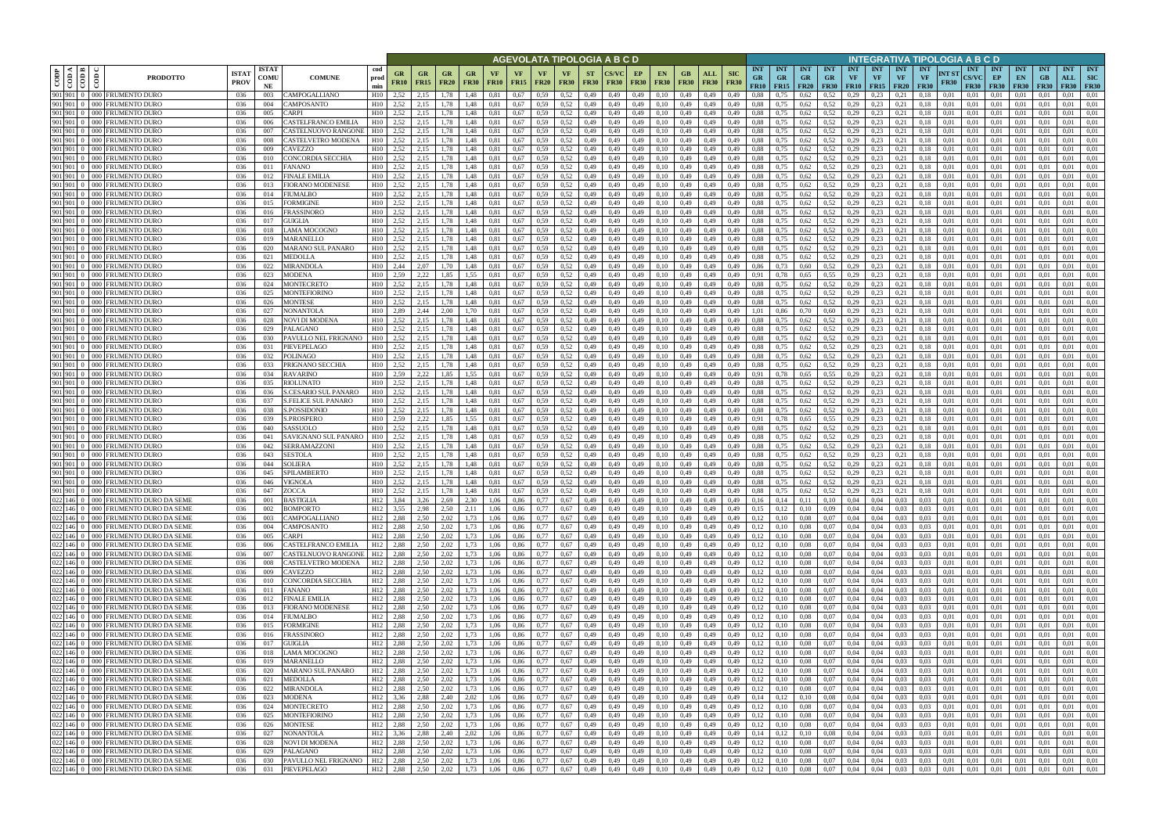|                                        |                                                                            |                             |                            |                                             |                                    |                              |                          |                                |                   |                   |                   |                            |                   |                          | AGEVOLATA TIPOLOGIA A B C D          |                   |                                              |                    |                                |                            |                                 |                                        |                                        |                                        |                         |                                        |                                        | INTEGRATIVA TIPOLOGIA A B C D   |                      |                                           |                                 |                                 |                                 |                                  |                                         |
|----------------------------------------|----------------------------------------------------------------------------|-----------------------------|----------------------------|---------------------------------------------|------------------------------------|------------------------------|--------------------------|--------------------------------|-------------------|-------------------|-------------------|----------------------------|-------------------|--------------------------|--------------------------------------|-------------------|----------------------------------------------|--------------------|--------------------------------|----------------------------|---------------------------------|----------------------------------------|----------------------------------------|----------------------------------------|-------------------------|----------------------------------------|----------------------------------------|---------------------------------|----------------------|-------------------------------------------|---------------------------------|---------------------------------|---------------------------------|----------------------------------|-----------------------------------------|
| ⊲ ∣ ≃<br>CODP<br>$\frac{1}{100}$<br>දි | <b>PRODOTTO</b>                                                            | <b>ISTA1</b><br><b>PROV</b> | <b>ISTAT</b><br>COMU<br>NE | <b>COMUNE</b>                               | cod<br>prod<br>min                 | GR<br><b>FR10</b>            | <b>GR</b><br><b>FR15</b> | <b>GR</b><br><b>FR20</b>       | GR<br><b>FR30</b> | VF<br><b>FR10</b> | VF<br><b>FR15</b> | VF<br><b>FR20</b>          | VF<br><b>FR30</b> | <b>ST</b><br><b>FR30</b> | <b>CS/VC</b><br><b>FR30</b>          | EP<br><b>FR30</b> | EN.<br><b>FR30</b>                           | GB.<br><b>FR30</b> | ALL<br><b>FR30</b>             | <b>SIC</b><br><b>FR30</b>  | <b>INT</b><br><b>GR</b><br>FR10 | <b>INT</b><br><b>GR</b><br><b>FR15</b> | <b>INT</b><br><b>GR</b><br><b>FR20</b> | <b>INT</b><br><b>GR</b><br><b>FR30</b> | <b>INT</b><br><b>VF</b> | <b>INT</b><br><b>VF</b><br>$FR10$ FR15 | <b>INT</b><br><b>VF</b><br><b>FR20</b> | <b>INT</b><br>VF<br><b>FR30</b> | NT ST<br><b>FR30</b> | <b>INT</b><br><b>CS/VC</b><br><b>FR30</b> | <b>INT</b><br>EP<br><b>FR30</b> | <b>INT</b><br>EN<br><b>FR30</b> | <b>INT</b><br>GB<br><b>FR30</b> | <b>INT</b><br>ALL<br><b>FR30</b> | <b>INT</b><br><b>SIC</b><br><b>FR30</b> |
| 901 901 0                              | 000 FRUMENTO DURO                                                          | 036                         | 003                        | CAMPOGALLIANO                               | H10                                | 2,52                         | 2,15                     | 1.78                           | 1.48              | 0.81              | 0,67              | 0.59                       | 0.52              | 0,49                     | 0,49                                 | 0,49              | 0.10                                         | 0,49               | 0.49                           | 0.49                       | 0.88                            |                                        | 0,62                                   | 0.52                                   | 0.29                    | 0.23                                   | 0.21                                   | 0.18                            | 0.01                 | 0.01                                      | 0.01                            | 0.01                            |                                 | 0.01                             | 0.01                                    |
| 901 901 0<br>901 901 0                 | 000 FRUMENTO DURO<br>000 FRUMENTO DURO                                     | 036<br>036                  | 004<br>005                 | CAMPOSANTO<br>CARPI                         | H10<br>H10                         | 2,52<br>2,52                 | 2.15<br>2,15             | 1,78<br>1.78                   | 1,48<br>1,48      | 0.81<br>0.81      | 0,67<br>0,67      | 0.59<br>0.59               | 0,52<br>0,52      | 0,49<br>0,49             | 0,49<br>0,49                         | 0,49<br>0,49      | 0,10<br>0,10                                 | 0,49<br>0,49       | 0,49<br>0,49                   | 0,49<br>0,49               | 0.88<br>0.88                    | 0,75<br>0,75                           | 0,62<br>0,62                           | 0,52<br>0.52                           | 0,29<br>0,29            | 0,23<br>0,23                           | 0,21<br>0,21                           | 0,18<br>0,18                    | 0,01<br>0,01         | 0,01<br>0,01                              | 0.01<br>0,01                    | 0,01<br>0,01                    | 0,01<br>0,01                    | 0.01<br>0.01                     | 0,01<br>0,01                            |
| 901 901 0                              | 000 FRUMENTO DURO                                                          | 036                         | 006                        | CASTELFRANCO EMILIA                         | H10                                | 2,52                         | 2.15                     | 1.78                           | 1,48              | 0.81              | 0.67              | 0.59                       | 0.52              | 0,49                     | 0,49                                 | 0,49              | 0,10                                         | 0,49               | 0.49                           | 0.49                       | 0.88                            | 0.75                                   | 0,62                                   | 0,52                                   | 0,29                    | 0.23                                   | 0.21                                   | 0.18                            | 0.01                 | 0.01                                      | 0.01                            | 0,01                            | 0.01                            | 0.01                             | 0.01                                    |
| 901 901 0                              | 000 FRUMENTO DURO                                                          | 036                         | 007                        | CASTELNUOVO RANGONE                         | H10                                | 2,52                         | 2.15                     | 1.78                           | 1.48              | 0.81              | 0.67              | 0.59                       | 0.52              | 0,49                     | 0.49                                 | 0,49              | 0,10                                         | 0,49               | 0.49                           | 0.49                       | 0.88                            | 0.75                                   | 0.62                                   | 0.52                                   | 0.29                    | 0.23                                   | 0.21                                   |                                 | 0.01                 | 0.01                                      | 0.01                            | 0.01                            | 0.01                            | 0.01                             | 0.01                                    |
| 901 901 0                              | 000 FRUMENTO DURO                                                          | 036                         | 008                        | CASTELVETRO MODENA                          | H10                                | 2,52                         | 2,15                     | 1.78                           | 1,48              | 0.81              | 0,67              | 0.59                       | 0,52              | 0,49                     | 0,49                                 | 0,49              | 0,10                                         | 0,49               | 0,49                           | 0.49                       | 0.88                            | 0,75                                   | 0,62                                   | 0,52                                   | 0,29                    | 0,23                                   | 0,21                                   | 0.18                            | 0.01                 | 0.01                                      | 0.01                            | 0,01                            | 0.01                            | 0.01                             | 0,01                                    |
| 901 901 0<br>901 901 0                 | 000 FRUMENTO DURO<br>000 FRUMENTO DURC                                     | 036<br>-036                 | 009<br>010                 | CAVEZZO<br>CONCORDIA SECCHIA                | H10<br>H10                         | 2.52<br>2.52                 | 2.15<br>2,15             | 1.78<br>1.78                   | 1.48<br>1,48      | 0.81<br>0.81      | 0.67<br>0.67      | 0.59<br>0.59               | 0.52<br>0.52      | 0,49<br>0,49             | 0.49<br>0,49                         | 0,49<br>0,49      | 0,10<br>0,10                                 | 0,49<br>0,49       | 0.49<br>0,49                   | 0.49<br>0.49               | 0.88<br>0.88                    | 0.75<br>0,75                           | 0,62<br>0,62                           | 0,52<br>0,52                           | 0,29<br>0,29            | 0,23<br>0,23                           | 0.21<br>0,21                           | 0.18<br>0.18                    | 0.01<br>0.01         | 0.01<br>0.01                              | 0.01<br>0.01                    | 0.01<br>0,01                    | 0.01<br>0.01                    | 0.01<br>0.01                     | 0.01<br>0.01                            |
| 901 901 0                              | 000 FRUMENTO DURO                                                          | 036                         | 011                        | <b>FANANO</b>                               | H10                                | 2,52                         | 2,15                     | 1.78                           | 1.48              | 0.81              | 0,67              | 0.59                       | 0.52              | 0,49                     | 0,49                                 | 0,49              | 0,10                                         | 0,49               | 0,49                           | 0.49                       | 0.88                            | 0,75                                   | 0,62                                   | 0,52                                   | 0,29                    | 0,23                                   | 0,21                                   | 0.18                            | 0.01                 | 0,01                                      | 0,01                            | 0,01                            | 0.01                            | 0.01                             | 0,01                                    |
| 901 901 0                              | 000 FRUMENTO DURO                                                          | 036                         | 012                        | FINALE EMILIA                               | H <sub>10</sub>                    | 2,52                         | 2.15                     | 1.78                           | 1,48              | 0,81              | 0,67              | 0.59                       | 0,52              | 0,49                     | 0,49                                 | 0,49              | 0,10                                         | 0,49               | 0,49                           | 0,49                       | 0.88                            | 0,75                                   | 0,62                                   | 0,52                                   | 0,29                    | 0,23                                   | 0,21                                   | 0.18                            | 0,01                 | 0,01                                      | 0,01                            | 0,01                            | 0.01                            | 0.01                             | 0,01                                    |
| 901 901 0                              | 000 FRUMENTO DURO                                                          | 036                         | 013                        | FIORANO MODENESI                            | H10                                | 2,52                         | 2,15                     | 1.78                           | 1,48              | 0,81              | 0,67              | 0.59                       | 0,52              | 0,49                     | 0,49                                 | 0,49              | 0,10                                         | 0,49               | 0,49                           | 0.49                       | 0.88                            | 0,75                                   | 0.62                                   | 0.52                                   | 0,29                    | 0,23                                   | 0,21                                   | 0.18                            | 0.01                 | 0,01                                      | 0,01                            | 0,01                            | 0.01                            | 0,01                             | 0,01                                    |
| 901 901 0<br>901 901 0                 | 000 FRUMENTO DURO<br>000 FRUMENTO DURO                                     | 036<br>036                  | 014<br>015                 | <b>IUMALBO</b><br>FORMIGINE                 | H10<br>H10                         | 2,52<br>2,52                 | 2,15<br>2.15             | 1,78<br>1.78                   | 1,48<br>1,48      | 0,81<br>0.81      | 0,67<br>0,67      | 0.59<br>0.59               | 0,52<br>0.52      | 0,49<br>0,49             | 0,49<br>0,49                         | 0,49<br>0,49      | 0,10<br>0,10                                 | 0,49<br>0,49       | 0,49<br>0,49                   | 0,49<br>0.49               | 0.88<br>0.88                    | 0,75<br>0.75                           | 0,62<br>0,62                           | 0,52<br>0,52                           | 0,29<br>0,29            | 0,23<br>0.23                           | 0,21<br>0.21                           | 0,18<br>0.18                    | 0,01<br>0.01         | 0,01<br>0.01                              | 0,01<br>0,01                    | 0,01<br>0,01                    | 0,01<br>0.01                    | 0,01<br>0,01                     | 0,01<br>0.01                            |
|                                        | 901 901 0 000 FRUMENTO DURO                                                | 036                         | 016                        | FRASSINORO                                  | H10                                | 2,52                         | 2.15                     | 1,78                           | 1,48              | 0,81              | 0,67              | 0.59                       | 0.52              | 0,49                     | 0,49                                 | 0,49              | 0,10                                         | 0,49               | 0,49                           | 0,49                       | 0,88                            | 0,75                                   | 0,62                                   | 0,52                                   | 0,29                    | 0,23                                   | 0,21                                   | 0.18                            | 0,01                 | 0.01                                      | 0,01                            | 0,01                            | 0.01                            | 0,01                             | 0,01                                    |
|                                        | 901 901 0 000 FRUMENTO DURO                                                | 036                         | 017                        | GUIGLIA                                     | H10                                | 2,52                         | 2,15                     | 1,78                           | 1,48              | 0,81              | 0,67              | 0.59                       | 0.52              | 0,49                     | 0,49                                 | 0,49              | 0,10                                         | 0,49               | 0,49                           | 0,49                       | 0.88                            | 0,75                                   | 0,62                                   | 0.52                                   | 0,29                    | 0,23                                   | 0,21                                   | 0.18                            | 0,01                 | 0,01                                      | 0,01                            | 0,01                            | 0.01                            | 0,01                             | 0.01                                    |
| 901 901 0                              | 000 FRUMENTO DURO                                                          | 036                         | 018                        | LAMA MOCOGNO                                | H10                                | 2.52                         | 2.15                     | 1.78                           | 1.48              | 0.81              | 0.67              | 0.59                       | 0.52              | 0.49                     | 0.49                                 | 0,49              | 0.10                                         | 0.49               | 0.49                           | 0.49                       | 0.88                            | 0.75                                   | 0,62                                   | 0.52                                   | 0,29                    | 0.23                                   | 0.21                                   | 0.18                            | 0.01                 | 0.01                                      | 0.01                            | 0.01                            | 0.01                            | 0.01                             | 0.01                                    |
| 901 901 0                              | 901 901 0 000 FRUMENTO DURO                                                | 036                         | 019                        | <b>MARANELLO</b><br>MARANO SUL PANARO       | H10<br>H10                         | 2.52<br>2,52                 | 2.15                     | 1.78<br>1.78                   | 1.48              | 0.81              | 0,67              | 0.59<br>0.59               | 0.52              | 0,49                     | 0,49<br>0.49                         | 0.49              | 0,10                                         | 0.49               | 0.49                           | 0.49                       | 0.88                            | 0.75                                   | 0,62                                   | 0,52<br>0.52                           | 0,29<br>0,29            | 0.23<br>0,23                           | 0,21                                   | 0.18                            | 0.01<br>0.01         | 0.01<br>0.01                              | 0.01                            | 0,01                            | 0.01                            | 0,01<br>0,01                     | 0.01<br>0,01                            |
| 901 901 0                              | 000 FRUMENTO DURO<br>000 FRUMENTO DURC                                     | 036<br>036                  | 020<br>021                 | <b>MEDOLLA</b>                              | H10                                | 2,52                         | 2,15<br>2.15             | .78                            | 1.48<br>1.48      | 0.81              | 0,67<br>0.67      | 0.59                       | 0,52<br>0.52      | 0,49<br>0,49             | 0.49                                 | 0,49<br>0.49      | 0,10<br>0.10                                 | 0,49<br>0.49       | 0,49<br>0.49                   | 0.49<br>0.49               | 0.88<br>0.88                    | 0,75<br>0.75                           | 0.62<br>0.62                           | 0,52                                   | 0,29                    | 0.23                                   | 0,21<br>0,21                           | 0.18                            | 0.01                 | 0.01                                      | 0,01<br>0.01                    | 0,01<br>0.01                    | 0.01<br>$0.0^{\circ}$           | 0.01                             | 0.01                                    |
| 901 901 0                              | 000 FRUMENTO DURO                                                          | 036                         | 022                        | MIRANDOLA                                   | H10                                | 2.44                         | 2.07                     | 1.70                           | 1.48              |                   | 0.67              | 0.59                       | 0.52              | 0.49                     | 0.49                                 | 0,49              | 0.10                                         | 0.49               | 0.49                           | 0.49                       | 0.86                            | 0.73                                   | 0,60                                   | 0,52                                   | 0,29                    | 0.23                                   | 0.21                                   |                                 | 0.01                 | 0.01                                      | 0.01                            | 0.01                            |                                 | 0.01                             | 0.01                                    |
| 901 901 0                              | 000 FRUMENTO DURO                                                          | 036                         | 023                        | <b>MODENA</b>                               | H10                                | 2.59                         | 2,22                     | 1.85                           | 1.55              | 0.81              | 0,67              | 0.59                       | 0,52              | 0,49                     | 0,49                                 | 0,49              | 0,10                                         | 0,49               | 0,49                           | 0.49                       | 0.91                            | 0.78                                   | 0,65                                   | 0.55                                   | 0,29                    | 0,23                                   | 0,21                                   | 0.18                            | 0.01                 | 0.01                                      | 0,01                            | 0,01                            | 0.01                            | 0,01                             | 0,01                                    |
|                                        | 901 901 0 000 FRUMENTO DURO                                                | 036                         | 024                        | MONTECRETO                                  | H10                                | 2.52                         | 2.15                     | 1.78                           | 1.48              | 0.81              | 0.67              | 0.59                       | 0.52              | 0,49                     | 0,49                                 | 0,49              | 0,10                                         | 0,49               | 0.49                           | 0,49                       | 0.88                            | 0.75                                   | 0,62                                   | 0,52                                   | 0,29                    | 0.23                                   | 0,21                                   | 0.18                            | 0.01                 | 0,01                                      | 0,01                            | 0.01                            | 0.01                            | 0.01                             | 0.01                                    |
| 901 901 0                              | 901 901 0 000 FRUMENTO DURO<br>000 FRUMENTO DURO                           | 036<br>036                  | 025<br>026                 | MONTEFIORINO<br>MONTESE                     | H10<br>H10                         | 2.52<br>2,52                 | 2.15<br>2,15             | 1.78<br>1.78                   | 1,48<br>1.48      | 0.81              | 0,67<br>0,67      | 0.59<br>0.59               | 0.52<br>0,52      | 0,49<br>0,49             | 0,49<br>0,49                         | 0,49<br>0,49      | 0,10<br>0,10                                 | 0,49<br>0,49       | 0,49<br>0.49                   | 0,49<br>0,49               | 0.88<br>0.88                    | 0,75<br>0,75                           | 0,62<br>0,62                           | 0,52<br>0.52                           | 0,29<br>0,29            | 0,23<br>0,23                           | 0,21<br>0.21                           | 0,18                            | 0,01<br>0.01         | 0,01<br>0,01                              | 0.01<br>0,01                    | 0,01<br>0,01                    | 0,01                            | 0,01<br>0.01                     | 0.01<br>0,01                            |
| 901 901 0                              | 000 FRUMENTO DURO                                                          | 036                         | 027                        | NONANTOLA                                   | H10                                | 2.89                         | 2,44                     | 2.00                           |                   |                   | 0,67              | 0.59                       | 0.52              | 0,49                     | 0,49                                 | 0,49              | 0.10                                         | 0,49               | 0.49                           | 0,49                       | 1.01                            | 0,86                                   | 0,70                                   | 0,60                                   | 0,29                    | 0,23                                   | 0.21                                   |                                 | 0.01                 | 0,01                                      | 0.01                            | 0,01                            | 0.01                            | 0.01                             | 0.01                                    |
| 901 901 0                              | 000 FRUMENTO DURO                                                          | 036                         | 028                        | NOVI DI MODENA                              | H10                                | 2,52                         |                          | .78                            | .48               |                   | 0.67              | 0.59                       | 0.52              | 0,49                     | 0.49                                 | 0,49              | 0.10                                         | 0,49               | 0.49                           | 0.49                       | 0.88                            |                                        | 0,62                                   | 0.52                                   | 0,29                    | 0.23                                   | 0.21                                   |                                 | 0.01                 | 0.01                                      | 0.01                            | 0.01                            |                                 | 0.01                             | 0.01                                    |
| 901 901 0                              | 000 FRUMENTO DURO                                                          | 036                         | 029                        | <b>PALAGANO</b>                             | H10                                | 2,52                         | 2,15                     | 1,78                           | 1,48              | 0.81              | 0,67              | 0,59                       | 0,52              | 0,49                     | 0,49                                 | 0,49              | 0,10                                         | 0,49               | 0,49                           | 0,49                       | 0.88                            | 0,75                                   | 0,62                                   | 0.52                                   | 0,29                    | 0,23                                   | 0,21                                   | 0,18                            | 0,01                 | 0,01                                      | 0,01                            | 0,01                            | 0,01                            | 0,01                             | 0,01                                    |
| 901 901 0<br>901 901 0                 | 000 FRUMENTO DURO<br>000 FRUMENTO DURO                                     | 036<br>036                  | 030<br>031                 | PAVULLO NEL FRIGNANO<br>PIEVEPELAGO         | H10<br>H10                         | 2.52<br>2,52                 | 2.15<br>2,15             | 1.78<br>1.78                   | 1,48<br>1,48      | 0.81<br>0.81      | 0.67<br>0,67      | 0.59<br>0.59               | 0.52<br>0.52      | 0,49<br>0,49             | 0.49<br>0,49                         | 0,49<br>0,49      | 0,10<br>0,10                                 | 0,49<br>0,49       | 0.49<br>0,49                   | 0.49<br>0,49               | 0.88<br>0.88                    | 0.75<br>0.75                           | 0,62<br>0,62                           | 0,52<br>0,52                           | 0,29<br>0,29            | 0.23<br>0,23                           | 0.21<br>0,21                           | 0.18<br>0.18                    | 0.01<br>0.01         | 0.01<br>0.01                              | 0.01<br>0.01                    | 0,01<br>0,01                    | 0.01<br>0.01                    | 0.01<br>0,01                     | 0.01<br>0,01                            |
| 901 901 0                              | 000 FRUMENTO DURO                                                          | 036                         | 032                        | POLINAGO                                    | H10                                | 2,52                         | 2,15                     | 1.78                           | 1,48              | 0.81              | 0,67              | 0.59                       | 0.52              | 0,49                     | 0,49                                 | 0,49              | 0,10                                         | 0,49               | 0,49                           | 0.49                       | 0.88                            | 0.75                                   | 0,62                                   | 0,52                                   | 0,29                    | 0,23                                   | 0,21                                   | 0.18                            | 0.01                 | 0.01                                      | 0.01                            | 0,01                            | -0.01                           | 0.01                             | 0,01                                    |
| 901 901 0                              | 000 FRUMENTO DURO                                                          | 036                         | 033                        | PRIGNANO SECCHIA                            | H10                                | 2.52                         | 2.15                     | 1.78                           | 1,48              | 0.81              | 0.67              | 0.59                       | 0.52              | 0,49                     | 0,49                                 | 0,49              | 0,10                                         | 0,49               | 0,49                           | 0.49                       | 0.88                            | 0.75                                   | 0,62                                   | 0,52                                   | 0,29                    | 0,23                                   | 0,21                                   | 0.18                            | 0.01                 | 0.01                                      | 0.01                            | 0,01                            | 0.01                            | 0.01                             | 0.01                                    |
| 901 901 0                              | 000 FRUMENTO DURO                                                          | 036                         | 034                        | <b>RAVARINO</b>                             | H10                                | 2.59                         | 2,22                     | 1.85                           | 1.55              | 0.81              | 0.67              | 0.59                       | 0.52              | 0,49                     | 0.49                                 | 0,49              | 0,10                                         | 0,49               | 0,49                           | 0.49                       | 0.91                            | 0.78                                   | 0.65                                   | 0.55                                   | 0,29                    | 0.23                                   | 0.21                                   | 0.18                            | 0.01                 | 0.01                                      | 0.01                            | 0.01                            | 0.01                            | 0.01                             | 0.01                                    |
| 901 901 0                              | 901 901 0 000 FRUMENTO DURO<br>000 FRUMENTO DURO                           | 036                         | 035                        | <b>RIOLUNATO</b>                            | H10<br>H10                         | 2,52<br>2,52                 | 2,15                     | 1,78<br>1.78                   | 1,48<br>1.48      | 0,81              | 0,67              | 0.59<br>0.59               | 0,52<br>0.52      | 0,49                     | 0,49                                 | 0,49              | 0,10                                         | 0,49               | 0,49                           | 0,49<br>0.49               | 0.88<br>0.88                    | 0,75                                   | 0,62                                   | 0,52<br>0.52                           | 0,29<br>0,29            | 0,23<br>0.23                           | 0,21                                   | 0,18                            | 0,01<br>0.01         | 0,01<br>0.01                              | 0,01                            | 0,01                            | 0.01<br>0.01                    | 0,01                             | 0,01                                    |
| 901 901 0                              | 000 FRUMENTO DURO                                                          | 036<br>036                  | 036<br>037                 | S.CESARIO SUL PANARO<br>S.FELICE SUL PANARO | H10                                | 2,52                         | 2,15<br>2,15             | 1,78                           | 1,48              | 0.81<br>0,81      | 0,67<br>0,67      | 0.59                       | 0,52              | 0,49<br>0,49             | 0,49<br>0,49                         | 0,49<br>0,49      | 0,10<br>0,10                                 | 0,49<br>0,49       | 0,49<br>0,49                   | 0,49                       | 0.88                            | 0,75<br>0,75                           | 0,62<br>0,62                           | 0,52                                   | 0,29                    | 0,23                                   | 0,21<br>0,21                           | 0.18<br>0,18                    | 0,01                 | 0,01                                      | 0,01<br>0,01                    | 0,01<br>0,01                    | 0.01                            | 0,01<br>0,01                     | 0,01<br>0,01                            |
| 901 901 0                              | 000 FRUMENTO DURO                                                          | 036                         | 038                        | S.POSSIDONIO                                | H10                                | 2,52                         | 2,15                     | 1,78                           | 1,48              | 0.81              | 0,67              | 0,59                       | 0,52              | 0,49                     | 0,49                                 | 0,49              | 0,10                                         | 0,49               | 0,49                           | 0,49                       | 0.88                            | 0,75                                   | 0,62                                   | 0,52                                   | 0,29                    | 0,23                                   | 0,21                                   | 0,18                            | 0,01                 | 0,01                                      | 0,01                            | 0,01                            | 0,01                            | 0,01                             | 0,01                                    |
| 901 901 0                              | 000 FRUMENTO DURO                                                          | 036                         | 039                        | S.PROSPERO                                  | H10                                | 2,59                         | 2,22                     | 1,85                           | 1,55              | 0,81              | 0,67              | 0.59                       | 0,52              | 0,49                     | 0,49                                 | 0,49              | 0,10                                         | 0,49               | 0,49                           | 0,49                       | 0,91                            | 0,78                                   | 0.65                                   | 0.55                                   | 0,29                    | 0,23                                   | 0,21                                   | 0.18                            | 0,01                 | 0,01                                      | 0,01                            | 0,01                            | 0.01                            | 0,01                             | 0.01                                    |
| 901 901 0<br>901 901 0                 | 000 FRUMENTO DURO<br>000 FRUMENTO DURO                                     | 036<br>036                  | 040<br>041                 | SASSUOLO<br>SAVIGNANO SUL PANARO            | H10<br>H10                         | 2.52<br>2,52                 | 2.15<br>2,15             | 1,78<br>1,78                   | 1,48<br>1,48      | 0,81<br>0,81      | 0,67<br>0,67      | 0.59<br>0.59               | 0.52<br>0.52      | 0,49<br>0,49             | 0,49<br>0,49                         | 0,49<br>0,49      | 0,10<br>0,10                                 | 0,49<br>0,49       | 0,49<br>0,49                   | 0,49<br>0,49               | 0,88<br>0.88                    | 0,75<br>0,75                           | 0,62<br>0,62                           | 0,52<br>0,52                           | 0,29<br>0,29            | 0,23<br>0,23                           | 0,21<br>0,21                           | 0.18<br>0,18                    | 0,01<br>0,01         | 0,01<br>0.01                              | 0,01<br>0,01                    | 0,01<br>0,01                    | 0.01<br>0.01                    | 0,01<br>0,01                     | 0,01<br>0,01                            |
| 901 901 0                              | 000 FRUMENTO DURO                                                          | 036                         | 042                        | SERRAMAZZONI                                | H10                                | 2,52                         | 2.15                     | 1.78                           | 1.48              | 0.81              | 0,67              | 0.59                       | 0.52              | 0,49                     | 0,49                                 | 0,49              | 0,10                                         | 0,49               | 0.49                           | 0.49                       | 0.88                            | 0.75                                   | 0.62                                   | 0,52                                   | 0,29                    | 0,23                                   | 0,21                                   | 0.18                            | 0.01                 | 0.01                                      | 0.01                            | 0.01                            | 0.01                            | 0,01                             | 0.01                                    |
| 901 901 0                              | 000 FRUMENTO DURO                                                          | 036                         | 043                        | SESTOLA                                     | H10                                | 2,52                         | 2.15                     | 1.78                           | 1.48              | 0.81              | 0,67              | 0.59                       | 0.52              | 0,49                     | 0.49                                 | 0,49              | 0.10                                         | 0,49               | 0.49                           | 0.49                       | 0.88                            | 0.75                                   | 0,62                                   | 0.52                                   | 0,29                    | 0,23                                   | 0.21                                   | 0.18                            | 0.01                 | 0.01                                      | 0,01                            | 0.01                            | 0.01                            | 0.01                             | 0.01                                    |
|                                        | 901 901 0 000 FRUMENTO DURO                                                | 036                         | 044                        | SOLIERA                                     | H10                                | 2,52                         | 2,15                     | 1,78                           | 1,48              | 0,81              | 0,67              | 0.59                       | 0.52              | 0,49                     | 0,49                                 | 0,49              | 0,10                                         | 0,49               | 0,49                           | 0.49                       | 0.88                            | 0,75                                   | 0.62                                   | 0,52                                   | 0,29                    | 0,23                                   | 0,21                                   | 0.18                            | 0,01                 | 0,01                                      | 0,01                            | 0,01                            | 0.01                            | 0,01                             | 0,01                                    |
|                                        | 901 901 0 000 FRUMENTO DURC<br>901 901 0 000 FRUMENTO DURO                 | 036                         | 045                        | SPILAMBERTO<br>VIGNOLA                      | H10<br>H10                         | 2.52                         | 2.15                     | 1.78                           | 1.48              | 0.81              | 0.67              | 0.59                       | 0.52              | 0.49                     | 0.49                                 | 0.49              | 0.10                                         | 0.49               | 0.49                           | 0.49                       | 0.88                            | 0.75                                   | 0.62                                   | 0.52                                   | 0.29                    | 0.23                                   | 0.21                                   |                                 | 0.01                 | 0.01                                      | 0.01                            | 0.01                            | 0.01                            | 0.01                             | 0.01<br>0.01                            |
|                                        | 901 901 0 000 FRUMENTO DURO                                                | 036<br>036                  | 046<br>047                 | ZOCCA                                       | H10                                | 2,52<br>2,52                 | 2.15<br>2,15             | 1.78<br>1.78                   | 1.48<br>1.48      | 0.81<br>0.81      | 0.67<br>0.67      | 0.59<br>0.59               | 0.52<br>0.52      | 0,49<br>0.49             | 0,49<br>0.49                         | 0,49<br>0.49      | 0,10<br>0.10                                 | 0.49<br>0.49       | 0,49<br>0.49                   | 0.49<br>0.49               | 0.88<br>0.88                    | 0.75<br>0.75                           | 0,62<br>0,62                           | 0,52<br>0,52                           | 0,29<br>0.29            | 0,23<br>0.23                           | 0,21<br>0.21                           | 0.18<br>0.18                    | 0.01<br>0.01         | 0.01<br>0.01                              | 0.01<br>0.01                    | 0.01<br>0.01                    | 0.01<br>0.01                    | 0,01<br>0.01                     | 0.01                                    |
|                                        | 022 146 0 000 FRUMENTO DURO DA SEME                                        | 036                         | 001                        | <b>BASTIGLIA</b>                            | H <sub>12</sub>                    | 3,84                         | 3,26                     | 2,69                           | 2,30              | 1,06              | 0,86              | 0,77                       | 0,67              | 0,49                     | 0,49                                 | 0,49              | 0,10                                         | 0,49               | 0,49                           | 0,49                       | 0,16                            | 0,14                                   | 0,11                                   | 0,10                                   | 0,04                    | 0,04                                   | 0.03                                   | 0,03                            | 0,01                 | 0,01                                      | 0,01                            | 0,01                            | 0,01                            | 0.01                             | 0,01                                    |
|                                        | 022 146 0 000 FRUMENTO DURO DA SEME                                        | 036                         | 002                        | <b>BOMPORTO</b>                             | H <sub>12</sub>                    | 3,55                         | 2,98                     | 2.50                           | 2,11              | 1,06              | 0,86              | 0,77                       | 0,67              | 0,49                     | 0,49                                 | 0,49              | 0,10                                         | 0,49               | 0,49                           | 0,49                       | 0,15                            | 0,12                                   | 0,10                                   | 0.09                                   |                         | $0,04$ 0.04                            | 0.03                                   | 0,03                            | 0,01                 | 0,01                                      | 0.01                            | 0,01                            | 0,01                            | 0.01                             | 0,01                                    |
|                                        | 022 146 0 000 FRUMENTO DURO DA SEME<br>022 146 0 000 FRUMENTO DURO DA SEME | 036<br>036                  | 003                        | CAMPOGALLIANO                               | H <sub>12</sub><br>H <sub>12</sub> | 2,88<br>2,88                 | 2,50                     | 2,02<br>2,02                   | 1,73<br>1,73      | 1,06              | 0,86              | 0,77<br>0,77               | 0,67              | 0,49                     | 0,49                                 | 0,49              | 0,10                                         | 0,49               | 0,49                           | 0,49                       | 0,12                            | 0,10<br>0,10                           | 0,08                                   | 0,07<br>0,07                           |                         | $0,04$ 0.04                            | 0,03                                   | 0,03<br>0,03                    | 0,01<br>0,01         | 0,01                                      | 0,01<br>0,01                    | 0,01                            | 0,01                            | 0,01<br>0.01                     | 0,01<br>0,01                            |
|                                        |                                                                            | 036                         | 004<br>005                 | CAMPOSANTO<br>CARPI                         | H <sub>12</sub>                    | 2,88                         | 2,50<br>2,50             | 2,02                           | 1,73              | 1,06<br>1,06      | 0,86<br>0,86      | 0,77                       | 0,67<br>0,67      | 0,49<br>0,49             | 0,49<br>0,49                         | 0,49<br>0,49      | 0,10<br>0,10                                 | 0,49               | $0,49$ $0,49$<br>0,49          | 0,49<br>0,49               | 0,12<br>0,12                    | 0,10                                   | 0,08<br>0,08                           | 0,07                                   |                         | $0,04$ 0.04<br>$0,04$ 0.04             | 0.03<br>0.03                           | 0,03                            | 0,01                 | 0,01<br>0,01                              | 0.01                            | 0,01<br>0,01                    | 0,01<br>0,01                    | 0.01                             | 0,01                                    |
|                                        | 022 146 0 000 FRUMENTO DURO DA SEME<br>022 146 0 000 FRUMENTO DURO DA SEME | 036                         | 006                        | CASTELFRANCO EMILIA                         | H12                                | 2,88                         | 2,50                     | 2,02                           | 1,73              | 1,06              | 0,86              | 0,77                       | 0,67              | 0,49                     | 0,49                                 | 0,49              | 0,10                                         |                    | $0,49$ $0,49$                  | 0,49                       | 0,12                            | 0,10                                   | 0,08                                   | 0,07                                   |                         | $0,04$ 0.04                            | 0,03                                   | 0,03                            | 0,01                 | 0,01                                      | 0,01                            | 0,01                            | 0,01                            | 0.01                             | 0,01                                    |
|                                        | 022 146 0 000 FRUMENTO DURO DA SEME                                        | 036                         | 007                        | CASTELNUOVO RANGONE                         | H12                                | 2,88                         | 2,50                     | 2,02                           | 1,73              | 1,06              | 0,86              | 0,77                       | 0,67              | 0,49                     | 0,49 0,49                            |                   | 0,10                                         | 0,49 0,49          |                                | 0,49                       | 0,12                            | 0,10                                   | 0,08                                   | 0,07                                   |                         | $0,04$ 0.04                            | 0,03                                   | 0,03                            | 0,01                 | 0,01                                      | 0,01                            | 0,01                            | 0,01                            | 0.01                             | 0,01                                    |
|                                        | 022 146 0 000 FRUMENTO DURO DA SEME<br>022 146 0 000 FRUMENTO DURO DA SEME | 036<br>036                  | 008<br>009                 | CASTELVETRO MODENA<br>CAVEZZO               | H12<br>H12                         | 2,88<br>2,88                 |                          | 2,50 2,02<br>2,50 2,02 1,73    | 1,73              | 1,06<br>1,06      | 0,86<br>0,86      | 0,77<br>0,77               | 0,67<br>0,67      | 0,49<br>0,49             | 0,49 0,49<br>0,49 0,49               |                   | 0,10<br>0,10                                 | 0,49 0,49          | $0,49$ $0,49$                  | 0,49<br>0,49               | 0,12<br>0,12                    | 0,10<br>0,10                           | 0.08<br>0,08                           | 0.07<br>0,07                           |                         | $0,04$ 0.04<br>$0,04$ 0.04             | 0.03<br>0,03                           | 0,03<br>0,03                    | 0,01<br>0,01         | 0.01<br>0,01                              | 0,01<br>0,01                    | 0,01<br>0,01                    | 0,01<br>0,01                    | 0.01<br>0,01                     | 0,01<br>0,01                            |
|                                        | 022 146 0 000 FRUMENTO DURO DA SEME                                        | 036                         | 010                        | CONCORDIA SECCHIA                           | H12                                | 2,88                         | 2,50                     | 2,02                           | 1,73              | 1,06              | 0,86              | 0,77                       | 0,67              | 0,49                     | 0,49                                 | 0,49              | 0,10                                         | 0,49               | 0,49                           | 0,49                       | 0,12                            | 0,10                                   | 0,08                                   | 0,07                                   | 0,04                    | 0,04                                   | 0,03                                   | 0,03                            | 0,01                 | 0,01                                      | 0,01                            | 0,01                            | 0,01                            | 0.01                             | 0,01                                    |
|                                        | 022 146 0 000 FRUMENTO DURO DA SEME                                        | 036                         | 011                        | FANANO                                      | H <sub>12</sub>                    | 2,88                         | 2,50                     | 2,02                           | 1,73              | 1,06              | 0,86              | 0,77                       | 0,67              | 0,49                     | 0,49                                 | 0,49              | 0,10                                         | 0,49               | 0,49                           | 0,49                       | 0,12                            | 0,10                                   | 0,08                                   | 0,07                                   | 0,04                    | 0,04                                   | 0,03                                   | 0,03                            | 0,01                 | 0,01                                      | 0,01                            | 0,01                            | 0,01                            | 0,01                             | 0,01                                    |
|                                        | 022 146 0 000 FRUMENTO DURO DA SEME                                        | 036                         | 012                        | <b>FINALE EMILIA</b>                        | H12                                | 2,88                         | 2,50                     | 2,02                           | 1,73              | 1,06              | 0,86              | 0,77                       | 0,67              | 0,49                     | 0,49                                 | 0,49              | 0,10                                         |                    | $0,49$ $0,49$                  | 0,49                       | 0,12                            | 0,10                                   | 0,08                                   | 0,07                                   | 0,04                    | 0,04                                   | 0.03                                   | 0,03                            | 0,01                 | 0,01                                      | 0,01                            | 0,01                            | 0,01                            | 0,01                             | 0,01                                    |
|                                        | 022 146 0 000 FRUMENTO DURO DA SEME<br>022 146 0 000 FRUMENTO DURO DA SEME | 036<br>036                  | 013<br>014                 | <b>FIORANO MODENESE</b><br><b>FIUMALBO</b>  | H12<br>H12                         | 2,88<br>2,88                 | 2,50<br>2,50             | 2,02 1,73<br>2,02 1,73         |                   | 1,06<br>1,06      | 0,86<br>0,86      | 0,77<br>0,77               | 0,67<br>0,67      | 0,49<br>0,49             | 0,49<br>0,49 0,49                    | 0,49              | 0,10<br>0,10                                 |                    | $0,49$ $0,49$<br>$0,49$ $0,49$ | 0,49<br>0,49               | 0,12<br>0,12                    | 0,10<br>0,10                           | 0,08<br>0,08                           | 0,07<br>0,07                           |                         | $0,04$ 0.04<br>$0,04$ 0.04             | 0,03<br>0,03                           | 0.03<br>0,03                    | 0,01<br>0,01         | 0,01<br>0,01                              | $0,01$ $0,01$<br>$0,01$ $0,01$  |                                 | 0,01<br>0,01                    | 0,01<br>0,01                     | 0,01<br>0,01                            |
|                                        | 022 146 0 000 FRUMENTO DURO DA SEME                                        | 036                         | 015                        | <b>FORMIGINE</b>                            | H12                                | 2,88                         | 2,50                     | 2,02 1,73                      |                   | 1,06              | 0,86              | 0,77                       | 0,67              | 0,49                     | 0,49                                 | 0,49              | 0,10                                         | 0,49               | 0,49                           | 0,49                       | 0,12                            | 0,10                                   | 0,08                                   | 0,07                                   |                         | $0,04$ 0.04                            | 0,03                                   | 0,03                            | 0,01                 | 0,01                                      | 0,01                            | 0,01                            | 0,01                            | 0,01                             | 0,01                                    |
|                                        | 022 146 0 000 FRUMENTO DURO DA SEME                                        | 036                         | 016                        | FRASSINORO                                  | H12                                | 2,88                         | 2,50                     | 2,02 1,73                      |                   | 1,06              | 0,86              | $0.77$ 0.67                |                   | 0,49                     | 0,49                                 | 0,49              | 0,10                                         |                    | $0,49$ $0,49$                  | 0,49                       | $0,12$ $0,10$                   |                                        | 0.08                                   | 0,07                                   |                         | $0.04$ 0.04                            | 0,03                                   | 0,03                            | 0,01                 | 0.01                                      | $0,01$ $0,01$                   |                                 | 0.01                            | 0,01                             | 0,01                                    |
|                                        | 022 146 0 000 FRUMENTO DURO DA SEME                                        | 036                         | 017                        | <b>GUIGLIA</b>                              | H12                                | 2,88                         | 2,50                     | 2,02 1,73 1,06                 |                   |                   | 0,86              | $0,77$ 0.67                |                   | 0,49                     | 0,49 0,49                            |                   | 0,10                                         |                    | $0,49$ $0,49$                  | 0,49                       | $0,12$ $0,10$                   |                                        | 0,08                                   | 0,07                                   |                         | $0,04$ 0.04                            | 0,03                                   | 0,03                            | 0,01                 | 0,01                                      | $0,01$ $0,01$                   |                                 | 0.01                            | 0,01                             | 0,01                                    |
|                                        | 022 146 0 000 FRUMENTO DURO DA SEME<br>022 146 0 000 FRUMENTO DURO DA SEME | 036                         | 018<br>019                 | <b>LAMA MOCOGNO</b><br><b>MARANELLO</b>     | H <sub>12</sub><br>H <sub>12</sub> | 2,88<br>2,88                 | 2,50<br>2,50             | 2,02 1,73 1,06<br>2,02 1,73    |                   |                   | 0,86<br>0,86      | $0,77$ 0.67<br>$0,77$ 0.67 |                   | 0,49<br>0,49             | 0,49                                 | $0,49$ $0,10$     |                                              |                    | $0,49$ $0,49$                  | 0,49                       | $0,12$ $0,10$                   |                                        | 0,08<br>0.08                           | 0,07<br>0,07                           |                         | $0,04$ 0.04<br>$0,04$ 0.04             | 0,03<br>0,03                           | 0,03<br>0,03                    | 0,01<br>0,01         | 0,01<br>0.01                              | $0,01$ $0,01$                   |                                 | 0,01                            | 0,01<br>0,01                     | 0,01<br>0,01                            |
|                                        | 022 146 0 000 FRUMENTO DURO DA SEME                                        | 036<br>036                  | 020                        | MARANO SUL PANARO                           |                                    | H <sub>12</sub> 2,88         | 2,50                     | 2,02 1,73                      |                   | 1,06<br>1,06      | 0,86              | 0,77                       | 0.67              | 0,49                     | $0,49$ 0,49 0,10<br>$0,49$ 0,49 0,10 |                   |                                              | 0,49 0,49          | $0,49$ $0,49$                  | 0,49<br>0,49               | $0,12$ $0,10$<br>$0,12$ $0,10$  |                                        | 0,08                                   | 0,07                                   |                         | $0.04$ 0.04                            | 0,03                                   | 0,03                            | 0,01                 | 0,01                                      | $0,01$ $0,01$<br>$0,01$ $0,01$  |                                 | 0,01<br>  0.01                  | 0,01                             | 0,01                                    |
|                                        | 022 146 0 000 FRUMENTO DURO DA SEME                                        | 036                         | 021                        | <b>MEDOLLA</b>                              | H <sub>12</sub>                    | 2,88                         | 2,50                     | 2,02 1,73                      |                   | 1,06              | 0,86              | 0,77                       | 0,67              | 0,49                     | $0,49$ 0,49 0,10                     |                   |                                              |                    | $0,49$ $0,49$                  | 0,49                       | $0,12$ $0,10$                   |                                        | 0,08                                   | 0,07                                   |                         | $0,04$ 0.04                            | 0.03                                   | 0,03                            | 0,01                 | 0,01                                      | $0,01$ $0,01$                   |                                 | 0,01                            | 0,01                             | 0,01                                    |
|                                        | 022 146 0 000 FRUMENTO DURO DA SEME                                        | 036                         | 022                        | <b>MIRANDOLA</b>                            |                                    | H <sub>12</sub> 2,88         | 2,50                     | 2,02 1,73                      |                   | 1,06              | 0,86              | $0,77$ 0.67                |                   | 0,49                     |                                      |                   | $0,49$ $0,49$ $0,10$                         | 0,49 0,49          |                                | 0,49                       | $0,12$ $0,10$                   |                                        | 0,08                                   | 0,07                                   |                         | $0,04$ 0.04                            | 0.03                                   | 0,03                            | 0,01                 | 0,01                                      | $0,01$ $0,01$                   |                                 | 0,01                            | 0.01                             | 0,01                                    |
|                                        | 022 146 0 000 FRUMENTO DURO DA SEME<br>022 146 0 000 FRUMENTO DURO DA SEME | 036<br>036                  | 023<br>024                 | <b>MODENA</b><br><b>MONTECRETO</b>          | H12<br>H12                         | 3,36<br>2,88                 | 2,88<br>2,50             | 2,40 2,02<br>2,02 1,73         |                   | 1,06<br>1,06      | 0,86<br>0,86      | $0.77$ 0.67<br>0,77        | 0,67              | 0,49<br>0,49             | $0,49$ 0,49 0,10<br>0,49             | 0,49              | 0,10                                         |                    | $0,49$ $0,49$<br>$0,49$ $0,49$ | 0,49<br>0,49               | $0,14$ $0,12$<br>$0,12$ $0,10$  |                                        | 0,10<br>0,08                           | 0,08<br>0,07                           |                         | $0.04$ 0.04<br>$0,04$ 0.04             | 0.03<br>0,03                           | 0,03<br>0,03                    | 0,01<br>0,01         | 0.01<br>0,01                              | $0,01$ $0,01$<br>$0,01$ $0,01$  |                                 | 0,01<br>0,01                    | 0,01<br>0,01                     | 0,01<br>0,01                            |
|                                        | 022 146 0 000 FRUMENTO DURO DA SEME                                        | 036                         | 025                        | <b>MONTEFIORINO</b>                         | H <sub>12</sub>                    | 2,88                         | 2,50                     | 2,02                           | 1.73              | 1,06              | 0,86              | 0,77                       | 0,67              | 0,49                     | 0,49                                 | 0,49              | 0,10                                         | 0,49               | 0,49                           | 0,49                       | 0,12                            | 0,10                                   | 0,08                                   | 0,07                                   |                         | $0,04$ 0.04                            | 0.03                                   | 0,03                            | 0,01                 | 0,01                                      | 0,01                            | 0,01                            | 0,01                            | 0,01                             | 0.01                                    |
|                                        | 022 146 0 000 FRUMENTO DURO DA SEME                                        | 036                         | 026                        | <b>MONTESE</b>                              | H <sub>12</sub>                    | 2,88                         | 2,50                     | 2,02                           | 1,73              | 1,06              | 0,86              | 0,77                       | 0,67              | 0,49                     | 0,49                                 | 0,49              | 0,10                                         | 0,49               | 0,49                           | 0,49                       | 0,12                            | 0,10                                   | 0,08                                   | 0,07                                   |                         | $0,04$ 0.04                            | 0,03                                   | 0,03                            | 0,01                 | 0,01                                      | 0,01                            | 0,01                            | 0,01                            | 0,01                             | 0,01                                    |
|                                        | 022 146 0 000 FRUMENTO DURO DA SEME                                        | 036                         | 027                        | <b>NONANTOLA</b>                            | H12                                | 3,36                         | 2,88                     | 2,40 2,02                      |                   | 1,06              | 0,86              | 0,77                       | 0,67              | 0,49                     | $0,49$ $0,49$                        |                   | 0,10                                         | 0,49 0,49          |                                | 0,49                       |                                 | $0,14$ $0,12$                          | 0,10                                   | 0,08                                   |                         | $0,04$ 0.04                            | 0,03                                   | 0,03                            | 0,01                 | 0,01                                      | $0,01$ $0,01$                   |                                 | 0,01                            | 0,01                             | 0,01                                    |
|                                        | 022 146 0 000 FRUMENTO DURO DA SEME<br>022 146 0 000 FRUMENTO DURO DA SEME | 036                         | 028                        | NOVI DI MODENA                              | H <sub>12</sub>                    | 2,88                         | 2,50                     | 2,02 1,73                      |                   | 1,06              | 0,86              | 0,77                       | 0,67              | 0,49                     |                                      |                   | $0,49$ $0,49$ $0,10$                         |                    | 0,49 0,49                      | 0,49                       | 0,12                            | 0,10                                   | 0,08                                   | 0,07                                   |                         | $0,04$ 0.04                            | 0,03                                   | 0,03                            | 0,01                 | 0,01                                      | $0,01$ $0,01$                   |                                 | 0,01                            | 0.01                             | 0,01<br>0,01                            |
|                                        | 022 146 0 000 FRUMENTO DURO DA SEME                                        | 036<br>036                  | 029<br>030                 | PALAGANO<br>PAVULLO NEL FRIGNANO            | H12                                | 2,88<br>H <sub>12</sub> 2,88 | 2,50<br>2,50             | 2,02 1,73<br>2,02 1,73         |                   | 1,06<br>1,06      | 0,86<br>0,86      | 0,77<br>0,77               | 0,67<br>0,67      | 0,49<br>0,49             |                                      |                   | $0,49$ $0,49$ $0,10$<br>$0,49$ $0,49$ $0,10$ |                    | 0,49 0,49<br>0,49 0,49         | 0,49<br>0,49               |                                 | $0,12$ $0,10$<br>$0,12$ $0,10$         | 0,08<br>0,08                           | 0,07<br>0,07                           |                         | $0,04$ 0.04<br>$0,04$ 0.04             | 0,03<br>0,03                           | 0,03<br>0,03                    | 0,01<br>0,01         | 0,01<br>0,01                              | $0,01$ $0,01$<br>$0,01$ $0,01$  |                                 | 0,01<br>0,01                    | 0.01                             | $0,01$ $0,01$                           |
|                                        | 022 146 0 000 FRUMENTO DURO DA SEME                                        | 036                         | 031                        | PIEVEPELAGO                                 |                                    |                              |                          | $H12$ 2,88 2,50 2,02 1,73 1,06 |                   |                   | 0,86              | 0,77                       |                   |                          | $0,67$ 0,49 0,49 0,49 0,10 0,49 0,49 |                   |                                              |                    |                                | $0,49$ 0.12 0.10 0.08 0.07 |                                 |                                        |                                        |                                        |                         | $0,04$ 0.04                            | 0,03                                   | 0,03                            | 0,01                 | $0,01$ $0,01$ $0,01$ $0,01$               |                                 |                                 |                                 | $0,01$ $0,01$                    |                                         |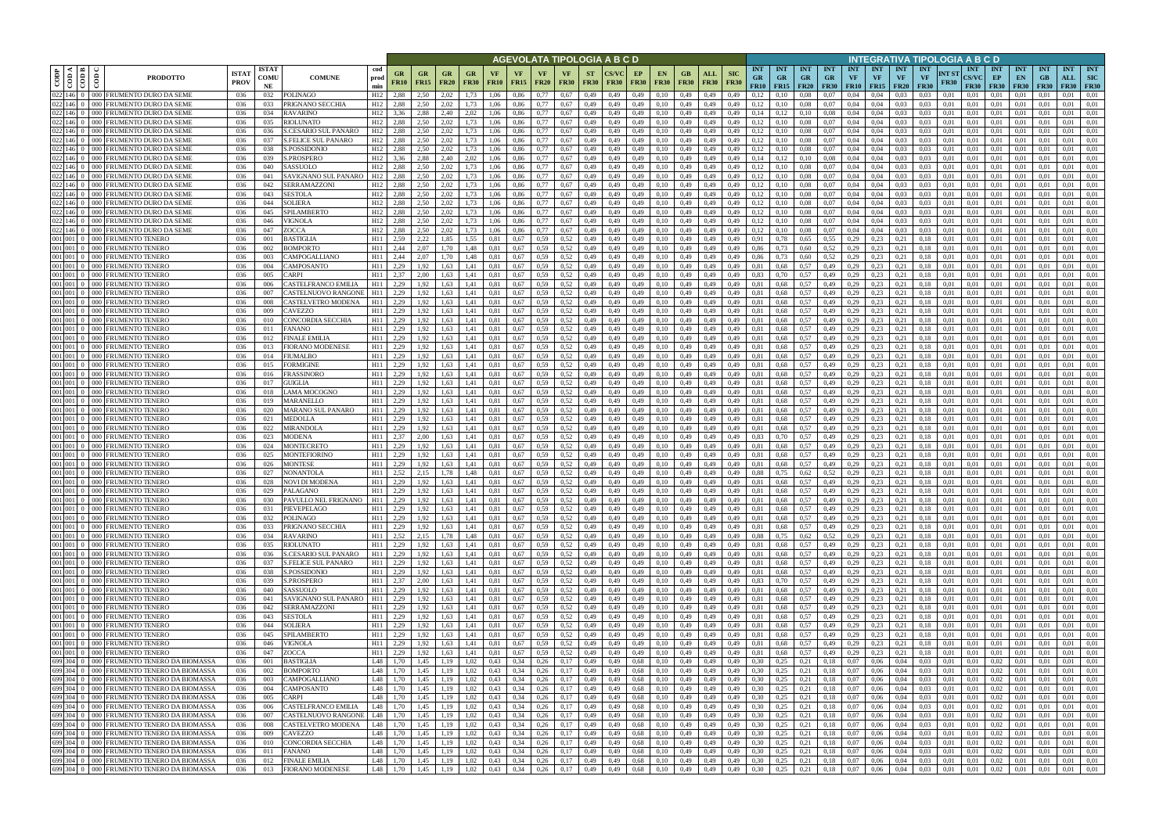|                                            |                                                                                        |                             |                            |                                                    |                        |                             |                           |                                                                   |                   |                   |                   |                            |                   |                          | AGEVOLATA TIPOLOGIA A B C D                                                                       |                            |                                              |                    |                                |                                    |                                 |                                        |                             |                                        |                  |                                        |                                        | INTEGRATIVA TIPOLOGIA A B C D   |                      |                                           |                                     |                                 |                                 |                                  |                                         |
|--------------------------------------------|----------------------------------------------------------------------------------------|-----------------------------|----------------------------|----------------------------------------------------|------------------------|-----------------------------|---------------------------|-------------------------------------------------------------------|-------------------|-------------------|-------------------|----------------------------|-------------------|--------------------------|---------------------------------------------------------------------------------------------------|----------------------------|----------------------------------------------|--------------------|--------------------------------|------------------------------------|---------------------------------|----------------------------------------|-----------------------------|----------------------------------------|------------------|----------------------------------------|----------------------------------------|---------------------------------|----------------------|-------------------------------------------|-------------------------------------|---------------------------------|---------------------------------|----------------------------------|-----------------------------------------|
| CODP<br>$rac{1}{100}$<br>8                 | <b>PRODOTTO</b>                                                                        | <b>ISTAT</b><br><b>PROV</b> | <b>ISTAT</b><br>COMU<br>NE | <b>COMUNE</b>                                      | cod<br>prod<br>min     | GR<br><b>FR10</b>           | <b>GR</b><br><b>FR15</b>  | <b>GR</b><br><b>FR20</b>                                          | GR<br><b>FR30</b> | VF<br><b>FR10</b> | VF<br><b>FR15</b> | VF<br><b>FR20</b>          | VF<br><b>FR30</b> | <b>ST</b><br><b>FR30</b> | <b>CS/VC</b><br><b>FR30</b>                                                                       | EP<br><b>FR30</b>          | EN.<br><b>FR30</b>                           | GB.<br><b>FR30</b> | ALL<br><b>FR30</b>             | <b>SIC</b><br><b>FR30</b>          | <b>INT</b><br><b>GR</b><br>FR10 | <b>INT</b><br><b>GR</b><br>$FR15$ FR20 | <b>INT</b><br><b>GR</b>     | <b>INT</b><br><b>GR</b><br><b>FR30</b> | <b>INT</b><br>VF | <b>INT</b><br><b>VF</b><br>$FR10$ FR15 | <b>INT</b><br><b>VF</b><br><b>FR20</b> | <b>INT</b><br>VF<br><b>FR30</b> | NT ST<br><b>FR30</b> | <b>INT</b><br><b>CS/VC</b><br><b>FR30</b> | <b>INT</b><br>EP<br><b>FR30</b>     | <b>INT</b><br>EN<br><b>FR30</b> | <b>INT</b><br>GB<br><b>FR30</b> | <b>INT</b><br>ALL<br><b>FR30</b> | <b>INT</b><br><b>SIC</b><br><b>FR30</b> |
| 146 0<br>$146 \quad 0$<br>000 <sub>1</sub> | 000 FRUMENTO DURO DA SEME<br>FRUMENTO DURO DA SEME                                     | 036<br>036                  | 032<br>033                 | <b>POLINAGO</b><br>PRIGNANO SECCHIA                | H12<br>H <sub>12</sub> | 2.88<br>2.88                | 2.50<br>2.50              | 2.02<br>2.02                                                      |                   | 1.06<br>1,06      | 0,86<br>0,86      | 0.77                       | 0,67<br>0,67      | 0,49<br>0,49             | 0,49<br>0,49                                                                                      | 0,49<br>0,49               | 0.10<br>0,10                                 | 0,49<br>0,49       | 0.49<br>0,49                   | 0.49<br>0,49                       | 0.12<br>0,12                    | 0.10                                   | 0.08<br>0.08                | 0.07<br>0,07                           | 0.04<br>0,04     | 0.04<br>0,04                           | 0.03<br>0.03                           | 0.03<br>0.03                    | 0.01<br>0,01         | 0.01<br>0,01                              | 0.01<br>0.01                        | 0.01<br>0,01                    | 0,01                            | 0.01<br>0.01                     | 0.01<br>0.01                            |
| 022 146 0                                  | 000 FRUMENTO DURO DA SEME                                                              | 036                         | 034                        | <b>RAVARINO</b>                                    | H <sub>12</sub>        | 3.36                        | 2,88                      | 2.40                                                              | 2,02              | 1,06              | 0,86              | 0.77                       | 0.67              | 0,49                     | 0,49                                                                                              | 0,49                       | 0,10                                         | 0,49               | 0,49                           | 0.49                               | 0,14                            | 0,12                                   | 0,10                        | 0.08                                   | 0,04             | 0,04                                   | 0.03                                   | 0.03                            | 0,01                 | 0,01                                      | 0,01                                | 0,01                            | -0.01                           | 0.01                             | 0,01                                    |
| 022 146 0                                  | 000 FRUMENTO DURO DA SEME                                                              | 036                         | 035                        | <b>RIOLUNATO</b>                                   | H12                    | 2.88                        | 2.50                      | 2.02                                                              | 1.73              | 1.06              | 0.86              | 0.77                       | 0.67              | 0,49                     | 0,49                                                                                              | 0,49                       | 0,10                                         | 0,49               | 0.49                           | 0.49                               | 0.12                            | 0.10                                   | 0.08                        | 0.07                                   | 0,04             | 0.04                                   | 0.03                                   | 0.03                            | 0.01                 | 0.01                                      | 0.01                                | 0,01                            | 0.01                            | 0.01                             | 0.01                                    |
| 022 146 0<br>ററല                           | FRUMENTO DURO DA SEME                                                                  | 036                         | 036                        | S.CESARIO SUL PANARO                               | H12                    | 2.88                        | 2.50                      | 2.02                                                              |                   | 1.06              | 0.86              | 0.77                       | 0.67              | 0,49                     | 0.49                                                                                              | 0,49                       | 0.10                                         | 0.49               | 0.49                           | 0.49                               | 0.12                            |                                        | 0.08                        | 0.07                                   | 0.04             | 0.04                                   | 0.03                                   | 0.03                            | 0.01                 | 0.01                                      | 0.01                                | 0.01                            | 0.01                            | 0.01                             | 0.01                                    |
| 022 146 0                                  | 000 FRUMENTO DURO DA SEME                                                              | 036                         | 037                        | S.FELICE SUL PANARO                                | H <sub>12</sub>        | 2.88                        | 2.50                      | 2.02                                                              |                   | 1.06              | 0.86              | 0.77                       | 0.67              | 0,49                     | 0,49                                                                                              | 0,49                       | 0,10                                         | 0,49               | 0,49                           | 0.49                               | 0.12                            | 0.10                                   | 0,08                        | 0.07                                   | 0,04             | 0,04                                   | 0.03                                   | 0.03                            | 0.01                 | 0.01                                      | 0.01                                | 0,01                            | 0.01                            | 0.01                             | 0,01                                    |
| 022 146 0<br>$022$ 146 0                   | 000 FRUMENTO DURO DA SEME<br>000 FRUMENTO DURO DA SEME                                 | -036<br>-036                | 038<br>039                 | S.POSSIDONIO<br>S.PROSPERO                         | H12<br>H12             | 2.88<br>3.36                | 2.50<br>2.88              | 2.02<br>2.40                                                      | 1.73<br>2,02      | 1.06<br>1.06      | 0.86<br>0.86      | 0.77<br>0.77               | 0.67<br>0.67      | 0.49<br>0,49             | 0.49<br>0,49                                                                                      | 0,49<br>0,49               | 0,10<br>0,10                                 | 0.49<br>0,49       | 0.49<br>0,49                   | 0.49<br>0.49                       | 0.12<br>0.14                    | 0.10<br>0,12                           | 0.08<br>0.10                | 0.07<br>0.08                           | 0.04<br>0.04     | 0.04<br>0.04                           | 0.03<br>0.03                           | 0.03<br>0.03                    | 0.01<br>0.01         | 0.01<br>0.01                              | 0.01<br>0.01                        | 0.01<br>0.01                    | 0.01<br>0.01                    | 0.01<br>0.01                     | 0.01<br>0.01                            |
| $022$ 146 0                                | 000 FRUMENTO DURO DA SEME                                                              | 036                         | 040                        | SASSUOLO                                           | H12                    | 2.88                        | 2.50                      | 2.02                                                              | 1,73              | 1,06              | 0,86              | 0.77                       | 0.67              | 0,49                     | 0.49                                                                                              | 0,49                       | 0,10                                         | 0,49               | 0,49                           | 0.49                               | 0,12                            | 0,10                                   | 0,08                        | 0,07                                   | 0.04             | 0.04                                   | 0.03                                   | 0.03                            | 0.01                 | 0.01                                      | 0,01                                | 0,01                            | 0.01                            | 0.01                             | 0,01                                    |
| 022 146 0<br>$000 -$                       | <b>FRUMENTO DURO DA SEMI</b>                                                           | 036                         | 041                        | SAVIGNANO SUL PANARO                               | H <sub>12</sub>        | 2,88                        | 2.50                      | 2.02                                                              | 1,73              | 1,06              | 0,86              | 0,77                       | 0.67              | 0,49                     | 0,49                                                                                              | 0,49                       | 0,10                                         | 0,49               | 0,49                           | 0.49                               | 0,12                            | 0,10                                   | 0,08                        | 0,07                                   | 0,04             | 0,04                                   | 0.03                                   | 0.03                            | 0.01                 | 0.01                                      | 0.01                                | 0,01                            | 0.01                            | 0.01                             | 0,01                                    |
| 022 146 0<br>000 <sub>1</sub>              | FRUMENTO DURO DA SEME                                                                  | 036                         | 042                        | SERRAMAZZONI                                       | H <sub>12</sub>        | 2.88                        | 2.50                      | 2.02                                                              | 1,73              | 1,06              | 0,86              | 0.77                       | 0.67              | 0,49                     | 0,49                                                                                              | 0,49                       | 0,10                                         | 0,49               | 0,49                           | 0.49                               | 0,12                            | 0,10                                   | 0,08                        | 0,07                                   | 0,04             | 0.04                                   | 0.03                                   | 0.03                            | 0.01                 | 0,01                                      | 0,01                                | 0,01                            | 0.01                            | 0.01                             | 0,01                                    |
| 022 146 0                                  | 000 FRUMENTO DURO DA SEME                                                              | 036                         | 043                        | SESTOLA                                            | H <sub>12</sub>        | 2,88                        | 2,50                      | 2,02                                                              | 1,73              | 1,06              | 0,86              | 0,77                       | 0.67              | 0,49                     | 0,49                                                                                              | 0,49                       | 0,10                                         | 0,49               | 0,49                           | 0,49                               | 0,12                            | 0,10                                   | 0,08                        | 0,07                                   | 0,04             | 0,04                                   | 0.03                                   | 0.03                            | 0,01                 | 0,01                                      | 0,01                                | 0,01                            | 0,01                            | 0,01                             | 0,01                                    |
| $022$ 146 0<br>$022$ 146 0                 | 000 FRUMENTO DURO DA SEME<br>000 FRUMENTO DURO DA SEME                                 | 036<br>036                  | 044<br>045                 | <b>SOLIERA</b><br>SPILAMBERTO                      | H12<br>H12             | 2.88<br>2,88                | 2.50<br>2.50              | 2.02<br>2.02                                                      | 1.73<br>1.73      | 1.06<br>1,06      | 0,86<br>0,86      | 0.77<br>0.77               | 0,67<br>0,67      | 0,49<br>0,49             | 0,49<br>0,49                                                                                      | 0.49<br>0,49               | 0,10<br>0,10                                 | 0,49<br>0,49       | 0,49<br>0,49                   | 0.49<br>0,49                       | 0,12<br>0,12                    | 0,10<br>0,10                           | 0,08<br>0,08                | 0,07<br>0,07                           | 0,04<br>0.04     | 0.04<br>0,04                           | 0.03<br>0.03                           | 0.03<br>0.03                    | 0.01<br>0,01         | 0.01<br>0.01                              | 0,01<br>0,01                        | 0,01<br>0,01                    | 0.01<br>0.01                    | 0,01<br>0,01                     | 0.01<br>0.01                            |
| $022$ 146 0                                | 000 FRUMENTO DURO DA SEME                                                              | 036                         | 046                        | VIGNOLA                                            | H12                    | 2,88                        | 2,50                      | 2.02                                                              | 1,73              | 1,06              | 0,86              | 0.77                       | 0.67              | 0,49                     | 0,49                                                                                              | 0,49                       | 0,10                                         | 0,49               | 0,49                           | 0.49                               | 0,12                            | 0,10                                   | 0,08                        | 0,07                                   | 0,04             | 0,04                                   | 0.03                                   | 0.03                            | 0,01                 | 0,01                                      | 0,01                                | 0,01                            | 0.01                            | 0,01                             | 0.01                                    |
| $022$ 146 0                                | 000 FRUMENTO DURO DA SEME                                                              | 036                         | 047                        | ZOCCA                                              | H12                    | 2.88                        | 2.50                      | 2.02                                                              | 1.73              | 1.06              | 0.86              | 0.77                       | 0.67              | 0.49                     | 0.49                                                                                              | 0.49                       | 0.10                                         | 0.49               | 0.49                           | 0.49                               | 0.12                            | 0.10                                   | 0,08                        | 0.07                                   | 0.04             | 0.04                                   | 0.03                                   | 0.03                            | 0.01                 | 0.01                                      | 0.01                                | 0.01                            | 0.01                            | 0.01                             | 0.01                                    |
| 001 001 0                                  | 000 FRUMENTO TENERO                                                                    | 036                         | 001                        | <b>BASTIGLIA</b>                                   | H11                    | 2.59                        | 2.22                      | 1.85                                                              | 1.55              | 0.81              | 0.67              | 0.59                       | 0.52              | 0,49                     | 0.49                                                                                              | 0.49                       | 0.10                                         | 0.49               | 0.49                           | 0.49                               | 0,91                            | 0.78                                   | 0,65                        | 0,55                                   | 0,29             | 0.23                                   | 0.21                                   | 0.18                            | 0.01                 | 0.01                                      | 0.01                                | 0.01                            | 0.01                            | 0.01                             | 0.01                                    |
| 001 001 0<br>001 001 0                     | 000 FRUMENTO TENERO                                                                    | 036                         | 002                        | <b>BOMPORTO</b>                                    | H11<br>H11             | 2.44<br>2.44                | 2.07                      | 1.70                                                              | 1.48              | 0.81              | 0,67              | 0.59                       | 0.52              | 0,49                     | 0.49                                                                                              | 0,49                       | 0,10                                         | 0,49               | 0.49                           | 0.49                               | 0.86                            | 0.73                                   | 0,60                        | 0.52                                   | 0,29             | 0,23                                   | 0.21                                   | 0.18                            | 0.01                 | 0.01                                      | 0,01                                | 0,01                            | 0.01                            | 0.01                             | 0.01                                    |
| 001 001 0<br>000                           | 000 FRUMENTO TENERO<br>FRUMENTO TENERO                                                 | 036<br>036                  | 003<br>004                 | CAMPOGALLIANO<br><b>CAMPOSANTO</b>                 | H11                    | 2.29                        | 2.07<br>1.92              | 1.70<br>.63                                                       | 1.48              | 0.81              | 0.67<br>0.67      | 0.59<br>0.59               | 0.52<br>0.52      | 0.49<br>0.49             | 0.49<br>0.49                                                                                      | 0.49<br>0.49               | 0.10<br>0.10                                 | 0.49<br>0.49       | 0.49<br>0.49                   | 0.49<br>0.49                       | 0.86<br>0.81                    | 0.73<br>0.68                           | 0.60<br>0.57                | 0,52<br>0,49                           | 0.29<br>0.29     | 0.23<br>0.23                           | 0.21<br>0.21                           |                                 | 0.01<br>0.01         | 0.01<br>0.01                              | 0.01<br>0.01                        | 0.01<br>0.01                    | $0.0^{\circ}$                   | 0.01<br>0.01                     | 0.01<br>0.01                            |
| 001 001 0                                  | 000 FRUMENTO TENERO                                                                    | 036                         | 005                        | <b>ARPI</b>                                        | H11                    | 2.37                        | 2.00                      | 1.63                                                              | 1.41              | 0.81              | 0,67              | 0.59                       | 0.52              | 0,49                     | 0,49                                                                                              | 0,49                       | 0,10                                         | 0,49               | 0.49                           | 0.49                               | 0.83                            | 0.70                                   | 0,57                        | 0,49                                   | 0,29             | 0,23                                   | 0,21                                   | 0.18                            | 0.01                 | 0.01                                      | 0,01                                | 0,01                            | 0.0                             | 0.01                             | 0.01                                    |
| 001 001 0                                  | 000 FRUMENTO TENERO                                                                    | 036                         | 006                        | <b>CASTELFRANCO EMILIA</b>                         | H11                    | 2.29                        | 1.92                      | 1.63                                                              | 1.41              | 0.81              | 0.67              | 0.59                       | 0.52              | 0,49                     | 0.49                                                                                              | 0,49                       | 0,10                                         | 0,49               | 0.49                           | 0.49                               | 0.81                            | 0.68                                   | 0,57                        | 0,49                                   | 0,29             | 0.23                                   | 0.21                                   | 0.18                            | 0.01                 | 0.01                                      | 0.01                                | 0.01                            |                                 | 0.01                             | 0.01                                    |
|                                            | 001 001 0 000 FRUMENTO TENERO                                                          | 036                         | 007                        | CASTELNUOVO RANGONE                                | H11                    | 2.29                        | 1,92                      | 1.63                                                              | 1.41              | 0.81              | 0,67              | 0.59                       | 0.52              | 0,49                     | 0,49                                                                                              | 0,49                       | 0,10                                         | 0,49               | 0,49                           | 0,49                               | 0,81                            | 0,68                                   | 0,57                        | 0,49                                   | 0,29             | 0.23                                   | 0,21                                   | 0,18                            | 0,01                 | 0,01                                      | 0.01                                | 0.01                            | 0.01                            | 0.01                             | 0.01                                    |
| 001 001 0<br>001 001 0                     | 000 FRUMENTO TENERO                                                                    | 036                         | 008                        | CASTELVETRO MODENA                                 | H11                    | 2,29                        | 1,92                      | 1.63<br>.63                                                       | 1.41              |                   | 0,67              | 0.59                       | 0.52              | 0,49                     | 0,49                                                                                              | 0,49                       | 0,10                                         | 0,49               | 0.49                           | 0,49                               | 0.81<br>0.81                    | 0,68                                   | 0,57                        | 0,49                                   | 0,29             | 0,23                                   | 0.21                                   |                                 | 0.01                 | 0,01                                      | 0,01                                | 0,01                            |                                 | 0.01<br>0.01                     | 0.01                                    |
| 001 001 0                                  | 000 FRUMENTO TENERO<br>000 FRUMENTO TENERO                                             | 036<br>036                  | 009<br>010                 | CAVEZZO<br>CONCORDIA SECCHIA                       | H11<br>H11             | 2,29<br>2,29                | 1.92                      | .63                                                               | 1.41<br>l.41      |                   | 0,67<br>0.67      | 0.59<br>0.59               | 0.52<br>0.52      | 0,49<br>0,49             | 0,49<br>0.49                                                                                      | 0,49<br>0,49               | 0.10<br>0.10                                 | 0,49<br>0,49       | 0.49<br>0.49                   | 0,49<br>0.49                       | 0.81                            | 0,68<br>0.68                           | 0,57<br>0,57                | 0,49<br>0,49                           | 0,29<br>0,29     | 0.23<br>0.23                           | 0.21<br>0.21                           |                                 | 0.01<br>0.01         | 0,01<br>0.01                              | 0.01<br>0.01                        | 0,01<br>0.01                    | 0.01                            | 0.01                             | 0.01<br>0.01                            |
| 001 001 0                                  | 000 FRUMENTO TENERO                                                                    | 036                         | 011                        | <b>ANANO</b>                                       | H11                    | 2,29                        | 1,92                      | 1,63                                                              | 1,41              | 0.81              | 0,67              | 0,59                       | 0,52              | 0,49                     | 0,49                                                                                              | 0,49                       | 0,10                                         | 0,49               | 0,49                           | 0,49                               | 0.81                            | 0,68                                   | 0,57                        | 0,49                                   | 0,29             | 0,23                                   | 0,21                                   | 0,18                            | 0,01                 | 0,01                                      | 0,01                                | 0,01                            | 0,01                            | 0,01                             | 0,01                                    |
| 001 001 0                                  | 000 FRUMENTO TENERO                                                                    | 036                         | 012                        | <b>FINALE EMILIA</b>                               | H11                    | 2.29                        | 1.92                      | 1.63                                                              | 1.41              | 0.81              | 0.67              | 0.59                       | 0.52              | 0,49                     | 0.49                                                                                              | 0,49                       | 0.10                                         | 0.49               | 0.49                           | 0.49                               | 0.81                            | 0.68                                   | 0,57                        | 0,49                                   | 0.29             | 0.23                                   | 0.21                                   | 0.18                            | 0.01                 | 0.01                                      | 0.01                                | 0,01                            | 0.01                            | 0.01                             | 0.01                                    |
| 001 001 0                                  | 000 FRUMENTO TENERO                                                                    | 036                         | 013                        | FIORANO MODENESE                                   | H11                    | 2,29                        | 1,92                      | 1.63                                                              | 1,41              | 0.81              | 0,67              | 0.59                       | 0.52              | 0,49                     | 0,49                                                                                              | 0,49                       | 0,10                                         | 0,49               | 0,49                           | 0.49                               | 0.81                            | 0.68                                   | 0,57                        | 0,49                                   | 0,29             | 0.23                                   | 0,21                                   | 0.18                            | 0.01                 | 0.01                                      | 0.01                                | 0,01                            | 0.01                            | 0.01                             | 0.01                                    |
| 001 001 0<br>001 001 0                     | 000 FRUMENTO TENERO<br>000 FRUMENTO TENERO                                             | 036<br>036                  | 014<br>015                 | FIUMALBO<br>FORMIGINE                              | H11<br>H11             | 2,29<br>2,29                | 1,92<br>1.92              | 1.63<br>1.63                                                      | 1.41<br>1.41      | 0.81<br>0.81      | 0.67<br>0.67      | 0.59<br>0.59               | 0.52<br>0.52      | 0,49<br>0,49             | 0.49<br>0,49                                                                                      | 0,49<br>0,49               | 0,10<br>0,10                                 | 0,49<br>0,49       | 0.49<br>0,49                   | 0.49<br>0.49                       | 0.81<br>0.81                    | 0.68<br>0.68                           | 0,57<br>0,57                | 0,49<br>0,49                           | 0,29<br>0,29     | 0,23<br>0,23                           | 0.21<br>0.21                           | 0.18<br>0.18                    | 0.01<br>0.01         | 0.01<br>0.01                              | 0.01<br>0.01                        | 0,01<br>0.01                    | -0.01<br>0.01                   | 0.01<br>0.01                     | 0.01<br>0.01                            |
| 001 001 0                                  | 000 FRUMENTO TENERO                                                                    | 036                         | 016                        | FRASSINORO                                         | H11                    | 2,29                        | 1.92                      | 1.63                                                              | 1.41              | 0.81              | 0.67              | 0.59                       | 0.52              | 0.49                     | 0.49                                                                                              | 0,49                       | 0,10                                         | 0,49               | 0.49                           | 0.49                               | 0.81                            | 0.68                                   | 0.57                        | 0,49                                   | 0,29             | 0.23                                   | 0.21                                   | 0.18                            | 0.01                 | 0.01                                      | 0.01                                | 0.01                            | 0.01                            | 0.01                             | 0.01                                    |
| 001 001 0                                  | 000 FRUMENTO TENERO                                                                    | 036                         | 017                        | GUIGLIA                                            | H11                    | 2,29                        | 1,92                      | 1.63                                                              | 1,41              | 0,81              | 0,67              | 0.59                       | 0.52              | 0,49                     | 0,49                                                                                              | 0,49                       | 0,10                                         | 0,49               | 0,49                           | 0,49                               | 0.81                            | 0,68                                   | 0,57                        | 0,49                                   | 0,29             | 0,23                                   | 0,21                                   | 0.18                            | 0,01                 | 0,01                                      | 0,01                                | 0,01                            | 0.01                            | 0.01                             | 0,01                                    |
| 001 001 0                                  | 000 FRUMENTO TENERO                                                                    | 036                         | 018                        | LAMA MOCOGNO                                       | H11                    | 2,29                        | 1.92                      | 1.63                                                              | 1,41              | 0.81              | 0,67              | 0.59                       | 0.52              | 0,49                     | 0.49                                                                                              | 0.49                       | 0,10                                         | 0,49               | 0,49                           | 0.49                               | 0.81                            | 0.68                                   | 0.57                        | 0,49                                   | 0,29             | 0.23                                   | 0.21                                   | 0.18                            | 0.01                 | 0.01                                      | 0,01                                | 0.01                            | 0.01                            | 0.01                             | 0.01                                    |
| 001 001 0                                  | 000 FRUMENTO TENERO                                                                    | 036                         | 019                        | MARANELLO                                          | H11                    | 2,29                        | 1,92                      | 1.63                                                              | 1,41              | 0,81              | 0,67              | 0.59                       | 0.52              | 0,49                     | 0,49                                                                                              | 0,49                       | 0,10                                         | 0,49               | 0,49                           | 0,49                               | 0.81                            | 0.68                                   | 0,57                        | 0,49                                   | 0,29             | 0,23                                   | 0,21                                   | 0,18                            | 0,01                 | 0,01                                      | 0,01                                | 0,01                            | 0.01                            | 0.01                             | 0,01                                    |
| 001 001 0<br>001 001 0                     | 000 FRUMENTO TENERO<br>000 FRUMENTO TENERO                                             | 036<br>036                  | 020<br>021                 | MARANO SUL PANARO<br><b>MEDOLLA</b>                | H11<br>H11             | 2,29<br>2,29                | 1,92<br>1.92              | 1,63<br>1.63                                                      | 1,41<br>1,41      | 0.81<br>0,81      | 0,67<br>0,67      | 0.59<br>0.59               | 0,52<br>0.52      | 0,49<br>0,49             | 0,49<br>0,49                                                                                      | 0,49<br>0,49               | 0,10<br>0,10                                 | 0,49<br>0,49       | 0,49<br>0,49                   | 0,49<br>0,49                       | 0.81<br>0.81                    | 0,68<br>0.68                           | 0,57<br>0,57                | 0,49<br>0,49                           | 0,29<br>0,29     | 0,23<br>0,23                           | 0,21<br>0,21                           | 0,18<br>0.18                    | 0,01<br>0,01         | 0,01<br>0.01                              | 0,01<br>0,01                        | 0,01<br>0,01                    | 0,01<br>0.01                    | 0,01<br>0,01                     | 0,01<br>0.01                            |
| 001 001 0                                  | 000 FRUMENTO TENERO                                                                    | 036                         | 022                        | <b>MIRANDOLA</b>                                   | H11                    | 2,29                        | 1.92                      | 1,63                                                              | 1,41              | 0,81              | 0,67              | 0.59                       | 0.52              | 0,49                     | 0,49                                                                                              | 0,49                       | 0,10                                         | 0,49               | 0,49                           | 0,49                               | 0,81                            | 0.68                                   | 0,57                        | 0,49                                   | 0,29             | 0,23                                   | 0,21                                   | 0.18                            | 0.01                 | 0,01                                      | 0,01                                | 0,01                            | 0.01                            | 0,01                             | 0.01                                    |
| 001 001 0                                  | 000 FRUMENTO TENERO                                                                    | 036                         | 023                        | <b>MODENA</b>                                      | H11                    | 2,37                        | 2,00                      | 1,63                                                              | 1,41              | 0,81              | 0,67              | 0.59                       | 0.52              | 0,49                     | 0,49                                                                                              | 0,49                       | 0,10                                         | 0,49               | 0,49                           | 0.49                               | 0.83                            | 0,70                                   | 0,57                        | 0,49                                   | 0,29             | 0,23                                   | 0,21                                   | 0.18                            | 0,01                 | 0.01                                      | 0,01                                | 0,01                            | 0.01                            | 0,01                             | 0.01                                    |
| 001 001 0                                  | 000 FRUMENTO TENERO                                                                    | 036                         | 024                        | <b>MONTECRETO</b>                                  | H11                    | 2,29                        | 1.92                      | 1.63                                                              | 1.41              | 0.81              | 0,67              | 0.59                       | 0.52              | 0,49                     | 0.49                                                                                              | 0.49                       | 0.10                                         | 0.49               | 0.49                           | 0.49                               | 0.81                            | 0.68                                   | 0,57                        | 0,49                                   | 0,29             | 0,23                                   | 0.21                                   | 0.18                            | 0.01                 | 0.01                                      | 0.01                                | 0.01                            | 0.01                            | 0.01                             | 0.01                                    |
| 001 001 0<br>$000$ $\Gamma$                | <b>FRUMENTO TENERO</b><br>001 001 0 000 FRUMENTO TENERO                                | 036<br>036                  | 025<br>026                 | MONTEFIORINO<br><b>MONTESE</b>                     | H11<br>H11             | 2,29<br>2,29                | 1.92<br>1,92              | 1.63<br>1,63                                                      | 1.41              | 0.81              | 0.67<br>0,67      | 0.59<br>0.59               | 0.52<br>0.52      | 0,49<br>0,49             | 0.49<br>0,49                                                                                      | 0.49<br>0,49               | 0.10                                         | 0.49<br>0,49       | 0.49                           | 0.49<br>0.49                       | 0.81<br>0.81                    | 0.68                                   | 0,57<br>0,57                | 0.49<br>0,49                           | 0,29<br>0,29     | 0.23<br>0,23                           | 0.21<br>0,21                           | 0.18<br>0.18                    | 0.01<br>0.01         | 0.01<br>0.01                              | 0.01<br>0,01                        | 0.01<br>0,01                    | 0.01<br>0.01                    | 0.01<br>0,01                     | 0.01<br>0,01                            |
| 001 001 0                                  | 000 FRUMENTO TENERO                                                                    | 036                         | 027                        | NONANTOLA                                          | H11                    | 2.52                        | 2.15                      | 1.78                                                              | 1,41<br>1.48      | 0,81<br>0.81      | 0.67              | 0.59                       | 0.52              | 0.49                     | 0.49                                                                                              | 0.49                       | 0,10<br>0.10                                 | 0.49               | 0,49<br>0.49                   | 0.49                               | 0.88                            | 0.68<br>0.75                           | 0.62                        | 0.52                                   | 0.29             | 0.23                                   | 0.21                                   |                                 | 0.01                 | 0.01                                      | 0.01                                | 0.01                            | 0.01                            | 0.01                             | 0.01                                    |
|                                            | 001 001 0 000 FRUMENTO TENERO                                                          | 036                         | 028                        | <b>NOVI DI MODENA</b>                              | H11                    | 2,29                        | 1,92                      | 1.63                                                              | 1.41              | 0.81              | 0.67              | 0.59                       | 0.52              | 0,49                     | 0,49                                                                                              | 0,49                       | 0,10                                         | 0.49               | 0,49                           | 0.49                               | 0.81                            | 0.68                                   | 0,57                        | 0,49                                   | 0,29             | 0.23                                   | 0,21                                   | 0.18                            | 0.01                 | 0.01                                      | 0.01                                | 0.01                            | 0.01                            | 0.01                             | 0.01                                    |
|                                            | 001 001 0 000 FRUMENTO TENERO                                                          | 036                         | 029                        | <b>PALAGANO</b>                                    | H11                    | 2,29                        | 1,92                      | 1.63                                                              | 1.41              | 0.81              | 0.67              | 0.59                       | 0.52              | 0.49                     | 0.49                                                                                              | 0.49                       | 0.10                                         | 0.49               | 0.49                           | 0.49                               | 0.81                            | 0.68                                   | 0.57                        | 0.49                                   | 0.29             | 0.23                                   | 0.21                                   | 0.18                            | 0.01                 | 0.01                                      | 0.01                                | 0.01                            | 0.01                            | 0.01                             | 0.01                                    |
|                                            | 001 001 0 000 FRUMENTO TENERO                                                          | 036                         | 030                        | PAVULLO NEL FRIGNANO   H11                         |                        | 2,29                        | 1,92                      | $1,63$ 1.41                                                       |                   | 0,81              | 0,67              | 0.59                       | 0,52              | 0,49                     | 0,49                                                                                              | 0,49                       | 0,10                                         | 0,49               | 0,49                           | 0,49                               | 0,81                            | 0,68                                   | 0,57                        | 0,49                                   | 0,29             | 0,23                                   | 0,21                                   | 0,18                            | 0,01                 | 0,01                                      | 0,01                                | 0,01                            | 0,01                            | 0,01                             | 0,01                                    |
|                                            | 001 001 0 000 FRUMENTO TENERO<br>001 001 0 000 FRUMENTO TENERO                         | 036<br>036                  | 031<br>032                 | PIEVEPELAGO<br><b>POLINAGO</b>                     | H11<br>H11             | 2,29<br>2,29                | 1,92<br>1,92              | 1,63<br>1,63 1,41                                                 | 1,41              | 0.81<br>0,81      | 0,67<br>0,67      | 0,59<br>0,59               | 0,52<br>0,52      | 0,49<br>0,49             | 0,49<br>0,49                                                                                      | 0,49<br>0,49               | 0,10<br>0,10                                 | 0,49<br>0,49       | 0,49<br>0,49                   | 0,49<br>0,49                       | 0,81<br>0,81                    | 0,68<br>0,68                           | 0,57<br>0,57                | 0,49<br>0,49                           |                  | $0,29$ 0.23<br>$0,29$ $0,23$           | 0,21<br>0,21                           | 0,18<br>0,18                    | 0,01<br>0,01         | 0,01<br>0,01                              | 0,01<br>0,01                        | 0,01<br>0,01                    | 0,01<br>0,01                    | 0,01<br>0,01                     | 0,01<br>0,01                            |
|                                            | 001 001 0 000 FRUMENTO TENERO                                                          | 036                         | 033                        | PRIGNANO SECCHIA                                   | H11                    | 2,29                        | 1,92                      | $1,63$ $1,41$                                                     |                   | 0,81              | 0,67              | 0,59                       | 0,52              | 0,49                     |                                                                                                   | $0,49$ $0,49$              | 0,10                                         |                    | $0,49$ $0,49$                  | 0,49                               | 0,81                            | 0,68                                   | 0,57                        | 0,49                                   |                  | $0,29$ $0,23$                          | 0,21                                   | 0,18                            | 0,01                 | 0,01                                      | 0,01                                | 0,01                            | 0,01                            | 0.01                             | 0,01                                    |
|                                            | 001 001 0 000 FRUMENTO TENERO                                                          | 036                         | 034                        | RAVARINO                                           | H11                    | 2,52                        | 2,15                      | 1,78                                                              | 1,48              | 0,81              | 0,67              | 0,59                       | 0,52              | 0,49                     | 0,49                                                                                              | 0,49                       | 0,10                                         | 0,49               | 0,49                           | 0,49                               | 0,88                            | 0,75                                   | 0,62                        | 0,52                                   |                  | $0,29$ 0,23                            | 0,21                                   | 0,18                            | 0,01                 | 0,01                                      | 0.01                                | 0,01                            | 0,01                            | 0.01                             | 0,01                                    |
|                                            | 001 001 0 000 FRUMENTO TENERO                                                          | 036                         | 035                        | <b>RIOLUNATO</b>                                   | H11                    | 2,29                        | 1,92                      | 1,63                                                              | 1,41              | 0,81              | 0,67              | 0,59                       | 0,52              | 0,49                     |                                                                                                   | 0,49 0,49                  | 0,10                                         |                    | $0,49$ $0,49$                  | 0,49                               | 0,81                            | 0,68                                   | 0,57                        | 0,49                                   |                  | $0,29$ 0.23                            | 0,21                                   | 0,18                            | 0,01                 | 0,01                                      | 0,01                                | $0,\!01$                        | 0,01                            | 0.01                             | 0,01                                    |
|                                            | 001 001 0 000 FRUMENTO TENERO<br>001 001 0 000 FRUMENTO TENERO                         | 036<br>036                  | 036<br>037                 | S.CESARIO SUL PANARO<br><b>S.FELICE SUL PANARO</b> |                        | H <sub>11</sub> 2,29        | 1,92<br>$H11$ 2,29 1,92   | $1,63$ 1,41<br>1,63 1,41                                          |                   | 0.81<br>0,81      | 0,67<br>0,67      | 0.59<br>0.59               | 0,52              | 0,49<br>$0,52$ 0.49      |                                                                                                   | $0,49$ $0,49$<br>0,49 0,49 | 0,10<br>0,10                                 |                    | 0,49 0,49<br>0,49 0,49         | 0,49<br>0,49                       | 0,81<br>0,81                    | 0,68<br>0.68                           | 0,57<br>0,57                | 0,49<br>0,49                           |                  | $0,29$ 0.23<br>$0,29$ 0.23             | 0,21<br>0,21                           | 0,18<br>0,18                    | 0,01<br>0,01         | 0.01<br>0,01                              | $0.01 \qquad 0.01$<br>$0,01$ $0,01$ |                                 | 0,01<br>0,01                    | 0.01                             | $0,01$ $0,01$<br>0,01                   |
|                                            | 001 001 0 000 FRUMENTO TENERO                                                          | 036                         | 038                        | S.POSSIDONIO                                       |                        |                             | H <sub>11</sub> 2,29 1,92 | $1,63$ $1,41$ $0,81$                                              |                   |                   | 0,67              |                            | 0,59 0,52         | 0,49                     |                                                                                                   | 0,49 0,49                  | 0,10                                         |                    | 0,49 0,49                      | 0,49                               | 0,81                            | 0,68                                   | 0,57                        | 0,49                                   |                  | $0,29$ $0,23$                          | 0,21                                   | 0,18                            | 0,01                 | 0,01                                      | $0,01$ $0,01$                       |                                 | 0,01                            | 0,01                             | 0,01                                    |
|                                            | 001 001 0 000 FRUMENTO TENERO                                                          | 036                         | 039                        | S.PROSPERO                                         |                        | $H11 \ 2,37$                | 2,00                      | $1,63$ 1,41                                                       |                   | 0,81              | 0,67              | 0,59                       | 0,52              | 0,49                     | 0,49                                                                                              | 0,49                       | 0,10                                         |                    | $0,49$ $0,49$                  | 0,49                               | 0,83                            | 0,70                                   | 0,57                        | 0,49                                   |                  | $0,29$ $0,23$                          | 0,21                                   | 0,18                            | 0,01                 | 0,01                                      | 0,01                                | 0,01                            | 0,01                            | 0.01                             | 0,01                                    |
|                                            | 001 001 0 000 FRUMENTO TENERO                                                          | 036                         | 040                        | SASSUOLO                                           | H11                    | 2,29                        | 1,92                      | $1,63$ 1,41                                                       |                   | 0,81              | 0,67              | 0,59                       | 0,52              | 0,49                     | 0,49                                                                                              | 0,49                       | 0,10                                         | 0,49               | 0,49                           | 0,49                               | 0.81                            | 0,68                                   | 0,57                        | 0,49                                   | 0,29             | 0,23                                   | 0,21                                   | 0,18                            | 0,01                 | 0,01                                      | 0,01                                | 0,01                            | 0,01                            | 0,01                             | 0,01                                    |
|                                            | 001 001 0 000 FRUMENTO TENERO<br>001 001 0 000 FRUMENTO TENERO                         | 036                         | 041                        | SAVIGNANO SUL PANARO                               | H11                    | 2,29                        | 1,92                      | $1,63$ $1,41$                                                     |                   | 0,81              | 0,67              | 0,59                       | 0,52              | 0,49                     | 0,49                                                                                              | 0,49                       | 0,10                                         |                    | 0,49 0,49                      | 0,49                               | 0,81                            | 0,68                                   | 0,57                        | 0,49                                   | 0,29             | 0,23                                   | 0,21                                   | 0,18                            | 0,01                 | 0,01                                      | $0,01$ $0,01$                       |                                 | 0,01                            | 0,01                             | 0,01                                    |
|                                            | 001 001 0 000 FRUMENTO TENERO                                                          | 036<br>036                  | 042<br>043                 | SERRAMAZZONI<br><b>SESTOLA</b>                     |                        | H11 2,29<br>$H11$ 2,29 1,92 | 1,92                      | $1,63$ $1,41$<br>$1,63$ $1,41$ 0.81                               |                   | 0,81              | 0,67<br>0,67      | 0,59<br>0,59               | 0,52<br>0,52      | 0,49<br>0,49             | 0,49                                                                                              | 0,49<br>$0,49$ $0,49$      | 0,10<br>0,10                                 |                    | $0,49$ $0,49$<br>$0,49$ $0,49$ | 0,49<br>0,49                       | 0,81<br>0,81                    | 0,68<br>0,68                           | 0,57<br>0,57                | 0,49<br>0,49                           |                  | $0,29$ $0,23$<br>$0,29$ $0,23$         | 0,21<br>0,21                           | 0,18<br>0,18                    | 0,01<br>0,01         | 0,01<br>0,01                              | $0,01$ $0,01$<br>$0,01$ $0,01$      |                                 | 0,01<br>0,01                    | 0,01<br>0,01                     | 0,01<br>0,01                            |
|                                            | 001 001 0 000 FRUMENTO TENERO                                                          | 036                         | 044                        | <b>SOLIERA</b>                                     | H11                    | 2,29                        | 1,92                      | $1,63$ $1,41$                                                     |                   | 0,81              | 0,67              | $0,59$ $0,52$              |                   | 0,49                     | 0,49                                                                                              | 0,49                       | 0,10                                         |                    | $0,49$ $0,49$                  | 0,49                               | 0,81                            | 0,68                                   | 0,57                        | 0,49                                   |                  | $0,29$ $0,23$                          | 0,21                                   | 0,18                            | 0,01                 | 0,01                                      | 0,01                                | 0,01                            | 0,01                            | 0,01                             | 0,01                                    |
|                                            | 001 001 0 000 FRUMENTO TENERO                                                          | 036                         | 045                        | SPILAMBERTO                                        |                        | $H11$ 2,29 1,92             |                           | $1,63$ $1,41$ 0.81                                                |                   |                   | 0,67              | $0.59 \quad 0.52$          |                   | 0,49                     | 0,49                                                                                              | 0,49                       | 0,10                                         |                    | $0,49$ $0,49$                  | 0,49                               | 0.81                            | 0,68                                   | 0,57                        | 0,49                                   |                  | $0,29$ $0,23$                          | 0,21                                   | 0,18                            | 0,01                 | 0.01                                      | $0,01$ $0,01$                       |                                 | 0.01                            | 0,01                             | 0,01                                    |
|                                            | 001 001 0 000 FRUMENTO TENERO                                                          | 036                         | 046                        | <b>VIGNOLA</b>                                     |                        | H <sub>11</sub> 2,29 1,92   |                           | $1,63$ $1,41$ 0.81                                                |                   |                   | 0,67              | 0,59 0,52                  |                   | 0,49                     |                                                                                                   | 0,49 0,49                  | 0,10                                         |                    | $0,49$ $0,49$                  | 0,49                               | 0.81                            | 0,68                                   | 0,57                        | 0,49                                   |                  | $0,29$ $0,23$                          | 0,21                                   | 0,18                            | 0,01                 | 0,01                                      | $0,01$ $0,01$                       |                                 | 0.01                            | 0,01                             | 0,01                                    |
|                                            | 001 001 0 000 FRUMENTO TENERO                                                          | 036                         | 047                        | ZOCCA                                              |                        | $H11$ 2,29 1,92             |                           | $1,63$ $1,41$ 0.81                                                |                   |                   | 0,67              | $0,59$ $0,52$              |                   | 0,49                     | 0,49                                                                                              | $0,49$ 0,10                |                                              |                    | 0,49 0,49                      | 0,49                               | 0,81 0,68                       |                                        | 0,57                        | 0,49                                   |                  | $0,29$ $0,23$                          | 0,21                                   | 0,18                            | 0,01                 | 0,01                                      | $0,01$ $0,01$                       |                                 | 0,01                            | 0,01                             | 0,01                                    |
|                                            | 699 304 0 000 FRUMENTO TENERO DA BIOMASSA<br>699 304 0 000 FRUMENTO TENERO DA BIOMASSA | 036<br>036                  | 001<br>002                 | <b>BASTIGLIA</b><br><b>BOMPORTO</b>                | L48<br>L48             | 1,70<br>1,70                | 1,45<br>1,45              | $1,19$ 1,02 0,43<br>$1,19$ 1,02 0,43                              |                   |                   | 0,34<br>0,34      | $0,26$ 0,17<br>$0,26$ 0.17 |                   | 0,49<br>0,49             |                                                                                                   |                            | $0,49$ $0,68$ $0,10$<br>$0,49$ $0,68$ $0,10$ |                    | 0,49 0,49<br>0,49 0,49         | 0,49<br>0,49                       | $0,30$ $0,25$                   | $0,30$ 0,25 0,21                       | 0,21                        | 0,18<br>0,18                           |                  | $0.07\qquad 0.06$<br>$0,07$ 0.06       | 0,04<br>0,04                           | 0,03<br>0,03                    | 0,01<br>0,01         | 0.01<br>0,01                              | $0,02$ 0.01<br>$0,02$ 0.01          |                                 | 0,01<br>0,01                    | 0,01<br>0,01                     | 0,01<br>0,01                            |
|                                            | 699 304 0 000 FRUMENTO TENERO DA BIOMASSA                                              | 036                         | 003                        | CAMPOGALLIANO                                      | L48                    | 1,70                        | 1,45                      | $1,19$ 1,02 0,43                                                  |                   |                   | 0,34              | $0,26$ 0.17                |                   | 0,49                     |                                                                                                   | 0,49 0,68                  | 0,10                                         |                    | $0,49$ $0,49$                  | 0,49                               |                                 | $0,30$ $0,25$                          | 0,21                        | 0,18                                   |                  | $0,07$ 0.06                            | 0,04                                   | 0,03                            | 0,01                 | 0,01                                      | $0,02$ 0.01                         |                                 | 0.01                            | 0,01                             | 0,01                                    |
|                                            | 699 304 0 000 FRUMENTO TENERO DA BIOMASSA                                              | 036                         | 004                        | CAMPOSANTO                                         | L48                    | 1,70                        | 1,45                      | $1,19$ $1,02$ $0,43$                                              |                   |                   | 0,34              | $0,26$ $0,17$              |                   | 0,49                     |                                                                                                   | 0,49 0,68                  | 0,10                                         |                    | 0,49 0,49                      | 0,49                               |                                 | $0,30$ $0,25$ $0,21$                   |                             | 0,18                                   |                  | $0,07$ 0.06                            | 0,04                                   | 0,03                            | 0,01                 | 0,01                                      | $0,02$ 0.01                         |                                 | 0,01                            | 0.01                             | 0,01                                    |
|                                            | 699 304 0 000 FRUMENTO TENERO DA BIOMASSA                                              | 036                         | 005                        | CARPI                                              | L48                    | 1,70                        | 1,45                      | $1,19$ $1,02$ $0,43$                                              |                   |                   | 0,34              |                            | $0,26$ $0,17$     | 0,49                     |                                                                                                   | 0,49 0,68                  | 0,10                                         |                    | 0,49 0,49                      | 0,49                               |                                 | $0,30$ $0,25$ $0,21$                   |                             | 0,18                                   |                  | $0,07$ 0.06                            | 0,04                                   | 0,03                            | 0,01                 | 0.01                                      | $0,02$ 0.01                         |                                 | 0.01                            | 0,01                             | 0,01                                    |
|                                            | 699 304 0 000 FRUMENTO TENERO DA BIOMASSA<br>699 304 0 000 FRUMENTO TENERO DA BIOMASSA | 036<br>036                  | 006<br>007                 | CASTELFRANCO EMILIA<br>CASTELNUOVO RANGONE         | L48<br>L48             | 1,70<br>1,70                | 1,45<br>1,45              | $1,19$ 1,02<br>1,19                                               | 1,02              | 0,43<br>0.43      | 0,34<br>0,34      | 0,26<br>0,26               | 0,17<br>0,17      | 0,49<br>0,49             | 0,49<br>0,49                                                                                      | 0,68<br>0,68               | 0,10<br>0,10                                 | 0,49               | $0,49$ $0,49$<br>0,49          | 0,49<br>0,49                       | 0,30<br>0,30                    | 0,25<br>0,25                           | 0,21<br>0,21                | 0,18<br>0,18                           | 0,07             | $0,07$ 0,06<br>0,06                    | 0,04<br>0,04                           | 0,03<br>0,03                    | 0,01<br>0,01         | 0,01<br>0,01                              | $0,02$ 0.01<br>0,02                 | 0,01                            | 0,01<br>0,01                    | 0,01<br>0,01                     | 0,01<br>0.01                            |
|                                            | 699 304 0 000 FRUMENTO TENERO DA BIOMASSA                                              | 036                         | 008                        | CASTELVETRO MODENA                                 | L48                    | 1,70                        | 1,45                      | 1,19                                                              | 1,02              | 0,43              | 0,34              | 0,26                       | 0,17              | 0,49                     | 0,49                                                                                              | 0,68                       | 0,10                                         | 0,49               | 0,49                           | 0,49                               | 0,30                            | 0,25                                   | 0,21                        | 0,18                                   |                  | $0,07$ 0.06                            | 0,04                                   | 0,03                            | 0,01                 | 0,01                                      | 0,02                                | 0,01                            | 0,01                            | 0,01                             | 0,01                                    |
|                                            | 699 304 0 000 FRUMENTO TENERO DA BIOMASSA                                              | 036                         | 009                        | CAVEZZO                                            | L48                    | 1,70                        | 1,45                      | 1,19 1,02                                                         |                   | 0,43              | 0,34              | $0,26$ 0.17                |                   | 0,49                     |                                                                                                   | 0,49 0,68                  | 0,10                                         |                    | 0,49 0,49                      | 0,49                               | 0,30                            | $0,25$ $0,21$                          |                             | 0,18                                   |                  | $0,07$ 0.06                            | 0,04                                   | 0,03                            | 0,01                 | 0,01                                      | $0,02$ 0.01                         |                                 | 0,01                            | 0,01                             | 0,01                                    |
|                                            | 699 304 0 000 FRUMENTO TENERO DA BIOMASSA                                              | 036                         | 010                        | CONCORDIA SECCHIA                                  | L48                    | 1,70                        |                           | $1,45$ 1,19 1,02 0,43                                             |                   |                   | 0,34              | $0,26$ $0,17$              |                   | 0,49                     |                                                                                                   | 0,49 0,68                  | 0,10                                         |                    | 0,49 0,49                      | 0,49                               |                                 | $0,30$ $0,25$ $0,21$                   |                             | 0,18                                   |                  | $0,07$ 0.06                            | 0,04                                   | 0,03                            | 0,01                 | 0,01                                      | $0,02$ $0,01$                       |                                 | 0,01                            | 0.01                             | 0,01                                    |
|                                            | 699 304 0 000 FRUMENTO TENERO DA BIOMASSA                                              | 036                         | 011                        | <b>FANANO</b>                                      | L48                    | 1,70                        |                           | $1,45$ $1,19$ $1,02$ $0,43$                                       |                   |                   | 0,34              | $0,26$ 0,17 0,49           |                   |                          |                                                                                                   |                            | $0,49$ $0,68$ $0,10$                         |                    | 0,49 0,49                      | $0,49$ $0,30$ $0,25$ $0,21$ $0,18$ |                                 |                                        |                             |                                        |                  | $0,07$ 0.06                            | 0,04                                   | 0,03                            | 0,01                 | 0,01                                      | $0,02$ $0,01$                       |                                 | 0,01                            | 0.01                             | 0,01                                    |
|                                            | 699 304 0 000 FRUMENTO TENERO DA BIOMASSA<br>699 304 0 000 FRUMENTO TENERO DA BIOMASSA | 036<br>036                  | 012<br>013                 | <b>FINALE EMILIA</b><br><b>FIORANO MODENESE</b>    |                        |                             |                           | L48 1,70 1,45 1,19 1,02 0,43<br>L48 1,70 1,45 1,19 1,02 0,43 0,34 |                   |                   | 0,34              | $0,26$ $0,17$              |                   | 0,49                     | $0.26$ $0.17$ $0.49$ $0.49$ $0.68$ $0.10$ $0.49$ $0.49$ $0.49$ $0.49$ $0.30$ $0.25$ $0.21$ $0.18$ |                            | $0,49$ $0,68$ $0,10$                         |                    | 0,49 0,49                      | 0,49                               |                                 |                                        | $0,30$ $0,25$ $0,21$ $0,18$ |                                        |                  | $0,07$ 0.06<br>$0,07$ 0.06             | 0,04                                   | 0,03<br>$0,04$ 0.03             | 0,01<br>0,01         | 0,01<br>$0,01$ $0,02$ $0,01$ $0,01$       | $0,02$ $0,01$                       |                                 | 0,01                            |                                  | $0,01$ $0,01$<br>$0,01$ $0,01$          |
|                                            |                                                                                        |                             |                            |                                                    |                        |                             |                           |                                                                   |                   |                   |                   |                            |                   |                          |                                                                                                   |                            |                                              |                    |                                |                                    |                                 |                                        |                             |                                        |                  |                                        |                                        |                                 |                      |                                           |                                     |                                 |                                 |                                  |                                         |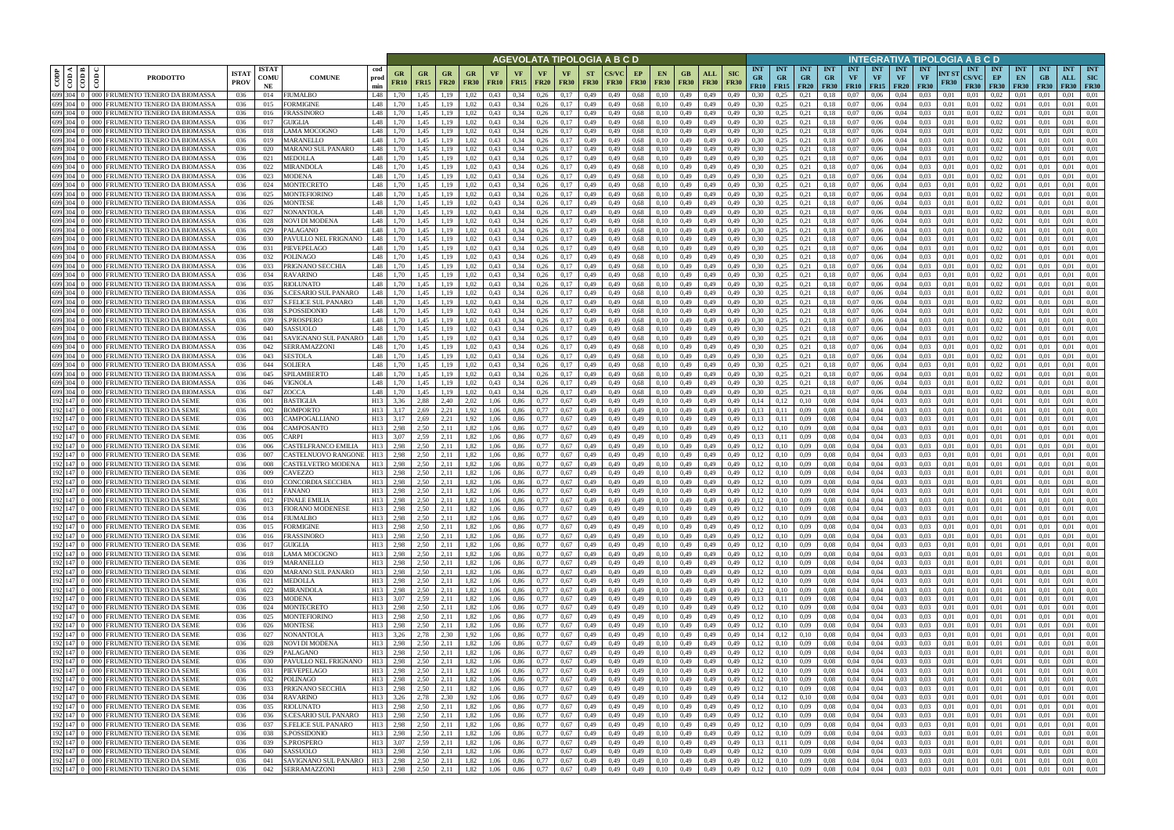|                                                       |                                                                                |                             |                            |                                                    | AGEVOLATA TIPOLOGIA A B C D        |                   |                          |                                               |                   |                   |                   |                            |                            |                          |                        |                   |                                                |                        |                    |                           |                                              |                                               |                   |                                      |                   |                         |                                                     |                                        | NTEGRATIVA TIPOLOGIA A B C D        |                                           |                          |                                 |                                 |                                              |                          |
|-------------------------------------------------------|--------------------------------------------------------------------------------|-----------------------------|----------------------------|----------------------------------------------------|------------------------------------|-------------------|--------------------------|-----------------------------------------------|-------------------|-------------------|-------------------|----------------------------|----------------------------|--------------------------|------------------------|-------------------|------------------------------------------------|------------------------|--------------------|---------------------------|----------------------------------------------|-----------------------------------------------|-------------------|--------------------------------------|-------------------|-------------------------|-----------------------------------------------------|----------------------------------------|-------------------------------------|-------------------------------------------|--------------------------|---------------------------------|---------------------------------|----------------------------------------------|--------------------------|
| CODP<br>$rac{1}{100}$<br>$\epsilon$                   | <b>PRODOTTO</b>                                                                | <b>ISTA1</b><br><b>PROV</b> | <b>ISTAT</b><br>COMU<br>NE | <b>COMUNE</b>                                      | cod<br>prod<br>min                 | GR<br><b>FR10</b> | <b>GR</b><br><b>FR15</b> | GR<br><b>FR20</b>                             | GR<br><b>FR30</b> | VF<br><b>FR10</b> | VF<br><b>FR15</b> | <b>VF</b><br><b>FR20</b>   | <b>VF</b><br><b>FR30</b>   | <b>ST</b><br><b>FR30</b> | <b>FR30</b>            | EP<br><b>FR30</b> | <b>EN</b><br><b>FR30</b>                       | <b>FR30</b>            | ALL<br><b>FR30</b> | <b>SIC</b><br><b>FR30</b> | <b>INT</b><br><b>GR</b>                      | <b>INT</b><br><b>GR</b><br>FR10   FR15   FR20 | <b>INT</b><br>GR. | <b>INT</b><br>$G_{R}$<br><b>FR30</b> | <b>INT</b><br>VF  | <b>INT</b><br><b>VF</b> | <b>INT</b><br><b>VF</b><br>$FR10$   $FR15$   $FR20$ | <b>INT</b><br><b>VF</b><br><b>FR30</b> | INT ST<br><b>FR30</b>               | <b>INT</b><br><b>CS/VC</b><br><b>FR30</b> | INT<br>EP<br><b>FR30</b> | <b>INT</b><br>EN<br><b>FR30</b> | <b>INT</b><br>GB<br><b>FR30</b> | <b>INT</b><br><b>ALL</b><br><b>FR30 FR30</b> | <b>INT</b><br><b>SIC</b> |
| 699 304 0                                             | 000 FRUMENTO TENERO DA BIOMASSA                                                | 036                         | 014                        | <b>FIUMALBO</b>                                    | L48                                | 1.70              | 1,45                     | 1.19                                          | 1.02              | 0.43              | 0.34              | 0,26                       | 0.17                       | 0,49                     | 0.49                   | 0.68              | 0.10                                           | 0.49                   | 0,49               | 0.49                      | 0.30                                         | 0.25                                          | 0.21              | 0.18                                 | 0.07              | 0.06                    | 0.04                                                | 0.03                                   | 0.01                                | 0.01                                      | 0.02                     | 0.01                            | 0.01                            | 0.01                                         | 0,01                     |
| 699 304 0<br>000 I<br>699 304 0<br>000 E              | <b>FRUMENTO TENERO DA BIOMASSA</b><br>FRUMENTO TENERO DA BIOMASSA              | 036<br>036                  | 015<br>016                 | FORMIGINE<br><b>FRASSINORO</b>                     | L48<br>L48                         | 1.70<br>1.70      | 1,45<br>1,45             | 1,19<br>1.19                                  | 1,02<br>1,02      | 0,43<br>0.43      | 0,34<br>0.34      | 0,26<br>0.26               | 0,17<br>0,17               | 0,49<br>0,49             | 0,49<br>0.49           | 0,68<br>0,68      | 0,10<br>0.10                                   | 0,49<br>0,49           | 0,49<br>0,49       | 0,49<br>0,49              | 0.30<br>0,30                                 | 0,25<br>0,25                                  | 0,21<br>0,21      | 0,18<br>0.18                         | $_{0.07}$<br>0.07 | 0,06<br>0,06            | 0,04<br>0.04                                        | 0,03<br>0.03                           | 0,01<br>0,01                        | 0,01<br>0.01                              | 0,02<br>0,02             | 0.01<br>0,01                    | 0.01<br>0.01                    | 0,01<br>0,01                                 | 0,01<br>0,01             |
| 699 304 0<br>000 <sub>1</sub>                         | FRUMENTO TENERO DA BIOMASSA                                                    | 036                         | 017                        | <b>GUIGLIA</b>                                     | L48                                | 1.70              | 1.45                     | 1.19                                          | 1.02              | 0.43              | 0.34              | 0.26                       | 0.17                       | 0,49                     | 0.49                   | 0.68              | 0.10                                           | 0.49                   | 0,49               | 0.49                      | 0.30                                         | 0.25                                          | 0.21              | 0.18                                 | 0.07              | 0.06                    | 0.04                                                | 0.03                                   | 0.01                                | 0.01                                      | 0.02                     | 0.01                            | 0.01                            | 0.01                                         | 0.01                     |
| 699 304 0<br>റററ                                      | FRUMENTO TENERO DA BIOMASSA                                                    | 036                         | 018                        | LAMA MOCOGNO                                       | L48                                | 1.70              | 1.45                     | 1.19                                          | 1.02              | 0.43              | 0.34              | 0.26                       | 0.17                       | 0,49                     | 0.49                   | 0.68              | 0.10                                           | 0.49                   | 0.49               | 0.49                      | 0.30                                         | 0.25                                          | 0.21              | 0.18                                 | 0.07              | 0.06                    | 0.04                                                | 0.03                                   | 0.01                                | 0.01                                      | 0.02                     | 0.01                            | 0.01                            | 0.01                                         | 0.01                     |
| 699 304 0<br>000                                      | FRUMENTO TENERO DA BIOMASSA                                                    | 036                         | 019                        | <b>MARANELLO</b>                                   | L48                                | 1.70              | 1,45                     | 1,19                                          | 1,02              | 0.43              | 0.34              | 0,26                       | 0,17                       | 0,49                     | 0,49                   | 0.68              | 0,10                                           | 0,49                   | 0,49               | 0,49                      | 0,30                                         | 0,25                                          | 0,21              | 0.18                                 | 0.07              | 0.06                    | 0,04                                                | 0,03                                   | 0,01                                | 0,01                                      | 0,02                     | 0.01                            | 0.01                            | 0,01                                         | 0,01                     |
| 699 304 0<br>000-<br>699 304 0<br>000 <sub>1</sub>    | <b>FRUMENTO TENERO DA BIOMASSA</b><br>FRUMENTO TENERO DA BIOMASSA              | 036<br>036                  | 020<br>021                 | <b>MARANO SUL PANARO</b><br><b>MEDOLLA</b>         | L48<br>L48                         | 1.70<br>1.70      | 1.45<br>1.45             | 1.19<br>1.19                                  | 1.02<br>1,02      | 0.43<br>0.43      | 0.34<br>0.34      | 0.26<br>0.26               | 0.17<br>0.17               | 0.49<br>0,49             | 0.49<br>0.49           | 0.68<br>0.68      | 0.10<br>0.10                                   | 0.49<br>0.49           | 0.49<br>0,49       | 0.49<br>0.49              | 0.30<br>0.30                                 | 0.25<br>0,25                                  | 0.21<br>0.21      | 0.18<br>0.18                         | 0.07<br>0.07      | 0.06<br>0.06            | 0.04<br>0.04                                        | 0.03<br>0.03                           | 0.01<br>0.01                        | 0.01<br>0.01                              | 0.02<br>0.02             | 0.01<br>0.01                    | 0.01<br>0.01                    | 0.01<br>0.01                                 | 0.01<br>0.01             |
| 699 304 0<br>000 I                                    | FRUMENTO TENERO DA BIOMASSA                                                    | 036                         | 022                        | <b>MIRANDOLA</b>                                   | L48                                | 1.70              | 1.45                     | 1,19                                          | 1,02              | 0.43              | 0.34              | 0.26                       | 0,17                       | 0,49                     | 0.49                   | 0.68              | 0.10                                           | 0.49                   | 0.49               | 0.49                      | 0.30                                         | 0.25                                          | 0,21              | 0,18                                 | 0.07              | 0.06                    | 0.04                                                | 0.03                                   | 0.01                                | 0.01                                      | 0.02                     | 0.01                            | 0.01                            | 0.01                                         | 0,01                     |
| 699 304 0<br>നവ                                       | FRUMENTO TENERO DA BIOMASSA                                                    | 036                         | 023                        | <b>MODENA</b>                                      | I 48                               | 1.70              | 1.45                     | 1,19                                          | 1,02              | 0.43              | 0.34              | 0,26                       | 0,17                       | 0,49                     | 0,49                   | 0.68              | 0.10                                           | 0.49                   | 0,49               | 0,49                      | 0.30                                         | 0,25                                          | 0,21              | 0,18                                 | 0.07              | 0.06                    | 0,04                                                | 0.03                                   | 0,01                                | 0.01                                      | 0.02                     | 0.01                            | 0.01                            | 0.01                                         | 0,01                     |
| 699 304 0                                             | FRUMENTO TENERO DA BIOMASSA                                                    | 036                         | 024                        | <b>MONTECRETO</b>                                  | <b>IA8</b>                         | 1.70              | 1,45                     | 1,19                                          | 1,02              | 0.43              | 0.34              | 0,26                       | 0,17                       | 0,49                     | 0,49                   | 0.68              | 0,10                                           | 0,49                   | 0,49               | 0.49                      | 0.30                                         | 0.25                                          | 0,21              | 0,18                                 | 0.07              | 0.06                    | 0.04                                                | 0.03                                   | 0,01                                | 0,01                                      | 0,02                     | 0.01                            | 0.01                            | 0,01                                         | 0,01                     |
| 699 304 0<br>000 <sub>1</sub>                         | FRUMENTO TENERO DA BIOMASSA                                                    | 036                         | 025                        | <b>MONTEFIORINO</b>                                | L48                                | 1,70              | 1,45                     | 1,19                                          | 1,02              | 0,43              | 0,34              | 0,26                       | 0,17                       | 0,49                     | 0,49                   | 0.68              | 0,10                                           | 0,49                   | 0,49               | 0,49                      | 0,30                                         | 0,25                                          | 0,21              | 0.18                                 | 0,07              | 0,06                    | 0,04                                                | 0,03                                   | 0,01                                | 0,01                                      | 0,02                     | 0,01                            | 0.01                            | 0,01                                         | 0,01                     |
| 699 304<br>000 I<br>699 304 0<br>$000 -$              | FRUMENTO TENERO DA BIOMASSA<br>FRUMENTO TENERO DA BIOMASSA                     | 036<br>036                  | 026<br>027                 | <b>MONTESE</b><br><b>NONANTOLA</b>                 | L48<br>L48                         | 1.70<br>1.70      | 1.45<br>1.45             | 1.19<br>1,19                                  | 1.02<br>1,02      | 0.43<br>0.43      | 0,34<br>0,34      | 0,26<br>0,26               | 0.17<br>0,17               | 0,49<br>0,49             | 0.49<br>0.49           | 0.68<br>0.68      | 0.10<br>0.10                                   | 0,49<br>0,49           | 0,49<br>0,49       | 0.49<br>0,49              | 0.30<br>0.30                                 | 0.25<br>0,25                                  | 0.21<br>0,21      | 0.18<br>0.18                         | 0.07<br>0.07      | 0.06<br>0,06            | 0.04<br>0.04                                        | 0.03<br>0,03                           | 0.01<br>0,01                        | 0.01<br>0.01                              | 0,02<br>0,02             | 0.01<br>0.01                    | 0.01<br>0.01                    | 0.01<br>0,01                                 | 0.01<br>0,01             |
| 699 304 0<br>000 <sub>1</sub>                         | FRUMENTO TENERO DA BIOMASSA                                                    | 036                         | 028                        | NOVI DI MODENA                                     | L48                                | 1,70              | 1,45                     | 1,19                                          | 1,02              | 0.43              | 0,34              | 0,26                       | 0,17                       | 0,49                     | 0,49                   | 0.68              | 0,10                                           | 0,49                   | 0,49               | 0.49                      | 0,30                                         | 0,25                                          | 0,21              | 0,18                                 | 0.07              | 0,06                    | 0,04                                                | 0,03                                   | 0,01                                | 0,01                                      | 0,02                     | 0,01                            | 0,01                            | 0,01                                         | 0,01                     |
| 699 304 0<br>000 <sub>1</sub>                         | FRUMENTO TENERO DA BIOMASSA                                                    | 036                         | 029                        | PALAGANO                                           | L48                                | 1.70              | 1.45                     | 1.19                                          | 1.02              | 0.43              | 0.34              | 0.26                       | 0.17                       | 0,49                     | 0.49                   | 0.68              | 0.10                                           | 0.49                   | 0.49               | 0.49                      | 0.30                                         | 0.25                                          | 0.21              | 0.18                                 | 0.07              | 0.06                    | 0.04                                                | 0.03                                   | 0.01                                | 0.01                                      | 0.02                     | 0.01                            | 0.01                            | 0.01                                         | 0.01                     |
| 699 304 0                                             | 000 FRUMENTO TENERO DA BIOMASSA                                                | 036                         | 030                        | PAVULLO NEL FRIGNANO                               | L48                                | 1.70              | 1.45                     | 1.19                                          | 1.02              | 0.43              | 0.34              | 0.26                       | 0.17                       | 0,49                     | 0.49                   | 0.68              | 0.10                                           | 0.49                   | 0.49               | 0.49                      | 0.30                                         | 0.25                                          | 0.21              | 0.18                                 | 0.07              | 0.06                    | 0.04                                                | 0.03                                   | 0.01                                | 0.01                                      | 0.02                     | 0.01                            | 0.01                            | 0.01                                         | 0.01                     |
| 699 304 0<br>$000 -$<br>699 304 0<br>000 <sub>1</sub> | FRUMENTO TENERO DA BIOMASSA<br>FRUMENTO TENERO DA BIOMASSA                     | 036<br>036                  | 031<br>032                 | PIEVEPELAGO<br><b>POLINAGO</b>                     | L48<br>L48                         | 1.70<br>1.70      | 1.45<br>1.45             | 1.19<br>1.19                                  | 1.02<br>1.02      | 0.43<br>0.43      | 0.34<br>0.34      | 0.26<br>0.26               | 0.17<br>0.17               | 0,49<br>0.49             | 0.49<br>0.49           | 0.68<br>0.68      | 0.10<br>0.10                                   | 0,49<br>0.49           | 0,49<br>0.49       | 0.49<br>0.49              | 0.30<br>0.30                                 | 0.25<br>0.25                                  | 0.21<br>0.21      | 0.18<br>0.18                         | 0.07<br>0.07      | 0.06<br>0.06            | 0.04<br>0.04                                        | 0.03<br>0.03                           | 0.01<br>0.01                        | 0.01<br>0.01                              | 0,02<br>0.02             | 0.01                            | 0.01<br>0.01                    | 0.01<br>0.01                                 | 0.01<br>0.01             |
| 699 304 0                                             | FRUMENTO TENERO DA BIOMASSA                                                    | 036                         | 033                        | PRIGNANO SECCHIA                                   | L48                                | 1.70              | 1.45                     | 1.19                                          | 1.02              | 0.43              | 0.34              | 0.26                       | 0.17                       | 0.49                     | 0.49                   | 0.68              | 0.10                                           | 0.49                   | 0.49               | 0.49                      | 0.30                                         | 0.25                                          | 0.21              | 0.18                                 | 0.07              | 0.06                    | 0.04                                                | 0.03                                   | 0.01                                | 0.01                                      | 0.02                     |                                 | 0.01                            | 0.01                                         | 0.01                     |
| 699 304 0<br>000 <sub>1</sub>                         | FRUMENTO TENERO DA BIOMASSA                                                    | 036                         | 034                        | <b>RAVARINO</b>                                    | L48                                | 1.70              | 1,45                     | 1,19                                          | 1,02              | 0,43              | 0,34              | 0.26                       | 0,17                       | 0,49                     | 0,49                   | 0,68              | 0,10                                           | 0,49                   | 0,49               | 0,49                      | 0.30                                         | 0,25                                          | 0,21              | 0,18                                 | 0.07              | 0.06                    | 0,04                                                | 0,03                                   | 0,01                                | 0.01                                      | 0,02                     | 0.01                            | 0.01                            | 0,01                                         | 0.01                     |
| 699<br>304                                            | RUMENTO TENERO DA BIOMASSA                                                     | 036                         | 035                        | RIOLUNATO                                          | L48                                | 1.70              | 1.45                     | .19                                           | .02               | 0.43              | 0.34              | 0.26                       | 0.17                       | 0,49                     | 0.49                   | 0.68              | 0.10                                           | 0.49                   | 0.49               | 0.49                      | 0.30                                         | 0.25                                          |                   |                                      | 0.07              | 0.06                    |                                                     | 0.03                                   | 0.01                                | 0.01                                      | 0.02                     |                                 | 0.01                            | 0.01                                         | 0.01                     |
| 304<br>699<br>റററ<br>699 304                          | RUMENTO TENERO DA BIOMASSA<br>RUMENTO TENERO DA BIOMASSA                       | 036<br>036                  | 036<br>037                 | S.CESARIO SUL PANARC<br><b>S.FELICE SUL PANARO</b> | L48<br>L48                         |                   | 1.45<br>1,45             |                                               | 1.02<br>1.02      | 0.43<br>0.43      | 0,34<br>0.34      | 0,26<br>0,26               | 0.17<br>0.17               | 0,49<br>0,49             | 0.49<br>0.49           | 0.68<br>0.68      | 0.10<br>0.10                                   | 0.49<br>0,49           | 0.49<br>0,49       | 0.49                      | 0.30<br>0,30                                 | 0.25<br>0,25                                  | 0,2<br>0,21       | 0,18<br>0,18                         | ).07<br>0.07      | 0.06<br>0,06            | 0.04                                                | 0,03<br>0,03                           | 0,01<br>0,01                        | 0.01<br>0.01                              | 0,02<br>0,02             |                                 | 0.01<br>0.01                    | 0,01<br>0,01                                 | 0.01<br>0,01             |
| 699 304 0<br>000 E                                    | FRUMENTO TENERO DA BIOMASSA                                                    | 036                         | 038                        | S.POSSIDONIO                                       | L48                                | 1.70              | 1.45                     | 1.19                                          | 1,02              | 0.43              | 0,34              | 0,26                       | 0.17                       | 0,49                     | 0,49                   | 0.68              | 0.10                                           | 0,49                   | 0,49               | 0,49                      | 0.30                                         | 0,25                                          | 0.21              | 0,18                                 | 0,07              | 0.06                    | 0,04                                                | 0.03                                   | 0,01                                | 0,01                                      | 0.02                     | 0.01                            | 0.01                            | 0,01                                         | 0,01                     |
| 699 304 0<br>ററല                                      | FRUMENTO TENERO DA BIOMASSA                                                    | 036                         | 039                        | S.PROSPERO                                         | L48                                | 1.70              | 1.45                     | 1.19                                          | 1.02              | 0.43              | 0.34              | 0.26                       | 0.17                       | 0,49                     | 0.49                   | 0.68              | 0.10                                           | 0.49                   | 0.49               | 0.49                      | 0.30                                         | 0.25                                          | 0.21              | 0.18                                 | 0.07              | 0.06                    |                                                     | 0.03                                   | 0.01                                | 0.01                                      | 0.02                     | 0.01                            | 0.01                            | 0.01                                         | 0,01                     |
| 699 304 0<br>000 <sub>1</sub>                         | FRUMENTO TENERO DA BIOMASSA                                                    | 036                         | 040                        | SASSUOLO                                           | L48                                | 1.70              | 1,45                     | 1.19                                          | 1,02              | 0,43              | 0,34              | 0,26                       | 0,17                       | 0,49                     | 0,49                   | 0.68              | 0.10                                           | 0,49                   | 0,49               | 0,49                      | 0,30                                         | 0,25                                          | 0,21              | 0.18                                 | $_{0.07}$         | 0,06                    | 0,04                                                | 0,03                                   | 0,01                                | 0,01                                      | 0,02                     | 0,01                            | 0.01                            | 0,01                                         | 0,01                     |
| 699 304 0<br>റററ<br>699 304 0<br>ററല                  | FRUMENTO TENERO DA BIOMASSA<br>FRUMENTO TENERO DA BIOMASSA                     | 036<br>036                  | 041<br>042                 | SAVIGNANO SUL PANARO<br>SERRAMAZZONI               | L48<br>L48                         | 1.70<br>1.70      | 1.45<br>1,45             | 1.19<br>1.19                                  | 1,02<br>1,02      | 0.43<br>0.43      | 0.34<br>0.34      | 0.26<br>0.26               | 0.17<br>0.17               | 0,49<br>0,49             | 0.49<br>0.49           | 0.68<br>0.68      | 0.10<br>0.10                                   | 0.49<br>0.49           | 0.49<br>0,49       | 0.49<br>0,49              | 0.30<br>0.30                                 | 0.25<br>0,25                                  | 0.21<br>0.21      | 0.18<br>0.18                         | 0.07<br>0.07      | 0.06<br>0.06            | 0.04<br>0.04                                        | 0.03<br>0.03                           | 0.01<br>0.01                        | 0.01<br>0.01                              | 0.02<br>0.02             | 0.01<br>0.01                    | 0.01<br>0.01                    | 0.01<br>0.01                                 | 0.01<br>0.01             |
| 699 304 0<br>ററല                                      | FRUMENTO TENERO DA BIOMASSA                                                    | 036                         | 043                        | <b>SESTOLA</b>                                     | L48                                | 1.70              | 1,45                     | 1,19                                          | 1,02              | 0.43              | 0.34              | 0.26                       | 0,17                       | 0,49                     | 0.49                   | 0.68              | 0.10                                           | 0.49                   | 0,49               | 0.49                      | 0.30                                         | 0.25                                          | 0.21              | 0.18                                 | 0.07              | 0.06                    | 0.04                                                | 0.03                                   | 0.01                                | 0.01                                      | 0.02                     | 0.01                            | 0.01                            | 0,01                                         | 0,01                     |
| 699 304 0<br>$000 -$                                  | FRUMENTO TENERO DA BIOMASSA                                                    | 036                         | 044                        | <b>SOLIERA</b>                                     | L48                                | 1.70              | 1.45                     | 1.19                                          | 1,02              | 0.43              | 0.34              | 0.26                       | 0.17                       | 0,49                     | 0.49                   | 0.68              | 0.10                                           | 0.49                   | 0,49               | 0.49                      | 0.30                                         | 0,25                                          | 0,21              | 0,18                                 | 0.07              | 0.06                    | 0.04                                                | 0.03                                   | 0,01                                | 0.01                                      | 0.02                     | 0.01                            | 0.01                            | 0.01                                         | 0.01                     |
| 699 304 0                                             | FRUMENTO TENERO DA BIOMASSA                                                    | 036                         | 045                        | SPILAMBERTO                                        | L48                                | 1.70              | 1.45                     | 1.19                                          | 1,02              | 0.43              | 0.34              | 0.26                       | 0.17                       | 0,49                     | 0.49                   | 0.68              | 0.10                                           | 0.49                   | 0.49               | 0.49                      | 0.30                                         | 0,25                                          | 0,21              | 0.18                                 | 0.07              | 0.06                    | 0.04                                                | 0.03                                   | 0.01                                | 0.01                                      | 0.02                     | 0.01                            | 0.01                            | 0.01                                         | 0.01                     |
| 699 304 0<br>$000 -$<br>699 304 0<br>000 <sub>1</sub> | FRUMENTO TENERO DA BIOMASSA                                                    | 036                         | 046<br>047                 | VIGNOLA                                            | L48<br>I 48                        | 1,70<br>1.70      | 1,45<br>1.45             | 1,19                                          | 1,02              | 0,43<br>0.43      | 0,34<br>0.34      | 0,26<br>0.26               | 0,17                       | 0,49                     | 0,49<br>0.49           | 0.68<br>0.68      | 0,10                                           | 0,49                   | 0,49<br>0.49       | 0,49<br>0.49              | 0.30<br>0.30                                 | 0,25<br>0.25                                  | 0,21              | 0,18                                 | 0.07<br>0.07      | 0.06<br>0.06            | 0,04<br>0.04                                        | 0,03<br>0.03                           | 0,01                                | 0,01<br>0.01                              | 0,02<br>0.02             | 0.01<br>0.01                    | 0.01<br>0.01                    | 0,01                                         | 0,01                     |
| 192 147 0                                             | FRUMENTO TENERO DA BIOMASSA<br>000 FRUMENTO TENERO DA SEME                     | 036<br>036                  | 001                        | ZOCCA<br><b>BASTIGLIA</b>                          | H13                                | 3,36              | 2.88                     | 1,19<br>2.40                                  | 1,02<br>2,02      | 1,06              | 0,86              | 0,77                       | 0,17<br>0,67               | 0,49<br>0,49             | 0,49                   | 0,49              | 0,10<br>0,10                                   | 0,49<br>0,49           | 0,49               | 0,49                      | 0,14                                         | 0,12                                          | 0,21<br>0,10      | 0,18<br>0.08                         | 0,04              | 0.04                    | 0.03                                                | 0.03                                   | 0,01<br>0,01                        | 0,01                                      | 0,01                     | 0.01                            | 0.01                            | 0,01<br>0.01                                 | 0,01<br>0,01             |
| 192 147 0                                             | 000 FRUMENTO TENERO DA SEME                                                    | 036                         | 002                        | BOMPORTO                                           | H13                                | 3,17              | 2,69                     | 2,21                                          | 1,92              | 1,06              | 0,86              | 0,77                       | 0.67                       | 0,49                     | 0,49                   | 0,49              | 0,10                                           | 0,49                   | 0,49               | 0.49                      | 0,13                                         | 0,11                                          | 0,09              | 0.08                                 | 0,04              | 0.04                    | 0.03                                                | 0,03                                   | 0,01                                | 0,01                                      | 0,01                     | 0,01                            | 0.01                            | 0,01                                         | 0,01                     |
| 192 147 0<br>000 <sub>1</sub>                         | FRUMENTO TENERO DA SEME                                                        | 036                         | 003                        | CAMPOGALLIANO                                      | H13                                | 3,17              | 2.69                     | 2.21                                          | 1,92              | 1.06              | 0,86              | 0.77                       | 0,67                       | 0,49                     | 0.49                   | 0,49              | 0.10                                           | 0,49                   | 0,49               | 0.49                      | 0.13                                         | 0.11                                          | 0,09              | 0.08                                 | 0.04              | 0.04                    | 0.03                                                | 0.03                                   | 0,01                                | 0.01                                      | 0,01                     | 0.01                            | 0.01                            | 0.01                                         | 0.01                     |
| 192 147 0<br>192 147 0<br>$000 -$                     | 000 FRUMENTO TENERO DA SEME<br>FRUMENTO TENERO DA SEME                         | 036<br>036                  | 004<br>005                 | CAMPOSANTO<br>CARPI                                | H13<br>H13                         | 2.98<br>3,07      | 2.50<br>2,59             | 2.11<br>2,11                                  | 1,82<br>1,82      | 1.06<br>1,06      | 0,86<br>0,86      | 0,77<br>0.77               | 0,67<br>0,67               | 0,49<br>0,49             | 0,49<br>0,49           | 0,49<br>0,49      | 0.10<br>0.10                                   | 0,49<br>0,49           | 0,49<br>0,49       | 0.49<br>0.49              | 0,12<br>0,13                                 | 0.10<br>0,11                                  | 0,09<br>0,09      | 0.08<br>0.08                         | 0.04<br>0.04      | 0.04<br>0,04            | 0,03<br>0.03                                        | 0,03<br>0,03                           | 0.01<br>0,01                        | 0,01<br>0.01                              | 0,01<br>0,01             | 0.01<br>0,01                    | 0.01<br>0.01                    | 0,01<br>0,01                                 | 0,01<br>0,01             |
| 192 147 0<br>000                                      | FRUMENTO TENERO DA SEME                                                        | 036                         | 006                        | CASTELFRANCO EMILIA                                | H13                                | 2.98              | 2.50                     | 2.11                                          | 1.82              | 1.06              | 0.86              | 0.77                       | 0.67                       | 0,49                     | 0.49                   | 0.49              | 0.10                                           | 0.49                   | 0.49               | 0.49                      | 0,12                                         | 0.10                                          | 0.09              | 0.08                                 | 0.04              | 0.04                    | 0.03                                                | 0.03                                   | 0.01                                | 0.01                                      | 0,01                     | 0.01                            | 0.01                            | 0.01                                         | 0.01                     |
| 192 147 0<br>$000 -$                                  | FRUMENTO TENERO DA SEME                                                        | 036                         | 007                        | CASTELNUOVO RANGONI                                | H13                                | 2.98              | 2.50                     | 2.11                                          | 1.82              | 1.06              | 0.86              | 0.77                       | 0.67                       | 0,49                     | 0.49                   | 0.49              | 0.10                                           | 0.49                   | 0.49               | 0.49                      | 0.12                                         | 0.10                                          | 0.09              | 0.08                                 | 0.04              | 0.04                    | 0.03                                                | 0.03                                   | 0.01                                | 0.01                                      | 0,01                     | 0.01                            | 0.01                            | 0.01                                         | 0.01                     |
| 192 147 0<br>000 L                                    | FRUMENTO TENERO DA SEME                                                        | 036                         | 008                        | CASTELVETRO MODENA                                 | H13                                | 2,98              | 2,50                     | 2,11                                          | 1,82              | 1.06              | 0,86              | 0.77                       | 0.67                       | 0,49                     | 0.49                   | 0,49              | 0.10                                           | 0,49                   | 0,49               | 0.49                      | 0,12                                         | 0.10                                          | 0.09              | 0.08                                 | 0.04              | 0.04                    | 0.03                                                | 0,03                                   | 0.01                                | 0.01                                      | 0,01                     | 0.01                            | 0.01                            | 0,01                                         | 0.01                     |
| 192 147 0                                             | 000 FRUMENTO TENERO DA SEME                                                    | 036                         | 009<br>010                 | CAVEZZO                                            | H13<br>H13                         | 2.98              | 2.50                     | 2.11<br>2.11                                  | 1.82              | 1.06              | 0.86              | 0.77<br>0.77               | 0.67                       | 0.49                     | 0.49                   | 0.49              | 0.10                                           | 0.49                   | 0.49               | 0.49                      | 0.12                                         |                                               | 0.09              | 0.08                                 | 0.04              | 0.04                    |                                                     | 0.03                                   | 0.01                                | 0.01                                      | 0.01                     |                                 | 0.01                            | 0.01                                         | 0.01                     |
|                                                       | 192 147 0 000 FRUMENTO TENERO DA SEME<br>192 147 0 000 FRUMENTO TENERO DA SEME | 036<br>036                  | 011                        | CONCORDIA SECCHIA<br><b>FANANO</b>                 | H13                                | 2.98<br>2,98      | 2.50<br>2.50             | 2,11                                          | 1,82<br>1.82      | 1.06<br>1.06      | 0.86<br>0.86      | 0.77                       | 0.67<br>0.67               | 0,49<br>0.49             | 0.49<br>0.49           | 0.49<br>0.49      | 0.10                                           | 0.49<br>0.49           | 0.49<br>0.49       | 0.49<br>0.49              | 0,12<br>0,12                                 | 0.10<br>0.10                                  | 0.09<br>0.09      | 0.08<br>0.08                         | 0.04<br>0.04      | 0.04<br>0.04            | 0.03                                                | 0.03<br>0.03                           | 0.01<br>0.01                        | 0.01<br>0.01                              | 0.01<br>0.01             | 0.01                            | 0.01<br>0.01                    | 0,01<br>0.01                                 | 0.01<br>0.01             |
|                                                       | 192 147 0 000 FRUMENTO TENERO DA SEME                                          | 036                         | 012                        | <b>FINALE EMILIA</b>                               | H13                                | 2,98              | 2,50                     | 2,11                                          | 1,82              | 1,06              | 0,86              | 0,77                       | 0,67                       | 0,49                     | 0,49                   | 0,49              | 0,10                                           | 0,49                   | 0,49               | 0,49                      | 0,12                                         | 0,10                                          | 0,09              | 0,08                                 | 0,04              | 0,04                    | 0.03                                                | 0,03                                   | 0,01                                | 0,01                                      | 0,01                     | 0,01                            | 0,01                            | 0.01                                         | 0,01                     |
|                                                       | 192 147 0 000 FRUMENTO TENERO DA SEME                                          | 036                         | 013                        | <b>FIORANO MODENESE</b>                            | H13                                | 2,98              | 2,50                     | 2,11                                          | 1,82              | 1,06              | 0,86              | 0,77                       | 0,67                       | 0,49                     | 0,49                   | 0,49              | 0,10                                           | 0,49                   | 0,49               | 0,49                      | 0,12                                         | 0,10                                          | 0,09              | 0,08                                 | 0,04              | 0,04                    | 0.03                                                | 0,03                                   | 0,01                                | 0,01                                      | 0,01                     | 0,01                            | 0,01                            | 0,01                                         | 0,01                     |
|                                                       | 192 147 0 000 FRUMENTO TENERO DA SEME<br>192 147 0 000 FRUMENTO TENERO DA SEME | 036<br>036                  | 014                        | <b>FIUMALBO</b>                                    | H13<br>H13                         | 2,98<br>2,98      |                          | $2,50$ $2,11$                                 | 1,82<br>1,82      | 1,06<br>1,06      | 0,86<br>0,86      | $0,77$ 0.67                |                            | 0,49                     | 0,49                   | 0,49              | 0,10<br>0,10                                   | 0,49 0,49              |                    | 0,49                      | 0,12                                         | 0,10                                          | 0,09              | 0,08<br>0.08                         | 0,04              | 0,04<br>0,04            | 0,03<br>0,03                                        | 0,03<br>0,03                           | 0,01<br>0,01                        | 0,01<br>0,01                              | 0,01                     | 0,01<br>0,01                    | 0,01<br>0,01                    | 0,01<br>0,01                                 | 0,01<br>0,01             |
|                                                       | 192 147 0 000 FRUMENTO TENERO DA SEME                                          | 036                         | 015<br>016                 | <b>FORMIGINE</b><br><b>FRASSINORO</b>              | H13                                | 2,98              | 2,50                     | 2,50 2,11<br>2,11                             | 1,82              | 1,06              | 0,86              | $0,77$ 0.67<br>0,77        | 0,67                       | 0,49<br>0,49             | 0,49<br>0,49           | 0,49<br>0,49      | 0,10                                           | 0,49 0,49<br>0,49      | 0,49               | 0,49<br>0,49              | 0,12<br>0,12                                 | 0,10<br>0,10                                  | 0,09<br>0,09      | 0,08                                 | 0,04<br>0,04      | 0,04                    | 0,03                                                | 0,03                                   | 0,01                                | 0,01                                      | 0,01<br>0,01             | 0.01                            | 0,01                            | 0,01                                         | 0,01                     |
|                                                       | 192 147 0 000 FRUMENTO TENERO DA SEME                                          | 036                         | 017                        | <b>GUIGLIA</b>                                     | H13                                | 2,98              | $2,50$ $2,11$            |                                               | 1,82              | 1,06              | 0,86              | $0,77$ 0.67                |                            | 0,49                     | 0,49                   | 0,49              | 0,10                                           | 0,49 0,49              |                    | 0,49                      | 0,12                                         | 0,10                                          | 0,09              | 0,08                                 | 0,04              | 0,04                    | 0,03                                                | 0,03                                   | 0,01                                | 0,01                                      | 0,01                     | 0,01                            | 0,01                            | 0,01                                         | 0,01                     |
|                                                       | 192 147 0 000 FRUMENTO TENERO DA SEME                                          | 036                         | 018                        | <b>LAMA MOCOGNO</b>                                |                                    |                   |                          | H13 2,98 2,50 2,11                            | 1,82 1,06         |                   | 0,86              |                            | $0,77$ 0.67                | 0,49                     | 0,49                   | 0,49              | 0,10                                           | 0,49 0,49              |                    |                           | $0,49$ $0,12$                                | $0,10$ $0,09$                                 |                   | 0,08                                 |                   | $0,04$ 0.04             | 0,03                                                |                                        | $0,03$ $0,01$                       | 0,01                                      | 0,01                     | $0,01$ $0,01$                   |                                 | $0,01$ $0,01$                                |                          |
|                                                       | 192 147 0 000 FRUMENTO TENERO DA SEME<br>192 147 0 000 FRUMENTO TENERO DA SEME | 036<br>036                  | 019<br>020                 | MARANELLO<br><b>MARANO SUL PANARO</b>              |                                    |                   |                          | $H13$ 2,98 2,50 2,11<br>H13 2,98 2,50 2,11    | 1,82 1,06<br>1,82 | 1,06              | 0,86<br>0,86      | $0,77$ 0.67                | $0,77$ 0.67                | 0,49<br>0,49             | 0,49<br>0,49           | 0,49<br>0,49      | 0,10<br>0,10                                   | 0,49 0,49<br>0,49 0,49 |                    | 0,49                      | $0,49$ $0,12$ $0,10$ $0,09$<br>0,12          | $0,10$ $0,09$                                 |                   | 0.08<br>0,08                         | 0,04              | $0,04$ 0.04<br>0,04     | 0,03<br>0,03                                        | $0,03$ $0,01$<br>$0,03$ 0.01           |                                     | 0.01<br>0,01                              | 0,01<br>0,01             | $0,01$ 0.01<br>0,01             | 0,01                            | $0,01$ $0,01$<br>$0,01$ $0,01$               |                          |
|                                                       | 192 147 0 000 FRUMENTO TENERO DA SEME                                          | 036                         | 021                        | MEDOLLA                                            |                                    |                   |                          | $H13$ 2,98 2,50 2,11                          | 1,82              | 1,06              | 0,86              | $0,77$ 0.67                |                            | 0,49                     | 0,49                   | 0,49              | 0,10                                           | 0,49 0,49              |                    | 0,49                      | 0,12                                         | $0,10$ $0,09$                                 |                   | 0,08                                 |                   | $0,04$ 0.04             | 0,03                                                |                                        | $0,03$ $0,01$                       | 0,01                                      | 0,01                     | 0,01                            | 0,01                            | 0,01                                         | 0,01                     |
|                                                       | 192 147 0 000 FRUMENTO TENERO DA SEME                                          | 036                         | 022                        | <b>MIRANDOLA</b>                                   |                                    |                   |                          | H13 2,98 2,50 2,11                            | 1,82              | 1,06              | 0,86              |                            | $0,77$ 0.67                | 0,49                     | 0,49                   | 0,49              | 0,10                                           | 0,49 0,49              |                    | 0,49                      | $0,12$ 0,10 0,09                             |                                               |                   | 0,08                                 | 0,04              | 0,04                    | 0,03                                                |                                        | $0,03$ $0,01$                       | 0,01                                      | 0,01                     | 0,01                            | 0,01                            | $0,01$ $0,01$                                |                          |
|                                                       | 192 147 0 000 FRUMENTO TENERO DA SEME                                          | 036                         | 023                        | <b>MODENA</b>                                      |                                    |                   |                          | $H13$ 3,07 2,59 2,11                          | 1,82              | 1,06              | 0,86              | $0,77$ 0.67                |                            | 0,49                     | 0,49                   | 0,49              | 0,10                                           | 0,49 0,49              |                    | 0,49                      | 0,13                                         | $0,11$ $0,09$                                 |                   | 0,08                                 | 0,04              | 0,04                    | 0,03                                                | 0,03                                   | 0,01                                | 0,01                                      | 0,01                     | 0,01                            | 0,01                            | 0,01                                         | 0,01                     |
|                                                       | 192 147 0 000 FRUMENTO TENERO DA SEME<br>192 147 0 000 FRUMENTO TENERO DA SEME | 036<br>036                  | 024<br>025                 | <b>MONTECRETO</b><br><b>MONTEFIORINO</b>           | H13<br>H13                         | 2,98<br>2,98      | $2,50$ $2,11$<br>2,50    | 2,11                                          | 1,82<br>1,82      | 1,06<br>1,06      | 0,86<br>0,86      | $0,77$ 0.67<br>$0,77$ 0.67 |                            | 0,49<br>0,49             | 0,49<br>0,49           | 0,49<br>0,49      | 0,10<br>0,10                                   | 0,49<br>0,49 0,49      | 0,49               | 0,49<br>0,49              | 0,12<br>0,12                                 | $0,10$ $0,09$<br>$0,10$ $0,09$                |                   | 0,08<br>0,08                         | 0,04<br>0,04      | 0,04<br>0,04            | 0,03<br>0,03                                        | 0,03<br>0,03                           | 0,01<br>0,01                        | 0,01<br>0,01                              | 0,01<br>0,01             | 0,01<br>0,01                    | 0,01<br>0,01                    | 0,01<br>0,01                                 | 0,01<br>0,01             |
|                                                       | 192 147 0 000 FRUMENTO TENERO DA SEME                                          | 036                         | 026                        | <b>MONTESE</b>                                     | H13                                | 2,98              | 2,50                     | 2,11                                          | 1,82              | 1,06              | 0,86              | $0,77$ 0.67                |                            | 0,49                     | 0,49                   | 0,49              | 0,10                                           | 0,49                   | 0,49               | 0,49                      | 0,12                                         | $0,10$ $0,09$                                 |                   | 0,08                                 | 0,04              | 0,04                    | 0,03                                                | 0,03                                   | 0,01                                | 0,01                                      | 0,01                     | 0,01                            | 0,01                            | 0,01                                         | 0,01                     |
|                                                       | 192 147 0 000 FRUMENTO TENERO DA SEME                                          | 036                         | 027                        | <b>NONANTOLA</b>                                   |                                    |                   |                          | $H13$ 3.26 2.78 2.30                          | 1,92              | 1,06              | 0,86              | $0,77$ 0.67                |                            | 0,49                     | 0.49                   | 0,49              | 0,10                                           | 0,49 0,49              |                    | 0,49                      | $0,14$ $0,12$ $0,10$                         |                                               |                   | 0.08                                 | 0,04              | 0,04                    | 0,03                                                | $0,03$ $0,01$                          |                                     | 0,01                                      | 0,01                     | 0,01                            | 0,01                            | 0,01                                         | 0,01                     |
|                                                       | 192 147 0 000 FRUMENTO TENERO DA SEME                                          | 036                         | 028                        | NOVI DI MODENA                                     | H <sub>13</sub> 2,98               |                   |                          | $2,50$ $2,11$ $1,82$ $1,06$                   |                   |                   | 0,86              | $0,77$ 0.67                |                            | 0,49                     | 0,49                   | 0,49              | 0,10                                           | 0,49 0,49              |                    | 0,49                      | $0,12$ $0,10$ $0,09$                         |                                               |                   | 0,08                                 | 0,04              | 0,04                    | 0,03                                                |                                        | $0,03$ $0,01$                       | 0,01                                      | 0,01                     | 0,01                            | 0,01                            | 0,01                                         | 0,01                     |
|                                                       | 192 147 0 000 FRUMENTO TENERO DA SEME<br>192 147 0 000 FRUMENTO TENERO DA SEME | 036<br>036                  | 029                        | PALAGANO<br>PAVULLO NEL FRIGNANO                   | $H13$ 2,98<br>H <sub>13</sub> 2,98 |                   |                          | $2,50$ $2,11$ $1,82$ $1,06$<br>2,50 2,11 1,82 |                   | 1,06              | 0,86<br>0,86      | $0,77$ 0.67                | $0,77$ 0.67                | 0,49                     | 0,49<br>0.49           | 0,49<br>0,49      | 0,10<br>0,10                                   | 0,49 0,49              |                    | 0,49                      | $0,12$ $0,10$ $0,09$<br>$0,12$ $0,10$ $0,09$ |                                               |                   | 0,08<br>0.08                         | 0,04              | 0,04<br>$0,04$ 0.04     | 0,03<br>0,03                                        | $0,03$ $0,01$<br>$0,03$ $0,01$         |                                     | 0,01<br>0,01                              | 0,01                     | 0,01<br>0,01                    | 0,01<br>0,01                    | 0,01<br>0,01                                 | 0,01<br>0,01             |
|                                                       | 192 147 0 000 FRUMENTO TENERO DA SEME                                          | 036                         | 030<br>031                 | PIEVEPELAGO                                        | H <sub>13</sub> 2.98               |                   |                          | 2,50 2,11 1,82                                |                   | 1,06              | 0,86              | $0,77$ 0.67                |                            | 0,49<br>0,49             | 0.49                   | 0,49              | 0,10                                           | 0,49 0,49<br>0,49 0,49 |                    | 0,49<br>0,49              | $0,12$ $0,10$ $0,09$                         |                                               |                   | 0.08                                 | 0,04              | 0,04                    | 0,03                                                | $0,03$ $0,01$                          |                                     | 0,01                                      | 0,01<br>0,01             | 0,01                            | 0,01                            | 0.01                                         | 0,01                     |
|                                                       | 192 147 0 000 FRUMENTO TENERO DA SEME                                          | 036                         | 032                        | <b>POLINAGO</b>                                    | H <sub>13</sub> 2,98               |                   |                          | 2,50 2,11 1,82                                |                   | 1,06              | 0,86              | $0,77$ 0.67                |                            | 0,49                     | 0,49                   | 0,49              | 0,10                                           | 0,49 0,49              |                    | 0,49                      | $0,12$ $0,10$ $0,09$                         |                                               |                   | 0,08                                 | 0,04              | 0,04                    | 0,03                                                | 0,03                                   | 0,01                                | 0,01                                      | 0,01                     | 0,01                            | 0,01                            | 0,01                                         | 0,01                     |
|                                                       | 192 147 0 000 FRUMENTO TENERO DA SEME                                          | 036                         | 033                        | PRIGNANO SECCHIA                                   | H13                                | 2,98              | 2,50                     | 2,11                                          | 1,82              | 1,06              | 0,86              | $0,77$ 0.67                |                            | 0,49                     | 0,49                   | 0,49              | 0,10                                           | 0,49                   | 0,49               | 0,49                      | 0,12                                         | $0,10 \qquad 0,09$                            |                   | 0,08                                 | 0,04              | 0,04                    | 0,03                                                | 0,03                                   | 0,01                                | 0,01                                      | 0,01                     | 0,01                            | 0,01                            | 0,01                                         | 0,01                     |
|                                                       | 192 147 0 000 FRUMENTO TENERO DA SEME<br>192 147 0 000 FRUMENTO TENERO DA SEME | 036                         | 034                        | <b>RAVARINO</b>                                    | H13<br>H <sub>13</sub> 2,98        | 3,26              | 2,78<br>2,50             | 2,30<br>2,11                                  | 1,92<br>1,82      | 1,06              | 0,86<br>0,86      | $0,77$ 0.67<br>$0,77$ 0.67 |                            | 0,49<br>0,49             | 0,49                   | 0,49              | 0,10                                           | 0,49 0,49              |                    | 0,49                      | 0,14<br>0,12                                 | $0,12$ $0,10$                                 |                   | 0,08                                 | 0,04              | 0,04                    | 0,03                                                | $0,03$ $0,01$<br>0,03                  |                                     | 0,01                                      | 0,01<br>0,01             | 0,01                            | 0,01                            | 0,01                                         | 0,01<br>0,01             |
|                                                       | 192 147 0 000 FRUMENTO TENERO DA SEME                                          | 036<br>036                  | 035<br>036                 | RIOLUNATO<br>S.CESARIO SUL PANARO                  | H <sub>13</sub> 2,98               |                   |                          | $2,50$ $2,11$                                 | 1,82              | 1,06<br>1,06      | 0,86              | $0,77$ 0.67                |                            | 0,49                     | 0,49<br>0,49           | 0,49<br>0,49      | 0,10<br>0,10                                   | 0,49<br>0,49 0,49      | 0,49               | 0,49<br>0,49              | 0,12                                         | $0,10$ $0,09$<br>$0,10$ $0,09$                |                   | 0,08<br>0,08                         | 0,04<br>0,04      | 0,04<br>0,04            | 0,03<br>0,03                                        | $0,03$ $0,01$                          | 0,01                                | 0,01<br>0,01                              | 0,01                     | 0,01<br>0,01                    | 0,01<br>0,01                    | 0,01<br>0,01                                 | 0,01                     |
|                                                       | 192 147 0 000 FRUMENTO TENERO DA SEME                                          | 036                         | 037                        | <b>S.FELICE SUL PANARO</b>                         | H13                                | 2,98              | 2,50                     | 2,11                                          | 1,82              | 1,06              | 0,86              | 0,77                       | 0,67                       | 0,49                     | 0,49                   | 0,49              | 0,10                                           | 0,49                   | 0,49               | 0,49                      | 0,12                                         | 0,10                                          | 0,09              | 0,08                                 | 0,04              | 0,04                    | 0,03                                                | 0,03                                   | 0,01                                | 0,01                                      | 0,01                     | 0,01                            | 0,01                            | 0,01                                         | 0,01                     |
|                                                       | 192 147 0 000 FRUMENTO TENERO DA SEME                                          | 036                         | 038                        | S.POSSIDONIO                                       | H <sub>13</sub> 2,98               |                   |                          | $2,50$ $2,11$                                 | 1,82              | 1,06              | 0,86              | $0,77$ 0.67                |                            | 0,49                     | 0,49                   | 0,49              | 0,10                                           | 0,49 0,49              |                    | 0,49                      | 0,12                                         | 0,10                                          | 0,09              | 0,08                                 | 0,04              | 0,04                    | 0,03                                                | $0,03$ $0,01$                          |                                     | 0,01                                      | 0,01                     | 0,01                            | 0,01                            | 0,01                                         | 0,01                     |
|                                                       | 192 147 0 000 FRUMENTO TENERO DA SEME                                          | 036                         | 039                        | S.PROSPERO                                         | H13                                | 3,07              |                          | $2,59$ $2,11$                                 | 1,82              | 1,06              | 0,86              |                            | $0,77$ 0.67                | 0,49                     | 0,49                   | 0,49              | 0,10                                           | 0,49 0,49              |                    | 0,49                      | 0,13                                         | $0,11$ $0,09$                                 |                   | 0,08                                 | 0,04              | 0,04                    | 0,03                                                | 0,03                                   | 0,01                                | 0,01                                      | 0,01                     | 0,01                            | 0,01                            | 0,01                                         | 0,01                     |
|                                                       | 192 147 0 000 FRUMENTO TENERO DA SEME<br>192 147 0 000 FRUMENTO TENERO DA SEME | 036<br>036                  | 040<br>041                 | SASSUOLO<br>SAVIGNANO SUL PANARO                   | H13                                | 2,98              |                          | $2,50$ 2,11<br>$H13$ 2,98 2,50 2,11 1,82 1,06 | 1,82              | 1,06              | 0,86<br>0,86      |                            | $0,77$ 0.67<br>$0,77$ 0.67 |                          | 0,49 0,49<br>0,49 0,49 | 0,49<br>0,49      | 0,10<br>0,10                                   | 0,49 0,49              | 0,49 0,49          |                           | $0,49$ $0,12$<br>$0,49$ $0,12$               | $0,10 \qquad 0,09$<br>$0,10$ $0,09$           |                   | 0.08<br>0,08                         | 0,04              | 0,04<br>$0,04$ 0.04     | 0,03<br>0,03                                        |                                        | $0.03 \qquad 0.01$<br>$0,03$ $0,01$ | 0.01<br>0,01                              | 0,01<br>0,01             | 0,01<br>0,01                    | 0,01<br>0,01                    | $0,01$ $0,01$<br>$0,01$ $0,01$               |                          |
|                                                       | 192 147 0 000 FRUMENTO TENERO DA SEME                                          | 036                         | 042                        | SERRAMAZZONI                                       |                                    |                   |                          | $H13$ 2,98 2,50 2,11 1,82 1,06                |                   |                   |                   |                            |                            |                          |                        |                   | $0.86$ 0.77 0.67 0.49 0.49 0.49 0.10 0.49 0.49 |                        |                    |                           | $0,49$ $0,12$ $0,10$ $0,09$ $0,08$           |                                               |                   |                                      |                   |                         |                                                     |                                        |                                     |                                           |                          |                                 |                                 | $0,01$ $0,01$                                |                          |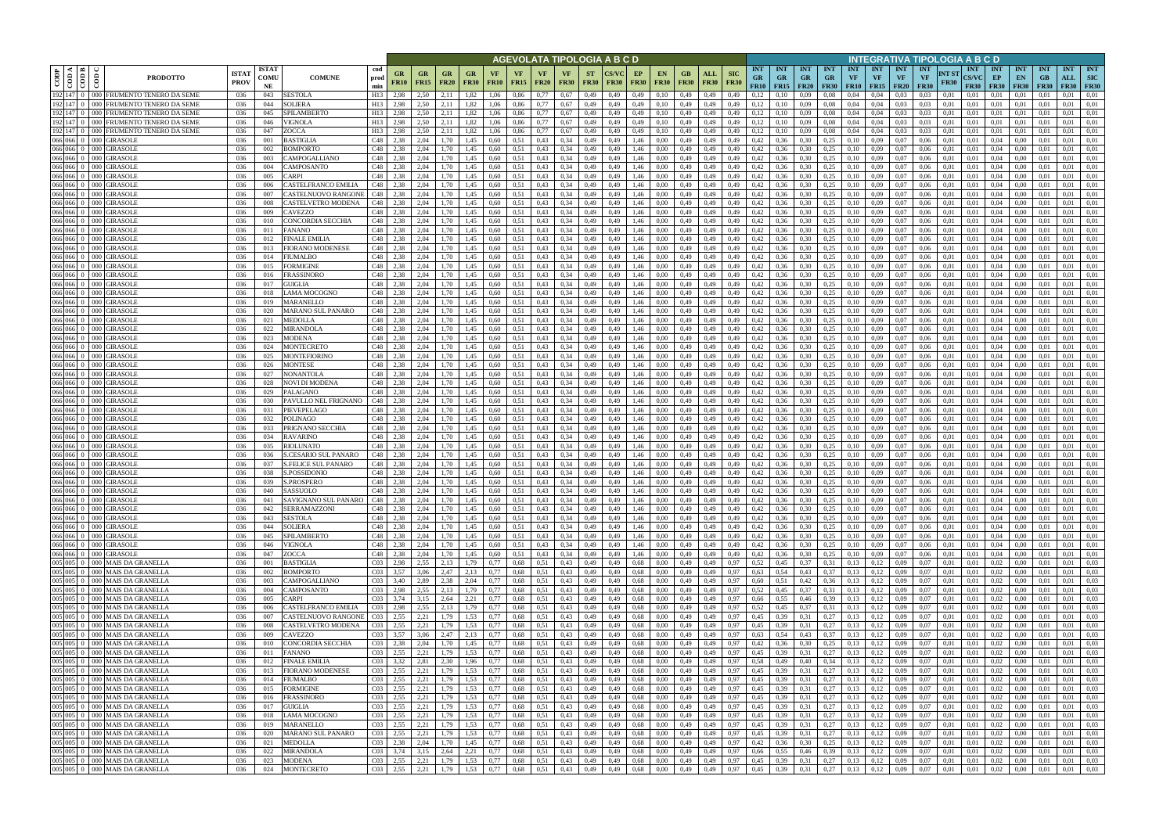|         |                                                     |                                                                      |                             |                            |                                                                  |                                              |                                              |                   |                          |                   |                   |                                | AGEVOLATA TIPOLOGIA A B C D               |                          |              |                   |                               |                   |                        |                           |                                                                  |                                          |                  |                                        |                  |                                      |                                        | INTEGRATIVA TIPOLOGIA A B C D |                      |                                           |                                 |                                      |                                 |                                  |                                         |
|---------|-----------------------------------------------------|----------------------------------------------------------------------|-----------------------------|----------------------------|------------------------------------------------------------------|----------------------------------------------|----------------------------------------------|-------------------|--------------------------|-------------------|-------------------|--------------------------------|-------------------------------------------|--------------------------|--------------|-------------------|-------------------------------|-------------------|------------------------|---------------------------|------------------------------------------------------------------|------------------------------------------|------------------|----------------------------------------|------------------|--------------------------------------|----------------------------------------|-------------------------------|----------------------|-------------------------------------------|---------------------------------|--------------------------------------|---------------------------------|----------------------------------|-----------------------------------------|
| CODP    | $\triangleleft$ $\blacksquare$<br>$rac{\cos}{\cos}$ | ĝ<br><b>PRODOTTO</b>                                                 | <b>ISTA1</b><br><b>PROV</b> | <b>ISTAT</b><br>COMU<br>NE | cod<br><b>COMUNE</b><br>prod<br>min                              | GR<br><b>FR10</b>                            | <b>GR</b><br><b>FR15</b>                     | GR<br><b>FR20</b> | GR.<br><b>FR30</b>       | VF<br><b>FR10</b> | VF<br><b>FR15</b> | <b>VF</b><br><b>FR20</b>       | <b>VF</b><br><b>FR30</b>                  | <b>ST</b><br><b>FR30</b> | <b>FR30</b>  | EP<br><b>FR30</b> | <b>EN</b><br><b>FR30</b>      | GВ<br><b>FR30</b> | ALL<br><b>FR30</b>     | <b>SIC</b><br><b>FR30</b> | <b>INT</b><br><b>GR</b><br>FR10                                  | <b>INT</b><br><b>GR</b><br>$FR15$ $FR20$ | INT<br><b>GR</b> | <b>INT</b><br><b>GR</b><br><b>FR30</b> | <b>INT</b><br>VF | <b>INT</b><br>VF<br><b>FR10</b> FR15 | <b>INT</b><br><b>VF</b><br><b>FR20</b> | <b>INT</b><br><b>VF</b>       | NT ST<br><b>FR30</b> | <b>INT</b><br><b>CS/VC</b><br><b>FR30</b> | <b>INT</b><br>EP<br><b>FR30</b> | <b>INT</b><br>EN<br><b>FR30</b>      | <b>INT</b><br>GB<br><b>FR30</b> | <b>INT</b><br>ALL<br><b>FR30</b> | <b>INT</b><br><b>SIC</b><br><b>FR30</b> |
|         | 192 147                                             | 000 FRUMENTO TENERO DA SEME                                          | 036                         | 043                        | SESTOLA<br>H13                                                   | 2.98                                         | 2,50                                         | 2.11              | 1.82                     | 1.06              | 0,86              | 0.77                           | 0.67                                      | 0,49                     | 0.49         | 0,49              | 0.10                          | 0,49              | 0,49                   | 0,49                      | 0.12                                                             |                                          | 0.09             | 0.08                                   | 0.04             | 0.04                                 | 0.03                                   | 0.03                          | 0.01                 | 0.01                                      | 0.01                            |                                      |                                 | 0.01                             | 0.01                                    |
| 192 147 | 192 147 0                                           | FRUMENTO TENERO DA SEME<br>000 l<br>FRUMENTO TENERO DA SEME<br>DOO 1 | 036<br>036                  | 044<br>045                 | SOLIERA<br>H13<br>SPILAMBERTO<br>H13                             | 2,98<br>2,98                                 | 2,50<br>2,50                                 | 2.11<br>2,11      | 1,82<br>1,82             | 1,06<br>1,06      | 0,86<br>0,86      | 0,77<br>0,77                   | 0.67<br>0,67                              | 0,49<br>0,49             | 0,49<br>0.49 | 0,49<br>0,49      | 0,10<br>0,10                  | 0,49<br>0,49      | 0,49<br>0,49           | 0,49<br>0,49              | 0,12<br>0,12                                                     | 0,10<br>0,10                             | 0,09<br>0,09     | 0.08<br>0.08                           | 0,04<br>0,04     | 0,04<br>0,04                         | 0.03<br>0.03                           | 0,03<br>0,03                  | 0,01<br>0,01         | 0,01<br>0,01                              | 0.01<br>0,01                    | 0,01<br>0,01                         | 0,01<br>-0.01                   | 0.01<br>0.01                     | 0,01<br>0,01                            |
|         | 192 147 0                                           | 000 FRUMENTO TENERO DA SEME                                          | 036                         | 046                        | VIGNOLA<br>H13                                                   | 2,98                                         | 2.50                                         | 2.11              | 1,82                     | 1.06              | 0.86              | 0.77                           | 0.67                                      | 0,49                     | 0.49         | 0,49              | 0.10                          | 0.49              | 0,49                   | 0,49                      | 0,12                                                             | 0,10                                     | 0,09             | 0.08                                   | 0,04             | 0.04                                 | 0.03                                   | 0.03                          | 0.01                 | 0.01                                      | 0.01                            | 0.01                                 | 0.01                            | 0.01                             | 0,01                                    |
| 192 147 |                                                     | FRUMENTO TENERO DA SEME<br>ാററ                                       | 036                         | 047                        | ZOCCA<br>H13                                                     | 2.98                                         | 2.50                                         | 2.11              | 1.82                     | 1.06              | 0.86              | 0.77                           | 0.67                                      | 0,49                     | 0.49         | 0,49              | 0.10                          | 0.49              | 0,49                   | 0.49                      | 0,12                                                             | 0.10                                     | 0.09             | 0.08                                   | 0.04             | 0.04                                 | 0.03                                   | 0.03                          | 0.01                 | 0.01                                      | 0.01                            | 0.01                                 | - 0.0                           | 0.01                             | 0.01                                    |
|         | 066 066 0<br>066 066 0                              | 000 GIRASOLE<br>GIRASOLI<br>000 <sup>1</sup>                         | 036<br>036                  | 001<br>002                 | <b>BASTIGLIA</b><br>C48<br>BOMPORTO<br>C <sub>48</sub>           | 2,38<br>2.38                                 | 2,04<br>2.04                                 | 1.70<br>1.70      | 1,45<br>1.45             | 0,60<br>0.60      | 0,51<br>0.51      | 0,43<br>0.43                   | 0,34<br>0.34                              | 0,49                     | 0.49<br>0.49 | 1,46<br>1.46      | 0.00<br>0.00                  | 0,49<br>0.49      | 0,49<br>0.49           | 0,49<br>0.49              | 0,42<br>0,42                                                     | 0,36<br>0.36                             | 0,30<br>0,30     | 0.25<br>0,25                           | 0.10<br>0.10     | 0.09<br>0.09                         | 0,07<br>0.07                           | 0,06<br>0.06                  | 0.01<br>0.01         | 0.01<br>0.01                              | 0.04<br>0.04                    | 0,00<br>0.00                         | 0.01<br>0.01                    | 0.01<br>0.01                     | 0,01<br>0.01                            |
|         | 066 066 0                                           | <b>GIRASOLI</b><br>$000 -$                                           | 036                         | 003                        | CAMPOGALLIANO<br>C48                                             | 2.38                                         | 2.04                                         | 1.70              | 1,45                     | 0.60              | 0,51              | 0,43                           | 0,34                                      | 0,49<br>0,49             | 0.49         | 1.46              | 0.00                          | 0.49              | 0,49                   | 0,49                      | 0,42                                                             | 0,36                                     | 0,30             | 0,25                                   | 0,10             | 0.09                                 | 0.07                                   | 0.06                          | 0.01                 | 0.01                                      | 0.04                            | 0.00                                 | 0.01                            | 0.01                             | 0.01                                    |
|         | 066 066 0                                           | <b>GIRASOLE</b><br>000 <sub>1</sub>                                  | 036                         | 004                        | CAMPOSANTO<br>C48                                                | 2.38                                         | 2.04                                         | 1,70              | 1,45                     | 0,60              | 0,51              | 0,43                           | 0,34                                      | 0,49                     | 0.49         | 1,46              | 0.00                          | 0,49              | 0,49                   | 0,49                      | 0,42                                                             | 0,36                                     | 0,30             | 0,25                                   | 0,10             | 0.09                                 | 0,07                                   | 0.06                          | 0.01                 | 0,01                                      | 0,04                            | 0,00                                 | 0.01                            | 0.01                             | 0,01                                    |
|         | 066 066 0                                           | GIRASOLI<br>$000 -$                                                  | 036                         | 005                        | <b>ARPI</b><br>C48                                               | 2,38                                         | 2,04                                         | 1.70              | 1,45                     | 0.60              | 0,51              | 0,43                           | 0,34                                      | 0,49                     | 0,49         | 1,46              | 0.00                          | 0,49              | 0,49                   | 0,49                      | 0,42                                                             | 0,36                                     | 0,30             | 0,25                                   | 0,10             | 0.09                                 | 0,07                                   | 0,06                          | 0,01                 | 0,01                                      | 0,04                            | 0,00                                 | 0.01                            | 0.01                             | 0,01                                    |
|         | 066 066<br>066 066 0                                | GIRASOLI<br>000 <sub>1</sub><br>GIRASOLI<br>000 I                    | 036<br>036                  | 006<br>007                 | CASTELFRANCO EMILIA<br>C48<br>CASTELNUOVO RANGONI<br>C48         | 2.38<br>2,38                                 | 2,04<br>2,04                                 | 1,70<br>1,70      | 1,45<br>1,45             | 0.60<br>0,60      | 0,51<br>0,51      | 0,43<br>0,43                   | 0,34<br>0,34                              | 0,49<br>0,49             | 0,49<br>0.49 | 1,46<br>1,46      | 0,00<br>0,00                  | 0,49<br>0,49      | 0,49<br>0,49           | 0,49<br>0,49              | 0,42<br>0,42                                                     | 0,36<br>0,36                             | 0,30<br>0,30     | 0,25<br>0,25                           | 0,10<br>0,10     | 0.09<br>0,09                         | 0.07<br>0,07                           | 0,06<br>0,06                  | 0.01<br>0,01         | 0,01<br>0,01                              | 0,04<br>0,04                    | 0,00<br>0,00                         | 0.01<br>0,01                    | 0,01<br>0,01                     | 0,01<br>0,01                            |
|         | 066 066 0                                           | GIRASOLI<br>000                                                      | 036                         | 008                        | C48<br>CASTELVETRO MODENA                                        | 2,38                                         | 2.04                                         | 1,70              | 1,45                     | 0,60              | 0,51              | 0,43                           | 0.34                                      | 0,49                     | 0.49         | 1,46              | 0.00                          | 0,49              | 0,49                   | 0,49                      | 0,42                                                             | 0,36                                     | 0,30             | 0,25                                   | 0,10             | 0,09                                 | 0,07                                   | 0,06                          | 0.01                 | 0,01                                      | 0,04                            | 0,00                                 | 0.01                            | 0,01                             | 0,01                                    |
|         | 0660600                                             | GIRASOLI<br>000                                                      | 036                         | 009                        | C48<br>CAVEZZO                                                   | 2,38                                         | 2,04                                         | 1,70              | 1,45                     | 0,60              | 0,51              | 0,43                           | 0,34                                      | 0,49                     | 0,49         | 1,46              | 0.00                          | 0,49              | 0,49                   | 0,49                      | 0,42                                                             | 0,36                                     | 0,30             | 0,25                                   | 0,10             | 0,09                                 | 0,07                                   | 0,06                          | 0,01                 | 0,01                                      | 0,04                            | 0,00                                 | 0.01                            | 0,01                             | 0,01                                    |
|         | 066 066 0                                           | GIRASOLI<br>000                                                      | 036                         | 010                        | C48<br>CONCORDIA SECCHIA                                         | 2,38                                         | 2,04                                         | 1,70              | 1,45                     | 0,60              | 0,51              | 0.43                           | 0,34                                      | 0,49                     | 0.49         | 1,46              | 0,00                          | 0,49              | 0,49                   | 0,49                      | 0,42                                                             | 0,36                                     | 0,30             | 0.25                                   | 0,10             | 0,09                                 | 0,07                                   | 0,06                          | 0,01                 | 0.01                                      | 0,04                            | 0,00                                 | 0,01                            | 0,01                             | 0,01                                    |
|         | 066 066 0<br>066 066 0                              | GIRASOLI<br>GIRASOLI<br>000                                          | 036<br>036                  | 011<br>012                 | <b>FANANO</b><br>C48<br><b>FINALE EMILIA</b><br>C48              | 2.38<br>2.38                                 | 2.04<br>2.04                                 | 1.70<br>1,70      | 1.45<br>1.45             | 0.60<br>0.60      | 0.51<br>0,51      | 0,43<br>0,43                   | 0.34<br>0,34                              | 0.49<br>0,49             | 0.49<br>0.49 | 1.46<br>1.46      | 0.00<br>0.00                  | 0,49<br>0,49      | 0,49<br>0,49           | 0.49<br>0.49              | 0,42<br>0,42                                                     | 0.36<br>0.36                             | 0,30<br>0.30     | 0.25<br>0,25                           | 0,10<br>0,10     | 0,09<br>0,09                         | 0.07<br>0,07                           | 0.06<br>0.06                  | 0.01<br>0.01         | 0.01<br>0.01                              | 0.04<br>0.04                    | 0.00<br>0.00                         | 0.01<br>0.01                    | 0.01<br>0,01                     | 0.01<br>0.01                            |
| 066 066 |                                                     | GIRASOLI                                                             | 036                         | 013                        | C48<br>FIORANO MODENESE                                          | 2,38                                         | 2,04                                         | 1.70              | 1,45                     | 0,60              | 0,51              | 0,43                           | 0,34                                      | 0,49                     | 0.49         | 1,46              | 0.00                          | 0,49              | 0,49                   | 0.49                      | 0,42                                                             | 0,36                                     | 0,30             | 0,25                                   | 0,10             | 0,09                                 | 0.07                                   | 0,06                          | 0.01                 | 0.01                                      | 0,04                            | 0,00                                 | 0.01                            | 0.01                             | 0,01                                    |
|         | 066 066 0                                           | GIRASOL<br>000 <sub>1</sub>                                          | 036                         | 014                        | C48<br>FIUMALBO                                                  | 2.38                                         | 2.04                                         | 1.70              | 1.45                     | 0.60              | 0,51              | 0.43                           | 0.34                                      | 0.49                     | 0.49         | 1.46              | 0.00                          | 0,49              | 0.49                   | 0.49                      | 0,42                                                             |                                          | 0.30             | 0,25                                   | 0.10             | 0.09                                 | 0.07                                   | 0.06                          | 0.01                 | 0.01                                      | 0.04                            | 0.00                                 | 0.01                            | 0.01                             | 0.01                                    |
| 066 066 |                                                     | <b>GIRASOLI</b>                                                      | 036                         | 015                        | C48<br>FORMIGINE                                                 | 2.38                                         | 2.04                                         | 1.70              | 1.45                     | 0.60              | 0.51              | 0,43                           | 0.34                                      | 0.49                     | 0.49         | 1.46              | 0.00                          | 0.49              | 0.49                   | 0.49                      | 0,42                                                             | 0.36                                     | 0,30             | 0,25                                   | 0.10             | 0.09                                 | 0.07                                   | 0.06                          | 0.01                 | 0.01                                      | 0.04                            | 0.00                                 |                                 | 0.01                             | 0.01                                    |
| 066 066 | 066 066 0                                           | GIRASOLI<br>000 <sub>1</sub><br>GIRASOLI<br>000 <sup>1</sup>         | 036<br>036                  | 016<br>017                 | FRASSINORO<br>C48<br>C48<br>GUIGLIA                              | 2.38<br>2.38                                 | 2.04<br>2.04                                 | 1.70<br>1.70      | 1,45<br>1.45             | 0,60<br>0.60      | 0,51<br>0.51      | 0,43<br>0.43                   | 0,34<br>0,34                              | 0,49<br>0,49             | 0,49<br>0.49 | 1,46<br>1,46      | 0.00<br>0.00                  | 0,49<br>0.49      | 0,49<br>0,49           | 0,49                      | 0,42<br>0,42                                                     | 0.36<br>0.36                             | 0,30<br>0,30     | 0,25<br>0,25                           | 0,10<br>0,10     | 0.09<br>0.09                         | 0.07<br>0.07                           | 0,06<br>0.06                  | 0.01<br>0.01         | 0.01<br>0,01                              | 0,04<br>0,04                    | 0.00<br>$0.00\,$                     | 0.01                            | 0,01<br>0.01                     | 0,01<br>0.01                            |
|         | 066 066 0                                           | 000 GIRASOLI                                                         | 036                         | 018                        | LAMA MOCOGNO<br>C48                                              | 2.38                                         | 2,04                                         | 1.70              | 1,45                     | 0,60              | 0,51              | 0,43                           | 0,34                                      | 0,49                     | 0,49         | 1,46              | 0.00                          | 0,49              | 0,49                   | 0,49                      | 0,42                                                             | 0,36                                     | 0,30             | 0.25                                   | 0,10             | 0.09                                 | 0,07                                   | 0,06                          | 0,01                 | 0,01                                      | 0,04                            | $0.00\,$                             | 0.01                            | 0.01                             | 0.01                                    |
| 066 066 |                                                     | GIRASOLI<br>000 <sup>1</sup>                                         | 036                         | 019                        | C48<br>MARANELLO                                                 | 2.38                                         | 2,04                                         | 1.70              | 1,45                     | 0,60              | 0,51              | 0,43                           | 0,34                                      | 0,49                     | 0.49         | 1,46              | 0.00                          | 0,49              | 0,49                   | 0,49                      | 0,42                                                             | 0,36                                     | 0,30             | 0,25                                   | $_{0.10}$        | 0,09                                 | 0.07                                   | 0,06                          | 0.01                 | 0,01                                      | 0,04                            | 0.00                                 |                                 | 0.01                             | 0,01                                    |
|         | 066 066 0                                           | <b>GIRASOL</b><br>000                                                | 036                         | 020                        | C48<br>MARANO SUL PANARO                                         | 2.38                                         | 2,04                                         | 1.70              | 1,45                     | 0,60              | 0,51              | 0,43                           | 0.34                                      | 0,49                     | 0.49         | 1,46              | 0.00                          | 0,49              | 0,49                   | 0,49                      | 0,42                                                             | 0,36                                     | 0.30             | 0,25                                   | 0,10             | 0.09                                 | 0.07                                   | 0,06                          | 0.01                 | 0,01                                      | 0.04                            | 0.00                                 | 0.01                            | 0,01                             | 0.01                                    |
|         | 066 066<br>066 066 0                                | GIRASOL<br>DOC<br>000 GIRASOLI                                       | 036<br>036                  | 021<br>022                 | C48<br>MEDOLLA<br>C48<br>MIRANDOLA                               | 2.38<br>2,38                                 | 2.04<br>2,04                                 | 1.70<br>1,70      | 1.45<br>1,45             | 0.60<br>0,60      | 0.51<br>0,51      | 0,43<br>0,43                   | 0.34<br>0,34                              | 0,49<br>0,49             | 0.49<br>0.49 | 1,46<br>1,46      | 0.00<br>0,00                  | 0,49<br>0,49      | 0,49<br>0,49           | 0.49<br>0,49              | 0,42<br>0,42                                                     | 0.36<br>0,36                             | 0.30<br>0,30     | 0.25<br>0,25                           | 0.10<br>0,10     | 0.09<br>0,09                         | 0.07                                   | 0.06<br>0,06                  | 0.01<br>0,01         | 0.01<br>0,01                              | 0.04<br>0,04                    | 0.00<br>0,00                         | 0,01                            | 0.01<br>0,01                     | 0.01<br>0,01                            |
|         | 066 066 0                                           | <b>GIRASOLE</b><br>000 <sub>1</sub>                                  | 036                         | 023                        | C48<br>MODENA                                                    | 2.38                                         | 2.04                                         | 1.70              | 1,45                     | 0.60              | 0.51              | 0,43                           | 0.34                                      | 0,49                     | 0.49         | 1,46              | 0.00                          | 0.49              | 0,49                   | 0.49                      | 0,42                                                             | 0,36                                     | 0,30             | 0.25                                   | 0.10             | 0.09                                 | 0.07                                   | 0.06                          | 0.01                 | 0.01                                      | 0.04                            | 0.00                                 | 0.01                            | 0.01                             | 0.01                                    |
|         | 066 066 0                                           | 000 GIRASOLE                                                         | 036                         | 024                        | C48<br>MONTECRETO                                                | 2.38                                         | 2,04                                         | 1.70              | 1,45                     | 0.60              | 0,51              | 0,43                           | 0.34                                      | 0,49                     | 0.49         | 1,46              | 0.00                          | 0,49              | 0,49                   | 0,49                      | 0,42                                                             | 0,36                                     | 0,30             | 0,25                                   | 0,10             | 0.09                                 | 0,07                                   | 0.06                          | 0.01                 | 0.01                                      | 0.04                            | 0,00                                 | 0.01                            | 0.01                             | 0,01                                    |
|         | 066 066 0                                           | GIRASOLI<br>000 <sub>1</sub>                                         | 036                         | 025                        | C48<br>MONTEFIORINO                                              | 2,38                                         | 2.04                                         | 1.70              | 1,45                     | 0.60              | 0,51              | 0,43                           | 0.34                                      | 0,49                     | 0.49         | 1,46              | 0.00                          | 0,49              | 0,49                   | 0.49                      | 0,42                                                             | 0,36                                     | 0,30             | 0.25                                   | 0.10             | 0.09                                 | 0.07                                   | 0.06                          | 0.01                 | 0.01                                      | 0.04                            | 0.00                                 | -0.01                           | 0.01                             | 0,01                                    |
|         | 066 066 0<br>066 066 0                              | GIRASOLI<br>$000 -$<br>GIRASOLI<br>000 I                             | 036<br>036                  | 026<br>027                 | C48<br>MONTESE<br>NONANTOLA<br>C <sub>48</sub>                   | 2.38<br>2,38                                 | 2.04<br>2.04                                 | 1.70<br>1.70      | 1,45<br>1,45             | 0.60<br>0.60      | 0.51<br>0,51      | 0,43<br>0,43                   | 0.34<br>0.34                              | 0,49<br>0,49             | 0.49<br>0.49 | 1,46<br>1.46      | 0.00<br>0.00                  | 0.49<br>0.49      | 0,49<br>0,49           | 0,49<br>0.49              | 0,42<br>0,42                                                     | 0,36<br>0,36                             | 0,30<br>0,30     | 0,25<br>0,25                           | 0.10<br>0.10     | 0.09<br>0.09                         | 0.07<br>0.07                           | 0.06<br>0.06                  | 0.01<br>0.01         | 0.01<br>0.01                              | 0.04<br>0.04                    | 0.00<br>0.00                         | 0.01<br>0.01                    | 0.01<br>0.01                     | 0.01<br>0.01                            |
|         | 066 066 0                                           | 000 GIRASOLE                                                         | 036                         | 028                        | C48<br>NOVI DI MODENA                                            | 2,38                                         | 2,04                                         | 1,70              | 1,45                     | 0,60              | 0,51              | 0,43                           | 0,34                                      | 0,49                     | 0,49         | 1,46              | 0.00                          | 0,49              | 0,49                   | 0,49                      | 0,42                                                             | 0,36                                     | 0,30             | 0,25                                   | 0,10             | 0,09                                 | 0,07                                   | 0,06                          | 0,01                 | 0,01                                      | 0,04                            | $0.00\,$                             | 0.01                            | 0.01                             | 0,01                                    |
| 066 066 |                                                     | GIRASOLI<br>000 I                                                    | 036                         | 029                        | C48<br>PALAGANO                                                  | 2.38                                         | 2.04                                         | 1,70              | 1,45                     | 0,60              | 0,51              | 0,43                           | 0.34                                      | 0,49                     | 0.49         | 1,46              | 0.00                          | 0,49              | 0,49                   | 0.49                      | 0,42                                                             | 0,36                                     | 0.30             | 0.25                                   | 0,10             | 0.09                                 | 0,07                                   | 0.06                          | 0.01                 | 0.01                                      | 0,04                            | 0.00                                 | 0.01                            | 0,01                             | 0,01                                    |
|         | 066 066 0                                           | GIRASOLI<br>$000 -$                                                  | 036                         | 030                        | C48<br>PAVULLO NEL FRIGNANO                                      | 2,38                                         | 2,04                                         | 1,70              | 1,45                     | 0,60              | 0,51              | 0,43                           | 0,34                                      | 0,49                     | 0,49         | 1,46              | 0.00                          | 0,49              | 0,49                   | 0,49                      | 0,42                                                             | 0,36                                     | 0,30             | 0.25                                   | 0,10             | 0.09                                 | 0,07                                   | 0,06                          | 0,01                 | 0.01                                      | 0,04                            | 0,00                                 | 0.01                            | 0.01                             | 0,01                                    |
|         | 066 066 0<br>066 066 0                              | GIRASOLI<br>000 <sub>1</sub><br>GIRASOLI                             | 036<br>036                  | 031<br>032                 | PIEVEPELAGO<br>C48<br>C48<br>POLINAGO                            | 2,38<br>2,38                                 | 2,04<br>2.04                                 | 1,70<br>1,70      | 1,45<br>1,45             | 0,60<br>0,60      | 0,51<br>0,51      | 0,43<br>0,43                   | 0,34<br>0,34                              | 0,49<br>0,49             | 0,49<br>0,49 | 1,46<br>1,46      | 0,00<br>0,00                  | 0,49<br>0,49      | 0,49<br>0,49           | 0,49<br>0,49              | 0,42<br>0,42                                                     | 0,36<br>0,36                             | 0,30<br>0,30     | 0,25<br>0.25                           | 0,10<br>0,10     | 0,09<br>0,09                         | 0.07<br>0,07                           | 0,06<br>0,06                  | 0,01<br>0,01         | 0,01<br>0,01                              | 0,04<br>0,04                    | 0,00<br>0,00                         | 0,01<br>0.01                    | 0,01<br>0,01                     | 0,01<br>0,01                            |
|         | 066 066 0                                           | GIRASOLI<br>000                                                      | 036                         | 033                        | PRIGNANO SECCHIA<br>C48                                          | 2,38                                         | 2.04                                         | 1,70              | 1,45                     | 0,60              | 0,51              | 0,43                           | 0,34                                      | 0,49                     | 0,49         | 1,46              | 0,00                          | 0,49              | 0,49                   | 0,49                      | 0,42                                                             | 0,36                                     | 0,30             | 0,25                                   | 0,10             | 0,09                                 | 0,07                                   | 0,06                          | 0,01                 | 0,01                                      | 0,04                            | 0,00                                 | 0,01                            | 0,01                             | 0,01                                    |
|         | 066 066 0                                           | <b>GIRASOLE</b><br>.000                                              | 036                         | 034                        | C48<br>RAVARINO                                                  | 2,38                                         | 2,04                                         | 1,70              | 1,45                     | 0,60              | 0,51              | 0,43                           | 0,34                                      | 0,49                     | 0,49         | 1,46              | 0,00                          | 0,49              | 0,49                   | 0,49                      | 0,42                                                             | 0,36                                     | 0,30             | 0.25                                   | 0,10             | 0,09                                 | 0,07                                   | 0,06                          | 0,01                 | 0.01                                      | 0,04                            | 0,00                                 | 0.01                            | 0,01                             | 0,01                                    |
| 066 066 | 066 066 0                                           | GIRASOLI<br>000                                                      | 036                         | 035                        | RIOLUNATO<br>C48                                                 | 2.38<br>2.38                                 | 2.04<br>2.04                                 | 1,70              | 1.45                     | 0,60              | 0,51              | 0,43                           | 0,34                                      | 0,49                     | 0.49         | 1,46              | 0.00                          | 0,49              | 0,49                   | 0.49                      | 0,42                                                             | 0.36                                     | 0,30             | 0,25                                   | 0.10             | 0,09                                 | 0.07                                   | 0.06                          | 0.01                 | 0.01                                      | 0.04                            | 0.00                                 | 0.01                            | 0,01<br>0.01                     | 0.01<br>0.01                            |
|         | 066 066 0                                           | <b>GIRASOLI</b><br>GIRASOLI<br>000                                   | 036<br>036                  | 036<br>037                 | <b>S.CESARIO SUL PANARO</b><br>C48<br>S.FELICE SUL PANARO<br>C48 | 2,38                                         | 2,04                                         | 1.70<br>1,70      | 1.45<br>1,45             | 0.60<br>0,60      | 0,51<br>0,51      | 0,43<br>0,43                   | 0,34<br>0,34                              | 0,49<br>0,49             | 0.49<br>0.49 | 1,46<br>1,46      | 0.00<br>0.00                  | 0,49<br>0,49      | 0,49<br>0,49           | 0.49<br>0,49              | 0,42<br>0,42                                                     | 0.36<br>0,36                             | 0,30<br>0,30     | 0,25<br>0,25                           | 0,10<br>0,10     | 0,09<br>0,09                         | 0.07<br>0,07                           | 0.06<br>0,06                  | 0.01<br>0,01         | 0.01<br>0,01                              | 0,04<br>0,04                    | 0.00<br>0,00                         | 0.01<br>0,01                    | 0,01                             | 0,01                                    |
|         | 066 066 0                                           | GIRASOLI<br>.000                                                     | 036                         | 038                        | C48<br><b>S.POSSIDONIC</b>                                       | 2.38                                         | 2.04                                         | 1.70              | 1.45                     | 0.60              | 0.51              | 0.43                           | 0.34                                      | 0.49                     | 0.49         | 1.46              | 0.00                          | 0.49              | 0.49                   | 0.49                      | 0.42                                                             | 0.36                                     | 0.30             | 0.25                                   | 0.10             | 0.09                                 | 0.07                                   | 0.06                          | 0.01                 | 0.01                                      | 0.04                            | 0.00                                 | 0.01                            | 0.01                             | 0.01                                    |
|         |                                                     | 066 066 0 000 GIRASOLE                                               | 036                         | 039                        | C48<br>S.PROSPERO                                                | 2.38                                         | 2.04                                         | 1,70              | 1,45                     | 0,60              | 0,51              | 0,43                           | 0,34                                      | 0,49                     | 0,49         | 1,46              | 0.00                          | 0,49              | 0,49                   | 0,49                      | 0,42                                                             | 0,36                                     | 0,30             | 0,25                                   | 0,10             | 0.09                                 | 0,07                                   | 0.06                          | 0,01                 | 0.01                                      | 0.04                            | 0.00                                 | 0.01                            | 0,01                             | 0,01                                    |
|         |                                                     | 066 066 0 000 GIRASOLE<br>066 066 0 000 GIRASOLE                     | 036<br>036                  | 040<br>041                 | C48<br>SASSUOLO<br>SAVIGNANO SUL PANARO   C48                    | 2.38<br>2,38                                 | 2.04<br>2,04                                 | 1,70<br>1,70      | 1,45<br>1,45             | 0.60<br>0,60      | 0.51<br>0,51      | 0.43<br>0,43                   | 0,34<br>0,34                              | 0.49<br>0,49             | 0.49<br>0,49 | 1.46<br>1,46      | 0.00<br>0,00                  | 0.49<br>0,49      | 0,49<br>0,49           | 0.49<br>0,49              | 0,42<br>0,42                                                     | 0,36<br>0,36                             | 0,30<br>0,30     | 0,25<br>0,25                           | 0.10<br>0,10     | 0.09<br>0,09                         | 0.07<br>0,07                           | 0.06<br>0,06                  | 0.01<br>0,01         | 0.01<br>0,01                              | 0.04<br>0,04                    | 0.00<br>0,00                         | 0.01<br>0,01                    | 0.01<br>0,01                     | 0.01<br>0,01                            |
|         |                                                     | 066 066 0 000 GIRASOLE                                               | 036                         | 042                        | SERRAMAZZONI                                                     | C <sub>48</sub> 2,38                         | 2,04                                         | 1,70              | 1,45                     | 0,60              | 0,51              | $0,43$ $0,34$                  |                                           | 0,49                     | 0,49         | 1,46              | 0,00                          | 0,49              | 0,49                   | 0,49                      | 0,42                                                             | 0,36                                     | 0,30             | 0,25                                   | 0,10             | 0,09                                 | 0,07                                   | 0,06                          | 0,01                 | 0,01                                      | 0,04                            | 0,00                                 | 0,01                            | 0,01                             | 0,01                                    |
|         |                                                     | 066 066 0 000 GIRASOLE                                               | 036                         | 043                        | <b>SESTOLA</b>                                                   | C <sub>48</sub> 2,38                         | 2,04                                         | 1,70              | 1,45                     | 0,60              | 0,51              | $0,43$ 0,34                    |                                           | 0,49                     | 0,49         | 1,46              | 0,00                          |                   | 0,49 0,49              | 0,49                      | 0,42                                                             | $0,36$ 0,30                              |                  | 0,25                                   | 0,10             | 0,09                                 | 0,07                                   | 0,06                          | 0,01                 | 0,01                                      | 0,04                            | 0,00                                 | 0,01                            | 0,01                             | 0,01                                    |
|         |                                                     | 066 066 0 000 GIRASOLE                                               | 036                         | 044                        | <b>SOLIERA</b>                                                   | C <sub>48</sub> 2,38                         | 2,04                                         | 1,70              | 1,45                     | 0,60              | 0,51              | $0,43$ $0,34$                  |                                           | 0,49                     | 0,49         | 1,46              | 0,00                          |                   | 0,49 0,49              | 0,49                      | 0,42                                                             | $0,36$ $0,30$                            |                  | 0,25                                   | 0,10             | 0,09                                 | 0,07                                   | 0,06                          | 0,01                 | 0,01                                      | 0,04                            | 0,00                                 | 0,01                            | 0.01                             | 0,01                                    |
|         |                                                     | 066 066 0 000 GIRASOLE<br>066 066 0 000 GIRASOLE                     | 036<br>036                  | 045<br>046                 | SPILAMBERTO<br><b>VIGNOLA</b>                                    | C <sub>48</sub> 2,38<br>C <sub>48</sub> 2,38 | 2,04<br>2,04                                 | 1,70<br>1,70      | 1,45<br>1,45             | 0,60<br>0,60      | 0,51<br>0,51      | $0,43$ $0,34$<br>$0,43$ $0,34$ |                                           | 0,49<br>0,49             | 0,49<br>0,49 | 1,46<br>1,46      | 0,00<br>0,00                  |                   | 0,49 0,49<br>0,49 0,49 | 0,49<br>0,49              | 0,42<br>0,42                                                     | 0,36<br>0,36                             | 0,30<br>0,30     | 0,25<br>0,25                           | 0,10<br>0,10     | 0,09<br>0,09                         | 0,07<br>0,07                           | 0,06<br>0,06                  | 0,01<br>0,01         | 0,01<br>0,01                              | 0,04<br>0,04                    | 0,00<br>$0,00$ $0,01$                | 0,01                            | 0.01<br>0,01                     | 0,01<br>0,01                            |
|         |                                                     | 066 066 0 000 GIRASOLE                                               | 036                         | 047                        | ZOCCA                                                            | C <sub>48</sub> 2,38                         | 2,04                                         | 1,70              | 1,45 0,60                |                   | 0,51              | $0,43$ $0,34$                  |                                           | 0,49                     | 0,49         | 1,46              | 0,00                          |                   | 0,49 0,49              | 0,49                      | 0,42                                                             | 0,36 0,30                                |                  | 0,25                                   | 0,10             | 0,09                                 | 0,07                                   | 0,06                          | 0,01                 | 0,01                                      | 0,04                            | $0,00$ $0,01$                        |                                 |                                  | $0,01$ $0,01$                           |
|         |                                                     | 005 005 0 000 MAIS DA GRANELLA                                       | 036                         | 001                        | <b>BASTIGLIA</b>                                                 | C <sub>03</sub> 2.98                         |                                              | $2,55$ $2,13$     | 1,79 0,77                |                   | 0,68              |                                | $0,51$ 0.43                               | 0,49                     | 0,49         | 0,68              | 0,00                          |                   | 0,49 0,49              | 0,97                      | 0,52                                                             | $0,45$ 0.37                              |                  | 0,31                                   |                  | $0,13$ 0.12                          | 0,09                                   | 0,07                          | 0,01                 | 0,01                                      | 0,02                            | $0,00$ $0,01$                        |                                 | 0,01                             | 0,03                                    |
|         |                                                     | 005 005 0 000 MAIS DA GRANELLA                                       | 036                         | 002                        | BOMPORTO                                                         | C <sub>03</sub> 3,57                         | 3,06                                         | 2,47              | 2,13 0,77                |                   | 0,68              |                                | $0,51$ 0.43                               | 0,49                     | 0,49         | 0,68              | 0,00                          |                   | 0,49 0,49              | 0,97                      | 0,63                                                             | $0,54$ 0,43                              |                  | 0,37                                   | $0,13$ $0,12$    |                                      | 0,09                                   | 0,07                          | 0,01                 | 0,01                                      | 0,02                            | $0,00$ $0,01$                        |                                 | 0,01                             | 0,03                                    |
|         |                                                     | 005 005 0 000 MAIS DA GRANELLA<br>005 005 0 000 MAIS DA GRANELLA     | 036<br>036                  | 003<br>004                 | CAMPOGALLIANO<br>CAMPOSANTO                                      | $C03$ 3,40<br>C03 2,98                       | 2,89<br>2,55                                 | 2,38<br>2,13      | 2,04<br>1,79             | 0,77<br>0,77      | 0,68<br>0,68      | $0,51$ 0.43<br>$0,51$ 0.43     |                                           | 0,49<br>0,49             | 0,49<br>0,49 | 0,68<br>0,68      | 0,00<br>0,00                  | 0,49<br>0,49      | 0,49<br>0,49           | 0,97<br>0,97              | 0,60<br>0,52                                                     | 0,51<br>$0,45$ 0,37                      | 0,42             | 0,36<br>0,31                           | 0,13<br>0,13     | 0,12<br>0,12                         | 0,09<br>0,09                           | 0,07<br>0,07                  | 0,01<br>0,01         | 0,01<br>0,01                              | 0,02<br>0,02                    | 0,00<br>0,00                         | 0,01<br>0,01                    | 0,01<br>0.01                     | 0,03<br>0,03                            |
|         |                                                     | 005 005 0 000 MAIS DA GRANELLA                                       | 036                         | 005                        | CARPI                                                            | C <sub>03</sub> 3,74                         | 3,15                                         | 2,64              | 2,21                     | 0,77              | 0,68              | $0,51$ 0.43                    |                                           | 0,49                     | 0,49         | 0,68              | 0,00                          | 0,49              | 0,49                   | 0,97                      | 0,66                                                             | $0,55$ 0.46                              |                  | 0,39                                   | 0,13             | 0,12                                 | 0,09                                   | 0,07                          | 0,01                 | 0,01                                      | 0,02                            | $0,00$ $0,01$                        |                                 | 0,01                             | 0,03                                    |
|         |                                                     | 005 005 0 000 MAIS DA GRANELLA                                       | 036                         | 006                        | CASTELFRANCO EMILIA                                              | C <sub>03</sub> 2,98                         | 2,55                                         | 2,13              | 1,79                     | 0,77              | 0,68              | $0,51$ 0.43                    |                                           | 0,49                     | 0,49         | 0,68              | 0,00                          | 0,49              | 0,49                   | 0,97                      | 0,52                                                             | $0,45$ $0,37$                            |                  | 0,31                                   | 0,13             | 0,12                                 | 0,09                                   | 0,07                          | 0,01                 | 0,01                                      | $0,02$ 0.00                     |                                      | 0.01                            | 0,01                             | 0,03                                    |
|         |                                                     | 005 005 0 000 MAIS DA GRANELLA<br>005 005 0 000 MAIS DA GRANELLA     | 036                         | 007                        | CASTELNUOVO RANGONE                                              | C <sub>03</sub> 2,55                         | 2,21                                         | 1,79              | $1,53$ 0,77<br>1,53 0,77 |                   | 0,68              | $0,51$ 0.43                    |                                           | 0,49                     | 0,49         | 0,68              | 0,00                          |                   | 0,49 0,49              | 0,97                      | 0,45<br>0,45                                                     | $0,39$ $0,31$                            |                  | 0,27                                   | 0,13             | 0,12                                 | 0,09                                   | 0,07                          | 0,01                 | 0,01                                      | $0,02$ 0.00                     |                                      | 0.01                            | 0,01                             | 0,03                                    |
|         |                                                     | 005 005 0 000 MAIS DA GRANELLA                                       | 036<br>036                  | 008<br>009                 | CASTELVETRO MODENA<br>CAVEZZO                                    | $C03$ 2,55<br>C <sub>03</sub> 3.57           | 2,21<br>3,06                                 | 1,79<br>2,47      | 2,13 0,77                |                   | 0,68<br>0,68      | $0,51$ 0.43<br>$0,51$ 0.43     |                                           | 0,49<br>0,49             | 0,49<br>0,49 | 0,68<br>0,68      | 0,00<br>0,00                  | 0,49              | 0,49<br>0,49 0,49      | 0,97<br>0,97              | 0,63                                                             | $0,39$ $0,31$<br>$0,54$ $0,43$           |                  | 0,27<br>0,37                           | 0,13             | 0,12<br>$0,13$ $0,12$                | 0,09<br>0,09                           | 0,07<br>0,07                  | 0,01<br>0,01         | 0,01<br>0,01                              | 0,02                            | 0,00<br>$0.02 \quad 0.00 \quad 0.01$ | 0,01                            | 0,01<br>0,01                     | 0,03<br>0,03                            |
|         |                                                     | 005 005 0 000 MAIS DA GRANELLA                                       | 036                         | 010                        | CONCORDIA SECCHIA                                                | $C03$ 2,38                                   | 2,04                                         | 1,70              | 1,45 0,77                |                   | 0,68              | $0,51$ 0.43                    |                                           | 0,49                     | 0,49         | 0,68              | 0,00                          |                   | 0,49 0,49              | 0,97                      | $0,42$ 0,36 0,30                                                 |                                          |                  | 0,25                                   | $0,13$ $0,12$    |                                      | 0,09                                   | 0,07                          | 0,01                 | 0,01                                      |                                 | $0,02$ 0,00 0,01                     |                                 | 0,01                             | 0,03                                    |
|         |                                                     | 005 005 0 000 MAIS DA GRANELLA                                       | 036                         | 011                        | FANANO                                                           | $C03$ 2,55                                   |                                              | 2,21 1,79         | 1,53 0,77                |                   | 0,68              | $0,51$ 0.43                    |                                           | 0,49                     | 0,49         | 0,68              | 0,00                          |                   | 0,49 0,49              | 0,97                      | $0,45$ $0,39$ $0,31$                                             |                                          |                  | 0,27                                   | 0,13             | 0,12                                 | 0,09                                   | 0,07                          | 0,01                 | 0,01                                      |                                 | $0,02$ $0,00$ $0,01$                 |                                 | 0,01                             | 0,03                                    |
|         |                                                     | 005 005 0 000 MAIS DA GRANELLA<br>005 005 0 000 MAIS DA GRANELLA     | 036<br>036                  | 012                        | <b>FINALE EMILIA</b><br><b>FIORANO MODENESE</b>                  | C <sub>03</sub> 3,32<br>$C03$ 2.55           |                                              | 2,81 2,30<br>1,79 | 1,96 0,77<br>1,53        |                   | 0,68              | $0,51$ 0.43<br>$0,51$ 0.43     |                                           | 0,49                     | 0.49         | 0,68              | 0,00<br>0,00                  |                   | 0,49 0,49              | 0,97                      | $0,58$ 0,49 0,40 0,34<br>$0,45$ $0,39$ $0,31$                    |                                          |                  | 0,27                                   |                  | $0,13$ $0,12$                        | 0,09                                   | 0,07                          | 0,01                 | 0,01<br>0,01                              |                                 | $0,02$ $0,00$ $0,01$                 |                                 | 0,01<br>0,01                     | 0,03<br>0,03                            |
|         |                                                     | 005 005 0 000 MAIS DA GRANELLA                                       | 036                         | 013<br>014                 | <b>FIUMALBO</b>                                                  | $C03$ 2.55                                   | 2,21                                         | 2,21 1,79         | 1,53 0,77                | 0,77              | 0,68<br>0,68      | $0,51$ 0.43                    |                                           | 0,49<br>0,49             | 0,49<br>0,49 | 0,68<br>0,68      | 0,00                          |                   | 0,49 0,49<br>0,49 0,49 | 0,97<br>0,97              | $0,45$ $0,39$ $0,31$                                             |                                          |                  | 0,27                                   | 0,13<br>0,13     | 0,12<br>0,12                         | 0,09<br>0,09                           | 0,07<br>0,07                  | 0,01<br>0,01         | 0,01                                      | $0,02$ 0.00<br>$0,02$ 0.00      |                                      | 0.01<br>  0.01                  | 0,01                             | 0,03                                    |
|         |                                                     | 005 005 0 000 MAIS DA GRANELLA                                       | 036                         | 015                        | <b>FORMIGINE</b>                                                 | C <sub>03</sub> 2.55                         | 2,21                                         | 1,79              | 1,53 0,77                |                   | 0,68              | $0,51$ 0.43                    |                                           | 0,49                     | 0,49         | 0,68              | 0,00                          |                   | 0,49 0,49              | 0,97                      | $0,45$ $0,39$ $0,31$                                             |                                          |                  | 0,27                                   | 0,13             | 0,12                                 | 0,09                                   | 0,07                          | 0,01                 | 0,01                                      | $0,02$ 0.00                     |                                      | 0,01                            | 0,01                             | 0,03                                    |
|         |                                                     | 005 005 0 000 MAIS DA GRANELLA                                       | 036                         | 016                        | <b>FRASSINORO</b>                                                | C <sub>03</sub> 2.55                         |                                              | 2,21 1,79         | $1,53$ 0,77              |                   | 0,68              |                                | $0,51$ 0.43                               | 0,49                     | 0,49         | 0,68              | 0,00                          |                   | 0,49 0,49              | 0,97                      | $0,45$ 0,39 0,31                                                 |                                          |                  | 0,27                                   | $0,13$ $0,12$    |                                      | 0,09                                   | 0,07                          | 0,01                 | 0,01                                      | $0,02$ 0.00                     |                                      | 0,01                            | 0,01                             | 0,03                                    |
|         |                                                     | 005 005 0 000 MAIS DA GRANELLA<br>005 005 0 000 MAIS DA GRANELLA     | 036                         | 017                        | <b>GUIGLIA</b>                                                   | $C03$ 2,55<br>$C03$ 2.55                     | 2,21                                         | 1,79              | 1,53<br>1,53             | 0,77              | 0,68              | $0,51$ 0.43                    |                                           | 0,49                     | 0,49         | 0,68              | 0,00                          |                   | 0,49 0,49              | 0,97                      | 0,45                                                             | 0,39                                     | 0,31             | 0,27                                   | 0,13             | 0,12                                 | 0,09                                   | 0,07                          | 0,01                 | 0,01                                      | $0,02 \qquad 0,00$<br>0,02      |                                      | 0,01                            | 0,01                             | 0,03<br>0,03                            |
|         |                                                     | 005 005 0 000 MAIS DA GRANELLA                                       | 036<br>036                  | 018<br>019                 | LAMA MOCOGNO<br>MARANELLO                                        | $C03$ 2,55                                   | 2,21<br>2,21                                 | 1,79<br>1,79      | 1,53                     | 0,77<br>0,77      | 0,68<br>0,68      | 0,51<br>$0,51$ 0.43            | 0,43                                      | 0,49<br>0,49             | 0,49<br>0,49 | 0,68<br>0,68      | 0,00<br>0,00                  | 0,49<br>0,49      | 0,49<br>0,49           | 0,97<br>0,97              | 0,45<br>0,45                                                     | 0,39<br>0,39                             | 0,31<br>0,31     | 0,27<br>0,27                           | 0,13<br>0,13     | 0,12<br>0,12                         | 0.09<br>0,09                           | 0,07<br>0,07                  | 0,01<br>0,01         | 0,01<br>0,01                              | 0,02                            | 0,00<br>0,00                         | 0,01<br>0,01                    | 0,01<br>0,01                     | 0,03                                    |
|         |                                                     | 005 005 0 000 MAIS DA GRANELLA                                       | 036                         | 020                        | MARANO SUL PANARO                                                | $C03$ 2,55                                   | 2,21                                         | 1,79              | $1,53$ 0,77              |                   | 0,68              | $0,51$ 0.43                    |                                           | 0,49                     | 0,49         | 0,68              | 0,00                          |                   | 0,49 0,49              | 0,97                      | 0,45                                                             | 0,39 0,31                                |                  | 0,27                                   |                  | $0,13$ $0,12$                        | 0,09                                   | 0,07                          | 0,01                 | 0,01                                      | $0,02$ 0.00                     |                                      | 0,01                            | 0,01                             | 0,03                                    |
|         |                                                     | 005 005 0 000 MAIS DA GRANELLA                                       | 036                         | 021                        | <b>MEDOLLA</b>                                                   | $C03$ 2,38                                   | 2,04                                         | 1,70              | 1,45 0,77                |                   | 0,68              | $0,51$ 0.43                    |                                           | 0,49                     | 0,49         | 0,68              | 0,00                          |                   | 0,49 0,49              | 0,97                      | 0,42                                                             | 0,36 0,30                                |                  | 0,25                                   | 0,13             | 0,12                                 | 0,09                                   | 0,07                          | 0,01                 | 0,01                                      | 0,02                            | $0,00$ $0,01$                        |                                 | 0,01                             | 0,03                                    |
|         |                                                     | 005 005 0 000 MAIS DA GRANELLA                                       | 036                         | 022                        | <b>MIRANDOLA</b>                                                 | $C03$ 3,74                                   |                                              | $3,15$ 2,64       | 2,21 0,77                |                   | 0,68              |                                | $0,51$ $0,43$                             | 0,49 0,49                |              | 0,68              | 0,00                          |                   | 0,49 0,49              |                           | 0,97 0,66                                                        | $0,55$ 0.46 0.39                         |                  |                                        |                  | $0,13$ $0,12$                        | 0,09                                   | 0,07                          | 0,01                 | 0,01                                      |                                 | $0,02 \quad 0,00 \quad 0,01$         |                                 | 0,01                             | 0,03                                    |
|         |                                                     | 005 005 0 000 MAIS DA GRANELLA<br>005 005 0 000 MAIS DA GRANELLA     | 036<br>036                  | 023<br>024                 | <b>MODENA</b><br><b>MONTECRETO</b>                               |                                              | $C03$ 2,55 2,21 1,79<br>$C03$ 2,55 2,21 1,79 |                   | 1,53 0,77<br>1,53 0,77   |                   | 0,68              |                                | $0,51$ 0.43<br>$0,68$ 0.51 0.43 0.49 0.49 | 0,49 0,49                |              | 0,68              | 0,00<br>$0,68$ 0.00 0.49 0.49 |                   | 0,49 0,49              |                           | $0,97$ $0,45$ $0,39$ $0,31$ $0,27$<br>$0,97$ 0.45 0.39 0.31 0.27 |                                          |                  |                                        | $0,13$ $0,12$    | $0,13$ $0,12$                        | 0,09<br>0,09                           | 0,07<br>0,07                  | 0,01<br>0,01         | 0,01<br>$0,01$ 0.02 0.00 0.01             |                                 | $0,02 \quad 0,00 \quad 0,01$         |                                 |                                  | $0,01$ 0.03<br>$0,01$ 0.03              |
|         |                                                     |                                                                      |                             |                            |                                                                  |                                              |                                              |                   |                          |                   |                   |                                |                                           |                          |              |                   |                               |                   |                        |                           |                                                                  |                                          |                  |                                        |                  |                                      |                                        |                               |                      |                                           |                                 |                                      |                                 |                                  |                                         |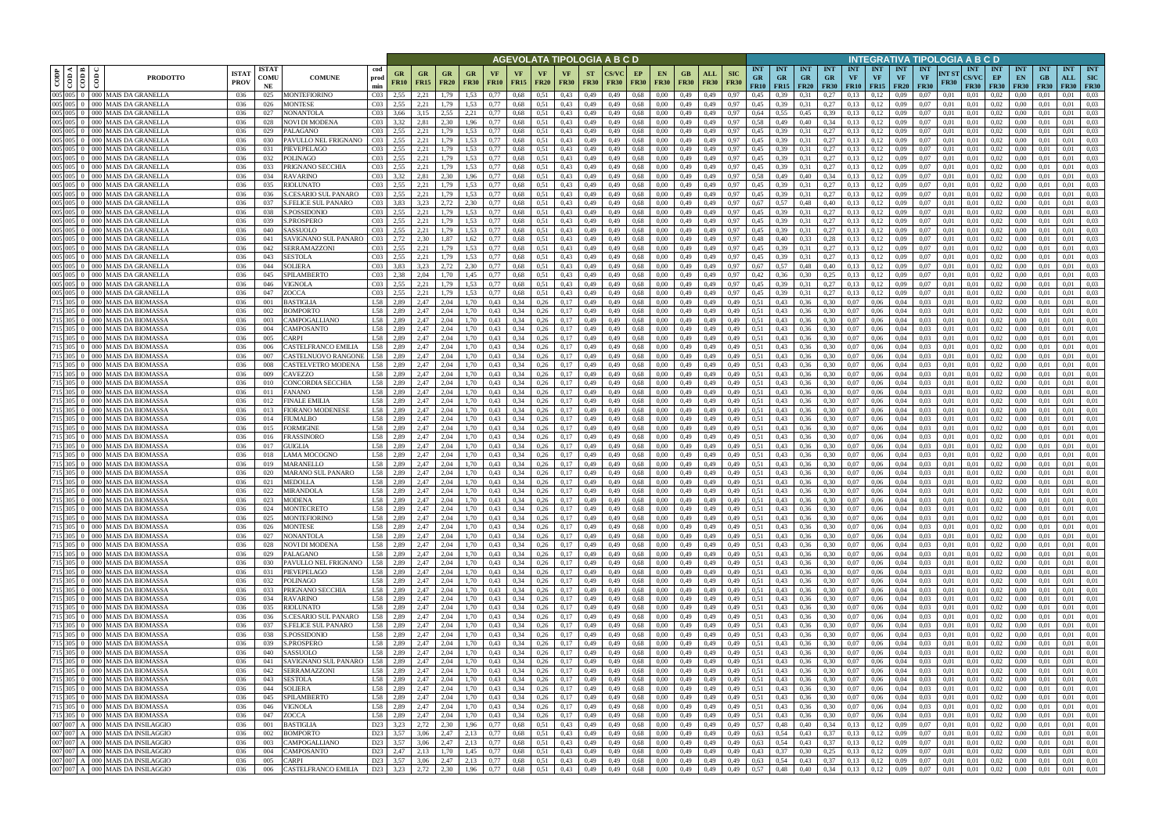|         |                                  |                                                                      |                             |                            |                                                    |                                                    |                        |                                     |                            |                   |                   |                              | AGEVOLATA TIPOLOGIA A B C D           |                          |              |                   |                          |                        |                                                 |                                 |                                        |                  |                                 |                                      |                  |                                        | INTEGRATIVA TIPOLOGIA A B C D |                      |                                           |                                   |                                                  |                                 |                                  |                                         |
|---------|----------------------------------|----------------------------------------------------------------------|-----------------------------|----------------------------|----------------------------------------------------|----------------------------------------------------|------------------------|-------------------------------------|----------------------------|-------------------|-------------------|------------------------------|---------------------------------------|--------------------------|--------------|-------------------|--------------------------|------------------------|-------------------------------------------------|---------------------------------|----------------------------------------|------------------|---------------------------------|--------------------------------------|------------------|----------------------------------------|-------------------------------|----------------------|-------------------------------------------|-----------------------------------|--------------------------------------------------|---------------------------------|----------------------------------|-----------------------------------------|
| CODP    | ≺ I ≃ I<br>$rac{1}{\cos \theta}$ | දී<br><b>PRODOTTO</b>                                                | <b>ISTA1</b><br><b>PROV</b> | <b>ISTAT</b><br>COMU<br>NE | cod<br><b>COMUNE</b><br>prod<br>min                | GR<br><b>FR10</b>                                  | $G_{R}$<br><b>FR15</b> | <b>FR20</b>                         | GR<br><b>FR30</b>          | VF<br><b>FR10</b> | VF<br><b>FR15</b> | <b>VF</b><br><b>FR20</b>     | <b>VF</b><br><b>FR30</b>              | <b>ST</b><br><b>FR30</b> | <b>FR30</b>  | EP<br><b>FR30</b> | <b>EN</b><br><b>FR30</b> | GB.<br><b>FR30</b>     | <b>SIC</b><br>ALL<br><b>FR30</b><br><b>FR30</b> | <b>INT</b><br><b>GR</b><br>FR10 | <b>INT</b><br><b>GR</b><br>$FR15$ FR20 | INT<br><b>GR</b> | <b>INT</b><br>GR<br><b>FR30</b> | <b>INT</b><br>VF<br><b>FR10</b> FR15 | <b>INT</b><br>VF | <b>INT</b><br><b>VF</b><br><b>FR20</b> | <b>INT</b><br><b>VF</b>       | NT ST<br><b>FR30</b> | <b>INT</b><br><b>CS/VC</b><br><b>FR30</b> | <b>INT</b><br>EP<br><b>FR30</b>   | <b>INT</b><br>EN<br><b>FR30</b>                  | <b>INT</b><br>GB<br><b>FR30</b> | <b>INT</b><br>ALL<br><b>FR30</b> | <b>INT</b><br><b>SIC</b><br><b>FR30</b> |
|         | $005 \ 005 \ 0$                  | 000 MAIS DA GRANELLA                                                 | 036                         | 025                        | MONTEFIORINO                                       | CO <sub>3</sub><br>2.55                            | 2,21                   | 1.79                                | 1.53                       | 0.77              | 0,68              | 0,51                         | 0.43                                  | 0,49                     | 0.49         | 0.68              | 0.00                     | 0.49                   | 0,49<br>0.97                                    | 0.45                            | 0.39                                   | 0.31             | 0.27                            | 0.13                                 | 0.12             | 0.09                                   | 0.07                          | 0.01                 | 0.01                                      | 0.02                              | 0.00                                             |                                 | 0.01                             | 0.03                                    |
| 005 005 | 005 005 0                        | 000 MAIS DA GRANELLA<br>000 MAIS DA GRANELLA                         | 036<br>036                  | 026<br>027                 | MONTESE<br>NONANTOLA                               | CO <sub>3</sub><br>2.55<br>CO <sub>3</sub><br>3,66 | 2,21<br>3,15           | 1.79<br>2.55                        | 1,53<br>2,21               | 0.77<br>0,77      | 0,68<br>0,68      | 0,51<br>0.51                 | 0,43<br>0,43                          | 0,49<br>0,49             | 0,49<br>0.49 | 0,68<br>0,68      | 0.00<br>0.00             | 0,49<br>0,49           | 0,49<br>0,97<br>0.97<br>0,49                    | 0,45<br>0,64                    | 0.39<br>0.55                           | 0.31<br>0,45     | 0,27<br>0.39                    | 0,13<br>0,13                         | 0,12<br>0,12     | 0.09<br>0.09                           | 0,07<br>0.07                  | 0,01<br>0,01         | 0.01<br>0,01                              | 0.02<br>0,02                      | 0,00<br>0,00                                     | 0,01<br>-0.01                   | 0.01<br>0.01                     | 0.03<br>0.03                            |
|         | 005 005 0                        | 000 MAIS DA GRANELLA                                                 | 036                         | 028                        | NOVI DI MODENA                                     | CO <sub>3</sub><br>3.32                            | 2,81                   | 2.30                                | 1,96                       | 0.77              | 0.68              | 0.51                         | 0.43                                  | 0,49                     | 0.49         | 0.68              | 0.00                     | 0.49                   | 0,49<br>0.97                                    | 0.58                            | 0,49                                   | 0.40             | 0.34                            | 0.13                                 | 0.12             | 0.09                                   | 0.07                          | 0.01                 | 0.01                                      | 0.02                              | 0.00                                             | 0.01                            | 0.01                             | 0.03                                    |
| 005 005 |                                  | 000 MAIS DA GRANELLA                                                 | 036                         | 029                        | PALAGANO                                           | CO <sub>3</sub><br>2.55                            | 2.21                   | 1.79                                | 1.53                       | 0.77              | 0.68              | 0.51                         | 0.43                                  | 0.49                     | 0.49         | 0.68              | 0.00                     | 0.49                   | 0.49<br>0.97                                    | 0.45                            | 0.39                                   | 0.31             | 0.27                            | 0.13                                 | 0.12             | 0.09                                   | 0.07                          | 0.01                 | 0.01                                      | 0.02                              | 0.00                                             |                                 | 0.01                             | 0.03                                    |
|         | 005 005 0                        | 000 MAIS DA GRANELLA                                                 | 036                         | -030                       | PAVULLO NEL FRIGNANO                               | CO <sub>3</sub><br>2,55                            | 2,21                   | 1.79                                | 1,53                       | 0.77              | 0.68              | 0,51                         | 0,43                                  | 0,49                     | 0.49         | 0,68              | 0.00                     | 0,49                   | 0,49<br>0,97                                    | 0,45                            | 0,39                                   | 0.31             | 0,27                            | 0.13                                 | 0,12             | 0.09                                   | 0.07                          | 0.01                 | 0.01                                      | 0.02                              | 0.00                                             | 0.01                            | 0.01                             | 0.03                                    |
|         | 005 005 0<br>005 005 0           | 000 MAIS DA GRANELLA<br>000 MAIS DA GRANELLA                         | 036<br>036                  | 031<br>032                 | PIEVEPELAGO<br>POLINAGO                            | CO <sub>3</sub><br>2.55<br>CO <sub>3</sub><br>2.55 | 2.21<br>2,21           | 1.79<br>1.79                        | 1.53<br>1.53               | 0.77<br>0.77      | 0.68<br>0.68      | 0.51<br>0.51                 | 0.43<br>0,43                          | 0.49<br>0,49             | 0.49<br>0.49 | 0.68<br>0.68      | 0.00<br>0.00             | 0.49<br>0.49           | 0.97<br>0.49<br>0.97<br>0,49                    | 0.45<br>0.45                    | 0.39<br>0,39                           | 0.31<br>0.31     | 0,27<br>0,27                    | 0.13<br>0.13                         | 0,12<br>0,12     | 0.09<br>0,09                           | 0.07<br>0.07                  | 0.01<br>0.01         | 0.01<br>0.01                              | 0.02<br>0.02                      | 0.00<br>0.00                                     | 0.01<br>0.01                    | 0.01<br>0.01                     | 0.03<br>0.03                            |
|         | 005 005 0                        | 000 MAIS DA GRANELLA                                                 | 036                         | 033                        | PRIGNANO SECCHIA                                   | 2.55<br>CO <sub>3</sub>                            | 2,21                   | 1,79                                | 1,53                       | 0.77              | 0,68              | 0.51                         | 0.43                                  | 0,49                     | 0.49         | 0.68              | 0.00                     | 0.49                   | 0,49<br>0.97                                    | 0.45                            | 0.39                                   | 0,31             | 0,27                            | 0.13                                 | 0,12             | 0,09                                   | 0.07                          | 0.01                 | 0.01                                      | 0,02                              | 0.00                                             | 0.01                            | 0.01                             | 0.03                                    |
| 005 005 |                                  | <b>MAIS DA GRANELLA</b><br>000 <sup>1</sup>                          | 036                         | 034                        | RAVARINO                                           | CO <sub>3</sub><br>3,32                            | 2,81                   | 2.30                                | 1,96                       | 0,77              | 0,68              | 0,51                         | 0,43                                  | 0,49                     | 0.49         | 0.68              | 0.00                     | 0,49                   | 0,49<br>0.97                                    | 0.58                            | 0,49                                   | 0,40             | 0,34                            | 0,13                                 | 0,12             | 0.09                                   | 0.07                          | 0,01                 | 0.01                                      | 0,02                              | 0,00                                             | 0.01                            | 0.01                             | 0.03                                    |
| 005 005 |                                  | <b>MAIS DA GRANELLA</b><br>000 <sup>1</sup>                          | 036                         | 035                        | RIOLUNATO                                          | CO <sub>3</sub><br>2,55                            | 2,21                   | 1.79                                | 1,53                       | 0,77              | 0,68              | 0.51                         | 0.43                                  | 0,49                     | 0.49         | 0.68              | 0.00                     | 0,49                   | 0,49<br>0.97                                    | 0,45                            | 0.39                                   | 0,31             | 0,27                            | 0.13                                 | 0,12             | 0.09                                   | 0.07                          | 0.01                 | 0,01                                      | 0,02                              | 0,00                                             | 0.01                            | 0.01                             | 0.03                                    |
|         | 005 005 0<br>005 005 0           | 000   MAIS DA GRANELLA<br><b>MAIS DA GRANELLA</b><br>000.            | 036<br>036                  | 036<br>037                 | S.CESARIO SUL PANARO<br><b>S.FELICE SUL PANARO</b> | CO <sub>3</sub><br>2,55<br>CO <sub>3</sub><br>3,83 | 2,21<br>3.23           | 1,79<br>2.72                        | 1,53<br>2.30               | 0,77<br>0.77      | 0,68<br>0,68      | 0,51<br>0.51                 | 0,43<br>0.43                          | 0,49<br>0,49             | 0.49<br>0.49 | 0.68<br>0.68      | 0,00<br>0.00             | 0,49<br>0,49           | 0,49<br>0,97<br>0,49<br>0.97                    | 0,45<br>0,67                    | 0,39<br>0.57                           | 0,31<br>0.48     | 0,27<br>0,40                    | 0,13<br>0.13                         | 0,12<br>0,12     | 0.09<br>0.09                           | 0,07<br>0.07                  | 0,01<br>0.01         | 0.01<br>0.01                              | 0,02<br>0.02                      | 0,00<br>0.00                                     | 0,01<br>0.01                    | 0,01<br>0,01                     | 0,03<br>0.03                            |
|         | $005 \ 005 \ 0$                  | 000 MAIS DA GRANELLA                                                 | 036                         | 038                        | S.POSSIDONIO                                       | CO <sub>3</sub><br>2,55                            | 2,21                   | 1.79                                | 1,53                       | 0,77              | 0,68              | 0.51                         | 0.43                                  | 0,49                     | 0.49         | 0.68              | 0.00                     | 0,49                   | 0,49<br>0.97                                    | 0,45                            | 0,39                                   | 0.31             | 0,27                            | 0.13                                 | 0,12             | 0.09                                   | 0.07                          | 0,01                 | 0.01                                      | 0,02                              | 0,00                                             | 0.01                            | 0.01                             | 0.03                                    |
|         | 005 005 0                        | 000 MAIS DA GRANELLA                                                 | 036                         | 039                        | S.PROSPERO                                         | CO <sub>3</sub><br>2,55                            | 2,21                   | 1.79                                | 1,53                       | 0,77              | 0,68              | 0.51                         | 0,43                                  | 0,49                     | 0.49         | 0.68              | 0.00                     | 0,49                   | 0,49<br>0.97                                    | 0,45                            | 0.39                                   | 0,31             | 0,27                            | 0,13                                 | 0,12             | 0.09                                   | 0.07                          | 0.01                 | 0.01                                      | 0,02                              | 0,00                                             | 0.01                            | 0,01                             | 0.03                                    |
|         | $005 \ 005 \ 0$                  | 000 MAIS DA GRANELLA                                                 | 036                         | 040                        | SASSUOLO                                           | CO <sub>3</sub><br>2.55                            | 2.21                   | 1.79                                | 1.53                       | 0.77              | 0.68              | 0.51                         | 0.43                                  | 0.49                     | 0.49         | 0.68              | 0.00                     | 0.49                   | 0.97<br>0.49                                    | 0.45                            | 0.39                                   | 0.31             | 0.27                            | 0.13                                 | 0.12             | 0.09                                   | 0.07                          | 0.01                 | 0.01                                      | 0.02                              | 0.00                                             | 0.01                            | 0.01                             | 0.03                                    |
| 005 005 | 005 005 0                        | 000 MAIS DA GRANELLA<br>000 MAIS DA GRANELLA                         | 036<br>036                  | 041<br>042                 | SAVIGNANO SUL PANARO<br>SERRAMAZZONI               | CO <sub>3</sub><br>2.72<br>CO <sub>3</sub><br>2,55 | 2.30<br>2,21           | 1.87<br>1.79                        | 1.62<br>1,53               | 0.77<br>0.77      | 0.68<br>0,68      | 0.51<br>0.51                 | 0.43<br>0,43                          | 0.49<br>0,49             | 0.49<br>0.49 | 0.68<br>0.68      | 0.00<br>0.00             | 0,49<br>0,49           | 0.49<br>0.97<br>0,49<br>0.97                    | 0.48<br>0,45                    | 0.40<br>0.39                           | 0.33<br>0.31     | 0.28<br>0,27                    | 0.13<br>0.13                         | 0.12<br>0,12     | 0.09<br>0.09                           | 0.07<br>0.07                  | 0.01<br>0.01         | 0.01<br>0.01                              | 0.02<br>0,02                      | 0.00<br>0.00                                     | 0.01<br>0.01                    | 0.01<br>0.01                     | 0.03<br>0.03                            |
|         | 005 005 0                        | 000 MAIS DA GRANELLA                                                 | 036                         | 043                        | SESTOLA                                            | CO <sub>3</sub><br>2.55                            | 2.21                   | 1.79                                | 1.53                       | 0.77              | 0.68              | 0.51                         | 0.43                                  | 0.49                     |              | 0.68              | 0.00                     | 0.49                   | 0.49<br>0.97                                    | 0.45                            | 0.39                                   | 0.31             | 0,27                            | 0.13                                 | 0.12             | 0.09                                   | 0.07                          | 0.01                 | 0.01                                      | 0.02                              | 0.00                                             |                                 | 0.01                             | 0.03                                    |
| 005 005 |                                  | 000 MAIS DA GRANELLA                                                 | 036                         | 044                        | <b>SOLIERA</b>                                     | CO <sub>3</sub><br>3.83                            | 3.23                   | 2.72                                | 2.30                       | 0.77              | 0.68              | 0.51                         | 0.43                                  | 0.49                     | 0.49         | 0.68              | 0.00                     | 0.49                   | 0.49<br>0.97                                    | 0.67                            | 0.57                                   | 0.48             | 0.40                            | 0.13                                 | 0.12             | 0.09                                   | 0.07                          | 0.01                 | 0.01                                      | 0.02                              | 0.00                                             |                                 | 0.01                             | 0.03                                    |
|         | 005 005 0                        | 000 MAIS DA GRANELLA                                                 | 036                         | 045                        | SPILAMBERTO                                        | CO <sub>3</sub><br>2.38                            | 2.04                   | 1.70                                | 1,45                       | 0,77              | 0.68              | 0.51                         | 0,43                                  | 0,49                     | 0.49         | 0,68              | 0.00                     | 0.49                   | 0.49<br>0.97                                    | 0,42                            | 0.36                                   | 0,30             | 0,25                            | 0.13                                 | 0,12             | 0.09                                   | 0.07                          | 0.01                 | 0.01                                      | 0,02                              | 0.00                                             |                                 | 0.01                             | 0.03                                    |
|         | $005 \, 005 \, 0$<br>005 005 0   | 000 MAIS DA GRANELLA<br>000 MAIS DA GRANELLA                         | 036<br>036                  | 046<br>047                 | VIGNOLA<br>ZOCCA                                   | CO <sub>3</sub><br>2.55<br>CO <sub>3</sub><br>2.55 | 2.21<br>2.21           | 1.79<br>1.79                        | 1.53<br>1,53               | 0.77<br>0,77      | 0.68<br>0,68      | 0.51<br>0.51                 | 0.43<br>0,43                          | 0,49<br>0,49             | 0.49<br>0,49 | 0.68<br>0.68      | 0.00<br>0.00             | 0.49<br>0,49           | 0.49<br>0.97<br>0,49<br>0,97                    | 0.45<br>0.45                    | 0.39<br>0.39                           | 0.31<br>0.31     | 0.27<br>0,27                    | 0.13<br>0,13                         | 0,12<br>0,12     | 0.09<br>0.09                           | 0.07<br>0.07                  | 0.01<br>0.01         | 0.01<br>0,01                              | 0.02<br>0,02                      | $0.00\,$<br>$0.00\,$                             | 0.01                            | 0.01<br>0.01                     | 0.03<br>0.03                            |
|         | 715 305 0                        | 000 MAIS DA BIOMASSA                                                 | 036                         | 001                        | BASTIGLIA                                          | L58<br>2.89                                        | 2,47                   | 2.04                                | 1.70                       | 0,43              | 0,34              | 0,26                         | 0,17                                  | 0,49                     | 0.49         | 0.68              | 0.00                     | 0,49                   | 0,49<br>0,49                                    | 0,51                            | 0.43                                   | 0,36             | 0.30                            | 0.07                                 | 0.06             | 0.04                                   | 0.03                          | 0.01                 | 0.01                                      | 0,02                              | 0.00                                             |                                 | 0.01                             | 0.01                                    |
|         | 715 305 0                        | 000 MAIS DA BIOMASSA                                                 | 036                         | 002                        | <b>BOMPORTO</b>                                    | L58<br>2.89                                        | 2,47                   | 2.04                                | .70                        | 0.43              | 0,34              | 0,26                         | 0.17                                  | 0,49                     | 0.49         | 0.68              | 0.00                     | 0,49                   | 0,49<br>0,49                                    | 0,51                            | 0.43                                   | 0.36             | 0.30                            | 0,07                                 | 0.06             | 0,04                                   | 0.03                          | 0.01                 | 0.01                                      | 0.02                              | 0.00                                             | 0.01                            | 0.01                             | 0.01                                    |
| 715 305 |                                  | MAIS DA BIOMASSA                                                     | 036                         | 003                        | CAMPOGALLIANO                                      | L58<br>2.89                                        | 2,47                   | 2.04                                | .70                        | 0.43              | 0.34              | 0,26                         | 0.17                                  | 0,49                     |              | 0.68              | 0.00                     | 0.49                   | 0,49<br>0.49                                    | 0,51                            | 0.43                                   | 0.36             | 0.30                            | 0.07                                 | 0.06             | 0.04                                   | 0.03                          | 0.01                 | 0.01                                      | 0.02                              | 0.00                                             |                                 | 0.01                             | 0.01                                    |
|         | 715 305 0<br>715 305 0           | 000 MAIS DA BIOMASSA                                                 | 036                         | 004                        | CAMPOSANTO                                         | L58<br>2,89<br>L58                                 | 2,47                   | 2,04<br>2.04                        | 1,70                       | 0.43              | 0,34              | 0,26                         | 0,17                                  | 0,49                     | 0.49         | 0.68              | 0.00                     | 0,49                   | 0,49<br>0,49                                    | 0,51<br>0.51                    | 0,43                                   | 0,36             | 0,30                            | 0,07                                 | 0,06             | 0,04                                   | 0,03<br>0.03                  | 0,01                 | 0,01                                      | 0,02                              | 0,00                                             | 0,01                            | 0,01                             | 0,01                                    |
|         | 715 305 0                        | 000 MAIS DA BIOMASSA<br>000 MAIS DA BIOMASSA                         | 036<br>036                  | 005<br>006                 | CARPI<br>CASTELFRANCO EMILIA                       | 2.89<br>L58<br>2.89                                | 2.47<br>2,47           | 2.04                                | 1.70<br>1,70               | 0.43<br>0.43      | 0.34<br>0,34      | 0.26<br>0.26                 | 0,17<br>0,17                          | 0,49<br>0,49             | 0.49<br>0.49 | 0.68<br>0.68      | 0.00<br>0.00             | 0.49<br>0,49           | 0.49<br>0.49<br>0,49<br>0,49                    | 0,51                            | 0.43<br>0,43                           | 0.36<br>0,36     | 0.30<br>0,30                    | 0.07<br>0.07                         | 0.06<br>0.06     | 0.04<br>0,04                           | 0.03                          | 0.01<br>0.01         | 0.01<br>0.01                              | 0.02<br>0.02                      | 0.00<br>0.00                                     | 0.01<br>0.01                    | 0.01<br>0.01                     | 0.01<br>0.01                            |
|         | 715 305 0                        | 000 MAIS DA BIOMASSA                                                 | 036                         | 007                        | CASTELNUOVO RANGONE                                | L58<br>2,89                                        | 2,47                   | 2.04                                | 1,70                       | 0.43              | 0.34              | 0.26                         | 0,17                                  | 0,49                     | 0.49         | 0.68              | 0.00                     | 0.49                   | 0,49<br>0.49                                    | 0,51                            | 0,43                                   | 0,36             | 0.30                            | 0.07                                 | 0.06             | 0.04                                   | 0.03                          | 0.01                 | 0.01                                      | 0.02                              | 0.00                                             | -0.01                           | 0.01                             | 0.01                                    |
|         | 715 305 0                        | 000 MAIS DA BIOMASSA                                                 | 036                         | 008                        | CASTELVETRO MODENA                                 | L58<br>2,89                                        | 2,47                   | 2.04                                | 1,70                       | 0.43              | 0.34              | 0.26                         | 0,17                                  | 0.49                     | 0.49         | 0.68              | 0.00                     | 0.49                   | 0.49<br>0.49                                    | 0.51                            | 0,43                                   | 0,36             | 0.30                            | 0.07                                 | 0.06             | 0.04                                   | 0.03                          | 0.01                 | 0.01                                      | 0.02                              | 0.00                                             | 0.01                            | 0.01                             | 0.01                                    |
|         | 715 305 0                        | <b>MAIS DA BIOMASSA</b><br>ാററ                                       | 036                         | 009                        | CAVEZZO                                            | L58 2,89                                           | 2.47                   | 2.04                                | 1.70                       | 0.43              | 0.34              | 0.26                         | 0,17                                  | 0,49                     | 0.49         | 0.68              | 0.00                     | 0.49                   | 0.49<br>0.49                                    | 0.51                            | 0.43                                   | 0.36             | 0.30                            | 0.07                                 | 0.06             | 0.04                                   | 0.03                          | 0.01                 | 0.01                                      | 0.02                              | 0.00                                             | 0.01                            | 0.01                             | 0.01                                    |
| 715 305 | 715 305 0                        | 000 MAIS DA BIOMASSA<br>MAIS DA BIOMASSA                             | 036<br>036                  | 010<br>011                 | CONCORDIA SECCHIA<br>FANANO                        | L58 2,89<br>L58 2,89                               | 2,47<br>2.47           | 2.04<br>2.04                        | 1,70<br>1,70               | 0,43<br>0.43      | 0,34<br>0.34      | 0,26<br>0,26                 | 0,17<br>0,17                          | 0,49<br>0,49             | 0.49<br>0.49 | 0,68<br>0.68      | 0.00<br>0.00             | 0,49<br>0,49           | 0,49<br>0,49<br>0,49<br>0.49                    | 0,51<br>0.51                    | 0,43<br>0.43                           | 0,36<br>0.36     | 0.30<br>0.30                    | 0,07<br>0.07                         | 0.06<br>0.06     | 0,04<br>0.04                           | 0.03<br>0.03                  | 0,01<br>0.01         | 0,01<br>0.01                              | 0,02<br>0.02                      | $0.00\,$<br>0.00                                 | 0.01<br>0.01                    | 0.01<br>0.01                     | 0,01<br>0,01                            |
|         | 715 305 0                        | <b>MAIS DA BIOMASSA</b><br>000 I                                     | 036                         | 012                        | FINALE EMILIA                                      | L58<br>2,89                                        | 2,47                   | 2.04                                | 1,70                       | 0.43              | 0,34              | 0,26                         | 0,17                                  | 0,49                     | 0.49         | 0.68              | 0.00                     | 0,49                   | 0,49<br>0,49                                    | 0,51                            | 0,43                                   | 0,36             | 0,30                            | 0,07                                 | 0.06             | 0,04                                   | 0.03                          | 0,01                 | 0.01                                      | 0,02                              | 0,00                                             | 0.01                            | 0.01                             | 0,01                                    |
|         | 715 305 0                        | MAIS DA BIOMASSA                                                     | 036                         | 013                        | FIORANO MODENESE                                   | L58<br>2,89                                        | 2,47                   | 2,04                                | 1,70                       | 0.43              | 0,34              | 0,26                         | 0,17                                  | 0,49                     | 0,49         | 0.68              | 0,00                     | 0,49                   | 0,49<br>0,49                                    | 0,51                            | 0,43                                   | 0,36             | 0,30                            | 0,07                                 | 0,06             | 0,04                                   | 0,03                          | 0,01                 | 0,01                                      | 0,02                              | 0,00                                             | 0,01                            | 0,01                             | 0,01                                    |
|         | 715 305 0                        | <b>MAIS DA BIOMASSA</b>                                              | 036                         | 014                        | FIUMALBO                                           | L58<br>2,89                                        | 2,47                   | 2.04                                | 1,70                       | 0.43              | 0,34              | 0,26                         | 0,17                                  | 0,49                     | 0.49         | 0.68              | 0.00                     | 0,49                   | 0,49<br>0,49                                    | 0.51                            | 0,43                                   | 0,36             | 0,30                            | 0,07                                 | 0,06             | 0,04                                   | 0,03                          | 0,01                 | 0.01                                      | 0,02                              | 0,00                                             | 0.01                            | 0.01                             | 0.01                                    |
|         | 715 305 0<br>715 305 0           | 000 MAIS DA BIOMASSA<br><b>MAIS DA BIOMASSA</b><br>$000 -$           | 036<br>036                  | 015<br>016                 | FORMIGINE<br>FRASSINORO                            | L58<br>2,89<br>L58<br>2,89                         | 2.47<br>2,47           | 2.04<br>2.04                        | 1,70<br>1,70               | 0,43<br>0,43      | 0,34<br>0,34      | 0,26<br>0,26                 | 0,17<br>0,17                          | 0,49<br>0,49             | 0,49<br>0.49 | 0.68<br>0.68      | 0.00<br>0.00             | 0,49<br>0,49           | 0,49<br>0,49<br>0,49<br>0,49                    | 0,51<br>0,51                    | 0,43<br>0,43                           | 0,36<br>0,36     | 0,30<br>0,30                    | 0,07<br>0.07                         | 0,06<br>0,06     | 0,04<br>0,04                           | 0,03<br>0,03                  | 0.01<br>0,01         | 0.01<br>0.01                              | 0,02<br>0,02                      | 0,00<br>0,00                                     | 0.01<br>0.01                    | 0,01<br>0.01                     | 0.01<br>0.01                            |
|         | 715 305 0                        | 000 MAIS DA BIOMASSA                                                 | 036                         | 017                        | <b>GUIGLIA</b>                                     | L58<br>2.89                                        | 2.47                   | 2.04                                | 1.70                       | 0.43              | 0.34              | 0.26                         | 0.17                                  | 0.49                     | 0.49         | 0.68              | 0.00                     | 0,49                   | 0.49<br>0.49                                    | 0.51                            | 0.43                                   | 0.36             | 0.30                            | 0.07                                 | 0.06             | 0.04                                   | 0.03                          | 0.01                 | 0.01                                      | 0.02                              | 0.00                                             | 0.01                            | 0.01                             | 0.01                                    |
|         | 715 305 0                        | MAIS DA BIOMASSA<br>000 <sup>1</sup>                                 | 036                         | 018                        | LAMA MOCOGNO                                       | L58<br>2.89                                        | 2.47                   | 2.04                                | 1.70                       | 0.43              | 0.34              | 0.26                         | 0.17                                  | 0.49                     | 0.49         | 0.68              | 0.00                     | 0,49                   | 0.49<br>0.49                                    | 0.51                            | 0.43                                   | 0.36             | 0.30                            | 0.07                                 | 0.06             | 0.04                                   | 0.03                          | 0.01                 | 0.01                                      | 0.02                              | 0.00                                             | 0.01                            | 0.01                             | 0.01                                    |
|         | 715 305 0                        | 000 MAIS DA BIOMASSA                                                 | 036                         | 019                        | MARANELLO                                          | L58<br>2,89                                        | 2,47                   | 2.04                                | 1.70                       | 0.43              | 0,34              | 0,26                         | 0,17                                  | 0,49                     | 0.49         | 0,68              | 0.00                     | 0,49                   | 0,49<br>0.49                                    | 0,51                            | 0.43                                   | 0,36             | 0.30                            | 0,07                                 | 0,06             | 0,04                                   | 0,03                          | 0.01                 | 0.01                                      | 0,02                              | 0,00                                             | 0.01                            | 0,01                             | 0,01                                    |
|         | 715 305 0                        | 000 MAIS DA BIOMASSA<br>715 305 0 000 MAIS DA BIOMASSA               | 036<br>036                  | 020<br>021                 | MARANO SUL PANARO<br><b>MEDOLLA</b>                | L58<br>2.89<br>L58<br>2.89                         | 2.47<br>2.47           | 2.04<br>2.04                        | 1.70<br>1.70               | 0.43<br>0.43      | 0.34<br>0,34      | 0.26<br>0,26                 | 0.17<br>0.17                          | 0.49<br>0,49             | 0.49<br>0.49 | 0.68<br>0.68      | 0.00<br>0.00             | 0.49<br>0.49           | 0.49<br>0.49<br>0.49<br>0.49                    | 0.51<br>0,51                    | 0.43<br>0,43                           | 0.36<br>0.36     | 0.30<br>0,30                    | 0.07<br>0,07                         | 0.06<br>0.06     | 0.04<br>0.04                           | 0.03<br>0.03                  | 0.01<br>0.01         | 0.01<br>0.01                              | 0.02<br>0.02                      | 0.00<br>0.00                                     | 0.01<br>0.01                    | 0.01<br>0.01                     | 0.01<br>0.01                            |
|         |                                  | 715 305 0 000 MAIS DA BIOMASSA                                       | 036                         | 022                        | <b>MIRANDOLA</b>                                   | <b>L58</b><br>2.89                                 | 2.47                   | 2.04                                | 1.70                       | 0.43              | 0.34              | 0,26                         | 0,17                                  | 0.49                     | 0.49         | 0.68              | 0.00                     | 0.49                   | 0.49<br>0.49                                    | 0.51                            | 0.43                                   | 0.36             | 0.30                            | 0.07                                 | 0.06             | 0.04                                   | 0.03                          | 0.01                 | 0.01                                      | 0.02                              | 0.00                                             | 0.01                            | 0.01                             | 0.01                                    |
|         |                                  | 715 305 0 000 MAIS DA BIOMASSA                                       | 036                         | 023                        | <b>MODENA</b>                                      | L58<br>2,89                                        | 2,47                   | 2,04                                | 1,70                       | 0.43              | 0,34              | 0,26                         | 0,17                                  | 0,49                     | 0,49         | 0,68              | 0,00                     | 0,49                   | 0,49<br>0,49                                    | 0,51                            | 0,43                                   | 0,36             | 0,30                            | 0,07                                 | 0,06             | 0,04                                   | 0,03                          | 0,01                 | 0,01                                      | 0,02                              | 0,00                                             | 0,01                            | 0.01                             | 0,01                                    |
|         |                                  | 715 305 0 000 MAIS DA BIOMASSA                                       | 036                         | 024                        | <b>MONTECRETO</b>                                  | L58<br>2.89                                        | 2,47                   | 2.04                                | 1,70                       | 0.43              | 0,34              | 0,26                         | 0,17                                  | 0,49                     | 0,49         | 0.68              | 0,00                     | 0,49                   | 0,49<br>0,49                                    | 0,51                            | 0,43                                   | 0,36             | 0,30                            | 0,07                                 | 0,06             | 0,04                                   | 0,03                          | 0,01                 | 0,01                                      | 0,02                              | $0.00\,$                                         | 0,01                            | 0.01                             | 0,01                                    |
|         |                                  | 715 305 0 000 MAIS DA BIOMASSA<br>715 305 0 000 MAIS DA BIOMASSA     | 036<br>036                  | 025<br>026                 | <b>MONTEFIORINO</b><br><b>MONTESE</b>              | L58 2,89<br>L58 2,89                               | 2,47                   | 2,04<br>2,47 2,04                   | 1,70<br>1,70               | 0,43<br>0,43      | 0,34<br>0,34      | $0,26$ 0,17<br>$0,26$ 0,17   |                                       | 0,49<br>0,49             | 0,49<br>0,49 | 0,68<br>0,68      | 0,00<br>0,00             | 0,49 0,49<br>0,49 0,49 | 0,49<br>0,49                                    | 0,51<br>0,51                    | 0,43<br>$0,43$ $0,36$                  | 0,36             | 0,30<br>0,30                    | 0,07<br>0,07                         | 0,06<br>0,06     | 0,04<br>0,04                           | 0,03<br>0,03                  | 0,01<br>0,01         | 0,01<br>0,01                              | 0,02<br>0,02                      | 0,00<br>0,00                                     | 0,01<br>0,01                    | 0,01<br>0,01                     | 0,01<br>0,01                            |
|         |                                  | 715 305 0 000 MAIS DA BIOMASSA                                       | 036                         | 027                        | <b>NONANTOLA</b>                                   | L58 2,89                                           | 2,47                   | 2,04                                | 1,70                       | 0,43              | 0,34              | $0,26$ 0,17                  |                                       | 0,49                     | 0,49         | 0,68              | 0,00                     | 0,49 0,49              | 0,49                                            | 0,51                            | 0,43                                   | 0,36             | 0,30                            | 0,07                                 | 0,06             | 0,04                                   | 0,03                          | 0,01                 | 0,01                                      | 0,02                              | $0.00\,$                                         | 0,01                            | 0.01                             | 0,01                                    |
|         |                                  | 715 305 0 000 MAIS DA BIOMASSA                                       | 036                         | 028                        | NOVI DI MODENA                                     | L58 2,89                                           |                        | 2,47 2,04                           | 1,70                       | 0,43              | 0,34              | $0,26$ $0,17$                |                                       | 0,49                     | 0,49         | 0,68              | 0,00                     | 0,49 0,49              | 0,49                                            | 0,51                            | 0,43                                   | 0,36             | 0,30                            | 0,07                                 | 0,06             | 0,04                                   | 0,03                          | 0,01                 | 0,01                                      | 0,02                              | $0,00$ $0,01$                                    |                                 | 0.01                             | 0,01                                    |
|         |                                  | 715 305 0 000 MAIS DA BIOMASSA<br>715 305 0 000 MAIS DA BIOMASSA     | 036                         | 029                        | PALAGANO                                           | L58 2,89                                           |                        | 2,47 2,04                           | 1,70                       | 0,43              | 0,34              | $0,26$ 0,17                  |                                       | 0,49                     | 0,49         | 0,68              | 0,00                     | $0,49$ $0,49$          | 0,49                                            | 0,51                            | $0,43$ $0,36$                          |                  | 0,30                            | 0,07                                 | 0,06             | 0,04                                   | 0,03                          | 0,01                 | 0,01                                      | 0,02                              | $0,00$ $0,01$                                    |                                 | 0,01                             | 0,01                                    |
|         |                                  | 715 305 0 000 MAIS DA BIOMASSA                                       | 036<br>036                  | 030<br>031                 | PAVULLO NEL FRIGNANO<br>PIEVEPELAGO                | L58 2,89<br>L58 2,89                               |                        | 2,47 2,04<br>2,47 2,04              | 1,70<br>1,70               | 0,43<br>0,43      | 0,34<br>0,34      | $0,26$ 0,17                  | $0,26$ $0,17$                         | 0,49<br>0,49             | 0,49<br>0,49 | 0,68<br>0,68      | 0,00<br>0,00             | 0,49 0,49<br>0,49 0,49 | 0,49                                            | 0,49 0,51<br>0,51               | $0,43$ 0,36 0,30<br>0,43 0,36          |                  | 0,30                            | $0.07 \qquad 0.06$<br>$0,07$ 0.06    |                  | 0,04<br>0,04                           | 0,03<br>0,03                  | 0,01<br>0,01         | 0.01<br>0,01                              | 0,02                              | $0,00$ $0,01$<br>$0,02 \quad 0,00 \quad 0,01$    |                                 | 0,01<br>0,01                     | 0,01<br>0,01                            |
|         |                                  | 715 305 0 000 MAIS DA BIOMASSA                                       | 036                         | 032                        | POLINAGO                                           | L58 2,89                                           |                        | $2,47$ 2,04                         | 1,70                       | 0,43              | 0,34              | $0,26$ $0,17$                |                                       | 0,49                     | 0,49         | 0,68              | 0,00                     | 0,49 0,49              | 0,49                                            | 0,51                            | $0,43$ $0,36$                          |                  | 0,30                            | 0,07                                 | 0,06             | 0,04                                   | 0,03                          | 0,01                 | 0,01                                      | 0,02                              | 0,00                                             | 0,01                            | 0.01                             | 0,01                                    |
|         |                                  | 715 305 0 000 MAIS DA BIOMASSA                                       | 036                         | 033                        | PRIGNANO SECCHIA                                   | L58 2,89                                           | 2,47                   | 2,04                                | 1,70                       | 0,43              | 0,34              | $0,26$ 0,17                  |                                       | 0,49                     | 0,49         | 0,68              | 0,00                     | 0,49                   | 0,49<br>0,49                                    | 0,51                            | $0,43$ $0,36$                          |                  | 0,30                            | 0,07                                 | 0,06             | 0,04                                   | 0,03                          | 0,01                 | 0,01                                      | 0,02                              | 0,00                                             | 0,01                            | 0.01                             | 0,01                                    |
|         |                                  | 715 305 0 000 MAIS DA BIOMASSA<br>715 305 0 000 MAIS DA BIOMASSA     | 036                         | 034                        | <b>RAVARINO</b>                                    | L58 2,89<br>L58 2,89                               |                        | $2,47$ 2,04<br>2,04                 | 1,70                       | 0,43              | 0,34              | $0,26$ 0,17                  |                                       | 0,49                     | 0,49         | 0,68              | 0,00                     | 0,49                   | 0,49<br>0,49                                    | 0,51                            | $0,43$ $0,36$                          |                  | 0,30                            | 0,07                                 | 0,06             | 0,04                                   | 0,03                          | 0,01                 | 0,01                                      | 0,02                              | $0,00$ $0,01$                                    |                                 | 0,01                             | 0,01                                    |
|         |                                  | 715 305 0 000 MAIS DA BIOMASSA                                       | 036<br>036                  | 035<br>036                 | RIOLUNATO<br>S.CESARIO SUL PANARO                  | L58 2,89                                           | 2,47                   | 2,47 2,04                           | 1,70<br>1,70               | 0,43<br>0,43      | 0,34<br>0,34      | $0,26$ 0,17<br>$0,26$ $0,17$ |                                       | 0,49<br>0,49             | 0,49<br>0,49 | 0,68<br>0,68      | 0,00<br>0,00             | 0,49<br>0,49 0,49      | 0,49<br>0,49<br>0,49                            | 0,51<br>0,51                    | $0,43$ $0,36$<br>$0,43$ $0,36$         |                  | 0,30<br>0,30                    | 0,07<br>0,07                         | 0,06<br>0,06     | 0,04<br>0,04                           | 0,03<br>0,03                  | 0,01<br>0,01         | 0,01<br>0,01                              |                                   | $0,02$ 0,00 0,01<br>$0.02 \quad 0.00 \quad 0.01$ |                                 | 0,01<br>0,01                     | 0,01<br>0,01                            |
|         |                                  | 715 305 0 000 MAIS DA BIOMASSA                                       | 036                         | 037                        | <b>S.FELICE SUL PANARO</b>                         | L58 2,89                                           | 2,47                   | 2,04                                | 1,70                       | 0,43              | 0,34              | $0,26$ $0,17$                |                                       | 0,49                     | 0,49         | 0,68              | 0,00                     | 0,49 0,49              | 0,49                                            | 0,51                            | $0,43$ $0,36$                          |                  | 0,30                            | 0,07                                 | 0,06             | 0,04                                   | 0,03                          | 0,01                 | 0,01                                      | 0,02                              | 0,00                                             | 0,01                            | 0,01                             | 0,01                                    |
|         |                                  | 715 305 0 000 MAIS DA BIOMASSA                                       | 036                         | 038                        | S.POSSIDONIO                                       | L58 2.89                                           | 2,47                   | 2,04                                | 1,70                       | 0,43              | 0,34              | $0,26$ $0,17$                |                                       | 0,49                     | 0,49         | 0,68              | 0,00                     | 0,49 0,49              | 0,49                                            | 0.51                            | $0,43$ 0.36                            |                  | 0,30                            | 0,07                                 | 0,06             | 0,04                                   | 0,03                          | 0,01                 | 0,01                                      |                                   | $0.02 \quad 0.00 \quad 0.01$                     |                                 | 0,01                             | 0,01                                    |
|         |                                  | 715 305 0 000 MAIS DA BIOMASSA<br>715 305 0 000 MAIS DA BIOMASSA     | 036<br>036                  | 039<br>040                 | S.PROSPERO<br>SASSUOLO                             | L58 2,89<br>L58 2.89                               | 2,47                   | 2,04<br>2,47 2,04                   | $1,70$ 0.43<br>$1,70$ 0.43 |                   | 0,34<br>0,34      | $0,26$ 0,17<br>$0,26$ $0,17$ |                                       | 0,49<br>0,49             | 0,49<br>0,49 | 0,68<br>0,68      | 0,00<br>0,00             | 0,49 0,49<br>0,49 0,49 | 0,49<br>0,49                                    | 0,51                            | $0,43$ 0,36<br>$0,51$ 0.43 0.36        |                  | 0,30<br>0,30                    | 0,07<br>0,07                         | 0,06<br>0,06     | 0,04<br>0,04                           | 0,03<br>0,03                  | 0,01<br>0,01         | 0,01<br>0,01                              | $0,02$ 0.00 0.01                  | $0.02 \quad 0.00 \quad 0.01$                     |                                 | 0,01<br>0,01                     | 0,01<br>0,01                            |
|         |                                  | 715 305 0 000 MAIS DA BIOMASSA                                       | 036                         | 041                        | SAVIGNANO SUL PANARO                               | L58 2.89                                           |                        | 2,47 2,04                           | $1,70$ 0.43                |                   | 0,34              |                              | $0,26$ $0,17$                         | 0,49                     | 0.49         | 0,68              | 0,00                     | 0,49 0,49              | 0,49                                            |                                 | $0,51$ 0.43 0.36 0.30                  |                  |                                 | $0.07\qquad 0.06$                    |                  | 0,04                                   | 0,03                          | 0,01                 | 0,01                                      | $0.02 \quad 0.00 \quad 0.01$      |                                                  |                                 | 0,01                             | 0,01                                    |
|         |                                  | 715 305 0 000 MAIS DA BIOMASSA                                       | 036                         | 042                        | SERRAMAZZONI                                       | L58 2,89                                           | 2,47                   | 2,04                                | 1,70                       | 0,43              | 0,34              | $0,26$ 0,17                  |                                       | 0,49                     | 0,49         | 0,68              | 0,00                     | 0,49 0,49              | 0,49                                            |                                 | $0,51$ 0.43 0.36 0.30                  |                  |                                 | $0,07$ 0.06                          |                  | 0,04                                   | 0,03                          | 0,01                 | 0,01                                      | $0.02 \quad 0.00$                 |                                                  | 0.01                            | 0,01                             | 0,01                                    |
|         |                                  | 715 305 0 000 MAIS DA BIOMASSA                                       | 036                         | 043                        | <b>SESTOLA</b>                                     | L58 2,89                                           | 2,47                   | 2,04                                | 1,70                       | 0,43              | 0,34              | $0,26$ 0.17                  |                                       | 0,49                     | 0,49         | 0,68              | 0,00                     | 0,49 0,49              | 0,49                                            |                                 | $0,51$ 0.43 0.36                       |                  | 0,30                            | 0,07                                 | 0,06             | 0,04                                   | 0,03                          | 0,01                 | 0,01                                      | $0.02 \quad 0.00$                 |                                                  | 0.01                            | 0,01                             | 0,01                                    |
|         |                                  | 715 305 0 000 MAIS DA BIOMASSA                                       | 036                         | 044                        | <b>SOLIERA</b>                                     | L58 2,89                                           | 2,47                   | 2,04                                | 1,70                       | 0,43              | 0,34              |                              | $0,26$ $0,17$                         | 0,49                     | 0,49         | 0,68              | 0,00                     | 0,49 0,49              | 0,49                                            |                                 | $0,51$ 0.43 0.36                       |                  | 0,30                            | 0,07                                 | 0,06             | 0,04                                   | 0,03                          | 0,01                 | 0.01                                      | $0,02$ 0.00                       |                                                  | 0.01                            | 0,01                             | 0,01                                    |
|         |                                  | 715 305 0 000 MAIS DA BIOMASSA<br>715 305 0 000 MAIS DA BIOMASSA     | 036<br>036                  | 045<br>046                 | SPILAMBERTO<br>VIGNOLA                             | L58 2,89<br>L58 2,89                               | 2,47<br>2,47           | 2,04<br>2,04                        | 1,70<br>1,70               | 0.43<br>0,43      | 0,34<br>0,34      |                              | $0,26$ $0,17$ $0,49$<br>$0,26$ $0,17$ | 0,49                     | 0,49<br>0,49 | 0,68<br>0,68      | 0,00<br>0,00             | 0,49 0,49<br>0,49 0,49 | 0,49<br>0,49                                    | 0,51                            | $0,51$ 0.43 0.36<br>0,43               | 0,36             | 0,30<br>0,30                    | $0.07\qquad 0.06$<br>0,07            | 0,06             | 0,04<br>0,04                           | 0,03<br>0,03                  | 0,01<br>0,01         | 0,01<br>0,01                              | $0.02 \qquad 0.00$<br>$0,02$ 0.00 |                                                  | 0,01<br>0,01                    | 0,01<br>0,01                     | 0,01<br>0,01                            |
|         |                                  | 715 305 0 000 MAIS DA BIOMASSA                                       | 036                         | 047                        | ZOCCA                                              | L58<br>2,89                                        | 2,47                   | 2,04                                | 1,70                       | 0,43              | 0,34              | $0,26$ 0,17                  |                                       | 0,49                     | 0,49         | 0,68              | 0,00                     | 0,49                   | 0,49<br>0,49                                    | 0,51                            | 0,43                                   | 0,36             | 0,30                            | 0,07                                 | 0,06             | 0,04                                   | 0,03                          | 0,01                 | 0,01                                      | 0,02                              | $0.00\,$                                         | 0,01                            | 0.01                             | 0.01                                    |
|         |                                  | 007 007 A 000 MAIS DA INSILAGGIO                                     | 036                         | 001                        | BASTIGLIA                                          | D23 3,23                                           | 2,72                   | 2,30                                | 1,96                       | 0,77              | 0,68              | $0,51$ 0.43                  |                                       | 0,49                     | 0,49         | 0,68              | 0,00                     | 0,49                   | 0,49<br>0,49                                    | 0,57                            | 0,48                                   | 0,40             | 0,34                            | 0,13                                 | 0,12             | 0,09                                   | 0,07                          | 0,01                 | 0,01                                      | 0,02                              | $0.00\,$                                         | 0,01                            | 0,01                             | 0,01                                    |
|         |                                  | $\boxed{007}$ 007   A $\boxed{000}$   MAIS DA INSILAGGIO             | 036                         | 002                        | BOMPORTO                                           | D23 3,57                                           | 3,06                   | 2,47                                | 2,13 0,77                  |                   | 0,68              | $0,51$ 0.43                  |                                       | 0,49 0,49                |              | 0,68              | 0,00                     | 0,49 0,49              | 0,49                                            | 0,63                            | $0,54$ $0,43$                          |                  | 0,37                            | $0,13$ $0,12$                        |                  | 0,09                                   | 0,07                          | 0,01                 | 0,01                                      | $0,02$ 0.00                       |                                                  | 0,01                            | 0.01                             | 0,01                                    |
|         |                                  | 007 007 A 000 MAIS DA INSILAGGIO<br>007 007 A 000 MAIS DA INSILAGGIO | 036<br>036                  | 003<br>004                 | CAMPOGALLIANO<br>CAMPOSANTO                        | D <sub>23</sub> 3.57<br>D <sub>23</sub> 2,47       | 3,06                   | 2,47<br>$2,13$ 1,70                 | 2,13 0,77<br>1,45 0,77     |                   | 0,68<br>0,68      |                              | $0,51$ 0.43<br>$0,51$ $0,43$          | 0,49<br>0,49 0,49        | 0,49         | 0,68<br>0,68      | $0.00\,$<br>0,00         | 0,49 0,49<br>0,49 0,49 |                                                 | $0,49$ $0,63$<br>$0,49$ $0,43$  | $0,54$ $0,43$<br>$0,37$ 0,30 0,25      |                  | 0,37                            | $0,13$ $0,12$<br>$0,13$ $0,12$       |                  | 0,09<br>0,09                           | 0,07<br>0,07                  | 0,01<br>0,01         | 0,01<br>0.01                              | $0,02$ $0,00$ $0,01$              | $0.02 \quad 0.00 \quad 0.01$                     |                                 | 0,01<br>0,01                     | 0,01<br>0,01                            |
|         |                                  | 007 007 A 000 MAIS DA INSILAGGIO                                     | 036                         | 005                        | CARPI                                              | D23 3,57                                           | 3,06                   | 2,47                                | 2,13 0,77                  |                   | 0,68              |                              | $0,51$ 0.43                           | 0,49                     | 0,49         | 0,68              | 0,00                     | 0,49 0,49              |                                                 | $0,49$ $0,63$                   | $0,54$ 0,43 0,37                       |                  |                                 | $0,13$ $0,12$                        |                  | 0,09                                   | 0,07                          | 0,01                 | 0,01                                      | $0,02 \quad 0,00 \quad 0,01$      |                                                  |                                 | $0,01$ $0,01$                    |                                         |
|         |                                  | 007 007 A 000 MAIS DA INSILAGGIO                                     | 036                         | 006                        | CASTELFRANCO EMILIA                                |                                                    |                        | $D23 \mid 3,23 \mid 2,72 \mid 2,30$ | 1,96 0,77                  |                   |                   |                              | $0,68$ 0.51 0.43 0.49 0.49            |                          |              | 0,68              |                          | $0,00$ $0,49$ $0,49$   |                                                 | $0,49$ 0.57 0.48 0.40 0.34      |                                        |                  |                                 | $0,13$ $0,12$                        |                  | 0,09                                   | 0,07                          | 0,01                 | $0,01$ 0.02 0.00 0.01                     |                                   |                                                  |                                 | $0,01$ $0,01$                    |                                         |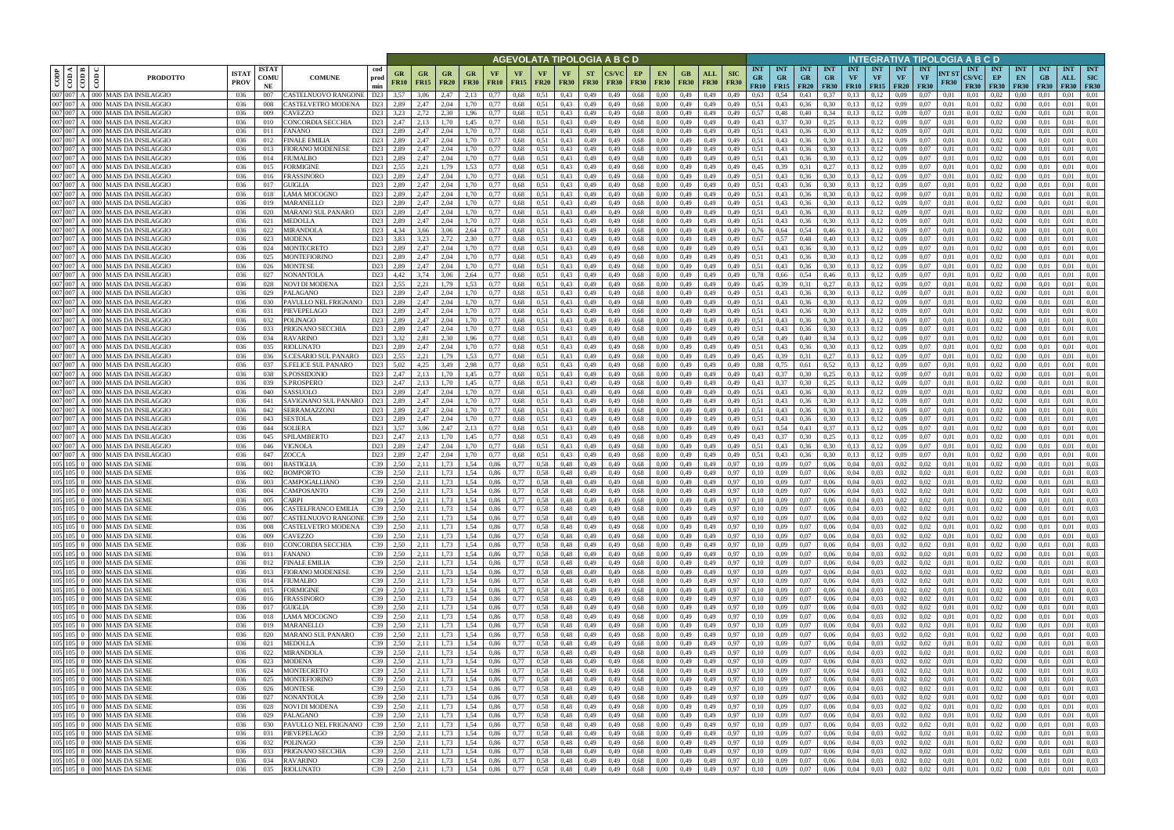|                    |                                       |                                                                |                             |                            |                                                                |                              |                          |                             |                    |                   |                   |                            | AGEVOLATA TIPOLOGIA A B C D |                          |              |                   |                          |                            |                    |                           |                                                        |                                        |                         |                                 |                                      |                  |                                        | INTEGRATIVA TIPOLOGIA A B C D          |                      |                                           |                                                              |                                 |                                 |                                  |                                         |
|--------------------|---------------------------------------|----------------------------------------------------------------|-----------------------------|----------------------------|----------------------------------------------------------------|------------------------------|--------------------------|-----------------------------|--------------------|-------------------|-------------------|----------------------------|-----------------------------|--------------------------|--------------|-------------------|--------------------------|----------------------------|--------------------|---------------------------|--------------------------------------------------------|----------------------------------------|-------------------------|---------------------------------|--------------------------------------|------------------|----------------------------------------|----------------------------------------|----------------------|-------------------------------------------|--------------------------------------------------------------|---------------------------------|---------------------------------|----------------------------------|-----------------------------------------|
| CODP               | $\leq$ $\leq$ $\leq$<br>$\frac{1}{2}$ | දී<br><b>PRODOTTO</b>                                          | <b>ISTA1</b><br><b>PROV</b> | <b>ISTAT</b><br>COMU<br>NE | cod<br><b>COMUNE</b><br>prod<br>min                            | GR<br><b>FR10</b>            | <b>GR</b><br><b>FR15</b> | GR<br><b>FR20</b>           | GR.<br><b>FR30</b> | VF<br><b>FR10</b> | VF<br><b>FR15</b> | <b>VF</b><br><b>FR20</b>   | <b>VF</b><br><b>FR30</b>    | <b>ST</b><br><b>FR30</b> | <b>FR30</b>  | EP<br><b>FR30</b> | <b>EN</b><br><b>FR30</b> | GB.<br><b>FR30</b>         | ALL<br><b>FR30</b> | <b>SIC</b><br><b>FR30</b> | <b>INT</b><br><b>GR</b><br>FR10                        | <b>INT</b><br><b>GR</b><br>$FR15$ FR20 | <b>INT</b><br><b>GR</b> | <b>INT</b><br>GR<br><b>FR30</b> | <b>INT</b><br>VF<br><b>FR10</b> FR15 | <b>INT</b><br>VF | <b>INT</b><br><b>VF</b><br><b>FR20</b> | <b>INT</b><br><b>VF</b><br><b>FR30</b> | NT ST<br><b>FR30</b> | <b>INT</b><br><b>CS/VC</b><br><b>FR30</b> | <b>INT</b><br>EP<br><b>FR30</b>                              | <b>INT</b><br>EN<br><b>FR30</b> | <b>INT</b><br>GB<br><b>FR30</b> | <b>INT</b><br>ALL<br><b>FR30</b> | <b>INT</b><br><b>SIC</b><br><b>FR30</b> |
|                    | 007 007 A                             | 000 MAIS DA INSILAGGIO                                         | 036                         | 007                        | CASTELNUOVO RANGONE<br>D23                                     | 3.57                         | 3,06                     | 2.47                        | 2.13               | 0.77              | 0,68              | 0.51                       | 0.43                        | 0,49                     | 0.49         | 0.68              | 0.00                     | 0.49                       | 0,49               | 0.49                      | 0.63                                                   | 0.54                                   | 0.43                    | 0.37                            | 0.13                                 | 0.12             | 0.09                                   | 0.07                                   | 0.01                 | 0.01                                      | 0.02                                                         | 0.00                            |                                 | 0.01                             | 0.01                                    |
| 007 007            | 007 007 A                             | 000 MAIS DA INSILAGGIO<br>000   MAIS DA INSILAGGIO             | 036<br>036                  | 008<br>009                 | D <sub>23</sub><br>CASTELVETRO MODENA<br>CAVEZZO<br>D23        | 2,89<br>3,23                 | 2,47<br>2,72             | 2.04<br>2.30                | 1,70<br>1,96       | 0,77<br>0,77      | 0,68<br>0,68      | 0,51<br>0.51               | 0,43<br>0,43                | 0,49<br>0,49             | 0,49<br>0.49 | 0.68<br>0,68      | 0.00<br>0.00             | 0,49<br>0,49               | 0,49<br>0,49       | 0,49<br>0,49              | 0,51<br>0,57                                           | 0.43<br>0,48                           | 0.36<br>0,40            | 0,30<br>0.34                    | 0,13<br>0,13                         | 0.12<br>0,12     | 0.09<br>0.09                           | 0,07<br>0.07                           | 0,01<br>0,01         | 0.01<br>0,01                              | 0.02<br>0,02                                                 | 0.00<br>0,00                    | 0.01<br>-0.01                   | 0.01<br>0.01                     | 0.01<br>0.01                            |
|                    | 007 007 A                             | 000 MAIS DA INSILAGGIO                                         | 036                         | 010                        | CONCORDIA SECCHIA<br>D23                                       | 2.47                         | 2,13                     | 1.70                        | 1,45               | 0.77              | 0.68              | 0.51                       | 0.43                        | 0,49                     | 0.49         | 0.68              | 0.00                     | 0.49                       | 0,49               | 0.49                      | 0.43                                                   | 0.37                                   | 0.30                    | 0.25                            | 0.13                                 | 0.12             | 0.09                                   | 0.07                                   | 0.01                 | 0.01                                      | 0.02                                                         | 0.00                            | 0.01                            | 0.01                             | 0.01                                    |
| 007 007            |                                       | 000 MAIS DA INSILAGGIO                                         | 036                         | 011                        | FANANO<br>D23                                                  | 2.89                         | 2.47                     | 2.04                        | 1.70               | 0.77              | 0.68              | 0.51                       | 0.43                        | 0.49                     | 0.49         | 0.68              | 0.00                     | 0.49                       | 0,49               | 0.49                      | 0.51                                                   | 0.43                                   | 0.36                    | 0.30                            | 0.13                                 | 0.12             | 0.09                                   | 0.07                                   | 0.01                 | 0.01                                      | 0.02                                                         | 0.00                            | -00                             | 0.01                             | 0.01                                    |
|                    | 007 007 A<br>007007A                  | 000 MAIS DA INSILAGGIO                                         | 036                         | 012                        | FINALE EMILIA<br>D23                                           | 2,89<br>D23 2,89             | 2,47<br>2.47             | 2.04<br>2.04                | 1,70               | 0.77              | 0.68              | 0,51                       | 0,43                        | 0,49                     | 0.49         | 0,68              | 0.00                     | 0,49                       | 0,49               | 0,49                      | 0,51<br>0.51                                           | 0,43                                   | 0,36                    | 0,30                            | 0.13                                 | 0,12             | 0.09                                   | 0.07<br>0.07                           | 0.01                 | 0.01                                      | 0.02                                                         | 0.00                            | 0.01                            | 0.01                             | 0.01                                    |
|                    | 007007A                               | 000 MAIS DA INSILAGGIO<br>000 MAIS DA INSILAGGIO               | 036<br>036                  | 013<br>014                 | FIORANO MODENESE<br>D23<br>FIUMALBO                            | 2,89                         | 2.47                     | 2.04                        | 1.70<br>1,70       | 0.77<br>0.77      | 0.68<br>0.68      | 0.51<br>0.51               | 0.43<br>0,43                | 0.49<br>0,49             | 0.49<br>0.49 | 0.68<br>0.68      | 0.00<br>0.00             | 0.49<br>0.49               | 0.49<br>0,49       | 0.49<br>0,49              | 0.51                                                   | 0.43<br>0,43                           | 0.36<br>0,36            | 0.30<br>0,30                    | 0.13<br>0.13                         | 0,12<br>0,12     | 0.09<br>0,09                           | 0.07                                   | 0.01<br>0.01         | 0.01<br>0.01                              | 0.02<br>0.02                                                 | 0.00<br>0.00                    | 0.01<br>0.01                    | 0.01<br>0.01                     | 0.01<br>0.01                            |
|                    | 007 007 A                             | 000 MAIS DA INSILAGGIO                                         | 036                         | 015                        | FORMIGINE                                                      | D <sub>23</sub> 2.55         | 2,21                     | 1,79                        | 1,53               | 0.77              | 0,68              | 0.51                       | 0.43                        | 0,49                     | 0.49         | 0.68              | 0.00                     | 0.49                       | 0,49               | 0.49                      | 0,45                                                   | 0.39                                   | 0,31                    | 0,27                            | 0.13                                 | 0,12             | 0,09                                   | 0.07                                   | 0.01                 | 0.01                                      | 0,02                                                         | $0.00\,$                        | 0.01                            | 0.01                             | 0.01                                    |
| 007 007            |                                       | 000 MAIS DA INSILAGGIO                                         | 036                         | 016                        | D23<br>FRASSINORO                                              | 2,89                         | 2,47                     | 2.04                        | 1,70               | 0.77              | 0,68              | 0,51                       | 0,43                        | 0,49                     | 0.49         | 0.68              | 0.00                     | 0,49                       | 0,49               | 0,49                      | 0.51                                                   | 0,43                                   | 0,36                    | 0,30                            | 0,13                                 | 0,12             | 0.09                                   | 0.07                                   | 0,01                 | 0.01                                      | 0,02                                                         | 0,00                            | 0.01                            | 0.01                             | 0.01                                    |
| 007 007            | 007 007 A                             | 000 MAIS DA INSILAGGIO<br>000 MAIS DA INSILAGGIO               | 036<br>036                  | 017<br>018                 | GUIGLIA<br>D <sub>23</sub><br>LAMA MOCOGNO<br>D23              | 2,89<br>2,89                 | 2.47<br>2,47             | 2.04<br>2,04                | 1,70<br>1,70       | 0,77<br>0,77      | 0,68<br>0,68      | 0.51<br>0,51               | 0.43<br>0,43                | 0,49<br>0,49             | 0.49<br>0.49 | 0.68<br>0.68      | 0.00<br>0,00             | 0,49<br>0,49               | 0,49<br>0,49       | 0.49<br>0,49              | 0,51<br>0,51                                           | 0,43<br>0,43                           | 0,36<br>0,36            | 0,30<br>0,30                    | 0,13<br>0,13                         | 0,12<br>0,12     | 0.09<br>0.09                           | 0.07<br>0,07                           | 0.01<br>0,01         | 0,01<br>0.01                              | 0,02<br>0,02                                                 | 0,00<br>0,00                    | 0.01<br>0,01                    | 0.01<br>0,01                     | 0.01<br>0,01                            |
|                    | 007 007 A                             | <b>MAIS DA INSILAGGIO</b><br>000 <sup>1</sup>                  | 036                         | 019                        | MARANELLO<br>D23                                               | 2.89                         | 2.47                     | 2.04                        | 1.70               | 0.77              | 0,68              | 0.51                       | 0.43                        | 0,49                     | 0.49         | 0.68              | 0.00                     | 0,49                       | 0,49               | 0.49                      | 0.51                                                   | 0.43                                   | 0.36                    | 0,30                            | 0.13                                 | 0,12             | 0.09                                   | 0.07                                   | 0.01                 | 0.01                                      | 0.02                                                         | 0.00                            | 0.01                            | 0,01                             | 0.01                                    |
|                    | 007 007 A                             | 000 MAIS DA INSILAGGIO                                         | 036                         | 020                        | MARANO SUL PANARO                                              | D23 2,89                     | 2,47                     | 2,04                        | 1,70               | 0,77              | 0,68              | 0.51                       | 0.43                        | 0,49                     | 0.49         | 0.68              | 0.00                     | 0,49                       | 0,49               | 0,49                      | 0,51                                                   | 0,43                                   | 0,36                    | 0,30                            | 0,13                                 | 0,12             | 0.09                                   | 0.07                                   | 0,01                 | 0.01                                      | 0,02                                                         | 0,00                            | 0.01                            | 0.01                             | 0.01                                    |
|                    | 007 007 A<br>007 007 A                | 000 MAIS DA INSILAGGIO                                         | 036                         | 021                        | MEDOLLA<br>D23                                                 | 2,89                         | 2,47                     | 2.04                        | 1,70               | 0,77              | 0,68              | 0.51                       | 0,43                        | 0,49                     | 0.49         | 0.68              | 0.00                     | 0,49                       | 0,49               | 0,49                      | 0,51                                                   | 0.43                                   | 0,36                    | 0,30                            | 0,13                                 | 0,12             | 0.09                                   | 0.07                                   | 0.01                 | 0.01                                      | 0,02                                                         | 0,00                            | 0.01                            | 0,01                             | 0.01                                    |
|                    | 007 007 A                             | 000 MAIS DA INSILAGGIO<br>000 MAIS DA INSILAGGIO               | 036<br>036                  | 022<br>023                 | MIRANDOLA<br>D <sub>23</sub><br>MODENA<br>D23                  | 4.34<br>3.83                 | 3.66<br>3.23             | 3.06<br>2.72                | 2.64<br>2.30       | 0.77<br>0.77      | 0.68<br>0.68      | 0.51<br>0.51               | 0.43<br>0.43                | 0.49<br>0.49             | 0.49<br>0.49 | 0.68<br>0.68      | 0.00<br>0.00             | 0.49<br>0,49               | 0.49<br>0.49       | 0.49<br>0.49              | 0.76<br>0.67                                           | 0.64<br>0.57                           | 0.54<br>0.48            | 0.46<br>0.40                    | 0.13<br>0.13                         | 0.12<br>0.12     | 0.09<br>0.09                           | 0.07<br>0.07                           | 0.01<br>0.01         | 0.01<br>0.01                              | 0.02<br>0.02                                                 | 0.00<br>0.00                    | 0.01<br>0.01                    | 0.01<br>0.01                     | 0.01<br>0.01                            |
|                    | 007 007 A                             | 000 MAIS DA INSILAGGIO                                         | 036                         | 024                        | MONTECRETO<br>D23                                              | 2,89                         | 2.47                     | 2.04                        | 1,70               | 0.77              | 0,68              | 0.51                       | 0,43                        | 0,49                     | 0.49         | 0.68              | 0.00                     | 0,49                       | 0,49               | 0.49                      | 0,51                                                   | 0,43                                   | 0,36                    | 0.30                            | 0.13                                 | 0,12             | 0.09                                   | 0.07                                   | 0.01                 | 0.01                                      | 0,02                                                         | 0.00                            | 0.01                            | 0.01                             | 0.01                                    |
| 007 007            |                                       | 000 MAIS DA INSILAGGIO                                         | 036                         | 025                        | D23<br>MONTEFIORINC                                            | 2.89                         | 2.47                     | 2.04                        | l.70               | 0.77              | 0.68              | 0.51                       | 0.43                        | 0.49                     | 0.49         | 0.68              | 0.00                     | 0.49                       | 0.49               | 0.49                      | 0.51                                                   |                                        | 0.36                    | 0.30                            | 0.13                                 | 0.12             | 0.09                                   | 0.07                                   | 0.01                 | 0.01                                      | 0.02                                                         | 0.00                            |                                 | 0.01                             | 0.01                                    |
| 007 007            | 007 007 A                             | 000 MAIS DA INSILAGGIO<br>000 MAIS DA INSILAGGIO               | 036<br>036                  | 026                        | MONTESE<br>D <sub>23</sub><br>D <sub>23</sub>                  | 2.89                         | 2.47<br>3.74             | 2.04<br>3.06                | l.70<br>2,64       | 0.77              | 0.68<br>0,68      | 0.51<br>0.51               | 0.43<br>0,43                | 0.49<br>0,49             | 0.49         | 0.68              | 0.00                     | 0.49<br>0.49               | 0.49<br>0.49       | 0.49                      | 0.51<br>0.78                                           | 0.43<br>0.66                           | 0.36<br>0,54            | 0.30                            | 0.13<br>0.13                         | 0.12<br>0,12     | 0.09<br>0.09                           | 0.07<br>0.07                           | 0.01<br>0.01         | 0.01<br>0.01                              | 0.02<br>0,02                                                 | 0.00<br>0.00                    |                                 | 0.01<br>0.01                     | 0.01<br>0.01                            |
| 007 007            |                                       | 000 MAIS DA INSILAGGIO                                         | 036                         | 027<br>028                 | NONANTOLA<br>D <sub>23</sub><br>NOVI DI MODENA                 | 4,42<br>2.55                 | 2.21                     | 1.79                        | 1.53               | 0,77<br>0.77      | 0.68              | 0.51                       | 0.43                        | 0,49                     | 0.49<br>0.49 | 0,68<br>0.68      | 0.00<br>0.00             | 0.49                       | 0.49               | 0.49                      | 0,45                                                   | 0.39                                   | 0.31                    | 0,46<br>0.27                    | 0.13                                 | 0,12             | 0.09                                   | 0.07                                   | 0.01                 | 0.01                                      | 0.02                                                         | 0.00                            | 0.01                            | 0.01                             | 0.01                                    |
|                    | 007 007 A                             | 000 MAIS DA INSILAGGIO                                         | 036                         | 029                        | D <sub>23</sub><br><b>PALAGANO</b>                             | 2.89                         | 2,47                     | 2.04                        | 1.70               | 0,77              | 0,68              | 0.51                       | 0.43                        | 0,49                     | 0,49         | 0.68              | 0.00                     | 0,49                       | 0,49               | 0,49                      | 0,51                                                   | 0,43                                   | 0,36                    | 0.30                            | 0,13                                 | 0,12             | 0,09                                   | 0.07                                   | 0.01                 | 0,01                                      | 0,02                                                         | $0.00\,$                        | 0.01                            | 0.01                             | 0.01                                    |
| 007 007            |                                       | 000   MAIS DA INSILAGGIO                                       | 036                         |                            | D <sub>23</sub><br>PAVULLO NEL FRIGNANO                        | 2,89                         | 2,47                     | 2.04                        | 1,70               | 0,77              | 0.68              | 0.51                       | 0,43                        | 0,49                     | 0.49         | 0.68              | 0.00                     | 0,49                       | 0,49               | 0,49                      | 0,51                                                   | 0.43                                   | 0,36                    | 0.30                            | 0,13                                 | 0,12             | 0.09                                   | 0.07                                   | 0.01                 | 0.01                                      | 0,02                                                         | 0.00                            |                                 | 0.01                             | 0.01                                    |
| 007 007<br>007 007 |                                       | 000   MAIS DA INSILAGGIO<br><b>MAIS DA INSILAGGIO</b><br>)00 I | 036<br>036                  | 031<br>032                 | PIEVEPELAGO<br>D <sub>23</sub><br>POLINAGO<br>D <sub>23</sub>  | 2.89<br>2.89                 | 2,47<br>2.47             | 2.04<br>2.04                | .70<br>.70         | 0.77              | 0,68<br>0.68      | 0.51<br>0.51               | 0.43<br>0.43                | 0,49                     | 0.49         | 0.68<br>0.68      | 0.00<br>0.00             | 0,49<br>0.49               | 0,49<br>0,49       | 0,49<br>0.49              | 0,51<br>0,51                                           | 0,43<br>0.43                           | 0.36<br>0.36            | 0.30<br>0.30                    | 0.13<br>0.13                         | 0.12<br>0.12     | 0.09<br>0.09                           | 0.07<br>0.07                           | 0.01<br>0.01         | 0.01<br>0.01                              | 0.02<br>0.02                                                 | 0.00<br>0.00                    | 0.01                            | 0.01<br>0.01                     | 0.01<br>0.01                            |
|                    | 007 007 A                             | 000 MAIS DA INSILAGGIO                                         | 036                         | 033                        | D23<br>PRIGNANO SECCHIA                                        | 2,89                         | 2,47                     | 2,04                        | 1,70               | 0,77              | 0,68              | 0.51                       | 0,43                        | 0,49<br>0,49             | 0.49         | 0.68              | 0.00                     | 0,49                       | 0,49               | 0,49                      | 0,51                                                   | 0,43                                   | 0,36                    | 0,30                            | 0,13                                 | 0,12             | 0.09                                   | 0,07                                   | 0,01                 | 0,01                                      | 0,02                                                         | 0,00                            | 0,01                            | 0,01                             | 0,01                                    |
|                    | 007 007 A                             | 000 MAIS DA INSILAGGIO                                         | 036                         | 034                        | <b>RAVARINO</b><br>D23                                         | 3.32                         | 2.81                     | 2.30                        | 1,96               | 0.77              | 0.68              | 0.51                       | 0.43                        | 0.49                     | 0.49         | 0.68              | 0.00                     | 0.49                       | 0,49               | 0.49                      | 0.58                                                   | 0,49                                   | 0.40                    | 0.34                            | 0.13                                 | 0.12             | 0.09                                   | 0.07                                   | 0.01                 | 0.01                                      | 0.02                                                         | 0.00                            | 0.01                            | 0.01                             | 0.01                                    |
|                    | 007 007 A                             | 000 MAIS DA INSILAGGIO                                         | 036                         | 035                        | D23<br>RIOLUNATO                                               | 2.89                         | 2,47                     | 2.04                        | 1,70               | 0.77              | 0,68              | 0.51                       | 0,43                        | 0,49                     | 0.49         | 0.68              | 0.00                     | 0,49                       | 0,49               | 0,49                      | 0,51                                                   | 0,43                                   | 0,36                    | 0,30                            | 0,13                                 | 0.12             | 0.09                                   | 0.07                                   | 0.01                 | 0.01                                      | 0.02                                                         | 0.00                            | 0.01                            | 0.01                             | 0.01                                    |
|                    | 007 007 A<br>007007A                  | 000 MAIS DA INSILAGGIO<br>000 MAIS DA INSILAGGIO               | 036<br>036                  | 036<br>037                 | S.CESARIO SUL PANARO<br>D23<br>S.FELICE SUL PANARO             | D <sub>23</sub> 2.55<br>5,02 | 2,21<br>4,25             | 1.79<br>3.49                | 1,53<br>2,98       | 0.77<br>0.77      | 0.68<br>0.68      | 0.51<br>0.51               | 0,43<br>0.43                | 0,49<br>0.49             | 0.49<br>0.49 | 0.68<br>0.68      | 0.00<br>0.00             | 0.49<br>0.49               | 0,49<br>0,49       | 0.49<br>0.49              | 0,45<br>0.88                                           | 0.39<br>0.75                           | 0.31<br>0.61            | 0.27<br>0,52                    | 0.13<br>0.13                         | 0,12<br>0,12     | 0.09<br>0.09                           | 0.07<br>0.07                           | 0.01<br>0.01         | 0.01<br>0.01                              | 0.02<br>0.02                                                 | 0.00<br>0.00                    | -0.01<br>0.01                   | 0.01<br>0.01                     | 0.01<br>0.01                            |
|                    | 007 007 A                             | 000   MAIS DA INSILAGGIO                                       | 036                         | 038                        | S.POSSIDONIO                                                   | D <sub>23</sub> 2,47         | 2.13                     | 1.70                        | 1.45               | 0.77              | 0.68              | 0.51                       | 0.43                        | 0.49                     | 0.49         | 0.68              | 0.00                     | 0.49                       | 0.49               | 0.49                      | 0.43                                                   | 0.37                                   | 0.30                    | 0,25                            | 0.13                                 | 0,12             | 0.09                                   | 0.07                                   | 0.01                 | 0.01                                      | 0.02                                                         | 0.00                            | 0.01                            | 0.01                             | 0.01                                    |
|                    | 007 007 A                             | 000 MAIS DA INSILAGGIO                                         | 036                         | 039                        | <b>S.PROSPERO</b>                                              | D23 2,47                     | 2,13                     | 1,70                        | 1,45               | 0,77              | 0,68              | 0.51                       | 0.43                        | 0,49                     | 0.49         | 0,68              | 0.00                     | 0,49                       | 0,49               | 0,49                      | 0,43                                                   | 0,37                                   | 0,30                    | 0,25                            | 0,13                                 | 0,12             | 0,09                                   | 0.07                                   | 0,01                 | 0,01                                      | 0,02                                                         | $0.00\,$                        | 0.01                            | 0.01                             | 0.01                                    |
| 007 007            |                                       | <b>MAIS DA INSILAGGIO</b><br>000 I                             | 036                         | -040                       | D <sub>23</sub><br>SASSUOLO                                    | 2.89                         | 2.47                     | 2.04                        | 1,70               | 0.77              | 0.68              | 0.51                       | 0.43                        | 0,49                     | 0.49         | 0.68              | 0.00                     | 0,49                       | 0,49               | 0.49                      | 0,51                                                   | 0.43                                   | 0.36                    | 0.30                            | 0.13                                 | 0,12             | 0.09                                   | 0.07                                   | 0.01                 | 0.01                                      | 0.02                                                         | 0.00                            | 0.01                            | 0.01                             | 0.01                                    |
|                    | 007 007 A<br>007 007 A                | 000 MAIS DA INSILAGGIO<br>000 MAIS DA INSILAGGIO               | 036<br>036                  | 041<br>042                 | D23<br>SAVIGNANO SUL PANARO<br>SERRAMAZZONI<br>D <sub>23</sub> | 2,89<br>2,89                 | 2,47<br>2,47             | 2.04<br>2,04                | 1,70<br>1,70       | 0,77<br>0,77      | 0,68<br>0,68      | 0.51<br>0,51               | 0,43<br>0,43                | 0,49<br>0,49             | 0.49<br>0,49 | 0.68<br>0.68      | 0.00<br>0,00             | 0,49<br>0,49               | 0,49<br>0,49       | 0,49<br>0,49              | 0,51<br>0,51                                           | 0,43<br>0,43                           | 0,36<br>0,36            | 0.30<br>0,30                    | 0,13<br>0.13                         | 0,12<br>0,12     | 0.09<br>0.09                           | 0.07<br>0,07                           | 0,01<br>0,01         | 0.01<br>0,01                              | 0,02<br>0,02                                                 | 0,00<br>0,00                    | 0.01<br>0,01                    | 0.01<br>0,01                     | 0,01<br>0,01                            |
|                    | 007 007 A                             | 000 MAIS DA INSILAGGIO                                         | 036                         | 043                        | SESTOLA<br>D23                                                 | 2,89                         | 2.47                     | 2.04                        | 1,70               | 0,77              | 0,68              | 0.51                       | 0.43                        | 0,49                     | 0.49         | 0.68              | 0.00                     | 0,49                       | 0,49               | 0,49                      | 0.51                                                   | 0,43                                   | 0,36                    | 0,30                            | 0,13                                 | 0,12             | 0.09                                   | 0.07                                   | 0,01                 | 0.01                                      | 0,02                                                         | 0,00                            | 0.01                            | 0.01                             | 0.01                                    |
|                    | 007 007 A                             | 000 MAIS DA INSILAGGIO                                         | 036                         | 044                        | SOLIERA<br>D23                                                 | 3.57                         | 3.06                     | 2,47                        | 2.13               | 0,77              | 0,68              | 0.51                       | 0.43                        | 0,49                     | 0.49         | 0.68              | 0.00                     | 0,49                       | 0,49               | 0,49                      | 0,63                                                   | 0.54                                   | 0,43                    | 0.37                            | 0,13                                 | 0,12             | 0.09                                   | 0,07                                   | 0.01                 | 0.01                                      | 0,02                                                         | 0,00                            | 0.01                            | 0,01                             | 0.01                                    |
|                    | 007 007 A                             | 000 MAIS DA INSILAGGIO                                         | 036                         | 045                        | D23<br>SPILAMBERTO                                             | 2,47                         | 2,13                     | 1.70                        | 1,45               | 0,77              | 0,68              | 0.51                       | 0.43                        | 0,49                     | 0.49         | 0.68              | 0.00                     | 0,49                       | 0,49               | 0,49                      | 0,43                                                   | 0.37                                   | 0,30                    | 0.25                            | 0,13                                 | 0,12             | 0.09                                   | 0,07                                   | 0,01                 | 0.01                                      | 0,02                                                         | 0,00                            | 0.01                            | 0.01                             | 0.01                                    |
|                    | 007 007 A<br>007 007 A                | 000 MAIS DA INSILAGGIO<br>000 MAIS DA INSILAGGIO               | 036<br>036                  | 046<br>047                 | VIGNOLA<br>D <sub>23</sub><br>ZOCCA<br>D23                     | 2.89<br>2.89                 | 2.47<br>2.47             | 2.04<br>2.04                | 1.70<br>1.70       | 0.77<br>0.77      | 0.68<br>0.68      | 0.51<br>0.51               | 0.43<br>0.43                | 0.49<br>0.49             | 0.49<br>0.49 | 0.68<br>0.68      | 0.00<br>0.00             | 0,49<br>0,49               | 0.49<br>0.49       | 0.49<br>0.49              | 0.51<br>0.51                                           | 0.43<br>0.43                           | 0.36<br>0.36            | 0.30<br>0.30                    | 0.13<br>0.13                         | 0,12<br>0,12     | 0.09<br>0.09                           | 0.07<br>0.07                           | 0.01<br>0.01         | 0.01<br>0.01                              | 0.02<br>0,02                                                 | 0.00<br>0.00                    | 0.01<br>0.01                    | 0.01<br>0.01                     | 0.01<br>0.01                            |
|                    | $105 \, 105 \, 0$                     | 000 MAIS DA SEME                                               | 036                         | 001                        | BASTIGLIA<br>C39                                               | 2,50                         | 2.11                     | 1.73                        | 1,54               | 0.86              | 0,77              | 0,58                       | 0,48                        | 0,49                     | 0.49         | 0.68              | 0.00                     | 0,49                       | 0,49               | 0,97                      | 0,10                                                   | 0,09                                   | 0,07                    | 0,06                            | 0,04                                 | 0,03             | 0,02                                   | 0,02                                   | 0.01                 | 0.01                                      | 0,02                                                         | 0,00                            | 0.01                            | 0,01                             | 0.03                                    |
|                    | $105 \, 105 \, 0$                     | 000 MAIS DA SEME                                               | 036                         | 002                        | C39<br>BOMPORTO                                                | 2.50                         | 2.11                     | 1.73                        | 1.54               | 0.86              | 0.77              | 0.58                       | 0.48                        | 0.49                     | 0.49         | 0.68              | 0.00                     | 0.49                       | 0.49               | 0.97                      | 0.10                                                   | 0.09                                   | 0.07                    | 0.06                            | 0.04                                 | 0.03             | 0.02                                   | 0.02                                   | 0.01                 | 0.01                                      | 0.02                                                         | 0.00                            | 0.01                            | 0.01                             | 0.03                                    |
|                    |                                       | 105 105 0 000 MAIS DA SEME<br>105 105 0 000 MAIS DA SEME       | 036<br>036                  | 003<br>004                 | C39<br><b><i>CAMPOGALLIANO</i></b><br>C39<br><b>CAMPOSANTO</b> | 2.50<br>2.50                 | 2.11<br>2.11             | 1.73<br>1.73                | 1.54<br>1.54       | 0.86<br>0.86      | 0,77<br>0.77      | 0.58<br>0.58               | 0.48<br>0.48                | 0,49<br>0.49             | 0.49<br>0.49 | 0.68<br>0.68      | 0.00                     | 0.49<br>0.49               | 0.49<br>0.49       | 0.97<br>0.97              | 0.10<br>0.10                                           | 0.09<br>0.09                           | 0.07<br>0.07            | 0,06<br>0.06                    | 0.04<br>0.04                         | 0.03<br>0.03     | 0.02<br>0.02                           | 0.02<br>0.02                           | 0.01<br>0.01         | 0.01<br>0.01                              | 0.02<br>0.02                                                 | 0.00<br>0.00                    | 0.01                            | 0.01<br>0.01                     | 0.03<br>0.03                            |
|                    |                                       | 105 105 0 000 MAIS DA SEME                                     | 036                         | 005                        | CARPI<br>C39                                                   | 2,50                         | 2,11                     | 1,73                        | 1,54               | 0,86              | 0,77              | 0,58                       | 0,48                        | 0,49                     | 0,49         | 0,68              | 0.00<br>0,00             | 0,49                       | 0,49               | 0,97                      | 0,10                                                   | 0,09                                   | 0,07                    | 0,06                            | 0,04                                 | 0,03             | 0,02                                   | 0,02                                   | 0,01                 | 0,01                                      | 0,02                                                         | 0,00                            | 0.01<br>0,01                    | 0.01                             | 0,03                                    |
|                    |                                       | 105 105 0 000 MAIS DA SEME                                     | 036                         | 006                        | CASTELFRANCO EMILIA                                            | C39 2.50                     | 2,11                     | 1,73                        | 1,54               | 0,86              | 0,77              | 0,58                       | 0,48                        | 0,49                     | 0,49         | 0,68              | 0,00                     | 0,49                       | 0,49               | 0,97                      | 0,10                                                   | 0,09                                   | 0,07                    | 0,06                            | 0,04                                 | 0,03             | 0,02                                   | 0,02                                   | 0,01                 | 0,01                                      | 0,02                                                         | 0,00                            | 0,01                            | 0,01                             | 0,03                                    |
|                    |                                       | 105 105 0 000 MAIS DA SEME                                     | 036                         | 007                        | CASTELNUOVO RANGONE                                            | C39 2,50                     | 2,11                     | 1,73                        | 1,54               | 0,86              | 0,77              | $0,58$ 0,48                |                             | 0,49                     | 0,49         | 0,68              | 0,00                     | 0,49 0,49                  |                    | 0,97                      | 0,10                                                   | 0,09                                   | 0,07                    | 0,06                            | 0,04                                 | 0,03             | 0,02                                   | 0,02                                   | 0,01                 | 0,01                                      | 0,02                                                         | 0,00                            | 0,01                            | 0,01                             | 0,03                                    |
|                    |                                       | 105 105 0 000 MAIS DA SEME<br>105 105 0 000 MAIS DA SEME       | 036<br>036                  | 008<br>009                 | CASTELVETRO MODENA<br>CAVEZZO                                  | C39 2,50<br>C39 2,50         | 2,11<br>2,11             | 1,73<br>1,73                | 1,54<br>1,54       | 0,86<br>0,86      | 0,77<br>0,77      | 0,58 0,48<br>0,58 0,48     |                             | 0,49<br>0,49             | 0,49<br>0,49 | 0,68<br>0,68      | 0,00<br>0,00             | 0,49 0,49<br>0,49 0,49     |                    | 0,97<br>0,97              | 0,10<br>0,10                                           | 0,09<br>0,09                           | 0,07<br>0,07            | 0,06<br>0,06                    | $0,04$ 0.03<br>0,04                  | 0,03             | 0,02<br>0,02                           | 0,02<br>0,02                           | 0,01<br>0,01         | 0,01<br>0,01                              | 0,02<br>0,02                                                 | $0.00\,$<br>0,00                | 0,01<br>0,01                    | 0,01<br>0,01                     | 0,03<br>0,03                            |
|                    |                                       | 105 105 0 000 MAIS DA SEME                                     | 036                         | 010                        | CONCORDIA SECCHIA                                              | C39 2,50                     | 2,11                     | 1,73                        | 1,54               | 0,86              | 0,77              | $0.58$ 0.48                |                             | 0,49                     | 0,49         | 0,68              | 0,00                     | 0,49 0,49                  |                    | 0,97                      | 0,10                                                   | 0,09                                   | 0,07                    | 0,06                            | $0,04$ 0.03                          |                  | 0,02                                   | 0,02                                   | 0,01                 | 0,01                                      | 0,02                                                         | $0,00$ $0,01$                   |                                 | 0,01                             | 0,03                                    |
|                    |                                       | 105 105 0 000 MAIS DA SEME                                     | 036                         | 011                        | FANANO                                                         | C39 2,50                     | 2,11                     | 1,73                        | 1,54               | 0,86              | 0,77              | 0,58 0,48                  |                             | 0,49                     | 0,49         | 0,68              | 0,00                     | 0,49 0,49                  |                    | 0,97                      | 0,10                                                   | 0,09 0,07                              |                         | 0,06                            | $0,04$ 0.03                          |                  | 0,02                                   | 0,02                                   | 0,01                 | 0,01                                      | $0.02$ $0.00$ $0.01$                                         |                                 |                                 | 0,01                             | 0,03                                    |
|                    |                                       | 105 105 0 000 MAIS DA SEME                                     | 036                         | 012                        | <b>FINALE EMILIA</b>                                           | C39 2.50                     | $2,11$ 1,73              |                             | 1,54 0,86          |                   | 0,77              |                            | 0,58 0,48                   | 0,49                     | 0,49         | 0,68              | 0,00                     | 0,49 0,49                  |                    |                           | $0,97$ 0,10                                            | 0,09 0,07                              |                         | 0,06                            | $0,04$ 0.03                          |                  | 0,02                                   | 0,02                                   | 0,01                 | 0.01                                      | $0.02 \quad 0.00 \quad 0.01$                                 |                                 |                                 | 0,01                             | 0,03                                    |
|                    |                                       | 105 105 0 000 MAIS DA SEME<br>105 105 0 000 MAIS DA SEME       | 036<br>036                  | 013<br>014                 | FIORANO MODENESE<br><b>FIUMALBO</b>                            | $C39$ 2,50<br>C39 2,50       | 2,11<br>2,11             | 1,73<br>1,73                | 1,54 0,86<br>1,54  | 0,86              | 0,77<br>0,77      | $0,58$ 0,48<br>$0,58$ 0.48 |                             | 0,49<br>0,49             | 0,49<br>0,49 | 0,68<br>0,68      | 0,00<br>0,00             | 0,49 0,49<br>$0,49$ $0,49$ |                    | 0,97<br>0,97              | 0,10<br>0,10                                           | 0,09 0,07<br>0,09                      | 0,07                    | 0,06<br>0,06                    | $0,04$ 0.03<br>0,04                  | 0,03             | 0,02<br>0,02                           | 0,02<br>0,02                           | 0,01<br>0,01         | 0,01<br>0,01                              | $0,02 \quad 0,00 \quad 0,01$<br>0,02                         | 0,00                            | 0,01                            | 0,01<br>0.01                     | 0,03<br>0,03                            |
|                    |                                       | 105 105 0 000 MAIS DA SEME                                     | 036                         | 015                        | <b>FORMIGINE</b>                                               | C39 2,50                     | 2,11                     | 1,73                        | 1,54               | 0,86              | 0,77              | $0,58$ 0,48                |                             | 0,49                     | 0,49         | 0,68              | 0,00                     | 0,49                       | 0,49               | 0,97                      | 0,10                                                   | $0,09$ 0.07                            |                         | 0,06                            | 0,04                                 | 0,03             | 0,02                                   | 0,02                                   | 0,01                 | 0,01                                      | $0,02$ 0.00                                                  |                                 | 0,01                            | 0.01                             | 0,03                                    |
|                    |                                       | 105 105 0 000 MAIS DA SEME                                     | 036                         | 016                        | <b>FRASSINORO</b>                                              | C39 2,50                     | 2,11                     | 1,73                        | 1,54               | 0,86              | 0,77              | $0,58$ 0.48                |                             | 0,49                     | 0,49         | 0,68              | 0,00                     | 0,49                       | 0,49               | 0,97                      | 0,10                                                   | 0,09                                   | 0,07                    | 0,06                            | 0,04                                 | 0,03             | 0,02                                   | 0,02                                   | 0,01                 | 0,01                                      | 0,02                                                         | $0,00$ $0,01$                   |                                 | 0,01                             | 0,03                                    |
|                    |                                       | 105 105 0 000 MAIS DA SEME                                     | 036                         | 017                        | <b>GUIGLIA</b>                                                 | C39 2,50                     | 2,11                     | 1,73                        | 1,54               | 0,86              | 0,77              | $0,58$ 0.48                |                             | 0,49                     | 0,49         | 0,68              | 0,00                     | 0,49                       | 0,49               | 0,97                      | 0,10                                                   | $0,09$ $0,07$                          |                         | 0,06                            | 0,04                                 | 0,03             | 0,02                                   | 0,02                                   | 0,01                 | 0,01                                      | $0,02$ 0.00 0.01                                             |                                 |                                 | 0,01                             | 0,03                                    |
|                    |                                       | 105 105 0 000 MAIS DA SEME<br>105 105 0 000 MAIS DA SEME       | 036<br>036                  | 018<br>019                 | LAMA MOCOGNO<br>MARANELLO                                      | C39 2,50<br>C39 2,50         | 2,11<br>2,11             | 1,73<br>1,73                | 1,54<br>1,54       | 0,86<br>0,86      | 0,77<br>0,77      | $0,58$ 0.48<br>0,58 0,48   |                             | 0,49<br>0,49             | 0,49<br>0,49 | 0,68<br>0,68      | 0,00<br>0,00             | 0,49 0,49<br>0,49 0,49     |                    | 0,97<br>0,97              | 0,10<br>0,10                                           | $0,09$ $0,07$<br>$0,09$ $0,07$         |                         | 0,06<br>0,06                    | 0,04<br>0,04                         | 0,03<br>0,03     | 0,02<br>0,02                           | 0,02<br>0,02                           | 0,01<br>0,01         | 0,01<br>0,01                              | $0,02$ 0,00 0,01<br>0,02                                     | 0,00                            | 0,01                            | 0,01<br>0,01                     | 0,03<br>0,03                            |
|                    |                                       | 105 105 0 000 MAIS DA SEME                                     | 036                         | 020                        | MARANO SUL PANARO                                              | $C39$ 2,50                   | 2,11                     | 1,73                        | 1,54               | 0,86              | 0,77              | $0.58$ 0.48                |                             | 0,49                     | 0,49         | 0,68              | 0,00                     | 0,49 0,49                  |                    | 0,97                      | 0,10                                                   | $0,09$ $0,07$                          |                         | 0,06                            | 0,04                                 | 0,03             | 0,02                                   | 0,02                                   | 0,01                 | 0,01                                      | $0.02 \quad 0.00 \quad 0.01$                                 |                                 |                                 | 0,01                             | 0,03                                    |
|                    |                                       | 105 105 0 000 MAIS DA SEME                                     | 036                         | 021                        | MEDOLLA                                                        | C39 2,50                     | 2,11                     | 1,73                        | 1,54 0,86          |                   | 0,77              | 0,58 0,48                  |                             | 0,49                     | 0,49         | 0,68              | 0,00                     | 0,49 0,49                  |                    | 0,97                      | 0,10                                                   | $0,09$ $0,07$                          |                         | 0,06                            | $0,04$ 0.03                          |                  | 0,02                                   | 0,02                                   | 0,01                 | 0,01                                      | $0,02$ 0,00 0,01                                             |                                 |                                 | 0,01                             | 0,03                                    |
|                    |                                       | 105 105 0 000 MAIS DA SEME<br>105 105 0 000 MAIS DA SEME       | 036                         | 022                        | <b>MIRANDOLA</b>                                               | C39 2,50<br>C39 2.50         | 2,11                     | 1,73                        | 1,54 0,86          |                   | 0,77              | 0,58 0,48                  |                             | 0,49                     | 0,49         | 0,68              | 0,00                     | 0,49 0,49                  |                    | 0,97                      | $0,10$ $0,09$ $0,07$                                   |                                        |                         | 0,06                            | 0,04                                 | 0,03             | 0,02                                   | 0,02                                   | 0,01                 | 0,01                                      | $0,02$ $0,00$ $0,01$                                         |                                 |                                 | 0,01                             | 0,03<br>0,03                            |
|                    |                                       | 105 105 0 000 MAIS DA SEME                                     | 036<br>036                  | 023<br>024                 | <b>MODENA</b><br><b>MONTECRETO</b>                             | C39 2.50                     | 2,11<br>2,11             | 1,73<br>1,73                | 1,54 0,86<br>1,54  | 0,86              | 0,77<br>0,77      | $0,58$ 0.48<br>0,58 0,48   |                             | 0,49<br>0,49             | 0.49<br>0,49 | 0,68<br>0,68      | 0,00<br>0,00             | 0,49 0,49<br>0,49 0,49     |                    | 0,97<br>0,97              | $0,10$ $0,09$ $0,07$<br>$0,10 \qquad 0,09 \qquad 0,07$ |                                        |                         | 0,06<br>0,06                    | $0,04$ 0.03<br>$0,04$ 0.03           |                  | 0,02<br>0,02                           | 0,02<br>0,02                           | 0,01<br>0,01         | 0,01<br>0,01                              | $0,02$ $0,00$ $0,01$<br>$0,02$ 0.00                          |                                 | 0.01                            | 0,01<br>0,01                     | 0,03                                    |
|                    |                                       | 105 105 0 000 MAIS DA SEME                                     | 036                         | 025                        | <b>MONTEFIORINO</b>                                            | $C39$ 2,50                   | 2,11                     | 1,73                        | 1,54               | 0,86              | 0,77              | $0,58$ 0.48                |                             | 0,49                     | 0,49         | 0,68              | 0,00                     | 0,49 0,49                  |                    | 0,97                      | $0,10$ $0,09$ $0,07$                                   |                                        |                         | 0,06                            | $0,04$ 0.03                          |                  | 0,02                                   | 0,02                                   | 0,01                 | 0,01                                      | $0,02$ 0.00                                                  |                                 | 0.01                            | 0,01                             | 0,03                                    |
|                    |                                       | 105 105 0 000 MAIS DA SEME                                     | 036                         | 026                        | <b>MONTESE</b>                                                 | C39 2.50                     | 2,11                     | 1,73                        | 1,54               | 0,86              | 0,77              | 0,58 0,48                  |                             | 0,49                     | 0,49         | 0,68              | 0,00                     | 0,49 0,49                  |                    | 0,97                      | $0,10$ $0,09$ $0,07$                                   |                                        |                         | 0,06                            | 0,04                                 | 0,03             | 0,02                                   | 0,02                                   | 0,01                 | 0.01                                      | $0,02$ 0.00                                                  |                                 | 0.01                            | 0,01                             | 0,03                                    |
|                    |                                       | 105 105 0 000 MAIS DA SEME<br>105 105 0 000 MAIS DA SEME       | 036<br>036                  | 027<br>028                 | <b>NONANTOLA</b><br>NOVI DI MODENA                             | C39 2.50<br>C39 2,50         | 2,11<br>2,11             | 1,73<br>1,73                | 1,54<br>1,54       | 0,86<br>0,86      | 0,77<br>0,77      | 0,58 0,48<br>$0,58$ 0,48   |                             | 0,49<br>0,49             | 0,49<br>0,49 | 0,68<br>0,68      | 0,00<br>0,00             | 0,49 0,49<br>0,49 0,49     |                    | 0,97<br>0,97              | $0,10$ $0,09$ $0,07$<br>0,10                           | 0,09                                   | 0,07                    | 0,06<br>0,06                    | $0,04$ 0.03<br>0,04                  | 0,03             | 0,02<br>0,02                           | 0,02<br>0,02                           | 0,01<br>0,01         | 0,01<br>0,01                              | $0,02$ 0.00<br>$0,02$ 0.00                                   |                                 | 0,01<br>0,01                    | 0,01<br>0,01                     | 0,03<br>0,03                            |
|                    |                                       | 105 105 0 000 MAIS DA SEME                                     | 036                         | 029                        | PALAGANO                                                       | $C39$ 2.50                   | 2,11                     | 1,73                        | 1,54               | 0,86              | 0,77              | $0,58$ 0.48                |                             | 0,49                     | 0,49         | 0,68              | 0,00                     | 0,49                       | 0,49               | 0,97                      | 0,10                                                   | 0,09                                   | 0,07                    | 0,06                            | 0,04                                 | 0,03             | 0,02                                   | 0,02                                   | 0,01                 | 0,01                                      | 0,02                                                         | 0.00                            | 0,01                            | 0,01                             | 0,03                                    |
|                    |                                       | 105 105 0 000 MAIS DA SEME                                     | 036                         | 030                        | PAVULLO NEL FRIGNANO                                           | C39 2,50                     | 2,11                     | 1,73                        | 1,54               | 0,86              | 0,77              | 0,58 0,48                  |                             | 0,49                     | 0,49         | 0,68              | 0,00                     | 0,49                       | 0,49               | 0,97                      | 0,10                                                   | 0,09                                   | 0,07                    | 0,06                            | 0,04                                 | 0,03             | 0,02                                   | 0,02                                   | 0,01                 | 0,01                                      | 0,02                                                         | 0,00                            | 0,01                            | 0,01                             | 0,03                                    |
|                    |                                       | 105 105 0 000 MAIS DA SEME                                     | 036                         | 031                        | PIEVEPELAGO                                                    | $C39$ 2,50                   | 2,11                     | 1,73                        | 1,54 0,86          |                   | 0,77              | 0,58 0,48                  |                             | 0,49 0,49                |              | 0,68              | 0,00                     | 0,49 0,49                  |                    | 0,97                      | $0,10$ $0,09$ $0,07$                                   |                                        |                         | 0,06                            | $0,04$ 0.03                          |                  | 0,02                                   | 0,02                                   | 0,01                 | 0,01                                      | $0,02 \quad 0,00 \quad 0,01$                                 |                                 |                                 | 0,01                             | 0,03                                    |
|                    |                                       | 105 105 0 000 MAIS DA SEME<br>105 105 0 000 MAIS DA SEME       | 036<br>036                  | 032<br>033                 | POLINAGO<br>PRIGNANO SECCHIA                                   | $C39$ 2.50<br>$C39$ 2,50     | 2,11                     | 1,73<br>2,11 1,73 1,54 0,86 | 1,54 0,86          |                   | 0,77<br>0,77      | 0,58 0,48                  | $0,58$ 0.48                 | 0,49<br>0,49 0,49        | 0,49         | 0,68<br>0,68      | 0,00<br>0,00             | 0,49 0,49<br>0,49 0,49     |                    | 0,97                      | 0,10<br>$0.97$ 0.10 0.09 0.07                          | 0,09 0,07                              |                         | 0,06<br>0,06                    | $0,04$ 0.03<br>$0,04$ 0.03           |                  | 0,02<br>0,02                           | 0,02<br>0,02                           | 0,01<br>0,01         | 0,01<br>0,01                              | $0,02 \quad 0,00 \quad 0,01$<br>$0.02 \quad 0.00 \quad 0.01$ |                                 |                                 | 0,01<br>0,01                     | 0,03<br>0,03                            |
|                    |                                       | 105 105 0 000 MAIS DA SEME                                     | 036                         | 034                        | <b>RAVARINO</b>                                                |                              | $C39$ 2,50 2,11          | 1,73 1,54 0,86              |                    |                   | 0,77              |                            | 0,58 0,48                   | 0,49 0,49                |              | 0,68              | 0,00                     | 0,49 0,49                  |                    |                           | $0.97$ 0.10 0.09 0.07                                  |                                        |                         | 0,06                            | $0,04$ 0.03                          |                  | 0,02                                   | 0,02                                   | 0,01                 | 0,01                                      | $0,02 \quad 0,00 \quad 0,01$                                 |                                 |                                 | $0,01$ 0.03                      |                                         |
|                    |                                       | 105 105 0 000 MAIS DA SEME                                     | 036                         | 035                        | <b>RIOLUNATO</b>                                               |                              |                          |                             |                    |                   |                   |                            | $0,77$ 0.58 0.48 0.49 0.49  |                          |              |                   | $0,68$ 0.00 0.49 0.49    |                            |                    |                           | $0.97$ 0.10 0.09 0.07 0.06                             |                                        |                         |                                 |                                      | $0,04$ 0.03      |                                        | $0,02$ $0,02$                          | 0,01                 | $0,01$ 0.02 0.00 0.01                     |                                                              |                                 |                                 | $0,01$ 0.03                      |                                         |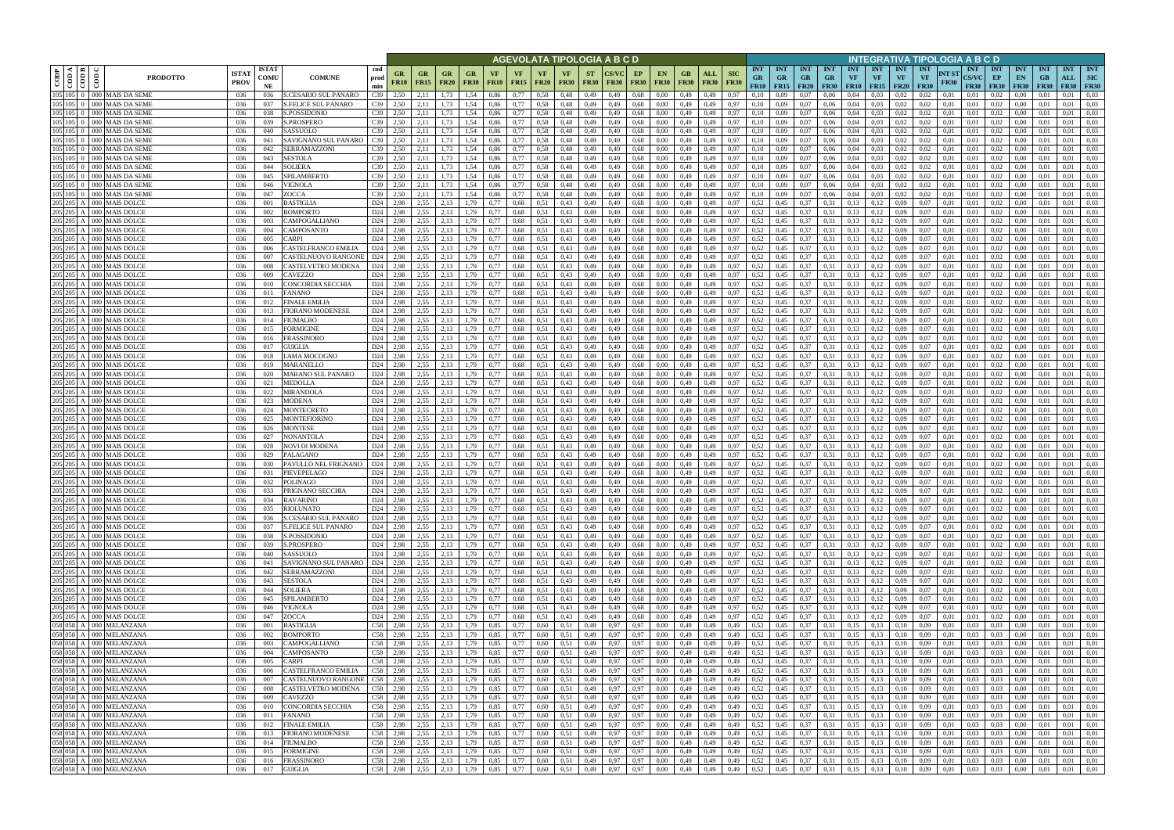|                    |                                    |                                                                                                                                                             |                            |                                             |                                              |                              |                                               |                          |                   |              |                                |                                |                          | AGEVOLATA TIPOLOGIA A B C D |                   |                              |                            |                    |                           |                                 |                                            |                         |                                        |                         |                                             |                                 | INTEGRATIVA TIPOLOGIA A B C D   |                      |                                    |                                 |                                 |                           |                                  |                                         |
|--------------------|------------------------------------|-------------------------------------------------------------------------------------------------------------------------------------------------------------|----------------------------|---------------------------------------------|----------------------------------------------|------------------------------|-----------------------------------------------|--------------------------|-------------------|--------------|--------------------------------|--------------------------------|--------------------------|-----------------------------|-------------------|------------------------------|----------------------------|--------------------|---------------------------|---------------------------------|--------------------------------------------|-------------------------|----------------------------------------|-------------------------|---------------------------------------------|---------------------------------|---------------------------------|----------------------|------------------------------------|---------------------------------|---------------------------------|---------------------------|----------------------------------|-----------------------------------------|
| CODP               | $\frac{10000000000000}{\pi}$<br>ම් | <b>ISTA</b><br><b>PRODOTTO</b><br><b>PROV</b>                                                                                                               | <b>ISTAT</b><br>COMU<br>NE | <b>COMUNE</b>                               | cod<br>prod<br>min                           | GR<br><b>FR10</b>            | <b>GR</b><br>GR<br><b>FR15</b><br><b>FR20</b> | <b>GR</b><br><b>FR30</b> | VF<br><b>FR10</b> | VF<br>FR15   | <b>VF</b><br><b>FR20</b>       | <b>VF</b><br><b>FR30</b>       | <b>ST</b><br><b>FR30</b> | <b>FR30</b>                 | EP<br><b>FR30</b> | <b>EN</b><br><b>FR30</b>     | GB<br><b>FR30</b>          | ALL<br><b>FR30</b> | <b>SIC</b><br><b>FR30</b> | <b>INT</b><br><b>GR</b><br>FR10 | <b>INT</b><br><b>GR</b><br>$FR15$   $FR20$ | <b>INT</b><br><b>GR</b> | <b>INT</b><br><b>GR</b><br><b>FR30</b> | <b>INT</b><br><b>VF</b> | <b>INT</b><br><b>VF</b><br><b>FR10</b> FR15 | <b>INT</b><br>VF<br><b>FR20</b> | <b>INT</b><br>VF<br><b>FR30</b> | NT ST<br><b>FR30</b> | <b>INT</b><br>CS/VC<br><b>FR30</b> | <b>INT</b><br>EP<br><b>FR30</b> | <b>INT</b><br>EN<br><b>FR30</b> | <b>INT</b><br>GB<br>F R30 | <b>INT</b><br>ALL<br><b>FR30</b> | <b>INT</b><br><b>SIC</b><br><b>FR30</b> |
|                    |                                    | 105 105 0 000 MAIS DA SEME<br>036<br>105 105 0 000 MAIS DA SEME<br>036                                                                                      | 036<br>037                 | S.CESARIO SUL PANARO<br>S.FELICE SUL PANARO | C39<br>C39                                   | 2,50<br>2,11<br>2,50<br>2,11 | 1.73<br>.73                                   | l.54<br>1.54             | 0.86<br>0,86      | 0,77<br>0,77 | 0.58<br>0,58                   | 0,48<br>0,48                   | 0,49<br>0,49             | 0.49<br>0,49                | 0.68<br>0.68      | 0.00<br>0.00                 | 0,49<br>0,49               | 0.49<br>0,49       | 0.97<br>0,97              | 0.10<br>0,10                    | 0.09<br>0.09                               | 0.07<br>0,07            | 0.06<br>0,06                           | 0.04<br>0,04            | 0.03<br>0.03                                | 0.02<br>0,02                    | 0.02<br>0,02                    | 0.01<br>0.01         | 0.01<br>0,01                       | 0.02<br>0,02                    | 0.00<br>0.00                    | 0.01                      | 0.01<br>0.01                     | 0.03<br>0.03                            |
|                    |                                    | 105 105 0 000 MAIS DA SEME<br>036                                                                                                                           | 038                        | .POSSIDONIC                                 | C39                                          | 2,50                         |                                               | .54                      | 0,86              | 0,77         | 0,58                           | 0,48                           | 0,49                     | 0.49                        | 0.68              | 0.00                         | 0,49                       | 0,49               | 0,97                      | 0,10                            |                                            | 0,07                    | 0,06                                   | 0,04                    | 0.03                                        | 0.02                            | 0,02                            | 0.01                 | 0.01                               | 0,02                            | 0.00                            |                           | 0.01                             | 0.03                                    |
|                    |                                    | 105 105 0 000 MAIS DA SEME<br>036                                                                                                                           | 039                        | <b>S.PROSPERO</b>                           | C39                                          | 2,50<br>2,11                 | 1.73                                          | 1,54                     | 0,86              | 0,77         | 0,58                           | 0,48                           | 0,49                     | 0,49                        | 0.68              | 0.00                         | 0,49                       | 0,49               | 0,97                      | 0,10                            | 0,09                                       | 0,07                    | 0,06                                   | 0,04                    | 0.03                                        | 0,02                            | 0,02                            | 0,01                 | 0,01                               | 0.02                            | 0,00                            | 0.01                      | 0.01                             | 0.03                                    |
|                    |                                    | 105 105 0 000 MAIS DA SEME<br>036<br>105 105 0 000 MAIS DA SEME                                                                                             | 040                        | SASSUOLO                                    | C39                                          | 2.50<br>2.11                 | 1.73                                          | 1,54                     | 0.86              | 0,77         | 0.58                           | 0,48                           | 0,49                     | 0,49                        | 0,68              | 0.00                         | 0,49                       | 0,49               | 0,97                      | 0,10                            | 0.09                                       | 0,07                    | 0,06                                   | 0,04                    | 0.03                                        | 0.02                            | 0.02                            | 0.01                 | 0,01                               | 0.02                            | 0.00                            | 0.01                      | 0.01                             | 0.03<br>0.03                            |
| 105 105            |                                    | 036<br>000 MAIS DA SEME<br>036                                                                                                                              | 041<br>042                 | SAVIGNANO SUL PANARO<br><b>SERRAMAZZONI</b> | C39<br>C39                                   | 2,50<br>2,11<br>2,50<br>2,11 | 1,73<br>1.73                                  | 1,54<br>1.54             | 0,86<br>0.86      | 0,77<br>0.77 | 0,58<br>0.58                   | 0,48<br>0,48                   | 0,49<br>0,49             | 0,49<br>0.49                | 0,68<br>0,68      | 0,00<br>0.00                 | 0,49<br>0,49               | 0,49<br>0,49       | 0,97<br>0.97              | 0,10<br>0.10                    | 0,09<br>0.09                               | 0,07<br>0,07            | 0,06<br>0.06                           | 0,04<br>0.04            | 0,03<br>0.03                                | 0,02<br>0.02                    | 0,02<br>0.02                    | 0,01<br>0.01         | 0,01<br>0.01                       | 0,02<br>0.02                    | 0,00<br>0.00                    | 0,01                      | 0,01<br>0.01                     | 0.03                                    |
|                    |                                    | 105 105 0 000 MAIS DA SEME<br>036                                                                                                                           | 043                        | <b>SESTOLA</b>                              | C39                                          | 2,50<br>2,11                 | 1.73                                          | 1,54                     | 0.86              | 0,77         | 0.58                           | 0,48                           | 0,49                     | 0,49                        | 0.68              | 0.00                         | 0,49                       | 0,49               | 0.97                      | 0.10                            | 0.09                                       | 0,07                    | 0,06                                   | 0,04                    | 0.03                                        | 0.02                            | 0.02                            | 0.01                 | 0.01                               | 0.02                            | 0,00                            | 0.01                      | 0.01                             | 0.03                                    |
|                    |                                    | 105 105 0 000 MAIS DA SEME<br>036                                                                                                                           | 044                        | <b>SOLIERA</b>                              | C39                                          | 2,50<br>2,11                 | 1,73                                          | 1,54                     | 0.86              | 0,77         | 0.58                           | 0,48                           | 0,49                     | 0,49                        | 0,68              | 0.00                         | 0,49                       | 0,49               | 0.97                      | 0,10                            | 0.09                                       | 0,07                    | 0,06                                   | 0.04                    | 0.03                                        | 0.02                            | 0.02                            | 0.01                 | 0.01                               | 0.02                            | 0,00                            | 0.01                      | 0.01                             | 0.03                                    |
|                    |                                    | 105 105 0 000 MAIS DA SEME<br>036<br>105 105 0 000 MAIS DA SEME<br>036                                                                                      | 045<br>046                 | SPILAMBERTO<br><b>VIGNOLA</b>               | C39<br>C39                                   | 2.50<br>2,11<br>2.50<br>2,11 | 1.73<br>1.73                                  | 1,54<br>1,54             | 0.86<br>0.86      | 0,77<br>0,77 | 0.58<br>0.58                   | 0,48<br>0.48                   | 0,49<br>0,49             | 0,49<br>0.49                | 0.68<br>0.68      | 0.00<br>0.00                 | 0.49<br>0.49               | 0,49               | 0.97<br>0.97              | 0.10<br>0.10                    | 0.09<br>0.09                               | 0,07<br>0.07            | 0,06<br>0,06                           | 0.04<br>0.04            | 0.03<br>0.03                                | 0.02<br>0.02                    | 0.02<br>0.02                    | 0.01<br>0.01         | 0.01<br>0.01                       | 0.02<br>0.02                    | 0.00<br>0.00                    | 0.01<br>0.01              | 0.01<br>0.01                     | 0.03<br>0.03                            |
|                    |                                    | 105 105 0 000 MAIS DA SEME<br>036                                                                                                                           | 047                        | ZOCCA                                       | C39                                          | 2,50<br>2,11                 | 1,73                                          | 1,54                     | 0,86              | 0,77         | 0,58                           | 0,48                           | 0,49                     | 0,49                        | 0.68              | 0,00                         | 0,49                       | 0,49<br>0,49       | 0,97                      | 0.10                            | 0,09                                       | 0,07                    | 0,06                                   | 0,04                    | 0,03                                        | 0,02                            | 0,02                            | 0,01                 | 0,01                               | 0,02                            | 0,00                            | 0.01                      | 0.01                             | 0.03                                    |
|                    |                                    | 205 205 A 000 MAIS DOLCE<br>036                                                                                                                             | 001                        | <b>BASTIGLIA</b>                            | D <sub>24</sub>                              | 2,98                         | 2.55<br>2,13                                  | 1,79                     | 0,77              | 0,68         | 0,51                           | 0,43                           | 0,49                     | 0,49                        | 0.68              | 0,00                         | 0,49                       | 0,49               | 0.97                      | 0,52                            | 0,45                                       | 0,37                    | 0.31                                   | 0,13                    | 0,12                                        | 0.09                            | 0.07                            | 0.01                 | 0,01                               | 0,02                            | 0,00                            | 0.01                      | 0,01                             | 0.03                                    |
|                    |                                    | 205 205 A 000 MAIS DOLCE<br>036                                                                                                                             | 002                        | BOMPORTO                                    | D24                                          | 2,98                         | 2,55<br>2,13                                  | 1,79                     | 0,77              | 0,68         | 0,51                           | 0,43                           | 0,49                     | 0,49                        | 0,68              | 0,00                         | 0,49                       | 0,49               | 0,97                      | 0,52                            | 0,45                                       | 0,37                    | 0.31                                   | 0,13                    | 0,12                                        | 0.09                            | 0.07                            | 0,01                 | 0,01                               | 0,02                            | 0,00                            | 0,01                      | 0.01                             | 0,03                                    |
| 205 205            |                                    | 205 205 A 000 MAIS DOLCE<br>036<br>A 000 MAIS DOLCE<br>036                                                                                                  | 003<br>004                 | CAMPOGALLIANO<br>CAMPOSANTO                 | D <sub>24</sub><br>D <sub>24</sub>           | 2,98<br>2,55<br>2,55<br>2,98 | 2,13<br>2.13                                  | 1,79<br>1,79             | 0,77<br>0.77      | 0,68<br>0,68 | 0,51<br>0.51                   | 0,43<br>0,43                   | 0,49<br>0,49             | 0,49<br>0,49                | 0.68<br>0.68      | 0,00<br>0.00                 | 0,49<br>0,49               | 0,49<br>0,49       | 0,97<br>0.97              | 0,52<br>0,52                    | 0,45<br>0,45                               | 0,37<br>0,37            | 0,31<br>0.31                           | 0,13<br>0.13            | 0,12<br>0,12                                | 0.09<br>0.09                    | 0,07<br>0.07                    | 0,01<br>0,01         | 0,01<br>0.01                       | 0,02<br>0,02                    | 0,00<br>0,00                    | 0,01<br>0.01              | 0,01<br>0.01                     | 0,03<br>0.03                            |
| 205 205            |                                    | A 000 MAIS DOLCE<br>036                                                                                                                                     | 005                        | CARPI                                       | D <sub>24</sub>                              | 2,98                         | 2,55<br>2,13                                  | 1,79                     | 0.77              | 0,68         | 0,51                           | 0,43                           | 0,49                     | 0,49                        | 0.68              | 0.00                         | 0,49                       | 0,49               | 0.97                      | 0,52                            | 0,45                                       | 0,37                    | 0.31                                   | 0,13                    | 0,12                                        | 0.09                            | 0.07                            | 0.01                 | 0.01                               | 0,02                            | 0,00                            | 0.01                      | 0,01                             | 0.03                                    |
| 205 205            |                                    | A 000 MAIS DOLCE<br>036                                                                                                                                     | 006                        | CASTELFRANCO EMILIA                         | D <sub>24</sub>                              | 2,55<br>2,98                 | 2,13                                          | 1,79                     | 0,77              | 0,68         | 0,51                           | 0.43                           | 0,49                     | 0,49                        | 0.68              | 0,00                         | 0,49                       | 0,49               | 0,97                      | 0,52                            | 0,45                                       | 0,37                    | 0.31                                   | 0,13                    | 0,12                                        | 0,09                            | 0,07                            | 0,01                 | 0,01                               | 0,02                            | 0,00                            | 0,01                      | 0,01                             | 0,03                                    |
|                    |                                    | 205 205 A 000 MAIS DOLCE<br>036                                                                                                                             | 007                        | CASTELNUOVO RANGONI                         | D <sub>24</sub>                              | 2.98                         | 2.55<br>2.13                                  | 1.79                     | 0,77              | 0,68         | 0.51                           | 0,43                           | 0,49                     | 0.49                        | 0,68              | 0.00                         | 0,49                       | 0,49               | 0.97                      | 0,52                            | 0.45                                       | 0,37                    | 0.31                                   | 0,13                    | 0,12                                        | 0.09                            | 0.07                            | 0.01                 | 0.01                               | 0.02                            | 0,00                            | 0.01                      | 0,01                             | 0.03                                    |
|                    |                                    | 205 205 A 000 MAIS DOLCE<br>036<br>205 205 A 000 MAIS DOLCE<br>036                                                                                          | 008<br>009                 | CASTELVETRO MODENA<br>CAVEZZO               | D24<br>D <sub>24</sub>                       | 2,98<br>2,55<br>2,98         | 2,55<br>2,13<br>2,13                          | 1,79<br>1,79             | 0,77<br>0,77      | 0,68<br>0,68 | 0.51<br>0.51                   | 0.43<br>0,43                   | 0,49<br>0,49             | 0.49<br>0,49                | 0.68<br>0.68      | 0.00<br>0,00                 | 0,49<br>0,49               | 0,49<br>0,49       | 0.97<br>0,97              | 0,52<br>0,52                    | 0.45<br>0.45                               | 0,37<br>0,37            | 0.31<br>0.31                           | 0,13<br>0,13            | 0,12<br>0,12                                | 0.09<br>0,09                    | 0.07<br>0,07                    | 0.01<br>0,01         | 0.01<br>0,01                       | 0.02<br>0,02                    | 0,00<br>0,00                    | 0.01<br>0,01              | 0.01<br>0,01                     | 0.03<br>0,03                            |
| 205 205            |                                    | A 000 MAIS DOLCE<br>036                                                                                                                                     | 010                        | CONCORDIA SECCHIA                           | D <sub>24</sub>                              | 2.98                         | 2,55<br>2.13                                  | 79                       | 0.77              | 0,68         | 0.51                           | 0,43                           | 0,49                     | 0.49                        | 0.68              | 0.00                         | 0,49                       | 0.49               | 0.97                      | 0,52                            | 0.45                                       | 0,37                    | 0.31                                   | 0.13                    | 0,12                                        | 0.09                            | 0.07                            | 0.01                 | 0.01                               | 0,02                            | 0.00                            | 0.01                      | 0.01                             | 0.03                                    |
|                    |                                    | 205 205 A 000 MAIS DOLCE<br>036                                                                                                                             | 011                        | FANANO                                      | D <sub>24</sub>                              | 2,98                         | 2.55<br>2,13                                  | .79                      | 0.77              | 0,68         | 0.51                           | 0,43                           | 0,49                     | 0.49                        | 0,68              | 0.00                         | 0,49                       | 0,49               | 0.97                      | 0,52                            |                                            | 0,37                    | 0.31                                   | 0.13                    | 0,12                                        | 0.09                            | 0.07                            | 0.01                 | 0.01                               | 0,02                            | 0.00                            | 0.01                      | 0,01                             | 0.03                                    |
| 205 205            |                                    | A 000 MAIS DOLCE<br>036                                                                                                                                     | 012                        | FINALE EMILIA                               | D <sub>24</sub>                              | 2.98                         | 2,55<br>2,13                                  | .79                      | 0.77              | 0,68         | 0.51                           | 0,43                           | 0,49                     | 0.49                        | 0,68              | 0.00                         | 0,49                       | 0.49               | 0.97                      | 0,52                            | 0.45                                       | 0,37                    | 0.31                                   | 0.13                    | 0,12                                        | 0.09                            | 0.07                            | 0.01                 | 0.01                               | 0,02                            | 0.00                            | 0.01                      | 0.01                             | 0.03                                    |
| 205 205            |                                    | 205 205 A 000 MAIS DOLCE<br>036<br>A 000 MAIS DOLCE<br>036                                                                                                  | 013<br>014                 | <b>FIORANO MODENESE</b><br>FIUMALBO         | D <sub>24</sub><br>D <sub>24</sub>           | 2,98<br>2,98                 | 2,55<br>2,13<br>2,55<br>2.13                  | 1.79<br>1.79             | 0.77<br>0.77      | 0,68<br>0,68 | 0.51<br>0.51                   | 0.43<br>0,43                   | 0,49<br>0,49             | 0,49<br>0.49                | 0.68<br>0.68      | 0,00<br>0.00                 | 0,49<br>0,49               | 0,49<br>0.49       | 0,97<br>0.97              | 0,52<br>0,52                    | 0,45<br>0,45                               | 0,37<br>0.37            | 0.31<br>0.31                           | 0,13<br>0.13            | 0,12<br>0,12                                | 0.09<br>0.09                    | 0.07<br>0.07                    | 0.01<br>0.01         | 0,01<br>0.01                       | 0,02<br>0,02                    | 0,00<br>0.00                    | 0,01                      | 0,01<br>0.01                     | 0,03<br>0.03                            |
|                    |                                    | 205 205 A 000 MAIS DOLCE<br>036                                                                                                                             | 015                        | FORMIGINE                                   | D24                                          | 2,98                         | 2,55<br>2,13                                  | .79                      |                   | 0,68         | 0,51                           | 0,43                           | 0,49                     | 0,49                        | 0.68              | 0,00                         | 0,49                       | 0,49               | 0,97                      | 0,52                            | 0,45                                       | 0,37                    | 0,31                                   | 0.13                    | 0,12                                        | 0.09                            | 0,07                            | 0,01                 | 0,01                               | 0,02                            | 0,00                            | 0,01                      | 0.01                             | 0.03                                    |
| 205 205            |                                    | A 000 MAIS DOLCE<br>036                                                                                                                                     | 016                        | FRASSINORO                                  | D <sub>24</sub>                              | 2.98                         | 2,55<br>2.13                                  | .79                      |                   | 0,68         | 0.51                           | 0,43                           | 0,49                     | 0.49                        | 0.68              | 0.00                         | 0,49                       | 0.49               | 0.97                      | 0,52                            | 0.45                                       | 0.37                    | 0.31                                   | 0.13                    | 0.12                                        | 0.09                            | 0.07                            | 0.01                 | 0.01                               | 0.02                            | 0.00                            |                           | 0.01                             | 0.03                                    |
| 205 205            |                                    | A 000 MAIS DOLCE<br>036                                                                                                                                     | 017                        | GUIGLIA                                     | D24                                          | 2,98                         | 2,55<br>2.13                                  | .79                      |                   | 0,68         | 0.51                           | 0,43                           | 0,49                     | 0,49                        | 0.68              | 0.00                         | 0,49                       | 0,49               | 0,97                      | 0,52                            | 0,45                                       | 0,37                    | 0.31                                   | 0,13                    | 0.12                                        | 0.09                            | 0,07                            | 0,01                 | 0,01                               | 0.02                            | 0,00                            | 0.01                      | 0.01                             | 0.03                                    |
| 205 205<br>205 205 |                                    | A 000 MAIS DOLCE<br>036<br>A 000 MAIS DOLCE<br>036                                                                                                          | 018<br>019                 | LAMA MOCOGNO<br>MARANELLO                   | D24<br>D <sub>24</sub>                       | 2,98<br>2,55<br>2,98         | 2,55<br>2,13<br>2,13                          | 1,79<br>1,79             | 0.77<br>0.77      | 0,68<br>0.68 | 0.51<br>0.51                   | 0,43<br>0,43                   | 0,49<br>0,49             | 0,49<br>0,49                | 0,68<br>0,68      | 0.00<br>0.00                 | 0,49<br>0,49               | 0,49<br>0,49       | 0.97<br>0.97              | 0,52<br>0.52                    | 0,45<br>0,45                               | 0,37<br>0,37            | 0.31<br>0.31                           | 0,13<br>0.13            | 0,12<br>0,12                                | 0,09<br>0.09                    | 0.07<br>0.07                    | 0,01<br>0.01         | 0,01<br>0.01                       | 0,02<br>0.02                    | 0,00<br>0,00                    | 0,01<br>0.01              | 0.01<br>0.01                     | 0.03<br>0.03                            |
| 205 205            |                                    | 000 MAIS DOLCE<br>036                                                                                                                                       | 020                        | MARANO SUL PANARO                           | D24                                          | 2,98                         | 2,55<br>2,13                                  | 1,79                     | 0.77              | 0.68         | 0.51                           | 0,43                           | 0,49                     | 0.49                        | 0,68              | 0.00                         | 0,49                       | 0,49               | 0.97                      | 0,52                            | 0,45                                       | 0,37                    | 0.31                                   | 0.13                    | 0,12                                        | 0.09                            | 0.07                            | 0.01                 | 0.01                               | 0.02                            | 0.00                            | 0.01                      | 0.01                             | 0.03                                    |
|                    |                                    | 205 205 A   000 MAIS DOLCE<br>036                                                                                                                           | 021                        | MEDOLLA                                     | D <sub>24</sub>                              | 2,55<br>2,98                 | 2,13                                          | 1,79                     | 0,77              | 0,68         | 0,51                           | 0,43                           | 0,49                     | 0,49                        | 0,68              | 0.00                         | 0,49                       | 0,49               | 0,97                      | 0,52                            | 0,45                                       | 0,37                    | 0.31                                   | 0,13                    | 0,12                                        | 0.09                            | 0.07                            | 0.01                 | 0,01                               | 0.02                            | 0,00                            | 0.01                      | 0.01                             | 0.03                                    |
|                    |                                    | 205 205 A 000 MAIS DOLCE<br>036                                                                                                                             | 022                        | <b>MIRANDOLA</b>                            | D <sub>24</sub>                              | 2.98                         | 2.55<br>2,13                                  | 1,79                     | 0.77              | 0.68         | 0.51                           | 0,43                           | 0,49                     | 0.49                        | 0.68              | 0.00                         | 0.49                       | 0.49               | 0.97                      | 0,52                            | 0,45                                       | 0,37                    | 0.31                                   | 0.13                    | 0,12                                        | 0.09                            | 0.07                            | 0.01                 | 0.01                               | 0.02                            | 0.00                            | 0.01                      | 0.01                             | 0.03                                    |
|                    |                                    | 205 205 A 000 MAIS DOLCE<br>-036<br>205 205 A 000 MAIS DOLCE<br>036                                                                                         | 023<br>024                 | <b>MODENA</b><br>MONTECRETO                 | D <sub>24</sub><br>D <sub>24</sub>           | 2.55<br>2,98<br>2,55<br>2,98 | 2,13<br>2,13                                  | 1,79<br>1,79             | 0,77<br>0,77      | 0.68<br>0,68 | 0,51<br>0.51                   | 0,43<br>0,43                   | 0,49<br>0,49             | 0,49<br>0,49                | 0,68<br>0,68      | 0.00<br>0,00                 | 0,49<br>0,49               | 0,49<br>0,49       | 0,97<br>0.97              | 0.52<br>0,52                    | 0,45<br>0,45                               | 0,37<br>0,37            | 0.31<br>0,31                           | 0,13<br>0,13            | 0,12<br>0,12                                | 0.09<br>0,09                    | 0.07<br>0.07                    | 0.01<br>0,01         | 0.01<br>0,01                       | 0.02<br>0,02                    | $0.00\,$<br>0,00                | 0.01<br>0,01              | 0.01<br>0.01                     | 0.03<br>0.03                            |
|                    |                                    | 205 205 A 000 MAIS DOLCE<br>036                                                                                                                             | 025                        | MONTEFIORINO                                | D <sub>24</sub>                              | 2,55<br>2,98                 | 2,13                                          | 1,79                     | 0,77              | 0,68         | 0,51                           | 0,43                           | 0,49                     | 0,49                        | 0.68              | 0,00                         | 0,49                       | 0,49               | 0,97                      | 0,52                            | 0,45                                       | 0,37                    | 0.31                                   | 0,13                    | 0,12                                        | 0.09                            | 0.07                            | 0,01                 | 0,01                               | 0,02                            | 0,00                            | 0.01                      | 0.01                             | 0,03                                    |
|                    |                                    | 205 205 A 000 MAIS DOLCE<br>036                                                                                                                             | 026                        | MONTESE                                     | D <sub>24</sub>                              | 2,98                         | 2.55<br>2,13                                  | 1,79                     | 0,77              | 0,68         | 0,51                           | 0,43                           | 0,49                     | 0,49                        | 0.68              | 0.00                         | 0,49                       | 0,49               | 0.97                      | 0,52                            | 0,45                                       | 0,37                    | 0.31                                   | 0,13                    | 0,12                                        | 0.09                            | 0.07                            | 0.01                 | 0,01                               | 0,02                            | 0,00                            | 0.01                      | 0,01                             | 0,03                                    |
|                    |                                    | 205 205 A 000 MAIS DOLCE<br>036<br>205 205 A 000 MAIS DOLCE                                                                                                 | 027                        | NONANTOLA                                   | D24<br>D <sub>24</sub>                       | 2,55<br>2,98                 | 2,13<br>2.55<br>2.13                          | 1,79                     | 0,77              | 0,68         | 0,51                           | 0,43                           | 0,49                     | 0,49                        | 0,68              | 0,00                         | 0,49                       | 0,49               | 0,97                      | 0,52                            | 0,45                                       | 0,37                    | 0,31                                   | 0,13                    | 0,12                                        | 0,09                            | 0,07                            | 0,01                 | 0,01                               | 0,02                            | 0,00                            | 0,01                      | 0,01                             | 0,03                                    |
|                    |                                    | 036<br>205 205 A 000 MAIS DOLCE<br>036                                                                                                                      | 028<br>029                 | NOVI DI MODENA<br>PALAGANO                  | D <sub>24</sub>                              | 2,98<br>2,55<br>2,98         | 2,13                                          | 1,79<br>1,79             | 0,77<br>0,77      | 0,68<br>0,68 | 0.51<br>0,51                   | 0,43<br>0,43                   | 0,49<br>0,49             | 0,49<br>0,49                | 0,68<br>0,68      | 0,00<br>0,00                 | 0,49<br>0,49               | 0,49<br>0,49       | 0.97<br>0,97              | 0,52<br>0,52                    | 0.45<br>0.45                               | 0,37<br>0,37            | 0.31<br>0.31                           | 0,13<br>0,13            | 0,12<br>0,12                                | 0.09<br>0.09                    | 0.07<br>0.07                    | 0.01<br>0,01         | 0,01<br>0,01                       | 0,02<br>0,02                    | 0,00<br>0,00                    | 0.01<br>0.01              | 0,01<br>0,01                     | 0,03<br>0,03                            |
|                    |                                    | 205 205 A 000 MAIS DOLCE<br>036                                                                                                                             | 030                        | PAVULLO NEL FRIGNANO                        | D <sub>24</sub>                              | 2,98<br>2,55                 | 2,13                                          | 1,79                     | 0,77              | 0,68         | 0,51                           | 0,43                           | 0,49                     | 0,49                        | 0.68              | 0,00                         | 0,49                       | 0,49               | 0.97                      | 0,52                            | 0,45                                       | 0,37                    | 0.31                                   | 0,13                    | 0,12                                        | 0.09                            | 0.07                            | 0,01                 | 0,01                               | 0,02                            | 0,00                            | 0,01                      | 0,01                             | 0,03                                    |
|                    |                                    | 205 205 A 000 MAIS DOLCE<br>036                                                                                                                             | 031                        | PIEVEPELAGO                                 | D <sub>24</sub>                              | 2.98                         | 2,55<br>2.13                                  | 1.79                     | 0.77              | 0,68         | 0.51                           | 0.43                           | 0,49                     | 0.49                        | 0.68              | 0.00                         | 0,49                       | 0.49               | 0.97                      | 0,52                            | 0.45                                       | 0,37                    | 0.31                                   | 0,13                    | 0,12                                        | 0.09                            | 0.07                            | 0.01                 | 0.01                               | 0,02                            | 0.00                            | 0.01                      | 0.01                             | 0.03                                    |
|                    |                                    | 205 205 A 000 MAIS DOLCE<br>036<br>205 205 A 000 MAIS DOLCE<br>036                                                                                          | 032<br>033                 | <b>POLINAGO</b><br>PRIGNANO SECCHIA         | D24<br>D <sub>24</sub> 2,98                  | 2,98                         | 2,55<br>2,13<br>2,55<br>2,13                  | 1,79<br>1,79             | 0,77<br>0.77      | 0,68<br>0.68 | 0,51<br>0.51                   | 0,43<br>0,43                   | 0,49<br>0,49             | 0,49<br>0.49                | 0,68<br>0,68      | 0.00<br>0.00                 | 0,49<br>0.49               | 0,49<br>0,49       | 0.97<br>0.97              | 0,52<br>0,52                    | 0,45<br>0,45                               | 0,37<br>0,37            | 0,31<br>0,31                           | 0,13<br>0,13            | 0,12<br>0,12                                | 0.09<br>0.09                    | 0.07<br>0.07                    | 0.01<br>0.01         | 0.01<br>0.01                       | 0,02<br>0.02                    | 0,00<br>$0.00\,$                | 0.01<br>0.01              | 0,01<br>0.01                     | 0,03<br>0.03                            |
|                    |                                    | 205 205 A 000 MAIS DOLCE<br>036                                                                                                                             | 034                        | <b>RAVARINO</b>                             | D <sub>24</sub> 2,98                         |                              | 2,55<br>2,13                                  | 1,79                     | 0,77              | 0,68         | $0,51$ 0.43                    |                                | 0,49                     | 0,49                        |                   | 0,68<br>0,00                 | 0,49                       | 0,49               | 0,97                      | 0,52                            | 0,45                                       | 0,37                    | 0,31                                   | 0,13                    | 0,12                                        | 0,09                            | 0,07                            | 0,01                 | 0,01                               | 0,02                            | $0.00\,$                        | 0,01                      | 0,01                             | 0,03                                    |
|                    |                                    | 205 205 A 000 MAIS DOLCE<br>036                                                                                                                             | 035                        | RIOLUNATO                                   | D <sub>24</sub> 2,98                         |                              | 2,55<br>2,13                                  | 1.79                     | 0,77              | 0,68         | $0,51$ 0.43                    |                                | 0,49                     | 0,49                        | 0,68              | 0,00                         | 0,49                       | 0,49               | 0,97                      | 0,52                            | 0,45                                       | 0,37                    | 0,31                                   | 0,13                    | 0,12                                        | 0.09                            | 0,07                            | 0,01                 | 0,01                               | 0,02                            | 0,00                            | 0,01                      | 0,01                             | 0,03                                    |
|                    |                                    | 205 205 A 000 MAIS DOLCE<br>036                                                                                                                             | 036                        | S.CESARIO SUL PANARO                        | D24 2,98                                     |                              | 2,55<br>2,13                                  | 1,79                     | 0,77              | 0,68         | $0,51$ 0.43                    |                                | 0,49                     | 0,49                        | 0,68              | 0,00                         | 0,49                       | 0,49               | 0,97                      | $0,52$ 0.45                     |                                            | 0,37                    | 0,31                                   | 0,13                    | 0,12                                        | 0,09                            | 0,07                            | 0,01                 | 0,01                               | $0,02$ 0.00                     |                                 | 0,01                      | 0,01                             | 0,03                                    |
|                    |                                    | 205 205 A 000 MAIS DOLCE<br>036<br>205 205 A 000 MAIS DOLCE<br>036                                                                                          | 037<br>038                 | <b>S.FELICE SUL PANARO</b><br>S.POSSIDONIO  | D <sub>24</sub> 2,98<br>D <sub>24</sub> 2,98 |                              | 2,55<br>2,13<br>2,55<br>2,13                  | 1,79<br>1,79             | 0,77<br>0,77      | 0,68<br>0,68 |                                | $0,51$ 0.43<br>$0,51$ $0,43$   | 0,49<br>0,49             | 0,49<br>0,49                | 0,68<br>0,68      | 0,00<br>0,00                 | $0,49$ 0,49<br>0,49        | 0,49               | 0,97<br>0,97              | 0,52<br>0,52                    | 0,45<br>0,45                               | 0,37<br>0,37            | 0,31<br>0,31                           | 0,13                    | $0,13$ $0,12$<br>0,12                       | 0,09<br>0,09                    | 0,07<br>0,07                    | 0,01<br>0,01         | 0,01<br>0,01                       | 0,02<br>0,02                    | 0,00<br>$0.00\,$                | 0,01<br>0,01              | 0,01<br>0,01                     | 0,03<br>0,03                            |
|                    |                                    | 036                                                                                                                                                         | 039                        | S.PROSPERO                                  | D <sub>24</sub> 2,98                         |                              | $2,55$ $2,13$                                 | 1,79                     | 0,77              | 0,68         | 0,51                           | 0,43                           | 0,49                     | 0,49                        | 0,68              | 0,00                         | 0,49                       | 0,49               | 0,97                      | 0,52                            | 0,45                                       | 0,37                    | 0,31                                   | 0,13                    | 0,12                                        | 0,09                            | 0,07                            | 0,01                 | 0,01                               | 0,02                            | 0,00                            | 0,01                      | 0,01                             | 0,03                                    |
|                    |                                    | 205 205 A 000 MAIS DOLCE<br>205 205 A 000 MAIS DOLCE<br>205 205 A 000 MAIS DOLCE<br>036                                                                     | 040                        | SASSUOLO                                    | D <sub>24</sub> 2,98                         |                              | 2,55<br>2,13                                  | 1,79                     | 0,77              | 0,68         | 0,51                           | 0,43                           | 0,49                     | 0,49                        | 0,68              | 0,00                         | 0,49                       | 0,49               | 0,97                      | 0,52                            | 0,45                                       | 0,37                    | 0,31                                   | 0,13                    | 0,12                                        | 0,09                            | 0,07                            | 0,01                 | 0,01                               | 0,02                            | 0,00                            | 0,01                      | 0,01                             | 0,03                                    |
|                    |                                    | 036                                                                                                                                                         | 041                        | SAVIGNANO SUL PANARO                        | D <sub>24</sub> 2,98                         |                              | 2,55<br>2,13                                  | 1,79                     | 0,77              | 0,68         | 0,51                           | 0,43                           | 0,49                     | 0,49                        | 0,68              | 0,00                         | 0,49                       | 0,49               | 0,97                      | 0,52                            | 0,45                                       | 0,37                    | 0,31                                   | 0,13                    | 0,12                                        | 0.09                            | 0,07                            | 0,01                 | 0,01                               | 0,02                            | 0,00                            | 0,01                      | 0,01                             | 0,03                                    |
|                    |                                    | $\begin{array}{ l l } \hline 205 & 205 & A & 000 & \text{MAIS DOLCE} \\ \hline 205 & 205 & A & 000 & \text{MAIS DOLCE} \\ \hline \end{array}$<br>036<br>036 | 042<br>043                 | SERRAMAZZONI<br><b>SESTOLA</b>              | D <sub>24</sub> 2,98<br>D <sub>24</sub> 2,98 |                              | 2,55<br>2,13<br>2,55 2,13                     | 1,79<br>1,79             | 0,77<br>0,77      | 0,68<br>0,68 | 0,51                           | 0,43<br>$0,51$ 0.43            | 0,49<br>0,49             | 0,49<br>0,49                | 0,68<br>0,68      | 0,00<br>0,00                 | $0,49$ 0,49<br>0,49 0,49   |                    | 0,97<br>0,97              | 0,52<br>0,52                    | 0,45<br>$0,45$ 0,37                        | 0,37                    | 0,31<br>0,31                           | 0,13                    | 0,12<br>$0,13$ $0,12$                       | 0,09<br>0,09                    | 0,07<br>0,07                    | 0,01<br>0,01         | 0,01<br>0,01                       | 0,02<br>$0,02$ 0.00 0.01        | 0,00                            | 0,01                      | 0,01<br>0.01                     | 0,03<br>0,03                            |
|                    |                                    | $\begin{array}{ l l l } \hline 205 & 205 & A & 000 & \text{MAIS DOLCE} \\ \hline 205 & 205 & A & 000 & \text{MAIS DOLCE} \\\hline \end{array}$<br>036       | 044                        | <b>SOLIERA</b>                              |                                              |                              | $D24$ 2,98 2,55 2,13                          | 1,79                     | 0,77              | 0,68         |                                | $0,51$ 0.43                    | 0,49                     | 0,49                        | 0,68              | 0,00                         | 0,49 0,49                  |                    | 0,97                      | 0,52                            | 0,45 0,37                                  |                         | 0,31                                   |                         | $0,13$ $0,12$                               | 0,09                            | 0,07                            | 0,01                 | 0,01                               | $0,02 \quad 0,00 \quad 0,01$    |                                 |                           |                                  | $0,01$ 0.03                             |
|                    |                                    | 036                                                                                                                                                         | 045                        | SPILAMBERTO                                 |                                              |                              | $D24$ 2,98 2,55 2,13                          | 1,79                     | 0,77              | 0,68         |                                | $0,51$ 0.43                    | 0,49                     | 0,49                        |                   | 0,68<br>0,00                 | 0,49 0,49                  |                    | 0,97                      | 0,52                            | 0,45                                       | 0,37                    | 0,31                                   |                         | $0,13$ 0.12                                 | 0,09                            | 0,07                            | 0,01                 | 0,01                               | 0,02                            | $0,00$ $0,01$                   |                           | 0.01                             | 0,03                                    |
|                    |                                    | 205 205 A 000 MAIS DOLCE<br>036<br>205 205 A 000 MAIS DOLCE<br>036                                                                                          | 046<br>047                 | <b>VIGNOLA</b><br>ZOCCA                     | D <sub>24</sub> 2,98<br>D <sub>24</sub> 2,98 |                              | 2,55 2,13<br>2,55 2,13                        | 1,79<br>1,79             | 0,77<br>0,77      | 0,68<br>0,68 | $0,51$ $0,43$                  | $0,51$ 0.43                    | 0,49<br>0,49             | 0,49<br>0,49                |                   | 0,68<br>0,00<br>0,68<br>0,00 | $0,49$ $0,49$<br>0,49 0,49 |                    | 0,97<br>0,97              | 0,52<br>0,52                    | 0,45<br>$0,45$ $0,37$                      | 0,37                    | 0,31<br>0,31                           |                         | $0,13$ $0,12$<br>$0,13$ 0.12                | 0,09<br>0,09                    | 0,07<br>0,07                    | 0,01<br>0,01         | 0,01<br>0,01                       | 0,02                            | 0,00<br>$0,02$ 0,00 0,01        | 0.01                      | 0.01<br>0.01                     | 0,03<br>0,03                            |
|                    |                                    | 058 058 A 000 MELANZANA<br>036                                                                                                                              | 001                        | <b>BASTIGLIA</b>                            | C58 2,98                                     |                              | $2,55$ $2,13$                                 | 1,79                     | 0,85              | 0,77         | $0,60$ $0,51$                  |                                | 0,49                     | 0,97                        | 0,97              | 0,00                         | 0,49                       | 0,49               | 0,49                      | 0,52                            | 0,45                                       | 0,37                    | 0,31                                   |                         | $0,15$ $0,13$                               | 0,10                            | 0,09                            | 0,01                 | 0,03                               | 0,03                            | $0,00$ $0,01$                   |                           | 0,01                             | 0,01                                    |
|                    |                                    | 058 058 A 000 MELANZANA<br>036                                                                                                                              | 002                        | BOMPORTO                                    | $C58$ 2,98                                   |                              | 2,55 2,13                                     | 1,79                     | 0,85              | 0,77         | $0,60$ $0,51$                  |                                | 0,49                     | 0,97                        | 0,97              | 0,00                         | 0,49                       | 0,49               | 0,49                      | 0,52                            | 0,45                                       | 0,37                    | 0,31                                   |                         | $0,15$ 0.13                                 | 0,10                            | 0,09                            | 0,01                 | 0.03                               | 0,03                            | 0,00                            | 0,01                      | 0,01                             | 0,01                                    |
|                    |                                    | 058 058 A 000 MELANZANA<br>036                                                                                                                              | 003                        | CAMPOGALLIANO                               | C58 2,98                                     |                              | 2,13<br>2,55                                  | 1,79                     | 0,85              | 0,77         | $0,60$ $0,51$                  |                                | 0,49                     | 0,97                        | 0,97              | 0,00                         | 0,49                       | 0,49               | 0,49                      | 0,52                            | 0,45                                       | 0,37                    | 0,31                                   |                         | $0,15$ 0.13                                 | 0,10                            | 0,09                            | 0,01                 | 0,03                               | 0,03                            | 0,00                            | 0.01                      | 0,01                             | 0,01                                    |
|                    |                                    | 058 058 A 000 MELANZANA<br>036<br>058 058 A 000 MELANZANA<br>036                                                                                            | 004<br>005                 | CAMPOSANTO<br>CARPI                         | $C58$ 2,98<br>C58 2,98                       |                              | 2,55<br>2,13<br>$2,55$ 2,13                   | 1,79<br>1,79             | 0,85<br>0,85      | 0,77<br>0,77 | $0,60$ $0,51$<br>$0,60$ $0,51$ |                                | 0,49<br>0,49             | 0,97<br>0,97                | 0,97<br>0,97      | 0,00<br>0,00                 | 0,49<br>$0,49$ 0,49        | 0,49               | 0,49<br>0,49              | 0,52                            | 0,45<br>$0,52$ 0.45                        | 0,37<br>$0,37$ 0,31     | 0,31                                   |                         | $0,15$ $0,13$<br>$0,15$ $0,13$              | 0,10<br>0,10                    | 0,09<br>0,09                    | 0,01<br>0,01         | 0,03<br>0,03                       | 0,03<br>0,03                    | 0,00<br>0,00                    | 0,01<br>  0.01            | 0,01<br>0,01                     | 0,01<br>0,01                            |
|                    |                                    | 058 058 A 000 MELANZANA<br>036                                                                                                                              | 006                        | CASTELFRANCO EMILIA                         | C58 2,98                                     |                              | 2,55 2,13                                     | 1,79                     | 0.85              | 0,77         |                                | $0,60$ $0,51$                  | 0,49                     | 0,97                        |                   | $0,97$ 0.00                  | 0,49 0,49                  |                    | 0,49                      |                                 | $0,52$ $0,45$                              | $0,37$ $0,31$           |                                        |                         | $0,15$ $0,13$                               | 0,10                            | 0,09                            | 0,01                 | 0.03                               | $0,03$ $0,00$ $0,01$            |                                 |                           | 0,01                             | 0,01                                    |
|                    |                                    | 058 058 A 000 MELANZANA<br>036                                                                                                                              | 007                        | CASTELNUOVO RANGONE                         | C58 2,98                                     |                              | 2,55 2,13                                     | 1,79                     | 0,85              | 0,77         |                                | $0,60$ $0,51$                  | 0,49                     | 0,97                        | 0,97              | 0,00                         | 0,49 0,49                  |                    | 0,49                      | $0,52$ 0.45                     |                                            | 0,37                    | 0,31                                   |                         | $0,15$ $0,13$                               | 0,10                            | 0,09                            | 0,01                 | 0,03                               | 0,03                            | $0,00$ $0,01$                   |                           | 0,01                             | 0,01                                    |
|                    |                                    | 058 058 A 000 MELANZANA<br>036                                                                                                                              | 008                        | CASTELVETRO MODENA                          | C58 2,98                                     |                              | $2,55$ $2,13$                                 | 1,79                     | 0,85              | 0,77         | $0,60$ $0,51$                  |                                | 0,49                     | 0,97                        |                   | 0,97<br>0,00                 | $0,49$ 0,49                |                    | 0,49                      | $0,52$ 0.45                     |                                            | 0,37                    | 0,31                                   |                         | $0,15$ $0,13$                               | 0,10                            | 0,09                            | 0,01                 | 0,03                               | 0,03                            | 0,00                            | 0.01                      | 0,01                             | 0,01                                    |
|                    |                                    | 058 058 A 000 MELANZANA<br>036<br>058 058 A 000 MELANZANA<br>036                                                                                            | 009<br>010                 | CAVEZZO<br>CONCORDIA SECCHIA                | C58 2,98<br>C58 2,98                         |                              | $2,55$ $2,13$<br>$2,55$ $2,13$                | 1,79<br>1,79             | 0,85<br>0,85      | 0,77<br>0,77 |                                | $0,60$ $0,51$<br>$0,60$ $0,51$ | 0,49<br>0,49             | 0,97<br>0,97                | 0,97<br>0,97      | 0,00<br>0,00                 | $0,49$ 0,49<br>0,49        | 0,49               | 0,49<br>0,49              | $0,52$ 0.45<br>$0,52$ 0,45      |                                            | 0,37<br>0,37            | 0,31<br>0,31                           |                         | $0,15$ $0,13$<br>$0,15$ 0.13                | 0,10<br>0,10                    | 0,09<br>0,09                    | 0,01<br>0,01         | 0,03<br>0,03                       | 0,03<br>0,03                    | 0,00<br>0,00                    | 0,01<br>  0,01            | 0,01<br>0,01                     | 0,01<br>0,01                            |
|                    |                                    | 058 058 A 000 MELANZANA<br>036                                                                                                                              | 011                        | FANANO                                      | C58 2,98                                     |                              | $2,55$ $2,13$                                 | 1,79                     | 0,85              | 0,77         |                                | 0,60 0,51                      | 0,49                     | 0,97                        | 0,97              | 0,00                         | $0,49$ 0,49                |                    | 0,49                      | $0,52$ 0.45                     |                                            | 0,37                    | 0,31                                   |                         | $0,15$ $0,13$                               | 0,10                            | 0,09                            | 0,01                 | 0,03                               | $0.03 \qquad 0.00$              |                                 | 0.01                      | 0,01                             | 0,01                                    |
|                    |                                    | 058 058 A 000 MELANZANA<br>036                                                                                                                              | 012                        | <b>FINALE EMILIA</b>                        | $C58$ 2,98                                   |                              | 2,55<br>2,13                                  | 1,79                     | 0,85              | 0,77         | $0,60$ $0,51$                  |                                | 0,49                     | 0,97                        | 0,97              | 0,00                         | 0,49                       | 0,49               | 0,49                      | 0,52                            | 0,45                                       | 0,37                    | 0,31                                   | 0,15                    | 0,13                                        | 0,10                            | 0,09                            | 0,01                 | 0,03                               | 0,03                            | 0,00                            | 0,01                      | 0,01                             | 0,01                                    |
|                    |                                    | 058 058 A 000 MELANZANA<br>036                                                                                                                              | 013                        | <b>FIORANO MODENESE</b>                     | C58 2,98                                     |                              | 2,55<br>2,13                                  | 1,79                     | 0,85              | 0,77         | $0,60$ $0,51$                  |                                | 0,49                     | 0,97                        | 0,97              | 0,00                         | 0,49                       | 0,49               | 0,49                      | 0,52                            | 0,45                                       | 0,37                    | 0,31                                   | 0,15                    | 0,13                                        | 0,10                            | 0,09                            | 0,01                 | 0,03                               | 0,03                            | 0,00                            | 0,01                      | 0,01                             | 0,01                                    |
|                    |                                    | 058 058 A 000 MELANZANA<br>036<br>058 058 A 000 MELANZANA<br>036                                                                                            | 014<br>015                 | <b>FIUMALBO</b><br><b>FORMIGINE</b>         | C58 2.98<br>C58 2,98                         |                              | 2,55<br>2,13<br>2,55<br>2,13                  | 1,79<br>1,79             | 0,85<br>0.85      | 0,77<br>0,77 |                                | $0,60$ $0,51$<br>$0,60$ $0,51$ | 0,49<br>0,49             | 0,97<br>0,97                | 0,97<br>0,97      | 0,00<br>0,00                 | 0,49<br>0,49               | 0,49<br>0,49       | 0,49<br>0,49              | 0,52<br>0,52                    | 0,45<br>0,45                               | 0,37<br>0,37            | 0,31<br>0,31                           | 0,15<br>0,15            | 0,13<br>0,13                                | 0,10<br>0,10                    | 0,09<br>0,09                    | 0,01<br>0,01         | 0,03<br>0,03                       | 0,03<br>0,03                    | 0,00<br>0,00                    | 0,01<br>0,01              | 0,01<br>0,01                     | 0,01<br>0,01                            |
|                    |                                    | 058 058 A 000 MELANZANA<br>036                                                                                                                              | 016                        | <b>FRASSINORO</b>                           |                                              |                              | $C58$ 2,98 2,55 2,13                          | 1,79                     | 0,85              | 0,77         |                                | $0,60$ $0,51$                  | 0,49                     | 0,97                        | 0,97              | 0,00                         | 0,49 0,49                  |                    | 0,49                      |                                 | $0,52$ 0,45 0,37                           |                         | 0,31                                   |                         | $0,15$ $0,13$                               | 0,10                            | 0,09                            | 0,01                 | 0,03                               | $0,03$ 0.00                     |                                 | 0,01                      | 0,01                             | 0,01                                    |
|                    |                                    | 058 058 A 000 MELANZANA<br>036                                                                                                                              | 017                        | <b>GUIGLIA</b>                              |                                              |                              | $C58$ 2,98 2,55 2,13                          | 1,79                     | 0,85              | 0,77         |                                |                                |                          | $0,60$ 0.51 0.49 0.97 0.97  |                   | 0,00                         |                            | $0,49$ $0,49$      |                           |                                 | $0,49$ $0,52$ $0,45$ $0,37$ $0,31$         |                         |                                        |                         | $0,15$ $0,13$                               | 0,10                            | 0,09                            | 0,01                 | $0,03$ 0.03 0.00 0.01              |                                 |                                 |                           |                                  | $0,01$ $0,01$                           |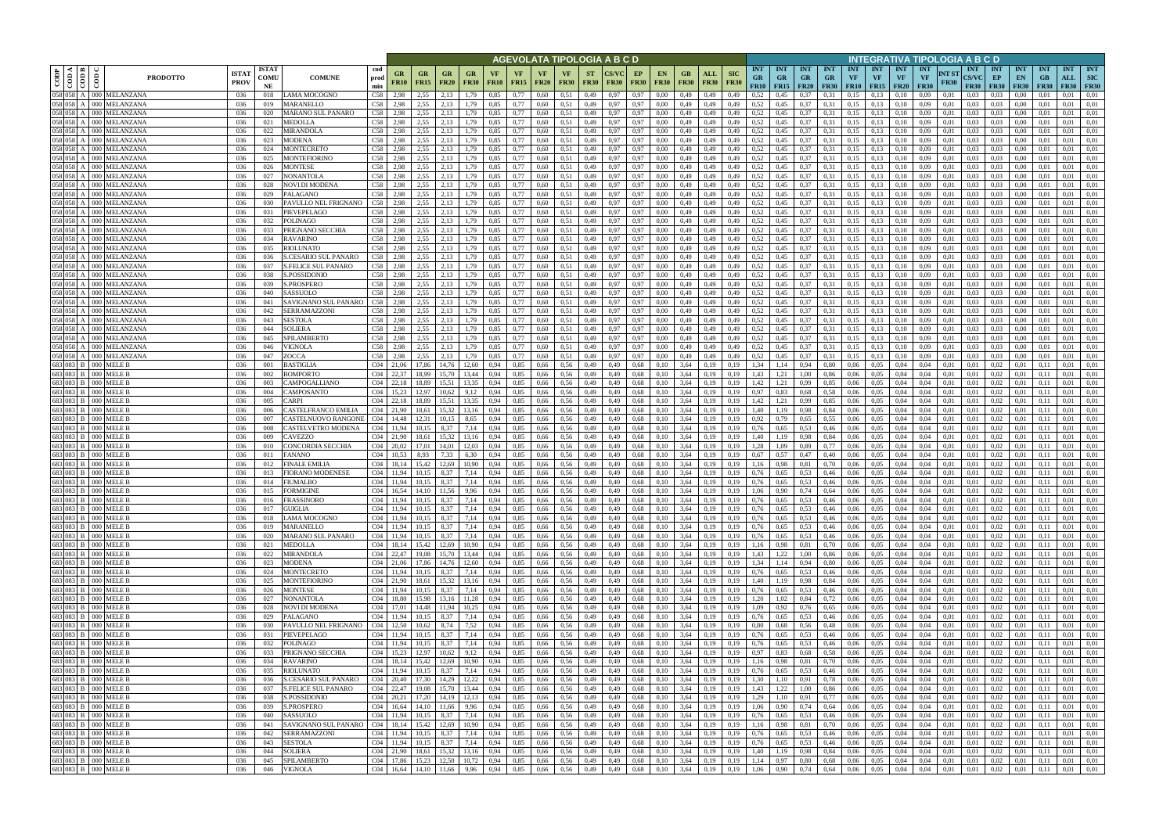|                                                                                                                                                                |                                              |                                                    |                             |                            |                                          |                    |                                    |                          |                                                                         |                      |                    |                   |                          |                            |                          | AGEVOLATA TIPOLOGIA A B C D |                   |                   |                    |                                      |                           |                                        |                                        |              |                                        |                  |                                             |                                        |                                        |                              | NTEGRATIVA TIPOLOGIA A B C D              |                                 |                                 |                                           |                                  |                                  |
|----------------------------------------------------------------------------------------------------------------------------------------------------------------|----------------------------------------------|----------------------------------------------------|-----------------------------|----------------------------|------------------------------------------|--------------------|------------------------------------|--------------------------|-------------------------------------------------------------------------|----------------------|--------------------|-------------------|--------------------------|----------------------------|--------------------------|-----------------------------|-------------------|-------------------|--------------------|--------------------------------------|---------------------------|----------------------------------------|----------------------------------------|--------------|----------------------------------------|------------------|---------------------------------------------|----------------------------------------|----------------------------------------|------------------------------|-------------------------------------------|---------------------------------|---------------------------------|-------------------------------------------|----------------------------------|----------------------------------|
| $\begin{array}{ c c }\n\hline\n\text{comp} \\ \hline\n\text{comp} \\ \hline\n\text{comp} \\ \hline\n\text{loop} \\ \hline\n\text{loop} \\ \hline\n\end{array}$ |                                              | <b>PRODOTTO</b>                                    | <b>ISTA7</b><br><b>PROV</b> | <b>ISTAT</b><br>COMU<br>NE | <b>COMUNE</b>                            | cod<br>prod<br>min | GR<br><b>FR10</b>                  | <b>GR</b><br><b>FR15</b> | GR<br><b>FR20</b>                                                       | GR<br><b>FR30</b>    | VF.<br><b>FR10</b> | VF<br><b>FR15</b> | <b>VF</b><br><b>FR20</b> | <b>VF</b><br><b>FR30</b>   | <b>ST</b><br><b>FR30</b> | <b>FR30</b>                 | EP<br><b>FR30</b> | EN<br><b>FR30</b> | GB.<br><b>FR30</b> | ALL<br><b>FR30</b>                   | <b>SIC</b><br><b>FR30</b> | <b>INT</b><br><b>GR</b><br><b>FR10</b> | <b>INT</b><br><b>GR</b><br>$FR15$ FR20 | INT<br>GR.   | <b>INT</b><br><b>GR</b><br><b>FR30</b> | <b>INT</b><br>VF | <b>INT</b><br><b>VF</b><br><b>FR10</b> FR15 | <b>INT</b><br><b>VF</b><br><b>FR20</b> | <b>INT</b><br><b>VF</b><br><b>FR30</b> | <b>INT ST</b><br><b>FR30</b> | <b>INT</b><br><b>CS/VC</b><br><b>FR30</b> | <b>INT</b><br>EP<br><b>FR30</b> | <b>INT</b><br>EN<br><b>FR30</b> | <b>INT</b><br><b>GB</b><br><b>FR30</b>    | <b>INT</b><br><b>ALL</b><br>FR30 | <b>INT</b><br>SIC<br><b>FR30</b> |
| 058 058                                                                                                                                                        |                                              | A 000 MELANZANA                                    | 036                         | 018                        | LAMA MOCOGNO                             | C58                | 2.98                               | 2,55                     | 2.13                                                                    | .79                  | 0.85               | 0,77              | 0.60                     | 0.51                       | 0,49                     | 0.97                        | 0,97              | 0.00              | 0,49               | 0,49                                 | 0,49                      | 0.52                                   | 0.45                                   | 0.37         | 0.31                                   | 0.15             | 0.13                                        | 0.10                                   | 0,09                                   | 0.01                         | 0.03                                      | 0.03                            | 0.00                            | 0.01                                      | 0.01                             | 0,01                             |
|                                                                                                                                                                |                                              | 058 058 A 000 MELANZANA<br>058 058 A 000 MELANZANA | 036<br>036                  | 019<br>020                 | MARANELLO<br>MARANO SUL PANARO           | C58<br>C58         | 2,98<br>2,98                       | 2,55<br>2,55             | 2.13<br>2,13                                                            | 1,79<br>1,79         | 0,85<br>0,85       | 0,77<br>0,77      | 0.60<br>0,60             | 0,51<br>0,51               | 0,49<br>0,49             | 0.97<br>0.97                | 0,97<br>0,97      | 0,00<br>0,00      | 0,49<br>0,49       | 0,49<br>0,49                         | 0,49<br>0,49              | 0,52<br>0,52                           | 0,45<br>0,45                           | 0,37<br>0,37 | 0.31<br>0,31                           | 0,15<br>0,15     | 0,13<br>0,13                                | 0,10<br>0,10                           | 0,09<br>0,09                           | 0,01<br>0,01                 | 0.03<br>$_{0.03}$                         | 0.03<br>0,03                    | 0.00<br>0,00                    | 0.01<br>0,01                              | 0,01<br>0,01                     | 0,01<br>0,01                     |
|                                                                                                                                                                |                                              | 058 058 A 000 MELANZANA                            | 036                         | 021                        | MEDOLLA                                  | C58                | 2,98                               | 2,55                     | 2.13                                                                    | 1,79                 | 0.85               | 0,77              | 0,60                     | 0.51                       | 0,49                     | 0.97                        | 0,97              | 0.00              | 0,49               | 0,49                                 | 0,49                      | 0,52                                   | 0,45                                   | 0,37         | 0.31                                   | 0,15             | 0,13                                        | 0,10                                   | 0,09                                   | 0,01                         | 0.03                                      | 0.03                            | 0.00                            | 0.01                                      | 0.01                             | 0,01                             |
| 058 058                                                                                                                                                        |                                              | 000 MELANZANA                                      | 036                         | 022                        | <b>MIRANDOLA</b>                         | C58                | 2.98                               | 2.55                     | 2.13                                                                    | 1.79                 | 0.85               | 0.77              | 0.60                     | 0.51                       | 0,49                     | 0.97                        | 0.97              | 0.00              | 0,49               | 0,49                                 | 0.49                      | 0,52                                   | 0,45                                   | 0.37         | 0.31                                   | 0.15             | 0,13                                        | 0.10                                   | 0.09                                   | 0.01                         | 0.03                                      | 0.03                            | 0.00                            | 0.01                                      | 0.01                             | 0,01                             |
|                                                                                                                                                                |                                              | 058 058 A 000 MELANZANA<br>058 058 A 000 MELANZANA | 036<br>036                  | 023<br>024                 | <b>MODENA</b><br>MONTECRETO              | C58                | 2,98<br>C <sub>58</sub> 2.98       | 2,55<br>2.55             | 2.13<br>2.13                                                            | 1,79<br>1,79         | 0.85<br>0.85       | 0,77<br>0,77      | 0,60<br>0.60             | 0,51<br>0.51               | 0,49<br>0,49             | 0.97<br>0.97                | 0,97<br>0,97      | 0.00<br>0.00      | 0,49<br>0,49       | 0,49<br>0,49                         | 0,49<br>0.49              | 0,52<br>0,52                           | 0,45<br>0.45                           | 0,37<br>0,37 | 0.31<br>0.31                           | 0,15<br>0,15     | 0,13<br>0,13                                | 0,10<br>0.10                           | 0,09<br>0.09                           | 0,01<br>0.01                 | 0.03<br>0.03                              | 0.03<br>0.03                    | 0,00<br>0.00                    | 0.01<br>0.01                              | 0,01<br>0.01                     | 0,01<br>0.01                     |
|                                                                                                                                                                |                                              | 058 058 A 000 MELANZANA                            | -036                        | 025                        | MONTEFIORINO                             |                    | C58 2.98                           | 2,55                     | 2.13                                                                    | 1,79                 | 0.85               | 0,77              | 0.60                     | 0,51                       | 0,49                     | 0.97                        | 0,97              | 0.00              | 0,49               | 0,49                                 | 0,49                      | 0,52                                   | 0,45                                   | 0,37         | 0.31                                   | 0,15             | 0,13                                        | 0,10                                   | 0,09                                   | 0,01                         | 0.03                                      | 0.03                            | $0.00\,$                        | 0.01                                      | 0.01                             | 0,01                             |
|                                                                                                                                                                |                                              | 058 058 A 000 MELANZANA                            | 036                         | 026                        | MONTESE                                  |                    | C58 2.98                           | 2.55                     | 2,13                                                                    | 1,79                 | 0,85               | 0,77              | 0,60                     | 0,51                       | 0,49                     | 0.97                        | 0,97              | 0.00              | 0,49               | 0,49                                 | 0,49                      | 0,52                                   | 0,45                                   | 0,37         | 0.31                                   | 0,15             | 0,13                                        | 0,10                                   | 0,09                                   | 0,01                         | 0.03                                      | 0,03                            | $0.00\,$                        | 0.01                                      | 0,01                             | 0,01                             |
|                                                                                                                                                                |                                              | 058 058 A 000 MELANZANA<br>058 058 A 000 MELANZANA | 036<br>036                  | 027<br>028                 | NONANTOLA<br>NOVI DI MODENA              | C58<br>C58         | 2,98<br>2,98                       | 2,55<br>2.55             | 2,13<br>2,13                                                            | 1,79<br>1,79         | 0,85<br>0,85       | 0,77<br>0,77      | 0,60<br>0,60             | 0,51<br>0,51               | 0,49<br>0,49             | 0.97<br>0.97                | 0,97<br>0,97      | 0.00<br>0,00      | 0,49<br>0,49       | 0,49<br>0,49                         | 0,49<br>0,49              | 0,52<br>0,52                           | 0,45<br>0,45                           | 0,37<br>0,37 | 0.31<br>0.31                           | 0,15<br>0,15     | 0,13<br>0,13                                | 0,10<br>0,10                           | 0,09<br>0,09                           | 0,01<br>0,01                 | 0.03<br>0.03                              | 0.03<br>0,03                    | 0,00<br>0,00                    | 0.01<br>0.01                              | 0,01<br>0,01                     | 0,01<br>0,01                     |
|                                                                                                                                                                |                                              | 058 058 A 000 MELANZANA                            | 036                         | 029                        | PALAGANO                                 | C58                | 2,98                               | 2,55                     | 2,13                                                                    | 1,79                 | 0,85               | 0,77              | 0,60                     | 0,51                       | 0,49                     | 0.97                        | 0,97              | 0,00              | 0,49               | 0,49                                 | 0,49                      | 0,52                                   | 0,45                                   | 0,37         | 0,31                                   | 0,15             | 0,13                                        | 0,10                                   | 0,09                                   | 0,01                         | 0,03                                      | 0,03                            | 0,00                            | 0,01                                      | 0,01                             | 0,01                             |
|                                                                                                                                                                |                                              | 058 058 A 000 MELANZANA                            | 036                         | 030                        | PAVULLO NEL FRIGNANO                     | C58                | 2,98                               | 2.55                     | 2.13                                                                    | 1,79                 | 0,85               | 0,77              | 0,60                     | 0.51                       | 0,49                     | 0.97                        | 0,97              | 0.00              | 0,49               | 0,49                                 | 0,49                      | 0,52                                   | 0.45                                   | 0,37         | 0.31                                   | 0,15             | 0,13                                        | 0,10                                   | 0,09                                   | 0,01                         | 0.03                                      | 0,03                            | 0.00                            | 0.01                                      | 0,01                             | 0,01                             |
|                                                                                                                                                                |                                              | 058 058 A 000 MELANZANA<br>058 058 A 000 MELANZANA | 036<br>036                  | 031<br>032                 | PIEVEPELAGO<br>POLINAGO                  | C58<br>C58         | 2,98<br>2,98                       | 2,55<br>2,55             | 2,13<br>2.13                                                            | 1,79<br>1,79         | 0,85<br>0,85       | 0,77<br>0,77      | 0,60<br>0,60             | 0.51<br>0,51               | 0,49<br>0,49             | 0.97<br>0.97                | 0,97<br>0,97      | 0.00<br>0,00      | 0,49<br>0,49       | 0,49<br>0,49                         | 0,49<br>0,49              | 0,52<br>0.52                           | 0,45<br>0,45                           | 0,37<br>0,37 | 0.31<br>0.31                           | 0,15<br>0,15     | 0,13<br>0,13                                | 0,10<br>0,10                           | 0,09<br>0,09                           | 0,01<br>0,01                 | 0.03<br>0.03                              | 0,03<br>0,03                    | 0,00<br>0,00                    | 0.01<br>0,01                              | 0,01<br>0,01                     | 0,01<br>0,01                     |
| 058 058                                                                                                                                                        |                                              | A 000 MELANZANA                                    | 036                         | 033                        | PRIGNANO SECCHIA                         | C58                | 2.98                               | 2.55                     | 2.13                                                                    | 1.79                 | 0.85               | 0.77              | 0.60                     | 0,51                       | 0,49                     | 0.97                        | 0,97              | 0.00              | 0,49               | 0,49                                 | 0.49                      | 0.52                                   | 0.45                                   | 0,37         | 0.31                                   | 0,15             | 0,13                                        | 0.10                                   | 0.09                                   | 0.01                         | 0.03                                      | 0,03                            | 0.00                            | 0.01                                      | 0.01                             | 0.01                             |
| 058 058                                                                                                                                                        |                                              | A 000 MELANZANA                                    | 036                         | 034                        | <b>RAVARINO</b>                          | C58                | 2.98                               | 2.55                     | 2.13                                                                    | 1.79                 | 0.85               | 0,77              | 0,60                     | 0,51                       | 0,49                     | 0.97                        | 0,97              | 0.00              | 0,49               | 0,49                                 | 0.49                      | 0,52                                   | 0.45                                   | 0.37         | 0.31                                   | 0,15             | 0,13                                        | 0,10                                   | 0,09                                   | 0.01                         | 0.03                                      | 0,03                            | 0.00                            | 0.01                                      | 0,01                             | 0.01                             |
| 058 058<br>058 058                                                                                                                                             |                                              | A 000 MELANZANA<br>A 000 MELANZANA                 | 036<br>036                  | 035<br>036                 | RIOLUNATO<br><b>S.CESARIO SUL PANARO</b> | C58<br>C58         | 2,98<br>2.98                       | 2,55<br>2.55             | 2,13<br>2.13                                                            | 1.79<br>.79          | 0,85<br>0.85       | 0,77<br>0,77      | 0,60<br>0.60             | 0,51<br>0.51               | 0,49<br>0,49             | 0.97<br>0.97                | 0,97<br>0,97      | 0.00<br>0.00      | 0,49<br>0,49       | 0,49<br>0,49                         | 0,49<br>0.49              | 0.52<br>0,52                           | 0,45<br>0.45                           | 0,37<br>0.37 | 0.31<br>0.31                           | 0,15<br>0.15     | 0,13<br>0,13                                | 0,10<br>0.10                           | 0,09<br>0.09                           | 0.01<br>0.01                 | 0.03<br>0.03                              | 0,03<br>0,03                    | 0.00<br>0.00                    | 0.01<br>0.01                              | 0,01<br>0,01                     | 0,01<br>0.01                     |
| 058 058                                                                                                                                                        |                                              | A 000 MELANZANA                                    | 036                         | 037                        | <b>S.FELICE SUL PANARO</b>               | C58                | 2.98                               | 2,55                     | 2.13                                                                    | .79                  | 0.85               | 0,77              | 0,60                     | 0,51                       | 0,49                     | 0.97                        | 0,97              | 0.00              | 0,49               | 0.49                                 | 0.49                      | 0,52                                   | 0.45                                   | 0.37         | 0.31                                   | 0.15             | 0,13                                        | 0.10                                   | 0.09                                   | 0.01                         | 0.03                                      | 0,03                            | 0.00                            | 0.01                                      | 0.01                             | 0.01                             |
| 058 058                                                                                                                                                        |                                              | A 000 MELANZANA                                    | 036                         | 038                        | S.POSSIDONIO                             | C58                | 2,98                               | 2,55                     | 2,13                                                                    | .79                  | 0.85               | 0,77              | 0,60                     | 0,51                       | 0,49                     | 0.97                        | 0,97              | 0.00              | 0,49               | 0,49                                 | 0,49                      | 0,52                                   | 0,45                                   | 0,37         | 0.31                                   | 0,15             | 0,13                                        | 0,10                                   | 0,09                                   | 0,01                         | 0.03                                      | 0,03                            | 0.00                            | 0.01                                      | 0,01                             | 0,01                             |
| 058 058                                                                                                                                                        |                                              | A 000 MELANZANA<br>058 058 A 000 MELANZANA         | 036<br>036                  | 039<br>040                 | S.PROSPERO<br>SASSUOLO                   | C58<br>C58         | 2.98<br>2.98                       | 2.55<br>2.55             | 2.13<br>2.13                                                            | 1.79<br>1.79         | 0.85               | 0.77<br>0,77      | 0,60<br>0,60             | 0,51<br>0,51               | 0,49<br>0,49             | 0.97<br>0.97                | 0,97              | 0.00<br>0.00      | 0,49<br>0,49       | 0,49<br>0,49                         | 0,49                      | 0,52<br>0,52                           | 0,45                                   | 0,37         | 0.31                                   | 0,15<br>0,15     | 0,13<br>0,13                                | 0,10                                   | 0,09<br>0,09                           | 0,01                         | 0.03                                      | 0.03<br>0,03                    | 0.00<br>0.00                    | 0.01<br>0.01                              | 0,01<br>0,01                     | 0,01<br>0,01                     |
| 058 058                                                                                                                                                        |                                              | A 000 MELANZANA                                    | 036                         | 041                        | SAVIGNANO SUL PANARO                     | C58                | 2,98                               | 2,55                     | 2,13                                                                    | l.79                 | 0,85<br>0.85       | 0,77              | 0,60                     | 0.51                       | 0,49                     | 0.97                        | 0,97<br>0,97      | 0.00              | 0,49               | 0,49                                 | 0,49<br>0,49              | 0,52                                   | 0,45<br>0,45                           | 0,37<br>0.37 | 0.31<br>0.31                           | 0,15             | 0,13                                        | 0,10<br>0.10                           | 0,09                                   | 0,01<br>0,01                 | 0.03<br>$_{0.03}$                         | 0,03                            | 0.00                            | 0.01                                      | 0,01                             | 0,01                             |
| 058 058                                                                                                                                                        |                                              | A 000 MELANZANA                                    | 036                         | 042                        | SERRAMAZZONI                             | C58                | 2,98                               | 2,55                     | 2.13                                                                    | .79                  | 0.85               | 0,77              | 0,60                     | 0.51                       | 0,49                     | 0.97                        | 0,97              | 0.00              | 0,49               | 0,49                                 | 0,49                      | 0,52                                   | 0,45                                   | 0.37         | 0.31                                   | 0,15             | 0,13                                        | 0.10                                   | 0,09                                   | 0,01                         | 0.03                                      | 0.03                            | 0.00                            | 0.01                                      | 0,01                             | 0,01                             |
| 058 058                                                                                                                                                        |                                              | A 000 MELANZANA                                    | 036                         | 043                        | SESTOLA                                  | C58                | 2.98                               | 2,55                     | 2.13                                                                    | .79                  | 0.85               | 0.77              | 0.60                     | 0.51                       | 0,49                     |                             | 0.97              | 0.00              | 0,49               | 0,49                                 | 0.49                      | 0,52                                   | 0.45                                   | 0.37         | 0.31                                   | 0.15             | 0,13                                        |                                        | 0.09                                   | 0.01                         | 0.03                                      | 0.03                            | 0.00                            | 0.01                                      | 0.01                             | 0,01                             |
| 058 058                                                                                                                                                        |                                              | 058 058 A 000 MELANZANA<br>A 000 MELANZANA         | 036<br>036                  | 044<br>045                 | SOLIERA<br>SPILAMBERTO                   | C58<br>C58         | 2,98<br>2.98                       | 2,55<br>2.55             | 2,13<br>2,13                                                            | 1,79<br>1,79         | 0,85<br>0.85       | 0,77<br>0.77      | 0,60<br>0.60             | 0.51<br>0,51               | 0,49<br>0,49             | 0.97<br>0.97                | 0,97<br>0,97      | 0,00<br>0.00      | 0,49<br>0,49       | 0,49<br>0,49                         | 0,49<br>0.49              | 0,52<br>0,52                           | 0,45<br>0,45                           | 0,37<br>0,37 | 0.31<br>0.31                           | 0,15<br>0,15     | 0,13<br>0,13                                | 0,10<br>0.10                           | 0,09<br>0.09                           | 0,01<br>0.01                 | 0.03<br>0.03                              | 0,03<br>0.03                    | 0,00<br>0.00                    | 0,01<br>0.01                              | 0,01<br>0.01                     | 0,01<br>0,01                     |
|                                                                                                                                                                |                                              | 058 058 A 000 MELANZANA                            | 036                         | 046                        | <b>VIGNOLA</b>                           | C <sub>58</sub>    | 2,98                               | 2,55                     | 2,13                                                                    | 1,79                 | 0.85               | 0,77              | 0,60                     | 0,51                       | 0,49                     | 0.97                        | 0,97              | 0.00              | 0,49               | 0,49                                 | 0,49                      | 0,52                                   | 0,45                                   | 0,37         | 0.31                                   | 0,15             | 0,13                                        | 0,10                                   | 0,09                                   | 0,01                         | 0.03                                      | 0.03                            | 0,00                            | 0.01                                      | 0,01                             | 0,01                             |
|                                                                                                                                                                |                                              | 058 058 A 000 MELANZANA                            | 036                         | 047                        | ZOCCA                                    | C <sub>58</sub>    | 2.98                               | 2.55                     | 2,13                                                                    | 1,79                 | 0.85               | 0.77              | 0,60                     | 0,51                       | 0,49                     | 0.97                        | 0.97              | 0.00              | 0,49               | 0,49                                 | 0,49                      | 0,52                                   | 0,45                                   | 0,37         | 0,31                                   | 0,15             | 0,13                                        | 0,10                                   | 0,09                                   | 0.01                         | 0.03                                      | 0.03                            | 0.00                            | 0.01                                      | 0,01                             | 0,01                             |
|                                                                                                                                                                | 683 083 B 000 MELE B<br>683 083 B 000 MELE B |                                                    | 036<br>036                  | 001<br>002                 | <b>BASTIGLIA</b><br><b>BOMPORTO</b>      |                    | C <sub>04</sub> 21.06<br>C04 22.37 | 17.86<br>18.99           | 14.76<br>15.70                                                          | 12.60<br>13.44       | 0.94<br>0.94       | 0,85<br>0,85      | 0,66<br>0,66             | 0.56<br>0.56               | 0,49<br>0,49             | 0.49<br>0.49                | 0,68<br>0.68      | 0.10<br>0.10      | 3.64<br>3,64       | 0,19<br>0,19                         | 0.19<br>0.19              | 1.34<br>1,43                           | 1,14<br>1,21                           | 0,94<br>1.00 | 0,80<br>0,86                           | 0.06<br>0.06     | 0.05<br>0.05                                | 0.04<br>0.04                           | 0.04<br>0.04                           | 0,01<br>0,01                 | 0,01<br>0.01                              | 0.02<br>0,02                    | 0.01<br>0.01                    | 0.11<br>0.11                              | 0.01<br>0.01                     | 0,01<br>0,01                     |
|                                                                                                                                                                | 683 083 B 000 MELE B                         |                                                    | 036                         | 003                        | CAMPOGALLIANO                            |                    | $C04$ 22,18                        | 18,89                    | 15,51                                                                   | 13,35                | 0,94               | 0,85              | 0,66                     | 0,56                       | 0,49                     | 0,49                        | 0,68              | 0,10              | 3,64               | 0,19                                 | 0,19                      | 1,42                                   | 1,21                                   | 0,99         | 0.85                                   | 0,06             | 0,05                                        | 0,04                                   | 0,04                                   | 0,01                         | 0,01                                      | 0,02                            | 0,01                            | 0,11                                      | 0,01                             | 0,01                             |
|                                                                                                                                                                | 683 083 B 000 MELE B                         |                                                    | 036                         | 004                        | CAMPOSANTO                               | CO4                | 15.23                              | 12.97                    | 10.62                                                                   | 9,12                 | 0.94               | 0,85              | 0,66                     | 0.56                       | 0,49                     | 0.49                        | 0.68              | 0.10              | 3,64               | 0,19                                 | 0.19                      | 0,97                                   | 0,83                                   | 0.68         | 0.58                                   | 0.06             | 0,05                                        | 0,04                                   | 0,04                                   | 0,01                         | 0.01                                      | 0,02                            | 0.01                            | 0,11                                      | 0,01                             | 0,01                             |
|                                                                                                                                                                | 683 083 B 000 MELE B<br>683 083 B 000 MELE B |                                                    | 036<br>036                  | 005<br>006                 | CARPI<br>CASTELFRANCO EMILIA             |                    | $C04$ 22,18<br>C04 21,90           | 18.89<br>18,61           | 15,51<br>15,32                                                          | 13,35<br>13,16       | 0.94<br>0,94       | 0,85<br>0,85      | 0,66<br>0,66             | 0,56<br>0,56               | 0,49<br>0,49             | 0,49<br>0,49                | 0,68<br>0,68      | 0,10<br>0,10      | 3,64<br>3,64       | 0,19<br>0,19                         | 0,19<br>0,19              | 1,42<br>1,40                           | 1,21<br>1,19                           | 0,99<br>0,98 | 0.85<br>0,84                           | 0,06<br>0.06     | 0,05<br>0,05                                | 0,04<br>0,04                           | 0,04<br>0,04                           | 0,01<br>0,01                 | 0,01<br>0,01                              | 0,02<br>0,02                    | 0,01<br>0,01                    | 0,11<br>0,11                              | 0,01<br>0,01                     | 0,01<br>0,01                     |
|                                                                                                                                                                | 683 083 B 000 MELE B                         |                                                    | 036                         | 007                        | CASTELNUOVO RANGONE                      |                    | C04 14,48                          | 12.31                    | 10.15                                                                   | 8,65                 | 0,94               | 0,85              | 0.66                     | 0,56                       | 0,49                     | 0,49                        | 0,68              | 0,10              | 3,64               | 0,19                                 | 0,19                      | 0,92                                   | 0,79                                   | 0.65         | 0.55                                   | 0.06             | 0,05                                        | 0,04                                   | 0,04                                   | 0,01                         | 0,01                                      | 0,02                            | 0,01                            | 0.11                                      | 0,01                             | 0,01                             |
|                                                                                                                                                                | 683 083 B 000 MELE B                         |                                                    | 036                         | 008                        | CASTELVETRO MODENA                       |                    | C04 11,94                          | 10.15                    | 8,37                                                                    | 7,14                 | 0.94               | 0,85              | 0,66                     | 0,56                       | 0,49                     | 0,49                        | 0,68              | 0,10              | 3,64               | 0,19                                 | 0,19                      | 0,76                                   | 0.65                                   | 0.53         | 0,46                                   | 0,06             | 0.05                                        | 0,04                                   | 0,04                                   | 0,01                         | 0,01                                      | 0,02                            | 0,01                            | 0,11                                      | 0,01                             | 0,01                             |
|                                                                                                                                                                | 683 083 B 000 MELE B<br>683 083 B 000 MELE E |                                                    | 036<br>036                  | 009<br>010                 | CAVEZZO<br>CONCORDIA SECCHIA             |                    | C04 21,90<br>C <sub>04</sub> 20.02 | 18,61<br>17.01           | 15,32<br>14.01                                                          | 13,16<br>12.03       | 0,94<br>0.94       | 0,85<br>0,85      | 0,66<br>0,66             | 0,56<br>0,56               | 0,49<br>0,49             | 0,49<br>0.49                | 0,68<br>0,68      | 0.10<br>0.10      | 3,64<br>3,64       | 0,19<br>0.19                         | 0,19<br>0.19              | 1,40<br>1,28                           | 1,19<br>1.09                           | 0,98<br>0,89 | 0,84<br>0,77                           | 0,06<br>0.06     | 0.05<br>0,05                                | 0,04<br>0.04                           | 0,04<br>0,04                           | 0,01<br>0,01                 | 0.01<br>0.01                              | 0,02<br>0,02                    | 0,01<br>0.01                    | 0,11<br>0.11                              | 0,01<br>0,01                     | 0,01<br>0,01                     |
|                                                                                                                                                                | 683 083 B 000 MELE B                         |                                                    | 036                         | 011                        | <b>FANANO</b>                            | CO4                | 10.53                              | 8.93                     | 7.33                                                                    | 6.30                 | 0.94               | 0,85              | 0,66                     | 0,56                       | 0,49                     | 0.49                        | 0,68              | 0.10              | 3,64               | 0,19                                 | 0.19                      | 0,67                                   | 0.57                                   | 0.47         | 0,40                                   | 0.06             | 0,05                                        | 0.04                                   | 0.04                                   | 0.01                         | 0.01                                      | 0,02                            | 0.01                            | 0.11                                      | 0.01                             | 0,01                             |
|                                                                                                                                                                | 683 083 B 000 MELE E                         |                                                    | 036                         | 012                        | FINALE EMILIA                            | CO4                | 18,14                              | 15,42                    | 12,69                                                                   | 10,90                | 0,94               | 0,85              | 0,66                     | 0,56                       | 0,49                     | 0.49                        | 0,68              | 0,10              | 3,64               | 0,19                                 | 0,19                      | 1,16                                   | 0,98                                   | 0,81         | 0,70                                   | 0.06             | 0,05                                        | 0,04                                   | 0,04                                   | 0,01                         | 0,01                                      | 0,02                            | 0.01                            | 0,11                                      | 0,01                             | 0,01                             |
|                                                                                                                                                                | 683 083 B 000 MELEB<br>683 083 B 000 MELE B  |                                                    | 036<br>036                  | 013<br>014                 | <b>FIORANO MODENESE</b><br>FIUMALBO      | CO4                | C04 11,94                          | 10.15<br>10.15           | 8.37<br>8,37                                                            | 7.14<br>7,14         | 0.94<br>0,94       | 0.85<br>0,85      | 0.66<br>0,66             | 0.56<br>0,56               | 0.49<br>0,49             | 0.49<br>0,49                | 0.68<br>0,68      | 0.10<br>0.10      | 3.64<br>3,64       | 0.19<br>0,19                         | 0.19<br>0,19              | 0.76<br>0,76                           | 0.65<br>0.65                           | 0.53<br>0,53 | 0.46<br>0,46                           | 0.06<br>0,06     | 0.05<br>0.05                                | 0.04<br>0,04                           | 0.04<br>0,04                           | 0.01<br>0,01                 | 0.01<br>0.01                              | 0.02<br>0,02                    | 0.01                            | 0.11<br>0.11                              | 0.01<br>0,01                     | 0.01<br>0,01                     |
|                                                                                                                                                                | 683 083 B 000 MELE B                         |                                                    | 036                         | 015                        | <b>FORMIGINE</b>                         |                    | C04 16.54                          |                          | 14.10 11.56                                                             | 9,96                 | 0.94               | 0.85              | 0,66 0,56                |                            | 0,49                     | 0.49                        | 0.68              | 0.10              | 3,64               | 0,19                                 | 0.19                      | 1.06                                   | 0,90                                   | 0,74         | 0.64                                   | 0.06             | 0.05                                        | 0.04                                   | 0.04                                   | 0,01                         | 0.01                                      | 0.02                            | 0.01                            | 0.11                                      | 0.01                             | 0.01                             |
|                                                                                                                                                                | 683 083 B 000 MELE B                         |                                                    | 036                         | 016                        | <b>FRASSINORO</b>                        |                    | C04 11,94                          | 10,15                    | 8,37                                                                    | 7,14                 | 0,94               | 0,85              | 0,66                     | 0,56                       | 0,49                     | 0,49                        | 0,68              | 0,10              | 3,64               | 0,19                                 | 0,19                      | 0,76                                   | 0,65                                   | 0,53         | 0,46                                   | 0,06             | 0,05                                        | 0,04                                   | 0,04                                   | 0,01                         | 0,01                                      | 0,02                            |                                 | 0,11                                      | 0,01                             | 0,01                             |
|                                                                                                                                                                | 683 083 B 000 MELE B                         | 683 083 B 000 MELE B                               | 036<br>036                  | 017<br>018                 | <b>GUIGLIA</b><br>LAMA MOCOGNO           |                    | C04 11,94<br>C04 11,94             | 10,15                    | 8,37<br>$10,15$ 8.37                                                    | 7,14<br>7,14         | 0,94<br>0,94       | 0,85<br>0,85      | 0,66<br>$0,66$ 0.56      | 0,56                       | 0,49<br>0,49             | 0,49<br>0,49                | 0,68<br>0,68      | 0,10<br>0,10      | 3,64               | 0,19<br>$3,64$ 0,19                  | 0,19<br>0,19              | 0,76<br>0,76                           | 0,65<br>0,65                           | 0,53<br>0,53 | 0,46<br>0,46                           | 0,06<br>0,06     | 0,05<br>0,05                                | 0,04<br>0,04                           | 0,04                                   | 0,01<br>$0,04$ 0,01          | 0,01<br>0,01                              | 0,02<br>0,02                    | 0,01<br>0,01                    | 0,11<br>0,11                              | 0,01<br>0,01                     | 0,01<br>0,01                     |
|                                                                                                                                                                |                                              | 683 083 B 000 MELE B                               | 036                         | 019                        | <b>MARANELLO</b>                         |                    | C04 11,94                          |                          | 10.15 8.37                                                              | 7,14                 | 0,94               | 0,85              |                          | 0,66 0,56                  | 0,49                     | 0,49                        | 0,68              | 0,10              |                    | $3,64$ 0,19                          | 0,19                      | 0,76                                   | 0,65                                   | 0,53         | 0,46                                   | 0,06             | 0,05                                        | 0,04                                   |                                        | $0,04$ 0.01                  | 0,01                                      | 0,02                            | 0,01                            | 0,11                                      | 0,01                             | 0,01                             |
|                                                                                                                                                                |                                              | 683 083 B 000 MELE B<br>683 083 B 000 MELE B       | 036                         | 020                        | MARANO SUL PANARO                        |                    | C04 11,94                          |                          | 10,15 8,37                                                              | 7,14                 | 0,94               | 0,85              | 0,66 0,56                |                            | 0,49                     | 0,49                        | 0,68              | 0,10              | 3,64               | 0,19                                 | 0,19                      | 0,76                                   | 0,65                                   | 0,53         | 0,46                                   | 0,06             | 0,05                                        | 0,04                                   | 0,04                                   | 0,01                         | 0,01                                      | 0,02                            | 0,01                            | 0,11                                      | 0,01                             | 0,01                             |
|                                                                                                                                                                |                                              | 683 083 B 000 MELE B                               | 036<br>036                  | 021<br>022                 | MEDOLLA<br><b>MIRANDOLA</b>              |                    |                                    |                          | $C04$ 18,14 15,42 12,69<br>$C04$   22,47   19,08   15,70   13,44   0,94 | 10,90                | 0,94               | 0,85<br>0,85      |                          | 0,66 0,56<br>0,66 0,56     | 0,49                     | 0,49<br>0,49                | 0,68<br>0,68      | 0,10<br>0,10      |                    | $3,64$ 0,19<br>$3,64$ 0,19           | 0,19                      | 1,16<br>1,43                           | 0,98                                   | 0,81         | 0,70<br>0,86                           | 0,06             | $0,06$ 0.05<br>0,05                         | 0,04<br>0,04                           |                                        | $0,04$ 0.01<br>$0,04$ $0,01$ | 0,01<br>0,01                              | 0,02<br>0,02                    | 0,01<br>0,01                    | 0,11                                      | 0,01<br>$0,01$ $0,01$            | 0,01                             |
|                                                                                                                                                                |                                              | 683 083 B 000 MELE B                               | 036                         | 023                        | MODENA                                   |                    |                                    |                          | $C04$ 21,06 17,86 14,76                                                 | 12,60 0,94           |                    | 0,85              |                          | 0,66 0,56                  | 0,49<br>0,49             | 0,49                        | 0,68              | 0,10              |                    | $3,64$ 0,19                          | 0,19                      | $0,19$ 1,34                            | $1,22$ $1,00$<br>$1,14$ 0,94           |              | 0,80                                   | 0,06             | 0,05                                        | 0,04                                   | 0,04                                   | 0,01                         | 0,01                                      | 0,02                            | 0,01                            | 0,11<br>0,11                              | $0,01$ $0,01$                    |                                  |
|                                                                                                                                                                |                                              | 683 083 B 000 MELE B                               | 036                         | 024                        | <b>MONTECRETO</b>                        |                    |                                    |                          | $CO4$ 11,94 10,15 8,37                                                  | 7,14 0,94            |                    | 0,85              | $0,66$ 0.56              |                            | 0,49                     | 0,49                        | 0,68              | 0,10              |                    | $\overline{3,64}$ 0,19               | 0,19                      | 0,76                                   | $0,65$ 0.53                            |              | 0,46                                   | 0,06             | 0,05                                        | 0,04                                   |                                        | $0,04$ 0.01                  | 0,01                                      | 0,02                            | 0,01                            | 0,11                                      | $0,01$ $0,01$                    |                                  |
|                                                                                                                                                                | 683 083 B 000 MELE B                         | 683 083 B 000 MELE B                               | 036<br>036                  | 025                        | <b>MONTEFIORINO</b><br><b>MONTESE</b>    |                    | $C04$ 21,90                        | 18,61                    | 15,32<br>$C04$ 11,94 10,15 8,37                                         | 13,16<br>7,14        | 0,94<br>0,94       | 0,85<br>0,85      | 0,66                     | $0,66$ 0.56<br>0,56        | 0,49<br>0,49             | 0,49                        | 0,68              | 0,10<br>0,10      | 3,64<br>3,64       | 0,19<br>0,19                         | 0,19<br>0,19              | 1,40<br>0,76                           | 1,19<br>0,65                           | 0,98<br>0,53 | 0,84<br>0,46                           | 0,06<br>0,06     | 0,05<br>0,05                                | 0,04<br>0,04                           | 0,04<br>0,04                           | 0,01                         | 0,01<br>0,01                              | 0,02<br>0,02                    | 0,01<br>0,01                    | 0,11<br>0,11                              | 0,01<br>0,01                     | 0,01<br>0,01                     |
|                                                                                                                                                                |                                              | 683 083 B 000 MELE B                               | 036                         | 026<br>027                 | <b>NONANTOLA</b>                         |                    | C04 18,80                          |                          | 15,98 13,16                                                             | 11,28                | 0,94               | 0,85              | 0,66                     | 0,56                       | 0,49                     | 0,49<br>0,49                | 0,68<br>0,68      | 0,10              |                    | $3,64$ 0,19                          | 0,19                      | 1,20                                   | 1,02                                   | 0,84         | 0,72                                   | 0,06             | 0,05                                        | 0,04                                   | 0,04                                   | 0,01<br>0,01                 | 0,01                                      | 0,02                            | 0,01                            | 0,11                                      | 0,01                             | 0,01                             |
|                                                                                                                                                                |                                              | 683 083 B 000 MELE B                               | 036                         | 028                        | NOVI DI MODENA                           |                    | C04 17,01                          |                          | 14,48 11,94                                                             | 10,25                | 0,94               | 0,85              | 0,66 0,56                |                            | 0,49                     | 0,49                        | 0,68              | 0,10              |                    | $3,64$ 0,19                          | 0,19                      | 1,09                                   | 0,92                                   | 0,76         | 0,65                                   | 0,06             | 0,05                                        | 0,04                                   | 0,04                                   | 0,01                         | 0,01                                      | 0,02                            | 0,01                            | 0,11                                      | 0,01                             | 0,01                             |
|                                                                                                                                                                |                                              | 683 083 B 000 MELE B<br>683 083 B 000 MELE B       | 036                         | 029                        | PALAGANO                                 |                    | $C04$ 11,94                        |                          | $10,15$ 8,37                                                            | 7,14                 | 0,94               | 0,85              |                          | 0,66 0,56                  | 0,49                     | 0,49                        | 0,68              | 0,10              |                    | $3,64$ 0,19                          | 0,19                      | 0,76                                   | 0,65                                   | 0,53         | 0,46                                   | 0,06             | 0,05                                        | 0,04                                   |                                        | $0,04$ 0.01                  | 0,01                                      | 0,02                            | 0,01                            | 0,11                                      | 0,01                             | 0,01                             |
|                                                                                                                                                                |                                              | 683 083 B 000 MELE B                               | 036<br>036                  | 030<br>031                 | PAVULLO NEL FRIGNANO<br>PIEVEPELAGO      |                    | C04 12,50<br>C04 11,94             |                          | $10,62$ 8,74<br>$10,15$ 8.37                                            | 7,52<br>7,14         | 0,94<br>0.94       | 0,85<br>0,85      |                          | 0,66 0,56<br>0,66 0,56     | 0,49<br>0,49             | 0,49<br>0,49                | 0,68<br>0,68      | 0,10<br>0,10      |                    | $3,64$ 0,19<br>$3,64$ 0.19           | 0,19<br>0,19              | 0,80<br>0,76                           | 0,68<br>$0,65$ 0.53                    | 0,56         | 0,48<br>0,46                           | 0,06<br>0,06     | 0,05<br>0,05                                | 0,04<br>0,04                           | 0,04                                   | 0,01<br>$0,04$ 0.01          | 0,01<br>0,01                              | 0,02<br>0,02                    | 0,01<br>0,01                    | 0,11<br>0,11                              | 0,01<br>0,01                     | 0,01<br>0,01                     |
|                                                                                                                                                                | 683 083 B 000 MELE B                         |                                                    | 036                         | 032                        | POLINAGO                                 |                    | C04 11,94                          |                          | $10,15$ 8,37                                                            | 7,14 0,94            |                    | 0,85              |                          | 0,66 0,56                  | 0,49                     | 0,49                        | 0,68              | 0,10              |                    | $3,64$ 0.19                          | 0,19                      | 0,76                                   | $0,65$ 0.53                            |              | 0,46                                   | 0,06             | 0,05                                        | 0,04                                   |                                        | $0,04$ 0.01                  | 0,01                                      | 0,02                            | 0,01                            | 0,11                                      | 0,01                             | 0,01                             |
|                                                                                                                                                                |                                              | 683 083 B 000 MELE B                               | 036                         | 033                        | PRIGNANO SECCHIA                         |                    | $C04$ 15,23                        |                          | 12,97 10,62                                                             | 9,12 0,94            |                    | 0,85              |                          | 0,66 0,56                  | 0,49                     | 0,49                        | 0,68              | 0,10              |                    | $3,64$ 0,19                          | 0,19                      | 0,97                                   | 0,83 0,68                              |              | 0,58                                   | 0,06             | 0,05                                        | 0,04                                   |                                        | $0,04$ 0.01                  | 0,01                                      | 0,02                            | 0,01                            | 0,11                                      | 0,01                             | 0,01                             |
|                                                                                                                                                                |                                              | 683 083 B 000 MELE B<br>683 083 B 000 MELE B       | 036<br>036                  | 034<br>035                 | <b>RAVARINO</b><br>RIOLUNATO             |                    | C <sub>04</sub> 11,94              |                          | $C04$   18,14   15,42   12,69   10,90   0,94<br>$10,15$ 8,37 7,14 0,94  |                      |                    | 0,85<br>0,85      |                          | 0,66 0,56<br>0,66 0,56     | 0,49<br>0,49             | 0,49<br>0,49                | 0,68<br>0,68      | 0,10<br>0,10      |                    | $3,64$ 0,19<br>$3,64$ 0,19           | 0,19<br>0,19              | 1,16<br>0,76                           | 0,98 0,81<br>$0,65$ 0.53               |              | 0,70<br>0,46                           | 0,06<br>0,06     | 0,05<br>0,05                                | 0,04<br>0,04                           |                                        | $0,04$ 0.01<br>$0,04$ 0.01   | 0,01<br>0,01                              | 0,02<br>0,02                    | 0,01<br>0,01                    | 0,11<br>0,11                              | 0,01<br>0,01                     | 0,01<br>0,01                     |
|                                                                                                                                                                |                                              | 683 083 B 000 MELE B                               | 036                         | 036                        | S.CESARIO SUL PANARO                     |                    | C <sub>04</sub> 20,40              |                          | 17,30  14,29  12,22  0,94                                               |                      |                    | 0,85              | 0,66 0,56                |                            | 0,49                     | 0,49                        | 0,68              | 0,10              |                    | $3,64$ 0,19                          | 0,19                      | 1,30                                   | $1,10$ 0.91                            |              | 0,78                                   | 0,06             | 0,05                                        | 0,04                                   |                                        | $0,04$ 0.01                  | 0,01                                      | 0,02                            | 0,01                            | 0,11                                      | 0,01                             | 0,01                             |
|                                                                                                                                                                |                                              | 683 083 B 000 MELE B                               | 036                         | 037                        | <b>S.FELICE SUL PANARO</b>               |                    |                                    |                          | C04 22,47 19,08 15,70 13,44 0,94                                        |                      |                    | 0,85              |                          | 0,66 0,56                  | 0,49                     | 0,49                        | 0,68              | 0,10              |                    | $3,64$ 0,19                          | 0,19                      | 1,43                                   | $1,22 \quad 1,00$                      |              | 0,86                                   | 0,06             | 0,05                                        | 0,04                                   |                                        | $0,04$ 0.01                  | 0,01                                      | 0,02                            | 0,01                            | 0,11                                      | 0,01                             | 0,01                             |
|                                                                                                                                                                |                                              | 683 083 B 000 MELE B<br>683 083 B 000 MELE B       | 036<br>036                  | 038<br>039                 | S.POSSIDONIO<br>S.PROSPERO               |                    | $C04$ 20,21<br>$C04$ 16,64         |                          | 17,20 14,19<br>14,10 11,66                                              | $12,13$ 0.94<br>9,96 | 0,94               | 0,85<br>0,85      | $0,66$ 0.56              | 0,66 0,56                  | 0,49<br>0,49             | 0,49<br>0,49                | 0,68<br>0,68      | 0,10<br>0,10      |                    | $3,64$ 0,19<br>$3,64$ 0,19           | 0,19<br>0,19              | 1,29<br>1,06                           | $1,10$ 0.91<br>0,90                    | 0,74         | 0,77<br>0,64                           | 0,06<br>0,06     | 0,05<br>0,05                                | 0,04<br>0,04                           | $0,04$ $0,01$                          | $0,04$ 0.01                  | 0,01<br>0,01                              | 0,02<br>0,02                    | 0,01<br>0,01                    | 0,11<br>0,11                              | 0,01<br>0,01                     | 0,01<br>0,01                     |
|                                                                                                                                                                |                                              | 683 083 B 000 MELE B                               | 036                         | 040                        | SASSUOLO                                 |                    | C04 11,94                          |                          | 10,15 8,37                                                              | 7,14                 | 0,94               | 0,85              |                          | $0,66$ 0.56                | 0,49                     | 0,49                        | 0,68              | 0,10              | 3,64               | 0,19                                 | 0,19                      | 0,76                                   | 0,65                                   | 0,53         | 0,46                                   | 0,06             | 0,05                                        | 0,04                                   | 0,04                                   | 0,01                         | 0,01                                      | 0,02                            | 0,01                            | 0,11                                      | 0,01                             | 0,01                             |
|                                                                                                                                                                |                                              | 683 083 B 000 MELE B                               | 036                         | 041                        | SAVIGNANO SUL PANARO                     |                    | C04 18,14                          |                          | 15,42 12,69                                                             | 10,90                | 0,94               | 0,85              | $0,66$ 0.56              |                            | 0,49                     | 0,49                        | 0,68              | 0,10              | 3,64               | 0,19                                 | 0,19                      | 1,16                                   | 0,98                                   | 0,81         | 0,70                                   | 0,06             | 0,05                                        | 0,04                                   |                                        | $0,04$ 0.01                  | 0,01                                      | 0,02                            | 0,01                            | 0,11                                      | 0,01                             | 0,01                             |
|                                                                                                                                                                |                                              | 683 083 B 000 MELE B<br>683 083 B 000 MELE B       | 036                         | 042                        | SERRAMAZZONI                             |                    |                                    |                          | $C04$ 11,94 10,15 8,37                                                  | 7,14 0,94            |                    | 0,85              |                          | 0,66 0,56                  | 0,49                     | 0,49                        | 0,68              | 0,10              |                    | $3,64$ 0,19                          |                           | $0,19$ 0,76                            | $0,65$ 0.53                            |              | 0,46                                   | 0,06             | 0,05                                        | 0,04                                   |                                        | $0,04$ 0.01                  | 0,01                                      | 0,02                            | 0,01                            | 0,11                                      | 0,01                             | 0,01                             |
|                                                                                                                                                                |                                              | 683 083 B 000 MELE B                               | 036<br>036                  | 043<br>044                 | <b>SESTOLA</b><br><b>SOLIERA</b>         |                    |                                    |                          | $C04$ 11,94 10,15 8,37<br>$C04$   21,90   18,61   15,32   13,16   0,94  | 7,14 0,94            |                    | 0,85<br>0,85      |                          | $0,66$ 0.56<br>$0,66$ 0.56 | 0,49                     | 0,49<br>0,49 0,49           | 0,68<br>0,68      | 0,10<br>0,10      |                    | $3,64$ 0,19<br>$3,64$ 0,19 0,19 1,40 | 0,19                      | 0,76                                   | $0,65$ 0.53<br>1,19 0,98               |              | 0,46<br>0,84                           | 0,06             | 0,05<br>$0,06$ 0.05                         | 0,04<br>0,04                           |                                        | $0,04$ 0.01<br>$0,04$ $0,01$ | 0,01<br>0,01                              | 0,02<br>0,02                    | 0,01<br>0,01                    | 0,11<br>0,11                              | $0,01$ $0,01$<br>$0,01$ $0,01$   |                                  |
|                                                                                                                                                                |                                              | 683 083 B 000 MELE B                               | 036                         | 045                        | SPILAMBERTO                              |                    |                                    |                          | $C04$ 17,86 15,23 12,50 10,72 0,94                                      |                      |                    | 0,85              |                          | 0,66 0,56                  | 0,49                     | 0,49                        | 0,68              | 0,10              |                    | $3,64$ 0,19 0,19 1,14                |                           |                                        | $0,97$ 0,80 0,68                       |              |                                        |                  | $0,06$ 0.05                                 | 0,04                                   |                                        | $0,04$ 0.01                  | 0,01                                      | 0,02                            | 0,01                            | 0,11                                      | $0,01$ $0,01$                    |                                  |
|                                                                                                                                                                | 683 083 B 000 MELE B                         |                                                    | 036                         | 046                        | <b>VIGNOLA</b>                           |                    |                                    |                          | $C04$ 16,64 14,10 11,66 9,96 0,94                                       |                      |                    |                   |                          |                            |                          | $0,85$ 0.66 0.56 0.49 0.49  |                   |                   |                    |                                      |                           |                                        |                                        |              |                                        |                  |                                             |                                        |                                        | $0,06$ 0.05 0.04 0.04 0.01   |                                           |                                 |                                 | $0,01$ $0,02$ $0,01$ $0,11$ $0,01$ $0,01$ |                                  |                                  |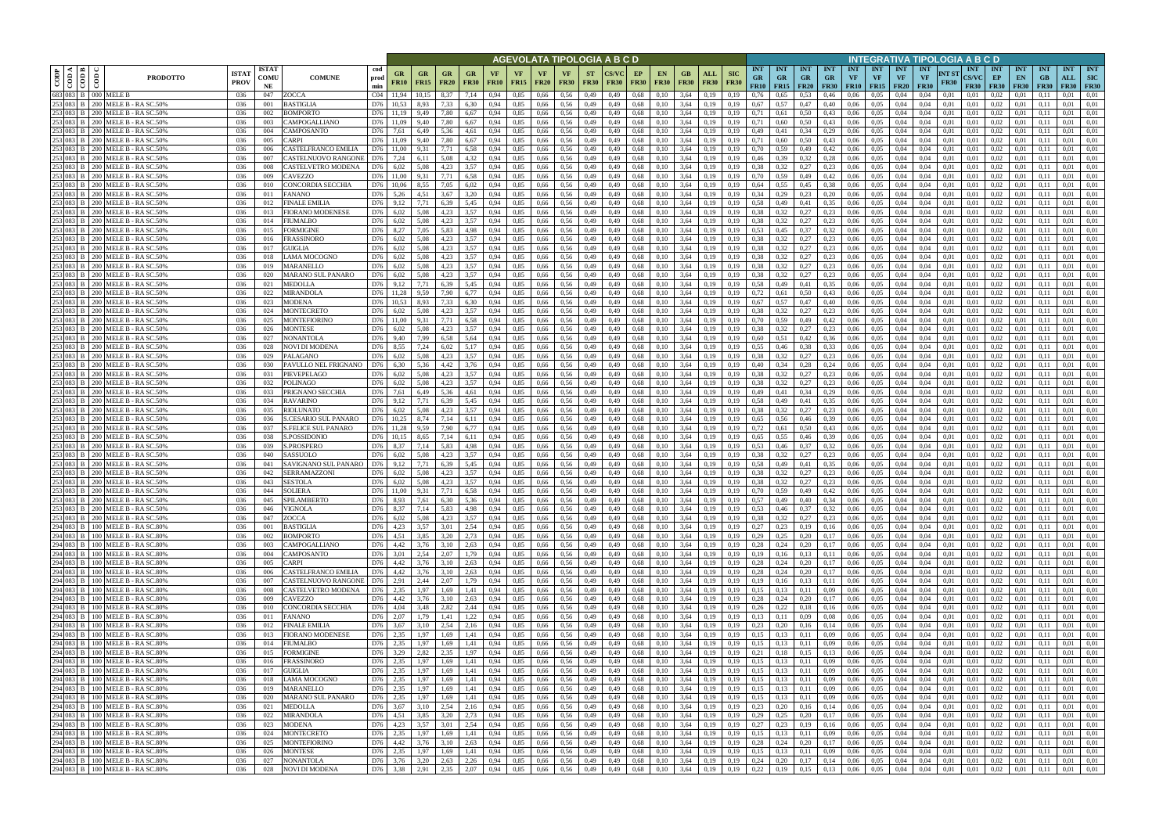|         |                                                                       |                                                                          |                            |                            |                                            |                      |                   |                       |                   |                          |                   |              |                          |                          |                          | AGEVOLATA TIPOLOGIA A B C D |                   |                               |                            |                           |                                    |                                 |                                        |                         |                                        |                         |                                                      |                                 | NTEGRATIVA TIPOLOGIA A B C D           |                      |                                    |                                   |                                 |                                 |                                  |                                         |
|---------|-----------------------------------------------------------------------|--------------------------------------------------------------------------|----------------------------|----------------------------|--------------------------------------------|----------------------|-------------------|-----------------------|-------------------|--------------------------|-------------------|--------------|--------------------------|--------------------------|--------------------------|-----------------------------|-------------------|-------------------------------|----------------------------|---------------------------|------------------------------------|---------------------------------|----------------------------------------|-------------------------|----------------------------------------|-------------------------|------------------------------------------------------|---------------------------------|----------------------------------------|----------------------|------------------------------------|-----------------------------------|---------------------------------|---------------------------------|----------------------------------|-----------------------------------------|
| CODP    | $\triangleleft$ $\blacksquare$<br>$ \tilde{e} \tilde{\bar{e}} $<br>ම් | <b>PRODOTTO</b>                                                          | <b>ISTA</b><br><b>PROV</b> | <b>ISTAT</b><br>COMU<br>NE | <b>COMUNE</b>                              | cod<br>prod<br>min   | GR<br><b>FR10</b> | GR<br><b>FR15</b>     | GR<br><b>FR20</b> | <b>GR</b><br><b>FR30</b> | VF<br><b>FR10</b> | VF<br>FR15   | <b>VF</b><br><b>FR20</b> | <b>VF</b><br><b>FR30</b> | <b>ST</b><br><b>FR30</b> | <b>FR30</b>                 | EP<br><b>FR30</b> | <b>EN</b><br><b>FR30</b>      | GB<br><b>FR30</b>          | <b>ALL</b><br><b>FR30</b> | <b>SIC</b><br><b>FR30</b>          | <b>INT</b><br><b>GR</b><br>FR10 | <b>INT</b><br><b>GR</b><br>$FR15$ FR20 | <b>INT</b><br><b>GR</b> | <b>INT</b><br><b>GR</b><br><b>FR30</b> | <b>INT</b><br><b>VF</b> | <b>INT</b><br><b>VF</b><br><b>FR10</b>   <b>FR15</b> | <b>INT</b><br>VF<br><b>FR20</b> | <b>INT</b><br><b>VF</b><br><b>FR30</b> | NT ST<br><b>FR30</b> | <b>INT</b><br>CS/VC<br><b>FR30</b> | <b>INT</b><br>EP<br><b>FR30</b>   | <b>INT</b><br>EN<br><b>FR30</b> | <b>INT</b><br>GB<br><b>FR30</b> | <b>INT</b><br>ALL<br><b>FR30</b> | <b>INT</b><br><b>SIC</b><br><b>FR30</b> |
|         | 683 083 B 000 MELE B                                                  | 253 083 B 200 MELE B - RASC.50%                                          | 036<br>036                 | 047<br>001                 | ZOCCA<br>3 ASTIGLIA                        | CO4<br>D76           | 11.94<br>10.53    | 10,15<br>8,93         | 8.37<br>7.33      | 7,14<br>6,30             | 0.94<br>0,94      | 0,85<br>0,85 | 0,66<br>0,66             | 0.56<br>0.56             | 0,49<br>0,49             | 0.49<br>0,49                | 0.68<br>0.68      | 0.10<br>0,10                  | 3,64<br>3,64               | 0.19<br>0,19              | 0.19<br>0,19                       | 0.76<br>0,67                    | 0.65<br>0.57                           | 0.53<br>0,47            | 0.46<br>0,40                           | 0.06<br>0,06            | 0.05<br>0.05                                         | 0.04<br>0,04                    | 0.04<br>0.04                           | 0.01<br>0.01         | 0.01<br>0,01                       | 0.02<br>0.02                      | 0.01                            | 0.1                             | 0.01<br>0.01                     | 0.01<br>0.01                            |
| 253 083 |                                                                       | <b>B</b>   200 MELE B - RA SC.50%                                        | 036                        | 002                        | 3OMPORTO                                   | D76                  |                   | 9,49                  | 7.80              | 6,67                     |                   | 0,85         | 0,66                     | 0.56                     | 0,49                     | 0.49                        | 0.68              | 0,10                          | 3,64                       | 0.19                      | 0.19                               | 0,71                            |                                        | 0,50                    | 0,43                                   | 0.06                    | 0.05                                                 | 0.04                            | 0.04                                   | 0.01                 | 0.01                               | 0,02                              | 0.01                            |                                 | 0.01                             | 0.01                                    |
|         |                                                                       | 253 083 B 200 MELE B - RASC.50%                                          | 036                        | 003                        | CAMPOGALLIANO                              | D76                  |                   | 9,40                  | 7.80              | 6,67                     | 0.94              | 0,85         | 0,66                     | 0.56                     | 0,49                     | 0,49                        | 0.68              | 0,10                          | 3,64                       | 0,19                      | 0,19                               | 0,71                            | 0,60                                   | 0,50                    | 0,43                                   | 0,06                    | 0.05                                                 | 0,04                            | 0,04                                   | 0,01                 | 0,01                               | 0.02                              | 0,01                            | 0.11                            | 0,01                             | 0.01                                    |
|         |                                                                       | 253 083 B 200 MELE B - RASC.50%                                          | 036                        | 004                        | CAMPOSANTO                                 | D76                  | 7.61              | 6,49                  | 5,36              | 4,61                     | 0.94              | 0,85         | 0,66                     | 0.56                     | 0,49                     | 0.49                        | 0,68              | 0.10                          | 3,64                       | 0.19                      | 0.19                               | 0,49                            | 0,41                                   | 0,34                    | 0,29                                   | 0,06                    | 0.05                                                 | 0,04                            | 0.04                                   | 0.01                 | 0,01                               | 0.02                              | 0.01                            |                                 | 0.01                             | 0.01                                    |
|         |                                                                       | 253 083 B   200 MELE B - RA SC.50%                                       | 036                        | 005                        | CARPI                                      | D76                  | 11.09             | 9,40                  | 7,80              | 6,67                     | 0,94              | 0,85         | 0,66                     | 0,56                     | 0,49                     | 0,49                        | 0.68              | 0,10                          | 3,64                       | 0,19                      | 0,19                               | 0,71                            | 0,60                                   | 0,50                    | 0,43                                   | 0,06                    | 0,05                                                 | 0,04                            | 0,04                                   | 0,01                 | 0,01                               | 0,02                              | 0,01                            | 0,11                            | 0,01                             | 0,01                                    |
|         |                                                                       | 253 083 B 200 MELE B - RA SC.50%<br>253 083 B 200 MELE B - RASC.50%      | 036<br>036                 | 006<br>007                 | CASTELFRANCO EMILIA<br>CASTELNUOVO RANGONE | D76<br>D76           | 7,24              | 9.31<br>6.11          | 7.71<br>5.08      | 6,58<br>4,32             | 0.94<br>0.94      | 0.85<br>0.85 | 0.66<br>0,66             | 0.56<br>0.56             | 0,49<br>0,49             | 0.49<br>0.49                | 0.68<br>0.68      | 0.10<br>0.10                  | 3.64<br>3.64               | 0.19<br>0.19              | 0.19<br>0.19                       | 0.70<br>0.46                    | 0.59<br>0.39                           | 0.49<br>0,32            | 0,42<br>0,28                           | 0.06<br>0,06            | 0.05<br>0.05                                         | 0.04<br>0.04                    | 0.04<br>0.04                           | 0.01<br>0.01         | 0.01<br>0.01                       | $0.02\,$<br>0.02                  | 0.01<br>0.01                    | 0.11                            | 0.01<br>0.01                     | 0.01<br>0.01                            |
|         |                                                                       | 253 083 B 200 MELE B - RA SC.50%                                         | 036                        | 008                        | CASTELVETRO MODENA                         | D76                  | 6,02              | 5.08                  | 4,23              | 3,57                     | 0.94              | 0.85         | 0,66                     | 0.56                     | 0,49                     | 0.49                        | 0,68              | 0,10                          | 3.64                       | 0,19                      | 0.19                               | 0,38                            | 0,32                                   | 0,27                    | 0,23                                   | 0.06                    | 0.05                                                 | 0.04                            | 0.04                                   | 0.01                 | 0.01                               | 0.02                              | 0,01                            | 0.11                            | 0.01                             | 0,01                                    |
|         |                                                                       | 253 083 B 200 MELE B - RA SC.50%                                         | 036                        | 009                        | <b>CAVEZZO</b>                             | D76                  | 11.00             | 9.31                  | 7.71              | 6,58                     | 0.94              | 0.85         | 0.66                     | 0.56                     | 0,49                     | 0.49                        | 0.68              | 0.10                          | 3.64                       | 0.19                      | 0.19                               | 0.70                            | 0.59                                   | 0,49                    | 0,42                                   | 0.06                    | 0.05                                                 | 0.04                            | 0.04                                   | 0.01                 | 0.01                               | 0.02                              | 0.01                            | 0.11                            | 0.01                             | 0.01                                    |
|         |                                                                       | 253 083 B   200 MELE B - RA SC.50%                                       | 036                        | 010                        | CONCORDIA SECCHIA                          | D76                  | 10.06             | 8.55                  | 7.05              | 6,02                     | 0.94              | 0.85         | 0.66                     | 0.56                     | 0,49                     | 0.49                        | 0.68              | 0.10                          | 3.64                       | 0.19                      | 0.19                               | 0.64                            | 0.55                                   | 0.45                    | 0.38                                   | 0.06                    | 0.05                                                 | 0.04                            | 0.04                                   | 0.01                 | 0.01                               | 0.02                              | 0.01                            | 0.11                            | 0.01                             | 0.01                                    |
|         |                                                                       | 253 083 B   200 MELE B - RA SC.50%                                       | -036                       | 011                        | FANANO                                     | D76                  | 5,26              | 4,51                  | 3.67              | 3,20                     | 0.94              | 0,85         | 0,66                     | 0.56                     | 0,49                     | 0,49                        | 0.68              | 0,10                          | 3.64                       | 0,19                      | 0.19                               | 0.34                            | 0,29                                   | 0,23                    | 0,20                                   | 0,06                    | 0,05                                                 | 0,04                            | 0,04                                   | 0,01                 | 0,01                               | 0,02                              | 0,01                            | 0,11                            | 0.01                             | 0.01                                    |
|         |                                                                       | 253 083 B   200 MELE B - RA SC.50%<br>253 083 B   200 MELE B - RA SC.50% | 036                        | 012                        | <b>FINALE EMILIA</b>                       | D76                  | 9,12              | 7,71                  | 6.39              | 5,45                     | 0.94              | 0,85         | 0,66                     | 0.56                     | 0,49                     | 0,49                        | 0.68              | 0,10                          | 3,64                       | 0,19                      | 0.19                               | 0.58<br>0.38                    | 0,49                                   | 0,41                    | 0.35                                   | 0,06                    | 0,05                                                 | 0,04                            | 0.04                                   | 0.01                 | 0,01                               | 0,02                              | 0,01                            | 0.1                             | 0.01                             | 0,01                                    |
|         |                                                                       | 253 083 B   200 MELE B - RA SC.50%                                       | 036<br>036                 | 013<br>014                 | FIORANO MODENESE<br>FIUMALBO               | D76<br>D76           | 6,02<br>6,02      | 5,08<br>5,08          | 4,23<br>4,23      | 3,57<br>3,57             | 0.94<br>0,94      | 0,85<br>0,85 | 0,66<br>0,66             | 0.56<br>0,56             | 0,49<br>0,49             | 0,49<br>0,49                | 0.68<br>0.68      | 0,10<br>0,10                  | 3,64<br>3,64               | 0.19<br>0,19              | 0.19<br>0.19                       | 0.38                            | 0,32<br>0,32                           | 0,27<br>0,27            | 0,23<br>0,23                           | 0,06<br>0,06            | 0,05<br>0,05                                         | 0,04<br>0,04                    | 0.04<br>0,04                           | 0,01<br>0,01         | 0,01<br>0,01                       | 0,02<br>0,02                      | 0,01<br>0,01                    | 0.1<br>0,11                     | 0.01<br>0,01                     | 0,01<br>0,01                            |
|         |                                                                       | 253 083 B   200 MELE B - RA SC.50%                                       | 036                        | 015                        | FORMIGINE                                  | D76                  | 8,27              | 7,05                  | 5.83              | 4,98                     | 0.94              | 0,85         | 0,66                     | 0.56                     | 0,49                     | 0.49                        | 0.68              | 0.10                          | 3,64                       | 0.19                      | 0.19                               | 0,53                            | 0,45                                   | 0,37                    | 0.32                                   | 0,06                    | 0,05                                                 | 0,04                            | 0.04                                   | 0.01                 | 0.01                               | 0,02                              | 0,01                            | 0.1                             | 0.01                             | 0.01                                    |
|         |                                                                       | 253 083 B   200 MELE B - RA SC.50%                                       | 036                        | 016                        | FRASSINORO                                 | D76                  | 6,02              | 5,08                  | 4.23              | 3,57                     | 0.94              | 0,85         | 0,66                     | 0.56                     | 0,49                     | 0.49                        | 0.68              | 0.10                          | 3,64                       | 0,19                      | 0.19                               | 0.38                            |                                        | 0,27                    | 0,23                                   | 0,06                    | 0.05                                                 | 0,04                            | 0.04                                   | 0.01                 | 0.01                               | 0,02                              | 0,01                            | 0.11                            | 0,01                             | 0.01                                    |
|         |                                                                       | 253 083 B 200 MELE B - RA SC.50%                                         | 036                        | 017                        | GUIGLIA                                    | D76                  | 6,02              | 5,08                  | 4,23              | 3,57                     | 0,94              | 0,85         | 0,66                     | 0,56                     | 0,49                     | 0,49                        | 0.68              | 0,10                          | 3,64                       | 0,19                      | 0,19                               | 0,38                            | 0,32                                   | 0,27                    | 0,23                                   | 0,06                    | 0,05                                                 | 0,04                            | 0,04                                   | 0,01                 | 0,01                               | 0,02                              | 0,01                            | 0.11                            | 0,01                             | 0,01                                    |
|         |                                                                       | 253 083 B   200 MELE B - RA SC.50%                                       | 036                        | 018                        | LAMA MOCOGNO                               | D76                  | 6.02              | 5.08                  | 4.23              | 3.57                     | 0.94              | 0.85         | 0,66                     | 0.56                     | 0,49                     | 0.49                        | 0.68              | 0.10                          | 3.64                       | 0.19                      | 0.19                               | 0.38                            | 0.32                                   | 0,27                    | 0.23                                   | 0.06                    | 0.05                                                 | 0.04                            | 0.04                                   | 0.01                 | 0.01                               | 0.02                              | 0.01                            | 0.11                            | 0.01                             | 0.01                                    |
|         |                                                                       | 253 083 B   200 MELE B - RA SC.50%<br>253 083 B   200 MELE B - RA SC.50% | 036<br>036                 | 019<br>020                 | <b>MARANELLO</b><br>MARANO SUL PANARO      | D76<br>D76           | 6.02<br>6,02      | 5.08<br>5,08          | 4.23<br>4.23      | 3.57<br>3,57             | 0.94<br>0,94      | 0.85<br>0,85 | 0.66<br>0,66             | 0.56<br>0,56             | 0,49<br>0,49             | 0.49<br>0,49                | 0.68<br>0.68      | 0.10<br>0,10                  | 3,64<br>3,64               | 0.19<br>0,19              | 0.19<br>0,19                       | 0.38<br>0.38                    | 0.32<br>0,32                           | 0,27<br>0,27            | 0.23<br>0,23                           | 0.06<br>0,06            | 0.05<br>0,05                                         | 0.04<br>0,04                    | 0.04<br>0,04                           | 0.01<br>0,01         | 0.01<br>0.01                       | 0.02<br>0,02                      | 0.01<br>0,01                    | 0.11<br>0,11                    | 0.01<br>0,01                     | 0.01<br>0.01                            |
|         |                                                                       | 253 083 B 200 MELE B - RASC.50%                                          | 036                        | 021                        | <b>MEDOLLA</b>                             | D76                  | 9.12              | 7.71                  | 6.39              | 5.45                     | 0.94              | 0.85         | 0.66                     | 0.56                     | 0,49                     | 0.49                        | 0.68              | 0.10                          | 3.64                       | 0.19                      | 0.19                               | 0.58                            | 0.49                                   | 0.41                    | 0.35                                   | 0.06                    | 0.05                                                 | 0.04                            | 0.04                                   | 0.01                 | 0.01                               | 0,02                              | 0.01                            |                                 | 0.01                             | 0.01                                    |
|         |                                                                       | 253 083 B 200 MELE B - RA SC.50%                                         | 036                        | 022                        | MIRANDOLA                                  | D76                  | 11.28             | 9.59                  | 7.90              | 6.77                     | 0.94              | 0,85         | 0.66                     | 0.56                     | 0,49                     | 0.49                        | 0,68              | 0.10                          | 3.64                       | 0.19                      |                                    | 0,72                            |                                        | 0,50                    | 0,43                                   | 0.06                    | 0.05                                                 | 0.04                            | 0.04                                   | 0.01                 | 0.01                               | 0,02                              | 0.01                            | 0.1                             | 0.01                             | 0.01                                    |
|         |                                                                       | 253 083 B 200 MELE B - RA SC.50%                                         | 036                        | 023                        | MODENA                                     | D76                  | 10.53             | 8.93                  | 7.33              | 6.30                     | 0.94              | 0.85         | 0.66                     | 0.56                     | 0,49                     | 0.49                        | 0,68              | 0,10                          | 3.64                       | 0.19                      | 0.19                               | 0.67                            | 0.57                                   | 0,47                    | 0,40                                   | 0.06                    | 0.05                                                 | 0.04                            | 0.04                                   | 0.01                 | 0.01                               | 0,02                              | 0.01                            |                                 | 0.01                             | 0.01                                    |
|         |                                                                       | 253 083 B   200 MELE B - RA SC.50%                                       | 036                        | 024                        | MONTECRETO                                 | D76                  | 6,02              | 5.08                  | 4,23              | 3,57                     | 0.94              | 0,85         | 0,66                     | 0.56                     | 0,49                     | 0,49                        | 0.68              | 0,10                          | 3,64                       | 0,19                      | 0,19                               | 0.38                            | 0,32                                   | 0,27                    | 0,23                                   | 0,06                    | 0.05                                                 | 0,04                            | 0.04                                   | 0.01                 | 0,01                               | 0,02                              | 0.01                            | 0.11                            | 0.01                             | 0.01                                    |
|         |                                                                       | 253 083 B 200 MELE B - RASC.50%<br>253 083 B   200 MELE B - RA SC.50%    | 036<br>036                 | 025<br>026                 | MONTEFIORINO<br>MONTESE                    | D76<br>D76           | 11.00<br>6,02     | 9.31<br>5,08          | 7.71<br>4,23      | 6.58<br>3,57             | 0.94<br>0,94      | 0.85<br>0,85 | 0,66<br>0,66             | 0.56<br>0,56             | 0,49<br>0,49             | 0.49<br>0,49                | 0.68<br>0.68      | 0.10<br>0,10                  | 3,64<br>3,64               | 0.19<br>0,19              | 0.19<br>0,19                       | 0.70<br>0.38                    | 0.59<br>0,32                           | 0,49<br>0,27            | 0,42<br>0,23                           | 0.06<br>0,06            | 0.05<br>0,05                                         | 0.04<br>0,04                    | 0.04<br>0,04                           | 0.01<br>0,01         | 0.01<br>0,01                       | 0.02<br>0,02                      | 0.01<br>0,01                    | 0,1                             | 0.01<br>0.01                     | 0.01<br>0.01                            |
| 253 083 |                                                                       | <b>B</b>   200 MELE B - RA SC.50%                                        | 036                        | 027                        | NONANTOLA                                  | D76                  | 9.40              | 7,99                  | 6.58              | 5,64                     | 0.94              | 0,85         | 0.66                     | 0.56                     | 0,49                     | 0.49                        | 0.68              | 0.10                          | 3,64                       | 0.19                      | 0.19                               | 0.60                            |                                        | 0,42                    | 0.36                                   | 0.06                    | 0.05                                                 | 0.04                            | 0.04                                   | 0.01                 | 0.01                               | 0.02                              | 0.01                            |                                 | 0.01                             | 0.01                                    |
|         |                                                                       | 253 083 B 200 MELE B - RASC.50%                                          | 036                        | 028                        | NOVI DI MODENA                             | D76                  | 8,55              | 7,24                  | 6,02              | 5,17                     | 0.94              | 0,85         | 0,66                     | 0.56                     | 0,49                     | 0,49                        | 0.68              | 0.10                          | 3,64                       | 0.19                      | 0,19                               | 0.55                            | 0,46                                   | 0,38                    | 0,33                                   | 0,06                    | 0.05                                                 | 0,04                            | 0.04                                   | 0,01                 | 0,01                               | 0.02                              | 0,01                            | 0.11                            | 0.01                             | 0.01                                    |
|         |                                                                       | 253 083 B 200 MELE B - RASC.50%                                          | 036                        | 029                        | PALAGANO                                   | D76                  | 6,02              | 5,08                  | 4,23              | 3,57                     | 0.94              | 0,85         | 0,66                     | 0,56                     | 0,49                     | 0,49                        | 0.68              | 0,10                          | 3,64                       | 0,19                      | 0.19                               | 0.38                            | 0.32                                   | 0,27                    | 0,23                                   | 0,06                    | 0,05                                                 | 0,04                            | 0.04                                   | 0.01                 | 0,01                               | 0.02                              | 0,01                            | (0.1)                           | 0.01                             | 0,01                                    |
|         |                                                                       | 253 083 B 200 MELE B - RASC.50%                                          | 036                        | 030                        | PAVULLO NEL FRIGNANO                       | D76                  | 6.30              | 5.36                  | 4.42              | 3,76                     | 0.94              | 0.85         | 0,66                     | 0.56                     | 0,49                     | 0.49                        | 0.68              | 0.10                          | 3.64                       | 0.19                      | 0.19                               | 0.40                            | 0.34                                   | 0,28                    | 0,24                                   | 0,06                    | 0.05                                                 | 0.04                            | 0.04                                   | 0.01                 | 0.01                               | 0.02                              | 0,01                            | 0.11                            | 0.01                             | 0.01                                    |
|         |                                                                       | 253 083 B 200 MELE B - RASC.50%<br>253 083 B   200 MELE B - RA SC.50%    | 036<br>036                 | 031<br>032                 | PIEVEPELAGO<br>POLINAGO                    | D76<br>D76           | 6.02<br>6,02      | 5.08<br>5,08          | 4.23<br>4,23      | 3,57<br>3,57             | 0.94<br>0.94      | 0.85<br>0.85 | 0.66<br>0,66             | 0.56<br>0,56             | 0,49<br>0,49             | 0.49<br>0,49                | 0.68<br>0,68      | 0.10<br>0,10                  | 3.64<br>3,64               | 0.19<br>0,19              | 0.19<br>0.19                       | 0.38<br>0.38                    | 0.32<br>0,32                           | 0,27<br>0,27            | 0.23<br>0,23                           | 0.06<br>0,06            | 0.05<br>0.05                                         | 0.04<br>0,04                    | 0.04<br>0.04                           | 0.01<br>0.01         | 0.01<br>0.01                       | 0.02<br>0.02                      | 0.01<br>0,01                    | 0.11                            | 0.01<br>0.01                     | 0.01<br>0,01                            |
|         |                                                                       | 253 083 B   200 MELE B - RA SC.50%                                       | 036                        | 033                        | PRIGNANO SECCHIA                           | D76                  | 7,61              | 6.49                  | 5.36              | 4.61                     | 0.94              | 0.85         | 0.66                     | 0.56                     | 0,49                     | 0.49                        | 0.68              | 0.10                          | 3.64                       | 0.19                      | 0.19                               | 0.49                            | 0,41                                   | 0.34                    | 0,29                                   | 0.06                    | 0.05                                                 | 0.04                            | 0.04                                   | 0.01                 | 0.01                               | 0.02                              | 0.01                            | 0.11                            | 0.01                             | 0.01                                    |
|         |                                                                       | 253 083 B 200 MELE B - RASC.50%                                          | -036                       | 034                        | <b>RAVARINO</b>                            | D76                  | 9,12              | 7,71                  | 6.39              | 5,45                     | 0.94              | 0.85         | 0,66                     | 0.56                     | 0,49                     | 0,49                        | 0,68              | 0,10                          | 3.64                       | 0.19                      | 0.19                               | 0.58                            | 0,49                                   | 0,41                    | 0.35                                   | 0.06                    | 0.05                                                 | 0.04                            | 0.04                                   | 0.01                 | 0.01                               | 0.02                              | 0.01                            | 0.11                            | 0.01                             | 0.01                                    |
|         |                                                                       | 253 083 B 200 MELE B - RASC.50%                                          | 036                        | 035                        | <b>RIOLUNATO</b>                           | D76                  | 6,02              | 5.08                  | 4,23              | 3,57                     | 0,94              | 0,85         | 0,66                     | 0.56                     | 0,49                     | 0.49                        | 0,68              | 0,10                          | 3,64                       | 0,19                      | 0.19                               | 0.38                            | 0,32                                   | 0,27                    | 0,23                                   | 0.06                    | 0.05                                                 | 0,04                            | 0.04                                   | 0.01                 | 0,01                               | 0,02                              | 0,01                            | 0,11                            | 0.01                             | 0,01                                    |
|         |                                                                       | 253 083 B   200 MELE B - RA SC.50%                                       | 036                        | 036                        | S.CESARIO SUL PANARO                       | D76                  | 10,25             | 8,74                  | 7,14              | 6,11                     | 0.94              | 0,85         | 0,66                     | 0.56                     | 0,49                     | 0,49                        | 0.68              | 0,10                          | 3,64                       | 0.19                      | 0.19                               | 0,65                            | 0,56                                   | 0,46                    | 0.39                                   | 0,06                    | 0,05                                                 | 0,04                            | 0.04                                   | 0,01                 | 0.01                               | 0,02                              | 0,01                            | 0.1                             | 0.01                             | 0,01                                    |
|         |                                                                       | 253 083 B   200 MELE B - RA SC.50%<br>253 083 B 200 MELE B - RA SC.50%   | 036<br>036                 | 037<br>038                 | S.FELICE SUL PANARO<br><b>S.POSSIDONIC</b> | D76<br>D76           | 11,28<br>10,15    | 9,59<br>8,65          | 7.90<br>7,14      | 6,77<br>6,11             | 0.94<br>0,94      | 0,85<br>0,85 | 0,66<br>0,66             | 0.56<br>0,56             | 0,49<br>0,49             | 0,49<br>0,49                | 0.68<br>0.68      | 0,10<br>0,10                  | 3,64<br>3,64               | 0.19<br>0,19              | 0.19<br>0,19                       | 0,72<br>0,65                    | 0,61<br>0,55                           | 0.50<br>0,46            | 0,43<br>0,39                           | 0,06<br>0,06            | 0,05<br>0,05                                         | 0,04<br>0,04                    | 0.04<br>0,04                           | 0.01<br>0,01         | 0,01<br>0,01                       | 0,02<br>0,02                      | 0,01<br>0,01                    | 0.1<br>0,11                     | 0,01<br>0,01                     | 0,01<br>0,01                            |
|         |                                                                       | 253 083 B   200 MELE B - RA SC.50%                                       | 036                        | 039                        | S.PROSPERO                                 | D76                  | 8.37              | 7,14                  | 5.83              | 4,98                     | 0.94              | 0,85         | 0,66                     | 0.56                     | 0,49                     | 0.49                        | 0.68              | 0,10                          | 3,64                       | 0.19                      | 0.19                               | 0,53                            | 0,46                                   | 0,37                    | 0.32                                   | 0,06                    | 0.05                                                 | 0,04                            | 0,04                                   | 0.01                 | 0,01                               | 0,02                              | 0,01                            | 0.11                            | 0,01                             | 0.01                                    |
|         |                                                                       | 253 083 B   200 MELE B - RA SC.50%                                       | 036                        | 040                        | SASSUOLO                                   | D76                  | 6,02              | 5,08                  | 4.23              | 3,57                     | 0.94              | 0,85         | 0,66                     | 0.56                     | 0,49                     | 0,49                        | 0,68              | 0,10                          | 3,64                       | 0,19                      | 0.19                               | 0,38                            | 0.32                                   | 0,27                    | 0,23                                   | 0,06                    | 0,05                                                 | 0,04                            | 0,04                                   | 0,01                 | 0,01                               | 0,02                              | 0,01                            | 0.11                            | 0,01                             | 0,01                                    |
|         |                                                                       | 253 083 B   200 MELE B - RA SC.50%                                       | 036                        | 041                        | SAVIGNANO SUL PANARO                       | D76                  | 9,12              | 7,71                  | 6,39              | 5,45                     | 0,94              | 0,85         | 0,66                     | 0,56                     | 0,49                     | 0,49                        | 0.68              | 0,10                          | 3,64                       | 0,19                      | 0.19                               | 0,58                            | 0,49                                   | 0,41                    | 0.35                                   | 0,06                    | 0,05                                                 | 0,04                            | 0,04                                   | 0.01                 | 0,01                               | 0,02                              | 0,01                            | 0,11                            | 0,01                             | 0,01                                    |
|         |                                                                       | 253 083 B   200 MELE B - RA SC.50%                                       | 036                        | 042                        | <b>SERRAMAZZONI</b>                        | D76                  | 6.02              | 5.08                  | 4.23              | 3.57                     | 0.94              | 0.85         | 0.66                     | 0.56                     | 0,49                     | 0.49                        | 0.68              | 0.10                          | 3.64                       | 0.19                      | 0.19                               | 0.38                            |                                        | 0,27                    | 0.23                                   | 0.06                    | 0.05                                                 | 0.04                            | 0.04                                   | 0.01                 | 0.01                               | 0,02                              | 0.01                            | 0.11                            | 0.01                             | 0.01                                    |
|         |                                                                       | 253 083 B 200 MELE B - RA SC.50%<br>253 083 B 200 MELE B - RASC.50%      | 036<br>036                 | 043<br>044                 | <b>SESTOLA</b><br><b>SOLIERA</b>           | D76<br>D76           | 6.02<br>11.00     | 5.08<br>9.31          | 4.23<br>7.71      | 3.57<br>6,58             | 0.94<br>0.94      | 0,85<br>0.85 | 0,66<br>0,66             | 0.56<br>0.56             | 0,49<br>0,49             | 0.49<br>0.49                | 0,68<br>0.68      | 0.10<br>0.10                  | 3.64<br>3.64               | 0,19<br>0.19              | 0.19<br>0.19                       | 0.38<br>0.70                    | 0.32<br>0,59                           | 0,27<br>0.49            | 0,23<br>0,42                           | 0,06<br>0.06            | 0.05<br>0.05                                         | 0.04<br>0.04                    | 0.04<br>0.04                           | 0.01<br>0.01         | 0.01<br>0.01                       | 0.02<br>0.02                      | 0,01<br>0.01                    | 0.11<br>0.11                    | 0.01<br>0.01                     | 0.01<br>0.01                            |
|         |                                                                       | 253 083 B 200 MELE B - RA SC.50%                                         | 036                        | 045                        | SPILAMBERTO                                | D76 8,93             |                   | 7,61                  | 6,30              | 5,36                     | 0,94              | 0,85         | 0,66                     | 0,56                     | 0,49                     | 0,49                        |                   | 0,68<br>0,10                  | 3,64                       | 0,19                      | 0,19                               | 0,57                            | 0,49                                   | 0,40                    | 0,34                                   | 0,06                    | 0,05                                                 | 0,04                            | 0,04                                   | 0,01                 | 0,01                               | 0,02                              | 0,01                            | 0,11                            | 0,01                             | 0,01                                    |
|         |                                                                       | 253 083 B 200 MELE B - RA SC.50%                                         | 036                        | 046                        | VIGNOLA                                    | D76 8,37             |                   | 7,14                  | 5,83              | 4,98                     | 0,94              | 0,85         |                          | $0,66$ 0.56              | 0,49                     | 0,49                        |                   | 0,68<br>0,10                  | 3,64                       | 0,19                      | 0,19                               | 0,53                            | 0,46                                   | 0,37                    | 0,32                                   | 0,06                    | 0,05                                                 | 0,04                            | 0,04                                   | 0,01                 | 0,01                               | 0,02                              | 0,01                            | 0,11                            | 0,01                             | 0,01                                    |
|         |                                                                       | 253 083 B 200 MELE B - RA SC.50%                                         | 036                        | 047                        | ZOCCA                                      | D76 6,02             |                   | 5,08                  | 4,23              | 3,57                     | 0,94              | 0,85         |                          | $0,66$ 0.56              | 0,49                     | 0,49                        |                   | 0,68<br>0,10                  | 3,64                       | 0,19                      | 0,19                               | 0,38                            | 0,32                                   | 0,27                    | 0,23                                   | 0,06                    | 0,05                                                 | 0,04                            | 0,04                                   | 0,01                 | 0,01                               | $0,02$ $0,01$                     |                                 | 0,11                            | 0,01                             | 0,01                                    |
|         |                                                                       | 294 083 B 100 MELE B - RA SC.80%                                         | 036                        | 001                        | <b>BASTIGLIA</b>                           | D76 4,23             |                   | 3,57                  | 3,01              | 2,54                     | 0,94              | 0,85         |                          | 0,66 0,56                | 0,49                     | 0,49                        |                   | 0,68<br>0,10                  | $3,64$ 0,19                |                           | 0,19                               | 0,27                            | $0,23$ $0,19$                          |                         | 0,16                                   |                         | $0.06\qquad 0.05$                                    | 0,04                            | 0,04                                   | 0,01                 | 0,01                               | $0.02 \qquad 0.01$                |                                 | 0,11                            | 0,01                             | 0,01                                    |
|         |                                                                       | 294 083 B 100 MELE B - RA SC.80%<br>294 083 B 100 MELE B - RA SC.80%     | 036                        | 002                        | <b>BOMPORTO</b><br><b>CAMPOGALLIANO</b>    | D76 4,51             |                   | 3,85                  | 3,20              | 2,73                     | 0,94              | 0,85         |                          | $0,66$ 0.56              | 0,49                     | 0,49                        |                   | 0,68<br>0,10                  | 3,64                       | 0,19                      | 0,19                               | 0,29                            | 0,25                                   | 0,20                    | 0,17                                   | 0,06                    | 0,05                                                 | 0,04                            | 0,04                                   | 0,01                 | 0,01                               | $0.02 \qquad 0.01$                |                                 | 0,11                            | 0,01                             | 0,01                                    |
|         |                                                                       |                                                                          | 036<br>036                 | 003<br>004                 | CAMPOSANTO                                 | D76 4,42<br>D76      | 3,01              | 3,76<br>2,54          | 3,10<br>2,07      | 2,63<br>1,79             | 0,94<br>0,94      | 0,85<br>0,85 | 0,66<br>0,66             | 0,56<br>0,56             | 0,49<br>0,49             | 0,49<br>0,49                |                   | 0,68<br>0,10<br>0,68<br>0,10  | 3,64<br>3,64               | 0,19<br>0,19              | 0,19<br>0,19                       | 0,28<br>0,19                    | 0,24<br>0,16                           | 0,20<br>0,13            | 0,17<br>0,11                           | 0,06<br>0,06            | 0,05<br>0,05                                         | 0,04<br>0,04                    | 0,04<br>0,04                           | 0,01<br>0,01         | 0,01<br>0,01                       | 0,02<br>0,02                      | 0,01<br>0,01                    | 0,11<br>0,11                    | 0,01<br>0,01                     | 0,01<br>0,01                            |
|         |                                                                       | 294 083 B 100 MELE B - RA SC.80%<br>294 083 B 100 MELE B - RA SC.80%     | 036                        | 005                        | CARPI                                      | D76                  | 4,42              | 3,76                  | 3,10              | 2,63                     | 0,94              | 0,85         | 0,66                     | 0,56                     | 0,49                     | 0,49                        |                   | 0,68<br>0,10                  | 3,64                       | 0,19                      | 0,19                               | 0,28                            | 0,24                                   | 0,20                    | 0,17                                   | 0,06                    | 0,05                                                 | 0,04                            | 0,04                                   | 0,01                 | 0,01                               | 0,02                              | 0,01                            | 0,11                            | 0,01                             | 0,01                                    |
|         |                                                                       | 294 083 B 100 MELE B - RA SC.80%<br>294 083 B 100 MELE B - RA SC.80%     | 036                        | 006                        | CASTELFRANCO EMILIA                        | D76 4,42             |                   | 3,76                  | 3,10              | 2,63                     | 0,94              | 0,85         | 0,66                     | 0,56                     | 0,49                     | 0,49                        |                   | 0,68<br>0,10                  | 3,64                       | 0,19                      | 0,19                               | 0,28                            | 0,24                                   | 0,20                    | 0,17                                   | 0,06                    | 0,05                                                 | 0,04                            | 0,04                                   | 0,01                 | 0,01                               | 0,02                              | 0,01                            | 0,11                            | 0,01                             | 0,01                                    |
|         |                                                                       |                                                                          | 036                        | 007                        | CASTELNUOVO RANGONE                        | D76 2,91             |                   | 2,44                  | 2,07              | 1,79 0,94                |                   | 0,85         |                          | 0,66 0,56                | 0,49                     | 0,49                        |                   | $0,68$ $0,10$                 | $3,64$ 0,19                |                           | 0,19                               | 0,19                            | 0,16                                   | 0,13                    | 0,11                                   |                         | $0,06$ 0.05                                          | 0,04                            | 0,04                                   | 0,01                 | 0,01                               | $0,02$ 0.01                       |                                 | 0,11                            | 0.01                             | 0,01                                    |
|         |                                                                       | 294 083 B 100 MELE B - RA SC.80%<br>294 083 B 100 MELE B - RA SC.80%     | 036<br>036                 | 008                        | CASTELVETRO MODENA                         | D76 2,35             |                   | 1,97                  | 1,69              | 1,41                     | 0,94              | 0,85         |                          | 0,66 0,56                | 0,49                     | 0,49                        |                   | $0,68$ 0,10                   | $3,64$ 0,19                |                           | 0,19                               | 0,15                            | $0,13$ $0,11$                          |                         | 0,09                                   |                         | $0,06$ 0.05                                          | 0,04                            | 0,04                                   | 0,01<br>0,01         | 0,01                               | $0,02$ 0.01                       |                                 | 0,11                            |                                  | $0,01$ $0,01$                           |
|         |                                                                       | 294 083 B 100 MELE B - RA SC.80%                                         | 036                        | 009<br>010                 | CAVEZZO<br>CONCORDIA SECCHIA               | D76 4,42<br>D76 4,04 |                   | $3,76$ $3,10$<br>3,48 | 2,82              | 2,63 0,94<br>$2,44$ 0.94 |                   | 0,85<br>0,85 |                          | 0,66 0,56<br>0,66 0,56   | 0,49<br>0,49             | 0,49<br>0,49                |                   | $0,68$ $0,10$<br>0,68<br>0,10 | $3,64$ 0,19<br>$3,64$ 0,19 |                           | 0,19<br>0,19                       | 0,28<br>0,26                    | $0,24$ $0,20$<br>0,22                  | 0,18                    | 0,17<br>0,16                           | 0,06                    | $0,06$ 0.05<br>0,05                                  | 0,04<br>0,04                    | 0,04<br>0,04                           | 0,01                 | 0,01<br>0,01                       | $0,02$ 0.01<br>$0.02 \qquad 0.01$ |                                 | 0,11<br>0,11                    | 0.01<br>0.01                     | 0,01<br>0,01                            |
|         |                                                                       | 294 083 B 100 MELE B - RA SC.80%                                         | 036                        | 011                        | FANANO                                     | D76 2,07             |                   | 1,79                  | 1,41              | $1,22$ 0,94              |                   | 0,85         |                          | $0,66$ 0.56              | 0,49                     | 0,49                        |                   | 0,68<br>0,10                  | $3,64$ 0.19                |                           | 0,19                               | 0,13                            | 0,11                                   | 0,09                    | 0,08                                   | 0,06                    | 0,05                                                 | 0,04                            | 0,04                                   | 0,01                 | 0,01                               | $0,02$ 0.01                       |                                 | 0,11                            | 0.01                             | 0,01                                    |
|         |                                                                       | 294 083 B 100 MELE B - RA SC.80%                                         | 036                        | 012                        | <b>FINALE EMILIA</b>                       | D76 3,67             |                   | 3,10                  | 2,54              | 2,16                     | 0,94              | 0,85         |                          | 0,66 0,56                | 0,49                     | 0,49                        |                   | 0,68<br>0,10                  | $3,64$ 0,19                |                           | 0,19                               | 0,23                            | 0,20                                   | 0,16                    | 0,14                                   | 0,06                    | 0,05                                                 | 0,04                            | 0,04                                   | 0,01                 | 0,01                               | $0,02$ 0.01                       |                                 | 0,11                            | 0,01                             | 0,01                                    |
|         |                                                                       | 294 083 B 100 MELE B - RA SC.80%                                         | 036                        | 013                        | FIORANO MODENESE                           | D76 2,35             |                   | 1,97                  | 1,69              | 1,41                     | 0,94              | 0,85         |                          | $0,66$ 0.56              | 0,49                     | 0,49                        |                   | 0,68<br>0,10                  | $3,64$ 0,19                |                           | 0,19                               | 0,15                            | 0,13                                   | 0,11                    | 0,09                                   | 0,06                    | 0,05                                                 | 0,04                            | 0,04                                   | 0,01                 | 0,01                               | 0,02                              | 0,01                            | 0,11                            | 0,01                             | 0,01                                    |
|         |                                                                       | 294 083 B 100 MELE B - RA SC.80%                                         | 036                        | 014                        | FIUMALBO                                   | D76 2,35             |                   | 1,97                  | 1,69              | 1,41                     | 0,94              | 0,85         |                          | $0,66$ 0.56              | 0,49                     | 0,49                        |                   | 0,68<br>0,10                  | $3,64$ 0.19                |                           | 0,19                               | 0,15                            | 0,13                                   | 0,11                    | 0,09                                   | 0,06                    | 0,05                                                 | 0,04                            | 0,04                                   | 0,01                 | 0,01                               | $0,02$ $0,01$                     |                                 | 0,11                            | 0,01                             | 0,01                                    |
|         |                                                                       | 294 083 B 100 MELE B - RA SC.80%                                         | 036<br>036                 | 015<br>016                 | <b>FORMIGINE</b><br><b>FRASSINORO</b>      | D76 3,29<br>D76 2,35 |                   | 2,82<br>1,97          | 2,35<br>1,69      | 1,97<br>1,41             | 0,94<br>0.94      | 0,85<br>0,85 |                          | $0,66$ 0.56<br>0,66 0,56 | 0,49<br>0,49             | 0,49<br>0,49                |                   | 0,68<br>0,10<br>$0,68$ $0,10$ | $3,64$ 0.19<br>$3,64$ 0,19 |                           | 0,19<br>0,19                       | 0,21<br>$0,15$ $0,13$ $0,11$    | 0,18                                   | 0,15                    | 0,13<br>0,09                           | 0,06                    | 0,05<br>$0,06$ 0.05                                  | 0,04<br>0,04                    | 0,04<br>0,04                           | 0,01<br>0,01         | 0,01<br>0,01                       | 0,02<br>$0,02$ 0.01               | 0,01                            | 0,11<br>  0, 11                 | 0,01<br>0,01                     | 0,01<br>0,01                            |
|         |                                                                       | 294 083 B 100 MELE B - RA SC.80%<br>294 083 B 100 MELE B - RA SC.80%     | 036                        | 017                        | <b>GUIGLIA</b>                             | D76 2,35             |                   | 1,97                  | 1,69              | 1,41 0,94                |                   | 0,85         |                          | 0,66 0,56                | 0,49                     | 0,49                        |                   | $0,68$ $0,10$                 | $3,64$ 0,19                |                           | 0,19                               | $0,15$ 0,13 0,11 0,09           |                                        |                         |                                        |                         | $0,06$ 0.05                                          | 0,04                            | 0,04                                   | 0,01                 | 0.01                               |                                   | $0,02 \quad 0,01 \quad 0,11$    |                                 | 0,01                             | 0.01                                    |
|         |                                                                       | 294 083 B 100 MELE B - RA SC.80%                                         | 036                        | 018                        | LAMA MOCOGNO                               | D76 2,35             |                   | 1,97                  | 1,69              | 1,41                     | 0,94              | 0,85         |                          | 0,66 0,56                | 0,49                     | 0,49                        |                   | 0,68<br>0,10                  | $3,64$ 0.19                |                           | 0,19                               | $0,15$ $0,13$ $0,11$            |                                        |                         | 0,09                                   |                         | $0,06$ 0.05                                          | 0,04                            | 0,04                                   | 0,01                 | 0,01                               | $0,02$ 0.01                       |                                 | 0, 11                           | 0,01                             | 0,01                                    |
|         |                                                                       | 294 083 B 100 MELE B - RA SC.80%                                         | 036                        | 019                        | <b>MARANELLO</b>                           | D76 2,35             |                   | 1,97                  | 1,69              | 1,41                     | 0,94              | 0,85         |                          | $0,66$ 0.56              | 0,49                     | 0,49                        |                   | $0,68$ 0,10                   | $3,64$ 0,19                |                           | 0,19                               | $0,15$ $0,13$                   |                                        | 0,11                    | 0,09                                   |                         | $0,06$ 0.05                                          | 0,04                            | 0,04                                   | 0,01                 | 0,01                               | $0,02$ 0.01                       |                                 | 0, 11                           | 0,01                             | 0,01                                    |
|         |                                                                       | 294 083 B 100 MELE B - RA SC.80%                                         | 036                        | 020                        | MARANO SUL PANARO                          | D76 2,35             |                   | 1,97                  | 1,69              | 1,41                     | 0,94              | 0,85         |                          | $0,66$ 0.56              | 0,49                     | 0,49                        |                   | 0,68<br>0,10                  | $3,64$ 0,19                |                           | 0,19                               | $0,15$ $0,13$                   |                                        | 0,11                    | 0,09                                   |                         | $0,06$ 0.05                                          | 0,04                            | 0,04                                   | 0,01                 | 0,01                               | 0,02                              | 0,01                            | 0,11                            | 0,01                             | 0,01                                    |
|         |                                                                       | 294 083 B 100 MELE B - RA SC.80%<br>294 083 B 100 MELE B - RA SC.80%     | 036<br>036                 | 021<br>022                 | MEDOLLA<br><b>MIRANDOLA</b>                | D76 3,67<br>D76 4,51 |                   | 3,10<br>3,85          | 2,54<br>3,20      | 2,16<br>$2,73$ 0.94      | 0,94              | 0,85<br>0,85 |                          | $0,66$ 0.56<br>0,66 0,56 | 0,49<br>0,49             | 0,49<br>0,49                |                   | 0,68<br>0,10<br>0,10<br>0,68  | $3,64$ 0,19<br>$3,64$ 0,19 |                           | 0,19<br>0,19                       | $0,23$ 0,20<br>$0,29$ $0,25$    |                                        | 0,16<br>0,20            | 0,14<br>0,17                           |                         | $0,06$ 0.05<br>$0,06$ 0.05                           | 0,04<br>0,04                    | 0,04<br>0,04                           | 0,01<br>0,01         | 0,01<br>0,01                       | $0,02$ 0.01<br>$0,02$ 0.01        |                                 | 0,11<br>0,11                    | 0,01<br>0,01                     | 0,01<br>0,01                            |
|         |                                                                       | 294 083 B 100 MELE B - RA SC.80%                                         | 036                        | 023                        | <b>MODENA</b>                              | D76 4,23             |                   | 3,57                  | 3,01              | 2,54                     | 0,94              | 0,85         | $0,66$ 0.56              |                          | 0,49                     | 0,49                        | 0,68              | 0,10                          | 3,64                       | 0,19                      | 0,19                               | 0,27                            | 0,23                                   | 0,19                    | 0,16                                   | 0,06                    | 0,05                                                 | 0,04                            | 0,04                                   | 0,01                 | 0,01                               | 0,02                              | 0,01                            | 0,11                            | 0,01                             | 0,01                                    |
|         |                                                                       | 294 083 B 100 MELE B - RA SC.80%                                         | 036                        | 024                        | <b>MONTECRETO</b>                          | D76 2,35             |                   | 1,97                  | 1,69              | 1,41                     | 0,94              | 0,85         | 0,66                     | 0,56                     | 0,49                     | 0,49                        | 0,68              | 0,10                          | 3,64                       | 0,19                      | 0,19                               | 0,15                            | 0,13                                   | 0,11                    | 0,09                                   | 0,06                    | 0,05                                                 | 0,04                            | 0,04                                   | 0,01                 | 0,01                               | 0,02                              | 0,01                            | 0,11                            | 0,01                             | 0,01                                    |
|         |                                                                       | 294 083 B 100 MELE B - RA SC.80%                                         | 036                        | 025                        | <b>MONTEFIORINO</b>                        | D76 4,42             |                   | 3,76                  | 3,10              | 2,63                     | 0,94              | 0,85         | 0,66                     | 0,56                     | 0,49                     | 0,49                        | 0,68              | 0,10                          | 3,64                       | 0,19                      | 0,19                               | 0,28                            | 0,24                                   | 0,20                    | 0,17                                   | 0,06                    | 0,05                                                 | 0,04                            | 0,04                                   | 0,01                 | 0,01                               | 0,02                              | 0,01                            | 0,11                            | 0,01                             | 0,01                                    |
|         |                                                                       | 294 083 B 100 MELE B - RA SC.80%                                         | 036                        | 026                        | <b>MONTESE</b>                             | D76 2,35             |                   | 1,97                  | 1,69              | 1,41                     | 0,94              | 0,85         |                          | $0,66$ 0.56              | 0,49                     | 0,49                        |                   | 0,68<br>0,10                  | 3,64                       | 0,19                      | 0,19                               | 0,15                            | 0,13                                   | 0,11                    | 0,09                                   | 0,06                    | 0,05                                                 | 0,04                            | 0,04                                   | 0,01                 | 0,01                               | $0.02 \qquad 0.01$                |                                 | 0,11                            | 0,01                             | 0,01                                    |
|         |                                                                       | 294 083 B 100 MELE B - RA SC.80%<br>294 083 B 100 MELE B - RA SC.80%     | 036                        | 027                        | <b>NONANTOLA</b>                           | D76 3,76             |                   | 3,20                  | 2,63              | 2,26                     | 0,94              | 0,85         |                          | 0,66 0,56                | 0,49                     | 0,49                        |                   | 0,68<br>0,10                  | $3,64$ 0,19                |                           | 0,19                               | $0,24$ $0,20$ $0,17$            |                                        |                         | 0,14                                   | 0,06                    | 0,05                                                 | 0,04                            | 0,04                                   | 0,01                 | 0,01                               | $0,02 \qquad 0,01$                |                                 | 0,11                            | 0,01                             | 0,01                                    |
|         |                                                                       |                                                                          | 036                        | 028                        | NOVI DI MODENA                             | D76 3,38 2,91 2,35   |                   |                       |                   | 2,07                     | 0,94              | 0,85         |                          | $0,66$ 0.56              |                          | 0,49 0,49                   |                   | 0,68<br>0,10                  | $3,64$ 0,19                |                           | $0,19$ $0,22$ $0,19$ $0,15$ $0,13$ |                                 |                                        |                         |                                        | 0,06                    | 0,05                                                 | 0,04                            | 0,04                                   | 0,01                 | 0,01                               | $0,02$ $0,01$                     |                                 | 0,11                            | 0,01                             | 0,01                                    |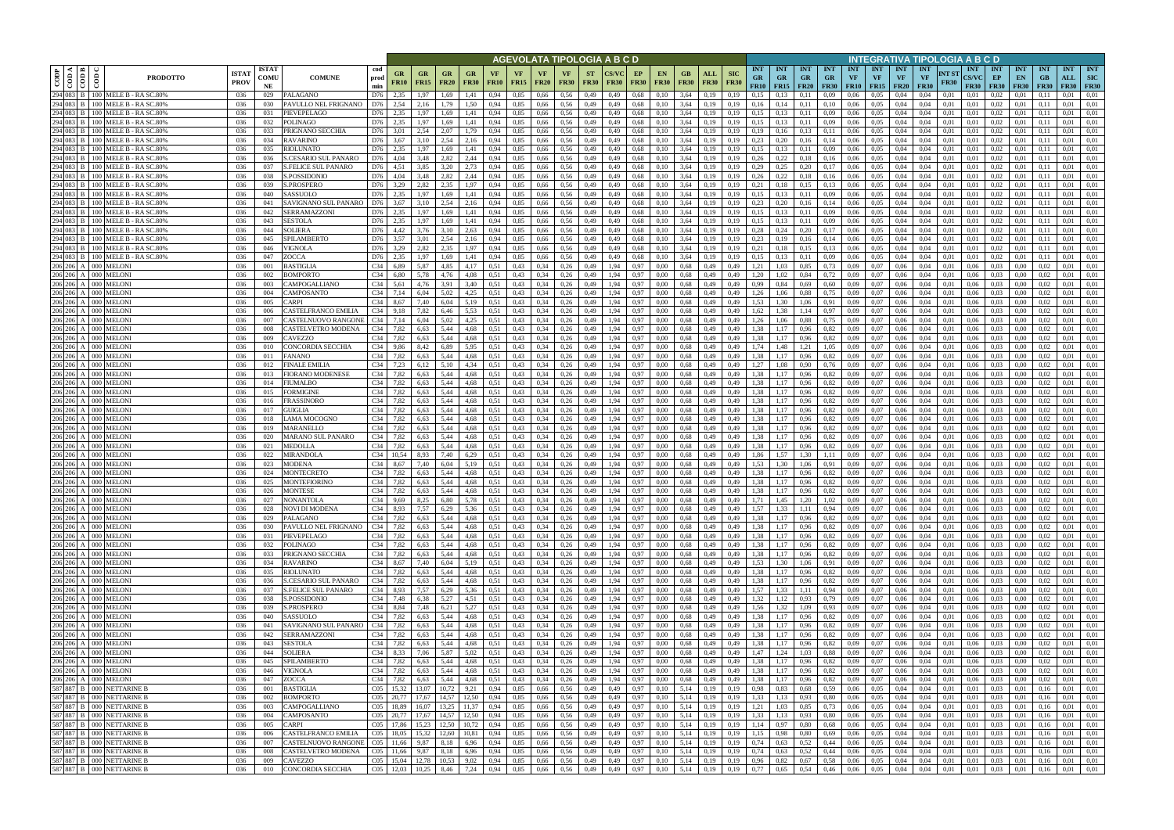|                    |                                |                                                                                                                                         |                             |                            |                                                    |                        |                         |                   |                          |                          |                   |                   |                            |                          |                          | AGEVOLATA TIPOLOGIA A B C D |                   |                                                                   |                          |                    |                           |                                        |                                           |                         |                                        |                         |                                             |                                        | INTEGRATIVA TIPOLOGIA A B C D   |                      |                                           |                                 |                                 |                                 |                                  |                                         |
|--------------------|--------------------------------|-----------------------------------------------------------------------------------------------------------------------------------------|-----------------------------|----------------------------|----------------------------------------------------|------------------------|-------------------------|-------------------|--------------------------|--------------------------|-------------------|-------------------|----------------------------|--------------------------|--------------------------|-----------------------------|-------------------|-------------------------------------------------------------------|--------------------------|--------------------|---------------------------|----------------------------------------|-------------------------------------------|-------------------------|----------------------------------------|-------------------------|---------------------------------------------|----------------------------------------|---------------------------------|----------------------|-------------------------------------------|---------------------------------|---------------------------------|---------------------------------|----------------------------------|-----------------------------------------|
| CODP               | $\overline{\text{cond}}$<br>ම් | <b>PRODOTTO</b>                                                                                                                         | <b>ISTA7</b><br><b>PROV</b> | <b>ISTAT</b><br>COMU<br>NE | <b>COMUNE</b>                                      | cod<br>prod<br>min     | GR<br><b>FR10</b>       | GR<br><b>FR15</b> | <b>GR</b><br><b>FR20</b> | <b>GR</b><br><b>FR30</b> | VF<br><b>FR10</b> | VF<br><b>FR15</b> | <b>VF</b><br><b>FR20</b>   | <b>VF</b><br><b>FR30</b> | <b>ST</b><br><b>FR30</b> | <b>FR30</b>                 | EP<br><b>FR30</b> | <b>EN</b><br><b>FR30</b>                                          | GB<br><b>FR30</b>        | ALL<br><b>FR30</b> | <b>SIC</b><br><b>FR30</b> | <b>INT</b><br><b>GR</b><br><b>FR10</b> | <b>INT</b><br><b>GR</b><br>$FR15$ $FR20$  | <b>INT</b><br><b>GR</b> | <b>INT</b><br><b>GR</b><br><b>FR30</b> | <b>INT</b><br><b>VF</b> | <b>INT</b><br><b>VF</b><br><b>FR10</b> FR15 | <b>INT</b><br><b>VF</b><br><b>FR20</b> | <b>INT</b><br>VF<br><b>FR30</b> | NT ST<br><b>FR30</b> | <b>INT</b><br><b>CS/VC</b><br><b>FR30</b> | <b>INT</b><br>EP<br><b>FR30</b> | <b>INT</b><br>EN<br><b>FR30</b> | <b>INT</b><br>GB<br><b>FR30</b> | <b>INT</b><br>ALL<br><b>FR30</b> | <b>INT</b><br><b>SIC</b><br><b>FR30</b> |
|                    |                                | 294 083 B 100 MELE B - RA SC.80%                                                                                                        | 036                         | 029                        | PALAGANO                                           | D76                    | 2,35                    | 1,97              | 1,69                     | 1,41                     | 0.94              | 0,85              | 0,66                       | 0.56                     | 0,49                     | 0,49                        | 0,68              | 0.10                                                              | 3,64                     | 0.19               | 0.19                      | 0.15                                   |                                           | 0.11                    | 0.09                                   | 0.06                    | 0.05                                        | 0.04                                   | 0.04                            | 0.01                 | 0.01                                      | 0.02                            | 0.01                            |                                 | 0.01                             | 0.01                                    |
|                    |                                | 294 083 B 100 MELE B - RA SC.80%<br>294 083 B 100 MELE B - RA SC.80%                                                                    | 036<br>036                  | 030<br>031                 | PAVULLO NEL FRIGNANO<br>PIEVEPELAGO                | D76<br>D76             | 2,54<br>2,35            | 2,16<br>1,97      | 1,79<br>1,69             | 1.50<br>1,41             | 0,94<br>0,94      | 0,85<br>0,85      | 0,66<br>0,66               | 0,56<br>0,56             | 0,49<br>0,49             | 0,49<br>0,49                | 0.68<br>0,68      | 0,10<br>0,10                                                      | 3,64<br>3,64             | 0,19<br>0,19       | 0,19<br>0,19              | 0,16<br>0.15                           | 0,14<br>0,13                              | 0,11<br>0,11            | 0,10<br>0,09                           | 0,06<br>0,06            | 0.05<br>0,05                                | 0,04<br>0,04                           | 0,04<br>0,04                    | 0,01<br>0,01         | 0,01<br>0,01                              | 0.02<br>0,02                    | 0,01<br>0,01                    | 0.11<br>(0.1)                   | 0.01<br>0.01                     | 0,01<br>0,01                            |
|                    |                                | 294 083 B 100 MELE B - RA SC.80%                                                                                                        | 036                         | 032                        | POLINAGO                                           | D76                    | 2.35                    | 1.97              | 1.69                     | 1,41                     | 0.94              | 0.85              | 0,66                       | 0.56                     | 0,49                     | 0,49                        | 0,68              | 0,10                                                              | 3,64                     | 0.19               | 0.19                      | 0.15                                   | 0,13                                      | 0,11                    | 0.09                                   | 0,06                    | 0.05                                        | 0,04                                   | 0.04                            | 0.01                 | 0.01                                      | 0.02                            | 0.01                            | 0.11                            | 0.01                             | 0,01                                    |
|                    |                                | 294 083 B   100 MELE B - RA SC.80%                                                                                                      | 036                         | 033                        | PRIGNANO SECCHIA                                   | D76                    | 3.01                    | 2,54              | 2.07                     | 1,79                     | 0.94              | 0.85              | 0.66                       | 0.56                     | 0,49                     | 0.49                        | 0.68              | 0.10                                                              | 3.64                     | 0.19               | 0.19                      | 0.19                                   | 0,16                                      | 0,13                    | 0,11                                   | 0.06                    | 0.05                                        | 0.04                                   | 0.04                            | 0.01                 | 0.01                                      | 0.02                            | 0.01                            |                                 | 0.01                             | 0.01                                    |
|                    |                                | 294 083 B   100 MELE B - RA SC.80%<br>294 083 B   100 MELE B - RA SC.80%                                                                | 036<br>036                  | 034<br>035                 | <b>RAVARINO</b><br><b>RIOLUNATO</b>                | D76<br>D76             | 3,67<br>2.35            | 3,10<br>1.97      | 2,54<br>1.69             | 2,16                     | 0,94<br>0.94      | 0,85<br>0.85      | 0,66<br>0.66               | 0,56<br>0.56             | 0,49                     | 0,49<br>0.49                | 0,68<br>0.68      | 0,10                                                              | 3,64<br>3.64             | 0,19<br>0.19       | 0.19<br>0.19              | 0,23<br>0.15                           | 0,20                                      | 0,16<br>0.11            | 0,14<br>0,09                           | 0,06<br>0.06            | 0,05<br>0.05                                | 0,04<br>0.04                           | 0.04<br>0.04                    | 0.01<br>0.01         | 0,01<br>0.01                              | 0.02<br>0.02                    | 0,01<br>0.01                    | 0.11<br>0.11                    | 0.01<br>0.01                     | 0,01<br>0.01                            |
|                    |                                | 294 083 B 100 MELE B - RA SC.80%                                                                                                        | -036                        | 036                        | <b>S.CESARIO SUL PANARO</b>                        | D76                    | 4,04                    | 3,48              | 2.82                     | 1,41<br>2,44             | 0.94              | 0.85              | 0.66                       | 0.56                     | 0,49<br>0,49             | 0,49                        | 0,68              | 0,10<br>0,10                                                      | 3,64                     | 0,19               | 0.19                      | 0.26                                   | 0,13<br>0,22                              | 0,18                    | 0,16                                   | 0,06                    | 0,05                                        | 0.04                                   | 0.04                            | 0.01                 | 0.01                                      | 0.02                            | 0,01                            | 0.11                            | 0.01                             | 0.01                                    |
|                    |                                | 294 083 B   100 MELE B - RA SC.80%                                                                                                      | 036                         | 037                        | <b>S.FELICE SUL PANARO</b>                         | D76                    | 4,51                    | 3.85              | 3,20                     | 2,73                     | 0,94              | 0,85              | 0,66                       | 0,56                     | 0,49                     | 0,49                        | 0,68              | 0,10                                                              | 3,64                     | 0,19               | 0.19                      | 0,29                                   | 0,25                                      | 0,20                    | 0,17                                   | 0,06                    | 0,05                                        | 0,04                                   | 0.04                            | 0.01                 | 0,01                                      | 0,02                            | 0,01                            | 0,11                            | 0.01                             | 0,01                                    |
|                    |                                | 294 083 B   100 MELE B - RA SC.80%                                                                                                      | 036                         | 038                        | <b>S.POSSIDONIO</b>                                | D76                    | 4,04                    | 3,48              | 2,82                     | 2,44                     | 0,94              | 0,85              | 0,66                       | 0,56                     | 0,49                     | 0,49                        | 0.68              | 0,10                                                              | 3,64                     | 0.19               | 0,19                      | 0,26                                   | 0,22                                      | 0,18                    | 0,16                                   | 0,06                    | 0,05                                        | 0,04                                   | 0,04                            | 0,01                 | 0,01                                      | 0,02                            | 0,01                            | 0.1                             | 0.01                             | 0,01                                    |
|                    |                                | 294 083 B   100 MELE B - RA SC.80%<br>294 083 B 100 MELE B - RA SC.80%                                                                  | 036<br>036                  | 039<br>040                 | S.PROSPERO<br>SASSUOLO                             | D76<br>D76             | 3,29<br>2,35            | 2,82<br>1,97      | 2.35<br>1,69             | 1,97<br>1,41             | 0,94<br>0,94      | 0,85<br>0,85      | 0,66<br>0,66               | 0,56<br>0,56             | 0,49<br>0,49             | 0,49<br>0,49                | 0.68<br>0,68      | 0,10<br>0,10                                                      | 3,64<br>3,64             | 0.19<br>0,19       | 0.19<br>0,19              | 0,21<br>0,15                           | 0,18<br>0,13                              | 0,15<br>0,11            | 0,13<br>0,09                           | 0,06<br>0,06            | 0,05<br>0,05                                | 0,04<br>0,04                           | 0,04<br>0,04                    | 0.01<br>0,01         | 0,01<br>0,01                              | 0,02<br>0,02                    | 0,01<br>0,01                    | 0,1<br>0,11                     | 0,01<br>0,01                     | 0,01<br>0,01                            |
|                    |                                | 294 083 B 100 MELE B - RA SC.80%                                                                                                        | 036                         | 041                        | SAVIGNANO SUL PANARO                               | D76                    | 3,67                    | 3,10              | 2.54                     | 2,16                     | 0.94              | 0,85              | 0,66                       | 0.56                     | 0,49                     | 0,49                        | 0,68              | 0,10                                                              | 3,64                     | 0,19               | 0.19                      | 0,23                                   | 0,20                                      | 0,16                    | 0,14                                   | 0,06                    | 0,05                                        | 0,04                                   | 0,04                            | 0.01                 | 0,01                                      | 0,02                            | 0,01                            | 0.11                            | 0,01                             | 0,01                                    |
|                    |                                | 294 083 B 100 MELE B - RA SC.80%                                                                                                        | 036                         | 042                        | <b>SERRAMAZZONI</b>                                | D76                    | 2,35                    | 1,97              | 1,69                     | 1,41                     | 0,94              | 0,85              | 0,66                       | 0,56                     | 0,49                     | 0,49                        | 0,68              | 0,10                                                              | 3,64                     | 0,19               | 0,19                      | 0,15                                   | 0,13                                      | 0,11                    | 0,09                                   | 0,06                    | 0,05                                        | 0,04                                   | 0,04                            | 0,01                 | 0,01                                      | 0,02                            | 0,01                            | 0.11                            | 0,01                             | 0,01                                    |
|                    |                                | 294 083 B 100 MELE B - RA SC.80%                                                                                                        | 036                         | 043                        | <b>SESTOLA</b>                                     | D76                    | 2,35                    | 1,97              | 1,69                     | 1,41                     | 0,94              | 0,85              | 0,66                       | 0,56                     | 0,49                     | 0,49                        | 0.68              | 0,10                                                              | 3,64                     | 0,19               | 0,19                      | 0,15                                   | 0,13                                      | 0,11                    | 0,09                                   | 0,06                    | 0,05                                        | 0,04                                   | 0,04                            | 0,01                 | 0,01                                      | 0,02                            | 0,01                            | 0,11                            | 0,01                             | 0,01                                    |
|                    |                                | 294 083 B 100 MELE B - RA SC.80%<br>294 083 B   100 MELE B - RA SC.80%                                                                  | 036<br>036                  | 044<br>045                 | <b>SOLIERA</b><br>SPILAMBERTO                      | D76<br>D76             | 4.42<br>3.57            | 3.76<br>3.01      | 3.10<br>2.54             | 2.63<br>2,16             | 0.94<br>0.94      | 0.85<br>0,85      | 0,66<br>0,66               | 0.56<br>0.56             | 0,49<br>0,49             | 0.49<br>0.49                | 0.68<br>0.68      | 0.10<br>0.10                                                      | 3,64<br>3,64             | 0.19<br>0.19       | 0.19<br>0.19              | 0.28<br>0,23                           | 0.24<br>0,19                              | 0,20<br>0,16            | 0,17<br>0,14                           | 0.06<br>0,06            | 0.05<br>0.05                                | 0.04<br>0.04                           | 0.04<br>0.04                    | 0.01<br>0.01         | 0.01<br>0.01                              | 0,02<br>0,02                    | 0.01<br>0.01                    | 0.11<br>0.11                    | 0.01<br>0,01                     | 0.01<br>0.01                            |
|                    |                                | 294 083 B 100 MELE B - RASC.80%                                                                                                         | 036                         | 046                        | VIGNOLA                                            | D76                    | 3,29                    | 2,82              | 2,35                     | 1,97                     | 0,94              | 0,85              | 0,66                       | 0,56                     | 0,49                     | 0.49                        | 0.68              | 0,10                                                              | 3,64                     | 0,19               | 0.19                      | 0,21                                   | 0,18                                      | 0,15                    | 0,13                                   | 0,06                    | 0,05                                        | 0,04                                   | 0.04                            | 0.01                 | 0.01                                      | 0,02                            | 0,01                            | 0.1                             | 0,01                             | 0,01                                    |
|                    |                                | 294 083 B 100 MELE B - RA SC.80%                                                                                                        | 036                         | 047                        | ZOCCA                                              | D76                    | 2.35                    | 1.97              | 1.69                     | 1.41                     | 0.94              | 0,85              | 0,66                       | 0.56                     | 0,49                     | 0.49                        | 0.68              | 0.10                                                              | 3.64                     | 0.19               | 0.19                      | 0.15                                   |                                           | 0.11                    | 0.09                                   | 0.06                    | 0.05                                        | 0.04                                   | 0.04                            | 0.01                 | 0.01                                      | 0,02                            | 0.01                            | 0.1                             | 0.01                             | 0.01                                    |
| 206 206            |                                | A 000 MELONI                                                                                                                            | 036                         | 001                        | BASTIGLIA                                          | C <sub>34</sub>        | 6.89                    | 5.87              | 4.85                     | 4.17                     | 0.51              | 0,43              | 0,34                       | 0.26                     | 0,49                     | .94                         | 0,97              | 0.00                                                              | 0.68                     | 0.49               | 0.49                      | 1.21                                   |                                           | 0,85                    | 0.73                                   | 0.09                    | 0.07                                        | 0.06                                   | 0.04                            | 0.01                 | 0.06                                      | 0.03                            | 0.00                            |                                 | 0.01                             | 0.01                                    |
| 206 206<br>206 206 |                                | A 000 MELONI<br>A 000 MELONI                                                                                                            | 036<br>036                  | 002<br>003                 | <b>BOMPORTO</b><br>CAMPOGALLIANO                   | C <sub>34</sub><br>C34 | 6,80<br>5,61            | 5,78<br>4,76      | 4,76<br>3.91             | 4,08<br>3,40             | 0.51<br>0.51      | 0,43<br>0,43      | 0,34<br>0.34               | 0,26<br>0,26             | 0,49<br>0,49             | .94<br>1.94                 | 0,97<br>0,97      | 0.00<br>0.00                                                      | 0,68<br>0.68             | 0,49<br>0.49       | 0,49<br>0,49              | 1.20<br>0,99                           | 0.84                                      | 0,84<br>0,69            | 0,72                                   | 0,09<br>0.09            | 0,07<br>0.07                                | 0,06                                   | 0,04<br>0.04                    | 0.01<br>0.01         | 0.06<br>0,06                              | 0,03<br>0.03                    | 0.00<br>0.00                    | 0.02                            | 0.01<br>0.01                     | 0,01<br>0.01                            |
|                    |                                | 206 206 A 000 MELONI                                                                                                                    | 036                         | 004                        | CAMPOSANTO                                         | C34                    | 7,14                    | 6,04              | 5,02                     | 4,25                     | 0.51              | 0,43              | 0,34                       | 0,26                     | 0,49                     | 1,94                        | 0,97              | 0.00                                                              | 0,68                     | 0,49               | 0,49                      | 1,26                                   | .06                                       | 0,88                    | 0.60<br>0,75                           | 0.09                    | 0,07                                        | 0,06<br>0,06                           | 0.04                            | 0,01                 | 0,06                                      | 0.03                            | $0.00\,$                        | 0.02                            | 0.01                             | 0.01                                    |
| 206 206            |                                | A 000 MELONI                                                                                                                            | 036                         | 005                        | CARPI                                              | C34                    | 8,67                    | 7,40              | 6,04                     | 5,19                     | 0.51              | 0,43              | 0.34                       | 0,26                     | 0,49                     | .94                         | 0,97              | 0.00                                                              | 0,68                     | 0,49               | 0,49                      | 1,53                                   | .30                                       | 1,06                    | 0.91                                   | 0,09                    | 0,07                                        | 0,06                                   | 0.04                            | 0.01                 | 0,06                                      | 0,03                            | 0.00                            | 0.02                            | 0.01                             | 0,01                                    |
| 206 206            |                                | A 000 MELONI                                                                                                                            | 036                         | 006                        | CASTELFRANCO EMILIA                                | C34                    | 9.18                    | 7,82              | 6,46                     | 5,53                     | 0.51              | 0,43              | 0,34                       | 0,26                     | 0,49                     | .94                         | 0,97              | 0.00                                                              | 0,68                     | 0,49               | 0,49                      | 1.62                                   | .38                                       |                         | 0.97                                   | 0,09                    | 0.07                                        | 0,06                                   | 0.04                            | 0.01                 | 0,06                                      | 0.03                            | 0.00                            | 0.02                            | 0,01                             | 0.01                                    |
| 206 206<br>206 206 |                                | A   000   MELONI<br>A 000 MELONI                                                                                                        | 036<br>036                  | 007<br>008                 | CASTELNUOVO RANGONI<br>CASTELVETRO MODENA          | C34<br>C <sub>34</sub> | 7,14<br>7,82            | 6.04<br>6,63      | 5.02<br>5,44             | 4,25<br>4,68             | 0.51<br>0.51      | 0,43<br>0,43      | 0.34<br>0,34               | 0,26<br>0,26             | 0,49<br>0,49             | .94<br>1,94                 | 0,97<br>0,97      | 0.00<br>0,00                                                      | 0,68<br>0,68             | 0,49<br>0,49       | 0,49<br>0,49              | 1,26<br>1,38                           |                                           | 0,88<br>0,96            | 0.75<br>0,82                           | 0.09<br>0,09            | 0.07<br>0,07                                | 0,06<br>0,06                           | 0.04<br>0,04                    | 0.01<br>0,01         | 0.06<br>0,06                              | 0.03<br>0,03                    | 0.00<br>0,00                    | 0,02                            | 0.01<br>0,01                     | 0.01<br>0,01                            |
| 206 206            |                                | A 000 MELONI                                                                                                                            | 036                         | 009                        | CAVEZZO                                            | C34                    | 7,82                    | 6,63              | 5.44                     | 4,68                     | 0.51              | 0.43              | 0.34                       | 0,26                     | 0,49                     | 1.94                        | 0,97              | 0.00                                                              | 0.68                     | 0,49               | 0.49                      | 1.38                                   | 1,17                                      | 0,96                    | 0,82                                   | 0.09                    | 0.07                                        | 0.06                                   | 0.04                            | 0.01                 | 0.06                                      | 0.03                            | 0.00                            | 0.02                            | 0.01                             | 0.01                                    |
|                    |                                | 206 206 A 000 MELONI                                                                                                                    | 036                         | 010                        | CONCORDIA SECCHIA                                  | C34                    | 9,86                    | 8,42              | 6,89                     | 5,95                     | 0.51              | 0,43              | 0,34                       | 0,26                     | 0,49                     | 1,94                        | 0,97              | 0.00                                                              | 0,68                     | 0,49               | 0,49                      | 1.74                                   | 1,48                                      | 1,21                    | 1,05                                   | 0,09                    | 0.07                                        | 0,06                                   | 0.04                            | 0.01                 | 0.06                                      | 0.03                            | 0,00                            | 0.02                            | 0.01                             | 0,01                                    |
|                    |                                | 206 206 A 000 MELONI                                                                                                                    | 036                         | 011                        | <b>FANANO</b>                                      | C34                    | 7,82                    | 6,63              | 5,44                     | 4,68                     | 0.51              | 0,43              | 0.34                       | 0,26                     | 0,49                     | 1,94                        | 0,97              | 0.00                                                              | 0,68                     | 0,49               | 0.49                      | 1,38                                   | 17                                        | 0,96                    | 0,82                                   | 0.09                    | 0.07                                        | 0,06                                   | 0.04                            | 0.01                 | 0.06                                      | 0.03                            | 0.00                            | 0.02                            | 0.01                             | 0,01                                    |
|                    |                                | 206 206 A 000 MELONI<br>206 206 A 000 MELONI                                                                                            | 036<br>036                  | 012<br>013                 | <b>FINALE EMILIA</b><br><b>FIORANO MODENESE</b>    | C34<br>C34             | 7,23<br>7,82            | 6,12<br>6,63      | 5.10<br>5.44             | 4,34<br>4,68             | 0.51<br>0.51      | 0.43<br>0,43      | 0.34<br>0.34               | 0,26<br>0,26             | 0,49<br>0,49             | 1,94<br>1,94                | 0,97<br>0,97      | 0.00<br>0.00                                                      | 0.68<br>0,68             | 0,49<br>0,49       | 0,49<br>0.49              | 1.27<br>1,38                           | .08<br>1,17                               | 0,90<br>0,96            | 0,76<br>0,82                           | 0.09<br>0.09            | 0.07<br>0.07                                | 0.06<br>0.06                           | 0.04<br>0.04                    | 0.01<br>0.01         | 0.06<br>0.06                              | 0.03<br>0.03                    | 0.00<br>0.00                    | 0.02<br>0.02                    | 0.01<br>0.01                     | 0.01<br>0.01                            |
|                    |                                | 206 206 A 000 MELONI                                                                                                                    | 036                         | 014                        | FIUMALBO                                           | C34                    | 7,82                    | 6,63              | 5,44                     | 4,68                     | 0,51              | 0,43              | 0,34                       | 0,26                     | 0,49                     | 1,94                        | 0,97              | 0,00                                                              | 0,68                     | 0,49               | 0,49                      | 1,38                                   | 1,17                                      | 0,96                    | 0,82                                   | 0,09                    | 0,07                                        | 0,06                                   | 0,04                            | 0,01                 | 0,06                                      | 0,03                            | $0.00\,$                        | 0.02                            | 0,01                             | 0,01                                    |
| 206 206            |                                | A 000 MELONI                                                                                                                            | 036                         | 015                        | FORMIGINE                                          | C34                    | 7,82                    | 6,63              | 5,44                     | 4,68                     | 0.51              | 0,43              | 0,34                       | 0,26                     | 0,49                     | 1,94                        | 0,97              | 0.00                                                              | 0.68                     | 0,49               | 0,49                      | 1,38                                   | 1,17                                      | 0,96                    | 0,82                                   | 0,09                    | 0.07                                        | 0,06                                   | 0.04                            | 0.01                 | 0.06                                      | 0.03                            | 0.00                            | 0.02                            | 0,01                             | 0,01                                    |
|                    |                                | 206 206 A 000 MELONI                                                                                                                    | 036                         | 016                        | FRASSINORO                                         | C34                    | 7,82                    | 6,63              | 5,44                     | 4,68                     | 0.51              | 0,43              | 0,34                       | 0,26                     | 0,49                     | 1,94                        | 0,97              | 0.00                                                              | 0,68                     | 0,49               | 0,49                      | 1,38                                   | 1,17                                      | 0,96                    | 0,82                                   | 0,09                    | 0,07                                        | 0,06                                   | 0,04                            | 0,01                 | 0,06                                      | 0.03                            | 0,00                            | 0.02                            | 0,01                             | 0,01                                    |
|                    | 206 206 A 000 MELONI           | 206 206 A 000 MELONI                                                                                                                    | 036<br>036                  | 017<br>018                 | GUIGLIA<br>LAMA MOCOGNO                            | C34<br>C34             | 7,82<br>7,82            | 6,63<br>6,63      | 5,44<br>5.44             | 4,68<br>4,68             | 0.51<br>0,51      | 0,43<br>0,43      | 0,34<br>0,34               | 0,26<br>0,26             | 0,49<br>0,49             | 1,94<br>1,94                | 0,97<br>0,97      | 0,00<br>0.00                                                      | 0,68<br>0,68             | 0,49<br>0,49       | 0,49<br>0,49              | 1,38<br>1,38                           | 1,17<br>1,17                              | 0,96<br>0,96            | 0,82<br>0,82                           | 0,09<br>0,09            | 0,07<br>0,07                                | 0,06<br>0,06                           | 0,04<br>0,04                    | 0,01<br>0,01         | 0,06<br>0,06                              | 0,03<br>0.03                    | 0,00<br>0,00                    | 0,02<br>0.02                    | 0,01<br>0,01                     | 0,01<br>0,01                            |
|                    |                                | 206 206 A 000 MELONI                                                                                                                    | 036                         | 019                        | <b>MARANELLO</b>                                   | C34                    | 7,82                    | 6,63              | 5,44                     | 4,68                     | 0,51              | 0,43              | 0,34                       | 0,26                     | 0,49                     | 1,94                        | 0,97              | 0,00                                                              | 0,68                     | 0,49               | 0,49                      | 1,38                                   | 1,17                                      | 0,96                    | 0,82                                   | 0,09                    | 0,07                                        | 0,06                                   | 0,04                            | 0,01                 | 0,06                                      | 0,03                            | 0,00                            | 0.02                            | 0,01                             | 0,01                                    |
|                    |                                | 206 206 A 000 MELONI                                                                                                                    | 036                         | 020                        | MARANO SUL PANARO                                  | C34                    | 7,82                    | 6,63              | 5,44                     | 4,68                     | 0,51              | 0,43              | 0,34                       | 0,26                     | 0,49                     | 1,94                        | 0,97              | 0.00                                                              | 0.68                     | 0,49               | 0,49                      | 1,38                                   | 1,17                                      | 0,96                    | 0,82                                   | 0,09                    | 0,07                                        | 0,06                                   | 0,04                            | 0,01                 | 0,06                                      | 0,03                            | 0,00                            | 0.02                            | 0,01                             | 0,01                                    |
| 206 206            |                                | A 000 MELONI                                                                                                                            | 036                         | 021                        | MEDOLLA                                            | C34                    | 7,82                    | 6.63              | 5.44                     | 4.68                     | 0.51              | 0,43              | 0.34                       | 0,26                     | 0,49                     | 1.94                        | 0,97              | 0.00                                                              | 0.68                     | 0,49               | 0.49                      | 1,38                                   | 1.17                                      | 0,96                    | 0,82                                   | 0.09                    | 0,07                                        | 0,06                                   | 0,04                            | 0.01                 | 0.06                                      | 0,03                            | 0.00                            | 0.02                            | 0,01                             | 0.01                                    |
| 206 206<br>206 206 |                                | A 000 MELONI<br>A 000 MELONI                                                                                                            | 036<br>036                  | 022<br>023                 | MIRANDOLA<br><b>MODENA</b>                         | C34<br>C34             | 10.54<br>8,67           | 8.93<br>7,40      | 7.40<br>6,04             | 6,29<br>5,19             | 0.51<br>0.51      | 0,43<br>0,43      | 0.34<br>0,34               | 0,26<br>0,26             | 0,49<br>0,49             | 1.94<br>1,94                | 0,97<br>0,97      | 0.00<br>0,00                                                      | 0,68<br>0,68             | 0,49<br>0,49       | 0.49<br>0,49              | 1,86<br>1,53                           | 1.57<br>1.30                              | 1.30<br>1,06            | 1,11<br>0.91                           | 0.09<br>0,09            | 0,07<br>0,07                                | 0.06<br>0,06                           | 0.04<br>0,04                    | 0.01<br>0,01         | 0.06<br>0,06                              | 0.03<br>0,03                    | 0.00<br>0,00                    | 0.02<br>0.02                    | 0.01<br>0,01                     | 0,01<br>0,01                            |
| 206 206            |                                | A 000 MELONI                                                                                                                            | 036                         | 024                        | <b>MONTECRETO</b>                                  | C <sub>34</sub>        | 7,82                    | 6.63              | 5.44                     | 4.68                     | 0.51              | 0.43              | 0.34                       | 0.26                     | 0.49                     | 1.94                        | 0.97              | 0.00                                                              | 0.68                     | 0.49               | 0.49                      | 1.38                                   | 1.17                                      | 0.96                    | 0,82                                   | 0.09                    | 0.07                                        | 0.06                                   | 0.04                            | 0.01                 | 0.06                                      | 0.03                            | 0.00                            | 0.02                            | 0.01                             | 0.01                                    |
|                    |                                | 206 206 A 000 MELONI<br>206 206 A 000 MELONI                                                                                            | 036                         | 025                        | <b>MONTEFIORINO</b>                                | C <sub>34</sub>        | 7,82                    | 6.63              | 5,44                     | 4,68                     | 0.51              | 0,43              | 0,34                       | 0,26                     | 0,49                     | 1,94                        | 0,97              | 0.00                                                              | 0.68                     | 0,49               | 0,49                      | 1,38                                   | 1,17                                      | 0,96                    | 0,82                                   | 0,09                    | 0.07                                        | 0.06                                   | 0,04                            | 0,01                 | 0.06                                      | 0.03                            | 0.00                            | 0.02                            | 0,01                             | 0,01                                    |
|                    |                                | 206 206 A 000 MELONI                                                                                                                    | 036                         | 026                        | <b>MONTESE</b>                                     | C34 7,82               |                         | 6.63              | 5.44                     | 4,68                     | 0.51              | 0.43              | 0.34                       | 0,26                     | 0.49                     | 1.94                        | 0.97              | 0.00                                                              | 0.68                     | 0,49               | 0.49                      | 1.38                                   | 1,17                                      | 0.96                    | 0.82                                   | 0.09                    | 0.07                                        | 0.06                                   | 0.04                            | 0.01                 | 0.06                                      | 0.03                            | 0.00                            | 0.02                            | 0.01                             | 0.01                                    |
|                    |                                | 206 206 A 000 MELONI                                                                                                                    | 036<br>036                  | 027<br>028                 | <b>NONANTOLA</b><br>NOVI DI MODENA                 | C34 9.69<br>C34 8.93   |                         | 8,25<br>7,57      | 6,80<br>6,29             | 5,78<br>5,36             | 0,51<br>0,51      | 0,43<br>0,43      | 0,34<br>0,34               | 0,26<br>0,26             | 0,49<br>0,49             | 1,94<br>1,94                | 0,97<br>0,97      | 0,00<br>0,00                                                      | 0.68<br>0,68             | 0,49<br>0,49       | 0,49<br>0,49              | 1,71<br>1,57                           | 1,45<br>1.33                              | 1,20<br>1,11            | 1,02<br>0,94                           | 0,09<br>0,09            | 0,07<br>0,07                                | 0,06<br>0,06                           | 0,04<br>0,04                    | 0,01<br>0,01         | 0,06<br>0,06                              | 0,03<br>0,03                    | 0,00<br>0,00                    | 0,02<br>0,02                    | 0.01<br>0.01                     | 0,01<br>0,01                            |
|                    |                                | 206 206 A 000 MELONI<br>206 206 A 000 MELONI                                                                                            | 036                         | 029                        | PALAGANO                                           | C34 7,82               |                         | 6,63              | 5,44                     | 4,68                     | 0,51              | 0,43              | $0,34$ 0,26                |                          | 0,49                     | 1,94                        | 0,97              | 0,00                                                              | 0,68                     | 0,49               | 0,49                      | 1,38                                   | 1,17                                      | 0,96                    | 0,82                                   | 0,09                    | 0,07                                        | 0,06                                   | 0,04                            | 0,01                 | 0,06                                      | 0,03                            | 0,00                            | 0,02                            | 0,01                             | 0,01                                    |
|                    |                                |                                                                                                                                         | 036                         | 030                        | PAVULLO NEL FRIGNANO                               | C34 7,82               |                         | 6,63              | 5,44                     | 4,68                     | 0.51              | 0,43              | $0,34$ 0,26                |                          | 0,49                     | 1,94                        | 0,97              | 0,00                                                              | $0,68$ 0.49              |                    | 0,49                      | 1,38                                   | 1,17                                      | 0,96                    | 0,82                                   |                         | $0,09$ 0.07                                 | 0,06                                   | 0,04                            | 0,01                 | 0,06                                      | 0,03                            | 0,00                            | 0,02                            | 0,01                             | 0,01                                    |
|                    |                                | 206 206 A 000 MELONI<br>206 206 A 000 MELONI                                                                                            | 036<br>036                  | 031<br>032                 | PIEVEPELAGO<br>POLINAGO                            | C34 7,82<br>C34 7,82   |                         | 6,63              | 5,44<br>5,44             | 4,68<br>4,68             | 0,51              | 0,43<br>0,43      | 0,34<br>0,34               | 0,26<br>0,26             | 0,49                     | 1,94                        | 0,97<br>0,97      | 0,00                                                              | 0,68<br>0,68 0,49        | 0,49               | 0,49<br>0,49              | 1,38                                   | 1,17                                      | 0,96                    | 0,82<br>0,82                           | 0,09                    | 0,07<br>$0,09$ 0.07                         | 0,06                                   | 0,04                            | 0,01<br>0,01         | 0,06<br>0,06                              | 0,03<br>0,03                    | 0,00<br>0,00                    | 0,02                            | 0.01<br>0.01                     | 0,01<br>0,01                            |
|                    |                                | 206 206 A 000 MELONI                                                                                                                    | 036                         | 033                        | PRIGNANO SECCHIA                                   | C34 7,82               |                         | 6,63<br>6,63      | 5,44                     | 4,68                     | 0,51<br>0,51      | 0,43              | $0,34$ $0,26$              |                          | 0,49<br>0,49             | 1,94<br>1,94                | 0,97              | 0,00<br>0,00                                                      | $0,68$ 0.49              |                    | 0,49                      | 1,38<br>1,38                           | 1,17<br>1,17                              | 0,96<br>0,96            | 0,82                                   |                         | $0,09$ 0.07                                 | 0,06<br>0,06                           | 0,04<br>0,04                    | 0,01                 | 0,06                                      | 0,03                            | $0,00$ $0,02$                   | 0,02                            | 0.01                             | 0,01                                    |
|                    |                                | 206 206 A 000 MELONI                                                                                                                    | 036                         | 034                        | <b>RAVARINO</b>                                    | C34 8.67               |                         | 7,40              | 6,04                     | 5,19                     | 0,51              | 0,43              | $0,34$ $0,26$              |                          | 0,49                     | 1,94                        | 0,97              | 0,00                                                              | $0,68$ 0.49              |                    | 0,49                      | 1,53                                   | 1,30 1,06                                 |                         | 0,91                                   |                         | $0,09$ 0.07                                 | 0,06                                   | 0,04                            | 0,01                 | 0,06                                      | 0,03                            | $0,00$ 0.02                     |                                 | 0.01                             | 0,01                                    |
|                    |                                | 206 206 A 000 MELONI<br>206 206 A 000 MELONI                                                                                            | 036                         | 035                        | RIOLUNATO                                          | C34 7,82               |                         | 6,63              | 5,44                     | 4,68                     | 0,51              | 0,43              | $0,34$ 0,26                |                          | 0,49                     | 1,94                        | 0,97              | 0,00                                                              | 0,68 0,49                |                    | 0,49                      | 1,38                                   | 1,17                                      | 0,96                    | 0,82                                   |                         | $0,09$ 0.07                                 | 0,06                                   | 0,04                            | 0,01                 | 0,06                                      | 0,03                            | $0,00$ $0,02$                   |                                 | 0,01                             | 0,01                                    |
|                    |                                | 206 206 A 000 MELONI                                                                                                                    | 036<br>036                  | 036<br>037                 | S.CESARIO SUL PANARO<br><b>S.FELICE SUL PANARO</b> | C34 7,82<br>C34 8,93   |                         | 6,63<br>7,57      | 5,44<br>6,29             | 4,68<br>5,36             | 0,51<br>0,51      | 0,43<br>0,43      | 0,34<br>$0,34$ 0,26        | 0,26                     | 0,49<br>0,49             | 1,94<br>1,94                | 0,97<br>0,97      | 0,00<br>0,00                                                      | 0,68<br>0,68             | 0,49<br>0,49       | 0,49<br>0,49              | 1,38<br>1,57                           | 1,17<br>1,33                              | 0,96<br>1,11            | 0,82<br>0,94                           | 0,09<br>0,09            | 0,07<br>0,07                                | 0,06<br>0,06                           | 0,04<br>0,04                    | 0,01<br>0,01         | 0,06<br>0,06                              | 0,03<br>0,03                    | 0,00<br>0,00                    | 0,02<br>0,02                    | 0.01<br>0,01                     | 0,01<br>0,01                            |
|                    |                                | 206 206 A 000 MELONI                                                                                                                    | 036                         | 038                        | S.POSSIDONIO                                       | C34 7,48               |                         | 6,38              | 5,27                     | 4,51                     | 0,51              | 0,43              | $0,34$ 0,26                |                          | 0,49                     | 1,94                        | 0,97              | 0,00                                                              | 0,68                     | 0,49               | 0,49                      | 1,32                                   | 1,12                                      | 0,93                    | 0,79                                   | 0,09                    | 0,07                                        | 0,06                                   | 0,04                            | 0,01                 | 0,06                                      | 0,03                            | 0,00                            | 0,02                            | 0,01                             | 0,01                                    |
|                    |                                | 206 206 A 000 MELONI                                                                                                                    | 036                         | 039                        | S.PROSPERO                                         | $C34$ 8,84             |                         | 7,48              | 6,21                     | 5,27                     | 0,51              | 0,43              | $0,34$ 0,26                |                          | 0,49                     | 1,94                        | 0,97              | 0,00                                                              | 0,68                     | 0,49               | 0,49                      | 1,56                                   | 1,32                                      | 1,09                    | 0,93                                   | 0,09                    | 0,07                                        | 0,06                                   | 0,04                            | 0,01                 | 0,06                                      | 0.03                            | 0,00                            | 0,02                            | 0,01                             | 0,01                                    |
|                    |                                | 206 206 A 000 MELONI<br>206 206 A 000 MELONI                                                                                            | 036                         | 040                        | SASSUOLO                                           | C34 7,82               |                         | 6,63              | 5,44                     | 4,68                     | 0,51              | 0,43              | $0,34$ 0,26                |                          | 0,49                     | 1,94                        | 0,97              | 0,00                                                              | 0,68 0,49                |                    | 0,49                      | 1,38                                   | 1,17                                      | 0,96                    | 0,82                                   |                         | $0,09$ 0.07                                 | 0,06                                   | 0,04                            | 0,01                 | 0,06                                      | 0,03                            | 0,00                            | 0.02                            | 0,01                             | 0,01                                    |
|                    |                                | 206 206 A 000 MELONI                                                                                                                    | 036<br>036                  | 041<br>042                 | SAVIGNANO SUL PANARO<br>SERRAMAZZONI               | C34 7,82<br>C34 7,82   |                         | 6,63<br>6,63      | 5,44<br>5,44             | 4,68<br>4,68             | 0,51<br>0,51      | 0,43<br>0,43      | $0,34$ 0,26<br>$0,34$ 0,26 |                          | 0,49<br>0,49             | 1,94<br>1,94                | 0,97<br>0,97      | 0,00<br>0,00                                                      | 0,68<br>$0,68$ 0.49      | 0,49               | 0,49<br>0,49              | 1,38<br>1,38                           | 1,17<br>1,17                              | 0,96<br>0,96            | 0,82<br>0,82                           |                         | $0,09$ 0.07<br>$0,09$ 0.07                  | 0,06<br>0,06                           | 0,04<br>0,04                    | 0,01<br>0,01         | 0,06<br>0,06                              | 0,03<br>0,03                    | 0,00<br>$0.00\,$                | 0,02<br>0,02                    | 0,01<br>0,01                     | 0,01<br>0,01                            |
|                    |                                | 206 206 A 000 MELONI<br>206 206 A 000 MELONI                                                                                            | 036                         | 043                        | <b>SESTOLA</b>                                     | C34 7,82               |                         | 6,63              | 5,44                     | 4,68                     | 0,51              | 0,43              | $0,34$ 0,26                |                          | 0,49                     | 1,94                        | 0,97              | 0,00                                                              | 0,68 0,49                |                    | 0,49                      | 1,38                                   | 1,17                                      | 0,96                    | 0,82                                   |                         | $0,09$ 0.07                                 | 0,06                                   | 0,04                            | 0,01                 | 0,06                                      | 0,03                            | 0,00                            | 0,02                            | 0,01                             | 0,01                                    |
|                    |                                |                                                                                                                                         | 036                         | 044                        | <b>SOLIERA</b>                                     | $C34$ 8,33             |                         | 7,06              | 5,87                     | 5,02                     | 0,51              | 0,43              | $0,34$ 0,26                |                          | 0,49                     | 1,94                        | 0,97              | 0,00                                                              | 0,68                     | 0,49               | 0,49                      | 1,47                                   | 1,24 1,03                                 |                         | 0,88                                   |                         | $0,09$ 0.07                                 | 0,06                                   | 0,04                            | 0,01                 | 0,06                                      | 0,03                            | $0,00 \qquad 0,02$              |                                 | 0,01                             | 0,01                                    |
|                    |                                | 206 206 A 000 MELONI<br>206 206 A 000 MELONI                                                                                            | 036                         | 045                        | SPILAMBERTO                                        | $C34$ 7,82             |                         | 6,63              | 5,44                     | 4,68                     | 0,51              | 0,43              | $0,34$ $0,26$              |                          | 0,49                     | 1,94                        |                   | $0,97$ 0.00                                                       | $0,68$ 0.49              |                    | 0,49                      | 1,38                                   | 1,17                                      | 0,96                    | 0,82                                   |                         | $0,09$ 0.07                                 | 0,06                                   | 0,04                            | 0,01                 | 0,06                                      | $0.03 \qquad 0.00$              |                                 | 0,02                            | 0,01                             | 0,01                                    |
|                    |                                | 206 206 A 000 MELONI                                                                                                                    | 036<br>036                  | 046<br>047                 | <b>VIGNOLA</b><br>ZOCCA                            | C34 7,82<br>C34 7,82   |                         | 6,63<br>6,63 5,44 | 5,44                     | 4,68<br>4,68             | 0,51<br>0,51      | 0,43<br>0,43      | $0,34$ 0,26<br>$0,34$ 0,26 |                          | 0,49<br>0,49             | 1,94<br>1,94                | 0,97<br>0,97      | 0,00<br>0,00                                                      | $0,68$ 0.49<br>0,68 0,49 |                    | 0,49<br>0,49              | 1,38<br>1,38                           | 1,17<br>1,17                              | 0,96<br>0,96            | 0,82<br>0,82                           |                         | $0,09$ 0.07<br>$0,09$ 0.07                  | 0,06<br>0,06                           | 0,04<br>0,04                    | 0,01<br>0,01         | 0,06<br>0,06                              | $0,03$ 0,00<br>$0,03$ 0.00      |                                 | 0,02<br>  0.02                  | 0,01<br>0,01                     | 0,01<br>0,01                            |
|                    |                                | 587 887 B 000 NETTARINE B                                                                                                               | 036                         | 001                        | <b>BASTIGLIA</b>                                   |                        | $C05$ 15,32 13,07 10,72 |                   |                          | 9,21 0,94                |                   | 0,85              | 0,66 0,56                  |                          | 0,49                     | 0,49                        | 0,97              | 0,10                                                              | 5,14 0,19                |                    | 0,19                      | 0,98                                   | 0,83                                      | 0,68                    | 0,59                                   |                         | $0,06$ 0.05                                 | 0,04                                   | 0,04                            | 0,01                 | 0,01                                      | $0,03$ $0,01$                   |                                 | 0,16                            | 0,01                             | 0,01                                    |
|                    |                                | 587 887 B 000 NETTARINE B                                                                                                               | 036                         | 002                        | <b>BOMPORTO</b>                                    |                        | C <sub>05</sub> 20,77   | 17,67 14,57       |                          | 12,50                    | 0,94              | 0,85              | 0,66 0,56                  |                          | 0,49                     | 0,49                        | 0,97              | 0,10                                                              | 5,14 0,19                |                    | 0,19                      | 1,33                                   | 1,13                                      | 0,93                    | 0,80                                   |                         | $0,06$ 0.05                                 | 0,04                                   | 0,04                            | 0,01                 | 0,01                                      | $0,03$ $0,01$                   |                                 | 0,16                            | 0,01                             | 0,01                                    |
|                    |                                | 587 887 B 000 NETTARINE B<br>587 887 B 000 NETTARINE B                                                                                  | 036                         | 003                        | CAMPOGALLIANO                                      | C05 18,89              |                         |                   | 16,07 13,25 11,37        |                          | 0,94              | 0,85              | 0,66 0,56                  |                          | 0,49                     | 0,49                        | 0,97              | 0,10                                                              | $5,14$ 0,19              |                    | 0,19                      | 1,21                                   | 1,03                                      | 0,85                    | 0,73                                   | 0,06                    | 0,05                                        | 0,04                                   | 0,04                            | 0,01                 | 0,01                                      | 0,03                            | 0,01                            | 0,16                            | 0,01                             | 0,01                                    |
|                    |                                |                                                                                                                                         | 036<br>036                  | 004<br>005                 | CAMPOSANTO<br>CARPI                                | C05 20,77<br>C05 17,86 |                         | 17,67<br>15,23    | 14,57<br>12,50           | 12,50<br>10,72           | 0,94<br>0,94      | 0,85<br>0,85      | 0,66<br>0,66               | 0,56<br>0,56             | 0,49<br>0,49             | 0,49<br>0,49                | 0,97<br>0,97      | 0,10<br>0,10                                                      | 5,14<br>5,14             | 0,19<br>0,19       | 0,19<br>0,19              | 1,33<br>1,14                           | 1,13<br>0,97                              | 0,93<br>0,80            | 0,80<br>0,68                           | 0,06<br>0,06            | 0,05<br>0,05                                | 0,04<br>0,04                           | 0,04<br>0,04                    | 0,01<br>0,01         | 0,01<br>0,01                              | 0,03<br>0,03                    | 0,01<br>0,01                    | 0,16<br>0,16                    | 0,01<br>0,01                     | 0,01<br>0,01                            |
|                    |                                | $\begin{tabular}{ c c c c c } \hline 587 & 887 & B & 000 & NETWORK B \\ \hline 587 & 887 & B & 000 & NETWORK B \\ \hline \end{tabular}$ | 036                         | 006                        | CASTELFRANCO EMILIA                                | C <sub>05</sub> 18,05  |                         | 15,32 12,60       |                          | 10,81                    | 0,94              | 0,85              |                            | 0,66 0,56                | 0,49                     | 0,49                        | 0,97              | 0,10                                                              | 5,14 0,19                |                    | 0,19                      | 1,15                                   | 0,98                                      | 0,80                    | 0,69                                   |                         | $0,06$ 0.05                                 | 0,04                                   | 0,04                            | 0,01                 | 0,01                                      | $0,03$ $0,01$                   |                                 | 0,16                            | 0,01                             | 0,01                                    |
|                    |                                | 587 887 B 000 NETTARINE B 587 887 B 000 NETTARINE B                                                                                     | 036                         | 007                        | CASTELNUOVO RANGONE                                |                        | $CO5$ 11,66 9,87 8,18   |                   |                          | 6,96                     | 0,94              | 0,85              | 0,66 0,56                  |                          | 0,49                     | 0,49                        | 0,97              | 0,10                                                              | $5,14$ 0,19              |                    | 0,19                      | 0,74                                   | 0,63                                      | 0,52                    | 0,44                                   |                         | $0,06$ 0.05                                 | 0,04                                   | 0,04                            | 0,01                 | 0,01                                      | 0,03                            | 0,01                            | 0,16                            | 0.01                             | 0,01                                    |
|                    |                                |                                                                                                                                         | 036                         | 008                        | CASTELVETRO MODENA                                 |                        |                         |                   | $C05$ 11,66 9,87 8,18    | 6,96 0,94                |                   | 0,85              |                            | 0,66 0,56                |                          | 0,49 0,49                   | 0,97              | 0,10                                                              | 5,14 0,19                |                    |                           | $0,19$ $0,74$                          | $0,63$ $0,52$ $0,44$                      |                         |                                        |                         | $0,06$ 0.05                                 | 0,04                                   | 0,04                            | 0,01                 | 0,01                                      | 0,03                            | 0,01                            | 0,16                            | 0.01                             | 0,01                                    |
|                    |                                | $\begin{tabular}{ c c c c c } \hline 587 & 887 & B & 000 & NETWORK B \\ \hline 587 & 887 & B & 000 & NETWORK B \\ \hline \end{tabular}$ | 036<br>036                  | 009<br>010                 | CAVEZZO<br>CONCORDIA SECCHIA                       |                        |                         |                   | $C05$ 15,04 12,78 10,53  | 9,02 0,94                |                   | 0,85<br>0,85      |                            | 0,66 0,56                |                          | 0,49 0,49                   | 0,97              | $0,10$ $5,14$ $0,19$<br>$0,66$ 0.56 0.49 0.49 0.97 0.10 5.14 0.19 |                          |                    | 0,19                      | 0,96                                   | $0,82$ 0.67<br>$0,19$ 0.77 0.65 0.54 0.46 |                         | 0,58                                   |                         | $0,06$ 0.05<br>$0,06$ 0.05                  | 0,04<br>0,04                           | 0,04<br>0,04                    | 0,01<br>0,01         | 0,01<br>$0,01$ $0,03$ $0,01$              | 0,03                            | 0,01                            | 0,16<br>0,16                    | $0,01$ $0,01$                    | $0,01$ $0,01$                           |
|                    |                                |                                                                                                                                         |                             |                            |                                                    |                        |                         |                   |                          |                          |                   |                   |                            |                          |                          |                             |                   |                                                                   |                          |                    |                           |                                        |                                           |                         |                                        |                         |                                             |                                        |                                 |                      |                                           |                                 |                                 |                                 |                                  |                                         |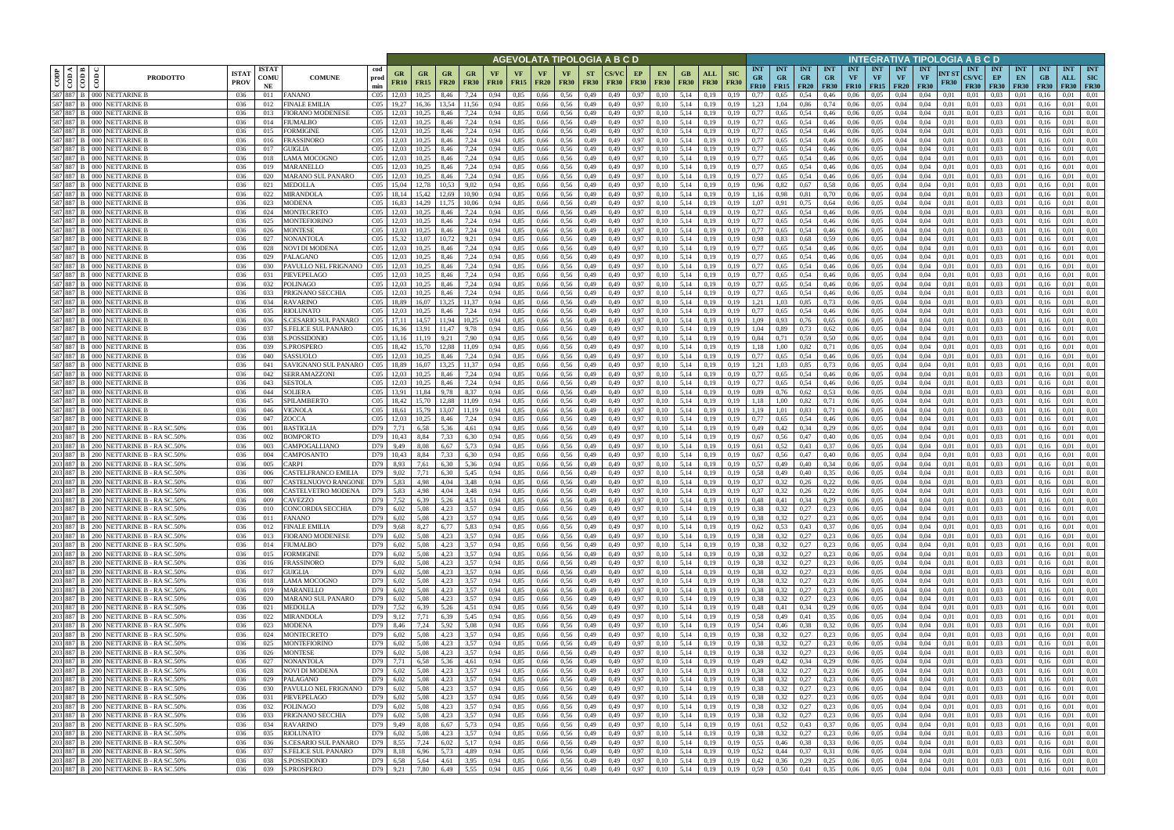|               |                       |                                                                                                                                                                                               |                                             |            |                                             |                                    |                      |                   |                                      |                                  |                   |              |                          |                          |                          | AGEVOLATA TIPOLOGIA A B C D            |              |                                                                                                                                                          |                   |                           |                           |                                 |                                            |                                                      |                                 |                         |                                            |                                 | INTEGRATIVA TIPOLOGIA A B C D                          |                      |                                    |                                   |                                 |                     |                                       |                                |
|---------------|-----------------------|-----------------------------------------------------------------------------------------------------------------------------------------------------------------------------------------------|---------------------------------------------|------------|---------------------------------------------|------------------------------------|----------------------|-------------------|--------------------------------------|----------------------------------|-------------------|--------------|--------------------------|--------------------------|--------------------------|----------------------------------------|--------------|----------------------------------------------------------------------------------------------------------------------------------------------------------|-------------------|---------------------------|---------------------------|---------------------------------|--------------------------------------------|------------------------------------------------------|---------------------------------|-------------------------|--------------------------------------------|---------------------------------|--------------------------------------------------------|----------------------|------------------------------------|-----------------------------------|---------------------------------|---------------------|---------------------------------------|--------------------------------|
| $_{\rm{COP}}$ | $\frac{1}{100}$<br>ම් | <b>PRODOTTO</b>                                                                                                                                                                               | <b>ISTAT</b><br><b>ISTAT</b><br><b>PROV</b> | COMU<br>NE | <b>COMUNE</b>                               | cod<br>prod<br>min                 | GR<br><b>FR10</b>    | GR<br><b>FR15</b> | GR<br><b>FR20</b>                    | <b>GR</b><br><b>FR30</b>         | VF<br><b>FR10</b> | VF<br>FR15   | <b>VF</b><br><b>FR20</b> | <b>VF</b><br><b>FR30</b> | <b>ST</b><br><b>FR30</b> | <b>FR30</b>                            | EP           | <b>EN</b><br><b>FR30</b><br><b>FR30</b>                                                                                                                  | GB<br><b>FR30</b> | <b>ALL</b><br><b>FR30</b> | <b>SIC</b><br><b>FR30</b> | <b>INT</b><br><b>GR</b><br>FR10 | <b>INT</b><br><b>GR</b><br>$FR15$   $FR20$ | <b>INT</b><br><b>GR</b>                              | <b>INT</b><br>GR<br><b>FR30</b> | <b>INT</b><br><b>VF</b> | <b>INT</b><br><b>VF</b><br>$FR10$   $FR15$ | <b>INT</b><br>VF<br><b>FR20</b> | <b>INT</b><br><b>VF</b><br><b>FR30</b>                 | NT ST<br><b>FR30</b> | <b>INT</b><br>CS/VC<br><b>FR30</b> | <b>INT</b><br>EP<br><b>FR30</b>   | <b>INT</b><br>EN<br><b>FR30</b> | <b>INT</b><br>F R30 | <b>INT</b><br>ALL<br><b>FR30 FR30</b> | <b>INT</b><br><b>SIC</b>       |
|               |                       | 587 887 B 000 NETTARINE B<br>587 887 B 000 NETTARINE B                                                                                                                                        | 036<br>011<br>036<br>012                    |            | FANANO<br><b>FINALE EMILIA</b>              | C <sub>05</sub><br>C <sub>05</sub> |                      | 10,25<br>16.36    | 8,46<br>13.54                        | 7,24<br>1.56                     | 0.94<br>0,94      | 0,85<br>0,85 | 0,66<br>0,66             | 0.56<br>0,56             | 0,49<br>0,49             | 0,49<br>0,49                           | 0,97<br>0,97 | 0,10<br>0,10                                                                                                                                             | 5,14<br>5,14      | 0.19<br>0,19              | 0.19<br>0,19              | 0.77<br>1,23                    | 0.65                                       | 0,54<br>0,86                                         | 0.46<br>0,74                    | 0.06<br>0,06            | 0.05<br>0,05                               | 0.04<br>0,04                    | 0.04<br>0.04                                           | 0.01<br>0.01         | 0.01<br>0,01                       | 0.03<br>0.03                      | 0.01                            | 0.16                | 0.01<br>0.01                          | 0.01<br>0.01                   |
|               |                       | 587 887 B 000 NETTARINE B                                                                                                                                                                     | 036<br>013                                  |            | FIORANO MODENESE                            | C <sub>05</sub>                    |                      |                   | 8.46                                 | 7,24                             | 0,94              | 0,85         | 0,66                     | 0,56                     | 0,49                     | 0.49                                   | 0,97         | 0,10                                                                                                                                                     | 5,14              | 0.19                      | 0,19                      | 0,77                            | 0,65                                       | 0,54                                                 | 0,46                            | 0,06                    | 0.05                                       | 0.04                            | 0.04                                                   | 0.01                 | 0.01                               | 0.03                              |                                 |                     | 0.01                                  | 0.01                           |
|               |                       | 587 887 B 000 NETTARINE B                                                                                                                                                                     | 036<br>014                                  |            | FIUMALBO                                    | CO <sub>5</sub>                    |                      | 10.25             | 8.46                                 | 7,24                             | 0.94              | 0,85         | 0,66                     | 0,56                     | 0,49                     | 0,49                                   | 0,97         | 0,10                                                                                                                                                     | 5,14              | 0,19                      | 0,19                      | 0,77                            | 0.65                                       | 0,54                                                 | 0,46                            | 0,06                    | 0.05                                       | 0,04                            | 0,04                                                   | 0,01                 | 0,01                               | 0.03                              | 0,01                            | 0.16                | 0.01                                  | 0.01                           |
|               |                       | 587 887 B 000 NETTARINE B<br>587 887 B 000 NETTARINE B                                                                                                                                        | 036<br>015                                  |            | FORMIGINE                                   | CO <sub>5</sub>                    |                      | 10.25             | 8.46                                 | 7,24                             | 0.94              | 0,85         | 0,66                     | 0.56                     | 0,49                     | 0.49                                   | 0,97         | 0.10                                                                                                                                                     | 5,14              | 0.19                      | 0,19                      | 0,77                            | 0.65                                       | 0,54                                                 | 0,46                            | 0,06                    | 0.05                                       | 0,04                            | 0.04                                                   | 0.01                 | 0,01                               | 0.03                              | 0.01                            |                     | 0.01                                  | 0.01                           |
| 587 887       |                       | 000 NETTARINE B                                                                                                                                                                               | 036<br>016<br>036<br>017                    |            | FRASSINORO<br>GUIGLIA                       | CO <sub>5</sub><br>CO <sub>5</sub> |                      | 10,25             | 8,46<br>8.46                         | 7,24<br>7,24                     | 0,94<br>0.94      | 0,85<br>0.85 | 0,66<br>0.66             | 0,56<br>0.56             | 0,49<br>0,49             | 0,49<br>0.49                           | 0,97<br>0,97 | 0,10<br>0.10                                                                                                                                             | 5,14<br>5.14      | 0,19<br>0.19              | 0,19                      | 0,77<br>0.77                    | 0.65<br>0.65                               | 0,54<br>0,54                                         | 0,46<br>0,46                    | 0,06<br>0.06            | 0,05<br>0.05                               | 0,04<br>0.04                    | 0,04<br>0.04                                           | 0,01<br>0.01         | 0,01<br>0.01                       | 0,03<br>0.03                      | 0,01<br>0.01                    | 0.16                | 0,01<br>0.01                          | 0,01<br>0.01                   |
|               |                       | 587 887 B 000 NETTARINE B                                                                                                                                                                     | 036<br>018                                  |            | <b>AMA MOCOGNO</b>                          | CO <sub>5</sub>                    |                      | 10.25             | 8.46                                 | 7,24                             | 0.94              | 0,85         | 0,66                     | 0.56                     | 0,49                     | 0,49                                   | 0,97         | 0.10                                                                                                                                                     | 5.14              | 0,19                      | 0.19                      | 0.77                            | 0,65                                       | 0,54                                                 | 0,46                            | 0,06                    | 0.05                                       | 0.04                            | 0.04                                                   | 0.01                 | 0.01                               | 0.03                              | 0,01                            | 0.16                | 0.01                                  | 0.01                           |
| 587 887 B     |                       | 000 NETTARINE B                                                                                                                                                                               | 036<br>019                                  |            | MARANELLO                                   | CO <sub>5</sub>                    |                      | 10.25             | 8,46                                 | 7,24                             | 0,94              | 0,85         | 0,66                     | 0,56                     | 0,49                     | 0.49                                   | 0,97         | 0,10                                                                                                                                                     | 5.14              | 0,19                      | 0.19                      | 0,77                            | 0,65                                       | 0,54                                                 | 0,46                            | 0.06                    | 0,05                                       | 0.04                            | 0.04                                                   | 0.01                 | 0.01                               | 0.03                              | 0,01                            | 0.16                | 0.01                                  | 0,01                           |
|               |                       | 587 887 B 000 NETTARINE B<br>587 887 B 000 NETTARINE B                                                                                                                                        | 036<br>020<br>036<br>021                    |            | <b>MARANO SUL PANARO</b><br>MEDOLLA         | CO <sub>5</sub><br>CO <sub>5</sub> | 12.03<br>15.04       | 10.25             | 8.46<br>10.53                        | 7,24<br>9.02                     | 0.94<br>0.94      | 0.85<br>0.85 | 0,66<br>0.66             | 0.56<br>0.56             | 0,49<br>0,49             | 0,49<br>0.49                           | 0,97<br>0,97 | 0,10                                                                                                                                                     | 5.14<br>5.14      | 0.19<br>0.19              | 0.19<br>0.19              | 0.77<br>0,96                    | 0.65<br>0.82                               | 0,54<br>0.67                                         | 0,46<br>0.58                    | 0.06<br>0.06            | 0.05<br>0.05                               | 0.04<br>0.04                    | 0.04<br>0.04                                           | 0.01<br>0.01         | 0.01<br>0.01                       | 0.03<br>0.03                      | 0.01<br>0.01                    | 0.16<br>0.16        | 0.01<br>0.01                          | 0.01<br>0.01                   |
|               |                       | 587 887 B 000 NETTARINE E                                                                                                                                                                     | 036<br>022                                  |            | MIRANDOLA                                   | CO <sub>5</sub>                    | 18,14                | 15,42             | 12,69                                | 10,90                            | 0,94              | 0,85         | 0,66                     | 0,56                     | 0,49                     | 0,49                                   | 0,97         | 0,10<br>0,10                                                                                                                                             | 5,14              | 0,19                      | 0,19                      | 1.16                            | 0,98                                       | 0,81                                                 | 0,70                            | 0,06                    | 0,05                                       | 0,04                            | 0,04                                                   | 0,01                 | 0,01                               | 0.03                              | 0,01                            | 0,16                | 0.01                                  | 0,01                           |
|               |                       | 587 887 B 000 NETTARINE E                                                                                                                                                                     | 036<br>023                                  |            | <b>MODENA</b>                               | CO <sub>5</sub>                    | 16,83                | 14,29             | 11.75                                | 10,06                            | 0,94              | 0,85         | 0,66                     | 0,56                     | 0,49                     | 0,49                                   | 0,97         | 0,10                                                                                                                                                     | 5,14              | 0,19                      | 0.19                      | 1,07                            | 0.91                                       | 0,75                                                 | 0,64                            | 0,06                    | 0,05                                       | 0,04                            | 0,04                                                   | 0.01                 | 0,01                               | 0.03                              | 0,01                            | 0.16                | 0,01                                  | 0,01                           |
|               |                       | 587 887 B 000 NETTARINE E                                                                                                                                                                     | 036<br>024                                  |            | MONTECRETO                                  | CO <sub>5</sub>                    | 12,03                | 10,25             | 8,46                                 | 7,24                             | 0,94              | 0,85         | 0,66                     | 0,56                     | 0,49                     | 0,49                                   | 0,97         | 0,10                                                                                                                                                     | 5,14              | 0.19                      | 0,19                      | 0,77                            | 0.65                                       | 0,54                                                 | 0,46                            | 0,06                    | 0,05                                       | 0,04                            | 0,04                                                   | 0,01                 | 0,01                               | 0.03                              | 0,01                            | 0.16                | 0.01                                  | 0,01                           |
|               |                       | 587 887 B 000 NETTARINE E<br>587 887 B 000 NETTARINE E                                                                                                                                        | 036<br>025<br>036<br>026                    |            | MONTEFIORINO<br>MONTESE                     | CO <sub>5</sub><br>CO <sub>5</sub> | 12,03<br>12.03       | 10,25<br>10.25    | 8,46<br>8,46                         | 7,24<br>7,24                     | 0,94<br>0.94      | 0,85<br>0,85 | 0,66<br>0,66             | 0,56<br>0.56             | 0,49<br>0,49             | 0,49<br>0.49                           | 0,97<br>0,97 | 0,10<br>0.10                                                                                                                                             | 5,14<br>5,14      | 0,19<br>0.19              | 0,19<br>0.19              | 0,77<br>0,77                    | 0,65<br>0.65                               | 0,54<br>0,54                                         | 0,46<br>0,46                    | 0,06<br>0,06            | 0,05<br>0,05                               | 0,04<br>0,04                    | 0,04<br>0.04                                           | 0,01<br>0.01         | 0,01<br>0.01                       | 0.03<br>0.03                      | 0,01<br>0,01                    | 0,16<br>0.16        | 0,01<br>0.01                          | 0,01<br>0.01                   |
|               |                       | 587 887 B 000 NETTARINE B                                                                                                                                                                     | 036<br>027                                  |            | NONANTOLA                                   | CO <sub>5</sub>                    | 15.32                | 13.07             | 10.72                                | 9,21                             | 0.94              | 0,85         | 0,66                     | 0.56                     | 0,49                     | 0.49                                   | 0,97         | 0.10                                                                                                                                                     | 5,14              | 0,19                      | 0.19                      | 0,98                            | 0,83                                       | 0,68                                                 | 0.59                            | 0,06                    | 0,05                                       | 0,04                            | 0.04                                                   | 0.01                 | 0.01                               | 0.03                              | 0,01                            | 0.16                | 0,01                                  | 0.01                           |
|               |                       | 587 887 B 000 NETTARINE B                                                                                                                                                                     | 036<br>028                                  |            | NOVI DI MODENA                              | CO <sub>5</sub>                    | 12.03                | 10.25             | 8,46                                 | 7,24                             | 0,94              | 0,85         | 0,66                     | 0,56                     | 0,49                     | 0,49                                   | 0,97         | 0,10                                                                                                                                                     | 5,14              | 0,19                      | 0,19                      | 0,77                            | 0.65                                       | 0,54                                                 | 0,46                            | 0,06                    | 0,05                                       | 0,04                            | 0,04                                                   | 0,01                 | 0,01                               | 0,03                              | 0,01                            | 0.16                | 0,01                                  | 0,01                           |
|               |                       | 587 887 B 000 NETTARINE B                                                                                                                                                                     | 036<br>029                                  |            | PALAGANO                                    | CO <sub>5</sub>                    | 12.03                | 10.25             | 8.46                                 | 7,24                             | 0.94              | 0,85         | 0,66                     | 0.56                     | 0,49                     | 0.49                                   | 0,97         | 0,10                                                                                                                                                     | 5.14              | 0.19                      | 0.19                      | 0,77                            | 0.65                                       | 0,54                                                 | 0,46                            | 0,06                    | 0.05                                       | 0.04                            | 0.04                                                   | 0.01                 | 0.01                               | 0.03                              | 0.01                            | 0.16                | 0.01                                  | 0.01                           |
|               |                       | 587 887 B 000 NETTARINE B<br>587 887 B 000 NETTARINE E                                                                                                                                        | 036<br>030<br>036                           |            | PAVULLO NEL FRIGNANO<br>PIEVEPELAGO         | CO <sub>5</sub><br>CO <sub>5</sub> | 12.03<br>12,03       | 10.25<br>10,25    | 8.46<br>8,46                         | 7,24<br>7,24                     | 0.94              | 0,85<br>0,85 | 0,66<br>0,66             | 0.56<br>0,56             | 0,49                     | 0.49<br>0,49                           | 0,97<br>0,97 | 0.10<br>0,10                                                                                                                                             | 5,14<br>5,14      | 0.19<br>0,19              | 0.19                      | 0,77<br>0,77                    | 0.65<br>0.65                               | 0,54<br>0,54                                         | 0,46                            | 0.06<br>0,06            | 0.05<br>0,05                               | 0.04<br>0,04                    | 0.04<br>0,04                                           | 0.01<br>0,01         | 0.01<br>0,01                       | 0.03<br>0,03                      | 0.01<br>0,01                    | 0.16<br>0.16        | 0.01<br>0,01                          | 0.01<br>0.01                   |
|               |                       | 587 887 B 000 NETTARINE E                                                                                                                                                                     | 031<br>036<br>032                           |            | POLINAGO                                    | CO <sub>5</sub>                    |                      | 10.25             | 8.46                                 | 7,24                             | 0,94<br>0.94      | 0,85         | 0.66                     | 0.56                     | 0,49<br>0,49             | 0.49                                   | 0,97         | 0.10                                                                                                                                                     | 5.14              | 0.19                      | 0,19<br>0.19              | 0,77                            | 0.65                                       | 0,54                                                 | 0,46<br>0,46                    | 0.06                    | 0.05                                       | 0.04                            | 0.04                                                   | 0.01                 | 0.01                               | 0.03                              | 0.01                            |                     | 0.01                                  | 0.01                           |
|               |                       | 587 887 B 000 NETTARINE B                                                                                                                                                                     | 036<br>033                                  |            | PRIGNANO SECCHIA                            | CO <sub>5</sub>                    |                      | 10.25             | 8.46                                 | 7,24                             | 0.94              | 0,85         | 0,66                     | 0.56                     | 0,49                     | 0.49                                   | 0,97         | 0.10                                                                                                                                                     | 5.14              | 0.19                      |                           | 0,77                            | 0.65                                       | 0,54                                                 | 0,46                            | 0.06                    | 0.05                                       | 0.04                            | 0,04                                                   | 0.01                 | 0.01                               | 0,03                              | 0.01                            |                     | 0,01                                  | 0.01                           |
|               |                       | 587 887 B 000 NETTARINE B                                                                                                                                                                     | 036<br>034                                  |            | RAVARINO                                    | CO <sub>5</sub>                    |                      | 16.07             | 13.25                                | 11.37                            | 0.94              | 0,85         | 0.66                     | 0.56                     | 0,49                     | 0.49                                   | 0,97         | 0,10                                                                                                                                                     | 5,14              | 0.19                      | 0.19                      | 1,21                            |                                            | 0,85                                                 | 0,73                            | 0.06                    | 0.05                                       | 0.04                            | 0.04                                                   | 0.01                 | 0.01                               | 0.03                              | 0.01                            |                     | 0.01                                  | 0.01                           |
|               |                       | 587 887 B 000 NETTARINE B<br>587 887 B 000 NETTARINE B                                                                                                                                        | 036<br>035<br>036                           |            | RIOLUNATO                                   | CO <sub>5</sub><br>CO <sub>5</sub> | 12.03                | 10,25<br>14.57    | 8.46                                 | 7,24<br>10.25                    | 0.94              | 0,85<br>0,85 | 0,66                     | 0,56<br>0.56             | 0,49                     | 0,49<br>0.49                           | 0,97<br>0.97 | 0,10                                                                                                                                                     | 5,14              | 0,19<br>0.19              | 0,19<br>0.19              | 0,77<br>1.09                    | 0.65<br>0.93                               | 0,54                                                 | 0,46                            | 0,06<br>0.06            | 0,05<br>0.05                               | 0,04<br>0.04                    | 0.04<br>0.04                                           | 0,01<br>0.01         | 0,01<br>0.01                       | 0.03<br>0.03                      | 0.01<br>0.01                    | 0.16                | 0,01<br>0.01                          | 0.01<br>0.01                   |
|               |                       | 587 887 B 000 NETTARINE B                                                                                                                                                                     | 036<br>036<br>037                           |            | S.CESARIO SUL PANARO<br>S.FELICE SUL PANARO | CO <sub>5</sub>                    |                      |                   | 11.94                                | 9.78                             | 0.94<br>0,94      | 0,85         | 0,66<br>0,66             | 0,56                     | 0,49<br>0,49             | 0,49                                   | 0,97         | 0.10<br>0,10                                                                                                                                             | 5,14<br>5,14      | 0,19                      | 0,19                      | 1,04                            | 0.89                                       | 0,76<br>0,73                                         | 0.65<br>0,62                    | 0,06                    | 0,05                                       | 0,04                            | 0,04                                                   | 0,01                 | 0.01                               | 0,03                              | 0.01                            |                     | 0.01                                  | 0,01                           |
| 587 887       |                       | <b>B</b> 000 NETTARINE E                                                                                                                                                                      | 036<br>038                                  |            | <b>S.POSSIDONIC</b>                         | CO <sub>5</sub>                    |                      |                   | 9.21                                 | 7.90                             | 0.94              | 0,85         | 0.66                     | 0.56                     | 0,49                     | 0.49                                   | 0.97         | 0.10                                                                                                                                                     | 5.14              | 0.19                      | 0.19                      | 0,84                            |                                            | 0,59                                                 | 0,50                            | 0.06                    | 0.05                                       | 0.04                            | 0.04                                                   | 0.01                 | 0.01                               | 0.03                              | 0.01                            |                     | 0.01                                  | 0.01                           |
|               |                       | 587 887 B 000 NETTARINE E                                                                                                                                                                     | 036<br>039                                  |            | <b>S.PROSPERO</b>                           | C <sub>05</sub>                    |                      |                   | 12.88                                | 11,09                            | 0.94              | 0,85         | 0,66                     | 0.56                     | 0,49                     | 0,49                                   | 0,97         | 0.10                                                                                                                                                     | 5,14              | 0,19                      | 0,19                      | 1.18                            | .00                                        | 0,82                                                 | 0,71                            | 0,06                    | 0.05                                       | 0,04                            | 0.04                                                   | 0,01                 | 0,01                               | 0.03                              | 0.01                            | 0.16                | 0.01                                  | 0.01                           |
|               |                       | 587 887 B 000 NETTARINE B<br>587 887 B 000 NETTARINE B                                                                                                                                        | 036<br>040                                  |            | SASSUOLO                                    | CO <sub>5</sub>                    |                      | 10.25             | 8,46<br>13.25                        | 7,24<br>11.37                    | 0.94              | 0,85<br>0.85 | 0,66                     | 0,56<br>0.56             | 0,49                     | 0,49                                   | 0,97         | 0,10                                                                                                                                                     | 5,14<br>5.14      | 0,19                      | 0,19                      | 0,77<br>1.21                    | 0,65                                       | 0,54                                                 | 0,46                            | 0,06                    | 0,05<br>0.05                               | 0,04                            | 0.04                                                   | 0.01                 | 0,01                               | 0.03<br>0.03                      | 0,01                            |                     | 0.01<br>0.01                          | 0,01<br>0.01                   |
| 587 887 B     |                       | 000 NETTARINE B                                                                                                                                                                               | 036<br>041<br>036<br>042                    |            | SAVIGNANO SUL PANARO<br><b>SERRAMAZZONI</b> | CO <sub>5</sub><br>CO <sub>5</sub> | 18.89                | 16.07<br>10.25    | 8.46                                 | 7,24                             | 0.94<br>0.94      | 0.85         | 0,66<br>0.66             | 0.56                     | 0,49<br>0,49             | 0,49<br>0.49                           | 0,97<br>0,97 | 0.10<br>0.10                                                                                                                                             | 5.14              | 0.19<br>0.19              | 0.19<br>0.19              | 0,77                            | 03<br>0.65                                 | 0,85<br>0,54                                         | 0.73<br>0,46                    | 0,06<br>0.06            | 0.05                                       | 0.04<br>0.04                    | 0.04<br>0.04                                           | 0.01<br>0.01         | 0.01<br>0.01                       | 0.03                              | 0,01<br>0.01                    | 0.16                | 0.01                                  | 0.01                           |
|               |                       | 587 887 B 000 NETTARINE B                                                                                                                                                                     | 036<br>043                                  |            | <b>SESTOLA</b>                              | CO <sub>5</sub>                    |                      | 10,25             | 8,46                                 | 7,24                             | 0,94              | 0,85         | 0,66                     | 0,56                     | 0,49                     | 0,49                                   | 0,97         | 0,10                                                                                                                                                     | 5,14              | 0,19                      | 0.19                      | 0,77                            | 0,65                                       | 0,54                                                 | 0,46                            | 0,06                    | 0,05                                       | 0,04                            | 0.04                                                   | 0.01                 | 0.01                               | 0.03                              | 0,01                            | 0.16                | 0.01                                  | 0,01                           |
|               |                       | 587 887 B 000 NETTARINE B                                                                                                                                                                     | 036<br>044                                  |            | SOLIERA                                     | CO <sub>5</sub>                    | 13.91                | 11.84             | 9.78                                 | 8,37                             | 0.94              | 0.85         | 0.66                     | 0.56                     | 0,49                     | 0.49                                   | 0,97         | 0,10                                                                                                                                                     | 5.14              | 0.19                      | 0.19                      | 0,89                            | 0.76                                       | 0,62                                                 | 0.53                            | 0.06                    | 0.05                                       | 0.04                            | 0.04                                                   | 0.01                 | 0.01                               | 0.03                              | 0.01                            | 0.16                | 0.01                                  | 0.01                           |
|               |                       | 587 887 B 000 NETTARINE B<br>587 887 B 000 NETTARINE B                                                                                                                                        | 036<br>045<br>046                           |            | SPILAMBERTO                                 | CO <sub>5</sub><br>CO <sub>5</sub> | 18,42                | 15.70             | 12,88                                | 11.09                            | 0.94              | 0.85         | 0,66                     | 0.56                     | 0,49                     | 0,49                                   | 0,97         | 0,10                                                                                                                                                     | 5.14              | 0,19                      | 0.19                      | 1.18                            | 1.00                                       | 0,82                                                 | 0,71                            | 0,06                    | 0.05                                       | 0.04                            | 0.04                                                   | 0.01<br>0.01         | 0.01                               | 0.03                              | 0,01                            | 0.16                | 0.01                                  | 0.01                           |
|               |                       | 587 887 B 000 NETTARINE E                                                                                                                                                                     | 036<br>036<br>047                           |            | VIGNOLA<br>ZOCCA                            | CO <sub>5</sub>                    | 18,61<br>12.03       | 15,79<br>10,25    | 13,07<br>8,46                        | 11,19<br>7,24                    | 0,94<br>0,94      | 0,85<br>0,85 | 0,66<br>0,66             | 0,56<br>0,56             | 0,49<br>0,49             | 0,49<br>0,49                           | 0,97<br>0,97 | 0,10<br>0,10                                                                                                                                             | 5,14<br>5,14      | 0,19<br>0.19              | 0,19<br>0,19              | 1,19<br>0,77                    | 1,01<br>0,65                               | 0,83<br>0,54                                         | 0,71<br>0,46                    | 0,06<br>0,06            | 0,05<br>0,05                               | 0,04<br>0,04                    | 0.04<br>0.04                                           | 0,01                 | 0,01<br>0,01                       | 0.03<br>0.03                      | 0,01<br>0,01                    | 0,16<br>0.16        | 0.01<br>0.01                          | 0,01<br>0,01                   |
| 203 887 B     |                       | 200 NETTARINE B - RA SC.50%                                                                                                                                                                   | 036<br>001                                  |            | BASTIGLIA                                   | D79                                | 7,71                 | 6.58              | 5,36                                 | 4,61                             | 0,94              | 0,85         | 0,66                     | 0,56                     | 0,49                     | 0,49                                   | 0,97         | 0,10                                                                                                                                                     | 5,14              | 0,19                      | 0.19                      | 0,49                            | 0,42                                       | 0,34                                                 | 0,29                            | 0,06                    | 0,05                                       | 0,04                            | 0.04                                                   | 0.01                 | 0,01                               | 0.03                              | 0,01                            | 0.16                | 0,01                                  | 0,01                           |
|               |                       | 203 887 B 200 NETTARINE B - RA SC.50%                                                                                                                                                         | 036<br>002                                  |            | 3OMPORTO                                    | D79                                | 10,43                | 8,84              | 7,33                                 | 6,30                             | 0,94              | 0,85         | 0,66                     | 0,56                     | 0,49                     | 0,49                                   | 0,97         | 0,10                                                                                                                                                     | 5,14              | 0,19                      | 0,19                      | 0,67                            | 0,56                                       | 0,47                                                 | 0,40                            | 0,06                    | 0,05                                       | 0,04                            | 0,04                                                   | 0,01                 | 0,01                               | 0,03                              | 0,01                            | 0,16                | 0,01                                  | 0,01                           |
|               |                       | 203 887 B 200 NETTARINE B - RA SC.50%<br>203 887 B 200 NETTARINE B - RA SC.50%                                                                                                                | 036<br>003<br>004                           |            | CAMPOGALLIANO<br>CAMPOSANTO                 | D79<br>D79                         | 9,49                 | 8,08<br>8,84      | 6,67<br>7.33                         | 5,73<br>6,30                     | 0.94              | 0,85<br>0,85 | 0,66                     | 0.56                     | 0,49<br>0,49             | 0.49                                   | 0,97         | 0,10                                                                                                                                                     | 5,14<br>5,14      | 0,19                      | 0.19                      | 0,61<br>0,67                    | 0.52                                       | 0,43                                                 | 0.37                            | 0,06                    | 0,05                                       | 0,04                            | 0,04                                                   | 0.01                 | 0,01                               | 0.03                              | 0,01                            | 0.16<br>0.16        | 0,01<br>0,01                          | 0.01<br>0,01                   |
|               |                       | 203 887 B 200 NETTARINE B - RA SC.50%                                                                                                                                                         | 036<br>036<br>005                           |            | CARPI                                       | D79                                | 10,43<br>8,93        | 7,61              | 6,30                                 | 5,36                             | 0,94<br>0,94      | 0,85         | 0,66<br>0,66             | 0,56<br>0,56             | 0,49                     | 0,49<br>0,49                           | 0,97<br>0,97 | 0,10<br>0,10                                                                                                                                             | 5,14              | 0,19<br>0,19              | 0,19<br>0,19              | 0,57                            | 0,56<br>0,49                               | 0,47<br>0,40                                         | 0,40<br>0.34                    | 0,06<br>0,06            | 0,05<br>0,05                               | 0,04<br>0,04                    | 0,04<br>0,04                                           | 0,01<br>0,01         | 0,01<br>0,01                       | 0,03<br>0,03                      | 0,01<br>0,01                    | 0.16                | 0,01                                  | 0.01                           |
|               |                       | 203 887 B   200 NETTARINE B - RA SC.50%                                                                                                                                                       | 036<br>006                                  |            | CASTELFRANCO EMILIA                         | D79                                | 9.02                 | 7.71              | 6.30                                 | 5.45                             | 0.94              | 0.85         | 0,66                     | 0.56                     | 0,49                     | 0.49                                   | 0,97         | 0.10                                                                                                                                                     | 5.14              | 0.19                      | 0.19                      | 0.58                            | 0.49                                       | 0,40                                                 | 0.35                            | 0.06                    | 0.05                                       | 0.04                            | 0.04                                                   | 0.01                 | 0.01                               | 0.03                              | 0.01                            | 0.16                | 0.01                                  | 0.01                           |
|               |                       | 203 887 B 200 NETTARINE B - RA SC.50%                                                                                                                                                         | 036<br>007                                  |            | CASTELNUOVO RANGONE                         | D79                                | 5,83                 | 4,98              | 4.04                                 | 3,48                             | 0,94              | 0,85         | 0,66                     | 0,56                     | 0,49                     | 0,49                                   | 0,97         | 0,10                                                                                                                                                     | 5,14              | 0,19                      | 0,19                      | 0,37                            | 0,32                                       | 0,26                                                 | 0,22                            | 0,06                    | 0,05                                       | 0.04                            | 0.04                                                   | 0,01                 | 0.01                               | 0.03                              | 0,01                            | 0.16                | 0,01                                  | 0,01                           |
|               |                       | 203 887 B 200 NETTARINE B - RA SC.50%<br>203 887 B 200 NETTARINE B - RA SC.50%                                                                                                                | 036<br>008<br>036<br>009                    |            | CASTELVETRO MODENA<br>CAVEZZO               | D79<br>D79 7,52                    | 5,83                 | 4,98<br>6,39      | 4.04<br>5,26                         | 3,48<br>4,51                     | 0.94<br>0,94      | 0.85<br>0,85 | 0,66<br>0,66             | 0,56<br>0,56             | 0,49<br>0,49             | 0.49<br>0,49                           | 0,97         | 0.10<br>0,10<br>0,97                                                                                                                                     | 5.14              | 0,19<br>5,14 0,19         | 0,19<br>0,19              | 0.37<br>0,48                    | 0,32<br>0,41                               | 0,26<br>0,34                                         | 0,22<br>0,29                    | 0.06<br>0,06            | 0.05<br>0,05                               | 0.04<br>0,04                    | 0.04<br>0,04                                           | 0.01<br>0,01         | 0.01<br>0,01                       | 0.03<br>$0.03 \qquad 0.01$        | 0.01                            | 0.16<br>0,16        | 0.01<br>0,01                          | 0.01<br>0,01                   |
|               |                       | 203 887 B 200 NETTARINE B - RA SC.50%                                                                                                                                                         | 036<br>010                                  |            | <b>CONCORDIA SECCHIA</b>                    | D79                                | 6,02                 | 5,08              | 4,23                                 | 3,57                             | 0,94              | 0,85         |                          | $0,66$ 0.56              | 0,49                     | 0,49                                   |              | 0,97<br>0,10                                                                                                                                             | 5,14              | 0,19                      | 0,19                      | 0.38                            | 0,32                                       | 0,27                                                 | 0,23                            | 0,06                    | 0,05                                       | 0,04                            | 0,04                                                   | 0,01                 | 0,01                               | 0,03                              | 0,01                            | 0,16                | 0,01                                  | 0.01                           |
|               |                       | 203 887 B 200 NETTARINE B - RA SC.50%                                                                                                                                                         | 036<br>011                                  |            | FANANO                                      |                                    | D79 6,02             | 5,08              | 4,23                                 | 3,57                             | 0,94              | 0,85         |                          | $0,66$ 0.56              | 0,49                     | 0,49                                   |              | 0,97<br>0,10                                                                                                                                             |                   | $5,14$ 0,19               | 0,19                      | 0,38                            | 0,32                                       | 0,27                                                 | 0,23                            | 0,06                    | 0,05                                       | 0,04                            | 0,04                                                   | 0,01                 | 0,01                               | $0,03$ $0,01$                     |                                 | 0,16                | 0,01                                  | 0,01                           |
|               |                       | 203 887 B 200 NETTARINE B - RA SC.50%                                                                                                                                                         | 036                                         | 012        | <b>FINALE EMILIA</b>                        |                                    | D79 9,68             | 8,27              | 6,77                                 | 5,83 0,94                        |                   | 0,85         |                          | 0,66 0,56                | 0,49                     | 0,49                                   |              | 0,97<br>0,10                                                                                                                                             |                   | $5,14$ 0,19               | 0,19                      | 0,62                            |                                            | $0,53$ 0.43 0.37                                     |                                 |                         | $0.06\qquad 0.05$                          | 0,04                            | 0,04                                                   | 0,01                 | 0.01                               | $0.03 \qquad 0.01$                |                                 | 0,16                | 0,01                                  | 0,01                           |
|               |                       | 203 887 B 200 NETTARINE B - RA SC.50%<br>203 887 B 200 NETTARINE B - RA SC.50%                                                                                                                | 036<br>013<br>036<br>014                    |            | FIORANO MODENESE<br><b>FIUMALBO</b>         | D79                                | D79 6,02<br>6,02     | 5,08<br>5,08      | 4,23<br>4,23                         | 3,57<br>3,57                     | 0,94<br>0,94      | 0,85<br>0,85 |                          | 0,66 0,56<br>0,66 0,56   | 0,49<br>0,49             | 0,49<br>0,49                           | 0,97         | 0,10<br>0,97<br>0,10                                                                                                                                     |                   | 5,14 0,19<br>5,14 0,19    | 0,19<br>0,19              | 0,38<br>0,38                    | 0,32<br>0,32                               | 0,27<br>0,27                                         | 0,23<br>0,23                    | 0,06<br>0,06            | 0,05<br>0,05                               | 0,04<br>0,04                    | 0,04<br>0,04                                           | 0,01<br>0,01         | 0,01<br>0,01                       | $0.03 \qquad 0.01$<br>0,03        | 0,01                            | 0,16<br>0,16        | 0.01<br>0,01                          | 0,01<br>0,01                   |
|               |                       |                                                                                                                                                                                               | 036<br>015                                  |            | <b>FORMIGINE</b>                            | D79                                | 6,02                 | 5,08              | 4,23                                 | 3,57                             | 0,94              | 0,85         |                          | $0,66$ 0.56              | 0,49                     | 0,49                                   |              | 0,97<br>0,10                                                                                                                                             |                   | $5,14$ 0,19               | 0,19                      | 0,38                            | 0,32                                       | 0,27                                                 | 0,23                            | 0,06                    | 0,05                                       | 0,04                            | 0,04                                                   | 0,01                 | 0,01                               | 0,03                              | 0,01                            | 0,16                | 0.01                                  | 0,01                           |
|               |                       | 203 887 B 200 NETTARINE B - RA SC.50%<br>203 887 B 200 NETTARINE B - RA SC.50%                                                                                                                | 036<br>016                                  |            | <b>FRASSINORO</b>                           | D79                                | 6,02                 | 5,08              | 4,23                                 | 3,57                             | 0,94              | 0,85         |                          | $0,66$ 0.56              | 0,49                     | 0,49                                   |              | 0,97<br>0,10                                                                                                                                             |                   | 5,14 0,19                 | 0,19                      | 0,38                            | 0,32                                       | 0,27                                                 | 0,23                            | 0,06                    | 0,05                                       | 0,04                            | 0,04                                                   | 0,01                 | 0,01                               | 0,03                              | 0,01                            | 0,16                | 0,01                                  | 0,01                           |
|               |                       | 203 887 B 200 NETTARINE B - RA SC.50%<br>203 887 B 200 NETTARINE B - RA SC.50%                                                                                                                | 036<br>017                                  |            | <b>GUIGLIA</b>                              |                                    | D79 6,02             | 5,08              | 4,23                                 | 3,57                             | 0,94              | 0,85         |                          | 0,66 0,56                | 0,49                     | 0,49                                   |              | 0,10<br>0,97                                                                                                                                             |                   | $5,14$ 0,19               | 0,19                      | 0,38                            | 0,32                                       | 0,27                                                 | 0,23                            | 0,06                    | 0,05                                       | 0,04                            | 0,04                                                   | 0,01                 | 0,01                               | 0,03                              | 0,01                            | 0,16                | 0,01                                  | 0,01                           |
|               |                       |                                                                                                                                                                                               | 036<br>018<br>036<br>019                    |            | LAMA MOCOGNO<br>MARANELLO                   |                                    | D79 6,02<br>D79 6,02 | 5,08<br>5,08      |                                      | 4,23 3,57 0,94<br>4,23 3,57 0,94 |                   | 0,85<br>0,85 |                          | 0,66 0,56                |                          | $0,66$ 0.56 0.49 0.49<br>$0,49$ $0,49$ |              | $0,97$ 0,10 5,14 0,19<br>$0,97$ $0,10$ $5,14$ $0,19$                                                                                                     |                   |                           | 0,19                      |                                 | $0,19$ $0,38$ $0,32$ $0,27$                | $0,38$ $0,32$ $0,27$ $0,23$                          | 0,23                            |                         | $0,06$ 0.05<br>$0,06$ 0.05                 | 0,04<br>0,04                    | 0,04<br>0,04                                           | 0,01<br>0,01         | 0,01<br>0,01                       | $0,03$ $0,01$<br>$0,03$ $0,01$    |                                 | 0,16<br>0,16        |                                       | $0,01$ $0,01$<br>$0,01$ $0,01$ |
|               |                       | 203 887 B 200 NETTARINE B - RA SC.50%<br>203 887 B 200 NETTARINE B - RA SC.50%                                                                                                                | 036<br>020                                  |            | MARANO SUL PANARO                           |                                    | D79 6,02             |                   | 5,08 4,23                            | 3,57 0,94                        |                   | 0,85         |                          | $0,66$ 0.56              | 0,49                     | 0,49                                   |              | $0,97$ $0,10$                                                                                                                                            |                   | 5,14 0,19                 | 0,19                      | 0,38                            | $0,32$ $0,27$                              |                                                      | 0,23                            |                         | $0,06$ 0.05                                | 0,04                            | 0,04                                                   | 0,01                 | 0,01                               | $0,03$ $0,01$                     |                                 | 0,16                | 0.01                                  | 0,01                           |
|               |                       | 203 887 B 200 NETTARINE B - RA SC.50%                                                                                                                                                         | 036<br>021                                  |            | MEDOLLA                                     |                                    | D79 7,52             | 6,39              | 5,26                                 | 4,51                             | 0,94              | 0,85         |                          | 0,66 0,56                | 0,49                     | 0,49                                   |              | 0,97<br>0,10                                                                                                                                             |                   | $5,14$ 0,19               | 0,19                      | 0,48                            | 0,41                                       | 0,34                                                 | 0,29                            | 0,06                    | 0,05                                       | 0,04                            | 0,04                                                   | 0,01                 | 0,01                               | $0.03 \qquad 0.01$                |                                 | 0,16                | 0.01                                  | 0,01                           |
|               |                       | 203 887 B 200 NETTARINE B - RA SC.50%<br>203 887 B 200 NETTARINE B - RA SC.50%                                                                                                                | 036<br>022                                  |            | <b>MIRANDOLA</b>                            |                                    | D79 9,12             | 7,71              | 6,39                                 | 5,45 0,94                        |                   | 0,85         |                          | 0,66 0,56                | 0,49                     | 0,49                                   |              | $0,97$ $0,10$                                                                                                                                            |                   | 5,14 0,19                 | 0,19                      |                                 | $0,58$ $0,49$ $0,41$                       |                                                      | 0,35                            |                         | $0,06$ 0.05                                | 0,04                            | 0,04                                                   | 0,01                 | 0,01                               | $0,03$ 0.01                       |                                 | 0,16                | 0.01                                  | 0,01                           |
|               |                       | 203 887 B 200 NETTARINE B - RA SC.50%                                                                                                                                                         | 036<br>023<br>036<br>024                    |            | <b>MODENA</b><br><b>MONTECRETO</b>          |                                    | D79 8,46<br>D79 6,02 | 7,24<br>5,08      | 5,92<br>4,23                         | 5,08 0,94<br>3,57                | 0,94              | 0,85<br>0,85 |                          | 0,66 0,56<br>0,66 0,56   | 0,49<br>0,49             | 0,49<br>0,49                           |              | 0,97<br>0,10<br>0,97<br>0,10                                                                                                                             |                   | $5,14$ 0,19<br>5,14 0,19  | 0,19<br>0,19              | 0,54<br>0,38                    | 0,46<br>0,32                               | 0,38<br>0,27                                         | 0,32<br>0,23                    | 0,06<br>0,06            | 0,05<br>0,05                               | 0,04<br>0,04                    | 0,04<br>0,04                                           | 0,01<br>0,01         | 0,01<br>0,01                       | $0,03$ 0.01<br>$0,03$ $0,01$      |                                 | 0,16<br>0,16        | 0,01<br>0,01                          | 0,01<br>0,01                   |
|               |                       | 203 887 B 200 NETTARINE B - RA SC.50%                                                                                                                                                         | 036<br>025                                  |            | <b>MONTEFIORINO</b>                         | D79 6,02                           |                      | 5,08              | 4,23                                 | 3,57                             | 0,94              | 0,85         |                          | 0,66 0,56                | 0,49                     | 0,49                                   |              | 0,97<br>0,10                                                                                                                                             |                   | $5,14$ 0,19               | 0,19                      | 0,38                            | 0,32                                       | 0,27                                                 | 0,23                            | 0,06                    | 0,05                                       | 0,04                            | 0,04                                                   | 0,01                 | 0,01                               | $0,03$ 0.01                       |                                 | 0,16                | 0,01                                  | 0,01                           |
|               |                       | 203 887 B 200 NETTARINE B - RA SC.50%                                                                                                                                                         | 036<br>026                                  |            | <b>MONTESE</b>                              |                                    | D79 6,02             | 5,08              | 4,23                                 | 3,57                             | 0,94              | 0,85         |                          | $0,66$ 0.56              | 0,49                     | 0,49                                   |              | $0,97$ 0,10                                                                                                                                              |                   | 5,14 0,19                 | 0,19                      | 0,38                            | 0,32                                       | 0,27                                                 | 0,23                            | 0,06                    | 0,05                                       | 0,04                            | 0,04                                                   | 0,01                 | 0,01                               | $0,03$ 0.01                       |                                 | 0,16                | 0,01                                  | 0,01                           |
|               |                       | 203 887 B 200 NETTARINE B - RA SC.50%<br>203 887 B 200 NETTARINE B - RA SC.50%                                                                                                                | 036<br>027                                  |            | <b>NONANTOLA</b>                            |                                    | D79 7,71             | 6,58              | 5,36                                 | 4,61                             | 0,94              | 0,85         |                          | 0,66 0,56                | 0,49                     | 0,49                                   |              | $0,97$ 0,10                                                                                                                                              |                   | $5,14$ 0,19               | 0,19                      |                                 |                                            | $0,49$ 0.42 0.34 0.29                                |                                 |                         | $0,06$ 0.05                                | 0,04                            | 0,04                                                   | 0,01                 | 0,01                               | $0,03$ $0,01$                     |                                 | 0,16                | 0,01                                  | 0,01                           |
|               |                       | 203 887 B 200 NETTARINE B - RA SC.50%                                                                                                                                                         | 036<br>028<br>036<br>029                    |            | NOVI DI MODENA<br>PALAGANO                  | D79 6,02                           | D79 6,02             | 5,08              | 5,08 4,23 3,57 0,94                  | $4,23$ $3,57$ 0.94               |                   | 0,85<br>0,85 |                          | 0,66 0,56<br>0,66 0,56   | 0,49<br>0,49             | 0,49<br>0,49                           |              | $0,97$ $0,10$<br>$0,97$ $0,10$                                                                                                                           |                   | 5,14 0,19<br>5,14 0,19    | 0,19<br>0,19              |                                 |                                            | $0,38$ 0.32 0.27 0.23<br>$0,38$ $0,32$ $0,27$ $0,23$ |                                 |                         | $0.06\qquad 0.05$<br>$0,06$ 0.05           | 0,04<br>0,04                    | 0,04<br>0,04                                           | 0,01<br>0,01         | 0.01<br>0,01                       | $0,03$ 0.01 0.16<br>$0,03$ $0,01$ |                                 | 0,16                | 0,01<br>0,01                          | 0,01<br>0,01                   |
|               |                       | 203 887 B 200 NETTARINE B - RA SC.50%                                                                                                                                                         | 036<br>030                                  |            | PAVULLO NEL FRIGNANO                        | D79 6,02                           |                      | 5,08              |                                      | 4,23 3,57 0,94                   |                   | 0,85         |                          | 0,66 0,56                | 0,49                     | 0,49                                   |              | $0,97$ $0,10$                                                                                                                                            |                   | $5,14$ 0,19               | 0,19                      | $0,38$ $0,32$                   |                                            | $0,27$ 0.23                                          |                                 |                         | $0,06$ 0.05                                | 0,04                            | 0,04                                                   | 0,01                 | 0,01                               | $0,03$ $0,01$                     |                                 | 0,16                | 0,01                                  | 0,01                           |
|               |                       | 203 887 B 200 NETTARINE B - RA SC.50%                                                                                                                                                         | 036<br>031                                  |            | PIEVEPELAGO                                 |                                    | D79 6,02             | 5,08              | 4,23                                 | 3,57 0,94                        |                   | 0,85         |                          | 0,66 0,56                | 0,49                     | 0,49                                   |              | $0,97$ 0,10                                                                                                                                              |                   | $5,14$ 0,19               | 0,19                      | 0,38                            | 0,32                                       | $0,27$ 0.23                                          |                                 |                         | $0.06$ 0.05                                | 0,04                            | 0,04                                                   | 0,01                 | 0,01                               | $0,03$ $0,01$                     |                                 | 0,16                | 0,01                                  | 0,01                           |
|               |                       | 203 887 B 200 NETTARINE B - RA SC.50%                                                                                                                                                         | 036<br>032                                  |            | POLINAGO                                    | D79 6,02                           |                      | 5,08              | 4,23                                 | 3,57 0,94                        |                   | 0,85         |                          | 0,66 0,56                | 0,49                     | 0,49                                   |              | $0,97$ $0,10$                                                                                                                                            |                   | $5,14$ 0,19               | 0,19                      | $0,38$ $0,32$                   |                                            | $0,27$ 0,23                                          |                                 |                         | $0,06$ 0.05                                | 0,04                            | 0,04                                                   | 0,01                 | 0,01                               | $0,03$ $0,01$                     |                                 | 0,16                | 0,01                                  | 0,01                           |
|               |                       | 203 887 B 200 NETTARINE B - RA SC.50%<br>203 887 B 200 NETTARINE B - RA SC.50%                                                                                                                | 036<br>033<br>036<br>034                    |            | PRIGNANO SECCHIA<br><b>RAVARINO</b>         | D79 9,49                           | D79 6,02             | 5,08<br>8,08      | 6,67                                 | 4,23 3,57 0,94<br>5,73           | 0,94              | 0,85<br>0,85 | 0,66 0,56                | 0,66 0,56                | 0,49<br>0,49             | 0,49<br>0,49                           |              | $0,97$ 0,10<br>0,97<br>0,10                                                                                                                              |                   | $5,14$ 0,19<br>5,14 0,19  | 0,19<br>0,19              | 0,61                            | 0,52                                       | $0,38$ 0.32 0.27 0.23<br>0,43                        | 0,37                            | 0,06                    | $0,06$ 0.05<br>0,05                        | 0,04<br>0,04                    | 0,04<br>0,04                                           | 0,01<br>0,01         | 0,01<br>0,01                       | $0,03$ $0,01$<br>$0,03$ $0,01$    |                                 | 0,16<br>0,16        | 0,01<br>0,01                          | 0,01<br>0,01                   |
|               |                       | 203 887 B 200 NETTARINE B - RA SC.50%                                                                                                                                                         | 036<br>035                                  |            | RIOLUNATO                                   | D79 6,02                           |                      | 5,08              | 4,23                                 | 3,57                             | 0,94              | 0,85         |                          | $0,66$ 0.56              | 0,49                     | 0,49                                   | 0,97         | 0,10                                                                                                                                                     |                   | $5,14$ 0,19               | 0,19                      | 0,38                            | 0,32                                       | 0,27                                                 | 0,23                            | 0,06                    | 0,05                                       | 0,04                            | 0,04                                                   | 0,01                 | 0,01                               | 0,03                              | 0,01                            | 0,16                | 0,01                                  | 0,01                           |
|               |                       | 203 887 B 200 NETTARINE B - RA SC.50%                                                                                                                                                         | 036<br>036                                  |            | S.CESARIO SUL PANARO                        | D79 8,55                           |                      | 7,24              | 6,02                                 | 5,17                             | 0,94              | 0,85         |                          | $0,66$ 0.56              | 0,49                     | 0,49                                   | 0,97         | 0,10                                                                                                                                                     |                   | $5,14$ 0,19               | 0,19                      | 0,55                            | 0,46                                       | 0,38                                                 | 0,33                            | 0,06                    | 0,05                                       | 0,04                            | 0,04                                                   | 0,01                 | 0,01                               | $0,03$ 0.01                       |                                 | 0,16                | 0,01                                  | 0,01                           |
|               |                       | 203 887 B 200 NETTARINE B - RA SC.50%                                                                                                                                                         | 036<br>037                                  |            | <b>S.FELICE SUL PANARO</b>                  |                                    | D79 8,18             | 6,96              | 5,73                                 | 4,89 0,94                        |                   | 0,85         |                          | 0,66 0,56                | 0,49                     | 0,49                                   |              | 0,97<br>0,10                                                                                                                                             |                   | 5,14 0,19                 | 0,19                      | 0,52                            | 0,44                                       | 0,37                                                 | 0,31                            |                         | $0.06\qquad 0.05$                          | 0,04                            | 0,04                                                   | 0,01                 | 0,01                               | $0,03$ $0,01$                     |                                 | 0,16                | 0,01                                  | 0,01                           |
|               |                       | $\begin{array}{ l c c c c } \hline 203 & 887 & \text{B} & 200 & \text{NETIARINE B - RA SC.50\%} \\ \hline 203 & 887 & \text{B} & 200 & \text{NETIARINE B - RA SC.50\%} \\ \hline \end{array}$ | 036<br>038<br>036<br>039                    |            | S.POSSIDONIO<br><b>S.PROSPERO</b>           |                                    | D79 6,58             | 5,64              | 4,61<br>D79 9,21 7,80 6,49 5,55 0,94 | 3,95 0,94                        |                   | 0,85<br>0,85 |                          | 0,66 0,56                |                          | 0,49 0,49                              |              | $0,10$ $5,14$ $0,19$<br>0,97<br>$\begin{bmatrix} 0.66 & 0.56 & 0.49 & 0.49 & 0.97 & 0.10 & 5.14 & 0.19 & 0.19 & 0.59 & 0.50 & 0.41 & 0.35 \end{bmatrix}$ |                   |                           | 0,19                      |                                 |                                            | $0,42$ $0,36$ $0,29$ $0,25$                          |                                 |                         | $0,06$ 0.05<br>$0,06$ 0.05                 | 0,04                            | 0,04<br>$0,04$ 0.04 0.01 0.01 0.03 0.01 0.16 0.01 0.01 | 0,01                 | 0,01                               | $0,03$ $0,01$                     |                                 | 0,16                | 0,01                                  | 0,01                           |
|               |                       |                                                                                                                                                                                               |                                             |            |                                             |                                    |                      |                   |                                      |                                  |                   |              |                          |                          |                          |                                        |              |                                                                                                                                                          |                   |                           |                           |                                 |                                            |                                                      |                                 |                         |                                            |                                 |                                                        |                      |                                    |                                   |                                 |                     |                                       |                                |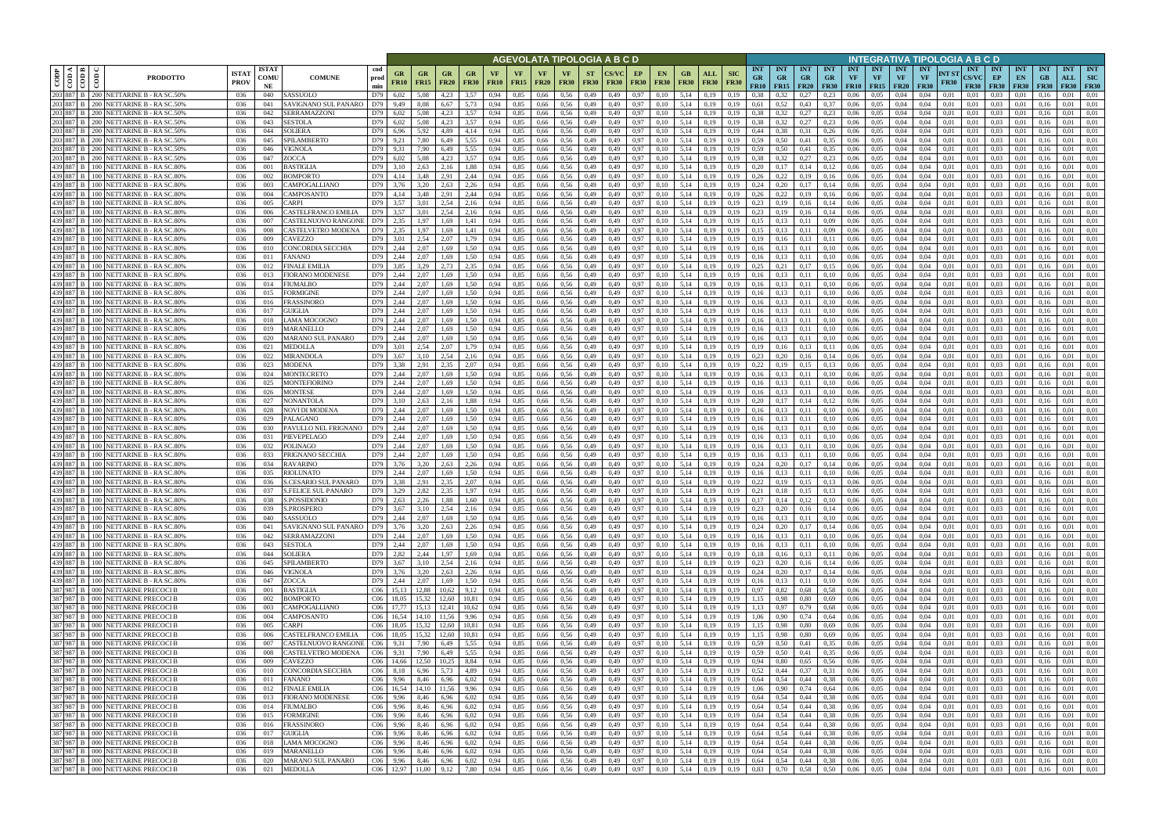|      |                            |                                                                                |                             |                            |                                                              |                                                                                    |                            |                     |                        |                   |                   |                            | AGEVOLATA TIPOLOGIA A B C D     |                          |              |                   |                              |                    |                                           |                           |                                                |                                        |                         |                                 |                                 |                                 |                                 |                                        |                      | NTEGRATIVA TIPOLOGIA A B C D                     |                                     |                                 |                                 |                                  |                                  |
|------|----------------------------|--------------------------------------------------------------------------------|-----------------------------|----------------------------|--------------------------------------------------------------|------------------------------------------------------------------------------------|----------------------------|---------------------|------------------------|-------------------|-------------------|----------------------------|---------------------------------|--------------------------|--------------|-------------------|------------------------------|--------------------|-------------------------------------------|---------------------------|------------------------------------------------|----------------------------------------|-------------------------|---------------------------------|---------------------------------|---------------------------------|---------------------------------|----------------------------------------|----------------------|--------------------------------------------------|-------------------------------------|---------------------------------|---------------------------------|----------------------------------|----------------------------------|
| CODP | <b>⊲ Im</b><br>$rac{1}{2}$ | <b>PRODOTTO</b>                                                                | <b>ISTAT</b><br><b>PROV</b> | <b>ISTAT</b><br>COMU<br>NE | cod<br><b>COMUNE</b><br>prod<br>min                          | GR<br><b>FR10</b>                                                                  | $_{\rm GR}$<br><b>FR15</b> | GR<br><b>FR20</b>   | GR<br><b>FR30</b>      | VF<br><b>FR10</b> | VF<br><b>FR15</b> | <b>VF</b><br><b>FR20</b>   | <b>VF</b><br><b>FR30</b>        | <b>ST</b><br><b>FR30</b> | FR30         | EP<br><b>FR30</b> | <b>EN</b><br><b>FR30</b>     | GB.<br><b>FR30</b> | ALL<br><b>FR30</b>                        | <b>SIC</b><br><b>FR30</b> | <b>INT</b><br><b>GR</b><br><b>FR10</b>         | <b>INT</b><br><b>GR</b><br>$FR15$ FR20 | <b>INT</b><br><b>GR</b> | <b>INT</b><br>GR<br><b>FR30</b> | <b>INT</b><br>VF<br><b>FR10</b> | <b>INT</b><br>VF<br><b>FR15</b> | <b>INT</b><br>VF<br><b>FR20</b> | <b>INT</b><br><b>VF</b><br><b>FR30</b> | NT ST<br><b>FR30</b> | <b>INT</b><br>CS/VC<br><b>FR30</b>               | <b>INT</b><br>EP<br><b>FR30</b>     | <b>INT</b><br>EN<br><b>FR30</b> | <b>INT</b><br>GB<br><b>FR30</b> | <b>INT</b><br>ALL<br><b>FR30</b> | <b>INT</b><br>SIC<br><b>FR30</b> |
| 203  | 203 887 B<br>887 B         | 200 NETTARINE B - RA SC.50%<br>200   NETTARINE B - RA SC.50%                   | 036<br>036                  | 040<br>041                 | SASSUOLO<br>D79<br>AVIGNANO SUL PANARO<br>D79                | 6,02<br>9,49                                                                       | 5.08<br>8.08               | 4.23<br>6.67        | 3.57<br>5.73           | 0.94<br>0.94      | 0,85<br>0,85      | 0,66<br>0,66               | 0.56<br>0.56                    | 0,49<br>0,49             | 0.49<br>0.49 | 0.97<br>0.97      | 0.10<br>0.10                 | 5,14<br>5,14       | 0.19<br>0,19                              | 0.19                      | 0.38<br>0,61                                   | 0.52                                   | 0.27<br>0,43            | 0.23<br>0.37                    | 0.06<br>0.06                    | 0.05<br>0.05                    | 0.04<br>0.04                    | 0.04<br>0.04                           | 0.01<br>0.01         | 0.01<br>0.01                                     | 0.03<br>0.03                        | 0.01                            | 0.16                            | 0.01                             | 0.01<br>0.01                     |
| 203  | 887                        | NETTARINE B - RA SC.50%<br>ו חסי                                               | 036                         | 042                        | SERRAMAZZONI<br>D79                                          | 6,02                                                                               |                            | 4.23                | 1,57                   | 0.94              | 0,85              | 0,66                       | 0.56                            | 0,49                     |              | 0.97              |                              | 5,14               |                                           |                           | 0.38                                           |                                        | 0,27                    | 0,23                            | 0.06                            | 0.05                            |                                 | 0.04                                   | 0.01                 | 0.01                                             | 0.03                                |                                 |                                 | 0.01                             | 0.01                             |
|      | 887 B                      | 200   NETTARINE B - RA SC.50%                                                  | 036                         | 043                        | SESTOLA<br>D79                                               | 6,02                                                                               | 5.08                       | 4.23                | 3,57                   | 0.94              | 0,85              | 0.66                       | 0.56                            | 0,49                     | 0.49         | 0.97              | 0.10                         | 5,14               | 0,19                                      | 0.19                      | 0.38                                           | 0.32                                   | 0,27                    | 0,23                            | 0,06                            | 0.05                            | 0,04                            | 0.04                                   | 0,01                 | 0,01                                             | 0.03                                | 0.01                            | 0.16                            | 0.01                             | 0.01                             |
|      | 887                        | 200 NETTARINE B - RA SC.50%                                                    | 036                         | 044                        | SOLIERA<br>D79                                               | 6.96                                                                               | 5,92                       | 4.89                | 4,14                   | 0.94              | 0.85              | 0,66                       | 0.56                            | 0,49                     | 0.49         | 0.97              | 0.10                         | 5.14               | 0.19                                      | 0.19                      | 0.44                                           | 0.38                                   | 0.31                    | 0,26                            | 0.06                            | 0.05                            | 0.04                            | 0.04                                   | 0.01                 | 0.01                                             | 0.03                                | 0.01                            |                                 | 0.01                             | 0.01                             |
|      | 203 887 B<br>203 887       | 200 NETTARINE B - RA SC.50%<br>NETTARINE B - RA SC.50%<br>200.                 | 036<br>036                  | 045<br>046                 | SPILAMBERTO<br>D79<br>VIGNOLA<br>D79                         | 9,21<br>9.31                                                                       | 7,80<br>7.90               | 6,49<br>6.49        | 5,55<br>5.55           | 0,94<br>0.94      | 0,85<br>0.85      | 0,66<br>0.66               | 0,56<br>0.56                    | 0,49<br>0.49             | 0.49         | 0,97<br>0.97      | 0.10                         | 5,14<br>5.14       | 0,19<br>0.19                              | 0.19                      | 0.59<br>0.59                                   | 0.50<br>0.50                           | 0,41<br>0.41            | 0.35<br>0.35                    | 0,06<br>0.06                    | 0,05<br>0.05                    | 0,04<br>0.04                    | 0.04<br>0.04                           | 0,01<br>0.01         | 0,01<br>0.01                                     | 0.03<br>0.03                        | 0,01<br>0.01                    | 0.16                            | 0,01<br>0.01                     | 0.01<br>0.01                     |
|      | 203 887                    | 200   NETTARINE B - RA SC.50%                                                  | 036                         | 047                        | D79<br>ZOCCA                                                 | 6.02                                                                               | 5.08                       | 4.23                | 3.57                   | 0.94              | 0.85              | 0.66                       | 0.56                            | 0.49                     |              | 0.97              | 0.10                         | 5.14               | 0.19                                      | 0.19                      | 0.38                                           | 0.32                                   | 0.27                    | 0.23                            | 0.06                            | 0.05                            | 0.04                            | 0.04                                   | 0.01                 | 0.01                                             | 0.03                                | 0.01                            | 01                              | 0.01                             | 0.01                             |
|      | 439 887                    | NETTARINE B - RA SC.80%<br>$00-$                                               | 036                         | 001                        | <b>BASTIGLIA</b><br>D79                                      | 3.10                                                                               | 2.63                       | 2.16                | 1.88                   | 0.94              | 0.85              | 0.66                       | 0.56                            | 0,49                     |              | 0.97              | 0.10                         | 5.14               | 0,19                                      | 0.19                      | 0,20                                           | 0,17                                   | 0.14                    | 0,12                            | 0.06                            | 0.05                            | 0.04                            | 0.04                                   | 0.01                 | 0.01                                             | 0.03                                | 0.01                            |                                 | 0.01                             | 0.01                             |
|      | 439 887 B                  | 100 NETTARINE B - RA SC.80%                                                    | 036                         | 002                        | D79<br>BOMPORTO                                              | 4,14                                                                               | 3.48                       | 2.91                | 2,44                   | 0.94              | 0.85              | 0.66                       | 0.56                            | 0.49                     | 0.49         | 0.97              | 0.10                         | 5.14               | 0.19                                      | 0.19                      | 0.26                                           | 0,22                                   | 0.19                    | 0.16                            | 0.06                            | 0.05                            | 0.04                            | 0.04                                   | 0.01                 | 0.01                                             | 0.03                                | 0.01                            | 0.16                            | 0.01                             | 0.01                             |
|      | 439 887 B<br>439 887 B     | 00 <sub>1</sub><br>NETTARINE B - RA SC.80%<br>100   NETTARINE B - RA SC.80%    | 036<br>036                  | 003<br>004                 | CAMPOGALLIANO<br>D79<br>D79<br>CAMPOSANTO                    | 3.76<br>4,14                                                                       | 3.20<br>3.48               | 2.63<br>2.91        | 2,26<br>2,44           | 0.94<br>0.94      | 0.85<br>0,85      | 0.66<br>0,66               | 0.56<br>0.56                    | 0.49<br>0,49             | 0.49<br>0.49 | 0.97<br>0,97      | 0.10<br>0.10                 | 5.14<br>5.14       | 0.19<br>0,19                              | 0.19<br>0.19              | 0.24<br>0.26                                   | 0.20<br>0,22                           | 0.17<br>0,19            | 0,14<br>0,16                    | 0.06<br>0,06                    | 0.05<br>0.05                    | 0.04<br>0.04                    | 0.04<br>0.04                           | 0.01<br>0.01         | 0.01<br>0.01                                     | 0.03<br>0.03                        | 0.01<br>0,01                    | 01<br>0.16                      | 0.01<br>0.01                     | 0.01<br>0.01                     |
|      | 439 887                    | NETTARINE B - RA SC.80%                                                        | 036                         | 005                        | CARPI<br>D79                                                 | 3.57                                                                               | 3.01                       | 2.54                | 2,16                   | 0.94              | 0,85              | 0,66                       | 0.56                            | 0,49                     |              | 0.97              | 0.10                         | 5,14               | 0.19                                      |                           | 0,23                                           | 0,19                                   | 0,16                    | 0,14                            | 0.06                            | 0.05                            | 0.04                            | 0.04                                   | 0.01                 | 0.01                                             | 0.03                                | 0,01                            | 0.16                            | 0.01                             | 0.01                             |
|      | 439 887 B                  | NETTARINE B - RA SC.80%                                                        | 036                         | 006                        | CASTELFRANCO EMILIA<br>D79                                   | 3,57                                                                               | 3.01                       | 2.54                | 2,16                   | 0.94              | 0,85              | 0,66                       | 0.56                            | 0,49                     | 0.49         | 0,97              | 0.10                         | 5.14               | 0,19                                      | 0.19                      | 0.23                                           | 0,19                                   | 0,16                    | 0,14                            | 0,06                            | 0.05                            | 0,04                            | 0.04                                   | 0,01                 | 0,01                                             | 0.03                                | 0,01                            | 0.16                            | 0.01                             | 0.01                             |
|      | 439 887 B                  | <b>NETTARINE B - RA SC.80%</b>                                                 | 036                         | 007                        | CASTELNUOVO RANGONI<br>D79                                   | 2,35                                                                               | 1,97                       | 1,69                | 1,41                   | 0,94              | 0,85              | 0,66                       | 0,56                            | 0,49                     | 0.49         | 0,97              | 0,10                         | 5,14               | 0,19                                      | 0.19                      | 0,15                                           | 0,13                                   | 0,11                    | 0.09                            | 0,06                            | 0,05                            | 0,04                            | 0.04                                   | 0,01                 | 0,01                                             | 0,03                                | 0,01                            | 0.16                            | 0,01                             | 0,01                             |
|      | 439 887<br>439 887 B       | NETTARINE B - RA SC.80%<br>NETTARINE B - RA SC.80%                             | 036<br>036                  | 008<br>009                 | CASTELVETRO MODENA<br>D79<br>D79<br>CAVEZZO                  | 2,35<br>3,01                                                                       | 1.97<br>2,54               | 1.69<br>2.07        | 1,41<br>1,79           | 0.94<br>0.94      | 0,85<br>0,85      | 0,66<br>0,66               | 0.56<br>0.56                    | 0,49<br>0,49             | 0.49<br>0.49 | 0,97<br>0.97      | 0.10<br>0.10                 | 5,14<br>5,14       | 0.19<br>0,19                              | 0.19<br>0.19              | 0.15<br>0,19                                   | 0.13<br>0.16                           | 0.11<br>0.13            | 0,09<br>0,11                    | 0,06<br>0,06                    | 0.05<br>0.05                    | 0.04<br>0,04                    | 0.04<br>0.04                           | 0.01<br>0.01         | 0.01<br>0.01                                     | 0.03<br>0.03                        | 0,01<br>0.01                    | 0.16<br>0.16                    | 0.01<br>0,01                     | 0.01<br>0.01                     |
|      | 439 887                    | NETTARINE B - RA SC.80%                                                        | 036                         | 010                        | D79<br>CONCORDIA SECCHIA                                     | 2,44                                                                               | 2,07                       | 1,69                | 1,50                   | 0,94              | 0,85              | 0,66                       | 0,56                            | 0,49                     | 0.49         | 0,97              | 0.10                         | 5,14               | 0,19                                      | 0.19                      | 0,16                                           | 0,13                                   | 0,11                    | 0,10                            | 0,06                            | 0,05                            | 0,04                            | 0,04                                   | 0,01                 | 0.01                                             | 0,03                                | 0,01                            | 0.16                            | 0,01                             | 0.01                             |
|      | 439 887 B                  | 100 NETTARINE B - RA SC.80%                                                    | 036                         | 011                        | D79<br>FANANO                                                | 2.44                                                                               | 2.07                       | 1.69                | 1.50                   | 0.94              | 0.85              | 0.66                       | 0.56                            | 0.49                     | 0.49         | 0.97              | 0.10                         | 5.14               | 0.19                                      |                           | 0.16                                           | 0.13                                   | 0.11                    | 0.10                            | 0.06                            | 0.05                            | 0.04                            | 0.04                                   | 0.01                 | 0.01                                             | 0.03                                | 0.01                            | 0.16                            | 0.01                             | 0.01                             |
|      | 439 887 B                  | NETTARINE B - RA SC.80%                                                        | 036                         | 012                        | FINALE EMILIA<br>D79                                         | 3.85                                                                               | 3.29                       | 2.73                | 2.35                   | 0.94              | 0.85              | 0.66                       | 0.56                            | 0.49                     | 0.49         | 0.97              | 0.10                         | 5.14               | 0.19                                      | 0.19                      | 0.25                                           | 0.21                                   | 0.17                    | 0.15                            | 0.06                            | 0.05                            | 0.04                            | 0.04                                   | 0.01                 | 0.01                                             | 0.03                                | 0.01                            |                                 | 0.01                             | 0.01                             |
|      | 439 887 B                  | 100 NETTARINE B - RA SC.809                                                    | 036                         | 013                        | D79<br>FIORANO MODENESE                                      | 2,44                                                                               | 2,07                       | 1.69                | 1,50                   | 0.94              | 0,85              | 0,66                       | 0,56                            | 0,49                     | 0.49         | 0,97              | 0.10                         | 5,14               | 0,19                                      | 0.19                      | 0,16                                           | 0,13                                   | 0,11                    | 0,10                            | 0.06                            | 0,05                            | 0,04                            | 0,04                                   | 0.01                 | 0.01                                             | 0,03                                | 0,01                            | 0.16                            | 0,01                             | 0.01                             |
|      | 439 887 B<br>439 887 B     | NETTARINE B - RA SC.80%<br>100 NETTARINE B - RA SC.80%                         | 036<br>036                  | 014<br>015                 | D79<br>FIUMALBO<br>D79<br>FORMIGINE                          | 2.44<br>2.44                                                                       | 2.07<br>2.07               | 1.69<br>1.69        | L.50<br>1.50           | 0.94<br>0.94      | 0.85<br>0,85      | 0.66<br>0.66               | 0.56<br>0.56                    | 0.49<br>0.49             |              | 0.97<br>0.97      | 0.10<br>0.10                 | 5.14<br>5.14       | 0.19<br>0.19                              |                           | 0.16<br>0.16                                   |                                        |                         |                                 | 0.06<br>0.06                    | 0.05<br>0.05                    | 0.04<br>0.04                    | 0.04<br>0.04                           | 0.01<br>0.01         | 0.01<br>0.01                                     | 0.03<br>0.03                        | $0.0^{\circ}$<br>0.0            |                                 | 0.01<br>0.01                     | 0.01<br>0.01                     |
|      | 439 887                    | <b>NETTARINE B - RA SC.80%</b>                                                 | 036                         | 016                        | D79<br>FRASSINORO                                            | 2.44                                                                               | 2.07                       | 1.69                | 1.50                   | 0.94              | 0.85              | 0.66                       | 0.56                            | 0.49                     |              | 0.97              | 0.10                         | 5.14               | 0.19                                      |                           | 0.16                                           |                                        |                         |                                 | 0.06                            | 0.05                            | 0.04                            | 0.04                                   | 0.01                 | 0.01                                             | 0.03                                | 0.0                             |                                 | 0.01                             | 0.01                             |
|      | 439 887 B                  | 100 NETTARINE B - RA SC.80%                                                    | 036                         | 017                        | GUIGLIA<br>D79                                               | 2,44                                                                               | 2.07                       | 1.69                | 1.50                   | 0.94              | 0,85              | 0,66                       | 0.56                            | 0,49                     | 0.49         | 0.97              | 0.10                         | 5,14               | 0.19                                      | 0.19                      | 0,16                                           | 0,13                                   | 0.11                    | 0,10                            | 0.06                            | 0.05                            | 0.04                            | 0.04                                   | 0.01                 | 0.01                                             | 0.03                                | 0.01                            | 0.16                            | 0.01                             | 0.01                             |
|      | 439 887 B<br>439 887 B     | 100 NETTARINE B - RA SC.80%                                                    | 036                         | 018                        | LAMA MOCOGNO<br>D79                                          | 2,44                                                                               | 2.07                       | 1.69                | 1.50                   | 0.94              | 0.85              | 0,66                       | 0.56                            | 0.49                     | 0.49         | 0.97              | 0.10                         | 5.14               | 0.19                                      | 0.19                      | 0.16                                           |                                        | 0.11                    | 0.10                            | 0.06                            | 0.05                            | 0.04                            | 0.04                                   | 0.01                 | 0.01                                             | 0.03                                | 0.01                            |                                 | 0.01                             | 0.01                             |
|      | 439 887                    | 100 NETTARINE B - RA SC.80%<br><b>NETTARINE B - RA SC.80%</b>                  | 036<br>036                  | 019<br>020                 | D79<br>MARANELLO<br>MARANO SUL PANARO<br>D79                 | 2,44<br>2.44                                                                       | 2,07<br>2.07               | 1.69<br>1.69        | 1,50<br>l.50           | 0.94<br>0.94      | 0,85<br>0.85      | 0,66<br>0,66               | 0.56<br>0.56                    | 0,49<br>0,49             | 0.49         | 0.97<br>0.97      | 0.10                         | 5,14<br>5.14       | 0,19<br>0.19                              |                           | 0,16<br>0.16                                   |                                        | 0.11                    | 0,10                            | 0.06<br>0.06                    | 0.05<br>0.05                    | 0,04                            | 0.04<br>0.04                           | 0.01                 | 0.01<br>0.01                                     | 0.03<br>0.03                        | 0.01                            |                                 | 0.01<br>0.01                     | 0.01<br>0.01                     |
|      | 439 887                    | 100 NETTARINE B - RA SC.80%                                                    | 036                         | 021                        | D79<br>MEDOLLA                                               | 3.01                                                                               | 2,54                       | 2.07                | l.79                   | 0.94              | 0,85              | 0,66                       | 0.56                            | 0,49                     | 0.49         | 0.97              | 0.10                         | 5,14               | 0,19                                      | 0.19                      | 0,19                                           |                                        | 0.13                    | 0,11                            | 0,06                            | 0.05                            | 0.04                            | 0.04                                   | 0.01                 | 0.01                                             | 0.03                                | 0.01                            |                                 | 0.01                             | 0.01                             |
|      | 439 887                    | 00 NETTARINE B - RA SC.80%                                                     | 036                         | 022                        | MIRANDOLA<br>D79                                             | 3.67                                                                               | 3,10                       | 2.54                | 2,16                   | 0.94              | 0,85              | 0,66                       | 0,56                            | 0,49                     | 0.49         | 0.97              | 0.10                         | 5.14               | 0,19                                      | 0.19                      | 0,23                                           | 0.20                                   | 0,16                    | 0,14                            | 0.06                            | 0.05                            | 0.04                            | 0.04                                   | 0.01                 | 0.01                                             | 0.03                                | 0.01                            |                                 | 0.01                             | 0.01                             |
|      | 439 887 B                  | 100 NETTARINE B - RA SC.80%                                                    | 036                         | 023                        | D79<br>MODENA                                                | 3.38                                                                               | 2.91                       | 2.35                | 2.07                   | 0.94              | 0.85              | 0.66                       | 0.56                            | 0,49                     | 0.49         | 0.97              | 0.10                         | 5.14               | 0.19                                      | 0.19                      | 0.22                                           | 0.19                                   | 0.15                    | 0.13                            | 0.06                            | 0.05                            | 0.04                            | 0.04                                   | 0.01                 | 0.01                                             | 0.03                                | 0.01                            | -0.1                            | 0.01                             | 0.01                             |
|      | 439 887<br>439 887 B       | NETTARINE B - RA SC.80%<br>$00-$<br>100   NETTARINE B - RA SC.80%              | 036<br>036                  | 024<br>025                 | MONTECRETO<br>D79<br>D79<br>MONTEFIORINO                     | 2.44<br>2,44                                                                       | 2.07<br>2,07               | 1.69<br>1.69        | 1.50<br>1,50           | 0.94<br>0.94      | 0.85<br>0,85      | 0.66<br>0,66               | 0.56<br>0.56                    | 0.49<br>0,49             | 0.49         | 0.97<br>0.97      | 0.10<br>0.10                 | 5.14<br>5.14       | 0.19<br>0,19                              | 0.19<br>0.19              | 0.16<br>0.16                                   | 0,13                                   | 0.11<br>0.11            | 0.10<br>0,10                    | 0.06<br>0.06                    | 0.05<br>0.05                    | 0.04<br>0.04                    | 0.04<br>0.04                           | 0.01<br>0.01         | 0.01<br>0.01                                     | 0.03<br>0.03                        | 0.01<br>0.01                    | 0.16                            | 0.01<br>0.01                     | 0.01<br>0.01                     |
|      | 439 887 B                  | NETTARINE B - RA SC.80%                                                        | 036                         | 026                        | MONTESE<br>D79                                               | 2.44                                                                               | 2.07                       | 1.69                | 1.50                   | 0.94              | 0.85              | 0.66                       | 0.56                            | 0.49                     | 0.49         | 0.97              | 0.10                         | 5.14               | 0.19                                      | 0.19                      | 0.16                                           | 0,13                                   | 0.11                    | 0,10                            | 0.06                            | 0.05                            | 0.04                            | 0.04                                   | 0.01                 | 0.01                                             | 0.03                                | 0.01                            | -0.1                            | 0.01                             | 0.01                             |
|      | 439 887 B                  | 100   NETTARINE B - RA SC.80%                                                  | 036                         | 027                        | NONANTOLA<br>D79                                             | 3.10                                                                               | 2.63                       | 2.16                | 1.88                   | 0.94              | 0.85              | 0.66                       | 0.56                            | 0,49                     | 0.49         | 0.97              | 0.10                         | 5.14               | 0.19                                      | 0.19                      | 0.20                                           | 0,17                                   | 0.14                    | 0,12                            | 0.06                            | 0.05                            | 0.04                            | 0.04                                   | 0.01                 | 0.01                                             | 0.03                                | 0.01                            | 0.16                            | 0.01                             | 0.01                             |
|      | 439 887 B                  | 100 I<br>NETTARINE B - RA SC.80%                                               | 036                         | 028                        | NOVI DI MODENA<br>D79                                        | 2,44                                                                               | 2.07                       | 1.69                | 1,50                   | 0.94              | 0,85              | 0.66                       | 0.56                            | 0,49                     | 0.49         | 0.97              | 0,10                         | 5.14               | 0,19                                      | 0.19                      | 0,16                                           | 0,13                                   | 0,11                    | 0,10                            | 0.06                            | 0.05                            | 0.04                            | 0.04                                   | 0.01                 | 0.01                                             | 0.03                                | 0,01                            | 0.16                            | 0.01                             | 0.01                             |
|      | 439 887<br>439 887         | <b>NETTARINE B - RA SC.80%</b><br>NETTARINE B - RA SC.80%                      | 036<br>036                  | 029<br>030                 | D79<br><b>PALAGANO</b><br><b>PAVULLO NEL FRIGNANO</b><br>D79 | 2,44<br>2,44                                                                       | 2.07<br>2.07               | 1.69<br>1.69        | 1,50<br>1,50           | 0.94<br>0.94      | 0,85<br>0,85      | 0,66<br>0,66               | 0.56<br>0.56                    | 0,49<br>0,49             | 0.49<br>0.49 | 0.97<br>0.97      | 0.10<br>0.10                 | 5.14<br>5,14       | 0.19<br>0,19                              | 0.19<br>0.19              | 0.16<br>0,16                                   | 0,13<br>0,13                           | 0,11<br>0,11            | 0,10<br>0,10                    | 0,06<br>0.06                    | 0.05<br>0.05                    | 0.04<br>0.04                    | 0.04<br>0.04                           | 0.01<br>0.01         | 0.01<br>0.01                                     | 0.03<br>0.03                        | 0.01<br>0.01                    | 0.16<br>0.16                    | 0.01<br>0.01                     | 0.01<br>0.01                     |
|      | 439 887                    | NETTARINE B - RA SC.80%                                                        | 036                         | 031                        | PIEVEPELAGO<br>D79                                           | 2,44                                                                               | 2,07                       | 1,69                | 1,50                   | 0,94              | 0,85              | 0,66                       | 0,56                            | 0,49                     | 0,49         | 0,97              | 0,10                         | 5,14               | 0,19                                      | 0,19                      | 0.16                                           | 0,13                                   | 0,11                    | 0,10                            | 0,06                            | 0,05                            | 0,04                            | 0,04                                   | 0,01                 | 0,01                                             | 0,03                                | 0,01                            | 0,16                            | 0,01                             | 0,01                             |
|      | 439 887 B                  | NETTARINE B - RA SC.80%                                                        | 036                         | 032                        | D79<br>POLINAGO                                              | 2,44                                                                               | 2.07                       | 1.69                | 1.50                   | 0.94              | 0,85              | 0,66                       | 0.56                            | 0,49                     | 0.49         | 0.97              | 0.10                         | 5,14               | 0,19                                      | 0.19                      | 0,16                                           | 0.13                                   | 0.11                    | 0,10                            | 0,06                            | 0.05                            | 0,04                            | 0.04                                   | 0.01                 | 0.01                                             | 0.03                                | 0.01                            | 0.16                            | 0,01                             | 0.01                             |
|      | 439 887 B                  | NETTARINE B - RA SC.80%                                                        | 036                         | 033                        | D79<br>PRIGNANO SECCHIA                                      | 2,44                                                                               | 2,07                       | 1.69                | 1,50                   | 0.94              | 0,85              | 0,66                       | 0.56                            | 0,49                     | 0.49         | 0,97              | 0.10                         | 5,14               | 0,19                                      | 0.19                      | 0,16                                           | 0,13                                   | 0,11                    | 0,10                            | 0,06                            | 0.05                            | 0,04                            | 0.04                                   | 0,01                 | 0.01                                             | 0.03                                | 0,01                            | 0.16                            | 0,01                             | 0.01                             |
|      | 439 887 B<br>439 887       | NETTARINE B - RA SC.80%<br>100 I<br>NETTARINE B - RA SC.80%                    | 036<br>036                  | 034<br>035                 | D79<br>RAVARINO<br>RIOLUNATO<br>D79                          | 3,76<br>2.44                                                                       | 3,20<br>2.07               | 2,63<br>1.69        | 2,26<br>1.50           | 0,94<br>0.94      | 0,85<br>0.85      | 0,66<br>0.66               | 0,56<br>0.56                    | 0,49<br>0.49             | 0.49         | 0,97<br>0.97      | 0.10                         | 5,14<br>5.14       | 0,19                                      | 0.19                      | 0,24<br>0.16                                   | 0,20<br>0.13                           | 0,17<br>0.11            | 0,14<br>0.10                    | 0,06<br>0.06                    | 0,05<br>0.05                    | 0,04<br>0.04                    | 0.04<br>0.04                           | 0.01<br>0.01         | 0.01<br>0.01                                     | 0,03<br>0.03                        | 0,01<br>0.01                    | 0.16                            | 0,01<br>0.01                     | 0.01<br>0.01                     |
|      | 439 887 B                  | 100 NETTARINE B - RA SC.80%                                                    | 036                         | 036                        | <b>S.CESARIO SUL PANARO</b><br>D79                           | 3.38                                                                               | 2.91                       | 2.35                | 2.07                   | 0.94              | 0.85              | 0.66                       | 0.56                            | 0,49                     | 0.49         | 0.97              | 0.10                         | 5.14               | 0.19<br>0,19                              | 0.19                      | 0,22                                           | 0.19                                   | 0.15                    | 0.13                            | 0.06                            | 0.05                            | 0.04                            | 0.04                                   | 0.01                 | 0.01                                             | 0.03                                | 0.01                            | 0.16                            | 0.01                             | 0.01                             |
|      | 439 887 B                  | 100 NETTARINE B - RA SC.80%                                                    | 036                         | 037                        | <b>S.FELICE SUL PANARO</b><br>D79                            | 3,29                                                                               | 2.82                       | 2.35                | 1.97                   | 0.94              | 0.85              | 0,66                       | 0.56                            | 0.49                     | 0.49         | 0.97              | 0.10                         | 5.14               | 0.19                                      | 0.19                      | 0.21                                           | 0.18                                   | 0.15                    | 0.13                            | 0.06                            | 0.05                            | 0.04                            | 0.04                                   | 0.01                 | 0.01                                             | 0.03                                | 0.01                            |                                 | 0.01                             | 0.01                             |
|      |                            | 439 887 B 100 NETTARINE B - RA SC.80%                                          | 036                         | 038                        | S.POSSIDONIO                                                 | D79 2,63                                                                           | 2,26                       | 1,88                | 1,60                   | 0,94              | 0,85              | 0,66 0,56                  |                                 | 0,49                     | 0,49         | 0,97              | 0,10                         |                    | 5,14 0,19                                 | 0,19                      | 0,17                                           | $0,14$ $0,12$                          |                         | 0,10                            | 0,06                            | 0,05                            | 0,04                            | 0,04                                   | 0,01                 | 0,01                                             | $0.03 \qquad 0.01$                  |                                 | 0,16                            | 0,01                             | 0,01                             |
|      |                            | 439 887 B 100 NETTARINE B - RA SC.80%<br>439 887 B 100 NETTARINE B - RASC.80%  | 036<br>036                  | 039<br>040                 | S.PROSPERO<br>SASSUOLO                                       | D79 3.67<br>D79 2,44                                                               | 3,10<br>2,07               | 2,54<br>1,69        | 2,16<br>1,50           | 0,94<br>0,94      | 0,85<br>0,85      | $0,66$ 0.56<br>0,66 0,56   |                                 | 0,49<br>0,49             | 0,49<br>0,49 | 0,97<br>0,97      | 0,10<br>0,10                 |                    | $5,14$ 0,19<br>5,14 0,19                  | 0,19<br>0,19              | 0,23                                           | $0,20$ $0,16$<br>$0,16$ $0,13$ $0,11$  |                         | 0,14<br>0,10                    | 0,06<br>0,06                    | 0,05<br>0,05                    | 0,04<br>0,04                    | 0,04<br>0,04                           | 0,01<br>0,01         | 0,01<br>0,01                                     | $0.03 \qquad 0.01$<br>$0,03$ $0,01$ |                                 | 0,16<br>0,16                    | 0,01<br>0,01                     | 0,01<br>0,01                     |
|      |                            | 439 887 B 100 NETTARINE B - RA SC.80%                                          | 036                         | 041                        | SAVIGNANO SUL PANARO   D79   3,76                            |                                                                                    | 3,20                       | 2,63                | 2,26 0,94              |                   | 0,85              |                            | 0,66 0,56                       | 0,49 0,49                |              | 0,97              | 0,10                         |                    | 5,14 0,19                                 | 0,19                      | $0,24$ 0,20 0,17 0,14                          |                                        |                         |                                 |                                 | $0.06\qquad 0.05$               | 0,04                            | 0,04                                   | 0,01                 | 0,01                                             | $0,03$ $0,01$                       |                                 | 0,16                            | 0,01                             | 0,01                             |
|      |                            | 439 887 B 100 NETTARINE B - RA SC.80%                                          | 036                         | 042                        | SERRAMAZZONI                                                 | D79 2,44                                                                           | 2,07                       | 1,69                | 1,50                   | 0,94              | 0,85              | 0,66 0,56                  |                                 | 0,49                     | 0,49         | 0,97              | 0,10                         |                    | 5,14 0,19                                 | 0,19                      | 0,16                                           | $0,13$ $0,11$                          |                         | 0,10                            | 0,06                            | 0,05                            | 0,04                            | 0,04                                   | 0,01                 | 0,01                                             | $0.03 \qquad 0.01$                  |                                 | 0,16                            | 0,01                             | 0,01                             |
|      |                            | 439 887 B 100 NETTARINE B - RA SC.80%                                          | 036                         | 043                        | <b>SESTOLA</b>                                               | D79 2,44                                                                           | 2,07                       | 1,69                | 1,50                   | 0,94              | 0,85              | 0,66 0,56                  |                                 | 0,49                     | 0,49         | 0,97              | 0,10                         | $5,14$ 0,19        |                                           | 0,19                      | 0,16                                           | $0,13$ $0,11$                          |                         | 0,10                            | 0,06                            | 0,05                            | 0,04                            | 0,04                                   | 0,01                 | 0,01                                             | 0,03                                | 0,01                            | 0,16                            | 0,01                             | 0,01                             |
|      |                            | 439 887 B 100 NETTARINE B - RA SC.80%<br>439 887 B 100 NETTARINE B - RA SC.80% | 036<br>036                  | 044<br>045                 | <b>SOLIERA</b><br>SPILAMBERTO                                | D79 2,82<br>D79 3.67                                                               | 2,44<br>3,10               | 1,97<br>2,54        | 1,69<br>2,16           | 0,94<br>0,94      | 0,85<br>0,85      | $0,66$ 0.56<br>0,66 0,56   |                                 | 0,49<br>0,49             | 0,49<br>0,49 | 0,97<br>0,97      | 0,10<br>0,10                 |                    | $5,14$ 0,19<br>5,14 0,19                  | 0,19<br>0,19              | 0,18<br>0,23                                   | $0,16$ $0,13$<br>$0,20$ $0,16$         |                         | 0,11<br>0,14                    | 0,06<br>0,06                    | 0,05<br>0,05                    | 0,04<br>0,04                    | 0,04<br>0,04                           | 0,01<br>0,01         | 0,01<br>0,01                                     | 0,03<br>0,03                        | 0,01<br>0,01                    | 0,16<br>0,16                    | 0.01<br>0,01                     | 0,01<br>0,01                     |
|      |                            | 439 887 B 100 NETTARINE B - RA SC.80%                                          | 036                         | 046                        | <b>VIGNOLA</b>                                               | D79 3,76                                                                           | 3,20                       | 2,63                | 2,26                   | 0,94              | 0,85              | 0.66 0.56                  |                                 | 0,49                     | 0,49         | 0,97              | 0,10                         |                    | $5,14$ 0,19                               | 0,19                      | $0,24$ $0,20$ $0,17$                           |                                        |                         | 0,14                            |                                 | $0,06$ 0.05                     | 0,04                            | 0,04                                   | 0,01                 | 0,01                                             | 0,03                                | 0,01                            | 0,16                            | 0,01                             | 0,01                             |
|      |                            | 439 887 B 100 NETTARINE B - RA SC.80%                                          | 036                         | 047                        | ZOCCA                                                        | D79 2,44                                                                           |                            | 2,07 1,69           | 1,50 0,94              |                   | 0,85              |                            | $0,66$ 0.56                     | 0,49 0,49                |              | 0,97              | $0,10$ $5,14$ $0,19$         |                    |                                           |                           | $0,19$ $0,16$ $0,13$ $0,11$ $0,10$             |                                        |                         |                                 |                                 | $0,06$ 0.05                     | 0,04                            | 0,04                                   | 0,01                 | 0,01                                             | $0,03$ $0,01$                       |                                 | 0,16                            |                                  | $0,01$ $0,01$                    |
|      |                            | 387 987 B 000 NETTARINE PRECOCI B                                              | 036                         | 001                        | <b>BASTIGLIA</b>                                             | C06 15,13 12,88 10,62                                                              |                            |                     | 9,12 0,94              |                   | 0,85              |                            | $0,66$ 0.56 0.49 0.49           |                          |              | 0,97              |                              |                    | $0,10$ $5,14$ $0,19$                      |                           | $0,19$ $0,97$ $0,82$ $0,68$ $0,58$             |                                        |                         |                                 |                                 | $0,06$ 0.05                     | 0,04                            | 0,04                                   | 0,01                 | 0,01                                             |                                     | $0,03$ $0,01$ $0,16$            |                                 |                                  | $0,01$ $0,01$                    |
|      |                            | 387 987 B 000 NETTARINE PRECOCI B<br>387 987 B 000 NETTARINE PRECOCI B         | 036<br>036                  | 002<br>003                 | <b>BOMPORTO</b><br><b>CAMPOGALLIANO</b>                      | $C06$   18,05   15,32   12,60   10,81   0,94<br>$C06$ 17,77 15,13 12,41 10,62 0,94 |                            |                     |                        |                   | 0,85<br>0,85      |                            | $0,66$ 0.56<br>$0,66$ 0.56      | 0,49 0,49<br>0,49        | 0,49         | 0,97<br>0,97      | $0,10$ $5,14$ $0,19$<br>0,10 |                    | 5,14 0,19                                 | 0,19                      | $0,19$ 1,15 0,98 0,80 0,69<br>1,13             | 0,97 0,79                              |                         | 0,68                            | 0,06                            | $0,06$ 0.05<br>0,05             | 0,04<br>0,04                    | 0,04<br>0,04                           | 0,01<br>0,01         | 0,01<br>0,01                                     | $0,03$ $0,01$<br>$0,03$ 0.01        |                                 | 0,16<br>0,16                    | 0,01                             | $0,01$ $0,01$<br>0,01            |
|      |                            | 387 987 B 000 NETTARINE PRECOCI B                                              | 036                         | 004                        | CAMPOSANTO                                                   | C06 16,54 14,10 11,56                                                              |                            |                     | 9,96 0,94              |                   | 0,85              |                            | 0,66 0,56                       | 0,49                     | 0,49         | 0,97              | 0,10                         |                    | 5,14 0,19                                 | 0,19                      | 1,06                                           | 0,90 0,74                              |                         | 0,64                            | 0,06                            | 0,05                            | 0,04                            | 0,04                                   | 0,01                 | 0,01                                             | $0,03$ $0,01$                       |                                 | 0,16                            | 0,01                             | 0,01                             |
|      |                            | 387 987 B 000 NETTARINE PRECOCI B                                              | 036                         | 005                        | CARPI                                                        | $C06$ 18,05 15,32 12,60                                                            |                            |                     | 10,81 0,94             |                   | 0,85              |                            | 0,66 0,56                       | 0,49                     | 0,49         | 0,97              | 0,10                         |                    | 5,14 0,19                                 | 0,19                      | 1,15                                           | 0,98 0,80                              |                         | 0,69                            | 0,06                            | 0,05                            | 0,04                            | 0,04                                   | 0,01                 | 0,01                                             | $0,03$ $0,01$                       |                                 | 0,16                            | 0,01                             | 0,01                             |
|      |                            | 387 987 B 000 NETTARINE PRECOCI B                                              | 036                         | 006                        | CASTELFRANCO EMILIA                                          | C <sub>06</sub> 18,05                                                              |                            | 15,32 12,60         | 10,81 0,94             |                   | 0,85              |                            | 0,66 0,56                       | 0,49                     | 0,49         | 0,97              | 0,10                         |                    | 5,14 0,19                                 | 0,19                      | 1,15                                           | 0,98 0,80                              |                         | 0,69                            | 0,06                            | 0,05                            | 0,04                            | 0,04                                   | 0,01                 | 0,01                                             | $0,03$ $0,01$                       |                                 | 0,16                            | 0,01                             | 0,01                             |
|      |                            | 387 987 B 000 NETTARINE PRECOCI B<br>387 987 B 000 NETTARINE PRECOCI B         | 036<br>036                  | 007<br>008                 | CASTELNUOVO RANGONE<br>CASTELVETRO MODENA                    | $C06$ 9,31<br>$C06$ 9,31                                                           | 7,90<br>7,90               | 6,49<br>6,49        | 5,55 0,94<br>5,55 0,94 |                   | 0,85<br>0,85      |                            | 0,66 0,56<br>0,66 0,56          | 0,49<br>0,49             | 0,49<br>0,49 | 0,97<br>0,97      | 0,10<br>0,10                 |                    | 5,14 0,19<br>5,14 0,19                    | 0,19<br>0,19              | 0,59<br>0,59                                   | $0,50$ $0,41$<br>$0,50$ $0,41$         |                         | 0,35<br>0,35                    | 0,06<br>0,06                    | 0,05<br>0,05                    | 0,04<br>0,04                    | 0,04<br>0,04                           | 0,01<br>0,01         | 0,01<br>0,01                                     | $0,03$ 0.01<br>$0,03$ $0,01$        |                                 | 0,16<br>0,16                    | 0,01<br>0,01                     | 0,01<br>0,01                     |
|      |                            | 387 987 B 000 NETTARINE PRECOCI B                                              | 036                         | 009                        | CAVEZZO                                                      | C06 14,66 12,50                                                                    |                            | 10,25               | 8,84 0,94              |                   | 0,85              |                            | $0,66$ 0.56 0.49 0.49           |                          |              | 0,97              | 0,10                         |                    | 5,14 0,19                                 | 0,19                      | $0,94$ 0,80 0,65                               |                                        |                         | 0,56                            | 0,06                            | 0,05                            | 0,04                            | 0,04                                   | 0,01                 | 0,01                                             | $0.03 \qquad 0.01$                  |                                 | 0,16                            | 0,01                             | 0,01                             |
|      |                            | 387 987 B 000 NETTARINE PRECOCI B                                              | 036                         | 010                        | <b>CONCORDIA SECCHIA</b>                                     | C <sub>06</sub> 8,18                                                               | 6,96                       | 5,73                | 4,89 0,94              |                   | 0,85              |                            | $0,66$ 0.56 0.49 0.49           |                          |              | 0,97              | 0,10                         |                    | 5,14 0,19                                 | 0,19                      | $0,52$ 0,44 0,37 0,31                          |                                        |                         |                                 |                                 | $0.06\qquad 0.05$               | 0,04                            | 0,04                                   | 0,01                 | 0.01                                             |                                     | $0,03$ $0,01$ $0,16$            |                                 | 0,01                             | 0,01                             |
|      |                            | 387 987 B 000 NETTARINE PRECOCI B                                              | 036                         | 011                        | FANANO                                                       | C <sub>06</sub> 9,96                                                               | 8,46                       | 6,96                | 6,02                   | 0,94              | 0,85              |                            | $0,66$ $0,56$ $0,49$            |                          | 0,49         | 0,97              | 0,10                         |                    | $5,14$ 0,19                               | 0,19                      | $0,64$ 0.54 0.44 0.38                          |                                        |                         |                                 |                                 | $0,06$ 0.05                     | 0,04                            | 0,04                                   | 0,01                 | 0,01                                             | $0,03$ $0,01$                       |                                 | 0,16                            | 0,01                             | 0,01                             |
|      |                            | 387 987 B 000 NETTARINE PRECOCI B<br>387 987 B 000 NETTARINE PRECOCI B         | 036<br>036                  | 012<br>013                 | <b>FINALE EMILIA</b><br>FIORANO MODENESE                     | C <sub>06</sub> 16,54<br>C <sub>06</sub> 9.96                                      | 8,46                       | 14,10 11,56<br>6,96 | 9,96<br>6,02           | 0,94<br>0,94      | 0,85<br>0,85      |                            | $0,66$ 0.56<br>0,66 0,56        | 0,49<br>0,49             | 0,49<br>0.49 | 0,97<br>0,97      | 0,10<br>0,10                 |                    | $5,14$ 0,19<br>5,14 0,19                  | 0,19<br>0,19              | $1,06$ 0.90 0.74 0.64<br>$0,64$ 0.54 0.44 0.38 |                                        |                         |                                 |                                 | $0,06$ 0.05<br>$0,06$ 0.05      | 0,04<br>0,04                    | 0,04<br>0,04                           | 0,01<br>0,01         | 0,01<br>0,01                                     | $0,03$ $0,01$<br>$0,03$ $0,01$      |                                 | 0,16<br>0,16                    | 0,01<br>0,01                     | 0,01<br>0,01                     |
|      |                            | 387 987 B 000 NETTARINE PRECOCI B                                              | 036                         | 014                        | <b>FIUMALBO</b>                                              | C <sub>06</sub> 9,96                                                               | 8,46                       | 6,96                | 6,02                   | 0,94              | 0,85              |                            | $0,66$ 0.56                     | 0,49                     | 0,49         | 0,97              | 0,10                         |                    | $5,14$ 0,19                               | 0,19                      | $0,64$ 0.54 0.44 0.38                          |                                        |                         |                                 | 0,06                            | 0,05                            | 0,04                            | 0,04                                   | 0,01                 | 0,01                                             | $0,03$ $0,01$                       |                                 | 0,16                            | 0,01                             | 0,01                             |
|      |                            | 387 987 B 000 NETTARINE PRECOCI B                                              | 036                         | 015                        | <b>FORMIGINE</b>                                             | C <sub>06</sub> 9,96                                                               | 8,46                       | 6,96                | 6,02                   | 0.94              | 0,85              |                            | 0,66 0,56                       | 0,49                     | 0,49         | 0,97              | 0,10                         |                    | 5,14 0,19                                 | 0,19                      | $0,64$ 0.54 0.44 0.38                          |                                        |                         |                                 |                                 | $0.06\qquad 0.05$               | 0,04                            | 0,04                                   | 0,01                 | 0.01                                             | $0,03$ $0,01$                       |                                 | 0,16                            | 0,01                             | 0,01                             |
|      |                            | 387 987 B 000 NETTARINE PRECOCI B                                              | 036                         | 016                        | FRASSINORO                                                   | C <sub>06</sub> 9,96                                                               | 8,46                       | 6,96                | 6,02                   | 0,94              | 0,85              | $0,66$ 0.56                |                                 | 0,49                     | 0,49         | 0,97              | 0,10                         |                    | 5,14 0,19                                 | 0,19                      | 0,64                                           | $0,54$ 0,44                            |                         | 0,38                            | 0,06                            | 0,05                            | 0,04                            | 0,04                                   | 0,01                 | 0,01                                             | $0,03$ $0,01$                       |                                 | 0,16                            | 0,01                             | 0,01                             |
|      |                            | 387 987 B 000 NETTARINE PRECOCI B<br>387 987 B 000 NETTARINE PRECOCI B         | 036<br>036                  | 017<br>018                 | GUIGLIA<br>LAMA MOCOGNO                                      | C <sub>06</sub> 9.96<br>C <sub>06</sub> 9.96                                       | 8,46<br>8,46               | 6,96<br>6,96        | 6,02<br>6,02           | 0,94<br>0,94      | 0,85<br>0,85      | $0,66$ 0.56<br>$0,66$ 0.56 |                                 | 0,49<br>0,49             | 0,49<br>0,49 | 0,97<br>0,97      | 0,10<br>0,10                 |                    | 5,14 0,19<br>$5,14$ 0,19                  | 0,19<br>0,19              | 0,64<br>0,64                                   | 0,54<br>$0,54$ $0,44$                  | 0,44                    | 0,38<br>0,38                    | 0,06<br>0,06                    | 0,05<br>0,05                    | 0,04<br>0,04                    | 0,04<br>0,04                           | 0,01<br>0,01         | 0,01<br>0,01                                     | 0,03<br>$0,03$ 0.01                 | 0,01                            | 0,16<br>0,16                    | 0,01<br>0,01                     | 0,01<br>0,01                     |
|      |                            | 387 987 B 000 NETTARINE PRECOCI B                                              | 036                         | 019                        | <b>MARANELLO</b>                                             | C <sub>06</sub> 9.96                                                               | 8,46                       | 6,96                | 6,02                   | 0,94              | 0,85              |                            | 0,66 0,56                       | 0,49                     | 0,49         | 0,97              | 0,10                         |                    | 5,14 0,19                                 | 0,19                      | 0,64                                           | $0,54$ 0,44                            |                         | 0,38                            | 0,06                            | 0,05                            | 0,04                            | 0,04                                   | 0,01                 | 0,01                                             | $0.03 \qquad 0.01$                  |                                 | 0,16                            | 0,01                             | 0,01                             |
|      |                            | 387 987 B 000 NETTARINE PRECOCI B                                              | 036                         | 020                        | MARANO SUL PANARO                                            | C <sub>06</sub> 9,96                                                               | 8,46                       | 6,96                | 6,02 0,94              |                   | 0,85              |                            | 0,66 0,56                       | 0,49 0,49                |              | 0,97              |                              |                    | $0,10$ $5,14$ $0,19$                      | 0,19                      | 0,64                                           | $0,54$ 0,44 0,38                       |                         |                                 |                                 | $0,06$ 0.05                     | 0,04                            | 0,04                                   | 0,01                 | 0,01                                             | $0,03$ $0,01$                       |                                 | 0,16                            | 0,01                             | 0,01                             |
|      |                            | 387 987 B 000 NETTARINE PRECOCI B                                              | 036                         | 021                        | <b>MEDOLLA</b>                                               | $C06$ 12,97 11,00 9,12 7,80 0,94                                                   |                            |                     |                        |                   |                   |                            | $0,85$ 0.66 0.56 0.49 0.49 0.97 |                          |              |                   |                              |                    | $0,10$ 5,14 0,19 0,19 0,83 0,70 0,58 0,50 |                           |                                                |                                        |                         |                                 |                                 | $0,06$ 0.05                     |                                 |                                        |                      | $0,04$ $0,04$ $0,01$ $0,01$ $0,03$ $0,01$ $0,16$ |                                     |                                 |                                 |                                  | $0,01$ $0,01$                    |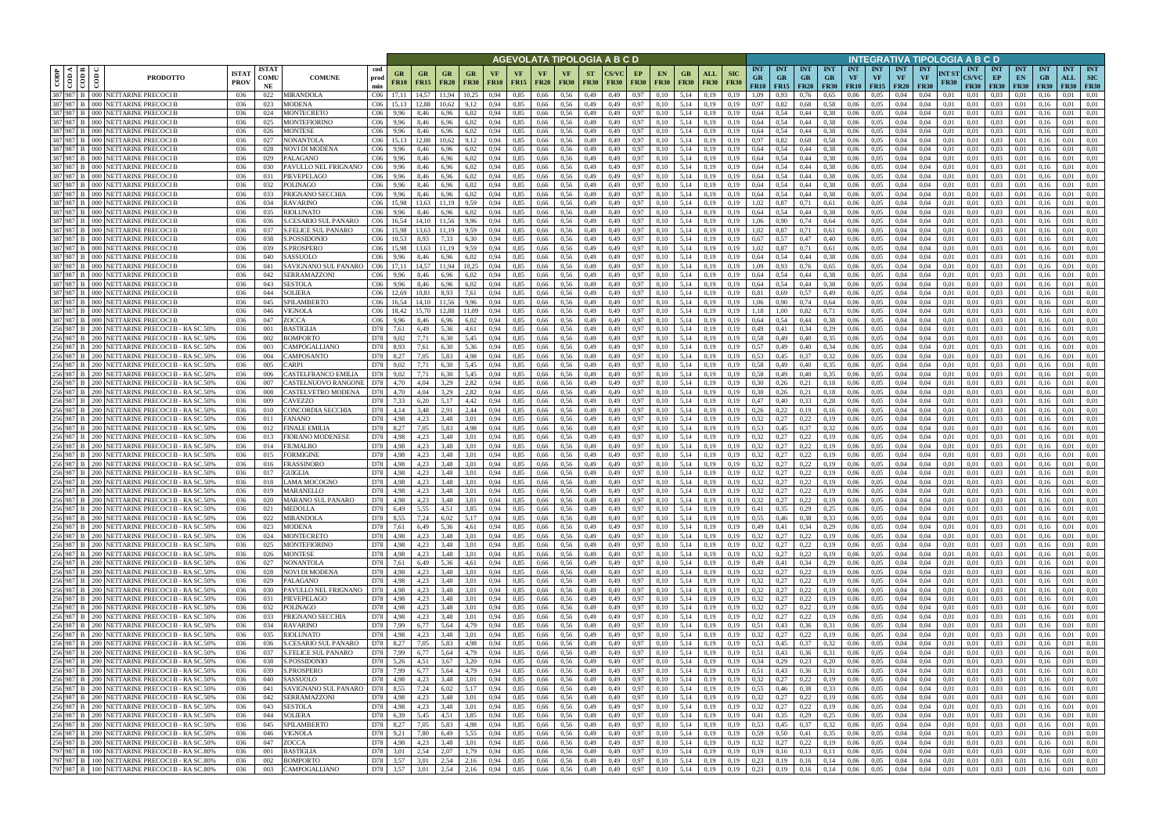|                      |                                                       |                                                                                                                                                                                                                                                                                                                                                                                                                                                                 |                            |                            |                                     |                                    |                      |                   |                            |                        |                   |              |                          |                          |                          | AGEVOLATA TIPOLOGIA A B C D |              |                                                                 |                            |                           |                                        |                                                |                                     |                                 |                         |                                             |                                 | INTEGRATIVA TIPOLOGIA A B C D          |                      |                                    |                                     |                                 |                     |                                  |                                  |
|----------------------|-------------------------------------------------------|-----------------------------------------------------------------------------------------------------------------------------------------------------------------------------------------------------------------------------------------------------------------------------------------------------------------------------------------------------------------------------------------------------------------------------------------------------------------|----------------------------|----------------------------|-------------------------------------|------------------------------------|----------------------|-------------------|----------------------------|------------------------|-------------------|--------------|--------------------------|--------------------------|--------------------------|-----------------------------|--------------|-----------------------------------------------------------------|----------------------------|---------------------------|----------------------------------------|------------------------------------------------|-------------------------------------|---------------------------------|-------------------------|---------------------------------------------|---------------------------------|----------------------------------------|----------------------|------------------------------------|-------------------------------------|---------------------------------|---------------------|----------------------------------|----------------------------------|
| CODP                 | $\leq$ $\blacksquare$<br>$\frac{1}{\cos \theta}$<br>ĝ | <b>PRODOTTO</b>                                                                                                                                                                                                                                                                                                                                                                                                                                                 | <b>ISTA</b><br><b>PROV</b> | <b>ISTAT</b><br>COMU<br>NE | <b>COMUNE</b>                       | cod<br>prod<br>min                 | GR<br><b>FR10</b>    | GR<br><b>FR15</b> | GR<br><b>FR20</b>          | GR<br><b>FR30</b>      | VF<br><b>FR10</b> | VF<br>FR15   | <b>VF</b><br><b>FR20</b> | VF<br><b>FR30</b>        | <b>ST</b><br><b>FR30</b> | <b>FR30</b>                 | EP           | EN<br><b>FR30</b><br><b>FR30</b>                                | GВ<br><b>FR30</b>          | <b>ALL</b><br><b>FR30</b> | <b>SIC</b><br><b>GR</b><br><b>FR30</b> | <b>INT</b><br><b>INT</b><br><b>GR</b><br>FR10  | <b>INT</b><br>GR<br>$FR15$   $FR20$ | <b>INT</b><br>GR<br><b>FR30</b> | <b>INT</b><br><b>VF</b> | <b>INT</b><br><b>VF</b><br><b>FR10</b> FR15 | <b>INT</b><br>VF<br><b>FR20</b> | <b>INT</b><br><b>VF</b><br><b>FR30</b> | NT ST<br><b>FR30</b> | <b>INT</b><br>CS/VC<br><b>FR30</b> | <b>INT</b><br>EP<br><b>FR30</b>     | <b>INT</b><br>EN<br><b>FR30</b> | <b>INT</b><br>F R30 | <b>INT</b><br>ALL<br><b>FR30</b> | <b>INT</b><br>SIC<br><b>FR30</b> |
| 387 987              |                                                       | 387 987 B   000 NETTARINE PRECOCI B                                                                                                                                                                                                                                                                                                                                                                                                                             | 036                        | 022                        | MIRANDOLA                           | C <sub>06</sub>                    |                      | 14,57<br>12.88    | 11.94                      | 10.25                  | 0.94              | 0.85         | 0,66                     | 0.56<br>0.56             | 0,49                     | 0.49                        | 0.97         | 0.10                                                            | 5.14                       | 0.19                      | 0.19<br>1.09<br>0.97                   |                                                | 0.76                                | 0.65                            | 0.06<br>0.06            | 0.05<br>0.05                                | 0.04                            | 0.04<br>0.04                           | 0.01<br>0.01         | 0.01<br>0.01                       | 0.03<br>0.03                        |                                 | 01                  | 0.01<br>0.01                     | 0.01                             |
| 387 987              |                                                       | <b>B</b> 000 NETTARINE PRECOCI B<br>000 NETTARINE PRECOCI B                                                                                                                                                                                                                                                                                                                                                                                                     | 036<br>036                 | 023<br>024                 | MODENA<br>MONTECRETO                | C <sub>06</sub><br>C <sub>06</sub> | 9.96                 |                   | 10.62<br>6.96              | 6.02                   |                   | 0,85<br>0.85 | 0,66<br>0,66             | 0.56                     | 0,49<br>0,49             | 0,49<br>0.49                | 0,97<br>0.97 | 0,10<br>0.10                                                    | 5,14<br>5,14               | 0,19<br>0.19              | 0.19<br>0.64<br>0.19                   | 0,82                                           | 0,68<br>0,44                        | 0.58<br>0.38                    | 0.06                    | 0.05                                        | 0.04<br>0.04                    | 0.04                                   | 0.01                 | 0.01                               | 0.03                                | 0.01<br>0.01                    |                     | 0.01                             | 0.01                             |
|                      |                                                       | 387 987 B   000 NETTARINE PRECOCI B                                                                                                                                                                                                                                                                                                                                                                                                                             | 036                        | 025                        | MONTEFIORINO                        | C <sub>06</sub>                    | 9,96                 | 8,46              | 6,96                       | 6,02                   | 0.94              | 0,85         | 0,66                     | 0.56                     | 0,49                     | 0,49                        |              | 0.10<br>0,97                                                    | 5,14                       | 0.19                      | 0,64<br>0,19                           | 0,54                                           | 0,44                                | 0.38                            | 0,06                    | 0.05                                        | 0,04                            | 0.04                                   | 0,01                 | 0,01                               | 0.03                                | 0.01                            | 0,16                | 0.01                             | 0.01                             |
| 387 987              |                                                       | 000 NETTARINE PRECOCI B                                                                                                                                                                                                                                                                                                                                                                                                                                         | 036                        | 026                        | MONTESE                             | C <sub>06</sub>                    | 9.96                 | 8.46              | 6.96                       | 6,02                   | 0.94              | 0.85         | 0,66                     | 0.56                     | 0,49                     | 0.49                        |              | 0.97<br>0.10                                                    | 5.14                       | 0.19                      | 0.19<br>0,64                           | 0.54                                           | 0,44                                | 0.38                            | 0.06                    | 0.05                                        | 0,04                            | 0.04                                   | 0.01                 | 0.01                               | 0.03                                | 0.01                            |                     | 0.01                             | 0.01                             |
|                      |                                                       | 387 987 B   000 NETTARINE PRECOCI B                                                                                                                                                                                                                                                                                                                                                                                                                             | 036                        | 027                        | NONANTOLA                           | C <sub>06</sub>                    | 15,13                | 12.88             | 10,62                      | 9,12                   | 0,94              | 0,85         | 0,66                     | 0,56                     | 0,49                     | 0,49                        |              | 0,97<br>0,10                                                    | 5,14                       | 0,19                      | 0,97<br>0,19                           | 0,82                                           | 0,68                                | 0.58                            | 0,06                    | 0,05                                        | 0,04                            | 0.04                                   | 0,01                 | 0,01                               | 0,03                                | 0,01                            | 0.16                | 0,01                             | 0,01                             |
| 387 987<br>387 987   |                                                       | <b>NETTARINE PRECOCI B</b><br>000 NETTARINE PRECOCI B                                                                                                                                                                                                                                                                                                                                                                                                           | 036<br>036                 | 028<br>029                 | NOVI DI MODENA<br>PALAGANO          | C <sub>06</sub><br>C <sub>06</sub> | 9.96<br>9.96         | 8.46              | 6.96<br>6.96               | 6,02<br>6,02           | 0.94<br>0.94      | 0.85<br>0.85 | 0.66<br>0.66             | 0.56<br>0.56             | 0,49<br>0,49             | 0.49<br>0.49                |              | 0.97<br>0.10<br>0.97<br>0.10                                    | 5.14<br>5.14               | 0.19<br>0.19              | 0.64<br>0.64<br>0.19                   | 0.54<br>0.54                                   | 0.44<br>0.44                        | 0.38<br>0.38                    | 0.06<br>0.06            | 0.05<br>0.05                                | 0.04<br>0.04                    | 0.04<br>0.04                           | 0.01<br>0.01         | 0.01<br>0.01                       | 0.03<br>0.03                        | 0.01<br>0.01                    | 0.16                | 0.01<br>0.01                     | 0.01<br>0.01                     |
| 387 987              | 000                                                   | <b>NETTARINE PRECOCIB</b>                                                                                                                                                                                                                                                                                                                                                                                                                                       | 036                        | 030                        | PAVULLO NEL FRIGNANO                | C <sub>06</sub>                    | 9,96                 | 8.46              | 6,96                       | 6,02                   | 0.94              | 0.85         | 0.66                     | 0.56                     | 0,49                     | 0.49                        |              | 0,97<br>0.10                                                    | 5.14                       | 0,19                      | 0,64<br>0.19                           | 0.54                                           | 0.44                                | 0.38                            | 0.06                    | 0.05                                        | 0.04                            | 0.04                                   | 0.01                 | 0.01                               | 0.03                                | 0.01                            | 0.16                | 0.01                             | 0.01                             |
|                      |                                                       | 387 987 B 000 NETTARINE PRECOCI B                                                                                                                                                                                                                                                                                                                                                                                                                               | 036                        | 031                        | PIEVEPELAGO                         | C <sub>06</sub>                    | 9,96                 | 8.46              | 6.96                       | 6.02                   | 0.94              | 0.85         | 0.66                     | 0.56                     | 0,49                     | 0.49                        |              | 0.97<br>0.10                                                    | 5.14                       | 0.19                      | 0.64<br>0.19                           | 0.54                                           | 0.44                                | 0.38                            | 0.06                    | 0.05                                        | 0.04                            | 0.04                                   | 0.01                 | 0.01                               | 0.03                                | 0.01                            | 0.16                | 0.01                             | 0.01                             |
| 387 987 B            | 000 <sup>1</sup>                                      | <b>NETTARINE PRECOCI B</b>                                                                                                                                                                                                                                                                                                                                                                                                                                      | 036                        | 032                        | <b>POLINAGO</b>                     | C <sub>06</sub>                    | 9.96                 | 8.46              | 6.96                       | 6.02                   | 0.94              | 0.85         | 0.66                     | 0.56                     | 0,49                     | 0.49                        |              | 0.97<br>0.10                                                    | 5.14                       | 0.19                      | 0.64<br>0.19                           | 0.54                                           | 0.44                                | 0.38                            | 0.06                    | 0.05                                        | 0.04                            | 0.04                                   | 0.01                 | 0.01                               | 0.03                                | 0.01                            | 0.16                | 0.01                             | 0.01                             |
|                      |                                                       | 387 987 B   000 NETTARINE PRECOCI B                                                                                                                                                                                                                                                                                                                                                                                                                             | 036                        | 033                        | PRIGNANO SECCHIA                    | C <sub>06</sub>                    | 9,96                 | 8,46              | 6.96                       | 6,02                   | 0.94              | 0,85         | 0,66                     | 0.56                     | 0,49                     | 0,49                        |              | 0,97<br>0,10                                                    | 5.14                       | 0,19                      | 0.64<br>0.19                           | 0,54                                           | 0,44                                | 0.38                            | 0,06                    | 0,05                                        | 0,04                            | 0.04                                   | 0.01                 | 0.01                               | 0.03                                | 0,01                            | 0.16                | 0.01                             | 0.01                             |
| 387 987 B            |                                                       | 000 NETTARINE PRECOCI B<br>387 987 B   000 NETTARINE PRECOCI B                                                                                                                                                                                                                                                                                                                                                                                                  | 036<br>036                 | 034<br>035                 | <b>RAVARINO</b><br>RIOLUNATO        | C <sub>06</sub><br>C <sub>06</sub> | 15.98<br>9,96        | 13.63<br>8,46     | 11.19<br>6.96              | 9,59<br>6,02           | 0.94<br>0.94      | 0,85<br>0,85 | 0,66<br>0,66             | 0.56<br>0.56             | 0,49<br>0,49             | 0.49<br>0,49                | 0,97         | 0.97<br>0,10<br>0,10                                            | 5,14<br>5.14               | 0,19<br>0.19              | 0.19<br>1.02<br>0.19<br>0.64           | 0.87<br>0,54                                   | 0,71<br>0,44                        | 0.61<br>0.38                    | 0.06<br>0,06            | 0.05<br>0,05                                | 0,04<br>0,04                    | 0.04<br>0.04                           | 0.01<br>0,01         | 0.01<br>0,01                       | 0.03<br>0.03                        | 0,01<br>0,01                    | 0.16<br>0.16        | 0.01<br>0.01                     | 0.01<br>0.01                     |
| 387 987 B            |                                                       | 000 NETTARINE PRECOCI B                                                                                                                                                                                                                                                                                                                                                                                                                                         | 036                        | 036                        | <b>S.CESARIO SUL PANARO</b>         | C <sub>06</sub>                    | 16.54                | 14,10             | 11.56                      | 9,96                   | 0.94              | 0,85         | 0,66                     | 0,56                     | 0,49                     | 0,49                        |              | 0,97<br>0,10                                                    | 5,14                       | 0,19                      | 0.19                                   | 1,06<br>0,90                                   | 0,74                                | 0,64                            | 0,06                    | 0,05                                        | 0,04                            | 0.04                                   | 0,01                 | 0,01                               | 0,03                                | 0,01                            | 0.16                | 0,01                             | 0,01                             |
| 387 987 B            | 000 <sup>1</sup>                                      | <b>NETTARINE PRECOCI B</b>                                                                                                                                                                                                                                                                                                                                                                                                                                      | 036                        | 037                        | <b>S.FELICE SUL PANARO</b>          | C <sub>06</sub>                    | 15,98                | 13.63             | 11.19                      | 9,59                   | 0.94              | 0,85         | 0,66                     | 0.56                     | 0,49                     | 0.49                        |              | 0,97<br>0.10                                                    | 5,14                       | 0.19                      | 1.02<br>0.19                           | 0.87                                           | 0,71                                | 0.61                            | 0,06                    | 0.05                                        | 0.04                            | 0.04                                   | 0.01                 | 0.01                               | 0.03                                | 0,01                            | 0.16                | 0.01                             | 0.01                             |
| 387 987 B            |                                                       | 000 NETTARINE PRECOCI B                                                                                                                                                                                                                                                                                                                                                                                                                                         | 036                        | 038                        | S.POSSIDONIC                        | C <sub>06</sub>                    | 10.53                | 8.93              | 7.33                       | 6.30                   | 0.94              | 0,85         | 0,66                     | 0.56                     | 0,49                     | 0.49                        |              | 0,97<br>0.10                                                    | 5,14                       | 0,19                      | 0,67<br>0.19                           | 0.57                                           | 0,47                                | 0,40                            | 0,06                    | 0.05                                        | 0,04                            | 0.04                                   | 0.01                 | 0.01                               | 0.03                                | 0.01                            | 0.16                | 0,01                             | 0.01                             |
|                      |                                                       | 387 987 B 000 NETTARINE PRECOCI B                                                                                                                                                                                                                                                                                                                                                                                                                               | 036                        | 039                        | S.PROSPERO                          | C <sub>06</sub>                    | 15.98                | 13,63             | 11,19                      | 9,59                   | 0.94              | 0,85         | 0,66                     | 0,56                     | 0,49                     | 0,49                        |              | 0,97<br>0.10                                                    | 5,14                       | 0,19                      | 1,02<br>0,19                           | 0,87                                           | 0,71                                | 0.61                            | 0,06                    | 0,05                                        | 0,04                            | 0.04                                   | 0,01                 | 0.01                               | 0,03                                | 0,01                            | 0.16                | 0,01                             | 0.01                             |
|                      |                                                       | 387 987 B 000 NETTARINE PRECOCI B<br>387 987 B 000 NETTARINE PRECOCI B                                                                                                                                                                                                                                                                                                                                                                                          | 036<br>036                 | 040<br>041                 | SASSUOLO<br>SAVIGNANO SUL PANARO    | C <sub>06</sub><br>CO6             | 9.96<br>17.11        | 8.46<br>14.57     | 6.96<br>11.94              | 6.02<br>10.25          | 0.94<br>0.94      | 0.85<br>0.85 | 0.66<br>0.66             | 0.56<br>0.56             | 0,49<br>0,49             | 0.49<br>0.49                |              | 0,97<br>0.10<br>0,97<br>0.10                                    | 5.14<br>5.14               | 0.19<br>0.19              | 0.64<br>0.19<br>0.19                   | 0.54<br>1.09<br>0.93                           | 0.44<br>0.76                        | 0.38<br>0.65                    | 0.06<br>0.06            | 0.05<br>0.05                                | 0.04<br>0.04                    | 0.04<br>0.04                           | 0.01<br>0.01         | 0.01<br>0.01                       | 0.03<br>0.03                        | 0.01<br>0.01                    | 0.16<br>0.16        | 0.01<br>0.01                     | 0.01<br>0.01                     |
|                      |                                                       | 387 987 B   000 NETTARINE PRECOCI E                                                                                                                                                                                                                                                                                                                                                                                                                             | 036                        | 042                        | <b>SERRAMAZZONI</b>                 | C <sub>06</sub>                    | 9,96                 | 8,46              | 6,96                       | 6,02                   | 0,94              | 0,85         | 0,66                     | 0.56                     | 0,49                     | 0,49                        |              | 0,97<br>0,10                                                    | 5,14                       | 0,19                      | 0,64<br>0.19                           | 0.54                                           | 0,44                                | 0.38                            | 0.06                    | 0,05                                        | 0,04                            | 0,04                                   | 0.01                 | 0.01                               | 0,03                                | 0,01                            | 0.16                | 0,01                             | 0.01                             |
| 387 987              | 000 <sup>1</sup>                                      | NETTARINE PRECOCI B                                                                                                                                                                                                                                                                                                                                                                                                                                             | 036                        | 043                        | SESTOLA                             | C <sub>06</sub>                    | 9.96                 | 8.46              | 6.96                       | 6.02                   | 0.94              | 0.85         | 0.66                     | 0.56                     | 0,49                     | 0.49                        | 0.97         |                                                                 | 5.14                       | 0.19                      | 0.64<br>0.19                           |                                                | 0.44                                |                                 | 0.06                    | 0.05                                        | 0.04                            | 0.04                                   | 0.01                 | 0.01                               | 0.03                                | 0.01                            |                     | 0.01                             | 0.01                             |
| 387 987 B            |                                                       | 000 NETTARINE PRECOCI E                                                                                                                                                                                                                                                                                                                                                                                                                                         | 036                        | 044                        | <b>SOLIERA</b>                      | C <sub>06</sub>                    | 12.69                |                   | 8.93                       | 7.61                   | 0.94              | 0.85         | 0.66                     | 0.56                     | 0,49                     | 0.49                        | 0,97         | 0.10                                                            | 5.14                       | 0.19                      | 0.81                                   | 0.69                                           | 0,57                                | 0,49                            | 0.06                    | 0.05                                        | 0.04                            | 0.04                                   | 0.01                 | 0.01                               | 0.03                                | 0.01                            |                     | 0.01                             | 0.01                             |
| 387 987              | 000 <sub>1</sub>                                      | NETTARINE PRECOCI B                                                                                                                                                                                                                                                                                                                                                                                                                                             | 036                        | 045                        | SPILAMBERTO                         | C <sub>06</sub>                    |                      |                   | 1.56                       | 9.96                   | 0.94              | 0.85         | 0.66                     | 0.56                     | 0,49                     | 0.49                        | 0.97         | 0.10                                                            | 5.14                       | 0.19                      | 1.06<br>0.19                           | 0.90                                           | 0,74                                | 0.64                            | 0.06                    | 0.05                                        | 0.04                            | 0.04                                   | 0.01                 | 0.01                               | 0.03                                | 0.01                            |                     | 0.01                             | 0.01                             |
| 387 987              | R                                                     | 387 987 B   000 NETTARINE PRECOCI B<br>000 NETTARINE PRECOCI B                                                                                                                                                                                                                                                                                                                                                                                                  | 036<br>036                 | 046<br>047                 | VIGNOLA<br>ZOCCA                    | C <sub>06</sub><br>C <sub>06</sub> | 18.42<br>9.96        | 15.70<br>8.46     | 12.88<br>6,96              | 11,09<br>6.02          | 0.94<br>0.94      | 0,85<br>0.85 | 0,66<br>0,66             | 0.56<br>0.56             | 0,49<br>0,49             | 0,49<br>0.49                | 0.97<br>0.97 | 0,10<br>0.10                                                    | 5,14<br>5.14               | 0.19<br>0.19              | 0,19<br>1.18<br>0.64<br>0.19           | 1.00<br>0.54                                   | 0,82<br>0.44                        | 0,71<br>0.38                    | 0,06<br>0.06            | 0.05<br>0.05                                | 0,04<br>0.04                    | 0.04<br>0.04                           | 0.01<br>0.01         | 0,01<br>0.01                       | 0.03<br>0.03                        | 0.01<br>0.01                    | 0.16                | 0.01<br>0.01                     | 0.01<br>0.01                     |
| 256 987 B            |                                                       | 200 NETTARINE PRECOCI B - RA SC.50%                                                                                                                                                                                                                                                                                                                                                                                                                             | 036                        | 001                        | 3 ASTIGLIA                          | D78                                | 7,61                 | 6,49              | 5,36                       | 4,61                   |                   | 0,85         | 0,66                     | 0.56                     | 0,49                     | 0,49                        | 0,97         | 0,10                                                            | 5,14                       | 0,19                      | 0,49<br>0,19                           | 0,41                                           | 0,34                                | 0,29                            | 0,06                    | 0.05                                        | 0,04                            | 0,04                                   | 0.01                 | 0.01                               | 0,03                                | 0.01                            |                     | 0.01                             |                                  |
| 256 987              | 200 l                                                 | NETTARINE PRECOCI B - RA SC.50%                                                                                                                                                                                                                                                                                                                                                                                                                                 | 036                        | 002                        | <b>BOMPORTO</b>                     | D78                                | 9.02                 |                   | 6.30                       | 5,45                   | 0.94              | 0.85         | 0.66                     | 0.56                     | 0,49                     |                             | 0.97         | 0.10                                                            | 5.14                       | 0.19                      | 0.58<br>0.19                           | 0.49                                           | 0.40                                | 0.35                            | 0.06                    | 0.05                                        | 0.04                            | 0.04                                   | 0.01                 | 0.01                               | 0.03                                | 0.01                            |                     | 0.01                             | 0.01                             |
| 256 987              |                                                       | 200 NETTARINE PRECOCI B - RA SC.50%                                                                                                                                                                                                                                                                                                                                                                                                                             | 036                        | 003                        | CAMPOGALLIANO                       | D78                                | 8.93                 | 7,61              | 6,30                       | 5,36                   | 0.94              | 0,85         | 0,66                     | 0.56                     | 0,49                     | 0,49                        | 0.97         | 0.10                                                            | 5,14                       | 0.19                      | 0,57<br>0.19                           | 0,49                                           | 0,40                                | 0,34                            | 0,06                    | 0.05                                        | 0,04                            | 0.04                                   | 0.01                 | 0.01                               | 0.03                                | 0.01                            | 01                  | 0.01                             | 0.01                             |
| 256 987              |                                                       | 200 NETTARINE PRECOCI B - RA SC.50%                                                                                                                                                                                                                                                                                                                                                                                                                             | 036                        | 004                        | CAMPOSANTO                          | D78                                | 8,27                 | 7,05              | 5,83                       | 4,98                   | 0.94              | 0.85         | 0,66                     | 0,56                     | 0,49                     | 0.49                        |              | 0,97<br>0.10                                                    | 5,14                       | 0,19                      | 0,53<br>0.19                           | 0,45                                           | 0,37                                | 0,32                            | 0.06                    | 0,05                                        | 0.04                            | 0.04                                   | 0.01                 | 0.01                               | 0.03                                | 0,01                            |                     | 0.01                             | 0.01                             |
| 256 987 B<br>256 987 | 200                                                   | 200 NETTARINE PRECOCI B - RA SC.50%<br>NETTARINE PRECOCI B - RA SC.50%                                                                                                                                                                                                                                                                                                                                                                                          | 036<br>036                 | 005<br>006                 | CARPI<br>CASTELFRANCO EMILIA        | D78<br>D78                         | 9.02<br>9.02         | 7,71<br>7.71      | 6.30<br>6.30               | 5,45<br>5,45           | 0.94<br>0.94      | 0.85<br>0.85 | 0,66<br>0.66             | 0.56<br>0.56             | 0,49<br>0,49             | 0.49<br>0.49                |              | 0.97<br>0.10<br>0.97<br>0.10                                    | 5.14<br>5.14               | 0.19<br>0.19              | 0.19<br>0.19                           | 0.58<br>0,49<br>0.58<br>0.49                   | 0.40<br>0.40                        | 0.35<br>0.35                    | 0.06<br>0.06            | 0.05<br>0.05                                | 0.04<br>0.04                    | 0.04<br>0.04                           | 0.01<br>0.01         | 0.01<br>0.01                       | 0.03<br>0.03                        | 0.01<br>0.01                    | 0.16                | 0.01<br>0.01                     | 0.01<br>0.01                     |
| 256 987 B            | <b>200</b>                                            | NETTARINE PRECOCI B - RA SC.50%                                                                                                                                                                                                                                                                                                                                                                                                                                 | 036                        | 007                        | CASTELNUOVO RANGONE                 | D78                                | 4.70                 | 4.04              | 3,29                       | 2,82                   | 0.94              | 0.85         | 0,66                     | 0.56                     | 0,49                     | 0,49                        |              | 0,97<br>0,10                                                    | 5.14                       | 0,19                      | 0.19                                   | 0.30<br>0,26                                   | 0,21                                | 0,18                            | 0,06                    | 0.05                                        | 0,04                            | 0.04                                   | 0.01                 | 0.01                               | 0.03                                | 0,01                            | 0.16                | 0.01                             | 0.01                             |
| 256 987              | <b>200</b>                                            | NETTARINE PRECOCI B - RA SC.50%                                                                                                                                                                                                                                                                                                                                                                                                                                 | 036                        | 008                        | CASTELVETRO MODENA                  | D78                                | 4.70                 | 4.04              | 3,29                       | 2.82                   | 0.94              | 0.85         | 0.66                     | 0.56                     | 0,49                     | 0.49                        |              | 0.97<br>0.10                                                    | 5.14                       | 0.19                      | 0.19                                   | 0.30<br>0.26                                   | 0,21                                | 0,18                            | 0.06                    | 0.05                                        | 0.04                            | 0.04                                   | 0.01                 | 0.01                               | 0.03                                | 0.01                            | 0.16                | 0.01                             | 0.01                             |
| 256 987 B            |                                                       | 200 NETTARINE PRECOCI B - RA SC.50%                                                                                                                                                                                                                                                                                                                                                                                                                             | 036                        | 009                        | <b>CAVEZZO</b>                      | D78                                | 7.33                 | 6,20              | 5.17                       | 4,42                   | 0.94              | 0.85         | 0.66                     | 0.56                     | 0,49                     | 0,49                        | 0,97         | 0,10                                                            | 5.14                       | 0.19                      | 0.19                                   | 0.47<br>0,40                                   | 0,33                                | 0,28                            | 0.06                    | 0.05                                        | 0.04                            | 0.04                                   | 0.01                 | 0.01                               | 0.03                                | 0.01                            | 0.16                | 0.01                             | 0.01                             |
| 256 987 B<br>256 987 | 200                                                   | 200 NETTARINE PRECOCI B - RA SC.50%                                                                                                                                                                                                                                                                                                                                                                                                                             | 036                        | 010                        | CONCORDIA SECCHIA                   | D78                                | 4,14                 | 3,48<br>4.23      | 2,91                       | 2,44                   | 0,94              | 0,85         | 0.66                     | 0.56                     | 0,49                     | 0.49                        |              | 0,97<br>0,10                                                    | 5,14<br>5.14               | 0,19                      | 0.19<br>0.32                           | 0,26<br>0,22                                   | 0,19                                | 0,16                            | 0.06                    | 0.05                                        | 0.04                            | 0.04                                   | 0.01                 | 0.01                               | 0.03<br>0.03                        | 0,01                            | 0.16                | 0.01<br>0.01                     | 0.01                             |
| 256 987              | 200 l                                                 | NETTARINE PRECOCI B - RA SC.50%<br>NETTARINE PRECOCI B - RA SC.50%                                                                                                                                                                                                                                                                                                                                                                                              | 036<br>036                 | 011<br>012                 | FANANO<br>FINALE EMILIA             | D78<br>D78                         | 4,98<br>8,27         | 7,05              | 3.48<br>5.83               | 3,01<br>4,98           | 0.94<br>0.94      | 0,85<br>0,85 | 0,66<br>0,66             | 0.56<br>0.56             | 0,49<br>0,49             | 0,49<br>0.49                |              | 0.97<br>0.10<br>0.97<br>0,10                                    | 5,14                       | 0.19<br>0.19              | 0.19<br>0.19                           | 0,27<br>0,53<br>0,45                           | 0,22<br>0,37                        | 0,19<br>0,32                    | 0,06<br>0.06            | 0,05<br>0.05                                | 0.04<br>0,04                    | 0.04<br>0.04                           | 0.01<br>0.01         | 0.01<br>0.01                       | 0.03                                | 0,01<br>0,01                    | 0.16<br>0.16        | 0,01                             | 0.01<br>0.01                     |
| 256 987 B            |                                                       | 200 NETTARINE PRECOCI B - RA SC.50%                                                                                                                                                                                                                                                                                                                                                                                                                             | 036                        | 013                        | <b>TORANO MODENESE</b>              | D78                                | 4,98                 | 4,23              | 3,48                       | 3,01                   | 0,94              | 0,85         | 0,66                     | 0,56                     | 0,49                     | 0,49                        | 0,97         | 0,10                                                            | 5,14                       | 0,19                      | 0,32<br>0,19                           | 0,27                                           | 0,22                                | 0,19                            | 0,06                    | 0,05                                        | 0,04                            | 0,04                                   | 0,01                 | 0,01                               | 0,03                                | 0,01                            | 0,16                | 0,01                             | 0,01                             |
| 256 987 B            |                                                       | 200 NETTARINE PRECOCI B - RA SC.50%                                                                                                                                                                                                                                                                                                                                                                                                                             | 036                        | 014                        | FIUMALBO                            | D78                                | 4,98                 | 4.23              | 3.48                       | 3.01                   | 0.94              | 0,85         | 0,66                     | 0.56                     | 0,49                     | 0.49                        | 0,97         | 0,10                                                            | 5,14                       | 0.19                      | 0.19                                   | 0.32<br>0.27                                   | 0,22                                | 0,19                            | 0,06                    | 0.05                                        | 0,04                            | 0.04                                   | 0.01                 | 0.01                               | 0.03                                | 0,01                            | 0.16                | 0,01                             | 0.01                             |
|                      |                                                       | 256 987 B   200 NETTARINE PRECOCI B - RASC.50%                                                                                                                                                                                                                                                                                                                                                                                                                  | 036                        | 015                        | FORMIGINE                           | D78                                | 4,98                 | 4.23              | 3,48                       | 3,01                   | 0.94              | 0,85         | 0,66                     | 0.56                     | 0,49                     | 0.49                        | 0,97         | 0.10                                                            | 5,14                       | 0,19                      | 0.19                                   | 0,32<br>0,27                                   | 0,22                                | 0,19                            | 0,06                    | 0,05                                        | 0,04                            | 0.04                                   | 0,01                 | 0.01                               | 0.03                                | 0,01                            | 0.16                | 0,01                             | 0.01                             |
| 256 987 B            |                                                       | 256 987 B   200 NETTARINE PRECOCI B - RA SC.50%<br>200 NETTARINE PRECOCI B - RA SC.50%                                                                                                                                                                                                                                                                                                                                                                          | 036<br>036                 | 016<br>017                 | FRASSINORO<br><b>GUIGLIA</b>        | D78<br>D78                         | 4,98<br>4.98         | 4.23<br>4.23      | 3.48<br>3.48               | 3,01<br>3.01           | 0,94<br>0.94      | 0,85<br>0.85 | 0,66<br>0.66             | 0.56<br>0.56             | 0,49<br>0.49             | 0,49<br>0.49                | 0.97         | 0,97<br>0,10<br>0.10                                            | 5,14<br>5.14               | 0,19<br>0.19              | 0,32<br>0.19<br>0.32                   | 0,27<br>0.27                                   | 0,22<br>0.22                        | 0,19<br>0.19                    | 0,06<br>0.06            | 0,05<br>0.05                                | 0,04<br>0.04                    | 0.04<br>0.04                           | 0.01<br>0.01         | 0.01<br>0.01                       | 0,03<br>0.03                        | 0,01<br>0.01                    | 0.16                | 0,01<br>0.01                     | 0.01<br>0.01                     |
|                      |                                                       | 256 987 B 200 NETTARINE PRECOCI B - RA SC.50%                                                                                                                                                                                                                                                                                                                                                                                                                   | 036                        | 018                        | LAMA MOCOGNO                        | D78                                | 4.98                 | 4.23              | 3.48                       | 3.01                   | 0.94              | 0.85         | 0,66                     | 0.56                     | 0,49                     | 0.49                        |              | 0,97<br>0.10                                                    | 5.14                       | 0.19                      | 0.32<br>0.19                           | 0.27                                           | 0,22                                | 0,19                            | 0.06                    | 0.05                                        | 0.04                            | 0.04                                   | 0.01                 | 0.01                               | 0.03                                | 0.01                            | 0.16                | 0.01                             | 0.01                             |
|                      |                                                       | 256 987 B 200 NETTARINE PRECOCI B - RA SC.50%                                                                                                                                                                                                                                                                                                                                                                                                                   | 036                        | 019                        | <b>MARANELLO</b>                    | D78                                | 4.98                 | 4.23              | 3.48                       | 3.01                   | 0.94              | 0.85         | 0.66                     | 0.56                     | 0.49                     | 0.49                        | 0.97         | 0.10                                                            | 5.14                       | 0.19                      | 0.32<br>0.19                           | 0,27                                           | 0,22                                | 0.19                            | 0.06                    | 0.05                                        | 0.04                            | 0.04                                   | 0.01                 | 0.01                               | 0.03                                | 0.01                            |                     | 0.01                             | 0.01                             |
|                      |                                                       | 256 987 B 200 NETTARINE PRECOCI B - RA SC.50%                                                                                                                                                                                                                                                                                                                                                                                                                   | 036                        | 020                        | MARANO SUL PANARO                   |                                    | D78 4,98             |                   | 4,23 3,48                  | 3,01                   | 0,94              | 0,85         |                          | $0,66$ 0.56              | 0,49                     | 0,49                        |              | $0,97$ 0,10                                                     | 5,14 0,19                  |                           | 0,19                                   | 0,32<br>0,27                                   | 0,22                                | 0,19                            | 0,06                    | 0,05                                        | 0,04                            | 0,04                                   | 0,01                 | 0,01                               | $0,03$ $0,01$                       |                                 | 0,16                | 0,01                             | 0,01                             |
|                      |                                                       | 256 987 B 200 NETTARINE PRECOCI B - RA SC.50%<br>256 987 B 200 NETTARINE PRECOCI B - RA SC.50%                                                                                                                                                                                                                                                                                                                                                                  | 036                        | 021                        | <b>MEDOLLA</b>                      |                                    | D78 6,49             | 5,55              | 4,51                       | 3,85                   | 0,94              | 0,85         |                          | $0,66$ 0.56              | 0,49                     | 0,49                        |              | 0,97<br>0,10                                                    | $5,14$ 0,19                |                           | 0,19                                   | 0,41<br>0,35                                   | 0,29                                | 0,25                            | 0,06                    | 0,05                                        | 0,04                            | 0,04                                   | 0,01                 | 0,01                               | $0.03 \qquad 0.01$                  |                                 | 0,16                | 0,01                             | 0,01                             |
|                      |                                                       | 256 987 B 200 NETTARINE PRECOCI B - RA SC.50%                                                                                                                                                                                                                                                                                                                                                                                                                   | 036<br>036                 | 022<br>023                 | <b>MIRANDOLA</b><br><b>MODENA</b>   |                                    | D78 8,55<br>D78 7,61 |                   | 7,24 6,02<br>6,49 5,36     | 5,17<br>4,61 0,94      | 0,94              | 0,85<br>0,85 |                          | $0,66$ 0.56<br>0,66 0,56 | 0,49<br>0,49             | 0,49<br>0,49                |              | 0,97<br>0,10<br>0,97<br>0,10                                    | $5,14$ 0,19<br>$5,14$ 0,19 |                           | 0,19<br>0,19                           | $0,55$ 0,46<br>$0,49$ 0.41 0.34 0.29           | 0,38                                | 0,33                            | 0,06                    | 0,05<br>$0.06\qquad 0.05$                   | 0,04<br>0,04                    | 0,04<br>0,04                           | 0,01<br>0,01         | 0,01<br>0.01                       | $0,03$ $0,01$<br>$0.03 \qquad 0.01$ |                                 | 0,16<br>0,16        | 0,01<br>0,01                     | 0,01<br>0,01                     |
|                      |                                                       |                                                                                                                                                                                                                                                                                                                                                                                                                                                                 | 036                        | 024                        | MONTECRETO                          |                                    | D78 4,98             | 4,23              | 3,48                       | 3,01                   | 0,94              | 0,85         |                          | $0,66$ 0.56              | 0,49                     | 0,49                        |              | 0,97<br>0,10                                                    | 5,14 0,19                  |                           | 0,19                                   | 0,32<br>0,27                                   | 0,22                                | 0,19                            | 0,06                    | 0,05                                        | 0,04                            | 0,04                                   | 0,01                 | 0,01                               | $0.03 \qquad 0.01$                  |                                 | 0,16                | 0.01                             | 0,01                             |
|                      |                                                       | $\frac{256}{987}\begin{array}{l}\text{B} \end{array} \begin{array}{l}\text{200}\end{array}\begin{array}{l}\text{NETTARINE PRECOCI B - RA SC.50\%}\\ \text{NETTARINE PRECOCI B - RA SC.50\%} \end{array}$                                                                                                                                                                                                                                                        | 036                        | 025                        | <b>MONTEFIORINO</b>                 |                                    | D78 4,98             |                   | 4,23 3,48                  | 3,01                   | 0,94              | 0,85         |                          | 0,66 0,56                | 0,49                     | 0,49                        |              | 0,97<br>0,10                                                    | 5,14 0,19                  |                           | 0,19                                   | 0,32<br>0,27                                   | 0,22                                | 0,19                            | 0,06                    | 0,05                                        | 0,04                            | 0,04                                   | 0,01                 | 0,01                               | 0,03                                | 0,01                            | 0,16                | 0,01                             | 0,01                             |
|                      |                                                       | $\begin{tabular}{ l l l l } \hline 256987 & B & 200 & NETWORK \\ \hline \end{tabular} \begin{tabular}{ l l l } \hline 256987 & B & 200 & NETWORK \\ \hline \end{tabular} \begin{tabular}{ l l l } \hline \texttt{R25698} & B & 200 & NETWORK \\ \hline \end{tabular} \begin{tabular}{ l l l } \hline \texttt{R25698} & A & B & 200 & NETWORK \\ \hline \end{tabular} \begin{tabular}{ l l l } \hline \texttt{R25698} & A & B & 20$                              | 036                        | 026                        | <b>MONTESE</b>                      | D78                                | 4,98                 | 4,23              | 3,48                       | 3,01                   | 0,94              | 0,85         |                          | $0,66$ 0.56              | 0,49                     | 0,49                        |              | 0,97<br>0,10                                                    | $5,14$ 0,19                |                           | 0,19                                   | 0,32<br>0,27                                   | 0,22                                | 0,19                            | 0,06                    | 0,05                                        | 0,04                            | 0,04                                   | 0,01                 | 0,01                               | 0,03                                | 0,01                            | 0,16                | 0.01                             | 0,01                             |
|                      |                                                       |                                                                                                                                                                                                                                                                                                                                                                                                                                                                 | 036                        | 027                        | <b>NONANTOLA</b><br>NOVI DI MODENA  |                                    | D78 7,61<br>D78 4,98 |                   | 6,49 5,36                  | 4,61                   | 0,94              | 0,85<br>0,85 |                          | $0,66$ 0.56<br>0,66 0,56 | 0,49<br>0,49             | 0,49<br>0,49                |              | 0,97<br>0,10<br>0,10                                            | 5,14 0,19<br>5,14 0,19     |                           | 0,19<br>0,19                           | 0,49<br>0,41<br>0,32                           | 0,34                                | 0,29                            | 0,06<br>0,06            | 0,05<br>0,05                                | 0,04<br>0,04                    | 0,04<br>0,04                           | 0,01<br>0,01         | 0,01<br>0,01                       | 0,03<br>0,03                        | 0,01<br>0,01                    | 0,16                | 0.01                             | 0,01<br>0,01                     |
|                      |                                                       | $\begin{tabular}{ l l l l } \hline 256987 & B & 200 & NETWORK \\ \hline \end{tabular} \begin{tabular}{ l l l } \hline 256987 & B & 200 & NETWORK \\ \hline \end{tabular} \begin{tabular}{ l l l } \hline \texttt{18} & 200 & NETWORK \\ \hline \end{tabular} \begin{tabular}{ l l l } \hline \texttt{18} & 200 & NETWORK \\ \hline \end{tabular} \begin{tabular}{ l l l } \hline \texttt{18} & 200 & NETWORK \\ \hline \end{tabular} \begin{tabular}{ l $       | 036<br>036                 | 028<br>029                 | PALAGANO                            |                                    | D78 4.98             |                   | 4,23 3,48<br>$4,23$ $3,48$ | 3,01<br>3,01 0,94      | 0,94              | 0,85         |                          |                          |                          |                             |              | 0,97<br>$0.66$ $0.56$ $0.49$ $0.49$ $0.97$ $0.10$ $5.14$ $0.19$ |                            |                           | $0,19$ $0,32$ $0,27$ $0,22$ $0,19$     | 0,27                                           | 0,22                                | 0,19                            |                         | $0,06$ 0.05                                 | 0,04                            | 0,04                                   | 0,01                 | 0,01                               | $0,03$ $0,01$                       |                                 | 0,16<br>0,16        | 0,01                             | $0,01$ $0,01$                    |
|                      |                                                       | 256 987 B 200 NETTARINE PRECOCI B - RA SC.50%<br>256 987 B 200 NETTARINE PRECOCI B - RA SC.50%                                                                                                                                                                                                                                                                                                                                                                  | 036                        | 030                        | PAVULLO NEL FRIGNANO                |                                    | D78 4,98             |                   | $4,23$ $3,48$              | 3,01 0,94              |                   | 0,85         |                          | 0,66 0,56                |                          | $0,49$ $0,49$               |              | $0,97$ 0,10 5,14 0,19                                           |                            |                           | $0,19$ $0,32$ $0,27$ $0,22$ $0,19$     |                                                |                                     |                                 |                         | $0,06$ 0.05                                 | 0,04                            | 0,04                                   | 0,01                 | 0,01                               | $0,03$ $0,01$                       |                                 | 0,16                |                                  | $0,01$ $0,01$                    |
|                      |                                                       |                                                                                                                                                                                                                                                                                                                                                                                                                                                                 | 036                        | 031                        | PIEVEPELAGO                         |                                    | D78 4,98             |                   | 4,23 3,48                  | 3,01 0,94              |                   | 0,85         |                          |                          |                          | $0,66$ $0,56$ $0,49$ $0,49$ |              | $0,97$ 0,10                                                     | 5,14 0,19                  |                           | 0,19                                   | $0,32$ $0,27$ $0,22$ $0,19$                    |                                     |                                 |                         | $0,06$ 0.05                                 | 0,04                            | 0,04                                   | 0,01                 | 0,01                               | $0,03$ $0,01$                       |                                 | 0,16                |                                  | $0,01$ $0,01$                    |
|                      |                                                       | $\begin{array}{ l l l } \hline 256 & 987 & \text{B} & 200 & \text{NETTARINE PRECOCI B - RA SC.50\%} \\ \hline 256 & 987 & \text{B} & 200 & \text{NETTARINE PRECOCI B - RA SC.50\%} \\ \hline \end{array}$                                                                                                                                                                                                                                                       | 036                        | 032                        | POLINAGO                            |                                    | D78 4,98             |                   | $4,23$ $3,48$              | 3,01                   | 0,94              | 0,85         |                          | 0,66 0,56                | 0,49                     | 0,49                        |              | 0,97<br>0,10                                                    | $5,14$ 0,19                |                           | 0,19                                   | $0,32$ $0,27$ $0,22$ $0,19$                    |                                     |                                 |                         | $0,06$ 0.05                                 | 0,04                            | 0,04                                   | 0,01                 | 0,01                               | $0.03 \qquad 0.01$                  |                                 | 0,16                | 0.01                             | 0,01                             |
|                      |                                                       |                                                                                                                                                                                                                                                                                                                                                                                                                                                                 | 036<br>036                 | 033<br>034                 | PRIGNANO SECCHIA<br><b>RAVARINO</b> |                                    | D78 4,98<br>D78 7,99 |                   | 4,23 3,48<br>6,77 5,64     | 3,01<br>4,79 0,94      | 0,94              | 0,85<br>0,85 |                          | 0,66 0,56<br>0,66 0,56   | 0,49<br>0,49             | 0,49<br>0,49                |              | $0,97$ 0,10<br>0,97<br>0,10                                     | 5,14 0,19<br>$5,14$ 0,19   |                           | 0,19<br>0,19                           | $0,32$ $0,27$ $0,22$ $0,19$<br>0,51            | $0,43$ $0,36$                       | 0,31                            | 0,06<br>0,06            | 0,05<br>0,05                                | 0,04<br>0,04                    | 0,04<br>0,04                           | 0,01<br>0,01         | 0,01<br>0,01                       | $0,03$ 0.01<br>$0,03$ 0.01          |                                 | 0,16<br>0,16        | 0.01<br>0.01                     | 0,01<br>0,01                     |
|                      |                                                       | $\begin{tabular}{ l l l l } \hline 256 & 987 & B & 200 & NETWORK \\ \hline \end{tabular} \begin{tabular}{ l l l } \hline 256 & 987 & B & 200 & NETWORK \\ \hline \end{tabular} \begin{tabular}{ l l l } \hline \texttt{RETOC1B - RA SC.50\%} \\ \hline \end{tabular}$                                                                                                                                                                                           | 036                        | 035                        | RIOLUNATO                           |                                    | D78 4.98             |                   | 4,23 3,48                  | 3,01                   | 0,94              | 0,85         |                          | 0,66 0,56                | 0,49                     | 0,49                        |              | 0,97<br>0,10                                                    | 5,14 0,19                  |                           | 0,19                                   | 0,27<br>0,32                                   | 0,22                                | 0,19                            | 0,06                    | 0,05                                        | 0,04                            | 0,04                                   | 0,01                 | 0,01                               | $0,03$ $0,01$                       |                                 | 0,16                | 0,01                             | 0,01                             |
|                      |                                                       | 256 987 B 200 NETTARINE PRECOCI B - RA SC.50%                                                                                                                                                                                                                                                                                                                                                                                                                   | 036                        | 036                        | S.CESARIO SUL PANARO                |                                    | D78 8,27             |                   | 7,05 5,83                  | 4,98                   | 0,94              | 0,85         |                          | 0,66 0,56                | 0,49                     | 0,49                        |              | 0,97<br>0,10                                                    | $5,14$ 0,19                |                           | 0,19                                   | $0,53$ $0,45$ $0,37$                           |                                     | 0,32                            |                         | $0,06$ 0.05                                 | 0,04                            | 0,04                                   | 0,01                 | 0,01                               | $0,03$ 0.01                         |                                 | 0,16                | 0,01                             | 0,01                             |
|                      |                                                       | 256 987 B 200 NETTARINE PRECOCI B - RA SC.50%                                                                                                                                                                                                                                                                                                                                                                                                                   | 036                        | 037                        | <b>S.FELICE SUL PANARO</b>          |                                    | D78 7,99             |                   | 6,77 5,64                  | 4,79 0,94              |                   | 0,85         |                          | 0,66 0,56                | 0,49                     | 0,49                        |              | $0,97$ 0,10                                                     | 5,14 0,19                  |                           | 0,19                                   | 0,51                                           | $0,43$ 0,36                         | 0, 31                           |                         | $0,06$ 0.05                                 | 0,04                            | 0,04                                   | 0,01                 | 0,01                               | $0,03$ 0.01                         |                                 | 0,16                | 0,01                             | 0,01                             |
|                      |                                                       |                                                                                                                                                                                                                                                                                                                                                                                                                                                                 | 036                        | 038                        | S.POSSIDONIO                        |                                    | D78 5,26             |                   | $4,51$ $3,67$              | 3,20 0,94              |                   | 0,85         |                          | 0,66 0,56                | 0,49                     | 0,49                        |              | $0,97$ 0,10                                                     | 5,14 0,19                  |                           | 0,19                                   | $0,34$ 0,29 0,23 0,20                          |                                     |                                 |                         | $0,06$ 0.05                                 | 0,04                            | 0,04                                   | 0,01                 | 0,01                               | $0,03$ $0,01$                       |                                 | 0.16                | 0.01                             | 0,01                             |
|                      |                                                       |                                                                                                                                                                                                                                                                                                                                                                                                                                                                 | 036<br>036                 | 039<br>040                 | S.PROSPERO<br>SASSUOLO              |                                    | D78 7.99<br>D78 4,98 |                   | 6,77 5,64<br>4,23 3,48     | 4,79 0,94<br>3,01 0,94 |                   | 0,85<br>0,85 |                          | 0,66 0,56<br>0,66 0,56   | 0,49                     | $0,49$ $0,49$<br>0,49       |              | $0,97$ $0,10$<br>$0,97$ 0,10                                    | 5,14 0,19<br>5,14 0,19     |                           | 0,19<br>0,19                           | $0,51$ 0.43 0.36 0.31<br>$0,32$ 0.27 0.22 0.19 |                                     |                                 |                         | $0,06$ 0.05<br>$0,06$ 0.05                  | 0,04<br>0,04                    | 0,04<br>0,04                           | 0,01<br>0,01         | 0.01<br>0,01                       | $0,03$ 0.01 0.16<br>$0,03$ $0,01$   |                                 | 0,16                | 0,01<br>0.01                     | 0,01<br>0,01                     |
|                      |                                                       | $\begin{tabular}{ l l l l l } \hline 256 & 987 & \textcolor{red}{\textcolor{blue}{B}} & 200 & \textcolor{blue}{\textcolor{blue}{\textbf{NETTARINE PRECOC1B - RAS C.50\%}}\\ \hline 256 & 987 & \textcolor{blue}{\textcolor{blue}{B}} & 200 & \textcolor{blue}{\textcolor{blue}{\textbf{NETTARINE PRECOC1B - RAS C.50\%}}\\ \hline 256 & 987 & \textcolor{blue}{\textcolor{blue}{B}} & 200 & \textcolor{blue}{\textcolor{blue}{\textbf{NETTARINE PRECOC1B - RAS$ | 036                        | 041                        | SAVIGNANO SUL PANARO                |                                    | D78 8,55             |                   | 7,24 6,02 5,17 0,94        |                        |                   | 0,85         |                          | 0,66 0,56                | 0,49                     | 0,49                        |              | $0,97$ 0,10                                                     | 5,14 0,19                  |                           | 0,19                                   | $0,55$ 0,46 0,38 0,33                          |                                     |                                 |                         | $0,06$ 0.05                                 | 0,04                            | 0,04                                   | 0,01                 | 0.01                               | $0,03$ $0,01$                       |                                 | 0,16                | 0,01                             | 0,01                             |
|                      |                                                       | 256 987 B 200 NETTARINE PRECOCI B - RA SC.50%                                                                                                                                                                                                                                                                                                                                                                                                                   | 036                        | 042                        | SERRAMAZZONI                        |                                    | D78 4,98             |                   | 4,23 3,48                  | 3,01                   | 0.94              | 0,85         |                          | 0,66 0,56                | 0,49                     | 0,49                        |              | $0,97$ $0,10$                                                   | 5,14 0,19                  |                           | 0,19                                   | $0,32$ 0,27 0,22 0,19                          |                                     |                                 |                         | $0,06$ 0.05                                 | 0,04                            | 0,04                                   | 0,01                 | 0,01                               | $0.03 \qquad 0.01$                  |                                 | 0,16                | 0,01                             | 0,01                             |
|                      |                                                       | 256 987 B 200 NETTARINE PRECOCI B - RA SC.50%                                                                                                                                                                                                                                                                                                                                                                                                                   | 036                        | 043                        | <b>SESTOLA</b>                      |                                    | D78 4,98             |                   | 4,23 3,48                  | 3,01                   | 0,94              | 0,85         |                          | 0,66 0,56                | 0,49                     | 0,49                        |              | $0,97$ $0,10$                                                   | 5,14 0,19                  |                           | 0,19                                   | $0,32$ $0,27$ $0,22$ $0,19$                    |                                     |                                 |                         | $0,06$ 0.05                                 | 0,04                            | 0,04                                   | 0,01                 | 0,01                               | $0,03$ $0,01$                       |                                 | 0,16                | 0,01                             | 0,01                             |
|                      |                                                       | 256 987 B 200 NETTARINE PRECOCI B - RA SC.50%                                                                                                                                                                                                                                                                                                                                                                                                                   | 036                        | 044                        | <b>SOLIERA</b>                      |                                    | D78 6,39             |                   | 5,45 4,51 3,85 0,94        |                        |                   | 0,85         |                          | 0,66 0,56                | 0,49                     | 0,49                        |              | $0,97$ $0,10$                                                   | $5,14$ 0,19                |                           | 0,19                                   | $0,41$ 0,35 0,29 0,25                          |                                     |                                 |                         | $0.06\qquad 0.05$                           | 0,04                            | 0,04                                   | 0,01                 | 0,01                               | $0.03 \qquad 0.01$                  |                                 | 0,16                | 0,01                             | 0,01                             |
|                      |                                                       | 256 987 B 200 NETTARINE PRECOCI B - RA SC.50%<br>256 987 B 200 NETTARINE PRECOCI B - RA SC.50%                                                                                                                                                                                                                                                                                                                                                                  | 036<br>036                 | 045<br>046                 | SPILAMBERTO<br>VIGNOLA              |                                    | D78 8,27<br>D78 9,21 | 7,05<br>7,80      | 5,83<br>6,49               | 4,98<br>5,55           | 0,94<br>0,94      | 0,85<br>0,85 | 0,66 0,56                | $0,66$ 0.56              | 0,49<br>0,49             | 0,49<br>0,49                |              | 0,97<br>0,10<br>0,97<br>0,10                                    | 5,14 0,19<br>5,14 0,19     |                           | 0,19<br>0,19                           | $0,53$ 0.45<br>0,59<br>0,50                    | 0,37<br>0,41                        | 0,32<br>0,35                    | 0,06<br>0,06            | 0,05<br>0,05                                | 0,04<br>0,04                    | 0,04<br>0,04                           | 0,01<br>0,01         | 0,01<br>0,01                       | $0,03$ $0,01$<br>0,03               | 0,01                            | 0,16<br>0,16        | 0,01<br>0,01                     | 0,01<br>0,01                     |
|                      |                                                       | 256 987 B 200 NETTARINE PRECOCI B - RA SC.50%                                                                                                                                                                                                                                                                                                                                                                                                                   | 036                        | 047                        | ZOCCA                               |                                    | D78 4,98             | 4,23              | 3,48                       | 3,01                   | 0,94              | 0,85         |                          | $0,66$ 0.56              | 0,49                     | 0,49                        |              | 0,97<br>0,10                                                    | $5,14$ 0,19                |                           | 0,19                                   | 0,32<br>0,27                                   | 0,22                                | 0,19                            | 0,06                    | 0,05                                        | 0,04                            | 0,04                                   | 0,01                 | 0,01                               | $0,03$ $0,01$                       |                                 | 0,16                | 0,01                             | 0,01                             |
|                      |                                                       | 797 987 B 100 NETTARINE PRECOCI B - RA SC.80%                                                                                                                                                                                                                                                                                                                                                                                                                   | 036                        | 001                        | <b>BASTIGLIA</b>                    |                                    | D78 3,01             |                   | 2,54 2,07                  | 1,79 0,94              |                   | 0,85         |                          | 0,66 0,56                | 0,49                     | 0,49                        |              | 0,97<br>0,10                                                    | 5,14 0,19                  |                           | 0,19                                   | $0,19$ 0,16 0,13 0,11                          |                                     |                                 |                         | $0.06\qquad 0.05$                           | 0,04                            | 0,04                                   | 0,01                 | 0.01                               | $0.03 \qquad 0.01$                  |                                 | 0,16                | 0,01                             | 0,01                             |
|                      |                                                       | 797 987 B 100 NETTARINE PRECOCI B - RA SC.80%                                                                                                                                                                                                                                                                                                                                                                                                                   | 036                        | 002                        | <b>BOMPORTO</b>                     |                                    | D78 3,57             | 3,01              | 2,54                       | 2,16 0,94              |                   | 0,85         |                          | 0,66 0,56                | 0,49                     | 0,49                        |              | $0,10$ $5,14$ $0,19$<br>0,97                                    |                            |                           | 0,19                                   | $0,23$ $0,19$ $0,16$ $0,14$                    |                                     |                                 |                         | $0,06$ 0.05                                 | 0,04                            | 0,04                                   | 0,01                 | 0,01                               | $0,03$ $0,01$                       |                                 | 0,16                | 0,01                             | 0,01                             |
|                      |                                                       | 797 987 B 100 NETTARINE PRECOCI B - RA SC.80%                                                                                                                                                                                                                                                                                                                                                                                                                   | 036                        | 003                        | CAMPOGALLIANO                       |                                    |                      |                   | D78 3,57 3,01 2,54 2,16    |                        | 0,94              | 0,85         |                          |                          |                          | $0,66$ 0.56 0.49 0.49 0.97  |              | $0,10$ $5,14$ $0,19$                                            |                            |                           | $0,19$ $0,23$ $0,19$ $0,16$ $0,14$     |                                                |                                     |                                 |                         | $0,06$ 0.05                                 | 0,04                            | 0,04                                   | 0,01                 | $0,01$ $0,03$ $0,01$               |                                     |                                 | 0,16                |                                  | $0,01$ $0,01$                    |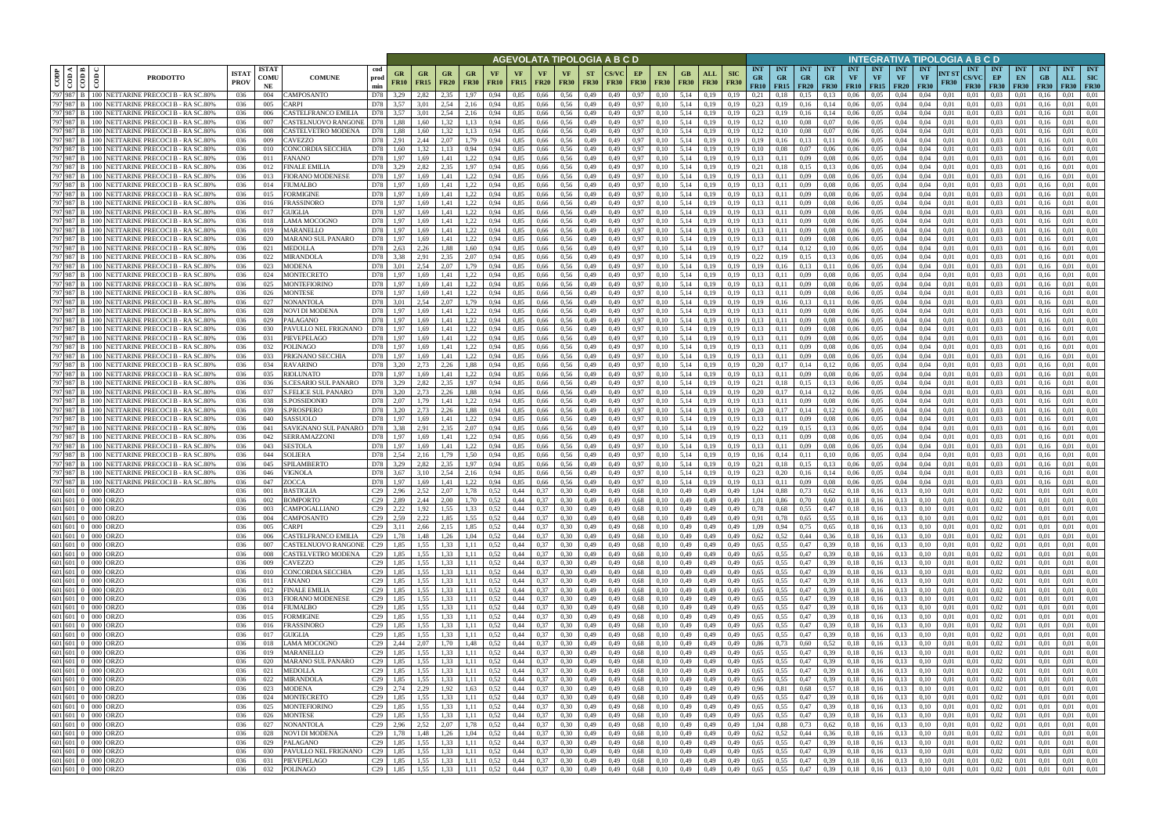|                        |                                                                                                                                                                                                                                |                                                                                      |                             |                            |                                                   |                    |                                              |                   |                           |                          |                   |                   |                            |                          |                          | AGEVOLATA TIPOLOGIA A B C D |                   |                              |                                |                    |                           |                                        |                                        |                         |                                        |                         |                                             |                                        | INTEGRATIVA TIPOLOGIA A B C D   |                      |                                           |                                 |                                 |                                 |                                  |                                         |
|------------------------|--------------------------------------------------------------------------------------------------------------------------------------------------------------------------------------------------------------------------------|--------------------------------------------------------------------------------------|-----------------------------|----------------------------|---------------------------------------------------|--------------------|----------------------------------------------|-------------------|---------------------------|--------------------------|-------------------|-------------------|----------------------------|--------------------------|--------------------------|-----------------------------|-------------------|------------------------------|--------------------------------|--------------------|---------------------------|----------------------------------------|----------------------------------------|-------------------------|----------------------------------------|-------------------------|---------------------------------------------|----------------------------------------|---------------------------------|----------------------|-------------------------------------------|---------------------------------|---------------------------------|---------------------------------|----------------------------------|-----------------------------------------|
| CODP                   | $rac{1000}{\frac{10000}{\frac{1}{2}}$<br>ම්                                                                                                                                                                                    | <b>PRODOTTO</b>                                                                      | <b>ISTA7</b><br><b>PROV</b> | <b>ISTAT</b><br>COMU<br>NE | <b>COMUNE</b>                                     | cod<br>prod<br>min | GR<br><b>FR10</b>                            | GR<br><b>FR15</b> | GR<br><b>FR20</b>         | <b>GR</b><br><b>FR30</b> | VF<br><b>FR10</b> | VF<br><b>FR15</b> | <b>VF</b><br><b>FR20</b>   | <b>VF</b><br><b>FR30</b> | <b>ST</b><br><b>FR30</b> | <b>FR30</b>                 | EP<br><b>FR30</b> | <b>EN</b><br><b>FR30</b>     | GB<br><b>FR30</b>              | ALL<br><b>FR30</b> | <b>SIC</b><br><b>FR30</b> | <b>INT</b><br><b>GR</b><br><b>FR10</b> | <b>INT</b><br><b>GR</b><br>$FR15$ FR20 | <b>INT</b><br><b>GR</b> | <b>INT</b><br><b>GR</b><br><b>FR30</b> | <b>INT</b><br><b>VF</b> | <b>INT</b><br><b>VF</b><br><b>FR10</b> FR15 | <b>INT</b><br><b>VF</b><br><b>FR20</b> | <b>INT</b><br>VF<br><b>FR30</b> | NT ST<br><b>FR30</b> | <b>INT</b><br><b>CS/VC</b><br><b>FR30</b> | <b>INT</b><br>EP<br><b>FR30</b> | <b>INT</b><br>EN<br><b>FR30</b> | <b>INT</b><br>GB<br><b>FR30</b> | <b>INT</b><br>ALL<br><b>FR30</b> | <b>INT</b><br><b>SIC</b><br><b>FR30</b> |
| 797 987                |                                                                                                                                                                                                                                | <b>B</b>   100   NETTARINE PRECOCI B - RA SC.80%                                     | 036                         | 004                        | CAMPOSANTO                                        | D78                | 3.29                                         | 2,82              | 2.35                      | 1.97                     | 0.94              | 0.85              | 0,66                       | 0.56                     | 0,49                     | 0,49                        | 0,97              | 0.10                         | 5.14                           | 0.19               | 0.19                      | 0.21                                   |                                        | 0.15                    | 0.13                                   | 0.06                    | 0.05                                        | 0.04                                   | 0.04                            | 0.01                 | 0.01                                      | 0.03                            | 0.01                            |                                 | 0.01                             | 0.01                                    |
| 797 987<br>797 987     |                                                                                                                                                                                                                                | B   100 NETTARINE PRECOCI B - RA SC.80%<br>100 NETTARINE PRECOCI B - RA SC.80%       | 036<br>036                  | 005<br>006                 | `ARPI<br>CASTELFRANCO EMILIA                      | D78<br>D78         | 3,57<br>3,57                                 | 3,01<br>3,01      | 2,54<br>2,54              | 2,16<br>2,16             | 0,94<br>0.94      | 0,85<br>0.85      | 0,66<br>0,66               | 0.56<br>0,56             | 0,49<br>0,49             | 0,49<br>0,49                | 0,97<br>0,97      | 0,10<br>0,10                 | 5,14<br>5,14                   | 0,19<br>0,19       | 0,19<br>0.19              | 0.23<br>0,23                           | 0,19<br>0,19                           | 0,16<br>0,16            | 0,14<br>0,14                           | 0,06<br>0.06            | 0.05<br>0,05                                | 0,04<br>0,04                           | 0.04<br>0.04                    | 0,01<br>0,01         | 0,01<br>0,01                              | 0.03<br>0.03                    | 0,01<br>0,01                    | 0.16<br>0.16                    | 0.01<br>0.01                     | 0.01<br>0,01                            |
| 797 987 B              |                                                                                                                                                                                                                                | 100 NETTARINE PRECOCI B - RA SC.80%                                                  | 036                         | 007                        | CASTELNUOVO RANGONE                               | D78                | 1.88                                         | 1.60              | 1.32                      | 1.13                     | 0.94              | 0.85              | 0,66                       | 0.56                     | 0,49                     | 0,49                        | 0,97              | 0.10                         | 5.14                           | 0.19               | 0.19                      | 0.12                                   | 0.10                                   | 0.08                    | 0.07                                   | 0,06                    | 0.05                                        | 0.04                                   | 0.04                            | 0.01                 | 0.01                                      | 0.03                            | 0.01                            | 0.16                            | 0.01                             | 0.01                                    |
| 797 987                | 100                                                                                                                                                                                                                            | NETTARINE PRECOCI B - RA SC.80%                                                      | 036                         | 008                        | CASTELVETRO MODENA                                | D78                | 1.88                                         | 1.60              | 1.32<br>2.07              | 1.13                     | 0.94              | 0.85<br>0.85      | 0.66                       | 0.56                     | 0,49                     | 0.49                        | 0.97              | 0.10                         | 5.14<br>5.14                   | 0.19               | 0.19                      | 0.12<br>0.19                           |                                        | 0.08                    | 0.07                                   | 0.06                    | 0.05<br>0.05                                | 0.04                                   | 0.04                            | 0.01                 | 0.01                                      | 0.03<br>0.03                    | 0.01                            |                                 | 0.01<br>0.01                     | 0.01                                    |
| 797 987<br>797 987     | 100<br>100                                                                                                                                                                                                                     | NETTARINE PRECOCI B - RA SC.80%<br>NETTARINE PRECOCI B - RA SC.80%                   | 036<br>036                  | 009<br>010                 | CAVEZZO<br>CONCORDIA SECCHIA                      | D78<br>D78         | 2,91<br>1.60                                 | 2,44<br>1.32      | 1.13                      | 1,79<br>0,94             | 0.94<br>0.94      | 0.85              | 0,66<br>0.66               | 0.56<br>0.56             | 0,49<br>0,49             | 0,49<br>0.49                | 0,97<br>0.97      | 0,10<br>0,10                 | 5.14                           | 0,19<br>0.19       | 0.19<br>0.19              | 0.10                                   | 0,16<br>0.08                           | 0,13<br>0.07            | 0,11<br>0.06                           | 0,06<br>0.06            | 0.05                                        | 0.04<br>0.04                           | 0.04<br>0.04                    | 0.01<br>0.01         | 0.01<br>0.01                              | 0.03                            | 0,01<br>0.01                    | 0.16<br>0.16                    | 0.01                             | 0,01<br>0.01                            |
| 797 987 B              |                                                                                                                                                                                                                                | 100 NETTARINE PRECOCI B - RA SC.80%                                                  | 036                         | 011                        | FANANO                                            | D78                | 1,97                                         | 1.69              | 1.41                      | 1,22                     | 0.94              | 0.85              | 0.66                       | 0.56                     | 0,49                     | 0,49                        | 0,97              | 0,10                         | 5.14                           | 0.19               | 0.19                      | 0.13                                   | 0,11                                   | 0,09                    | 0.08                                   | 0.06                    | 0.05                                        | 0.04                                   | 0.04                            | 0.01                 | 0.01                                      | 0.03                            | 0.01                            | 0.16                            | 0.01                             | 0.01                                    |
| 797 987 B<br>797 987   |                                                                                                                                                                                                                                | 100 NETTARINE PRECOCI B - RA SC.80%                                                  | 036                         | 012                        | <b>FINALE EMILIA</b>                              | D78                | 3,29                                         | 2.82              | 2.35                      | 1,97                     | 0.94              | 0.85              | 0.66                       | 0.56                     | 0,49                     | 0.49                        | 0,97              | 0,10                         | 5.14                           | 0,19               | 0.19                      | 0,21                                   | 0,18                                   | 0,15                    | 0,13                                   | 0.06                    | 0.05                                        | 0.04                                   | 0.04                            | 0.01                 | 0.01                                      | 0.03                            | 0,01                            | 0.16                            | 0.01                             | 0,01                                    |
| 797 987                | 100<br>100                                                                                                                                                                                                                     | NETTARINE PRECOCI B - RA SC.80%<br>NETTARINE PRECOCI B - RA SC.80%                   | 036<br>036                  | 013<br>014                 | FIORANO MODENESE<br>FIUMALBO                      | D78<br>D78         | 1,97<br>1,97                                 | 1.69<br>1.69      | 1.41<br>1,41              | 1,22<br>1,22             | 0.94<br>0.94      | 0,85<br>0,85      | 0,66<br>0,66               | 0.56<br>0.56             | 0,49<br>0,49             | 0,49<br>0.49                | 0,97<br>0.97      | 0.10<br>0,10                 | 5.14<br>5,14                   | 0.19<br>0.19       | 0.19<br>0.19              | 0.13<br>0,13                           | 0,11<br>0,11                           | 0,09<br>0,09            | 0.08<br>0.08                           | 0,06<br>0.06            | 0.05<br>0.05                                | 0.04<br>0.04                           | 0.04<br>0.04                    | 0,01<br>0.01         | 0.01<br>0.01                              | 0.03<br>0.03                    | 0,01<br>0,01                    | 0.16<br>0.16                    | 0.01<br>0.01                     | 0,01<br>0.01                            |
| 797 987 B              | 100                                                                                                                                                                                                                            | NETTARINE PRECOCI B - RA SC.80%                                                      | 036                         | 015                        | FORMIGINE                                         | D78                | 1,97                                         | 1,69              | 1,41                      | 1,22                     | 0,94              | 0,85              | 0,66                       | 0,56                     | 0,49                     | 0,49                        | 0,97              | 0,10                         | 5,14                           | 0,19               | 0,19                      | 0,13                                   | 0,11                                   | 0,09                    | 0.08                                   | 0,06                    | 0,05                                        | 0,04                                   | 0,04                            | 0,01                 | 0,01                                      | 0.03                            | 0,01                            | 0,16                            | 0,01                             | 0,01                                    |
| 797 987 B              |                                                                                                                                                                                                                                | 100 NETTARINE PRECOCI B - RA SC.80%<br>797 987 B 100 NETTARINE PRECOCI B - RA SC.80% | 036                         | 016<br>017                 | FRASSINORO<br><b>GUIGLIA</b>                      | D78<br>D78         | 1,97<br>1,97                                 | 1.69<br>1.69      | 1.41                      | 1.22<br>1,22             | 0.94<br>0.94      | 0,85<br>0,85      | 0,66                       | 0.56<br>0.56             | 0,49<br>0,49             | 0.49                        | 0.97              | 0.10<br>0.10                 | 5,14<br>5,14                   | 0.19               | 0.19<br>0.19              | 0,13<br>0,13                           | 0.11                                   | 0,09                    | 0.08                                   | 0,06                    | 0.05                                        | 0,04                                   | 0.04<br>0.04                    | 0.01                 | 0.01<br>0.01                              | 0.03<br>0.03                    | 0.01                            | 0.16<br>0.16                    | 0,01<br>0,01                     | 0.01<br>0.01                            |
|                        |                                                                                                                                                                                                                                | 797 987 B 100 NETTARINE PRECOCI B - RA SC.80%                                        | 036<br>036                  | 018                        | LAMA MOCOGNO                                      | D78                | 1,97                                         | 1,69              | 1,41<br>1,41              | 1,22                     | 0,94              | 0,85              | 0,66<br>0,66               | 0.56                     | 0,49                     | 0,49<br>0,49                | 0,97<br>0,97      | 0,10                         | 5,14                           | 0,19<br>0,19       | 0.19                      | 0,13                                   | 0,11<br>0.11                           | 0,09<br>0,09            | 0.08<br>0.08                           | 0,06<br>0,06            | 0,05<br>0,05                                | 0,04<br>0,04                           | 0.04                            | 0,01<br>0.01         | 0.01                                      | 0,03                            | 0,01<br>0,01                    | 0.16                            | 0,01                             | 0.01                                    |
| 797 987 B              |                                                                                                                                                                                                                                | 100 NETTARINE PRECOCI B - RA SC.80%                                                  | 036                         | 019                        | <b>MARANELLO</b>                                  | D78                | 1.97                                         | 1.69              | 1.41                      | 1.22                     | 0.94              | 0.85              | 0.66                       | 0.56                     | 0,49                     | 0.49                        | 0.97              | 0.10                         | 5.14                           | 0.19               | 0.19                      | 0.13                                   | 0.11                                   | 0.09                    | 0.08                                   | 0.06                    | 0.05                                        | 0.04                                   | 0.04                            | 0.01                 | 0.01                                      | 0.03                            | 0.01                            | 0.16                            | 0.01                             | 0.01                                    |
| 797 987 B<br>797 987 B |                                                                                                                                                                                                                                | 100 NETTARINE PRECOCI B - RA SC.80%                                                  | 036                         | 020<br>021                 | MARANO SUL PANARO                                 | D78<br>D78         | 1.97                                         | 1.69<br>2,26      | 1.41                      | 1.22                     | 0.94              | 0.85<br>0,85      | 0.66                       | 0.56<br>0.56             | 0,49                     | 0.49                        | 0.97              | 0.10                         | 5.14<br>5.14                   | 0.19               | 0.19                      | 0.13<br>0.17                           | 0.11<br>0.14                           | 0.09                    | 0.08                                   | 0.06<br>0.06            | 0.05                                        | 0.04<br>0.04                           | 0.04<br>0.04                    | 0.01<br>0.01         | 0.01<br>0.01                              | 0.03                            | 0.01<br>0.01                    | 0.16<br>0.16                    | 0.01<br>0.01                     | 0.01<br>0.01                            |
| 797 987 B              | 100                                                                                                                                                                                                                            | 100 NETTARINE PRECOCI B - RA SC.80%<br>NETTARINE PRECOCI B - RA SC.809               | 036<br>036                  | 022                        | MEDOLLA<br>MIRANDOLA                              | D78                | 2.63<br>3.38                                 | 2.91              | 1,88<br>2.35              | 1,60<br>2.07             | 0.94              | 0.85              | 0,66<br>0.66               | 0.56                     | 0,49<br>0,49             | 0.49<br>0.49                | 0,97<br>0.97      | 0.10<br>0.10                 | 5.14                           | 0.19<br>0.19       | 0.19                      | 0.22                                   |                                        | 0,12<br>0.15            | 0,10                                   | 0.06                    | 0,05<br>0.05                                | 0.04                                   | 0.04                            | 0.01                 | 0.01                                      | 0,03<br>0.03                    | 0.01                            |                                 | 0.01                             | 0.01                                    |
| 797 987                |                                                                                                                                                                                                                                | NETTARINE PRECOCI B - RA SC.80%                                                      | 036                         | 023                        | MODENA                                            | D78                | 3.01                                         | 2.54              | 2.07                      | .79                      | 0.94              | 0.85              | 0.66                       | 0.56                     | 0.49                     | 0.49                        | 0.97              | 0.10                         | 5.14                           | 0.19               | 0.19                      | 0.19                                   |                                        | 0.13                    |                                        | 0.06                    | 0.05                                        | 0.04                                   | 0.04                            | 0.01                 | 0.01                                      | 0.03                            | 0.01                            |                                 | 0.01                             | 0.01                                    |
| 797 987 B              | 100 l                                                                                                                                                                                                                          | NETTARINE PRECOCI B - RA SC.809                                                      | 036                         | 024                        | <b>MONTECRETO</b>                                 | D78                | 1.97                                         | 1.69              | 1.41                      | 1,22                     |                   | 0.85              | 0.66                       | 0.56                     | 0,49                     | 0.49                        | 0,97              | 0.10                         | 5.14                           | 0.19               | 0.19                      | 0,13                                   | 0,1                                    | 0,09                    | 0.08                                   | 0.06                    | 0.05                                        | 0.04                                   | 0.04                            | 0.01                 | 0.01                                      | 0.03                            | 0.01                            |                                 | 0.01                             | 0.01                                    |
| 987<br>797 987         | B                                                                                                                                                                                                                              | 100 NETTARINE PRECOCI B - RA SC.80%<br>100 NETTARINE PRECOCI B - RA SC.80%           | 036<br>036                  | 025<br>026                 | MONTEFIORINO<br>MONTESE                           | D78<br>D78         | 1.97<br>1.97                                 | 1.69<br>1.69      | 1.41<br>1.41              | 1.22<br>1,22             | 0.94              | 0.85<br>0,85      | 0.66<br>0,66               | 0.56<br>0.56             | 0,49<br>0,49             | 0.49<br>0,49                | 0.97<br>0.97      | 0.10<br>0,10                 | 5.14<br>5.14                   | 0.19<br>0.19       | 0.19<br>0,19              | 0.13<br>0.13                           | 0.11<br>0,11                           | 0,09<br>0,09            | 0.08<br>0.08                           | 0.06<br>0,06            | 0.05<br>0.05                                | 0.04<br>0,04                           | 0.04<br>0.04                    | 0.01<br>0.01         | 0.01<br>0,01                              | 0.03<br>0.03                    | 0.01<br>0.01                    | 0.16                            | 0.01<br>0.01                     | 0.01<br>0.01                            |
| 797 987                | 100 I                                                                                                                                                                                                                          | NETTARINE PRECOCI B - RA SC.80%                                                      | 036                         | 027                        | NONANTOLA                                         | D78                | 3,01                                         | 2,54              | 2.07                      | 1,79                     | 0.94              | 0,85              | 0,66                       | 0.56                     | 0,49                     | 0.49                        | 0,97              | 0,10                         | 5,14                           | 0.19               | 0.19                      | 0,19                                   |                                        | 0,13                    | 0,11                                   | 0.06                    | 0.05                                        | 0.04                                   | 0.04                            | 0.01                 | 0.01                                      | 0.03                            | 0.01                            |                                 | 0.01                             | 0.01                                    |
| 797 987                | 100 L                                                                                                                                                                                                                          | NETTARINE PRECOCI B - RA SC.80%                                                      | 036                         | 028                        | NOVI DI MODENA                                    | D78                | 1.97                                         | 1.69              | l.41                      | .22                      |                   | 0,85              | 0,66                       | 0.56                     | 0,49                     | 0,49                        | 0.97              | 0.10                         | 5.14                           | 0.19               | 0.19                      | 0.13                                   |                                        | 0,09                    | 0.08                                   | 0,06                    | 0.05                                        | 0.04                                   | 0.04                            | 0.01                 | 0.01                                      | 0.03                            | 0.01                            | 0.16                            | 0.01                             | 0.01                                    |
| 797 987<br>797 987     | 00 <sub>1</sub>                                                                                                                                                                                                                | NETTARINE PRECOCI B - RA SC.80%<br>100 NETTARINE PRECOCI B - RA SC.80%               | 036<br>036                  | 029<br>030                 | <b>PALAGANO</b><br>PAVULLO NEL FRIGNANO           | D78<br>D78         | .97<br>1,97                                  | .69<br>1,69       | l.41<br>1,41              | .22<br>1,22              | 0.94<br>0,94      | 0.85<br>0,85      | 0.66<br>0,66               | 0.56<br>0,56             | 0,49<br>0,49             | 0.49<br>0,49                | 0.97<br>0,97      | 0.10<br>0,10                 | 5.14<br>5,14                   | 0.19<br>0,19       | 0.19<br>0,19              | 0.13<br>0,13                           | 0,11                                   | 0.09<br>0,09            | 0.08<br>0.08                           | 0.06<br>0,06            | 0.05<br>0,05                                | 0.04<br>0,04                           | 0.04<br>0,04                    | 0.01<br>0,01         | 0.01<br>0,01                              | 0.03<br>0,03                    | 0.01<br>0,01                    | 0.16                            | 0.01<br>0,01                     | 0.01<br>0,01                            |
| 797 987                | 100 I                                                                                                                                                                                                                          | NETTARINE PRECOCI B - RA SC.80%                                                      | 036                         | 031                        | PIEVEPELAGO                                       | D78                | 1.97                                         | 1.69              | 1.41                      | 1.22                     | 0.94              | 0.85              | 0.66                       | 0.56                     | 0,49                     | 0.49                        | 0,97              | 0.10                         | 5.14                           | 0.19               | 0.19                      | 0.13                                   | 0.11                                   | 0.09                    | 0.08                                   | 0.06                    | 0.05                                        | 0.04                                   | 0.04                            | 0.01                 | 0.01                                      | 0.03                            | 0.01                            | 01                              | 0.01                             | 0.01                                    |
| 797 987 B              |                                                                                                                                                                                                                                | 100 NETTARINE PRECOCI B - RA SC.80%                                                  | 036                         | 032                        | POLINAGO                                          | D78                | 1,97                                         | 1.69              | 1.41                      | 1,22                     | 0.94              | 0.85              | 0,66                       | 0.56                     | 0,49                     | 0,49                        | 0,97              | 0,10                         | 5.14                           | 0.19               | 0.19                      | 0.13                                   | 0,11                                   | 0,09                    | 0.08                                   | 0,06                    | 0.05                                        | 0.04                                   | 0.04                            | 0.01                 | 0.01                                      | 0.03                            | 0,01                            | 0.16                            | 0.01                             | 0.01                                    |
| 797 987<br>797 987     | 100 l<br>100                                                                                                                                                                                                                   | NETTARINE PRECOCI B - RA SC.80%<br>NETTARINE PRECOCI B - RA SC.80%                   | 036<br>036                  | 033<br>034                 | PRIGNANO SECCHIA<br><b>RAVARINO</b>               | D78<br>D78         | 1.97<br>3.20                                 | 1.69<br>2.73      | 1,41<br>2.26              | 1,22<br>1,88             | 0.94<br>0.94      | 0.85<br>0.85      | 0.66<br>0.66               | 0.56<br>0.56             | 0,49<br>0,49             | 0.49<br>0.49                | 0,97<br>0,97      | 0.10<br>0.10                 | 5.14<br>5.14                   | 0.19<br>0.19       | 0.19<br>0.19              | 0.13<br>0.20                           | 0,11<br>0,17                           | 0,09<br>0,14            | 0.08<br>0,12                           | 0.06<br>0.06            | 0.05<br>0.05                                | 0.04<br>0.04                           | 0.04<br>0.04                    | 0.01<br>0.01         | 0.01<br>0.01                              | 0.03<br>0.03                    | 0.01<br>0.01                    | 016<br>0.16                     | 0.01<br>0.01                     | 0,01<br>0.01                            |
| 797 987                | 100                                                                                                                                                                                                                            | NETTARINE PRECOCI B - RA SC.80%                                                      | 036                         | 035                        | <b>RIOLUNATO</b>                                  | D78                | 1.97                                         | 1.69              | 1.41                      | 1,22                     | 0.94              | 0.85              | 0.66                       | 0.56                     | 0,49                     | 0.49                        | 0.97              | 0.10                         | 5.14                           | 0.19               | 0.19                      | 0.13                                   | 0,11                                   | 0,09                    | 0.08                                   | 0.06                    | 0.05                                        | 0.04                                   | 0.04                            | 0.01                 | 0.01                                      | 0.03                            | 0.01                            | 0.16                            | 0.01                             | 0.01                                    |
| 797 987 B              |                                                                                                                                                                                                                                | 100 NETTARINE PRECOCI B - RA SC.80%                                                  | 036                         | 036                        | S.CESARIO SUL PANARO                              | D78                | 3,29                                         | 2,82              | 2.35                      | 1,97                     | 0,94              | 0.85              | 0,66                       | 0.56                     | 0,49                     | 0,49                        | 0,97              | 0,10                         | 5,14                           | 0,19               | 0,19                      | 0,21                                   | 0,18                                   | 0,15                    | 0,13                                   | 0,06                    | 0.05                                        | 0,04                                   | 0.04                            | 0,01                 | 0,01                                      | 0,03                            | 0,01                            | 0.16                            | 0.01                             | 0,01                                    |
| 797 987<br>797 987 B   | 100<br>100                                                                                                                                                                                                                     | NETTARINE PRECOCI B - RA SC.80%<br>NETTARINE PRECOCI B - RA SC.80%                   | 036<br>036                  | 037<br>038                 | <b>S.FELICE SUL PANARO</b><br><b>S.POSSIDONIO</b> | D78<br>D78         | 3,20<br>2,07                                 | 2.73<br>1,79      | 2.26<br>1,41              | 1,88<br>1,22             | 0.94<br>0.94      | 0.85<br>0,85      | 0,66<br>0,66               | 0.56<br>0.56             | 0,49<br>0,49             | 0.49<br>0,49                | 0.97<br>0,97      | 0,10<br>0,10                 | 5,14<br>5,14                   | 0.19<br>0,19       | 0.19<br>0.19              | 0.20<br>0,13                           | 0,17<br>0,11                           | 0.14<br>0,09            | 0,12<br>0.08                           | 0.06<br>0,06            | 0.05<br>0.05                                | 0.04<br>0,04                           | 0.04<br>0.04                    | 0.01<br>0,01         | 0.01<br>0.01                              | 0.03<br>0.03                    | 0.01<br>0,01                    | 0.16<br>0.16                    | 0.01<br>0.01                     | 0.01<br>0,01                            |
| 797 987 B              |                                                                                                                                                                                                                                | 100 NETTARINE PRECOCI B - RA SC.80%                                                  | 036                         | 039                        | S.PROSPERO                                        | D78                | 3,20                                         | 2,73              | 2,26                      | 1,88                     | 0,94              | 0,85              | 0,66                       | 0,56                     | 0,49                     | 0,49                        | 0,97              | 0,10                         | 5,14                           | 0,19               | 0.19                      | 0,20                                   | 0,17                                   | 0,14                    | 0,12                                   | 0,06                    | 0,05                                        | 0,04                                   | 0,04                            | 0,01                 | 0,01                                      | 0,03                            | 0,01                            | 0.16                            | 0,01                             | 0,01                                    |
| 797 987 B              |                                                                                                                                                                                                                                | 100 NETTARINE PRECOCI B - RA SC.80%                                                  | 036                         | 040                        | SASSUOLO                                          | D78                | 1,97                                         | 1.69              | 1.41                      | 1,22                     | 0.94              | 0,85              | 0,66                       | 0.56                     | 0,49                     | 0,49                        | 0,97              | 0.10                         | 5,14                           | 0.19               | 0.19                      | 0.13                                   | 0,11                                   | 0,09                    | 0.08                                   | 0,06                    | 0,05                                        | 0,04                                   | 0.04                            | 0,01                 | 0.01                                      | 0.03                            | 0,01                            | 0.16                            | 0,01                             | 0.01                                    |
| 797 987 B<br>797 987 B |                                                                                                                                                                                                                                | 100 NETTARINE PRECOCI B - RA SC.80%<br>100 NETTARINE PRECOCI B - RA SC.80%           | 036<br>036                  | 041<br>042                 | SAVIGNANO SUL PANARO<br><b>SERRAMAZZONI</b>       | D78<br>D78         | 3.38<br>1,97                                 | 2.91<br>1,69      | 2.35<br>1,41              | 2,07<br>1,22             | 0.94<br>0.94      | 0,85<br>0,85      | 0,66<br>0,66               | 0.56<br>0.56             | 0,49<br>0,49             | 0,49<br>0,49                | 0,97<br>0,97      | 0,10<br>0.10                 | 5,14<br>5,14                   | 0,19<br>0,19       | 0.19<br>0.19              | 0,22<br>0,13                           | 0.19<br>0,11                           | 0,15<br>0,09            | 0,13<br>0.08                           | 0,06<br>0,06            | 0.05<br>0,05                                | 0,04<br>0,04                           | 0.04<br>0.04                    | 0.01<br>0.01         | 0.01<br>0.01                              | 0.03<br>0.03                    | 0,01<br>0,01                    | 0.16<br>0.16                    | 0,01<br>0.01                     | 0.01<br>0.01                            |
| 797 987 B              |                                                                                                                                                                                                                                | 100 NETTARINE PRECOCI B - RA SC.809                                                  | 036                         | 043                        | <b>SESTOLA</b>                                    | D78                | 1.97                                         | 1.69              | 1.41                      | 1,22                     | 0.94              | 0.85              | 0.66                       | 0.56                     | 0,49                     | 0.49                        | 0.97              | 0.10                         | 5.14                           | 0.19               |                           | 0.13                                   | 0.11                                   | 0.09                    | 0.08                                   | 0.06                    | 0.05                                        | 0.04                                   | 0.04                            | 0.01                 | 0.01                                      | 0.03                            | 0.01                            | 01                              | 0.01                             | 0.01                                    |
| 797 987                |                                                                                                                                                                                                                                | NETTARINE PRECOCI B - RA SC.80%                                                      | 036                         | 044                        | <b>SOLIERA</b>                                    | D78                | 2.54                                         | 2.16              | 1.79                      | 1.50                     | 0.94              | 0.85              | 0.66                       | 0.56                     | 0,49                     | 0.49                        | 0.97              | 0.10                         | 5.14                           | 0.19               | 0.19                      | 0.16                                   | 0.14                                   | 0.11                    | 0.10                                   | 0.06                    | 0.05                                        | 0.04                                   | 0.04                            | 0.01                 | 0.01                                      | 0.03                            | 0.01                            | 0.16                            | 0.01                             | 0.01                                    |
| 797 987 B<br>797 987 B |                                                                                                                                                                                                                                | 100 NETTARINE PRECOCI B - RA SC.809<br>100 NETTARINE PRECOCI B - RA SC.80%           | 036<br>036                  | 045<br>046                 | SPILAMBERTO<br>VIGNOLA                            | D78<br>D78         | 3.29<br>3.67                                 | 2,82<br>3.10      | 2,35<br>2.54              | 1,97<br>2.16             | 0.94<br>0.94      | 0,85<br>0.85      | 0,66<br>0.66               | 0.56<br>0.56             | 0,49<br>0.49             | 0.49<br>0.49                | 0,97<br>0.97      | 0,10<br>0.10                 | 5,14<br>5.14                   | 0,19<br>0.19       | 0.19<br>0.19              | 0,21<br>0.23                           | 0.18<br>0.20                           | 0,15<br>0.16            | 0,13<br>0.14                           | 0,06<br>0.06            | 0,05<br>0.05                                | 0,04<br>0.04                           | 0.04<br>0.04                    | 0.01<br>0.01         | 0.01<br>0.01                              | 0,03<br>0.03                    | 0,01<br>0.01                    | 0.16                            | 0,01<br>0.01                     | 0.01<br>0.01                            |
|                        |                                                                                                                                                                                                                                | 797 987 B 100 NETTARINE PRECOCI B - RA SC.80%                                        | 036                         | 047                        | ZOCCA                                             | D78                | 1.97                                         | 1.69              | 1.41                      | 1,22                     | 0.94              | 0.85              | 0.66                       | 0.56                     | 0,49                     | 0.49                        | 0.97              | 0.10                         | 5.14                           | 0.19               | 0.19                      | 0.13                                   | 0.11                                   | 0.09                    | 0.08                                   | 0.06                    | 0.05                                        | 0.04                                   | 0.04                            | 0.01                 | 0.01                                      | 0.03                            | 0.01                            | 0.16                            | 0.01                             | 0.01                                    |
|                        | 601 601 0 000 ORZO                                                                                                                                                                                                             |                                                                                      | 036                         | 001                        | <b>BASTIGLIA</b>                                  | C29                | 2.96                                         | 2,52              | 2.07                      | 1.78                     | 0.52              | 0.44              | 0.37                       | 0.30                     | 0.49                     | 0.49                        | 0.68              | 0.10                         | 0.49                           | 0.49               | 0.49                      | 1.04                                   | 0.88                                   | 0.73                    | 0.62                                   | 0.18                    | 0.16                                        | 0.13                                   |                                 | 0.01                 | 0.01                                      | 0.02                            | 0.01                            | 0.01                            | 0.01                             | 0.01                                    |
|                        | 601 601 0 000 ORZO<br>601 601 0 000 ORZO                                                                                                                                                                                       |                                                                                      | 036<br>036                  | 002<br>003                 | <b>BOMPORTO</b><br>CAMPOGALLIANO                  |                    | $C29$ 2,89<br>$C29$ 2,22                     | 2,44<br>1,92      | 2,00<br>1,55              | 1,70<br>1,33             | 0,52<br>0,52      | 0,44<br>0,44      | 0,37<br>0,37               | 0,30<br>0,30             | 0,49<br>0,49             | 0,49<br>0,49                | 0,68<br>0,68      | 0,10<br>0,10                 | 0,49<br>0,49                   | 0,49<br>0,49       | 0,49<br>0,49              | 1,01<br>0,78                           | 0,86<br>0,68                           | 0,70<br>0,55            | 0,60<br>0,47                           | 0,18<br>0,18            | 0,16<br>0,16                                | 0,13<br>0,13                           | 0,10<br>0,10                    | 0,01<br>0,01         | 0,01<br>0,01                              | 0,02<br>0,02                    | 0,01<br>0,01                    | 0,01<br>0,01                    | 0.01<br>0,01                     | 0,01<br>0,01                            |
|                        | 601 601 0 000 ORZO                                                                                                                                                                                                             |                                                                                      | 036                         | 004                        | CAMPOSANTO                                        |                    | C <sub>29</sub> 2,59                         | 2,22              | 1,85                      | 1,55                     | 0,52              | 0,44              | $0,37$ 0,30                |                          | 0,49                     | 0,49                        | 0,68              | 0,10                         | 0,49                           | 0,49               | 0,49                      | 0,91                                   | 0,78                                   | 0,65                    | 0,55                                   | 0,18                    | 0,16                                        | 0,13                                   | 0,10                            | 0,01                 | 0,01                                      | 0,02                            | 0,01                            | 0,01                            | 0,01                             | 0,01                                    |
|                        | 601 601 0 000 ORZO                                                                                                                                                                                                             |                                                                                      | 036                         | 005                        | CARPI                                             |                    | $C29$ 3,11                                   | 2,66              | 2,15                      | 1,85                     | 0,52              | 0,44              | $0,37$ 0,30                |                          | 0,49                     | 0,49                        | 0,68              | 0,10                         | $0,49$ 0,49                    |                    | 0,49                      | 1,09                                   | 0,94                                   | 0,75                    | 0,65                                   | 0,18                    | 0,16                                        | 0,13                                   | 0,10                            | 0,01                 | 0,01                                      | 0,02                            | 0,01                            | 0,01                            | 0,01                             | 0,01                                    |
|                        | 601 601 0 000 ORZO<br>601 601 0 000 ORZO                                                                                                                                                                                       |                                                                                      | 036<br>036                  | 006<br>007                 | CASTELFRANCO EMILIA<br>CASTELNUOVO RANGONE        |                    | $C29$ 1,78<br>$C29$ 1,85                     | 1,48<br>1,55      | 1,26<br>1,33              | 1,04<br>1,11             | 0,52<br>0,52      | 0,44<br>0,44      | 0,37<br>0,37               | 0,30<br>0,30             | 0,49<br>0,49             | 0,49<br>0,49                | 0,68<br>0,68      | 0,10<br>0,10                 | 0,49<br>$0,49$ 0,49            | 0,49               | 0,49<br>0,49              | 0,62<br>0,65                           | 0,52<br>0,55                           | 0,44<br>0,47            | 0,36<br>0,39                           | 0,18<br>0,18            | 0,16<br>0,16                                | 0,13<br>0,13                           | 0,10<br>0,10                    | 0,01<br>0,01         | 0,01<br>0,01                              | 0,02<br>0,02                    | 0,01<br>0,01                    | 0,01<br>0,01                    | 0,01<br>0,01                     | 0,01<br>0,01                            |
|                        | 601 601 0 000 ORZO                                                                                                                                                                                                             |                                                                                      | 036                         | 008                        | CASTELVETRO MODENA                                |                    | $C29$ 1,85                                   | 1,55              | 1,33                      | 1,11                     | 0,52              | 0,44              |                            | $0,37$ $0,30$            | 0,49                     | 0,49                        | 0,68              | 0,10                         | $0,49$ 0,49                    |                    | 0,49                      | 0,65                                   | 0,55                                   | 0,47                    | 0,39                                   | 0,18                    | 0,16                                        | 0,13                                   | 0,10                            | 0,01                 | 0,01                                      | 0,02                            | 0,01                            | 0,01                            | 0.01                             | 0,01                                    |
|                        | 601 601 0 000 ORZO                                                                                                                                                                                                             |                                                                                      | 036                         | 009                        | CAVEZZO                                           |                    | $C29$ 1,85                                   | 1,55              | 1,33                      | 1,11                     | 0,52              | 0,44              |                            | $0,37$ $0,30$            | 0,49                     | 0,49                        |                   | 0,68<br>0,10                 | 0,49 0,49                      |                    | 0,49                      | 0,65                                   | $0,55$ 0,47                            |                         | 0,39                                   | 0,18                    | 0,16                                        | 0,13                                   | 0,10                            | 0,01                 | 0,01                                      | 0,02                            | 0,01                            | 0,01                            | 0,01                             | 0,01                                    |
|                        | 601 601 0 000 ORZO<br>601 601 0 000 ORZO                                                                                                                                                                                       |                                                                                      | 036<br>036                  | 010<br>011                 | CONCORDIA SECCHIA<br>FANANO                       |                    | $C29$ 1,85<br>$C29$ 1,85                     | 1,55<br>1,55      | 1,33<br>1,33              | 1,11<br>1,11             | 0,52<br>0,52      | 0,44<br>0,44      | $0,37$ 0,30<br>$0,37$ 0,30 |                          | 0,49<br>0,49             | 0,49<br>0,49                | 0,68<br>0,68      | 0,10<br>0,10                 | $\overline{0,49}$ 0,49<br>0,49 | 0,49               | 0,49<br>0,49              | 0,65<br>0,65                           | 0,55<br>0,55                           | 0,47<br>0,47            | 0,39<br>0,39                           | 0,18<br>0,18            | 0,16<br>0,16                                | 0,13<br>0,13                           | 0,10<br>0,10                    | 0,01<br>0,01         | 0,01<br>0,01                              | 0,02<br>0,02                    | 0,01<br>0,01                    | 0,01<br>0,01                    | 0,01<br>0,01                     | 0,01<br>0,01                            |
|                        | 601 601 0 000 ORZO                                                                                                                                                                                                             |                                                                                      | 036                         | 012                        | <b>FINALE EMILIA</b>                              | C29                | 1,85                                         | 1,55              | 1,33                      | 1,11                     | 0,52              | 0,44              | $0,37$ 0,30                |                          | 0,49                     | 0,49                        | 0,68              | 0,10                         | 0,49                           | 0,49               | 0,49                      | 0,65                                   | 0,55                                   | 0,47                    | 0,39                                   | 0,18                    | 0,16                                        | 0,13                                   | 0,10                            | 0,01                 | 0,01                                      | 0,02                            | 0,01                            | 0,01                            | 0,01                             | 0,01                                    |
|                        | 601 601 0 000 ORZO                                                                                                                                                                                                             |                                                                                      | 036                         | 013                        | FIORANO MODENESE                                  |                    | C <sub>29</sub> 1,85                         | 1,55              | 1,33                      | 1,11                     | 0,52              | 0,44              | $0,37$ 0,30                |                          | 0,49                     | 0,49                        | 0,68              | 0,10                         | 0,49                           | 0,49               | 0,49                      | 0,65                                   | 0,55                                   | 0,47                    | 0,39                                   | 0,18                    | 0,16                                        | 0,13                                   | 0,10                            | 0,01                 | 0,01                                      | 0,02                            | 0,01                            | 0,01                            | 0,01                             | 0,01                                    |
|                        | 601 601 0 000 ORZO<br>601 601 0 000 ORZO                                                                                                                                                                                       |                                                                                      | 036<br>036                  | 014<br>015                 | <b>FIUMALBO</b><br><b>FORMIGINE</b>               |                    | $C29$ 1,85<br>$C29$ 1,85                     | 1,55<br>1,55      | 1,33<br>1,33              | 1,11<br>1,11             | 0,52<br>0,52      | 0,44<br>0,44      | $0,37$ 0,30<br>$0,37$ 0,30 |                          | 0,49<br>0,49             | 0,49<br>0,49                | 0,68<br>0,68      | 0,10<br>0,10                 | 0,49<br>0,49                   | 0,49<br>0,49       | 0,49<br>0,49              | 0,65<br>0,65                           | 0,55<br>0,55                           | 0,47<br>0,47            | 0,39<br>0,39                           | 0,18                    | 0,16<br>$0,18$ 0,16                         | 0,13<br>0,13                           | 0,10<br>0,10                    | 0,01<br>0,01         | 0,01<br>0,01                              | $0,02$ 0.01<br>0,02             | 0,01                            | 0,01<br>0,01                    | 0,01<br>0,01                     | 0,01<br>0,01                            |
|                        | 601 601 0 000 ORZO                                                                                                                                                                                                             |                                                                                      | 036                         | 016                        | FRASSINORO                                        |                    | $C29$ 1,85                                   | 1,55              | 1,33                      | 1,11                     | 0,52              | 0,44              | $0,37$ 0,30                |                          | 0,49                     | 0,49                        | 0,68              | 0,10                         | 0,49                           | 0,49               | 0,49                      | 0,65                                   | 0,55                                   | 0,47                    | 0,39                                   | 0,18                    | 0,16                                        | 0,13                                   | 0,10                            | 0,01                 | 0,01                                      | 0,02                            | 0,01                            | 0,01                            | 0,01                             | 0,01                                    |
|                        | 601 601 0 000 ORZO                                                                                                                                                                                                             |                                                                                      | 036                         | 017                        | <b>GUIGLIA</b>                                    |                    | $C29$ 1,85                                   | 1,55              | 1,33                      | 1,11                     | 0,52              | 0,44              | $0,37$ 0,30                |                          | 0,49                     | 0,49                        | 0,68              | 0,10                         | $0,49$ 0,49                    |                    | 0,49                      | 0,65                                   | 0,55                                   | 0,47                    | 0,39                                   |                         | $0,18$ 0,16                                 | 0,13                                   | 0,10                            | 0,01                 | 0,01                                      | 0,02                            | 0,01                            | 0,01                            | 0,01                             | 0,01                                    |
|                        | 601 601 0 000 ORZO<br>601 601 0 000 ORZO                                                                                                                                                                                       |                                                                                      | 036<br>036                  | 018<br>019                 | LAMA MOCOGNO<br><b>MARANELLO</b>                  |                    | $C29$ 2,44<br>$C29$ 1,85                     | 2,07<br>1,55      | 1,70<br>1,33              | 1,48<br>1,11             | 0,52<br>0,52      | 0,44<br>0,44      | $0,37$ 0,30                | $0,37$ 0,30              | 0,49<br>0,49             | 0,49<br>0,49                | 0,68<br>0,68      | 0,10<br>0,10                 | $0,49$ 0,49<br>0,49            | 0,49               | 0,49<br>0,49              | 0,86<br>0,65                           | 0,73<br>0,55                           | 0,60<br>0,47            | 0,52<br>0,39                           |                         | $0,18$ 0.16<br>$0,18$ 0,16                  | 0,13<br>0,13                           | 0,10<br>0,10                    | 0,01<br>0,01         | 0,01<br>0,01                              | 0,02<br>0,02                    | 0,01<br>0,01                    | 0,01<br>0,01                    | 0,01<br>0,01                     | 0,01<br>0,01                            |
|                        | 601 601 0 000 ORZO                                                                                                                                                                                                             |                                                                                      | 036                         | 020                        | MARANO SUL PANARO                                 |                    | $C29$ 1,85                                   | 1,55              | 1,33                      | 1,11                     | 0,52              | 0,44              | $0,37$ 0,30                |                          | 0,49                     | 0,49                        |                   | $0,68$ 0,10                  | $0,49$ 0,49                    |                    | 0,49                      | $0,65$ 0.55                            |                                        | 0,47                    | 0,39                                   |                         | $0,18$ 0,16                                 | 0,13                                   | 0,10                            | 0,01                 | 0,01                                      | 0,02                            | 0,01                            | 0,01                            | 0,01                             | 0,01                                    |
|                        | 601 601 0 000 ORZO                                                                                                                                                                                                             |                                                                                      | 036                         | 021                        | <b>MEDOLLA</b>                                    |                    | $C29$ 1,85                                   | 1,55              | 1,33                      | 1,11                     | 0,52              | 0,44              | $0,37$ 0,30                |                          | 0,49                     | 0,49                        | 0,68              | 0,10                         | 0,49                           | 0,49               | 0,49                      | $0,65$ 0.55                            |                                        | 0,47                    | 0,39                                   |                         | $0,18$ 0,16                                 | 0,13                                   | 0,10                            | 0,01                 | 0,01                                      | 0,02                            | 0,01                            | 0,01                            | 0,01                             | 0,01                                    |
|                        | 601 601 0 000 ORZO<br>601 601 0 000 ORZO                                                                                                                                                                                       |                                                                                      | 036<br>036                  | 022<br>023                 | <b>MIRANDOLA</b><br><b>MODENA</b>                 |                    | $C29$ 1,85<br>$C29$ 2,74                     | 1,55<br>2,29      | 1,33<br>1,92              | 1,11<br>1,63             | 0,52<br>0,52      | 0,44<br>0,44      | $0,37$ 0,30<br>$0,37$ 0,30 |                          | 0,49<br>0,49             | 0,49<br>0,49                | 0,68<br>0,68      | 0,10<br>0,10                 | 0,49<br>0,49 0,49              | 0,49               | 0,49<br>0,49              | $0,65$ 0.55<br>0,96                    | 0,81                                   | 0,47<br>0,68            | 0,39<br>0,57                           |                         | $0,18$ 0,16<br>$0,18$ 0,16                  | 0,13<br>0,13                           | 0,10<br>0,10                    | 0,01<br>0,01         | 0,01<br>0,01                              | 0,02<br>$0,02$ $0,01$           | 0,01                            | 0,01<br>0,01                    | 0,01<br>0,01                     | 0,01<br>0,01                            |
|                        | 601 601 0 000 ORZO                                                                                                                                                                                                             |                                                                                      | 036                         | 024                        | <b>MONTECRETO</b>                                 |                    | $C29$ 1,85                                   | 1,55              | 1,33                      | 1,11                     | 0,52              | 0,44              | $0,37$ 0,30                |                          | 0,49                     | 0,49                        | 0,68              | 0,10                         | $0,49$ 0,49                    |                    | 0,49                      | $0,65$ 0.55                            |                                        | 0,47                    | 0,39                                   |                         | $0,18$ 0,16                                 | 0,13                                   | 0,10                            | 0,01                 | 0,01                                      | $0,02$ $0,01$                   |                                 | 0,01                            | 0,01                             | 0,01                                    |
|                        | 601 601 0 000 ORZO                                                                                                                                                                                                             |                                                                                      | 036                         | 025                        | <b>MONTEFIORINO</b>                               |                    | $C29$ 1,85                                   | 1,55              | 1,33                      | 1,11                     | 0,52              | 0,44              | $0,37$ 0,30                |                          | 0,49                     | 0,49                        | 0,68              | 0,10                         | 0,49                           | 0,49               | 0,49                      | 0,65                                   | 0,55                                   | 0,47                    | 0,39                                   | 0,18                    | 0,16                                        | 0,13                                   | 0,10                            | 0,01                 | 0,01                                      | 0,02                            | 0,01                            | 0,01                            | 0,01                             | 0,01                                    |
|                        | 601 601 0 000 ORZO<br>601 601 0 000 ORZO                                                                                                                                                                                       |                                                                                      | 036<br>036                  | 026<br>027                 | <b>MONTESE</b><br><b>NONANTOLA</b>                | C29                | 1,85<br>C <sub>29</sub> 2,96                 | 1,55<br>2,52      | 1,33<br>2,07              | 1,11<br>1,78             | 0,52<br>0,52      | 0,44<br>0,44      | 0,37<br>0,37               | 0,30<br>0,30             | 0,49<br>0,49             | 0,49<br>0,49                | 0,68<br>0,68      | 0,10<br>0,10                 | 0,49<br>0,49                   | 0,49<br>0,49       | 0,49<br>0,49              | 0,65<br>1,04                           | 0,55<br>0,88                           | 0,47<br>0,73            | 0,39<br>0,62                           | 0,18<br>0,18            | 0,16<br>0,16                                | 0,13<br>0,13                           | 0,10<br>0,10                    | 0,01<br>0,01         | 0,01<br>0,01                              | 0,02<br>0,02                    | 0,01<br>0,01                    | 0,01<br>0,01                    | 0,01<br>0,01                     | 0,01<br>0,01                            |
|                        | $601$ $601$ $0$ $000$ $0$ $0$ $0$ $00$ $0$ $000$ $000$ $000$ $000$ $000$ $000$ $000$ $000$ $000$ $000$ $000$ $000$ $000$ $000$ $000$ $000$ $000$ $000$ $000$ $000$ $000$ $000$ $000$ $000$ $000$ $000$ $000$ $000$ $000$ $000$ |                                                                                      | 036                         | 028                        | NOVI DI MODENA                                    |                    | $C29$ 1,78                                   | 1,48              | 1,26                      | 1,04                     | 0,52              | 0,44              | $0,37$ 0,30                |                          | 0,49                     | 0,49                        | 0,68              | 0,10                         | 0,49 0,49                      |                    | 0,49                      | 0,62                                   | 0,52                                   | 0,44                    | 0,36                                   |                         | $0,18$ 0,16                                 | 0,13                                   | 0,10                            | 0,01                 | 0,01                                      | $0,02$ 0.01                     |                                 | 0,01                            | 0,01                             | 0,01                                    |
|                        | 601 601 0 000 ORZO                                                                                                                                                                                                             |                                                                                      | 036                         | 029                        | PALAGANO                                          |                    | $C29$ 1,85                                   | 1,55              | 1,33                      | 1,11                     | 0,52              | 0,44              | $0,37$ 0,30                |                          | 0,49                     | 0,49                        | 0,68              | 0,10                         | 0,49 0,49                      |                    | 0,49                      | 0,65                                   | 0,55                                   | 0,47                    | 0,39                                   | 0,18                    | 0,16                                        | 0,13                                   | 0,10                            | 0,01                 | 0,01                                      | 0,02                            | 0,01                            | 0,01                            | 0,01                             | 0,01                                    |
|                        | 601 601 0 000 ORZO<br>601 601 0 000 ORZO                                                                                                                                                                                       |                                                                                      | 036<br>036                  | 030<br>031                 | PAVULLO NEL FRIGNANO<br>PIEVEPELAGO               |                    | C <sub>29</sub> 1,85<br>C <sub>29</sub> 1,85 | 1,55<br>1,55      | 1,33<br>1,33              | 1,11<br>1,11             | 0,52<br>0,52      | 0,44<br>0,44      | $0,37$ 0,30                | $0,37$ $0,30$            | 0,49                     | 0,49 0,49<br>0,49           |                   | 0,68<br>0,10<br>0,68<br>0,10 | 0,49 0,49<br>$0,49$ $0,49$     |                    | 0,49<br>0,49              | 0,65<br>0,65                           | 0,55<br>$0,55$ 0,47                    | 0,47                    | 0,39<br>0,39                           |                         | $0,18$ 0,16<br>$0,18$ 0,16                  | 0,13<br>0,13                           | 0,10<br>0,10                    | 0,01<br>0,01         | 0,01<br>0,01                              | 0,02<br>0,02                    | 0,01<br>$0,\!01$                | 0,01<br>0,01                    | 0,01<br>0,01                     | 0,01<br>0,01                            |
|                        | $601$ $601$ 0 $000$ ORZO                                                                                                                                                                                                       |                                                                                      | 036                         | 032                        | <b>POLINAGO</b>                                   |                    |                                              |                   | $C29$ 1,85 1,55 1,33 1,11 |                          | 0,52              | 0,44              | $0,37$ $0,30$              |                          |                          | 0,49 0,49                   |                   | $0,68$ $0,10$                | 0,49 0,49                      |                    |                           |                                        | $0,49$ 0.65 0.55 0.47 0.39             |                         |                                        |                         | $0,18$ $0,16$                               | 0,13                                   | 0,10                            | 0,01                 | 0,01                                      | $0,02$ $0,01$                   |                                 | 0,01                            |                                  | $0,01$ $0,01$                           |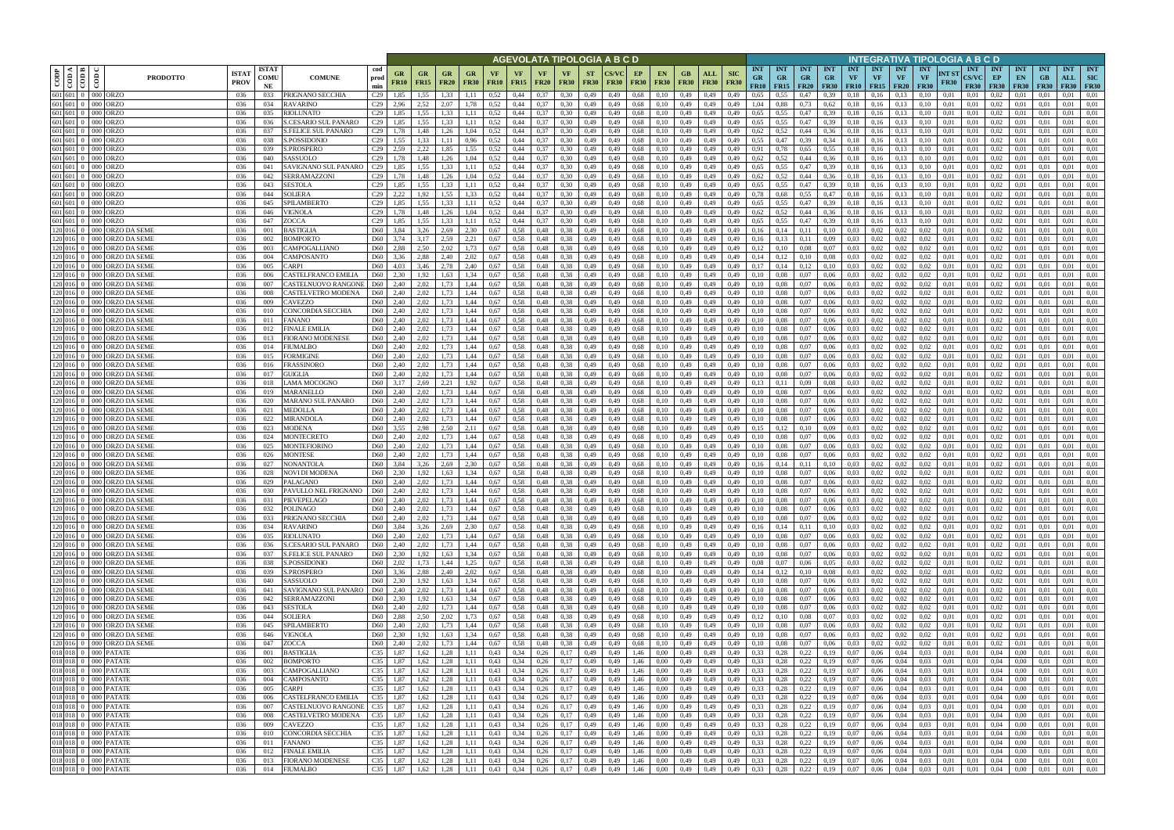|                                                                                                                                     |                                          |                                                                        |                            |                                            |                                                    |                   |                          |                          |                   |                   |                                |                          |                          | AGEVOLATA TIPOLOGIA A B C D |                   |                                      |                            |                    |                           |                                        |                                        |                           |                                        |                         |                                             |                                        | INTEGRATIVA TIPOLOGIA A B C D   |                      |                                           |                                |                                 |                                 |                                  |                                         |
|-------------------------------------------------------------------------------------------------------------------------------------|------------------------------------------|------------------------------------------------------------------------|----------------------------|--------------------------------------------|----------------------------------------------------|-------------------|--------------------------|--------------------------|-------------------|-------------------|--------------------------------|--------------------------|--------------------------|-----------------------------|-------------------|--------------------------------------|----------------------------|--------------------|---------------------------|----------------------------------------|----------------------------------------|---------------------------|----------------------------------------|-------------------------|---------------------------------------------|----------------------------------------|---------------------------------|----------------------|-------------------------------------------|--------------------------------|---------------------------------|---------------------------------|----------------------------------|-----------------------------------------|
| $\begin{array}{ c c }\n\hline\n\text{COD A} & \text{COD B} \\ \hline\n\text{COD A} & \text{COD B} & \text{D.}\n\hline\n\end{array}$ | $\overline{\text{co}}$                   | <b>ISTA7</b><br><b>PRODOTTO</b><br><b>PROV</b>                         | <b>ISTAT</b><br>COMU<br>NE | <b>COMUNE</b>                              | cod<br>GR<br>prod<br><b>FR10</b><br>min            | GR<br><b>FR15</b> | <b>GR</b><br><b>FR20</b> | <b>GR</b><br><b>FR30</b> | VF<br><b>FR10</b> | VF<br><b>FR15</b> | <b>VF</b><br><b>FR20</b>       | <b>VF</b><br><b>FR30</b> | <b>ST</b><br><b>FR30</b> | <b>FR30</b>                 | EP<br><b>FR30</b> | <b>EN</b><br><b>FR30</b>             | GB<br><b>FR30</b>          | ALL<br><b>FR30</b> | <b>SIC</b><br><b>FR30</b> | <b>INT</b><br><b>GR</b><br><b>FR10</b> | <b>INT</b><br><b>GR</b><br>$FR15$ FR20 | <b>INT</b><br><b>GR</b>   | <b>INT</b><br><b>GR</b><br><b>FR30</b> | <b>INT</b><br><b>VF</b> | <b>INT</b><br><b>VF</b><br><b>FR10</b> FR15 | <b>INT</b><br><b>VF</b><br><b>FR20</b> | <b>INT</b><br>VF<br><b>FR30</b> | NT ST<br><b>FR30</b> | <b>INT</b><br><b>CS/VC</b><br><b>FR30</b> | INT<br>EP<br><b>FR30</b>       | <b>INT</b><br>EN<br><b>FR30</b> | <b>INT</b><br>GB<br><b>FR30</b> | <b>INT</b><br>ALL<br><b>FR30</b> | <b>INT</b><br><b>SIC</b><br><b>FR30</b> |
|                                                                                                                                     | 601 601 0 000 ORZO                       | 036                                                                    | 033                        | PRIGNANO SECCHIA                           | C <sub>29</sub><br>1,85                            | 1,55              | 1.33                     | 1.11                     | 0.52              | 0,44              | 0.37                           | 0.30                     | 0,49                     | 0,49                        | 0,68              | 0.10                                 | 0,49                       | 0,49               | 0,49                      | 0.65                                   | 0.55                                   | 0,47                      | 0.39                                   | 0.18                    | 0.16                                        | 0.13                                   | 0.10                            | 0.01                 | 0,01                                      | 0.02                           | 0.01                            |                                 | 0.01                             | 0,01                                    |
|                                                                                                                                     | 601 601 0 000 ORZO<br>601 601 0 000 ORZO | 036<br>036                                                             | 034<br>035                 | RAVARINO<br>RIOLUNATO                      | C <sub>29</sub><br>2,96<br>C <sub>29</sub><br>1,85 | 2,52<br>1,55      | 2,07<br>1,33             | .78<br>1,11              | 0,52<br>0,52      | 0,44<br>0,44      | 0,37<br>0,37                   | 0,30<br>0,30             | 0,49<br>0,49             | 0,49<br>0,49                | 0,68<br>0,68      | 0,10<br>0,10                         | 0,49<br>0,49               | 0,49<br>0,49       | 0,49<br>0,49              | 1,04<br>0.65                           | 0,88<br>0.55                           | 0,73<br>0,47              | 0.62<br>0.39                           | 0.18<br>0,18            | 0,16<br>0,16                                | 0.13<br>0,13                           | 0,10<br>0,10                    | 0,01<br>0,01         | 0,01<br>0,01                              | 0.02<br>0,02                   | 0,01<br>0,01                    | 0,01<br>0,01                    | 0.01<br>0.01                     | 0,01<br>0,01                            |
|                                                                                                                                     | 601 601 0 000 ORZO                       | 036                                                                    | 036                        | S.CESARIO SUL PANARO                       | C29<br>1,85                                        | 1,55              | 1.33                     | 1.11                     | 0.52              | 0,44              | 0.37                           | 0.30                     | 0,49                     | 0,49                        | 0,68              | 0,10                                 | 0,49                       | 0,49               | 0,49                      | 0.65                                   | 0.55                                   | 0,47                      | 0.39                                   | 0,18                    | 0.16                                        | 0,13                                   | 0.10                            | 0,01                 | 0.01                                      | 0.02                           | 0,01                            | 0.01                            | 0,01                             | 0,01                                    |
|                                                                                                                                     | 601 601 0 000 ORZO                       | 036                                                                    | 037                        | <b>S.FELICE SUL PANARO</b>                 | C <sub>29</sub><br>1.78                            | 1,48              | 1,26                     | 1.04                     | 0.52              | 0,44              | 0.37                           | 0.30                     | 0,49                     | 0.49                        | 0.68              | 0.10                                 | 0,49                       | 0,49               | 0.49                      | 0,62                                   | 0.52                                   | 0,44                      | 0.36                                   | 0.18                    | 0.16                                        | 0.13                                   |                                 | 0.01                 | 0.01                                      | 0.02                           | 0.01                            | 0.01                            | 0.01                             | 0,01                                    |
|                                                                                                                                     | 601 601 0 000 ORZO                       | 036                                                                    | 038                        | S.POSSIDONIO                               | C <sub>29</sub><br>1,55                            | 1,33              | 1,11                     | 0,96                     | 0,52              | 0,44              | 0,37                           | 0,30                     | 0,49                     | 0,49                        | 0,68              | 0,10                                 | 0,49                       | 0,49               | 0,49                      | 0.55                                   | 0,47                                   | 0,39                      | 0,34                                   | 0,18                    | 0,16                                        | 0,13                                   | 0.10                            | 0,01                 | 0,01                                      | 0,02                           | 0,01                            | 0.01                            | 0,01                             | 0,01                                    |
|                                                                                                                                     | 601 601 0 000 ORZO<br>601 601 0 000 ORZO | 036<br>-036                                                            | 039<br>040                 | S.PROSPERO<br>SASSUOLO                     | 2.59<br>C29<br>C <sub>29</sub><br>1.78             | 2,22<br>1,48      | 1,85<br>1,26             | 1.55<br>1,04             | 0.52<br>0.52      | 0.44<br>0,44      | 0.37<br>0,37                   | 0.30<br>0,30             | 0,49<br>0,49             | 0.49<br>0,49                | 0,68<br>0,68      | 0,10<br>0,10                         | 0,49<br>0,49               | 0,49<br>0,49       | 0.49<br>0,49              | 0,91<br>0.62                           | 0.78<br>0,52                           | 0.65<br>0,44              | 0.55<br>0,36                           | 0.18<br>0,18            | 0.16<br>0,16                                | 0.13<br>0.13                           | 0.10<br>0.10                    | 0.01<br>0,01         | 0.01<br>0,01                              | 0.02<br>0.02                   | 0.01<br>0,01                    | 0.01<br>0.01                    | 0.01<br>0,01                     | 0.01<br>0,01                            |
|                                                                                                                                     | 601 601 0 000 ORZO                       | 036                                                                    | 041                        | SAVIGNANO SUL PANARO                       | 1,85<br>C <sub>29</sub>                            | 1,55              | 1,33                     | 1,11                     | 0,52              | 0,44              | 0,37                           | 0,30                     | 0,49                     | 0,49                        | 0,68              | 0,10                                 | 0,49                       | 0,49               | 0,49                      | 0,65                                   | 0,55                                   | 0,47                      | 0,39                                   | 0,18                    | 0,16                                        | 0.13                                   | 0.10                            | 0.01                 | 0,01                                      | 0,02                           | 0,01                            | 0,01                            | 0.01                             | 0,01                                    |
|                                                                                                                                     | 601 601 0 000 ORZO                       | 036                                                                    | 042                        | <b>SERRAMAZZONI</b>                        | C <sub>29</sub><br>1,78                            | 1,48              | 1,26                     | 1,04                     | 0,52              | 0,44              | 0,37                           | 0.30                     | 0,49                     | 0,49                        | 0.68              | 0,10                                 | 0,49                       | 0,49               | 0,49                      | 0,62                                   | 0,52                                   | 0,44                      | 0.36                                   | 0,18                    | 0,16                                        | 0.13                                   | 0,10                            | 0,01                 | 0,01                                      | 0,02                           | 0,01                            | 0,01                            | 0,01                             | 0,01                                    |
| 601 601                                                                                                                             | $0$ 000 ORZO<br>601 601 0 000 ORZO       | 036                                                                    | 043                        | <b>SESTOLA</b>                             | C <sub>29</sub><br>1,85                            | 1,55              | 1,33                     | 1,11                     | 0,52              | 0,44<br>0,44      | 0,37                           | 0,30                     | 0,49                     | 0,49                        | 0.68              | 0,10                                 | 0,49                       | 0,49               | 0,49                      | 0,65<br>0,78                           | 0,55                                   | 0,47                      | 0.39                                   | 0,18                    | 0,16                                        | 0.13                                   | 0,10                            | 0.01                 | 0,01                                      | 0,02                           | 0,01                            | 0,01                            | 0,01<br>0,01                     | 0,01                                    |
|                                                                                                                                     | 601 601 0 000 ORZO                       | 036<br>036                                                             | 044<br>045                 | SOLIERA<br>SPILAMBERTO                     | 2,22<br>C <sub>29</sub><br>C <sub>29</sub><br>1,85 | 1,92<br>1,55      | 1,55<br>1.33             | 1,33<br>1,11             | 0,52<br>0,52      | 0,44              | 0,37<br>0.37                   | 0,30<br>0.30             | 0,49<br>0,49             | 0,49<br>0,49                | 0,68<br>0,68      | 0,10<br>0,10                         | 0,49<br>0,49               | 0,49<br>0,49       | 0,49<br>0,49              | 0,65                                   | 0,68<br>0.55                           | 0,55<br>0,47              | 0,47<br>0.39                           | 0,18<br>0,18            | 0,16<br>0.16                                | 0,13<br>0.13                           | 0,10<br>0.10                    | 0,01<br>0.01         | 0,01<br>0,01                              | 0,02<br>0,02                   | 0,01<br>0,01                    | 0,01<br>0.01                    | 0,01                             | 0,01<br>0,01                            |
|                                                                                                                                     | 601 601 0 000 ORZO                       | 036                                                                    | 046                        | VIGNOLA                                    | C <sub>29</sub><br>1,78                            | 1,48              | 1,26                     | 1,04                     | 0,52              | 0,44              | 0,37                           | 0,30                     | 0,49                     | 0,49                        | 0,68              | 0,10                                 | 0,49                       | 0,49               | 0,49                      | 0,62                                   | 0,52                                   | 0,44                      | 0,36                                   | 0,18                    | 0,16                                        | 0.13                                   | 0.10                            | 0,01                 | 0,01                                      | 0,02                           | 0,01                            | 0.01                            | 0,01                             | 0,01                                    |
|                                                                                                                                     | 601 601 0 000 ORZO                       | 036                                                                    | 047                        | ZOCCA                                      | C <sub>29</sub><br>1,85                            | 1,55              | 1,33                     | 1,11                     | 0,52              | 0,44              | 0,37                           | 0,30                     | 0,49                     | 0,49                        | 0.68              | 0,10                                 | 0,49                       | 0,49               | 0,49                      | 0,65                                   | 0.55                                   | 0,47                      | 0.39                                   | 0,18                    | 0,16                                        | 0,13                                   | 0,10                            | 0,01                 | 0,01                                      | 0,02                           | 0,01                            | 0,01                            | 0,01                             | 0,01                                    |
|                                                                                                                                     |                                          | 120 016 0 000 ORZO DA SEME<br>036<br>120 016 0 000 ORZO DA SEME<br>036 | 001<br>002                 | <b>BASTIGLIA</b><br><b>BOMPORTO</b>        | D60<br>3.84<br>D60<br>3.74                         | 3.26<br>3.17      | 2.69<br>2.59             | 2.30<br>2,21             | 0.67<br>0.67      | 0.58<br>0,58      | 0,48<br>0,48                   | 0.38<br>0.38             | 0,49<br>0,49             | 0.49<br>0.49                | 0.68<br>0.68      | 0.10<br>0.10                         | 0,49<br>0,49               | 0,49<br>0,49       | 0.49<br>0.49              | 0.16<br>0,16                           | 0.14<br>0,13                           | 0,11<br>0,11              | 0,10<br>0,09                           | 0,03<br>0,03            | 0,02<br>0,02                                | 0.02<br>0,02                           | 0.02<br>0,02                    | 0.01<br>0.01         | 0.01<br>0.01                              | 0,02<br>0,02                   | 0,01<br>0,01                    | 0.01<br>0.01                    | 0,01<br>0,01                     | 0.01<br>0.01                            |
|                                                                                                                                     |                                          | 120 016 0 000 ORZO DA SEME<br>036                                      | 003                        | CAMPOGALLIANO                              | D60<br>2,88                                        | 2,50              | 2,02                     | 1,73                     | 0.67              | 0,58              | 0,48                           | 0,38                     | 0,49                     | 0.49                        | 0.68              | 0,10                                 | 0,49                       | 0,49               | 0,49                      | 0,12                                   | 0,10                                   | 0,08                      | 0,07                                   | 0,03                    | 0,02                                        | 0,02                                   | 0,02                            | 0.01                 | 0.01                                      | 0,02                           | 0,01                            | 0.01                            | 0,01                             | 0,01                                    |
|                                                                                                                                     |                                          | 120 016 0 000 ORZO DA SEME<br>036                                      | 004                        | CAMPOSANTO                                 | D60<br>3.36                                        | 2.88              | 2.40                     | 2,02                     | 0.67              | 0,58              | 0,48                           | 0.38                     | 0,49                     | 0.49                        | 0.68              | 0,10                                 | 0,49                       | 0.49               | 0.49                      | 0,14                                   |                                        | 0,10                      | 0.08                                   | 0,03                    | 0.02                                        | 0,02                                   | 0.02                            | 0.01                 | 0.01                                      | 0,02                           | 0.01                            | 0.01                            | 0,01                             | 0.01                                    |
|                                                                                                                                     |                                          | 120 016 0 000 ORZO DA SEME<br>036                                      | 005                        | <b>ARPI</b>                                | D60<br>4.03                                        | 3.46              | 2.78                     | 2.40                     | 0.67              | 0.58              | 0,48                           | 0.38                     | 0,49                     | 0.49                        | 0.68              | 0.10                                 | 0,49                       | 0.49               | 0.49                      | 0,17                                   |                                        | 0,12                      | 0,10                                   | 0.03                    | 0.02                                        | 0.02                                   | 0.02                            | 0.01                 | 0.01                                      | 0,02                           | 0.01                            | 0.01                            | 0.01                             | 0.01                                    |
|                                                                                                                                     |                                          | 120 016 0 000 ORZO DA SEME<br>036<br>120 016 0 000 ORZO DA SEME<br>036 | 006<br>007                 | CASTELFRANCO EMILIA<br>CASTELNUOVO RANGONI | D60<br>2.30<br>2.40<br>D <sub>60</sub>             | 1,92<br>2,02      | 1,63<br>1.73             | 1,34<br>1,44             | 0.67<br>0,67      | 0,58<br>0,58      | 0,48<br>0,48                   | 0,38<br>0.38             | 0,49<br>0,49             | 0,49<br>0,49                | 0,68<br>0.68      | 0,10<br>0,10                         | 0,49<br>0,49               | 0,49<br>0,49       | 0,49<br>0,49              | 0,10<br>0,10                           | 0.08<br>0.08                           | 0,07<br>0,07              | 0,06<br>0,06                           | 0,03<br>0.03            | 0,02<br>0,02                                | 0,02<br>0,02                           | 0,02<br>0.02                    | 0,01<br>0.01         | 0,01<br>0,01                              | 0,02<br>0,02                   | 0,01<br>0.01                    | 0.01<br>0,01                    | 0,01<br>0.01                     | 0,01<br>0,01                            |
|                                                                                                                                     |                                          | 120 016 0 000 ORZO DA SEME<br>036                                      | 008                        | CASTELVETRO MODENA                         | D <sub>60</sub><br>2,40                            | 2,02              | 1.73                     | 1,44                     | 0,67              | 0,58              | 0,48                           | 0.38                     | 0,49                     | 0,49                        | 0.68              | 0,10                                 | 0,49                       | 0,49               | 0,49                      | 0,10                                   | 0,08                                   | 0,07                      | 0,06                                   | 0.03                    | 0,02                                        | 0,02                                   | 0,02                            | 0,01                 | 0,01                                      | 0,02                           | 0,01                            | 0,01                            | 0,01                             | 0,01                                    |
|                                                                                                                                     |                                          | 120 016 0 000 ORZO DA SEME<br>036                                      | 009                        | CAVEZZO                                    | 2,40<br>D60                                        | 2,02              | 1,73                     | 1,44                     | 0,67              | 0,58              | 0,48                           | 0,38                     | 0,49                     | 0,49                        | 0.68              | 0,10                                 | 0,49                       | 0,49               | 0,49                      | 0,10                                   | 0.08                                   | 0,07                      | 0,06                                   | 0,03                    | 0,02                                        | 0,02                                   | 0,02                            | 0.01                 | 0.01                                      | 0,02                           | 0,01                            |                                 | 0.01                             | 0,01                                    |
|                                                                                                                                     |                                          | 120 016 0 000 ORZO DA SEME<br>036                                      | 010                        | CONCORDIA SECCHIA                          | 2,40<br>D60                                        | 2,02              | 1.73                     | 1,44                     | 0.67              | 0,58              | 0,48                           | 0.38                     | 0,49                     | 0,49                        | 0.68              | 0.10                                 | 0,49                       | 0,49               | 0,49                      | 0.10                                   | 0.08                                   | 0,07                      | 0,06                                   | 0,03                    | 0.02                                        | 0.02                                   | 0,02                            | 0.01                 | 0,01                                      | 0.02                           | 0,01                            | 0.01                            | 0,01                             | 0,01                                    |
| 120 016                                                                                                                             |                                          | 0 000 ORZO DA SEME<br>036<br>120 016 0 000 ORZO DA SEME<br>036         | 011<br>012                 | <b>ANANO</b><br><b>INALE EMILIA</b>        | D60<br>2,40<br>D <sub>60</sub><br>2,40             | 2,02<br>2,02      | 1.73<br>1,73             | 1,44<br>1,44             | 0.67<br>0,67      | 0.58<br>0,58      | 0,48<br>0,48                   | 0.38<br>0,38             | 0,49<br>0,49             | 0.49<br>0,49                | 0.68<br>0.68      | 0.10<br>0,10                         | 0,49<br>0,49               | 0.49<br>0,49       | 0,49<br>0,49              | 0.10<br>0,10                           | 0,08                                   | 0,07<br>0,07              | 0,06<br>0,06                           | 0.03<br>0,03            | 0.02<br>0,02                                | 0.02<br>0,02                           | 0.02<br>0,02                    | 0.01<br>0,01         | 0.01<br>0,01                              | 0.02<br>0,02                   | 0,01<br>0,01                    | 0,01                            | 0.01<br>0,01                     | 0.01<br>0,01                            |
|                                                                                                                                     |                                          | 120 016 0 000 ORZO DA SEME<br>036                                      | 013                        | <b>FIORANO MODENESE</b>                    | D <sub>60</sub><br>2,40                            | 2,02              | 1,73                     | 1,44                     | 0.67              | 0.58              | 0,48                           | 0.38                     | 0,49                     | 0.49                        | 0,68              | 0,10                                 | 0,49                       | 0,49               | 0,49                      | 0,10                                   | 0.08                                   | 0,07                      | 0,06                                   | 0.03                    | 0.02                                        | 0.02                                   | 0.02                            | 0.01                 | 0.01                                      | 0.02                           | 0,01                            | 0.01                            | 0.01                             | 0,01                                    |
|                                                                                                                                     |                                          | 120 016 0 000 ORZO DA SEME<br>036                                      | 014                        | <b>FIUMALBO</b>                            | 2,40<br>D <sub>60</sub>                            | 2,02              | 1,73                     | 1,44                     | 0.67              | 0,58              | 0,48                           | 0.38                     | 0,49                     | 0,49                        | 0,68              | 0,10                                 | 0,49                       | 0,49               | 0,49                      | 0.10                                   | 0,08                                   | 0,07                      | 0,06                                   | 0,03                    | 0.02                                        | 0,02                                   | 0.02                            | 0.01                 | 0.01                                      | 0.02                           | 0,01                            | 0.01                            | 0,01                             | 0,01                                    |
|                                                                                                                                     |                                          | 120 016 0 000 ORZO DA SEME<br>036<br>120 016 0 000 ORZO DA SEME        | 015<br>016                 | <b>FORMIGINE</b><br>FRASSINORO             | 2,40<br>D <sub>60</sub><br>2.40<br>D <sub>60</sub> | 2,02              | 1,73<br>1.73             | 1,44<br>1,44             | 0.67<br>0.67      | 0.58<br>0.58      | 0,48<br>0,48                   | 0.38<br>0.38             | 0,49<br>0,49             | 0,49                        | 0,68              | 0,10                                 | 0,49<br>0,49               | 0,49               | 0,49<br>0,49              | 0,10<br>0.10                           | 0.08<br>0.08                           | 0,07<br>0,07              | 0,06                                   | 0.03<br>0.03            | 0.02<br>0.02                                | 0.02<br>0.02                           | 0.02<br>0.02                    | 0.01<br>0.01         | 0.01<br>0.01                              | 0,02<br>0.02                   | 0,01<br>0,01                    | 0.01<br>0.01                    | 0,01<br>0.01                     | 0,01<br>0,01                            |
|                                                                                                                                     |                                          | 036<br>120 016 0 000 ORZO DA SEME<br>036                               | 017                        | GUIGLIA                                    | D60<br>2,40                                        | 2,02<br>2.02      | 1,73                     | 1,44                     | 0.67              | 0,58              | 0,48                           | 0.38                     | 0,49                     | 0,49<br>0.49                | 0.68<br>0,68      | 0,10<br>0,10                         | 0,49                       | 0,49<br>0,49       | 0.49                      | 0.10                                   | 0.08                                   | 0,07                      | 0,06<br>0,06                           | 0.03                    | 0.02                                        | 0.02                                   | 0.02                            | 0.01                 | 0.01                                      | 0,02                           | 0,01                            | 0.01                            | 0.01                             | 0,01                                    |
|                                                                                                                                     |                                          | 120 016 0 000 ORZO DA SEME<br>036                                      | 018                        | LAMA MOCOGNO                               | D60<br>3,17                                        | 2,69              | 2,21                     | 1,92                     | 0,67              | 0,58              | 0,48                           | 0,38                     | 0,49                     | 0,49                        | 0,68              | 0,10                                 | 0,49                       | 0,49               | 0,49                      | 0,13                                   | 0,11                                   | 0,09                      | 0.08                                   | 0,03                    | 0,02                                        | 0,02                                   | 0,02                            | 0,01                 | 0,01                                      | 0,02                           | 0,01                            | 0,01                            | 0,01                             | 0,01                                    |
| 120 016                                                                                                                             |                                          | 0 000 ORZO DA SEME<br>036                                              | 019                        | <b>MARANELLO</b>                           | D60<br>2,40                                        | 2,02              | 1,73                     | 1,44                     | 0.67              | 0,58              | 0,48                           | 0.38                     | 0,49                     | 0,49                        | 0.68              | 0,10                                 | 0,49                       | 0,49               | 0,49                      | 0,10                                   | 0.08                                   | 0,07                      | 0,06                                   | 0,03                    | 0,02                                        | 0,02                                   | 0.02                            | 0.01                 | 0,01                                      | 0,02                           | 0,01                            | 0.01                            | 0,01                             | 0,01                                    |
|                                                                                                                                     |                                          | 120 016 0 000 ORZO DA SEME<br>036<br>120 016 0 000 ORZO DA SEME<br>036 | 020<br>021                 | MARANO SUL PANARO<br>MEDOLLA               | D <sub>60</sub><br>2,40<br>D60<br>2,40             | 2,02<br>2,02      | 1,73<br>1,73             | 1,44<br>1,44             | 0.67<br>0.67      | 0,58<br>0,58      | 0,48<br>0,48                   | 0,38<br>0,38             | 0,49<br>0,49             | 0,49<br>0,49                | 0,68<br>0.68      | 0,10<br>0,10                         | 0,49<br>0,49               | 0,49<br>0,49       | 0,49<br>0,49              | 0,10<br>0,10                           | 0,08<br>0,08                           | 0,07<br>0,07              | 0,06<br>0,06                           | 0,03<br>0,03            | 0,02<br>0,02                                | 0,02<br>0,02                           | 0,02<br>0,02                    | 0,01<br>0,01         | 0,01<br>0,01                              | 0,02<br>0,02                   | 0,01<br>0,01                    | 0,01<br>0,01                    | 0,01<br>0,01                     | 0,01<br>0,01                            |
|                                                                                                                                     |                                          | 120 016 0 000 ORZO DA SEME<br>036                                      | 022                        | MIRANDOLA                                  | D60<br>2,40                                        | 2,02              | 1.73                     | 1,44                     | 0,67              | 0,58              | 0,48                           | 0,38                     | 0,49                     | 0,49                        | 0,68              | 0,10                                 | 0,49                       | 0,49               | 0,49                      | 0,10                                   | 0,08                                   | 0,07                      | 0,06                                   | 0,03                    | 0,02                                        | 0,02                                   | 0,02                            | 0,01                 | 0,01                                      | 0,02                           | 0,01                            | 0.01                            | 0,01                             | 0,01                                    |
|                                                                                                                                     |                                          | 120 016 0 000 ORZO DA SEME<br>036                                      | 023                        | <b>MODENA</b>                              | D60<br>3,55                                        | 2,98              | 2,50                     | 2,11                     | 0,67              | 0,58              | 0,48                           | 0.38                     | 0,49                     | 0,49                        | 0,68              | 0,10                                 | 0,49                       | 0,49               | 0,49                      | 0.15                                   | 0,12                                   | 0,10                      | 0,09                                   | 0,03                    | 0,02                                        | 0,02                                   | 0,02                            | 0,01                 | 0,01                                      | 0,02                           | 0,01                            | 0,01                            | 0,01                             | 0,01                                    |
|                                                                                                                                     |                                          | 120 016 0 000 ORZO DA SEME<br>036                                      | 024                        | MONTECRETO                                 | D60<br>2,40                                        | 2,02              | 1,73                     | 1,44                     | 0,67              | 0,58              | 0,48                           | 0,38                     | 0,49                     | 0,49                        | 0,68              | 0,10                                 | 0,49                       | 0,49               | 0,49                      | 0,10                                   | 0,08                                   | 0,07                      | 0,06                                   | 0,03                    | 0,02                                        | 0,02                                   | 0,02                            | 0,01                 | 0,01                                      | 0,02                           | 0,01                            | 0,01                            | 0,01                             | 0,01                                    |
|                                                                                                                                     |                                          | 120 016 0 000 ORZO DA SEME<br>036<br>120 016 0 000 ORZO DA SEME<br>036 | 025<br>026                 | MONTEFIORINO<br><b>MONTESE</b>             | D60<br>2.40<br>D60<br>2.40                         | 2,02<br>2,02      | 1.73<br>1,73             | 1,44<br>1,44             | 0,67<br>0.67      | 0,58<br>0,58      | 0,48<br>0,48                   | 0.38<br>0.38             | 0,49<br>0,49             | 0.49<br>0.49                | 0.68<br>0,68      | 0,10<br>0.10                         | 0,49<br>0,49               | 0,49<br>0,49       | 0.49<br>0.49              | 0,10<br>0,10                           | 0.08<br>0.08                           | 0,07<br>0,07              | 0,06<br>0,06                           | 0,03<br>0,03            | 0,02<br>0,02                                | 0,02<br>0,02                           | 0,02<br>0.02                    | 0.01<br>0.01         | 0.01<br>0.01                              | 0,02<br>0,02                   | 0,01<br>0,01                    | 0.01<br>0.01                    | 0,01<br>0,01                     | 0.01<br>0,01                            |
|                                                                                                                                     |                                          | 120 016 0 000 ORZO DA SEME<br>036                                      | 027                        | NONANTOLA                                  | D60<br>3,84                                        | 3,26              | 2,69                     | 2,30                     | 0.67              | 0,58              | 0,48                           | 0,38                     | 0,49                     | 0,49                        | 0.68              | 0,10                                 | 0,49                       | 0,49               | 0,49                      | 0,16                                   | 0,14                                   | 0,11                      | 0,10                                   | 0,03                    | 0,02                                        | 0,02                                   | 0,02                            | 0,01                 | 0,01                                      | 0,02                           | 0,01                            | 0,01                            | 0,01                             | 0,01                                    |
|                                                                                                                                     |                                          | 120 016 0 000 ORZO DA SEME<br>036                                      | 028                        | NOVI DI MODENA                             | D60<br>2.30                                        | 1.92              | 1.63                     | 1.34                     | 0.67              | 0.58              | 0.48                           | 0.38                     | 0.49                     | 0.49                        | 0.68              | 0.10                                 | 0.49                       | 0.49               | 0.49                      | 0.10                                   | 0.08                                   | 0.07                      | 0.06                                   | 0.03                    | 0.02                                        | 0.02                                   | 0.02                            | 0.01                 | 0.01                                      | 0.02                           | 0.01                            | 0.01                            | 0.01                             | 0.01                                    |
|                                                                                                                                     |                                          | 120 016 0 000 ORZO DA SEME<br>036<br>120 016 0 000 ORZO DA SEME<br>036 | 029<br>030                 | PALAGANO<br>PAVULLO NEL FRIGNANO           | D <sub>60</sub><br>2,40<br>D60 2,40                | 2,02<br>2,02      | 1,73                     | 1,44<br>1,44             | 0,67<br>0.67      | 0,58<br>0.58      | 0,48<br>0.48                   | 0.38<br>0.38             | 0,49<br>0.49             | 0,49<br>0.49                | 0,68<br>0,68      | 0,10<br>0.10                         | 0,49<br>0,49               | 0,49<br>0,49       | 0,49<br>0,49              | 0,10<br>0.10                           | 0,08<br>0.08                           | 0,07<br>0.07              | 0,06<br>0.06                           | 0,03<br>0.03            | 0,02<br>0,02                                | 0,02<br>0.02                           | 0,02<br>0.02                    | 0,01<br>0.01         | 0.01<br>0.01                              | 0,02<br>0.02                   | 0.01<br>0.01                    | 0.01<br>0.01                    | 0,01<br>0.01                     | 0,01<br>0,01                            |
|                                                                                                                                     |                                          | 120 016 0 000 ORZO DA SEME<br>036                                      | 031                        | PIEVEPELAGO                                | 2,40<br>D60                                        | 2,02              | 1,73<br>1,73             | 1,44                     | 0,67              | 0,58              | 0,48                           | 0,38                     | 0,49                     | 0,49                        | 0,68              | 0,10                                 | 0,49                       | 0,49               | 0,49                      | 0,10                                   | 0,08                                   | 0,07                      | 0,06                                   | 0,03                    | 0,02                                        | 0,02                                   | 0,02                            | 0,01                 | 0,01                                      | 0,02                           | 0,01                            | 0,01                            | 0.01                             | 0,01                                    |
|                                                                                                                                     |                                          | 120 016 0 000 ORZO DA SEME<br>036                                      | 032                        | <b>POLINAGO</b>                            | D <sub>60</sub><br>2,40                            | 2,02              | 1,73                     | 1,44                     | 0,67              | 0,58              | 0,48                           | 0,38                     | 0,49                     | 0,49                        | 0,68              | 0,10                                 | 0,49                       | 0,49               | 0,49                      | 0,10                                   | 0,08                                   | 0,07                      | 0,06                                   | 0,03                    | 0,02                                        | 0,02                                   | 0,02                            | 0,01                 | 0,01                                      | 0,02                           | 0,01                            | 0,01                            | 0,01                             | 0,01                                    |
|                                                                                                                                     |                                          | 120 016 0 000 ORZO DA SEME<br>036                                      | 033                        | PRIGNANO SECCHIA                           | D60 2,40                                           | 2,02              | 1,73                     | 1,44                     | 0,67              | 0,58              | $0,48$ 0,38                    |                          | 0,49                     | 0,49                        | 0,68              | 0,10                                 | 0,49                       | 0,49               | 0,49                      | 0,10                                   | 0,08                                   | 0,07                      | 0,06                                   | 0,03                    | 0,02                                        | 0,02                                   | 0,02                            | 0,01                 | 0,01                                      | 0,02                           | 0,01                            | 0,01                            | 0,01                             | 0,01                                    |
|                                                                                                                                     |                                          | 120 016 0 000 ORZO DA SEME<br>036<br>120 016 0 000 ORZO DA SEME<br>036 | 034<br>035                 | RAVARINO<br>RIOLUNATO                      | D60 3,84<br>D60 2,40                               | 3,26<br>2,02      | 2,69<br>1,73             | 2,30<br>1,44             | 0,67<br>0,67      | 0,58<br>0,58      | $0,48$ $0,38$<br>0,48          | 0,38                     | 0,49<br>0,49             | 0,49<br>0,49                | 0,68<br>0,68      | 0,10<br>0,10                         | $0,49$ 0,49<br>0,49        | 0,49               | 0,49<br>0,49              | 0,16<br>0,10                           | 0,14<br>0,08                           | 0,11<br>0,07              | 0,10<br>0,06                           | 0,03<br>0,03            | 0,02<br>0,02                                | 0,02<br>0,02                           | 0,02<br>0,02                    | 0,01<br>0,01         | 0,01<br>0,01                              | 0,02<br>0,02                   | 0,01<br>0,01                    | 0,01<br>0,01                    | 0,01<br>0,01                     | 0,01<br>0,01                            |
|                                                                                                                                     |                                          | 120 016 0 000 ORZO DA SEME<br>036                                      | 036                        | S.CESARIO SUL PANARO                       | D60 2,40                                           | 2,02              | 1,73                     | 1,44                     | 0,67              | 0,58              | 0,48                           | 0,38                     | 0,49                     | 0,49                        | 0,68              | 0,10                                 | $0,49$ 0,49                |                    | 0,49                      | 0,10                                   | 0,08                                   | 0,07                      | 0,06                                   | 0,03                    | 0,02                                        | 0,02                                   | 0,02                            | 0,01                 | 0,01                                      | 0,02                           | 0,01                            | 0,01                            | 0,01                             | 0,01                                    |
|                                                                                                                                     |                                          | 120 016 0 000 ORZO DA SEME<br>036                                      | 037                        | <b>S.FELICE SUL PANARO</b>                 | D <sub>60</sub> 2,30                               | 1,92              | 1,63                     | 1,34                     | 0,67              | 0,58              | $0,48$ $0,38$                  |                          | 0,49                     | 0,49                        | 0,68              | 0,10                                 | 0,49 0,49                  |                    | 0,49                      | 0,10                                   | 0,08                                   | 0,07                      | 0,06                                   |                         | $0,03$ 0.02                                 | 0,02                                   | 0,02                            | 0,01                 | 0,01                                      | 0,02                           | 0,01                            | 0,01                            | 0.01                             | 0,01                                    |
|                                                                                                                                     |                                          | 120 016 0 000 ORZO DA SEME<br>036<br>120 016 0 000 ORZO DA SEME        | 038                        | S.POSSIDONIO                               | D <sub>60</sub> 2,02                               | 1,73              | 1,44                     | 1,25                     | 0.67              | 0,58              | $0,48$ $0,38$<br>$0,48$ 0,38   |                          | 0,49                     | 0,49                        | 0,68              | 0,10                                 | 0,49 0,49                  |                    | 0,49                      | 0,08                                   | 0,07                                   | 0,06                      | 0,05                                   | $0,03$ 0.02             | $0,03$ 0.02                                 | 0,02                                   | 0,02                            | 0,01                 | 0,01                                      | 0,02                           | 0,01                            | 0,01                            | 0,01                             | 0,01                                    |
|                                                                                                                                     |                                          | 036<br>120 016 0 000 ORZO DA SEME<br>036                               | 039<br>040                 | S.PROSPERO<br>SASSUOLO                     | D60 3,36<br>D60 2,30                               | 2,88<br>1,92      | 2,40<br>1,63             | 2,02<br>1,34             | 0,67<br>0,67      | 0,58<br>0,58      | $0,48$ 0,38                    |                          | 0,49<br>0,49             | 0,49<br>0,49                | 0,68<br>0,68      | 0,10<br>0,10                         | 0,49 0,49<br>0,49          | 0,49               | 0,49<br>0,49              | 0,14<br>0,10                           | 0,12<br>0,08                           | 0,10<br>0,07              | 0,08<br>0,06                           | 0,03                    | 0,02                                        | 0,02<br>0,02                           | 0,02<br>0,02                    | 0,01<br>0,01         | 0,01<br>0,01                              | 0,02<br>0,02                   | 0,01<br>0,01                    | 0,01<br>0,01                    | 0,01<br>0,01                     | 0,01<br>0,01                            |
|                                                                                                                                     |                                          | 120 016 0 000 ORZO DA SEME<br>036                                      | 041                        | SAVIGNANO SUL PANARO                       | D60 2,40                                           | 2,02              | 1,73                     | 1,44                     | 0,67              | 0,58              | $0,48$ 0,38                    |                          | 0,49                     | 0,49                        | 0,68              | 0,10                                 | 0,49                       | 0,49               | 0,49                      | 0,10                                   | 0,08                                   | 0,07                      | 0,06                                   | 0,03                    | 0,02                                        | 0,02                                   | 0,02                            | 0,01                 | 0,01                                      | 0,02                           | 0,01                            | 0,01                            | 0.01                             | 0,01                                    |
|                                                                                                                                     |                                          | 120 016 0 000 ORZO DA SEME<br>036                                      | 042                        | SERRAMAZZONI                               | D60 2,30                                           | 1,92              | 1,63                     | 1,34                     | 0,67              | 0,58              | $0,48$ $0,38$                  |                          | 0,49                     | 0,49                        | 0,68              | 0,10                                 | 0,49                       | 0,49               | 0,49                      | 0,10                                   | 0,08                                   | 0,07                      | 0,06                                   | 0,03                    | 0,02                                        | 0,02                                   | 0,02                            | 0,01                 | 0,01                                      | 0,02                           | 0,01                            | 0,01                            | 0,01                             | 0,01                                    |
|                                                                                                                                     |                                          | 120 016 0 000 ORZO DA SEME<br>036<br>120 016 0 000 ORZO DA SEME<br>036 | 043<br>044                 | <b>SESTOLA</b><br><b>SOLIERA</b>           | D60 2,40<br>D60 2,88                               | 2,02<br>2,50      | 1,73<br>2,02             | 1,44<br>1,73             | 0,67<br>0,67      | 0,58<br>0,58      | $0,48$ 0,38<br>$0,48$ 0.38     |                          | 0,49<br>0,49             | 0,49<br>0,49                | 0,68<br>0,68      | 0,10<br>0,10                         | 0,49<br>$0,49$ 0,49        | 0,49               | 0,49<br>0,49              | 0,10<br>0,12                           | 0,08<br>0,10                           | 0,07<br>0,08              | 0,06<br>0,07                           | 0,03<br>0,03            | 0,02<br>0,02                                | 0,02<br>0,02                           | 0,02<br>0,02                    | 0,01<br>0,01         | 0,01<br>0,01                              | $0,02$ $0,01$<br>$0,02$ $0,01$ |                                 | 0,01<br>0,01                    | 0,01<br>0,01                     | 0,01<br>0,01                            |
|                                                                                                                                     |                                          | 120 016 0 000 ORZO DA SEME<br>036                                      | 045                        | SPILAMBERTO                                | D60 2,40                                           | 2,02              | 1,73                     | 1,44                     | 0,67              | 0,58              | $0,48$ 0,38                    |                          | 0,49                     | 0,49                        | 0,68              | 0,10                                 | 0,49                       | 0,49               | 0,49                      | 0,10                                   | 0,08                                   | 0,07                      | 0,06                                   | 0,03                    | 0,02                                        | 0,02                                   | 0,02                            | 0,01                 | 0,01                                      | 0,02                           | 0,01                            | 0,01                            | 0,01                             | 0,01                                    |
|                                                                                                                                     |                                          | 120 016 0 000 ORZO DA SEME<br>036                                      | 046                        | <b>VIGNOLA</b>                             | D <sub>60</sub> 2,30                               | 1,92              | 1,63                     | 1,34                     | 0,67              | 0,58              | $0,48$ 0.38                    |                          | 0,49                     | 0,49                        | 0,68              | 0,10                                 | $0,49$ 0,49                |                    | 0,49                      | 0,10                                   | 0.08                                   | 0,07                      | 0,06                                   |                         | $0,03$ 0.02                                 | 0,02                                   | 0,02                            | 0,01                 | 0,01                                      | 0,02                           | 0,01                            | 0,01                            | 0,01                             | 0,01                                    |
|                                                                                                                                     |                                          | 120 016 0 000 ORZO DA SEME<br>036                                      | 047                        | ZOCCA                                      | D60 2,40                                           | 2,02              | 1,73                     | 1,44                     | 0,67              | 0,58              | $0,48$ 0,38                    |                          | 0,49                     | 0,49                        | 0,68              | 0,10                                 | $0,49$ 0,49                |                    | 0,49                      | 0,10                                   | 0,08                                   | 0,07                      | 0,06                                   | $0,03$ 0.02             |                                             | 0,02                                   | 0,02                            | 0,01                 | 0,01                                      | 0,02                           | 0,01                            | 0,01                            | 0,01                             | 0,01                                    |
|                                                                                                                                     |                                          | 018 018 0 000 PATATE<br>036<br>018 018 0 000 PATATE<br>036             | 001<br>002                 | <b>BASTIGLIA</b><br><b>BOMPORTO</b>        | $C35$ 1,87<br>$C35$ 1,87                           | 1,62<br>1,62      | 1,28<br>1,28             | 1,11<br>1,11             | 0,43<br>0,43      | 0,34<br>0,34      | $0,26$ 0,17<br>$0,26$ 0,17     |                          | 0,49<br>0,49             | 0,49<br>0,49                | 1,46              | 0,00<br>1,46 0,00                    | $0,49$ 0,49<br>$0,49$ 0,49 |                    | 0,49<br>0,49              | 0,33<br>$0,33$ $0,28$                  | 0,28                                   | 0,22<br>$0,22$ $0,19$     | 0,19                                   |                         | $0,07$ 0.06<br>$0,07$ 0.06                  | 0,04<br>0,04                           | 0,03<br>0,03                    | 0,01<br>0,01         | 0,01<br>0,01                              | 0,04<br>0,04                   | 0,00<br>$0.00\,$                | 0,01<br>0,01                    | 0,01<br>0,01                     | 0,01<br>0,01                            |
|                                                                                                                                     |                                          | 018 018 0 000 PATATE<br>036                                            | 003                        | <b>CAMPOGALLIANO</b>                       | $C35$ 1,87                                         | 1,62              | 1,28                     | 1,11                     | 0,43              | 0,34              | $0,26$ 0,17                    |                          | 0,49                     | 0,49                        |                   | $1,46$ 0,00                          | $0,49$ 0,49                |                    | 0,49                      | $0,33$ $0,28$                          |                                        | $0,22$ 0,19               |                                        |                         | $0,07$ 0.06                                 | 0,04                                   | 0,03                            | 0,01                 | 0,01                                      | 0,04                           | 0,00                            | 0.01                            | 0,01                             | 0,01                                    |
|                                                                                                                                     |                                          | 018 018 0 000 PATATE<br>036                                            | 004                        | CAMPOSANTO                                 | C35 1,87                                           | 1,62              | 1,28                     | 1,11                     | 0,43              | 0,34              | $0,26$ 0,17                    |                          | 0,49                     | 0,49                        |                   | $1,46$ 0,00                          | $0,49$ 0.49                |                    | 0,49                      | $0,33$ $0,28$                          |                                        | $0,22$ 0,19               |                                        | $0,07$ 0.06             |                                             | 0,04                                   | 0,03                            | 0,01                 | 0,01                                      | 0,04                           | $0.00\,$                        | 0,01                            | 0,01                             | 0,01                                    |
|                                                                                                                                     |                                          | 018 018 0 000 PATATE<br>036<br>018 018 0 000 PATATE                    | 005                        | CARPI                                      | $C35$ 1,87                                         | 1,62              | 1,28                     | 1,11                     | 0,43              | 0,34              | $0,26$ $0,17$                  |                          | 0,49                     | 0,49                        | 1,46              | 0,00                                 | $0,49$ 0,49                |                    | 0,49                      | $0,33$ $0,28$                          |                                        | $0,22$ $0,19$             |                                        | $0,07$ 0.06             |                                             | 0,04                                   | 0,03                            | 0,01                 | 0,01                                      | $0,04$ 0,00                    |                                 | 0.01                            | 0,01                             | 0,01                                    |
|                                                                                                                                     |                                          | 036<br>018 018 0 000 PATATE<br>036                                     | 006<br>007                 | CASTELFRANCO EMILIA<br>CASTELNUOVO RANGONE | C35 1,87<br>$C35$ 1,87                             | 1,62<br>1,62      | 1,28<br>1,28             | 1,11<br>1,11             | 0,43<br>0,43      | 0,34<br>0,34      | $0,26$ $0,17$<br>$0,26$ 0,17   |                          | 0,49<br>0,49             | 0,49<br>0,49                | 1,46<br>1,46      | 0,00<br>0,00                         | $0,49$ 0,49<br>0,49        | 0,49               | 0,49<br>0,49              | $0,33$ $0,28$<br>0,33                  | 0,28                                   | $0,22 \quad 0,19$<br>0,22 | 0,19                                   | $0,07$ 0.06<br>0,07     | 0,06                                        | 0,04<br>0,04                           | 0,03<br>0,03                    | 0,01<br>0,01         | 0,01<br>0,01                              | $0,04$ 0.00<br>0,04            | 0,00                            | 0.01<br>0,01                    | 0,01<br>0,01                     | 0,01<br>0,01                            |
|                                                                                                                                     |                                          | 018 018 0 000 PATATE<br>036                                            | 008                        | CASTELVETRO MODENA                         | C35<br>1,87                                        | 1,62              | 1,28                     | 1,11                     | 0,43              | 0,34              | $0,26$ 0,17                    |                          | 0,49                     | 0,49                        | 1,46              | 0,00                                 | 0,49                       | 0,49               | 0,49                      | 0,33                                   | 0,28                                   | 0,22                      | 0,19                                   | 0,07                    | 0,06                                        | 0,04                                   | 0,03                            | 0,01                 | 0,01                                      | 0,04                           | 0,00                            | 0,01                            | 0,01                             | 0,01                                    |
|                                                                                                                                     |                                          | 018 018 0 000 PATATE<br>036                                            | 009                        | CAVEZZO                                    | $C35$ 1,87                                         | 1,62              | 1,28                     | 1,11                     | 0,43              | 0,34              | $0,26$ 0,17                    |                          | 0,49                     | 0,49                        | 1,46              | 0,00                                 | 0,49                       | 0,49               | 0,49                      | 0,33                                   | 0,28                                   | 0,22                      | 0,19                                   | 0,07                    | 0,06                                        | 0,04                                   | 0,03                            | 0,01                 | 0,01                                      | 0,04                           | 0,00                            | 0,01                            | 0,01                             | 0,01                                    |
|                                                                                                                                     |                                          | 018 018 0 000 PATATE<br>036                                            | 010                        | CONCORDIA SECCHIA                          | $C35$ 1,87                                         | 1,62              | 1,28                     | 1,11                     | 0,43              | 0,34              | $0,26$ 0,17                    |                          | 0,49                     | 0,49                        | 1,46              | 0,00                                 | 0,49 0,49                  |                    | 0,49                      | 0,33                                   | 0,28                                   | 0,22                      | 0,19                                   |                         | $0,07$ 0.06                                 | 0,04                                   | 0,03                            | 0,01                 | 0,01                                      | 0,04                           | 0,00                            | 0,01                            | 0,01                             | 0,01                                    |
|                                                                                                                                     |                                          | 018 018 0 000 PATATE<br>036<br>018 018 0 000 PATATE<br>036             | 011<br>012                 | FANANO<br><b>FINALE EMILIA</b>             | $C35$ 1,87<br>$C35$ 1,87                           | 1,62<br>1,62      | 1,28<br>1,28             | 1,11<br>1,11             | 0,43<br>0,43      | 0,34<br>0,34      | $0,26$ $0,17$<br>$0,26$ $0,17$ |                          | 0,49                     | 0,49<br>0,49 0,49           | 1,46<br>1,46      | 0,00<br>0,00                         | $0,49$ $0,49$<br>0,49 0,49 |                    | 0,49<br>0,49              | 0,33<br>$0,33$ $0,28$                  | 0,28                                   | 0,22<br>$0,22$ 0,19       | 0,19                                   |                         | $0,07$ 0.06<br>$0,07$ 0.06                  | 0,04<br>0,04                           | 0,03<br>0,03                    | 0,01<br>0,01         | 0,01<br>0,01                              | 0,04<br>0,04                   | $0,00$ $0,01$<br>$0,00$ $0,01$  |                                 | 0.01<br>0.01                     | 0,01<br>0,01                            |
|                                                                                                                                     |                                          | 018 018 0 000 PATATE<br>036                                            | 013                        | FIORANO MODENESE                           | $C35$ 1,87                                         | 1,62              | 1,28                     | 1,11                     | 0,43              | 0,34              | $0,26$ $0,17$                  |                          | 0,49                     | 0,49                        |                   | $1,46$ 0,00                          | 0,49 0,49                  |                    | 0,49                      |                                        | $0,33$ $0,28$ $0,22$ $0,19$            |                           |                                        |                         | $0,07$ 0.06                                 | 0,04                                   | 0,03                            | 0,01                 | 0,01                                      | $0,04$ 0,00 0,01               |                                 |                                 |                                  | $0,01$ $0,01$                           |
|                                                                                                                                     |                                          | 018 018 0 000 PATATE<br>036                                            | 014                        | <b>FIUMALBO</b>                            | $C35$ 1,87                                         |                   | $1,62$ $1,28$ $1,11$     |                          | 0,43              |                   |                                |                          |                          |                             |                   | $0,34$ 0.26 0.17 0.49 0.49 1.46 0.00 |                            | $0,49$ $0,49$      |                           |                                        | $0,49$ 0,33 0,28 0,22 0,19             |                           |                                        |                         | $0,07$ 0.06                                 | 0,04                                   | 0,03                            | 0,01                 | $0,01$ 0.04 0.00 0.01                     |                                |                                 |                                 |                                  | $0,01$ $0,01$                           |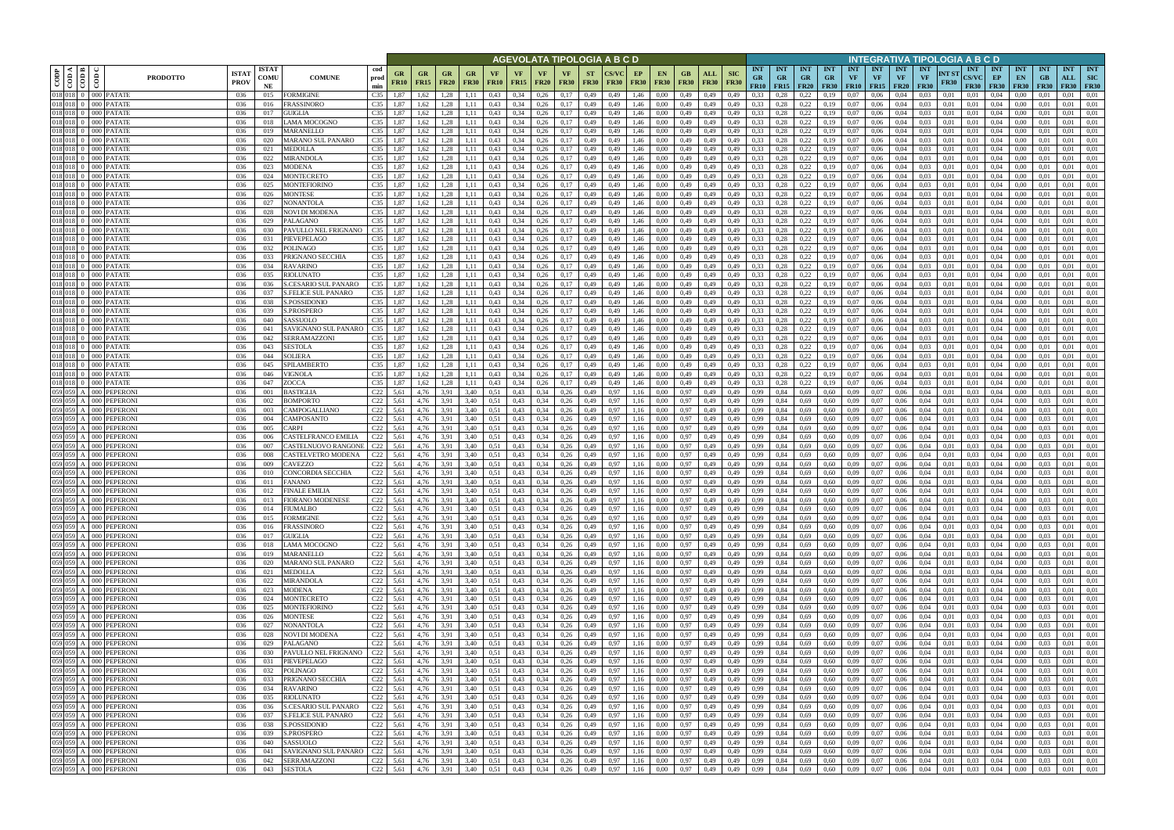|                          |                                        |                                                              |                             |                            |                                                             |                                    |                          |                          |                        |                   |                          |                              | AGEVOLATA TIPOLOGIA A B C D |                          |                      |                   |                          |                          |                     |                           |                                                                                               |                                        |                         |                                        |                            |                                      |                                        |                                        |                      | NTEGRATIVA TIPOLOGIA A B C D       |                                        |                                 |                                 |                                  |                                         |
|--------------------------|----------------------------------------|--------------------------------------------------------------|-----------------------------|----------------------------|-------------------------------------------------------------|------------------------------------|--------------------------|--------------------------|------------------------|-------------------|--------------------------|------------------------------|-----------------------------|--------------------------|----------------------|-------------------|--------------------------|--------------------------|---------------------|---------------------------|-----------------------------------------------------------------------------------------------|----------------------------------------|-------------------------|----------------------------------------|----------------------------|--------------------------------------|----------------------------------------|----------------------------------------|----------------------|------------------------------------|----------------------------------------|---------------------------------|---------------------------------|----------------------------------|-----------------------------------------|
| CODP                     | $\leq$ $\blacksquare$<br>$\frac{1}{2}$ | $\frac{6}{2}$<br><b>PRODOTTO</b>                             | <b>ISTA7</b><br><b>PROV</b> | <b>ISTAT</b><br>comu<br>NE | cod<br><b>COMUNE</b><br>prod<br>min                         | GR<br><b>FR10</b>                  | <b>GR</b><br><b>FR15</b> | <b>GR</b><br><b>FR20</b> | GR<br><b>FR30</b>      | VF<br><b>FR10</b> | <b>VF</b><br><b>FR15</b> | <b>VF</b><br><b>FR20</b>     | <b>VF</b><br><b>FR30</b>    | <b>ST</b><br><b>FR30</b> | CS/VC<br><b>FR30</b> | EP<br><b>FR30</b> | <b>EN</b><br><b>FR30</b> | GВ<br><b>FR30</b>        | ALL<br><b>FR30</b>  | <b>SIC</b><br><b>FR30</b> | <b>INT</b><br><b>GR</b><br>FR10                                                               | <b>INT</b><br><b>GR</b><br>$FR15$ FR20 | <b>INT</b><br><b>GR</b> | <b>INT</b><br><b>GR</b><br><b>FR30</b> | <b>INT</b><br>VF           | <b>INT</b><br>VF<br><b>FR10</b> FR15 | <b>INT</b><br><b>VF</b><br><b>FR20</b> | <b>INT</b><br><b>VF</b><br><b>FR30</b> | NT ST<br><b>FR30</b> | <b>INT</b><br>CS/VC<br><b>FR30</b> | <b>INT</b><br>EP<br><b>FR30</b>        | <b>INT</b><br>EN<br><b>FR30</b> | <b>INT</b><br>GB<br><b>FR30</b> | <b>INT</b><br>ALL<br><b>FR30</b> | <b>INT</b><br><b>SIC</b><br><b>FR30</b> |
|                          |                                        | 018 018 0 000 PATATE                                         | 036                         | 015                        | C35<br>FORMIGINE                                            | 1.87                               | 1,62                     | 1.28                     | 1.11                   | 0,43              | 0,34                     | 0,26                         | 0,17                        | 0,49                     | 0.49                 | 1,46              | 0.00                     | 0,49                     | 0,49                | 0,49                      | 0.33                                                                                          | 0.28                                   | 0,22                    |                                        | 0.07                       | 0.06                                 | 0.04                                   | 0.03                                   | 0.01                 | 0.01                               | 0.04                                   | 0.00                            |                                 | 0.01                             | 0.01                                    |
| 018 018 0<br>018 018     |                                        | 000 PATATE<br>000 PATATE                                     | 036<br>036                  | 016<br>017                 | C <sub>35</sub><br>FRASSINORO<br>C <sub>35</sub><br>GUIGLIA | 1.87                               | 1,62                     | 1.28<br>1.28             |                        | 0,43<br>0,43      | 0,34<br>0,34             | 0,26<br>0,26                 | 0,17<br>0,17                | 0,49<br>0,49             | 0,49<br>0.49         | 1,46<br>1,46      | 0.00<br>0.00             | 0,49<br>0,49             | 0,49<br>0,49        | 0,49<br>0,49              | 0,33<br>0,33                                                                                  | 0,28                                   | 0,22<br>0,22            | 0.19                                   | 0.07<br>0.07               | 0,06<br>0,06                         | 0,04                                   | 0,03<br>0,03                           | 0,01<br>0.01         | 0,01<br>0.01                       | 0.04<br>0.04                           | 0.00<br>0.00                    | 0.01                            | 0.01<br>0.01                     | 0,01<br>0.01                            |
| 018 018 0                |                                        | 000 PATATE                                                   | 036                         | 018                        | C35<br>LAMA MOCOGNO                                         | 1,87                               | 1,62                     | 1.28                     | 1,11                   | 0,43              | 0,34                     | 0,26                         | 0.17                        | 0,49                     | 0,49                 | 1,46              | 0.00                     | 0,49                     | 0,49                | 0,49                      | 0,33                                                                                          | 0,28                                   | 0,22                    | 0.19                                   | 0,07                       | 0,06                                 | 0,04                                   | 0,03                                   | 0,01                 | 0,01                               | 0.04                                   | 0.00                            | 0.01                            | 0.01                             | 0,01                                    |
| 018 018 0                |                                        | 000 PATATE                                                   | 036                         | 019                        | MARANELLO<br>C35                                            | 1.87                               | 1,62                     | 1.28                     | 1,11                   | 0,43              | 0,34                     | 0,26                         | 0,17                        | 0,49                     | 0.49                 | 1,46              | 0.00                     | 0,49                     | 0,49                | 0,49                      | 0.33                                                                                          | 0.28                                   | 0,22                    | 0,19                                   | 0.07                       | 0.06                                 | 0,04                                   | 0.03                                   | 0.01                 | 0,01                               | 0.04                                   | 0.00                            |                                 | 0.01                             | 0.01                                    |
| 018 018 0                |                                        | 000 PATATE                                                   | 036                         | 020                        | C <sub>35</sub><br>MARANO SUL PANARO                        | 1,87                               | 1,62                     | 1,28                     | 1,11                   | 0,43              | 0,34                     | 0,26                         | 0,17                        | 0,49                     | 0,49                 | 1,46              | 0,00                     | 0,49                     | 0,49                | 0,49                      | 0,33                                                                                          | 0,28                                   | 0,22                    | 0,19                                   | 0,07                       | 0,06                                 | 0,04                                   | 0,03                                   | 0,01                 | 0.01                               | 0,04                                   | 0,00                            | 0,01                            | 0,01                             | 0,01                                    |
| 018 018                  |                                        | 000 PATATE                                                   | 036                         | 021                        | MEDOLLA<br>C35                                              | 1,87                               | 1.62                     | 1.28                     | 1.11                   | 0.43              | 0.34                     | 0.26                         | 0,17                        | 0,49                     |                      | 1,46              | 0.00                     | 0.49                     | 0,49                | 0.49                      | 0,33                                                                                          | 0.28                                   | 0,22                    | 0.19                                   | 0.07                       | 0.06                                 | 0.04                                   |                                        | 0.01                 | 0.01                               | 0.04                                   | 0.00                            |                                 | 0.01                             | 0.01                                    |
| 018 018<br>018 018       |                                        | 000 PATATE<br>000 PATATE                                     | 036<br>036                  | 022<br>023                 | MIRANDOLA<br>C35<br>MODENA<br>C <sub>35</sub>               | 1,87<br>1,87                       | 1,62<br>1,62             | 1.28<br>1,28             | 1.11<br>1,11           | 0.43<br>0.43      | 0.34<br>0,34             | 0.26<br>0,26                 | 0,17<br>0,17                | 0,49<br>0,49             | 0.49<br>0.49         | 1,46<br>1,46      | 0.00<br>0.00             | 0.49<br>0,49             | 0,49<br>0,49        | 0,49<br>0.49              | 0.33<br>0,33                                                                                  | 0,28<br>0,28                           | 0,22<br>0,22            | 0.19<br>0,19                           | 0.07<br>0.07               | 0.06<br>0.06                         | 0.04<br>0.04                           | 0.03<br>0.03                           | 0.01<br>0.01         | 0.01<br>0.01                       | 0.04<br>0.04                           | 0.00<br>0.00                    | 0.01<br>0.01                    | 0.01<br>0.01                     | 0,01<br>0,01                            |
| $018$ 018 0              |                                        | 000 PATATE                                                   | 036                         | 024                        | C35<br>MONTECRETO                                           | 1,87                               | 1.62                     | 1.28                     | 1.11                   | 0.43              | 0.34                     | 0.26                         | 0,17                        | 0,49                     | 0.49                 | 1.46              | 0.00                     | 0.49                     | 0,49                | 0,49                      | 0.33                                                                                          | 0,28                                   | 0,22                    | 0,19                                   | 0.07                       | 0.06                                 | 0.04                                   | 0.03                                   | 0.01                 | 0.01                               | 0.04                                   | 0.00                            | 0.01                            | 0.01                             | 0.01                                    |
| 018 018 0                |                                        | 000 PATATE                                                   | 036                         | 025                        | C35<br>MONTEFIORINO                                         | 1,87                               | 1.62                     | 1,28                     | 1.11                   | 0.43              | 0.34                     | 0.26                         | 0,17                        | 0,49                     | 0.49                 | 1.46              | 0.00                     | 0.49                     | 0,49                | 0.49                      | 0.33                                                                                          | 0.28                                   | 0,22                    | 0,19                                   | 0.07                       | 0.06                                 | 0.04                                   | 0.03                                   | 0.01                 | 0.01                               | 0.04                                   | 0.00                            | 0.01                            | 0.01                             | 0.01                                    |
| 018 018 0                |                                        | 000 PATATE                                                   | 036                         | 026                        | C35<br>MONTESE                                              | 1,87                               | 1,62                     | 1,28                     | 1,11                   | 0,43              | 0,34                     | 0,26                         | 0,17                        | 0,49                     | 0,49                 | 1,46              | 0,00                     | 0,49                     | 0,49                | 0,49                      | 0,33                                                                                          | 0,28                                   | 0,22                    | 0,19                                   | 0,07                       | 0,06                                 | 0,04                                   | 0,03                                   | 0,01                 | 0,01                               | 0,04                                   | 0,00                            | 0.01                            | 0.01                             | 0,01                                    |
| 018 018 0<br>018 018 0   |                                        | 000 PATATE                                                   | 036                         | 027                        | C35<br>NONANTOLA<br>C35                                     | 1,87                               | 1,62                     | 1,28                     | 1,11                   | 0.43              | 0,34<br>0,34             | 0,26                         | 0,17                        | 0,49                     | 0.49                 | 1,46              | 0,00                     | 0,49                     | 0,49                | 0,49                      | 0,33<br>0,33                                                                                  | 0,28                                   | 0,22                    | 0,19                                   | 0,07<br>0,07               | 0.06                                 | 0,04                                   | 0.03                                   | 0.01                 | 0.01                               | 0,04                                   | 0,00                            | 0,01                            | 0,01<br>0.01                     | 0,01                                    |
| 018 018 0                |                                        | 000 PATATE<br>000 PATATE                                     | 036<br>036                  | 028<br>029                 | NOVI DI MODENA<br>C35<br>PALAGANO                           | 1,87<br>1,87                       | 1,62<br>1,62             | 1,28<br>1,28             | 1,11<br>1,11           | 0.43<br>0.43      | 0,34                     | 0,26<br>0,26                 | 0,17<br>0,17                | 0,49<br>0,49             | 0,49<br>0.49         | 1,46<br>1,46      | 0,00<br>0,00             | 0,49<br>0,49             | 0,49<br>0,49        | 0,49<br>0,49              | 0,33                                                                                          | 0,28<br>0,28                           | 0,22<br>0,22            | 0,19<br>0,19                           | 0,07                       | 0,06<br>0,06                         | 0,04<br>0,04                           | 0,03<br>0,03                           | 0,01<br>0,01         | 0.01<br>0,01                       | 0,04<br>0,04                           | 0,00<br>0,00                    | 0,01<br>0,01                    | 0,01                             | 0,01<br>0,01                            |
| 018 018                  |                                        | PATATE<br>000 l                                              | 036                         | 030                        | PAVULLO NEL FRIGNANO<br>C35                                 | 1,87                               | 1,62                     | 1,28                     | 1,11                   | 0.43              | 0,34                     | 0,26                         | 0,17                        | 0,49                     | 0.49                 | 1,46              | 0.00                     | 0,49                     | 0,49                | 0.49                      | 0,33                                                                                          | 0.28                                   | 0,22                    | 0,19                                   | 0,07                       | 0,06                                 | 0,04                                   | 0.03                                   | 0,01                 | 0.01                               | 0,04                                   | 0,00                            | 0.01                            | 0,01                             | 0,01                                    |
| 018 018 0                |                                        | 000 PATATE                                                   | 036                         | 031                        | C35<br>PIEVEPELAGO                                          | 1,87                               | 1,62                     | 1,28                     | 1,11                   | 0.43              | 0,34                     | 0,26                         | 0,17                        | 0,49                     | 0,49                 | 1,46              | 0.00                     | 0,49                     | 0,49                | 0,49                      | 0,33                                                                                          | 0.28                                   | 0,22                    | 0,19                                   | 0,07                       | 0,06                                 | 0,04                                   | 0,03                                   | 0.01                 | 0,01                               | 0,04                                   | 0,00                            | 0,01                            | 0,01                             | 0,01                                    |
| 018 018                  |                                        | <b>PATATE</b><br>000 I                                       | 036                         | 032                        | POLINAGO<br>C35                                             | 1,87                               | 1,62                     | 1,28                     | 1,11                   | 0,43              | 0,34                     | 0,26                         | 0,17                        | 0,49                     | 0,49                 | 1,46              | 0,00                     | 0,49                     | 0,49                | 0,49                      | 0,33                                                                                          | 0,28                                   | 0,22                    | 0,19                                   | 0,07                       | 0,06                                 | 0,04                                   | 0,03                                   | 0,01                 | 0,01                               | 0,04                                   | 0,00                            | 0,01                            | 0,01                             | 0,01                                    |
| 018 018 0<br>$018$ 018 0 |                                        | 000 PATATE<br>000 PATATE                                     | 036<br>036                  | 033<br>034                 | C35<br>PRIGNANO SECCHIA<br><b>RAVARINO</b><br>C35           | 1,87<br>1.87                       | 1,62<br>1.62             | 1,28<br>1.28             | 1.11<br>1.11           | 0,43<br>0.43      | 0,34<br>0.34             | 0,26<br>0,26                 | 0,17<br>0,17                | 0,49<br>0,49             | 0.49<br>0.49         | 1,46<br>1,46      | 0.00<br>0.00             | 0,49<br>0,49             | 0,49<br>0,49        | 0.49<br>0.49              | 0,33<br>0,33                                                                                  | 0.28<br>0.28                           | 0.22<br>0,22            | 0,19<br>0.19                           | 0.07<br>0.07               | 0.06<br>0.06                         | 0.04<br>0.04                           | 0.03<br>0.03                           | 0.01<br>0.01         | 0.01<br>0.01                       | 0.04<br>0.04                           | 0.00<br>0.00                    | 0.01<br>0.01                    | 0,01<br>0.01                     | 0.01<br>0.01                            |
| 018 018 0                |                                        | 000 PATATE                                                   | 036                         | 035                        | C35<br>RIOLUNATO                                            | 1,87                               | 1,62                     | 1,28                     | 1,11                   | 0,43              | 0,34                     | 0,26                         | 0,17                        | 0,49                     | 0,49                 | 1,46              | 0,00                     | 0,49                     | 0,49                | 0,49                      | 0,33                                                                                          | 0,28                                   | 0,22                    | 0,19                                   | 0,07                       | 0,06                                 | 0,04                                   | 0,03                                   | 0,01                 | 0.01                               | 0,04                                   | 0,00                            | 0.01                            | 0,01                             | 0,01                                    |
| 018 018                  |                                        | <b>PATATE</b><br>000 l                                       | 036                         | 036                        | C35<br>CESARIO SUL PANARO                                   | 1.87                               | 1.62                     | 1.28                     | 1.11                   | 0.43              | 0,34                     | 0.26                         | 0,17                        | 0.49                     | 0.49                 | 1.46              | 0.00                     | 0,49                     | 0.49                | 0.49                      | 0,33                                                                                          |                                        | 0,22                    |                                        | $_{0.07}$                  | 0.06                                 | 0.04                                   | 0.03                                   | 0.01                 | 0.01                               | 0.04                                   | 0.00                            |                                 | 0.01                             | 0.01                                    |
| 018 018 0                |                                        | 000 PATATE                                                   | 036                         | 037                        | C35<br><b>S.FELICE SUL PANARO</b>                           | 1,87                               | 1.62                     | 1.28                     |                        | 0.43              | 0,34                     | 0.26                         | 0,17                        | 0,49                     | 0.49                 | 1.46              | 0.00                     | 0,49                     | 0,49                |                           | 0.33                                                                                          |                                        | 0,22                    | 0.19                                   | $_{0.07}$                  | 0.06                                 | 0.04                                   | 0,03                                   | 0.01                 | 0.01                               | 0.04                                   | 0.00                            | 0.01                            | 0,01                             | 0.01                                    |
| 018 018                  |                                        | <b>PATATE</b><br>000 I                                       | 036                         | 038                        | C35<br><b>S.POSSIDONIO</b>                                  | 1,87                               | 1,62                     | 1.28                     | 1.11                   | 0.43              | 0.34                     | 0,26                         | 0,17                        | 0,49                     | 0.49                 | 1.46              | 0.00                     | 0.49                     | 0.49                | 0.49                      | 0,33                                                                                          |                                        | 0,22                    | 0.19                                   | 0.07                       | 0.06                                 | 0.04                                   | 0.03                                   | 0.01                 | 0.01                               | 0,04                                   | 0.00                            |                                 | 0.01                             | 0.01                                    |
| 018 018 0<br>018 018 0   |                                        | 000 PATATE<br>000 PATATE                                     | 036<br>036                  | 039<br>040                 | C35<br>5.PROSPERO<br>C <sub>35</sub><br>ASSUOLO             | 1,87<br>1.87                       | 1,62<br>1,62             | 1.28<br>1.28             | 1,11<br>1.11           | 0,43<br>0.43      | 0,34<br>0,34             | 0,26<br>0,26                 | 0,17<br>0,17                | 0,49<br>0,49             | 0,49<br>0.49         | 1,46<br>1,46      | 0.00<br>0.00             | 0,49<br>0.49             | 0,49<br>0.49        | 0,49<br>0,49              | 0,33<br>0,33                                                                                  | 0,28<br>0.28                           | 0,22<br>0,22            | 0.19<br>0.19                           | 0,07<br>0.07               | 0,06<br>0.06                         | 0,04<br>0.04                           | 0,03<br>0.03                           | 0.01<br>0.01         | 0,01<br>0.01                       | 0,04<br>0.04                           | 0.00<br>0.00                    | 0.01                            | 0,01<br>0.01                     | 0,01<br>0.01                            |
| $018$ 018 0              |                                        | 000 PATATE                                                   | 036                         | 041                        | C35<br>SAVIGNANO SUL PANARO                                 | 1,87                               | 1,62                     | 1.28                     | 1,11                   | 0,43              | 0,34                     | 0,26                         | 0,17                        | 0,49                     | 0,49                 | 1,46              | 0,00                     | 0,49                     | 0,49                | 0,49                      | 0,33                                                                                          | 0,28                                   | 0,22                    | 0.19                                   | $_{0.07}$                  | 0,06                                 | 0,04                                   | 0,03                                   | 0,01                 | 0,01                               | 0,04                                   | 0.00                            | 0,01                            | 0.01                             | 0,01                                    |
| 018 018                  |                                        | 000 PATATE                                                   | 036                         | 042                        | SERRAMAZZONI<br>C35                                         | 1.87                               | .62                      | 1.28                     | 1.11                   | 0.43              | 0.34                     | 0,26                         | 0.17                        | 0,49                     | 0.49                 | 1,46              | 0.00                     | 0,49                     | 0,49                | 0.49                      | 0,33                                                                                          |                                        | 0,22                    | 0.19                                   | 0.07                       | 0.06                                 | 0.04                                   | 0.03                                   | 0.01                 | 0.01                               | 0.04                                   | 0.00                            |                                 | 0.01                             | 0.01                                    |
| 018 018 0                |                                        | 000 PATATE                                                   | 036                         | 043                        | C35<br>SESTOLA                                              | 1.87                               | 1,62                     | 1,28                     | 1,11                   | 0,43              | 0,34                     | 0,26                         | 0,17                        | 0,49                     | 0,49                 | 1,46              | 0.00                     | 0,49                     | 0,49                | 0,49                      | 0,33                                                                                          | 0.28                                   | 0,22                    | 0.19                                   | $_{0.07}$                  | 0.06                                 | 0,04                                   | 0.03                                   | 0.01                 | 0,01                               | 0.04                                   | 0.00                            | 0.01                            | 0.01                             | 0.01                                    |
| 018 018                  |                                        | 000 PATATE                                                   | 036                         | 044                        | SOLIERA<br>C35                                              | 1,87                               | 1,62                     | 1,28                     | 1,11                   | 0,43              | 0,34                     | 0,26                         | 0,17                        | 0,49                     | 0,49                 | 1,46              | 0.00                     | 0,49                     | 0,49                | 0,49                      | 0,33                                                                                          | 0,28                                   | 0,22                    | 0,19                                   | 0,07                       | 0,06                                 | 0,04                                   | 0.03                                   | 0,01                 | 0.01                               | 0.04                                   | 0.00                            | 0.01                            | 0.01                             | 0,01                                    |
| 018 018 0<br>018 018     |                                        | 000 PATATE<br>000 PATATE                                     | 036<br>036                  | 045<br>046                 | SPILAMBERTO<br>C35<br>VIGNOLA<br>C35                        | 1.87<br>1.87                       | 1,62<br>1.62             | 1.28<br>1,28             | 1,11<br>1.11           | 0.43<br>0.43      | 0,34<br>0.34             | 0.26<br>0.26                 | 0,17<br>0,17                | 0,49<br>0,49             | 0.49<br>0.49         | 1,46<br>1,46      | 0.00<br>0.00             | 0.49<br>0.49             | 0,49<br>0,49        | 0,49<br>0.49              | 0.33<br>0,33                                                                                  | 0.28<br>0.28                           | 0,22<br>0,22            | 0.19<br>0,19                           | 0.07<br>0.07               | 0.06<br>0.06                         | 0.04<br>0.04                           | 0.03<br>0.03                           | 0.01<br>0.01         | 0.01<br>0.01                       | 0.04<br>0.04                           | 0.00<br>0.00                    | 0.01                            | 0.01<br>0.01                     | 0,01<br>0.01                            |
| 018 018 0                |                                        | 000 PATATE                                                   | 036                         | 047                        | ZOCCA<br>C35                                                | 1,87                               | 1,62                     | 1,28                     | 1,11                   | 0,43              | 0,34                     | 0,26                         | 0,17                        | 0,49                     | 0.49                 | 1,46              | 0.00                     | 0,49                     | 0,49                | 0,49                      | 0,33                                                                                          | 0,28                                   | 0,22                    | 0.19                                   | 0,07                       | 0.06                                 | 0,04                                   | 0.03                                   | 0.01                 | 0.01                               | 0.04                                   | 0,00                            | 0.01                            | 0.01                             | 0,01                                    |
| 059 059 A                |                                        | <b>PEPERONI</b><br>000 I                                     | 036                         | 001                        | C22<br>BASTIGLIA                                            | 5,61                               | 4,76                     | 3.91                     | 3,40                   | 0.51              | 0,43                     | 0.34                         | 0,26                        | 0,49                     | 0.97                 | 1,16              | 0.00                     | 0.97                     | 0,49                | 0.49                      | 0,99                                                                                          | 0.84                                   | 0.69                    | 0.60                                   | 0.09                       | 0.07                                 | 0.06                                   | 0.04                                   | 0.01                 | 0.03                               | 0.04                                   | 0.00                            | 0.03                            | 0.01                             | 0.01                                    |
| 059 059 A                |                                        | 000 PEPERONI                                                 | 036                         | 002                        | C22<br>BOMPORTO                                             | 5,61                               | 4,76                     | 3.91                     | 3,40                   | 0.51              | 0,43                     | 0.34                         | 0,26                        | 0,49                     | 0.97                 | 1,16              | 0.00                     | 0,97                     | 0,49                | 0,49                      | 0,99                                                                                          | 0,84                                   | 0,69                    | 0.60                                   | 0.09                       | 0.07                                 | 0.06                                   | 0.04                                   | 0.01                 | 0.03                               | 0.04                                   | 0.00                            | 0.03                            | 0.01                             | 0,01                                    |
| 059 059 A<br>059 059 A   |                                        | 000 PEPERONI                                                 | 036                         | 003                        | CAMPOGALLIANO                                               | $C22$ 5,61                         | 4,76                     | 3,91                     | 3,40                   | 0.51              | 0,43                     | 0,34                         | 0,26                        | 0,49                     | 0.97                 | 1,16              | 0,00                     | 0.97                     | 0,49                | 0,49                      | 0,99<br>0.99                                                                                  | 0,84                                   | 0,69                    | 0.60                                   | 0.09                       | 0,07                                 | 0,06                                   | 0,04                                   | 0.01                 | 0,03                               | 0,04                                   | 0,00                            | 0.03                            | 0.01<br>0.01                     | 0,01                                    |
| 059 059 A                |                                        | PEPERONI<br>000 <sub>1</sub><br>PEPERONI<br>000 <sub>1</sub> | 036<br>036                  | 004<br>005                 | C22<br>CAMPOSANTO<br>C22<br>CARPI                           | 5,61<br>5,61                       | 4,76<br>4,76             | 3,91<br>3,91             | 3,40<br>3,40           | 0,51<br>0,51      | 0,43<br>0,43             | 0,34<br>0,34                 | 0,26<br>0,26                | 0,49<br>0,49             | 0.97<br>0.97         | 1,16<br>1,16      | 0.00<br>0.00             | 0,97<br>0.97             | 0,49<br>0,49        | 0,49<br>0,49              | 0,99                                                                                          | 0,84<br>0,84                           | 0,69<br>0,69            | 0.60<br>0,60                           | 0,09<br>0,09               | 0,07<br>0,07                         | 0,06<br>0,06                           | 0,04<br>0,04                           | 0,01<br>0.01         | 0.03<br>0.03                       | 0,04<br>0,04                           | 0,00<br>0,00                    | 0.03<br>0.03                    | 0,01                             | 0,01<br>0,01                            |
| 059 059 A                |                                        | PEPERONI<br>000 <sup>1</sup>                                 | 036                         | 006                        | <b>ASTELFRANCO EMILIA</b><br>C22                            | 5,61                               | 4,76                     | 3,91                     | 3,40                   | 0,51              | 0,43                     | 0,34                         | 0,26                        | 0,49                     | 0.97                 | 1,16              | 0,00                     | 0,97                     | 0,49                | 0,49                      | 0,99                                                                                          | 0,84                                   | 0,69                    | 0,60                                   | 0,09                       | 0,07                                 | 0,06                                   | 0,04                                   | 0,01                 | 0,03                               | 0,04                                   | 0,00                            | 0,03                            | 0,01                             | 0,01                                    |
| 059 059 A                |                                        | <b>PEPERONI</b><br>000 <sub>1</sub>                          | 036                         | 007                        | C22<br>CASTELNUOVO RANGONE                                  | 5,61                               | 4,76                     | 3,91                     | 3,40                   | 0,51              | 0,43                     | 0,34                         | 0,26                        | 0,49                     | 0.97                 | 1,16              | 0,00                     | 0,97                     | 0,49                | 0,49                      | 0,99                                                                                          | 0,84                                   | 0,69                    | 0.60                                   | 0,09                       | 0,07                                 | 0,06                                   | 0,04                                   | 0.01                 | 0.03                               | 0,04                                   | 0,00                            | 0.03                            | 0,01                             | 0,01                                    |
| 059 059 A                |                                        | PEPERONI<br>000 <sub>1</sub>                                 | 036                         | 008                        | CASTELVETRO MODENA                                          | $C22$ 5,61                         | 4,76                     | 3,91                     | 3,40                   | 0.51              | 0,43                     | 0.34                         | 0,26                        | 0,49                     | 0.97                 | 1,16              | 0,00                     | 0,97                     | 0,49                | 0,49                      | 0,99                                                                                          | 0,84                                   | 0,69                    | 0.60                                   | 0,09                       | 0,07                                 | 0,06                                   | 0,04                                   | 0,01                 | 0.03                               | 0,04                                   | 0,00                            | 0.03                            | 0,01                             | 0,01                                    |
| 059 059 A<br>059 059 A   |                                        | <b>PEPERONI</b><br>000<br><b>PEPERONI</b>                    | 036<br>036                  | 009                        | CAVEZZO<br>CONCORDIA SECCHIA<br>C22                         | $C22$ 5.61<br>5,61                 | 4,76<br>4,76             | 3,91<br>3.91             | 3,40                   | 0,51              | 0,43<br>0,43             | 0,34<br>0.34                 | 0,26                        | 0,49                     | 0.97                 | 1,16<br>1,16      | 0,00                     | 0.97                     | 0,49                | 0,49                      | 0,99                                                                                          | 0,84                                   | 0,69                    | 0,60                                   | 0,09                       | 0,07                                 | 0,06<br>0.06                           | 0,04                                   | 0,01<br>0.01         | 0.03<br>0.03                       | 0,04<br>0.04                           | 0,00<br>0.00                    | 0,03                            | 0,01<br>0.01                     | 0,01<br>0,01                            |
|                          |                                        | 000<br>059 059 A 000 PEPERONI                                | 036                         | 010<br>011                 | <b>FANANO</b>                                               | C <sub>22</sub> 5.61               | 4,76                     | 3,91                     | 3,40<br>3,40           | 0.51<br>0.51      | 0,43                     | 0,34                         | 0,26<br>0,26                | 0,49<br>0,49             | 0.97<br>0,97         | 1,16              | 0.00<br>0,00             | 0.97<br>0,97             | 0,49<br>0,49        | 0.49<br>0,49              | 0,99<br>0,99                                                                                  | 0.84<br>0,84                           | 0,69<br>0,69            | 0.60<br>0.60                           | 0,09<br>0,09               | 0,07<br>0,07                         | 0,06                                   | 0.04<br>0,04                           | 0,01                 | 0.03                               | 0,04                                   | 0,00                            | 0.03<br>0.03                    | 0,01                             | 0,01                                    |
|                          |                                        | 059 059 A 000 PEPERONI                                       | 036                         | 012                        | <b>FINALE EMILIA</b>                                        | C <sub>22</sub> 5.61               | 4,76                     | 3,91                     | 3,40                   | 0,51              | 0,43                     | 0,34                         | 0,26                        | 0,49                     | 0.97                 | 1,16              | 0,00                     | 0,97                     | 0,49                | 0,49                      | 0,99                                                                                          | 0,84                                   | 0,69                    | 0,60                                   | 0.09                       | 0,07                                 | 0,06                                   | 0.04                                   | 0,01                 | 0.03                               | 0.04                                   | 0,00                            | 0.03                            | 0.01                             | 0,01                                    |
|                          |                                        | 059 059 A 000 PEPERONI                                       | 036                         | 013                        | FIORANO MODENESE                                            | $C22$ 5,61                         | 4,76                     | 3,91                     | 3,40                   | 0,51              | 0,43                     | $0,34$ $0,26$                |                             | 0,49                     | 0,97                 | 1,16              | 0,00                     | 0,97                     | 0,49                | 0,49                      | 0,99                                                                                          | 0,84                                   | 0,69                    | 0,60                                   | 0,09                       | 0,07                                 | 0,06                                   | 0,04                                   | 0,01                 | 0,03                               | 0,04                                   | $0.00\,$                        | 0,03                            | 0,01                             | 0,01                                    |
|                          |                                        | 059 059 A 000 PEPERONI                                       | 036                         | 014                        | FIUMALBO                                                    | C <sub>22</sub> 5,61               | 4,76                     | 3,91                     | 3,40                   | 0,51              | 0,43                     | $0,34$ 0,26                  |                             | 0,49                     | 0,97                 | 1,16              | 0,00                     | 0,97                     | 0,49                | 0,49                      | 0,99                                                                                          | 0,84                                   | 0,69                    | 0,60                                   | 0,09                       | 0,07                                 | 0,06                                   | 0,04                                   | 0,01                 | 0,03                               | $0.04\qquad 0.00$                      |                                 | 0,03                            | 0,01                             | 0,01                                    |
|                          |                                        | 059 059 A 000 PEPERONI<br>059 059 A 000 PEPERONI             | 036<br>036                  | 015<br>016                 | <b>FORMIGINE</b><br><b>FRASSINORO</b>                       | $C22$ 5,61<br>$C22$ 5.61           | 4,76<br>4,76             | 3,91<br>3,91             | 3,40<br>3,40           | 0,51<br>0,51      | 0,43<br>0,43             | $0,34$ 0,26<br>$0,34$ $0,26$ |                             | 0,49<br>0,49             | 0,97<br>0,97         | 1,16<br>1,16      | 0,00<br>0,00             | 0,97 0,49                | $0,97$ 0.49         | 0,49<br>0,49              | 0,99<br>0,99                                                                                  | 0,84<br>0,84                           | 0,69<br>0,69            | 0,60<br>0,60                           | 0,09<br>0,09               | 0,07<br>0,07                         | 0,06<br>0,06                           | 0,04<br>0,04                           | 0,01<br>0,01         | 0,03<br>0.03                       | $0.04\qquad 0.00$<br>$0.04\qquad 0.00$ |                                 | 0,03<br>0,03                    | 0,01<br>0,01                     | 0,01<br>0,01                            |
|                          |                                        | 059 059 A 000 PEPERONI                                       | 036                         | 017                        | <b>GUIGLIA</b>                                              | $C22$ 5,61                         | 4,76                     | 3,91                     | 3,40                   | 0,51              | 0,43                     | $0,34$ $0,26$                |                             | 0,49                     | 0,97                 | 1,16              | 0,00                     | 0,97 0,49                |                     | 0,49                      | 0,99                                                                                          | 0,84                                   | 0,69                    | 0,60                                   | 0,09                       | 0,07                                 | 0,06                                   | 0,04                                   | 0,01                 | 0,03                               | 0,04                                   | $0.00\,$                        | 0,03                            | 0,01                             | 0,01                                    |
|                          |                                        | 059 059 A 000 PEPERONI                                       | 036                         | 018                        | LAMA MOCOGNO                                                | $C22$ 5,61                         | 4,76                     | 3,91                     | 3,40                   | 0,51              | 0,43                     | $0,34$ 0,26                  |                             | 0,49                     | 0,97                 | 1,16              | 0,00                     | 0,97                     | 0,49                | 0,49                      | 0,99                                                                                          | 0,84                                   | 0,69                    | 0,60                                   | 0,09                       | 0,07                                 | 0,06                                   | 0,04                                   | 0,01                 | 0,03                               | 0,04                                   | 0,00                            | 0,03                            | 0,01                             | 0,01                                    |
|                          |                                        | 059 059 A 000 PEPERONI                                       | 036                         | 019                        | MARANELLO                                                   | $C22$ 5,61                         | 4,76                     | 3,91                     | 3,40                   | 0,51              | 0,43                     | $0,34$ 0,26                  |                             | 0,49                     | 0,97                 | 1,16              | 0,00                     | 0,97                     | 0,49                | 0,49                      | 0,99                                                                                          | 0,84                                   | 0,69                    | 0,60                                   | 0,09                       | 0,07                                 | 0,06                                   | 0,04                                   | 0,01                 | 0,03                               | 0,04                                   | 0,00                            | 0,03                            | 0.01                             | 0,01                                    |
|                          |                                        | 059 059 A 000 PEPERONI<br>059 059 A 000 PEPERONI             | 036                         | 020                        | MARANO SUL PANARO                                           | $C22$ 5,61                         | 4,76                     | 3,91                     | 3,40                   | 0.51              | 0,43                     | $0,34$ 0,26                  |                             | 0,49                     | 0,97                 | 1,16              | 0,00                     | 0,97                     | 0,49                | 0,49                      | 0,99                                                                                          | 0,84                                   | 0,69                    | 0,60                                   | 0,09                       | 0,07                                 | 0,06                                   | 0,04                                   | 0,01                 | 0.03                               | 0,04                                   | $0.00\,$                        | 0,03                            | 0,01                             | 0,01                                    |
|                          |                                        | 059 059 A 000 PEPERONI                                       | 036<br>036                  | 021<br>022                 | MEDOLLA<br><b>MIRANDOLA</b>                                 | $C22$ 5,61<br>$C22$ 5,61           | 4,76                     | 3,91<br>4,76 3,91        | 3,40<br>3,40 0,51      | 0,51              | 0,43<br>0,43             | $0,34$ 0,26<br>$0,34$ $0,26$ |                             | 0,49<br>0,49             | 0,97<br>0,97         | 1,16<br>1,16      | 0,00<br>0,00             | 0,97<br>0,97 0,49        | 0,49                | 0,49                      | 0,99<br>0,49 0,99                                                                             | 0,84<br>0,84 0,69                      | 0,69                    | 0,60<br>0,60                           | $0,09$ 0.07                | $0,09$ 0.07                          | 0,06<br>0,06                           | 0,04<br>0,04                           | 0,01<br>0,01         | 0,03<br>0,03                       | 0,04<br>0,04                           | 0,00<br>$0,00$ 0.03             | 0,03                            | 0,01                             | 0,01<br>$0,01$ $0,01$                   |
|                          |                                        | 059 059 A 000 PEPERONI                                       | 036                         | 023                        | <b>MODENA</b>                                               | C <sub>22</sub> 5,61               | 4,76                     | 3,91                     | $3,40$ 0.51            |                   |                          | $0,43$ 0.34 0.26             |                             | 0,49                     | 0,97                 | 1,16              | 0,00                     | 0,97 0,49                |                     | 0,49                      | 0,99                                                                                          | 0,84 0,69                              |                         | 0,60                                   |                            | $0,09$ 0.07                          | 0,06                                   | 0,04                                   | 0,01                 | 0,03                               | 0,04                                   | $0,00$ 0.03                     |                                 |                                  | $0,01$ $0,01$                           |
|                          |                                        | 059 059 A 000 PEPERONI                                       | 036                         | 024                        | <b>MONTECRETO</b>                                           | $C22$ 5,61                         |                          | 4,76 3,91                | 3,40                   | 0,51              | 0,43                     | $0,34$ 0,26                  |                             | 0,49                     | 0,97                 | 1,16              | 0,00                     | $0,97$ 0,49              |                     | 0,49                      | 0,99                                                                                          | 0,84 0,69                              |                         | 0,60                                   |                            | $0,09$ 0.07                          | 0,06                                   | 0,04                                   | 0,01                 | 0,03                               | 0,04                                   | $0,00$ 0.03                     |                                 | 0,01                             | 0,01                                    |
|                          |                                        | 059 059 A 000 PEPERONI                                       | 036                         | 025                        | <b>MONTEFIORINO</b>                                         | $C22$ 5,61                         | 4,76                     | 3,91                     | 3,40                   | 0,51              | 0,43                     | $0,34$ 0,26                  |                             | 0,49                     | 0,97                 | 1,16              | 0,00                     | $0,97$ 0,49              |                     | 0,49                      | 0,99                                                                                          | 0,84 0,69                              |                         | 0,60                                   | $0,09$ 0.07                |                                      | 0,06                                   | 0,04                                   | 0,01                 | 0,03                               | 0,04                                   | $0,00$ 0.03                     |                                 | 0,01                             | 0,01                                    |
|                          |                                        | 059 059 A 000 PEPERONI<br>059 059 A 000 PEPERONI             | 036                         | 026                        | <b>MONTESE</b><br><b>NONANTOLA</b>                          | $C22$ 5,61<br>$C22$ 5,61           | 4,76                     | 3,91<br>3,91             | 3,40                   | 0,51<br>0,51      | 0,43<br>0,43             | $0,34$ 0,26<br>$0,34$ 0,26   |                             | 0,49                     | 0,97<br>0,97         | 1,16              | 0,00                     | 0,97                     | $0,97$ 0.49         | 0,49                      | 0,99                                                                                          | 0,84 0,69                              |                         | 0,60                                   |                            | $0,09$ 0.07<br>0,07                  | 0,06                                   | 0,04<br>0,04                           | 0,01<br>0,01         | 0,03<br>0,03                       | 0,04<br>0,04                           | $0,00$ 0.03<br>$0,00$ 0.03      |                                 | 0,01<br>0,01                     | 0,01                                    |
|                          |                                        | 059 059 A 000 PEPERONI                                       | 036<br>036                  | 027<br>028                 | NOVI DI MODENA                                              | $C22$ 5,61                         | 4,76<br>4,76             | 3,91                     | 3,40<br>3,40           | 0.51              | 0,43                     | $0,34$ 0,26                  |                             | 0,49<br>0,49             | 0,97                 | 1,16<br>1,16      | 0,00<br>0,00             |                          | 0,49<br>$0,97$ 0.49 | 0,49<br>0,49              | 0,99<br>0,99                                                                                  | 0,84 0,69<br>0,84                      | 0,69                    | 0,60<br>0,60                           | 0,09<br>0,09               | 0,07                                 | 0,06<br>0,06                           | 0,04                                   | 0,01                 | 0.03                               | 0,04                                   | $0.00\,$                        | 0,03                            | 0,01                             | 0,01<br>0,01                            |
|                          |                                        | 059 059 A 000 PEPERONI                                       | 036                         | 029                        | PALAGANO                                                    | $C22$ 5,61                         | 4,76                     | 3,91                     | 3,40                   | 0,51              | 0,43                     | $0,34$ $0,26$                |                             | 0,49                     | 0,97                 | 1,16              | 0,00                     | 0,97 0,49                |                     | 0,49                      | 0,99                                                                                          | 0,84 0,69                              |                         | 0,60                                   | 0,09                       | 0,07                                 | 0,06                                   | 0,04                                   | 0,01                 | 0,03                               | 0,04                                   | 0,00                            | 0.03                            | 0,01                             | 0,01                                    |
|                          |                                        | 059 059 A 000 PEPERONI                                       | 036                         | 030                        | PAVULLO NEL FRIGNANO                                        | $C22$ 5,61                         | 4,76                     | 3,91                     | 3,40                   | 0,51              | 0,43                     | $0,34$ 0,26                  |                             | 0,49                     | 0,97                 | 1,16              | 0,00                     | $0,97$ 0,49              |                     | 0,49                      | 0,99                                                                                          | 0,84                                   | 0,69                    | 0,60                                   | 0,09                       | 0,07                                 | 0,06                                   | 0,04                                   | 0,01                 | 0,03                               | 0,04                                   | 0,00                            | 0.03                            | 0,01                             | 0,01                                    |
|                          |                                        | 059 059 A 000 PEPERONI                                       | 036                         | 031                        | PIEVEPELAGO                                                 | $C22$ 5,61                         | 4,76                     | 3,91                     | 3,40 0,51              |                   | 0,43                     | $0,34$ 0,26                  |                             | 0,49                     | 0,97                 | 1,16              | 0,00                     | 0,97 0,49                |                     | 0,49                      | 0,99                                                                                          | 0,84 0,69                              |                         | 0,60                                   | $0,09$ 0.07                |                                      | 0,06                                   | 0,04                                   | 0,01                 | 0,03                               | $0.04$ 0.00 0.03                       |                                 |                                 | 0,01                             | 0,01                                    |
|                          |                                        | 059 059 A 000 PEPERONI<br>059 059 A 000 PEPERONI             | 036<br>036                  | 032<br>033                 | POLINAGO<br>PRIGNANO SECCHIA                                | $C22$ 5,61<br>C <sub>22</sub> 5,61 | 4,76<br>4,76             | 3,91<br>3,91             | 3,40 0,51<br>3,40 0,51 |                   | 0,43                     | $0,34$ 0,26<br>$0,34$ 0,26   |                             | 0,49<br>0,49             | 0,97<br>0,97         | 1,16<br>1,16      | 0,00                     | 0,97 0,49                |                     | 0,49<br>0,49              | 0,99<br>0,99                                                                                  | 0,84 0,69<br>0,84 0,69                 |                         | 0,60<br>0,60                           | $0,09$ 0.07<br>$0,09$ 0.07 |                                      | 0,06<br>0,06                           | 0,04<br>0,04                           | 0,01<br>0,01         | 0.03<br>0,03                       | $0,04$ 0.00 0.03<br>$0,04$ 0,00 0,03   |                                 |                                 | 0,01<br>0,01                     | 0,01<br>0,01                            |
|                          |                                        | 059 059 A 000 PEPERONI                                       | 036                         | 034                        | <b>RAVARINO</b>                                             | $C22$ 5,61                         | 4,76                     | 3,91                     | 3,40                   | 0,51              | 0,43<br>0,43             | $0,34$ 0,26                  |                             | 0,49                     | 0,97                 | 1,16              | 0,00<br>0,00             | $0,97$ 0,49<br>0,97 0,49 |                     | 0,49                      | 0,99                                                                                          | 0,84                                   | 0,69                    | 0,60                                   | $0,09$ 0.07                |                                      | 0,06                                   | 0,04                                   | 0,01                 | 0,03                               | $0,04$ 0.00 0.03                       |                                 |                                 | 0,01                             | 0,01                                    |
|                          |                                        | 059 059 A 000 PEPERONI                                       | 036                         | 035                        | RIOLUNATO                                                   | $C22$ 5,61                         | 4,76                     | 3,91                     | 3,40                   | 0,51              | 0,43                     | $0,34$ 0,26                  |                             | 0,49                     | 0,97                 | 1,16              | 0,00                     | 0,97 0,49                |                     | 0,49                      | 0,99                                                                                          | 0,84                                   | 0,69                    | 0,60                                   | $0,09$ 0.07                |                                      | 0,06                                   | 0,04                                   | 0,01                 | 0,03                               | $0.04\qquad 0.00$                      |                                 | 0,03                            | 0,01                             | 0,01                                    |
|                          |                                        | 059 059 A 000 PEPERONI                                       | 036                         | 036                        | S.CESARIO SUL PANARO                                        | C <sub>22</sub> 5,61               | 4,76                     | 3,91                     | 3,40                   | 0,51              | 0,43                     | $0,34$ 0,26                  |                             | 0,49                     | 0,97                 | 1,16              | 0,00                     | $0,97$ 0,49              |                     | 0,49                      | 0,99                                                                                          | 0,84                                   | 0,69                    | 0,60                                   | 0,09                       | 0,07                                 | 0,06                                   | 0,04                                   | 0,01                 | 0,03                               | $0,04$ 0.00                            |                                 | 0,03                            | 0,01                             | 0,01                                    |
|                          |                                        | 059 059 A 000 PEPERONI                                       | 036                         | 037                        | <b>S.FELICE SUL PANARO</b>                                  | $C22$ 5,61                         | 4,76                     | 3,91                     | 3,40 0,51              |                   | 0,43                     | $0,34$ 0,26                  |                             | 0,49                     | 0,97                 | 1,16              | 0,00                     | 0,97 0,49                |                     | 0,49                      | 0,99                                                                                          | 0,84 0,69                              |                         | 0,60                                   | $0.09\qquad 0.07$          |                                      | 0,06                                   | 0,04                                   | 0,01                 | 0,03                               | $0,04$ 0.00                            |                                 | 0.03                            | 0,01                             | 0,01                                    |
|                          |                                        | 059 059 A 000 PEPERONI<br>059 059 A 000 PEPERONI             | 036<br>036                  | 038<br>039                 | S.POSSIDONIO<br>S.PROSPERO                                  | $C22$ 5,61<br>$C22$ 5,61           | 4,76<br>4,76             | 3,91<br>3,91             | 3,40<br>3,40           | 0,51<br>0,51      | 0,43<br>0,43             | $0,34$ 0,26<br>$0,34$ 0,26   |                             | 0,49                     | 0,97<br>0,97         | 1,16<br>1,16      | 0,00<br>0,00             | 0,97<br>0,97             | 0,49<br>0,49        | 0,49<br>0,49              | 0,99<br>0,99                                                                                  | 0,84<br>0,84                           | 0,69<br>0,69            | 0,60<br>0,60                           | 0,09<br>0,09               | 0,07<br>0,07                         | 0,06<br>0,06                           | 0,04<br>0,04                           | 0,01<br>0,01         | 0,03<br>0,03                       | $0,04$ 0.00<br>0,04                    | 0,00                            | 0,03<br>0,03                    | 0,01<br>0,01                     | 0,01<br>0,01                            |
|                          |                                        | 059 059 A 000 PEPERONI                                       | 036                         | 040                        | SASSUOLO                                                    | $C22$ 5,61                         | 4,76                     | 3,91                     | 3,40                   | 0,51              | 0,43                     | $0,34$ 0,26                  |                             | 0,49<br>0,49             | 0,97                 | 1,16              | 0,00                     | 0,97                     | 0,49                | 0,49                      | 0,99                                                                                          | 0,84                                   | 0,69                    | 0,60                                   | 0,09                       | 0,07                                 | 0,06                                   | 0,04                                   | 0,01                 | 0,03                               | 0,04                                   | 0,00                            | 0,03                            | 0,01                             | 0,01                                    |
|                          |                                        | 059 059 A 000 PEPERONI                                       | 036                         | 041                        | SAVIGNANO SUL PANARO                                        | $C22$ 5,61                         | 4,76                     | 3,91                     | 3,40                   | 0,51              | 0,43                     |                              | $0,34$ $0,26$               | 0,49                     | 0,97                 | 1,16              | 0,00                     | 0,97 0,49                |                     | 0,49                      | 0,99                                                                                          | 0,84                                   | 0,69                    | 0,60                                   | 0,09                       | 0,07                                 | 0,06                                   | 0,04                                   | 0,01                 | 0,03                               | $0.04\qquad 0.00$                      |                                 | 0,03                            | 0,01                             | 0,01                                    |
|                          |                                        | 059 059 A 000 PEPERONI                                       | 036                         | 042                        | SERRAMAZZONI                                                | $C22$ 5,61                         | 4,76                     | 3,91                     | 3,40                   | 0,51              | 0,43                     | $0,34$ 0,26                  |                             | 0,49                     | 0,97                 | 1,16              | 0,00                     | 0,97 0,49                |                     | 0,49                      | 0,99                                                                                          | 0,84 0,69                              |                         | 0,60                                   | $0,09$ $0,07$              |                                      | 0,06                                   | 0,04                                   | 0,01                 | 0,03                               | $0,04$ 0.00                            |                                 | 0,03                            | 0,01                             | 0,01                                    |
|                          |                                        | 059 059 A 000 PEPERONI                                       | 036                         | 043                        | <b>SESTOLA</b>                                              | C <sub>22</sub> 5,61               |                          | 4,76 3,91                | 3,40 0,51              |                   |                          |                              | $0,43$ 0,34 0,26            |                          | 0,49 0,97            | 1,16              | 0,00                     |                          | 0,97 0,49           |                           | $\begin{array}{ c c c c c c c c } \hline 0.49 & 0.99 & 0.84 & 0.69 & 0.60 \hline \end{array}$ |                                        |                         |                                        | 0,09                       | 0,07                                 | 0,06                                   | 0,04                                   | 0,01                 | $0,03$ 0.04 0.00 0.03              |                                        |                                 |                                 | $0,01$ 0.01                      |                                         |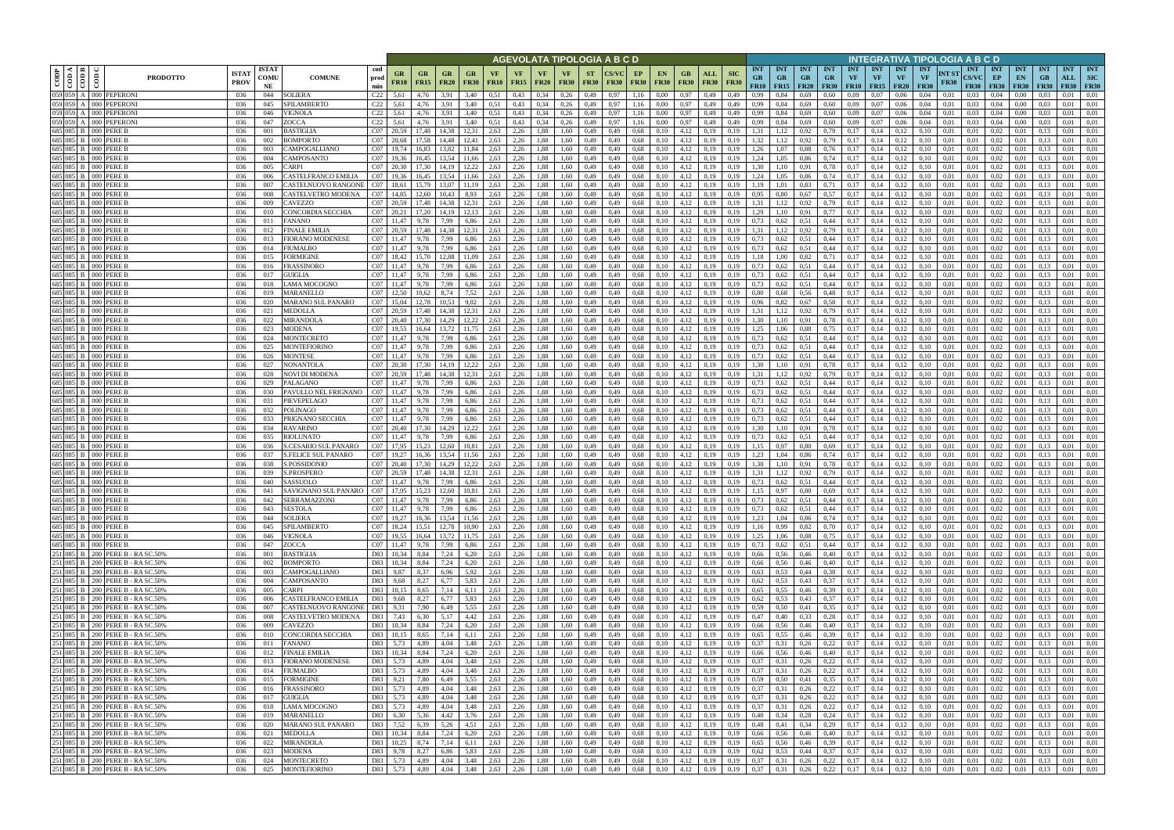|                                                                                                                                                          |                                              |                                                                                                                                                                             |                                                |                            |                                           |                       |                        |                          |                          |                          |                   |              |                          |                          |                          | AGEVOLATA TIPOLOGIA A B C D |    |                                         |                            |                    |                                    |                                        |                                        |                          |                                        |                         |                                             |                                        | INTEGRATIVA TIPOLOGIA A B C D   |                      |                                           |                                |                                 |                                 |                                       |                   |
|----------------------------------------------------------------------------------------------------------------------------------------------------------|----------------------------------------------|-----------------------------------------------------------------------------------------------------------------------------------------------------------------------------|------------------------------------------------|----------------------------|-------------------------------------------|-----------------------|------------------------|--------------------------|--------------------------|--------------------------|-------------------|--------------|--------------------------|--------------------------|--------------------------|-----------------------------|----|-----------------------------------------|----------------------------|--------------------|------------------------------------|----------------------------------------|----------------------------------------|--------------------------|----------------------------------------|-------------------------|---------------------------------------------|----------------------------------------|---------------------------------|----------------------|-------------------------------------------|--------------------------------|---------------------------------|---------------------------------|---------------------------------------|-------------------|
| $\begin{array}{ c c }\n\hline\n\text{COD} & \text{OOD} \\ \hline\n\text{COD A} & \text{OOD} \\ \hline\n\text{COD B} & \text{OOD} \\ \hline\n\end{array}$ | $\overline{\text{co}}$                       |                                                                                                                                                                             | <b>ISTA7</b><br><b>PRODOTTO</b><br><b>PROV</b> | <b>ISTAT</b><br>COMU<br>NE | <b>COMUNE</b>                             | cod<br>prod<br>min    | GR<br><b>FR10</b>      | <b>GR</b><br><b>FR15</b> | <b>GR</b><br><b>FR20</b> | <b>GR</b><br><b>FR30</b> | VF<br><b>FR10</b> | VF<br>FR15   | <b>VF</b><br><b>FR20</b> | <b>VF</b><br><b>FR30</b> | <b>ST</b><br><b>FR30</b> | <b>CS/VC</b><br><b>FR30</b> | EP | <b>EN</b><br><b>FR30</b><br><b>FR30</b> | GB<br><b>FR30</b>          | ALL<br><b>FR30</b> | <b>SIC</b><br><b>FR30</b>          | <b>INT</b><br><b>GR</b><br><b>FR10</b> | <b>INT</b><br><b>GR</b><br>$FR15$ FR20 | <b>INT</b><br><b>GR</b>  | <b>INT</b><br><b>GR</b><br><b>FR30</b> | <b>INT</b><br><b>VF</b> | <b>INT</b><br><b>VF</b><br><b>FR10</b> FR15 | <b>INT</b><br><b>VF</b><br><b>FR20</b> | <b>INT</b><br>VF<br><b>FR30</b> | NT ST<br><b>FR30</b> | <b>INT</b><br><b>CS/VC</b><br><b>FR30</b> | INT<br>EP<br><b>FR30</b>       | <b>INT</b><br>EN<br><b>FR30</b> | <b>INT</b><br>GB<br><b>FR30</b> | <b>INT</b><br>ALL<br><b>FR30</b> FR30 | <b>INT</b><br>SIC |
| 059 059                                                                                                                                                  |                                              | A 000 PEPERONI                                                                                                                                                              | 036                                            | 044                        | <b>SOLIERA</b>                            | C22                   | 5,61                   | 4,76                     | 3.91                     | 3,40                     | 0.51              | 0,43         | 0,34                     | 0,26                     | 0,49                     | 0.97                        |    | 1,16<br>0.00                            | 0,97                       | 0,49               | 0,49                               | 0.99                                   | 0.84                                   | 0,69                     | 0.60                                   | 0.09                    | 0.07                                        | 0.06                                   | 0.04                            | 0,01                 | 0.03                                      | 0.04                           | 0.00                            |                                 | 0.01                                  | 0,01              |
|                                                                                                                                                          |                                              | 059 059 A 000 PEPERONI<br>059 059 A 000 PEPERONI                                                                                                                            | 036<br>036                                     | 045<br>046                 | SPILAMBERTO<br>VIGNOLA                    | C22<br>C22            | 5,61<br>5,61           | 4,76<br>4,76             | 3,91<br>3,91             | 3,40<br>3,40             | 0,51<br>0,51      | 0,43<br>0,43 | 0,34<br>0.34             | 0,26<br>0,26             | 0,49<br>0,49             | 0,97<br>0.97                |    | 1,16<br>0,00<br>1,16<br>0,00            | 0,97<br>0,97               | 0,49<br>0,49       | 0,49<br>0,49                       | 0,99<br>0,99                           | 0,84<br>0,84                           | 0,69<br>0,69             | 0,60<br>0,60                           | 0,09<br>0.09            | 0,07<br>0,07                                | 0,06<br>0,06                           | 0,04<br>0,04                    | 0,01<br>0,01         | 0.03<br>0.03                              | 0,04<br>0,04                   | 0,00<br>0,00                    | 0.03<br>0.03                    | 0.01<br>0.01                          | 0,01<br>0,01      |
|                                                                                                                                                          |                                              | 059 059 A 000 PEPERONI                                                                                                                                                      | 036                                            | 047                        | ZOCCA                                     | C22                   | 5,61                   | 4,76                     | 3.91                     | 3,40                     | 0.51              | 0,43         | 0,34                     | 0,26                     | 0,49                     | 0,97                        |    | 1.16<br>0.00                            | 0,97                       | 0,49               | 0,49                               | 0,99                                   | 0,84                                   | 0,69                     | 0,60                                   | 0,09                    | 0.07                                        | 0,06                                   | 0.04                            | 0.01                 | 0.03                                      | 0.04                           | 0.00                            | 0.03                            | 0,01                                  | 0,01              |
|                                                                                                                                                          | 685 085 B 000 PERE B                         |                                                                                                                                                                             | 036                                            | 001                        | <b>BASTIGLIA</b>                          | C <sub>07</sub> 20.59 |                        | 17.48                    | 14.38                    | 12.31                    | 2,63              | 2,26         | 1,88                     | 1,60                     | 0,49                     | 0,49                        |    | 0,68<br>0,10                            | 4,12                       | 0,19               | 0.19                               | 1,31                                   | 1.12                                   | 0,92                     | 0.79                                   | 0.17                    | 0,14                                        | 0,12                                   |                                 | 0.01                 | 0.01                                      | 0.02                           | 0.01                            | 0.13                            | 0.01                                  | 0,01              |
|                                                                                                                                                          | 685 085 B 000 PERE B                         |                                                                                                                                                                             | 036                                            | 002                        | BOMPORTO                                  | C07 20,68             |                        | 17,58                    | 14,48                    | 12,41                    | 2,63              | 2,26         | 1,88                     | 1,60                     | 0,49                     | 0,49                        |    | 0,68<br>0,10                            | 4,12                       | 0,19               | 0,19                               | 1,32                                   | 1,12                                   | 0,92                     | 0,79                                   | 0,17                    | 0,14                                        | 0,12                                   | 0.10                            | 0,01                 | 0,01                                      | 0.02                           | 0,01                            | 0,13                            | 0,01                                  | 0,01              |
|                                                                                                                                                          | 685 085 B 000 PERE B<br>685 085 B 000 PERE B |                                                                                                                                                                             | 036<br>036                                     | 003<br>004                 | CAMPOGALLIANO<br>CAMPOSANTO               | CO7<br>CO7            | 19,74<br>19,36         | 16.83<br>16,45           | 13.82<br>13,54           | 11.84<br>11,66           | 2,63<br>2,63      | 2,26<br>2,26 | 1,88<br>1,88             | 1.60<br>1,60             | 0,49<br>0,49             | 0,49<br>0,49                |    | 0,68<br>0,10<br>0,68<br>0,10            | 4,12<br>4,12               | 0,19<br>0,19       | 0.19<br>0,19                       | 1,26<br>1,24                           | 1.07<br>1,05                           | 0,88<br>0,86             | 0,76                                   | 0,17<br>0,17            | 0,14<br>0,14                                | 0,12<br>0,12                           | 0.10<br>0.10                    | 0.01<br>0,01         | 0,01<br>0,01                              | 0.02<br>0.02                   | 0.01<br>0,01                    | 0.13<br>0,13                    | 0.01<br>0,01                          | 0.01<br>0,01      |
|                                                                                                                                                          | 685 085 B 000 PERE B                         |                                                                                                                                                                             | 036                                            | 005                        | CARPI                                     | CO7                   | 20.30                  | 17.30                    | 14,19                    | 12,22                    | 2,63              | 2,26         | 1,88                     | 1,60                     | 0,49                     | 0,49                        |    | 0,68<br>0,10                            | 4,12                       | 0,19               | 0,19                               | 1,30                                   | 1,10                                   | 0,91                     | 0,74<br>0,78                           | 0,17                    | 0,14                                        | 0,12                                   | 0,10                            | 0,01                 | 0,01                                      | 0,02                           | 0,01                            | 0,13                            | 0.01                                  | 0,01              |
|                                                                                                                                                          | 685 085 B 000 PERE B                         |                                                                                                                                                                             | 036                                            | 006                        | CASTELFRANCO EMILIA                       | CO7                   | 19,36                  | 16,45                    | 13,54                    | 11,66                    | 2,63              | 2,26         | 1,88                     | 1,60                     | 0,49                     | 0,49                        |    | 0,68<br>0,10                            | 4,12                       | 0,19               | 0,19                               | 1,24                                   | 1,05                                   | 0,86                     | 0,74                                   | 0,17                    | 0,14                                        | 0,12                                   | 0,10                            | 0,01                 | 0,01                                      | 0,02                           | 0,01                            | 0,13                            | 0,01                                  | 0,01              |
|                                                                                                                                                          | 685 085 B 000 PERE B                         |                                                                                                                                                                             | 036                                            | 007                        | CASTELNUOVO RANGON                        | CO7                   | 18,61                  | 15,79                    | 13,07                    | 11,19                    | 2,63              | 2,26         | 1,88                     | 1,60                     | 0,49                     | 0,49                        |    | 0,68<br>0,10                            | 4,12                       | 0,19               | 0,19                               | 1,19                                   | 1,01                                   | 0,83                     | 0,71                                   | 0,17                    | 0,14                                        | 0,12                                   | 0,10                            | 0,01                 | 0,01                                      | 0,02                           | 0,01                            | 0,13                            | 0,01                                  | 0,01              |
|                                                                                                                                                          | 685 085 B 000 PERE B<br>685 085 B 000 PERE B |                                                                                                                                                                             | 036                                            | 008                        | CASTELVETRO MODENA                        | CO7                   | 14,85                  | 12,60                    | 10,43                    | 8,93                     | 2,63              | 2,26         | 1,88                     | 1,60                     | 0,49                     | 0,49                        |    | 0,68<br>0,10                            | 4,12                       | 0,19               | 0,19                               | 0,95                                   | 0,80                                   | 0,67                     | 0,57                                   | 0,17                    | 0,14                                        | 0,12                                   | 0,10                            | 0,01                 | 0,01                                      | 0,02                           | 0,01                            | 0,13                            | 0,01                                  | 0,01              |
|                                                                                                                                                          | 685 085 B 000 PERE B                         |                                                                                                                                                                             | 036<br>036                                     | 009<br>010                 | CAVEZZO<br>CONCORDIA SECCHIA              | CO7<br>CO7            | 20,59<br>20,21         | 17.48<br>17,20           | 14,38<br>14,19           | 12,31<br>12,13           | 2,63<br>2,63      | 2,26<br>2,26 | 1,88<br>1,88             | 1,60<br>1,60             | 0,49<br>0,49             | 0,49<br>0,49                |    | 0,68<br>0,10<br>0,68<br>0,10            | 4,12<br>4,12               | 0,19<br>0,19       | 0,19<br>0,19                       | 1,31<br>1,29                           | 1,12<br>1,10                           | 0,92<br>0.91             | 0,79<br>0,77                           | 0,17<br>0,17            | 0,14<br>0,14                                | 0,12<br>0,12                           | 0,10<br>0,10                    | 0,01<br>0,01         | 0,01<br>0,01                              | 0,02<br>0,02                   | 0,01<br>0,01                    | 0,13<br>0.13                    | 0,01<br>0,01                          | 0,01<br>0,01      |
|                                                                                                                                                          | 685 085 B 000 PERE B                         |                                                                                                                                                                             | 036                                            | 011                        | <b>FANANO</b>                             | CO7                   | 11,47                  | 9,78                     | 7,99                     | 6,86                     | 2,63              | 2,26         | 1,88                     | 1,60                     | 0,49                     | 0,49                        |    | 0,68<br>0,10                            | 4,12                       | 0,19               | 0,19                               | 0,73                                   | 0,62                                   | 0.51                     | 0,44                                   | 0,17                    | 0,14                                        | 0,12                                   | 0,10                            | 0,01                 | 0,01                                      | 0,02                           | 0,01                            | 0,13                            | 0,01                                  | 0,01              |
|                                                                                                                                                          | 685 085 B 000 PERE B                         |                                                                                                                                                                             | 036                                            | 012                        | <b>FINALE EMILIA</b>                      | C <sub>07</sub> 20.59 |                        | 17.48                    | 14.38                    | 12.31                    | 2,63              | 2,26         | 1,88                     | 1,60                     | 0,49                     | 0.49                        |    | 0,68<br>0.10                            | 4,12                       | 0.19               | 0.19                               | 1,31                                   | 1,12                                   | 0,92                     | 0,79                                   | 0,17                    | 0,14                                        | 0,12                                   | 0.10                            | 0.01                 | 0.01                                      | 0,02                           | 0.01                            | 0.13                            | 0,01                                  | 0,01              |
|                                                                                                                                                          | 685 085 B 000 PERE B<br>685 085 B 000 PERE B |                                                                                                                                                                             | 036                                            | 013                        | <b>FIORANO MODENESE</b>                   | CO7                   | 11,47                  | 9,78                     | 7,99                     | 6,86                     | 2,63              | 2,26         | 1,88                     | 1,60                     | 0,49                     | 0,49                        |    | 0,10<br>0,68                            | 4,12                       | 0,19               | 0,19                               | 0,73                                   | 0,62                                   | 0,51                     | 0,44                                   | 0,17                    | 0,14                                        | 0,12                                   | 0.10                            | 0.01                 | 0.01                                      | 0,02                           | 0.01                            | 0.13                            | 0,01                                  | 0,01              |
|                                                                                                                                                          | 685 085 B 000 PERE B                         |                                                                                                                                                                             | 036<br>036                                     | 014<br>015                 | FIUMALBO<br>FORMIGINE                     | CO7<br>CO7            | 11,47<br>18,42         | 9,78                     | 7,99<br>12.88            | 6,86                     | 2,63<br>2,63      | 2,26<br>2,26 | 1,88<br>1,88             | 1,60<br>1.60             | 0,49<br>0,49             | 0,49<br>0,49                |    | 0.68<br>0,10<br>0.68<br>0,10            | 4,12<br>4,12               | 0,19<br>0.19       | 0,19<br>0.19                       | 0,73<br>1.18                           | 0.62<br>00.1                           | 0.51<br>0,82             | 0,44<br>0,71                           | 0,17<br>0.17            | 0,14<br>0,14                                | 0,12<br>0,12                           | 0.10                            | 0,01<br>0.01         | 0.01<br>0.01                              | 0,02<br>0,02                   | 0,01<br>0.01                    | 0.13<br>0.13                    | 0,01<br>0,01                          | 0,01<br>0.01      |
|                                                                                                                                                          | 685 085 B 000 PERE B                         |                                                                                                                                                                             | 036                                            | 016                        | FRASSINORO                                | CO7                   |                        | 9.78                     | 7.99                     | 6.86                     | 2,63              | 2,26         | 1,88                     | 1.60                     | 0,49                     | 0.49                        |    | 0.68<br>0,10                            | 4,12                       | 0.19               | 0.19                               | 0,73                                   | 0,62                                   | 0,51                     | 0,44                                   | 0.17                    | 0.14                                        | 0,12                                   |                                 | 0.01                 | 0.01                                      | 0,02                           | 0.01                            |                                 | 0.01                                  | 0.01              |
|                                                                                                                                                          | 685 085 B 000 PERE B                         |                                                                                                                                                                             | 036                                            | 017                        | GUIGLIA                                   | CO7                   | 11,47                  | 9,78                     | 7,99                     | 6,86                     | 2,63              | 2,26         | 1,88                     | 1,60                     | 0,49                     | 0,49                        |    | 0.68<br>0,10                            | 4,12                       | 0,19               | 0,19                               | 0.73                                   | 0,62                                   | 0,51                     | 0,44                                   | 0,17                    | 0,14                                        | 0,12                                   | 0,10                            | 0,01                 | 0,01                                      | 0,02                           | 0,01                            | 0,13                            | 0,01                                  | 0,01              |
|                                                                                                                                                          | 685 085 B 000 PERE B                         |                                                                                                                                                                             | 036                                            | 018                        | LAMA MOCOGNO                              | CO7                   |                        | 9,78                     | 7.99                     | 6,86                     | 2,63              | 2,26         | 1.88                     | 1,60                     | 0,49                     | 0,49                        |    | 0.68<br>0,10                            | 4,12                       | 0,19               | 0,19                               | 0,73                                   | 0.62                                   | 0,51                     | 0,44                                   | 0,17                    | 0,14                                        | 0,12                                   | 0.10                            | 0.01                 | 0,01                                      | 0,02                           | 0.01                            |                                 | 0.01                                  | 0,01              |
|                                                                                                                                                          | 685 085 B 000 PERE B<br>685 085 B 000 PERE B |                                                                                                                                                                             | 036<br>036                                     | 019<br>020                 | MARANELLO<br>MARANO SUL PANARO            | CO7<br>CO7            | 12.50                  | 10,62                    | 8,74<br>10,53            | 7,52<br>9,02             | 2,63<br>2,63      | 2,26<br>2,26 | 1,88<br>1,88             | 1,60<br>1,60             | 0,49<br>0,49             | 0,49<br>0,49                |    | 0.68<br>0,10<br>0.68<br>0,10            | 4,12<br>4,12               | 0,19<br>0,19       | 0,19<br>0,19                       | 0,80<br>0,96                           | 0.68<br>0,82                           | 0,56<br>0,67             | 0,48<br>0.58                           | 0,17<br>0,17            | 0,14<br>0,14                                | 0,12<br>0,12                           | 0,10<br>0.10                    | 0,01<br>0.01         | 0,01<br>0.01                              | 0,02<br>0,02                   | 0.01<br>0,01                    | 0,13                            | 0,01<br>0.01                          | 0,01<br>0,01      |
|                                                                                                                                                          | 685 085 B 000 PERE B                         |                                                                                                                                                                             | 036                                            | 021                        | MEDOLLA                                   | CO7                   | 20,59                  |                          | 14.38                    |                          | 2,63              | 2,26         | 1,88                     | 1,60                     | 0,49                     | 0,49                        |    | 0.68<br>0,10                            | 4,12                       | 0,19               | 0,19                               | 1.31                                   |                                        | 0,92                     | 0.79                                   | 0,17                    | 0,14                                        | 0,12                                   |                                 | 0.01                 | 0,01                                      | 0.02                           | 0.01                            | 0.13                            | 0,01                                  | 0,01              |
|                                                                                                                                                          | 685 085 B 000 PERE B                         |                                                                                                                                                                             | 036                                            | 022                        | MIRANDOLA                                 | CO7                   | 20.40                  |                          |                          | 12.22                    | 2,63              | 2,26         | .88                      | 1,60                     | 0,49                     | 0,49                        |    | 0,68<br>0.10                            | 4,12                       | 0.19               | 0.19                               | 1.30                                   |                                        | 0.91                     | 0.78                                   | 0.17                    | 0.14                                        | 0.12                                   |                                 | 0.01                 | 0.01                                      | 0.02                           | 0.01                            |                                 | 0.01                                  | 0.01              |
|                                                                                                                                                          | 685 085 B 000 PERE B                         |                                                                                                                                                                             | 036                                            | 023                        | MODENA                                    | CO7                   | 19,55                  | 16,64                    | 13,72                    | 11,75                    | 2,63              | 2,26         | 1,88                     | 1,60                     | 0,49                     | 0,49                        |    | 0,68<br>0,10                            | 4,12                       | 0,19               | 0,19                               | 1,25                                   | 0.06                                   | 0,88                     | 0,75                                   | 0,17                    | 0,14                                        | 0,12                                   | 0,10                            | 0,01                 | 0,01                                      | 0,02                           | 0,01                            | 0,13                            | 0,01                                  | 0,01              |
|                                                                                                                                                          | 685 085 B 000 PERE B<br>685 085 B 000 PERE B |                                                                                                                                                                             | 036<br>036                                     | 024<br>025                 | MONTECRETO<br>MONTEFIORINO                | CO7<br>CO7            | 11,47<br>11,47         | 9,78<br>9,78             | 7,99<br>7,99             | 6,86<br>6,86             | 2,63<br>2,63      | 2,26<br>2,26 | 1,88<br>1,88             | 1,60<br>1,60             | 0,49<br>0,49             | 0,49<br>0,49                |    | 0,68<br>0,10<br>0,68<br>0,10            | 4,12<br>4,12               | 0,19<br>0,19       | 0,19<br>0,19                       | 0,73<br>0,73                           | 0,62<br>0,62                           | 0,51<br>0,51             | 0,44<br>0,44                           | 0,17<br>0,17            | 0,14<br>0,14                                | 0,12<br>0,12                           | 0.10                            | 0.01<br>0.01         | 0.01<br>0,01                              | 0.02<br>0.02                   | 0,01<br>0,01                    | 0.13<br>0,13                    | 0.01<br>0,01                          | 0,01<br>0,01      |
|                                                                                                                                                          | 685 085 B 000 PERE B                         |                                                                                                                                                                             | 036                                            | 026                        | <b>MONTESE</b>                            | CO7                   | 11,47                  | 9,78                     | 7,99                     | 6,86                     | 2,63              | 2,26         | 1,88                     | 1,60                     | 0,49                     | 0,49                        |    | 0.68<br>0,10                            | 4,12                       | 0,19               | 0.19                               | 0,73                                   | 0,62                                   | 0,51                     | 0,44                                   | 0,17                    | 0,14                                        | 0,12                                   |                                 | 0.01                 | 0.01                                      | 0,02                           | 0,01                            | 0.13                            | 0.01                                  | 0,01              |
|                                                                                                                                                          | 685 085 B 000 PERE B                         |                                                                                                                                                                             | 036                                            | 027                        | NONANTOLA                                 | C <sub>07</sub> 20.30 |                        | 17.30                    | 14,19                    | 12,22                    | 2,63              | 2,26         | 1,88                     | 1,60                     | 0,49                     | 0,49                        |    | 0,68<br>0,10                            | 4,12                       | 0,19               | 0,19                               | 1.30                                   | 1,10                                   | 0,91                     | 0,78                                   | 0,17                    | 0,14                                        | 0,12                                   | 0.10                            | 0.01                 | 0,01                                      | 0.02                           | 0,01                            | 0.13                            | 0.01                                  | 0,01              |
|                                                                                                                                                          | 685 085 B 000 PERE B                         |                                                                                                                                                                             | 036                                            | 028                        | NOVI DI MODENA                            | C07 20,59             |                        | 17,48                    | 14,38                    | 12,31                    | 2,63              | 2,26         | 1,88                     | 1,60                     | 0,49                     | 0,49                        |    | 0,68<br>0,10                            | 4,12                       | 0,19               | 0,19                               | 1,31                                   | 1,12                                   | 0,92                     | 0,79                                   | 0,17                    | 0,14                                        | 0,12                                   | 0.10                            | 0.01                 | 0,01                                      | 0,02                           | 0,01                            | 0.13                            | 0.01                                  | 0,01              |
|                                                                                                                                                          | 685 085 B 000 PERE B<br>685 085 B 000 PERE B |                                                                                                                                                                             | 036                                            | 029<br>030                 | PALAGANO<br>PAVULLO NEL FRIGNANO          | CO7<br>CO7            | 11,47                  | 9,78                     | 7,99<br>7,99             | 6,86                     | 2,63              | 2,26<br>2,26 | 1,88                     | 1,60                     | 0,49                     | 0,49                        |    | 0,68<br>0,10                            | 4,12                       | 0,19               | 0,19                               | 0,73<br>0,73                           | 0,62                                   | 0,51                     | 0,44                                   | 0,17<br>0,17            | 0,14<br>0,14                                | 0,12<br>0,12                           | 0,10<br>0.10                    | 0,01<br>0.01         | 0,01                                      | 0,02<br>0,02                   | 0,01<br>0,01                    | 0,13                            | 0,01<br>0,01                          | 0,01<br>0,01      |
|                                                                                                                                                          | 685 085 B 000 PERE B                         |                                                                                                                                                                             | 036<br>036                                     | 031                        | PIEVEPELAGO                               | CO7                   | 11,47<br>11,47         | 9,78<br>9,78             | 7,99                     | 6,86<br>6,86             | 2,63<br>2,63      | 2,26         | 1,88<br>1,88             | 1,60<br>1,60             | 0,49<br>0,49             | 0,49<br>0,49                |    | 0,68<br>0,10<br>0,68<br>0,10            | 4,12<br>4,12               | 0,19<br>0,19       | 0,19<br>0,19                       | 0,73                                   | 0,62<br>0,62                           | 0.51<br>0,51             | 0,44<br>0,44                           | 0,17                    | 0,14                                        | 0,12                                   | 0,10                            | 0,01                 | 0,01<br>0,01                              | 0,02                           | 0,01                            | 0,13<br>0,13                    | 0,01                                  | 0,01              |
|                                                                                                                                                          | 685 085 B 000 PERE B                         |                                                                                                                                                                             | 036                                            | 032                        | POLINAGO                                  | CO7                   | 11,47                  | 9,78                     | 7,99                     | 6,86                     | 2,63              | 2,26         | 1,88                     | 1,60                     | 0,49                     | 0,49                        |    | 0,68<br>0,10                            | 4,12                       | 0,19               | 0,19                               | 0,73                                   | 0,62                                   | 0,51                     | 0,44                                   | 0,17                    | 0,14                                        | 0,12                                   | 0,10                            | 0,01                 | 0,01                                      | 0,02                           | 0,01                            | 0,13                            | 0,01                                  | 0,01              |
|                                                                                                                                                          | 685 085 B 000 PERE B                         |                                                                                                                                                                             | 036                                            | 033                        | PRIGNANO SECCHIA                          | CO7                   | 11,47                  | 9,78                     | 7,99                     | 6,86                     | 2,63              | 2,26         | 1,88                     | 1,60                     | 0,49                     | 0,49                        |    | 0,10<br>0,68                            | 4,12                       | 0,19               | 0,19                               | 0,73                                   | 0,62                                   | 0.51                     | 0,44                                   | 0,17                    | 0,14                                        | 0,12                                   | 0,10                            | 0,01                 | 0,01                                      | 0,02                           | 0,01                            | 0.13                            | 0,01                                  | 0,01              |
|                                                                                                                                                          | 685 085 B 000 PERE B<br>685 085 B 000 PERE B |                                                                                                                                                                             | 036<br>036                                     | 034<br>035                 | <b>RAVARINO</b><br>RIOLUNATO              | CO7                   | C07 20,40<br>11,47     | 17,30<br>9,78            | 14,29<br>7,99            | 12,22<br>6,86            | 2,63<br>2,63      | 2,26<br>2,26 | 1,88<br>1,88             | 1,60<br>1,60             | 0,49<br>0,49             | 0,49<br>0,49                |    | 0,68<br>0,10<br>0,68<br>0,10            | 4,12<br>4,12               | 0,19<br>0,19       | 0,19<br>0,19                       | 1,30<br>0,73                           | 1,10<br>0.62                           | 0.91<br>0.51             | 0,78<br>0,44                           | 0,17<br>0,17            | 0,14<br>0,14                                | 0,12<br>0,12                           | 0,10<br>0,10                    | 0,01<br>0,01         | 0,01<br>0,01                              | 0,02<br>0,02                   | 0,01<br>0,01                    | 0,13<br>0.13                    | 0,01<br>0,01                          | 0,01<br>0,01      |
|                                                                                                                                                          | 685 085 B 000 PERE B                         |                                                                                                                                                                             | 036                                            | 036                        | S.CESARIO SUL PANARO                      | CO7                   | 17,95                  | 15.23                    | 12.60                    | 10.81                    | 2,63              | 2,26         | 1,88                     | 1.60                     | 0,49                     | 0,49                        |    | 0.68<br>0,10                            | 4,12                       | 0,19               | 0.19                               | 1,15                                   | 0,97                                   | 0,80                     | 0.69                                   | 0.17                    | 0,14                                        | 0,12                                   | 0.10                            | 0.01                 | 0.01                                      | 0,02                           | 0.01                            | 0.13                            | 0,01                                  | 0,01              |
|                                                                                                                                                          | 685 085 B 000 PERE B                         |                                                                                                                                                                             | 036                                            | 037                        | <b>S.FELICE SUL PANARO</b>                | CO7                   | 19.27                  | 16.36                    | 13.54                    | 11.56                    | 2,63              | 2,26         | 1,88                     | 1,60                     | 0,49                     | 0.49                        |    | 0,68<br>0,10                            | 4,12                       | 0,19               | 0.19                               | 1,23                                   | 1.04                                   | 0,86                     | 0,74                                   | 0,17                    | 0,14                                        | 0,12                                   | 0.10                            | 0.01                 | 0.01                                      | 0,02                           | 0.01                            | 0.13                            | 0,01                                  | 0,01              |
|                                                                                                                                                          | 685 085 B 000 PERE B                         |                                                                                                                                                                             | 036                                            | 038                        | S.POSSIDONIO                              | CO7                   | 20,40                  | 17,30                    | 14,29                    | 12,22                    | 2,63              | 2,26         | 1,88                     | 1,60                     | 0,49                     | 0,49                        |    | 0.68<br>0,10                            | 4,12                       | 0,19               | 0,19                               | 1,30                                   | 1,10                                   | 0,91                     | 0,78                                   | 0,17                    | 0,14                                        | 0,12                                   | 0,10                            | 0,01                 | 0,01                                      | 0,02                           | 0,01                            | 0,13                            | 0,01                                  | 0,01              |
|                                                                                                                                                          | 685 085 B 000 PERE B                         |                                                                                                                                                                             | 036                                            | 039                        | <b>S.PROSPERO</b>                         | CO7                   | 20.59<br>C07 11,47     | 17.48                    | 14.38                    | 12.31                    | 2,63              | 2,26         | 1,88                     | 1.60                     | 0,49                     | 0.49                        |    | 0.68<br>0,10                            | 4,12                       | 0.19               | 0.19                               | 1.31                                   | 1.12                                   | 0,92                     | 0,79                                   | 0.17                    | 0,14                                        | 0,12                                   | 0.10                            | 0.01                 | 0.01                                      | 0,02                           | 0.01                            | 0.13                            | 0.01                                  | 0,01              |
|                                                                                                                                                          | 685 085 B 000 PERE B 685 085 B 000 PERE B    |                                                                                                                                                                             | 036<br>036                                     | 040<br>041                 | SASSUOLO<br>SAVIGNANO SUL PANARO          | C07 17,95             |                        | 9,78                     | 7,99<br>15,23 12,60      | 6,86<br>10,81            | 2,63<br>2,63      | 2,26<br>2,26 | 1,88<br>1,88             | 1,60<br>1,60             | 0,49<br>0,49             | 0,49<br>0,49                |    | 0,68<br>0,10<br>0.68<br>0,10            | 4,12<br>$4,12$ 0,19        | 0,19               | 0,19<br>0,19                       | 0,73<br>1,15 0,97                      | 0,62                                   | 0,51<br>$0,80$ $0,69$    | 0,44                                   | 0,17<br>0,17            | 0,14<br>0.14                                | 0,12<br>0,12                           | 0,10<br>0.10                    | 0,01<br>0.01         | 0.01<br>0.01                              | 0,02<br>0,02                   | 0.01<br>0.01                    | 0.13<br>0.13                    | 0,01<br>0.01                          | 0,01<br>0,01      |
|                                                                                                                                                          | 685 085 B 000 PERE B                         |                                                                                                                                                                             | 036                                            | 042                        | SERRAMAZZONI                              | CO7                   | 11,47                  | 9,78                     | 7,99                     | 6,86                     | 2,63              | 2,26         | 1,88                     | 1,60                     | 0,49                     | 0,49                        |    | 0,68<br>0,10                            | 4,12                       | 0,19               | 0,19                               | 0,73                                   | 0,62                                   | 0,51                     | 0,44                                   | 0,17                    | 0,14                                        | 0,12                                   | 0,10                            | 0,01                 | 0,01                                      | 0,02                           | 0,01                            | 0,13                            | 0.01                                  | 0,01              |
|                                                                                                                                                          | 685 085 B 000 PERE B                         |                                                                                                                                                                             | 036                                            | 043                        | <b>SESTOLA</b>                            | CO7                   | 11,47                  | 9,78                     | 7,99                     | 6,86                     | 2,63              | 2,26         | 1,88                     | 1,60                     | 0,49                     | 0,49                        |    | 0,68<br>0,10                            | 4,12                       | 0,19               | 0,19                               | 0,73                                   | 0,62                                   | 0,51                     | 0,44                                   | 0,17                    | 0,14                                        | 0,12                                   | 0,10                            | 0,01                 | 0,01                                      | 0,02                           | 0,01                            | 0,13                            | 0.01                                  | 0,01              |
|                                                                                                                                                          | 685 085 B 000 PERE B<br>685 085 B 000 PERE B |                                                                                                                                                                             | 036                                            | 044                        | <b>SOLIERA</b>                            |                       | C07 19,27              |                          | 16,36 13,54              | 11,56                    | 2,63              | 2,26         | 1,88                     | 1,60                     | 0,49                     | 0,49                        |    | 0,68<br>0,10                            | $4,12$ 0,19                |                    | 0,19                               | 1,23                                   | 1,04                                   | 0,86                     | 0,74                                   |                         | $0,17$ 0,14                                 | 0,12                                   | 0,10                            | 0,01                 | 0,01                                      | 0,02                           | 0,01                            | 0,13                            | 0,01                                  | 0,01              |
|                                                                                                                                                          | 685 085 B 000 PERE B                         |                                                                                                                                                                             | 036<br>036                                     | 045<br>046                 | SPILAMBERTO<br><b>VIGNOLA</b>             |                       | C07 18,24<br>C07 19,55 | 15,51<br>16,64           | 12,78<br>13,72           | 10,90<br>11,75           | 2,63<br>2,63      | 2,26<br>2,26 | 1,88<br>1,88             | 1,60<br>1,60             | 0,49<br>0,49             | 0,49<br>0,49                |    | 0,68<br>0,10<br>0,68<br>0,10            | $4,12$ 0,19<br>$4,12$ 0,19 |                    | 0,19<br>0,19                       | 1,16<br>1,25                           | 0,99<br>1,06                           | 0,82<br>0,88             | 0,70<br>0,75                           | 0,17                    | $0,17$ 0.14<br>0,14                         | 0,12<br>0,12                           | 0,10<br>0,10                    | 0,01<br>0,01         | 0,01<br>0,01                              | 0,02<br>0,02                   | 0,01<br>0,01                    | 0,13<br>0,13                    | 0,01<br>0,01                          | 0,01<br>0,01      |
|                                                                                                                                                          | 685 085 B 000 PERE B                         |                                                                                                                                                                             | 036                                            | 047                        | ZOCCA                                     | CO7                   | 11,47                  | 9,78                     | 7,99                     | 6,86                     | 2,63              | 2,26         | 1,88                     | 1,60                     | 0,49                     | 0,49                        |    | 0,68<br>0,10                            | $4,12$ 0,19                |                    | 0,19                               | 0,73                                   | 0,62                                   | 0,51                     | 0,44                                   | 0,17                    | 0,14                                        | 0,12                                   | 0,10                            | 0,01                 | 0,01                                      | 0,02                           | 0,01                            | 0,13                            | 0,01                                  | 0,01              |
|                                                                                                                                                          |                                              | 251 085 B 200 PERE B - RA SC.50%<br>251 085 B 200 PERE B - RA SC.50%                                                                                                        | 036                                            | 001                        | <b>BASTIGLIA</b>                          |                       |                        | D83 10.34 8.84           | 7,24                     | 6,20                     | 2,63              | 2,26         |                          | 1,88 1,60                | 0,49                     | 0,49                        |    | 0,68<br>0,10                            | $4,12$ 0,19                |                    | 0,19                               | 0,66                                   | 0,56                                   | 0,46                     | 0,40                                   |                         | $0,17$ 0,14                                 | 0,12                                   | 0,10                            | 0,01                 | 0,01                                      | 0,02                           | 0,01                            | 0,13                            | 0.01                                  | 0,01              |
|                                                                                                                                                          |                                              |                                                                                                                                                                             | 036                                            | 002<br>003                 | <b>BOMPORTO</b><br>CAMPOGALLIANO          | D83 9,87              | D83 10.34              | 8,84<br>8,37             | 7,24<br>6,96             | 6,20 2,63                | 2,63              | 2,26<br>2,26 | 1,88                     | 1,60                     | 0,49                     | 0,49                        |    | 0,68<br>0,10<br>0,68                    | $4,12$ 0,19<br>$4,12$ 0,19 |                    | 0,19                               | 0,66<br>0,63                           | 0,56                                   | 0,46                     | 0,40                                   |                         | $0,17$ 0.14<br>$0,17$ 0,14                  | 0,12                                   | 0,10<br>0,10                    | 0,01<br>0,01         | 0,01<br>0,01                              | $0.02 \qquad 0.01$<br>0,02     |                                 | 0,13                            | 0.01<br>0,01                          | 0,01              |
|                                                                                                                                                          |                                              | 251 085 B 200 PERE B - RA SC.50%<br>251 085 B 200 PERE B - RA SC.50%                                                                                                        | 036<br>036                                     | 004                        | CAMPOSANTO                                | D83                   | 9,68                   | 8,27                     | 6,77                     | 5,92<br>5,83             | 2,63              | 2,26         | 1,88                     | 1,88 1,60<br>1,60        | 0,49<br>0,49             | 0,49<br>0,49                |    | 0,10<br>0,68<br>0,10                    | $4,12$ 0,19                |                    | 0,19<br>0,19                       | 0,62                                   | 0,53<br>0,53                           | 0,44<br>0,43             | 0,38<br>0,37                           | 0,17                    | 0,14                                        | 0,12<br>0,12                           | 0,10                            | 0,01                 | 0,01                                      | 0,02                           | 0,01<br>0,01                    | 0,13<br>0,13                    | 0,01                                  | 0,01<br>0,01      |
|                                                                                                                                                          |                                              | 251 085 B 200 PERE B - RA SC.50%<br>251 085 B 200 PERE B - RA SC.50%                                                                                                        | 036                                            | 005                        | CARPI                                     | D83 10,15             |                        | 8,65                     | 7,14                     | 6,11                     | 2,63              | 2,26         |                          | 1,88 1,60                | 0,49                     | 0,49                        |    | 0,68<br>0,10                            | $4,12$ 0,19                |                    | 0,19                               | 0,65                                   | 0,55                                   | 0,46                     | 0,39                                   | 0,17                    | 0,14                                        | 0,12                                   | 0,10                            | 0,01                 | 0,01                                      | 0,02                           | 0,01                            | 0,13                            | 0,01                                  | 0,01              |
|                                                                                                                                                          |                                              |                                                                                                                                                                             | 036                                            | 006                        | CASTELFRANCO EMILIA                       | D83 9,68              |                        | 8,27                     | 6,77                     | 5,83                     | 2,63              | 2,26         | 1,88                     | 1,60                     | 0,49                     | 0,49                        |    | 0,68<br>0,10                            | $4,12$ 0,19                |                    | 0,19                               | 0,62                                   | 0,53                                   | 0,43                     | 0,37                                   | 0,17                    | 0,14                                        | 0,12                                   | 0,10                            | 0,01                 | 0,01                                      | $0,02$ $0,01$                  |                                 | 0,13                            | 0,01                                  | 0,01              |
|                                                                                                                                                          |                                              | 251 085 B 200 PERE B - RA SC.50%<br>251 085 B 200 PERE B - RA SC.50%                                                                                                        | 036                                            | 007                        | CASTELNUOVO RANGONE<br>CASTELVETRO MODENA | D83 9,31<br>D83 7,43  |                        | 7,90<br>6,30             | 6,49<br>5,17             | 5,55<br>4,42             | 2,63<br>2,63      | 2,26<br>2,26 | 1,88 1,60<br>1,88 1,60   |                          | 0,49<br>0,49             | 0,49<br>0,49                |    | 0,68<br>0,10<br>0,68<br>0,10            | $4,12$ 0,19<br>$4,12$ 0,19 |                    | 0,19                               | 0,59<br>0,47                           | 0,50<br>0,40                           | 0,41<br>0,33             | 0,35                                   |                         | $0,17$ $0,14$<br>$0,17$ 0,14                | 0,12<br>0,12                           | 0,10                            | 0,01<br>0,01         | 0,01                                      | $0,02$ 0.01<br>$0,02$ $0,01$   |                                 | 0,13                            | 0,01                                  | 0,01<br>0,01      |
|                                                                                                                                                          |                                              |                                                                                                                                                                             | 036<br>036                                     | 008<br>009                 | CAVEZZO                                   |                       | D83 10,34              | 8,84                     | 7,24                     | 6,20                     | 2,63              | 2,26         | 1,88 1,60                |                          | 0,49                     | 0,49                        |    | 0,68<br>0,10                            | $4,12$ 0,19                |                    | 0,19<br>0,19                       | 0,66                                   | 0,56                                   | 0,46                     | 0,28<br>0,40                           |                         | $0,17$ $0,14$                               | 0,12                                   | 0,10<br>0,10                    | 0,01                 | 0,01<br>0,01                              | 0,02                           | 0,01                            | 0,13<br>0,13                    | 0,01<br>0,01                          | 0,01              |
|                                                                                                                                                          |                                              | 251 085 B 200 PERE B - RA SC.50%<br>251 085 B 200 PERE B - RA SC.50%                                                                                                        | 036                                            | 010                        | CONCORDIA SECCHIA                         | D83 10,15             |                        | 8,65                     | 7,14                     | 6,11                     | 2,63              | 2,26         |                          | 1,88 1,60                | 0,49                     | 0,49                        |    | 0,68<br>0,10                            | $4,12$ 0,19                |                    | 0,19                               | 0,65                                   | 0,55                                   | 0,46                     | 0,39                                   |                         | $0,17$ $0,14$                               | 0,12                                   | 0,10                            | 0,01                 | 0,01                                      | $0,02$ 0.01                    |                                 | 0,13                            | 0,01                                  | 0,01              |
|                                                                                                                                                          |                                              | 251 085 B 200 PERE B - RASC.50%<br>251 085 B 200 PERE B - RASC.50%<br>251 085 B 200 PERE B - RASC.50%<br>251 085 B 200 PERE B - RASC.50%<br>251 085 B 200 PERE B - RASC.50% | 036                                            | 011                        | FANANO                                    | D83 5,73              |                        | 4,89                     | 4,04                     | 3,48                     | 2,63              | 2,26         |                          | 1,88 1,60                | 0,49                     | 0,49                        |    | $0,68$ 0,10                             | $4,12$ 0,19                |                    | 0,19                               | 0,37                                   | 0,31                                   | 0,26                     | 0,22                                   |                         | $0,17$ $0,14$                               | 0,12                                   | 0,10                            | 0,01                 | 0,01                                      | $0,02$ 0.01                    |                                 | 0,13                            | 0,01                                  | 0,01              |
|                                                                                                                                                          |                                              |                                                                                                                                                                             | 036                                            | 012                        | <b>FINALE EMILIA</b>                      | D83 10,34<br>D83 5,73 |                        | 8,84                     | 7,24                     | 6,20                     | 2,63              | 2,26         |                          | 1,88 1,60                | 0,49                     | 0,49                        |    | $0,68$ $0,10$                           | $4,12$ 0,19                |                    | 0,19                               | 0,66                                   | 0,56                                   | 0,46                     | 0,40                                   |                         | $0,17$ 0.14                                 | 0,12                                   | 0,10                            | 0,01                 | 0,01                                      | $0,02$ 0.01                    |                                 | 0, 13                           | 0,01                                  | 0,01<br>0,01      |
|                                                                                                                                                          |                                              |                                                                                                                                                                             | 036<br>036                                     | 013<br>014                 | FIORANO MODENESE<br><b>FIUMALBO</b>       | D83 5,73              |                        | 4,89<br>4,89             | 4,04<br>4,04             | 3,48<br>3,48             | 2,63<br>2,63      | 2,26<br>2,26 |                          | 1,88 1,60<br>1,88 1,60   | 0,49<br>0,49             | 0,49<br>0,49                |    | $0,68$ 0,10<br>$0,68$ 0,10              | $4,12$ 0,19<br>$4,12$ 0,19 |                    | 0,19<br>0,19                       | $0,37$ $0,31$<br>$0,37$ $0,31$         |                                        | 0,26<br>0,26             | 0,22<br>0,22                           |                         | $0,17$ $0,14$<br>$0,17$ $0,14$              | 0,12<br>0,12                           | 0,10<br>0,10                    | 0,01<br>0,01         | 0,01<br>0,01                              | $0,02$ 0.01<br>$0,02$ 0.01     |                                 | 0,13<br>0,13                    | 0,01<br>0,01                          | 0,01              |
|                                                                                                                                                          |                                              | 251 085 B 200 PERE B - RASC.50%                                                                                                                                             | 036                                            | 015                        | <b>FORMIGINE</b>                          | D83 9,21              |                        | 7,80                     | 6,49                     | 5,55                     | 2,63              | 2,26         |                          | 1,88 1,60                | 0,49                     | 0,49                        |    | 0,68<br>0,10                            | $4,12$ 0,19                |                    | 0,19                               | 0,59 0,50                              |                                        | 0,41                     | 0,35                                   |                         | $0,17$ $0,14$                               | 0,12                                   | 0,10                            | 0,01                 | 0,01                                      | $0,02$ 0.01                    |                                 | 0,13                            | 0,01                                  | 0,01              |
|                                                                                                                                                          |                                              | 251 085 B 200 PERE B - RA SC.50%<br>251 085 B 200 PERE B - RA SC.50%                                                                                                        | 036                                            | 016                        | <b>FRASSINORO</b>                         | D83 5,73              |                        | 4,89                     | 4,04                     | 3,48                     | 2,63              | 2,26         |                          | 1,88 1,60                | 0,49                     | 0,49                        |    | 0,68<br>0,10                            | $4,12$ 0,19                |                    | 0,19                               | $0,37$ $0,31$                          |                                        | 0,26                     | 0,22                                   |                         | $0,17$ 0,14                                 | 0,12                                   | 0,10                            | 0,01                 | 0,01                                      | $0,02$ 0.01                    |                                 | 0.13                            | 0,01                                  | 0,01              |
|                                                                                                                                                          |                                              |                                                                                                                                                                             | 036                                            | 017                        | <b>GUIGLIA</b>                            |                       | D83 5,73               | 4,89                     | 4,04                     | 3,48                     | 2,63              | 2,26<br>2,26 |                          | 1,88 1,60                | 0,49                     | 0,49                        |    | 0,68<br>0,10                            | $4,12$ 0,19<br>$4,12$ 0,19 |                    | 0,19                               | $0,37$ $0,31$<br>0,37                  |                                        | 0,26                     | 0,22<br>0,22                           |                         | $0,17$ $0,14$<br>0,14                       | 0,12                                   | 0,10                            | 0,01                 | 0,01                                      | $0,02$ $0,01$<br>$0,02$ $0,01$ |                                 | 0,13                            | 0,01                                  | 0,01<br>0,01      |
|                                                                                                                                                          |                                              | 251 085 B 200 PERE B - RA SC.50%<br>251 085 B 200 PERE B - RA SC.50%                                                                                                        | 036<br>036                                     | 018<br>019                 | LAMA MOCOGNO<br>MARANELLO                 | D83 5,73<br>D83       | 6,30                   | 4,89<br>5,36             | 4,04<br>4,42             | 3,48<br>3,76             | 2,63<br>2,63      | 2,26         | 1,88<br>1,88             | 1,60<br>1,60             | 0,49<br>0,49             | 0,49<br>0,49                |    | 0,68<br>0,10<br>0,68<br>0,10            | 4,12                       | 0,19               | 0,19<br>0,19                       | 0,40                                   | 0,31<br>0,34                           | 0,26<br>0,28             | 0,24                                   | 0,17<br>0,17            | 0,14                                        | 0,12<br>0,12                           | 0,10<br>0,10                    | 0,01<br>0,01         | 0,01<br>0,01                              | 0,02                           | 0,01                            | 0,13<br>0,13                    | 0,01<br>0,01                          | 0,01              |
|                                                                                                                                                          |                                              |                                                                                                                                                                             | 036                                            | 020                        | MARANO SUL PANARO                         | D83                   | 7,52                   | 6,39                     | 5,26                     | 4,51                     | 2,63              | 2,26         | 1,88                     | 1,60                     | 0,49                     | 0,49                        |    | 0,68<br>0,10                            | 4,12                       | 0,19               | 0,19                               | 0,48                                   | 0,41                                   | 0,34                     | 0,29                                   | 0,17                    | 0,14                                        | 0,12                                   | 0,10                            | 0,01                 | 0,01                                      | 0,02                           | 0,01                            | 0,13                            | 0,01                                  | 0,01              |
|                                                                                                                                                          |                                              | 251 085 B 200 PERE B - RA SC.50%<br>251 085 B 200 PERE B - RA SC.50%                                                                                                        | 036                                            | 021                        | MEDOLLA                                   |                       | D83 10,34              | 8,84                     | 7,24                     | 6,20                     | 2,63              | 2,26         |                          | 1,88 1,60                |                          | 0,49 0,49                   |    | 0,68<br>0,10                            | $4,12$ 0,19                |                    | 0,19                               | 0,66                                   | 0,56                                   | 0,46                     | 0,40                                   |                         | $0,17$ 0.14                                 | 0,12                                   | 0,10                            | 0,01                 | 0,01                                      | $0,02$ 0.01                    |                                 | 0,13                            | 0,01                                  | 0,01              |
|                                                                                                                                                          |                                              | 251 085 B 200 PERE B - RA SC.50%<br>251 085 B 200 PERE B - RA SC.50%                                                                                                        | 036                                            | 022                        | <b>MIRANDOLA</b>                          |                       |                        | D83 10,25 8,74           | 7,14                     | 6,11                     | 2,63              | 2,26         |                          | 1,88 1,60                | 0,49                     | 0,49                        |    | 0,68<br>0,10                            | $4,12$ 0,19                |                    | 0,19                               | 0,65                                   | 0,56                                   | 0,46                     | 0,39                                   |                         | $0,17$ $0,14$                               | 0,12                                   | 0,10                            | 0,01                 | 0,01                                      | 0,02                           | 0,01                            | 0,13                            | 0.01                                  | 0,01<br>0,01      |
|                                                                                                                                                          |                                              |                                                                                                                                                                             | 036<br>036                                     | 023<br>024                 | <b>MODENA</b><br>MONTECRETO               |                       | D83 9,78<br>D83 5,73   | 4,89                     | 8,27 6,86<br>4,04        | 5,83 2,63<br>3,48 2,63   |                   | 2,26<br>2,26 |                          | 1,88 1,60<br>1,88 1,60   |                          | 0,49 0,49<br>0,49 0,49      |    | $0,68$ $0,10$<br>$0,68$ $0,10$          | $4,12$ 0,19<br>$4,12$ 0,19 |                    | 0,19<br>0,19                       | 0,62<br>0,37                           | 0,31                                   | $0,53$ 0,44 0,37<br>0,26 | 0,22                                   |                         | $0,17$ 0,14<br>$0,17$ 0,14                  | 0,12<br>0,12                           | 0,10<br>0,10                    | 0,01<br>0,01         | 0,01<br>0,01                              | $0,02$ 0.01<br>$0,02$ 0.01     |                                 | 0,13<br>0,13                    | 0.01                                  | $0,01$ $0,01$     |
|                                                                                                                                                          |                                              | 251 085 B 200 PERE B - RA SC.50%<br>251 085 B 200 PERE B - RA SC.50%                                                                                                        | 036                                            | 025                        | <b>MONTEFIORINO</b>                       |                       | D83 5,73               |                          | 4,89 4,04 3,48 2,63      |                          |                   |              | 2,26 1,88 1,60           |                          |                          |                             |    | $0,49$ 0.49 0.68 0.10 4.12 0.19         |                            |                    | $0,19$ $0,37$ $0,31$ $0,26$ $0,22$ |                                        |                                        |                          |                                        |                         | $0,17$ $0,14$                               | 0,12                                   | 0,10                            | 0,01                 | $0,01$ $0,02$ $0,01$                      |                                |                                 | 0,13                            |                                       | $0,01$ $0,01$     |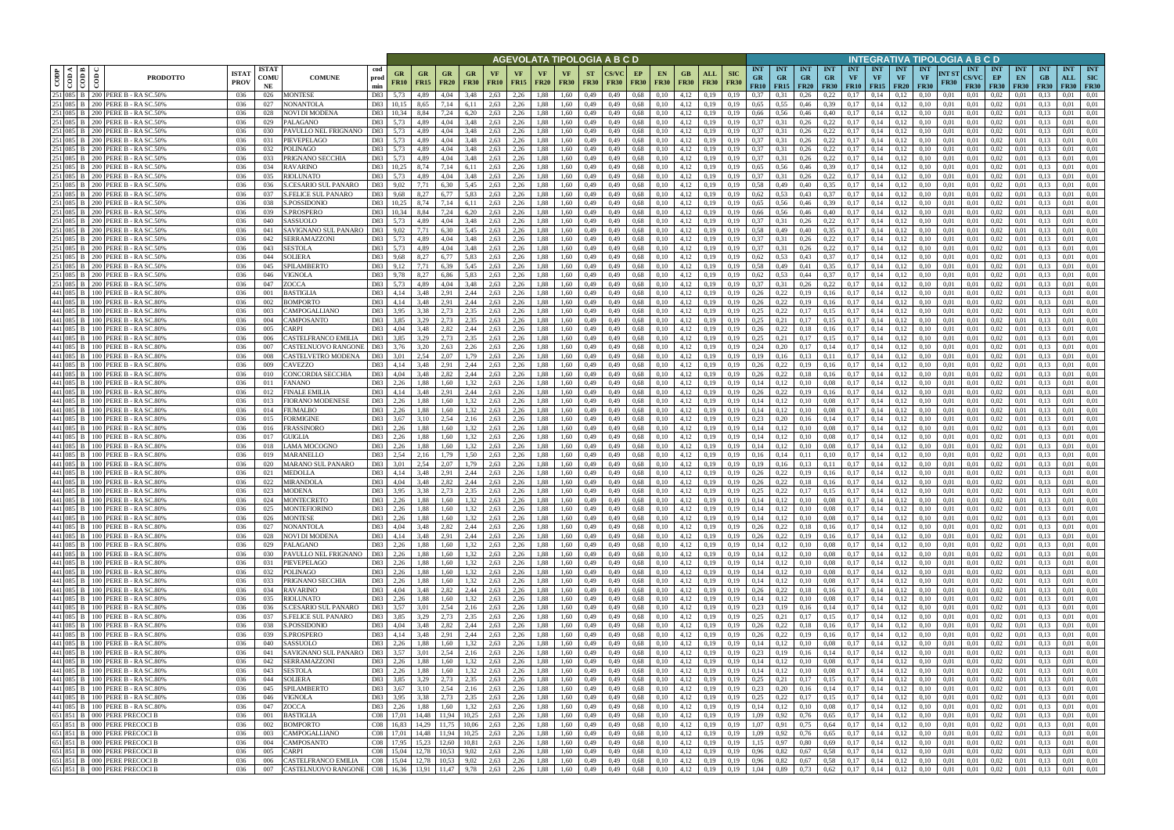|      |                                                               |                                                                        |                             |                            |                                                    |                      |                   |                         |                                |                          |                   |                   |                          |                          |                          | AGEVOLATA TIPOLOGIA A B C D |    |                                              |                   |                            |                           |                                 |                                               |                              |                                        |                         |                                             |                                        | INTEGRATIVA TIPOLOGIA A B C D   |                      |                                           |                                   |                                 |                                 |                                  |                                         |
|------|---------------------------------------------------------------|------------------------------------------------------------------------|-----------------------------|----------------------------|----------------------------------------------------|----------------------|-------------------|-------------------------|--------------------------------|--------------------------|-------------------|-------------------|--------------------------|--------------------------|--------------------------|-----------------------------|----|----------------------------------------------|-------------------|----------------------------|---------------------------|---------------------------------|-----------------------------------------------|------------------------------|----------------------------------------|-------------------------|---------------------------------------------|----------------------------------------|---------------------------------|----------------------|-------------------------------------------|-----------------------------------|---------------------------------|---------------------------------|----------------------------------|-----------------------------------------|
| CODP | $\frac{\overline{\text{cond}}}{\overline{\text{cond}}}$<br>ම් | <b>PRODOTTO</b>                                                        | <b>ISTA7</b><br><b>PROV</b> | <b>ISTAT</b><br>COMU<br>NE | <b>COMUNE</b>                                      | cod<br>prod<br>min   | GR<br><b>FR10</b> | GR<br><b>FR15</b>       | GR<br><b>FR20</b>              | <b>GR</b><br><b>FR30</b> | VF<br><b>FR10</b> | VF<br><b>FR15</b> | <b>VF</b><br><b>FR20</b> | <b>VF</b><br><b>FR30</b> | <b>ST</b><br><b>FR30</b> | <b>CS/VC</b><br><b>FR30</b> | EP | <b>EN</b><br><b>FR30</b><br><b>FR30</b>      | GB<br><b>FR30</b> | ALL<br><b>FR30</b>         | <b>SIC</b><br><b>FR30</b> | <b>INT</b><br><b>GR</b><br>FR10 | <b>INT</b><br><b>GR</b><br>$FR15$ FR20        | <b>INT</b><br><b>GR</b>      | <b>INT</b><br><b>GR</b><br><b>FR30</b> | <b>INT</b><br><b>VF</b> | <b>INT</b><br><b>VF</b><br><b>FR10</b> FR15 | <b>INT</b><br><b>VF</b><br><b>FR20</b> | <b>INT</b><br>VF<br><b>FR30</b> | NT ST<br><b>FR30</b> | <b>INT</b><br><b>CS/VC</b><br><b>FR30</b> | <b>INT</b><br>EP<br><b>FR30</b>   | <b>INT</b><br>EN<br><b>FR30</b> | <b>INT</b><br>GB<br><b>FR30</b> | <b>INT</b><br>ALL<br><b>FR30</b> | <b>INT</b><br><b>SIC</b><br><b>FR30</b> |
|      |                                                               | 251 085 B 200 PERE B - RA SC.50%                                       | 036                         | 026                        | <b>MONTESE</b>                                     | D83                  | 5,73              | 4,89                    | 4,04                           | 3,48                     | 2,63              | 2,26              | 1.88                     | 1,60                     | 0,49                     | 0,49                        |    | 0,68<br>0.10                                 | 4,12              | 0.19                       | 0.19                      | 0.37                            |                                               | 0,26                         | 0.22                                   | 0.17                    | 0.14                                        | 0.12                                   | 0.10                            | 0.01                 | 0,01                                      | 0.02                              | 0.01                            |                                 | 0.01                             | 0.01                                    |
|      |                                                               | 251 085 B 200 PERE B - RASC.50%<br>251 085 B 200 PERE B - RA SC.50%    | 036<br>036                  | 027<br>028                 | NONANTOLA<br>NOVI DI MODENA                        | D83<br>D83           | 10.15<br>10,34    | 8,65<br>8,84            | 7,14<br>7,24                   | 6,11<br>6,20             | 2,63<br>2,63      | 2,26<br>2,26      | 1,88<br>1,88             | 1,60<br>1,60             | 0,49<br>0,49             | 0,49<br>0,49                |    | 0,68<br>0,10<br>0,68<br>0,10                 | 4,12<br>4,12      | 0,19<br>0,19               | 0,19<br>0,19              | 0,65<br>0,66                    | 0,55<br>0,56                                  | 0,46<br>0,46                 | 0.39<br>0,40                           | 0,17<br>0,17            | 0,14<br>0,14                                | 0,12<br>0,12                           | 0,10<br>0,10                    | 0,01<br>0,01         | 0,01<br>0,01                              | 0.02<br>0,02                      | 0,01<br>0,01                    | 0.13<br>0.13                    | 0.01<br>0.01                     | 0.01<br>0,01                            |
|      |                                                               | 251 085 B 200 PERE B - RA SC.50%                                       | 036                         | 029                        | PALAGANO                                           | D83                  | 5.73              | 4.89                    | 4.04                           | 3,48                     | 2.63              | 2,26              | 1,88                     | 1.60                     | 0,49                     | 0,49                        |    | 0,68<br>0,10                                 | 4.12              | 0.19                       | 0.19                      | 0.37                            | 0,31                                          | 0,26                         | 0,22                                   | 0.17                    | 0,14                                        | 0,12                                   | 0.10                            | 0.01                 | 0.01                                      | 0.02                              | 0.01                            | 0.13                            | 0.01                             | 0.01                                    |
|      |                                                               | 251 085 B 200 PERE B - RASC.50%                                        | 036                         | 030                        | PAVULLO NEL FRIGNANO                               | D83                  | 5,73              | 4.89                    | 4.04                           | 3,48                     | 2.63              | 2,26              | 1.88                     | 1.60                     | 0,49                     | 0.49                        |    | 0.68<br>0.10                                 | 4.12              | 0.19                       | 0.19                      | 0.37                            | 0.31                                          | 0.26                         | 0,22                                   | 0.17                    | 0.14                                        | 0,12                                   |                                 | 0.01                 | 0.01                                      | 0.02                              | 0.01                            | 0.13                            | 0.01                             | 0.01                                    |
|      |                                                               | 251 085 B 200 PERE B - RA SC.50%<br>251 085 B 200 PERE B - RA SC.50%   | 036<br>036                  | 031<br>032                 | PIEVEPELAGO<br><b>POLINAGO</b>                     | D83<br>D83           | 5,73<br>5.73      | 4,89                    | 4.04<br>4.04                   | 3,48<br>3.48             | 2,63<br>2.63      | 2,26<br>2,26      | 1,88                     | 1,60<br>1.60             | 0,49                     | 0,49<br>0.49                |    | 0,68<br>0,10                                 | 4,12              | 0,19                       | 0.19<br>0.19              | 0.37<br>0.37                    | 0,31<br>0.31                                  | 0,26                         | 0,22                                   | 0.17<br>0.17            | 0,14<br>0.14                                | 0,12<br>0.12                           | 0.10<br>0.10                    | 0.01<br>0.01         | 0.01                                      | 0.02<br>0.02                      | 0,01<br>0.01                    | 0.13                            | 0.01<br>0.01                     | 0,01<br>0.01                            |
|      |                                                               | 251 085 B 200 PERE B - RA SC.50%                                       | -036                        | 033                        | PRIGNANO SECCHIA                                   | D83                  | 5,73              | 4.89<br>4.89            | 4,04                           | 3,48                     | 2.63              | 2,26              | 1,88<br>1,88             | 1.60                     | 0,49<br>0,49             | 0,49                        |    | 0,68<br>0,10<br>0,68<br>0,10                 | 4,12<br>4,12      | 0.19<br>0,19               | 0.19                      | 0.37                            | 0.31                                          | 0,26<br>0,26                 | 0,22<br>0,22                           | 0,17                    | 0,14                                        | 0,12                                   | 0.10                            | 0.01                 | 0.01<br>0.01                              | 0.02                              | 0.01                            | 0.13<br>0.13                    | 0.01                             | 0.01                                    |
|      |                                                               | 251 085 B 200 PERE B - RA SC.50%                                       | 036                         | 034                        | <b>RAVARINO</b>                                    | D83                  | 10,25             | 8.74                    | 7,14                           | 6,11                     | 2,63              | 2,26              | 1,88                     | 1,60                     | 0,49                     | 0,49                        |    | 0,68<br>0,10                                 | 4,12              | 0,19                       | 0.19                      | 0.65                            | 0,56                                          | 0,46                         | 0.39                                   | 0,17                    | 0,14                                        | 0,12                                   | 0.10                            | 0.01                 | 0,01                                      | 0,02                              | 0,01                            | 0,13                            | 0.01                             | 0,01                                    |
|      |                                                               | 251 085 B   200 PERE B - RA SC.50%                                     | 036                         | 035                        | RIOLUNATO                                          | D83                  | 5.73              | 4.89                    | 4,04                           | 3,48                     | 2,63              | 2,26              | 1,88                     | 1,60                     | 0,49                     | 0,49                        |    | 0.68<br>0,10                                 | 4,12              | 0,19                       | 0.19                      | 0.37                            | 0,31                                          | 0,26                         | 0,22                                   | 0,17                    | 0,14                                        | 0,12                                   | 0.10                            | 0,01                 | 0,01                                      | 0,02                              | 0,01                            | 0.13                            | 0.01                             | 0,01                                    |
|      |                                                               | 251 085 B 200 PERE B - RA SC.50%<br>251 085 B 200 PERE B - RA SC.50%   | 036<br>036                  | 036<br>037                 | <b>S.CESARIO SUL PANARO</b><br>S.FELICE SUL PANARO | D83<br>D83           | 9,02<br>9,68      | 7,71<br>8,27            | 6.30<br>6,77                   | 5,45<br>5,83             | 2,63<br>2,63      | 2,26<br>2,26      | 1,88<br>1,88             | 1,60<br>1,60             | 0,49<br>0,49             | 0,49<br>0,49                |    | 0.68<br>0,10<br>0,68<br>0,10                 | 4,12<br>4,12      | 0,19<br>0,19               | 0.19<br>0,19              | 0,58<br>0,62                    | 0,49<br>0,53                                  | 0,40<br>0,43                 | 0.35<br>0,37                           | 0,17<br>0,17            | 0,14<br>0,14                                | 0,12<br>0,12                           | 0.10<br>0,10                    | 0.01<br>0,01         | 0,01<br>0,01                              | 0,02<br>0,02                      | 0,01<br>0,01                    | 0,13<br>0,13                    | 0.01<br>0,01                     | 0,01<br>0,01                            |
|      |                                                               | 251 085 B 200 PERE B - RA SC.50%                                       | 036                         | 038                        | S.POSSIDONIO                                       | D83                  | 10,25             | 8,74                    | 7,14                           | 6,11                     | 2,63              | 2,26              | 1,88                     | 1.60                     | 0,49                     | 0.49                        |    | 0.68<br>0.10                                 | 4,12              | 0,19                       | 0.19                      | 0,65                            | 0.56                                          | 0,46                         | 0.39                                   | 0.17                    | 0.14                                        | 0,12                                   | 0.10                            | 0.01                 | 0.01                                      | 0.02                              | 0.01                            | 0.13                            | 0,01                             | 0.01                                    |
|      |                                                               | 251 085 B 200 PERE B - RA SC.50%                                       | 036                         | 039                        | S.PROSPERO                                         | D83                  | 10.34             | 8,84                    | 7,24                           | 6,20                     | 2,63              | 2,26              | 1,88                     | 1,60                     | 0,49                     | 0,49                        |    | 0,68<br>0.10                                 | 4,12              | 0,19                       | 0,19                      | 0,66                            | 0,56                                          | 0,46                         | 0,40                                   | 0,17                    | 0,14                                        | 0,12                                   | 0.10                            | 0,01                 | 0,01                                      | 0,02                              | 0,01                            | 0.13                            | 0,01                             | 0.01                                    |
|      |                                                               | 251 085 B 200 PERE B - RA SC.50%                                       | 036                         | 040                        | SASSUOLO                                           | D83                  | 5,73              | 4.89                    | 4,04                           | 3,48                     | 2,63              | 2,26              | 1,88                     | 1,60                     | 0,49                     | 0,49                        |    | 0,68<br>0,10                                 | 4,12              | 0,19                       | 0.19                      | 0,37                            | 0,31                                          | 0,26                         | 0,22                                   | 0,17                    | 0,14                                        | 0,12                                   | 0,10                            | 0,01                 | 0,01                                      | 0,02                              | 0,01                            | 0.13                            | 0,01                             | 0.01                                    |
|      |                                                               | 251 085 B   200 PERE B - RA SC.50%<br>251 085 B 200 PERE B - RA SC.50% | 036<br>036                  | 041<br>042                 | SAVIGNANO SUL PANARO<br>SERRAMAZZONI               | D83<br>D83           | 9.02<br>5,73      | 7.71<br>4.89            | 6.30<br>4.04                   | 5.45<br>3.48             | 2.63<br>2.63      | 2.26<br>2,26      | 1.88<br>1,88             | 1.60<br>1.60             | 0,49<br>0,49             | 0.49<br>0.49                |    | 0.68<br>0.10<br>0.68<br>0.10                 | 4,12<br>4,12      | 0.19<br>0.19               | 0.19<br>0.19              | 0.58<br>0,37                    | 0.49<br>0.31                                  | 0,40<br>0,26                 | 0.35<br>0,22                           | 0.17<br>0.17            | 0.14<br>0.14                                | 0.12<br>0,12                           | 0.10<br>0.10                    | 0.01<br>0.01         | 0.01<br>0.01                              | 0.02<br>0.02                      | 0.01<br>0.01                    | 0.13<br>0.13                    | 0.01<br>0.01                     | 0.01<br>0.01                            |
|      |                                                               | 251 085 B 200 PERE B - RA SC.50%                                       | 036                         | 043                        | <b>SESTOLA</b>                                     | D83                  | 5,73              | 4.89                    | 4,04                           | 3.48                     | 2,63              | 2,26              | 1,88                     | 1,60                     | 0,49                     | 0.49                        |    | 0.68<br>0,10                                 | 4,12              | 0,19                       | 0.19                      | 0,37                            | 0.31                                          | 0,26                         | 0,22                                   | 0.17                    | 0,14                                        | 0,12                                   | 0.10                            | 0.01                 | 0.01                                      | 0,02                              | 0.01                            | 0.13                            | 0.01                             | 0.01                                    |
|      |                                                               | 251 085 B 200 PERE B - RA SC.509                                       | 036                         | 044                        | SOLIERA                                            | D83                  | 9,68              | 8.27                    | 6.77                           | 5.83                     | 2.63              | 2,26              | 1,88                     | 1.60                     | 0,49                     | 0.49                        |    | 0.68<br>0.10                                 | 4,12              | 0.19                       |                           | 0.62                            | 0.53                                          | 0,43                         | 0.37                                   | 0.17                    | 0.14                                        | 0,12                                   |                                 | 0.01                 | 0.01                                      | 0,02                              | 0.01                            | 0.13                            | 0.01                             | 0.01                                    |
|      |                                                               | 251 085 B 200 PERE B - RA SC.50%                                       | 036                         | 045                        | SPILAMBERTO                                        | D83                  | 9.12              | 7.71                    | 6.39                           | 5.45                     | 2.63              | 2,26              | 1,88                     | 1.60                     | 0,49                     | 0.49                        |    | 0.68<br>0.10                                 | 4,12              | 0.19                       | 0.19                      | 0.58                            | 0.49                                          | 0.41                         | 0.35                                   | 0.17                    | 0.14                                        | 0.12                                   |                                 | 0.01                 | 0.01                                      | 0,02                              | 0.01                            |                                 | 0.01                             | 0.01                                    |
|      |                                                               | 251 085 B 200 PERE B - RA SC.50%<br>251 085 B 200 PERE B - RA SC.50%   | 036                         | 046                        | VIGNOLA                                            | D83                  | 9.78              | 8,27                    | 6.86                           | 5,83                     | 2,63              | 2,26<br>2.26      | 1,88                     | 1.60                     | 0,49                     | 0,49                        |    | 0,68<br>0,10                                 | 4,12              | 0,19                       | 0,19                      | 0,62                            | 0.53                                          | 0,44                         | 0,37                                   | 0,17                    | 0,14<br>0.14                                | 0,12                                   | 0.10                            | 0.01                 | 0.01                                      | 0,02                              | 0.01                            | 0.13                            | 0.01                             | 0.01                                    |
|      |                                                               | 441 085 B 100 PERE B - RA SC.809                                       | 036<br>036                  | 047<br>001                 | ZOCCA<br>BASTIGLIA                                 | D83<br>D83           | 5.73<br>4,14      | 4.89<br>3,48            | 4.04<br>2,91                   | 3,48<br>2,44             | 2.63<br>2,63      | 2,26              | 1.88<br>1.88             | 1.60<br>1,60             | 0,49<br>0,49             | 0.49<br>0,49                |    | 0.68<br>0,10<br>0,10<br>0.68                 | 4,12<br>4,12      | 0.19<br>0,19               | 0,19<br>0,19              | 0,37<br>0,26                    | 0.31<br>0,22                                  | 0,26<br>0,19                 | 0,22<br>0,16                           | 0.17<br>0,17            | 0,14                                        | 0,12<br>0,12                           | 0.10<br>0,10                    | 0.01<br>0,01         | 0,01<br>0,01                              | 0.02<br>0,02                      | 0.01<br>0.01                    | 0.13<br>0.13                    | 0.01<br>0.01                     | 0.01<br>0.01                            |
|      |                                                               | 441 085 B 100 PERE B - RA SC.80%                                       | 036                         | 002                        | BOMPORTO                                           | D83                  | 4,14              | 3,48                    | 2,91                           | 2,44                     | 2,63              | 2,26              | 1,88                     | 1,60                     | 0,49                     | 0,49                        |    | 0.68<br>0,10                                 | 4,12              | 0.19                       | 0,19                      | 0,26                            | 0,22                                          | 0,19                         | 0,16                                   | 0.17                    | 0,14                                        | 0,12                                   | 0.10                            | 0.01                 | 0,01                                      | 0,02                              | 0.01                            |                                 | 0.01                             | 0.01                                    |
|      |                                                               | 441 085 B 100 PERE B - RA SC.80%                                       | 036                         | 003                        | CAMPOGALLIANO                                      | D83                  | 3,95              | 3,38                    | 2.73                           | 2,35                     | 2,63              | 2,26              | 1,88                     | 1,60                     | 0,49                     | 0,49                        |    | 0.68<br>0.10                                 | 4,12              | 0.19                       | 0.19                      | 0,25                            | 0,22                                          | 0,17                         | 0,15                                   | 0,17                    | 0,14                                        | 0,12                                   |                                 | 0.01                 | 0,01                                      | 0.02                              | 0.01                            | 0.13                            | 0.01                             | 0.01                                    |
|      |                                                               | 441 085 B 100 PERE B - RA SC.80%                                       | 036                         | 004                        | CAMPOSANTO                                         | D83                  | 3.85              | 3,29                    | 2.73<br>2,82                   | 2,35                     | 2.63              | 2,26<br>2,26      | .88                      | 1,60                     | 0,49                     | 0.49                        |    | 0.68<br>0.10                                 | 4,12<br>4,12      | 0.19                       | 0.19                      | 0.25<br>0,26                    |                                               | 0.17                         | 0,15                                   | 0.17<br>0,17            | 0.14                                        | 0.12                                   |                                 | 0.01                 | 0.01                                      | 0.02                              | 0.01                            |                                 | 0.01                             | 0.01                                    |
|      |                                                               | 441 085 B 100 PERE B - RA SC.80%<br>441 085 B 100 PERE B - RA SC.80%   | 036<br>036                  | 005<br>006                 | `ARPI<br>CASTELFRANCO EMILIA                       | D83<br>D83           | 4,04<br>3.85      | 3,48<br>3,29            | 2.73                           | 2,44<br>2,35             | 2,63<br>2,63      | 2,26              | 1,88<br>1,88             | 1,60<br>1,60             | 0,49<br>0,49             | 0,49<br>0.49                |    | 0.68<br>0,10<br>0,68<br>0.10                 | 4.12              | 0,19<br>0.19               | 0,19<br>0.19              | 0.25                            | 0,22<br>0,21                                  | 0,18<br>0,17                 | 0,16<br>0,15                           | 0.17                    | 0,14<br>0,14                                | 0,12<br>0,12                           | 0,10                            | 0,01<br>0.01         | 0,01<br>0.01                              | 0,02<br>0.02                      | 0,01<br>0.01                    | 0,13<br>0.13                    | 0,01<br>0.01                     | 0,01<br>0.01                            |
|      |                                                               | 441 085 B 100 PERE B - RA SC.80%                                       | 036                         | 007                        | CASTELNUOVO RANGONE                                | D83                  | 3,76              | 3,20                    | 2.63                           | 2,26                     | 2,63              | 2,26              | 1,88                     | 1,60                     | 0,49                     | 0,49                        |    | 0,68<br>0,10                                 | 4,12              | 0,19                       | 0.19                      | 0.24                            | 0,20                                          | 0,17                         | 0,14                                   | 0,17                    | 0,14                                        | 0,12                                   | 0.10                            | 0.01                 | 0.01                                      | 0.02                              | 0,01                            | 0.13                            | 0.01                             | 0.01                                    |
|      |                                                               | 441 085 B 100 PERE B - RA SC.80%                                       | 036                         | 008                        | CASTELVETRO MODENA                                 | D83                  | 3,01              | 2,54                    | 2,07                           | 1,79                     | 2,63              | 2,26              | 1,88                     | 1,60                     | 0,49                     | 0,49                        |    | 0,68<br>0,10                                 | 4,12              | 0,19                       | 0.19                      | 0,19                            | 0,16                                          | 0,13                         | 0,11                                   | 0.17                    | 0,14                                        | 0,12                                   | 0.10                            | 0.01                 | 0.01                                      | 0.02                              | 0.01                            | 0.13                            | 0.01                             | 0.01                                    |
|      |                                                               | 441 085 B 100 PERE B - RASC.80%<br>441 085 B 100 PERE B - RA SC.80%    | 036<br>036                  | 009                        | <b>CAVEZZO</b><br>CONCORDIA SECCHIA                | D83<br>D83           | 4,14<br>4.04      | 3.48<br>3.48            | 2.91<br>2.82                   | 2,44<br>2,44             | 2.63<br>2.63      | 2,26<br>2,26      | 1,88                     | 1.60<br>1.60             | 0,49                     | 0,49<br>0.49                |    | 0.68<br>0,10                                 | 4.12<br>4,12      | 0,19                       | 0.19<br>0.19              | 0.26<br>0.26                    | 0,22<br>0,22                                  | 0,19                         | 0,16                                   | 0,17<br>0.17            | 0,14<br>0,14                                | 0,12<br>0.12                           | 0.10<br>0.10                    | 0.01<br>0.01         | 0.01                                      | 0.02<br>0.02                      | 0.01<br>0.01                    | 0.13                            | 0.01<br>0.01                     | 0.01<br>0.01                            |
|      |                                                               | 441 085 B 100 PERE B - RASC.80%                                        | 036                         | 010<br>011                 | FANANO                                             | D83                  | 2,26              | 1,88                    | 1.60                           | 1,32                     | 2,63              | 2,26              | 1,88<br>1,88             | 1,60                     | 0,49<br>0,49             | 0,49                        |    | 0,68<br>0,10<br>0,68<br>0,10                 | 4,12              | 0.19<br>0,19               | 0,19                      | 0,14                            | 0,12                                          | 0,18<br>0,10                 | 0,16<br>0.08                           | 0,17                    | 0,14                                        | 0,12                                   | 0.10                            | 0,01                 | 0.01<br>0,01                              | 0,02                              | 0,01                            | 0.13<br>0,13                    | 0.01                             | 0,01                                    |
|      |                                                               | 441 085 B   100 PERE B - RA SC.80%                                     | 036                         | 012                        | <b>FINALE EMILIA</b>                               | D83                  | 4,14              | 3.48                    | 2.91                           | 2,44                     | 2,63              | 2,26              | 1,88                     | 1.60                     | 0,49                     | 0.49                        |    | 0.68<br>0,10                                 | 4,12              | 0,19                       | 0.19                      | 0,26                            | 0,22                                          | 0,19                         | 0,16                                   | 0,17                    | 0,14                                        | 0,12                                   | 0.10                            | 0.01                 | 0.01                                      | 0,02                              | 0.01                            | 0.13                            | 0.01                             | 0,01                                    |
|      |                                                               | 441 085 B 100 PERE B - RA SC.80%                                       | 036                         | 013                        | <b>FIORANO MODENESE</b>                            | D83                  | 2,26              | 1,88                    | 1.60                           | 1,32                     | 2,63              | 2,26              | 1,88                     | 1,60                     | 0,49                     | 0,49                        |    | 0,68<br>0,10                                 | 4,12              | 0,19                       | 0,19                      | 0,14                            | 0,12                                          | 0,10                         | 0.08                                   | 0,17                    | 0,14                                        | 0,12                                   | 0,10                            | 0,01                 | 0,01                                      | 0,02                              | 0,01                            | 0.13                            | 0.01                             | 0,01                                    |
|      |                                                               | 441 085 B 100 PERE B - RA SC.80%<br>441 085 B 100 PERE B - RASC.809    | 036<br>036                  | 014<br>015                 | FIUMALBO<br>FORMIGINE                              | D83<br>D83           | 2,26<br>3,67      | 1,88<br>3,10            | 1,60<br>2.54                   | 1,32<br>2,16             | 2,63<br>2,63      | 2,26<br>2,26      | 1,88<br>1,88             | 1,60<br>1,60             | 0,49<br>0,49             | 0,49<br>0,49                |    | 0,68<br>0,10<br>0,68<br>0.10                 | 4,12<br>4,12      | 0,19<br>0,19               | 0,19<br>0,19              | 0,14<br>0.23                    | 0,12<br>0,20                                  | 0,10<br>0,16                 | 0.08<br>0,14                           | 0,17<br>0,17            | 0,14<br>0,14                                | 0,12<br>0,12                           | 0,10<br>0.10                    | 0,01<br>0,01         | 0,01<br>0,01                              | 0,02<br>0,02                      | 0,01<br>0,01                    | 0,13<br>0.13                    | 0,01<br>0,01                     | 0,01<br>0.01                            |
|      |                                                               | 441 085 B 100 PERE B - RA SC.80%                                       | 036                         | 016                        | FRASSINORO                                         | D83                  | 2.26              | 1.88                    | 1.60                           | 1.32                     | 2,63              | 2,26              | 1,88                     | 1,60                     | 0,49                     | 0,49                        |    | 0,68<br>0,10                                 | 4,12              | 0,19                       | 0.19                      | 0,14                            | 0,12                                          | 0,10                         | 0.08                                   | 0,17                    | 0,14                                        | 0,12                                   | 0.10                            | 0.01                 | 0,01                                      | 0,02                              | 0,01                            | 0.13                            | 0,01                             | 0.01                                    |
|      |                                                               | 441 085 B 100 PERE B - RASC.809                                        | 036                         | 017                        | <b>GUIGLIA</b>                                     | D83                  | 2,26              | 1.88                    | 1.60                           | 1,32                     | 2,63              | 2,26              | 1,88                     | 1,60                     | 0,49                     | 0,49                        |    | 0,68<br>0.10                                 | 4,12              | 0,19                       | 0.19                      | 0,14                            | 0,12                                          | 0,10                         | 0.08                                   | 0,17                    | 0,14                                        | 0,12                                   | 0,10                            | 0,01                 | 0.01                                      | 0,02                              | 0,01                            | 0.13                            | 0,01                             | 0.01                                    |
|      |                                                               | 441 085 B 100 PERE B - RA SC.809                                       | 036                         | 018                        | LAMA MOCOGNO                                       | D83                  | 2.26              | 1.88                    | 1.60                           | 1.32                     | 2,63              | 2,26              | 1.88                     | 1.60                     | 0,49                     | 0.49                        |    | 0.68<br>0.10                                 | 4,12              | 0.19                       |                           | 0.14                            | 0,12                                          | 0.10                         | 0.08                                   | 0.17                    | 0,14                                        | 0,12                                   | 0.10                            | 0.01                 | 0.01                                      | 0,02                              | 0.01                            | 0.13                            | 0.01                             | 0.01                                    |
|      |                                                               | 441 085 B   100 PERE B - RA SC.809<br>441 085 B 100 PERE B - RASC.809  | 036<br>036                  | 019<br>020                 | <b>MARANELLO</b><br>MARANO SUL PANARO              | D83<br>D83           | 2.54<br>3,01      | 2.16<br>2,54            | 1.79<br>2,07                   | 1.50<br>1,79             | 2.63<br>2,63      | 2,26<br>2,26      | 1.88<br>1,88             | 1.60<br>1,60             | 0,49<br>0,49             | 0.49<br>0,49                |    | 0.68<br>0.10<br>0.68<br>0,10                 | 4,12<br>4,12      | 0.19<br>0,19               | 0.19<br>0,19              | 0.16<br>0,19                    | 0.14<br>0,16                                  | 0.11<br>0,13                 | 0,10<br>0,11                           | 0.17<br>0,17            | 0,14<br>0,14                                | 0.12<br>0,12                           | 0.10<br>0,10                    | 0.01<br>0,01         | 0.01<br>0,01                              | 0,02<br>0,02                      | 0.01<br>0,01                    | 0.13<br>0.13                    | 0.01<br>0,01                     | 0.01<br>0,01                            |
|      |                                                               | 441 085 B 100 PERE B - RASC.809                                        | 036                         | 021                        | MEDOLLA                                            | D83                  | 4.14              | 3.48                    | 2.91                           | 2.44                     | 2.63              | 2.26              | 1.88                     | 1.60                     | 0.49                     | 0.49                        |    | 0.68<br>0.10                                 | 4.12              | 0.19                       | 0.19                      | 0.26                            | 0.22                                          | 0.19                         | 0.16                                   | 0.17                    | 0.14                                        | 0.12                                   |                                 | 0.01                 | 0.01                                      | 0.02                              | 0.01                            | 0.13                            | 0.01                             | 0.01                                    |
|      |                                                               | 441 085 B 100 PERE B - RA SC.80%                                       | 036                         | 022                        | <b>MIRANDOLA</b>                                   | D83                  | 4,04              | 3.48                    | 2,82                           | 2,44                     | 2,63              | 2,26              | 1,88                     | 1.60                     | 0,49                     | 0,49                        |    | 0,68<br>0,10                                 | 4,12              | 0.19                       | 0.19                      | 0.26                            | 0,22                                          | 0,18                         | 0,16                                   | 0.17                    | 0.14                                        | 0,12                                   | 0.10                            | 0.01                 | 0.01                                      | 0.02                              | 0.01                            | 0.13                            | 0.01                             | 0.01                                    |
|      |                                                               | 441 085 B 100 PERE B - RA SC.80%                                       | 036                         | 023                        | <b>MODENA</b>                                      | D83                  | 3,95              | 3,38                    | 2,73                           | 2,35                     | 2,63              | 2,26              | 1.88                     | 1.60                     | 0.49                     | 0.49                        |    | 0.68<br>0.10                                 | 4,12              | 0.19                       | 0.19                      | 0,25                            | 0,22                                          | 0,17                         | 0,15                                   | 0.17                    | 0.14                                        | 0,12                                   | 0.10                            | 0.01                 | 0.01                                      | 0.02                              | 0.01                            |                                 | 0.01                             | 0.01                                    |
|      |                                                               | 441 085 B 100 PERE B - RA SC.80%<br>441 085 B 100 PERE B - RA SC.80%   | 036<br>036                  | 024<br>025                 | <b>MONTECRETO</b><br><b>MONTEFIORINO</b>           | D83<br>D83           | 2,26<br>2,26      | 1,88<br>1,88            | 1,60<br>1,60                   | 1,32<br>1,32             | 2,63<br>2,63      | 2,26<br>2,26      | 1,88<br>1,88             | 1,60<br>1,60             | 0,49<br>0,49             | 0,49<br>0,49                |    | 0,68<br>0,10<br>0,68<br>0,10                 | 4,12<br>4,12      | 0,19<br>0,19               | 0,19<br>0,19              | 0,14<br>0,14                    | 0,12<br>0,12                                  | 0,10<br>0,10                 | 0.08<br>0,08                           | 0,17<br>0,17            | 0,14<br>0,14                                | 0,12<br>0,12                           | 0,10<br>0,10                    | 0,01<br>0,01         | 0,01<br>0,01                              | 0,02<br>0,02                      | 0,01<br>0,01                    | 0,13<br>0,13                    | 0.01<br>0,01                     | 0,01<br>0,01                            |
|      |                                                               |                                                                        | 036                         | 026                        | <b>MONTESE</b>                                     | D83 2,26             |                   | 1,88                    | 1,60                           | 1,32                     | 2,63              | 2,26              |                          | 1,88 1,60                | 0,49                     | 0,49                        |    | 0,68<br>0,10                                 |                   | $4,12$ 0,19                | 0,19                      | 0,14                            | 0,12                                          | 0,10                         | 0,08                                   |                         | $0,17$ 0,14                                 | 0,12                                   | 0,10                            | 0,01                 | 0,01                                      | 0,02                              | 0,01                            | 0,13                            | 0,01                             | 0,01                                    |
|      |                                                               | 441 085 B 100 PERE B - RA SC.80%<br>441 085 B 100 PERE B - RA SC.80%   | 036                         | 027                        | <b>NONANTOLA</b>                                   | D83                  | 4,04              | 3,48                    | 2,82                           | 2,44                     | 2,63              | 2,26              |                          | 1,88 1,60                | 0,49                     | 0,49                        |    | 0,68<br>0,10                                 |                   | $4,12$ 0,19                | 0,19                      | 0,26                            | 0,22                                          | 0,18                         | 0,16                                   |                         | $0,17$ 0.14                                 | 0,12                                   | 0,10                            | 0,01                 | 0,01                                      | 0,02                              | 0,01                            | 0,13                            | 0,01                             | 0,01                                    |
|      |                                                               | 441 085 B 100 PERE B - RA SC.80%<br>441 085 B 100 PERE B - RA SC.80%   | 036                         | 028                        | NOVI DI MODENA                                     | D83                  | 4,14              | 3,48                    | 2,91                           | 2,44                     | 2,63              | 2,26              | 1,88                     | 1,60                     | 0,49                     | 0,49                        |    | 0,68<br>0,10                                 |                   | $4,12$ 0,19                | 0,19                      | 0,26                            | 0,22                                          | 0,19                         | 0,16                                   |                         | $0,17$ $0,14$                               | 0,12                                   | 0,10                            | 0,01                 | 0,01                                      | 0,02                              | 0,01                            | 0,13                            | 0,01                             | 0,01                                    |
|      |                                                               |                                                                        | 036<br>036                  | 029<br>030                 | PALAGANO<br>PAVULLO NEL FRIGNANO                   | D83 2,26<br>D83 2,26 |                   | 1,88<br>1,88            | 1,60<br>1,60                   | 1,32<br>1,32             | 2,63<br>2,63      | 2,26<br>2,26      | 1,88                     | 1,60<br>1,88 1,60        | 0,49<br>0,49             | 0,49<br>0,49                |    | 0,68<br>0,10<br>0,68<br>0,10                 |                   | $4,12$ 0,19<br>$4,12$ 0,19 | 0,19<br>0,19              | 0,14<br>0,14                    | 0,12                                          | 0,10<br>$0,12$ $0,10$ $0,08$ | 0,08                                   |                         | $0,17$ $0,14$<br>$0,17$ 0,14                | 0,12<br>0,12                           | 0,10<br>0,10                    | 0,01<br>0,01         | 0,01<br>0.01                              | 0,02<br>$0.02 \qquad 0.01$        | 0,01                            | 0,13<br>0,13                    | 0.01                             | 0,01<br>$0,01$ $0,01$                   |
|      |                                                               | 441 085 B 100 PERE B - RA SC.80%<br>441 085 B 100 PERE B - RA SC.80%   | 036                         | 031                        | PIEVEPELAGO                                        | D83 2,26             |                   | 1,88                    | 1,60                           | 1,32 2,63                |                   | 2,26              |                          | 1,88 1,60                | 0,49                     | 0,49                        |    | $0,68$ $0,10$                                |                   | $4,12$ 0,19                | 0,19                      | 0,14                            |                                               | $0,12$ 0,10 0,08             |                                        |                         | $0,17$ 0.14                                 | 0,12                                   | 0,10                            | 0,01                 | 0,01                                      | $0.02 \qquad 0.01$                |                                 | 0,13                            | 0.01                             | 0,01                                    |
|      |                                                               | 441 085 B 100 PERE B - RA SC.80%                                       | 036                         | 032                        | POLINAGO                                           | D83 2,26             |                   | 1,88                    | 1,60                           | 1,32 2,63                |                   | 2,26              |                          | 1,88 1,60                | 0,49                     | 0,49                        |    | $0,68$ $0,10$                                |                   | $4,12$ 0,19                | 0,19                      | 0,14                            |                                               | $0,12$ $0,10$ $0,08$         |                                        |                         | $0,17$ 0,14                                 | 0,12                                   | 0,10                            | 0,01                 | 0,01                                      | $0,02$ 0.01                       |                                 | 0,13                            | 0,01                             | 0,01                                    |
|      |                                                               | 441 085 B 100 PERE B - RA SC.80%                                       | 036                         | 033                        | PRIGNANO SECCHIA                                   | D83 2,26             |                   | 1,88                    | 1,60                           | 1,32                     | 2,63              | 2,26              |                          | 1,88 1,60                | 0,49                     | 0,49                        |    | 0,68<br>0,10                                 |                   | $4,12$ 0,19                | 0,19                      | 0,14                            | 0,12                                          | 0,10                         | 0,08                                   |                         | $0,17$ 0,14                                 | 0,12                                   | 0,10                            | 0,01                 | 0,01                                      | $0,02$ 0.01                       |                                 | 0,13                            | 0,01                             | 0,01                                    |
|      |                                                               | 441 085 B 100 PERE B - RA SC.80%<br>441 085 B 100 PERE B - RA SC.80%   | 036<br>036                  | 034<br>035                 | RAVARINO<br>RIOLUNATO                              | D83 4,04<br>D83 2,26 |                   | 3,48<br>1,88            | 2,82<br>1,60                   | 2,44<br>1,32             | 2,63<br>2,63      | 2,26<br>2,26      |                          | 1,88 1,60<br>1,88 1,60   | 0,49<br>0,49             | 0,49<br>0,49                |    | 0,68<br>0,10<br>0,68<br>0,10                 |                   | $4,12$ 0,19<br>$4,12$ 0,19 | 0,19<br>0,19              | 0,26<br>0,14                    | 0,22<br>0,12                                  | 0,18<br>0,10                 | 0,16<br>0,08                           |                         | $0,17$ $0,14$<br>$0,17$ 0.14                | 0,12<br>0,12                           | 0,10<br>0,10                    | 0,01<br>0,01         | 0,01<br>0,01                              | $0,02$ 0.01<br>$0,02$ $0,01$      |                                 | 0,13<br>0,13                    | 0,01<br>0,01                     | 0,01<br>0,01                            |
|      |                                                               | 441 085 B 100 PERE B - RA SC.80%                                       | 036                         | 036                        | S.CESARIO SUL PANARO                               | D83 3,57             |                   | 3,01                    | 2,54                           | 2,16                     | 2,63              | 2,26              |                          | 1,88 1,60                | 0,49                     | 0,49                        |    | 0,68<br>0,10                                 |                   | $4,12$ 0,19                | 0,19                      | 0,23                            | 0,19                                          | 0,16                         | 0,14                                   |                         | $0,17$ $0,14$                               | 0,12                                   | 0,10                            | 0,01                 | 0,01                                      | $0,02$ 0.01                       |                                 | 0,13                            | 0,01                             | 0,01                                    |
|      |                                                               | 441 085 B 100 PERE B - RA SC.80%                                       | 036                         | 037                        | <b>S.FELICE SUL PANARO</b>                         | D83 3,85             |                   | 3,29                    | 2,73                           | 2,35 2,63                |                   | 2,26              |                          | 1,88 1,60                | 0,49                     | 0,49                        |    | 0,68<br>0,10                                 |                   | $4,12$ 0,19                | 0,19                      | $0,25$ $0,21$                   |                                               | $0,17$ $0,15$                |                                        |                         | $0,17$ $0,14$                               | 0,12                                   | 0,10                            | 0,01                 | 0,01                                      | $0,02$ 0.01                       |                                 | 0, 13                           | 0,01                             | 0,01                                    |
|      |                                                               | 441 085 B 100 PERE B - RA SC.80%<br>441 085 B 100 PERE B - RA SC.80%   | 036                         | 038                        | S.POSSIDONIO                                       | D83 4,04             |                   | 3,48                    | 2,82                           | 2,44                     | 2,63              | 2,26              |                          | 1,88 1,60                | 0,49                     | 0,49                        |    | 0,68<br>0,10                                 |                   | $4,12$ 0,19                | 0,19                      | 0,26                            | 0,22                                          | 0,18                         | 0,16                                   |                         | $0,17$ 0,14                                 | 0,12                                   | 0,10                            | 0,01                 | 0,01                                      | $0,02$ $0,01$                     |                                 | 0,13                            | 0,01                             | 0,01                                    |
|      |                                                               |                                                                        | 036<br>036                  | 039<br>040                 | S.PROSPERO<br>SASSUOLO                             | D83 4,14<br>D83 2,26 |                   | 3,48<br>1,88            | 2,91<br>1,60                   | 2,44<br>1,32             | 2,63<br>2,63      | 2,26<br>2,26      |                          | 1,88 1,60<br>1,88 1,60   | 0,49<br>0,49             | 0,49<br>0,49                |    | $0.68$ 0.10<br>$0,68$ $0,10$                 |                   | $4,12$ 0,19<br>$4,12$ 0,19 | 0,19<br>0,19              |                                 | $0,26$ $0,22$ $0,19$<br>$0,14$ 0.12 0.10 0.08 |                              | 0,16                                   |                         | $0,17$ 0.14<br>$0,17$ $0,14$                | 0,12<br>0,12                           | 0,10<br>0,10                    | 0,01<br>0,01         | 0.01<br>0,01                              | $0.02 \qquad 0.01$<br>$0,02$ 0.01 |                                 | 0,13<br>0,13                    | 0,01<br>0,01                     | 0.01<br>0,01                            |
|      |                                                               | 441 085 B 100 PERE B - RA SC.80%<br>441 085 B 100 PERE B - RA SC.80%   | 036                         | 041                        | SAVIGNANO SUL PANARO                               | D83 3,57             |                   | 3,01                    | 2,54                           | $2,16$ 2,63              |                   | 2,26              |                          | 1,88 1,60                | 0,49                     | 0,49                        |    | $0,68$ $0,10$                                |                   | $4,12$ 0,19                | 0,19                      |                                 | $0,23$ 0,19 0,16 0,14                         |                              |                                        |                         | $0,17$ $0,14$                               | 0,12                                   | 0,10                            | 0,01                 | 0,01                                      | $0,02$ 0.01                       |                                 | 0,13                            | 0,01                             | 0,01                                    |
|      |                                                               | 441 085 B 100 PERE B - RASC.80%                                        | 036                         | 042                        | SERRAMAZZONI                                       | D83 2,26             |                   | 1,88                    | 1,60                           | 1,32                     | 2,63              | 2,26              |                          | 1,88 1,60                | 0,49                     | 0,49                        |    | $0,68$ 0.10                                  |                   | $4,12$ 0,19                | 0,19                      | $0,14$ 0.12 0.10 0.08           |                                               |                              |                                        |                         | $0,17$ $0,14$                               | 0,12                                   | 0,10                            | 0,01                 | 0,01                                      | $0,02$ $0,01$                     |                                 | 0,13                            | 0,01                             | 0,01                                    |
|      |                                                               | 441 085 B 100 PERE B - RA SC.80%<br>441 085 B 100 PERE B - RA SC.80%   | 036                         | 043                        | <b>SESTOLA</b>                                     | D83 2,26             |                   | 1,88                    | 1,60<br>2,73                   | 1,32                     | 2,63              | 2,26              |                          | 1,88 1,60                | 0,49                     | 0,49                        |    | $0,68$ 0,10                                  |                   | $4,12$ 0,19                | 0,19                      |                                 | $0,14$ $0,12$ $0,10$ $0,08$                   |                              |                                        |                         | $0,17$ $0,14$                               | 0,12                                   | 0,10<br>0,10                    | 0,01                 | 0,01<br>0,01                              | $0,02$ 0.01                       |                                 | 0, 13                           | 0,01<br>0,01                     | 0,01<br>0,01                            |
|      |                                                               | 441 085 B 100 PERE B - RA SC.80%                                       | 036<br>036                  | 044<br>045                 | <b>SOLIERA</b><br>SPILAMBERTO                      | D83 3,85<br>D83 3,67 |                   | 3,29<br>3,10            | 2,54                           | 2,35<br>2,16             | 2,63<br>2,63      | 2,26<br>2,26      |                          | 1,88 1,60<br>1,88 1,60   | 0,49<br>0,49             | 0,49<br>0,49                |    | $0,68$ $0,10$<br>$0,68$ $0,10$               |                   | $4,12$ 0,19<br>$4,12$ 0,19 | 0,19<br>0,19              | $0,25$ $0,21$<br>$0,23$ $0,20$  |                                               | $0,17$ 0,15<br>$0,16$ $0,14$ |                                        |                         | $0,17$ $0,14$<br>$0,17$ $0,14$              | 0,12<br>0,12                           | 0,10                            | 0,01<br>0,01         | 0,01                                      | $0,02$ 0.01<br>$0,02$ 0.01        |                                 | 0,13<br>  0.13                  | 0,01                             | 0,01                                    |
|      |                                                               | 441 085 B 100 PERE B - RA SC.80%                                       | 036                         | 046                        | <b>VIGNOLA</b>                                     | D83 3.95             |                   | 3,38                    | 2,73                           | 2,35                     | 2,63              | 2,26              |                          | 1,88 1,60                | 0,49                     | 0,49                        |    | 0,68<br>0,10                                 |                   | $4,12$ 0,19                | 0,19                      |                                 | $0,25$ $0,22$ $0,17$                          |                              | 0,15                                   |                         | $0,17$ 0,14                                 | 0,12                                   | 0,10                            | 0,01                 | 0.01                                      | $0,02$ $0,01$                     |                                 | 0,13                            | 0,01                             | 0,01                                    |
|      |                                                               | 441 085 B 100 PERE B - RA SC.80%                                       | 036                         | 047                        | ZOCCA                                              | D83 2,26             |                   | 1,88                    | 1,60                           | 1,32                     | 2,63              | 2,26              |                          | 1,88 1,60                | 0,49                     | 0,49                        |    | 0,68<br>0,10                                 |                   | $4,12$ 0,19                | 0,19                      | $0,14$ $0,12$                   |                                               | 0,10                         | 0,08                                   | 0,17                    | 0,14                                        | 0,12                                   | 0,10                            | 0,01                 | 0,01                                      | $0,02$ 0.01                       |                                 | 0,13                            | 0,01                             | 0,01                                    |
|      |                                                               | 651 851 B 000 PERE PRECOCI B<br>651 851 B 000 PERE PRECOCI B           | 036                         | 001                        | <b>BASTIGLIA</b>                                   | CO8                  | 17,01             | 14,48                   | 11,94                          | 10,25                    | 2,63              | 2,26              | 1,88                     | 1,60                     | 0,49                     | 0,49                        |    | 0,68<br>0,10                                 | 4,12              | 0,19                       | 0,19                      | 1,09                            | 0,92                                          | 0,76                         | 0,65                                   | 0,17                    | 0,14                                        | 0,12                                   | 0,10                            | 0,01                 | 0,01                                      | 0,02                              | 0,01                            | 0,13                            | 0,01                             | 0.01                                    |
|      |                                                               | 651 851 B 000 PERE PRECOCI B                                           | 036<br>036                  | 002<br>003                 | <b>BOMPORTO</b><br>CAMPOGALLIANO                   | CO8<br>C08 17,01     | 16,83             | 14,29                   | 11,75<br>$14,48$ 11,94 10,25   | 10,06                    | 2,63<br>2,63      | 2,26<br>2,26      | 1,88                     | 1,60<br>1,88 1,60        | 0,49                     | 0,49<br>0,49 0,49           |    | 0,68<br>0,10<br>0,68<br>0,10                 |                   | $4,12$ 0,19<br>$4,12$ 0,19 | 0,19<br>0,19              | 1,07<br>1,09                    | 0,91<br>0,92                                  | 0,75<br>0,76                 | 0,64<br>0,65                           | 0,17                    | 0,14<br>$0,17$ 0,14                         | 0,12<br>0,12                           | 0,10<br>0,10                    | 0,01<br>0,01         | 0,01<br>0,01                              | 0,02<br>$0,02$ 0.01               | 0,01                            | 0,13<br>0,13                    | 0,01<br>0,01                     | 0,01<br>0,01                            |
|      |                                                               | 651 851 B 000 PERE PRECOCI B                                           | 036                         | 004                        | CAMPOSANTO                                         |                      |                   | $C08$ 17,95 15,23 12,60 |                                | 10,81 2,63               |                   | 2,26              |                          | 1,88 1,60                |                          | 0,49 0,49                   |    | $0,68$ $0,10$                                |                   | $4,12$ 0,19                | 0,19                      | 1,15                            | 0,97                                          | 0,80                         | 0,69                                   |                         | $0,17$ 0,14                                 | 0,12                                   | 0,10                            | 0,01                 | 0,01                                      | $0,02$ 0.01                       |                                 | 0,13                            | 0,01                             | 0,01                                    |
|      |                                                               | 651 851 B 000 PERE PRECOCI B                                           | 036                         | 005                        | CARPI                                              |                      |                   |                         | $C08$ 15,04 12,78 10,53        | 9,02 2,63                |                   | 2,26              |                          | 1,88 1,60                |                          | $0,49$ $0,49$               |    | $0,68$ $0,10$                                |                   | $4,12$ 0,19                |                           | $0,19$ $0,96$                   | 0,82                                          | 0,67                         | 0,58                                   |                         | $0,17$ 0,14                                 | 0,12                                   | 0,10                            | 0,01                 | 0,01                                      | $0,02$ $0,01$                     |                                 | 0,13                            | 0,01                             | 0,01                                    |
|      |                                                               | 651 851 B 000 PERE PRECOCI B<br>651 851 B 000 PERE PRECOCI B           | 036                         | 006                        | CASTELFRANCO EMILIA                                |                      |                   |                         | $\text{C}08$ 15,04 12,78 10,53 | 9,02                     | 2,63              | 2,26              |                          | 1,88 1,60                |                          | $0,49$ $0,49$               |    | $0,68$ $0,10$                                |                   | 4,12 0,19                  | 0,19                      | 0,96                            | $0,82$ 0.67 0.58                              |                              |                                        |                         | $0,17$ $0,14$                               | 0,12                                   | 0,10                            | 0,01                 | 0,01                                      | $0,02$ $0,01$                     |                                 | 0,13                            |                                  | $0,01$ $0,01$                           |
|      |                                                               |                                                                        | 036                         | 007                        | CASTELNUOVO RANGONE                                |                      |                   |                         |                                |                          |                   |                   |                          |                          |                          |                             |    | 2,26 1,88 1,60 0,49 0,49 0,68 0,10 4,12 0,19 |                   |                            |                           | $0,19$ 1,04 0,89 0,73 0,62      |                                               |                              |                                        |                         | $0,17$ $0,14$                               |                                        | $0,12 \qquad 0,10$              | 0,01                 | $0,01$ $0,02$ $0,01$                      |                                   |                                 | 0,13                            |                                  | $0,01$ $0,01$                           |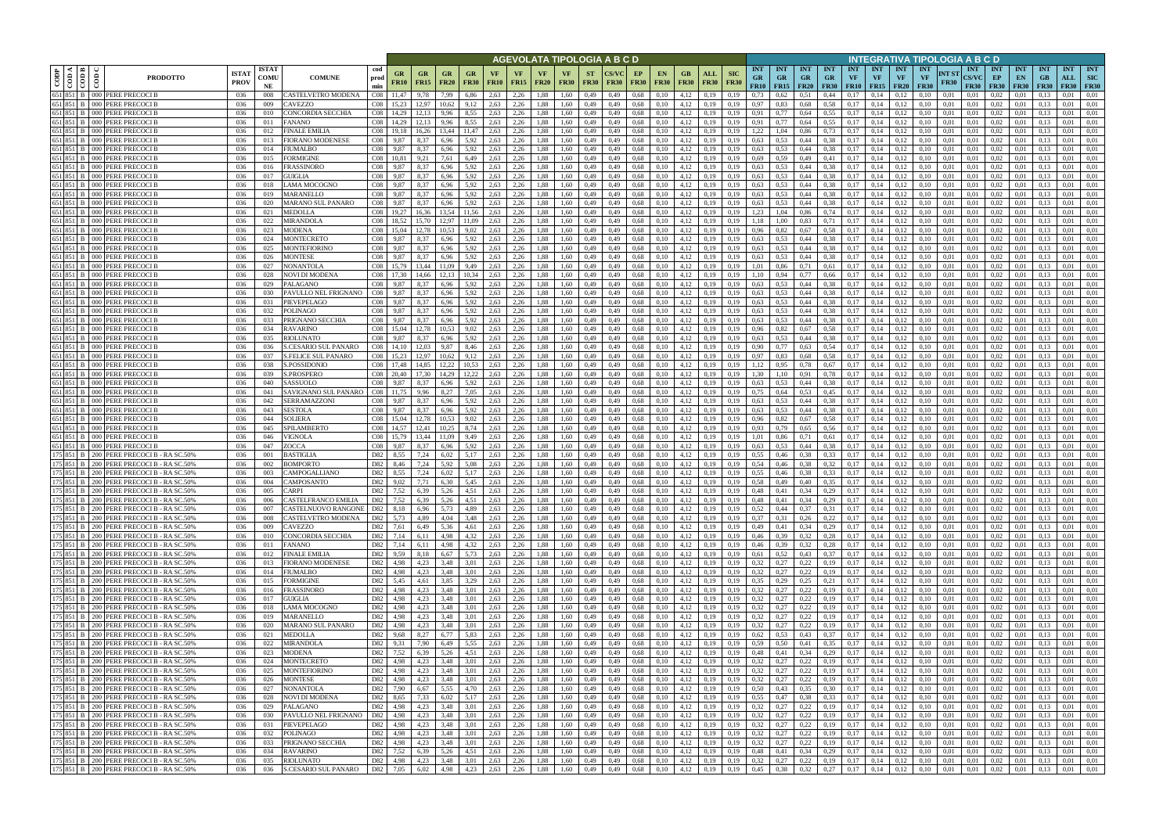|      |                            |                                                                                      |                             |                            |                                                         |                                 |                            |                            |                          |                     |                          |                          |                                  |                          | AGEVOLATA TIPOLOGIA A B C D |                   |                          |                   |                                                     |                           |                                                      |                                        |                         |                                 |                                        |                  |                                 | NTEGRATIVA TIPOLOGIA A B C D                   |                      |                                    |                                   |                                 |                                 |                                  |                                         |
|------|----------------------------|--------------------------------------------------------------------------------------|-----------------------------|----------------------------|---------------------------------------------------------|---------------------------------|----------------------------|----------------------------|--------------------------|---------------------|--------------------------|--------------------------|----------------------------------|--------------------------|-----------------------------|-------------------|--------------------------|-------------------|-----------------------------------------------------|---------------------------|------------------------------------------------------|----------------------------------------|-------------------------|---------------------------------|----------------------------------------|------------------|---------------------------------|------------------------------------------------|----------------------|------------------------------------|-----------------------------------|---------------------------------|---------------------------------|----------------------------------|-----------------------------------------|
| CODP | <b>⊲ Im</b><br>$rac{1}{2}$ | <b>PRODOTTO</b>                                                                      | <b>ISTAT</b><br><b>PROV</b> | <b>ISTAT</b><br>COMU<br>NE | cod<br><b>COMUNE</b><br>prod<br>min                     | GR<br><b>FR10</b>               | $_{\rm GR}$<br><b>FR15</b> | GR<br>FR20                 | GR<br><b>FR30</b>        | VF<br><b>FR10</b>   | <b>VF</b><br><b>FR15</b> | <b>VF</b><br><b>FR20</b> | <b>VF</b><br><b>FR30</b>         | <b>ST</b><br><b>FR30</b> | FR30                        | EP<br><b>FR30</b> | <b>EN</b><br><b>FR30</b> | GВ<br><b>FR30</b> | ALL<br><b>FR30</b>                                  | <b>SIC</b><br><b>FR30</b> | <b>INT</b><br><b>GR</b><br><b>FR10</b>               | <b>INT</b><br><b>GR</b><br>$FR15$ FR20 | <b>INT</b><br><b>GR</b> | <b>INT</b><br>GR<br><b>FR30</b> | <b>INT</b><br>VF<br><b>FR10   FR15</b> | <b>INT</b><br>VF | <b>INT</b><br>VF<br><b>FR20</b> | <b>INT</b><br><b>VF</b>                        | NT ST<br><b>FR30</b> | <b>INT</b><br>CS/VC<br><b>FR30</b> | <b>INT</b><br>EP<br><b>FR30</b>   | <b>INT</b><br>EN<br><b>FR30</b> | <b>INT</b><br>GB<br><b>FR30</b> | <b>INT</b><br>ALL<br><b>FR30</b> | <b>INT</b><br><b>SIC</b><br><b>FR30</b> |
|      | 651 851 B                  | 651 851 B 000 PERE PRECOCI B<br>000 PERE PRECOCI B                                   | 036<br>036                  | 008                        | CASTELVETRO MODENA<br>$\rm CO8$<br>CO8<br><b>AVEZZO</b> |                                 | 9,78<br>12,97              | 7.99                       | 6.86                     | 2,63<br>2,63        | 2,26<br>2,26             | .88<br>.88               | 1.60<br>1.60                     | 0,49<br>0,49             | 0.49<br>0.49                | 0.68              | 0.10<br>0.10             | 4,12<br>4,12      | 0.19                                                | 0.19                      | 0.73<br>0.97                                         | 0.62<br>0.83                           | 0.51<br>0,68            | 0,44<br>0.58                    | 0.17                                   | 0.14<br>0.14     | 0.12<br>0,12                    | 0.10                                           | 0.01<br>0.01         | 0.01<br>0.01                       | 0.02<br>0.02                      | 0.01                            | 0.13                            | 0.01<br>0.01                     | 0.01<br>0.01                            |
|      | 651 851                    | PERE PRECOCI B<br>000 I                                                              | 036                         | 009<br>010                 | CONCORDIA SECCHIA<br>C <sub>08</sub>                    |                                 |                            | 9.96                       | 3.55                     | 2,63                | 2,26                     | .88                      | .60                              | 0,49                     |                             | 0,68<br>0.68      |                          | 4,12              | 0,19<br>0,19                                        |                           | 0.91                                                 |                                        | 0.64                    | 0.55                            | 0.17                                   | 0,14             |                                 |                                                | 0.01                 | 0.01                               | 0,02                              |                                 |                                 | 0.01                             | 0.01                                    |
|      | 651 851 B                  | 000 PERE PRECOCI B                                                                   | 036                         | 011                        | FANANO<br>CO8                                           | 14.29                           | 12.13                      | 9.96                       | 8,55                     | 2,63                | 2,26                     | 1.88                     | 1.60                             | 0,49                     | 0,49                        | 0.68              | 0.10                     | 4,12              | 0,19                                                | 0.19                      | 0,91                                                 |                                        | 0,64                    | 0.55                            | 0,17                                   | 0.14             | 0,12                            | 0.10                                           | 0,01                 | 0,01                               | 0.02                              | 0.01                            | 0.13                            | 0.01                             | 0.01                                    |
|      | 651 851 B                  | 000 PERE PRECOCI B                                                                   | 036                         | 012                        | FINALE EMILIA<br>CO8                                    |                                 | 16.26                      | 13.44                      | 11.47                    | 2,63                | 2,26                     | 1,88                     | 1.60                             | 0,49                     | 0.49                        | 0,68              | 0.10                     | 4.12              | 0.19                                                | 0.19                      | 1.22                                                 | 1.04                                   | 0,86                    | 0.73                            | 0.17                                   | 0.14             | 0.12                            |                                                | 0.01                 | 0.01                               | 0.02                              | 0.01                            |                                 | 0.01                             | 0.01                                    |
|      | 651 851 B<br>651 851 B     | 000 PERE PRECOCI B<br>000 I                                                          | 036<br>036                  | 013<br>014                 | $\rm CO8$<br>FIORANO MODENESE<br>FIUMALBO<br>CO8        | 9,87<br>9.87                    | 8,37<br>8.37               | 6.96<br>6.96               | 5,92<br>5.92             | 2,63<br>2.63        | 2,26<br>2.26             | 1,88<br>.88              | 1,60                             | 0,49                     | 0,49                        | 0.68<br>0.68      | 0,10                     | 4,12<br>4.12      | 0,19                                                | 0.19                      | 0.63<br>0.63                                         | 0,53<br>0.53                           | 0,44<br>0.44            | 0.38                            | 0,17<br>0.17                           | 0,14<br>0.14     | 0,12                            | 0,10                                           | 0,01                 | 0,01                               | 0,02<br>0.02                      | 0,01<br>0.01                    | 0,13                            | 0,01<br>0.01                     | 0,01<br>0.01                            |
|      | 651 851 B                  | PERE PRECOCI B<br>000 PERE PRECOCI B                                                 | 036                         | 015                        | CO8<br>FORMIGINE                                        | 10.81                           | 9.21                       | 7.61                       | 6,49                     | 2,63                | 2,26                     | 1.88                     | 1.60<br>1.60                     | 0.49<br>0,49             | 0.49                        | 0.68              | 0.10                     | 4.12              | 0.19<br>0.19                                        | 0.19                      | 0.69                                                 | 0.59                                   | 0.49                    | 0.38<br>0,41                    | 0.17                                   | 0.14             | 0.12<br>0.12                    | 0.10                                           | 0.01<br>0.01         | 0.01<br>0.01                       | 0.02                              | 0.01                            | 0.13                            | 0.01                             | 0.01                                    |
|      | 651 851 B                  | PERE PRECOCI B<br>000 I                                                              | 036                         | 016                        | FRASSINORO<br>CO8                                       | 9.87                            | 8.37                       | 6.96                       | 5,92                     | 2,63                | 2,26                     | 1.88                     | 1.60                             | 0,49                     | 0.49                        | 0.68              | 0.10                     | 4,12              | 0,19                                                | 0.19                      | 0.63                                                 | 0.53                                   | 0.44                    | 0.38                            | 0.17                                   | 0,14             | 0.12                            |                                                | 0.01                 | 0.01                               | $0.02\,$                          | 0.01                            | 0.13                            | 0.01                             | 0,01                                    |
|      | 651 851 B                  | 000 PERE PRECOCI B                                                                   | 036                         | 017                        | CO8<br>GUIGLIA                                          | 9.87                            | 8.37                       | 6.96                       | 5,92                     | 2.63                | 2.26                     | 1.88                     | 1.60                             | 0.49                     | 0.49                        | 0.68              | 0.10                     | 4.12              | 0.19                                                | 0.19                      | 0.63                                                 | 0.53                                   | 0.44                    | 0.38                            | 0.17                                   | 0.14             | 0.12                            | 0.10                                           | 0.01                 | 0.01                               | 0.02                              | 0.01                            | 0.13                            | 0.01                             | 0.01                                    |
|      | 651 851 B<br>651 851 B     | 000 PERE PRECOCI B<br>000 PERE PRECOCI B                                             | 036<br>036                  | 018<br>019                 | LAMA MOCOGNO<br>CO8<br>MARANELLO<br>CO8                 | 9.87<br>9,87                    | 8.37<br>8,37               | 6.96<br>6.96               | 5.92<br>5,92             | 2.63<br>2,63        | 2,26<br>2,26             | 1.88<br>1.88             | 1.60<br>1.60                     | 0.49<br>0,49             | 0.49<br>0.49                | 0.68<br>0.68      | 0.10<br>0.10             | 4,12<br>4,12      | 0.19<br>0,19                                        | 0.19<br>0.19              | 0.63<br>0.63                                         | 0.53<br>0.53                           | 0.44<br>0,44            | 0.38<br>0.38                    | 0.17<br>0,17                           | 0.14<br>0,14     | 0.12<br>0,12                    | 0.10<br>0.10                                   | 0.01<br>0,01         | 0.01<br>0.01                       | 0.02<br>0,02                      | 0.01<br>0,01                    | 0.13<br>0.13                    | 0.01<br>0.01                     | 0.01<br>0.01                            |
|      | 651 851 B                  | PERE PRECOCI B<br>000 I                                                              | 036                         | 020                        | CO8<br>MARANO SUL PANARO                                | 9,87                            | 8.37                       | 6.96                       | 5,92                     | 2,63                | 2,26                     | 1,88                     | 1.60                             | 0,49                     | 0.49                        | 0.68              | 0.10                     | 4,12              | 0,19                                                | 0.19                      | 0.63                                                 | 0.53                                   | 0,44                    | 0.38                            | 0.17                                   | 0,14             | 0,12                            | 0.10                                           | 0.01                 | 0,01                               | 0,02                              | 0,01                            | 0.13                            | 0.01                             | 0.01                                    |
|      | 651 851 B                  | $000 -$<br>PERE PRECOCI B                                                            | 036                         | 021                        | CO8<br>MEDOLLA                                          | 19,27                           | 16.36                      | 13.54                      | 11,56                    | 2,63                | 2,26                     | 1,88                     | 1.60                             | 0,49                     | 0.49                        | 0.68              | 0.10                     | 4,12              | 0,19                                                | 0,19                      | 1.23                                                 | 1,04                                   | 0,86                    | 0,74                            | 0,17                                   | 0,14             | 0,12                            | 0,10                                           | 0,01                 | 0.01                               | 0,02                              | 0,01                            | 0.13                            | 0.01                             | 0,01                                    |
|      | 651 851 B                  | PERE PRECOCI B<br>000 I                                                              | 036                         | 022                        | MIRANDOLA<br>CO8                                        | 18,52                           | 15.70                      | 12.97                      | 11,09                    | 2,63                | 2,26                     | 1,88                     | 1,60                             | 0,49                     | 0,49                        | 0.68              | 0,10                     | 4,12              | 0,19                                                | 0.19                      | 1,18                                                 | 1,00                                   | 0,83                    | 0,71                            | 0,17                                   | 0,14             | 0,12                            | 0,10                                           | 0,01                 | 0.01                               | 0,02                              | 0,01                            | 0,13                            | 0,01                             | 0,01                                    |
|      | 651 851 B<br>651 851 B     | PERE PRECOCI B<br>PERE PRECOCI B<br>000 <sup>1</sup>                                 | 036<br>036                  | 023<br>024                 | MODENA<br>CO8<br>CO8<br>MONTECRETO                      | 15.04<br>9.87                   | 12.78<br>8.37              | 10.53<br>6.96              | 9.02<br>5,92             | 2,63<br>2,63        | 2,26<br>2,26             | 1,88<br>1,88             | 1.60<br>1.60                     | 0,49<br>0,49             | 0.49<br>0.49                | 0.68<br>0.68      | 0.10<br>0.10             | 4,12<br>4,12      | 0,19<br>0,19                                        | 0.19<br>0.19              | 0,96<br>0,63                                         | 0.82<br>0.53                           | 0,67<br>0,44            | 0.58<br>0.38                    | 0.17<br>0,17                           | 0.14<br>0.14     | 0,12<br>0,12                    | 0.10<br>0.10                                   | 0.01<br>0.01         | 0.01<br>0.01                       | 0.02<br>0,02                      | 0.01<br>0.01                    | 0.13<br>0.13                    | 0.01<br>0,01                     | 0.01<br>0.01                            |
|      | 651 851 B                  | PERE PRECOCI B<br>000 I                                                              | 036                         | 025                        | MONTEFIORINO<br>CO8                                     | 9,87                            | 8,37                       | 6,96                       | 5,92                     | 2,63                | 2,26                     | 1,88                     | 1.60                             | 0,49                     | 0.49                        | 0.68              | 0.10                     | 4,12              | 0,19                                                | 0.19                      | 0,63                                                 | 0,53                                   | 0,44                    | 0.38                            | 0,17                                   | 0,14             | 0,12                            | 0,10                                           | 0,01                 | 0.01                               | 0,02                              | 0,01                            | 0.13                            | 0,01                             | 0.01                                    |
|      | 651 851 B                  | 000 PERE PRECOCI B                                                                   | 036                         | 026                        | MONTESE<br>CO8                                          | 9.87                            | 8.37                       | 6.96                       | 5.92                     | 2.63                | 2.26                     | 1.88                     | 1.60                             | 0.49                     | 0.49                        | 0.68              | 0.10                     | 4,12              | 0.19                                                | 0.19                      | 0.63                                                 | 0.53                                   | 0.44                    | 0.38                            | 0.17                                   | 0.14             | 0.12                            | 0.10                                           | 0.01                 | 0.01                               | 0.02                              | 0.01                            | 0.13                            | 0.01                             | 0.01                                    |
|      | 651 851 B                  | 000 PERE PRECOCI B                                                                   | 036                         | 027                        | CO8<br>NONANTOLA                                        | 15.79                           | 13.44                      | 11.09                      | 9.49                     | 2.63                | 2.26                     | 1.88                     | 1.60                             | 0.49                     | 0.49                        | 0.68              | 0.10                     | 4,12              | 0.19                                                | 0.19                      | 1.01                                                 | 0.86                                   | 0.71                    | 0.61                            | 0.17                                   | 0.14             | 0.12                            | 0.10                                           | 0.01                 | 0.01                               | 0.02                              | 0.01                            | 0.13                            | 0.01                             | 0.01                                    |
|      | 651 851 B<br>651 851 B     | 000 PERE PRECOCI B<br>PERE PRECOCI B<br>000 I                                        | 036<br>036                  | 028<br>029                 | $\rm CO8$<br>NOVI DI MODENA<br><b>PALAGANO</b><br>CO8   | 17.30<br>9.87                   | 14.66<br>8.37              | 12,13<br>6.96              | 10.34<br>5.92            | 2,63<br>2.63        | 2,26<br>2.26             | 1,88<br>.88              | 1.60<br>1.60                     | 0,49<br>0.49             | 0.49                        | 0.68<br>0.68      | 0.10<br>0.10             | 4,12<br>4,12      | 0,19<br>0.19                                        | 0.19                      | 1,10<br>0.63                                         | 0.94<br>0.53                           | 0,77<br>0.44            | 0,66<br>0.38                    | 0.17<br>0.17                           | 0,14<br>0.14     | 0,12<br>0.12                    | 0.10                                           | 0.01<br>0.01         | 0.01<br>0.01                       | 0,02<br>0.02                      | 0,01<br>$0.0^{\circ}$           | 0.13                            | 0,01<br>0.01                     | 0.01<br>0.01                            |
|      | 651 851 B                  | PERE PRECOCI E<br>000                                                                | 036                         | 030                        | CO8<br>PAVULLO NEL FRIGNANO                             | 9.87                            | 8.37                       | 6.96                       | 5.92                     | 2.63                | 2,26                     | .88                      | 1.60                             | 0.49                     |                             | 0.68              | 0.10                     | 4,12              | 0.19                                                |                           | 0.63                                                 | 0.53                                   | 0.44                    | 0.38                            | 0.17                                   | 0.14             | 0,12                            |                                                | 0.01                 | 0.01                               | 0.02                              | 0.0                             | 0.13                            | 0.01                             | 0.01                                    |
|      | 651 851 B                  | PERE PRECOCI B<br>000 I                                                              | 036                         | 031                        | PIEVEPELAGO<br>CO8                                      | 9.87                            | 8.37                       | 6.96                       | 5.92                     | 2.63                | 2.26                     | .88                      | 1.60                             | 0.49                     |                             | 0.68              | 0.10                     | 4,12              | 0.19                                                |                           | 0.63                                                 | 0.53                                   | 0.44                    | 0.38                            | 0.17                                   | 0.14             | 0.12                            |                                                | 0.01                 | 0.01                               | 0,02                              | 0.0                             |                                 | 0.01                             | 0.01                                    |
|      | 651 851 B                  | 000 PERE PRECOCI B                                                                   | 036                         | 032                        | POLINAGO<br>CO8                                         | 9,87                            | 8,37                       | 6.96                       | 5,92                     | 2,63                | 2,26                     | 1,88                     | 1.60                             | 0,49                     | 0,49                        | 0.68              | 0.10                     | 4,12              | 0,19                                                | 0.19                      | 0.63                                                 | 0.53                                   | 0,44                    | 0.38                            | 0,17                                   | 0.14             | 0,12                            | 0.10                                           | 0.01                 | 0,01                               | 0,02                              | 0.01                            | 0.13                            | 0.01                             | 0.01                                    |
|      | 651 851 B<br>651 851 B     | 000 PERE PRECOCI B<br>000 PERE PRECOCI B                                             | 036<br>036                  | 033<br>034                 | PRIGNANO SECCHIA<br>CO8<br>RAVARINO<br>C <sub>08</sub>  | 9.87                            | 8.37                       | 6.96<br>10,53              | 5.92<br>9,02             | 2.63<br>2,63        | 2.26<br>2,26             | .88<br>.88               | 1.60<br>1.60                     | 0,49<br>0,49             | 0.49<br>0,49                | 0.68<br>0.68      | 0.10<br>0,10             | 4,12<br>4,12      | 0.19<br>0,19                                        | 0.19                      | 0.63<br>0.96                                         | 0.53<br>0,82                           | 0.44<br>0.67            | 0.38<br>0.58                    | 0.17<br>0,17                           | 0.14<br>0,14     | 0.12<br>0,12                    | 0.10                                           | 0.01<br>0.01         | 0.01<br>0,01                       | 0.02<br>0,02                      | 0.01<br>0.01                    | 0.13                            | 0.01<br>0.01                     | 0.01<br>0.01                            |
|      | 651 851 B                  | PERE PRECOCI B<br>000 I                                                              | 036                         | 035                        | RIOLUNATO<br>CO8                                        |                                 |                            | 6.96                       | 5.92                     | 2.63                | 2.26                     | .88                      | .60                              | 0,49                     |                             | 0.68              |                          | 4.12              | 0.19                                                |                           | 0.63                                                 |                                        | 0.44                    | 0.38                            | 0.17                                   | 0.14             |                                 |                                                |                      | 0.01                               | 0.02                              | 0.01                            |                                 | 0.01                             | 0.01                                    |
|      | 651 851 B                  | 000 PERE PRECOCI B                                                                   | 036                         | 036                        | C08<br>CESARIO SUL PANARO                               |                                 | 12.03                      | 9.87                       | 8,46                     | 2,63                | 2,26                     | .88                      | 1.60                             | 0,49                     | 0.49                        | 0.68              | 0.10                     | 4,12              | 0,19                                                | 0.19                      | 0,90                                                 |                                        | 0.63                    | 0,54                            | 0,17                                   | 0.14             | 0.12                            |                                                | 0.01                 | 0.01                               | 0.02                              | 0.01                            | 0.13                            | 0.01                             | 0.01                                    |
|      | 651 851 B                  | 000 PERE PRECOCI B                                                                   | 036                         | 037                        | S.FELICE SUL PANARO<br>$\rm CO8$                        | 15,23                           | 12.97                      | 10.62<br>12.22             | 9,12                     | 2,63                | 2,26                     | 1.88                     | 1,60                             | 0,49                     | 0.49                        | 0.68              | 0.10                     | 4,12              | 0,19                                                | 0.19                      | 0,97                                                 | 0.83                                   | 0,68                    | 0.58                            | 0.17                                   | 0,14             | 0.12                            | 0.10                                           | 0.01                 | 0.01                               | 0.02                              | 0,01                            | 0.13                            | 0.01                             | 0.01                                    |
|      | 651 851 B<br>651 851 B     | 000 PERE PRECOCI B<br>000 PERE PRECOCI B                                             | 036<br>036                  | 038<br>039                 | S.POSSIDONIO<br>CO8<br>S.PROSPERO                       | 17.48<br>C <sub>0</sub> 8 20.40 | 14.85<br>17.30             | 14.29                      | 10.53<br>12.22           | 2.63<br>2.63        | 2,26<br>2,26             | 1.88<br>.88              | 1.60<br>1.60                     | 0,49<br>0.49             | 0.49<br>0.49                | 0.68<br>0.68      | 0.10<br>0.10             | 4.12<br>4.12      | 0.19<br>0.19                                        | 0.19<br>0.19              | 1.12<br>1.30                                         | 0.95<br>.10                            | 0.78<br>0.91            | 0.67<br>0.78                    | 0.17<br>0.17                           | 0.14<br>0.14     | 0.12<br>0.12                    | 0.10                                           | 0.01<br>0.01         | 0.01<br>0.01                       | 0.02<br>$0.02\,$                  | 0.01<br>0.01                    | 0.13                            | 0.01<br>0.01                     | 0.01<br>0.01                            |
|      | 651 851 B                  | 000 PERE PRECOCI B                                                                   | 036                         | 040                        | CO8<br>SASSUOLO                                         | 9.87                            | 8.37                       | 6.96                       | 5,92                     | 2,63                | 2,26                     | 1,88                     | 1.60                             | 0,49                     | 0.49                        | 0.68              | 0.10                     | 4,12              | 0,19                                                | 0.19                      | 0.63                                                 | 0.53                                   | 0,44                    | 0.38                            | 0.17                                   | 0,14             | 0,12                            | 0.10                                           | 0.01                 | 0.01                               | 0.02                              | 0.01                            | 0.13                            | 0.01                             | 0.01                                    |
|      | 651 851 B                  | 000 PERE PRECOCI B                                                                   | 036                         | 041                        | SAVIGNANO SUL PANARO<br>CO8                             | 11.75                           | 9.96                       | 8.27                       | 7.05                     | 2.63                | 2.26                     | 1.88                     | 1.60                             | 0,49                     | 0.49                        | 0.68              | 0.10                     | 4,12              | 0.19                                                | 0.19                      | 0.75                                                 | 0.64                                   | 0.53                    | 0.45                            | 0.17                                   | 0.14             | 0.12                            | 0.10                                           | 0.01                 | 0.01                               | 0.02                              | 0.01                            | 0.13                            | 0.01                             | 0.01                                    |
|      | 651 851 B<br>651 851 B     | 000 PERE PRECOCI B<br>000 PERE PRECOCI B                                             | 036<br>036                  | 042<br>043                 | SERRAMAZZONI<br>CO8<br>SESTOLA<br>CO8                   | 9,87<br>9,87                    | 8.37<br>8.37               | 6.96<br>6.96               | 5,92<br>5,92             | 2.63<br>2,63        | 2.26<br>2,26             | 1.88<br>1.88             | 1.60<br>1,60                     | 0,49<br>0,49             | 0.49<br>0.49                | 0,68<br>0,68      | 0.10<br>0,10             | 4,12<br>4,12      | 0.19<br>0,19                                        | 0.19<br>0.19              | 0.63<br>0.63                                         | 0.53<br>0.53                           | 0.44<br>0,44            | 0.38<br>0.38                    | 0.17<br>0.17                           | 0.14<br>0,14     | 0,12<br>0.12                    | 0.10<br>0.10                                   | 0.01<br>0.01         | 0.01<br>0,01                       | 0.02<br>0,02                      | 0.01<br>0,01                    | 0.13<br>0,13                    | 0.01<br>0.01                     | 0.01<br>0,01                            |
|      | 651 851 B                  | PERE PRECOCI B<br>000                                                                | 036                         | 044                        | CO8<br>SOLIERA                                          | 15.04                           | 12.78                      | 10.53                      | 9,02                     | 2,63                | 2,26                     | 1,88                     | 1.60                             | 0,49                     | 0.49                        | 0.68              | 0.10                     | 4,12              | 0,19                                                | 0.19                      | 0.96                                                 | 0,82                                   | 0,67                    | 0.58                            | 0,17                                   | 0,14             | 0,12                            | 0.10                                           | 0,01                 | 0.01                               | 0,02                              | 0,01                            | 0.13                            | 0.01                             | 0,01                                    |
|      | 651 851 B                  | PERE PRECOCI B<br>000                                                                | 036                         | 045                        | C <sub>08</sub><br>SPILAMBERTO                          | 14,57                           | 12.41                      | 10.25                      | 8.74                     | 2,63                | 2,26                     | 1,88                     | 1.60                             | 0,49                     | 0.49                        | 0.68              | 0.10                     | 4,12              | 0,19                                                | 0.19                      | 0,93                                                 | 0,79                                   | 0,65                    | 0,56                            | 0,17                                   | 0,14             | 0,12                            | 0.10                                           | 0.01                 | 0.01                               | 0,02                              | 0,01                            | 0.13                            | 0.01                             | 0,01                                    |
|      | 651 851 B                  | PERE PRECOCI B<br>000 I                                                              | 036                         | 046                        | CO8<br>VIGNOLA                                          | 15,79                           | 13,44                      | 11,09                      | 9,49                     | 2,63                | 2,26                     | 1,88                     | 1,60                             | 0,49                     | 0,49                        | 0.68              | 0,10                     | 4,12              | 0,19                                                | 0,19                      | 1,01                                                 | 0,86                                   | 0,71                    | 0,61                            | 0,17                                   | 0,14             | 0,12                            | 0,10                                           | 0,01                 | 0,01                               | 0,02                              | 0,01                            | 0,13                            | 0,01                             | 0,01                                    |
|      | 651 851 B<br>175 851 B     | PERE PRECOCI B<br>PERE PRECOCI B - RA SC.50%<br>200 I                                | 036<br>036                  | 047<br>001                 | ZOCCA<br>CO8<br>BASTIGLIA<br>D82                        | 9.87<br>8.55                    | 8.37<br>7,24               | 6.96<br>6,02               | 5.92<br>5,17             | 2,63<br>2,63        | 2,26<br>2,26             | 1.88<br>1,88             | 1.60<br>1.60                     | 0,49<br>0,49             | 0.49<br>0.49                | 0.68<br>0,68      | 0.10<br>0.10             | 4,12<br>4,12      | 0,19<br>0,19                                        | 0.19<br>0.19              | 0,63<br>0,55                                         | 0.53<br>0,46                           | 0,44<br>0,38            | 0.38<br>0.33                    | 0.17<br>0,17                           | 0.14<br>0,14     | 0,12<br>0,12                    | 0.10<br>0.10                                   | 0.01<br>0,01         | 0.01<br>0.01                       | 0,02<br>0,02                      | 0.01<br>0,01                    | 0.13<br>0.13                    | 0,01<br>0,01                     | 0.01<br>0.01                            |
|      | 175 851 B                  | 200 PERE PRECOCI B - RA SC.50%                                                       | 036                         | 002                        | D82<br>BOMPORTO                                         | 8,46                            | 7,24                       | 5,92                       | 5,08                     | 2,63                | 2,26                     | 1,88                     | 1.60                             | 0,49                     | 0.49                        | 0.68              | 0.10                     | 4,12              | 0,19                                                | 0.19                      | 0,54                                                 | 0,46                                   | 0,38                    | 0,32                            | 0,17                                   | 0,14             | 0,12                            | 0,10                                           | 0.01                 | 0,01                               | 0,02                              | 0,01                            | 0,13                            | 0,01                             | 0.01                                    |
|      | 175 851 B                  | PERE PRECOCI B - RA SC.509<br>200 I                                                  | 036                         | 003                        | CAMPOGALLIANO<br>D82                                    | 8.55                            | 7.24                       | 6.02                       | 5.17                     | 2.63                | 2.26                     | 1.88                     | 1.60                             | 0.49                     | 0.49                        | 0.68              | 0.10                     | 4.12              | 0.19                                                |                           | 0.55                                                 | 0.46                                   | 0.38                    | 0.33                            | 0.17                                   | 0.14             | 0.12                            | 0.10                                           | 0.01                 | 0.01                               | 0.02                              | 0.01                            | 0.13                            | 0.01                             | 0.01                                    |
|      | 175 851 B                  | 200 PERE PRECOCI B - RA SC.50%<br>200 PERE PRECOCIB - RASC.50%                       | 036                         | 004                        | CAMPOSANTO<br>D82<br>D82                                | 9.02                            | 7.71                       | 6.30                       | 5.45                     | 2,63                | 2,26<br>2.26             | 1,88                     | 1.60                             | 0,49                     | 0.49                        | 0.68              | 0.10                     | 4,12              | 0,19                                                | 0.19                      | 0,58                                                 | 0.49                                   | 0.40                    | 0.35                            | 0.17                                   | 0.14             | 0.12                            | 0.10                                           | 0.01                 | 0.01                               | 0.02                              | 0.01                            | 0.13                            | 0.01<br>0.01                     | 0.01                                    |
|      | 175 851 B                  | 175 851 B 200 PERE PRECOCI B - RA SC.50%                                             | 036<br>036                  | 005<br>006                 | <b>CARP</b><br>CASTELFRANCO EMILIA                      | 7,52<br>D82 7,52                | 6.39<br>6,39               | 5.26<br>5,26               | 4,51<br>4,51             | 2.63<br>2,63        | 2,26                     | 1.88                     | 1.60<br>1,88 1,60                | 0,49<br>0,49             | 0.49<br>0,49                | 0.68<br>0,68      | 0.10<br>0,10             | 4,12              | 0.19<br>$4,12$ 0,19                                 | 0.19<br>0,19              | 0.48<br>$0,48$ 0.41                                  | 0,41                                   | 0.34<br>0,34            | 0.29<br>0,29                    | 0.17<br>0,17                           | 0.14<br>0,14     | 0.12<br>0,12                    | 0.10<br>0,10                                   | 0.01<br>0,01         | 0.01<br>0,01                       | 0.02<br>$0,02$ 0.01               | 0.01                            | 0.13<br>0,13                    | 0,01                             | 0.01<br>0,01                            |
|      |                            | 175 851 B 200 PERE PRECOCIB - RASC.50%                                               | 036                         | 007                        | CASTELNUOVO RANGONE                                     | D82 8,18                        | 6,96                       | 5,73                       | 4,89                     | 2,63                | 2,26                     | 1,88                     | 1,60                             | 0,49                     | 0,49                        | 0,68              | 0,10                     |                   | $4,12$ 0,19                                         | 0,19                      | 0,52                                                 | 0,44                                   | 0,37                    | 0,31                            | 0,17                                   | 0,14             | 0,12                            | 0,10                                           | 0,01                 | 0,01                               | $0,02$ 0.01                       |                                 | 0,13                            | 0,01                             | 0,01                                    |
|      |                            | 175 851 B 200 PERE PRECOCI B - RA SC.50%                                             | 036                         | 008                        | CASTELVETRO MODENA                                      | D82 5,73                        | 4,89                       | 4,04                       | 3,48                     | 2,63                | 2,26                     | 1,88 1,60                |                                  | 0,49                     | 0,49                        | 0,68              | 0,10                     |                   | $4,12$ 0,19                                         | 0,19                      | $0,37$ $0,31$                                        |                                        | 0,26                    | 0,22                            | 0,17                                   | 0,14             | 0,12                            | 0,10                                           | 0,01                 | 0,01                               | $0,02$ 0.01                       |                                 | 0,13                            | 0,01                             | 0,01                                    |
|      |                            | 175 851 B 200 PERE PRECOCI B - RA SC.50%<br>175 851 B 200 PERE PRECOCI B - RA SC.50% | 036<br>036                  | 009<br>010                 | CAVEZZO<br>CONCORDIA SECCHIA                            | D82 7,61<br>D82 7,14            | 6,49<br>6,11               | 5,36<br>4,98               | 4,32                     | $4,61$ 2,63<br>2,63 | 2,26<br>2,26             | 1,88 1,60                | 1,88 1,60                        | 0,49                     | 0,49 0,49<br>0,49           | 0,68<br>0,68      | 0,10<br>0,10             |                   | $4,12$ 0,19<br>$4,12$ 0,19                          | 0,19<br>0,19              | 0,49<br>0,46                                         | $0,41$ $0,34$ $0,29$<br>0,39 0,32      |                         | 0,28                            | $0,17$ $0,14$<br>0,17                  | 0,14             | 0,12<br>0,12                    | 0,10<br>0,10                                   | 0,01<br>0,01         | 0.01<br>0.01                       | $0,02$ 0.01<br>$0.02 \qquad 0.01$ |                                 | 0,13<br>0,13                    | 0,01<br>0.01                     | 0,01<br>0,01                            |
|      |                            | 175 851 B 200 PERE PRECOCI B - RA SC.50%                                             | 036                         | 011                        | <b>FANANO</b>                                           | D82 7,14                        | 6,11                       | 4,98                       | 4,32                     | 2,63                | 2,26                     | 1,88 1,60                |                                  | 0,49                     | 0,49                        | 0,68              | 0,10                     |                   | $4,12$ 0,19                                         | 0,19                      | 0,46                                                 | 0,39                                   | 0,32                    | 0,28                            | 0,17                                   | 0,14             | 0,12                            | 0,10                                           | 0,01                 | 0,01                               | 0,02                              | 0,01                            | 0,13                            | 0,01                             | 0,01                                    |
|      |                            | 175 851 B 200 PERE PRECOCI B - RA SC.50%                                             | 036                         | 012                        | <b>FINALE EMILIA</b>                                    | D82 9.59                        | 8,18                       | 6,67                       | 5,73                     | 2,63                | 2,26                     | 1,88                     | 1,60                             | 0,49                     | 0,49                        | 0,68              | 0,10                     |                   | $4,12$ 0,19                                         | 0,19                      | 0,61                                                 | 0,52                                   | 0,43                    | 0,37                            | 0,17                                   | 0,14             | 0,12                            | 0,10                                           | 0,01                 | 0,01                               | 0,02                              | 0,01                            | 0,13                            | 0,01                             | 0,01                                    |
|      |                            | 175 851 B 200 PERE PRECOCI B - RA SC.50%                                             | 036                         | 013                        | FIORANO MODENESE                                        | D82 4,98                        | 4,23                       | 3,48                       | 3,01                     | 2,63                | 2,26                     | 1,88                     | 1,60                             | 0,49                     | 0,49                        | 0,68              | 0,10                     |                   | $4,12$ 0,19                                         | 0,19                      | 0,32                                                 | 0,27                                   | 0,22                    | 0,19                            | 0,17                                   | 0,14             | 0,12                            | 0,10                                           | 0,01                 | 0,01                               | 0,02                              | 0,01                            | 0,13                            | 0.01                             | 0,01                                    |
|      |                            | 175 851 B 200 PERE PRECOCI B - RA SC.50%<br>175 851 B 200 PERE PRECOCI B - RA SC.50% | 036<br>036                  | 014<br>015                 | FIUMALBO<br><b>FORMIGINE</b>                            | D82 4,98<br>D82 5,45            | 4,23                       | 3,48<br>4,61 3,85          | 3,01<br>$3,29$ $2,63$    | 2,63                | 2,26<br>2,26             | 1,88<br>1,88 1,60        | 1,60                             | 0,49                     | 0,49<br>0,49 0,49           | 0,68<br>0,68      | 0,10<br>0,10             |                   | $4,12$ 0,19<br>$4,12$ 0,19                          | 0,19                      | 0,32<br>$0,19$ $0,35$ $0,29$ $0,25$ $0,21$           | 0,27                                   | 0,22                    | 0,19                            | $0,17$ 0,14<br>$0,17$ $0,14$           |                  | 0,12                            | 0,10<br>$0,12$ $0,10$                          | 0,01<br>0,01         | 0,01<br>0,01                       | 0,02<br>$0,02$ $0,01$             | 0,01                            | 0,13<br>0,13                    | 0,01                             | 0,01<br>$0,01$ $0,01$                   |
|      |                            | 175 851 B 200 PERE PRECOCI B - RA SC.50%                                             | 036                         | 016                        | FRASSINORO                                              | D82 4,98                        |                            | 4,23 3,48                  | 3,01 2,63                |                     | 2,26                     | 1,88 1,60                |                                  |                          | 0,49 0,49                   | 0,68              | 0,10                     |                   | $4,12$ 0,19                                         |                           | $0,19$ $0,32$ $0,27$ $0,22$ $0,19$                   |                                        |                         |                                 | $0,17$ 0,14                            |                  | 0,12                            | 0,10                                           | 0,01                 | 0,01                               |                                   | $0,02 \quad 0,01 \quad 0,13$    |                                 |                                  | $0,01$ $0,01$                           |
|      |                            | 175 851 B 200 PERE PRECOCI B - RA SC.50%                                             | 036                         | 017                        | GUIGLIA                                                 | D82 4,98                        |                            | $4,23$ $3,48$              | 3,01                     | 2,63                | 2,26                     | 1,88 1,60                |                                  |                          | 0,49 0,49                   | 0,68              | 0,10                     |                   | $4,12$ 0,19                                         |                           | $0,19$ $0,32$ $0,27$ $0,22$ $0,19$                   |                                        |                         |                                 |                                        | $0,17$ 0,14      | 0,12                            | 0,10                                           | 0,01                 | 0,01                               | $0,02$ $0,01$                     |                                 | 0,13                            |                                  | $0,01$ $0,01$                           |
|      |                            | 175 851 B 200 PERE PRECOCIB - RASC.50%                                               | 036                         | 018                        | LAMA MOCOGNO                                            | D82 4,98                        |                            | $4,23$ $3,48$              | 3,01                     | 2,63                | 2,26                     | 1,88 1,60                |                                  | 0,49                     | 0,49                        | 0,68              | 0,10                     |                   | $4,12$ 0,19                                         | 0,19                      | $0,32$ 0,27 0,22                                     |                                        |                         | 0,19                            | $0,17$ $0,14$                          |                  | 0,12                            | 0,10                                           | 0,01                 | 0,01                               | $0.02 \quad 0.01$                 |                                 | 0,13                            | 0,01                             | 0,01                                    |
|      |                            | 175 851 B 200 PERE PRECOCI B - RA SC.50%<br>175 851 B 200 PERE PRECOCI B - RA SC.50% | 036<br>036                  | 019<br>020                 | MARANELLO<br>MARANO SUL PANARO                          | D82 4,98<br>D82 4,98            |                            | 4,23 3,48<br>$4,23$ $3,48$ | 3,01<br>3,01             | 2,63<br>2,63        | 2,26<br>2,26             | 1,88 1,60<br>1,88 1,60   |                                  | 0,49<br>0,49             | 0,49<br>0,49                | 0,68<br>0,68      | 0,10<br>0,10             |                   | $4,12$ 0,19<br>$4,12$ 0,19                          | 0,19<br>0,19              | $0,32$ 0,27 0,22 0,19<br>$0,32$ $0,27$ $0,22$ $0,19$ |                                        |                         |                                 | $0,17$ 0,14<br>$0,17$ 0,14             |                  | 0,12<br>0,12                    | 0,10<br>0,10                                   | 0,01<br>0,01         | 0,01<br>0,01                       | $0,02$ 0.01                       | $0,02$ $0,01$                   | 0,13<br>0,13                    | 0,01<br>0,01                     | 0,01<br>0,01                            |
|      |                            | 175 851 B 200 PERE PRECOCI B - RA SC.50%                                             | 036                         | 021                        | <b>MEDOLLA</b>                                          | D82 9.68                        |                            | 8,27 6,77                  | 5,83                     | 2,63                | 2,26                     | 1,88 1,60                |                                  | 0,49                     | 0,49                        | 0,68              | 0,10                     |                   | $4,12$ 0,19                                         | 0,19                      | 0,62                                                 | $0,53$ $0,43$                          |                         | 0,37                            | $0,17$ 0,14                            |                  | 0,12                            | 0,10                                           | 0,01                 | 0,01                               | $0.02 \quad 0.01$                 |                                 | 0,13                            | 0,01                             | 0,01                                    |
|      |                            | 175 851 B 200 PERE PRECOCI B - RA SC.50%                                             | 036                         | 022                        | <b>MIRANDOLA</b>                                        | D82 9,31                        | 7,90                       | 6,49                       | 5,55 2,63                |                     | 2,26                     | 1,88 1,60                |                                  | 0,49                     | 0,49                        | 0,68              | 0,10                     |                   | $4,12$ 0,19                                         | 0,19                      | $0,59$ $0,50$ $0,41$                                 |                                        |                         | 0,35                            | $0,17$ 0,14                            |                  | 0,12                            | 0,10                                           | 0,01                 | 0,01                               | $0,02$ 0.01                       |                                 | 0,13                            | 0,01                             | 0,01                                    |
|      |                            | 175 851 B 200 PERE PRECOCI B - RA SC.50%<br>175 851 B 200 PERE PRECOCI B - RA SC.50% | 036                         | 023                        | <b>MODENA</b>                                           | D82 7,52<br>D82 4,98            | 6,39                       | 5,26                       | 4,51 2,63                |                     | 2,26                     | 1,88 1,60                |                                  | 0,49                     | 0,49                        | 0,68              | 0,10                     |                   | $4,12$ 0,19                                         | 0,19                      | $0,48$ $0,41$ $0,34$                                 |                                        |                         | 0,29                            | $0,17$ 0,14                            |                  | 0,12                            | 0,10                                           | 0,01                 | 0,01                               | $0,02$ 0.01                       | $0.02 \quad 0.01 \quad 0.13$    | 0,13                            | 0,01                             | 0,01<br>0,01                            |
|      |                            | 175 851 B 200 PERE PRECOCI B - RA SC.50%                                             | 036<br>036                  | 024<br>025                 | <b>MONTECRETO</b><br><b>MONTEFIORINO</b>                | D82 4,98                        |                            | 4,23 3,48<br>$4,23$ $3,48$ | $3,01$ 2,63<br>3,01 2,63 |                     | 2,26<br>2,26             |                          | 1,88 1,60<br>1,88 1,60 0,49 0,49 | 0,49 0,49                |                             | 0,68<br>0,68      | 0,10<br>0,10             |                   | $4,12$ 0,19<br>$4,12$ 0,19 0,19 0,32 0,27 0,22 0,19 |                           | $0,19$ $0,32$ $0,27$ $0,22$ $0,19$                   |                                        |                         |                                 | $0,17$ 0,14<br>$0,17$ 0,14             |                  | 0,12<br>0,12                    | 0,10<br>0,10                                   | 0,01<br>0,01         | 0,01<br>0,01                       |                                   | $0,02 \quad 0,01 \quad 0,13$    |                                 | 0,01<br>0,01                     | 0,01                                    |
|      |                            | 175 851 B 200 PERE PRECOCI B - RA SC.50%                                             | 036                         | 026                        | <b>MONTESE</b>                                          | D82 4,98                        |                            | $4,23$ $3,48$              | $3,01$ 2,63              |                     | 2,26                     |                          | 1,88 1,60                        | 0,49 0,49                |                             | 0,68              | 0,10                     |                   | $4,12$ 0,19                                         |                           | $0,19$ $0,32$ $0,27$ $0,22$ $0,19$                   |                                        |                         |                                 | $0,17$ 0,14                            |                  | 0,12                            | 0,10                                           | 0,01                 | 0,01                               | $0,02$ $0,01$                     |                                 | 0,13                            | 0,01                             | 0,01                                    |
|      |                            | 175 851 B 200 PERE PRECOCI B - RA SC.50%                                             | 036                         | 027                        | <b>NONANTOLA</b>                                        | D82 7,90                        |                            | 6,67 5,55                  | 4,70 2,63                |                     | 2,26                     | 1,88 1,60                |                                  | 0,49                     | 0,49                        | 0,68              | 0,10                     |                   | $4,12$ 0,19                                         | 0,19                      | $0,50$ $0,43$ $0,35$ $0,30$                          |                                        |                         |                                 | $0,17$ 0,14                            |                  | 0,12                            | 0,10                                           | 0,01                 | 0.01                               | $0,02$ 0.01                       |                                 | 0.13                            | 0,01                             | 0,01                                    |
|      |                            | 175 851 B 200 PERE PRECOCI B - RA SC.50%<br>175 851 B 200 PERE PRECOCI B - RA SC.50% | 036<br>036                  | 028<br>029                 | NOVI DI MODENA<br>PALAGANO                              | D82 8.65<br>D82 4,98            |                            | 7,33 6,02<br>$4,23$ $3,48$ | 5,17<br>3,01             | 2,63<br>2,63        | 2,26<br>2,26             | 1,88 1,60                | 1,88 1,60                        | 0,49<br>0,49             | 0.49<br>0,49                | 0,68<br>0,68      | 0,10<br>0,10             |                   | $4,12$ 0,19<br>$4,12$ 0,19                          | 0,19<br>0,19              | $0,55$ 0.47 0.38 0.33<br>$0,32$ $0,27$ $0,22$ $0,19$ |                                        |                         |                                 | $0,17$ 0,14<br>$0,17$ 0,14             |                  | 0,12<br>0,12                    | 0,10<br>0,10                                   | 0,01<br>0,01         | 0,01<br>0,01                       | $0,02$ 0.01<br>$0,02$ 0.01        |                                 | 0,13<br>  0.13                  | 0,01<br>0,01                     | 0,01<br>0,01                            |
|      |                            | 175 851 B 200 PERE PRECOCIB - RASC.50%                                               | 036                         | 030                        | PAVULLO NEL FRIGNANO                                    | D82 4,98                        |                            | 4,23 3,48                  | 3,01                     | 2,63                | 2,26                     |                          | 1,88 1,60 0,49 0,49              |                          |                             | 0,68              | 0,10                     |                   | $4,12$ 0,19                                         | 0,19                      | $0,32$ $0,27$ $0,22$ $0,19$                          |                                        |                         |                                 | $0,17$ 0.14                            |                  | 0,12                            | 0,10                                           | 0,01                 | 0,01                               | $0,02$ 0.01                       |                                 | 0,13                            | 0,01                             | 0,01                                    |
|      |                            | 175 851 B 200 PERE PRECOCI B - RA SC.50%                                             | 036                         | 031                        | PIEVEPELAGO                                             | D82 4,98                        | 4,23                       | 3,48                       | 3,01                     | 2,63                | 2,26                     | 1,88 1,60                |                                  | 0,49                     | 0,49                        | 0,68              | 0,10                     |                   | $4,12$ 0,19                                         | 0,19                      | $0,32$ $0,27$                                        |                                        | 0,22                    | 0,19                            | 0,17                                   | 0,14             | 0,12                            | 0,10                                           | 0,01                 | 0,01                               | $0,02$ $0,01$                     |                                 | 0,13                            | 0,01                             | 0,01                                    |
|      |                            | 175 851 B 200 PERE PRECOCI B - RA SC.50%                                             | 036                         | 032                        | POLINAGO                                                | D82 4,98                        | 4,23                       | 3,48                       | 3,01                     | 2,63                | 2,26                     | 1,88                     | 1,60                             | 0,49                     | 0,49                        | 0,68              | 0,10                     |                   | $4,12$ 0,19                                         | 0,19                      | 0,32                                                 | 0,27                                   | 0,22                    | 0,19                            | 0,17                                   | 0,14             | 0,12                            | 0,10                                           | 0,01                 | 0,01                               | $0,02$ 0.01                       |                                 | 0,13                            | 0,01                             | 0,01                                    |
|      |                            | 175 851 B 200 PERE PRECOCIB - RASC.50%<br>175 851 B 200 PERE PRECOCI B - RA SC.50%   | 036<br>036                  | 033<br>034                 | PRIGNANO SECCHIA<br>RAVARINO                            | D82 4,98<br>D82 7.52            | 4,23<br>6,39               | 3,48<br>5,26               | 3,01<br>4,51             | 2,63<br>2,63        | 2,26<br>2,26             | 1,88                     | 1,60<br>1,88 1,60                | 0,49<br>0,49             | 0,49<br>0,49                | 0,68<br>0,68      | 0,10<br>0,10             |                   | $4,12$ 0,19<br>$4,12$ 0,19                          | 0,19<br>0,19              | 0,32<br>0,48                                         | 0,27<br>$0,41$ 0.34 0.29               | 0,22                    | 0,19                            | 0,17<br>0,17                           | 0,14<br>0,14     | 0,12<br>0,12                    | 0,10<br>0,10                                   | 0,01<br>0,01         | 0,01<br>0.01                       | $0,02$ 0.01<br>$0.02 \quad 0.01$  |                                 | 0,13<br>0,13                    | 0,01<br>0,01                     | 0,01<br>0,01                            |
|      |                            | 175 851 B 200 PERE PRECOCI B - RA SC.50%                                             | 036                         | 035                        | RIOLUNATO                                               | D82 4,98                        | 4,23                       | 3,48                       | 3,01                     | 2,63                | 2,26                     | 1,88 1,60                |                                  | 0,49                     | 0,49                        | 0,68              | 0,10                     |                   | $4,12$ 0,19                                         |                           | $0,19$ $0,32$ $0,27$ $0,22$ $0,19$                   |                                        |                         |                                 | $0,17$ 0,14                            |                  | 0,12                            | 0,10                                           | 0,01                 | 0,01                               | $0,02$ 0.01                       |                                 | 0,13                            | 0,01                             | 0,01                                    |
|      |                            | 175 851 B 200 PERE PRECOCI B - RA SC.50%                                             | 036                         | 036                        | S.CESARIO SUL PANARO                                    | D82 7,05                        |                            | $6,02$ 4,98                | $4,23$ $2,63$            |                     |                          |                          | 2,26 1,88 1,60                   |                          | $0,49$ $0,49$ $0,68$        |                   |                          |                   | $0,10$ 4,12 0,19 0,19 0,45 0,38 0,32 0,27           |                           |                                                      |                                        |                         |                                 |                                        |                  |                                 | $0,17$ 0.14 0.12 0.10 0.01 0.01 0.02 0.01 0.13 |                      |                                    |                                   |                                 |                                 |                                  | $0,01$ $0,01$                           |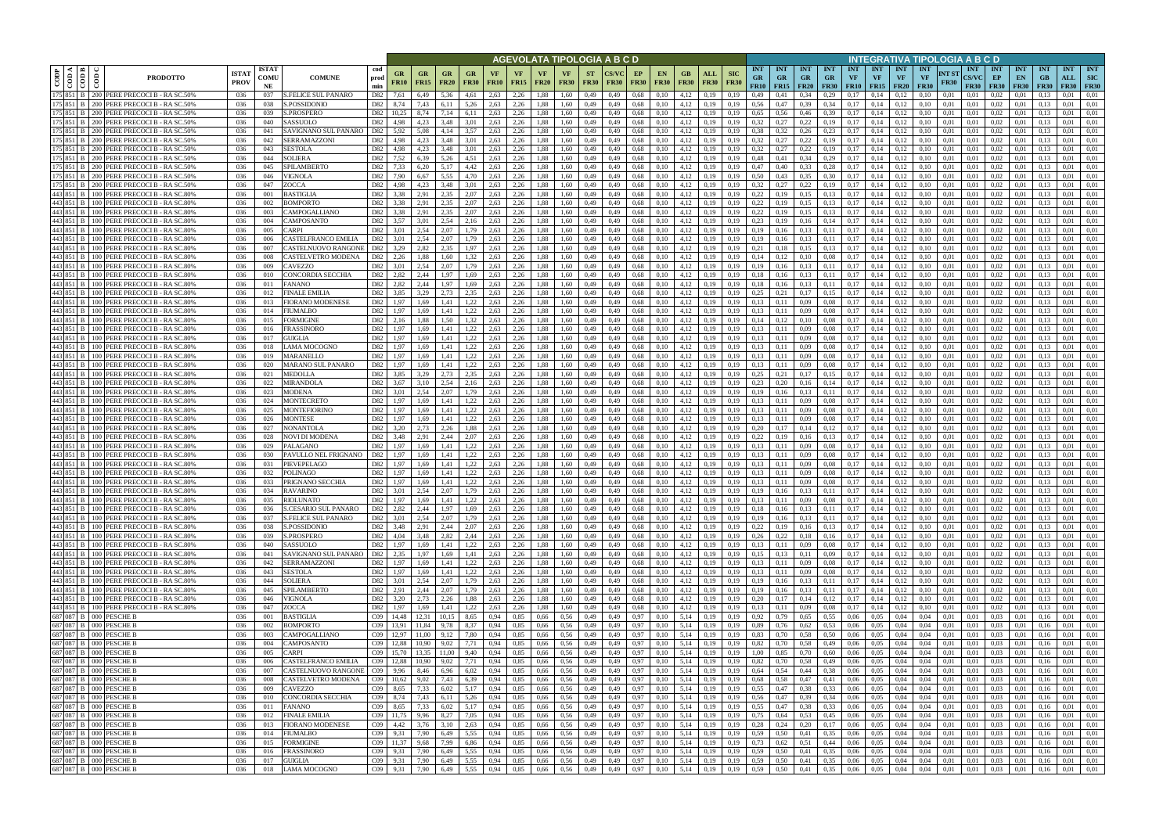|                                                                                                                                                                   |                  |                                                                                      |                             |                            |                                                           |                        |                          |                          |                                                       |                                  |                   |                   |                             |                   |                          | AGEVOLATA TIPOLOGIA A B C D |                   |                                          |                            |                                                                |                                                                                                                                      |                                 |                                              |                                        |                  |                                             |                                        | INTEGRATIVA TIPOLOGIA A B C D |                      |                                              |                                 |                                 |                                 |                   |                                              |
|-------------------------------------------------------------------------------------------------------------------------------------------------------------------|------------------|--------------------------------------------------------------------------------------|-----------------------------|----------------------------|-----------------------------------------------------------|------------------------|--------------------------|--------------------------|-------------------------------------------------------|----------------------------------|-------------------|-------------------|-----------------------------|-------------------|--------------------------|-----------------------------|-------------------|------------------------------------------|----------------------------|----------------------------------------------------------------|--------------------------------------------------------------------------------------------------------------------------------------|---------------------------------|----------------------------------------------|----------------------------------------|------------------|---------------------------------------------|----------------------------------------|-------------------------------|----------------------|----------------------------------------------|---------------------------------|---------------------------------|---------------------------------|-------------------|----------------------------------------------|
| ⊲ I ല<br>CODP<br>$\frac{1}{100}$                                                                                                                                  | $\epsilon$       | <b>PRODOTTO</b>                                                                      | <b>ISTAT</b><br><b>PROV</b> | <b>ISTAT</b><br>COMU<br>NE | <b>COMUNE</b>                                             | cod<br>prod<br>min     | GR<br><b>FR10</b>        | <b>GR</b><br><b>FR15</b> | <b>FR20</b>                                           | GR<br><b>FR30</b>                | VF<br><b>FR10</b> | VF<br><b>FR15</b> | VF<br><b>FR20</b>           | VF<br><b>FR30</b> | <b>ST</b><br><b>FR30</b> | <b>CS/VC</b><br><b>FR30</b> | EP<br><b>FR30</b> | EN.<br><b>FR30</b>                       | GB.<br><b>FR30</b>         | ALL<br><b>FR30</b>                                             | <b>INT</b><br><b>SIC</b><br><b>GR</b><br><b>FR30</b>                                                                                 | <b>INT</b><br><b>GR</b><br>FR10 | <b>INT</b><br><b>GR</b><br><b>FR15</b> FR20  | <b>INT</b><br><b>GR</b><br><b>FR30</b> | <b>INT</b><br>VF | <b>INT</b><br><b>VF</b><br><b>FR10</b> FR15 | <b>INT</b><br><b>VF</b><br><b>FR20</b> | INT<br>VF<br><b>FR30</b>      | NT ST<br><b>FR30</b> | <b>INT</b><br><b>CS/VC</b><br><b>FR30</b>    | <b>INT</b><br>EP<br><b>FR30</b> | <b>INT</b><br>EN<br><b>FR30</b> | <b>INT</b><br>GB<br><b>FR30</b> | <b>INT</b><br>ALL | <b>INT</b><br><b>SIC</b><br><b>FR30 FR30</b> |
| 175 851 B<br>175 851 B                                                                                                                                            |                  | 200 PERE PRECOCI B - RA SC.50%<br>200 PERE PRECOCI B - RA SC.50%                     | 036<br>036                  | 037<br>038                 | <b>S.FELICE SUL PANARO</b><br>S.POSSIDONIO                | D82<br>D82             | 7.61<br>8,74             | 6,49<br>7,43             | 5.36<br>6,11                                          | 4.61<br>5,26                     | 2.63<br>2,63      | 2,26<br>2,26      | 1.88<br>1,88                | 1,60<br>1,60      | 0,49<br>0,49             | 0,49<br>0,49                | 0,68<br>0,68      | 0.10<br>0,10                             | 4.12<br>4,12               | 0.19<br>0,19                                                   | 0.19<br>0.49<br>0,56<br>0,19                                                                                                         | 0.41<br>0,47                    | 0.34<br>0,39                                 | 0.29<br>0.34                           | 0.17<br>0,17     | 0.14<br>0,14                                | 0.12<br>0,12                           | 0.10<br>0.10                  | 0.01<br>0,01         | 0.01<br>0,01                                 | 0.02<br>0.02                    | 0.01<br>0,01                    | 0.13                            | 0.01<br>0.01      | 0.01<br>0.01                                 |
| 175 851 B                                                                                                                                                         |                  | 200 PERE PRECOCIB - RASC.50%                                                         | 036                         | 039                        | S.PROSPERO                                                | D82                    | 10.25                    | 8,74                     | 7,14                                                  | 6,11                             | 2,63              | 2,26              | 1,88                        | 1,60              | 0,49                     | 0,49                        | 0,68              | 0,10                                     | 4,12                       | 0,19                                                           | 0.65<br>0.19                                                                                                                         | 0.56                            | 0,46                                         | 0.39                                   | 0.17             | 0,14                                        | 0,12                                   | 0.10                          | 0,01                 | 0,01                                         | 0.02                            | 0,01                            | 0.13                            | 0.01              | 0.01                                         |
| 175 851 B                                                                                                                                                         |                  | 200 PERE PRECOCI B - RA SC.50%                                                       | 036                         | 040                        | SASSUOLO                                                  | D82                    | 4.98                     | 4.23                     | 3.48                                                  | 3.01                             | 2.63              | 2,26              | 1,88                        | 1.60              | 0,49                     | 0,49                        | 0.68              | 0,10                                     | 4.12                       | 0.19                                                           | 0.32<br>0.19                                                                                                                         | 0,27                            | 0,22                                         | 0,19                                   | 0.17             | 0.14                                        | 0,12                                   |                               | 0.01                 | 0.01                                         | 0.02                            | 0.01                            | 0.13                            | 0.01              | 0.01                                         |
| 175 851 B                                                                                                                                                         |                  | 200 PERE PRECOCI B - RA SC.50%                                                       | 036                         | 041                        | SAVIGNANO SUL PANARO                                      | D82                    | 5.92                     | 5.08                     | 4.14                                                  | 3.57                             | 2.63              | 2.26              | 1.88                        | 1.60              | 0,49                     | 0.49                        | 0.68              | 0.10                                     | 4.12                       | 0.19                                                           | 0.38<br>0.19                                                                                                                         | 0.32                            | 0.26                                         | 0.23                                   | 0.17             | 0.14                                        | 0.12                                   |                               | 0.01                 | 0.01                                         | 0.02                            | 0.01                            | $0.1^{\circ}$                   | 0.01              | 0.01                                         |
| 175 851 B<br>175 851 B                                                                                                                                            |                  | 200 PERE PRECOCI B - RA SC.50%<br>200 PERE PRECOCI B - RA SC.50%                     | 036<br>-036                 | 042<br>043                 | SERRAMAZZONI<br><b>SESTOLA</b>                            | D82<br>D82             | 4.98<br>4.98             | 4.23<br>4.23             | 3.48<br>3.48                                          | 3.01<br>3.01                     | 2,63<br>2.63      | 2,26<br>2,26      | 1,88<br>1.88                | 1.60<br>1.60      | 0,49<br>0.49             | 0,49<br>0.49                | 0,68<br>0.68      | 0,10<br>0,10                             | 4,12<br>4.12               | 0,19<br>0.19                                                   | 0.32<br>0.19<br>0.32<br>0.19                                                                                                         | 0,27<br>0,27                    | 0,22<br>0,22                                 | 0,19<br>0,19                           | 0.17<br>0.17     | 0,14<br>0.14                                | 0,12<br>0.12                           | 0.10                          | 0.01<br>0.01         | 0.01<br>0.01                                 | 0.02<br>0.02                    | 0,01<br>0.01                    | 0.13<br>0.13                    | 0.01<br>0.01      | 0.01<br>0.01                                 |
| 175 851 B                                                                                                                                                         |                  | 200 PERE PRECOCI B - RA SC.50%                                                       | -036                        | 044                        | <b>SOLIERA</b>                                            | D82                    | 7.52                     | 6.39                     | 5.26                                                  | 4.51                             | 2.63              | 2,26              | 1.88                        | 1.60              | 0,49                     | 0,49                        | 0.68              | 0,10                                     | 4.12                       | 0,19                                                           | 0.19<br>0.48                                                                                                                         | 0,41                            | 0,34                                         | 0,29                                   | 0.17             | 0,14                                        | 0,12                                   | 0.10                          | 0.01                 | 0.01                                         | 0.02                            | 0.01                            | 0.13                            | 0.01              | 0.01                                         |
| 175 851 B                                                                                                                                                         |                  | 200 PERE PRECOCI B - RA SC.50%                                                       | 036                         | 045                        | SPILAMBERTO                                               | D82                    | 7.33                     | 6.20                     | 5,17                                                  | 4,42                             | 2.63              | 2,26              | 1,88                        | 1.60              | 0,49                     | 0.49                        | 0.68              | 0,10                                     | 4,12                       | 0,19                                                           | 0.47<br>0.19                                                                                                                         | 0.40                            | 0,33                                         | 0,28                                   | 0.17             | 0,14                                        | 0,12                                   | 0.10                          | 0.01                 | 0.01                                         | 0,02                            | 0,01                            | 0.13                            | 0.01              | 0.01                                         |
| 175 851 B<br>175 851 B                                                                                                                                            |                  | 200 PERE PRECOCI B - RA SC.50%<br>200 PERE PRECOCI B - RA SC.50%                     | 036<br>036                  | 046<br>047                 | VIGNOLA<br>ZOCCA                                          | D82<br>D <sub>82</sub> | 7.90<br>4.98             | 6.67<br>4.23             | 5.55<br>3.48                                          | 4.70<br>3.01                     | 2,63<br>2,63      | 2,26<br>2,26      | 1.88<br>1.88                | 1.60<br>1.60      | 0,49<br>0,49             | 0,49<br>0,49                | 0.68<br>0.68      | 0,10<br>0,10                             | 4,12<br>4,12               | 0,19<br>0,19                                                   | 0.50<br>0.19<br>0.32<br>0.19                                                                                                         | 0.43<br>0,27                    | 0,35<br>0,22                                 | 0,30<br>0,19                           | 0,17<br>0.17     | 0,14<br>0,14                                | 0,12<br>0,12                           | 0.10<br>0.10                  | 0,01<br>0.01         | 0.01<br>0,01                                 | 0.02<br>0,02                    | 0,01<br>0,01                    | 0.13<br>0.13                    | 0.01<br>0.01      | 0.01<br>0.01                                 |
| 443 851 B                                                                                                                                                         |                  | 100 PERE PRECOCI B - RA SC.80%                                                       | 036                         | 001                        | BASTIGLIA                                                 | D82                    | 3,38                     | 2,91                     | 2,35                                                  | 2,07                             | 2,63              | 2,26              | 1,88                        | 1,60              | 0,49                     | 0,49                        | 0.68              | 0,10                                     | 4,12                       | 0,19                                                           | 0,22<br>0,19                                                                                                                         | 0,19                            | 0,15                                         | 0,13                                   | 0,17             | 0,14                                        | 0,12                                   | 0,10                          | 0,01                 | 0,01                                         | 0,02                            | 0,01                            | 0,13                            | 0,01              | 0,01                                         |
| 443 851 B                                                                                                                                                         |                  | 100 PERE PRECOCI B - RA SC.80%                                                       | 036                         | 002                        | BOMPORTO                                                  | D82                    | 3.38                     | 2.91                     | 2.35                                                  | 2.07                             | 2.63              | 2,26              | 1.88                        | 1.60              | 0,49                     | 0,49                        | 0.68              | 0,10                                     | 4,12                       | 0.19                                                           | 0.22<br>0.19                                                                                                                         | 0.19                            | 0.15                                         | 0,13                                   | 0.17             | 0.14                                        | 0.12                                   | 0.10                          | 0.01                 | 0.01                                         | 0.02                            | 0.01                            | 0.13                            | 0,01              | 0.01                                         |
| 443 851 B                                                                                                                                                         |                  | 100 PERE PRECOCI B - RA SC.80%                                                       | 036                         | 003                        | <b>CAMPOGALLIANO</b>                                      | D82                    | 3,38                     | 2,91                     | 2.35                                                  | 2,07                             | 2,63              | 2,26              | 1,88                        | 1,60              | 0,49                     | 0,49                        | 0.68              | 0,10                                     | 4,12                       | 0,19                                                           | 0,22<br>0,19                                                                                                                         | 0,19                            | 0,15                                         | 0,13                                   | 0,17             | 0,14                                        | 0,12                                   | 0.10                          | 0,01                 | 0.01                                         | 0.02                            | 0,01                            | 0.13                            | 0.01              | 0.01                                         |
| 443 851 B<br>443 851 B                                                                                                                                            |                  | 100 PERE PRECOCIB - RASC.80%<br>100 PERE PRECOCI B - RA SC.80%                       | 036<br>036                  | 004<br>005                 | CAMPOSANTO<br><b>ARPI</b>                                 | D82<br>D82             | 3,57<br>3.01             | 3,01<br>2.54             | 2.54<br>2.07                                          | 2,16<br>1.79                     | 2,63<br>2.63      | 2,26<br>2.26      | 1,88<br>1.88                | 1,60<br>1.60      | 0,49<br>0.49             | 0,49<br>0.49                | 0.68<br>0.68      | 0,10<br>0.10                             | 4,12<br>4.12               | 0,19<br>0.19                                                   | 0,23<br>0.19<br>0.19<br>0.19                                                                                                         | 0.19<br>0.16                    | 0,16<br>0,13                                 | 0,14<br>0.11                           | 0,17<br>0.17     | 0,14<br>0.14                                | 0,12<br>0.12                           | 0.10<br>0.10                  | 0.01<br>0.01         | 0.01<br>0.01                                 | 0.02<br>0.02                    | 0,01<br>0.01                    | 0.13<br>0.13                    | 0,01<br>0.01      | 0.01<br>0.01                                 |
| 443 851 B                                                                                                                                                         |                  | 100 PERE PRECOCI B - RA SC.80%                                                       | 036                         | 006                        | CASTELFRANCO EMILIA                                       | D82                    | 3.01                     | 2.54                     | 2.07                                                  | 1.79                             | 2.63              | 2.26              | 1.88                        | 1.60              | 0.49                     | 0.49                        | 0.68              | 0.10                                     | 4.12                       | 0.19                                                           | 0.19<br>0.19                                                                                                                         | 0.16                            | 0,13                                         | 0,11                                   | 0.17             | 0.14                                        | 0.12                                   | 0.10                          | 0.01                 | 0.01                                         | 0.02                            | 0.01                            | 0.13                            | 0.01              | 0.01                                         |
| 443 851 B                                                                                                                                                         |                  | 100 PERE PRECOCI B - RA SC.80%                                                       | 036                         | 007                        | CASTELNUOVO RANGONE                                       | D82                    | 3.29                     | 2,82                     | 2.35                                                  | 1.97                             | 2.63              | 2,26              | 1,88                        | 1.60              | 0,49                     | 0.49                        | 0,68              | 0,10                                     | 4,12                       | 0.19                                                           | 0,21<br>0.19                                                                                                                         | 0.18                            | 0,15                                         | 0,13                                   | 0.17             | 0,14                                        | 0.12                                   | 0.10                          | 0.01                 | 0.01                                         | 0,02                            | 0.01                            | 0.13                            | 0.01              | 0.01                                         |
| 443 851 B<br>443 851 B                                                                                                                                            | 100 l            | 100 PERE PRECOCIB - RASC.809<br>PERE PRECOCI B - RA SC.80%                           | 036<br>036                  | 008<br>009                 | CASTELVETRO MODENA<br>CAVEZZO                             | D82<br>D82             | 2.26<br>3.01             | 1.88<br>2.54             | 1.60<br>2.07                                          |                                  | 2.63<br>2.63      | 2.26<br>2.26      | 1.88<br>1.88                | 1.60<br>1.60      | 0.49<br>0.49             | 0.49<br>0.49                | 0.68<br>0.68      | 0.10                                     | 4.12<br>4.12               | 0.19<br>0.19                                                   | 0.14<br>0.19                                                                                                                         |                                 | 0.10<br>0,13                                 | 0.08<br>0.11                           | 0.17<br>0.17     | 0.14<br>0.14                                | 0.12<br>0.12                           |                               | 0.01<br>0.01         | 0.01<br>0.01                                 | 0.02<br>0.02                    |                                 |                                 | 0.01<br>0.01      | 0.01<br>0.01                                 |
| 443 851 B                                                                                                                                                         |                  | 100 PERE PRECOCI B - RA SC.809                                                       | 036                         | 010                        | CONCORDIA SECCHIA                                         | D82                    | 2.82                     | 2.44                     | .97                                                   | 1.69                             | 2.63              | 2,26              | 1,88                        | 1.60              | 0,49                     | 0,49                        | 0.68              | 0,10                                     | 4,12                       | 0.19                                                           | 0.18                                                                                                                                 |                                 | 0,13                                         | 0,11                                   | 0.17             | 0.14                                        | 0,12                                   |                               | 0.01                 | 0.01                                         | 0,02                            | 0.01                            | 0.13                            | 0.01              | 0.01                                         |
| 443 851 B                                                                                                                                                         |                  | 100 PERE PRECOCI B - RA SC.80%                                                       | 036                         | 011                        | FANANO                                                    | D82                    | 2.82                     | 2.44                     | .97                                                   |                                  | 2.63              | 2.26              | 1.88                        | 1.60              | 0,49                     | 0.49                        | 0.68              | 0,10                                     | 4,12                       | 0.19                                                           | 0.18<br>0.19                                                                                                                         | 0.16                            | 0,13                                         | 0,11                                   | 0.17             | 0.14                                        | 0.12                                   |                               | 0.01                 | 0.01                                         | 0.02                            | 0.01                            |                                 | 0.01              | 0.01                                         |
| 443 851 B                                                                                                                                                         |                  | 100 PERE PRECOCI B - RA SC.809                                                       | 036                         | 012                        | FINALE EMILIA                                             | D82                    | 3.85                     | 3.29                     | 2.73                                                  | 2.35                             | 2.63              | 2,26              | 1,88                        | 1.60              | 0,49                     | 0,49                        | 0,68              | 0,10                                     | 4,12                       | 0.19                                                           | 0.25<br>0,19                                                                                                                         | 0,21                            | 0,17                                         | 0.15                                   | 0.17             | 0,14                                        | 0,12                                   | 0.10                          | 0.01                 | 0,01                                         | 0.02                            | 0.01                            | 0.13                            | 0.01              | 0.01                                         |
| 443 851 B<br>443 851 B                                                                                                                                            |                  | 100 PERE PRECOCI B - RA SC.80%<br>100 PERE PRECOCI B - RA SC.80%                     | 036<br>036                  | 013<br>014                 | FIORANO MODENESE<br><b>IUMALBO</b>                        | D82<br>D82             | 1.97<br>1.97             | 1.69<br>1.69             | 1.41<br>.41                                           | 1.22                             | 2,63<br>2.63      | 2,26<br>2,26      | 1.88<br>1.88                | 1,60<br>1.60      | 0,49<br>0,49             | 0.49<br>0,49                | 0,68<br>0,68      | 0,10<br>0.10                             | 4,12<br>4.12               | 0.19<br>0.19                                                   | 0.13<br>0.19<br>0.13<br>0.19                                                                                                         | 0.11                            | 0,09<br>0,09                                 | 0.08<br>0.08                           | 0.17<br>0.17     | 0,14<br>0.14                                | 0,12<br>0.12                           |                               | 0.01<br>0.01         | 0.01<br>0.01                                 | 0.02<br>0.02                    | 0.01<br>0.01                    | 0.13                            | 0.01<br>0.01      | 0.01<br>0.01                                 |
| 443 851 B                                                                                                                                                         | 100 L            | PERE PRECOCI B - RA SC.80%                                                           | 036                         | 015                        | <b>FORMIGINE</b>                                          | D82                    | 2.16                     | 1.88                     | .50                                                   |                                  | 2.63              | 2.26              | 1.88                        | 1.60              | 0,49                     | 0.49                        | 0.68              | 0.10                                     | 4.12                       | 0.19                                                           | 0.14<br>0.19                                                                                                                         |                                 | 0.10                                         | 0.08                                   | 0.17             | 0.14                                        | 0.12                                   |                               | 0.01                 | 0.01                                         | 0.02                            | 0.01                            |                                 | 0.01              | 0.01                                         |
| 443 851 B                                                                                                                                                         |                  | 100 PERE PRECOCI B - RA SC.80%                                                       | 036                         | 016                        | FRASSINORO                                                | D82                    | 1,97                     | 1,69                     | 1.41                                                  |                                  | 2,63              | 2,26              | 1,88                        | 1,60              | 0,49                     | 0,49                        | 0,68              | 0,10                                     | 4,12                       | 0,19                                                           | 0,13<br>0,19                                                                                                                         | 0,11                            | 0,09                                         | 0.08                                   | 0,17             | 0,14                                        | 0,12                                   |                               | 0,01                 | 0,01                                         | 0,02                            | 0,01                            | 0,13                            | 0,01              | 0,01                                         |
| 443 851 B                                                                                                                                                         |                  | 100 PERE PRECOCI B - RA SC.80%                                                       | 036                         | 017                        | GUIGLIA                                                   | D82                    | 1.97                     | 1.69                     | 1.41                                                  | 1.22                             | 2.63              | 2.26              | 1.88                        | 1.60              | 0,49                     | 0.49                        | 0.68              | 0.10                                     | 4.12                       | 0.19                                                           | 0.19<br>0.13                                                                                                                         | 0.11                            | 0.09                                         | 0.08                                   | 0.17             | 0.14                                        | 0.12                                   |                               | 0.01                 | 0.01                                         | 0.02                            | 0.01                            | $0.1^{\circ}$                   | 0.01              | 0.01                                         |
| 443 851 B<br>443 851 B                                                                                                                                            |                  | 100 PERE PRECOCI B - RA SC.80%<br>100 PERE PRECOCI B - RA SC.80%                     | 036<br>036                  | 018<br>019                 | AMA MOCOGNO<br>MARANELLO                                  | D82<br>D82             | 1.97<br>1.97             | 1.69<br>1.69             | 1.41<br>1.41                                          | 1,22<br>1.22                     | 2.63<br>2.63      | 2,26<br>2,26      | 1,88<br>1,88                | 1.60<br>1.60      | 0,49<br>0,49             | 0,49<br>0,49                | 0.68<br>0.68      | 0,10<br>0,10                             | 4,12<br>4,12               | 0.19<br>0.19                                                   | 0.13<br>0.19<br>0.13<br>0.19                                                                                                         | 0,11<br>0.11                    | 0,09<br>0,09                                 | 0.08<br>0.08                           | 0.17<br>0.17     | 0,14<br>0,14                                | 0,12<br>0.12                           | 0.10                          | 0.01<br>0.01         | 0.01<br>0.01                                 | 0.02<br>0.02                    | 0.01<br>0.01                    | 0.13<br>0.13                    | 0.01<br>0.01      | 0.01<br>0.01                                 |
| 443 851 B                                                                                                                                                         |                  | 100 PERE PRECOCI B - RA SC.80%                                                       | 036                         | 020                        | <b>MARANO SUL PANARO</b>                                  | D82                    | 1.97                     | 1.69                     | 1.41                                                  | 1,22                             | 2.63              | 2,26              | 1.88                        | 1.60              | 0,49                     | 0,49                        | 0.68              | 0,10                                     | 4.12                       | 0.19                                                           | 0.13<br>0.19                                                                                                                         | 0.11                            | 0,09                                         | 0.08                                   | 0.17             | 0,14                                        | 0.12                                   |                               | 0.01                 | 0.01                                         | 0.02                            | 0.01                            | 0.13                            | 0.01              | 0.01                                         |
| 443 851 B                                                                                                                                                         |                  | 100 PERE PRECOCI B - RA SC.80%                                                       | -036                        | 021                        | <b>MEDOLLA</b>                                            | D82                    | 3.85                     | 3.29                     | 2.73                                                  | 2.35                             | 2.63              | 2,26              | 1.88                        | 1.60              | 0,49                     | 0.49                        | 0.68              | 0,10                                     | 4.12                       | 0.19                                                           | 0.25<br>0.19                                                                                                                         | 0,21                            | 0,17                                         | 0.15                                   | 0.17             | 0.14                                        | 0.12                                   |                               | 0.01                 | 0.01                                         | 0.02                            | 0.01                            | 0.13                            | 0.01              | 0.01                                         |
| 443 851 B                                                                                                                                                         | 100 <sup>1</sup> | 100 PERE PRECOCI B - RA SC.80%                                                       | 036                         | 022                        | MIRANDOLA                                                 | D82                    | 3.67                     | 3.10                     | 2.54                                                  | 2,16                             | 2,63              | 2,26              | 1,88                        | 1.60              | 0,49                     | 0,49                        | 0,68              | 0,10                                     | 4,12                       | 0,19                                                           | 0.23<br>0,19                                                                                                                         | 0,20                            | 0,16                                         | 0,14                                   | 0,17<br>0.17     | 0,14                                        | 0,12                                   | 0.10                          | 0,01                 | 0,01                                         | 0,02                            | 0,01                            | 0,13                            | 0.01              | 0.01                                         |
| 443 851 B<br>443 851 B                                                                                                                                            | 100 <sup>1</sup> | PERE PRECOCI B - RA SC.80%<br>PERE PRECOCI B - RA SC.80%                             | 036<br>036                  | 023<br>024                 | <b>MODENA</b><br>MONTECRETO                               | D82<br>D82             | 3.01<br>1,97             | 2.54<br>1.69             | 2.07<br>1.41                                          | 1.79<br>1,22                     | 2.63<br>2,63      | 2,26<br>2,26      | 1.88<br>1,88                | 1.60<br>1.60      | 0,49<br>0,49             | 0.49<br>0,49                | 0.68<br>0.68      | 0,10<br>0,10                             | 4,12<br>4,12               | 0,19<br>0,19                                                   | 0.19<br>0.19<br>0.19<br>0.13                                                                                                         | 0,16<br>0,11                    | 0,13<br>0,09                                 | 0,11<br>0.08                           | 0,17             | 0,14<br>0,14                                | 0,12<br>0,12                           | 0.10                          | 0.01<br>0,01         | 0.01<br>0,01                                 | 0.02<br>0,02                    | 0.01<br>0,01                    | 0.13<br>0.13                    | 0.01<br>0.01      | 0.01<br>0,01                                 |
| 443 851 B                                                                                                                                                         | 100 <sup>1</sup> | PERE PRECOCI B - RA SC.80%                                                           | 036                         | 025                        | MONTEFIORINO                                              | D82                    | 1,97                     | 1,69                     | 1,41                                                  | 1,22                             | 2,63              | 2,26              | 1,88                        | 1,60              | 0,49                     | 0,49                        | 0,68              | 0,10                                     | 4,12                       | 0,19                                                           | 0,13<br>0.19                                                                                                                         | 0,11                            | 0,09                                         | 0.08                                   | 0,17             | 0,14                                        | 0,12                                   | 0.10                          | 0,01                 | 0,01                                         | 0,02                            | 0,01                            | 0,13                            | 0,01              | 0,01                                         |
| 443 851 B                                                                                                                                                         |                  | 100 PERE PRECOCI B - RA SC.80%                                                       | 036                         | 026                        | <b>MONTESE</b>                                            | D82                    | 1,97                     | 1.69                     | 1.41                                                  | 1.22                             | 2,63              | 2,26              | 1,88                        | 1,60              | 0,49                     | 0,49                        | 0.68              | 0,10                                     | 4,12                       | 0,19                                                           | 0.13<br>0.19                                                                                                                         | 0,11                            | 0,09                                         | 0.08                                   | 0,17             | 0,14                                        | 0,12                                   | 0.10                          | 0,01                 | 0.01                                         | 0.02                            | 0,01                            | 0.13                            | 0.01              | 0.01                                         |
| 443 851 B<br>443 851 B                                                                                                                                            |                  | 100 PERE PRECOCI B - RA SC.80%<br>100 PERE PRECOCI B - RA SC.80%                     | 036<br>036                  | 027<br>028                 | <b>NONANTOLA</b><br>NOVI DI MODENA                        | D82<br>D82             | 3.20<br>3,48             | 2.73<br>2,91             | 2.26<br>2,44                                          | 1.88<br>2,07                     | 2.63<br>2,63      | 2,26<br>2,26      | 1,88<br>1,88                | 1.60<br>1,60      | 0,49<br>0,49             | 0,49<br>0,49                | 0.68<br>0.68      | 0,10<br>0,10                             | 4,12<br>4,12               | 0,19<br>0,19                                                   | 0.19<br>0,20<br>0,22<br>0.19                                                                                                         | 0,17<br>0,19                    | 0,14<br>0,16                                 | 0,12<br>0,13                           | 0,17<br>0,17     | 0.14<br>0,14                                | 0,12<br>0,12                           | 0.10<br>0.10                  | 0.01<br>0,01         | 0.01<br>0.01                                 | 0.02<br>0,02                    | 0,01<br>0,01                    | 0.13<br>0.13                    | 0,01<br>0.01      | 0.01<br>0.01                                 |
| 443 851 B                                                                                                                                                         |                  | 100 PERE PRECOCI B - RA SC.80%                                                       | 036                         | 029                        | PALAGANO                                                  | D82                    | 1.97                     | 1.69                     | 1.41                                                  | 1.22                             | 2.63              | 2,26              | 1.88                        | 1.60              | 0.49                     | 0.49                        | 0.68              | 0.10                                     | 4.12                       | 0.19                                                           | 0.13                                                                                                                                 | 0.11                            | 0,09                                         | 0.08                                   | 0.17             | 0.14                                        | 0.12                                   |                               | 0.01                 | 0.01                                         | 0.02                            | 0.01                            | 0.13                            | 0.01              | 0.01                                         |
| 443 851 B                                                                                                                                                         | 100 l            | PERE PRECOCI B - RA SC.80%                                                           | 036                         | 030                        | PAVULLO NEL FRIGNANO                                      | D82                    | 1.97                     | 1.69                     | 1.41                                                  | 1.22                             | 2.63              | 2.26              | 1.88                        | 1.60              | 0.49                     | 0.49                        | 0.68              | 0.10                                     | 4,12                       | 0.19                                                           | 0.13                                                                                                                                 | 0.11                            | 0.09                                         | 0.08                                   | 0.17             | 0.14                                        | 0.12                                   |                               | 0.01                 | 0.01                                         | 0.02                            | 0.01                            | 0.13                            | 0.01              | 0.01                                         |
| 443 851 B                                                                                                                                                         |                  | 100 PERE PRECOCI B - RA SC.80%                                                       | 036                         | 031                        | PIEVEPELAGO                                               | D82                    | 1,97                     | 1.69                     | 1,41                                                  | 1,22                             | 2,63              | 2,26              | 1,88                        | 1.60              | 0,49                     | 0,49                        | 0.68              | 0,10                                     | 4,12                       | 0.19                                                           | 0,13                                                                                                                                 | 0.11                            | 0,09                                         | 0.08                                   | 0,17             | 0,14                                        | 0,12                                   | 0.10                          | 0.01                 | 0.01                                         | 0,02                            | 0.01                            | 0.13                            | 0,01              | 0.01                                         |
| 443 851 B                                                                                                                                                         |                  | 100 PERE PRECOCI B - RA SC.80%<br>443 851 B   100 PERE PRECOCI B - RA SC.80%         | 036<br>036                  | 032<br>033                 | POLINAGO<br>PRIGNANO SECCHIA                              | D82<br>D82             | 1.97<br>1.97             | 1.69<br>1.69             | 1.41<br>1.41                                          | 1.22<br>1,22                     | 2.63<br>2.63      | 2.26<br>2,26      | 1.88<br>1.88                | 1.60<br>1.60      | 0.49<br>0.49             | 0.49<br>0.49                | 0.68<br>0.68      | 0.10<br>0.10                             | 4.12<br>4.12               | 0.19<br>0.19                                                   | 0.13<br>0.13<br>0.19                                                                                                                 | 0.11                            | 0.09<br>0.09                                 | 0.08<br>0.08                           | 0.17<br>0.17     | 0.14<br>0.14                                | 0.12<br>0.12                           | 0.10                          | 0.01<br>0.01         | 0.01<br>0.01                                 | 0.02<br>0.02                    | 0.01<br>0.01                    | 0.13                            | 0.01<br>0.01      | 0.01<br>0.01                                 |
|                                                                                                                                                                   |                  | 443 851 B 100 PERE PRECOCIB - RASC 80%                                               | 036                         | 034                        | <b>RAVARINO</b>                                           | D82                    | 3.01                     | 2.54                     | 2.07                                                  | 1.79                             | 2.63              | 2,26              | 1.88                        | 1.60              | 0.49                     | 0.49                        | 0.68              | 0.10                                     | 4.12                       | 0.19                                                           | 0.19<br>0.19                                                                                                                         | 0.16                            | 0.13                                         | 0.11                                   | 0.17             | 0.14                                        | 0.12                                   |                               | 0.01                 | 0.01                                         | 0.02                            | 0.01                            |                                 | 0.01              | 0.01                                         |
|                                                                                                                                                                   |                  | 443 851 B 100 PERE PRECOCI B - RA SC.80%                                             | 036                         | 035                        | RIOLUNATO                                                 | D82                    | 1,97                     | 1,69                     | 1,41                                                  | 1,22                             | 2,63              | 2,26              | 1,88                        | 1,60              | 0,49                     | 0,49                        | 0,68              | 0,10                                     | 4,12                       | 0,19                                                           | 0,19<br>0,13                                                                                                                         | 0,11                            | 0,09                                         | 0,08                                   |                  | $0,17$ 0,14                                 | 0,12                                   |                               | 0,01                 | 0,01                                         | 0,02                            | 0,01                            | 0,13                            | 0,01              | 0,01                                         |
|                                                                                                                                                                   |                  | 443 851 B 100 PERE PRECOCI B - RA SC.80%<br>443 851 B 100 PERE PRECOCI B - RA SC.80% | 036<br>036                  | 036<br>037                 | <b>S.CESARIO SUL PANARO</b><br><b>S.FELICE SUL PANARO</b> | D82<br>D82             | 2,82<br>3,01             | 2,44<br>2,54             | 1,97<br>2,07                                          | 1,69<br>1,79                     | 2,63<br>2,63      | 2,26<br>2,26      | 1,88<br>1,88                | 1,60<br>1,60      | 0,49<br>0,49             | 0,49<br>0,49                | 0,68<br>0,68      | 0,10<br>0,10                             | 4,12                       | 0,19<br>$4,12$ 0,19                                            | 0,18<br>0,19<br>0,19                                                                                                                 | 0,16<br>0,19<br>0,16            | 0,13<br>0,13                                 | 0,11<br>0,11                           |                  | $0,17$ 0,14<br>$0,17$ 0,14                  | 0,12<br>0,12                           | 0,10<br>0,10                  | 0,01<br>0,01         | 0,01<br>0,01                                 | 0,02<br>$0,02$ $0,01$           | 0,01                            | 0,13<br>0,13                    | 0,01<br>0,01      | 0,01<br>0,01                                 |
|                                                                                                                                                                   |                  | 443 851 B 100 PERE PRECOCI B - RA SC.80%                                             | 036                         | 038                        | S.POSSIDONIO                                              | D82                    | 3,48                     | 2,91                     | 2,44 2,07                                             |                                  | 2,63              | 2,26              | 1,88                        | 1,60              | 0,49                     | 0,49 0,68                   |                   | 0,10                                     |                            | $4,12$ 0,19                                                    | 0,19                                                                                                                                 | $0,22$ $0,19$                   | 0,16                                         | 0,13                                   |                  | $0,17$ $0,14$                               | 0,12                                   | 0,10                          | 0,01                 | 0,01                                         | $0,02$ $0,01$                   |                                 | 0,13                            | 0,01              | 0,01                                         |
|                                                                                                                                                                   |                  | 443 851 B 100 PERE PRECOCI B - RA SC.80%                                             | 036                         | 039                        | <b>S.PROSPERO</b>                                         | D82                    | 4,04                     | 3,48                     | 2,82                                                  | 2,44                             | 2,63              | 2,26              | 1,88                        | 1,60              | 0,49                     | 0,49 0,68                   |                   | 0,10                                     |                            | $4,12$ 0,19                                                    | 0,26<br>0,19                                                                                                                         | 0,22                            | 0,18                                         | 0,16                                   |                  | $0,17$ 0,14                                 | 0,12                                   | 0,10                          | 0,01                 | 0,01                                         | 0,02                            | 0,01                            | 0,13                            | 0,01              | 0,01                                         |
|                                                                                                                                                                   |                  | 443 851 B 100 PERE PRECOCIB - RA SC.80%<br>443 851 B 100 PERE PRECOCIB - RA SC.80%   | 036                         | 040                        | SASSUOLO                                                  | D82                    | 1,97                     | 1,69                     | 1,41                                                  | 1,22                             | 2,63              | 2,26              | 1,88                        | 1,60              | 0,49                     |                             | $0,49$ 0.68 0.10  | $0,49$ $0,68$ $0,10$                     |                            | $4,12$ 0,19                                                    | 0,19<br>0,13                                                                                                                         | 0,11                            | 0,09                                         | 0,08                                   |                  | $0,17$ 0,14                                 | 0,12                                   | 0,10                          | 0,01                 | 0,01                                         | $0,02$ $0,01$                   |                                 | 0,13                            | 0.01              | 0,01                                         |
|                                                                                                                                                                   |                  | 443 851 B 100 PERE PRECOCI B - RA SC.80%                                             | 036<br>036                  | 041<br>042                 | SAVIGNANO SUL PANARO<br>SERRAMAZZONI                      | D82<br>D82             | 2,35<br>1,97             | 1,97<br>1,69             | 1,69 1,41<br>$1,41$ 1,22 2,63                         |                                  | 2,63              | 2,26<br>2,26      | 1,88 1,60<br>1,88 1,60 0,49 |                   | 0,49                     |                             |                   | $0,49$ 0.68 0.10                         |                            | $4,12$ 0,19<br>$4,12$ 0,19                                     | 0,19<br>0,19                                                                                                                         |                                 | $0,15$ $0,13$ $0,11$<br>$0,13$ $0,11$ $0,09$ | 0,09<br>0,08                           |                  | $0,17$ 0,14<br>$0,17$ 0,14                  | 0,12<br>0,12                           | 0,10<br>0,10                  | 0,01<br>0,01         | 0,01<br>0,01                                 | $0,02$ $0,01$<br>$0,02$ $0,01$  |                                 | 0,13<br>0,13                    |                   | $0,01$ $0,01$<br>$0,01$ $0,01$               |
|                                                                                                                                                                   |                  | 443 851 B 100 PERE PRECOCI B - RA SC.80%                                             | 036                         | 043                        | <b>SESTOLA</b>                                            | D82                    | 1,97                     | 1,69                     | $1,41$ $1,22$ $2,63$                                  |                                  |                   | 2,26              | 1,88 1,60                   |                   | 0,49                     |                             |                   | $0,49$ $0,68$ $0,10$                     |                            | $4,12$ 0,19                                                    | 0,19                                                                                                                                 | $0,13$ $0,11$                   | 0,09                                         | 0,08                                   |                  | $0,17$ 0,14                                 | 0,12                                   | 0,10                          | 0,01                 | 0,01                                         | $0,02$ $0,01$                   |                                 | 0,13                            |                   | $0,01$ 0.01                                  |
|                                                                                                                                                                   |                  | 443 851 B 100 PERE PRECOCI B - RA SC.80%                                             | 036                         | 044                        | <b>SOLIERA</b>                                            | D82                    | 3,01                     | 2,54                     | 2,07                                                  | 1,79                             | 2,63              | 2,26              | 1,88                        | 1,60              | 0,49                     | $0,49$ 0.68                 |                   | 0,10                                     |                            | $4,12$ 0,19                                                    | 0,19<br>0,19                                                                                                                         | 0,16                            | 0,13                                         | 0,11                                   |                  | $0,17$ $0,14$                               | 0,12                                   | 0,10                          | 0,01                 | 0,01                                         | $0,02$ 0.01                     |                                 | 0,13                            | 0,01              | 0,01                                         |
|                                                                                                                                                                   |                  | 443 851 B 100 PERE PRECOCI B - RA SC.80%<br>443 851 B 100 PERE PRECOCIB - RASC.80%   | 036<br>036                  | 045<br>046                 | SPILAMBERTO<br><b>VIGNOLA</b>                             | D82<br>D82             | 2,91<br>3,20             | 2,44<br>2,73             | 2,07<br>2,26                                          | 1,79<br>1,88                     | 2,63<br>2,63      | 2,26<br>2,26      | 1,88<br>1,88                | 1,60<br>1,60      | 0,49<br>0,49             | $0,49$ 0.68<br>$0,49$ 0.68  |                   | 0,10<br>0,10                             |                            | $4,12$ 0,19<br>$4,12$ 0,19                                     | 0,19<br>0,19<br>0,20<br>0,19                                                                                                         | 0,16<br>0,17                    | 0,13<br>0,14                                 | 0,11<br>0,12                           |                  | $0,17$ 0,14<br>$0,17$ $0,14$                | 0,12<br>0,12                           | 0,10<br>0,10                  | 0,01<br>0,01         | 0,01<br>0,01                                 | $0,02$ 0.01<br>$0,02$ 0.01      |                                 | 0,13<br>0,13                    | 0,01<br>0,01      | 0,01<br>0,01                                 |
|                                                                                                                                                                   |                  | 443 851 B 100 PERE PRECOCI B - RA SC.80%                                             | 036                         | 047                        | <b>ZOCCA</b>                                              | D82                    | 1,97                     | 1,69                     | $1,41$ $1,22$ $2,63$                                  |                                  |                   | 2,26              | 1,88                        | 1,60              | 0,49                     | $0,49$ $0,68$               |                   | 0,10                                     |                            | $4,12$ 0,19                                                    | 0,19                                                                                                                                 | 0,13<br>0,11                    | 0,09                                         | 0,08                                   |                  | $0,17$ 0,14                                 | 0,12                                   | 0,10                          | 0,01                 | 0,01                                         | $0,02$ $0,01$                   |                                 | 0,13                            | 0,01              | 0,01                                         |
| 687 087 B 000 PESCHE B                                                                                                                                            |                  |                                                                                      | 036                         | 001                        | <b>BASTIGLIA</b>                                          | C09                    |                          | 14,48 12,31              | 10,15 8,65 0,94                                       |                                  |                   | 0,85              | 0,66                        | 0,56              | 0,49                     | 0,49 0,97                   |                   | 0,10                                     |                            | $5,14$ 0,19                                                    | 0,19<br>0,92                                                                                                                         | 0,79                            | 0,65                                         | 0,55                                   |                  | $0,06$ 0.05                                 | 0,04                                   | 0,04                          | 0,01                 | 0,01                                         | $0,03$ $0,01$                   |                                 | 0,16                            | 0,01              | 0,01                                         |
| 687 087 B 000 PESCHE B                                                                                                                                            |                  |                                                                                      | 036                         | 002                        | <b>BOMPORTO</b>                                           | C <sub>09</sub>        | 13,91                    | 11,84                    | 9,78                                                  | 8,37                             | 0,94              | 0,85              | 0,66                        | 0,56              | 0,49                     | 0,49 0,97                   |                   | 0,10                                     |                            | $5,14$ 0,19                                                    | 0,19<br>0,89                                                                                                                         | 0,76                            | 0,62                                         | 0,53                                   |                  | $0,06$ 0.05                                 | 0,04                                   | 0,04                          | 0,01                 | 0,01                                         | $0,03$ 0.01                     |                                 | 0,16                            | 0,01              | 0,01                                         |
|                                                                                                                                                                   |                  |                                                                                      | 036<br>036                  | 003<br>004                 | CAMPOGALLIANO<br>CAMPOSANTO                               | C <sub>09</sub><br>C09 | 12,88                    | 12,97 11,00<br>10,90     | 9,12 7,80                                             | 9,02 7,71 0,94                   | 0,94              | 0,85<br>0,85      | 0,66 0,56<br>0,66 0,56      |                   | 0,49<br>0,49             | $0,49$ 0.97 0.10            |                   | $0,49$ 0.97 0.10                         |                            | 5,14 0,19<br>5,14 0,19                                         | 0,19<br>0,19                                                                                                                         | 0,83<br>0,70<br>0,82 0,70       | 0,58<br>0,58                                 | 0,50<br>0,49                           |                  | $0,06$ 0.05<br>$0,06$ 0.05                  | 0,04<br>0,04                           | 0,04<br>0,04                  | 0,01<br>0,01         | 0,01<br>0,01                                 | $0,03$ $0,01$<br>$0,03$ $0,01$  |                                 | 0,16<br>0,16                    | 0,01<br>0,01      | 0,01<br>0,01                                 |
| 687 087 B 000 PESCHE B<br>687 087 B 000 PESCHE B                                                                                                                  |                  |                                                                                      | 036                         | 005                        | CARPI                                                     | C <sub>09</sub>        |                          | 15,70 13,35              | $11,00$ 9,40 0,94                                     |                                  |                   | 0,85              | 0,66 0,56                   |                   | 0,49                     | $0,49$ 0.97 0.10            |                   |                                          | $5,14$ 0,19                |                                                                | 0,19                                                                                                                                 | 1,00 0,85                       | 0,70                                         | 0,60                                   |                  | $0,06$ 0.05                                 | 0,04                                   | 0,04                          | 0,01                 | 0,01                                         | $0,03$ $0,01$                   |                                 | 0,16                            | 0,01              | 0,01                                         |
| 687 087 B 000 PESCHE B<br>687 087 B 000 PESCHE B                                                                                                                  |                  |                                                                                      | 036                         | 006                        | CASTELFRANCO EMILIA                                       | C <sub>09</sub>        | 12,88                    | 10,90                    |                                                       | 9,02 7,71 0,94                   |                   | 0,85              | 0,66 0,56                   |                   | 0,49                     |                             |                   | $0,49$ 0.97 0.10                         |                            | 5,14 0,19                                                      | 0,19                                                                                                                                 |                                 | $0,82$ 0,70 0,58                             | 0,49                                   |                  | $0,06$ 0.05                                 | 0,04                                   | 0,04                          | 0,01                 | 0,01                                         | $0,03$ $0,01$                   |                                 | 0,16                            | 0,01              | 0,01                                         |
|                                                                                                                                                                   |                  |                                                                                      | 036<br>036                  | 007                        | CASTELNUOVO RANGONE                                       | C <sub>09</sub>        | 9,96                     | 8,46                     |                                                       | 6,96 6,02 0,94<br>7,43 6,39 0,94 |                   | 0,85              | 0,66 0,56                   |                   | 0,49                     |                             |                   | $0,49$ $0,97$ $0,10$<br>$0,49$ 0,97 0,10 | $5,14$ 0,19<br>$5,14$ 0,19 |                                                                | 0,19                                                                                                                                 |                                 | $0,64$ 0.54 0.44                             | 0,38                                   |                  | $0,06$ 0.05<br>$0,06$ 0.05                  | 0,04                                   | 0,04<br>0,04                  | 0,01                 | 0,01                                         | $0,03$ $0,01$                   |                                 | 0,16<br>0,16                    | 0,01<br>0,01      | 0,01<br>0,01                                 |
| 687 087 B 000 PESCHE B<br>687 087 B 000 PESCHE B                                                                                                                  |                  |                                                                                      | 036                         | 008<br>009                 | CASTELVETRO MODENA<br>CAVEZZO                             | C <sub>09</sub>        | 10,62<br>$C09$ 8,65 7,33 | 9,02                     |                                                       | $6,02$ $5,17$ 0.94               |                   | 0,85<br>0,85      | 0,66 0,56<br>0,66 0,56      |                   | 0,49<br>0,49             |                             |                   | $0,49$ $0,97$ $0,10$                     |                            | 5,14 0,19                                                      | 0,19<br>0,19                                                                                                                         | 0,68 0,58                       | 0,47<br>$0,55$ 0.47 0.38                     | 0,41<br>0,33                           |                  | $0,06$ 0.05                                 | 0,04<br>0,04                           | 0,04                          | 0,01<br>0,01         | 0,01<br>0,01                                 | $0,03$ $0,01$<br>$0,03$ $0,01$  |                                 | 0,16                            | 0,01              | 0,01                                         |
| 687 087 B 000 PESCHE B 687 087 B 000 PESCHE B                                                                                                                     |                  |                                                                                      | 036                         | 010                        | CONCORDIA SECCHIA                                         |                        | $C09$ 8,74 7,43          |                          |                                                       | $6,11$ $5,26$ $0,94$             |                   | 0,85              | 0,66                        | 0,56              | 0,49                     |                             |                   | $0,49$ 0.97 0.10                         |                            | 5,14 0,19                                                      | 0,19                                                                                                                                 |                                 | $0,56$ 0,47 0,39                             | 0,34                                   |                  | $0,06$ 0.05                                 | 0,04                                   | 0,04                          | 0,01                 | 0,01                                         | $0,03$ $0,01$                   |                                 | 0,16                            | 0,01              | 0,01                                         |
|                                                                                                                                                                   |                  |                                                                                      | 036                         | 011                        | FANANO                                                    | C09                    | 8,65                     | 7,33                     | 6,02 5,17                                             |                                  | 0,94              | 0,85              | 0,66                        | 0,56              | 0,49                     | 0,49                        | 0,97              | 0,10                                     | $5,14$ 0,19                |                                                                | 0,19                                                                                                                                 | 0,55 0,47                       | 0,38                                         | 0,33                                   |                  | $0,06$ 0.05                                 | 0,04                                   | 0,04                          | 0,01                 | 0,01                                         | $0,03$ 0.01                     |                                 | 0,16                            | 0,01              | 0,01                                         |
| 687 087 B 000 PESCHE B                                                                                                                                            |                  |                                                                                      | 036<br>036                  | 012<br>013                 | FINALE EMILIA<br>FIORANO MODENESE                         | C09<br>C <sub>09</sub> | 11,75<br>4,42            | 9,96<br>3,76             | 8,27<br>3,10                                          | 7,05<br>2,63                     | 0,94<br>0,94      | 0,85<br>0,85      | 0,66<br>0,66                | 0,56<br>0,56      | 0,49<br>0,49             | 0,49<br>0,49                | 0,97<br>0,97      | 0,10<br>0,10                             | 5,14<br>$5,14$ 0,19        | 0,19                                                           | 0,19<br>0,28<br>0,19                                                                                                                 | 0,75<br>0,64<br>0,24            | 0,53<br>0,20                                 | 0,45<br>0,17                           |                  | $0,06$ 0.05<br>$0,06$ 0.05                  | 0,04<br>0,04                           | 0,04<br>0,04                  | 0,01<br>0,01         | 0,01<br>0,01                                 | 0,03<br>0,03                    | 0,01<br>0,01                    | 0,16<br>0,16                    | 0,01<br>0,01      | 0,01<br>0,01                                 |
| <b>687 087 B 000 PESCHE B</b><br><b>687 087 B 000 PESCHE B</b><br><b>687 087 B 000 PESCHE B</b><br><b>687 087 B 000 PESCHE B</b><br><b>687 087 B 000 PESCHE B</b> |                  |                                                                                      | 036                         | 014                        | <b>FIUMALBO</b>                                           | C09                    | 9,31                     | 7,90                     | 6,49 5,55 0,94                                        |                                  |                   | 0,85              | 0,66 0,56                   |                   | 0,49                     | 0,49 0,97                   |                   | $0,10$ $5,14$ $0,19$                     |                            |                                                                | 0,19                                                                                                                                 |                                 | $0,59$ $0,50$ $0,41$                         | 0,35                                   |                  | $0,06$ 0.05                                 | 0,04                                   | 0,04                          | 0,01                 | 0,01                                         | $0,03$ $0,01$                   |                                 | 0,16                            | 0,01              | 0,01                                         |
|                                                                                                                                                                   |                  |                                                                                      | 036                         | 015                        | <b>FORMIGINE</b>                                          |                        | C09 11,37 9,68           |                          | 7,99                                                  | 6,86 0,94                        |                   | 0,85              | $0,66$ 0.56                 |                   | 0,49                     |                             |                   | $0,49$ $0,97$ $0,10$ $5,14$ $0,19$       |                            |                                                                | 0,19                                                                                                                                 |                                 | $0,73$ $0,62$ $0,51$                         | 0,44                                   |                  | $0,06$ 0.05                                 | 0,04                                   | 0,04                          | 0,01                 | 0,01                                         | $0,03$ $0,01$                   |                                 | 0,16                            |                   | $0,01$ $0,01$                                |
|                                                                                                                                                                   |                  |                                                                                      | 036                         | 016                        | <b>FRASSINORO</b>                                         | C <sub>09</sub>        | 9.31                     |                          | 7,90 6,49 5,55 0,94                                   |                                  |                   | 0,85              |                             | $0,66$ 0.56 0.49  |                          |                             |                   | $0,49$ 0.97 0.10 5.14 0.19               |                            |                                                                | $0,19$ 0.59 0.50 0.41 0.35                                                                                                           |                                 |                                              |                                        |                  | $0,06$ 0.05                                 | 0,04                                   | 0,04                          | 0,01                 | 0,01                                         | $0,03$ $0,01$ $0,16$            |                                 |                                 |                   | $0,01$ $0,01$                                |
| 687 087 B 000 PESCHE B 687 087 B 000 PESCHE B                                                                                                                     |                  |                                                                                      | 036<br>036                  | 017<br>018                 | <b>GUIGLIA</b><br><b>LAMA MOCOGNO</b>                     |                        |                          | $C09$ 9,31 7,90          | 6,49 5,55 0,94<br>$C09$ 9,31 7,90 6,49 5,55 0,94 0,85 |                                  |                   | 0,85              |                             |                   |                          |                             |                   |                                          |                            | $0,66$ $0,56$ $0,49$ $0,49$ $0,97$ $0,10$ $5,14$ $0,19$ $0,19$ | $0.66$   $0.56$   $0.49$   $0.49$   $0.97$   $0.10$   $5.14$   $0.19$   $0.19$   $0.59$   $0.50$   $0.41$   $0.35$   $0.06$   $0.05$ |                                 | $0,59$ 0.50 0.41 0.35 0.06 0.05              |                                        |                  |                                             | 0,04                                   | 0,04<br>$0,04$ 0.04           | 0,01                 | 0,01<br>$0,01$ 0.01 0.03 0.01 0.16 0.01 0.01 | $0,03$ $0,01$ $0,16$            |                                 |                                 |                   | $0,01$ $0,01$                                |
|                                                                                                                                                                   |                  |                                                                                      |                             |                            |                                                           |                        |                          |                          |                                                       |                                  |                   |                   |                             |                   |                          |                             |                   |                                          |                            |                                                                |                                                                                                                                      |                                 |                                              |                                        |                  |                                             |                                        |                               |                      |                                              |                                 |                                 |                                 |                   |                                              |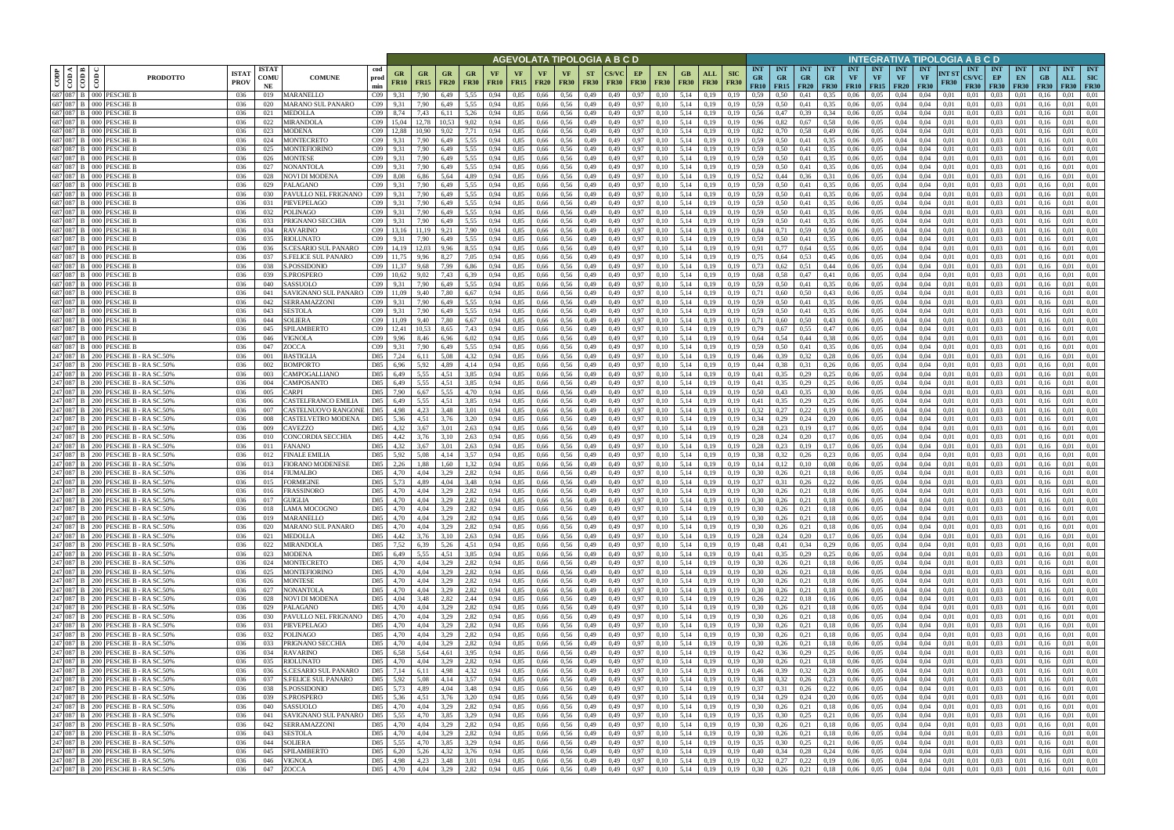|                |                               |                                                                          |                             |                            |                                                                    |                      |                          |                   |                                  |                   |                   |                          | AGEVOLATA TIPOLOGIA A B C D                    |                          |              |                   |                          |                        |                                           |                           |                                                                  |                                        |                         |                                        |                                 |                                 |                                 | NTEGRATIVA TIPOLOGIA A B C D                     |                      |                                           |                                          |                                 |                                 |                                  |                                         |
|----------------|-------------------------------|--------------------------------------------------------------------------|-----------------------------|----------------------------|--------------------------------------------------------------------|----------------------|--------------------------|-------------------|----------------------------------|-------------------|-------------------|--------------------------|------------------------------------------------|--------------------------|--------------|-------------------|--------------------------|------------------------|-------------------------------------------|---------------------------|------------------------------------------------------------------|----------------------------------------|-------------------------|----------------------------------------|---------------------------------|---------------------------------|---------------------------------|--------------------------------------------------|----------------------|-------------------------------------------|------------------------------------------|---------------------------------|---------------------------------|----------------------------------|-----------------------------------------|
| $_{\rm{copp}}$ | ≺ I ⊨<br>$\frac{1}{\sqrt{2}}$ | <b>PRODOTTO</b>                                                          | <b>ISTAT</b><br><b>PROV</b> | <b>ISTAT</b><br>COMU<br>NE | cod<br><b>COMUNE</b><br>prod<br>min                                | GR<br><b>FR10</b>    | <b>GR</b><br><b>FR15</b> | GR<br><b>FR20</b> | GR<br><b>FR30</b>                | VF<br><b>FR10</b> | VF<br><b>FR15</b> | <b>VF</b><br><b>FR20</b> | <b>VF</b><br><b>FR30</b>                       | <b>ST</b><br><b>FR30</b> | FR30         | EP<br><b>FR30</b> | <b>EN</b><br><b>FR30</b> | GВ<br><b>FR30</b>      | <b>ALL</b><br><b>FR30</b>                 | <b>SIC</b><br><b>FR30</b> | <b>INT</b><br><b>GR</b><br>FR10                                  | <b>INT</b><br><b>GR</b><br>$FR15$ FR20 | <b>INT</b><br><b>GR</b> | <b>INT</b><br><b>GR</b><br><b>FR30</b> | <b>INT</b><br>VF<br><b>FR10</b> | <b>INT</b><br>VF<br><b>FR15</b> | <b>INT</b><br>VF<br><b>FR20</b> | <b>INT</b><br><b>VF</b><br><b>FR30</b>           | NT ST<br><b>FR30</b> | <b>INT</b><br><b>CS/VC</b><br><b>FR30</b> | <b>INT</b><br>EP<br><b>FR30</b>          | <b>INT</b><br>EN<br><b>FR30</b> | <b>INT</b><br>GB<br><b>FR30</b> | <b>INT</b><br>ALL<br><b>FR30</b> | <b>INT</b><br><b>SIC</b><br><b>FR30</b> |
|                | 687 087 B                     | 687 087 B 000 PESCHE B<br>000 PESCHE E                                   | 036                         | 019                        | MARANELLO<br>$C_{09}$                                              | 9.31                 | 7.90<br>7.90             | 6.49              | 5.55                             | 0.94              | 0,85              | 0,66                     | 0.56<br>0.56                                   | 0,49                     | 0.49         | 0.97              | 0.10                     | 5,14                   | 0.19                                      | 0.19                      | 0.59                                                             | 0.50<br>0.50                           | 0.41                    | 0.35                                   | 0.06<br>0.06                    | 0.05<br>0.05                    | 0.04                            | 0.04<br>0.04                                     | 0.01<br>0.01         | 0.01<br>0.01                              | 0.03<br>0.03                             | 0.01                            |                                 | 0.01<br>0.01                     | 0.01<br>0.01                            |
| 687 087        |                               | PESCHE E<br>000 <sub>1</sub>                                             | 036<br>036                  | 020<br>021                 | MARANO SUL PANARO<br>C <sub>09</sub><br>MEDOLLA<br>C <sub>09</sub> | 9.31<br>8,74         | 7,43                     | 6,49<br>6.11      | 5.55<br>5,26                     | 0.94<br>0.94      | 0,85<br>0,85      | 0,66<br>0,66             | 0.56                                           | 0,49<br>0,49             | 0,49         | 0.97<br>0.97      | 0.10<br>0.10             | 5,14<br>5,14           | 0,19<br>0,19                              | 0.19                      | 0.59<br>0,56                                                     |                                        | 0,41<br>0,39            | 0.35<br>0.34                           | ).06                            | 0.05                            | 0.04                            | 0.04                                             | 0.01                 | 0.01                                      | 0.03                                     |                                 | 0.16                            | 0.01                             | 0.01                                    |
|                | 687 087 B                     | 000 PESCHE E                                                             | 036                         | 022                        | MIRANDOLA<br>C <sub>09</sub>                                       | 15.04                |                          | 10.53             | 9.02                             | 0.94              | 0,85              | 0,66                     | 0.56                                           | 0,49                     | 0,49         | 0.97              | 0.10                     | 5,14                   | 0,19                                      | 0.19                      | 0.96                                                             | 0,82                                   | 0,67                    | 0.58                                   | 0,06                            | 0.05                            | 0,04                            | 0.04                                             | 0,01                 | 0.01                                      | 0.03                                     | 0.01                            | 0.16                            | 0.01                             | 0.01                                    |
|                | 687 087 B                     | 000 PESCHE E                                                             | 036                         | 023                        | MODENA<br>C <sub>09</sub>                                          | 12.88                | 10.90                    | 9.02              | 7.71                             | 0.94              | 0.85              | 0,66                     | 0.56                                           | 0,49                     | 0.49         | 0.97              | 0.10                     | 5.14                   | 0.19                                      | 0.19                      | 0.82                                                             | 0.70                                   | 0,58                    | 0.49                                   | 0.06                            | 0.05                            | 0.04                            | 0.04                                             | 0.01                 | 0.01                                      | 0.03                                     | 0.01                            |                                 | 0.01                             | 0.01                                    |
| 687 087        | 687 087 B                     | 000 PESCHE E<br>PESCHE E<br>DOC                                          | 036<br>036                  | 024<br>025                 | MONTECRETO<br>C09<br>MONTEFIORINO<br>CO9                           | 9.31<br>9.31         | 7,90<br>7.90             | 6,49<br>6.49      | 5,55<br>5.55                     | 0,94<br>0.94      | 0,85<br>0.85      | 0,66<br>0.66             | 0,56<br>0.56                                   | 0,49<br>0.49             | 0,49         | 0,97<br>0.97      | 0,10                     | 5,14<br>5.14           | 0,19<br>0.19                              | 0,19                      | 0,59<br>0.59                                                     | 0.50<br>0.50                           | 0,41<br>0.41            | 0.35<br>0.35                           | 0,06<br>0.06                    | 0,05<br>0.05                    | 0,04<br>0.04                    | 0.04<br>0.04                                     | 0,01<br>0.01         | 0,01<br>0.01                              | 0.03<br>0.03                             | 0,01<br>0.01                    | 0.16                            | 0,01<br>0.01                     | 0,01<br>0.01                            |
| 687 087        |                               | 000 PESCHE E                                                             | 036                         | 026                        | $C_{09}$<br>MONTESE                                                | 9.31                 | 7.90                     | 6.49              | 5.55                             | 0.94              | 0,85              | 0,66                     | 0.56                                           | 0,49                     | 0.49         | 0.97              | 0.10                     | 5.14                   | 0,19                                      | 0.19                      | 0.59                                                             | 0.50                                   | 0.41                    | 0.35                                   | 0.06                            | 0.05                            | 0.04                            | 0.04                                             | 0.01                 | 0.01                                      | 0.03                                     | 0.01                            | 01                              | 0.01                             | 0.01                                    |
| 687 087        |                               | <b>PESCHE E</b><br>DOO 1                                                 | 036                         | 027                        | NONANTOLA<br>CO9                                                   | 9.31                 | 7.90                     | 6,49              | 5,55                             | 0.94              | 0,85              | 0,66                     | 0,56                                           | 0,49                     | 0.49         | 0.97              | 0.10                     | 5.14                   | 0,19                                      | 0.19                      | 0.59                                                             | 0.50                                   | 0.41                    | 0.35                                   | 0.06                            | 0.05                            | 0.04                            | 0.04                                             | 0.01                 | 0.01                                      | 0.03                                     | 0.01                            |                                 | 0.01                             | 0,01                                    |
|                | 687 087 B                     | 000 PESCHE E                                                             | 036                         | 028                        | NOVI DI MODENA<br>CO9                                              | 8.08                 | 6.86                     | 5.64              | 4,89                             | 0.94              | 0.85              | 0.66                     | 0.56                                           | 0,49                     | 0.49         | 0.97              | 0.10                     | 5.14                   | 0.19                                      | 0.19                      | 0.52                                                             | 0,44                                   | 0.36                    | 0.31                                   | 0.06                            | 0.05                            | 0.04                            | 0.04                                             | 0.01                 | 0.01                                      | 0.03                                     | 0.01                            | 0.16                            | 0.01                             | 0.01                                    |
|                | 687 087 B<br>687 087 B        | 000 PESCHE B<br>000 PESCHE E                                             | 036<br>036                  | 029<br>-030                | PALAGANO<br>$C_{09}$<br>C <sub>09</sub><br>PAVULLO NEL FRIGNANO    | 9.31<br>9,31         | 7.90<br>7,90             | 6.49<br>6.49      | 5.55<br>5,55                     | 0.94<br>0.94      | 0.85<br>0,85      | 0.66<br>0,66             | 0.56<br>0.56                                   | 0,49<br>0,49             | 0.49<br>0.49 | 0.97<br>0,97      | 0.10<br>0,10             | 5.14<br>5.14           | 0.19<br>0,19                              | 0.19<br>0.19              | 0.59<br>0.59                                                     | 0.50<br>0,50                           | 0.41<br>0,41            | 0.35<br>0.35                           | 0.06<br>0,06                    | 0.05<br>0.05                    | 0.04<br>0,04                    | 0.04<br>0.04                                     | 0.01<br>0.01         | 0.01<br>0.01                              | 0.03<br>0,03                             | 0.01<br>0,01                    | 0.16<br>0.16                    | 0.01<br>0.01                     | 0.01<br>0.01                            |
| 687 087        |                               | <b>PESCHE E</b>                                                          | 036                         | 031                        | PIEVEPELAGO<br>CO9                                                 | 9,31                 | 7.90                     | 6.49              | 5.55                             | 0.94              | 0,85              | 0,66                     | 0.56                                           | 0,49                     | 0.49         | 0.97              | 0.10                     | 5,14                   | 0,19                                      | 0.19                      | 0.59                                                             | 0.50                                   | 0,41                    | 0.35                                   | 0,06                            | 0.05                            | 0,04                            | 0.04                                             | 0.01                 | 0,01                                      | 0.03                                     | 0,01                            | 0.16                            | 0.01                             | 0,01                                    |
|                | 687 087 B                     | <b>PESCHE E</b><br>000 <sup>1</sup>                                      | 036                         | 032                        | POLINAGO<br>CO9                                                    | 9.31                 | 7,90                     | 6.49              | 5,55                             | 0.94              | 0,85              | 0,66                     | 0,56                                           | 0,49                     | 0.49         | 0,97              | 0.10                     | 5,14                   | 0,19                                      | 0,19                      | 0.59                                                             | 0,50                                   | 0,41                    | 0.35                                   | 0,06                            | 0.05                            | 0,04                            | 0.04                                             | 0,01                 | 0.01                                      | 0.03                                     | 0,01                            | 0.16                            | 0.01                             | 0,01                                    |
|                | 687 087 B                     | PESCHE E<br>000 I                                                        | 036                         | 033                        | PRIGNANO SECCHIA<br>CO9                                            | 9,31                 | 7,90                     | 6,49              | 5,55                             | 0,94              | 0,85              | 0,66                     | 0,56                                           | 0,49                     | 0,49         | 0,97              | 0,10                     | 5,14                   | 0,19                                      | 0.19                      | 0.59                                                             | 0,50                                   | 0,41                    | 0,35                                   | 0,06                            | 0,05                            | 0,04                            | 0,04                                             | 0,01                 | 0,01                                      | 0,03                                     | 0,01                            | 0,16                            | 0,01                             | 0,01                                    |
| 687 087        | 687 087 B                     | PESCHE E<br>PESCHE E                                                     | 036<br>036                  | 034<br>035                 | C <sub>09</sub><br>RAVARINO<br>C <sub>09</sub><br>RIOLUNATO        | 13.16<br>9.31        | 11.19<br>7.90            | 9.21<br>6,49      | 7,90<br>5,55                     | 0.94<br>0.94      | 0,85<br>0,85      | 0,66<br>0,66             | 0.56<br>0.56                                   | 0,49<br>0,49             | 0.49<br>0.49 | 0,97<br>0,97      | 0.10<br>0.10             | 5,14<br>5,14           | 0,19<br>0,19                              | 0.19<br>0.19              | 0,84<br>0,59                                                     | 0.71<br>0.50                           | 0,59<br>0,41            | 0,50<br>0.35                           | 0,06<br>0,06                    | 0,05<br>0,05                    | 0,04<br>0,04                    | 0.04<br>0.04                                     | 0.01<br>0.01         | 0.01<br>0.01                              | 0.03<br>0,03                             | 0,01<br>0,01                    | 0.16<br>0.16                    | 0.01<br>0,01                     | 0.01<br>0.01                            |
| 687 087        |                               | PESCHE E                                                                 | 036                         | 036                        | C <sub>09</sub><br>S.CESARIO SUL PANARO                            | 14,19                | 12,03                    | 9,96              | 8,55                             | 0,94              | 0,85              | 0,66                     | 0,56                                           | 0,49                     | 0.49         | 0,97              | 0.10                     | 5,14                   | 0,19                                      | 0,19                      | 0,91                                                             | 0,77                                   | 0,64                    | 0,55                                   | 0,06                            | 0,05                            | 0,04                            | 0,04                                             | 0,01                 | 0,01                                      | 0,03                                     | 0,01                            | 0.16                            | 0,01                             | 0,01                                    |
|                | 687 087 B                     | 000 PESCHE E                                                             | 036                         | 037                        | <b>S.FELICE SUL PANARO</b><br>C <sub>09</sub>                      | 11.75                | 9.96                     | 8.27              | 7,05                             | 0.94              | 0,85              | 0.66                     | 0.56                                           | 0,49                     | 0.49         | 0,97              | 0.10                     | 5,14                   | 0.19                                      | 0.19                      | 0.75                                                             | 0.64                                   | 0,53                    | 0.45                                   | 0.06                            | 0.05                            | 0.04                            | 0.04                                             | 0.01                 | 0.01                                      | 0.03                                     | 0.01                            | 0.16                            | 0.01                             | 0.01                                    |
|                | 687 087 B                     | <b>PESCHE B</b><br>000 <sub>1</sub>                                      | 036                         | 038                        | $C_{09}$<br>S.POSSIDONIO                                           | 11.37                | 9.68                     | 7.99              | 6,86                             | 0.94              | 0.85              | 0.66                     | 0.56                                           | 0.49                     | 0.49         | 0,97              | 0.10                     | 5.14                   | 0.19                                      | 0.19                      | 0.73                                                             | 0,62                                   | 0,51                    | 0.44                                   | 0.06                            | 0.05                            | 0.04                            | 0.04                                             | 0.01                 | 0.01                                      | 0.03                                     | 0.01                            |                                 | 0.01                             | 0.01                                    |
| 687 087        | 687 087 B                     | 000 PESCHE E<br><b>PESCHE I</b>                                          | 036<br>036                  | 039<br>040                 | C <sub>09</sub><br>S.PROSPERO<br>C <sub>09</sub><br><b>ASSUOLO</b> | 10.62<br>9.31        | 9,02<br>7.90             | 7,43<br>6.49      | 6,39<br>5.55                     | 0,94<br>0.94      | 0,85<br>0.85      | 0,66<br>0.66             | 0,56<br>0.56                                   | 0,49<br>0.49             | 0.49         | 0,97<br>0.97      | 0.10<br>0.10             | 5,14<br>5.14           | 0,19<br>0.19                              | 0,19                      | 0.68<br>0.59                                                     | 0,58<br>0.50                           | 0,47<br>0.41            | 0,41<br>0.35                           | 0,06<br>0.06                    | 0.05<br>0.05                    | 0,04<br>0.04                    | 0,04<br>0.04                                     | 0.01<br>0.01         | 0.01<br>0.01                              | 0,03<br>0.03                             | 0,01<br>0.0                     | 0.16                            | 0,01<br>0.01                     | 0.01<br>0.01                            |
|                | 687 087 B                     | <b>PESCHE I</b><br>000 <sub>1</sub>                                      | 036                         | 041                        | CO9<br>AVIGNANO SUL PANARO                                         |                      |                          | 7.80              | 6.67                             | 0.94              | 0,85              | 0.66                     | 0.56                                           | 0,49                     |              | 0,97              | 0.10                     | 5.14                   | 0.19                                      |                           | 0.71                                                             | 0.60                                   | 0.50                    | 0,43                                   | 0.06                            | 0.05                            | 0.04                            | 0.04                                             | 0.01                 | 0.01                                      | 0.03                                     | 0.0                             |                                 | 0.01                             | 0.01                                    |
| 687 087        |                               | PESCHE I<br>DOO 1                                                        | 036                         | 042                        | SERRAMAZZONI<br>C <sub>09</sub>                                    | 9.31                 | 7.90                     | 6.49              | 5.55                             | 0.94              | 0.85              | 0.66                     | 0.56                                           | 0,49                     |              | 0.97              | 0.10                     | 5.14                   | 0.19                                      |                           | 0,59                                                             | 0.50                                   | 0.41                    | 0.35                                   | 0.06                            | 0.05                            | 0.04                            | 0.04                                             | 0.01                 | 0.01                                      | 0.03                                     | 0.0                             |                                 | 0.01                             | 0.01                                    |
|                | 687 087 B                     | 000 PESCHE E                                                             | 036                         | 043                        | SESTOLA<br>$C_{09}$                                                | 9,31                 | 7.90                     | 6,49              | 5.55                             | 0.94              | 0,85              | 0,66                     | 0.56                                           | 0,49                     | 0,49         | 0.97              | 0,10                     | 5,14                   | 0,19                                      | 0,19                      | 0.59                                                             | 0.50                                   | 0,41                    | 0.35                                   | 0,06                            | 0.05                            | 0,04                            | 0,04                                             | 0.01                 | 0,01                                      | 0.03                                     | 0.01                            | 0.16                            | 0.01                             | 0.01                                    |
|                | 687 087 B<br>687 087 B        | 000 PESCHE B<br>000 PESCHE E                                             | 036<br>036                  | 044<br>045                 | SOLIERA<br>C <sub>09</sub><br>SPILAMBERTO<br>C <sub>09</sub>       |                      | 9.40<br>10,53            | 7.80<br>8,65      | 6,67<br>7,43                     | 0.94<br>0,94      | 0.85<br>0,85      | 0,66<br>0,66             | 0.56<br>0.56                                   | 0,49<br>0,49             | 0.49<br>0,49 | 0.97<br>0.97      | 0.10<br>0,10             | 5.14<br>5,14           | 0.19<br>0,19                              | 0.19                      | 0,71<br>0,79                                                     | 0.60<br>0.67                           | 0.50<br>0,55            | 0.43<br>0,47                           | 0.06<br>0.06                    | 0.05<br>0.05                    | 0.04<br>0,04                    | 0.04<br>0,04                                     | 0.01<br>0,01         | 0.01<br>0,01                              | 0.03<br>0.03                             | 0.01<br>0.01                    |                                 | 0.01<br>0.01                     | 0.01<br>0.01                            |
| 687 087        |                               | PESCHE E<br>ാററ                                                          | 036                         | 046                        | VIGNOLA<br>C <sub>09</sub>                                         | 9.96                 | 8.46                     | 6.96              | 6.02                             | 0.94              | 0.85              | 0,66                     | 0.56                                           | 0,49                     |              | 0.97              |                          | 5.14                   | 0.19                                      |                           | 0,64                                                             |                                        | 0.44                    | 0.38                                   | 0.06                            | 0.05                            |                                 | 0.04                                             |                      | 0.01                                      | 0.03                                     | 0.01                            |                                 | 0.01                             | 0.01                                    |
| 687 087        |                               | 000 PESCHE E                                                             | 036                         | 047                        | ZOCCA<br>C <sub>09</sub>                                           | 9.31                 | 7.90                     | 6,49              | 5,55                             | 0.94              | 0,85              | 0,66                     | 0.56                                           | 0,49                     | 0.49         | 0.97              | 0.10                     | 5,14                   | 0,19                                      | 0.19                      | 0,59                                                             | 0.50                                   | 0.41                    | 0.35                                   | 0,06                            | 0.05                            | 0,04                            | 0.04                                             | 0.01                 | 0.01                                      | 0.03                                     | 0.01                            |                                 | 0.01                             | 0.01                                    |
|                | 087                           | PESCHE B - RA SC.50%<br>200 I                                            | 036                         | 001                        | BASTIGLIA<br>D85                                                   | 7,24                 | 6,11                     | 5.08              | 4,32                             | 0.94              | 0,85              | 0,66                     | 0,56                                           | 0,49                     | 0.49         | 0,97              | 0.10                     | 5,14                   | 0,19                                      | 0.19                      | 0,46                                                             | 0.39                                   | 0,32                    | 0,28                                   | 0.06                            | 0,05                            | 0.04                            | 0.04                                             | 0.01                 | 0.01                                      | 0.03                                     | 0,01                            |                                 | 0.01                             | 0.01                                    |
| 247 087        | 247 087 B                     | 200 PESCHE B - RA SC.50%<br>PESCHE B - RA SC.50%<br>200 I                | 036<br>036                  | 002<br>003                 | D85<br>BOMPORTO<br>CAMPOGALLIANO<br>D85                            | 6,96<br>6,49         | 5,92<br>5.55             | 4.89<br>4.51      | 4,14<br>3.85                     | 0.94<br>0.94      | 0,85<br>0.85      | 0,66<br>0.66             | 0.56<br>0.56                                   | 0,49                     | 0.49         | 0.97<br>0.97      | 0.10<br>0.10             | 5.14<br>5.14           | 0.19<br>0.19                              | 0.19<br>0.19              | 0.44<br>0,41                                                     | 0.38<br>0.35                           | 0.31<br>0,29            | 0.26<br>0.25                           | 0.06<br>0.06                    | 0.05<br>0.05                    | 0.04<br>0.04                    | 0.04<br>0.04                                     | 0.01<br>0.01         | 0.01<br>0.01                              | 0.03<br>0.03                             | 0.01<br>0.01                    | 0.16                            | 0.01<br>0.01                     | 0.01<br>0.01                            |
|                | 247 087 B                     | 200 PESCHE B - RA SC.50%                                                 | 036                         | 004                        | D85<br>CAMPOSANTO                                                  | 6,49                 | 5,55                     | 4.51              | 3,85                             | 0.94              | 0,85              | 0,66                     | 0,56                                           | 0,49<br>0,49             | 0.49         | 0,97              | 0.10                     | 5.14                   | 0,19                                      | 0.19                      | 0,41                                                             | 0,35                                   | 0,29                    | 0.25                                   | 0.06                            | 0.05                            | 0,04                            | 0.04                                             | 0.01                 | 0.01                                      | 0.03                                     | 0.01                            | 0.16                            | 0.01                             | 0.01                                    |
|                | 247 087 B                     | PESCHE B - RA SC.50%<br>200 I                                            | 036                         | 005                        | D85<br>CARPI                                                       | 7.90                 | 6.67                     | 5.55              | 4.70                             | 0.94              | 0.85              | 0.66                     | 0.56                                           | 0,49                     | 0.49         | 0.97              | 0.10                     | 5.14                   | 0.19                                      | 0.19                      | 0.50                                                             | 0.43                                   | 0.35                    | 0.30                                   | 0.06                            | 0.05                            | 0.04                            | 0.04                                             | 0.01                 | 0.01                                      | 0.03                                     | 0.01                            | -0.1                            | 0.01                             | 0.01                                    |
|                | 247 087 B                     | 200 PESCHE B - RA SC.50%                                                 | 036                         | 006                        | CASTELFRANCO EMILIA<br>D85                                         | 6,49                 | 5.55                     | 4.51              | 3,85                             | 0.94              | 0.85              | 0,66                     | 0.56                                           | 0,49                     | 0.49         | 0,97              | 0.10                     | 5.14                   | 0.19                                      | 0.19                      | 0.41                                                             | 0,35                                   | 0,29                    | 0,25                                   | 0.06                            | 0.05                            | 0.04                            | 0.04                                             | 0.01                 | 0.01                                      | 0.03                                     | 0.01                            | 0.16                            | 0.01                             | 0.01                                    |
| 247 087        | 247 087 B                     | 200 PESCHE B - RA SC.50%<br>200 I                                        | 036                         | 007                        | CASTELNUOVO RANGONE<br>D85<br>D85                                  | 4,98                 | 4,23<br>4,51             | 3,48<br>3.76      | 3,01                             | 0.94<br>0.94      | 0,85              | 0.66                     | 0,56<br>0.56                                   | 0,49                     | 0.49<br>0.49 | 0,97              | 0,10<br>0.10             | 5,14                   | 0,19                                      | 0.19<br>0.19              | 0,32<br>0.34                                                     | 0,27                                   | 0,22                    | 0,19                                   | 0.06                            | 0.05                            | 0,04                            | 0.04<br>0.04                                     | 0.01                 | 0.01<br>0.01                              | 0,03<br>0.03                             | 0,01                            | 0.16                            | 0.01<br>0.01                     | 0,01<br>0,01                            |
| 247 087        |                               | PESCHE B - RA SC.50%<br>PESCHE B - RA SC.50%<br>200 I                    | 036<br>036                  | 008<br>009                 | CASTELVETRO MODENA<br>CAVEZZO<br>D85                               | 5,36<br>4,32         | 3,67                     | 3,01              | 3,20<br>2,63                     | 0.94              | 0,85<br>0,85      | 0,66<br>0,66             | 0.56                                           | 0,49<br>0,49             | 0.49         | 0,97<br>0.97      | 0.10                     | 5,14<br>5,14           | 0,19<br>0,19                              | 0.19                      | 0,28                                                             | 0,29<br>0,23                           | 0,24<br>0,19            | 0,20<br>0,17                           | 0,06<br>0.06                    | 0,05<br>0.05                    | 0,04<br>0,04                    | 0.04                                             | 0,01<br>0.01         | 0.01                                      | 0.03                                     | 0,01<br>0,01                    | 0.16<br>0.16                    | 0,01                             | 0,01                                    |
| 247 087        |                               | PESCHE B - RA SC.50%<br>200 I                                            | 036                         | 010                        | CONCORDIA SECCHIA<br>D85                                           | 4,42                 | 3,76                     | 3,10              | 2,63                             | 0,94              | 0,85              | 0,66                     | 0,56                                           | 0,49                     | 0,49         | 0,97              | 0,10                     | 5,14                   | 0,19                                      | 0,19                      | 0,28                                                             | 0,24                                   | 0,20                    | 0,17                                   | 0,06                            | 0,05                            | 0,04                            | 0,04                                             | 0,01                 | 0,01                                      | 0,03                                     | 0,01                            | 0,16                            | 0,01                             | 0,01                                    |
|                | 247 087 B                     | 200 PESCHE B - RA SC.50%                                                 | 036                         | 011                        | D85<br>FANANO                                                      | 4,32                 | 3,67                     | 3,01              | 2,63                             | 0.94              | 0,85              | 0,66                     | 0.56                                           | 0,49                     | 0.49         | 0,97              | 0.10                     | 5,14                   | 0,19                                      | 0.19                      | 0,28                                                             | 0.23                                   | 0,19                    | 0,17                                   | 0,06                            | 0.05                            | 0,04                            | 0.04                                             | 0.01                 | 0.01                                      | 0,03                                     | 0,01                            | 0.16                            | 0,01                             | 0,01                                    |
|                | 247 087 B<br>247 087 B        | PESCHE B - RA SC.50%<br>200 I                                            | 036                         | 012<br>013                 | FINALE EMILIA<br>D85<br>D85                                        | 5,92<br>2,26         | 5,08                     | 4.14              | 3,57                             | 0,94              | 0,85<br>0,85      | 0,66                     | 0,56                                           | 0,49                     | 0.49         | 0,97              | 0.10                     | 5,14                   | 0,19                                      | 0.19                      | 0,38<br>0,14                                                     | 0.32                                   | 0,26                    | 0,23                                   | 0,06                            | 0.05                            | 0,04                            | 0.04                                             | 0,01<br>0.01         | 0.01                                      | 0,03                                     | 0,01                            | 0.16                            | 0,01                             | 0,01<br>0,01                            |
| 247 087        |                               | 200 PESCHE B - RA SC.50%<br>PESCHE B - RA SC.50%<br>200 I                | 036<br>036                  | 014                        | FIORANO MODENESE<br>FIUMALBO<br>D85                                | 4.70                 | 1,88<br>4.04             | 1,60<br>3.29      | 1,32<br>2,82                     | 0,94<br>0.94      | 0.85              | 0,66<br>0.66             | 0,56<br>0.56                                   | 0,49<br>0.49             | 0.49<br>0.49 | 0,97<br>0.97      | 0,10<br>0.10             | 5,14<br>5.14           | 0,19<br>0.19                              | 0.19                      | 0.30                                                             | 0,12<br>0.26                           | 0,10<br>0.21            | 0.08<br>0.18                           | 0,06<br>0.06                    | 0,05<br>0.05                    | 0,04<br>0.04                    | 0,04<br>0.04                                     | 0.01                 | 0,01<br>0.01                              | 0,03<br>0.03                             | 0,01<br>0.01                    | 0.16                            | 0,01<br>0.01                     | 0.01                                    |
|                |                               | 247 087 B 200 PESCHE B - RA SC.50%                                       | 036                         | 015                        | D85<br>FORMIGINE                                                   | 5.73                 | 4.89                     | 4.04              | 3,48                             | 0.94              | 0,85              | 0,66                     | 0,56                                           | 0,49                     | 0.49         | 0,97              | 0.10                     | 5,14                   | 0,19                                      | 0,19                      | 0,37                                                             | 0.31                                   | 0,26                    | 0,22                                   | 0,06                            | 0,05                            | 0.04                            | 0.04                                             | 0.01                 | 0.01                                      | 0.03                                     | 0.01                            | 0.16                            | 0,01                             | 0,01                                    |
|                |                               | 247 087 B 200 PESCHE B - RA SC.50%                                       | 036                         | 016                        | D85<br><b>FRASSINORO</b>                                           | 4.70                 | 4.04                     | 3.29              | 2,82                             | 0.94              | 0.85              | 0,66                     | 0,56                                           | 0,49                     | 0.49         | 0.97              | 0.10                     | 5.14                   | 0,19                                      | 0,19                      | 0.30                                                             | 0,26                                   | 0,21                    | 0.18                                   | 0.06                            | 0.05                            | 0.04                            | 0.04                                             | 0.01                 | 0.01                                      | 0.03                                     | 0.01                            | 0.16                            | 0.01                             | 0.01                                    |
|                |                               | 247 087 B 200 PESCHE B - RA SC.50%<br>247 087 B 200 PESCHE B - RA SC.50% | 036<br>036                  | 017<br>018                 | <b>GUIGLIA</b><br><b>LAMA MOCOGNO</b>                              | D85 4,70<br>D85 4,70 | 4,04<br>4,04             | 3,29<br>3,29      | 2,82<br>2,82                     | 0,94<br>0,94      | 0,85<br>0,85      | 0,66 0,56<br>$0,66$ 0.56 |                                                | 0,49<br>0,49             | 0,49<br>0,49 | 0,97              | 0,10<br>0,10             | 5,14 0,19<br>5,14 0,19 |                                           | 0,19<br>0,19              | 0,30<br>0,30                                                     | 0,26<br>0,26                           | 0,21<br>0,21            | 0,18<br>0,18                           | 0,06<br>0,06                    | 0,05<br>0,05                    | 0,04<br>0,04                    | 0,04<br>0,04                                     | 0,01<br>0,01         | 0,01<br>0,01                              | $0.03 \qquad 0.01$<br>$0.03 \qquad 0.01$ |                                 | 0,16<br>0,16                    | 0,01<br>0,01                     | 0,01<br>0.01                            |
|                |                               | 247 087 B 200 PESCHE B - RA SC.50%                                       | 036                         | 019                        | <b>MARANELLO</b>                                                   | D85 4,70             | 4,04                     | 3,29              | 2,82                             | 0,94              | 0,85              | $0,66$ 0.56              |                                                | 0,49                     | 0,49         | 0,97<br>0,97      | 0,10                     | 5,14 0,19              |                                           | 0,19                      | 0,30                                                             | $0,26$ $0,21$                          |                         | 0,18                                   | 0,06                            | 0,05                            | 0,04                            | 0,04                                             | 0,01                 | 0,01                                      | $0,03$ $0,01$                            |                                 | 0,16                            | 0,01                             | 0,01                                    |
|                |                               | 247 087 B 200 PESCHE B - RA SC.50%                                       | 036                         | 020                        | <b>MARANO SUL PANARO</b>                                           | D85 4,70             | 4,04                     | 3,29              | 2,82 0,94                        |                   | 0,85              |                          | 0,66 0,56                                      | 0,49                     | 0,49         | 0,97              | 0,10                     | 5,14 0,19              |                                           | 0,19                      | $0,30$ $0,26$ $0,21$ $0,18$                                      |                                        |                         |                                        |                                 | $0.06\qquad 0.05$               | 0,04                            | 0,04                                             | 0,01                 | 0.01                                      | $0,03$ $0,01$                            |                                 | 0,16                            | 0,01                             | 0,01                                    |
|                |                               | 247 087 B 200 PESCHE B - RA SC.50%                                       | 036                         | 021                        | <b>MEDOLLA</b>                                                     | D85 4,42             | 3,76                     | 3,10              | 2,63 0,94                        |                   | 0,85              | 0,66 0,56                |                                                | 0,49                     | 0,49         | 0,97              | 0,10                     | 5,14 0,19              |                                           | 0,19                      | 0,28                                                             | $0,24$ $0,20$                          |                         | 0,17                                   | 0,06                            | 0,05                            | 0,04                            | 0,04                                             | 0,01                 | 0.01                                      | $0.03 \qquad 0.01$                       |                                 | 0,16                            | 0.01                             | 0,01                                    |
|                |                               | 247 087 B 200 PESCHE B - RA SC.50%<br>247 087 B 200 PESCHE B - RA SC.50% | 036<br>036                  | 022<br>023                 | <b>MIRANDOLA</b><br><b>MODENA</b>                                  | D85 7,52<br>D85 6,49 | 6,39<br>5,55             | 5,26<br>4,51      | 4,51<br>3,85                     | 0,94<br>0,94      | 0,85<br>0,85      | 0,66 0,56<br>0,66 0,56   |                                                | 0,49<br>0,49             | 0,49<br>0,49 | 0,97<br>0,97      | 0,10<br>0,10             | 5,14 0,19<br>5,14 0,19 |                                           | 0,19<br>0,19              | 0,48<br>0,41                                                     | 0,41<br>$0,35$ $0,29$                  | 0,34                    | 0,29<br>0,25                           | 0,06<br>0,06                    | 0,05<br>0,05                    | 0,04<br>0,04                    | 0,04<br>0,04                                     | 0,01<br>0,01         | 0,01<br>0,01                              | 0,03<br>0,03                             | 0,01<br>0,01                    | 0,16<br>0,16                    | 0,01<br>0.01                     | 0,01<br>0,01                            |
|                |                               | 247 087 B 200 PESCHE B - RA SC.50%                                       | 036                         | 024                        | <b>MONTECRETO</b>                                                  | D85 4,70             | 4,04                     | 3,29              | 2,82                             | 0,94              | 0,85              |                          | $0,66$ 0.56                                    | 0,49                     | 0,49         | 0,97              | 0,10                     | 5,14 0,19              |                                           | 0,19                      | 0,30                                                             | $0,26$ $0,21$                          |                         | 0,18                                   | 0,06                            | 0,05                            | 0,04                            | 0,04                                             | 0,01                 | 0,01                                      | 0,03                                     | 0,01                            | 0,16                            | 0.01                             | 0.01                                    |
|                |                               | 247 087 B 200 PESCHE B - RA SC.50%                                       | 036                         | 025                        | <b>MONTEFIORINO</b>                                                | D85 4,70             | 4,04                     | 3,29              | 2,82 0,94                        |                   | 0,85              | 0,66 0,56                |                                                | 0,49                     | 0,49         | 0,97              | 0,10                     | 5,14 0,19              |                                           | 0,19                      | 0,30                                                             | $0,26$ $0,21$                          |                         | 0,18                                   |                                 | $0,06$ 0.05                     | 0,04                            | 0,04                                             | 0,01                 | 0,01                                      | 0,03                                     | 0,01                            | 0,16                            | 0,01                             | 0,01                                    |
|                |                               | 247 087 B 200 PESCHE B - RA SC.50%                                       | 036                         | 026                        | <b>MONTESE</b>                                                     | D85 4,70             |                          | 4,04 3,29         | 2,82 0,94                        |                   | 0,85              |                          | 0,66 0,56                                      | 0,49 0,49                |              | 0,97              |                          | $0,10$ $5,14$ $0,19$   |                                           |                           | $0,19$ $0,30$ $0,26$ $0,21$ $0,18$                               |                                        |                         |                                        |                                 | $0,06$ 0.05                     | 0,04                            | 0,04                                             | 0,01                 | 0,01                                      | $0,03$ $0,01$                            |                                 | 0,16                            |                                  | $0,01$ $0,01$                           |
|                |                               | 247 087 B 200 PESCHE B - RA SC.50%<br>247 087 B 200 PESCHE B - RA SC.50% | 036<br>036                  | 027<br>028                 | <b>NONANTOLA</b><br><b>NOVI DI MODENA</b>                          | D85 4,70<br>D85 4,04 |                          | $4,04$ $3,29$     | 2,82 0,94<br>3,48 2,82 2,44 0,94 |                   | 0,85<br>0,85      |                          | $0,66$ 0.56 0.49 0.49<br>$0,66$ 0.56 0.49 0.49 |                          |              | 0,97<br>0,97      | $0,10$ $5,14$ $0,19$     | $0,10$ $5,14$ $0,19$   |                                           |                           | $0,19$ $0,30$ $0,26$ $0,21$ $0,18$<br>$0,19$ 0.26 0.22 0.18 0.16 |                                        |                         |                                        |                                 | $0,06$ 0.05<br>$0,06$ 0.05      | 0,04<br>0,04                    | 0,04<br>0,04                                     | 0,01<br>0,01         | 0,01<br>0,01                              | $0,03$ $0,01$                            | $0,03$ 0.01 0.16                | 0,16                            |                                  | $0,01$ $0,01$<br>$0,01$ $0,01$          |
|                |                               | 247 087 B 200 PESCHE B - RA SC.50%                                       | 036                         | 029                        | PALAGANO                                                           | D85 4,70             |                          | 4,04 3,29         | 2,82 0,94                        |                   | 0,85              |                          | $0,66$ 0.56                                    | 0,49                     | 0,49         | 0,97              | 0,10                     | $5,14$ 0,19            |                                           | 0,19                      | $0,30$ $0,26$ $0,21$                                             |                                        |                         | 0,18                                   |                                 | $0,06$ 0.05                     | 0,04                            | 0,04                                             | 0,01                 | 0,01                                      | $0,03$ 0.01                              |                                 | 0,16                            |                                  | $0,01$ 0.01                             |
|                |                               | 247 087 B 200 PESCHE B - RA SC.50%                                       | 036                         | 030                        | PAVULLO NEL FRIGNANO                                               | D85 4,70             |                          | 4,04 3,29         | 2,82 0,94                        |                   | 0,85              |                          | 0,66 0,56                                      | 0,49                     | 0,49         | 0,97              | 0,10                     | 5,14 0,19              |                                           | 0,19                      | $0,30$ $0,26$ $0,21$ $0,18$                                      |                                        |                         |                                        |                                 | $0,06$ 0.05                     | 0,04                            | 0,04                                             | 0,01                 | 0,01                                      | $0,03$ $0,01$                            |                                 | 0,16                            | 0,01                             | 0,01                                    |
|                |                               | 247 087 B 200 PESCHE B - RA SC.50%                                       | 036                         | 031                        | PIEVEPELAGO                                                        | D85 4,70             |                          | 4,04 3,29         | 2,82 0,94                        |                   | 0,85              |                          | 0,66 0,56                                      | 0,49                     | 0,49         | 0,97              | 0,10                     | 5,14 0,19              |                                           | 0,19                      | $0,30$ $0,26$ $0,21$                                             |                                        |                         | 0,18                                   | 0,06                            | 0,05                            | 0,04                            | 0,04                                             | 0,01                 | 0,01                                      |                                          | $0,03$ 0.01 0.16                |                                 | 0.01                             | 0,01                                    |
|                |                               | 247 087 B 200 PESCHE B - RA SC.50%<br>247 087 B 200 PESCHE B - RA SC.50% | 036<br>036                  | 032<br>033                 | POLINAGO<br>PRIGNANO SECCHIA                                       | D85 4,70<br>D85 4,70 | 4,04<br>4,04             | 3,29<br>3,29      | 2,82<br>2,82 0,94                | 0.94              | 0,85<br>0,85      |                          | 0,66 0,56<br>$0,66$ 0.56                       | 0,49<br>0,49             | 0,49<br>0,49 | 0,97<br>0,97      | 0,10<br>0,10             | 5,14 0,19<br>5,14 0,19 |                                           | 0,19<br>0,19              | 0,30<br>0,30                                                     | $0,26$ $0,21$<br>$0,26$ $0,21$         |                         | 0,18<br>0,18                           | 0,06<br>0,06                    | 0,05<br>0,05                    | 0,04<br>0,04                    | 0,04<br>0,04                                     | 0,01<br>0,01         | 0,01<br>0,01                              | $0.03 \qquad 0.01$<br>$0.03 \qquad 0.01$ |                                 | 0,16<br>0,16                    | 0,01<br>0,01                     | 0,01<br>0,01                            |
|                |                               | 247 087 B 200 PESCHE B - RA SC.50%                                       | 036                         | 034                        | <b>RAVARINO</b>                                                    | D85 6,58             | 5,64                     | 4,61              | 3,95 0,94                        |                   | 0,85              |                          | 0,66 0,56                                      | 0,49                     | 0,49         | 0,97              | 0,10                     | 5,14 0,19              |                                           | 0,19                      | 0,42                                                             | $0,36$ $0,29$                          |                         | 0,25                                   | 0,06                            | 0,05                            | 0,04                            | 0,04                                             | 0,01                 | 0,01                                      | $0,03$ 0.01                              |                                 | 0,16                            | 0,01                             | 0,01                                    |
|                |                               | 247 087 B 200 PESCHE B - RA SC.50%                                       | 036                         | 035                        | RIOLUNATO                                                          | D85 4,70             | 4,04                     | 3,29              | 2,82 0,94                        |                   | 0,85              |                          | $0,66$ 0.56 0.49 0.49                          |                          |              | 0,97              | 0,10                     | 5,14 0,19              |                                           | 0,19                      | $0,30$ $0,26$ $0,21$ $0,18$                                      |                                        |                         |                                        |                                 | $0.06$ 0.05                     | 0,04                            | 0,04                                             | 0,01                 | 0,01                                      | $0.03 \qquad 0.01$                       |                                 | 0,16                            | 0,01                             | 0,01                                    |
|                |                               | 247 087 B 200 PESCHE B - RA SC.50%                                       | 036                         | 036                        | S.CESARIO SUL PANARO                                               | D85 7,14             | 6,11                     | 4,98              | 4,32 0,94                        |                   | 0,85              |                          | $0,66$ $0,56$ $0,49$ $0,49$                    |                          |              | 0,97              | 0,10                     | 5,14 0,19              |                                           |                           | $0,19$ 0.46 0.39 0.32 0.28                                       |                                        |                         |                                        |                                 | $0.06$ 0.05                     | 0,04                            | 0,04                                             | 0,01                 | 0.01                                      |                                          | $0.03$ $0.01$ $0.16$            |                                 | 0,01                             | 0,01                                    |
|                |                               | 247 087 B 200 PESCHE B - RA SC.50%<br>247 087 B 200 PESCHE B - RA SC.50% | 036<br>036                  | 037                        | <b>S.FELICE SUL PANARO</b>                                         | D85 5,92<br>D85 5,73 | 5,08                     | 4,14<br>4,89 4,04 | 3,57 0,94                        |                   | 0,85              |                          | $0,66$ 0.56 0.49 0.49                          |                          |              | 0,97              | 0,10                     | 5,14 0,19              |                                           | 0,19                      | $0,38$ $0,32$ $0,26$ $0,23$<br>$0,37$ 0,31 0,26 0,22             |                                        |                         |                                        |                                 | $0,06$ 0.05                     | 0,04                            | 0,04<br>0,04                                     | 0,01                 | 0,01<br>0.01                              |                                          | $0,03$ $0,01$ $0,16$            |                                 | 0,01<br>0,01                     | 0,01<br>0,01                            |
|                |                               | 247 087 B 200 PESCHE B - RA SC.50%                                       | 036                         | 038<br>039                 | S.POSSIDONIO<br>S.PROSPERO                                         | D85 5,36             |                          | $4,51$ $3,76$     | 3,48 0,94<br>3,20 0,94           |                   | 0,85<br>0,85      |                          | 0,66 0,56<br>$0,66$ $0,56$ $0,49$              | 0,49                     | 0,49<br>0.49 | 0,97<br>0,97      | 0,10<br>0,10             | 5,14 0,19<br>5,14 0,19 |                                           | 0,19<br>0,19              | $0,34$ 0,29 0,24 0,20                                            |                                        |                         |                                        |                                 | $0,06$ 0.05<br>$0,06$ 0.05      | 0,04<br>0,04                    | 0,04                                             | 0,01<br>0,01         | 0,01                                      | $0,03$ $0,01$<br>$0,03$ $0,01$           |                                 | 0.16<br>0,16                    | 0,01                             | 0,01                                    |
|                |                               | 247 087 B 200 PESCHE B - RA SC.50%                                       | 036                         | 040                        | SASSUOLO                                                           | D85 4,70             | 4,04                     | 3,29              | 2,82 0,94                        |                   | 0,85              |                          | $0,66$ 0.56 0.49                               |                          | 0,49         | 0,97              | 0,10                     | $5,14$ 0,19            |                                           | 0,19                      | $0,30$ $0,26$ $0,21$ $0,18$                                      |                                        |                         |                                        |                                 | $0,06$ 0.05                     | 0,04                            | 0,04                                             | 0,01                 | 0,01                                      | $0,03$ $0,01$                            |                                 | 0,16                            | 0,01                             | 0,01                                    |
|                |                               | 247 087 B 200 PESCHE B - RA SC.50%                                       | 036                         | 041                        | SAVIGNANO SUL PANARO   D85 5,55                                    |                      |                          | 4,70 3,85         | 3,29 0,94                        |                   | 0,85              |                          | $0,66$ $0,56$ $0,49$                           |                          | 0,49         | 0,97              | 0,10                     | $5,14$ 0,19            |                                           | 0,19                      | $0,35$ $0,30$ $0,25$ $0,21$                                      |                                        |                         |                                        |                                 | $0.06\qquad 0.05$               | 0,04                            | 0,04                                             | 0,01                 | 0.01                                      | $0,03$ $0,01$                            |                                 | 0,16                            | 0,01                             | 0,01                                    |
|                |                               | 247 087 B 200 PESCHE B - RA SC.50%<br>247 087 B 200 PESCHE B - RA SC.50% | 036<br>036                  | 042<br>043                 | SERRAMAZZONI<br><b>SESTOLA</b>                                     | D85 4,70<br>D85 4,70 | 4,04<br>4,04             | 3,29<br>3,29      | 2,82<br>2,82                     | 0,94<br>0,94      | 0,85<br>0,85      | 0,66 0,56<br>$0,66$ 0.56 |                                                | 0,49<br>0,49             | 0,49<br>0,49 | 0,97<br>0,97      | 0,10<br>0,10             | 5,14 0,19<br>5,14 0,19 |                                           | 0,19<br>0,19              | $0,30$ $0,26$ $0,21$<br>0,30                                     | 0,26                                   | 0,21                    | 0,18<br>0,18                           | 0,06<br>0,06                    | 0,05<br>0,05                    | 0,04<br>0,04                    | 0,04<br>0,04                                     | 0,01<br>0,01         | 0,01<br>0,01                              | $0,03$ $0,01$<br>$0,03$ $0,01$           |                                 | 0,16<br>0,16                    | 0,01<br>0,01                     | 0,01<br>0,01                            |
|                |                               | 247 087 B 200 PESCHE B - RA SC.50%                                       | 036                         | 044                        | SOLIERA                                                            | D85 5.55             | 4,70                     | 3,85              | 3,29                             | 0,94              | 0,85              | 0,66 0,56                |                                                | 0,49                     | 0,49         | 0,97              | 0,10                     | $5,14$ 0,19            |                                           | 0,19                      | 0,35                                                             | 0,30                                   | 0,25                    | 0,21                                   | 0,06                            | 0,05                            | 0,04                            | 0,04                                             | 0,01                 | 0,01                                      | $0,03$ $0,01$                            |                                 | 0,16                            | 0,01                             | 0,01                                    |
|                |                               | 247 087 B 200 PESCHE B - RA SC.50%                                       | 036                         | 045                        | SPILAMBERTO                                                        | D85 6,20             | 5,26                     | 4,32              | 3,76 0,94                        |                   | 0,85              |                          | $0,66$ $0,56$                                  | 0,49                     | 0,49         | 0,97              | 0,10                     | 5,14 0,19              |                                           | 0,19                      | 0,40                                                             | $0,34$ $0,28$                          |                         | 0,24                                   | 0,06                            | 0,05                            | 0,04                            | 0,04                                             | 0,01                 | 0.01                                      | $0.03 \qquad 0.01$                       |                                 | 0,16                            | 0,01                             | 0,01                                    |
|                |                               | 247 087 B 200 PESCHE B - RA SC.50%                                       | 036                         | 046                        | <b>VIGNOLA</b>                                                     | D85 4,98             | 4,23                     | 3,48              | 3,01 0,94                        |                   | 0,85              |                          | 0,66 0,56                                      |                          | 0,49 0,49    | 0,97              |                          | $0,10$ 5,14 0,19       |                                           |                           | $0,19$ $0,32$ $0,27$ $0,22$ $0,19$                               |                                        |                         |                                        |                                 | $0,06$ 0.05                     | 0,04                            | 0,04                                             | 0,01                 | 0,01                                      | $0,03$ $0,01$                            |                                 | 0,16                            | 0,01                             | 0,01                                    |
|                |                               | 247 087 B 200 PESCHE B - RA SC.50%                                       | 036                         | 047                        | <b>ZOCCA</b>                                                       | D85 4,70             |                          |                   | 4,04 3,29 2,82 0,94              |                   | 0,85              |                          | $0,66$ $0,56$ $0,49$ $0,49$ $0,97$             |                          |              |                   |                          |                        | $0,10$ 5,14 0,19 0,19 0,30 0,26 0,21 0,18 |                           |                                                                  |                                        |                         |                                        |                                 | $0,06$ 0.05                     |                                 | $0,04$ $0,04$ $0,01$ $0,01$ $0,03$ $0,01$ $0,16$ |                      |                                           |                                          |                                 |                                 | $0,01$ $0,01$                    |                                         |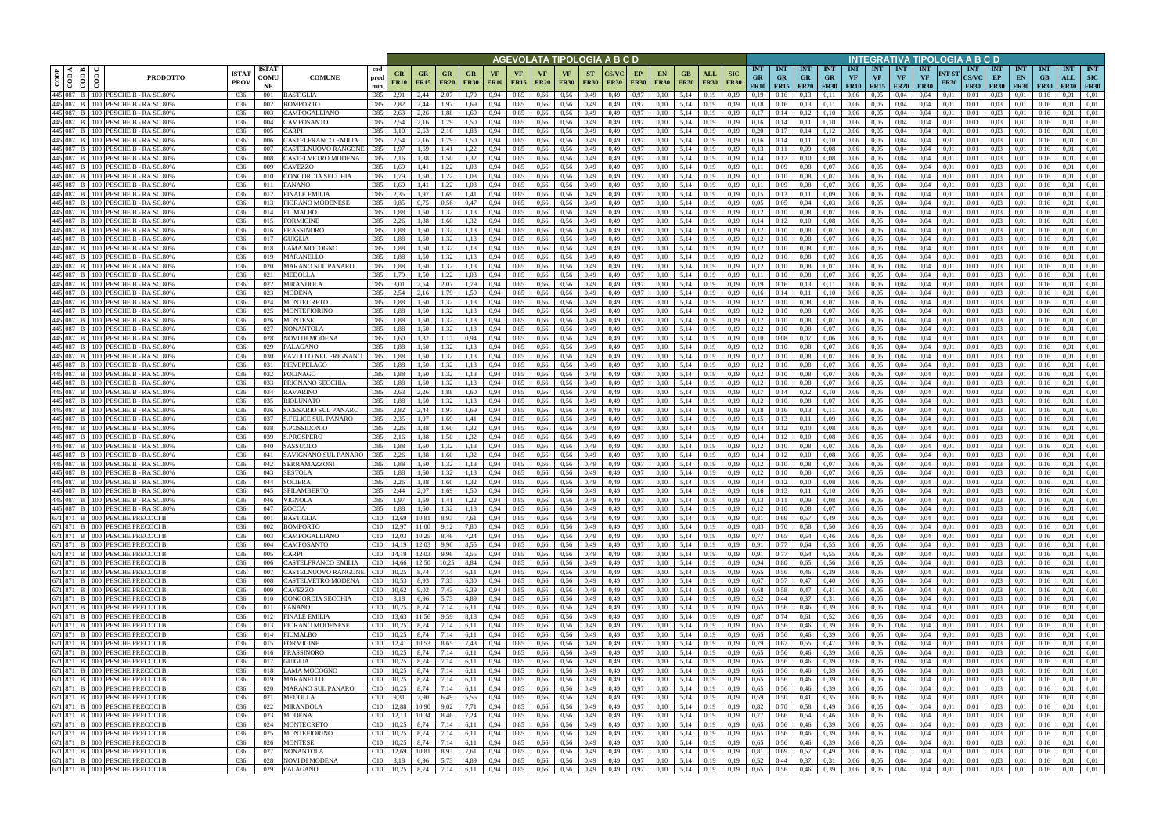|           |                                                                       |                                                                            |                             |                            |                                            |                                      |                   |                                       |                   |                          |                   |              |                            |                          |                          | AGEVOLATA TIPOLOGIA A B C D |                   |                              |                   |                           |                           |                                 |                                            |                         |                                 |                         |                                            |                                 | INTEGRATIVA TIPOLOGIA A B C D          |                      |                                    |                                 |                                 |                     |                                  |                                         |
|-----------|-----------------------------------------------------------------------|----------------------------------------------------------------------------|-----------------------------|----------------------------|--------------------------------------------|--------------------------------------|-------------------|---------------------------------------|-------------------|--------------------------|-------------------|--------------|----------------------------|--------------------------|--------------------------|-----------------------------|-------------------|------------------------------|-------------------|---------------------------|---------------------------|---------------------------------|--------------------------------------------|-------------------------|---------------------------------|-------------------------|--------------------------------------------|---------------------------------|----------------------------------------|----------------------|------------------------------------|---------------------------------|---------------------------------|---------------------|----------------------------------|-----------------------------------------|
| CODP      | $\triangleleft$ $\blacksquare$<br>$ \tilde{e} \tilde{\bar{e}} $<br>ම් | <b>PRODOTTO</b>                                                            | <b>ISTAT</b><br><b>PROV</b> | <b>ISTAT</b><br>COMU<br>NE | <b>COMUNE</b>                              | cod<br>prod<br>min                   | GR<br><b>FR10</b> | GR<br><b>FR15</b>                     | GR<br><b>FR20</b> | <b>GR</b><br><b>FR30</b> | VF<br><b>FR10</b> | VF<br>FR15   | <b>VF</b><br><b>FR20</b>   | <b>VF</b><br><b>FR30</b> | <b>ST</b><br><b>FR30</b> | <b>FR30</b>                 | EP<br><b>FR30</b> | <b>EN</b><br><b>FR30</b>     | GB<br><b>FR30</b> | <b>ALL</b><br><b>FR30</b> | <b>SIC</b><br><b>FR30</b> | <b>INT</b><br><b>GR</b><br>FR10 | <b>INT</b><br><b>GR</b><br>$FR15$   $FR20$ | <b>INT</b><br><b>GR</b> | <b>INT</b><br>GR<br><b>FR30</b> | <b>INT</b><br><b>VF</b> | <b>INT</b><br><b>VF</b><br>$FR10$   $FR15$ | <b>INT</b><br>VF<br><b>FR20</b> | <b>INT</b><br><b>VF</b><br><b>FR30</b> | NT ST<br><b>FR30</b> | <b>INT</b><br>CS/VC<br><b>FR30</b> | <b>INT</b><br>EP<br><b>FR30</b> | <b>INT</b><br>EN<br><b>FR30</b> | <b>INT</b><br>F R30 | <b>INT</b><br>ALL<br><b>FR30</b> | <b>INT</b><br><b>SIC</b><br><b>FR30</b> |
|           |                                                                       | 445 087 B 100 PESCHE B - RA SC.80%                                         | 036                         | 001                        | BASTIGLIA                                  | D85                                  | 2.91              | 2,44                                  | 2.07              | .79                      | 0.94              | 0.85         | 0,66                       | 0.56                     | 0,49                     | 0.49                        | 0.97              | 0.10                         | 5,14              | 0.19                      | 0.19                      | 0.19                            |                                            | 0.13                    |                                 | 0.06                    | 0.05                                       | 0.04                            | 0.04                                   | 0.01                 | 0.01                               | 0.03                            |                                 |                     | 0.01                             | 0.01                                    |
|           | 445 087 B 100<br>445 087 B 100                                        | PESCHE B - RA SC.80%<br>PESCHE B - RA SC.80%                               | 036<br>036                  | 002<br>003                 | 3OMPORTO<br>CAMPOGALLIANO                  | D85<br>D85                           | 2,82<br>2,63      | 2,44<br>2,26                          | .97<br>1.88       | l.69<br>.60              | 0,94              | 0,85<br>0.85 | 0,66<br>0,66               | 0.56<br>0.56             | 0,49<br>0,49             | 0,49<br>0.49                | 0,97<br>0,97      | 0,10<br>0,10                 | 5,14<br>5,14      | 0,19<br>0.19              | 0,19<br>0.19              | 0.18<br>0,17                    | 0,16                                       | 0,13                    | 0,11                            | 0,06<br>0.06            | 0.05<br>0.05                               | 0.04<br>0.04                    | 0.04<br>0.04                           | 0.01<br>0.01         | 0,01<br>0.01                       | 0.03<br>0.03                    | 0.01<br>0.01                    | 0.16                | 0.01<br>0.01                     | 0.01<br>0.01                            |
|           |                                                                       | 445 087 B   100 PESCHE B - RA SC.80%                                       | 036                         | 004                        | CAMPOSANTO                                 | D85                                  | 2,54              | 2,16                                  | 1.79              | 1,50                     | 0.94              | 0,85         | 0,66                       | 0.56                     | 0,49                     | 0,49                        | 0,97              | 0.10                         | 5,14              | 0.19                      | 0,19                      | 0,16                            | 0,14                                       | 0.11                    | 0,10                            | 0,06                    | 0.05                                       | 0,04                            | 0,04                                   | 0,01                 | 0,01                               | 0.03                            | 0.01                            | 0.16                | 0,01                             | 0.01                                    |
|           |                                                                       | 445 087 B 100 PESCHE B - RA SC.80%                                         | 036                         | 005                        | CARPI                                      | D85                                  | 3.10              | 2,63                                  | 2,16              | 1,88                     | 0.94              | 0.85         | 0,66                       | 0.56                     | 0,49                     | 0.49                        | 0,97              | 0.10                         | 5,14              | 0.19                      | 0.19                      | 0.20                            | 0.17                                       | 0,14                    | 0,12                            | 0,06                    | 0.05                                       | 0,04                            | 0.04                                   | 0.01                 | 0,01                               | 0.03                            | 0.01                            |                     | 0.01                             | 0.01                                    |
|           |                                                                       | 445 087 B 100 PESCHE B - RA SC.80%                                         | 036                         | 006                        | CASTELFRANCO EMILIA                        | D85                                  | 2,54              | 2,16                                  | 1.79              | 1,50                     | 0,94              | 0,85         | 0,66                       | 0,56                     | 0,49                     | 0,49                        | 0,97              | 0,10                         | 5,14              | 0,19                      | 0,19                      | 0,16                            | 0,14                                       | 0,11                    | 0,10                            | 0,06                    | 0,05                                       | 0,04                            | 0,04                                   | 0,01                 | 0,01                               | 0,03                            | 0,01                            | 0.16                | 0,01                             | 0,01                                    |
| 445 087 B | 100                                                                   | PESCHE B - RA SC.80%<br>445 087 B 100 PESCHE B - RA SC.80%                 | 036<br>036                  | 007<br>008                 | CASTELNUOVO RANGONI<br>CASTELVETRO MODENA  | D85<br>D85                           | 1.97<br>2,16      | 1.69<br>1.88                          | l.41<br>1.50      | 1,22<br>1,32             | 0.94<br>0.94      | 0.85<br>0.85 | 0.66<br>0,66               | 0.56<br>0.56             | 0,49<br>0,49             | 0.49<br>0.49                | 0.97<br>0.97      | 0.10<br>0.10                 | 5.14<br>5.14      | 0.19<br>0.19              | 0.19                      | 0.13<br>0.14                    | 0,12                                       | 0,09<br>0.10            | 0.08<br>0.08                    | 0.06<br>0.06            | 0.05<br>0.05                               | 0.04<br>0.04                    | 0.04<br>0.04                           | 0.01<br>0.01         | 0.01<br>0.01                       | 0.03<br>0.03                    | 0.01<br>0.01                    | 0.16                | 0.01<br>0.01                     | 0.01<br>0.01                            |
|           |                                                                       | 445 087 B 100 PESCHE B - RA SC.80%                                         | 036                         | 009                        | CAVEZZO                                    | D85                                  | 1,69              | 1.41                                  | 1,22              | 1,03                     | 0.94              | 0.85         | 0.66                       | 0.56                     | 0,49                     | 0.49                        | 0,97              | 0,10                         | 5.14              | 0,19                      | 0.19                      | 0,11                            | 0.09                                       | 0,08                    | 0,07                            | 0.06                    | 0.05                                       | 0.04                            | 0.04                                   | 0.01                 | 0.01                               | 0.03                            | 0,01                            | 0.16                | 0.01                             | 0,01                                    |
|           |                                                                       | 445 087 B 100 PESCHE B - RA SC.80%                                         | 036                         | 010                        | CONCORDIA SECCHIA                          | D85                                  | 1.79              | 1.50                                  | 1.22              | 1.03                     | 0.94              | 0.85         | 0.66                       | 0.56                     | 0,49                     | 0.49                        | 0.97              | 0.10                         | 5.14              | 0.19                      | 0.19                      | 0.11                            | 0.10                                       | 0.08                    | 0.07                            | 0.06                    | 0.05                                       | 0.04                            | 0.04                                   | 0.01                 | 0.01                               | 0.03                            | 0.01                            | 0.16                | 0.01                             | 0.01                                    |
|           |                                                                       | 445 087 B 100 PESCHE B - RA SC.80%                                         | 036                         | 011                        | FANANO                                     | D85                                  | 1,69              | 1.41                                  | 1.22              | 1.03                     | 0.94              | 0.85         | 0.66                       | 0.56                     | 0,49                     | 0.49                        | 0.97              | 0,10                         | 5.14              | 0.19                      | 0.19                      | 0.11                            | 0.09                                       | 0.08                    | 0.07                            | 0.06                    | 0.05                                       | 0.04                            | 0.04                                   | 0.01                 | 0.01                               | 0.03                            | 0.01                            | 0.16                | 0.01                             | 0.01                                    |
|           |                                                                       | 445 087 B   100 PESCHE B - RA SC.80%                                       | 036                         | 012                        | <b>FINALE EMILIA</b>                       | D85                                  | 2,35              | 1,97                                  | 1.69              | 1,41                     | 0.94              | 0,85         | 0,66                       | 0.56                     | 0,49                     | 0,49                        | 0,97              | 0,10                         | 5.14              | 0,19                      | 0.19                      | 0.15                            | 0,13                                       | 0,11                    | 0,09                            | 0,06                    | 0,05                                       | 0,04                            | 0,04                                   | 0.01                 | 0.01                               | 0.03                            | 0,01                            | 0.16                | 0.01                             | 0.01                                    |
|           |                                                                       | 445 087 B 100 PESCHE B - RA SC.80%<br>445 087 B   100 PESCHE B - RA SC.80% | 036<br>036                  | 013<br>014                 | FIORANO MODENESE<br>FIUMALBO               | D85<br>D85                           | 0.85<br>1,88      | 0,75<br>1,60                          | 0.56<br>1.32      | 0,47<br>1,13             | 0.94<br>0.94      | 0,85<br>0.85 | 0,66<br>0,66               | 0.56<br>0.56             | 0,49<br>0,49             | 0,49<br>0,49                | 0,97<br>0,97      | 0,10<br>0,10                 | 5,14<br>5.14      | 0,19<br>0,19              | 0.19<br>0.19              | 0.05<br>0,12                    | 0.05<br>0,10                               | 0,04<br>0,08            | 0.03<br>0,07                    | 0,06<br>0,06            | 0.05<br>0,05                               | 0,04<br>0,04                    | 0.04<br>0.04                           | 0.01<br>0,01         | 0,01<br>0,01                       | 0.03<br>0.03                    | 0,01<br>0,01                    | 0.16<br>0.16        | 0.01<br>0.01                     | 0.01<br>0.01                            |
|           |                                                                       | 445 087 B 100 PESCHE B - RA SC.80%                                         | 036                         | 015                        | FORMIGINE                                  | D85                                  | 2,26              | 1,88                                  | 1,60              | 1,32                     | 0,94              | 0,85         | 0,66                       | 0,56                     | 0,49                     | 0,49                        | 0,97              | 0,10                         | 5,14              | 0,19                      | 0.19                      | 0,14                            | 0,12                                       | 0,10                    | 0,08                            | 0,06                    | 0,05                                       | 0,04                            | 0,04                                   | 0,01                 | 0,01                               | 0.03                            | 0,01                            | 0,16                | 0,01                             | 0,01                                    |
|           |                                                                       | 445 087 B 100 PESCHE B - RA SC.80%                                         | 036                         | 016                        | FRASSINORO                                 | D85                                  | 1,88              | 1,60                                  | 1.32              | 1,13                     | 0.94              | 0,85         | 0,66                       | 0.56                     | 0,49                     | 0.49                        | 0,97              | 0.10                         | 5,14              | 0.19                      | 0.19                      | 0,12                            | 0.10                                       | 0,08                    | 0,07                            | 0,06                    | 0.05                                       | 0,04                            | 0.04                                   | 0.01                 | 0.01                               | 0.03                            | 0,01                            | 0.16                | 0.01                             | 0.01                                    |
|           |                                                                       | 445 087 B 100 PESCHE B - RA SC.80%<br>445 087 B 100 PESCHE B - RA SC.80%   | 036                         | 017                        | GUIGLIA                                    | D85                                  | 1,88              | 1.60                                  | 1.32              | 1,13                     | 0.94              | 0,85<br>0,85 | 0,66                       | 0.56                     | 0,49<br>0,49             | 0.49                        | 0,97              | 0.10                         | 5,14              | 0,19                      | 0.19                      | 0,12<br>0,12                    | 0.10                                       | 0,08                    | 0.07                            | 0,06                    | 0.05<br>0,05                               | 0,04                            | 0.04                                   | 0.01                 | 0.01                               | 0.03                            | 0,01                            | 0.16                | 0,01<br>0,01                     | 0.01<br>0,01                            |
|           |                                                                       | 445 087 B   100 PESCHE B - RA SC.80%                                       | 036<br>036                  | 018<br>019                 | LAMA MOCOGNO<br><b>MARANELLO</b>           | D85<br>D85                           | 1,88<br>1.88      | 1,60<br>1.60                          | 1,32<br>1.32      | 1,13<br>1.13             | 0,94<br>0.94      | 0.85         | 0,66<br>0,66               | 0,56<br>0.56             | 0,49                     | 0,49<br>0.49                | 0,97<br>0,97      | 0,10<br>0.10                 | 5,14<br>5.14      | 0,19<br>0.19              | 0,19<br>0.19              | 0,12                            | 0,10<br>0.10                               | 0,08<br>0,08            | 0,07<br>0.07                    | 0,06<br>0.06            | 0.05                                       | 0,04<br>0.04                    | 0,04<br>0.04                           | 0,01<br>0.01         | 0,01<br>0.01                       | 0,03<br>0.03                    | 0,01<br>0.01                    | 0.16<br>0.16        | 0.01                             | 0.01                                    |
|           |                                                                       | 445 087 B   100 PESCHE B - RA SC.80%                                       | 036                         | 020                        | MARANO SUL PANARO                          | D85                                  | 1.88              | 1.60                                  | 1.32              | 1.13                     | 0.94              | 0.85         | 0.66                       | 0.56                     | 0,49                     | 0.49                        | 0,97              | 0.10                         | 5.14              | 0.19                      | 0.19                      | 0.12                            | 0.10                                       | 0,08                    | 0.07                            | 0.06                    | 0.05                                       | 0.04                            | 0.04                                   | 0.01                 | 0.01                               | 0.03                            | 0.01                            | 0.16                | 0.01                             | 0.01                                    |
|           |                                                                       | 445 087 B 100 PESCHE B - RA SC.80%                                         | 036                         | 021                        | MEDOLLA                                    | D85                                  | 1,79              | 1,50                                  | 1,22              | 1,03                     | 0,94              | 0,85         | 0,66                       | 0,56                     | 0,49                     | 0,49                        | 0,97              | 0,10                         | 5,14              | 0,19                      | 0,19                      | 0,11                            | 0,10                                       | 0,08                    | 0.07                            | 0,06                    | 0,05                                       | 0,04                            | 0,04                                   | 0.01                 | 0.01                               | 0,03                            | 0,01                            | 0.16                | 0,01                             | 0.01                                    |
|           |                                                                       | 445 087 B 100 PESCHE B - RA SC.80%<br>445 087 B 100 PESCHE B - RA SC.80%   | 036                         | 022                        | MIRANDOLA                                  | D85<br>D85                           | 2.54              | 2.54                                  | 2.07              |                          | 0.94              | 0.85<br>0.85 | 0.66                       | 0.56                     | 0,49                     | 0.49                        | 0.97              | 0.10                         | 5.14<br>5.14      | 0.19                      |                           | 0.19<br>0.16                    |                                            | 0,13                    | 0.1                             | 0.06                    | 0.05                                       | 0.04                            | 0.04                                   | 0.01                 | 0.01                               | 0.03<br>0.03                    | 0.01                            |                     | 0.01<br>0.01                     | 0.01                                    |
|           |                                                                       | 445 087 B 100 PESCHE B - RA SC.80%                                         | 036<br>036                  | 023<br>024                 | MODENA<br>MONTECRETO                       | D85                                  | 1.88              | 1.60                                  | 1.79<br>1.32      | l.50<br>1.13             | 0.94<br>0.94      | 0.85         | 0.66<br>0.66               | 0.56<br>0.56             | 0,49<br>0,49             | 0.49<br>0.49                | 0,97<br>0,97      | 0.10<br>0.10                 | 5.14              | 0.19<br>0.19              | 0.19                      | 0,12                            |                                            | 0.11<br>0,08            | 0,10<br>0.07                    | 0.06<br>0.06            | 0.05<br>0.05                               | 0.04<br>0.04                    | 0.04<br>0.04                           | 0.01<br>0.01         | 0.01<br>0.01                       | 0.03                            | 0.01<br>0.01                    |                     | 0.01                             | 0.01<br>0.01                            |
|           |                                                                       | 445 087 B   100 PESCHE B - RA SC.80%                                       | 036                         | 025                        | MONTEFIORINO                               | D85                                  | 1,88              | 1.60                                  | 1.32              | 1.13                     | 0.94              | 0,85         | 0,66                       | 0.56                     | 0,49                     | 0,49                        | 0,97              | 0,10                         | 5,14              | 0.19                      | 0,19                      | 0,12                            | 0,10                                       | 0,08                    | 0,07                            | 0,06                    | 0.05                                       | 0,04                            | 0.04                                   | 0.01                 | 0,01                               | 0.03                            | 0.01                            | 0.16                | 0.01                             | 0.01                                    |
|           |                                                                       | 445 087 B 100 PESCHE B - RA SC.80%                                         | 036                         | 026                        | MONTESE                                    | D85                                  | 1.88              | 1.60                                  | 1.32              | 1.13                     | 0.94              | 0.85         | 0,66                       | 0.56                     | 0,49                     | 0.49                        | 0.97              | 0.10                         | 5.14              | 0.19                      | 0.19                      | 0,12                            | 0.10                                       | 0.08                    | 0.07                            | 0.06                    | 0.05                                       | 0.04                            | 0.04                                   | 0.01                 | 0.01                               | 0.03                            | 0.01                            |                     | 0.01                             | 0.01                                    |
|           |                                                                       | 445 087 B   100 PESCHE B - RA SC.80%                                       | 036                         | 027                        | NONANTOLA                                  | D85                                  | 1.88              | 1,60                                  | 1.32              | 1,13                     | 0,94              | 0,85         | 0,66                       | 0,56                     | 0,49                     | 0,49                        | 0,97              | 0,10                         | 5,14              | 0,19                      | 0,19                      | 0,12                            |                                            | 0,08                    | 0,07                            | 0,06                    | 0,05                                       | 0,04                            | 0,04                                   | 0,01                 | 0,01                               | 0,03                            | 0.01                            | 0.16                | 0.01                             | 0.01                                    |
|           |                                                                       | 445 087 B 100 PESCHE B - RA SC.80%<br>445 087 B 100 PESCHE B - RA SC.80%   | 036<br>036                  | 028<br>029                 | NOVI DI MODENA<br>PALAGANO                 | D85<br>D85                           | 1.60<br>.88       | 1,60                                  | 1.13<br>.32       | 0.94<br>1.13             | 0.94<br>0.94      | 0.85<br>0,85 | 0.66<br>0.66               | 0.56<br>0.56             | 0,49<br>0,49             | 0.49<br>0,49                | 0.97<br>0,97      | 0.10<br>0.10                 | 5.14<br>5,14      | 0.19<br>0.19              | 0.19<br>0,19              | 0.10<br>0,12                    |                                            | 0.07<br>0,08            | 0,06<br>0,07                    | 0.06<br>0,06            | 0.05<br>0.05                               | 0.04<br>0,04                    | 0.04<br>0.04                           | 0.01<br>0,01         | 0.01<br>0,01                       | 0.03<br>0.03                    | 0.01<br>0.01                    | 0.16                | 0.01<br>0.01                     | 0.01<br>0.01                            |
|           |                                                                       | 445 087 B 100 PESCHE B - RA SC.80%                                         | 036                         | 030                        | PAVULLO NEL FRIGNANO                       | D85                                  | 1,88              | 1,60                                  | 1.32              | 1,13                     | 0.94              | 0.85         | 0,66                       | 0,56                     | 0,49                     | 0,49                        | 0,97              | 0.10                         | 5,14              | 0,19                      | 0.19                      | 0,12                            |                                            | 0,08                    | 0,07                            | 0.06                    | 0,05                                       | 0,04                            | 0.04                                   | 0.01                 | 0.01                               | 0.03                            | 0,01                            | (0.16)              | 0.01                             | 0.01                                    |
|           |                                                                       | 445 087 B 100 PESCHE B - RA SC.80%                                         | 036                         | 031                        | PIEVEPELAGO                                | D85                                  | 1.88              | 1.60                                  | 1.32              | 1.13                     | 0.94              | 0.85         | 0,66                       | 0.56                     | 0,49                     | 0.49                        | 0,97              | 0.10                         | 5.14              | 0.19                      | 0.19                      | 0.12                            | 0.10                                       | 0.08                    | 0.07                            | 0,06                    | 0.05                                       | 0.04                            | 0.04                                   | 0.01                 | 0.01                               | 0.03                            | 0.01                            | 0.16                | 0.01                             | 0.01                                    |
|           |                                                                       | 445 087 B   100 PESCHE B - RA SC.80%<br>445 087 B 100 PESCHE B - RA SC.80% | 036                         | 032<br>033                 | POLINAGO                                   | D85<br>D85                           | 1.88              | 1.60                                  | 1.32<br>1.32      | 1.13                     | 0.94              | 0.85<br>0.85 | 0.66                       | 0.56                     | 0,49                     | 0.49                        | 0.97              | 0.10                         | 5.14<br>5.14      | 0.19                      | 0.19<br>0.19              | 0,12<br>0,12                    |                                            | 0.08                    | 0.07<br>0.07                    | 0.06                    | 0.05<br>0.05                               | 0.04                            | 0.04<br>0.04                           | 0.01<br>0.01         | 0.01<br>0.01                       | 0.03<br>0.03                    | 0.01                            |                     | 0.01<br>0.01                     | 0.01<br>0.01                            |
|           |                                                                       | 445 087 B 100 PESCHE B - RA SC.80%                                         | 036<br>-036                 | 034                        | PRIGNANO SECCHIA<br><b>RAVARINO</b>        | D85                                  | 1.88<br>2.63      | 1.60<br>2.26                          | 1.88              | 1,13<br>1.60             | 0.94<br>0.94      | 0.85         | 0,66<br>0.66               | 0,56<br>0.56             | 0,49<br>0,49             | 0,49<br>0.49                | 0,97<br>0.97      | 0,10<br>0.10                 | 5.14              | 0,19<br>0.19              | 0.19                      | 0.17                            | 0,10<br>0,14                               | 0,08<br>0.12            | 0,10                            | 0,06<br>0.06            | 0.05                                       | 0,04<br>0.04                    | 0.04                                   | 0.01                 | 0.01                               | 0.03                            | 0,01<br>0.01                    | 0.16<br>0.16        | 0.01                             | 0.01                                    |
|           |                                                                       | 445 087 B   100 PESCHE B - RA SC.80%                                       | -036                        | 035                        | RIOLUNATO                                  | D85                                  | 1.88              | 1.60                                  | 1.32              | 1,13                     | 0.94              | 0.85         | 0,66                       | 0.56                     | 0,49                     | 0,49                        | 0,97              | 0,10                         | 5.14              | 0.19                      | 0.19                      | 0.12                            | 0,10                                       | 0,08                    | 0.07                            | 0.06                    | 0.05                                       | 0.04                            | 0.04                                   | 0.01                 | 0.01                               | 0.03                            | 0.01                            | 0.16                | 0.01                             | 0.01                                    |
|           |                                                                       | 445 087 B   100 PESCHE B - RA SC.80%                                       | 036                         | 036                        | S.CESARIO SUL PANARO                       | D85                                  | 2,82              | 2,44                                  | 1,97              | 1,69                     | 0,94              | 0,85         | 0,66                       | 0.56                     | 0,49                     | 0.49                        | 0,97              | 0,10                         | 5,14              | 0,19                      | 0.19                      | 0.18                            | 0,16                                       | 0,13                    | 0,11                            | 0.06                    | 0.05                                       | 0.04                            | 0.04                                   | 0.01                 | 0,01                               | 0.03                            | 0,01                            | 0.16                | 0.01                             | 0,01                                    |
|           | 445 087 B 100                                                         | PESCHE B - RA SC.80%<br>445 087 B   100 PESCHE B - RA SC.80%               | 036<br>036                  | 037<br>038                 | <b>S.FELICE SUL PANARO</b><br>S.POSSIDONIC | D85<br>D85                           | 2,35<br>2,26      | 1.97<br>1.88                          | 1.69<br>1.60      | 1,41<br>1,32             | 0.94<br>0.94      | 0,85<br>0,85 | 0,66<br>0,66               | 0.56<br>0.56             | 0,49<br>0,49             | 0,49<br>0.49                | 0,97<br>0.97      | 0.10<br>0,10                 | 5,14<br>5,14      | 0.19<br>0,19              | 0.19<br>0.19              | 0.15<br>0,14                    | 0,13<br>0,12                               | 0,11<br>0,10            | 0.09<br>0.08                    | 0,06<br>0.06            | 0,05<br>0,05                               | 0.04<br>0,04                    | 0.04<br>0.04                           | 0,01<br>0.01         | 0.01<br>0.01                       | 0.03<br>0.03                    | 0,01<br>0,01                    | 0.16<br>0.16        | 0.01<br>0,01                     | 0,01<br>0,01                            |
|           |                                                                       | 445 087 B   100 PESCHE B - RA SC.80%                                       | 036                         | 039                        | <b>S.PROSPERO</b>                          | D85                                  | 2,16              | 1,88                                  | 1,50              | 1,32                     | 0,94              | 0,85         | 0,66                       | 0,56                     | 0,49                     | 0,49                        | 0,97              | 0,10                         | 5,14              | 0,19                      | 0,19                      | 0,14                            | 0,12                                       | 0,10                    | 0.08                            | 0,06                    | 0,05                                       | 0,04                            | 0,04                                   | 0,01                 | 0,01                               | 0,03                            | 0,01                            | 0,16                | 0,01                             | 0,01                                    |
|           |                                                                       | 445 087 B 100 PESCHE B - RA SC.80%                                         | 036                         | 040                        | SASSUOLO                                   | D85                                  | 1,88              | 1,60                                  | 1.32              | 1,13                     | 0.94              | 0,85         | 0,66                       | 0.56                     | 0,49                     | 0.49                        | 0,97              | 0,10                         | 5,14              | 0,19                      | 0.19                      | 0,12                            | 0.10                                       | 0,08                    | 0.07                            | 0,06                    | 0.05                                       | 0,04                            | 0.04                                   | 0.01                 | 0,01                               | 0.03                            | 0,01                            | 0.16                | 0,01                             | 0.01                                    |
|           |                                                                       | 445 087 B 100 PESCHE B - RA SC.80%                                         | 036                         | 041                        | <b>SAVIGNANO SUL PANARO</b>                | D85                                  | 2,26              | 1,88                                  | 1.60              | 1,32                     | 0.94              | 0,85         | 0,66                       | 0.56                     | 0,49                     | 0,49                        | 0,97              | 0.10                         | 5,14              | 0,19                      | 0.19                      | 0,14                            | 0,12                                       | 0,10                    | 0.08                            | 0,06                    | 0,05                                       | 0,04                            | 0,04                                   | 0,01                 | 0,01                               | 0.03                            | 0,01                            | 0.16                | 0.01                             | 0.01                                    |
|           |                                                                       | 445 087 B 100 PESCHE B - RA SC.80%<br>445 087 B   100 PESCHE B - RA SC.80% | 036<br>036                  | 042<br>043                 | SERRAMAZZONI<br>SESTOLA                    | D85<br>D85                           | 1,88<br>1.88      | 1,60<br>1.60                          | 1,32<br>1.32      | 1,13<br>1.13             | 0,94<br>0.94      | 0,85<br>0.85 | 0,66<br>0.66               | 0,56<br>0.56             | 0,49<br>0.49             | 0,49<br>0.49                | 0,97<br>0.97      | 0,10<br>0.10                 | 5,14<br>5.14      | 0,19<br>0.19              | 0.19                      | 0,12<br>0.12                    | 0.10<br>0.10                               | 0,08<br>0.08            | 0.07<br>0.07                    | 0,06<br>0.06            | 0,05<br>0.05                               | 0,04<br>0.04                    | 0,04<br>0.04                           | 0.01<br>0.01         | 0,01<br>0.01                       | 0,03<br>0.03                    | 0,01<br>0.01                    | 0.16<br>0.16        | 0,01<br>0.01                     | 0.01<br>0.01                            |
|           |                                                                       | 445 087 B 100 PESCHE B - RA SC.80%                                         | 036                         | 044                        | <b>SOLIERA</b>                             | D85                                  | 2.26              | 1.88                                  | 1.60              | 1,32                     | 0.94              | 0.85         | 0,66                       | 0.56                     | 0,49                     | 0.49                        | 0,97              | 0.10                         | 5.14              | 0.19                      | 0.19                      | 0.14                            | 0,12                                       | 0,10                    | 0.08                            | 0.06                    | 0.05                                       | 0.04                            | 0.04                                   | 0.01                 | 0.01                               | 0.03                            | 0.01                            | 0.16                | 0.01                             | 0.01                                    |
|           |                                                                       | 445 087 B 100 PESCHE B - RA SC.80%                                         | 036                         | 045                        | SPILAMBERTO                                | D85                                  | 2.44              | 2.07                                  | 1.69              | 1,50                     | 0.94              | 0.85         | 0,66                       | 0.56                     | 0,49                     | 0.49                        | 0.97              | 0.10                         | 5.14              | 0.19                      | 0.19                      | 0.16                            | 0,13                                       | 0.11                    | 0.10                            | 0.06                    | 0.05                                       | 0.04                            | 0.04                                   | 0.01                 | 0.01                               | 0.03                            | 0.01                            | 0.16                | 0.01                             | 0.01                                    |
|           |                                                                       | 445 087 B 100 PESCHE B - RA SC.80%                                         | 036                         | 046                        | <b>VIGNOLA</b>                             | D85                                  | 1,97              | 1,69                                  | 1,41              | 1,22                     | 0,94              | 0,85         | 0,66                       | 0,56                     | 0,49                     | 0,49                        |                   | 0,97<br>0,10                 | 5,14              | 0,19                      | 0,19                      | 0,13                            | 0,11                                       | 0,09                    | 0,08                            | 0,06                    | 0,05                                       | 0,04                            | 0,04                                   | 0,01                 | 0,01                               | 0,03                            | 0,01                            | 0,16                | 0,01                             | 0,01                                    |
|           |                                                                       | 445 087 B 100 PESCHE B - RA SC.80%<br>671 871 B 000 PESCHE PRECOCI B       | 036<br>036                  | 047<br>001                 | ZOCCA<br><b>BASTIGLIA</b>                  | D85<br>$C10$ 12,69                   | 1,88              | 1,60<br>10,81                         | 1,32<br>8,93      | 1,13<br>7,61             | 0,94<br>0,94      | 0,85<br>0,85 | 0,66<br>$0,66$ 0.56        | 0,56                     | 0,49<br>0,49             | 0,49<br>0,49                | 0,97<br>0,97      | 0,10<br>0,10                 | 5,14              | 0,19<br>$5,14$ 0,19       | 0,19<br>0,19              | 0,12<br>0,81                    | 0,10<br>0,69                               | 0,08<br>0,57            | 0,07<br>0,49                    | 0,06<br>0,06            | 0,05<br>0,05                               | 0,04<br>0,04                    | 0,04<br>0,04                           | 0,01<br>0,01         | 0,01<br>0,01                       | 0,03<br>$0,03$ 0.01             | 0,01                            | 0,16<br>0,16        | 0,01<br>0,01                     | 0,01<br>0,01                            |
|           |                                                                       | 671 871 B 000 PESCHE PRECOCI B                                             | 036                         | 002                        | <b>BOMPORTO</b>                            | C <sub>10</sub> 12,97                |                   | 11,00 9,12                            |                   | 7,80                     | 0,94              | 0,85         |                            | 0,66 0,56                | 0,49                     | 0,49                        | 0,97              | 0,10                         |                   | $5,14$ 0.19               | 0,19                      | 0,83                            | 0,70                                       | 0,58                    | 0,50                            |                         | $0.06\qquad 0.05$                          | 0,04                            | 0,04                                   | 0,01                 | 0,01                               | $0.03 \qquad 0.01$              |                                 | 0,16                | 0,01                             | 0,01                                    |
|           |                                                                       | 671 871 B 000 PESCHE PRECOCI B                                             | 036                         | 003                        | CAMPOGALLIANO                              | $C10$ 12,03                          |                   | 10,25 8,46                            |                   | 7,24                     | 0,94              | 0,85         | $0,66$ 0.56                |                          | 0,49                     | 0,49                        | 0,97              | 0,10                         |                   | 5,14 0,19                 | 0,19                      | 0,77                            | 0,65                                       | 0,54                    | 0,46                            | 0,06                    | 0,05                                       | 0,04                            | 0,04                                   | 0,01                 | 0,01                               | $0.03 \qquad 0.01$              |                                 | 0,16                | 0,01                             | 0,01                                    |
|           |                                                                       | 671 871 B 000 PESCHE PRECOCI B<br>671 871 B 000 PESCHE PRECOCI B           | 036                         | 004                        | CAMPOSANTO                                 |                                      | $C10$ 14,19       | 12,03 9,96                            |                   | 8,55                     | 0,94              | 0,85         | 0,66                       | 0,56                     | 0,49                     | 0,49                        | 0,97              | 0,10                         | 5,14              | 0,19                      | 0,19                      | 0,91                            | 0,77                                       | 0,64                    | 0,55                            | 0,06                    | 0,05                                       | 0,04                            | 0,04                                   | 0,01                 | 0,01                               | 0,03                            | 0,01                            | 0,16                | 0,01                             | 0,01                                    |
|           |                                                                       | 671 871 B 000 PESCHE PRECOCI B                                             | 036<br>036                  | 005<br>006                 | CARPI<br>CASTELFRANCO EMILIA               | C <sub>10</sub> 14,66                |                   | $C10$ 14,19 12,03 9,96<br>12,50 10,25 |                   | 8,55<br>8,84             | 0,94<br>0,94      | 0,85<br>0,85 | 0,66<br>0,66               | 0,56<br>0,56             | 0,49<br>0,49             | 0,49<br>0,49                | 0,97              | 0,10<br>0,97<br>0,10         | 5,14              | 0,19<br>5,14 0,19         | 0,19<br>0,19              | 0,91<br>0,94                    | 0,77<br>0,80                               | 0,64<br>0,65            | 0,55<br>0,56                    | 0,06<br>0,06            | 0,05<br>0,05                               | 0,04<br>0,04                    | 0,04<br>0,04                           | 0,01<br>0,01         | 0,01<br>0,01                       | 0,03<br>0,03                    | 0,01<br>0,01                    | 0,16<br>0,16        | 0,01<br>0,01                     | 0,01<br>0,01                            |
|           |                                                                       | 671 871 B 000 PESCHE PRECOCI B                                             | 036                         | 007                        | CASTELNUOVO RANGONE                        | $C10$ 10,25                          |                   | 8,74                                  | 7,14              | 6,11                     | 0,94              | 0,85         | 0,66                       | 0,56                     | 0,49                     | 0,49                        |                   | 0,10<br>0,97                 |                   | 5,14 0,19                 | 0,19                      | 0,65                            | 0,56                                       | 0,46                    | 0,39                            | 0,06                    | 0,05                                       | 0,04                            | 0,04                                   | 0,01                 | 0,01                               | 0,03                            | 0,01                            | 0,16                | 0,01                             | 0,01                                    |
|           |                                                                       |                                                                            | 036                         | 008                        | CASTELVETRO MODENA                         |                                      |                   | $C10$ 10,53 8,93 7,33                 |                   | 6,30 0,94                |                   | 0,85         | 0,66 0,56                  |                          | 0,49                     | 0,49                        |                   | 0,97<br>0,10                 |                   | 5,14 0,19                 | 0,19                      | 0,67                            | $0,57$ 0.47                                |                         | 0,40                            |                         | $0,06$ 0.05                                | 0,04                            | 0,04                                   | 0,01                 | 0,01                               | $0,03$ $0,01$                   |                                 | 0,16                | 0.01                             | 0,01                                    |
|           |                                                                       | 671 871 B 000 PESCHE PRECOCI B                                             | 036                         | 009                        | CAVEZZO                                    |                                      |                   | $C10$ 10,62 9,02 7,43                 |                   | 6,39 0,94                |                   | 0,85         | 0,66 0,56                  |                          | 0,49                     | 0,49                        |                   | 0,97<br>0,10                 |                   | $5,14$ 0,19               | 0,19                      | 0,68                            | 0,58 0,47                                  |                         | 0,41                            |                         | $0,06$ 0.05                                | 0,04                            | 0,04                                   | 0,01                 | 0,01                               | $0,03$ $0,01$                   |                                 | 0,16                |                                  | $0,01$ $0,01$                           |
|           |                                                                       | 671 871 B 000 PESCHE PRECOCI B<br>671 871 B 000 PESCHE PRECOCI B           | 036<br>036                  | 010<br>011                 | CONCORDIA SECCHIA<br>FANANO                | $C10$ 8,18                           |                   | 6,96 5,73<br>$C10$ 10,25 8,74         | 7,14              | 4,89 0,94<br>6,11        | 0,94              | 0,85<br>0,85 | $0,66$ 0.56                | 0,66 0,56                | 0,49<br>0,49             | 0,49<br>0,49                |                   | 0,97<br>0,10<br>0,97<br>0,10 |                   | 5,14 0,19<br>$5,14$ 0,19  | 0,19<br>0,19              | 0,52<br>0.65                    | $0,44$ $0,37$<br>0,56                      | 0,46                    | 0,31<br>0,39                    | 0,06                    | $0,06$ 0.05<br>0,05                        | 0,04<br>0,04                    | 0,04<br>0,04                           | 0,01<br>0,01         | 0,01<br>0,01                       | 0,03<br>$0.03 \qquad 0.01$      | 0,01                            | 0,16<br>0,16        | 0.01<br>0.01                     | 0,01<br>0,01                            |
|           |                                                                       | 671 871 B 000 PESCHE PRECOCI B                                             | 036                         | 012                        | <b>FINALE EMILIA</b>                       |                                      |                   | $C10$ 13,63 11,56 9,59                |                   | 8,18                     | 0,94              | 0,85         | $0,66$ 0.56                |                          | 0,49                     | 0,49                        |                   | 0,97<br>0,10                 |                   | 5,14 0,19                 | 0,19                      | 0,87                            | 0,74                                       | 0,61                    | 0,52                            | 0,06                    | 0,05                                       | 0,04                            | 0,04                                   | 0,01                 | 0,01                               | $0,03$ 0.01                     |                                 | 0,16                | 0,01                             | 0,01                                    |
|           |                                                                       | 671 871 B 000 PESCHE PRECOCI B                                             | 036                         | 013                        | FIORANO MODENESE                           |                                      |                   | $C10$ 10,25 8,74                      | 7,14              | 6,11                     | 0,94              | 0,85         |                            | 0,66 0,56                | 0,49                     | 0,49                        |                   | 0,97<br>0,10                 |                   | $5,14$ 0,19               | 0,19                      | 0,65                            | 0,56                                       | 0,46                    | 0,39                            | 0,06                    | 0,05                                       | 0,04                            | 0,04                                   | 0,01                 | 0,01                               | $0,03$ 0.01                     |                                 | 0,16                | 0.01                             | 0,01                                    |
|           |                                                                       | 671 871 B 000 PESCHE PRECOCI B                                             | 036                         | 014                        | <b>FIUMALBO</b>                            |                                      |                   | $C10$ 10,25 8,74                      | 7,14              | 6,11                     | 0,94              | 0,85         |                            | 0,66 0,56                | 0,49                     | 0,49                        |                   | 0,97<br>0,10                 |                   | 5,14 0,19                 | 0,19                      | 0,65                            | 0,56                                       | 0,46                    | 0,39                            | 0,06                    | 0,05                                       | 0,04                            | 0,04                                   | 0,01                 | 0,01                               | $0,03$ $0,01$                   |                                 | 0,16                | 0,01                             | 0,01                                    |
|           |                                                                       | 671 871 B 000 PESCHE PRECOCI B<br>671 871 B 000 PESCHE PRECOCI B           | 036<br>036                  | 015<br>016                 | <b>FORMIGINE</b><br><b>FRASSINORO</b>      | C <sub>10</sub> 12,41<br>$C10$ 10,25 |                   | 10,53 8,65<br>8,74                    | 7,14              | 7,43<br>6,11             | 0,94<br>0,94      | 0,85<br>0,85 | $0,66$ 0.56<br>$0,66$ 0.56 |                          | 0,49<br>0,49             | 0,49<br>0,49                |                   | 0,97<br>0,10<br>0,97<br>0,10 |                   | $5,14$ 0,19<br>5,14 0,19  | 0,19<br>0,19              | 0,79<br>0,65                    | 0,67<br>0,56                               | 0,55<br>0,46            | 0,47<br>0,39                    | 0,06<br>0,06            | 0,05<br>0,05                               | 0,04<br>0,04                    | 0,04<br>0,04                           | 0,01<br>0,01         | 0,01<br>0,01                       | $0,03$ $0,01$<br>$0,03$ $0,01$  |                                 | 0,16<br>0,16        | 0,01<br>0,01                     | 0,01<br>0,01                            |
|           |                                                                       | 671 871 B 000 PESCHE PRECOCI B                                             | 036                         | 017                        | <b>GUIGLIA</b>                             |                                      |                   | $C10$ 10,25 8,74 7,14                 |                   | 6,11                     | 0.94              | 0,85         | 0,66 0,56                  |                          | 0,49                     | 0,49                        |                   | $0,97$ 0,10                  |                   | $5,14$ 0,19               | 0,19                      | 0.65                            | 0,56                                       | 0,46                    | 0,39                            |                         | $0,06$ 0.05                                | 0,04                            | 0,04                                   | 0,01                 | 0,01                               | $0,03$ 0.01                     |                                 | 0,16                | 0,01                             | 0,01                                    |
|           |                                                                       | 671 871 B 000 PESCHE PRECOCI B                                             | 036                         | 018                        | LAMA MOCOGNO                               |                                      |                   | $C10$ 10,25 8,74 7,14                 |                   | 6,11                     | 0,94              | 0,85         | 0,66 0,56                  |                          | 0,49                     | 0,49                        |                   | $0,97$ 0,10                  |                   | 5,14 0,19                 | 0,19                      | 0,65 0,56                       |                                            | $0,46$ 0,39             |                                 |                         | $0.06\qquad 0.05$                          | 0,04                            | 0,04                                   | 0,01                 | 0.01                               | $0.03 \qquad 0.01$              |                                 | 0,16                | 0,01                             | 0,01                                    |
|           |                                                                       | 671 871 B 000 PESCHE PRECOCI B<br>671 871 B 000 PESCHE PRECOCI B           | 036                         | 019                        | MARANELLO                                  |                                      |                   | $C10$ 10,25 8,74 7,14                 |                   | 6,11                     | 0,94              | 0,85         | 0,66 0,56                  |                          | 0,49                     | 0,49                        |                   | $0,97$ $0,10$                |                   | 5,14 0,19                 | 0,19                      | 0,65                            | 0,56                                       | 0,46                    | 0,39                            |                         | $0,06$ 0.05                                | 0,04                            | 0,04                                   | 0,01                 | 0,01                               | $0,03$ $0,01$                   |                                 | 0,16                | 0,01                             | 0,01                                    |
|           |                                                                       | 671 871 B 000 PESCHE PRECOCI B                                             | 036<br>036                  | 020<br>021                 | MARANO SUL PANARO<br>MEDOLLA               | $C10$ 10,25<br>$C10$ 9,31            |                   | 8,74 7,14<br>7,90                     | 6,49              | 6,11<br>5,55             | 0,94<br>0,94      | 0,85<br>0,85 | 0,66 0,56<br>0,66 0,56     |                          | 0,49<br>0,49             | 0,49<br>0,49                |                   | $0,97$ 0,10<br>$0,97$ 0,10   |                   | 5,14 0,19<br>5,14 0,19    | 0,19<br>0,19              | $0.65$ 0.56<br>$0,59$ $0,50$    |                                            | 0,46<br>0,41            | 0,39<br>0,35                    |                         | $0,06$ 0.05<br>$0.06$ 0.05                 | 0,04<br>0,04                    | 0,04<br>0,04                           | 0,01<br>0,01         | 0,01<br>0,01                       | $0,03$ $0,01$<br>0,03           | 0,01                            | 0,16<br>0,16        | 0,01<br>0,01                     | 0,01<br>0,01                            |
|           |                                                                       | 671 871 B 000 PESCHE PRECOCI B                                             | 036                         | 022                        | <b>MIRANDOLA</b>                           | $C10$ 12,88                          |                   | $10,90$ $9,02$                        |                   | 7,71                     | 0,94              | 0,85         | $0,66$ 0.56                |                          | 0,49                     | 0,49                        |                   | $0,97$ $0,10$                |                   | $5,14$ 0,19               | 0,19                      | $0,82$ 0,70                     |                                            | 0,58                    | 0,49                            |                         | $0,06$ 0.05                                | 0,04                            | 0,04                                   | 0,01                 | 0,01                               | $0,03$ $0,01$                   |                                 | 0,16                | 0,01                             | 0,01                                    |
|           |                                                                       | 671 871 B 000 PESCHE PRECOCI B                                             | 036                         | 023                        | <b>MODENA</b>                              |                                      |                   | $C10$ 12,13 10,34 8,46                |                   | 7,24 0,94                |                   | 0,85         | 0,66 0,56                  |                          | 0,49                     | 0,49                        |                   | $0,97$ $0,10$                |                   | $5,14$ 0,19               | 0,19                      | 0,77 0,66                       |                                            | 0,54                    | 0,46                            |                         | $0.06$ 0.05                                | 0,04                            | 0,04                                   | 0,01                 | 0,01                               | $0,03$ $0,01$                   |                                 | 0,16                | 0,01                             | 0,01                                    |
|           |                                                                       | 671 871 B 000 PESCHE PRECOCI B<br>671 871 B 000 PESCHE PRECOCI B           | 036                         | 024                        | <b>MONTECRETO</b>                          | $C10$ 10,25                          |                   | 8,74                                  | 7,14              | 6,11                     | 0,94              | 0,85         | $0,66$ 0.56                |                          | 0,49                     | 0,49                        | 0,97              | 0,10                         |                   | $5,14$ 0,19               | 0,19                      | 0,65                            | 0,56                                       | 0,46                    | 0,39                            | 0,06                    | 0,05                                       | 0,04                            | 0,04                                   | 0,01                 | 0,01                               | $0,03$ $0,01$                   |                                 | 0,16                | 0,01                             | 0,01                                    |
|           |                                                                       | 671 871 B 000 PESCHE PRECOCI B                                             | 036<br>036                  | 025<br>026                 | <b>MONTEFIORINO</b><br><b>MONTESE</b>      | $C10$ 10,25<br>$C10$ 10,25           |                   | 8,74<br>8,74                          | 7,14<br>7,14      | 6,11<br>6,11             | 0,94<br>0,94      | 0,85<br>0,85 | $0,66$ 0.56<br>$0,66$ 0.56 |                          | 0,49<br>0,49             | 0,49<br>0,49                | 0,97<br>0,97      | 0,10<br>0,10                 | 5,14              | 0,19<br>$5,14$ 0,19       | 0,19<br>0,19              | 0,65<br>0,65                    | 0,56<br>0,56                               | 0,46<br>0,46            | 0,39<br>0,39                    | 0,06<br>0,06            | 0,05<br>0,05                               | 0,04<br>0,04                    | 0,04<br>0,04                           | 0,01<br>0,01         | 0,01<br>0,01                       | 0,03<br>0.03                    | 0,01<br>0,01                    | 0,16<br>0,16        | 0,01<br>0,01                     | 0,01<br>0,01                            |
|           |                                                                       | 671 871 B 000 PESCHE PRECOCI B                                             | 036                         | 027                        | <b>NONANTOLA</b>                           |                                      |                   | $C10$ 12,69 10,81 8,93                |                   | 7,61                     | 0,94              | 0,85         |                            | 0.66 0.56                | 0,49                     | 0,49                        | 0,97              | 0,10                         |                   | 5,14 0,19                 | 0,19                      | 0,81                            | 0,69                                       | 0,57                    | 0,49                            | 0,06                    | 0,05                                       | 0,04                            | 0,04                                   | 0,01                 | 0,01                               | $0,03$ $0,01$                   |                                 | 0,16                | 0,01                             | 0.01                                    |
|           |                                                                       | 671 871 B 000 PESCHE PRECOCI B                                             | 036                         | 028                        | NOVI DI MODENA                             | $C10$ 8,18                           |                   | 6,96                                  | 5,73              | 4,89                     | 0,94              | 0,85         |                            | 0,66 0,56                | 0,49                     | 0,49                        |                   | 0,97<br>0,10                 |                   | $5,14$ 0,19               | 0,19                      | 0,52                            | $0,44$ $0,37$                              |                         | 0,31                            | 0,06                    | 0,05                                       | 0,04                            | 0,04                                   | 0,01                 | 0,01                               | $0,03$ 0.01                     |                                 | 0,16                | 0,01                             | 0,01                                    |
|           |                                                                       | 671 871 B 000 PESCHE PRECOCI B                                             | 036                         | 029                        | <b>PALAGANO</b>                            |                                      |                   | $C10$ 10,25 8,74 7,14                 |                   | 6,11                     | 0,94              | 0,85         | 0,66 0,56                  |                          |                          | 0,49 0,49                   |                   | 0,97<br>$0,10$ $5,14$ $0,19$ |                   |                           |                           |                                 | $0,19$ 0.65 0.56 0.46 0.39                 |                         |                                 |                         | $0,06$ 0.05                                | 0,04                            | 0,04                                   | 0,01                 | 0,01                               | $0,03$ $0,01$                   |                                 | 0,16                | 0,01                             | 0,01                                    |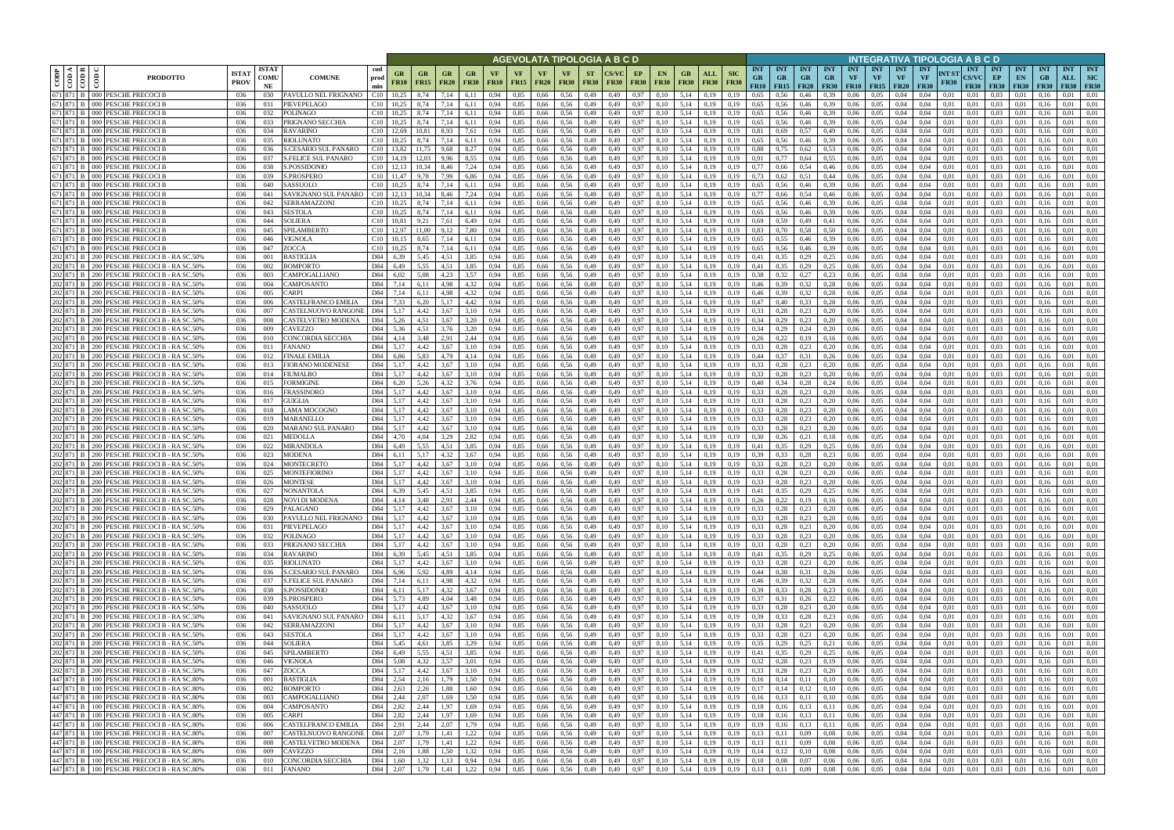|      |                                       |                                                                                          |                             |                            |                                                    |                                                    |                          |                           |                            |                   |                   |                          | AGEVOLATA TIPOLOGIA A B C D                              |                          |              |                   |                          |                                              |                                                 |                                                                                                                                         |                                                 |                         |                                 |                  |                                      |                                        | INTEGRATIVA TIPOLOGIA A B C D                  |                      |                                           |                                 |                                          |                                 |                                  |                                         |
|------|---------------------------------------|------------------------------------------------------------------------------------------|-----------------------------|----------------------------|----------------------------------------------------|----------------------------------------------------|--------------------------|---------------------------|----------------------------|-------------------|-------------------|--------------------------|----------------------------------------------------------|--------------------------|--------------|-------------------|--------------------------|----------------------------------------------|-------------------------------------------------|-----------------------------------------------------------------------------------------------------------------------------------------|-------------------------------------------------|-------------------------|---------------------------------|------------------|--------------------------------------|----------------------------------------|------------------------------------------------|----------------------|-------------------------------------------|---------------------------------|------------------------------------------|---------------------------------|----------------------------------|-----------------------------------------|
| CODP | $\leq$ $\leq$ $\leq$<br>$\frac{1}{2}$ | දී<br><b>PRODOTTO</b>                                                                    | <b>ISTA1</b><br><b>PROV</b> | <b>ISTAT</b><br>COMU<br>NE | <b>COMUNE</b>                                      | cod<br>GR<br>prod<br><b>FR10</b><br>min            | <b>GR</b><br><b>FR15</b> | <b>FR20</b>               | GR<br><b>FR30</b>          | VF<br><b>FR10</b> | VF<br><b>FR15</b> | <b>VF</b><br><b>FR20</b> | <b>VF</b><br><b>FR30</b>                                 | <b>ST</b><br><b>FR30</b> | <b>FR30</b>  | EP<br><b>FR30</b> | <b>EN</b><br><b>FR30</b> | GB.<br><b>FR30</b>                           | <b>SIC</b><br>ALL<br><b>FR30</b><br><b>FR30</b> | <b>INT</b><br><b>GR</b><br>FR10                                                                                                         | <b>INT</b><br><b>GR</b><br>$FR15$ FR20          | <b>INT</b><br><b>GR</b> | <b>INT</b><br>GR<br><b>FR30</b> | <b>INT</b><br>VF | <b>INT</b><br>VF<br><b>FR10 FR15</b> | <b>INT</b><br><b>VF</b><br><b>FR20</b> | <b>INT</b><br>VF                               | NT ST<br><b>FR30</b> | <b>INT</b><br><b>CS/VC</b><br><b>FR30</b> | <b>INT</b><br>EP<br><b>FR30</b> | <b>INT</b><br>EN<br><b>FR30</b>          | <b>INT</b><br>GB<br><b>FR30</b> | <b>INT</b><br>ALL<br><b>FR30</b> | <b>INT</b><br><b>SIC</b><br><b>FR30</b> |
|      | 671 871 B<br>671 871 B                | 000 PESCHE PRECOCI B                                                                     | 036                         | 030                        | PAVULLO NEL FRIGNANO                               | C10<br>10.25                                       | 8,74                     | 7.14                      | 6.11                       | 0.94              | 0.85              | 0,66                     | 0.56                                                     | 0,49                     | 0.49         | 0.97              | 0.10                     | 5.14                                         | 0.19                                            | 0.19<br>0.65                                                                                                                            | 0.56                                            | 0.46                    | 0.39                            | 0.06             | 0.05                                 | 0.04                                   | 0.04                                           | 0.01                 | 0.01                                      | 0.03                            | 0.01                                     |                                 | 0.01                             | 0.01                                    |
|      | 671 871 B                             | 000 PESCHE PRECOCI B<br>000 PESCHE PRECOCI B                                             | 036<br>036                  | 031<br>032                 | PIEVEPELAGO<br>POLINAGO                            | C10<br>10.25<br>C10<br>10.25                       | 8,74<br>8,74             | 7.14<br>7,14              | 6,11<br>6,11               | 0.94<br>0.94      | 0,85<br>0,85      | 0,66<br>0,66             | 0.56<br>0,56                                             | 0,49<br>0,49             | 0,49<br>0.49 | 0,97<br>0,97      | 0.10<br>0.10             | 5,14<br>5,14                                 | 0.19<br>0,19                                    | 0,65<br>0,19<br>0.65<br>0.19                                                                                                            | 0,56<br>0.56                                    | 0,46<br>0,46            | 0.39<br>0.39                    | 0.06<br>0.06     | 0.05<br>0,05                         | 0,04<br>0,04                           | 0.04<br>0.04                                   | 0,01<br>0,01         | 0,01<br>0,01                              | 0.03<br>0.03                    | 0.01<br>0,01                             | 0.16<br>0.16                    | 0.01<br>0.01                     | 0.01<br>0,01                            |
|      | 671 871 B                             | 000 PESCHE PRECOCI B                                                                     | 036                         | 033                        | PRIGNANO SECCHIA                                   | C10<br>10.25                                       | 8.74                     | 7.14                      | 6.11                       | 0.94              | 0.85              | 0.66                     | 0.56                                                     | 0,49                     | 0.49         | 0.97              | 0.10                     | 5.14                                         | 0.19                                            | 0.65<br>0.19                                                                                                                            | 0.56                                            | 0,46                    | 0.39                            | 0.06             | 0.05                                 | 0.04                                   | 0.04                                           | 0.01                 | 0.01                                      | 0.03                            | 0.01                                     | 0.16                            | 0.01                             | 0.01                                    |
|      | 671 871 B                             | <b>PESCHE PRECOCIB</b><br>000 I                                                          | 036                         | 034                        | <b>RAVARINO</b>                                    | C10<br>12.69                                       | 10.81                    | 8.93                      | 7.61                       | 0.94              | 0.85              | 0.66                     | 0.56                                                     | 0.49                     | 0.49         | 0.97              | 0.10                     | 5.14                                         | 0.19                                            | 0.81<br>0.19                                                                                                                            | 0.69                                            | 0.57                    | 0.49                            | 0.06             | 0.05                                 | 0.04                                   | 0.04                                           | 0.01                 | 0.01                                      | 0.03                            | 0.01                                     |                                 | 0.01                             | 0.01                                    |
|      | 671 871 B                             | 000 PESCHE PRECOCI B                                                                     | 036                         | 035                        | RIOLUNATO                                          | C10<br>10,25                                       | 8.74                     | 7.14                      | 6,11                       | 0.94              | 0,85              | 0,66                     | 0.56                                                     | 0,49                     | 0.49         | 0.97              | 0.10                     | 5.14                                         | 0,19                                            | 0.65<br>0.19                                                                                                                            | 0,56                                            | 0,46                    | 0.39                            | 0.06             | 0.05                                 | 0.04                                   | 0.04                                           | 0.01                 | 0.01                                      | 0.03                            | 0.01                                     | 0.16                            | 0.01                             | 0.01                                    |
|      | 671 871 B<br>671 871 B                | 000 PESCHE PRECOCI B<br>000 PESCHE PRECOCI B                                             | 036<br>036                  | -036<br>037                | S.CESARIO SUL PANARO<br><b>S.FELICE SUL PANARO</b> | $C10$ 13.82<br>$C10$ 14,19                         | 11.75<br>12.03           | 9.68<br>9.96              | 8,27<br>8.55               | 0.94<br>0.94      | 0.85<br>0.85      | 0.66<br>0.66             | 0.56<br>0.56                                             | 0.49<br>0,49             | 0.49<br>0.49 | 0.97<br>0.97      | 0.10<br>0.10             | 5.14<br>5.14                                 | 0.19<br>0.19                                    | 0.88<br>0.19<br>0.91<br>0.19                                                                                                            | 0.75<br>0,77                                    | 0.62<br>0.64            | 0.53<br>0.55                    | 0.06<br>0.06     | 0.05<br>0.05                         | 0.04<br>0.04                           | 0.04<br>0.04                                   | 0.01<br>0.01         | 0.01<br>0.01                              | 0.03<br>0.03                    | 0.01<br>0.01                             | 0.16<br>0.16                    | 0.01<br>0.01                     | 0.01<br>0.01                            |
|      | 671 871 B                             | 000 PESCHE PRECOCI B                                                                     | 036                         | 038                        | S.POSSIDONIO                                       | $C10$ 12,13                                        | 10.34                    | 8.46                      | 7,24                       | 0.94              | 0.85              | 0.66                     | 0.56                                                     | 0,49                     | 0.49         | 0.97              | 0.10                     | 5.14                                         | 0,19                                            | 0.77<br>0.19                                                                                                                            | 0,66                                            | 0,54                    | 0,46                            | 0.06             | 0.05                                 | 0.04                                   | 0.04                                           | 0.01                 | 0.01                                      | 0.03                            | 0.01                                     | 0.16                            | 0.01                             | 0.01                                    |
|      | 671 871 B                             | $000 -$<br>PESCHE PRECOCI E                                                              | 036                         | 039                        | <b>S.PROSPERO</b>                                  | C10<br>11,47                                       | 9,78                     | 7.99                      | 6,86                       | 0.94              | 0,85              | 0,66                     | 0.56                                                     | 0,49                     | 0.49         | 0.97              | 0.10                     | 5.14                                         | 0,19<br>0.19                                    | 0.73                                                                                                                                    | 0,62                                            | 0.51                    | 0,44                            | 0,06             | 0.05                                 | 0.04                                   | 0.04                                           | 0,01                 | 0.01                                      | 0.03                            | 0.01                                     | 0.16                            | 0.01                             | 0.01                                    |
|      | 671 871 B                             | PESCHE PRECOCI E<br>000 <sub>1</sub>                                                     | 036                         | 040                        | SASSUOLO                                           | C10                                                | 8.74                     | 7.14                      | 6,11                       | 0.94              | 0,85              | 0,66                     | 0.56                                                     | 0,49                     | 0.49         | 0.97              | 0.10                     | 5,14                                         | 0,19<br>0.19                                    | 0,65                                                                                                                                    | 0.56                                            | 0,46                    | 0.39                            | 0.06             | 0.05                                 | 0.04                                   | 0.04                                           | 0.01                 | 0.01                                      | 0.03                            | 0,01                                     | 0.16                            | 0.01                             | 0.01                                    |
|      | 671 871 B<br>671 871 B                | PESCHE PRECOCI E<br>000 <sub>1</sub><br>PESCHE PRECOCI B<br>000                          | 036<br>036                  | 041<br>042                 | SAVIGNANO SUL PANARO<br>SERRAMAZZONI               | C10<br>12,13<br>C10<br>10.25                       | 10,34<br>8.74            | 8,46<br>7.14              | 7,24<br>6.11               | 0,94<br>0.94      | 0,85<br>0,85      | 0,66<br>0,66             | 0,56<br>0.56                                             | 0,49<br>0,49             | 0,49<br>0.49 | 0,97<br>0.97      | 0,10<br>0.10             | 5,14<br>5,14                                 | 0,19<br>0.19<br>0.19                            | 0,77<br>0,19<br>0,65                                                                                                                    | 0,66<br>0.56                                    | 0,54<br>0.46            | 0,46<br>0.39                    | 0,06<br>0.06     | 0.05<br>0.05                         | 0,04<br>0,04                           | 0,04<br>0.04                                   | 0,01<br>0.01         | 0,01<br>0.01                              | 0,03<br>0.03                    | 0,01<br>0.01                             | 0.16<br>0.16                    | 0,01<br>0,01                     | 0,01<br>0.01                            |
|      | 671 871 B                             | 000 PESCHE PRECOCI B                                                                     | 036                         | 043                        | SESTOLA                                            | C10<br>10.25                                       | 8,74                     | 7.14                      | 6,11                       | 0.94              | 0,85              | 0,66                     | 0,56                                                     | 0,49                     | 0.49         | 0,97              | 0.10                     | 5,14                                         | 0,19<br>0.19                                    | 0,65                                                                                                                                    | 0,56                                            | 0,46                    | 0.39                            | 0,06             | 0,05                                 | 0,04                                   | 0.04                                           | 0.01                 | 0.01                                      | 0.03                            | 0,01                                     | 0.16                            | 0.01                             | 0.01                                    |
|      | 671 871 B                             | 000 PESCHE PRECOCI B                                                                     | 036                         | 044                        | <b>SOLIERA</b>                                     | C10<br>10.81                                       | 9,21                     | 7,61                      | 6,49                       | 0.94              | 0,85              | 0,66                     | 0,56                                                     | 0,49                     | 0.49         | 0,97              | 0.10                     | 5,14                                         | 0,19                                            | 0.19<br>0.69                                                                                                                            | 0.59                                            | 0,49                    | 0.41                            | 0,06             | 0,05                                 | 0,04                                   | 0.04                                           | 0.01                 | 0.01                                      | 0,03                            | 0,01                                     | 0.16                            | 0,01                             | 0.01                                    |
|      | 671 871 B                             | PESCHE PRECOCI B<br>000 <sup>1</sup>                                                     | 036                         | 045                        | SPILAMBERTO                                        | C10<br>12.97                                       | 11.00                    | 9.12                      | 7.80                       | 0.94              | 0.85              | 0.66                     | 0.56                                                     | 0.49                     | 0.49         | 0.97              | 0.10                     | 5.14                                         | 0.19                                            | 0.83<br>0.19                                                                                                                            | 0.70                                            | 0.58                    | 0.50                            | 0.06             | 0.05                                 | 0.04                                   | 0.04                                           | 0.01                 | 0.01                                      | 0.03                            | 0.01                                     | 016                             | 0.01                             | 0.01                                    |
|      | 671 871 B<br>671 871 B                | 000 PESCHE PRECOCI B<br>PESCHE PRECOCI B<br>000 <sub>1</sub>                             | 036<br>036                  | 046<br>047                 | VIGNOLA<br>ZOCCA                                   | C10<br>10.15<br>C10<br>10.25                       | 8.65<br>8.74             | 7.14<br>7.14              | 6.11<br>6.11               | 0.94<br>0.94      | 0.85<br>0,85      | 0.66<br>0,66             | 0.56<br>0,56                                             | 0.49<br>0,49             | 0.49<br>0.49 | 0.97<br>0.97      | 0.10<br>0.10             | 5.14<br>5.14                                 | 0.19<br>0.19                                    | 0.65<br>0.19<br>0.65<br>0.19                                                                                                            | 0.55<br>0.56                                    | 0.46<br>0.46            | 0.39<br>0.39                    | 0.06<br>0.06     | 0.05<br>0.05                         | 0.04<br>0.04                           | 0.04<br>0.04                                   | 0.01<br>0.01         | 0.01<br>0.01                              | 0.03<br>0,03                    | 0.01<br>0.01                             | 0.16<br>0.16                    | 0.01<br>0.01                     | 0.01<br>0.01                            |
|      | 202 871 B                             | PESCHE PRECOCI B - RA SC.50%<br>200 I                                                    | 036                         | -001                       | 3 ASTIGLIA                                         | D84<br>6.39                                        | 5.45                     | 4.51                      | 3.85                       | 0.94              | 0.85              | 0.66                     | 0.56                                                     | 0.49                     |              | 0.97              | 0.10                     | 5.14                                         | 0.19                                            | 0.41                                                                                                                                    |                                                 | 0,29                    | 0.25                            | 0.06             | 0.05                                 | 0.04                                   | 0.04                                           | 0.01                 | 0.01                                      | 0.03                            | 0.0                                      |                                 | 0.01                             | 0.01                                    |
|      | 202 871 B                             | PESCHE PRECOCI B - RA SC.50%                                                             | 036                         | 002                        | <b>BOMPORTO</b>                                    | D84<br>6.49                                        | 5.55                     | 4.51                      | 3.85                       | 0.94              | 0.85              | 0.66                     | 0.56                                                     | 0.49                     |              | 0.97              | 0.10                     | 5.14                                         | 0.19                                            | 0.41                                                                                                                                    | 0.35                                            | 0,29                    | 0.25                            | 0.06             | 0.05                                 | 0.04                                   | 0.04                                           | 0.01                 | 0.01                                      | 0.03                            | $0.0^{\circ}$                            |                                 | 0.01                             | 0.01                                    |
|      |                                       | 200   PESCHE PRECOCI B - RA SC.50%                                                       | 036                         | 003                        | CAMPOGALLIANO                                      | D84<br>6.02                                        | 5.08                     | 4.23                      | 3,57                       | 0.94              | 0,85              | 0,66                     | 0.56                                                     | 0,49                     |              | 0.97              | 0.10                     | 5.14                                         | 0,19                                            | 0.38                                                                                                                                    | 0.32                                            | 0,27                    | 0,23                            | 0.06             | 0.05                                 | 0.04                                   | 0.04                                           | 0.01                 | 0.01                                      | 0.03                            | 0.0                                      |                                 | 0.01                             | 0.01                                    |
|      | 202 871 B                             | 200 PESCHE PRECOCI B - RA SC.50%<br>200 PESCHE PRECOCI B - RA SC.50%                     | 036<br>036                  | 004<br>005                 | CAMPOSANTO<br><b>ARPI</b>                          | D84<br>7.14<br>D84<br>7,14                         | 6.11<br>6.11             | 4.98<br>4.98              | 4.32<br>4,32               | 0.94<br>0.94      | 0.85<br>0,85      | 0,66<br>0,66             | 0.56<br>0.56                                             | 0,49<br>0,49             | 0.49<br>0.49 | 0.97<br>0.97      | 0.10<br>0.10             | 5.14<br>5.14                                 | 0.19<br>0,19                                    | 0.46<br>0.19<br>0.46<br>0,19                                                                                                            | 0.39<br>0.39                                    | 0.32<br>0,32            | 0.28<br>0,28                    | 0.06<br>0.06     | 0.05<br>0.05                         | 0.04<br>0,04                           | 0.04<br>0.04                                   | 0.01<br>0.01         | 0.01<br>0.01                              | 0.03<br>0.03                    | 0.01<br>0.01                             | 0.16                            | 0.01<br>0.01                     | 0.01<br>0.01                            |
|      | 202 871 B                             | PESCHE PRECOCI B - RA SC.50%<br>200 I                                                    | 036                         | 006                        | CASTELFRANCO EMILIA                                | D84<br>7.33                                        | 6,20                     | 5.17                      | 4,42                       | 0.94              | 0,85              | 0,66                     | 0.56                                                     | 0,49                     | 0.49         | 0.97              | 0.10                     | 5,14                                         | 0.19<br>0.19                                    | 0,47                                                                                                                                    | 0.40                                            | 0,33                    | 0,28                            | 0.06             | 0.05                                 | 0.04                                   | 0.04                                           | 0.01                 | 0.01                                      | 0.03                            | 0.01                                     |                                 | 0.01                             | 0.01                                    |
|      | 202 871 B                             | PESCHE PRECOCI B - RA SC.50%<br>200 I                                                    | 036                         | 007                        | CASTELNUOVO RANGONI                                | D84<br>5.17                                        | 4,42                     | 3.67                      | 3,10                       | 0.94              | 0,85              | 0,66                     | 0.56                                                     | 0,49                     | 0.49         | 0.97              | 0.10                     | 5.14                                         | 0,19                                            | 0.33<br>0.19                                                                                                                            | 0.28                                            | 0,23                    | 0,20                            | 0.06             | 0.05                                 | 0.04                                   | 0.04                                           | 0.01                 | 0.01                                      | 0.03                            | 0.01                                     |                                 | 0.01                             | 0.01                                    |
|      |                                       | PESCHE PRECOCI B - RA SC.50%<br>200.                                                     | 036                         | 008                        | CASTELVETRO MODENA                                 | D84<br>5.26                                        | 4.51                     | 3.67                      | 3.20                       | 0.94              | 0.85              | 0,66                     | 0.56                                                     | 0,49                     |              | 0.97              |                          | 5.14                                         | 0.19                                            | 0.34                                                                                                                                    |                                                 | 0.23                    | 0.20                            | 0.06             | 0.05                                 | 0.04                                   | 0.04                                           | 0.01                 | 0.01                                      | 0.03                            | 0.01                                     |                                 | 0.01                             | 0.01                                    |
|      | 202 871 B<br>202 871 B                | PESCHE PRECOCI B - RA SC.50%<br>200 I<br>PESCHE PRECOCI B - RA SC.50%<br>200 I           | 036<br>036                  | 009<br>010                 | CAVEZZO<br>CONCORDIA SECCHIA                       | D84<br>5,36<br>D84  <br>4.14                       | 4,51<br>3.48             | 3,76<br>2.91              | 3,20<br>2,44               | 0,94<br>0.94      | 0,85<br>0.85      | 0,66<br>0.66             | 0,56<br>0.56                                             | 0,49<br>0.49             | 0.49<br>0.49 | 0,97<br>0.97      | 0,10<br>0.10             | 5,14<br>5.14                                 | 0,19<br>0.19                                    | 0,34<br>0,19<br>0.19<br>0.26                                                                                                            | 0,29<br>0.22                                    | 0,24<br>0.19            | 0,20                            | 0,06<br>0.06     | 0,05<br>0.05                         | 0,04<br>0.04                           | 0,04<br>0.04                                   | 0,01<br>0.01         | 0,01<br>0.01                              | 0,03<br>0.03                    | 0,01<br>0.01                             | 0.16<br>016                     | 0,01<br>0.01                     | 0,01<br>0.01                            |
|      | 202 871 B                             | 200 PESCHE PRECOCI B - RA SC.50%                                                         | 036                         | 011                        | FANANO                                             | D84<br>5,17                                        | 4,42                     | 3.67                      | 3,10                       | 0.94              | 0.85              | 0,66                     | 0.56                                                     | 0,49                     | 0.49         | 0.97              | 0.10                     | 5.14                                         | 0.19                                            | 0.33<br>0.19                                                                                                                            | 0,28                                            | 0,23                    | 0.16<br>0,20                    | 0.06             | 0.05                                 | 0.04                                   | 0.04                                           | 0.01                 | 0.01                                      | 0.03                            | 0.01                                     | 0.16                            | 0.01                             | 0.01                                    |
|      | 202 871 B                             | PESCHE PRECOCI B - RA SC.50%<br>200 I                                                    | 036                         | 012                        | FINALE EMILIA                                      | D84<br>6.86                                        | 5.83                     | 4.79                      | 4,14                       | 0.94              | 0.85              | 0.66                     | 0.56                                                     | 0,49                     | 0.49         | 0.97              | 0.10                     | 5.14                                         | 0.19                                            | 0,44<br>0.19                                                                                                                            | 0.37                                            | 0.31                    | 0.26                            | 0.06             | 0.05                                 | 0.04                                   | 0.04                                           | 0.01                 | 0.01                                      | 0.03                            | 0.01                                     | 016                             | 0.01                             | 0.01                                    |
|      | 202 871 B                             | PESCHE PRECOCI B - RA SC.50%<br>200 I                                                    | 036                         | 013                        | <b>FIORANO MODENESE</b>                            | D84<br>5,17                                        | 4.42                     | 3.67                      | 3.10                       | 0.94              | 0.85              | 0.66                     | 0.56                                                     | 0.49                     | 0.49         | 0.97              | 0.10                     | 5.14                                         | 0.19                                            | 0.33<br>0.19                                                                                                                            | 0,28                                            | 0,23                    | 0,20                            | 0.06             | 0.05                                 | 0.04                                   | 0.04                                           | 0.01                 | 0.01                                      | 0.03                            | 0.01                                     | 0.16                            | 0.01                             | 0.01                                    |
|      | 202 871 B<br>202 871 B                | PESCHE PRECOCI B - RA SC.50%<br>200 I                                                    | 036                         | 014                        | FIUMALBO                                           | D84<br>5,17<br>D84                                 | 4.42<br>5,26             | 3.67<br>4.32              | 3.10                       | 0.94<br>0.94      | 0.85              | 0.66                     | 0.56<br>0.56                                             | 0.49                     | 0.49         | 0.97              | 0.10                     | 5.14<br>5.14                                 | 0.19                                            | 0.33<br>0.19<br>0.40                                                                                                                    | 0.28                                            | 0,23                    | 0,20                            | 0.06             | 0.05<br>0.05                         | 0.04<br>0.04                           | 0.04<br>0.04                                   | 0.01                 | 0.01<br>0.01                              | 0.03                            | 0.01                                     | 0.16                            | 0.01<br>0.01                     | 0.01<br>0.01                            |
|      | 202 871 B                             | 200   PESCHE PRECOCI B - RA SC.50%<br>PESCHE PRECOCI B - RA SC.50%<br>200 I              | 036<br>036                  | 015<br>016                 | FORMIGINE<br>FRASSINORO                            | 6,20<br>D84<br>5,17                                | 4.42                     | 3.67                      | 3,76<br>3.10               | 0.94              | 0,85<br>0,85      | 0,66<br>0,66             | 0.56                                                     | 0,49<br>0,49             | 0.49<br>0.49 | 0,97<br>0.97      | 0,10<br>0.10             | 5,14                                         | 0,19<br>0,19<br>0.19<br>0.19                    | 0.33                                                                                                                                    | 0,34<br>0.28                                    | 0,28<br>0,23            | 0,24<br>0,20                    | 0,06<br>0.06     | 0.05                                 | 0.04                                   | 0.04                                           | 0,01<br>0.01         | 0.01                                      | 0,03<br>0.03                    | 0,01<br>0.01                             | 0.16<br>0.16                    | 0.01                             | 0.01                                    |
|      | 202 871 B                             | PESCHE PRECOCI B - RA SC.50%<br>200 I                                                    | 036                         | 017                        | GUIGLIA                                            | D84<br>5,17                                        | 4,42                     | 3.67                      | 3,10                       | 0.94              | 0,85              | 0,66                     | 0.56                                                     | 0,49                     | 0.49         | 0.97              | 0.10                     | 5,14                                         | 0,19                                            | 0.33<br>0.19                                                                                                                            | 0,28                                            | 0,23                    | 0,20                            | 0,06             | 0.05                                 | 0,04                                   | 0.04                                           | 0,01                 | 0.01                                      | 0.03                            | 0.01                                     | 0.16                            | 0.01                             | 0,01                                    |
|      | 202 871 B                             | PESCHE PRECOCI B - RA SC.50%<br>200 I                                                    | 036                         | 018                        | LAMA MOCOGNO                                       | D84<br>5,17                                        | 4,42                     | 3,67                      | 3,10                       | 0.94              | 0,85              | 0,66                     | 0,56                                                     | 0,49                     | 0.49         | 0,97              | 0,10                     | 5,14                                         | 0,19<br>0.19                                    | 0,33                                                                                                                                    | 0,28                                            | 0,23                    | 0,20                            | 0,06             | 0,05                                 | 0,04                                   | 0,04                                           | 0,01                 | 0,01                                      | 0,03                            | 0,01                                     | 0.16                            | 0,01                             | 0,01                                    |
|      | 202 871 B                             | PESCHE PRECOCI B - RA SC.50%<br>200 I                                                    | 036                         | 019                        | MARANELLO                                          | D84<br>5,17                                        | 4.42                     | 3.67                      | 3,10                       | 0.94              | 0,85              | 0,66                     | 0.56                                                     | 0,49                     | 0.49         | 0,97              | 0.10                     | 5,14                                         | 0,19<br>0.19                                    | 0.33                                                                                                                                    | 0,28                                            | 0,23                    | 0,20                            | 0,06             | 0.05                                 | 0,04                                   | 0.04                                           | 0.01                 | 0.01                                      | 0.03                            | 0,01                                     | 0.16                            | 0.01                             | 0.01                                    |
|      | 202 871 B<br>202 871 B                | 200   PESCHE PRECOCI B - RA SC.50%<br>PESCHE PRECOCI B - RA SC.50%<br>200 I              | 036<br>036                  | 020<br>021                 | MARANO SUL PANARO<br>MEDOLLA                       | D84<br>5,17<br>D84<br>4,70                         | 4.42<br>4.04             | 3,67<br>3,29              | 3,10<br>2,82               | 0.94<br>0.94      | 0,85<br>0,85      | 0,66<br>0,66             | 0.56<br>0,56                                             | 0,49<br>0,49             | 0.49<br>0.49 | 0.97<br>0,97      | 0.10<br>0.10             | 5,14<br>5,14                                 | 0,19<br>0.19<br>0,19<br>0.19                    | 0,33<br>0.30                                                                                                                            | 0.28<br>0,26                                    | 0,23<br>0,21            | 0,20<br>0,18                    | 0,06<br>0,06     | 0.05<br>0,05                         | 0,04<br>0,04                           | 0.04<br>0.04                                   | 0.01<br>0.01         | 0.01<br>0.01                              | 0.03<br>0,03                    | 0.01<br>0,01                             | 0.16<br>0.16                    | 0,01<br>0.01                     | 0.01<br>0.01                            |
|      | 202 871 B                             | PESCHE PRECOCI B - RA SC.50%<br>200 I                                                    | 036                         | 022                        | MIRANDOLA                                          | D84<br>6.49                                        | 5.55                     | 4.51                      | 3.85                       | 0.94              | 0.85              | 0.66                     | 0.56                                                     | 0.49                     | 0.49         | 0.97              | 0.10                     | 5.14                                         | 0.19<br>0.19                                    | 0.41                                                                                                                                    | 0.35                                            | 0,29                    | 0.25                            | 0.06             | 0.05                                 | 0.04                                   | 0.04                                           | 0.01                 | 0.01                                      | 0.03                            | 0.01                                     | 0.16                            | 0.01                             | 0.01                                    |
|      | 202 871 B                             | PESCHE PRECOCI B - RA SC.50%                                                             | 036                         | 023                        | MODENA                                             | D84<br>6.11                                        | 5.17                     | 4.32                      | 3.67                       | 0.94              | 0.85              | 0.66                     | 0.56                                                     | 0.49                     | 0.49         | 0.97              | 0.10                     | 5.14                                         | 0.19                                            | 0.39<br>0.19                                                                                                                            | 0.33                                            | 0.28                    | 0.23                            | 0.06             | 0.05                                 | 0.04                                   | 0.04                                           | 0.01                 | 0.01                                      | 0.03                            | 0.01                                     | 0.16                            | 0.01                             | 0.01                                    |
|      | 202 871 B                             | PESCHE PRECOCI B - RA SC.509<br>200 I                                                    | 036                         | 024                        | MONTECRETO                                         | D84<br>5,17                                        | 4.42                     | 3.67                      | 3.10                       | 0.94              | 0,85              | 0,66                     | 0,56                                                     | 0,49                     | 0.49         | 0,97              | 0.10                     | 5,14                                         | 0,19                                            | 0,33<br>0.19                                                                                                                            | 0.28                                            | 0,23                    | 0,20                            | 0.06             | 0.05                                 | 0,04                                   | 0.04                                           | 0.01                 | 0.01                                      | 0,03                            | 0.01                                     | 0.16                            | 0,01                             | 0,01                                    |
|      | 202 871 B                             | 200 PESCHE PRECOCI B - RA SC.50%<br>202 871 B 200 PESCHE PRECOCI B - RA SC.50%           | 036<br>036                  | 025<br>026                 | MONTEFIORINC<br>MONTESE                            | D84<br>5.17<br>D84<br>5.17                         | 4.42<br>4.42             | 3.67<br>3.67              | 3.10<br>3.10               | 0.94<br>0.94      | 0.85<br>0.85      | 0.66<br>0.66             | 0.56<br>0.56                                             | 0.49<br>0.49             | 0.49<br>0.49 | 0.97<br>0.97      | 0.10<br>0.10             | 5.14<br>5.14                                 | 0.19<br>0.19<br>0.19                            | 0.33<br>0.33<br>0.19                                                                                                                    | 0.28<br>0.28                                    | 0.23<br>0,23            | 0.20<br>0,20                    | 0.06<br>0.06     | 0.05<br>0.05                         | 0.04<br>0.04                           | 0.04<br>0.04                                   | 0.01<br>0.01         | 0.01<br>0.01                              | 0.03<br>0.03                    | 0.01<br>0.01                             | 0.16                            | 0.01<br>0.01                     | 0.01<br>0.01                            |
|      |                                       | 202 871 B 200 PESCHE PRECOCI B - RA SC.50%                                               | 036                         | 027                        | NONANTOLA                                          | D <sub>84</sub><br>6.39                            | 5.45                     | 4.51                      | 3.85                       | 0.94              | 0.85              | 0.66                     | 0.56                                                     | 0.49                     | 0.49         | 0.97              | 0.10                     | 5.14                                         | 0.19                                            | 0.19<br>0.41                                                                                                                            | 0.35                                            | 0,29                    | 0.25                            | 0.06             | 0.05                                 | 0.04                                   | 0.04                                           | 0.01                 | 0.01                                      | 0.03                            | 0.01                                     |                                 | 0.01                             | 0.01                                    |
|      |                                       | 202 871 B 200 PESCHE PRECOCI B - RA SC.50%                                               | 036                         | 028                        | NOVI DI MODENA                                     | D84 4,14                                           | 3,48                     | 2,91                      | 2,44                       | 0,94              | 0,85              |                          | 0,66 0,56                                                | 0,49                     | 0,49         | 0,97              | 0,10                     | 5,14                                         | 0,19                                            | 0,26<br>0,19                                                                                                                            | 0,22                                            | 0,19                    | 0,16                            | 0,06             | 0,05                                 | 0,04                                   | 0,04                                           | 0,01                 | 0,01                                      | 0,03                            | 0,01                                     | 0,16                            | 0,01                             | 0,01                                    |
|      |                                       | 202 871 B 200 PESCHE PRECOCI B - RA SC.50%<br>202 871 B 200 PESCHE PRECOCI B - RA SC.50% | 036                         | 029                        | PALAGANO                                           | D84 5,17                                           | 4,42                     | 3,67<br>3,67              | 3,10                       | 0,94              | 0,85              |                          | 0,66 0,56                                                | 0,49                     | 0,49         | 0,97              | 0,10                     | 5,14 0,19                                    |                                                 | 0,33<br>0,19                                                                                                                            |                                                 | $0.28$ 0.23 0.20        |                                 | 0,06             | 0,05                                 | 0,04                                   | 0,04                                           | 0,01                 | 0.01                                      | $0,03$ $0,01$                   |                                          | 0,16                            | 0,01                             | 0,01                                    |
|      |                                       | 202 871 B 200 PESCHE PRECOCI B - RA SC.50%                                               | 036<br>036                  | 030<br>031                 | PAVULLO NEL FRIGNANO<br>PIEVEPELAGO                | D84 5,17<br>D84 5,17                               | 4,42                     | 4,42 3,67                 | $3,10$ 0.94<br>$3,10$ 0.94 |                   | 0,85<br>0,85      |                          | $0,66$ 0.56<br>$0,66$ 0.56                               | 0,49 0,49<br>0,49 0,49   |              | 0,97<br>0,97      | 0,10                     | $0,10$ $5,14$ $0,19$<br>5,14 0,19            |                                                 | $0,19$ 0.33 0.28 0.23 0.20<br>$0,19$ $0,33$ $0,28$ $0,23$ $0,20$                                                                        |                                                 |                         |                                 | $0,06$ 0.05      | $0,06$ 0.05                          | 0,04<br>0,04                           | 0,04<br>0,04                                   | 0,01<br>0,01         | 0,01<br>0.01                              | $0,03$ $0,01$<br>$0,03$ $0,01$  |                                          | 0,16<br>0,16                    | 0,01<br>0,01                     | 0,01<br>0,01                            |
|      |                                       | 202 871 B 200 PESCHE PRECOCI B - RA SC.50%                                               | 036                         | 032                        | POLINAGO                                           | D84 5,17                                           |                          | 4,42 3,67                 | $3,10$ 0.94                |                   | 0,85              | $0,66$ 0.56              |                                                          | 0,49                     | 0,49         | 0,97              | 0,10                     | 5,14 0,19                                    |                                                 | 0,33<br>0,19                                                                                                                            | $0,28$ 0,23                                     |                         | 0,20                            |                  | $0,06$ 0.05                          | 0,04                                   | 0,04                                           | 0,01                 | 0,01                                      | 0,03                            | 0,01                                     | 0,16                            | 0,01                             | 0,01                                    |
|      |                                       | 202 871 B 200 PESCHE PRECOCI B - RA SC.50%                                               | 036                         | 033                        | PRIGNANO SECCHIA                                   | D84 5,17                                           |                          | 4,42 3,67                 | $3,10$ 0.94                |                   | 0,85              |                          | 0,66 0,56                                                | 0,49                     | 0,49         | 0,97              | 0,10                     | 5,14 0,19                                    |                                                 | $0,19$ $0,33$                                                                                                                           |                                                 | $0,28$ $0,23$ $0,20$    |                                 |                  | $0,06$ 0.05                          | 0,04                                   | 0,04                                           | 0,01                 | 0,01                                      | $0,03$ $0,01$                   |                                          | 0,16                            | 0,01                             | 0,01                                    |
|      |                                       | 202 871 B 200 PESCHE PRECOCI B - RA SC.50%<br>202 871 B 200 PESCHE PRECOCI B - RA SC.50% | 036<br>036                  | 034<br>035                 | RAVARINO<br>RIOLUNATO                              | $\overline{D84}$ 6,39<br>D84 5,17                  |                          | 5,45 4,51<br>4,42 3,67    | 3,85 0,94<br>$3,10$ 0.94   |                   | 0,85<br>0,85      |                          | $0,66$ 0.56<br>$0,66$ 0.56 0.49 0.49                     | $0,49$ $0,49$            |              | 0,97              |                          | $0,10$ $5,14$ $0,19$<br>$0,10$ $5,14$ $0,19$ |                                                 | $0,19$ 0.41 0.35 0.29 0.25<br>$0,19$ 0.33 0.28 0.23 0.20                                                                                |                                                 |                         |                                 |                  | $0,06$ 0.05<br>$0.06\qquad 0.05$     | 0,04                                   | 0,04<br>0,04                                   | 0,01<br>0,01         | 0,01<br>0,01                              |                                 | $0,03$ 0,01 0,16<br>$0,03$ $0,01$ $0,16$ |                                 |                                  | $0,01$ $0,01$                           |
|      |                                       | 202 871 B 200 PESCHE PRECOCI B - RA SC.50%                                               | 036                         | 036                        | S.CESARIO SUL PANARO                               | D84 6,96                                           |                          | 5,92 4,89                 | $4,14$ 0,94                |                   | 0,85              |                          | $0,66$ 0.56                                              | 0,49 0,49                |              | 0,97<br>0,97      |                          | $0,10$ $5,14$ $0,19$                         |                                                 | $0,19$ 0.44 0.38 0.31 0.26                                                                                                              |                                                 |                         |                                 |                  | $0,06$ 0.05                          | 0,04<br>0,04                           | 0,04                                           | 0,01                 | 0,01                                      |                                 | $\overline{0,03}$ 0,01 0,16              |                                 |                                  | $0,01$ $0,01$<br>$0,01$ $0,01$          |
|      |                                       | 202 871 B 200 PESCHE PRECOCI B - RA SC.50%                                               | 036                         | 037                        | <b>S.FELICE SUL PANARO</b>                         | D84 7,14                                           | 6,11                     | 4,98                      | 4,32 0,94                  |                   | 0,85              | $0,66$ 0.56              |                                                          | 0,49                     | 0,49         | 0,97              | 0,10                     | $5,14$ 0,19                                  |                                                 | 0,19<br>0,46                                                                                                                            | 0,39 0,32                                       |                         | 0,28                            |                  | $0,06$ 0.05                          | 0,04                                   | 0,04                                           | 0,01                 | 0,01                                      | $0,03$ 0.01                     |                                          | 0,16                            | 0,01                             | 0,01                                    |
|      |                                       | 202 871 B 200 PESCHE PRECOCI B - RA SC.50%                                               | 036                         | 038                        | S.POSSIDONIO                                       | D84 6,11                                           |                          | $5,17$ $4,32$             | 3,67 0,94                  |                   | 0,85              | 0,66 0,56                |                                                          | 0,49                     | 0,49         | 0,97              | 0,10                     | $5,14$ 0,19                                  |                                                 | 0,19                                                                                                                                    | $0,39$ $0,33$ $0,28$                            |                         | 0,23                            | 0,06             | 0,05                                 | 0,04                                   | 0,04                                           | 0,01                 | 0,01                                      | $0,03$ $0,01$                   |                                          | 0,16                            | 0,01                             | 0,01                                    |
|      |                                       | 202 871 B 200 PESCHE PRECOCI B - RA SC.50%<br>202 871 B 200 PESCHE PRECOCI B - RA SC.50% | 036<br>036                  | 039                        | S.PROSPERO<br>SASSUOLO                             | D84 5,73<br>D84 5,17                               |                          | 4,89 4,04<br>4,42 3,67    | 3,48 0,94<br>$3,10$ 0.94   |                   | 0,85<br>0,85      |                          | $0,66$ $0,56$ $0,49$<br>$0,66$ $0,56$ $0,49$             |                          | 0,49<br>0,49 | 0,97<br>0,97      | 0,10<br>0,10             | 5,14 0,19<br>5,14 0,19                       |                                                 | 0,19<br>0,19                                                                                                                            | $0,37$ 0,31 0,26<br>$0,33$ $0,28$ $0,23$ $0,20$ |                         | 0,22                            |                  | $0,06$ 0.05<br>$0,06$ 0.05           | 0,04                                   | 0,04<br>0,04                                   | 0,01<br>0,01         | 0,01<br>0,01                              | $0,03$ $0,01$                   | $0,03$ 0.01 0.16                         | 0,16                            | 0,01<br>0,01                     | 0,01<br>0,01                            |
|      |                                       | 202 871 B 200 PESCHE PRECOCI B - RA SC.50%                                               | 036                         | 040<br>041                 | SAVIGNANO SUL PANARO   D84 6,11                    |                                                    |                          | 5,17 4,32                 | 3,67 0,94                  |                   | 0,85              |                          | $0,66$ 0.56 0.49                                         |                          | 0,49         | 0,97              | 0,10                     | 5,14 0,19                                    | 0,19                                            |                                                                                                                                         | $0,39$ $0,33$ $0,28$ $0,23$                     |                         |                                 |                  | $0,06$ 0.05                          | 0,04<br>0,04                           | 0,04                                           | 0,01                 | 0,01                                      | $0,03$ $0,01$                   |                                          | 0,16                            | 0,01                             | 0,01                                    |
|      |                                       | 202 871 B 200 PESCHE PRECOCI B - RA SC.50%                                               | 036                         | 042                        | SERRAMAZZONI                                       | D84 5,17                                           |                          | 4,42 3,67                 | $3,10$ 0.94                |                   | 0,85              |                          | $0,66$ 0.56 0.49                                         |                          | 0,49         | 0,97              | 0,10                     | 5,14 0,19                                    | 0,19                                            |                                                                                                                                         | $0,33$ $0,28$ $0,23$ $0,20$                     |                         |                                 |                  | $0,06$ 0.05                          | 0,04                                   | 0,04                                           | 0,01                 | 0,01                                      | $0,03$ $0,01$                   |                                          | 0,16                            | 0,01                             | 0,01                                    |
|      |                                       | 202 871 B 200 PESCHE PRECOCI B - RA SC.50%                                               | 036                         | 043                        | <b>SESTOLA</b>                                     | D84 5,17                                           |                          | 4,42 3,67                 | 3,10 0,94                  |                   | 0,85              |                          | $0,66$ $0,56$ $0,49$                                     |                          | 0,49         | 0,97              | 0,10                     | 5,14 0,19                                    | 0,19                                            |                                                                                                                                         | $0,33$ $0,28$ $0,23$ $0,20$                     |                         |                                 |                  | $0,06$ 0.05                          | 0,04                                   | 0,04                                           | 0,01                 | 0,01                                      | $0.03 \qquad 0.01$              |                                          | 0,16                            | 0,01                             | 0,01                                    |
|      |                                       | 202 871 B 200 PESCHE PRECOCI B - RA SC.50%<br>202 871 B 200 PESCHE PRECOCI B - RA SC.50% | 036                         | 044                        | <b>SOLIERA</b>                                     | D84 5,45                                           |                          | 4,61 3,85<br>5,55 4,51    | 3,29 0,94                  |                   | 0,85              |                          | $0,66$ $0,56$ $0,49$ $0,49$                              |                          |              | 0,97              | 0,10                     | 5,14 0,19                                    |                                                 | $0,19$ $0,35$ $0,29$ $0,25$ $0,21$                                                                                                      |                                                 |                         |                                 |                  | $0,06$ 0.05                          | 0,04                                   | 0,04                                           | 0,01                 | 0,01                                      |                                 | $0,03$ 0.01 0.16                         |                                 | 0,01                             | 0,01                                    |
|      |                                       | 202 871 B 200 PESCHE PRECOCI B - RA SC.50%                                               | 036<br>036                  | 045<br>046                 | SPILAMBERTO<br><b>VIGNOLA</b>                      | D84 6,49<br>D84 5.08                               |                          | 4,32 3,57 3,01 0,94       | 3,85 0,94                  |                   | 0,85<br>0,85      |                          | $0,66$ $0,56$ $0,49$ $0,49$                              |                          |              | 0,97              |                          |                                              |                                                 | $0,10$ 5,14 0,19 0,19 0,41 0,35 0,29 0,25<br>$0.66$ $0.56$ $0.49$ $0.49$ $0.97$ $0.10$ $5.14$ $0.19$ $0.19$ $0.32$ $0.28$ $0.23$ $0.19$ |                                                 |                         |                                 |                  | $0,06$ 0.05<br>$0,06$ 0.05 0.04      | 0,04                                   | 0,04<br>$0,04$ $0,01$                          | 0,01                 | 0,01<br>$0,01$ 0.03 0.01 0.16             |                                 | $0,03$ 0.01 0.16                         |                                 | 0,01<br>0.01                     | 0,01<br>0,01                            |
|      |                                       | 202 871 B 200 PESCHE PRECOCI B - RA SC.50%                                               | 036                         | 047                        | ZOCCA                                              | D84 5,17                                           |                          | $4,42$ $3,67$ $3,10$ 0.94 |                            |                   |                   |                          | $0,85$ 0.66 0.56 0.49 0.49                               |                          |              | 0,97              |                          |                                              |                                                 | $0,10$ 5,14 0,19 0,19 0,33 0,28 0,23 0,20                                                                                               |                                                 |                         |                                 |                  | $0,06$ 0.05 0.04                     |                                        | 0,04                                           | 0,01                 | $0,01$ $0,03$ $0,01$                      |                                 |                                          | 0,16                            | 0,01                             | 0,01                                    |
|      |                                       | 447 871 B 100 PESCHE PRECOCI B - RA SC.80%                                               | 036                         | 001                        | <b>BASTIGLIA</b>                                   | D84 2,54                                           |                          | 2,16 1,79 1,50 0,94       |                            |                   | 0,85              |                          | $0,66$ 0.56 0.49 0.49                                    |                          |              | 0,97              | 0,10                     | 5,14 0,19                                    |                                                 | $0,19$ 0,16 0,14 0,11 0,10                                                                                                              |                                                 |                         |                                 |                  | $0,06$ 0.05                          | 0,04                                   | 0,04                                           | 0,01                 | 0,01                                      | $0,03$ $0,01$                   |                                          | 0,16                            | 0,01                             | 0,01                                    |
|      |                                       | 447 871 B 100 PESCHE PRECOCI B - RA SC.80%<br>447 871 B 100 PESCHE PRECOCI B - RA SC.80% | 036                         | 002                        | <b>BOMPORTO</b>                                    | D84 2,63                                           |                          | 2,26 1,88 1,60 0,94       |                            |                   |                   |                          | $0,85$ 0.66 0.56 0.49 0.49                               |                          |              | 0,97              | 0,10                     | 5,14 0,19                                    |                                                 | $0,19$ $0,17$ $0,14$ $0,12$ $0,10$<br>$0,19$ $0,16$ $0,13$ $0,11$ $0,10$                                                                |                                                 |                         |                                 |                  | $0,06$ 0.05                          | 0,04                                   | 0,04                                           | 0,01                 | $0,01$ $0,03$ $0,01$                      |                                 |                                          | 0,16                            |                                  | $0,01$ $0,01$<br>0,01                   |
|      |                                       | 447 871 B 100 PESCHE PRECOCI B - RA SC.80%                                               | 036<br>036                  | 003<br>004                 | <b>CAMPOGALLIANO</b><br>CAMPOSANTO                 | D84 2,44<br>D84 2,82                               | 2,44                     | $2,07$ 1,69<br>1,97       | 1,50 0,94<br>1,69          | 0,94              | 0,85<br>0,85      |                          | $0,66$ $0,56$ $0,49$ $0,49$<br>$0,66$ 0.56               | 0,49                     | 0,49         | 0,97<br>0,97      | 0,10<br>0,10             | 5,14 0,19<br>$5,14$ 0,19                     | 0,19                                            |                                                                                                                                         | $0,18$ 0,16 0,13 0,11                           |                         |                                 | 0,06             | $0,06$ 0.05<br>0,05                  | 0,04<br>0,04                           | 0,04<br>0,04                                   | 0,01<br>0,01         | $0.01 \quad 0.03 \quad 0.01$<br>0,01      | $0,03$ $0,01$                   |                                          | 0,16<br>0,16                    | 0,01<br>0,01                     | 0,01                                    |
|      |                                       | 447 871 B 100 PESCHE PRECOCI B - RA SC.80%                                               | 036                         | 005                        | CARPI                                              | D84 2,82                                           | 2,44                     | 1,97                      | 1,69                       | 0,94              | 0,85              |                          | $0,66$ 0.56                                              | 0,49                     | 0,49         | 0,97              | 0,10                     | $5,14$ 0,19                                  |                                                 | 0,19<br>0,18                                                                                                                            | $0,16$ $0,13$                                   |                         | 0,11                            | 0,06             | 0,05                                 | 0,04                                   | 0,04                                           | 0,01                 | 0,01                                      | 0.03                            | 0.01                                     | 0,16                            | 0,01                             | 0,01                                    |
|      |                                       | 447 871 B 100 PESCHE PRECOCI B - RA SC.80%                                               | 036                         | 006                        | CASTELFRANCO EMILIA                                | D84 2,91                                           | 2,44                     | 2,07                      | 1,79                       | 0,94              | 0,85              | 0,66 0,56                |                                                          | 0,49                     | 0,49         | 0,97              | 0,10                     | $5,14$ 0,19                                  |                                                 | 0,19<br>0,19                                                                                                                            | $0,16$ $0,13$                                   |                         | 0,11                            | 0,06             | 0,05                                 | 0,04                                   | 0,04                                           | 0,01                 | 0,01                                      | $0,03$ $0,01$                   |                                          | 0,16                            | 0,01                             | 0,01                                    |
|      |                                       | 447 871 B 100 PESCHE PRECOCI B - RA SC.80%                                               | 036                         | 007                        | CASTELNUOVO RANGONE                                | D84 2,07                                           |                          | 1,79 1,41                 | $1,22$ 0,94                |                   | 0,85              |                          | $0,66$ $0,56$ $0,49$ $0,49$                              |                          |              | 0,97              |                          |                                              |                                                 | $0,10$ 5,14 0,19 0,19 0,13 0,11 0,09 0,08                                                                                               |                                                 |                         |                                 |                  | $0,06$ 0.05                          | 0,04                                   | 0,04                                           | 0,01                 | 0,01                                      |                                 | $0,03$ $0,01$ $0,16$                     |                                 | 0,01                             | 0,01                                    |
|      |                                       | 447 871 B 100 PESCHE PRECOCI B - RA SC.80%<br>447 871 B 100 PESCHE PRECOCI B - RA SC.80% | 036<br>036                  | 008<br>009                 | CASTELVETRO MODENA<br>CAVEZZO                      | D84 2,07 1,79 1,41<br>D84 2,16 1,88 1,50 1,32 0,94 |                          |                           | $1,22$ 0,94                |                   |                   |                          | $0,85$ 0.66 0.56 0.49 0.49<br>$0,85$ 0.66 0.56 0.49 0.49 |                          |              | 0,97<br>0,97      |                          |                                              |                                                 | $0,10$ 5,14 0,19 0,19 0,13 0,11 0,09 0,08<br>$0,10$ 5,14 0,19 0,19 0,14 0,12 0,10 0,08                                                  |                                                 |                         |                                 |                  | $0,06$ 0.05<br>$0,06$ 0.05           | 0,04                                   | 0,04<br>$0,04$ 0.04                            | 0,01<br>0,01         | 0,01<br>$0,01$ 0.03 0.01 0.16             |                                 | $0,03$ $0,01$ $0,16$                     |                                 |                                  | $0,01$ $0,01$<br>$0,01$ $0,01$          |
|      |                                       | 447 871 B 100 PESCHE PRECOCI B - RA SC.80%                                               | 036                         | 010                        | CONCORDIA SECCHIA                                  | $DB4$ 1,60 1,32 1,13 0,94 0,94                     |                          |                           |                            |                   |                   |                          |                                                          |                          |              |                   |                          |                                              |                                                 | $0.85$   $0.66$   $0.56$   $0.49$   $0.49$   $0.97$   $0.10$   $5.14$   $0.19$   $0.19$   $0.10$   $0.08$   $0.07$   $0.06$             |                                                 |                         |                                 |                  |                                      |                                        | $0,06$ 0.05 0.04 0.04 0.01 0.01 0.03 0.01 0.16 |                      |                                           |                                 |                                          |                                 |                                  | $0,01$ $0,01$                           |
|      |                                       | 447 871 B 100 PESCHE PRECOCI B - RA SC.80%                                               | 036                         | 011                        | <b>FANANO</b>                                      | D84 2,07 1,79 1,41                                 |                          |                           | 1,22 0,94                  |                   |                   |                          |                                                          |                          |              |                   |                          |                                              |                                                 |                                                                                                                                         |                                                 |                         |                                 |                  |                                      |                                        | $0,06$ 0.05 0.04 0.04 0.01 0.01 0.03 0.01 0.16 |                      |                                           |                                 |                                          |                                 |                                  | $0,01$ $0,01$                           |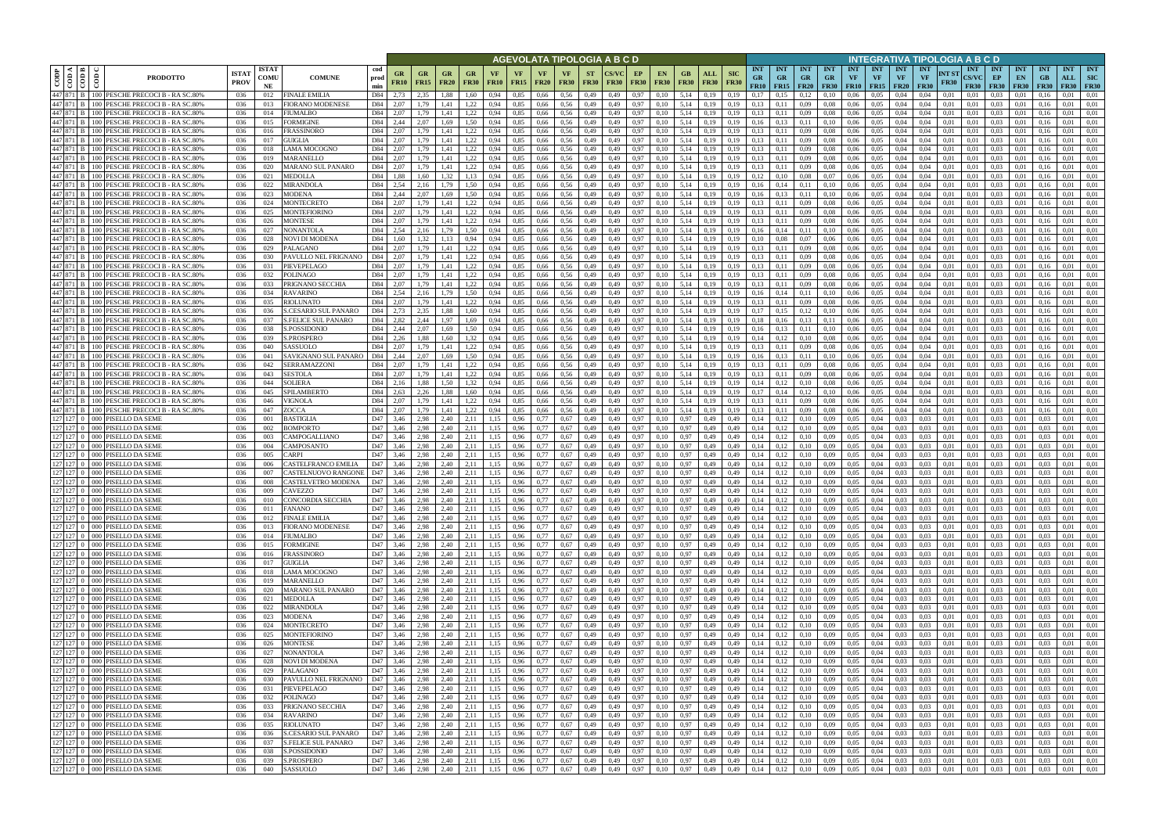|                        |                                                                                                                                                                                                                                                                                                                                                                                                                                                                 |                                                                                |                             |                            |                                          |                    |                                              |                   |                                                                |                          |                   |                   |                            |                          |                          | AGEVOLATA TIPOLOGIA A B C D |                   |                                                                |                            |                    |                                                      |                                        |                                            |                                        |                  |                                             |                                        | INTEGRATIVA TIPOLOGIA A B C D   |                      |                                           |                                 |                                 |                                 |                                  |                                         |
|------------------------|-----------------------------------------------------------------------------------------------------------------------------------------------------------------------------------------------------------------------------------------------------------------------------------------------------------------------------------------------------------------------------------------------------------------------------------------------------------------|--------------------------------------------------------------------------------|-----------------------------|----------------------------|------------------------------------------|--------------------|----------------------------------------------|-------------------|----------------------------------------------------------------|--------------------------|-------------------|-------------------|----------------------------|--------------------------|--------------------------|-----------------------------|-------------------|----------------------------------------------------------------|----------------------------|--------------------|------------------------------------------------------|----------------------------------------|--------------------------------------------|----------------------------------------|------------------|---------------------------------------------|----------------------------------------|---------------------------------|----------------------|-------------------------------------------|---------------------------------|---------------------------------|---------------------------------|----------------------------------|-----------------------------------------|
| CODP                   | $\frac{1}{\sqrt{\frac{1}{2}}\sqrt{\frac{1}{2}}\sqrt{\frac{1}{2}}\sqrt{\frac{1}{2}}\sqrt{\frac{1}{2}}\sqrt{\frac{1}{2}}\sqrt{\frac{1}{2}}\sqrt{\frac{1}{2}}\sqrt{\frac{1}{2}}\sqrt{\frac{1}{2}}\sqrt{\frac{1}{2}}\sqrt{\frac{1}{2}}\sqrt{\frac{1}{2}}\sqrt{\frac{1}{2}}\sqrt{\frac{1}{2}}\sqrt{\frac{1}{2}}\sqrt{\frac{1}{2}}\sqrt{\frac{1}{2}}\sqrt{\frac{1}{2}}\sqrt{\frac{1}{2}}\sqrt{\frac{1}{2}}\sqrt{\frac{1}{2}}\sqrt{\frac{1}{2}}\sqrt{\frac{1}{2$<br>ම් | <b>PRODOTTO</b>                                                                | <b>ISTA7</b><br><b>PROV</b> | <b>ISTAT</b><br>COMU<br>NE | <b>COMUNE</b>                            | cod<br>prod<br>min | GR<br><b>FR10</b>                            | GR<br><b>FR15</b> | GR<br><b>FR20</b>                                              | <b>GR</b><br><b>FR30</b> | VF<br><b>FR10</b> | VF<br><b>FR15</b> | <b>VF</b><br><b>FR20</b>   | <b>VF</b><br><b>FR30</b> | <b>ST</b><br><b>FR30</b> | <b>FR30</b>                 | EP<br><b>FR30</b> | <b>EN</b><br><b>FR30</b>                                       | GB<br><b>FR30</b>          | ALL<br><b>FR30</b> | <b>INT</b><br><b>SIC</b><br><b>GR</b><br><b>FR30</b> | <b>INT</b><br><b>GR</b><br><b>FR10</b> | <b>INT</b><br><b>GR</b><br>$FR15$   $FR20$ | <b>INT</b><br><b>GR</b><br><b>FR30</b> | <b>INT</b><br>VF | <b>INT</b><br><b>VF</b><br><b>FR10</b> FR15 | <b>INT</b><br><b>VF</b><br><b>FR20</b> | <b>INT</b><br>VF<br><b>FR30</b> | NT ST<br><b>FR30</b> | <b>INT</b><br><b>CS/VC</b><br><b>FR30</b> | <b>INT</b><br>EP<br><b>FR30</b> | <b>INT</b><br>EN<br><b>FR30</b> | <b>INT</b><br>GB<br><b>FR30</b> | <b>INT</b><br>ALL<br><b>FR30</b> | <b>INT</b><br><b>SIC</b><br><b>FR30</b> |
|                        |                                                                                                                                                                                                                                                                                                                                                                                                                                                                 | 447 871 B 100 PESCHE PRECOCI B - RA SC.80%                                     | 036                         | 012                        | <b>FINALE EMILIA</b>                     | D84                | 2,73                                         | 2,35              | 1.88                                                           | 1.60                     | 0.94              | 0.85              | 0,66                       | 0.56                     | 0,49                     | 0.49                        | 0.97              | 0.10                                                           | 5.14                       | 0.19               | 0.19<br>0.17                                         |                                        | 0.12                                       | 0.10                                   | 0.06             | 0.05                                        | 0.04                                   | 0.04                            | 0.01                 | 0.01                                      | 0.03                            | 0.01                            |                                 | 0.01                             | 0.01                                    |
| 447 871 B              | 447 871 B 100                                                                                                                                                                                                                                                                                                                                                                                                                                                   | PESCHE PRECOCI B - RA SC.80%<br>100 PESCHE PRECOCI B - RA SC.80%               | 036<br>036                  | 013<br>014                 | FIORANO MODENESE<br>FIUMALBO             | D84<br>D84         | 2.07<br>2,07                                 | 1,79<br>1,79      | 1,41<br>1.41                                                   | 1.22<br>1,22             | 0.94<br>0.94      | 0,85<br>0.85      | 0,66<br>0,66               | 0.56<br>0,56             | 0,49<br>0,49             | 0,49<br>0,49                | 0,97<br>0,97      | 0,10<br>0,10                                                   | 5,14<br>5,14               | 0,19<br>0,19       | 0.13<br>0,19<br>0.19<br>0,13                         | 0,11<br>0,11                           | 0,09<br>0,09                               | 0.08<br>0.08                           | 0,06<br>0.06     | 0.05<br>0,05                                | 0,04<br>0,04                           | 0.04<br>0.04                    | 0,01<br>0,01         | 0,01<br>0,01                              | 0.03<br>0.03                    | 0,01<br>0,01                    | 0.16<br>0.16                    | 0.01<br>0.01                     | 0.01<br>0.01                            |
| 447 871 B              |                                                                                                                                                                                                                                                                                                                                                                                                                                                                 | 100 PESCHE PRECOCI B - RA SC.80%                                               | 036                         | 015                        | <b>FORMIGINE</b>                         | D84                | 2,44                                         | 2.07              | 1.69                                                           | 1,50                     | 0.94              | 0.85              | 0,66                       | 0.56                     | 0,49                     | 0,49                        | 0,97              | 0.10                                                           | 5.14                       | 0.19               | 0.16<br>0.19                                         | 0.13                                   | 0.11                                       | 0,10                                   | 0.06             | 0.05                                        | 0.04                                   | 0.04                            | 0.01                 | 0.01                                      | 0.03                            | 0.01                            | 0.16                            | 0.01                             | 0.01                                    |
| 447 871 B              | 100                                                                                                                                                                                                                                                                                                                                                                                                                                                             | PESCHE PRECOCI B - RA SC.80%                                                   | 036                         | 016                        | FRASSINORO                               | D84                | 2.07                                         | 1.79              | 1.41                                                           | 1,22                     | 0.94              | 0.85              | 0.66                       | 0.56                     | 0,49                     | 0.49                        | 0.97              | 0.10                                                           | 5.14                       | 0.19               | 0.13<br>0.19                                         | 0.11                                   | 0.09                                       | 0.08                                   | 0.06             | 0.05                                        | 0.04                                   | 0.04                            | 0.01                 | 0.01                                      | 0.03                            | 0.01                            | 01                              | 0.01                             | 0.01                                    |
| 447 871 B<br>447 871 B | 100                                                                                                                                                                                                                                                                                                                                                                                                                                                             | PESCHE PRECOCI B - RA SC.80%<br>100 PESCHE PRECOCI B - RA SC.80%               | 036<br>036                  | 017<br>018                 | GUIGLIA<br>LAMA MOCOGNO                  | D84<br>D84         | 2.07<br>2.07                                 | 1,79<br>1.79      | 1.41<br>1.41                                                   | 1,22<br>1,22             | 0.94<br>0.94      | 0.85<br>0.85      | 0,66<br>0.66               | 0.56<br>0.56             | 0,49<br>0,49             | 0,49<br>0.49                | 0,97<br>0.97      | 0,10<br>0,10                                                   | 5.14<br>5.14               | 0,19<br>0.19       | 0.13<br>0.19<br>0.13<br>0.19                         | 0,11<br>0.11                           | 0,09<br>0.09                               | 0.08<br>0.08                           | 0,06<br>0.06     | 0.05<br>0.05                                | 0.04<br>0.04                           | 0.04<br>0.04                    | 0.01<br>0.01         | 0.01<br>0.01                              | 0.03<br>0.03                    | 0,01<br>0.01                    | 0.16<br>0.16                    | 0.01<br>0.01                     | 0.01<br>0.01                            |
|                        |                                                                                                                                                                                                                                                                                                                                                                                                                                                                 | 447 871 B   100 PESCHE PRECOCI B - RA SC.80%                                   | 036                         | 019                        | <b>MARANELLO</b>                         | D84                | 2.07                                         | 1,79              | 1.41                                                           | 1,22                     | 0.94              | 0.85              | 0.66                       | 0.56                     | 0,49                     | 0,49                        | 0,97              | 0,10                                                           | 5.14                       | 0.19               | 0.13<br>0.19                                         | 0,11                                   | 0,09                                       | 0.08                                   | 0.06             | 0.05                                        | 0.04                                   | 0.04                            | 0.01                 | 0.01                                      | 0.03                            | 0.01                            | 0.16                            | 0.01                             | 0.01                                    |
| 447 871 B              |                                                                                                                                                                                                                                                                                                                                                                                                                                                                 | 100 PESCHE PRECOCI B - RA SC.80%                                               | 036                         | 020                        | MARANO SUL PANARO                        | D84                | 2.07                                         | 1.79              | 1,41                                                           | 1,22                     | 0.94              | 0.85              | 0.66                       | 0.56                     | 0,49                     | 0.49                        | 0,97              | 0,10                                                           | 5.14                       | 0,19               | 0.19<br>0,13                                         | 0,11                                   | 0,09                                       | 0.08                                   | 0.06             | 0.05                                        | 0.04                                   | 0.04                            | 0.01                 | 0.01                                      | 0.03                            | 0,01                            | 0.16                            | 0.01                             | 0.01                                    |
| 447 871 B<br>447 871 B | $100 -$                                                                                                                                                                                                                                                                                                                                                                                                                                                         | PESCHE PRECOCI B - RA SC.80%<br>100 PESCHE PRECOCI B - RA SC.80%               | 036<br>036                  | 021<br>022                 | <b>MEDOLLA</b><br>MIRANDOLA              | D84<br>D84         | 1,88<br>2,54                                 | 1,60<br>2,16      | 1,32<br>1.79                                                   | 1,13<br>1.50             | 0.94<br>0.94      | 0,85<br>0,85      | 0,66<br>0,66               | 0.56<br>0.56             | 0,49<br>0,49             | 0,49<br>0.49                | 0,97<br>0.97      | 0.10<br>0,10                                                   | 5.14<br>5,14               | 0.19<br>0.19       | 0,12<br>0.19<br>0.19<br>0,16                         | 0,10<br>0,14                           | 0,08<br>0,11                               | 0,07<br>0,10                           | 0,06<br>0.06     | 0,05<br>0.05                                | 0.04<br>0.04                           | 0.04<br>0.04                    | 0,01<br>0.01         | 0.01<br>0.01                              | 0.03<br>0.03                    | 0,01<br>0,01                    | 0.16<br>0.16                    | 0.01<br>0.01                     | 0.01<br>0.01                            |
|                        | 447 871 B 100                                                                                                                                                                                                                                                                                                                                                                                                                                                   | PESCHE PRECOCI B - RA SC.80%                                                   | 036                         | 023                        | MODENA                                   | D84                | 2,44                                         | 2,07              | 1,69                                                           | 1,50                     | 0,94              | 0,85              | 0,66                       | 0,56                     | 0,49                     | 0,49                        | 0,97              | 0,10                                                           | 5,14                       | 0,19               | 0,19<br>0,16                                         | 0,13                                   | 0,11                                       | 0,10                                   | 0,06             | 0,05                                        | 0,04                                   | 0,04                            | 0,01                 | 0,01                                      | 0.03                            | 0,01                            | 0,16                            | 0,01                             | 0,01                                    |
|                        |                                                                                                                                                                                                                                                                                                                                                                                                                                                                 | 447 871 B 100 PESCHE PRECOCI B - RA SC.80%                                     | 036                         | 024                        | MONTECRETO                               | D84                | 2.07                                         | 1.79              | 1.41                                                           | 1.22                     | 0.94              | 0,85              | 0,66                       | 0.56                     | 0,49                     | 0.49                        | 0.97              | 0.10                                                           | 5,14                       | 0.19               | 0,13<br>0.19                                         | 0.11                                   | 0.09                                       | 0.08                                   | 0,06             | 0.05                                        | 0,04                                   | 0.04                            | 0.01                 | 0.01                                      | 0.03                            | 0.01                            | 0.16                            | 0,01                             | 0.01                                    |
|                        |                                                                                                                                                                                                                                                                                                                                                                                                                                                                 | 447 871 B 100 PESCHE PRECOCI B - RA SC.80%                                     | 036                         | 025                        | MONTEFIORINO                             | D84                | 2,07                                         | 1,79              | 1,41                                                           | 1,22                     | 0.94              | 0,85              | 0,66                       | 0.56                     | 0,49                     | 0.49                        | 0,97              | 0.10                                                           | 5,14                       | 0,19               | 0,13<br>0.19                                         | 0,11                                   | 0,09                                       | 0.08                                   | 0,06             | 0,05                                        | 0,04                                   | 0.04                            | 0,01                 | 0.01                                      | 0.03                            | 0,01                            | 0.16                            | 0.01                             | 0.01                                    |
| 447 871 B              |                                                                                                                                                                                                                                                                                                                                                                                                                                                                 | 447 871 B 100 PESCHE PRECOCI B - RA SC.80%<br>100 PESCHE PRECOCI B - RA SC.80% | 036<br>036                  | 026<br>027                 | MONTESE<br>NONANTOLA                     | D84<br>D84         | 2,07<br>2.54                                 | 1,79<br>2.16      | 1.41<br>1.79                                                   | 1,22<br>1.50             | 0,94<br>0.94      | 0,85<br>0.85      | 0,66<br>0.66               | 0.56<br>0.56             | 0,49<br>0.49             | 0,49<br>0.49                | 0,97<br>0.97      | 0,10<br>0.10                                                   | 5,14<br>5.14               | 0,19<br>0.19       | 0,13<br>0.19<br>0.16<br>0.19                         | 0.11<br>0.14                           | 0,09<br>0.11                               | 0.08<br>0.10                           | 0,06<br>0.06     | 0,05<br>0.05                                | 0,04<br>0.04                           | 0.04<br>0.04                    | 0.01<br>0.01         | 0.01<br>0.01                              | 0.03<br>0.03                    | 0,01<br>0.01                    | 0.16<br>0.16                    | 0,01<br>0.01                     | 0.01<br>0.01                            |
| 447 871 B              |                                                                                                                                                                                                                                                                                                                                                                                                                                                                 | 100 PESCHE PRECOCI B - RA SC.80%                                               | 036                         | 028                        | NOVI DI MODENA                           | D84                | 1.60                                         | 1.32              | 1.13                                                           | 0.94                     | 0.94              | 0.85              | 0.66                       | 0.56                     | 0,49                     | 0.49                        | 0.97              | 0.10                                                           | 5.14                       | 0.19               | 0.10<br>0.19                                         | 0.08                                   | 0.07                                       | 0.06                                   | 0.06             | 0.05                                        | 0.04                                   | 0.04                            | 0.01                 | 0.01                                      | 0.03                            | 0.01                            | 0.16                            | 0.01                             | 0.01                                    |
| 447 871 B              |                                                                                                                                                                                                                                                                                                                                                                                                                                                                 | 100 PESCHE PRECOCI B - RA SC.80%                                               | 036                         | 029                        | PALAGANO                                 | D84                | 2.07                                         | 1.79              | 1.41                                                           | 1,22                     | 0.94              | 0,85              | 0,66                       | 0.56                     | 0,49                     | 0.49                        | 0,97              | 0.10                                                           | 5.14                       | 0.19               | 0,13<br>0.19                                         | 0,11                                   | 0,09                                       | 0.08                                   | 0.06             | 0.05                                        | 0.04                                   | 0.04                            | 0.01                 | 0.01                                      | 0,03                            | 0.01                            | 0.16                            | 0.01                             | 0.01                                    |
| 447 871 B<br>447 871 B | 100                                                                                                                                                                                                                                                                                                                                                                                                                                                             | 100 PESCHE PRECOCI B - RA SC.809<br>PESCHE PRECOCI B - RA SC.80%               | 036<br>036                  | 030<br>031                 | PAVULLO NEL FRIGNANO<br>PIEVEPELAGO      | D84<br>D84         | 2.07<br>2.07                                 | .79<br>.79        | 1.41<br>1.41                                                   | 1,22<br>1,22             | 0.94              | 0.85<br>0.85      | 0.66<br>0.66               | 0.56<br>0.56             | 0.49<br>0.49             | 0.49<br>0.49                | 0.97<br>0.97      | 0.10<br>0.10                                                   | 5.14<br>5.14               | 0.19<br>0.19       | 0.13<br>0.19<br>0.13<br>0.19                         |                                        | 0.09<br>0.09                               | 0.08<br>0.08                           | 0.06<br>0.06     | 0.05<br>0.05                                | 0.04<br>0.04                           | 0.04<br>0.04                    | 0.01<br>0.01         | 0.01<br>0.01                              | 0.03<br>0.03                    | 0.01<br>0.01                    |                                 | 0.01<br>0.01                     | 0.01<br>0.01                            |
| 447 871 B              |                                                                                                                                                                                                                                                                                                                                                                                                                                                                 | 100 PESCHE PRECOCI B - RA SC.80%                                               | 036                         | 032                        | POLINAGO                                 | D84                | 2.07                                         | 1.79              | 1.41                                                           | 1,22                     |                   | 0.85              | 0.66                       | 0.56                     | 0,49                     | 0.49                        | 0,97              | 0,10                                                           | 5.14                       | 0.19               | 0.13<br>0.19                                         | 0,11                                   | 0,09                                       | 0.08                                   | 0.06             | 0.05                                        | 0.04                                   | 0.04                            | 0.01                 | 0.01                                      | 0.03                            | 0.01                            |                                 | 0.01                             | 0.01                                    |
| 447 871 B              |                                                                                                                                                                                                                                                                                                                                                                                                                                                                 | 100 PESCHE PRECOCI B - RA SC.80%                                               | 036                         | 033                        | PRIGNANO SECCHIA                         | D84                | 2.07                                         | 1.79              | 1.41                                                           | 1.22                     | 0.94              | 0.85              | 0.66                       | 0.56                     | 0,49                     | 0.49                        | 0.97              | 0.10                                                           | 5.14                       | 0.19               | 0.13<br>0.19                                         | 0.11                                   | 0,09                                       | 0.08                                   | 0.06             | 0.05                                        | 0.04                                   | 0.04                            | 0.01                 | 0.01                                      | 0.03                            | 0.01                            |                                 | 0.01                             | 0.01                                    |
| 447 871 B              | 100                                                                                                                                                                                                                                                                                                                                                                                                                                                             | 447 871 B 100 PESCHE PRECOCI B - RA SC.80%<br>PESCHE PRECOCI B - RA SC.80%     | 036                         | 034<br>035                 | RAVARINO                                 | D84<br>D84         | 2.54<br>2.07                                 | 2,16              | 1.79                                                           | 1.50                     |                   | 0,85              | 0,66                       | 0.56<br>0.56             | 0,49                     | 0,49                        | 0.97<br>0.97      | 0,10                                                           | 5.14<br>5.14               | 0.19               | 0,19<br>0,16<br>0,13<br>0.19                         | 0,14                                   | 0,11                                       | 0,10                                   | 0,06<br>0.06     | 0.05<br>0.05                                | 0,04                                   | 0.04<br>0.04                    | 0.01<br>0.01         | 0,01<br>0.01                              | 0.03<br>0.03                    | 0.01                            | 0.16                            | 0.01                             | 0.01<br>0.01                            |
| 447 871 B              | 100                                                                                                                                                                                                                                                                                                                                                                                                                                                             | PESCHE PRECOCI B - RA SC.80%                                                   | 036<br>036                  | 036                        | RIOLUNATO<br><b>S.CESARIO SUL PANARO</b> | D84                | 2.73                                         | 1.79<br>2,35      | 1,41<br>1.88                                                   | 1,22<br>1.60             | 0.94<br>0.94      | 0,85<br>0,85      | 0,66<br>0,66               | 0.56                     | 0,49<br>0,49             | 0.49<br>0,49                | 0.97              | 0.10<br>0.10                                                   | 5.14                       | 0.19<br>0.19       | 0.17<br>0.19                                         | 0.11                                   | 0,09<br>0.12                               | 0,08<br>0,10                           | 0,06             | 0.05                                        | 0.04<br>0.04                           | 0.04                            | 0.01                 | 0.01                                      | 0.03                            | 0.01<br>0.01                    | 0.16                            | 0.01<br>0.01                     | 0.01                                    |
| 447 871                | 100                                                                                                                                                                                                                                                                                                                                                                                                                                                             | PESCHE PRECOCI B - RA SC.80%                                                   | 036                         | 037                        | S.FELICE SUL PANARO                      | D84                | 2,82                                         | 2,44              | 1.97                                                           | .69                      | 0.94              | 0.85              | 0.66                       | 0.56                     | 0,49                     | 0.49                        | 0.97              | 0.10                                                           | 5.14                       | 0.19               | 0.19<br>0.18                                         |                                        | 0.13                                       | 0.11                                   | 0.06             | 0.05                                        | 0.04                                   | 0.04                            | 0.01                 | 0.01                                      | 0.03                            | 0.01                            |                                 | 0.01                             | 0.01                                    |
|                        |                                                                                                                                                                                                                                                                                                                                                                                                                                                                 | 447 871 B 100 PESCHE PRECOCI B - RA SC.80%                                     | 036                         | 038                        | <b>S.POSSIDONIO</b>                      | D84                | 2,44                                         | 2,07              | 1,69                                                           | 1,50                     | 0,94              | 0,85              | 0,66                       | 0,56                     | 0,49                     | 0,49                        | 0,97              | 0,10                                                           | 5,14                       | 0,19               | 0,19<br>0,16                                         | 0,13                                   | 0,11                                       | 0,10                                   | 0,06             | 0,05                                        | 0,04                                   | 0,04                            | 0,01                 | 0,01                                      | 0,03                            | 0,01                            | 0.16                            | 0,01                             | 0,01                                    |
| 447 871 B              |                                                                                                                                                                                                                                                                                                                                                                                                                                                                 | 100 PESCHE PRECOCI B - RA SC.80%<br>447 871 B 100 PESCHE PRECOCI B - RA SC.80% | 036<br>036                  | 039<br>040                 | S.PROSPERO<br>SASSUOLO                   | D84<br>D84         | 2.26<br>2.07                                 | 1.88<br>1,79      | 1.60<br>1.41                                                   | 1,32<br>1,22             | 0.94<br>0.94      | 0.85<br>0.85      | 0.66<br>0,66               | 0.56<br>0.56             | 0,49<br>0,49             | 0.49<br>0,49                | 0,97<br>0,97      | 0.10<br>0,10                                                   | 5.14<br>5.14               | 0.19<br>0.19       | 0.19<br>0.14<br>0.13<br>0.19                         | 0,12<br>0,11                           | 0,10<br>0,09                               | 0.08<br>0.08                           | 0.06<br>0,06     | 0.05<br>0.05                                | 0.04<br>0.04                           | 0.04<br>0.04                    | 0.01<br>0.01         | 0.01<br>0.01                              | 0.03<br>0.03                    | 0.01<br>0.01                    | 016<br>0.16                     | 0.01<br>0.01                     | 0.01<br>0.01                            |
| 447 871 B              |                                                                                                                                                                                                                                                                                                                                                                                                                                                                 | 100 PESCHE PRECOCI B - RA SC.80%                                               | 036                         | 041                        | SAVIGNANO SUL PANARO                     | D84                | 2,44                                         | 2.07              | 1.69                                                           | 1,50                     | 0.94              | 0.85              | 0.66                       | 0.56                     | 0,49                     | 0.49                        | 0,97              | 0.10                                                           | 5.14                       | 0.19               | 0.19<br>0,16                                         | 0.13                                   | 0,11                                       | 0,10                                   | 0.06             | 0.05                                        | 0.04                                   | 0.04                            | 0.01                 | 0.01                                      | 0.03                            | 0.01                            | 016                             | 0.01                             | 0.01                                    |
| 447 871 B              | 100                                                                                                                                                                                                                                                                                                                                                                                                                                                             | PESCHE PRECOCI B - RA SC.80%                                                   | 036                         | 042                        | SERRAMAZZONI                             | D84                | 2.07                                         | 1.79              | 1.41                                                           | 1,22                     | 0.94              | 0.85              | 0.66                       | 0.56                     | 0,49                     | 0.49                        | 0,97              | 0.10                                                           | 5.14                       | 0.19               | 0.19<br>0.13                                         | 0,11                                   | 0,09                                       | 0.08                                   | 0.06             | 0.05                                        | 0.04                                   | 0.04                            | 0.01                 | 0.01                                      | 0.03                            | 0.01                            | 0.16                            | 0.01                             | 0.01                                    |
| 447 871 B<br>447 871 B |                                                                                                                                                                                                                                                                                                                                                                                                                                                                 | 100 PESCHE PRECOCI B - RA SC.80%<br>100 PESCHE PRECOCI B - RA SC.80%           | 036<br>-036                 | 043<br>044                 | <b>SESTOLA</b><br><b>SOLIERA</b>         | D84<br>D84         | 2.07<br>2,16                                 | 1.79<br>1,88      | 1.41<br>1.50                                                   | 1,22<br>1,32             | 0.94<br>0,94      | 0.85<br>0.85      | 0.66<br>0,66               | 0.56<br>0.56             | 0,49<br>0,49             | 0.49<br>0,49                | 0.97<br>0,97      | 0,10<br>0,10                                                   | 5.14<br>5,14               | 0.19<br>0,19       | 0.13<br>0.19<br>0,14<br>0,19                         | 0.11<br>0,12                           | 0.09<br>0,10                               | 0.08<br>0.08                           | 0.06<br>0,06     | 0.05<br>0.05                                | 0.04<br>0,04                           | 0.04<br>0.04                    | 0.01<br>0,01         | 0.01<br>0,01                              | 0.03<br>0,03                    | 0.01<br>0,01                    | 0.16<br>0.16                    | 0.01<br>0.01                     | 0.01<br>0.01                            |
| 447 871 B              | $100 -$                                                                                                                                                                                                                                                                                                                                                                                                                                                         | PESCHE PRECOCI B - RA SC.80%                                                   | 036                         | 045                        | SPILAMBERTO                              | D84                | 2.63                                         | 2,26              | 1.88                                                           | 1.60                     | 0.94              | 0.85              | 0,66                       | 0.56                     | 0,49                     | 0.49                        | 0.97              | 0,10                                                           | 5,14                       | 0.19               | 0,17<br>0.19                                         | 0,14                                   | 0,12                                       | 0,10                                   | 0.06             | 0.05                                        | 0.04                                   | 0.04                            | 0.01                 | 0.01                                      | 0.03                            | 0.01                            | 0.16                            | 0.01                             | 0.01                                    |
|                        |                                                                                                                                                                                                                                                                                                                                                                                                                                                                 | 447 871 B   100 PESCHE PRECOCI B - RA SC.80%                                   | 036                         | 046                        | VIGNOLA                                  | D84                | 2,07                                         | 1,79              | 1,41                                                           | 1,22                     | 0.94              | 0,85              | 0,66                       | 0.56                     | 0,49                     | 0,49                        | 0,97              | 0,10                                                           | 5,14                       | 0,19               | 0.13<br>0.19                                         | 0,11                                   | 0,09                                       | 0.08                                   | 0,06             | 0.05                                        | 0.04                                   | 0.04                            | 0,01                 | 0.01                                      | 0.03                            | 0,01                            | 0.16                            | 0.01                             | 0,01                                    |
|                        |                                                                                                                                                                                                                                                                                                                                                                                                                                                                 | 447 871 B 100 PESCHE PRECOCI B - RA SC.80%                                     | 036                         | 047                        | ZOCCA                                    | D84                | 2,07                                         | 1,79              | 1,41                                                           | 1,22                     | 0,94              | 0,85              | 0,66                       | 0,56                     | 0,49                     | 0,49                        | 0,97              | 0,10                                                           | 5,14                       | 0,19               | 0.19<br>0.13                                         | 0,11                                   | 0,09                                       | 0.08                                   | 0,06             | 0,05                                        | 0,04                                   | 0.04                            | 0,01                 | 0,01                                      | 0,03                            | 0,01                            | 0.16                            | 0,01                             | 0,01                                    |
|                        |                                                                                                                                                                                                                                                                                                                                                                                                                                                                 | 127 127 0 000 PISELLO DA SEME<br>127 127 0 000 PISELLO DA SEME                 | 036<br>036                  | 001<br>002                 | BASTIGLIA<br>BOMPORTO                    | D47<br>D47         | 3,46<br>3.46                                 | 2.98<br>2.98      | 2.40<br>2.40                                                   | 2,11<br>2.11             | 1,15<br>1,15      | 0,96<br>0,96      | 0.77<br>0,77               | 0,67<br>0,67             | 0,49<br>0,49             | 0,49<br>0,49                | 0,97<br>0,97      | 0.10<br>0,10                                                   | 0,97<br>0.97               | 0,49<br>0,49       | 0.14<br>0,49<br>0,14<br>0.49                         | 0,12<br>0.12                           | 0,10<br>0,10                               | 0,09<br>0,09                           | 0,05<br>0,05     | 0.04<br>0.04                                | 0.03<br>0.03                           | 0.03<br>0.03                    | 0,01<br>0.01         | 0.01<br>0.01                              | 0.03<br>0.03                    | 0,01<br>0,01                    | 0.03<br>0.03                    | 0.01<br>0,01                     | 0.01<br>0.01                            |
|                        |                                                                                                                                                                                                                                                                                                                                                                                                                                                                 | 127 127 0 000 PISELLO DA SEME                                                  | 036                         | 003                        | CAMPOGALLIANO                            | D47                | 3,46                                         | 2,98              | 2,40                                                           | 2,11                     | 1,15              | 0,96              | 0.77                       | 0,67                     | 0,49                     | 0,49                        | 0,97              | 0.10                                                           | 0.97                       | 0,49               | 0,14<br>0.49                                         | 0,12                                   | 0,10                                       | 0.09                                   | 0,05             | 0,04                                        | 0.03                                   | 0.03                            | 0.01                 | 0.01                                      | 0,03                            | 0,01                            | 0.03                            | 0.01                             | 0.01                                    |
|                        |                                                                                                                                                                                                                                                                                                                                                                                                                                                                 | 127 127 0 000 PISELLO DA SEME                                                  | 036                         | 004                        | CAMPOSANTO                               | D47                | 3.46                                         | 2.98              | 2.40                                                           | 2.11                     | 1.15              | 0.96              | 0.77                       | 0.67                     | 0,49                     | 0.49                        | 0,97              | 0.10                                                           | 0.97                       | 0.49               | 0.14<br>0.49                                         | 0.12                                   | 0.10                                       | 0.09                                   | 0.05             | 0.04                                        | 0.03                                   | 0.03                            | 0.01                 | 0.01                                      | 0.03                            | 0.01                            | 0.03                            | 0.01                             | 0.01                                    |
|                        |                                                                                                                                                                                                                                                                                                                                                                                                                                                                 | 127 127 0 000 PISELLO DA SEME<br>127 127 0 000 PISELLO DA SEME                 | 036<br>036                  | 005<br>006                 | CARPI<br>CASTELFRANCO EMILIA             | D47<br>D47         | 3.46<br>3.46                                 | 2.98<br>2,98      | 2.40<br>2,40                                                   | 2.11<br>2.11             | 1.15<br>1,15      | 0.96<br>0,96      | 0.77<br>0.77               | 0.67<br>0.67             | 0,49<br>0,49             | 0.49<br>0.49                | 0.97<br>0,97      | 0.10<br>0,10                                                   | 0.97<br>0,97               | 0.49<br>0,49       | 0.14<br>0.49<br>0,14<br>0.49                         | 0.12<br>0,12                           | 0.10<br>0,10                               | 0.09<br>0,09                           | 0.05<br>0,05     | 0.04<br>0.04                                | 0.03<br>0,03                           | 0.03<br>0.03                    | 0.01<br>0.01         | 0.01<br>0.01                              | 0.03<br>0,03                    | 0.01<br>0,01                    | 0.03<br>0.03                    | 0.01<br>0,01                     | 0.01<br>0.01                            |
|                        |                                                                                                                                                                                                                                                                                                                                                                                                                                                                 | 127 127 0 000 PISELLO DA SEME                                                  | 036                         | 007                        | CASTELNUOVO RANGONI                      | D47                | 3.46                                         | 2.98              | 2.40                                                           | 2.11                     | 1.15              | 0.96              | 0.77                       | 0.67                     | 0.49                     | 0.49                        | 0.97              | 0.10                                                           | 0.97                       | 0.49               | 0.14<br>0.49                                         |                                        | 0.10                                       | 0.09                                   | 0.05             | 0.04                                        | 0.03                                   | 0.03                            | 0.01                 | 0.01                                      | 0.03                            | 0.01                            | 0.03                            | 0.01                             | 0.01                                    |
|                        |                                                                                                                                                                                                                                                                                                                                                                                                                                                                 | 127 127 0 000 PISELLO DA SEME                                                  | 036                         | 008                        | CASTELVETRO MODENA                       | D47                | 3,46                                         | 2.98              | 2.40                                                           | 2.11                     | 1.15              | 0.96              | 0.77                       | 0.67                     | 0,49                     | 0.49                        | 0.97              | 0.10                                                           | 0.97                       | 0.49               | 0.14<br>0.49                                         | 0,12                                   | 0.10                                       | 0,09                                   | 0.05             | 0.04                                        | 0.03                                   | 0.03                            | 0.01                 | 0.01                                      | 0.03                            | 0.01                            | 0.03                            | 0.01                             | 0.01                                    |
|                        |                                                                                                                                                                                                                                                                                                                                                                                                                                                                 | 127 127 0 000 PISELLO DA SEME<br>127 127 0 000 PISELLO DA SEME                 | 036<br>036                  | 009<br>010                 | CAVEZZO<br><b>CONCORDIA SECCHIA</b>      | D47                | 3,46<br>D <sub>47</sub> 3,46                 | 2,98<br>2,98      | 2.40<br>2,40                                                   | 2,11<br>2,11             | 1.15<br>1,15      | 0.96<br>0,96      | 0.77<br>0,77               | 0.67<br>0,67             | 0.49<br>0,49             | 0.49<br>0,49                | 0.97<br>0,97      | 0,10                                                           | 0.97<br>0,97               | 0.49<br>0,49       | 0.49<br>0.14<br>0,14<br>0,49                         | 0,12<br>0,12                           | 0.10<br>0,10                               | 0.09<br>0,09                           | 0.05<br>0,05     | 0.04<br>0,04                                | 0.03<br>0.03                           | 0.03<br>0,03                    | 0.01<br>0,01         | 0.01<br>0,01                              | 0.03<br>0,03                    | 0.01<br>0,01                    | 0.03<br>0,03                    | 0.01<br>0,01                     | 0.01<br>0,01                            |
|                        |                                                                                                                                                                                                                                                                                                                                                                                                                                                                 | 127 127 0 000 PISELLO DA SEME                                                  | 036                         | 011                        | FANANO                                   |                    | D <sub>47</sub> 3,46                         | 2,98              | 2,40                                                           | 2,11                     | 1,15              | 0,96              | 0,77                       | 0,67                     | 0,49                     | 0,49                        | 0,97              | 0,10                                                           | 0,97                       | 0,49               | 0,49<br>0,14                                         | 0,12                                   | 0,10                                       | 0,09                                   | 0,05             | 0,04                                        | 0.03                                   | 0,03                            | 0,01                 | 0,01                                      | 0,03                            | 0,01                            | 0,03                            | 0,01                             | 0,01                                    |
|                        |                                                                                                                                                                                                                                                                                                                                                                                                                                                                 | 127 127 0 000 PISELLO DA SEME                                                  | 036                         | 012                        | <b>FINALE EMILIA</b>                     |                    | D47 3,46                                     | 2,98              | 2,40                                                           | 2,11                     | 1,15              | 0,96              | $0,77$ 0.67                |                          | 0,49                     | 0,49                        | 0,97              | 0,10                                                           | 0,97                       | 0,49               | 0,14<br>0,49                                         | 0,12                                   | 0,10                                       | 0,09                                   |                  | $0,05$ 0.04                                 | 0,03                                   | 0,03                            | 0,01                 | 0,01                                      | 0,03                            | 0,01                            | 0,03                            | 0,01                             | 0,01                                    |
|                        |                                                                                                                                                                                                                                                                                                                                                                                                                                                                 | 127 127 0 000 PISELLO DA SEME<br>127 127 0 000 PISELLO DA SEME                 | 036<br>036                  | 013<br>014                 | <b>FIORANO MODENESE</b><br>FIUMALBO      |                    | D <sub>47</sub> 3,46<br>D <sub>47</sub> 3,46 | 2,98<br>2,98      | 2,40<br>2,40                                                   | 2,11<br>2,11             | 1,15<br>1,15      | 0,96<br>0,96      | $0,77$ 0.67<br>0,77        | 0,67                     | 0,49<br>0,49             | 0,49<br>0,49                |                   | 0,97<br>0,10<br>0,97<br>0,10                                   | 0,97<br>0,97               | 0,49<br>0,49       | 0,49<br>0,14<br>0,49<br>0,14                         | 0,12<br>0,12                           | 0,10<br>0,10                               | 0,09<br>0,09                           | 0,05             | $0,05$ 0.04<br>0,04                         | 0,03<br>0.03                           | 0,03<br>0,03                    | 0,01<br>0,01         | 0,01<br>0,01                              | 0,03<br>0,03                    | 0,01<br>0,01                    | 0,03<br>0,03                    | 0,01<br>0,01                     | 0,01<br>0,01                            |
|                        |                                                                                                                                                                                                                                                                                                                                                                                                                                                                 | 127 127 0 000 PISELLO DA SEME                                                  | 036                         | 015                        | <b>FORMIGINE</b>                         |                    | D <sub>47</sub> 3,46                         | 2,98              | 2,40                                                           | 2,11                     | 1,15              | 0,96              | 0,77                       | 0,67                     | 0,49                     | 0,49                        |                   | 0,97<br>0,10                                                   | $0,97$ 0,49                |                    | 0,49<br>0,14                                         | 0,12                                   | 0,10                                       | 0,09                                   | 0,05             | 0,04                                        | 0,03                                   | 0,03                            | 0,01                 | 0,01                                      | 0,03                            | 0,01                            | 0,03                            | 0,01                             | 0,01                                    |
|                        |                                                                                                                                                                                                                                                                                                                                                                                                                                                                 | 127 127 0 000 PISELLO DA SEME                                                  | 036                         | 016                        | <b>FRASSINORO</b>                        |                    | D <sub>47</sub> 3,46                         | 2,98 2,40         |                                                                | 2,11                     | 1,15              | 0,96              | $0,77$ 0.67                |                          | 0,49                     | 0,49                        |                   | 0,97<br>0,10                                                   | 0,97                       | 0,49               | 0,14<br>0,49                                         |                                        | $0,12$ $0,10$                              | 0,09                                   |                  | $0,05$ 0.04                                 | 0,03                                   | 0.03                            | 0,01                 | 0.01                                      | 0,03                            | 0,01                            | 0,03                            | 0.01                             | 0,01                                    |
|                        |                                                                                                                                                                                                                                                                                                                                                                                                                                                                 | 127 127 0 000 PISELLO DA SEME<br>127 127 0 000 PISELLO DA SEME                 | 036<br>036                  | 017                        | <b>GUIGLIA</b><br>LAMA MOCOGNO           |                    | D <sub>47</sub> 3,46<br>D47 3,46             |                   | 2,98 2,40<br>2,98 2,40                                         | 2,11<br>2,11             | 1,15<br>1,15      | 0,96<br>0,96      | $0,77$ 0.67<br>$0,77$ 0.67 |                          | 0,49<br>0,49             | 0,49<br>0,49                |                   | 0,97<br>0,10<br>0,97<br>0,10                                   | 0,97 0,49<br>0,97          | 0,49               | 0,49<br>0,14<br>0,49<br>0,14                         |                                        | $0,12 \quad 0,10$<br>$0,12$ $0,10$         | 0,09<br>0,09                           |                  | $0.05$ 0.04<br>$0,05$ 0.04                  | 0,03<br>0,03                           | 0,03<br>0,03                    | 0,01<br>0,01         | 0.01<br>0,01                              | 0,03<br>0,03                    | 0,01<br>0,01                    | 0,03<br>0,03                    | 0.01<br>0,01                     | 0,01<br>0,01                            |
|                        |                                                                                                                                                                                                                                                                                                                                                                                                                                                                 | 127 127 0 000 PISELLO DA SEME                                                  | 036                         | 018<br>019                 | <b>MARANELLO</b>                         |                    | D <sub>47</sub> 3,46                         | 2,98              | 2,40                                                           | 2,11                     | 1,15              | 0,96              | $0,77$ 0.67                |                          | 0,49                     | 0,49                        |                   | 0,97<br>0,10                                                   | $0,97$ 0,49                |                    | 0,14<br>0,49                                         | 0,12                                   | 0,10                                       | 0,09                                   | 0,05             | 0,04                                        | 0,03                                   | 0,03                            | 0,01                 | 0,01                                      | 0,03                            | 0,01                            | 0,03                            | 0.01                             | 0,01                                    |
|                        |                                                                                                                                                                                                                                                                                                                                                                                                                                                                 | 127 127 0 000 PISELLO DA SEME                                                  | 036                         | 020                        | MARANO SUL PANARO                        |                    | D <sub>47</sub> 3,46                         | 2,98              | 2,40                                                           | 2,11                     | 1,15              | 0,96              | $0,77$ 0.67                |                          | 0,49                     | 0,49                        |                   | 0,97<br>0,10                                                   | 0,97                       | 0,49               | 0,14<br>0,49                                         | 0,12                                   | 0,10                                       | 0,09                                   | 0,05             | 0,04                                        | 0,03                                   | 0,03                            | 0,01                 | 0,01                                      | 0,03                            | 0,01                            | 0,03                            | 0.01                             | 0,01                                    |
|                        |                                                                                                                                                                                                                                                                                                                                                                                                                                                                 | 127 127 0 000 PISELLO DA SEME<br>127 127 0 000 PISELLO DA SEME                 | 036                         | 021                        | MEDOLLA                                  |                    | D <sub>47</sub> 3,46                         | 2,98              | 2,40                                                           | 2,11                     | 1,15              | 0,96              | $0,77$ 0.67                |                          | 0,49                     | 0,49                        |                   | 0,97<br>0,10                                                   | $0,97$ 0.49                |                    | 0,14<br>0,49                                         | 0,12                                   | 0,10                                       | 0,09                                   | 0,05             | 0,04                                        | 0,03                                   | 0,03                            | 0,01                 | 0,01                                      | $0,03$ $0,01$                   |                                 | 0,03                            | 0,01                             | 0,01                                    |
|                        |                                                                                                                                                                                                                                                                                                                                                                                                                                                                 | 127 127 0 000 PISELLO DA SEME                                                  | 036<br>036                  | 022<br>023                 | <b>MIRANDOLA</b><br><b>MODENA</b>        |                    | D <sub>47</sub> 3,46<br>D <sub>47</sub> 3,46 | 2,98<br>2,98      | 2,40<br>2,40                                                   | 2,11<br>2,11             | 1,15<br>1,15      | 0,96<br>0,96      | $0,77$ 0.67<br>$0,77$ 0.67 |                          | 0,49<br>0,49             | 0,49<br>0,49                | 0,97              | 0,10<br>0,97<br>0,10                                           | 0,97<br>$0,97$ 0,49        | 0,49               | 0,14<br>0,49<br>0,49                                 | 0,12<br>0,14<br>0,12                   | 0,10<br>0,10                               | 0,09<br>0,09                           | 0,05<br>0,05     | 0,04<br>0,04                                | 0,03<br>0,03                           | 0,03<br>0,03                    | 0,01<br>0,01         | 0,01<br>0,01                              | $0,03$ 0.01<br>$0,03$ $0,01$    |                                 | 0,03<br>0,03                    | 0,01<br>0,01                     | 0,01<br>0,01                            |
|                        |                                                                                                                                                                                                                                                                                                                                                                                                                                                                 | 127 127 0 000 PISELLO DA SEME                                                  | 036                         | 024                        | <b>MONTECRETO</b>                        |                    | D <sub>47</sub> 3,46                         | 2,98              | 2,40                                                           | 2,11                     | 1,15              | 0,96              | $0,77$ 0.67                |                          | 0,49                     | 0,49                        |                   | 0,97<br>0,10                                                   | 0,97                       | 0,49               | 0,49<br>0,14                                         | 0,12                                   | 0,10                                       | 0,09                                   | 0,05             | 0,04                                        | 0,03                                   | 0,03                            | 0,01                 | 0,01                                      | 0,03                            | 0,01                            | 0,03                            | 0,01                             | 0,01                                    |
|                        |                                                                                                                                                                                                                                                                                                                                                                                                                                                                 | 127 127 0 000 PISELLO DA SEME                                                  | 036                         | 025                        | <b>MONTEFIORINO</b>                      |                    | D <sub>47</sub> 3,46                         | 2,98              | 2,40                                                           | 2,11                     | 1,15              | 0,96              | $0,77$ 0.67                |                          | 0,49                     | 0,49                        |                   | 0,97<br>0,10                                                   | $0,97$ 0,49                |                    | 0,49                                                 | $0,14$ $0,12$                          | 0,10                                       | 0,09                                   |                  | $0,05$ 0.04                                 | 0.03                                   | 0,03                            | 0,01                 | 0,01                                      | $0.03 \qquad 0.01$              |                                 | 0,03                            | 0,01                             | 0,01                                    |
|                        |                                                                                                                                                                                                                                                                                                                                                                                                                                                                 | 127 127 0 000 PISELLO DA SEME<br>127 127 0 000 PISELLO DA SEME                 | 036<br>036                  | 026<br>027                 | <b>MONTESE</b><br><b>NONANTOLA</b>       |                    | D <sub>47</sub> 3,46<br>D <sub>47</sub> 3,46 | 2,98              | 2,40<br>2,98 2,40                                              | 2,11<br>$2,11$ 1,15      | 1,15              | 0,96<br>0,96      | $0,77$ 0.67<br>$0,77$ 0.67 |                          | 0,49<br>0,49             | 0,49<br>0,49                |                   | 0,97<br>0,10<br>$0,97$ 0,10                                    | $0,97$ 0,49<br>$0,97$ 0,49 |                    | 0,49<br>0,49                                         | $0,14$ $0,12$                          | 0,10<br>$0,14$ $0,12$ $0,10$ $0,09$        | 0,09                                   |                  | $0,05$ 0.04<br>$0,05$ 0.04                  | 0.03<br>0,03                           | 0,03<br>0,03                    | 0,01<br>0,01         | 0,01<br>0,01                              | $0,03$ 0.01<br>$0,03$ $0,01$    |                                 | 0,03<br>0,03                    | 0,01<br>0,01                     | 0,01<br>0,01                            |
|                        |                                                                                                                                                                                                                                                                                                                                                                                                                                                                 | 127 127 0 000 PISELLO DA SEME                                                  | 036                         | 028                        | NOVI DI MODENA                           |                    | D <sub>47</sub> 3,46                         |                   | $2,98$ $2,40$                                                  | $2,11 \quad 1,15$        |                   | 0,96              | $0,77$ 0.67                |                          | 0,49                     | 0,49                        |                   | $0,97$ 0,10                                                    | $0,97$ 0,49                |                    | 0,49                                                 |                                        | $0,14$ 0,12 0,10 0,09                      |                                        |                  | $0,05$ 0.04                                 | 0.03                                   | 0,03                            | 0,01                 | 0,01                                      | $0,03$ $0,01$                   |                                 | 0,03                            | 0,01                             | 0,01                                    |
|                        |                                                                                                                                                                                                                                                                                                                                                                                                                                                                 | 127 127 0 000 PISELLO DA SEME                                                  | 036                         | 029                        | PALAGANO                                 |                    | D <sub>47</sub> 3,46                         | 2,98              | 2,40                                                           | 2,11                     | 1,15              | 0,96              | $0,77$ 0.67                |                          | 0,49                     | 0,49                        |                   | $0,97$ 0,10                                                    | $0,97$ 0,49                |                    | 0,49                                                 | $0,14$ $0,12$                          |                                            | $0,10$ $0,09$                          |                  | $0,05$ 0.04                                 | 0.03                                   | 0,03                            | 0,01                 | 0,01                                      | $0.03 \qquad 0.01$              |                                 | 0,03                            | 0,01                             | 0,01                                    |
|                        |                                                                                                                                                                                                                                                                                                                                                                                                                                                                 | 127 127 0 000 PISELLO DA SEME<br>127 127 0 000 PISELLO DA SEME                 | 036                         | 030                        | PAVULLO NEL FRIGNANO<br>PIEVEPELAGO      |                    | D <sub>47</sub> 3,46<br>D <sub>47</sub> 3,46 | 2,98<br>2,98      | 2,40<br>2,40                                                   | 2,11                     | 1,15              | 0,96              | $0,77$ 0.67<br>$0,77$ 0.67 |                          | 0,49                     | 0,49                        |                   | 0,97<br>0,10                                                   | $0,97$ 0,49<br>$0,97$ 0.49 |                    | 0,49                                                 | $0,14$ $0,12$                          | $0,14$ $0,12$ $0,10$ $0,09$                | $0,10 \quad 0,09$                      |                  | $0,05$ 0.04<br>$0,05$ 0.04                  | 0.03                                   | 0,03                            | 0,01                 | 0,01                                      | $0,03$ 0.01<br>$0,03$ $0,01$    |                                 | 0,03                            | 0,01                             | 0,01<br>0,01                            |
|                        |                                                                                                                                                                                                                                                                                                                                                                                                                                                                 | 127 127 0 000 PISELLO DA SEME                                                  | 036<br>036                  | 031<br>032                 | POLINAGO                                 |                    | D <sub>47</sub> 3,46                         | 2,98              | 2,40                                                           | 2,11<br>$2,11$ 1,15      | 1,15              | 0,96<br>0,96      | $0,77$ 0.67                |                          | 0,49<br>0,49             | 0,49<br>0,49                |                   | $0,97$ 0,10<br>0,97<br>0,10                                    | $0,97$ 0,49                |                    | 0,49<br>0,49                                         |                                        | $0,14$ $0,12$ $0,10$ $0,09$                |                                        |                  | $0,05$ 0.04                                 | 0,03<br>0.03                           | 0,03<br>0,03                    | 0,01<br>0,01         | 0,01<br>0,01                              | $0,03$ $0,01$                   |                                 | 0,03<br>0,03                    | 0,01<br>0,01                     | 0,01                                    |
|                        |                                                                                                                                                                                                                                                                                                                                                                                                                                                                 | 127 127 0 000 PISELLO DA SEME                                                  | 036                         | 033                        | PRIGNANO SECCHIA                         |                    | D <sub>47</sub> 3,46                         | 2,98              | 2,40                                                           | 2,11                     | 1,15              | 0,96              | $0,77$ 0.67                |                          | 0,49                     | 0,49                        | 0,97              | 0,10                                                           | 0,97                       | 0,49               | 0,49                                                 | 0,14<br>0,12                           | 0,10                                       | 0,09                                   | 0,05             | 0,04                                        | 0,03                                   | 0,03                            | 0,01                 | 0,01                                      | $0,03$ $0,01$                   |                                 | 0,03                            | 0,01                             | 0,01                                    |
|                        |                                                                                                                                                                                                                                                                                                                                                                                                                                                                 | 127 127 0 000 PISELLO DA SEME                                                  | 036                         | 034                        | RAVARINO                                 |                    | D <sub>47</sub> 3,46                         | 2,98              | 2,40                                                           | 2,11                     | 1,15              | 0,96              | 0,77                       | 0,67                     | 0,49                     | 0,49                        | 0,97              | 0,10                                                           | 0,97                       | 0,49               | 0,14<br>0,49                                         | 0,12                                   | 0,10                                       | 0,09                                   | 0,05             | 0,04                                        | 0.03                                   | 0,03                            | 0,01                 | 0,01                                      | 0,03                            | 0,01                            | 0,03                            | 0,01                             | 0,01                                    |
|                        |                                                                                                                                                                                                                                                                                                                                                                                                                                                                 | 127 127 0 000 PISELLO DA SEME<br>127 127 0 000 PISELLO DA SEME                 | 036<br>036                  | 035<br>036                 | RIOLUNATO<br>S.CESARIO SUL PANARO        |                    | D <sub>47</sub> 3,46<br>D <sub>47</sub> 3,46 | 2,98<br>2,98      | 2,40<br>2,40                                                   | 2,11<br>2,11             | 1,15<br>1,15      | 0,96<br>0,96      | 0,77<br>$0,77$ 0.67        | 0,67                     | 0,49<br>0,49             | 0,49<br>0,49                | 0,97              | 0,10<br>0,97<br>0,10                                           | 0,97<br>$0,97$ 0,49        | 0,49               | 0,14<br>0,49<br>0,49<br>0,14                         | 0,12                                   | 0,10<br>$0,12$ $0,10$ $0,09$               | 0,09                                   | 0,05             | 0,04<br>$0,05$ 0.04                         | 0,03<br>0,03                           | 0,03<br>0,03                    | 0,01<br>0,01         | 0,01<br>0,01                              | 0,03<br>$0,03$ $0,01$           | 0,01                            | 0,03<br>0,03                    | 0,01<br>0,01                     | 0,01<br>0,01                            |
|                        |                                                                                                                                                                                                                                                                                                                                                                                                                                                                 | 127 127 0 000 PISELLO DA SEME                                                  | 036                         | 037                        | S.FELICE SUL PANARO                      |                    | D <sub>47</sub> 3,46                         | 2,98              | 2,40                                                           | 2,11                     | 1,15              | 0,96              | $0,77$ 0.67                |                          | 0,49                     | 0,49                        |                   | 0,97<br>0,10                                                   | 0,97                       | 0,49               | 0,14<br>0,49                                         |                                        | $0,12$ $0,10$ $0,09$                       |                                        |                  | $0,05$ 0.04                                 | 0,03                                   | 0,03                            | 0,01                 | 0,01                                      | 0,03                            | 0,01                            | 0,03                            | 0,01                             | 0,01                                    |
|                        |                                                                                                                                                                                                                                                                                                                                                                                                                                                                 | 127 127 0 000 PISELLO DA SEME                                                  | 036                         | 038                        | S.POSSIDONIO                             |                    | D <sub>47</sub> 3,46                         |                   | 2,98 2,40                                                      | $2,11$ 1,15              |                   | 0,96              | $0,77$ 0.67                |                          |                          | 0,49 0,49                   |                   | 0,97<br>0,10                                                   | 0,97 0,49                  |                    | $0,49$ 0,14 0,12 0,10 0,09                           |                                        |                                            |                                        |                  | $0,05$ 0.04                                 | 0,03                                   | 0,03                            | 0,01                 | 0,01                                      | $0,03$ $0,01$                   |                                 | 0,03                            | 0.01                             | 0,01                                    |
|                        |                                                                                                                                                                                                                                                                                                                                                                                                                                                                 | 127 127 0 000 PISELLO DA SEME<br>127 127 0 000 PISELLO DA SEME                 | 036<br>036                  | 039                        | S.PROSPERO<br>SASSUOLO                   |                    |                                              |                   | D47 3,46 2,98 2,40 2,11 1,15<br>$D47$ 3,46 2,98 2,40 2,11 1,15 |                          |                   | 0,96              | $0,77$ 0.67                |                          | 0,49                     | 0,49                        |                   | 0,97<br>0,10<br>$0.96$ 0.77 0.67 0.49 0.49 0.97 0.10 0.97 0.49 | 0,97 0,49                  |                    | 0,49<br>$0,49$ 0,14 0,12 0,10 0,09                   |                                        | $0,14$ $0,12$ $0,10$ $0,09$                |                                        |                  | $0,05$ 0.04<br>$0,05$ 0.04                  | 0,03<br>0,03                           | 0,03<br>0,03                    | 0,01<br>0,01         | 0,01<br>$0,01$ $0,03$ $0,01$              | $0,03$ $0,01$                   |                                 | 0,03<br>0,03                    |                                  | $0,01$ $0,01$                           |
|                        |                                                                                                                                                                                                                                                                                                                                                                                                                                                                 |                                                                                |                             | 040                        |                                          |                    |                                              |                   |                                                                |                          |                   |                   |                            |                          |                          |                             |                   |                                                                |                            |                    |                                                      |                                        |                                            |                                        |                  |                                             |                                        |                                 |                      |                                           |                                 |                                 |                                 | $0,01$ $0,01$                    |                                         |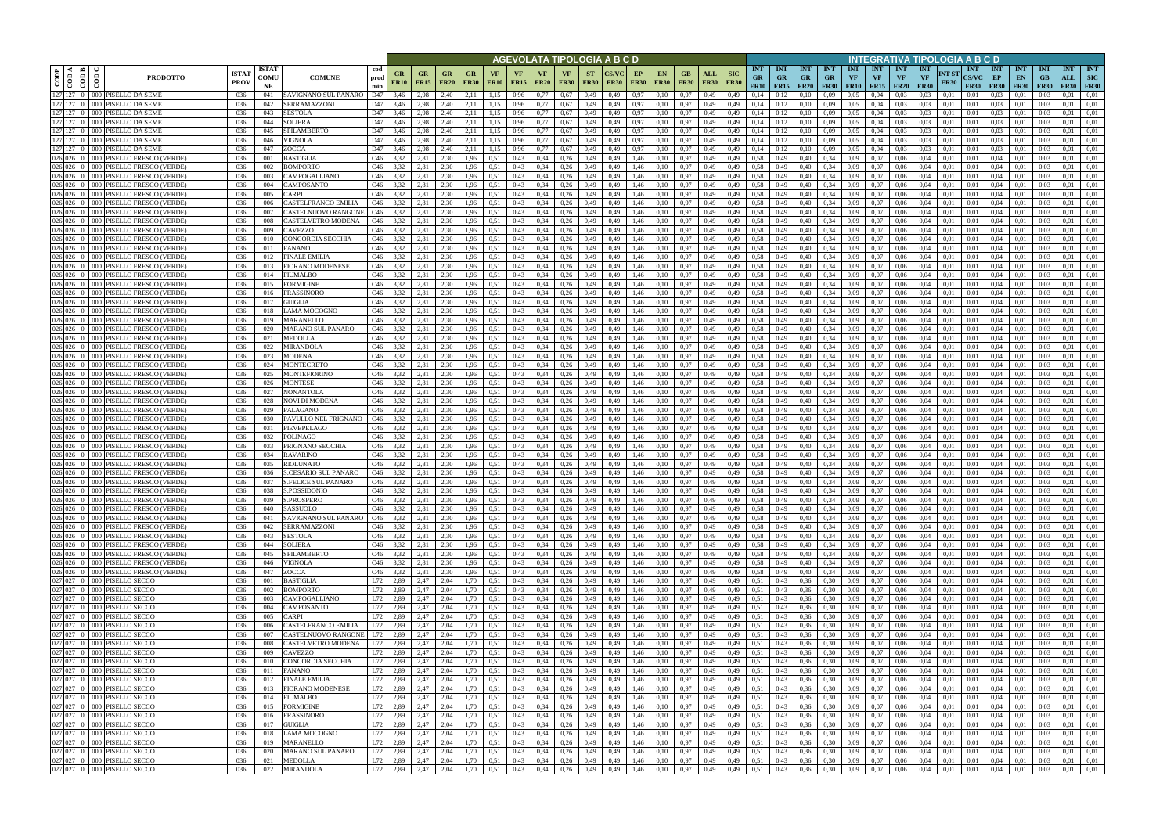|                        |                                                   |                                                                              |                             |                            |                                             |                                              |              |                   |                                                      |                          |                   |                   |                          |                                |                          | AGEVOLATA TIPOLOGIA A B C D |                   |                                                               |                            |                     |                           |                                    |                                        |                         |                                        |                  |                                             |                                        | INTEGRATIVA TIPOLOGIA A B C D   |                      |                                           |                                   |                                 |                                 |                           |                                         |
|------------------------|---------------------------------------------------|------------------------------------------------------------------------------|-----------------------------|----------------------------|---------------------------------------------|----------------------------------------------|--------------|-------------------|------------------------------------------------------|--------------------------|-------------------|-------------------|--------------------------|--------------------------------|--------------------------|-----------------------------|-------------------|---------------------------------------------------------------|----------------------------|---------------------|---------------------------|------------------------------------|----------------------------------------|-------------------------|----------------------------------------|------------------|---------------------------------------------|----------------------------------------|---------------------------------|----------------------|-------------------------------------------|-----------------------------------|---------------------------------|---------------------------------|---------------------------|-----------------------------------------|
| CODP                   | $\frac{\frac{1}{\cos \theta}}{\sin \theta}$<br>ම් | <b>PRODOTTO</b>                                                              | <b>ISTA7</b><br><b>PROV</b> | <b>ISTAT</b><br>COMU<br>NE | <b>COMUNE</b>                               | cod<br>prod<br>min                           | GR<br>FR10   | GR<br><b>FR15</b> | <b>FR20</b>                                          | <b>GR</b><br><b>FR30</b> | VF<br><b>FR10</b> | VF<br><b>FR15</b> | <b>VF</b><br><b>FR20</b> | <b>VF</b><br><b>FR30</b>       | <b>ST</b><br><b>FR30</b> | <b>FR30</b>                 | EP<br><b>FR30</b> | EN<br><b>FR30</b>                                             | GB.<br><b>FR30</b>         | ALL<br><b>FR30</b>  | <b>SIC</b><br><b>FR30</b> | <b>INT</b><br><b>GR</b><br>FR10    | <b>INT</b><br><b>GR</b><br>$FR15$ FR20 | <b>INT</b><br><b>GR</b> | <b>INT</b><br><b>GR</b><br><b>FR30</b> | <b>INT</b><br>VF | <b>INT</b><br><b>VF</b><br><b>FR10</b> FR15 | <b>INT</b><br><b>VF</b><br><b>FR20</b> | <b>INT</b><br>VF<br><b>FR30</b> | NT ST<br><b>FR30</b> | <b>INT</b><br><b>CS/VC</b><br><b>FR30</b> | <b>INT</b><br>EP<br><b>FR30</b>   | <b>INT</b><br>EN<br><b>FR30</b> | <b>INT</b><br>GB<br><b>FR30</b> | <b>INT</b><br>ALL<br>FR30 | <b>INT</b><br><b>SIC</b><br><b>FR30</b> |
| 127 127                |                                                   | 0 000 PISELLO DA SEME<br>127 127 0 000 PISELLO DA SEME                       | 036                         | 041                        | SAVIGNANO SUL PANARO<br>SERRAMAZZONI        | D47                                          | 3,46         | 2,98              | 2.40<br>2.40                                         | 2.11                     | 1,15              | 0,96              | 0.77                     | 0.67                           | 0,49                     | 0,49                        | 0,97              | 0.10                                                          | 0.97                       | 0.49                | 0.49                      | 0.14<br>0,14                       |                                        | 0.10                    | 0.09                                   | 0.05             | 0.04                                        | 0.03                                   | 0.03<br>0.03                    | 0.01                 | 0.01                                      | 0.03<br>0.03                      | 0.01                            |                                 | 0.01                      | 0.01<br>0.01                            |
| 127 127                | 0 <sup>1</sup>                                    | 000 PISELLO DA SEME                                                          | 036<br>036                  | 042<br>043                 | <b>SESTOLA</b>                              | D47<br>D47                                   | 3,46<br>3,46 | 2,98<br>2,98      | 2,40                                                 | 2,11<br>2,11             | 1,15<br>1,15      | 0,96<br>0,96      | 0,77<br>0.77             | 0.67<br>0.67                   | 0,49<br>0,49             | 0,49<br>0,49                | 0,97<br>0,97      | 0.10<br>0,10                                                  | 0.97<br>0.97               | 0,49<br>0,49        | 0,49<br>0,49              | 0,14                               | 0,12<br>0,12                           | 0,10<br>0,10            | 0,09<br>0.09                           | 0.05<br>0,05     | 0,04<br>0,04                                | 0.03<br>0.03                           | 0.03                            | 0,01<br>0,01         | 0,01<br>0,01                              | 0.03                              | 0,01<br>0,01                    | 0.03<br>0.03                    | 0.01<br>0.01              | 0,01                                    |
|                        |                                                   | 127 127 0 000 PISELLO DA SEME                                                | 036                         | 044                        | <b>SOLIERA</b>                              | D47                                          | 3,46         | 2,98              | 2.40                                                 | 2,11                     | 1,15              | 0.96              | 0.77                     | 0.67                           | 0,49                     | 0,49                        | 0,97              | 0.10                                                          | 0.97                       | 0.49                | 0.49                      | 0.14                               | 0,12                                   | 0.10                    | 0.09                                   | 0.05             | 0.04                                        | 0.03                                   | 0.03                            | 0.01                 | 0.01                                      | 0.03                              | 0.01                            | 0.03                            | 0.01                      | 0.01                                    |
| 127 127                | $-000$                                            | PISELLO DA SEME                                                              | 036                         | 045                        | SPILAMBERTO                                 | D47                                          | 3.46         | 2.98              | 2.40                                                 | 2,11                     | 1.15              | 0.96              | 0.77                     | 0.67                           | 0,49                     | 0.49                        | 0.97              | 0.10                                                          | 0.97                       | 0.49                | 0.49                      | 0.14                               | 0.12                                   | 0.10                    | 0.09                                   | 0.05             | 0.04                                        | 0.03                                   | 0.03                            | 0.01                 | 0.01                                      | 0.03                              | 0.01                            |                                 | 0.01                      | 0.01                                    |
|                        |                                                   | 127 127 0 000 PISELLO DA SEME<br>127 127 0 000 PISELLO DA SEME               | 036<br>036                  | 046<br>047                 | VIGNOLA<br>ZOCCA                            | D47<br>D47                                   | 3,46<br>3.46 | 2,98<br>2.98      | 2,40<br>2.40                                         | 2,11<br>2.11             | 1,15<br>1.15      | 0.96<br>0.96      | 0.77<br>0.77             | 0.67<br>0.67                   | 0,49<br>0,49             | 0,49<br>0.49                | 0,97<br>0,97      | 0,10<br>0,10                                                  | 0,97<br>0.97               | 0,49<br>0.49        | 0.49<br>0.49              | 0.14<br>0.14                       | 0,12<br>0,12                           | 0,10<br>0.10            | 0,09<br>0.09                           | 0,05<br>0.05     | 0.04<br>0.04                                | 0.03<br>0.03                           | 0.03<br>0.03                    | 0.01<br>0.01         | 0.01<br>0.01                              | 0.03<br>0.03                      | 0,01<br>0.01                    | 0.03<br>0.03                    | 0.01<br>0.01              | 0,01<br>0.01                            |
|                        |                                                   | 026 026 0 000 PISELLO FRESCO (VERDE)                                         | -036                        | 001                        | BASTIGLIA                                   | C46                                          | 3.32         | 2.81              | 2.30                                                 | 1,96                     | 0.51              | 0,43              | 0.34                     | 0,26                           | 0,49                     | 0,49                        | 1,46              | 0,10                                                          | 0.97                       | 0,49                | 0.49                      | 0.58                               | 0,49                                   | 0.40                    | 0,34                                   | 0.09             | 0.07                                        | 0.06                                   | 0.04                            | 0.01                 | 0.01                                      | 0.04                              | 0.01                            | 0.03                            | 0.01                      | 0.01                                    |
|                        |                                                   | 026 026 0 000 PISELLO FRESCO (VERDE)                                         | 036                         | 002                        | BOMPORTO                                    | C46                                          | 3,32         | 2.81              | 2,30                                                 | 1,96                     | 0.51              | 0,43              | 0.34                     | 0,26                           | 0,49                     | 0,49                        | 1,46              | 0,10                                                          | 0.97                       | 0,49                | 0.49                      | 0.58                               | 0,49                                   | 0.40                    | 0.34                                   | 0.09             | 0.07                                        | 0,06                                   | 0.04                            | 0.01                 | 0.01                                      | 0,04                              | 0,01                            | 0.03                            | 0.01                      | 0,01                                    |
| 026 026                | $026$ 026 0 000<br>000                            | PISELLO FRESCO (VERDE)                                                       | 036                         | 003                        | CAMPOGALLIANO                               | C46                                          | 3,32         | 2,81              | 2.30                                                 | 1,96                     | 0.51              | 0,43              | 0.34                     | 0,26                           | 0,49                     | 0,49                        | 1,46              | 0,10                                                          | 0,97                       | 0,49                | 0,49                      | 0.58<br>0.58                       | 0,49                                   | 0,40                    | 0,34                                   | 0,09             | 0.07                                        | 0,06                                   | 0.04                            | 0,01                 | 0.01                                      | 0.04                              | 0,01                            | 0.03                            | 0.01                      | 0,01                                    |
|                        | $026$ 026 0 000                                   | PISELLO FRESCO (VERDE)<br>PISELLO FRESCO (VERDE)                             | 036<br>036                  | 004<br>005                 | CAMPOSANTO<br>CARPI                         | C46<br>C46                                   | 3.32<br>3,32 | 2,81<br>2,81      | 2.30<br>2,30                                         | 1,96<br>1,96             | 0.51<br>0.51      | 0,43<br>0,43      | 0.34<br>0,34             | 0,26<br>0,26                   | 0,49<br>0,49             | 0.49<br>0,49                | 1,46<br>1,46      | 0,10<br>0,10                                                  | 0,97<br>0,97               | 0,49<br>0,49        | 0.49<br>0,49              | 0,58                               | 0,49<br>0,49                           | 0,40<br>0,40            | 0,34<br>0,34                           | 0.09<br>0,09     | 0.07<br>0,07                                | 0,06<br>0,06                           | 0.04<br>0,04                    | 0.01<br>0,01         | 0,01<br>0,01                              | 0.04<br>0.04                      | 0,01<br>0,01                    | 0.03<br>0,03                    | 0.01<br>0,01              | 0.01<br>0,01                            |
|                        | 026 026 0 000                                     | PISELLO FRESCO (VERDE)                                                       | 036                         | 006                        | CASTELFRANCO EMILIA                         | C46                                          | 3.32         | 2.81              | 2.30                                                 | 1,96                     | 0.51              | 0,43              | 0.34                     | 0.26                           | 0,49                     | 0.49                        | 1,46              | 0.10                                                          | 0,97                       | 0,49                | 0.49                      | 0,58                               | 0,49                                   | 0.40                    | 0.34                                   | 0.09             | 0.07                                        | 0,06                                   | 0.04                            | 0.01                 | 0.01                                      | 0,04                              | 0.01                            | 0.03                            | 0,01                      | 0.01                                    |
|                        | 026 026 0 000                                     | PISELLO FRESCO (VERDE)                                                       | 036                         | 007                        | CASTELNUOVO RANGONE                         | C46                                          | 3,32         | 2,81              | 2.30                                                 | 1,96                     | 0.51              | 0,43              | 0,34                     | 0,26                           | 0,49                     | 0,49                        | 1,46              | 0.10                                                          | 0,97                       | 0,49                | 0,49                      | 0,58                               | 0,49                                   | 0,40                    | 0.34                                   | 0,09             | 0,07                                        | 0,06                                   | 0.04                            | 0,01                 | 0.01                                      | 0,04                              | 0,01                            | 0.03                            | 0,01                      | 0.01                                    |
| 026 026                | $0 \t 000$                                        | 026 026 0 000 PISELLO FRESCO (VERDE)<br>PISELLO FRESCO (VERDE                | 036<br>036                  | 008<br>009                 | CASTELVETRO MODENA<br>CAVEZZO               | C46<br>C46                                   | 3,32<br>3.32 | 2,81<br>2.81      | 2.30<br>2.30                                         | 1,96<br>1.96             | 0.51<br>0.51      | 0,43<br>0.43      | 0,34<br>0.34             | 0,26<br>0.26                   | 0,49<br>0,49             | 0,49<br>0.49                | 1,46<br>1.46      | 0,10<br>0.10                                                  | 0.97<br>0.97               | 0,49<br>0.49        | 0.49<br>0.49              | 0,58<br>0.58                       | 0,49<br>0.49                           | 0,40<br>0.40            | 0.34<br>0.34                           | 0,09<br>0.09     | 0,07<br>0.07                                | 0,06<br>0.06                           | 0,04<br>0.04                    | 0.01<br>0.01         | 0,01<br>0.01                              | 0,04<br>0.04                      | 0,01<br>0.01                    | 0.03<br>0.03                    | 0,01<br>0.01              | 0.01<br>0.01                            |
|                        |                                                   | 026 026 0 000 PISELLO FRESCO (VERDE)                                         | 036                         | 010                        | CONCORDIA SECCHIA                           | C46                                          | 3.32         | 2.81              | 2.30                                                 | 1.96                     | 0.51              | 0.43              | 0.34                     | 0.26                           | 0,49                     | 0.49                        | 1.46              | 0.10                                                          | 0.97                       | 0.49                | 0.49                      | 0.58                               | 0.49                                   | 0.40                    | 0.34                                   | 0.09             | 0.07                                        | 0.06                                   | 0.04                            | 0.01                 | 0.01                                      | 0.04                              | 0.01                            | 0.03                            | 0.01                      | 0.01                                    |
| 026 026                | 000                                               | PISELLO FRESCO (VERDE)                                                       | 036                         | 011                        | FANANO                                      | C46                                          | 3,32         | 2.81              | 2.30                                                 | 1,96                     | 0.51              | 0,43              | 0.34                     | 0,26                           | 0,49                     | 0.49                        | 1,46              | 0,10                                                          | 0,97                       | 0,49                | 0.49                      | 0,58                               | 0.49                                   | 0.40                    | 0.34                                   | 0.09             | 0,07                                        | 0.06                                   | 0.04                            | 0.01                 | 0.01                                      | 0,04                              | 0.01                            | 0.03                            | 0.01                      | 0.01                                    |
| $026$ 026 0<br>026 026 | 000                                               | PISELLO FRESCO (VERDE<br>PISELLO FRESCO (VERDE)                              | 036                         | 012                        | FINALE EMILIA<br><b>FIORANO MODENESE</b>    | C46<br>C46                                   | 3,32         | 2.81<br>2.81      | 2.30<br>2.30                                         | .96                      | 0.51              | 0,43<br>0.43      | 0.34<br>0.34             | 0.26                           | 0,49<br>0.49             | 0.49                        | 1.46              | 0.10                                                          | 0.97                       | 0.49                |                           | 0.58<br>0.58                       | 0.49                                   | 0.40                    | 0.34                                   | 0.09             | 0.07<br>0.07                                | 0.06                                   | 0.04                            | 0.01<br>0.01         | 0.01<br>0.01                              | 0.04                              | 0.01                            |                                 | 0.01<br>0.01              | 0.01<br>0.01                            |
|                        | - 000<br>$026$ 026 0 000                          | PISELLO FRESCO (VERDE                                                        | 036<br>036                  | 013<br>014                 | FIUMALBO                                    | C46                                          | 3.32<br>3,32 | 2,81              | 2.30                                                 | .96<br>l.96              | 0.51<br>0.51      | 0,43              | 0.34                     | 0.26<br>0,26                   | 0,49                     | 0.49<br>0.49                | 1.46<br>1.46      | 0.10<br>0,10                                                  | 0.97<br>0,97               | 0.49<br>0,49        | 0.49                      | 0.58                               | 0.49<br>0,49                           | 0.40<br>0.40            | 0.34<br>0.34                           | 0.09<br>0.09     | 0.07                                        | 0.06<br>0.06                           | 0.04<br>0.04                    | 0.01                 | 0.01                                      | 0.04<br>0.04                      | 0.01<br>0.01                    | 0.03                            | 0.01                      | 0.01                                    |
| 026 026                | $0 - 000$                                         | PISELLO FRESCO (VERDE)                                                       | 036                         | 015                        | FORMIGINE                                   | C46                                          | 3.32         | 2.81              | 2.30                                                 | 1.96                     | 0.51              | 0.43              | 0.34                     | 0,26                           | 0,49                     | 0.49                        | 1.46              | 0.10                                                          | 0.97                       | 0.49                | 0,49                      | 0.58                               | 0.49                                   | 0,40                    | 0.34                                   | 0.09             | 0.07                                        | 0,06                                   | 0.04                            | 0.01                 | 0.01                                      | 0.04                              | 0.01                            | 0.03                            | 0.01                      | 0.01                                    |
|                        | $026 \ 026 \ 0 \ 000$                             | PISELLO FRESCO (VERDE)                                                       | 036                         | 016                        | FRASSINORO                                  | C46                                          | 3.32         | 2.81              | 2.30                                                 | 1,96                     | 0.51              | 0,43              | 0.34                     | 0,26                           | 0,49                     | 0,49                        | 1,46              | 0,10                                                          | 0.97                       | 0,49                | 0,49                      | 0.58                               | 0,49                                   | 0,40                    | 0.34                                   | 0,09             | 0.07                                        | 0,06                                   | 0.04                            | 0.01                 | 0,01                                      | 0.04                              | 0.01                            | 0.03                            | 0.01                      | 0.01                                    |
| 026 026<br>026 026     | 000 <sup>1</sup><br>$000 -$                       | PISELLO FRESCO (VERDE)                                                       | 036                         | 017<br>018                 | GUIGLIA<br>AMA MOCOGNO                      | C46<br>C46                                   | 3,32         | 2.81<br>2.81      | 2.30<br>2.30                                         | 1,96                     |                   | 0,43<br>0,43      | 0.34<br>0.34             | 0,26<br>0.26                   | 0,49                     | 0.49                        | 1,46<br>l.46      | 0,10                                                          | 0,97<br>0.97               | 0,49                | 0,49                      | 0.58<br>0.58                       | 0.49                                   | 0,40                    | 0.34                                   | 0.09<br>0,09     | 0.07<br>0.07                                | 0,06                                   | 0.04<br>0.04                    | 0.01<br>0.01         | 0.01<br>0.01                              | 0,04<br>0.04                      | 0.01<br>0.01                    | 0.03                            | 0.01<br>0.01              | 0.01<br>0.01                            |
| 026 026                | 000                                               | PISELLO FRESCO (VERDE<br>PISELLO FRESCO (VERDE)                              | 036<br>036                  | 019                        | <b>MARANELLO</b>                            | C46                                          | 3,32<br>3.32 | 2.81              | 2.30                                                 | .96<br>.96               | 0.51              | 0.43              | 0.34                     | 0.26                           | 0,49<br>0,49             | 0,49<br>0.49                | 1.46              | 0.10<br>0.10                                                  | 0.97                       | 0,49<br>0.49        | 0,49<br>0.49              | 0.58                               | 0,49                                   | 0,40<br>0.40            | 0,34<br>0.34                           | 0.09             | 0.07                                        | 0,06<br>0.06                           | 0.04                            | 0.01                 | 0.01                                      | 0.04                              | 0.01                            |                                 | 0.01                      | 0.01                                    |
| 026 026                | 000                                               | PISELLO FRESCO (VERDE)                                                       | 036                         | 020                        | MARANO SUL PANARO                           | C46                                          | 3,32         | 2,81              | 2,30                                                 | 1.96                     | 0.51              | 0,43              | 0,34                     | 0,26                           | 0,49                     | 0,49                        | 1,46              | 0,10                                                          | 0.97                       | 0,49                | 0,49                      | 0,58                               | 0,49                                   | 0,40                    | 0,34                                   | 0,09             | 0,07                                        | 0,06                                   | 0,04                            | 0,01                 | 0,01                                      | 0,04                              | 0,01                            | 0,03                            | 0,01                      | 0,01                                    |
| 026 026                | 000 <sup>1</sup>                                  | PISELLO FRESCO (VERDE)                                                       | 036                         | 021                        | <b>MEDOLLA</b>                              | C46                                          | 3.32         | 2.81              | 2.30                                                 | 1,96                     | 0.51              | 0.43              | 0.34                     | 0,26                           | 0,49                     | 0.49                        | 1,46              | 0.10                                                          | 0.97                       | 0,49                | 0.49                      | 0.58                               | 0,49                                   | 0.40                    | 0.34                                   | 0.09             | 0.07                                        | 0.06                                   | 0.04                            | 0.01                 | 0.01                                      | 0.04                              | 0.01                            | 0.03                            | 0.01                      | 0.01                                    |
| $026 \ 026 \ 0$        | $026$ 026 0 000<br>$-000$                         | PISELLO FRESCO (VERDE)<br>PISELLO FRESCO (VERDE)                             | 036<br>036                  | 022<br>023                 | <b>MIRANDOLA</b><br>MODENA                  | C46<br>C46                                   | 3,32<br>3.32 | 2,81<br>2.81      | 2.30<br>2,30                                         | 1,96<br>1,96             | 0.51<br>0.51      | 0,43<br>0,43      | 0.34<br>0.34             | 0,26<br>0,26                   | 0,49<br>0,49             | 0,49<br>0.49                | 1,46<br>1,46      | 0,10<br>0,10                                                  | 0,97<br>0.97               | 0,49<br>0,49        | 0,49<br>0.49              | 0.58<br>0.58                       | 0,49<br>0,49                           | 0,40<br>0.40            | 0,34<br>0.34                           | 0.09<br>0.09     | 0.07<br>0.07                                | 0,06<br>0.06                           | 0.04<br>0.04                    | 0.01<br>0.01         | 0.01<br>0.01                              | 0.04<br>0.04                      | 0,01<br>0.01                    | 0.03<br>0.03                    | 0.01<br>0.01              | 0.01<br>0,01                            |
|                        | $026$ 026 0 000                                   | PISELLO FRESCO (VERDE)                                                       | 036                         | 024                        | MONTECRETO                                  | C46                                          | 3.32         | 2.81              | 2.30                                                 | 1,96                     | 0.51              | 0.43              | 0.34                     | 0,26                           | 0,49                     | 0.49                        | 1,46              | 0.10                                                          | 0,97                       | 0,49                | 0.49                      | 0.58                               | 0,49                                   | 0.40                    | 0,34                                   | 0.09             | 0.07                                        | 0.06                                   | 0.04                            | 0.01                 | 0.01                                      | 0.04                              | 0.01                            | 0.03                            | 0.01                      | 0.01                                    |
| 026 026                | - 000                                             | PISELLO FRESCO (VERDE)                                                       | 036                         | 025                        | MONTEFIORINO                                | C46                                          | 3.32         | 2.81              | 2.30                                                 | 1,96                     | 0.51              | 0.43              | 0.34                     | 0,26                           | 0,49                     | 0.49                        | 1.46              | 0,10                                                          | 0.97                       | 0.49                | 0.49                      | 0.58                               | 0,49                                   | 0.40                    | 0.34                                   | 0.09             | 0.07                                        | 0.06                                   | 0.04                            | 0.01                 | 0.01                                      | 0.04                              | 0.01                            | 0.03                            | 0.01                      | 0.01                                    |
|                        | $026$ 026 0 000                                   | PISELLO FRESCO (VERDE)                                                       | 036                         | 026                        | MONTESE                                     | C46                                          | 3,32         | 2,81              | 2.30                                                 | 1,96                     | 0,51              | 0,43              | 0.34                     | 0,26                           | 0,49                     | 0,49                        | 1,46              | 0,10                                                          | 0,97                       | 0,49                | 0,49                      | 0.58                               | 0,49                                   | 0,40                    | 0,34                                   | 0,09             | 0,07                                        | 0,06                                   | 0.04                            | 0,01                 | 0,01                                      | 0,04                              | 0,01                            | 0.03                            | 0.01                      | 0,01                                    |
| 026 026                | - 000<br>$026$ 026 0 000                          | PISELLO FRESCO (VERDE)<br>PISELLO FRESCO (VERDE)                             | 036<br>036                  | 027<br>028                 | NONANTOLA<br>NOVI DI MODENA                 | C46<br>C46                                   | 3,32<br>3,32 | 2.81<br>2,81      | 2.30<br>2.30                                         | 1,96<br>1,96             | 0.51<br>0.51      | 0,43<br>0,43      | 0.34<br>0.34             | 0,26<br>0,26                   | 0,49<br>0,49             | 0.49<br>0,49                | 1.46<br>1,46      | 0,10<br>0,10                                                  | 0.97<br>0.97               | 0,49<br>0,49        | 0.49<br>0,49              | 0.58<br>0.58                       | 0,49<br>0,49                           | 0.40<br>0,40            | 0,34<br>0,34                           | 0.09<br>0,09     | 0.07<br>0.07                                | 0.06<br>0,06                           | 0.04<br>0.04                    | 0.01<br>0,01         | 0.01<br>0,01                              | 0.04<br>0.04                      | 0.01<br>0,01                    | 0.03<br>0.03                    | 0.01<br>0.01              | 0.01<br>0,01                            |
| 026 026                | 000 <sup>1</sup>                                  | PISELLO FRESCO (VERDE)                                                       | 036                         | 029                        | <b>PALAGANO</b>                             | C46                                          | 3,32         | 2,81              | 2,30                                                 | 1,96                     | 0.51              | 0,43              | 0,34                     | 0,26                           | 0,49                     | 0,49                        | 1,46              | 0,10                                                          | 0,97                       | 0,49                | 0,49                      | 0,58                               | 0,49                                   | 0,40                    | 0,34                                   | 0,09             | 0,07                                        | 0,06                                   | 0,04                            | 0,01                 | 0,01                                      | 0.04                              | 0,01                            | 0,03                            | 0,01                      | 0,01                                    |
|                        | $026$ 026 0 000                                   | PISELLO FRESCO (VERDE)                                                       | 036                         | 030                        | PAVULLO NEL FRIGNANO                        | C46                                          | 3,32         | 2,81              | 2.30                                                 | 1,96                     | 0.51              | 0,43              | 0,34                     | 0,26                           | 0,49                     | 0,49                        | 1,46              | 0.10                                                          | 0.97                       | 0,49                | 0,49                      | 0,58                               | 0,49                                   | 0,40                    | 0.34                                   | 0,09             | 0,07                                        | 0,06                                   | 0.04                            | 0,01                 | 0,01                                      | 0,04                              | 0,01                            | 0.03                            | 0,01                      | 0.01                                    |
|                        | 026 026 0 000                                     | 026 026 0 000 PISELLO FRESCO (VERDE)<br>PISELLO FRESCO (VERDE)               | 036<br>036                  | 031<br>032                 | PIEVEPELAGO<br>POLINAGO                     | C46<br>C46                                   | 3,32<br>3,32 | 2.81<br>2,81      | 2.30<br>2.30                                         | 1,96<br>1,96             | 0.51              | 0,43<br>0,43      | 0,34<br>0.34             | 0,26<br>0,26                   | 0,49<br>0,49             | 0,49<br>0,49                | 1,46<br>1,46      | 0,10<br>0.10                                                  | 0.97<br>0.97               | 0,49<br>0,49        | 0,49<br>0,49              | 0,58<br>0,58                       | 0,49<br>0,49                           | 0,40<br>0,40            | 0.34<br>0.34                           | 0,09<br>0,09     | 0,07<br>0,07                                | 0,06<br>0,06                           | 0,04<br>0.04                    | 0.01<br>0,01         | 0,01<br>0.01                              | 0,04<br>0,04                      | 0,01<br>0,01                    | 0.03<br>0.03                    | 0,01<br>0.01              | 0.01<br>0.01                            |
| 026 026                | $0 - 000$                                         | PISELLO FRESCO (VERDE                                                        | 036                         | 033                        | PRIGNANO SECCHIA                            | C46                                          | 3.32         | 2.81              | 2.30                                                 | 1.96                     | 0.51<br>0.51      | 0,43              | 0.34                     | 0.26                           | 0,49                     | 0.49                        | 1,46              | 0.10                                                          | 0,97                       | 0.49                | 0.49                      | 0.58                               | 0.49                                   | 0.40                    | 0.34                                   | 0.09             | 0.07                                        | 0.06                                   | 0.04                            | 0.01                 | 0.01                                      | 0.04                              | 0.01                            | 0.03                            | 0.01                      | 0.01                                    |
| 026 026                | - 000                                             | PISELLO FRESCO (VERDE                                                        | 036                         | 034                        | <b>RAVARINO</b>                             | C46                                          | 3.32         | 2.81              | 2.30                                                 | 1.96                     | 0.51              | 0.43              | 0.34                     | 0.26                           | 0,49                     | 0.49                        | 1,46              | 0.10                                                          | 0.97                       | 0.49                | 0.49                      | 0.58                               | 0.49                                   | 0.40                    | 0.34                                   | 0.09             | 0.07                                        | 0.06                                   | 0.04                            | 0.01                 | 0.01                                      | 0.04                              | 0.01                            | 0.03                            | 0.01                      | 0.01                                    |
| 026 026                | 000                                               | PISELLO FRESCO (VERDE                                                        | 036                         | 035                        | RIOLUNATO                                   | C46                                          | 3,32         | 2,81              | 2,30                                                 | 1,96                     | 0.51              | 0,43              | 0,34                     | 0,26                           | 0,49                     | 0,49                        | 1,46              | 0,10                                                          | 0,97                       | 0,49                | 0.49                      | 0,58                               | 0,49                                   | 0.40                    | 0.34                                   | 0,09             | 0,07                                        | 0,06                                   | 0.04                            | 0.01                 | 0.01                                      | 0.04                              | 0,01                            | 0.03                            | 0,01                      | 0,01                                    |
|                        |                                                   | 026 026 0 000 PISELLO FRESCO (VERDE)<br>026 026 0 000 PISELLO FRESCO (VERDE) | 036<br>036                  | 036<br>037                 | S.CESARIO SUL PANARO<br>S.FELICE SUL PANARO | C46<br>C46                                   | 3.32<br>3,32 | 2.81<br>2.81      | 2.30<br>2.30                                         | 1.96<br>1.96             | 0.51<br>0.51      | 0.43<br>0,43      | 0.34<br>0,34             | 0.26<br>0.26                   | 0.49<br>0,49             | 0.49<br>0.49                | 1.46<br>1,46      | 0.10<br>0.10                                                  | 0.97<br>0.97               | 0.49<br>0.49        | 0.49<br>0.49              | 0.58<br>0.58                       | 0.49<br>0.49                           | 0.40<br>0.40            | 0.34<br>0.34                           | 0.09<br>0.09     | 0.07<br>0.07                                | 0.06<br>0.06                           | 0.04<br>0.04                    | 0.01<br>0.01         | 0.01<br>0.01                              | 0.04<br>0.04                      | 0.01<br>0.01                    | 0.03<br>0.03                    | 0.01<br>0,01              | 0.01<br>0.01                            |
|                        |                                                   | 026 026 0 000 PISELLO FRESCO (VERDE)                                         | 036                         | 038                        | S.POSSIDONIO                                | C46                                          | 3,32         | 2,81              | 2,30                                                 | 1.96                     | 0.51              | 0.43              | 0.34                     | 0.26                           | 0.49                     | 0.49                        | 1.46              | 0.10                                                          | 0.97                       | 0.49                | 0.49                      | 0.58                               | 0.49                                   | 0.40                    | 0.34                                   | 0.09             | 0.07                                        | 0.06                                   | 0.04                            | 0.01                 | 0.01                                      | 0.04                              | 0.01                            | 0.03                            | 0.01                      | 0.01                                    |
|                        |                                                   | 026 026 0 000 PISELLO FRESCO (VERDE)                                         | 036                         | 039                        | S.PROSPERO                                  | C46                                          | 3,32         | 2,81              | 2,30                                                 | 1,96                     | 0,51              | 0,43              | 0,34                     | 0,26                           | 0,49                     | 0,49                        | 1,46              | 0,10                                                          | 0.97                       | 0,49                | 0,49                      | 0,58                               | 0,49                                   | 0,40                    | 0,34                                   | 0,09             | 0,07                                        | 0,06                                   | 0,04                            | 0,01                 | 0,01                                      | 0,04                              | 0,01                            | 0,03                            | 0,01                      | 0,01                                    |
|                        |                                                   | 026 026 0 000 PISELLO FRESCO (VERDE)<br>026 026 0 000 PISELLO FRESCO (VERDE) | 036<br>036                  | 040                        | SASSUOLO<br>SAVIGNANO SUL PANARO            | C46<br>$C46$ 3,32                            | 3,32         | 2,81<br>2,81      | 2,30<br>2,30                                         | 1,96                     | 0,51              | 0,43<br>0,43      | 0,34                     | 0,26<br>$0,34$ 0,26            | 0,49<br>0,49             | 0,49                        | 1,46              | 0,10<br>0,10                                                  | 0,97<br>0,97               | 0,49<br>0,49        | 0,49                      | 0,58<br>0,58                       | 0,49                                   | 0,40<br>0,40            | 0,34                                   | 0,09             | 0,07<br>$0,09$ 0.07                         | 0,06<br>0,06                           | 0,04<br>0,04                    | 0,01<br>0,01         | 0,01<br>0,01                              | 0,04<br>0,04                      | 0,01<br>0,01                    | 0,03<br>0,03                    | 0,01<br>0,01              | 0,01                                    |
|                        |                                                   | 026 026 0 000 PISELLO FRESCO (VERDE)                                         | 036                         | 041<br>042                 | SERRAMAZZONI                                | $C46$ 3,32                                   |              | 2,81              | 2,30                                                 | 1,96<br>1,96             | 0,51<br>0.51      | 0,43              |                          | $0,34$ $0,26$                  | 0,49                     | 0,49<br>0,49                | 1,46<br>1,46      | 0,10                                                          | 0,97                       | 0,49                | 0,49<br>0,49              | 0,58                               | 0,49<br>0,49                           | 0,40                    | 0,34<br>0,34                           |                  | $0,09$ 0.07                                 | 0,06                                   | 0,04                            | 0,01                 | 0,01                                      | 0,04                              | 0,01                            | 0,03                            | 0,01                      | 0,01<br>0,01                            |
|                        |                                                   | 026 026 0 000 PISELLO FRESCO (VERDE)                                         | 036                         | 043                        | <b>SESTOLA</b>                              | C <sub>46</sub> 3,32                         |              | 2,81              | 2,30                                                 | 1,96                     | 0,51              | 0,43              | 0,34                     | 0,26                           | 0,49                     | 0,49                        | 1,46              | 0,10                                                          | 0,97                       | 0,49                | 0,49                      | 0,58                               | 0,49                                   | 0,40                    | 0,34                                   | 0,09             | 0,07                                        | 0,06                                   | 0,04                            | 0,01                 | 0,01                                      | 0,04                              | 0,01                            | 0,03                            | 0,01                      | 0,01                                    |
|                        |                                                   | 026 026 0 000 PISELLO FRESCO (VERDE)                                         | 036                         | 044                        | <b>SOLIERA</b>                              | C <sub>46</sub> 3,32                         |              | 2,81              | 2,30                                                 | 1,96                     | 0,51              | 0,43              |                          | $0,34$ 0,26                    | 0,49                     | 0,49                        | 1,46              | 0,10                                                          | $0,97$ 0,49                |                     | 0,49                      | 0,58                               | 0,49                                   | 0,40                    | 0,34                                   |                  | $0,09$ 0.07                                 | 0,06                                   | 0,04                            | 0,01                 | 0,01                                      | 0,04                              | 0,01                            | 0,03                            | 0.01                      | 0,01                                    |
|                        |                                                   | 026 026 0 000 PISELLO FRESCO (VERDE)<br>026 026 0 000 PISELLO FRESCO (VERDE) | 036<br>036                  | 045<br>046                 | SPILAMBERTO<br><b>VIGNOLA</b>               | C <sub>46</sub> 3,32<br>C <sub>46</sub> 3.32 |              |                   | 2,81 2,30<br>2,81 2,30                               | 1,96<br>1,96             | 0,51<br>0,51      | 0,43<br>0,43      |                          | $0,34$ $0,26$<br>$0,34$ $0,26$ | 0,49<br>0,49             | 0,49<br>0,49                | 1,46<br>1,46      | 0,10<br>0,10                                                  | 0,97                       | 0,49<br>0,97 0,49   | 0,49<br>0,49              | 0.58<br>0,58                       | 0,49<br>0,49                           | 0,40<br>0,40            | 0,34<br>0,34                           |                  | $0,09$ $0,07$<br>$0,09$ 0.07                | 0,06<br>0,06                           | 0,04<br>0,04                    | 0,01<br>0,01         | 0,01<br>0.01                              | $0.04\qquad 0.01$<br>0,04         | 0,01                            | 0,03<br>0,03                    | 0.01                      | $0,01$ $0,01$<br>0,01                   |
|                        |                                                   | 026 026 0 000 PISELLO FRESCO (VERDE)                                         | 036                         | 047                        | ZOCCA                                       | C <sub>46</sub> 3,32                         |              |                   | 2,81 2,30                                            | 1,96                     | 0,51              | 0,43              | $0,34$ 0,26              |                                | 0,49                     | 0,49                        | 1,46              | 0,10                                                          | 0,97                       | 0,49                | 0,49                      | 0,58                               | 0,49                                   | 0,40                    | 0,34                                   |                  | $0,09$ 0.07                                 | 0,06                                   | 0,04                            | 0,01                 | 0,01                                      | 0,04                              | 0,01                            | 0,03                            | 0,01                      | 0,01                                    |
|                        |                                                   | 027 027 0 000 PISELLO SECCO                                                  | 036                         | 001                        | <b>BASTIGLIA</b>                            | $L72$ 2,89                                   |              | 2,47              | 2,04                                                 | 1,70                     | 0,51              | 0,43              | $0,34$ 0,26              |                                | 0,49                     | 0,49                        | 1,46              | 0,10                                                          | $0,97$ 0,49                |                     | 0,49                      | 0,51                               | 0,43                                   | 0,36                    | 0,30                                   | 0,09             | 0,07                                        | 0,06                                   | 0,04                            | 0,01                 | 0,01                                      | 0,04                              | 0,01                            | 0,03                            | 0.01                      | 0,01                                    |
|                        |                                                   | 027 027 0 000 PISELLO SECCO<br>027 027 0 000 PISELLO SECCO                   | 036<br>036                  | 002<br>003                 | <b>BOMPORTO</b><br>CAMPOGALLIANO            | $L72$ 2,89<br>$L72$ 2,89                     |              | 2,47              | 2,04<br>2,04                                         | 1,70<br>1,70             | 0,51              | 0,43<br>0,43      | $0,34$ 0,26              | $0,34$ 0,26                    | 0,49<br>0,49             | 0,49<br>0,49                | 1,46<br>1,46      | 0,10<br>0,10                                                  | 0,97                       | 0,49<br>$0,97$ 0.49 | 0,49<br>0,49              | 0,51<br>0,51                       | 0,43<br>0,43                           | 0,36<br>0,36            | 0,30<br>0,30                           | 0,09<br>0,09     | 0,07<br>0,07                                | 0,06<br>0,06                           | 0,04<br>0,04                    | 0,01<br>0,01         | 0,01<br>0,01                              | 0,04<br>0,04                      | 0,01<br>0,01                    | 0,03<br>0,03                    | 0.01<br>0,01              | 0,01<br>0,01                            |
|                        |                                                   | 027 027 0 000 PISELLO SECCO                                                  | 036                         | 004                        | CAMPOSANTO                                  | L72 2,89                                     |              | 2,47              | 2,47 2,04                                            | 1,70                     | 0,51<br>0,51      | 0,43              |                          | $0,34$ $0,26$                  | 0,49                     | 0,49                        | 1,46              | 0,10                                                          | 0,97                       | 0,49                | 0,49                      | 0,51                               | 0,43                                   | 0,36                    | 0,30                                   |                  | $0,09$ 0.07                                 | 0,06                                   | 0,04                            | 0,01                 | 0,01                                      | $0,04$ 0.01                       |                                 | 0,03                            | 0,01                      | 0,01                                    |
|                        |                                                   | 027 027 0 000 PISELLO SECCO                                                  | 036                         | 005                        | CARPI                                       | $L72$ 2,89                                   |              |                   | 2,47 2,04                                            | 1,70                     | 0,51              | 0,43              |                          | $0,34$ $0,26$                  | 0,49                     | 0,49                        | 1,46              | 0,10                                                          | $0,97$ 0,49                |                     | 0,49                      | 0,51                               | 0,43                                   | 0,36                    | 0,30                                   |                  | $0,09$ 0.07                                 | 0,06                                   | 0,04                            | 0,01                 | 0,01                                      | $0,04$ 0.01                       |                                 | 0,03                            | 0,01                      | 0,01                                    |
|                        |                                                   | 027 027 0 000 PISELLO SECCO                                                  | 036                         | 006                        | CASTELFRANCO EMILIA                         | $L72$ 2,89                                   |              |                   | 2,47 2,04                                            | 1,70                     | 0,51              | 0,43              |                          | $0,34$ 0,26                    | 0,49                     | 0,49                        | 1,46              | 0,10                                                          |                            | $0,97$ 0,49         | 0,49                      | 0,51                               | 0,43                                   | 0,36                    | 0,30                                   |                  | $0,09$ 0.07                                 | 0,06                                   | 0,04                            | 0,01                 | 0,01                                      | 0,04                              | 0,01                            | 0,03                            | 0,01                      | 0,01                                    |
|                        |                                                   | 027 027 0 000 PISELLO SECCO<br>027 027 0 000 PISELLO SECCO                   | 036<br>036                  | 007<br>008                 | CASTELNUOVO RANGONE<br>CASTELVETRO MODENA   | $L72$ 2,89<br>$L72$ 2,89                     |              |                   | 2,47 2,04<br>2,47 2,04                               | 1,70<br>1,70             | 0,51<br>0,51      | 0,43<br>0,43      |                          | $0,34$ 0,26<br>$0,34$ $0,26$   | 0,49<br>0,49             | 0,49<br>0,49                |                   | $1,46$ 0,10<br>$1,46$ 0,10                                    | $0,97$ 0,49<br>$0,97$ 0,49 |                     | 0,49<br>0,49              | 0,51<br>0,51                       | 0,43<br>0,43                           | 0,36<br>0,36            | 0,30<br>0,30                           |                  | 0.09 0.07<br>$0,09$ 0.07                    | 0,06<br>0,06                           | 0,04<br>0,04                    | 0,01<br>0,01         | 0,01<br>0,01                              | $0.04 \qquad 0.01$<br>$0,04$ 0.01 |                                 | 0,03<br>0,03                    | 0,01<br>0,01              | 0,01<br>0,01                            |
|                        |                                                   | 027 027 0 000 PISELLO SECCO                                                  | 036                         | 009                        | CAVEZZO                                     | $L72$ 2,89                                   |              |                   | 2,47 2,04                                            | $1,70$ $0,51$            |                   | 0,43              |                          | $0,34$ 0,26                    | 0,49                     | 0,49                        |                   | $1,46$ 0,10                                                   |                            | 0,97 0,49           | 0,49                      | $0,51$ $0,43$                      |                                        | $0,36$ $0,30$           |                                        |                  | $0,09$ 0.07                                 | 0,06                                   | 0,04                            | 0,01                 | 0,01                                      | $0,04$ $0,01$                     |                                 | 0,03                            | 0,01                      | 0,01                                    |
|                        |                                                   | 027 027 0 000 PISELLO SECCO                                                  | 036                         | 010                        | CONCORDIA SECCHIA                           | $L72$ 2,89                                   |              |                   | 2,47 2,04                                            | $1,70$ $0,51$            |                   | 0,43              |                          | $0,34$ $0,26$                  | 0,49                     |                             |                   | $0,49$ 1,46 0,10                                              |                            | 0,97 0,49           | 0,49                      | $0,51$ $0,43$                      |                                        | $0,36$ $0,30$           |                                        |                  | $0,09$ 0.07                                 | 0,06                                   | 0,04                            | 0,01                 | 0,01                                      | $0,04$ $0,01$                     |                                 | 0.03                            | 0,01                      | 0,01                                    |
|                        |                                                   | 027 027 0 000 PISELLO SECCO                                                  | 036                         | 011                        | FANANO                                      | $L72$ 2,89                                   |              |                   | 2,47 2,04                                            | 1,70                     | 0,51              | 0,43              |                          | $0,34$ 0,26                    | 0,49                     | 0,49                        |                   | $1,46$ 0,10                                                   | $0,97$ 0,49                |                     | 0,49                      | $0,51$ 0.43                        |                                        | $0,36$ $0,30$           |                                        |                  | $0,09$ 0.07                                 | 0,06                                   | 0,04                            | 0,01                 | 0,01                                      | $0,04$ $0,01$                     |                                 | 0,03                            | 0,01                      | 0,01                                    |
|                        |                                                   | 027 027 0 000 PISELLO SECCO<br>027 027 0 000 PISELLO SECCO                   | 036<br>036                  | 012<br>013                 | <b>FINALE EMILIA</b><br>FIORANO MODENESE    | $L72$ 2,89<br>$L72$ 2,89                     |              |                   | 2,47 2,04<br>2,47 2,04                               | 1,70<br>1,70             | 0,51<br>0,51      | 0,43<br>0,43      |                          | $0,34$ 0,26<br>$0,34$ 0,26     | 0,49<br>0,49             | 0,49<br>0,49                |                   | $1,46$ 0,10<br>$1,46$ 0,10                                    | $0,97$ 0,49<br>$0,97$ 0.49 |                     | 0,49<br>0,49              | $0,51$ $0,43$<br>$0,51$ $0,43$     |                                        | 0,36<br>0,36            | 0,30<br>0,30                           |                  | $0,09$ 0.07<br>$0,09$ 0.07                  | 0,06<br>0,06                           | 0,04<br>0,04                    | 0,01<br>0,01         | 0,01<br>0,01                              | $0,04$ 0.01<br>$0,04$ $0,01$      |                                 | 0,03<br>0,03                    | 0,01<br>0,01              | 0,01<br>0,01                            |
|                        |                                                   | 027 027 0 000 PISELLO SECCO                                                  | 036                         | 014                        | <b>FIUMALBO</b>                             | L72 2.89                                     |              |                   | 2,47 2,04                                            | 1,70                     | 0,51              | 0,43              |                          | $0,34$ $0,26$                  | 0,49                     | 0,49                        |                   | $1,46$ 0,10                                                   | $0,97$ 0,49                |                     | 0,49                      | $0,51$ 0.43                        |                                        | 0,36                    | 0,30                                   |                  | $0,09$ 0.07                                 | 0,06                                   | 0,04                            | 0,01                 |                                           | $0,01$ 0.04 0.01                  |                                 | 0,03                            | 0,01                      | 0,01                                    |
|                        |                                                   | 027 027 0 000 PISELLO SECCO                                                  | 036                         | 015                        | <b>FORMIGINE</b>                            | L72 2,89                                     |              | 2,47              | 2,04                                                 | 1,70                     | 0,51              | 0,43              |                          | $0,34$ 0,26                    | 0,49                     | 0,49                        | 1,46              | 0,10                                                          | 0,97                       | 0,49                | 0,49                      | 0,51                               | 0,43                                   | 0,36                    | 0,30                                   | 0,09             | 0,07                                        | 0,06                                   | 0,04                            | 0,01                 | 0,01                                      | $0,04$ 0.01                       |                                 | 0,03                            | 0,01                      | 0,01                                    |
|                        |                                                   | 027 027 0 000 PISELLO SECCO<br>027 027 0 000 PISELLO SECCO                   | 036                         | 016                        | FRASSINORO                                  | L72 2,89<br>L72 2,89                         |              | 2,47              | 2,04<br>2,04                                         | 1,70                     | 0,51              | 0,43              |                          | $0,34$ 0,26                    | 0,49                     | 0,49                        | 1,46              | 0,10                                                          | 0,97                       | 0,49                | 0,49                      | 0,51<br>0,51                       | 0,43                                   | 0,36                    | 0,30                                   | 0,09             | 0,07                                        | 0,06                                   | 0,04                            | 0,01                 | 0,01                                      | 0,04                              | 0.01                            | 0,03                            | 0,01                      | 0,01                                    |
|                        |                                                   | 027 027 0 000 PISELLO SECCO                                                  | 036<br>036                  | 017<br>018                 | GUIGLIA<br>LAMA MOCOGNO                     | L72 2,89                                     |              | 2,47              | 2,47 2,04                                            | 1,70<br>1,70             | 0,51<br>0,51      | 0,43<br>0,43      |                          | $0,34$ 0,26<br>$0,34$ $0,26$   | 0,49                     | 0,49<br>0,49 0,49           | 1,46              | 0,10<br>$1,46$ 0,10                                           | 0,97<br>0,97 0,49          | 0,49                | 0,49<br>0,49              | 0,51                               | 0,43<br>0,43                           | 0,36<br>0,36            | 0,30<br>0,30                           | 0,09             | 0,07<br>$0,09$ 0.07                         | 0,06<br>0,06                           | 0,04<br>0,04                    | 0,01<br>0,01         | 0,01<br>0,01                              | 0,04<br>$0,04$ $0,01$             | 0,01                            | 0,03<br>0,03                    | 0,01<br>0,01              | 0,01<br>0,01                            |
|                        |                                                   | 027 027 0 000 PISELLO SECCO                                                  | 036                         | 019                        | MARANELLO                                   | $L72$ 2,89                                   |              |                   | 2,47 2,04                                            | 1,70                     | 0,51              | 0,43              |                          | $0,34$ $0,26$                  | 0,49                     | 0,49                        | 1,46              | 0,10                                                          | 0,97                       | 0,49                | 0,49                      | 0,51                               | $0,43$ $0,36$                          |                         | 0,30                                   |                  | $0,09$ 0.07                                 | 0,06                                   | 0,04                            | 0,01                 | 0,01                                      | $0,04$ $0,01$                     |                                 | 0,03                            | 0,01                      | 0,01                                    |
|                        |                                                   | 027 027 0 000 PISELLO SECCO                                                  | 036                         | 020                        | MARANO SUL PANARO                           |                                              |              |                   | $L72$ 2,89 2,47 2,04                                 | 1,70 0,51                |                   | 0,43              |                          |                                |                          | $0,34$ 0,26 0,49 0,49       |                   | $1,46$ 0.10                                                   | 0,97 0,49                  |                     |                           | 0,49 0,51                          |                                        | $0,43$ $0,36$ $0,30$    |                                        |                  | $0,09$ 0.07                                 | 0,06                                   | 0,04                            | 0,01                 | 0,01                                      | $0,04$ $0,01$                     |                                 | 0,03                            | 0.01                      | 0,01                                    |
|                        |                                                   | 027 027 0 000 PISELLO SECCO<br>027 027 0 000 PISELLO SECCO                   | 036<br>036                  | 021<br>022                 | MEDOLLA<br><b>MIRANDOLA</b>                 |                                              |              |                   | $L72$ 2,89 2,47 2,04<br>L72 2,89 2,47 2,04 1,70 0,51 | $1,70$ 0.51              |                   | 0,43              |                          | $0,34$ $0,26$                  |                          | $0,49$ $0,49$               |                   | $1,46$ 0,10<br>$0,43$ 0.34 0.26 0.49 0.49 1.46 0.10 0.97 0.49 |                            | 0,97 0,49           | 0,49                      | 0,51<br>$0,49$ 0.51 0.43 0.36 0.30 |                                        | $0,43$ $0,36$ $0,30$    |                                        |                  | $0,09$ $0,07$<br>$0,09$ $0,07$              | 0,06<br>0,06                           | 0,04<br>0,04                    | 0,01<br>0,01         | 0,01<br>$0,01$ 0.04 0.01                  | $0,04$ $0,01$                     |                                 | 0,03<br>0,03                    |                           | $0,01$ $0,01$                           |
|                        |                                                   |                                                                              |                             |                            |                                             |                                              |              |                   |                                                      |                          |                   |                   |                          |                                |                          |                             |                   |                                                               |                            |                     |                           |                                    |                                        |                         |                                        |                  |                                             |                                        |                                 |                      |                                           |                                   |                                 |                                 | $0,01$ $0,01$             |                                         |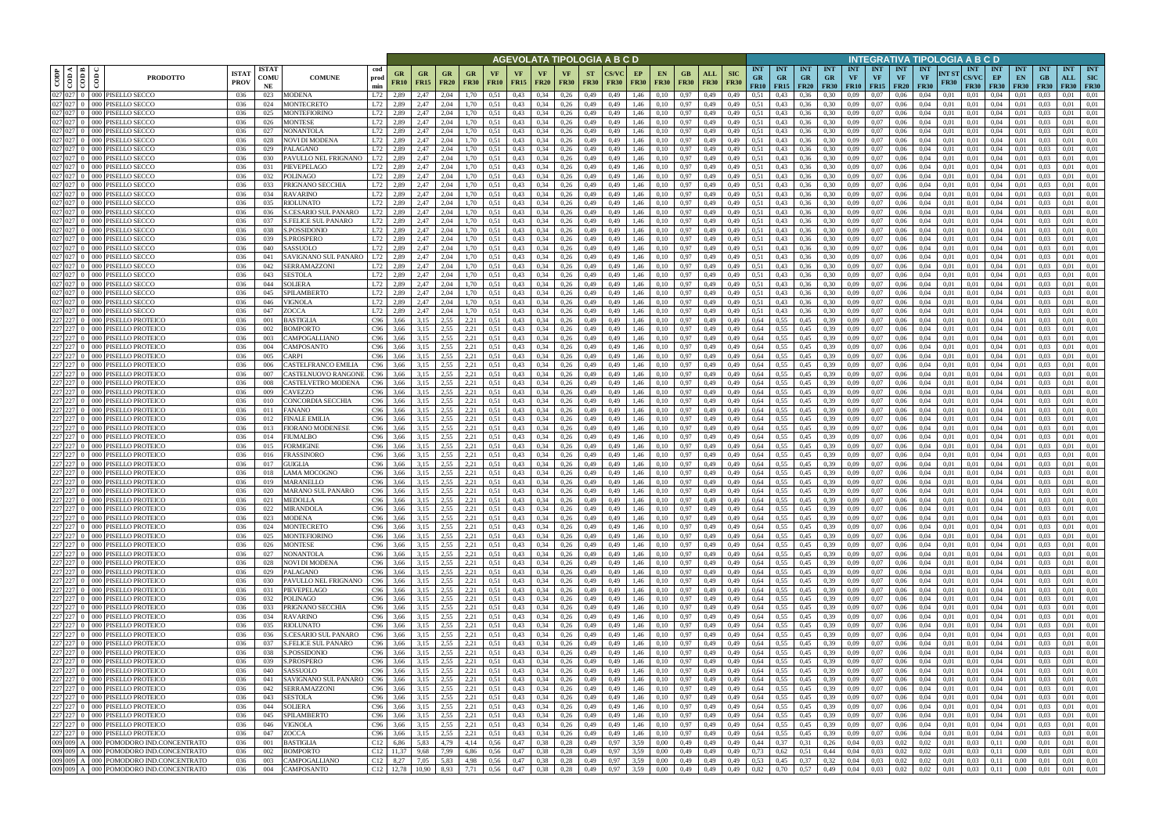|         |                                                                   |                                                                          |                              |                                   |                                     |                            |                          |                                               |                    |                      |                   |                   |                            |                          | AGEVOLATA TIPOLOGIA A B C D |                   |                   |                   |                            |                           |                                 |                                        |                         |                                      |                  |                                      |                                        |                                        |                      | NTEGRATIVA TIPOLOGIA A B C D              |                                        |                                 |                                 |                                  |                                         |
|---------|-------------------------------------------------------------------|--------------------------------------------------------------------------|------------------------------|-----------------------------------|-------------------------------------|----------------------------|--------------------------|-----------------------------------------------|--------------------|----------------------|-------------------|-------------------|----------------------------|--------------------------|-----------------------------|-------------------|-------------------|-------------------|----------------------------|---------------------------|---------------------------------|----------------------------------------|-------------------------|--------------------------------------|------------------|--------------------------------------|----------------------------------------|----------------------------------------|----------------------|-------------------------------------------|----------------------------------------|---------------------------------|---------------------------------|----------------------------------|-----------------------------------------|
| CODP    | $\blacktriangleleft$<br>$\blacksquare$<br>$\cos$<br>$\frac{1}{2}$ | <b>PRODOTTO</b>                                                          | <b>ISTA</b> 1<br><b>PROV</b> | <b>ISTAT</b><br><b>COMU</b><br>NE | <b>COMUNE</b>                       | cod<br>prod<br>min         | <b>GR</b><br><b>FR10</b> | <b>GR</b><br><b>GR</b><br><b>FR15</b><br>FR20 | GR.<br><b>FR30</b> | VF<br><b>FR10</b>    | VF<br><b>FR15</b> | VF<br><b>FR20</b> | <b>VF</b><br><b>FR30</b>   | <b>ST</b><br><b>FR30</b> | `S/VC<br><b>FR30</b>        | EP<br><b>FR30</b> | EN<br><b>FR30</b> | GВ<br><b>FR30</b> | ALL<br><b>FR30</b>         | <b>SIC</b><br><b>FR30</b> | <b>INT</b><br><b>GR</b><br>FR10 | <b>INT</b><br><b>GR</b><br>$FR15$ FR20 | <b>INT</b><br><b>GR</b> | <b>INT</b><br>$G_{R}$<br><b>FR30</b> | <b>INT</b><br>VF | <b>INT</b><br>VF<br><b>FR10</b> FR15 | <b>INT</b><br><b>VF</b><br><b>FR20</b> | <b>INT</b><br><b>VF</b><br><b>FR30</b> | NT ST<br><b>FR30</b> | <b>INT</b><br><b>CS/VC</b><br><b>FR30</b> | <b>INT</b><br>EP<br><b>FR30</b>        | <b>INT</b><br>EN<br><b>FR30</b> | <b>INT</b><br>GB<br><b>FR30</b> | <b>INT</b><br>ALL<br><b>FR30</b> | <b>INT</b><br><b>SIC</b><br><b>FR30</b> |
| 027 027 |                                                                   | 0 000 PISELLO SECCO                                                      | 036                          | 023                               | <b>MODENA</b>                       | L72<br>2,89                |                          | 2,47<br>2.04                                  | .70                | 0.51                 | 0,43              | 0,34              | 0,26                       | 0,49                     | 0,49                        | 1,46              | 0,10              | 0,97              | 0,49                       | 0,49                      | 0.51                            | 0.43                                   | 0.36                    | 0.30                                 | 0.09             | 0.07                                 | 0.06                                   | 0.04                                   | 0.01                 | 0.01                                      | 0.04                                   |                                 |                                 | 0.01                             | 0.01                                    |
| 027 027 |                                                                   | 027 027 0 000 PISELLO SECCO<br>0 000<br>PISELLO SECCO                    | 036<br>036                   | 024<br>025                        | MONTECRETO<br>MONTEFIORINO          | L72<br>2,89<br>L72<br>2,89 |                          | 2,47<br>2,04<br>2,47<br>2.04                  | .70                | 0.51<br>0.51         | 0,43<br>0,43      | 0,34<br>0,34      | 0,26<br>0,26               | 0,49<br>0,49             | 0,49<br>0.49                | 1,46<br>1,46      | 0,10<br>0,10      | 0,97<br>0,97      | 0,49<br>0,49               | 0,49                      | 0,51<br>0,51                    | 0,43<br>0,43                           | 0,36                    | 0,30                                 | 0.09<br>),09     | 0,07<br>0,07                         | 0,06                                   | 0,04<br>0,04                           | 0,01<br>0,01         | 0,01<br>0.01                              | 0,04<br>0,04                           | 0.01<br>0.0                     | 0.03                            | 0,01<br>0.01                     | 0,01<br>0,01                            |
|         |                                                                   | 027 027 0 000 PISELLO SECCO                                              | 036                          | 026                               | MONTESE                             | L72<br>2,89                |                          | 2.04<br>2,47                                  | 1,70               | 0,51                 | 0,43              | 0,34              | 0,26                       | 0,49                     | 0,49                        | 1,46              | 0,10              | 0,97              | 0,49                       | 0,49<br>0,49              | 0.51                            | 0,43                                   | 0,36<br>0,36            | 0,30<br>0,30                         | 0,09             | 0,07                                 | 0,06<br>0,06                           | 0,04                                   | 0,01                 | 0.01                                      | 0,04                                   | 0,01                            | 0.03                            | 0,01                             | 0,01                                    |
|         |                                                                   | 027 027 0 000 PISELLO SECCO                                              | 036                          | 027                               | <b>NONANTOLA</b>                    | L72<br>2,89                |                          | 2.04<br>2,47                                  | 1.70               | 0,51                 | 0,43              | 0,34              | 0,26                       | 0,49                     | 0.49                        | 1,46              | 0,10              | 0,97              | 0,49                       | 0,49                      | 0.51                            | 0.43                                   | 0,36                    | 0.30                                 | 0,09             | 0,07                                 | 0,06                                   | 0.04                                   | 0,01                 | 0,01                                      | 0,04                                   | 0.01                            | 0.03                            | 0.01                             | 0.01                                    |
|         |                                                                   | 027 027 0 000 PISELLO SECCO                                              | 036                          | 028                               | NOVI DI MODENA                      | L72<br>2,89                |                          | 2,04<br>2,47                                  | 1,70               | 0,51                 | 0,43              | 0,34              | 0,26                       | 0,49                     | 0,49                        | 1,46              | 0,10              | 0,97              | 0,49                       | 0,49                      | 0.51                            | 0,43                                   | 0,36                    | 0.30                                 | 0.09             | 0,07                                 | 0,06                                   | 0,04                                   | 0,01                 | 0,01                                      | 0,04                                   | 0,01                            | 0,03                            | 0,01                             | 0,01                                    |
|         |                                                                   | 027 027 0 000 PISELLO SECCO                                              | 036                          | 029                               | PALAGANO                            | L72<br>2,89                |                          | 2,47<br>2.04                                  | ,70                | 0.51                 | 0,43              | 0.34              | 0,26                       | 0,49                     | 0.49                        | 1,46              | 0.10              | 0.97              | 0,49                       | 0.49                      | 0,51                            | 0.43                                   | 0.36                    | 0.30                                 | ).09             | 0.07                                 | 0.06                                   | 0.04                                   | 0.01                 | 0.01                                      | 0.04                                   | 0.01                            |                                 | 0.01                             | 0.01                                    |
|         |                                                                   | 027 027 0 000 PISELLO SECCO<br>027 027 0 000 PISELLO SECCO               | 036<br>036                   | 030<br>031                        | PAVULLO NEL FRIGNANO                | L72<br>2,89<br>L72<br>2,89 |                          | 2,47<br>2.04<br>2,47<br>2.04                  | 1,70<br>1,70       | 0.51                 | 0,43              | 0,34<br>0,34      | 0,26<br>0,26               | 0,49                     | 0.49<br>0.49                | 1,46              | 0.10              | 0.97              | 0,49                       | 0,49                      | 0.51<br>0.51                    | 0,43                                   | 0,36                    | 0,30                                 | 0.09<br>0.09     | 0.07<br>0.07                         | 0,06                                   | 0.04<br>0.04                           | 0.01<br>0.01         | 0.01                                      | 0.04                                   | 0,01                            | 0.03                            | 0.01<br>0.01                     | 0.01<br>0,01                            |
|         |                                                                   | 027 027 0 000 PISELLO SECCO                                              | 036                          | 032                               | PIEVEPELAGO<br><b>POLINAGO</b>      | L72<br>2,89                |                          | 2,47<br>2.04                                  | 1,70               | 0,51<br>0.51         | 0,43<br>0,43      | 0,34              | 0,26                       | 0,49<br>0,49             | 0.49                        | 1,46<br>1,46      | 0.10<br>0.10      | 0,97<br>0.97      | 0,49<br>0,49               | 0,49<br>0,49              | 0.51                            | 0,43<br>0,43                           | 0,36<br>0.36            | 0.30<br>0.30                         | 0.09             | 0.07                                 | 0,06<br>0.06                           | 0.04                                   | 0.01                 | 0.01<br>0.01                              | 0,04<br>0.04                           | 0,01<br>0.01                    | 0.03<br>0.03                    | 0.01                             | 0.01                                    |
|         |                                                                   | 027 027 0 000 PISELLO SECCO                                              | 036                          | 033                               | PRIGNANO SECCHIA                    | L72<br>2,89                |                          | 2,47<br>2.04                                  | 1,70               | 0.51                 | 0,43              | 0.34              | 0,26                       | 0,49                     | 0.49                        | 1.46              | 0.10              | 0,97              | 0,49                       | 0.49                      | 0.51                            | 0.43                                   | 0.36                    | 0.30                                 | 0.09             | 0.07                                 | 0.06                                   | 0.04                                   | 0.01                 | 0.01                                      | 0.04                                   | 0.01                            | 0.03                            | 0.01                             | 0.01                                    |
|         |                                                                   | 027 027 0 000 PISELLO SECCO                                              | 036                          | 034                               | <b>RAVARINO</b>                     | L72<br>2,89                |                          | 2,47<br>2.04                                  | 1,70               | 0,51                 | 0,43              | 0,34              | 0,26                       | 0,49                     | 0,49                        | 1,46              | 0.10              | 0,97              | 0,49                       | 0,49                      | 0.51                            | 0,43                                   | 0,36                    | 0.30                                 | 0,09             | 0,07                                 | 0,06                                   | 0,04                                   | 0,01                 | 0.01                                      | 0,04                                   | 0,01                            | 0.03                            | 0,01                             | 0,01                                    |
|         |                                                                   | 027 027 0 000 PISELLO SECCO                                              | 036                          | 035                               | <b>RIOLUNATO</b>                    | L72<br>2,89                |                          | 2.04<br>2,47                                  | 1,70               | 0,51                 | 0,43              | 0,34              | 0,26                       | 0,49                     | 0,49                        | 1,46              | 0.10              | 0,97              | 0,49                       | 0,49                      | 0.51                            | 0,43                                   | 0,36                    | 0,30                                 | 0,09             | 0.07                                 | 0,06                                   | 0,04                                   | 0.01                 | 0,01                                      | 0,04                                   | 0,01                            | 0.03                            | 0,01                             | 0,01                                    |
|         |                                                                   | 027 027 0 000 PISELLO SECCO                                              | 036                          | 036                               | S.CESARIO SUL PANARO                | L72<br>2,89                |                          | 2,47<br>2.04                                  | 1,70               | 0,51                 | 0,43              | 0,34              | 0,26                       | 0,49                     | 0,49                        | 1,46              | 0.10              | 0,97              | 0,49                       | 0,49                      | 0.51                            | 0,43                                   | 0,36                    | 0.30                                 | 0,09             | 0,07                                 | 0,06                                   | 0,04                                   | 0,01                 | 0.01                                      | 0,04                                   | 0,01                            | 0.03                            | 0.01                             | 0,01                                    |
|         |                                                                   | 027 027 0 000 PISELLO SECCO<br>027 027 0 000 PISELLO SECCO               | 036                          | 037<br>038                        | S.FELICE SUL PANARO                 | L72<br>2,89<br>L72<br>2,89 |                          | 2,47<br>2,04<br>2.04                          | 1,70<br>1,70       | 0,51                 | 0,43<br>0,43      | 0,34              | 0,26                       | 0,49                     | 0.49<br>0.49                | 1,46              | 0,10<br>0.10      | 0,97<br>0,97      | 0,49                       | 0,49                      | 0,51<br>0.51                    | 0,43                                   | 0,36                    | 0,30<br>0.30                         | 0,09             | 0,07                                 | 0,06                                   | 0,04<br>0.04                           | 0,01                 | 0.01<br>0.01                              | 0,04<br>0,04                           | 0,01                            | 0,03<br>0.03                    | 0,01<br>0.01                     | 0,01<br>0.01                            |
|         |                                                                   | 027 027 0 000 PISELLO SECCO                                              | 036<br>036                   | 039                               | S.POSSIDONIO<br>S.PROSPERO          | L72<br>2,89                |                          | 2,47<br>2,04<br>2,47                          | 1,70               | 0,51<br>0.51         | 0,43              | 0,34<br>0,34      | 0,26<br>0,26               | 0,49<br>0,49             | 0,49                        | 1,46<br>1,46      | 0.10              | 0,97              | 0,49<br>0,49               | 0,49<br>0,49              | 0.51                            | 0,43<br>0,43                           | 0,36<br>0,36            | 0,30                                 | 0.09<br>0.09     | 0,07<br>0,07                         | 0,06<br>0,06                           | 0.04                                   | 0,01<br>0.01         | 0.01                                      | 0,04                                   | 0,01<br>0,01                    | 0.03                            | 0,01                             | 0.01                                    |
|         |                                                                   | 027 027 0 000 PISELLO SECCO                                              | 036                          | 040                               | SASSUOLO                            | L72<br>2,89                |                          | 2,47<br>2,04                                  | 1,70               | 0,51                 | 0,43              | 0,34              | 0,26                       | 0,49                     | 0,49                        | 1,46              | 0,10              | 0,97              | 0,49                       | 0,49                      | 0.51                            | 0,43                                   | 0,36                    | 0,30                                 | 0,09             | 0,07                                 | 0,06                                   | 0,04                                   | 0,01                 | 0,01                                      | 0,04                                   | 0,01                            | 0,03                            | 0,01                             | 0,01                                    |
|         |                                                                   | 027 027 0 000 PISELLO SECCO                                              | 036                          | 041                               | SAVIGNANO SUL PANARO                | L72<br>2,89                |                          | 2.04<br>2.47                                  | 1.70               | 0,51                 | 0,43              | 0,34              | 0,26                       | 0,49                     | 0.49                        | 1,46              | 0.10              | 0,97              | 0,49                       | 0.49                      | 0.51                            | 0,43                                   | 0.36                    | 0,30                                 | 0.09             | 0.07                                 | 0.06                                   | 0.04                                   | 0.01                 | 0.01                                      | 0,04                                   | 0,01                            | 0.03                            | 0,01                             | 0.01                                    |
|         |                                                                   | 027 027 0 000 PISELLO SECCO                                              | 036                          | 042                               | SERRAMAZZONI                        | L72<br>2,89                |                          | 2,47<br>2.04                                  | 1,70               | 0,51                 | 0,43              | 0,34              | 0,26                       | 0,49                     | 0.49                        | 1,46              | 0.10              | 0,97              | 0,49                       | 0.49                      | 0.51                            | 0,43                                   | 0,36                    | 0.30                                 | 0.09             | 0,07                                 | 0.06                                   | 0.04                                   | 0.01                 | 0.01                                      | 0,04                                   | 0.01                            | 0.03                            | 0.01                             | 0.01                                    |
|         |                                                                   | 027 027 0 000 PISELLO SECCO                                              | 036                          | 043                               | SESTOLA                             | L72<br>2,89                |                          | 2,04<br>2,47                                  | 1,70               | 0,51                 | 0,43              | 0,34              | 0,26                       | 0,49                     | 0,49                        | 1,46              | 0,10              | 0,97              | 0,49                       | 0,49                      | 0.51                            | 0,43                                   | 0,36                    | 0,30                                 | 0,09             | 0,07                                 | 0,06                                   | 0,04                                   | 0,01                 | 0.01                                      | 0,04                                   | 0,01                            | 0.03                            | 0,01                             | 0,01                                    |
|         | 027 027 0 000                                                     | PISELLO SECCO<br>027 027 0 000 PISELLO SECCO                             | 036<br>036                   | 044<br>045                        | SOLIERA<br>SPILAMBERTO              | L72<br>2,89<br>L72<br>2,89 |                          | 2,47<br>2.04<br>2,47<br>2.04                  | .70<br>.70         | 0.51<br>0.51         | 0,43<br>0,43      | 0,34<br>0,34      | 0,26<br>0,26               | 0,49<br>0,49             | 0.49<br>0,49                | 1.46<br>1.46      | 0.10<br>0.10      | 0,97<br>0,97      | 0.49<br>0,49               | 0.49<br>0,49              | 0,51<br>0,51                    | 0,43<br>0,43                           | 0.36<br>0,36            | 0.30<br>0,30                         | 0.09<br>0.09     | 0.07<br>0.07                         | 0.06<br>0.06                           | 0.04<br>0,04                           | 0.01<br>0.01         | 0.01<br>0.01                              | 0,04<br>0.04                           | 0.0<br>0.01                     | 0.03<br>0.03                    | 0.01<br>0,01                     | 0.01<br>0.01                            |
|         | $\overline{027}$ $\overline{027}$ 0 000                           | PISELLO SECCO                                                            | 036                          | 046                               | VIGNOLA                             | L72<br>2.89                |                          | 2,47<br>2.04                                  | .70                | 0.51                 | 0,43              | 0,34              | 0,26                       | 0,49                     | 0.49                        | 1.46              | 0.10              | 0,97              | 0,49                       | 0,49                      | 0,51                            | 0.43                                   | 0,36                    | 0.30                                 | 0.09             | 0.07                                 | 0.06                                   | 0.04                                   | 0.01                 | 0.01                                      | 0,04                                   | 0.01                            | 0.03                            | 0.01                             | 0.01                                    |
|         |                                                                   | 027 027 0 000 PISELLO SECCO                                              | 036                          | 047                               | ZOCCA                               | L72<br>2,89                |                          | 2,47<br>2.04                                  | 1.70               | 0.51                 | 0,43              | 0,34              | 0,26                       | 0,49                     | 0,49                        | 1,46              | 0,10              | 0,97              | 0,49                       | 0,49                      | 0.51                            | 0,43                                   | 0,36                    | 0.30                                 | 0.09             | 0.07                                 | 0,06                                   | 0,04                                   | 0,01                 | 0,01                                      | 0,04                                   | 0.01                            | 0.03                            | 0,01                             | 0,01                                    |
| 227 227 |                                                                   | 0 000 PISELLO PROTEICO                                                   | 036                          | 001                               | BASTIGLIA                           | C96<br>3,66                |                          | 3,15<br>2.55                                  | 2,21               | 0.51                 | 0,43              | 0,34              | 0,26                       | 0,49                     | 0.49                        | 1,46              | 0.10              | 0,97              | 0,49                       | 0,49                      | 0,64                            | 0.55                                   | 0,45                    | 0.39                                 | 0.09             | 0.07                                 | 0.06                                   | 0.04                                   | 0.01                 | 0.01                                      | 0,04                                   | 0.01                            | 0.03                            | 0.01                             | 0.01                                    |
| 227 227 |                                                                   | 0 000 PISELLO PROTEICO                                                   | 036                          | 002                               | BOMPORTO                            | C96                        | 3,66                     | 3,15<br>2,55                                  | 2,21               | 0,51                 | 0,43              | 0,34              | 0,26                       | 0,49                     | 0,49                        | 1,46              | 0,10              | 0,97              | 0,49                       | 0,49                      | 0,64                            | 0,55                                   | 0,45                    | 0.39                                 | 0.09             | 0,07                                 | 0,06                                   | 0,04                                   | 0,01                 | 0.01                                      | 0,04                                   | 0,01                            | 0,03                            | 0,01                             | 0,01                                    |
| 227 227 |                                                                   | 0 000 PISELLO PROTEICO                                                   | 036                          | 003                               | CAMPOGALLIANO                       | C96                        | 3,66                     | 2.55<br>3,15                                  | 2,21               | 0.51                 | 0,43              | 0,34              | 0,26                       | 0,49                     | 0.49                        | 1,46              | 0.10              | 0.97              | 0,49                       | 0,49                      | 0,64                            | 0.55                                   | 0,45                    | 0.39                                 | ).09             | 0.07                                 | 0,06                                   | 0.04                                   | 0.01                 | 0.01                                      | 0,04                                   | 0.01                            | 0.03                            | 0.01                             | 0.01                                    |
|         |                                                                   | 0 000 PISELLO PROTEICO<br>0 000 PISELLO PROTEICO                         | 036<br>036                   | 004<br>005                        | CAMPOSANTO<br>CARPI                 | C96<br>C96<br>3,66         | 3,66                     | 2.55<br>3,15<br>2,55<br>3,15                  | 2,21<br>2,21       | 0,51<br>0,51         | 0,43<br>0,43      | 0,34<br>0,34      | 0,26<br>0,26               | 0,49<br>0,49             | 0,49<br>0.49                | 1,46<br>1,46      | 0,10<br>0,10      | 0,97<br>0,97      | 0,49<br>0,49               | 0,49<br>0,49              | 0,64<br>0.64                    | 0,55<br>0.55                           | 0,45<br>0,45            | 0.39<br>0.39                         | ),09<br>0.09     | 0,07<br>0,07                         | 0,06<br>0,06                           | 0,04<br>0,04                           | 0,01<br>0,01         | 0,01<br>0,01                              | 0,04<br>0,04                           | 0,01<br>0,01                    | 0.03<br>0.03                    | 0.01<br>0,01                     | 0.01<br>0,01                            |
|         |                                                                   | 227 227 0 000 PISELLO PROTEICO                                           | 036                          | 006                               | CASTELFRANCO EMILIA                 | C96<br>3,66                |                          | 3,15<br>2.55                                  | 2,21               | 0,51                 | 0,43              | 0,34              | 0,26                       | 0,49                     | 0.49                        | 1,46              | 0.10              | 0.97              | 0,49                       | 0,49                      | 0,64                            | 0,55                                   | 0,45                    | 0.39                                 | 0.09             | 0.07                                 | 0,06                                   | 0.04                                   | 0.01                 | 0.01                                      | 0.04                                   | 0,01                            | 0.03                            | 0.01                             | 0,01                                    |
|         |                                                                   | 0 000 PISELLO PROTEICO                                                   | 036                          | 007                               | CASTELNUOVO RANGONE                 | C96<br>3,66                |                          | 2.55<br>3.15                                  | 2,21               | 0,51                 | 0,43              | 0,34              | 0,26                       | 0,49                     | 0.49                        | 1,46              | 0.10              | 0,97              | 0,49                       | 0.49                      | 0,64                            | 0.55                                   | 0.45                    | 0.39                                 | 0.09             | 0.07                                 | 0.06                                   | 0.04                                   | 0.01                 | 0.01                                      | 0.04                                   | 0.01                            | 0.03                            | 0.01                             | 0.01                                    |
|         |                                                                   | 0 000 PISELLO PROTEICO                                                   | 036                          | 008                               | CASTELVETRO MODENA                  | C96<br>3,66                |                          | 3,15<br>2,55                                  | 2,21               | 0,51                 | 0,43              | 0,34              | 0,26                       | 0,49                     | 0.49                        | 1,46              | 0.10              | 0,97              | 0,49                       | 0,49                      | 0,64                            | 0,55                                   | 0,45                    | 0.39                                 | 0,09             | 0.07                                 | 0,06                                   | 0,04                                   | 0,01                 | 0,01                                      | 0,04                                   | 0,01                            | 0.03                            | 0,01                             | 0,01                                    |
|         |                                                                   | 227 227 0 000 PISELLO PROTEICO                                           | 036                          | 009                               | CAVEZZO                             | C96<br>3.66                |                          | 2.55<br>3.15                                  | 2,21               | 0.51                 | 0,43              | 0.34              | 0,26                       | 0,49                     | 0.49                        | 1.46              | 0.10              | 0,97              | 0,49                       | 0.49                      | 0,64                            | 0.55                                   | 0.45                    | 0.39                                 | 0.09             | 0.07                                 | 0.06                                   | 0.04                                   | 0.01                 | 0.01                                      | 0.04                                   | 0.01                            | 0.03                            | 0.01                             | 0.01                                    |
|         |                                                                   | 227 227 0 000 PISELLO PROTEICO<br>227 227 0 000 PISELLO PROTEICO         | 036<br>036                   | 010<br>011                        | CONCORDIA SECCHIA<br>FANANO         | C96<br>3,66<br>C96<br>3,66 |                          | 3,15<br>2.55<br>2,55<br>3,15                  | 2,21<br>2,21       | 0,51<br>0,51         | 0,43<br>0,43      | 0,34<br>0,34      | 0,26<br>0,26               | 0,49<br>0,49             | 0.49<br>0,49                | 1,46<br>1,46      | 0.10<br>0,10      | 0,97<br>0,97      | 0,49<br>0,49               | 0,49<br>0,49              | 0.64<br>0,64                    | 0,55<br>0,55                           | 0.45<br>0,45            | 0.39<br>0.39                         | 0.09<br>0.09     | 0.07<br>0.07                         | 0,06<br>0,06                           | 0.04<br>0,04                           | 0.01<br>0,01         | 0.01<br>0,01                              | 0,04<br>0,04                           | 0,01<br>0,01                    | 0.03<br>0.03                    | 0.01<br>0.01                     | 0.01<br>0,01                            |
|         | 227 227 0 000                                                     | PISELLO PROTEICO                                                         | 036                          | 012                               | FINALE EMILIA                       | C96                        | 3,66                     | 3,15<br>2.55                                  | 2,21               | 0.51                 | 0,43              | 0,34              | 0,26                       | 0,49                     | 0,49                        | 1,46              | 0.10              | 0,97              | 0,49                       | 0,49                      | 0.64                            | 0,55                                   | 0,45                    | 0.39                                 | 0,09             | 0,07                                 | 0,06                                   | 0.04                                   | 0,01                 | 0.01                                      | 0,04                                   | 0,01                            | 0.03                            | 0.01                             | 0,01                                    |
|         |                                                                   | 227 227 0 000 PISELLO PROTEICO                                           | 036                          | 013                               | FIORANO MODENESE                    | C96<br>3,66                |                          | 2,55<br>3,15                                  | 2,21               | 0,51                 | 0,43              | 0,34              | 0,26                       | 0,49                     | 0,49                        | 1,46              | 0.10              | 0,97              | 0,49                       | 0,49                      | 0.64                            | 0.55                                   | 0,45                    | 0.39                                 | 0,09             | 0.07                                 | 0,06                                   | 0,04                                   | 0.01                 | 0.01                                      | 0,04                                   | 0,01                            | 0.03                            | 0,01                             | 0,01                                    |
|         | 227 227 0 000                                                     | PISELLO PROTEICO                                                         | 036                          | 014                               | FIUMALBO                            | C96<br>3,66                |                          | 2,55<br>3,15                                  | 2,21               | 0,51                 | 0,43              | 0,34              | 0,26                       | 0,49                     | 0,49                        | 1,46              | 0,10              | 0,97              | 0,49                       | 0,49                      | 0,64                            | 0,55                                   | 0,45                    | 0,39                                 | 0,09             | 0,07                                 | 0,06                                   | 0,04                                   | 0,01                 | 0.01                                      | 0,04                                   | 0,01                            | 0,03                            | 0,01                             | 0,01                                    |
|         |                                                                   | 227 227 0 000 PISELLO PROTEICO                                           | 036                          | 015                               | FORMIGINE                           | C96<br>3,66                |                          | 2.55<br>3.15                                  | 2,21               | 0.51                 | 0,43              | 0,34              | 0,26                       | 0,49                     | 0,49                        | 1,46              | 0.10              | 0,97              | 0,49                       | 0,49                      | 0,64                            | 0.55                                   | 0,45                    | 0.39                                 | 0.09             | 0,07                                 | 0,06                                   | 0.04                                   | 0.01                 | 0.01                                      | 0,04                                   | 0,01                            | 0.03                            | 0,01                             | 0,01                                    |
|         |                                                                   | 227 227 0 000 PISELLO PROTEICO<br>227 227 0 000 PISELLO PROTEICO         | 036<br>036                   | 016<br>017                        | FRASSINORO<br><b>GUIGLIA</b>        | C96<br>3,66<br>C96         | 3,66                     | 2.55<br>3,15<br>2,55<br>3,15                  | 2,21<br>2,21       | 0,51<br>0,51         | 0,43<br>0,43      | 0,34<br>0,34      | 0,26<br>0,26               | 0,49<br>0,49             | 0,49<br>0,49                | 1,46<br>1,46      | 0,10<br>0,10      | 0,97<br>0,97      | 0,49<br>0,49               | 0,49<br>0,49              | 0,64<br>0,64                    | 0,55<br>0.55                           | 0,45<br>0,45            | 0.39<br>0.39                         | 0,09<br>0,09     | 0,07<br>0,07                         | 0,06<br>0,06                           | 0.04<br>0,04                           | 0,01<br>0,01         | 0.01<br>0,01                              | 0,04<br>0,04                           | 0,01<br>0,01                    | 0.03<br>0,03                    | 0,01<br>0,01                     | 0,01<br>0,01                            |
|         |                                                                   | 227 227 0 000 PISELLO PROTEICO                                           | 036                          | 018                               | LAMA MOCOGNO                        | C96<br>3,66                |                          | 2.55<br>3.15                                  | 2.21               | 0.51                 | 0,43              | 0.34              | 0,26                       | 0.49                     | 0.49                        | 1.46              | 0.10              | 0,97              | 0,49                       | 0.49                      | 0.64                            | 0.55                                   | 0.45                    | 0.39                                 | 0.09             | 0.07                                 | 0.06                                   | 0.04                                   | 0.01                 | 0.01                                      | 0,04                                   | 0.01                            | 0.03                            | 0.01                             | 0.01                                    |
|         |                                                                   | 227 227 0 000 PISELLO PROTEICO                                           | 036                          | 019                               | <b>MARANELLO</b>                    | C96                        | 3,66                     | 3,15<br>2,55                                  | 2,21               | 0,51                 | 0,43              | 0,34              | 0,26                       | 0,49                     | 0,49                        | 1,46              | 0.10              | 0,97              | 0,49                       | 0,49                      | 0.64                            | 0.55                                   | 0,45                    | 0.39                                 | 0.09             | 0.07                                 | 0.06                                   | 0.04                                   | 0.01                 | 0.01                                      | 0,04                                   | 0,01                            | 0.03                            | 0,01                             | 0,01                                    |
|         |                                                                   | 227 227 0 000 PISELLO PROTEICO                                           | 036                          | 020                               | MARANO SUL PANARO                   | C96<br>3,66                |                          | 2,55<br>3,15                                  | 2,21               | 0,51                 | 0,43              | 0,34              | 0,26                       | 0,49                     | 0.49                        | 1,46              | 0.10              | 0,97              | 0,49                       | 0.49                      | 0.64                            | 0,55                                   | 0.45                    | 0.39                                 | 0.09             | 0.07                                 | 0.06                                   | 0.04                                   | 0.01                 | 0.01                                      | 0.04                                   | 0.01                            | 0.03                            | 0.01                             | 0.01                                    |
|         |                                                                   | 227 227 0 000 PISELLO PROTEICO<br>$227$ $227$ 0 000 PISELLO PROTEICO     | 036<br>036                   | 021<br>022                        | <b>MEDOLLA</b><br><b>MIRANDOLA</b>  | C96<br>C96                 | 3,66<br>3,66             | 2,55<br>3,15<br>2,55<br>3,15                  | 2,21<br>2,21       | 0,51<br>0,51         | 0,43<br>0,43      | 0,34<br>0,34      | 0,26<br>0,26               | 0,49<br>0,49             | 0,49<br>0,49                | 1,46<br>1,46      | 0,10<br>0,10      |                   | $0,97$ 0.49<br>$0,97$ 0.49 | 0,49<br>0,49              | 0,64<br>0,64                    | 0,55<br>0,55                           | 0,45<br>0,45            | 0.39<br>0.39                         | 0,09<br>0,09     | 0,07<br>0,07                         | 0,06<br>0,06                           | 0,04<br>0,04                           | 0,01<br>0,01         | 0,01<br>0.01                              | $0.04 \quad 0.01$<br>$0,04$ 0.01       |                                 | 0,03<br>0,03                    | 0,01<br>0,01                     | 0,01<br>0,01                            |
|         |                                                                   | 227 227 0 000 PISELLO PROTEICO                                           | 036                          | 023                               | <b>MODENA</b>                       | C96<br>3,66                |                          | 2,55<br>3,15                                  | 2,21               | 0,51                 | 0,43              | 0,34              | 0,26                       | 0,49                     | 0,49                        | 1,46              | 0,10              |                   | $0,97$ 0.49                | 0,49                      | 0,64                            | 0,55                                   | 0,45                    | 0,39                                 | 0,09             | 0,07                                 | 0,06                                   | 0,04                                   | 0,01                 | 0,01                                      | $0,04$ 0.01                            |                                 | 0,03                            | 0,01                             | 0,01                                    |
|         |                                                                   | $227$ $227$ 0 000 PISELLO PROTEICO                                       | 036                          | 024                               | <b>MONTECRETO</b>                   | C96                        | 3,66                     | 2,55<br>3,15                                  |                    | $2,21$ 0.51          | 0,43              |                   | $0,34$ $0,26$              | 0,49                     | 0,49                        | 1,46              | 0,10              |                   | $0,97$ 0.49                | 0,49                      | 0,64                            | $0,55$ 0.45                            |                         | 0,39                                 | 0.09             | 0,07                                 | 0,06                                   | 0,04                                   | 0,01                 | 0,01                                      | $0,04$ $0,01$                          |                                 | 0,03                            | 0,01                             | 0.01                                    |
|         |                                                                   | $227$ $227$ 0 000 PISELLO PROTEICO                                       | 036                          | 025                               | <b>MONTEFIORINO</b>                 | C96<br>3,66                |                          | 3,15<br>2,55                                  | 2,21               | 0.51                 | 0,43              | 0,34              | 0,26                       | 0,49                     | 0,49                        | 1,46              | 0,10              |                   | $0,97$ 0.49                | 0,49                      | 0,64                            | 0,55                                   | 0,45                    | 0,39                                 | 0,09             | 0,07                                 | 0,06                                   | 0,04                                   | 0,01                 | 0,01                                      | 0,04                                   | 0.01                            | 0,03                            | 0,01                             | 0,01                                    |
|         |                                                                   | $227$ $227$ 0 000 PISELLO PROTEICO<br>$227$ $227$ 0 000 PISELLO PROTEICO | 036                          | 026                               | <b>MONTESE</b>                      | C96<br>3,66                |                          | 2,55<br>3,15                                  | 2,21               | 0,51                 | 0,43              | 0,34              | 0,26                       | 0,49                     | 0,49                        | 1,46              | 0,10              |                   | $0,97$ 0.49                | 0,49                      | 0,64                            | 0,55                                   | 0,45                    | 0,39                                 | 0,09             | 0,07                                 | 0,06                                   | 0,04                                   | 0,01                 | 0,01                                      | 0,04                                   | 0,01                            | 0,03                            | 0.01                             | 0,01                                    |
|         |                                                                   | $227$ $227$ 0 000 PISELLO PROTEICO                                       | 036<br>036                   | 027<br>028                        | <b>NONANTOLA</b><br>NOVI DI MODENA  | C96<br>C96<br>3,66         | 3,66                     | 3,15<br>2,55<br>2,55<br>3,15                  | 2,21<br>2,21       | 0,51<br>0,51         | 0,43<br>0,43      | 0,34<br>0,34      | 0,26<br>0,26               | 0,49<br>0,49             | 0,49<br>0,49                | 1,46<br>1,46      | 0,10<br>0,10      | 0,97              | 0,49<br>$0,97$ 0.49        | 0,49<br>0,49              | 0,64<br>0,64                    | 0,55<br>0,55                           | 0,45<br>0,45            | 0,39<br>0,39                         | 0,09<br>0.09     | 0,07<br>0,07                         | 0,06<br>0,06                           | 0,04<br>0,04                           | 0,01<br>0,01         | 0,01<br>0,01                              | 0,04<br>0,04                           | 0,01<br>0,01                    | 0,03<br>0,03                    | 0,01<br>0,01                     | 0,01<br>0,01                            |
|         |                                                                   | 227 227 0 000 PISELLO PROTEICO                                           | 036                          | 029                               | <b>PALAGANO</b>                     | C96                        | 3,66                     | 2,55<br>3,15                                  | 2,21               | 0,51                 | 0,43              | 0,34              | 0,26                       | 0,49                     | 0,49                        | 1,46              | 0,10              | 0,97              | 0,49                       | 0,49                      | 0,64                            | 0,55                                   | 0,45                    | 0,39                                 | 0,09             | 0,07                                 | 0,06                                   | 0,04                                   | 0,01                 | 0,01                                      | 0,04                                   | 0,01                            | 0,03                            | 0.01                             | 0,01                                    |
|         |                                                                   | 227 227 0 000 PISELLO PROTEICO                                           | 036                          | 030                               | PAVULLO NEL FRIGNANO                | C <sub>96</sub> 3.66       |                          | $3,15$ $2,55$ $2,21$ $0,51$                   |                    |                      | 0,43              |                   | $0,34$ $0,26$              | 0,49                     | 0,49                        | 1,46              | 0,10              |                   | 0,97 0,49                  | 0,49                      | 0,64                            | $0,55$ $0,45$                          |                         | 0,39                                 |                  | $0.09 \qquad 0.07$                   | 0,06                                   | 0,04                                   | 0,01                 | 0.01                                      | 0,04                                   | 0,01                            | 0,03                            | 0,01                             | 0,01                                    |
|         |                                                                   | 227 227 0 000 PISELLO PROTEICO                                           | 036                          | 031                               | PIEVEPELAGO                         | $C96$ 3,66                 |                          | $3,15$ 2,55 2,21 0,51                         |                    |                      | 0,43              |                   | $0,34$ 0,26                | 0,49                     | 0,49                        | 1,46              | 0,10              |                   | 0,97 0,49                  | 0,49                      | 0,64                            | $0,55$ $0,45$                          |                         | 0,39                                 |                  | $0,09$ 0.07                          | 0,06                                   | 0,04                                   | 0,01                 | 0,01                                      | 0,04                                   | 0,01                            | 0,03                            | 0,01                             | 0,01                                    |
|         |                                                                   | 227 227 0 000 PISELLO PROTEICO                                           | 036                          | 032                               | POLINAGO                            | C <sub>96</sub> 3.66       |                          | $3,15$ 2,55 2,21 0,51                         |                    |                      | 0,43              |                   | $0,34$ $0,26$              | 0,49                     | 0,49                        | 1,46              | 0,10              |                   | 0,97 0,49                  | 0,49                      | 0,64                            | $0,55$ 0.45                            |                         | 0,39                                 | 0.09 0.07        |                                      | 0,06                                   | 0,04                                   | 0,01                 | 0,01                                      | 0,04                                   | 0,01                            | 0,03                            | 0,01                             | 0,01                                    |
|         |                                                                   | 227 227 0 000 PISELLO PROTEICO<br>227 227 0 000 PISELLO PROTEICO         | 036<br>036                   | 033<br>034                        | PRIGNANO SECCHIA<br><b>RAVARINO</b> | C96<br>C96                 | 3,66<br>3,66             | 2,55<br>3,15<br>2,55<br>3,15                  | 2,21               | 0, 51<br>$2,21$ 0.51 | 0,43<br>0,43      | 0,34<br>0,34      | 0,26<br>0,26               | 0,49<br>0,49             | 0,49<br>0,49                | 1,46<br>1,46      | 0,10<br>0,10      |                   | 0,97 0,49<br>0,97 0,49     | 0,49<br>0,49              | 0,64<br>0,64                    | $0,55$ $0,45$<br>$0,55$ 0.45           |                         | 0,39<br>0,39                         | 0,09<br>0,09     | 0,07<br>0,07                         | 0,06<br>0,06                           | 0,04<br>0,04                           | 0,01<br>0,01         | 0,01<br>0,01                              | 0,04<br>0,04                           | 0,01<br>0,01                    | 0,03<br>0,03                    | 0,01<br>0.01                     | 0,01<br>0,01                            |
|         |                                                                   | 227 227 0 000 PISELLO PROTEICO                                           | 036                          | 035                               | <b>RIOLUNATO</b>                    | C96                        | 3,66                     | 2,55<br>3,15                                  |                    | $2,21$ 0.51          | 0,43              | 0,34              | 0,26                       | 0,49                     | 0,49                        | 1,46              | 0,10              |                   | 0,97 0,49                  | 0,49                      | 0,64                            | $0,55$ $0,45$                          |                         | 0,39                                 | 0,09             | 0,07                                 | 0,06                                   | 0,04                                   | 0,01                 | 0,01                                      | 0,04                                   | 0,01                            | 0,03                            | 0.01                             | 0,01                                    |
|         |                                                                   | 227 227 0 000 PISELLO PROTEICO                                           | 036                          | 036                               | S.CESARIO SUL PANARO                | C96<br>3,66                |                          | 2,55<br>3,15                                  | 2,21               | 0,51                 | 0,43              | 0,34              | 0,26                       | 0,49                     | 0,49                        | 1,46              | 0,10              |                   | $0,97$ 0.49                | 0,49                      | 0,64                            | 0,55                                   | 0,45                    | 0,39                                 | 0,09             | 0,07                                 | 0,06                                   | 0,04                                   | 0,01                 | 0,01                                      | 0,04                                   | 0,01                            | 0,03                            | 0.01                             | 0,01                                    |
|         |                                                                   | 227 227 0 000 PISELLO PROTEICO                                           | 036                          | 037                               | <b>S.FELICE SUL PANARO</b>          | C96                        | 3,66                     | 2,55<br>3,15                                  | $2,21$ 0.51        |                      | 0,43              | 0,34              | 0,26                       | 0,49                     | 0,49                        | 1,46              | 0,10              |                   | $0,97$ 0.49                | 0,49                      | 0,64                            | $0,55$ 0.45                            |                         | 0,39                                 | 0,09             | 0,07                                 | 0,06                                   | 0,04                                   | 0,01                 | 0,01                                      | 0,04                                   | 0,01                            | 0,03                            | 0,01                             | 0,01                                    |
|         |                                                                   | 227 227 0 000 PISELLO PROTEICO                                           | 036                          | 038                               | S.POSSIDONIO                        | C96                        | 3,66                     | 2,55<br>3,15                                  |                    | 2,21 0,51            | 0,43              | 0,34              | 0,26                       | 0,49                     | 0,49                        | 1,46              | 0,10              |                   | 0,97 0,49                  | 0,49                      | 0,64                            | $0,55$ $0,45$                          |                         | 0,39                                 | 0,09             | 0,07                                 | 0,06                                   | 0,04                                   | 0,01                 | 0,01                                      | 0,04                                   | 0,01                            | 0,03                            | 0,01                             | 0,01                                    |
|         |                                                                   | $227$ $227$ 0 000 PISELLO PROTEICO<br>227 227 0 000 PISELLO PROTEICO     | 036<br>036                   | 039<br>040                        | S.PROSPERO<br>SASSUOLO              | C96<br>C96                 | 3,66<br>3,66             | 3,15<br>2,55<br>3,15                          | $2,55$ $2,21$ 0.51 | $2,21$ 0.51          | 0,43<br>0,43      |                   | $0,34$ 0,26<br>$0,34$ 0,26 | 0,49<br>0,49             | 0,49<br>0,49                | 1,46<br>1,46      | 0,10<br>0,10      |                   | 0,97 0,49<br>0,97 0,49     | 0,49<br>0,49              | 0,64<br>0,64                    | $0,55$ $0,45$<br>$0,55$ $0,45$         |                         | 0,39<br>0,39                         | 0,09<br>0,09     | 0,07<br>0,07                         | 0,06<br>0,06                           | 0,04<br>0,04                           | 0,01<br>0,01         | 0,01<br>0,01                              | $0.04\qquad 0.01$<br>$0.04\qquad 0.01$ |                                 | 0,03<br>0,03                    | 0,01<br>0,01                     | 0,01<br>0,01                            |
|         |                                                                   | $227$ $227$ 0 000 PISELLO PROTEICO                                       | 036                          | 041                               | SAVIGNANO SUL PANARO                | C <sub>96</sub> 3,66       |                          | 3,15                                          | $2,55$ $2,21$ 0.51 |                      | 0,43              |                   | $0,34$ 0,26                | 0,49                     | 0,49                        | 1,46              | 0,10              |                   | 0,97 0,49                  | 0,49                      | 0,64                            | $0,55$ $0,45$                          |                         | 0,39                                 | 0,09             | 0,07                                 | 0,06                                   | 0,04                                   | 0,01                 | 0,01                                      | $0,04$ 0.01                            |                                 | 0,03                            | 0,01                             | 0,01                                    |
|         |                                                                   | 227 227 0 000 PISELLO PROTEICO                                           | 036                          | 042                               | SERRAMAZZONI                        | $C96$ 3.66                 |                          | 3,15                                          | 2,55 2,21 0,51     |                      | 0,43              |                   | $0,34$ 0,26                | 0,49                     | 0,49                        | 1,46              | 0,10              |                   | 0,97 0,49                  | 0,49                      | 0,64                            | $0,55$ 0.45                            |                         | 0,39                                 | 0,09             | 0,07                                 | 0,06                                   | 0,04                                   | 0,01                 | 0,01                                      | $0,04$ $0,01$                          |                                 | 0,03                            | 0,01                             | 0,01                                    |
|         |                                                                   | 227 227 0 000 PISELLO PROTEICO                                           | 036                          | 043                               | <b>SESTOLA</b>                      | C96                        | 3,66                     | 3,15<br>2,55                                  | $2,21$ 0.51        |                      | 0,43              |                   | $0,34$ 0,26                | 0,49                     | 0,49                        | 1,46              | 0,10              |                   | $0,97$ 0.49                | 0,49                      | 0,64                            | $0,55$ 0.45                            |                         | 0,39                                 | 0,09             | 0,07                                 | 0,06                                   | 0,04                                   | 0,01                 | 0,01                                      | $0,04$ 0.01                            |                                 | 0,03                            | 0,01                             | 0,01                                    |
|         |                                                                   | 227 227 0 000 PISELLO PROTEICO                                           | 036                          | 044                               | <b>SOLIERA</b>                      | C96                        | 3,66                     | 2,55<br>3,15                                  |                    | 2,21 0,51            | 0,43              | 0,34              | 0,26                       | 0,49                     | 0,49                        | 1,46              | 0,10              |                   | $0,97$ 0.49                | 0,49                      | 0,64                            | $0,55$ 0.45                            |                         | 0,39                                 | 0,09             | 0,07                                 | 0,06                                   | 0,04                                   | 0,01                 | 0,01                                      | $0,04$ $0,01$                          |                                 | 0,03                            | 0,01                             | 0,01                                    |
|         |                                                                   | $227$ $227$ 0 000 PISELLO PROTEICO                                       | 036                          | 045                               | SPILAMBERTO                         | C96                        | 3,66                     | 2,55<br>3,15                                  |                    | $2,21$ 0.51          | 0,43              |                   | $0,34$ 0,26                | 0,49                     | 0,49                        | 1,46              | 0,10              |                   | 0,97 0,49                  | 0,49                      | 0,64                            | $0,55$ $0,45$                          |                         | 0,39                                 | 0,09             | 0,07                                 | 0,06                                   | 0,04                                   | 0,01                 | 0,01                                      | $0,04$ 0.01                            |                                 | 0.03                            | 0,01                             | 0,01                                    |
|         |                                                                   | 227 227 0 000 PISELLO PROTEICO<br>227 227 0 000 PISELLO PROTEICO         | 036<br>036                   | 046<br>047                        | <b>VIGNOLA</b><br>ZOCCA             | C96<br>3,66<br>C96<br>3,66 |                          | 3,15<br>2,55<br>2,55<br>3,15                  | 2,21<br>2,21       | 0,51<br>0,51         | 0,43<br>0,43      | 0,34<br>0,34      | 0,26<br>0,26               | 0,49<br>0,49             | 0,49<br>0,49                | 1,46<br>1,46      | 0,10<br>0,10      |                   | $0,97$ 0.49<br>$0,97$ 0.49 | 0,49<br>0,49              | 0,64<br>0,64                    | 0,55<br>0,55                           | 0,45<br>0,45            | 0,39<br>0,39                         | 0,09<br>0,09     | 0,07<br>0,07                         | 0,06<br>0,06                           | 0,04<br>0,04                           | 0,01<br>0,01         | 0,01<br>0,01                              | $0,04$ $0,01$<br>0,04                  | 0,01                            | 0,03<br>0,03                    | 0,01<br>0.01                     | 0,01<br>0,01                            |
|         |                                                                   | 009 009 A 000 POMODORO IND.CONCENTRATO                                   | 036                          | 001                               | <b>BASTIGLIA</b>                    | C12<br>6,86                |                          | 5,83<br>4,79                                  | 4,14               | 0,56                 | 0,47              | 0,38              | 0,28                       | 0,49                     | 0,97                        | 3,59              | 0,00              |                   | $0,49$ $0,49$              | 0,49                      | 0,44                            | 0,37                                   | 0,31                    | 0,26                                 | 0,04             | 0,03                                 | 0,02                                   | 0,02                                   | 0,01                 | 0,03                                      | $0,11$ $0,00$                          |                                 | 0,01                            | 0,01                             | 0,01                                    |
|         |                                                                   | 009 009 A 000 POMODORO IND.CONCENTRATO                                   | 036                          | 002                               | BOMPORTO                            | $C12$ 11,37                |                          | 7,99<br>9,68                                  |                    | 6,86 0,56            | 0,47              | 0,38              | 0,28                       | 0,49                     | 0,97                        | 3,59              | 0,00              |                   | 0,49 0,49                  | 0,49                      | 0,73                            | 0,62                                   | 0,51                    | 0,44                                 | 0,04             | 0,03                                 | 0,02                                   | 0,02                                   | 0,01                 | 0,03                                      | $0,11$ 0.00                            |                                 | 0,01                            | 0,01                             | 0,01                                    |
|         |                                                                   | 009 009 A 000 POMODORO IND.CONCENTRATO                                   | 036                          | 003                               | CAMPOGALLIANO                       | C12 8,27                   |                          | 7,05<br>5,83                                  |                    | 4,98 0,56            | 0,47              | 0,38              | 0,28                       | 0,49                     | 0,97                        | 3,59              | 0,00              |                   | 0,49 0,49                  | 0,49                      | 0,53                            | $0,45$ 0,37                            |                         | 0,32                                 | 0,04             | 0,03                                 | 0,02                                   | 0,02                                   | 0,01                 | 0,03                                      | $0,11$ $0,00$                          |                                 | 0,01                            | 0,01                             | 0,01                                    |
|         |                                                                   | 009 009 A 000 POMODORO IND.CONCENTRATO                                   | 036                          | 004                               | CAMPOSANTO                          |                            |                          | $C12$ 12,78 10,90 8,93                        |                    | 7,71 0,56            | 0,47              | 0,38              | 0,28                       | 0,49                     | 0,97                        | 3,59              | 0,00              |                   | 0,49 0,49                  |                           | $0,49$ $0,82$                   | 0,70 0,57                              |                         | 0,49                                 | 0,04             | 0,03                                 | 0,02                                   | 0,02                                   | 0,01                 | 0,03                                      | $0,11 \quad 0,00$                      |                                 | 0,01                            | 0,01                             | 0,01                                    |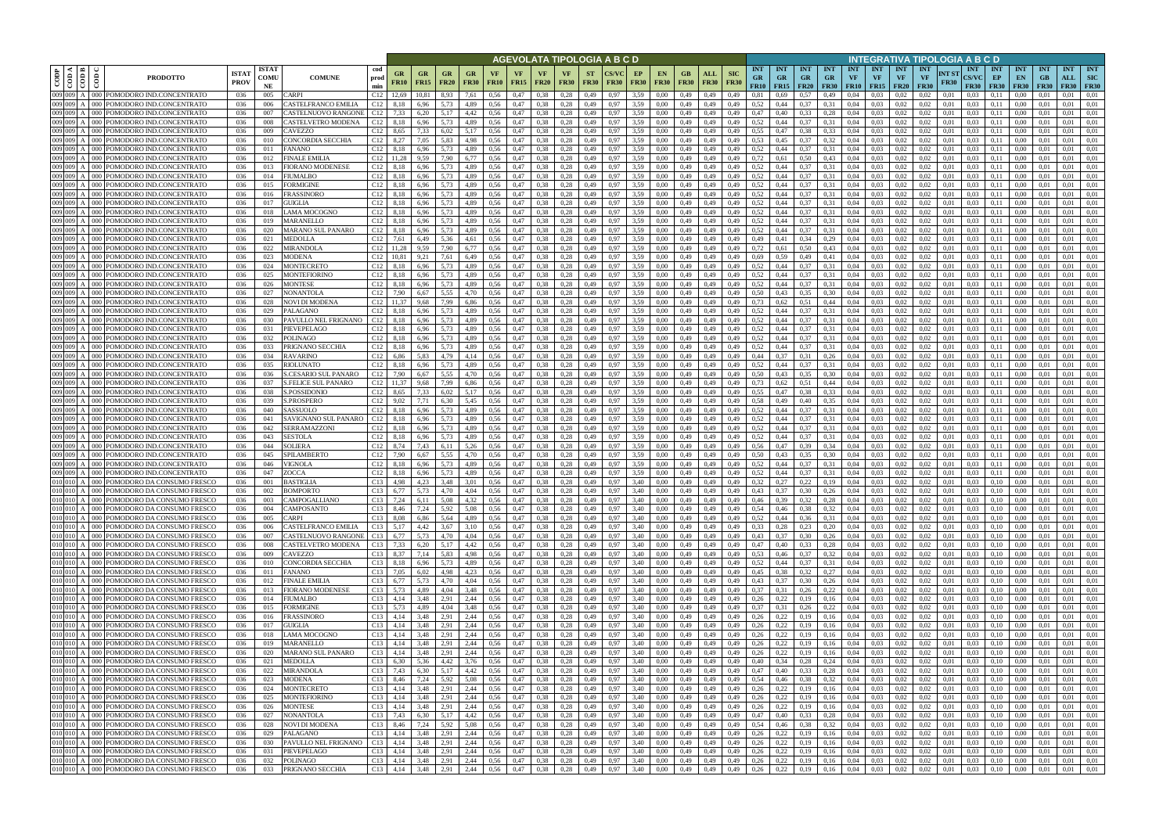|                            |     |                                                                                      |                             |                            |                                                       |                                         |                        |                                                                                                                         |                        |              |                   |                                |                      |                          | AGEVOLATA TIPOLOGIA A B C D |                   |                          |                            |                    |                           |                                                     |                                        |              |                                 |                                 |                                 |                                        | INTEGRATIVA TIPOLOGIA A B C D                  |                      |                                           |                                 |                                                 |                                        |                                  |                                         |
|----------------------------|-----|--------------------------------------------------------------------------------------|-----------------------------|----------------------------|-------------------------------------------------------|-----------------------------------------|------------------------|-------------------------------------------------------------------------------------------------------------------------|------------------------|--------------|-------------------|--------------------------------|----------------------|--------------------------|-----------------------------|-------------------|--------------------------|----------------------------|--------------------|---------------------------|-----------------------------------------------------|----------------------------------------|--------------|---------------------------------|---------------------------------|---------------------------------|----------------------------------------|------------------------------------------------|----------------------|-------------------------------------------|---------------------------------|-------------------------------------------------|----------------------------------------|----------------------------------|-----------------------------------------|
| CODP<br>$\frac{1}{2}$      | ≺∣⊨ | ĝ<br><b>PRODOTTO</b>                                                                 | <b>ISTA7</b><br><b>PROV</b> | <b>ISTAT</b><br>COMU<br>NE | <b>COMUNE</b>                                         | cod<br>GR<br>prod<br><b>FR10</b><br>min | $G_{R}$<br><b>FR15</b> | GR<br><b>FR20</b>                                                                                                       | GR<br><b>FR30</b>      | <b>FR10</b>  | VF<br><b>FR15</b> | VF.<br><b>FR20</b>             | <b>FR30</b>          | <b>ST</b><br><b>FR30</b> | <b>FR30</b>                 | EP<br><b>FR30</b> | <b>EN</b><br><b>FR30</b> | GB.<br><b>FR30</b>         | ALL<br><b>FR30</b> | <b>SIC</b><br><b>FR30</b> | <b>INT</b><br><b>GR</b><br><b>FR10</b>              | <b>INT</b><br><b>GR</b><br>$FR15$ FR20 | INT<br>GR.   | <b>INT</b><br>GR<br><b>FR30</b> | <b>INT</b><br>VF<br><b>FR10</b> | <b>INT</b><br>VF<br><b>FR15</b> | <b>INT</b><br><b>VF</b><br><b>FR20</b> | <b>INT</b><br>VF<br><b>FR30</b>                | NT ST<br><b>FR30</b> | <b>INT</b><br><b>CS/VC</b><br><b>FR30</b> | <b>INT</b><br>EP<br><b>FR30</b> | <b>INT</b><br>EN<br><b>FR30</b>                 | <b>INT</b><br><b>GB</b><br><b>FR30</b> | <b>INT</b><br>ALL<br><b>FR30</b> | <b>INT</b><br><b>SIC</b><br><b>FR30</b> |
| 009 009                    |     | 000 POMODORO IND.CONCENTRATO                                                         | 036                         | 005                        | CARPI                                                 | C <sub>12</sub> 12.69                   | 10.81                  | 8.93                                                                                                                    | 7.61                   | 0.56         | 0,47              | 0.38                           | 0.28                 | 0,49                     | 0.97                        | 3,59              | 0.00                     | 0.49                       | 0,49               | 0.49                      | 0.81                                                | 0.69                                   | 0.57         | 0.49                            | 0.04                            | 0.03                            | 0.02                                   | 0.02                                           | 0.01                 | 0.03                                      | 0.11                            | $0.00\,$                                        | -0.01                                  | 0.01                             | 0.01                                    |
| 009 009<br>009 009         |     | POMODORO IND.CONCENTRATO<br>000 l                                                    | 036                         | 006                        | CASTELFRANCO EMILIA                                   | C12<br>8.18<br>C12                      | 6,96                   | 5.73<br>5.17                                                                                                            | 4,89                   | 0.56         | 0,47              | 0.38                           | 0.28                 | 0,49                     | 0.97                        | 3,59              | 0.00                     | 0,49                       | 0,49               | 0,49                      | 0.52                                                | 0,44                                   | 0.37         | 0.31                            | 0.04                            | 0.03<br>0.03                    | 0.02                                   | 0.02                                           | 0.01                 | 0.03                                      | 0.11                            | 0.00                                            | 0.01                                   | 0.01                             | 0,01                                    |
| 009 009                    |     | POMODORO IND.CONCENTRATO<br>POMODORO IND.CONCENTRATO                                 | 036<br>036                  | 007<br>008                 | CASTELNUOVO RANGONE<br>CASTELVETRO MODENA             | 7.33<br>C12<br>8,18                     | 6.20<br>6,96           | 5.73                                                                                                                    | 4,42<br>4,89           | 0.56<br>0.56 | 0,47<br>0,47      | 0.38<br>0.38                   | 0.28<br>0.28         | 0,49<br>0.49             | -0.97<br>0.97               | 3.59<br>3.59      | 0.00<br>0.00             | 0.49<br>0.49               | 0,49<br>0,49       | 0.49<br>0.49              | 0,47<br>0.52                                        | 0.40<br>0,44                           | 0.33<br>0.37 | 0,28<br>0.31                    | 0.04<br>0.04                    | 0.03                            | 0.02<br>0.02                           | 0.02<br>0.02                                   | 0.01<br>0.01         | 0.03<br>0.03                              | 0,11<br>0.11                    | 0.00<br>0.00                                    | 0.01<br>0.01                           | 0.01<br>0.01                     | 0.01<br>0.01                            |
| 009 009                    |     | POMODORO IND.CONCENTRATO                                                             | 036                         | 009                        | CAVEZZO                                               | C12<br>8.65                             | 7.33                   | 6.02                                                                                                                    | 5.17                   | 0.56         | 0,47              | 0.38                           | 0.28                 | 0.49                     | 0.97                        | 3.59              | 0.00                     | 0.49                       | 0.49               | 0.49                      | 0.55                                                | 0.47                                   | 0.38         | 0.33                            | 0.04                            | 0.03                            | 0.02                                   | 0.02                                           | 0.01                 | 0.03                                      | 0.11                            | 0.00                                            | 0.01                                   | 0.01                             | 0.01                                    |
| 009 009 A                  |     | POMODORO IND.CONCENTRATO<br>ാററ                                                      | 036                         | 010                        | CONCORDIA SECCHIA                                     | C <sub>12</sub> 8,27                    | 7,05                   | 5.83                                                                                                                    | 4,98                   | 0.56         | 0,47              | 0.38                           | 0,28                 | 0,49                     | 0.97                        | 3,59              | 0.00                     | 0.49                       | 0,49               | 0,49                      | 0.53                                                | 0,45                                   | 0,37         | 0.32                            | 0.04                            | 0.03                            | 0,02                                   | 0.02                                           | 0.01                 | 0.03                                      | 0,11                            | 0,00                                            | 0.01                                   | 0.01                             | 0.01                                    |
| 009 009                    |     | 'OMODORO IND.CONCENTRATO                                                             | 036                         | 011                        | FANANO                                                | C12<br>8,18                             | 6.96                   | 5.73                                                                                                                    | 4.89                   | 0.56         | 0,47              | 0.38                           | 0.28                 | 0,49                     | 0.97                        | 3,59              | 0.00                     | 0,49                       | 0.49               | 0.49                      | 0,52                                                | 0,44                                   | 0.37         | 0.31                            | 0.04                            | 0.03                            | 0.02                                   | 0.02                                           | 0.01                 | 0.03                                      | 0,11                            | 0.00                                            | 0.01                                   | 0.01                             | 0.01                                    |
| 009 009<br>009 009         |     | 'OMODORO IND.CONCENTRATO<br>POMODORO IND.CONCENTRATO                                 | 036<br>036                  | 012<br>013                 | FINALE EMILIA<br>FIORANO MODENESE                     | C12<br>11,28<br>C12<br>8,18             | 9,59<br>6,96           | 7.90<br>5,73                                                                                                            | 6,77<br>4,89           | 0.56<br>0.56 | 0,47<br>0,47      | 0.38<br>0.38                   | 0,28<br>0,28         | 0,49<br>0,49             | 0.97<br>0.97                | 3,59<br>3,59      | 0.00<br>0.00             | 0,49<br>0,49               | 0,49<br>0,49       | 0.49<br>0,49              | 0,72<br>0,52                                        | 0,61<br>0,44                           | 0,50<br>0,37 | 0,43<br>0.31                    | 0,04<br>0,04                    | 0.03<br>0.03                    | 0.02<br>0,02                           | 0.02<br>0,02                                   | 0.01<br>0.01         | 0.03<br>0.03                              | 0,11<br>0,11                    | 0,00<br>0,00                                    | 0.01<br>0,01                           | 0.01<br>0,01                     | 0,01<br>0,01                            |
| 009 009                    |     | POMODORO IND.CONCENTRATO                                                             | 036                         | 014                        | FIUMALBO                                              | C <sub>12</sub> 8,18                    | 6,96                   | 5.73                                                                                                                    | 4,89                   | 0.56         | 0,47              | 0.38                           | 0.28                 | 0,49                     | 0.97                        | 3,59              | 0.00                     | 0,49                       | 0,49               | 0.49                      | 0.52                                                | 0,44                                   | 0,37         | 0.31                            | 0,04                            | 0.03                            | 0.02                                   | 0.02                                           | 0.01                 | 0.03                                      | 0,11                            | 0,00                                            | 0.01                                   | 0.01                             | 0.01                                    |
| $009$ $009$ $\overline{ }$ |     | POMODORO IND.CONCENTRATO                                                             | 036                         | 015                        | FORMIGINE                                             | C <sub>12</sub> 8,18                    | 6,96                   | 5.73                                                                                                                    | 4,89                   | 0.56         | 0,47              | 0.38                           | 0.28                 | 0,49                     | 0.97                        | 3,59              | 0.00                     | 0,49                       | 0,49               | 0.49                      | 0,52                                                | 0,44                                   | 0,37         | 0.31                            | 0,04                            | 0.03                            | 0,02                                   | 0.02                                           | 0.01                 | 0.03                                      | 0,11                            | 0,00                                            | 0.01                                   | 0,01                             | 0.01                                    |
| 009 009                    |     | POMODORO IND.CONCENTRATO                                                             | 036                         | 016                        | FRASSINORO                                            | C12<br>8,18                             | 6,96                   | 5,73                                                                                                                    | 4,89                   | 0.56         | 0,47              | 0.38                           | 0,28                 | 0,49                     | 0.97                        | 3,59              | 0.00                     | 0,49                       | 0,49               | 0.49                      | 0,52                                                | 0,44                                   | 0,37         | 0.31                            | 0.04                            | 0.03                            | 0.02                                   | 0.02                                           | 0.01                 | 0.03                                      | 0,11                            | 0,00                                            | 0.01                                   | 0.01                             | 0.01                                    |
| 009 009<br>009 009         |     | POMODORO IND.CONCENTRATO<br>POMODORO IND.CONCENTRATO                                 | 036<br>036                  | 017<br>018                 | <b>GUIGLIA</b><br>LAMA MOCOGNO                        | $C12$ 8.18<br>$C12$ 8.18                | 6.96<br>6.96           | 5.73<br>5.73                                                                                                            | 4.89<br>4.89           | 0.56<br>0.56 | 0.47<br>0.47      | 0.38<br>0.38                   | 0.28<br>0.28         | 0.49<br>0.49             | 0.97<br>0.97                | 3.59<br>3.59      | 0.00<br>0.00             | 0.49<br>0.49               | 0.49<br>0.49       | 0.49<br>0.49              | 0.52<br>0.52                                        | 0.44<br>0.44                           | 0.37<br>0.37 | 0.31<br>0.31                    | 0.04<br>0.04                    | 0.03<br>0.03                    | 0.02<br>0.02                           | 0.02<br>0.02                                   | 0.01<br>0.01         | 0.03<br>0.03                              | 0.11<br>0.11                    | 0.00<br>0.00                                    | 0.01<br>0.01                           | 0.01<br>0.01                     | 0.01<br>0.01                            |
| 009 009                    |     | POMODORO IND.CONCENTRATO                                                             | 036                         | 019                        | MARANELLO                                             | C <sub>12</sub> 8,18                    | 6.96                   | 5.73                                                                                                                    | 4.89                   | 0.56         | 0,47              | 0.38                           | 0,28                 | 0,49                     | 0.97                        | 3.59              | 0.00                     | 0,49                       | 0,49               | 0.49                      | 0,52                                                | 0.44                                   | 0,37         | 0.31                            | 0.04                            | 0.03                            | 0,02                                   | 0,02                                           | 0.01                 | 0.03                                      | 0,11                            | 0.00                                            | 0.01                                   | 0,01                             | 0.01                                    |
| 009 009                    |     | POMODORO IND.CONCENTRATO                                                             | 036                         | 020                        | MARANO SUL PANARO                                     | C12<br>8.18                             | 6.96                   | 5.73                                                                                                                    | 4.89                   | 0.56         | 0.47              | 0.38                           | 0.28                 | 0.49                     | 0.97                        | 3.59              | 0.00                     | 0.49                       | 0.49               | 0.49                      | 0.52                                                | 0.44                                   | 0.37         | 0.31                            | 0.04                            | 0.03                            | 0.02                                   | 0.02                                           | 0.01                 | 0.03                                      | 0.11                            | 0.00                                            | 0.01                                   | 0.01                             | 0.01                                    |
| 009 009                    |     | POMODORO IND.CONCENTRATO                                                             | 036                         | 021                        | <b>MEDOLLA</b>                                        | C12<br>7.61                             | 6.49                   | 5.36                                                                                                                    | 4.61                   | 0.56         | 0,47              | 0.38                           | 0.28                 | 0.49                     | 0.97                        | 3.59              | 0.00                     | 0.49                       | 0.49               | 0.49                      | 0.49                                                | 0.41                                   | 0.34         | 0,29                            | 0.04                            | 0.03                            | 0.02                                   | 0.02                                           | 0.01                 | 0.03                                      | 0.11                            | 0.00                                            | 0.01                                   | 0.01                             | 0.01                                    |
| 009 009<br>009 009         |     | POMODORO IND.CONCENTRATO<br>'OMODORO IND.CONCENTRATO                                 | 036<br>036                  | 022<br>023                 | MIRANDOLA<br>MODENA                                   | C12<br>11.28<br>C12                     | 9.59<br>9,21           | 7.90<br>7.61                                                                                                            | 6.77<br>6.49           | 0.56<br>0.56 | 0,47<br>0,47      | 0.38<br>0.38                   | 0.28<br>0.28         | 0.49<br>0,49             | 0.97<br>0.97                | 3.59<br>3.59      | 0.00<br>0.00             | 0.49<br>0.49               | 0.49<br>0.49       | 0.49                      | 0,72<br>0.69                                        |                                        | 0.50<br>0.49 | 0,43<br>0.41                    | 0.04<br>0.04                    | 0.03<br>0.03                    | 0.02<br>0.02                           | 0.02<br>$0.02\,$                               | 0.01                 | 0.03<br>0.03                              | 0.11<br>0.11                    | 0.00<br>0.00                                    |                                        | 0.01<br>0.01                     | 0.01<br>0.01                            |
| 009 009                    |     | 'OMODORO IND.CONCENTRATO                                                             | 036                         | 024                        | MONTECRETO                                            | C12<br>8.18                             | 6.96                   | 5.73                                                                                                                    | 4.89                   | 0.56         | 0,47              | 0.38                           | 0.28                 | 0.49                     | 0.97                        | 3.59              | 0.00                     | 0.49                       | 0.49               |                           | 0.52                                                |                                        | 0.37         | 0.31                            | 0.04                            | 0.03                            | 0.02                                   | 0.02                                           | 0.01                 | 0.03                                      | 0.11                            | 0.00                                            |                                        | 0.01                             | 0.01                                    |
| 009 009                    |     | 'OMODORO IND.CONCENTRATO<br>ാററ                                                      | 036                         | 025                        | MONTEFIORINC                                          | C12<br>8,18                             | 6,96                   | 5,73                                                                                                                    | 4,89                   | 0,56         | 0,47              | 0.38                           | 0,28                 | 0,49                     | 0.97                        | 3,59              | 0,00                     | 0,49                       | 0,49               | 0,49                      | 0,52                                                | 0,44                                   | 0,37         | 0,31                            | 0,04                            | 0,03                            | 0,02                                   | 0,02                                           | 0,01                 | 0.03                                      | 0,11                            | 0,00                                            | 0.01                                   | 0.01                             | 0,01                                    |
| 009 009                    |     | OMODORO IND.CONCENTRATO                                                              | 036                         | 026                        | MONTESE                                               | C12<br>8.18                             | 6.96                   | 5.73                                                                                                                    | 4.89                   | 0.56         | 0,47              | 0.38                           | 0.28                 | 0.49                     |                             | 3.59              | 0.00                     | 0.49                       | 0.49               | 0.49                      | 0.52                                                |                                        | 0.37         | 0.31                            | 0.04                            | 0.03                            | 0.02                                   | 0.02                                           | 0.01                 | 0.03                                      | 0.11                            | 0.00                                            |                                        | 0.01                             | 0.01                                    |
| 009 009<br>009 009         |     | POMODORO IND.CONCENTRATO<br>ാററ<br>OMODORO IND.CONCENTRATO                           | 036<br>036                  | 027<br>028                 | NONANTOLA<br>NOVI DI MODENA                           | C12<br>7.90<br>C12                      | 6,67<br>9,68           | 5.55<br>7.99                                                                                                            | 4,70<br>6,86           | 0.56<br>0,56 | 0,47<br>0,47      | 0.38<br>0.38                   | 0.28<br>0,28         | 0,49<br>0,49             |                             | 3,59<br>3,59      | 0.00<br>$_{0.00}$        | 0.49<br>0,49               | 0,49<br>0,49       | 0,49                      | 0.50<br>0.73                                        | 0.43<br>0.62                           | 0.35<br>0,51 | 0.30<br>0,44                    | 0,04<br>0.04                    | 0.03<br>0.03                    | 0.02<br>0.02                           | 0.02<br>0.02                                   | 0.01<br>0.01         | 0.03<br>0.03                              | 0.11<br>0,11                    | 0.00<br>0.00                                    |                                        | 0.01<br>0.01                     | 0.01<br>0.01                            |
| 009 009 A                  |     | 'OMODORO IND.CONCENTRATO<br>ാററ                                                      | 036                         | 029                        | PALAGANO                                              | C12<br>8.18                             | 6.96                   | 5.73                                                                                                                    | 4,89                   | 0.56         | 0,47              | 0.38                           | 0.28                 | 0.49                     | 0.97                        | 3.59              | 0.00                     | 0.49                       | 0.49               | 0.49                      | 0.52                                                | 0.44                                   | 0.37         | 0.31                            | 0.04                            | 0.03                            | 0.02                                   | 0.02                                           | 0.01                 | 0.03                                      | 0.11                            | 0.00                                            | 0.01                                   | 0.01                             | 0.01                                    |
| 009 009                    |     | POMODORO IND.CONCENTRATO<br>൜                                                        | 036                         | 030                        | PAVULLO NEL FRIGNANO                                  | C <sub>12</sub> 8,18                    | 6.96                   | 5.73                                                                                                                    | 4.89                   | 0.56         | 0.47              | 0.38                           | 0.28                 | 0.49                     | 0.97                        | 3.59              | 0.00                     | 0.49                       | 0.49               | 0.49                      | 0.52                                                | 0.44                                   | 0.37         | 0.31                            | 0.04                            | 0.03                            | 0.02                                   | 0.02                                           | 0.01                 | 0.03                                      | 0.11                            | 0.00                                            | -0.01                                  | 0.01                             | 0.01                                    |
| 009 009 A                  |     | POMODORO IND.CONCENTRATO<br>000 l                                                    | 036                         | 031                        | PIEVEPELAGO                                           | C12<br>8,18                             | 6,96                   | 5,73                                                                                                                    | 4,89                   | 0,56         | 0,47              | 0,38                           | 0,28                 | 0,49                     | 0.97                        | 3,59              | 0.00                     | 0,49                       | 0,49               | 0,49                      | 0,52                                                | 0,44                                   | 0,37         | 0.31                            | 0,04                            | 0.03                            | 0,02                                   | 0,02                                           | 0.01                 | 0.03                                      | 0,11                            | 0,00                                            | 0.01                                   | 0.01                             | 0,01                                    |
| 009 009<br>009 009         |     | 'OMODORO IND.CONCENTRATO<br>'OMODORO IND.CONCENTRATO                                 | 036                         | 032<br>033                 | POLINAGO                                              | C12<br>8,18<br>C12                      | 6.96<br>6,96           | 5.73<br>5.73                                                                                                            | 4.89<br>4,89           | 0.56<br>0.56 | 0,47<br>0,47      | 0.38<br>0.38                   | 0.28<br>0,28         | 0.49                     | 0.97                        | 3.59<br>3.59      | 0.00                     | 0.49<br>0.49               | 0.49               | 0.49<br>0.49              | 0.52<br>0.52                                        | 0.44                                   | 0.37<br>0,37 | 0.31<br>0.31                    | 0.04<br>0.04                    | 0.03<br>0.03                    | 0.02<br>0.02                           | 0.02<br>0.02                                   | 0.01<br>0.01         | 0.03<br>0.03                              | 0,11<br>0,11                    | 0.00                                            | 0.01                                   | 0.01<br>0.01                     | 0.01<br>0.01                            |
| 009 009                    |     | 'OMODORO IND.CONCENTRATO                                                             | 036<br>036                  | 034                        | PRIGNANO SECCHIA<br>RAVARINO                          | 8,18<br>C12<br>6,86                     | 5.83                   | 4.79                                                                                                                    | 4.14                   | 0.56         | 0,47              | 0.38                           | 0,28                 | 0,49<br>0,49             | 0.97                        | 3.59              | 0.00<br>0.00             | 0.49                       | 0,49<br>0,49       | 0.49                      | 0.44                                                | 0,44<br>0.37                           | 0,31         | 0,26                            | 0.04                            | 0.03                            | 0.02                                   | 0.02                                           | 0.01                 | 0.03                                      | 0,11                            | 0,00<br>0.00                                    | 0.01                                   | 0.01                             | 0.01                                    |
| 009 009                    |     | POMODORO IND.CONCENTRATO                                                             | 036                         | 035                        | RIOLUNATO                                             | C12<br>8,18                             | 6,96                   | 5.73                                                                                                                    | 4,89                   | 0.56         | 0,47              | 0.38                           | 0,28                 | 0,49                     | 0.97                        | 3,59              | 0.00                     | 0,49                       | 0,49               | 0,49                      | 0.52                                                | 0,44                                   | 0,37         | 0.31                            | 0,04                            | 0.03                            | 0.02                                   | 0.02                                           | 0.01                 | 0.03                                      | 0,11                            | 0,00                                            | 0.01                                   | 0.01                             | 0,01                                    |
| 009 009                    |     | POMODORO IND.CONCENTRATO                                                             | 036                         | -036                       | <b>S.CESARIO SUL PANARO</b>                           | C12<br>7,90                             | 6.67                   | 5.55                                                                                                                    | 4.70                   | 0.56         | 0,47              | 0.38                           | 0.28                 | 0,49                     | 0.97                        | 3.59              | 0.00                     | 0,49                       | 0.49               | 0.49                      | 0.50                                                | 0.43                                   | 0.35         | 0.30                            | 0.04                            | 0.03                            | 0.02                                   | 0.02                                           | 0.01                 | 0.03                                      | 0,11                            | 0.00                                            | 0.01                                   | 0.01                             | 0.01                                    |
| 009 009<br>009 009         |     | POMODORO IND.CONCENTRATO                                                             | 036                         | 037                        | S.FELICE SUL PANARO                                   | C12<br>11,37                            | 9,68                   | 7.99                                                                                                                    | 6,86                   | 0,56         | 0,47              | 0.38                           | 0,28                 | 0,49                     | 0.97                        | 3,59              | 0.00                     | 0,49                       | 0,49               | 0,49                      | 0,73                                                | 0,62                                   | 0,51         | 0,44                            | 0,04                            | 0.03                            | 0,02                                   | 0,02                                           | 0,01                 | 0.03                                      | 0,11                            | 0,00                                            | 0.01                                   | 0,01                             | 0,01                                    |
| 009 009                    |     | POMODORO IND.CONCENTRATO<br>'OMODORO IND.CONCENTRATO                                 | 036<br>036                  | 038<br>039                 | S.POSSIDONIO<br><b>S.PROSPERO</b>                     | C <sub>12</sub> 8,65<br>C12<br>9,02     | 7.33<br>7,71           | 6.02<br>6.30                                                                                                            | 5.17<br>5,45           | 0.56<br>0.56 | 0,47<br>0,47      | 0.38<br>0,38                   | 0.28<br>0.28         | 0,49<br>0,49             | 0.97<br>0.97                | 3,59<br>3,59      | 0.00<br>0.00             | 0,49<br>0,49               | 0,49<br>0,49       | 0.49<br>0,49              | 0.55<br>0.58                                        | 0.47<br>0,49                           | 0.38<br>0,40 | 0.33<br>0.35                    | 0.04<br>0,04                    | 0.03<br>0.03                    | 0.02<br>0,02                           | 0.02<br>0.02                                   | 0.01<br>0.01         | 0.03<br>0.03                              | 0,11<br>0,11                    | 0.00<br>0,00                                    | 0.01<br>0.01                           | 0,01<br>0.01                     | 0.01<br>0.01                            |
| 009 009                    |     | POMODORO IND.CONCENTRATO                                                             | 036                         | 040                        | SASSUOLO                                              | C12<br>8,18                             | 6,96                   | 5.73                                                                                                                    | 4.89                   | 0.56         | 0,47              | 0.38                           | 0,28                 | 0,49                     | 0.97                        | 3,59              | 0.00                     | 0,49                       | 0,49               | 0.49                      | 0,52                                                | 0.44                                   | 0,37         | 0,31                            | 0.04                            | 0.03                            | 0.02                                   | 0.02                                           | 0.01                 | 0.03                                      | 0,11                            | 0,00                                            | 0.01                                   | 0,01                             | 0.01                                    |
| 009 009                    |     | POMODORO IND.CONCENTRATO                                                             | 036                         | 041                        | SAVIGNANO SUL PANARO                                  | C <sub>12</sub> 8,18                    | 6.96                   | 5.73                                                                                                                    | 4.89                   | 0.56         | 0.47              | 0.38                           | 0.28                 | 0.49                     | 0.97                        | 3.59              | 0.00                     | 0.49                       | 0.49               | 0.49                      | 0.52                                                | 0.44                                   | 0.37         | 0.31                            | 0.04                            | 0.03                            | 0.02                                   | 0.02                                           | 0.01                 | 0.03                                      | 0.11                            | 0.00                                            | 0.01                                   | 0.01                             | 0.01                                    |
| 009 009<br>009 009         |     | POMODORO IND.CONCENTRATO                                                             | 036                         | 042                        | SERRAMAZZONI                                          | C <sub>12</sub> 8,18                    | 6.96                   | 5.73                                                                                                                    | 4.89                   | 0.56         | 0,47              | 0.38                           | 0.28                 | 0.49                     | 0.97                        | 3.59              | 0.00                     | 0.49                       | 0.49               | 0.49                      | 0.52                                                | 0.44                                   | 0.37         | 0.31                            | 0.04                            | 0.03                            | 0.02                                   | 0.02                                           | 0.01                 | 0.03                                      | 0.11                            | 0.00                                            | 0.01                                   | 0.01                             | 0.01                                    |
| 009 009                    |     | POMODORO IND.CONCENTRATO<br>POMODORO IND.CONCENTRATO                                 | 036<br>036                  | 043<br>044                 | SESTOLA<br>SOLIERA                                    | C12<br>8.18<br>C <sub>12</sub> 8.74     | 6.96<br>7.43           | 5.73<br>6.11                                                                                                            | 4.89<br>5.26           | 0.56<br>0.56 | 0,47<br>0,47      | 0.38<br>0.38                   | 0.28<br>0.28         | 0.49<br>0.49             | 0.97<br>0.97                | 3.59<br>3.59      | 0.00<br>0.00             | 0.49<br>0.49               | 0.49<br>0.49       | 0.49<br>0.49              | 0.52<br>0.56                                        | 0.44<br>0.47                           | 0.37<br>0.39 | 0.31<br>0.34                    | 0.04<br>0.04                    | 0.03<br>0.03                    | 0.02<br>0.02                           | 0.02<br>0.02                                   | 0.01<br>0.01         | 0.03<br>0.03                              | 0.11<br>0.11                    | 0.00<br>0.00                                    | 0.01<br>0.01                           | 0.01<br>0.01                     | 0.01<br>0.01                            |
| 009 009                    |     | POMODORO IND.CONCENTRATO                                                             | 036                         | 045                        | SPILAMBERTO                                           | C12<br>7.90                             | 6.67                   | 5.55                                                                                                                    | 4.70                   | 0.56         | 0.47              | 0.38                           | 0.28                 | 0.49                     | 0.97                        | 3.59              | 0.00                     | 0.49                       | 0.49               | 0.49                      | 0.50                                                | 0.43                                   | 0.35         | 0.30                            | 0.04                            | 0.03                            | 0.02                                   | 0.02                                           | 0.01                 | 0.03                                      | 0.11                            | 0.00                                            |                                        | 0.01                             | 0.01                                    |
| 009 009                    |     | 'OMODORO IND.CONCENTRATO<br>ാററ                                                      | 036                         | 046                        | VIGNOLA                                               | C12<br>8,18                             | 6.96                   | 5,73                                                                                                                    | 4.89                   | 0.56         | 0,47              | 0.38                           | 0,28                 | 0,49                     | 0.97                        | 3.59              | 0.00                     | 0.49                       | 0.49               | 0.49                      | 0,52                                                | 0.44                                   | 0,37         | 0.31                            | 0.04                            | 0.03                            | 0,02                                   | 0.02                                           | 0.01                 | 0.03                                      | 0,11                            | 0.00                                            | 0.01                                   | 0.01                             | 0.01                                    |
| 009 009                    |     | OMODORO IND.CONCENTRATO                                                              | 036                         | 047                        | <b>ZOCCA</b>                                          | C12                                     |                        | 5.73                                                                                                                    | 4.89                   | 0.56         | 0.47              | 0.38                           |                      | 0.49                     |                             | 3.59              |                          | 0.49                       | 0.49               |                           | 0,52                                                |                                        |              |                                 | 0.04                            | 0.03                            |                                        | 0.02                                           |                      |                                           |                                 |                                                 |                                        | 0.01                             | 0.01                                    |
| 010 010 A                  |     | 000 POMODORO DA CONSUMO FRESCO<br>010 010 A 000 POMODORO DA CONSUMO FRESCO           | 036<br>036                  | 001<br>002                 | <b>BASTIGLIA</b><br><b>BOMPORTO</b>                   | C13<br>4.98<br>C13<br>6,77              | 4,23<br>5.73           | 3.48<br>4.70                                                                                                            | 3.01<br>4.04           | 0,56<br>0.56 | 0,47<br>0,47      | 0,38<br>0.38                   | 0,28<br>0.28         | 0,49<br>0,49             | 0.97<br>0.97                | 3.40<br>3.40      | 0.00<br>0.00             | 0.49<br>0.49               | 0,49<br>0,49       | 0.49<br>0.49              | 0,32<br>0.43                                        | 0,27<br>0.37                           | 0,22<br>0.30 | 0.19                            | 0,04<br>0.04                    | 0.03<br>0.03                    | 0.02                                   | 0.02<br>0.02                                   | 0.01<br>0.01         | 0.03<br>0.03                              | 0.10<br>0.10                    | 0.00<br>0.00                                    | 0.01                                   | 0.01                             | 0.01<br>0.01                            |
|                            |     | 010 010 A 000 POMODORO DA CONSUMO FRESCO                                             | 036                         | 003                        | CAMPOGALLIANO                                         | C13 7,24                                | 6,11                   | 5,08                                                                                                                    | 4,32                   | 0,56         | 0,47              | $0,38$ $0,28$                  |                      |                          | 0,49 0,97                   | 3,40              | 0,00                     | 0,49 0,49                  |                    | 0,49                      | 0,46                                                | 0,39 0,32                              |              | 0,28                            | 0,04                            | 0,03                            | 0,02                                   | 0,02                                           | 0,01                 | 0,03                                      | 0,10                            | $0,00$ $0,01$                                   |                                        | 0,01                             | 0,01                                    |
|                            |     | 010 010 A 000 POMODORO DA CONSUMO FRESCO                                             | 036                         | 004                        | CAMPOSANTO                                            | C13 8,46                                | 7,24                   | 5,92                                                                                                                    | 5,08                   | 0,56         | 0,47              | $0,38$ $0,28$                  |                      | 0,49                     | 0.97                        | 3,40              | 0,00                     | 0,49 0,49                  |                    |                           | $0,49$ $0,54$                                       | $0,46$ $0,38$ $0,32$                   |              |                                 |                                 | $0,04$ 0.03                     | 0,02                                   | 0,02                                           | 0,01                 |                                           |                                 | $0,03$ 0,10 0,00 0,01                           |                                        | 0,01                             | 0,01                                    |
|                            |     | 010 010 A 000 POMODORO DA CONSUMO FRESCO<br>010 010 A 000 POMODORO DA CONSUMO FRESCO | 036                         | 005                        | CARPI                                                 | C13 8,08                                |                        | $6,86$ $5,64$                                                                                                           |                        | 4,89 0,56    | 0,47              | $0,38$ $0,28$                  |                      |                          | 0,49 0,97                   | 3,40              | 0,00                     | 0,49 0,49                  |                    |                           | $0,49$ $0,52$ $0,44$ $0,36$ $0,31$                  |                                        |              |                                 |                                 | $0,04$ 0.03                     | 0,02                                   | 0,02                                           | 0,01                 |                                           |                                 | $0,03$ 0,10 0,00 0,01                           |                                        | $0,01$ $0,01$                    |                                         |
|                            |     | 010 010 A 000 POMODORO DA CONSUMO FRESCO                                             | 036<br>036                  | 006<br>007                 | CASTELFRANCO EMILIA<br>CASTELNUOVO RANGONE   C13 6,77 | $C13$ 5,17                              | 5,73                   | 4,42 3,67<br>4,70                                                                                                       | $3,10$ 0.56<br>4,04    | 0,56         | 0,47<br>0,47      | $0,38$ $0,28$                  | $0,38$ $0,28$        | 0,49                     | 0,49 0,97<br>0,97           | 3,40<br>3,40      | 0,00<br>0,00             | 0,49 0,49<br>0,49 0,49     |                    | 0,49                      | $0,49$ 0.33 0.28 0.23 0.20<br>0,43                  | $0,37$ 0,30                            |              | 0,26                            | 0,04                            | $0,04$ 0.03<br>0,03             | 0,02<br>0,02                           | 0,02<br>0,02                                   | 0,01<br>0,01         | 0,03                                      | 0,10                            | $0.03$ 0.10 0.00 0.01<br>$0,00$ $0,01$          |                                        | $0,01$ $0,01$<br>$0,01$ $0,01$   |                                         |
|                            |     | 010 010 A 000 POMODORO DA CONSUMO FRESCO                                             | 036                         | 008                        | CASTELVETRO MODENA                                    | $C13$ 7,33                              |                        | 6,20 5,17                                                                                                               | 4,42 0,56              |              | 0,47              | $0,38$ $0,28$                  |                      | 0,49                     | 0,97                        | 3,40              | 0,00                     | 0,49 0,49                  |                    | 0,49                      | 0,47                                                | $0,40$ $0,33$ $0,28$                   |              |                                 |                                 | $0,04$ 0.03                     | 0,02                                   | 0,02                                           | 0,01                 | 0,03                                      |                                 | $0,10$ $0,00$ $0,01$                            |                                        | 0,01                             | 0,01                                    |
|                            |     | 010 010 A 000 POMODORO DA CONSUMO FRESCO                                             | 036                         | 009                        | CAVEZZO                                               | $C13$ 8,37                              | 7,14                   | 5,83                                                                                                                    | 4,98                   | 0,56         | 0,47              | $0,38$ $0,28$                  |                      | 0,49                     | 0,97                        | 3,40              | 0,00                     | 0,49                       | 0,49               | 0,49                      | 0,53                                                | 0,46 0,37                              |              | 0,32                            | 0,04                            | 0,03                            | 0,02                                   | 0,02                                           | 0,01                 | 0,03                                      |                                 | $0,10$ $0,00$ $0,01$                            |                                        | 0.01                             | 0,01                                    |
|                            |     | 010 010 A 000 POMODORO DA CONSUMO FRESCO<br>010 010 A 000 POMODORO DA CONSUMO FRESCO | 036<br>036                  | 010<br>011                 | CONCORDIA SECCHIA<br>FANANO                           | $C13$ 8,18<br>$C13 \mid 7,05$           | 6,96<br>6,02           | 5,73<br>4,98                                                                                                            | 4,89<br>$4,23$ 0,56    | 0,56         | 0,47<br>0,47      | $0,38$ $0,28$                  | $0,38$ $0,28$        | 0,49<br>0,49             | 0,97<br>0,97                | 3,40<br>3,40      | 0,00<br>0,00             | $0,49$ $0,49$<br>0,49      | 0,49               | 0,49<br>0,49              | 0,52<br>0,45                                        | $0,44$ $0,37$<br>$0,38$ $0,32$         |              | 0,31<br>0,27                    | 0,04<br>0,04                    | 0,03<br>0,03                    | 0,02<br>0,02                           | 0,02<br>0,02                                   | 0,01<br>0,01         | 0,03<br>0,03                              | 0,10<br>0,10                    | $0,00$ $0,01$<br>$0,00$ $0,01$                  |                                        | 0,01<br>0,01                     | 0,01<br>0,01                            |
|                            |     | 010 010 A 000 POMODORO DA CONSUMO FRESCO                                             | 036                         | 012                        | <b>FINALE EMILIA</b>                                  | C13 6,77                                | 5,73                   | 4,70                                                                                                                    | 4,04                   | 0,56         | 0,47              | $0,38$ $0,28$                  |                      | 0,49                     | 0,97                        | 3,40              | 0,00                     | 0,49 0,49                  |                    | 0,49                      | 0,43                                                | $0,37$ $0,30$                          |              | 0,26                            | 0,04                            | 0,03                            | 0,02                                   | 0,02                                           | 0,01                 | 0,03                                      |                                 | $0,10 \quad 0,00 \quad 0,01$                    |                                        | 0,01                             | 0,01                                    |
|                            |     | 010 010 A 000 POMODORO DA CONSUMO FRESCO                                             | 036                         | 013                        | FIORANO MODENESE                                      | C13 5,73                                | 4,89                   | 4,04                                                                                                                    | 3,48                   | 0,56         | 0,47              | $0,38$ $0,28$                  |                      | 0,49                     | 0,97                        | 3,40              | 0,00                     | 0,49 0,49                  |                    | 0,49                      | 0,37                                                | $0,31$ 0.26                            |              | 0,22                            | 0,04                            | 0,03                            | 0,02                                   | 0,02                                           | 0,01                 | 0,03                                      |                                 | $0,10$ $0,00$ $0,01$                            |                                        | 0,01                             | 0,01                                    |
|                            |     | 010 010 A 000 POMODORO DA CONSUMO FRESCO                                             | 036                         | 014                        | FIUMALBO                                              | $C13 \t 4,14$                           | 3,48                   | 2,91                                                                                                                    | 2,44                   | 0,56         | 0,47              | $0,38$ $0,28$                  |                      | 0,49                     | 0,97                        | 3,40              | 0,00                     | 0,49 0,49                  |                    | 0,49                      | 0,26                                                | $0,22$ $0,19$                          |              | 0,16                            | 0,04                            | 0,03                            | 0,02                                   | 0,02                                           | 0,01                 | 0,03                                      |                                 | $0,10$ $0,00$ $0,01$                            |                                        | 0,01                             | 0,01                                    |
|                            |     | 010 010 A 000 POMODORO DA CONSUMO FRESCO<br>010 010 A 000 POMODORO DA CONSUMO FRESCO | 036<br>036                  | 015<br>016                 | <b>FORMIGINE</b><br>FRASSINORO                        | C13 5,73<br>$C13 \t 4,14$               | 4,89<br>3,48           | 4,04<br>2,91                                                                                                            | 3,48<br>2,44 0,56      | 0,56         | 0,47<br>0,47      | $0,38$ $0,28$<br>$0,38$ $0,28$ |                      | 0,49<br>0,49             | 0,97<br>0,97                | 3,40<br>3,40      | 0,00<br>0,00             | $0,49$ $0,49$<br>0,49 0,49 |                    | 0,49<br>0,49              | $0,37$ 0,31 0,26<br>$0,26$ $0,22$ $0,19$ $0,16$     |                                        |              | 0,22                            | 0,04                            | 0,03<br>$0,04$ 0.03             | 0,02<br>0,02                           | 0,02<br>0,02                                   | 0,01<br>0,01         | 0,03<br>0,03                              | $0,10$ $0,00$                   | $0,10$ $0,00$ $0,01$                            | 0.01                                   | 0,01<br>0,01                     | 0,01<br>0,01                            |
|                            |     | 010 010 A 000 POMODORO DA CONSUMO FRESCO                                             | 036                         | 017                        | <b>GUIGLIA</b>                                        | $C13 \t 4,14$                           | 3,48                   | 2,91                                                                                                                    | 2,44 0,56              |              | 0,47              | $0,38$ $0,28$                  |                      | 0,49                     | 0,97                        | 3,40              | 0,00                     | 0,49 0,49                  |                    | 0,49                      | $0,26$ $0,22$ $0,19$                                |                                        |              | 0,16                            |                                 | $0,04$ 0.03                     | 0,02                                   | 0,02                                           | 0,01                 | 0,03                                      |                                 | $0,10$ $0,00$ $0,01$                            |                                        | 0,01                             | 0,01                                    |
|                            |     | 010 010 A 000 POMODORO DA CONSUMO FRESCO                                             | 036                         | 018                        | <b>LAMA MOCOGNO</b>                                   | $C13$ 4,14                              |                        | $3,48$ 2,91                                                                                                             | 2,44 0,56              |              |                   |                                | $0,47$ 0.38 0.28     | 0,49                     | 0.97                        | 3,40              | 0,00                     | 0,49 0,49                  |                    |                           | $0,49$ $0,26$ $0,22$ $0,19$ $0,16$                  |                                        |              |                                 |                                 | $0,04$ 0.03                     | 0,02                                   | 0,02                                           | 0,01                 | $0.03$ $0.10$ $0.00$ $0.01$               |                                 |                                                 |                                        | 0,01                             | 0,01                                    |
|                            |     | 010 010 A 000 POMODORO DA CONSUMO FRESCO                                             | 036                         | 019                        | <b>MARANELLO</b>                                      | $C13$ 4,14                              |                        | 3,48 2,91 2,44 0,56                                                                                                     |                        |              | 0,47              |                                | $0,38$ $0,28$ $0,49$ |                          | 0.97                        | 3,40              | 0,00                     | 0,49 0,49                  |                    |                           | $0,49$ $0,26$ $0,22$ $0,19$ $0,16$                  |                                        |              |                                 |                                 | $0,04$ 0.03                     | 0,02                                   | 0,02                                           | 0,01                 | $0.03$ 0.10 0.00 0.01                     |                                 |                                                 |                                        | 0,01                             | 0,01                                    |
|                            |     | 010 010 A 000 POMODORO DA CONSUMO FRESCO<br>010 010 A 000 POMODORO DA CONSUMO FRESCO | 036<br>036                  | 020                        | MARANO SUL PANARO                                     | $C13$ 4,14<br>$C13$ 6.30                |                        | 3,48 2,91<br>5,36 4,42                                                                                                  | 2,44 0,56<br>3,76 0,56 |              | 0,47              | $0,38$ $0,28$<br>$0,38$ 0,28   |                      | 0,49                     | 0,97<br>0.97                | 3,40<br>3,40      | 0,00<br>0,00             | 0,49 0,49                  |                    | 0,49                      | $0,26$ $0,22$ $0,19$ $0,16$<br>$0,40$ $0,34$ $0,28$ |                                        |              | 0,24                            |                                 | $0,04$ 0.03<br>$0,04$ 0.03      | 0,02                                   | 0,02<br>0,02                                   | 0,01<br>0,01         | $0.03 \qquad 0.10 \qquad 0.00$            |                                 | $0,03$ 0,10 0,00 0,01                           | 0.01                                   | 0,01<br>0,01                     | 0,01<br>0,01                            |
|                            |     | 010 010 A 000 POMODORO DA CONSUMO FRESCO                                             | 036                         | 021<br>022                 | <b>MEDOLLA</b><br><b>MIRANDOLA</b>                    | C13 7,43                                |                        | 6,30 5,17                                                                                                               | 4,42                   | 0,56         | 0,47<br>0,47      |                                | $0,38$ $0,28$        | 0,49<br>0,49             | 0,97                        | 3,40              | 0,00                     | 0,49 0,49<br>0,49 0,49     |                    | 0,49<br>0,49              | $0,47$ $0,40$ $0,33$ $0,28$                         |                                        |              |                                 |                                 | $0,04$ 0.03                     | 0,02<br>0,02                           | 0,02                                           | 0,01                 | $0.03 \qquad 0.10 \qquad 0.00$            |                                 |                                                 | 0.01                                   | 0,01                             | 0,01                                    |
|                            |     | 010 010 A 000 POMODORO DA CONSUMO FRESCO                                             | 036                         | 023                        | <b>MODENA</b>                                         | C13 8,46                                | 7,24                   | 5,92                                                                                                                    | 5,08                   | 0,56         | 0,47              | $0,38$ 0,28                    |                      | 0,49                     | 0,97                        | 3,40              | 0,00                     | 0,49 0,49                  |                    | 0,49                      | $0,54$ 0,46 0,38                                    |                                        |              | 0,32                            | 0,04                            | 0,03                            | 0,02                                   | 0,02                                           | 0,01                 |                                           | $0,03$ $0,10$ $0,00$            |                                                 | 0,01                                   | 0,01                             | 0,01                                    |
|                            |     | $ 010 010 $ A $ 000 $ POMODORO DA CONSUMO FRESCO                                     | 036                         | 024                        | MONTECRETO                                            | $C13$ 4,14                              | 3,48                   | 2,91                                                                                                                    | 2,44                   | 0,56         | 0,47              | $0,38$ 0,28                    |                      | 0,49                     | 0,97                        | 3,40              | 0,00                     | 0,49                       | 0,49               | 0,49                      | 0,26                                                | 0,22                                   | 0,19         | 0,16                            | 0,04                            | 0,03                            | 0,02                                   | 0,02                                           | 0,01                 | 0.03                                      | 0,10                            | 0,00                                            | 0,01                                   | 0,01                             | 0,01                                    |
|                            |     | 010 010 A 000 POMODORO DA CONSUMO FRESCO<br>010 010 A 000 POMODORO DA CONSUMO FRESCO | 036<br>036                  | 025<br>026                 | MONTEFIORINO<br>MONTESE                               | $C13 \t 4,14$<br>$C13$ 4,14             | 3,48<br>3,48           | 2,91<br>2,91                                                                                                            | 2,44<br>2,44           | 0,56<br>0,56 | 0,47<br>0,47      | $0,38$ 0,28<br>$0,38$ $0,28$   |                      | 0,49<br>0,49             | 0,97<br>0,97                | 3,40<br>3,40      | 0,00<br>0,00             | 0,49 0,49<br>0,49          | 0,49               | 0,49<br>0,49              | 0,26<br>0,26                                        | $0,22$ $0,19$<br>$0,22$ $0,19$         |              | 0,16<br>0,16                    | 0,04<br>0,04                    | 0,03<br>0,03                    | 0,02<br>0,02                           | 0,02<br>0,02                                   | 0,01<br>0,01         | 0,03<br>0,03                              | 0,10<br>0,10                    | 0,00<br>0,00                                    | 0,01<br>0,01                           | 0,01<br>0,01                     | 0,01<br>0,01                            |
|                            |     | 010 010 A 000 POMODORO DA CONSUMO FRESCO                                             | 036                         | 027                        | <b>NONANTOLA</b>                                      | C13 7,43                                |                        | 6,30 5,17                                                                                                               |                        | 4,42 0,56    | 0,47              | $0,38$ 0,28                    |                      |                          | 0,49 0,97                   | 3,40              | 0,00                     | 0,49 0,49                  |                    |                           | $0,49$ 0.47 0.40 0.33 0.28                          |                                        |              |                                 |                                 | $0,04$ 0.03                     | 0,02                                   | 0,02                                           | 0,01                 |                                           |                                 | $0.03$ 0.10 0.00 0.01                           |                                        | 0,01                             | 0,01                                    |
|                            |     | 010 010 A 000 POMODORO DA CONSUMO FRESCO                                             | 036                         | 028                        | NOVI DI MODENA                                        | C13 8,46                                | 7,24                   | 5,92                                                                                                                    | 5,08                   | 0,56         | 0,47              | $0,38$ 0,28                    |                      | 0,49                     | 0,97                        | 3,40              | 0,00                     | 0,49 0,49                  |                    | 0,49                      | 0,54                                                | $0,46$ 0,38 0,32                       |              |                                 |                                 | $0,04$ 0.03                     | 0,02                                   | 0,02                                           | 0,01                 | 0,03                                      |                                 | $0,10$ $0,00$ $0,01$                            |                                        | $0,01$ 0.01                      |                                         |
|                            |     | 010 010 A 000 POMODORO DA CONSUMO FRESCO                                             | 036                         | 029                        | PALAGANO                                              | $C13$ 4,14                              |                        | 3,48 2,91                                                                                                               | 2,44 0,56              |              | 0,47              | $0,38$ $0,28$                  |                      | 0,49                     | 0,97                        | 3,40              | 0,00                     | 0,49 0,49                  |                    |                           | $0,49$ 0.26 0.22 0.19 0.16                          |                                        |              |                                 |                                 | $0,04$ 0.03                     | 0,02                                   | 0,02                                           | 0,01                 | 0,03                                      |                                 | $0,10$ $0,00$ $0,01$                            |                                        | 0,01                             | 0,01                                    |
|                            |     | 010 010 A 000 POMODORO DA CONSUMO FRESCO<br>010 010 A 000 POMODORO DA CONSUMO FRESCO | 036<br>036                  | 030<br>031                 | PAVULLO NEL FRIGNANO<br>PIEVEPELAGO                   | $C13$ 4,14<br>$C13$ 4,14                | 3,48                   | 2,91<br>$3,48$ 2,91                                                                                                     | 2,44<br>2,44 0,56      | 0,56         | 0,47<br>0,47      | $0,38$ $0,28$                  | 0,38 0,28            | 0,49<br>0,49             | 0,97<br>0,97                | 3,40<br>3,40      | 0,00<br>0,00             | 0,49 0,49<br>0,49 0,49     |                    | 0,49                      | 0,26<br>$0,49$ $0,26$                               | $0,22$ $0,19$<br>$0,22$ $0,19$ $0,16$  |              | 0,16                            |                                 | $0,04$ 0.03<br>$0,04$ 0.03      | 0,02<br>0,02                           | 0,02<br>0,02                                   | 0,01<br>0,01         | 0,03<br>0.03                              | 0,10                            | $0,00$ $0,01$<br>$0,10 \qquad 0,00 \qquad 0,01$ |                                        | $0,01$ $0,01$<br>$0,01$ $0,01$   |                                         |
|                            |     | 010 010 A 000 POMODORO DA CONSUMO FRESCO                                             | 036                         | 032                        | POLINAGO                                              |                                         |                        | $C13$ 4,14 3,48 2,91                                                                                                    | 2,44 0,56              |              | 0,47              |                                | $0,38$ $0,28$        | 0,49                     | 0,97                        | 3,40              | 0,00                     | 0,49 0,49                  |                    |                           | $0,49$ 0.26 0.22 0.19 0.16                          |                                        |              |                                 |                                 | $0,04$ 0.03                     | 0,02                                   | 0,02                                           | 0,01                 | $0,03$ 0,10 0,00 0,01                     |                                 |                                                 |                                        | $0,01$ $0,01$                    |                                         |
|                            |     | 010 010 A 000 POMODORO DA CONSUMO FRESCO                                             | 036                         | 033                        | PRIGNANO SECCHIA                                      |                                         |                        | $\begin{array}{ c c c c c c c c c c c } \hline \end{array}$ (2,44 $\begin{array}{ c c c c c c c c } \hline \end{array}$ |                        |              |                   |                                |                      |                          |                             |                   |                          |                            |                    |                           |                                                     |                                        |              |                                 |                                 |                                 |                                        | $0.04$ 0.03 0.02 0.02 0.01 0.03 0.10 0.00 0.01 |                      |                                           |                                 |                                                 |                                        | $0,01$ $0,01$                    |                                         |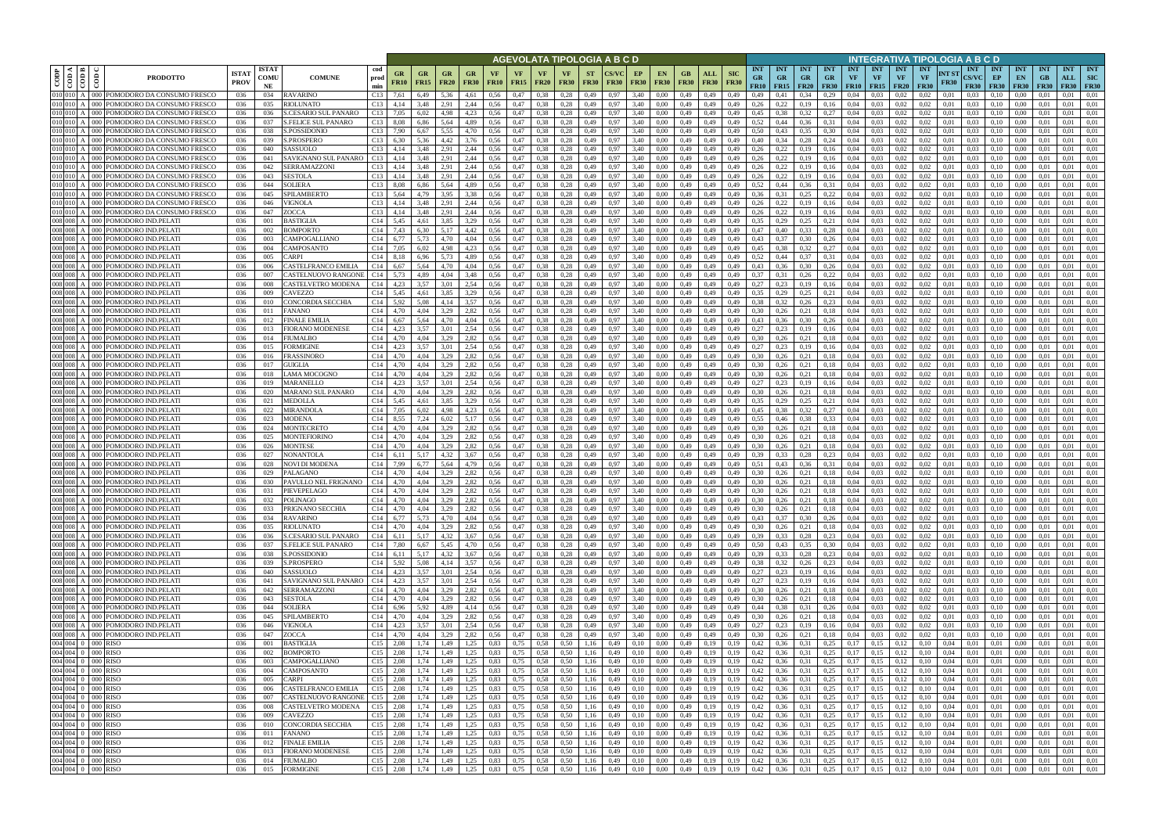|                        |                        |                                                                        |                             |                            |                                                           |                                    |                               |                   |                          |              |                   |                                |                                            |                          | AGEVOLATA TIPOLOGIA A B C D |                   |                          |                                |                    |                           |                                              |                                        |              |                                 |                                 |                                 |                                        |                                 |                      | INTEGRATIVA TIPOLOGIA A B C D             |                                 |                                                 |                                        |                                  |                                         |
|------------------------|------------------------|------------------------------------------------------------------------|-----------------------------|----------------------------|-----------------------------------------------------------|------------------------------------|-------------------------------|-------------------|--------------------------|--------------|-------------------|--------------------------------|--------------------------------------------|--------------------------|-----------------------------|-------------------|--------------------------|--------------------------------|--------------------|---------------------------|----------------------------------------------|----------------------------------------|--------------|---------------------------------|---------------------------------|---------------------------------|----------------------------------------|---------------------------------|----------------------|-------------------------------------------|---------------------------------|-------------------------------------------------|----------------------------------------|----------------------------------|-----------------------------------------|
| CODP                   | ≺ I ⊨<br>$\frac{1}{2}$ | ĝ<br><b>PRODOTTO</b>                                                   | <b>ISTA7</b><br><b>PROV</b> | <b>ISTAT</b><br>COMU<br>NE | cod<br><b>COMUNE</b><br>prod<br>min                       | GR<br><b>FR10</b>                  | G <sub>R</sub><br><b>FR15</b> | GR<br><b>FR20</b> | GR.<br><b>FR30</b>       | <b>FR10</b>  | VF<br><b>FR15</b> | VF.<br><b>FR20</b>             | <b>VF</b><br><b>FR30</b>                   | <b>ST</b><br><b>FR30</b> | <b>FR30</b>                 | EP<br><b>FR30</b> | <b>EN</b><br><b>FR30</b> | GB.<br><b>FR30</b>             | ALL<br><b>FR30</b> | <b>SIC</b><br><b>FR30</b> | <b>INT</b><br><b>GR</b><br><b>FR10</b>       | <b>INT</b><br><b>GR</b><br>$FR15$ FR20 | INT<br>GR.   | <b>INT</b><br>GR<br><b>FR30</b> | <b>INT</b><br>VF<br><b>FR10</b> | <b>INT</b><br>VF<br><b>FR15</b> | <b>INT</b><br><b>VF</b><br><b>FR20</b> | <b>INT</b><br>VF<br><b>FR30</b> | NT ST<br><b>FR30</b> | <b>INT</b><br><b>CS/VC</b><br><b>FR30</b> | <b>INT</b><br>EP<br><b>FR30</b> | <b>INT</b><br>EN<br><b>FR30</b>                 | <b>INT</b><br><b>GB</b><br><b>FR30</b> | <b>INT</b><br>ALL<br><b>FR30</b> | <b>INT</b><br><b>SIC</b><br><b>FR30</b> |
|                        | 010 010 A              | 000 POMODORO DA CONSUMO FRESCO                                         | 036                         | 034                        | <b>RAVARINO</b><br>C13                                    | 7,61                               | 6,49                          | 5.36              | 4.61                     | 0.56         | 0,47              | 0.38                           | 0.28                                       | 0,49                     | 0.97                        | 3,40              | 0.00                     | 0.49                           | 0,49               | 0.49                      | 0.49                                         | 0,41                                   | 0.34         | 0.29                            | 0.04                            | 0.03                            | 0.02                                   | 0.02                            | 0.01                 | 0.03                                      | 0.10                            | $0.00\,$                                        | -0.01                                  | 0.01                             | 0,01                                    |
| 010 010                | 010 010 A              | POMODORO DA CONSUMO FRESCO<br>000<br>POMODORO DA CONSUMO FRESCO        | 036<br>036                  | 035<br>036                 | RIOLUNATO<br>C13<br>S.CESARIO SUL PANARO<br>C13           | 4,14<br>7.05                       | 3,48<br>6.02                  | 2.91<br>4.98      | 2,44<br>4.23             | 0.56<br>0.56 | 0,47<br>0,47      | 0.38<br>0.38                   | 0.28<br>0.28                               | 0,49<br>0,49             | 0.97<br>0.97                | 3,40<br>3,40      | 0.00<br>0.00             | 0,49<br>0.49                   | 0,49<br>0,49       | 0,49<br>0.49              | 0.26<br>0,45                                 | 0,22<br>0.38                           | 0,19<br>0,32 | 0,16<br>0,27                    | 0,04<br>0.04                    | 0.03<br>0.03                    | 0.02<br>0.02                           | 0.02<br>0.02                    | 0.01<br>0.01         | 0.03<br>0.03                              | 0.10<br>0.10                    | 0.00<br>0.00                                    | 0.01<br>0.01                           | 0.01<br>0.01                     | 0,01<br>0.01                            |
| 010 010                |                        | 'OMODORO DA CONSUMO FRESCO                                             | 036                         | 037                        | <b>S.FELICE SUL PANARO</b><br>C13                         | 8.08                               | 6,86                          | 5.64              | 4,89                     | 0.56         | 0,47              | 0.38                           | 0.28                                       | 0.49                     | 0.97                        | 3.40              | 0.00                     | 0.49                           | 0,49               | 0.49                      | 0.52                                         | 0,44                                   | 0,36         | 0.31                            | 0.04                            | 0.03                            | 0.02                                   | 0.02                            | 0.01                 | 0.03                                      | 0.10                            | 0.00                                            | 0.01                                   | 0.01                             | 0.01                                    |
| 010 010                |                        | POMODORO DA CONSUMO FRESCO                                             | 036                         | 038                        | S.POSSIDONIO                                              | C <sub>13</sub> 7.90               | 6.67                          | 5.55              | 4.70                     | 0.56         | 0,47              | 0.38                           | 0.28                                       | 0.49                     | 0.97                        | 3.40              | 0.00                     | 0.49                           | 0.49               | 0.49                      | 0.50                                         | 0.43                                   | 0.35         | 0.30                            | 0.04                            | 0.03                            | 0.02                                   | 0.02                            | 0.01                 | 0.03                                      | 0.10                            | 0.00                                            | 0.01                                   | 0.01                             | 0.01                                    |
|                        | 010 010 A              | POMODORO DA CONSUMO FRESCO                                             | 036                         | 039                        | S.PROSPERO<br>C13                                         | 6,30                               | 5,36                          | 4,42              | 3,76                     | 0.56         | 0,47              | 0,38                           | 0,28                                       | 0,49                     | 0.97                        | 3.40              | 0.00                     | 0,49                           | 0,49               | 0,49                      | 0.40                                         | 0,34                                   | 0,28         | 0,24                            | 0.04                            | 0.03                            | 0,02                                   | 0,02                            | 0,01                 | 0.03                                      | 0,10                            | 0,00                                            | 0.01                                   | 0.01                             | 0,01                                    |
| 010 010                |                        | POMODORO DA CONSUMO FRESCO                                             | 036                         | 040                        | C13<br>SASSUOLO                                           | 4.14                               | 3.48                          | 2.91              | 2,44                     | 0.56         | 0,47              | 0.38                           | 0.28                                       | 0,49                     | 0.97                        | 3.40              | 0.00                     | 0,49                           | 0.49               | 0.49                      | 0,26                                         | 0,22                                   | 0,19         | 0,16                            | 0,04                            | 0.03                            | 0.02                                   | 0.02                            | 0.01                 | 0.03                                      | 0,10                            | 0.00                                            | 0.01                                   | 0.01                             | 0,01                                    |
| 010 010 A<br>010 010 A |                        | POMODORO DA CONSUMO FRESCO<br>POMODORO DA CONSUMO FRESCO               | 036<br>036                  | 041<br>042                 | C13<br><b>SAVIGNANO SUL PANARO</b><br>SERRAMAZZONI<br>C13 | 4,14<br>4,14                       | 3,48<br>3,48                  | 2,91<br>2,91      | 2,44<br>2,44             | 0.56<br>0.56 | 0,47<br>0,47      | 0.38<br>0.38                   | 0,28<br>0,28                               | 0,49<br>0,49             | 0.97<br>0.97                | 3,40<br>3,40      | 0.00<br>0,00             | 0,49<br>0,49                   | 0,49<br>0,49       | 0.49<br>0,49              | 0.26<br>0,26                                 | 0,22<br>0,22                           | 0,19<br>0,19 | 0,16<br>0,16                    | 0,04<br>0,04                    | 0.03<br>0.03                    | 0.02<br>0,02                           | 0.02<br>0,02                    | 0.01<br>0.01         | 0.03<br>0.03                              | 0,10<br>0,10                    | 0,00<br>0,00                                    | 0.01<br>0,01                           | 0.01<br>0,01                     | 0,01<br>0,01                            |
|                        | 010 010 A              | POMODORO DA CONSUMO FRESCO                                             | 036                         | 043                        | SESTOLA<br>C13                                            | 4,14                               | 3,48                          | 2,91              | 2,44                     | 0,56         | 0,47              | 0.38                           | 0,28                                       | 0,49                     | 0.97                        | 3,40              | 0.00                     | 0,49                           | 0,49               | 0,49                      | 0,26                                         | 0,22                                   | 0,19         | 0,16                            | 0,04                            | 0.03                            | 0,02                                   | 0.02                            | 0.01                 | 0.03                                      | 0,10                            | 0,00                                            | 0.01                                   | 0,01                             | 0.01                                    |
|                        | 010 010 A              | POMODORO DA CONSUMO FRESCO                                             | 036                         | 044                        | SOLIERA                                                   | $C13$ 8.08                         | 6.86                          | 5,64              | 4,89                     | 0.56         | 0,47              | 0,38                           | 0.28                                       | 0,49                     | 0.97                        | 3,40              | 0,00                     | 0,49                           | 0,49               | 0.49                      | 0,52                                         | 0,44                                   | 0,36         | 0.31                            | 0,04                            | 0,03                            | 0,02                                   | 0.02                            | 0.01                 | 0.03                                      | 0,10                            | 0,00                                            | 0.01                                   | 0,01                             | 0.01                                    |
| 010 010                |                        | POMODORO DA CONSUMO FRESCO                                             | 036                         | 045                        | C13<br>SPILAMBERTO                                        | 5,64                               | 4,79                          | 3.95              | 3,38                     | 0,56         | 0,47              | 0.38                           | 0,28                                       | 0,49                     | 0.97                        | 3,40              | 0.00                     | 0,49                           | 0,49               | 0.49                      | 0,36                                         | 0.31                                   | 0,25         | 0,22                            | 0.04                            | 0.03                            | 0.02                                   | 0.02                            | 0.01                 | 0.03                                      | 0,10                            | 0,00                                            | 0.01                                   | 0.01                             | 0.01                                    |
| 010 010<br>010 010     |                        | POMODORO DA CONSUMO FRESCO<br>'OMODORO DA CONSUMO FRESCO               | 036                         | 046<br>047                 | VIGNOLA<br>C13<br>C13                                     | 4.14                               | 3.48<br>3.48                  | 2.91<br>2.91      | 2.44<br>2.44             | 0.56         | 0,47<br>0.47      | 0.38<br>0.38                   | 0.28                                       | 0.49                     | 0.97                        | 3.40<br>3.40      | 0.00                     | 0,49                           | 0.49               | 0.49                      | 0.26<br>0.26                                 | 0.22<br>0.22                           | 0.19<br>0.19 | 0.16                            | 0.04                            | 0.03<br>0.03                    | 0.02                                   | 0.02                            | 0.01                 | 0.03                                      | 0.10                            | 0.00                                            | 0.01                                   | 0.01<br>0.01                     | 0.01<br>0.01                            |
| 008 008                |                        | <b>POMODORO IND.PELATI</b>                                             | 036<br>036                  | 001                        | ZOCCA<br>BASTIGLIA<br>C14                                 | 4.14<br>5,45                       | 4.61                          | 3.85              | 3,29                     | 0.56<br>0.56 | 0,47              | 0.38                           | 0.28<br>0,28                               | 0.49<br>0,49             | 0.97<br>0.97                | 3.40              | 0.00<br>0.00             | 0.49<br>0,49                   | 0.49<br>0,49       | 0.49<br>0.49              | 0,35                                         | 0,29                                   | 0,25         | 0.16<br>0,21                    | 0.04<br>0.04                    | 0,03                            | 0.02<br>0,02                           | 0.02<br>0,02                    | 0.01<br>0.01         | 0.03<br>0.03                              | 0.10<br>0,10                    | 0.00<br>0,00                                    | 0.01<br>0.01                           | 0,01                             | 0.01                                    |
| 008 008                |                        | POMODORO IND.PELATI                                                    | 036                         | 002                        | C14<br>BOMPORTO                                           | 7.43                               | 6.30                          | 5.17              | 4.42                     | 0.56         | 0.47              | 0.38                           | 0.28                                       | 0.49                     | 0.97                        | 3.40              | 0.00                     | 0.49                           | 0.49               | 0.49                      | 0.47                                         | 0.40                                   | 0.33         | 0.28                            | 0.04                            | 0.03                            | 0.02                                   | 0.02                            | 0.01                 | 0.03                                      | 0.10                            | 0.00                                            | 0.01                                   | 0.01                             | 0.01                                    |
| 008 008                |                        | POMODORO IND.PELATI<br>000                                             | 036                         | 003                        | C14<br><b>CAMPOGALLIANO</b>                               | 6.77                               | 5.73                          | 4.70              | 4.04                     | 0.56         | 0,47              | 0.38                           | 0.28                                       | 0.49                     | 0.97                        | 3.40              | 0.00                     | 0.49                           | 0.49               | 0.49                      | 0.43                                         | 0.37                                   | 0.30         | 0.26                            | 0.04                            | 0.03                            | 0.02                                   | 0.02                            | 0.01                 | 0.03                                      | 0.10                            | 0.00                                            | 0.01                                   | 0.01                             | 0.01                                    |
| 008 008                |                        | POMODORO IND.PELATI                                                    | 036                         | 004                        | C14<br>CAMPOSANTO                                         | 7.05                               | 6.02                          | 4.98              | 4,23                     | 0.56         | 0,47              | 0.38                           | 0,28                                       | 0,49                     | 0.97                        | 3.40              | 0.00                     | 0.49                           | 0.49               | 0.49                      | 0,45                                         | 0.38                                   | 0,32         | 0,27                            | 0.04                            | 0.03                            | 0.02                                   | 0.02                            | 0.01                 | 0.03                                      | 0.10                            | 0.00                                            |                                        | 0.01                             | 0.01                                    |
| 008 008<br>008 008     |                        | POMODORO IND.PELATI<br>000<br>POMODORO IND.PELATI<br>ാററ               | 036<br>036                  | 005<br>006                 | C14<br>`ARPI<br><b>CASTELFRANCO EMILIA</b><br>C14         | 8.18<br>6.67                       | 6.96<br>5.64                  | 5.73<br>4.70      | 4,89<br>4.04             | 0.56<br>0.56 | 0,47<br>0,47      | 0.38<br>0.38                   | 0.28<br>0.28                               | 0,49<br>0,49             | 0.97<br>0.97                | 3.40<br>3.40      | 0.00<br>0.00             | 0.49<br>0.49                   | 0,49<br>0.49       | 0.49                      | 0.52<br>0.43                                 | 0.36                                   | 0.37<br>0.30 | 0.31<br>0,26                    | 0,04<br>0.04                    | 0.03<br>0.03                    | 0.02<br>0.02                           | 0,02<br>0.02                    | 0.01<br>0.01         | 0.03<br>0.03                              | 0.10<br>0.10                    | 0.00<br>0.00                                    |                                        | 0.01<br>0.01                     | 0.01<br>0.01                            |
| 008 008                |                        | OMODORO IND.PELATI<br>000 l                                            | 036                         | 007                        | C14<br>CASTELNUOVO RANGONI                                | 5,73                               | 4,89                          | 4,04              | 3,48                     | 0,56         | 0,47              | 0.38                           | 0,28                                       | 0,49                     | 0.97                        | 3,40              | 0,00                     | 0,49                           | 0,49               | 0,49                      | 0,37                                         | 0.31                                   | 0,26         | 0,22                            | 0,04                            | 0,03                            | 0,02                                   | 0,02                            | 0,01                 | 0.03                                      | 0,10                            | 0,00                                            | 0,01                                   | 0,01                             | 0,01                                    |
| 008 008                |                        | POMODORO IND.PELATI                                                    | 036                         | 008                        | C14<br>CASTELVETRO MODENA                                 | 4,23                               | 3.57                          | 3.01              | 2.54                     | 0.56         | 0,47              | 0.38                           | 0.28                                       | 0,49                     |                             | 3,40              | 0.00                     | 0.49                           | 0,49               | 0.49                      | 0.27                                         |                                        | 0.19         | 0.16                            | 0.04                            | 0.03                            | 0.02                                   | 0.02                            | 0.01                 | 0.03                                      | 0.10                            | 0.00                                            |                                        | 0.01                             | 0.01                                    |
| 008 008                |                        | <b>POMODORO IND.PELATI</b><br>000 I                                    | 036                         | 009                        | C14<br>CAVEZZO                                            | 5,45                               | 4,61                          | 3.85              | 3,29                     | 0,56         | 0,47              | 0.38                           | 0.28                                       | 0,49                     |                             | 3,40              | 0.00                     | 0,49                           | 0,49               | 0,49                      | 0.35                                         |                                        | 0,25         | 0,21                            | 0,04                            | 0.03                            | 0.02                                   | 0.02                            | 0.01                 | 0.03                                      | 0.10                            | 0.00                                            |                                        | 0.01                             | 0.01                                    |
| 008 008                |                        | OMODORO IND.PELATI                                                     | 036                         | 010                        | CONCORDIA SECCHIA<br>C14                                  | 5,92                               | 5.08                          | 4,14              | 3,57                     | 0,56         | 0,47              | 0.38                           | 0,28                                       | 0,49                     |                             | 3,40              | 0.00                     | 0,49                           | 0,49               |                           | 0.38                                         |                                        | 0,26         | 0,23                            | 0,04                            | 0.03                            | 0.02                                   | 0.02                            | 0.01                 | 0.03                                      | 0.10                            | 0,00                                            | 0.01                                   | 0.01                             | 0.01                                    |
| 008 008                | 008 008 A              | POMODORO IND.PELATI<br>DOC<br>POMODORO IND.PELATI<br>൜                 | 036<br>036                  | 011<br>012                 | C14<br>FANANO<br><b>FINALE EMILIA</b><br>C14              | 4.70<br>6.67                       | 4.04<br>5.64                  | 3.29<br>4.70      | 2,82<br>4.04             | 0.56<br>0.56 | 0,47<br>0,47      | 0.38<br>0.38                   | 0.28<br>0.28                               | 0,49<br>0.49             | 0.97<br>0.97                | 3.40<br>3.40      | 0.00<br>0.00             | 0.49<br>0.49                   | 0,49<br>0,49       | 0.49<br>0.49              | 0.30<br>0,43                                 | 0,26<br>0.36                           | 0.21<br>0.30 | 0.18<br>0.26                    | 0.04<br>0.04                    | 0.03<br>0.03                    | 0.02<br>0.02                           | 0.02<br>0.02                    | 0.01<br>0.01         | 0.03<br>0.03                              | 0.10<br>0.10                    | 0.00<br>0.00                                    | 0.01<br>-0.01                          | 0.01<br>0.01                     | 0.01<br>0.01                            |
|                        | 008 008 A              | POMODORO IND.PELATI<br>000 <sub>1</sub>                                | 036                         | 013                        | C14<br>FIORANO MODENESE                                   | 4,23                               | 3,57                          | 3,01              | 2,54                     | 0,56         | 0,47              | 0,38                           | 0,28                                       | 0,49                     | 0.97                        | 3,40              | 0.00                     | 0,49                           | 0,49               | 0,49                      | 0,27                                         | 0,23                                   | 0,19         | 0,16                            | 0,04                            | 0.03                            | 0,02                                   | 0,02                            | 0.01                 | 0.03                                      | 0,10                            | 0,00                                            | 0.01                                   | 0.01                             | 0,01                                    |
| 008 008                |                        | OMODORO IND.PELATI                                                     | 036                         | 014                        | FIUMALBO<br>C14                                           | 4.70                               | 4.04                          | 3.29              | 2,82                     | 0.56         | 0,47              | 0.38                           | 0.28                                       | 0.49                     |                             | 3.40              | 0.00                     | 0.49                           | 0.49               | 0.49                      | 0.30                                         | 0,26                                   | 0,21         | 0.18                            | 0.04                            | 0.03                            | 0.02                                   | 0.02                            | 0.01                 | 0.03                                      | 0.10                            | 0.00                                            |                                        | 0.01                             | 0.01                                    |
| 008 008                |                        | POMODORO IND.PELATI                                                    | 036                         | 015                        | C14<br>FORMIGINE                                          | 4,23                               | 3.57                          | 3.01              | 2,54                     | 0.56         | 0,47              | 0.38                           | 0,28                                       | 0,49                     | 0.97                        | 3.40              | 0.00                     | 0.49                           | 0,49               | 0,49                      | 0,27                                         | 0,23                                   | 0,19         | 0,16                            | 0,04                            | 0.03                            | 0.02                                   | 0.02                            | 0.01                 | 0.03                                      | 0.10                            | 0,00                                            | 0.01                                   | 0.01                             | 0.01                                    |
| 008 008                | 008 008 A              | POMODORO IND.PELATI                                                    | 036                         | 016                        | FRASSINORO<br>C14                                         | 4.70                               | 4.04                          | 3.29              | 2,82                     | 0.56         | 0,47              | 0.38                           | 0,28                                       | 0,49                     | 0.97                        | 3.40              | 0.00                     | 0.49                           | 0,49               | 0.49                      | 0.30                                         | 0,26                                   | 0,21         | 0,18                            | 0.04                            | 0.03                            | 0.02                                   | 0.02                            | 0.01                 | 0.03                                      | 0,10                            | 0.00                                            | 0.01                                   | 0.01                             | 0.01                                    |
|                        | 008 008 A              | POMODORO IND.PELATI<br>POMODORO IND.PELATI                             | 036<br>036                  | 017<br>018                 | C14<br>GUIGLIA<br>LAMA MOCOGNO<br>C14                     | 4,70<br>4,70                       | 4.04<br>4.04                  | 3.29<br>3.29      | 2,82<br>2.82             | 0.56<br>0.56 | 0,47<br>0,47      | 0.38<br>0.38                   | 0,28<br>0.28                               | 0,49<br>0,49             | 0.97<br>0.97                | 3,40<br>3.40      | 0.00<br>0.00             | 0,49<br>0,49                   | 0,49<br>0,49       | 0,49<br>0.49              | 0.30<br>0.30                                 | 0,26<br>0,26                           | 0,21<br>0,21 | 0,18<br>0,18                    | 0,04<br>0,04                    | 0.03<br>0.03                    | 0.02<br>0.02                           | 0.02<br>0.02                    | 0.01<br>0.01         | 0.03<br>0.03                              | 0,10<br>0,10                    | 0,00<br>0.00                                    | 0.01<br>0.01                           | 0.01<br>0.01                     | 0,01<br>0.01                            |
|                        | 008 008 A              | POMODORO IND.PELATI                                                    | 036                         | 019                        | C14<br>MARANELLO                                          | 4,23                               | 3,57                          | 3,01              | 2,54                     | 0,56         | 0,47              | 0.38                           | 0,28                                       | 0,49                     | 0.97                        | 3,40              | 0,00                     | 0,49                           | 0,49               | 0,49                      | 0,27                                         | 0,23                                   | 0,19         | 0,16                            | 0,04                            | 0,03                            | 0,02                                   | 0,02                            | 0,01                 | 0.03                                      | 0,10                            | 0,00                                            | 0,01                                   | 0,01                             | 0,01                                    |
| 008 008                |                        | POMODORO IND.PELATI                                                    | 036                         | 020                        | C14<br>MARANO SUL PANARO                                  | 4,70                               | 4.04                          | 3.29              | 2.82                     | 0.56         | 0,47              | 0,38                           | 0.28                                       | 0,49                     | 0.97                        | 3,40              | 0.00                     | 0,49                           | 0,49               | 0.49                      | 0,30                                         | 0.26                                   | 0,21         | 0,18                            | 0,04                            | 0.03                            | 0,02                                   | 0.02                            | 0.01                 | 0.03                                      | 0,10                            | 0,00                                            | 0.01                                   | 0,01                             | 0.01                                    |
|                        | 008 008 A              | POMODORO IND.PELATI                                                    | 036                         | 021                        | C14<br>MEDOLLA                                            | 5,45                               | 4,61                          | 3.85              | 3,29                     | 0,56         | 0,47              | 0,38                           | 0,28                                       | 0,49                     | 0.97                        | 3,40              | 0.00                     | 0,49                           | 0,49               | 0,49                      | 0,35                                         | 0,29                                   | 0,25         | 0,21                            | 0,04                            | 0,03                            | 0,02                                   | 0,02                            | 0.01                 | 0.03                                      | 0,10                            | 0,00                                            | 0.01                                   | 0,01                             | 0,01                                    |
| 008 008<br>008 008     |                        | POMODORO IND.PELATI<br>POMODORO IND.PELATI                             | 036<br>036                  | 022<br>023                 | C14<br>MIRANDOLA<br>MODENA                                | 7,05<br>C <sub>14</sub> 8.55       | 6.02<br>7.24                  | 4.98<br>6.02      | 4,23<br>5.17             | 0,56<br>0.56 | 0,47<br>0,47      | 0,38<br>0.38                   | 0,28<br>0.28                               | 0,49<br>0.49             | 0.97<br>0.97                | 3,40<br>3.40      | 0.00<br>0.00             | 0,49<br>0.49                   | 0,49<br>0.49       | 0.49<br>0.49              | 0,45<br>0.55                                 | 0.38<br>0.46                           | 0,32<br>0.38 | 0,27<br>0.33                    | 0.04<br>0.04                    | 0.03<br>0.03                    | 0,02<br>0.02                           | 0.02<br>0.02                    | 0.01<br>0.01         | 0.03<br>0.03                              | 0,10<br>0.10                    | 0,00<br>0.00                                    | 0.01<br>0.01                           | 0,01<br>0.01                     | 0.01<br>0.01                            |
| 008 008                |                        | POMODORO IND.PELATI<br>റററ                                             | 036                         | 024                        | C14<br>MONTECRETO                                         | 4.70                               | 4.04                          | 3.29              | 2.82                     | 0.56         | 0,47              | 0.38                           | 0.28                                       | 0.49                     | 0.97                        | 3.40              | 0.00                     | 0,49                           | 0.49               | 0.49                      | 0.30                                         | 0.26                                   | 0.21         | 0.18                            | 0.04                            | 0.03                            | 0.02                                   | 0.02                            | 0.01                 | 0.03                                      | 0.10                            | 0.00                                            | 0.01                                   | 0.01                             | 0.01                                    |
| 008 008                |                        | POMODORO IND.PELATI                                                    | 036                         | 025                        | MONTEFIORINO<br>C14                                       | 4.70                               | 4.04                          | 3.29              | 2,82                     | 0.56         | 0,47              | 0.38                           | 0.28                                       | 0.49                     | 0.97                        | 3.40              | 0.00                     | 0,49                           | 0,49               | 0.49                      | 0.30                                         | 0.26                                   | 0.21         | 0.18                            | 0.04                            | 0.03                            | 0.02                                   | 0.02                            | 0.01                 | 0.03                                      | 0.10                            | 0.00                                            | 0.01                                   | 0.01                             | 0.01                                    |
| 008 008                |                        | POMODORO IND.PELATI<br>റററ                                             | 036                         | 026                        | C14<br>MONTESE                                            | 4.70                               | 4.04                          | 3.29              | 2.82                     | 0.56         | 0,47              | 0.38                           | 0.28                                       | 0.49                     | 0.97                        | 3.40              | 0.00                     | 0.49                           | 0.49               | 0.49                      | 0.30                                         | 0.26                                   | 0.21         | 0,18                            | 0.04                            | 0.03                            | 0.02                                   | 0.02                            | 0.01                 | 0.03                                      | 0.10                            | 0.00                                            | 0.01                                   | 0.01                             | 0.01                                    |
| 008 008                |                        | POMODORO IND.PELATI                                                    | 036                         | 027                        | C14<br>NONANTOLA                                          | 6.11                               | 5.17                          | 4.32              | 3.67                     | 0.56         | 0.47              | 0.38                           | 0.28                                       | 0.49                     | 0.97                        | 3.40              | 0.00                     | 0.49                           | 0.49               | 0.49                      | 0.39                                         | 0.33                                   | 0.28         | 0.23                            | 0.04                            | 0.03                            | 0.02                                   | 0.02                            | 0.01                 | 0.03                                      | 0.10                            | 0.00                                            | 0.01                                   | 0.01                             | 0.01                                    |
| 008 008<br>008 008     |                        | POMODORO IND.PELATI<br>000-<br><b>OMODORO IND.PELATI</b><br>ാററ        | 036<br>036                  | 028                        | C14<br>NOVI DI MODENA<br>C14<br><b>ALAGANO</b>            | 7,99                               | 6.77<br>4.04                  | 5.64<br>3.29      | 4,79<br>2.82             | 0.56<br>0.56 | 0,47<br>0.47      | 0.38<br>0.38                   | 0,28                                       | 0,49<br>0.49             | 0.97                        | 3.40<br>3.40      | 0.00<br>0.00             | 0,49<br>0.49                   | 0,49<br>0.49       | 0,49                      | 0,51<br>0.30                                 | 0,43                                   | 0,36         | 0,31                            | 0,04<br>0.04                    | 0.03<br>0.03                    | 0,02                                   | 0,02<br>0.02                    | 0.01                 | 0.03                                      | 0,10                            | 0.00<br>0.00                                    | 0.01                                   | 0,01<br>0.01                     | 0.01<br>0.01                            |
|                        |                        | 008 008 A   000 POMODORO IND.PELATI                                    | 036                         | 030                        | C14<br>PAVULLO NEL FRIGNANO                               | 4.70                               | 4,04                          | 3,29              | 2,82                     | 0,56         | 0,47              | 0,38                           | 0,28                                       | 0,49                     | 0.97                        | 3.40              | 0.00                     | 0.49                           | 0,49               | 0,49                      | 0.30                                         | 0,26                                   | 0,21         | 0.18                            | 0,04                            | 0.03                            | 0.02                                   | 0,02                            | 0.01                 | 0.03                                      | 0.10                            | 0.00                                            | 0.01                                   | 0.01                             | 0,01                                    |
|                        |                        | 008 008 A 000 POMODORO IND.PELATI                                      | 036                         | 031                        | PIEVEPELAGO<br>C14                                        | 4.70                               | 4.04                          | 3.29              | 2,82                     | 0,56         | 0,47              | 0.38                           | 0,28                                       | 0,49                     | 0.97                        | 3.40              | 0.00                     | 0.49                           | 0,49               | 0.49                      | 0.30                                         | 0.26                                   | 0,21         | 0.18                            | 0.04                            | 0.03                            |                                        | 0.02                            | 0.01                 | 0.03                                      | 0.10                            | 0.00                                            |                                        |                                  | 0.01                                    |
|                        |                        | 008 008 A 000 POMODORO IND.PELATI                                      | 036                         | 032                        | POLINAGO                                                  | C <sub>14</sub> 4,70               | 4,04                          | 3,29              | 2,82                     | 0,56         | 0,47              | $0,38$ $0,28$                  |                                            |                          | 0,49 0,97                   | 3,40              | 0,00                     | $0,49$ $0,49$                  |                    | 0,49                      | 0,30                                         | $0,26$ $0,21$                          |              | 0,18                            | 0,04                            | 0,03                            | 0,02                                   | 0,02                            | 0,01                 | 0,03                                      | 0,10                            | $0.00\,$                                        | 0,01                                   | 0.01                             | 0,01                                    |
|                        |                        | 008 008 A 000 POMODORO IND.PELATI<br>008 008 A 000 POMODORO IND.PELATI | 036                         | 033                        | PRIGNANO SECCHIA                                          | $C14$ 4,70<br>C <sub>14</sub> 6,77 | 4,04                          | 3,29              | 2,82                     | 0,56         | 0,47              | $0,38$ $0,28$                  |                                            | 0,49                     | 0.97                        | 3,40              | 0,00                     | $0,49$ $0,49$                  |                    |                           | $0,49$ $0,30$                                | $0,26$ $0,21$                          |              | 0,18                            | $0,04$ 0.03                     |                                 | 0,02                                   | 0,02                            | 0,01                 | 0,03                                      | 0,10                            | $0,00$ $0,01$                                   |                                        | 0.01                             | 0,01                                    |
|                        |                        | 008 008 A 000 POMODORO IND.PELATI                                      | 036<br>036                  | 034<br>035                 | <b>RAVARINO</b><br>RIOLUNATO                              | C <sub>14</sub> 4,70               | 5,73<br>4,04                  | 4,70<br>3,29      | 4,04<br>2,82 0,56        | 0,56         | 0,47<br>0,47      | $0,38$ $0,28$<br>$0,38$ 0,28   |                                            | 0,49<br>0,49             | 0,97<br>0.97                | 3,40<br>3,40      | 0,00<br>0,00             | 0,49 0,49<br>0,49 0,49         |                    |                           | $0,49$ $0,43$<br>$0,49$ $0,30$               | $0,37$ 0,30 0,26<br>$0,26$ $0,21$      |              | 0,18                            |                                 | $0,04$ 0.03<br>$0,04$ 0.03      | 0,02<br>0,02                           | 0,02<br>0,02                    | 0,01<br>0,01         | 0,03<br>0,03                              | 0,10                            | $0,10 \qquad 0,00 \qquad 0,01$<br>$0,00$ $0,01$ |                                        | $0,01$ $0,01$<br>0,01            | 0,01                                    |
|                        |                        | 008 008 A 000 POMODORO IND.PELATI                                      | 036                         | 036                        | S.CESARIO SUL PANARO                                      | $C14$ 6,11                         | 5,17                          | 4,32              | 3,67                     | 0,56         | 0,47              | $0,38$ $0,28$                  |                                            | 0,49                     | 0,97                        | 3,40              | 0,00                     | 0,49                           | 0,49               | 0,49                      | 0,39                                         | $0,33$ $0,28$                          |              | 0,23                            | 0,04                            | 0,03                            | 0,02                                   | 0,02                            | 0,01                 | 0,03                                      | 0,10                            | 0,00                                            | 0,01                                   | 0,01                             | 0,01                                    |
|                        |                        | 008 008 A 000 POMODORO IND.PELATI                                      | 036                         | 037                        | S.FELICE SUL PANARO                                       | C <sub>14</sub> 7,80               | 6,67                          | 5,45              | 4,70                     | 0,56         | 0,47              | $0,38$ $0,28$                  |                                            | 0,49                     | 0,97                        | 3,40              | 0,00                     | 0,49 0,49                      |                    | 0,49                      | 0,50                                         | $0,43$ $0,35$                          |              | 0,30                            | 0,04                            | 0,03                            | 0,02                                   | 0,02                            | 0,01                 | 0,03                                      | 0,10                            | $0,00$ $0,01$                                   |                                        | 0,01                             | 0,01                                    |
|                        |                        | 008 008 A 000 POMODORO IND.PELATI                                      | 036                         | 038                        | S.POSSIDONIO                                              | $\overline{C14}$ 6,11              | 5,17                          | 4,32              | 3,67                     | 0,56         | 0,47              | $0,38$ 0,28                    |                                            | 0,49                     | 0,97                        | 3,40              | 0,00                     | 0,49                           | 0,49               | 0,49                      | 0,39                                         | $0,33$ $0,28$                          |              | 0,23                            | 0,04                            | 0,03                            | 0,02                                   | 0,02                            | 0,01                 | 0,03                                      | 0,10                            | 0,00                                            | 0,01                                   | 0.01                             | 0,01                                    |
|                        |                        | 008 008 A 000 POMODORO IND.PELATI<br>008 008 A 000 POMODORO IND.PELATI | 036<br>036                  | 039<br>040                 | S.PROSPERO<br>SASSUOLO                                    | $C14$ 5,92<br>$C14$ 4,23           | 5,08<br>3,57                  | 4,14<br>3,01      | 3,57<br>2,54             | 0,56<br>0,56 | 0,47<br>0,47      | $0,38$ $0,28$<br>$0,38$ 0,28   |                                            | 0,49<br>0,49             | 0,97<br>0,97                | 3,40<br>3,40      | 0,00<br>0,00             | 0,49<br>0,49                   | 0,49<br>0,49       | 0,49<br>0,49              | 0,38<br>0,27                                 | $0,32$ 0,26<br>$0,23$ $0,19$           |              | 0,23<br>0,16                    | 0,04<br>0,04                    | 0,03<br>0,03                    | 0,02<br>0,02                           | 0,02<br>0,02                    | 0,01<br>0,01         | 0,03<br>0,03                              | 0,10<br>0,10                    | $0,00$ $0,01$<br>0,00                           | 0,01                                   | 0,01<br>0.01                     | 0,01<br>0,01                            |
|                        |                        | 008 008 A 000 POMODORO IND.PELATI                                      | 036                         | 041                        | SAVIGNANO SUL PANARO C14 4,23                             |                                    | 3,57                          | 3,01              | 2,54                     | 0,56         | 0,47              | $0,38$ $0,28$                  |                                            | 0,49                     | 0,97                        | 3,40              | 0,00                     | 0,49                           | 0,49               | 0,49                      | 0,27                                         | $0,23$ $0,19$                          |              | 0,16                            | 0,04                            | 0,03                            | 0,02                                   | 0,02                            | 0,01                 | 0,03                                      | 0,10                            | $0,00$ $0,01$                                   |                                        | 0,01                             | 0,01                                    |
|                        |                        | 008 008 A 000 POMODORO IND.PELATI                                      | 036                         | 042                        | SERRAMAZZONI                                              | $C14$ 4,70                         | 4,04                          | 3,29              | 2,82                     | 0,56         | 0,47              | $0,38$ $0,28$                  |                                            | 0,49                     | 0,97                        | 3,40              | 0,00                     | 0,49                           | 0,49               | 0,49                      | 0,30                                         | $0,26$ 0,21                            |              | 0,18                            | 0,04                            | 0,03                            | 0,02                                   | 0,02                            | 0,01                 | 0,03                                      | 0,10                            | 0,00                                            | 0, 01                                  | 0,01                             | 0,01                                    |
|                        |                        | 008 008 A 000 POMODORO IND.PELATI                                      | 036                         | 043                        | <b>SESTOLA</b>                                            | $C14$ 4,70                         | 4,04                          | 3,29              | 2,82                     | 0,56         | 0,47              | $0,38$ 0,28                    |                                            | 0,49                     | 0,97                        | 3,40              | 0,00                     | 0,49                           | 0,49               | 0,49                      | 0,30                                         | $0,26$ $0,21$                          |              | 0,18                            | 0,04                            | 0,03                            | 0,02                                   | 0,02                            | 0,01                 | 0,03                                      | 0,10                            | 0,00                                            | 0,01                                   | 0,01                             | 0,01                                    |
|                        |                        | 008 008 A 000 POMODORO IND.PELATI<br>008 008 A 000 POMODORO IND.PELATI | 036                         | 044                        | <b>SOLIERA</b>                                            | $C14$ 6,96<br>$C14$ 4,70           | 5,92                          | 4,89              | 4,14                     | 0,56         | 0,47              | $0,38$ 0,28                    |                                            | 0,49                     | 0,97                        | 3,40              | 0,00                     | $0,49$ $0,49$                  |                    | 0,49                      | 0,44                                         | 0,38                                   | 0,31         | 0,26                            | 0,04                            | 0,03                            | 0,02                                   | 0,02                            | 0,01                 | 0,03                                      | 0,10                            | 0,00                                            | 0,01                                   | 0,01                             | 0,01                                    |
|                        |                        | 008 008 A 000 POMODORO IND.PELATI                                      | 036<br>036                  | 045<br>046                 | SPILAMBERTO<br><b>VIGNOLA</b>                             | $C14$ 4,23                         | 4,04<br>3,57                  | 3,29<br>3,01      | 2,82<br>2,54 0,56        | 0,56         | 0,47<br>0,47      | $0,38$ $0,28$<br>$0,38$ $0,28$ |                                            | 0,49<br>0,49             | 0,97<br>0,97                | 3,40<br>3,40      | 0,00<br>0,00             | 0,49 0,49<br>0,49 0,49         |                    | 0,49<br>0,49              | 0,30<br>$0,27$ 0,23 0,19                     | $0,26$ $0,21$                          |              | 0,18<br>0,16                    | 0,04<br>0,04                    | 0,03<br>0,03                    | 0,02<br>0,02                           | 0,02<br>0,02                    | 0,01<br>0,01         | 0,03<br>0,03                              | 0,10<br>0,10                    | 0,00<br>0,00                                    | 0.01<br>0,01                           | 0,01<br>0,01                     | 0,01<br>0,01                            |
|                        |                        | 008 008 A 000 POMODORO IND.PELATI                                      | 036                         | 047                        | ZOCCA                                                     | C <sub>14</sub> 4,70               | 4,04                          | 3,29              | 2,82 0,56                |              | 0,47              |                                | $0,38$ $0,28$                              | 0,49                     | 0,97                        | 3,40              | 0,00                     | $0,49$ $0,49$                  |                    | 0,49                      | $0,30$ $0,26$ $0,21$ $0,18$                  |                                        |              |                                 |                                 | $0,04$ 0.03                     | 0,02                                   | 0,02                            | 0,01                 |                                           | $0.03$ 0.10 0.00 0.01           |                                                 |                                        | 0,01                             | 0,01                                    |
|                        |                        | 004 004 0 000 RISO                                                     | 036                         | 001                        | <b>BASTIGLIA</b>                                          | $C15$ 2,08                         | 1,74 1,49                     |                   | 1,25 0,83                |              | 0,75              |                                | $0,58$ 0.50 1.16 0.49                      |                          |                             | 0,10              | 0,00                     | $0,49$ $0,19$                  |                    |                           | $0,19$ $0,42$ $0,36$ $0,31$ $0,25$           |                                        |              |                                 | $0,17$ 0,15                     |                                 | 0,12                                   | 0,10                            | 0,04                 | $0,01$ $0,01$ $0,00$ $0,01$               |                                 |                                                 |                                        | 0,01                             | 0,01                                    |
|                        |                        | 004 004 0 000 RISO                                                     | 036                         | 002                        | <b>BOMPORTO</b>                                           | $C15$ 2,08                         | 1,74 1,49                     |                   | 1,25 0,83                |              | 0,75              |                                | $0,58$ $0,50$ $1,16$                       |                          | 0,49                        | 0,10              | 0,00                     | $0,49$ $0,19$                  |                    | 0,19                      | $0,42$ $0,36$ $0,31$                         |                                        |              | 0,25                            | $0,17$ 0,15                     |                                 | 0,12                                   | 0,10                            | 0,04                 | 0,01                                      | $0,01$ $0,00$                   |                                                 | 0,01                                   | 0,01                             | 0,01                                    |
|                        |                        | 004 004 0 000 RISO<br>004 004 0 000 RISO                               | 036<br>036                  | 003                        | CAMPOGALLIANO<br>CAMPOSANTO                               | $C15$ 2.08<br>$C15$ 2,08           | 1,74<br>1,74                  | 1,49<br>1,49      | $1,25$ 0.83<br>1,25 0,83 |              | 0,75<br>0,75      |                                | $0,58$ $0,50$ 1,16<br>$0,58$ $0,50$ $1,16$ |                          | 0,49                        | 0,10              | 0,00                     | $0,49$ $0,19$                  |                    | 0,19                      | $0,42$ $0,36$ $0,31$<br>$0,42$ $0,36$ $0,31$ |                                        |              | 0,25<br>0,25                    | $0,17$ 0.15<br>$0,17$ 0.15      |                                 | 0,12                                   | 0,10                            | 0,04                 | 0,01                                      | $0,01$ 0.00<br>$0,01$ 0.00      |                                                 | 0,01                                   | 0,01                             | 0,01<br>0,01                            |
|                        |                        | 004 004 0 000 RISO                                                     | 036                         | 004<br>005                 | CARPI                                                     | $C15$ 2,08                         | 1,74                          | 1,49              | 1,25                     | 0,83         | 0,75              | $0,58$ 0,50                    |                                            | 1,16                     | 0,49<br>0,49                | 0,10<br>0,10      | 0,00<br>0,00             | $0,49$ $0,19$<br>$0,49$ $0,19$ |                    | 0,19<br>0,19              | $0,42$ 0,36 0,31                             |                                        |              | 0,25                            | 0,17                            | 0,15                            | 0,12<br>0,12                           | 0,10<br>0,10                    | 0,04<br>0,04         | 0,01<br>0,01                              | 0,01                            | 0,00                                            | 0.01<br>0,01                           | 0,01<br>0,01                     | 0,01                                    |
|                        |                        | 004 004 0 000 RISO                                                     | 036                         | 006                        | CASTELFRANCO EMILIA                                       | $C15$ 2,08                         | 1,74                          | 1,49              | 1,25                     | 0,83         | 0,75              | $0,58$ 0.50                    |                                            | 1,16                     | 0,49                        | 0,10              | 0,00                     | 0,49                           | 0,19               | 0,19                      | 0,42                                         | 0,36                                   | 0,31         | 0,25                            | 0,17                            | 0,15                            | 0,12                                   | 0,10                            | 0,04                 | 0,01                                      | 0.01                            | 0,00                                            | 0,01                                   | 0,01                             | 0,01                                    |
|                        |                        | 004 004 0 000 RISO                                                     | 036                         | 007                        | CASTELNUOVO RANGONE                                       | $C15$ 2,08                         | 1,74                          | 1,49              | 1,25                     | 0,83         | 0,75              | $0,58$ 0.50                    |                                            | 1,16                     | 0,49                        | 0,10              | 0,00                     | 0,49                           | 0,19               | 0,19                      | 0,42                                         | 0,36                                   | 0,31         | 0,25                            | 0,17                            | 0,15                            | 0,12                                   | 0,10                            | 0,04                 | 0,01                                      | 0.01                            | 0,00                                            | 0,01                                   | 0,01                             | 0,01                                    |
|                        |                        | 004 004 0 000 RISO                                                     | 036                         | 008                        | CASTELVETRO MODENA                                        | $C15$ 2,08                         | 1,74                          | 1,49              | 1,25                     | 0,83         | 0,75              | $0,58$ 0,50                    |                                            | 1,16                     | 0,49                        | 0,10              | 0,00                     | 0,49                           | 0,19               | 0,19                      | 0,42                                         | $0,36$ $0,31$                          |              | 0,25                            | 0,17                            | 0,15                            | 0,12                                   | 0,10                            | 0,04                 | 0,01                                      | 0,01                            | 0,00                                            | 0,01                                   | 0,01                             | 0,01                                    |
|                        |                        | 004 004 0 000 RISO<br>004 004 0 000 RISO                               | 036<br>036                  | 009<br>010                 | CAVEZZO<br>CONCORDIA SECCHIA                              | $C15$ 2.08<br>$C15$ 2,08           | 1,74<br>1,74                  | 1,49<br>1,49      | 1,25 0,83<br>1,25 0,83   |              | 0,75<br>0,75      | $0,58$ 0.50                    | $0,58$ 0.50                                | 1,16<br>1,16             | 0,49<br>0,49                | 0,10<br>0,10      | 0,00<br>0,00             | $0,49$ $0,19$<br>$0,49$ $0,19$ |                    | 0,19<br>0,19              | 0,42<br>0,42                                 | $0,36$ $0,31$<br>$0,36$ $0,31$         |              | 0,25<br>0,25                    | 0,17                            | $0,17$ 0.15<br>0,15             | 0,12<br>0,12                           | 0,10<br>0,10                    | 0,04<br>0,04         | 0.01<br>0,01                              | 0,01<br>0,01                    | $0.00\,$<br>$0,\!00$                            | 0.01<br>0,01                           | 0,01<br>0,01                     | 0,01<br>0,01                            |
|                        |                        | 004 004 0 000 RISO                                                     | 036                         | 011                        | FANANO                                                    | $C15$ 2,08                         | 1,74                          | 1,49              | $1,25$ 0,83              |              | 0,75              |                                | 0,58 0,50                                  | 1,16                     | 0,49                        | 0,10              | 0,00                     | $0,49$ $0,19$                  |                    | 0,19                      | 0,42                                         | $0,36$ $0,31$                          |              | 0,25                            |                                 | $0,17$ 0,15                     | 0,12                                   | 0,10                            | 0,04                 | 0,01                                      | 0,01                            | 0,00                                            | 0,01                                   | 0,01                             | 0,01                                    |
|                        |                        | 004 004 0 000 RISO                                                     | 036                         | 012                        | <b>FINALE EMILIA</b>                                      | $C15$ 2,08                         | 1,74                          | 1,49              | 1,25                     | 0,83         | 0,75              | $0,58$ 0.50                    |                                            | 1,16                     | 0,49                        | 0,10              | 0,00                     | 0,49                           | 0,19               | 0,19                      | 0,42                                         | $0,36$ $0,31$                          |              | 0,25                            | 0,17                            | 0,15                            | 0,12                                   | 0,10                            | 0,04                 | 0,01                                      | 0.01                            | 0,00                                            | 0,01                                   | 0,01                             | 0,01                                    |
|                        |                        | 004 004 0 000 RISO                                                     | 036                         | 013                        | FIORANO MODENESE                                          | $C15$ 2,08                         | 1,74 1,49                     |                   | $1,25$ 0,83              |              | 0,75              |                                | $0,58$ $0,50$                              | 1,16                     | 0,49                        | 0,10              | 0,00                     | $0,49$ $0,19$                  |                    |                           | $0,19$ $0,42$                                | $0,36$ $0,31$                          |              | 0,25                            |                                 | $0,17$ 0.15                     | 0,12                                   | 0,10                            | 0,04                 | 0,01                                      | 0,01                            | $0,00$ $0,01$                                   |                                        | 0,01                             | 0,01                                    |
|                        |                        | 004 004 0 000 RISO                                                     | 036                         | 014                        | FIUMALBO                                                  | C <sub>15</sub> 2,08               | 1,74                          | 1,49              | $1,25$ 0,83              |              | 0,75              |                                | $0,58$ $0,50$                              | 1,16                     | 0,49                        | 0,10              | 0,00                     | $0,49$ $0,19$                  |                    | 0,19                      | 0,42                                         | $0,36$ $0,31$                          |              | 0,25                            | 0,17                            | 0,15                            | 0,12                                   | 0,10                            | 0,04                 | 0,01                                      |                                 | $0,01$ 0,00 0,01                                |                                        | $0,01$ $0,01$                    |                                         |
|                        |                        | 004 004 0 000 RISO                                                     | 036                         | 015                        | <b>FORMIGINE</b>                                          | $\overline{C}$ 15 2,08             | 1,74 1,49                     |                   | $1,25$ 0,83              |              |                   |                                | $0,75$ 0.58 0.50 1.16 0.49                 |                          |                             | 0,10              |                          | $0,00 \qquad 0,49 \qquad 0,19$ |                    |                           | $0,19$ $0,42$ $0,36$ $0,31$ $0,25$           |                                        |              |                                 | $0,17$ $0,15$                   |                                 |                                        | $0,12$ $0,10$                   |                      | $0,04$ $0,01$ $0,01$ $0,00$ $0,01$        |                                 |                                                 |                                        | $0,01$ $0,01$                    |                                         |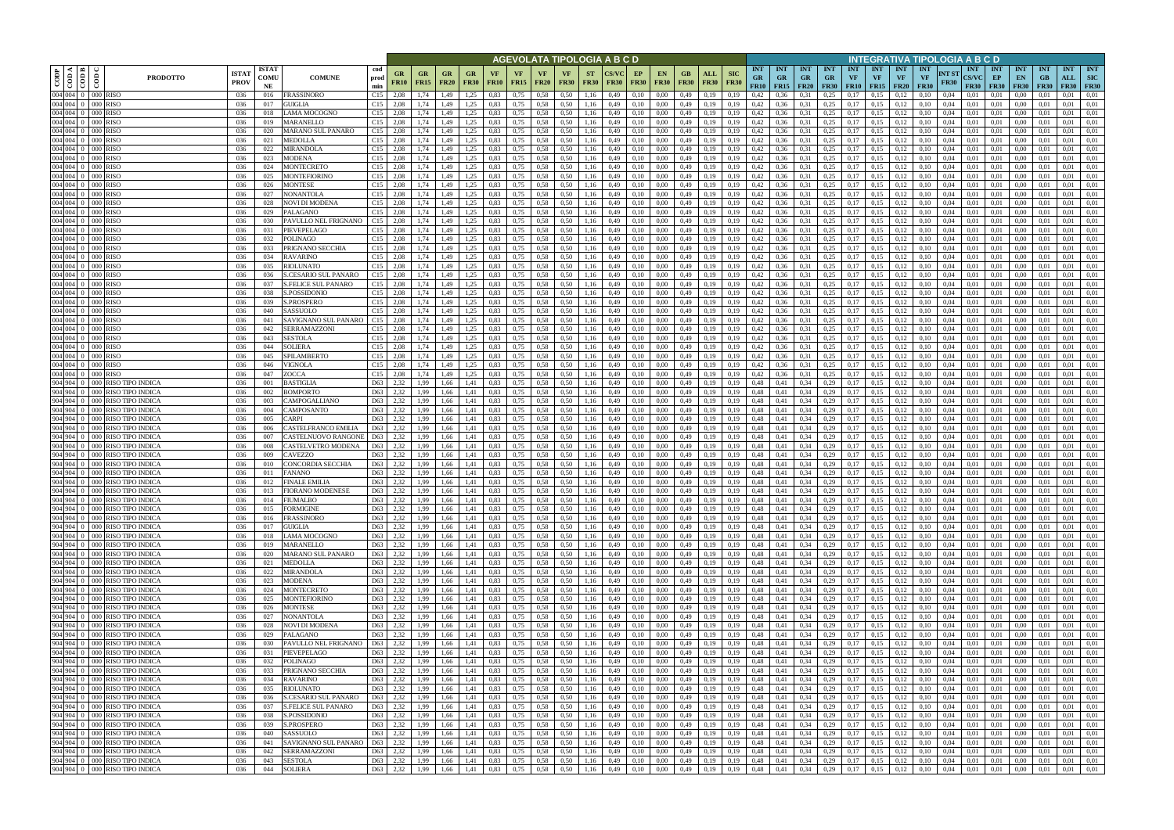|                                                                                                                                                                |                                                                                |                            |                                                           |                              |                                        |                              |                          |                   |              |                          |                                |                          | AGEVOLATA TIPOLOGIA A B C D |                   |                                 |                   |                                |                           |                                        |                                        |                              |                                        |                                        |                         |                                        | INTEGRATIVA TIPOLOGIA A B C D                           |                                           |                          |                                              |                                 |                   |                                       |
|----------------------------------------------------------------------------------------------------------------------------------------------------------------|--------------------------------------------------------------------------------|----------------------------|-----------------------------------------------------------|------------------------------|----------------------------------------|------------------------------|--------------------------|-------------------|--------------|--------------------------|--------------------------------|--------------------------|-----------------------------|-------------------|---------------------------------|-------------------|--------------------------------|---------------------------|----------------------------------------|----------------------------------------|------------------------------|----------------------------------------|----------------------------------------|-------------------------|----------------------------------------|---------------------------------------------------------|-------------------------------------------|--------------------------|----------------------------------------------|---------------------------------|-------------------|---------------------------------------|
| $\begin{array}{ c c }\n\hline\n\text{comp} \\ \hline\n\text{comp} \\ \hline\n\text{comp} \\ \hline\n\text{loop} \\ \hline\n\text{loop} \\ \hline\n\end{array}$ | <b>ISTA7</b><br><b>PRODOTTO</b><br><b>PROV</b>                                 | <b>ISTAT</b><br>COMU<br>NE | <b>COMUNE</b>                                             | cod<br>prod<br>min           | GR<br>GR<br><b>FR10</b><br><b>FR15</b> | GR<br><b>FR20</b>            | <b>GR</b><br><b>FR30</b> | VF<br><b>FR10</b> | VF<br>FR15   | <b>VF</b><br><b>FR20</b> | <b>VF</b><br><b>FR30</b>       | <b>ST</b><br><b>FR30</b> | <b>FR30</b>                 | EP<br><b>FR30</b> | <b>EN</b><br><b>FR30</b>        | GB<br><b>FR30</b> | ALL<br><b>FR30</b>             | <b>SIC</b><br><b>FR30</b> | <b>INT</b><br><b>GR</b><br><b>FR10</b> | <b>INT</b><br><b>GR</b><br>$FR15$ FR20 | <b>INT</b><br><b>GR</b>      | <b>INT</b><br><b>GR</b><br><b>FR30</b> | <b>INT</b><br><b>VF</b><br>$FR10$ FR15 | <b>INT</b><br><b>VF</b> | <b>INT</b><br><b>VF</b><br><b>FR20</b> | <b>INT</b><br>NT ST<br>VF<br><b>FR30</b><br><b>FR30</b> | <b>INT</b><br><b>CS/VC</b><br><b>FR30</b> | INT<br>EP<br><b>FR30</b> | <b>INT</b><br>EN<br><b>FR30</b>              | <b>INT</b><br>GB<br><b>FR30</b> | <b>INT</b><br>ALL | <b>INT</b><br>SIC<br><b>FR30</b> FR30 |
| 004 004 0 000 RISO                                                                                                                                             | 036                                                                            | 016                        | <b>FRASSINORO</b>                                         | C15                          | 2.08<br>1,74                           | l.49                         | 1.25                     | 0.83              | 0,75         | 0,58                     | 0.50                           | 1,16                     | 0,49                        | 0,10              | 0.00                            | 0,49              | 0.19                           | 0,19                      | 0.42                                   | 0.36                                   | 0.31                         | 0.25                                   |                                        | 0.15                    | 0.12                                   | 0.10<br>0,04                                            | 0,01                                      | 0.01                     | 0.00                                         |                                 | 0.01              | 0,01                                  |
| 004 004 0 000 RISO<br>004 004 0 000 RISO                                                                                                                       | 036<br>036                                                                     | 017<br>018                 | GUIGLIA<br>LAMA MOCOGNO                                   | C15<br>C15                   | 2.08<br>1,74<br>2,08<br>1,74           | 1,49<br>1,49                 | 1,25<br>1,25             | 0,83<br>0,83      | 0,75<br>0,75 | 0,58<br>0,58             | 0,50<br>0,50                   | 1,16<br>1,16             | 0,49<br>0,49                | 0,10<br>0,10      | 0.00<br>0.00                    | 0,49<br>0,49      | 0,19<br>0,19                   | 0,19<br>0,19              | 0,42<br>0,42                           | 0,36<br>0,36                           | 0,31<br>0,31                 | 0,25<br>0,25                           | 0,17<br>0,17                           | 0,15<br>0,15            | 0,12<br>0,12                           | 0,10<br>0,04<br>0,04<br>0,10                            | 0,01<br>0,01                              | 0.01<br>0.01             | 0,00<br>0,00                                 | 0,01<br>0,01                    | 0.01<br>0.01      | 0,01<br>0,01                          |
| 004 004 0 000 RISO                                                                                                                                             | 036                                                                            | 019                        | MARANELLO                                                 | C15                          | 2.08<br>1,74                           | <b>.49</b>                   | 1,25                     | 0.83              | 0,75         | 0,58                     | 0.50                           | 1,16                     | 0,49                        | 0,10              | 0.00                            | 0,49              | 0,19                           | 0,19                      | 0,42                                   | 0,36                                   | 0,31                         | 0,25                                   | 0.17                                   | 0,15                    | 0,12                                   | 0.10<br>0,04                                            | 0,01                                      | 0.01                     | 0,00                                         | 0.01                            | 0,01              | 0,01                                  |
| 004 004 0 000 RISO                                                                                                                                             | 036                                                                            | 020                        | MARANO SUL PANARO                                         | C15                          | 2.08<br>1,74                           | 1.49                         | 1,25                     | 0.83              | 0,75         | 0.58                     | 0.50                           | 1,16                     | 0.49                        | 0,10              | 0.00                            | 0,49              | 0.19                           | 0.19                      | 0,42                                   | 0.36                                   | 0.31                         | 0,25                                   | 0.17                                   | 0,15                    | 0,12                                   | 0.04                                                    | 0.01                                      | 0.01                     | 0.00                                         | 0.01                            | 0.01              | 0,01                                  |
| 004 004 0 000 RISO                                                                                                                                             | 036                                                                            | 021                        | MEDOLLA                                                   | C15                          | 2,08<br>1,74                           | 1,49                         | 1,25                     | 0,83              | 0,75         | 0,58                     | 0,50                           | 1,16                     | 0,49                        | 0,10              | 0,00                            | 0,49              | 0,19                           | 0,19                      | 0,42                                   | 0,36                                   | 0,31                         | 0,25                                   | 0,17                                   | 0,15                    | 0,12                                   | 0.10<br>0,04                                            | 0,01                                      | 0.01                     | 0,00                                         | 0.01                            | 0,01              | 0,01                                  |
| 004 004 0 000 RISO<br>004 004 0 000 RISO                                                                                                                       | 036<br>-036                                                                    | 022<br>023                 | <b>MIRANDOLA</b><br><b>MODENA</b>                         | $C15$ 2.08<br>C15            | 1,74<br>2,08<br>1,74                   | 1,49<br>1,49                 | 1,25<br>1,25             | 0.83<br>0,83      | 0,75<br>0,75 | 0.58<br>0.58             | 0.50<br>0,50                   | 1,16<br>1,16             | 0.49<br>0,49                | 0,10<br>0,10      | 0.00<br>0,00                    | 0,49<br>0,49      | 0,19<br>0,19                   | 0.19<br>0,19              | 0,42<br>0,42                           | 0,36<br>0,36                           | 0,31<br>0,31                 | 0,25<br>0,25                           | 0.17<br>0,17                           | 0,15<br>0,15            | 0,12<br>0,12                           | 0.04<br>0.10<br>0.10<br>0,04                            | 0,01<br>0,01                              | 0.01<br>0.01             | 0.00<br>0,00                                 | 0.01<br>0.01                    | 0.01<br>0,01      | 0,01<br>0,01                          |
| 004 004 0 000 RISO                                                                                                                                             | 036                                                                            | 024                        | MONTECRETO                                                | $C15$ 2.08                   | 1,74                                   | 1,49                         | 1,25                     | 0,83              | 0,75         | 0.58                     | 0,50                           | 1,16                     | 0,49                        | 0,10              | 0,00                            | 0,49              | 0,19                           | 0,19                      | 0,42                                   | 0,36                                   | 0,31                         | 0,25                                   | 0,17                                   | 0,15                    | 0,12                                   | 0,04<br>0.10                                            | 0,01                                      | 0,01                     | 0,00                                         | 0,01                            | 0,01              | 0,01                                  |
| 004 004 0 000 RISO                                                                                                                                             | 036                                                                            | 025                        | MONTEFIORINO                                              | C15                          | 2,08<br>1,74                           | 1,49                         | 1,25                     | 0,83              | 0,75         | 0.58                     | 0,50                           | 1,16                     | 0,49                        | 0,10              | 0,00                            | 0,49              | 0.19                           | 0,19                      | 0,42                                   | 0,36                                   | 0,31                         | 0,25                                   | 0,17                                   | 0,15                    | 0,12                                   | 0,10<br>0,04                                            | 0,01                                      | 0,01                     | 0,00                                         | 0,01                            | 0,01              | 0,01                                  |
| 004 004 0 000 RISO<br>004 004 0 000 RISO                                                                                                                       | 036                                                                            | 026                        | MONTESE                                                   | C15<br>2,08<br>C15           | 1,74<br>1,74                           | 1,49<br>1,49                 | 1,25<br>1,25             | 0,83<br>0,83      | 0,75<br>0,75 | 0,58<br>0,58             | 0,50<br>0,50                   | 1,16                     | 0,49<br>0,49                | 0,10              | 0,00<br>0,00                    | 0,49<br>0,49      | 0,19                           | 0,19<br>0,19              | 0,42<br>0,42                           | 0,36                                   | 0,31                         | 0,25<br>0,25                           | 0,17<br>0,17                           | 0,15<br>0,15            | 0,12                                   | 0,10<br>0,04<br>0,10<br>0,04                            | 0,01                                      | 0,01                     | 0,00                                         | 0,01<br>0,01                    | 0,01<br>0,01      | 0,01<br>0,01                          |
| 004 004 0 000 RISO                                                                                                                                             | 036<br>036                                                                     | 027<br>028                 | NONANTOLA<br>NOVI DI MODENA                               | $C15$ 2.08                   | 2,08<br>1,74                           | 1,49                         | 1,25                     | 0,83              | 0,75         | 0,58                     | 0.50                           | 1,16<br>1,16             | 0,49                        | 0,10<br>0,10      | 0,00                            | 0,49              | 0,19<br>0,19                   | 0,19                      | 0,42                                   | 0,36<br>0,36                           | 0,31<br>0,31                 | 0,25                                   | 0,17                                   | 0,15                    | 0,12<br>0,12                           | 0.10<br>0.04                                            | 0,01<br>0,01                              | 0,01<br>0,01             | 0,00<br>0,00                                 | 0.01                            | 0,01              | 0,01                                  |
| 004 004 0 000 RISO                                                                                                                                             | 036                                                                            | 029                        | PALAGANO                                                  | $C15$ 2.08                   | 1,74                                   | 1,49                         | 1,25                     | 0,83              | 0,75         | 0,58                     | 0,50                           | 1,16                     | 0,49                        | 0,10              | 0,00                            | 0,49              | 0,19                           | 0,19                      | 0,42                                   | 0,36                                   | 0,31                         | 0,25                                   | 0,17                                   | 0,15                    | 0,12                                   | 0,10<br>0,04                                            | 0,01                                      | 0,01                     | 0,00                                         | 0,01                            | 0,01              | 0,01                                  |
| 004 004 0 000 RISO                                                                                                                                             | 036                                                                            | 030                        | PAVULLO NEL FRIGNANO                                      | C15                          | 2,08<br>1,74                           | 1,49                         | 1,25                     | 0,83              | 0,75         | 0,58                     | 0,50                           | 1,16                     | 0,49                        | 0,10              | 0,00                            | 0,49              | 0,19                           | 0,19                      | 0,42                                   | 0,36                                   | 0,31                         | 0,25                                   | 0,17                                   | 0,15                    | 0,12                                   | 0,10<br>0,04                                            | 0,01                                      | 0,01                     | 0,00                                         | 0,01                            | 0,01              | 0,01                                  |
| 004 004 0 000 RISO<br>004 004 0 000 RISO                                                                                                                       | 036<br>036                                                                     | 031<br>032                 | PIEVEPELAGO<br>POLINAGO                                   | C15<br>2.08<br>$C15$ 2.08    | 1.74<br>1.74                           | 1.49<br>1.49                 | 1,25<br>1,25             | 0.83<br>0.83      | 0,75<br>0,75 | 0,58<br>0,58             | 0.50<br>0.50                   | 1,16<br>1,16             | 0.49<br>0.49                | 0,10<br>0,10      | 0.00<br>0.00                    | 0,49<br>0,49      | 0.19<br>0,19                   | 0.19<br>0.19              | 0,42<br>0,42                           | 0.36<br>0.36                           | 0,31<br>0,31                 | 0,25<br>0,25                           | 0.17<br>0,17                           | 0,15<br>0,15            | 0,12<br>0,12                           | 0.10<br>0.04<br>0.10<br>0.04                            | 0.01<br>0.01                              | 0.01<br>0.01             | 0.00<br>0,00                                 | 0.01<br>0.01                    | 0.01<br>0,01      | 0,01<br>0,01                          |
| 004 004 0 000 RISO                                                                                                                                             | 036                                                                            | 033                        | PRIGNANO SECCHIA                                          | $C15$ 2.08                   | 1,74                                   | 1,49                         | 1,25                     | 0.83              | 0,75         | 0,58                     | 0,50                           | 1,16                     | 0.49                        | 0,10              | 0.00                            | 0,49              | 0.19                           | 0,19                      | 0,42                                   | 0,36                                   | 0,31                         | 0,25                                   | 0,17                                   | 0,15                    | 0,12                                   | 0.10<br>0.04                                            | 0.01                                      | 0,01                     | 0,00                                         | 0.01                            | 0,01              | 0,01                                  |
| 004 004 0 000 RISO                                                                                                                                             | 036                                                                            | 034                        | <b>RAVARINO</b>                                           | C15                          | 2.08                                   | <b>.49</b>                   | 1.25                     | 0.83              | 0,75         | 0,58                     | 0.50                           | 1.16                     | 0.49                        | 0,10              | 0.00                            | 0,49              | 0.19                           | 0.19                      | 0,42                                   |                                        | 0,31                         | 0,25                                   | 0.17                                   | 0,15                    | 0,12                                   | 0.04                                                    | 0.01                                      | 0.01                     | 0.00                                         | 0.01                            | 0,01              | 0.01                                  |
| 004 004 0 000 RISO<br>004 004 0 000 RISO                                                                                                                       | 036                                                                            | 035                        | RIOLUNATO                                                 | C15                          | 2.08<br>1.74                           | l.49                         | 1.25                     | 0.83              | 0,75         | 0,58                     | 0.50                           |                          | 0.49                        | 0.10              | 0.00                            | 0,49              | 0.19                           | 0.19                      | 0,42                                   | 0.36                                   | 0,31                         | 0,25                                   | 0.17                                   | 0.15                    | 0.12                                   | 0.04                                                    | 0.01                                      | 0.01                     | 0.00                                         | 0.01                            | 0.01              | 0.01<br>0,01                          |
| 004 004 0 000 RISO                                                                                                                                             | 036<br>036                                                                     | 036<br>037                 | <b>S.CESARIO SUL PANARO</b><br><b>S.FELICE SUL PANARO</b> | C15<br>C15                   | 1,74<br>2,08<br>2,08<br>1,74           | <b>.49</b><br>1.49           | 1,25<br>1,25             | 0,83<br>0.83      | 0,75<br>0,75 | 0,58<br>0,58             | 0,50<br>0.50                   | 1,16<br>1,16             | 0,49<br>0,49                | 0,10<br>0,10      | 0.00<br>0.00                    | 0,49<br>0,49      | 0.19<br>0.19                   | 0,19<br>0,19              | 0,42<br>0,42                           | 0,36<br>0.36                           | 0,31<br>0,31                 | 0,25<br>0.25                           | 0,17<br>0.17                           | 0,15<br>0,15            | 0,12<br>0,12                           | 0,10<br>0,04<br>0.10<br>0.04                            | 0,01<br>0,01                              | 0,01<br>0,01             | 0,00<br>0.00                                 | 0.01<br>0.01                    | 0,01<br>0.01      | 0,01                                  |
| 004 004 0 000 RISO                                                                                                                                             | 036                                                                            | 038                        | S.POSSIDONIO                                              | C15                          | 2,08<br>1,74                           | 1,49                         | 1,25                     | 0,83              | 0,75         | 0.58                     | 0.50                           | 1,16                     | 0,49                        | 0,10              | 0.00                            | 0,49              | 0,19                           | 0,19                      | 0,42                                   | 0.36                                   | 0,31                         | 0,25                                   | 0,17                                   | 0,15                    | 0,12                                   | 0,10<br>0,04                                            | 0,01                                      | 0,01                     | 0,00                                         | 0,01                            | 0,01              | 0,01                                  |
| 004 004 0 000 RISO                                                                                                                                             | 036                                                                            | 039                        | S.PROSPERO                                                | C15                          | 2,08<br>1,74                           | 1,49                         | 1,25                     | 0,83              | 0,75         | 0,58                     | 0.50                           | 1,16                     | 0,49                        | 0,10              | 0,00                            | 0,49              | 0,19                           | 0,19                      | 0,42                                   | 0,36                                   | 0.31                         | 0,25                                   | 0.17                                   | 0,15                    | 0,12                                   | 0.10<br>0.04                                            | 0.01                                      | 0.01                     | 0,00                                         | 0,01                            | 0.01              | 0,01                                  |
| 004 004 0 000 RISO<br>004 004 0 000 RISO                                                                                                                       | 036<br>036                                                                     | 040<br>041                 | SASSUOLO<br>SAVIGNANO SUL PANARO                          | C15<br>C15                   | 2.08<br>2.08                           | .49<br>.49                   | .25<br>.25               | 0.83<br>0.83      | 0,75<br>0,75 | 0.58<br>0.58             | 0.50<br>0.50                   | 1,16                     | 0,49<br>0.49                | 0,10<br>0.10      | 0.00<br>0.00                    | 0,49<br>0,49      | 0.19<br>0.19                   | 0,19<br>0.19              | 0,42<br>0,42                           | 0,36<br>0.36                           | 0,31<br>0.31                 | 0,25<br>0,25                           | 0,17<br>0.17                           | 0,15<br>0.15            | 0,12<br>0.12                           | 0,04<br>0.04                                            | 0,01<br>0.01                              | 0.01<br>0.01             | 0,00<br>0.00                                 | 0.01                            | 0,01<br>0.01      | 0,01<br>0.01                          |
| $\overline{004}$ $\overline{004}$ $\overline{0}$ $\overline{000}$ RISO                                                                                         | 036                                                                            | 042                        | SERRAMAZZONI                                              | C15                          | 2,08                                   | 1,49                         | 1,25                     | 0,83              | 0,75         | 0,58                     | 0,50                           | .16<br>1,16              | 0,49                        | 0,10              | 0,00                            | 0,49              | 0,19                           | 0,19                      | 0,42                                   | 0,36                                   | 0.31                         | 0,25                                   | 0,17                                   | 0,15                    | 0,12                                   | 0,10<br>0,04                                            | 0,01                                      | 0.01                     | 0,00                                         | 0,01                            | 0,01              | 0,01                                  |
| 004 004 0 000 RISO                                                                                                                                             | 036                                                                            | 043                        | <b>SESTOLA</b>                                            | C15                          | 2.08<br>1,74                           | 1.49                         | 1,25                     | 0.83              | 0,75         | 0.58                     | 0.50                           | 1,16                     | 0.49                        | 0,10              | 0.00                            | 0,49              | 0,19                           | 0.19                      | 0,42                                   | 0,36                                   | 0,31                         | 0,25                                   | 0.17                                   | 0,15                    | 0,12                                   | 0.04                                                    | 0.01                                      | 0.01                     | 0.00                                         | 0.01                            | 0.01              | 0,01                                  |
| 004 004 0 000 RISO                                                                                                                                             | 036                                                                            | 044                        | <b>SOLIERA</b>                                            | C15                          | 2.08<br>1,74                           | 1,49                         | 1,25                     | 0.83              | 0,75         | 0.58                     | 0,50                           | 1,16                     | 0,49                        | 0,10              | 0.00                            | 0,49              | 0,19                           | 0,19                      | 0,42                                   | 0,36                                   | 0,31                         | 0,25                                   | 0,17                                   | 0,15                    | 0,12                                   | 0.10<br>0,04                                            | 0,01                                      | 0.01                     | 0,00                                         | 0.01                            | 0,01              | 0,01                                  |
| 004 004 0 000 RISO<br>004 004 0 000 RISO                                                                                                                       | 036<br>036                                                                     | 045<br>046                 | SPILAMBERTO<br><b>VIGNOLA</b>                             | C15<br>C15                   | 2,08<br>1,74<br>2.08<br>1,74           | 1,49<br>1.49                 | 1,25<br>1,25             | 0,83<br>0.83      | 0,75<br>0,75 | 0.58<br>0,58             | 0,50<br>0.50                   | 1,16<br>1,16             | 0.49<br>0,49                | 0,10<br>0,10      | 0.00<br>0.00                    | 0,49<br>0,49      | 0,19<br>0,19                   | 0.19<br>0,19              | 0,42<br>0,42                           | 0,36<br>0,36                           | 0.31<br>0,31                 | 0,25<br>0,25                           | 0.17<br>0,17                           | 0,15<br>0,15            | 0,12<br>0,12                           | 0.04<br>0.10<br>0.10<br>0,04                            | 0.01<br>0,01                              | 0.01<br>0.01             | 0.00<br>0,00                                 | 0.01<br>0.01                    | 0,01<br>0.01      | 0,01<br>0,01                          |
| 004 004 0 000 RISO                                                                                                                                             | 036                                                                            | 047                        | ZOCCA                                                     | C15                          | 2,08<br>1.74                           | 1,49                         | 1,25                     | 0,83              | 0,75         | 0.58                     | 0.50                           | 1,16                     | 0.49                        | 0,10              | 0.00                            | 0,49              | 0,19                           | 0.19                      | 0,42                                   | 0,36                                   | 0,31                         | 0,25                                   | 0,17                                   | 0,15                    | 0,12                                   | 0.04<br>0.10                                            | 0,01                                      | 0.01                     | 0.00                                         | 0.01                            | 0.01              | 0,01                                  |
|                                                                                                                                                                | 904 904 0 000 RISO TIPO INDICA<br>036                                          | 001                        | BASTIGLIA                                                 | D63                          | 2,32<br>1,99                           | 1,66                         | 1,41                     | 0,83              | 0,75         | 0,58                     | 0,50                           | 1,16                     | 0,49                        | 0,10              | 0,00                            | 0,49              | 0,19                           | 0,19                      | 0,48                                   | 0,41                                   | 0,34                         | 0,29                                   | 0,17                                   | 0,15                    | 0,12                                   | 0,10<br>0,04                                            | 0,01                                      | 0,01                     | 0,00                                         | 0,01                            | 0,01              | 0,01                                  |
|                                                                                                                                                                | 904 904 0 000 RISO TIPO INDICA<br>036                                          | 002                        | BOMPORTO                                                  | D63                          | 2,32<br>1,99                           | 1,66                         | 1,41                     | 0,83              | 0,75         | 0,58                     | 0.50                           | 1,16                     | 0,49                        | 0,10              | 0,00                            | 0,49              | 0,19                           | 0,19                      | 0,48                                   | 0,41                                   | 0,34                         | 0,29                                   | 0,17                                   | 0,15                    | 0,12                                   | 0.10<br>0.04                                            | 0,01                                      | 0,01                     | 0,00                                         | 0.01                            | 0,01              | 0,01                                  |
|                                                                                                                                                                | 904 904 0 000 RISO TIPO INDICA<br>036<br>904 904 0 000 RISO TIPO INDICA<br>036 | 003<br>004                 | CAMPOGALLIANO<br>CAMPOSANTO                               | D63<br>D63                   | 2,32<br>1,99<br>2,32<br>1,99           | 1,66<br>1,66                 | 1,41<br>1,41             | 0,83<br>0,83      | 0,75<br>0,75 | 0,58<br>0,58             | 0,50<br>0,50                   | 1,16<br>1,16             | 0,49<br>0,49                | 0,10<br>0,10      | 0,00<br>0,00                    | 0,49<br>0,49      | 0,19<br>0,19                   | 0,19<br>0,19              | 0,48<br>0,48                           | 0,41<br>0,41                           | 0,34<br>0,34                 | 0,29<br>0,29                           | 0,17<br>0,17                           | 0,15<br>0,15            | 0,12<br>0,12                           | 0,10<br>0,04<br>0,10<br>0,04                            | 0,01<br>0,01                              | 0,01<br>0,01             | 0,00<br>0,00                                 | 0,01<br>0,01                    | 0,01<br>0,01      | 0,01<br>0,01                          |
|                                                                                                                                                                | 904 904 0 000 RISO TIPO INDICA<br>036                                          | 005                        | CARPI                                                     | D63                          | 2,32<br>1,99                           | 1,66                         | 1,41                     | 0,83              | 0,75         | 0,58                     | 0,50                           | 1,16                     | 0,49                        | 0,10              | 0,00                            | 0,49              | 0,19                           | 0,19                      | 0,48                                   | 0,41                                   | 0,34                         | 0,29                                   | 0,17                                   | 0,15                    | 0,12                                   | 0,10<br>0,04                                            | 0,01                                      | 0,01                     | 0,00                                         | 0.01                            | 0,01              | 0,01                                  |
|                                                                                                                                                                | 904 904 0 000 RISO TIPO INDICA<br>036                                          | 006                        | CASTELFRANCO EMILIA                                       | D63                          | 2,32<br>1,99                           | 1,66                         | 1,41                     | 0,83              | 0,75         | 0,58                     | 0,50                           | 1,16                     | 0,49                        | 0,10              | 0,00                            | 0,49              | 0,19                           | 0,19                      | 0,48                                   | 0,41                                   | 0,34                         | 0,29                                   | 0,17                                   | 0,15                    | 0,12                                   | 0,10<br>0,04                                            | 0,01                                      | 0,01                     | 0,00                                         | 0,01                            | 0,01              | 0,01                                  |
|                                                                                                                                                                | 904 904 0 000 RISO TIPO INDICA<br>036<br>904 904 0 000 RISO TIPO INDICA<br>036 | 007<br>008                 | CASTELNUOVO RANGONE<br>CASTELVETRO MODENA                 | D63<br>D63                   | 2,32<br>1,99<br>2,32<br>1,99           | 1,66<br>1,66                 | 1,41<br>1,41             | 0,83              | 0,75<br>0,75 | 0,58<br>0,58             | 0,50<br>0,50                   | 1,16<br>1,16             | 0,49<br>0.49                | 0,10<br>0,10      | 0.00<br>0.00                    | 0,49<br>0,49      | 0,19<br>0.19                   | 0,19<br>0.19              | 0,48<br>0,48                           | 0,41<br>0,41                           | 0,34<br>0,34                 | 0,29<br>0,29                           | 0,17<br>0.17                           | 0,15<br>0,15            | 0,12<br>0,12                           | 0,10<br>0,04<br>0.10<br>0.04                            | 0,01<br>0.01                              | 0,01<br>0,01             | 0,00<br>0,00                                 | 0.01<br>0.01                    | 0,01<br>0,01      | 0,01<br>0,01                          |
|                                                                                                                                                                | 904 904 0 000 RISO TIPO INDICA<br>036                                          | 009                        | CAVEZZO                                                   | D63                          | 2,32<br>1,99                           | 1,66                         | 1.41                     | 0.83<br>0,83      | 0,75         | 0,58                     | 0.50                           | 1,16                     | 0.49                        | 0,10              | 0.00                            | 0,49              | 0.19                           | 0.19                      | 0,48                                   | 0,41                                   | 0,34                         | 0,29                                   | 0.17                                   | 0,15                    | 0,12                                   | 0.10<br>0.04                                            | 0.01                                      | 0,01                     | 0,00                                         | 0.01                            | 0,01              | 0,01                                  |
|                                                                                                                                                                | 904 904 0 000 RISO TIPO INDICA<br>036                                          | 010                        | CONCORDIA SECCHIA                                         | D63                          | 2,32<br>1,99                           | 1,66                         | 1,41                     | 0,83              | 0,75         | 0,58                     | 0,50                           | 1,16                     | 0,49                        | 0,10              | 0,00                            | 0,49              | 0,19                           | 0,19                      | 0,48                                   | 0,41                                   | 0,34                         | 0,29                                   | 0,17                                   | 0,15                    | 0,12                                   | 0,10<br>0,04                                            | 0,01                                      | 0,01                     | 0,00                                         | 0,01                            | 0,01              | 0,01                                  |
|                                                                                                                                                                | 904 904 0 000 RISO TIPO INDICA<br>036                                          | 011                        | FANANO                                                    | D63                          | 2,32<br>1.99                           | 1.66                         | 1.41                     | 0.83              | 0.75         | 0.58                     | 0.50                           | 1.16                     | 0.49                        | 0.10              | 0.00                            | 0,49              | 0.19                           | 0.19                      | 0,48                                   | 0.41                                   | 0,34                         | 0,29                                   | 0.17                                   | 0,15                    | 0,12                                   | 0.10<br>0.04                                            | 0.01                                      | 0.01                     | 0.00                                         | 0.01                            | 0.01              | 0,01                                  |
|                                                                                                                                                                | 904 904 0 000 RISO TIPO INDICA<br>036<br>904 904 0 000 RISO TIPO INDICA<br>036 | 012<br>013                 | <b>FINALE EMILIA</b><br>FIORANO MODENESE                  | D63<br>$\overline{D63}$ 2,32 | 2,32<br>1,99<br>1,99                   | 1,66<br>1,66                 | 1,41<br>1,41             | 0,83<br>0.83      | 0,75<br>0,75 | 0.58                     | 0,50<br>$0.58$ $0.50$          | 1,16                     | 0,49<br>1,16 0,49           | 0,10<br>0,10      | 0,00<br>0.00                    | 0,49<br>0,49      | 0,19<br>0,19                   | 0,19<br>0,19              | 0,48<br>0.48                           | 0,41<br>0,41                           | 0,34<br>$0,34$ 0,29          | 0,29                                   | 0,17<br>0,17                           | 0,15<br>0,15            | 0,12<br>0,12                           | 0,10<br>0,04<br>0.10<br>0.04                            | 0,01<br>0.01                              | 0,01<br>0.01             | 0.00<br>0.00                                 | 0,01<br>0.01                    | 0,01<br>0.01      | 0,01<br>0,01                          |
|                                                                                                                                                                | 904 904 0 000 RISO TIPO INDICA<br>036                                          | 014                        | <b>FIUMALBO</b>                                           | D63                          | 2,32<br>1,99                           | 1,66                         | 1,41                     | 0,83              | 0,75         | 0,58                     | 0,50                           | 1,16                     | 0,49                        | 0,10              | 0,00                            | 0,49              | 0,19                           | 0,19                      | 0,48                                   | 0,41                                   | 0,34                         | 0,29                                   | 0,17                                   | 0,15                    | 0,12                                   | 0,10<br>0,04                                            | 0,01                                      | 0,01                     | 0,00                                         | 0,01                            | 0.01              | 0,01                                  |
|                                                                                                                                                                | 904 904 0 000 RISO TIPO INDICA<br>036                                          | 015                        | <b>FORMIGINE</b>                                          | D63                          | 2,32<br>1,99                           | 1,66                         | 1,41                     | 0.83              | 0,75         | 0.58                     | 0,50                           | 1,16                     | 0,49                        | 0,10              | 0,00                            | 0,49              | 0,19                           | 0,19                      | 0,48                                   | 0,41                                   | 0,34                         | 0,29                                   | 0,17                                   | 0,15                    | 0,12                                   | 0,10<br>0,04                                            | 0,01                                      | 0,01                     | 0,00                                         | 0,01                            | 0,01              | 0,01                                  |
|                                                                                                                                                                | 904 904 0 000 RISO TIPO INDICA<br>036<br>904 904 0 000 RISO TIPO INDICA<br>036 | 016                        | <b>FRASSINORO</b><br><b>GUIGLIA</b>                       | D63 2,32                     | 1,99                                   | 1,66<br>1,66                 | 1,41                     | 0,83<br>0,83      | 0,75         | $0,58$ 0.50              |                                | 1,16                     | 0,49                        | 0,10              | 0,00<br>0,00                    | $0,49$ $0,19$     |                                | 0,19                      | 0,48                                   | 0,41                                   | 0,34                         | 0,29                                   | $0,17$ 0,15                            |                         | 0,12                                   | 0,10<br>0,04<br>0,10<br>0,04                            | 0,01<br>0,01                              | 0,01<br>0,01             | 0,00<br>$0.00\,$                             | 0,01                            | 0,01<br>0.01      | 0,01<br>0,01                          |
|                                                                                                                                                                | 904 904 0 000 RISO TIPO INDICA<br>036                                          | 017<br>018                 | LAMA MOCOGNO                                              | D63 2,32<br>D63 2,32         | 1,99<br>1,99                           | 1,66                         | 1,41<br>1,41             | 0,83              | 0,75<br>0,75 | 0,58                     | $0,58$ $0,50$<br>0,50          | 1,16<br>1,16             | 0,49<br>0,49                | 0,10<br>0,10      | 0,00                            |                   | $0,49$ $0,19$<br>$0,49$ $0,19$ | 0,19<br>0,19              | 0,48<br>0,48                           | 0,41<br>0,41                           | 0,34<br>0,34                 | 0,29<br>0,29                           | $0,17$ 0.15                            | $0,17$ 0.15             | 0,12<br>0,12                           | 0,10<br>0,04                                            | 0,01                                      | 0.01                     | 0,00                                         | 0,01<br>0,01                    | 0.01              | 0,01                                  |
|                                                                                                                                                                | 904 904 0 000 RISO TIPO INDICA<br>036                                          | 019                        | MARANELLO                                                 | D63 2,32                     | 1,99                                   | 1,66                         | 1,41                     | 0,83              | 0,75         |                          | $0,58$ 0.50                    | 1,16                     | 0,49                        | 0,10              | 0,00                            |                   | $0,49$ $0,19$                  | 0,19                      | 0,48                                   | 0,41                                   | 0,34                         | 0,29                                   | $0,17$ 0.15                            |                         | 0,12                                   | 0,04<br>0,10                                            | 0,01                                      | 0,01                     |                                              | $0,00$ $0,01$                   | 0.01              | 0,01                                  |
|                                                                                                                                                                | 904 904 0 000 RISO TIPO INDICA<br>036                                          | 020                        | MARANO SUL PANARO                                         | D63 2,32                     | 1,99                                   | 1,66                         | 1,41                     | 0,83              | 0,75         |                          | $0,58$ $0,50$                  | 1,16                     | 0,49                        | 0,10              | 0,00                            | $0,49$ $0,19$     |                                | 0,19                      | 0,48                                   | $0,41$ $0,34$ $0,29$                   |                              |                                        | $0,17$ 0,15                            |                         | 0,12                                   | 0,10<br>0,04                                            | 0,01                                      | 0.01                     |                                              | $0,00$ $0,01$                   |                   | $0,01$ $0,01$                         |
|                                                                                                                                                                | 904 904 0 000 RISO TIPO INDICA<br>036<br>904 904 0 000 RISO TIPO INDICA<br>036 | 021<br>022                 | MEDOLLA<br><b>MIRANDOLA</b>                               | D63 2,32<br>D63 2,32         | 1,99<br>1,99                           | 1,66<br>1,66                 | 1,41<br>1,41             | 0,83<br>0,83      | 0,75<br>0,75 |                          | $0,58$ $0,50$<br>$0,58$ 0,50   | 1,16                     | 1,16 0,49<br>0,49           | 0,10<br>0,10      | 0,00<br>0,00                    | $0,49$ $0,19$     | $0,49$ $0,19$                  | 0,19<br>0,19              | 0,48<br>0,48                           | $0,41$ $0,34$ $0,29$<br>0,41           | $0,34$ $0,29$                |                                        | $0,17$ 0,15                            | $0,17$ 0,15             | 0,12<br>0,12                           | 0,10<br>0,04<br>0,10<br>0,04                            | 0.01<br>0,01                              | 0,01<br>0,01             |                                              | $0,00$ $0,01$<br>$0,00$ $0,01$  | 0.01<br>0,01      | 0,01<br>0,01                          |
|                                                                                                                                                                | 904 904 0 000 RISO TIPO INDICA<br>036                                          | 023                        | <b>MODENA</b>                                             | D63 2,32                     | 1,99                                   | 1,66                         | 1,41                     | 0,83              | 0,75         |                          | $0,58$ 0.50                    | 1,16                     | 0,49                        | 0,10              | 0,00                            | $0,49$ 0,19       |                                | 0,19                      | 0,48                                   | 0,41                                   | 0,34                         | 0,29                                   | 0,17                                   | 0,15                    | 0,12                                   | 0,04<br>0,10                                            | 0,01                                      | 0,01                     | 0,00                                         | 0,01                            | 0,01              | 0,01                                  |
|                                                                                                                                                                | 904 904 0 000 RISO TIPO INDICA<br>036                                          | 024                        | <b>MONTECRETO</b>                                         | D63 2,32                     | 1,99                                   | 1,66                         | 1,41                     | 0,83              | 0,75         |                          | $0,58$ 0.50                    | 1,16                     | 0,49                        | 0,10              | 0,00                            | $0,49$ $0,19$     |                                | 0,19                      | 0,48                                   | 0,41                                   | 0,34                         | 0,29                                   | 0,17                                   | 0,15                    | 0,12                                   | 0,10<br>0,04                                            | 0,01                                      | 0,01                     | 0,00                                         | 0,01                            | 0.01              | 0,01                                  |
|                                                                                                                                                                | 904 904 0 000 RISO TIPO INDICA<br>036<br>904 904 0 000 RISO TIPO INDICA        | 025                        | <b>MONTEFIORINO</b>                                       | D63 2,32<br>D63 2,32         | 1,99                                   | 1,66                         | 1,41                     | 0,83              | 0,75         |                          | $0,58$ 0.50                    | 1,16                     | 0,49                        | 0,10              | 0,00                            |                   | $0,49$ $0,19$                  | 0,19                      | 0,48                                   | 0,41                                   | 0,34                         | 0,29                                   | $0,17$ 0,15                            |                         | 0,12                                   | 0,10<br>0,04                                            | 0,01                                      | 0,01                     |                                              | $0,00$ $0,01$                   | 0,01              | 0,01                                  |
|                                                                                                                                                                | 036<br>904 904 0 000 RISO TIPO INDICA<br>036                                   | 026<br>027                 | <b>MONTESE</b><br><b>NONANTOLA</b>                        | D63 2,32                     | 1,99<br>1,99                           | 1,66<br>1,66                 | 1,41<br>1,41             | 0,83<br>0,83      | 0,75<br>0,75 |                          | $0,58$ $0,50$<br>$0,58$ $0,50$ | 1,16<br>1,16             | 0,49<br>0,49                | 0,10<br>0,10      | 0,00<br>0,00                    |                   | $0,49$ $0,19$<br>$0,49$ $0,19$ | 0,19<br>0,19              | 0,48<br>0,48                           | 0,41<br>0,41                           | 0,34<br>0,34                 | 0,29<br>0,29                           | $0,17$ 0,15<br>$0,17$ 0,15             |                         | 0,12<br>0,12                           | 0,10<br>0,04<br>0,10<br>0,04                            | 0,01<br>0,01                              | 0,01<br>0,01             | 0,00<br>0,00                                 | 0.01<br>  0.01                  | 0,01<br>0,01      | 0,01<br>0,01                          |
|                                                                                                                                                                | 904 904 0 000 RISO TIPO INDICA<br>036                                          | 028                        | NOVI DI MODENA                                            | D63 2,32                     | 1,99                                   | 1,66                         | 1,41                     | 0,83              | 0,75         | $0,58$ 0.50              |                                | 1,16                     | 0,49                        | 0,10              | 0,00                            |                   | $0,49$ $0,19$                  | 0,19                      | 0,48                                   | 0,41                                   | 0,34                         | 0,29                                   |                                        | $0,17$ 0.15             | 0,12                                   | 0,10<br>0,04                                            | 0,01                                      | 0,01                     | 0,00                                         | 0,01                            | 0,01              | 0,01                                  |
|                                                                                                                                                                | 904 904 0 000 RISO TIPO INDICA<br>036                                          | 029                        | PALAGANO                                                  | D63 2,32                     | 1,99                                   | 1,66                         | 1,41                     | 0,83              | 0,75         |                          | 0.58 0.50                      | 1,16                     | 0,49                        | 0,10              | 0,00                            |                   | $0,49$ $0,19$                  | 0,19                      | 0,48                                   | 0,41                                   | 0,34                         | 0,29                                   | $0,17$ $0,15$                          |                         | 0,12                                   | 0,10<br>0,04                                            | 0,01                                      |                          | $0.01$ 0.00 0.01                             |                                 | 0,01              | 0,01                                  |
|                                                                                                                                                                | 904 904 0 000 RISO TIPO INDICA<br>036<br>904 904 0 000 RISO TIPO INDICA<br>036 | 030<br>031                 | PAVULLO NEL FRIGNANO<br>PIEVEPELAGO                       | D63 2,32<br>D63 2,32         | 1,99                                   | 1,66<br>1,66                 | 1,41<br>1,41             | 0,83<br>0,83      | 0,75<br>0,75 |                          | $0,58$ $0,50$<br>0,58 0,50     | 1,16<br>1,16             | 0,49<br>0,49                | 0,10              | 0,00<br>$0,10$ $0,00$           |                   | $0,49$ $0,19$<br>$0,49$ $0,19$ | 0,19<br>0,19              | $0,48$ 0.41<br>$0,48$ $0,41$           |                                        | 0,34<br>$0,34$ 0,29          | 0,29                                   | $0,17$ $0,15$<br>$0,17$ 0,15           |                         | 0,12<br>0,12                           | 0,10<br>0,04<br>0,10<br>0,04                            | 0,01<br>0,01                              |                          | $0,01$ $0,00$ $0,01$<br>$0,01$ $0,00$ $0,01$ |                                 | 0,01<br>0,01      | 0,01<br>0,01                          |
|                                                                                                                                                                | 904 904 0 000 RISO TIPO INDICA<br>036                                          | 032                        | <b>POLINAGO</b>                                           | D63 2,32                     | 1,99<br>1,99                           | 1,66                         | 1,41                     | 0.83              | 0,75         |                          | 0,58 0,50                      | 1,16                     | 0,49                        |                   | $0,10$ 0.00                     |                   | $0,49$ $0,19$                  | 0,19                      | $0,48$ $0,41$                          |                                        | $0,34$ $0,29$                |                                        | $0,17$ $0,15$                          |                         | 0,12                                   | 0,10<br>0,04                                            | 0.01                                      |                          | $0,01$ 0.00 0.01                             |                                 | 0,01              | 0,01                                  |
|                                                                                                                                                                | 904 904 0 000 RISO TIPO INDICA<br>036                                          | 033                        | PRIGNANO SECCHIA                                          | D63 2,32                     | 1,99                                   | 1,66                         | 1,41                     | 0,83              | 0,75         |                          | $0,58$ 0.50                    | 1,16                     | 0,49                        |                   | $0,10$ $0,00$                   |                   | $0,49$ $0,19$                  | 0,19                      | $0,48$ $0,41$                          |                                        | $0,34$ 0,29                  |                                        | $0,17$ $0,15$                          |                         | 0,12                                   | 0,10<br>0,04                                            | 0,01                                      |                          | $0,01$ 0.00 0.01                             |                                 | 0,01              | 0,01                                  |
|                                                                                                                                                                | 904 904 0 000 RISO TIPO INDICA<br>036                                          | 034                        | RAVARINO                                                  | D63 2,32                     | 1,99                                   | 1,66                         | 1,41                     | 0,83              | 0,75         |                          | 0,58 0,50                      | 1,16                     | 0,49                        |                   | $0,10$ $0,00$                   |                   | $0,49$ $0,19$                  | 0,19                      | $0,48$ $0,41$                          |                                        | $0,34$ 0,29                  |                                        | $0,17$ $0,15$                          |                         | 0,12                                   | 0,10<br>0,04                                            | 0,01                                      |                          | $0,01$ $0,00$                                | 0.01                            | 0,01              | 0,01                                  |
|                                                                                                                                                                | 904 904 0 000 RISO TIPO INDICA<br>036<br>904 904 0 000 RISO TIPO INDICA<br>036 | 035<br>036                 | RIOLUNATO<br>S.CESARIO SUL PANARO                         | D63 2,32<br>D63 2,32         | 1,99<br>1,99                           | 1,66<br>1,66                 | 1,41 0,83<br>1,41        | 0,83              | 0,75<br>0,75 |                          | $0,58$ 0.50<br>$0,58$ $0,50$   |                          | 1,16 0,49<br>1,16 0,49      |                   | $0,10$ $0,00$<br>$0,10$ $0,00$  | $0,49$ $0,19$     | $0,49$ $0,19$                  | 0,19<br>0,19              | $0,48$ $0,41$<br>$0,48$ $0,41$         |                                        | $0,34$ $0,29$<br>$0,34$ 0,29 |                                        | $0,17$ 0,15<br>$0,17$ 0,15             |                         | 0,12<br>0,12                           | 0,10<br>0,04<br>0,10<br>0,04                            | 0,01<br>0,01                              |                          | $0.01 \qquad 0.00$<br>$0.01 \qquad 0.00$     | 0.01<br>  0.01                  | 0,01<br>0,01      | 0,01<br>0,01                          |
|                                                                                                                                                                | 904 904 0 000 RISO TIPO INDICA<br>036                                          | 037                        | <b>S.FELICE SUL PANARO</b>                                | D63 2,32                     | 1,99                                   | 1,66                         | 1,41                     | 0,83              | 0,75         | $0,58$ 0.50              |                                | 1,16                     | 0,49                        | 0,10              | 0,00                            | $0,49$ $0,19$     |                                | 0,19                      | 0,48                                   | 0,41                                   | 0,34                         | 0,29                                   | 0,17                                   | 0,15                    | 0,12                                   | 0,10<br>0,04                                            | 0,01                                      |                          | $0,01$ 0.00                                  | 0,01                            | 0,01              | 0,01                                  |
|                                                                                                                                                                | 904 904 0 000 RISO TIPO INDICA<br>036                                          | 038                        | S.POSSIDONIO                                              | D63 2,32                     | 1,99                                   | 1,66                         | 1,41                     | 0.83              | 0,75         | 0,58                     | 0,50                           | 1,16                     | 0,49                        | 0,10              | 0,00                            | 0,49              | 0,19                           | 0,19                      | 0,48                                   | 0,41                                   | 0,34                         | 0,29                                   | 0,17                                   | 0,15                    | 0,12                                   | 0,10<br>0,04                                            | 0,01                                      | 0,01                     | 0,00                                         | 0,01                            | 0,01              | 0.01                                  |
|                                                                                                                                                                | 904 904 0 000 RISO TIPO INDICA<br>036                                          | 039                        | S.PROSPERO                                                | D63 2,32                     | 1,99                                   | 1,66                         | 1,41                     | 0,83              | 0,75         | 0,58                     | 0,50                           | 1,16                     | 0,49                        | 0,10              | 0,00                            | 0,49              | 0,19                           | 0,19                      | 0,48                                   | 0,41                                   | 0,34                         | 0,29                                   | 0,17                                   | 0,15                    | 0,12                                   | 0,10<br>0,04                                            | 0,01                                      | 0,01                     | 0,00                                         | 0,01                            | 0,01              | 0,01                                  |
|                                                                                                                                                                | 904 904 0 000 RISO TIPO INDICA<br>036<br>904 904 0 000 RISO TIPO INDICA<br>036 | 040<br>041                 | SASSUOLO<br>SAVIGNANO SUL PANARO                          | D63 2,32<br>D63 2,32         | 1,99<br>1,99                           | 1,66<br>1,66                 | 1,41<br>1,41 0,83        | 0,83              | 0,75<br>0,75 |                          | $0,58$ $0,50$<br>$0,58$ $0,50$ |                          | $1,16$ 0,49<br>1,16 0,49    | 0,10<br>0,10      | 0,00<br>0,00                    | $0,49$ $0,19$     | $0,49$ $0,19$                  | 0,19<br>0,19              | 0,48<br>0,48                           | 0,41<br>$0,41$ $0,34$ $0,29$           | $0,34$ 0,29                  |                                        | $0,17$ 0,15<br>$0,17$ $0,15$           |                         | 0,12<br>0,12                           | 0,10<br>0,04<br>0,10<br>0,04                            | 0,01<br>0,01                              | 0,01                     | $0,01$ $0,00$                                | 0,01<br>$0,00$ $0,01$           | 0,01<br>0.01      | 0,01<br>0,01                          |
|                                                                                                                                                                | 904 904 0 000 RISO TIPO INDICA<br>036                                          | 042                        | SERRAMAZZONI                                              | D63 2,32                     | 1,99                                   | 1,66                         | 1,41 0,83                |                   | 0,75         |                          | $0,58$ $0,50$                  |                          | 1,16 0,49                   | 0,10              | 0,00                            |                   | $0,49$ $0,19$                  |                           |                                        | $0,19$ 0.48 0.41 0.34 0.29             |                              |                                        |                                        | $0,17$ 0,15             | 0,12                                   | 0,10<br>0,04                                            | 0,01                                      |                          | $0,01$ 0.00 0.01                             |                                 | 0.01              | 0,01                                  |
|                                                                                                                                                                | 904 904 0 000 RISO TIPO INDICA<br>036                                          | 043                        | <b>SESTOLA</b>                                            |                              | $\overline{D63}$ 2,32 1,99             | 1,66                         | 1,41 0,83                |                   | 0,75         |                          | $0,58$ $0,50$                  |                          | 1,16 0,49                   | 0,10              | 0,00                            |                   | $0,49$ $0,19$                  | 0,19                      |                                        | $0,48$ 0.41 0.34 0.29                  |                              |                                        | $0,17$ 0,15                            |                         | 0,12                                   | 0,10<br>0,04                                            | 0,01                                      |                          | $0,01$ 0,00 0,01                             |                                 |                   | $0,01$ $0,01$                         |
|                                                                                                                                                                | 904 904 0 000 RISO TIPO INDICA<br>036                                          | 044                        | <b>SOLIERA</b>                                            |                              |                                        | D63 2,32 1,99 1,66 1,41 0,83 |                          |                   | 0,75         |                          |                                |                          |                             |                   | $0,58$ 0.50 1.16 0.49 0.10 0.00 |                   | $0,49$ $0,19$                  |                           |                                        | $0,19$ $0,48$ $0,41$ $0,34$ $0,29$     |                              |                                        | $0,17$ $0,15$                          |                         |                                        | $0,12$ $0,10$                                           | 0,04                                      |                          | $0,01$ 0.01 0.00 0.01                        |                                 |                   | $0,01$ $0,01$                         |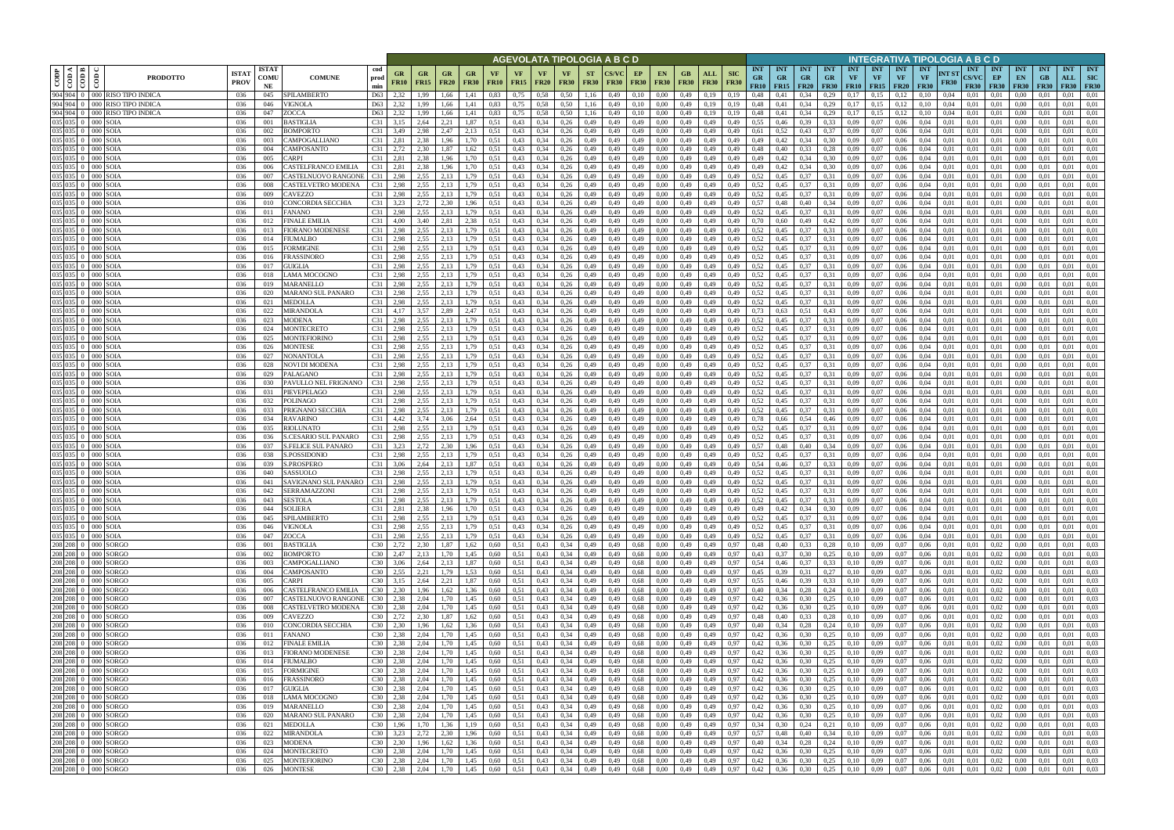|                                    |                                                                                                                                                 |                                                                                |                            |                                                 |                                |                   |                                               |                          |                   |                   | AGEVOLATA TIPOLOGIA A B C D    |                              |                          |                             |                   |                          |                   |                            |                            |                                        |                                        |                         |                                        | INTEGRATIVA TIPOLOGIA A B C D |                                        |                                        |                                 |                      |                                           |                            |                                 |                                    |                                       |                   |
|------------------------------------|-------------------------------------------------------------------------------------------------------------------------------------------------|--------------------------------------------------------------------------------|----------------------------|-------------------------------------------------|--------------------------------|-------------------|-----------------------------------------------|--------------------------|-------------------|-------------------|--------------------------------|------------------------------|--------------------------|-----------------------------|-------------------|--------------------------|-------------------|----------------------------|----------------------------|----------------------------------------|----------------------------------------|-------------------------|----------------------------------------|-------------------------------|----------------------------------------|----------------------------------------|---------------------------------|----------------------|-------------------------------------------|----------------------------|---------------------------------|------------------------------------|---------------------------------------|-------------------|
| $\overline{\overline{\text{COP}}}$ | $\overline{\bigcirc \overline{\bigcirc \overline{\bigcirc}}\bigg _E}$<br>$\overline{\text{co}}$                                                 | <b>ISTA7</b><br><b>PRODOTTO</b><br><b>PROV</b>                                 | <b>ISTAT</b><br>COMU<br>NE | <b>COMUNE</b>                                   | cod<br>prod<br>min             | GR<br><b>FR10</b> | GR<br><b>GR</b><br><b>FR15</b><br><b>FR20</b> | <b>GR</b><br><b>FR30</b> | VF<br><b>FR10</b> | VF<br><b>FR15</b> | <b>VF</b><br><b>FR20</b>       | <b>VF</b><br><b>FR30</b>     | <b>ST</b><br><b>FR30</b> | <b>CS/VC</b><br><b>FR30</b> | EP<br><b>FR30</b> | <b>EN</b><br><b>FR30</b> | GB<br><b>FR30</b> | ALL<br><b>FR30</b>         | <b>SIC</b><br><b>FR30</b>  | <b>INT</b><br><b>GR</b><br><b>FR10</b> | <b>INT</b><br><b>GR</b><br>$FR15$ FR20 | <b>INT</b><br><b>GR</b> | <b>INT</b><br><b>GR</b><br><b>FR30</b> | <b>INT</b><br><b>VF</b>       | <b>INT</b><br><b>VF</b><br>$FR10$ FR15 | <b>INT</b><br><b>VF</b><br><b>FR20</b> | <b>INT</b><br>VF<br><b>FR30</b> | NT ST<br><b>FR30</b> | <b>INT</b><br><b>CS/VC</b><br><b>FR30</b> | INT<br>EP<br><b>FR30</b>   | <b>INT</b><br>EN<br><b>FR30</b> | <b>INT</b><br>$G$ B<br><b>FR30</b> | <b>INT</b><br>ALL<br><b>FR30 FR30</b> | <b>INT</b><br>SIC |
|                                    |                                                                                                                                                 | 904 904 0 000 RISO TIPO INDICA<br>036                                          | 045                        | SPILAMBERTO                                     | D63                            | 2,32              | 1,99<br>1,66                                  | 1.41                     | 0.83              | 0,75              | 0,58                           | 0.50                         | 1,16                     | 0,49                        | 0,10              | 0.00                     | 0,49              | 0.19                       | 0,19                       | 0,48                                   | 0.41                                   | 0,34                    | 0,29                                   | 0.17                          | 0.15                                   | 0.12                                   | 0.10                            | 0,04                 | 0,01                                      | 0.01                       | 0.00                            |                                    | 0.01                                  | 0,01              |
|                                    |                                                                                                                                                 | 904 904 0 000 RISO TIPO INDICA<br>036<br>904 904 0 000 RISO TIPO INDICA<br>036 | 046<br>047                 | VIGNOLA<br>ZOCCA                                | D63<br>D <sub>63</sub>         | 2,32<br>2,32      | 1,66<br>1,99<br>1,66<br>1,99                  | 1,41<br>1,41             | 0,83<br>0,83      | 0,75<br>0,75      | 0,58<br>0,58                   | 0,50<br>0,50                 | 1,16<br>1,16             | 0,49<br>0,49                | 0,10<br>0,10      | 0,00<br>0,00             | 0,49<br>0,49      | 0,19<br>0,19               | 0,19<br>0,19               | 0,48<br>0,48                           | 0,41<br>0,41                           | 0,34<br>0,34            | 0,29<br>0,29                           | 0,17<br>0,17                  | 0,15<br>0,15                           | 0,12<br>0,12                           | 0,10<br>0,10                    | 0,04<br>0,04         | 0,01<br>0,01                              | 0.01<br>0,01               | 0,00<br>0,00                    | 0,01<br>0,01                       | 0.01<br>0,01                          | 0,01<br>0,01      |
|                                    | 035 035 0 000 SOIA                                                                                                                              | 036                                                                            | 001                        | <b>BASTIGLIA</b>                                | C31                            | 3,15              | 2,21<br>2,64                                  | 1,87                     | 0.51              | 0,43              | 0,34                           | 0,26                         | 0,49                     | 0,49                        | 0,49              | 0.00                     | 0,49              | 0,49                       | 0,49                       | 0,55                                   | 0,46                                   | 0,39                    | 0,33                                   | 0,09                          | 0.07                                   | 0,06                                   | 0.04                            | 0,01                 | 0,01                                      | 0.01                       | 0,00                            | 0.01                               | 0,01                                  | 0,01              |
|                                    | 035 035 0 000 SOIA                                                                                                                              | 036                                                                            | 002                        | <b>BOMPORTO</b>                                 | C31                            | 3,49              | 2,98<br>2,47                                  | 2,13                     | 0.51              | 0,43              | 0.34                           | 0,26                         | 0,49                     | 0.49                        | 0,49              | 0.00                     | 0,49              | 0,49                       | 0,49                       | 0,61                                   | 0,52                                   | 0,43                    | 0.37                                   | 0.09                          | 0.07                                   | 0,06                                   | 0.04                            | 0.01                 | 0.01                                      | 0.01                       | 0.00                            | 0.01                               | 0.01                                  | 0,01              |
|                                    | 035 035 0 000 SOIA<br>035 035 0 000 SOIA                                                                                                        | 036<br>036                                                                     | 003<br>004                 | CAMPOGALLIANO<br>CAMPOSANTO                     | C31<br>$C31$ 2.72              | 2,81              | 2,38<br>1.96<br>2,30                          | 1,70<br>1,62             | 0.51              | 0,43<br>0,43      | 0,34<br>0,34                   | 0,26<br>0,26                 | 0,49                     | 0,49                        | 0,49              | 0,00                     | 0,49              | 0,49                       | 0,49                       | 0,49<br>0,48                           | 0,42                                   | 0,34<br>0,33            | 0,30                                   | 0,09<br>0.09                  | 0,07<br>0,07                           | 0,06                                   | 0.04                            | 0,01<br>0.01         | 0,01                                      | 0.01<br>0.01               | 0,00                            | 0,01                               | 0,01                                  | 0,01<br>0,01      |
|                                    | 035 035 0 000 SOIA                                                                                                                              | 036                                                                            | 005                        | CARPI                                           | C31 2.81                       |                   | 1,87<br>2,38<br>1,96                          | 1,70                     | 0.51<br>0.51      | 0,43              | 0,34                           | 0,26                         | 0,49<br>0,49             | 0,49<br>0,49                | 0,49<br>0,49      | 0.00<br>0,00             | 0,49<br>0,49      | 0,49<br>0,49               | 0,49<br>0,49               | 0,49                                   | 0,40<br>0,42                           | 0,34                    | 0,28<br>0,30                           | 0,09                          | 0,07                                   | 0,06<br>0,06                           | 0.04<br>0,04                    | 0,01                 | 0,01<br>0,01                              | 0.01                       | $0.00\,$<br>0,00                | 0.01<br>0,01                       | 0,01<br>0,01                          | 0,01              |
|                                    | 035 035 0 000 SOIA                                                                                                                              | 036                                                                            | 006                        | CASTELFRANCO EMILIA                             | C31 2.81                       |                   | 2,38<br>1,96                                  | 1,70                     | 0,51              | 0,43              | 0,34                           | 0,26                         | 0,49                     | 0,49                        | 0,49              | 0,00                     | 0,49              | 0,49                       | 0,49                       | 0,49                                   | 0,42                                   | 0,34                    | 0,30                                   | 0,09                          | 0,07                                   | 0,06                                   | 0,04                            | 0,01                 | 0,01                                      | 0,01                       | 0,00                            | 0,01                               | 0,01                                  | 0,01              |
|                                    | 035 035 0 000 SOIA                                                                                                                              | 036                                                                            | 007                        | CASTELNUOVO RANGONI                             | C31                            | 2,98              | 2,55<br>2,13                                  | 1,79                     | 0.51              | 0,43              | 0,34                           | 0,26                         | 0,49                     | 0,49                        | 0,49              | 0,00                     | 0,49              | 0,49                       | 0,49                       | 0,52                                   | 0,45                                   | 0,37                    | 0,31                                   | 0,09                          | 0,07                                   | 0,06                                   | 0,04                            | 0,01                 | 0,01                                      | 0,01                       | 0,00                            | 0,01                               | 0,01                                  | 0,01              |
|                                    | 035 035 0 000 SOLA<br>035 035 0 000 SOIA                                                                                                        | 036<br>036                                                                     | 008<br>009                 | CASTELVETRO MODENA<br>CAVEZZO                   | C31<br>C31                     | 2,98<br>2,98      | 2,55<br>2,13<br>2,55<br>2,13                  | 1,79<br>1,79             | 0.51<br>0,51      | 0,43<br>0,43      | 0,34<br>0,34                   | 0,26<br>0,26                 | 0,49<br>0,49             | 0,49<br>0,49                | 0,49<br>0,49      | 0,00<br>0,00             | 0,49<br>0,49      | 0,49<br>0,49               | 0,49<br>0,49               | 0,52<br>0,52                           | 0,45<br>0,45                           | 0,37<br>0,37            | 0,31<br>0,31                           | 0,09<br>0,09                  | 0,07<br>0,07                           | 0,06<br>0,06                           | 0,04<br>0,04                    | 0,01<br>0,01         | 0,01<br>0,01                              | 0,01<br>0,01               | 0,00<br>0,00                    | 0,01<br>0,01                       | 0,01<br>0,01                          | 0,01<br>0,01      |
|                                    | 035 035 0 000 SOIA                                                                                                                              | 036                                                                            | 010                        | CONCORDIA SECCHIA                               | C31                            | 3,23              | 2,72<br>2,30                                  | 1,96                     | 0.51              | 0,43              | 0,34                           | 0,26                         | 0,49                     | 0,49                        | 0,49              | 0,00                     | 0,49              | 0,49                       | 0,49                       | 0,57                                   | 0,48                                   | 0,40                    | 0,34                                   | 0,09                          | 0,07                                   | 0,06                                   | 0,04                            | 0,01                 | 0,01                                      | 0,01                       | 0,00                            | 0.01                               | 0,01                                  | 0,01              |
|                                    | 035 035 0 000 SOIA                                                                                                                              | 036                                                                            | 011                        | <b>FANANO</b>                                   | C31                            | 2,98              | 2,55<br>2,13                                  | 1,79                     | 0,51              | 0,43              | 0,34                           | 0,26                         | 0,49                     | 0,49                        | 0,49              | 0,00                     | 0,49              | 0,49                       | 0,49                       | 0,52                                   | 0,45                                   | 0,37                    | 0.31                                   | 0,09                          | 0,07                                   | 0,06                                   | 0,04                            | 0,01                 | 0,01                                      | 0,01                       | 0,00                            | 0,01                               | 0,01                                  | 0,01              |
|                                    | 035 035 0 000 SOIA<br>035 035 0 000 SOIA                                                                                                        | 036<br>036                                                                     | 012<br>013                 | <b>FINALE EMILIA</b><br><b>FIORANO MODENESE</b> | C31<br>C31                     | 4,00<br>2,98      | 3,40<br>2,81<br>2,55<br>2.13                  | 2,38<br>1,79             | 0,51<br>0.51      | 0,43<br>0,43      | 0,34<br>0,34                   | 0,26<br>0,26                 | 0,49<br>0,49             | 0,49<br>0.49                | 0,49<br>0,49      | 0,00<br>0.00             | 0,49<br>0,49      | 0,49<br>0,49               | 0,49<br>0,49               | 0,70<br>0,52                           | 0,60<br>0.45                           | 0,49<br>0,37            | 0,42<br>0.31                           | 0,09<br>0,09                  | 0,07<br>0,07                           | 0,06<br>0,06                           | 0,04<br>0.04                    | 0,01<br>0.01         | 0,01<br>0.01                              | 0,01<br>0,01               | 0,00<br>0,00                    | 0,01<br>0.01                       | 0,01<br>0,01                          | 0,01<br>0,01      |
|                                    | 035 035 0 000 SOIA                                                                                                                              | 036                                                                            | 014                        | <b>FIUMALBO</b>                                 | C31                            | 2,98              | 2,55<br>2,13                                  | 1,79                     | 0,51              | 0,43              | 0,34                           | 0,26                         | 0,49                     | 0,49                        | 0,49              | 0.00                     | 0,49              | 0,49                       | 0,49                       | 0,52                                   | 0,45                                   | 0,37                    | 0.31                                   | 0,09                          | 0,07                                   | 0,06                                   | 0,04                            | 0.01                 | 0.01                                      | 0,01                       | 0,00                            | 0.01                               | 0,01                                  | 0,01              |
|                                    | 035 035 0 000 SOIA                                                                                                                              | 036                                                                            | 015                        | FORMIGINE                                       | C31                            | 2,98              | 2,55<br>2,13                                  | 1,79                     | 0.51              | 0,43              | 0,34                           | 0,26                         | 0,49                     | 0,49                        | 0,49              | 0,00                     | 0,49              | 0,49                       | 0,49                       | 0,52                                   | 0,45                                   | 0,37                    | 0.31                                   | 0,09                          | 0,07                                   | 0,06                                   | 0,04                            | 0,01                 | 0,01                                      | 0,01                       | 0,00                            | 0.01                               | 0,01                                  | 0,01              |
|                                    | 035 035 0 000 SOLA<br>035 035 0 000 SOLA                                                                                                        | 036<br>036                                                                     | 016<br>017                 | FRASSINORO<br>GUIGLIA                           | C31<br>C31                     | 2,98<br>2,98      | 2,55<br>2,13<br>2,55<br>2,13                  | .79<br>.79               | 0.51<br>0.51      | 0,43<br>0,43      | 0,34<br>0,34                   | 0,26<br>0,26                 | 0,49<br>0,49             | 0,49<br>0.49                | 0,49<br>0,49      | 0.00<br>0.00             | 0,49<br>0,49      | 0,49<br>0.49               | 0,49<br>0.49               | 0,52<br>0,52                           | 0.45<br>0.45                           | 0,37<br>0,37            | 0.31<br>0.31                           | 0,09<br>0,09                  | 0,07<br>0.07                           | 0,06<br>0.06                           | 0,04<br>0.04                    | 0.01<br>0.01         | 0.01<br>0.01                              | 0.01<br>0,01               | 0.00<br>0.00                    | 0.01<br>0.01                       | 0,01<br>0,01                          | 0,01<br>0,01      |
|                                    | 035 035 0 000 SOIA                                                                                                                              | 036                                                                            | 018                        | LAMA MOCOGNO                                    | C31                            | 2,98              | 2,55<br>2,13                                  | .79                      | 0.51              | 0,43              | 0,34                           | 0,26                         | 0,49                     | 0,49                        | 0,49              | 0,00                     | 0,49              | 0,49                       | 0,49                       | 0,52                                   | 0,45                                   | 0,37                    | 0,31                                   | 0,09                          | 0,07                                   | 0,06                                   | 0,04                            | 0,01                 | 0,01                                      | 0,01                       | 0,00                            | 0,01                               | 0,01                                  | 0,01              |
|                                    | 035 035 0 000 SOLA                                                                                                                              | 036                                                                            | 019                        | MARANELLO                                       | C31                            | 2,98              | 2,55<br>2.13                                  | 1.79                     | 0.51              | 0,43              | 0,34                           | 0,26                         | 0,49                     | 0,49                        | 0,49              | 0.00                     | 0,49              | 0,49                       | 0,49                       | 0,52                                   | 0.45                                   | 0,37                    | 0.31                                   | 0,09                          | 0,07                                   | 0,06                                   | 0.04                            | 0.01                 | 0,01                                      | 0,01                       | 0.00                            | 0,01                               | 0,01                                  | 0,01              |
|                                    | 035 035 0 000 SOIA                                                                                                                              | 036                                                                            | 020                        | MARANO SUL PANARO                               | C31 2,98                       |                   | 2,55<br>2,13                                  | 1,79                     | 0.51              | 0,43              | 0,34                           | 0,26                         | 0,49                     | 0,49                        | 0,49              | 0,00                     | 0,49              | 0,49                       | 0,49                       | 0,52                                   | 0,45                                   | 0,37                    | 0.31                                   | 0,09                          | 0,07                                   | 0,06                                   | 0,04                            | 0,01                 | 0,01                                      | 0,01                       | 0,00                            | 0,01                               | 0,01                                  | 0,01              |
|                                    | 035 035 0 000 SOIA<br>035 035 0 000 SOIA                                                                                                        | 036<br>036                                                                     | 021<br>022                 | MEDOLLA<br>MIRANDOLA                            | C31<br>C31                     | 2,98<br>4,17      | 2,55<br>2,13<br>2,89<br>3,57                  | 1,79<br>2,47             | 0,51<br>0.51      | 0,43<br>0,43      | 0,34<br>0,34                   | 0,26<br>0,26                 | 0,49<br>0,49             | 0,49<br>0,49                | 0,49<br>0,49      | 0,00<br>0.00             | 0,49<br>0,49      | 0,49<br>0,49               | 0,49<br>0,49               | 0,52<br>0.73                           | 0,45<br>0,63                           | 0,37<br>0,51            | 0,31<br>0,43                           | 0,09<br>0,09                  | 0,07<br>0.07                           | 0,06<br>0,06                           | 0.04<br>0,04                    | 0.01<br>0.01         | 0,01<br>0,01                              | 0,01<br>0.01               | 0,00<br>0,00                    | 0,01<br>0.01                       | 0,01<br>0,01                          | 0,01<br>0,01      |
|                                    | 035 035 0 000 SOIA                                                                                                                              | 036                                                                            | 023                        | MODENA                                          | C31                            | 2,98              | 2,55<br>2.13                                  | .79                      | 0.51              | 0,43              | 0.34                           | 0,26                         | 0,49                     | 0.49                        | 0,49              | 0.00                     | 0,49              | 0,49                       | 0,49                       | 0,52                                   | 0,45                                   | 0,37                    | 0.31                                   | 0,09                          | 0.07                                   | 0,06                                   | 0.04                            | 0.01                 | 0.01                                      | 0.01                       | 0.00                            | 0.01                               | 0.01                                  | 0,01              |
|                                    | 035 035 0 000 SOIA                                                                                                                              | 036                                                                            | 024                        | MONTECRETO                                      | C31                            | 2,98              | 2,55<br>2,13                                  | 1,79                     | 0.51              | 0,43              | 0,34                           | 0,26                         | 0,49                     | 0,49                        | 0,49              | 0,00                     | 0,49              | 0,49                       | 0,49                       | 0,52                                   | 0,45                                   | 0,37                    | 0,31                                   | 0,09                          | 0,07                                   | 0,06                                   | 0,04                            | 0,01                 | 0,01                                      | 0,01                       | 0,00                            | 0,01                               | 0,01                                  | 0,01              |
|                                    | 035 035 0 000 SOIA<br>035 035 0 000 SOIA                                                                                                        | 036<br>036                                                                     | 025<br>026                 | <b>MONTEFIORINO</b><br><b>MONTESE</b>           | C31<br>C31                     | 2,98<br>2,98      | 2,55<br>2,13<br>2,55<br>2,13                  | 1,79<br>1,79             | 0.51<br>0,51      | 0,43<br>0,43      | 0.34<br>0,34                   | 0,26<br>0,26                 | 0,49<br>0,49             | 0,49<br>0,49                | 0,49<br>0,49      | 0.00<br>0.00             | 0,49<br>0,49      | 0,49<br>0,49               | 0,49<br>0,49               | 0,52<br>0,52                           | 0,45<br>0,45                           | 0,37<br>0,37            | 0.31<br>0.31                           | 0.09<br>0,09                  | 0.07<br>0.07                           | 0,06<br>0,06                           | 0.04<br>0.04                    | 0.01<br>0,01         | 0.01<br>0,01                              | 0.01<br>0.01               | 0,00<br>0,00                    | 0.01<br>0.01                       | 0,01<br>0,01                          | 0,01<br>0,01      |
|                                    | 035 035 0 000 SOIA                                                                                                                              | 036                                                                            | 027                        | NONANTOLA                                       | C31                            | 2,98              | 2,55<br>2,13                                  | 1,79                     | 0,51              | 0,43              | 0,34                           | 0,26                         | 0,49                     | 0,49                        | 0,49              | 0.00                     | 0,49              | 0,49                       | 0,49                       | 0,52                                   | 0,45                                   | 0,37                    | 0.31                                   | 0,09                          | 0,07                                   | 0,06                                   | 0.04                            | 0.01                 | 0,01                                      | 0,01                       | 0,00                            | 0.01                               | 0.01                                  | 0,01              |
|                                    | 035 035 0 000 SOIA                                                                                                                              | 036                                                                            | 028                        | NOVI DI MODENA                                  | C31                            | 2,98              | 2,55<br>2,13                                  | 1,79                     | 0.51              | 0,43              | 0.34                           | 0,26                         | 0,49                     | 0,49                        | 0,49              | 0,00                     | 0,49              | 0,49                       | 0,49                       | 0,52                                   | 0,45                                   | 0,37                    | 0.31                                   | 0,09                          | 0,07                                   | 0,06                                   | 0.04                            | 0.01                 | 0,01                                      | 0.01                       | 0,00                            | 0.01                               | 0,01                                  | 0,01              |
|                                    | 035 035 0 000 SOIA                                                                                                                              | 036                                                                            | 029                        | PALAGANO                                        | C31                            | 2,98              | 2,55<br>2,13                                  | 1,79                     | 0.51              | 0,43              | 0,34                           | 0,26                         | 0,49                     | 0,49                        | 0,49              | 0,00                     | 0,49              | 0,49                       | 0,49                       | 0,52                                   | 0,45                                   | 0,37                    | 0.31                                   | 0,09                          | 0,07                                   | 0,06                                   | 0.04                            | 0.01                 | 0,01                                      | 0,01                       | 0,00                            | 0.01                               | 0,01                                  | 0,01              |
|                                    | 035 035 0 000 SOIA<br>035 035 0 000 SOIA                                                                                                        | -036<br>036                                                                    | 030<br>031                 | PAVULLO NEL FRIGNANO<br>PIEVEPELAGO             | C31<br>C31                     | 2,98<br>2,98      | 2,13<br>2,55<br>2,55<br>2,13                  | 1,79<br>1,79             | 0,51<br>0.51      | 0,43<br>0,43      | 0,34<br>0,34                   | 0,26<br>0,26                 | 0,49<br>0,49             | 0,49<br>0,49                | 0,49<br>0,49      | 0,00<br>0,00             | 0,49<br>0,49      | 0,49<br>0,49               | 0,49<br>0,49               | 0,52<br>0,52                           | 0,45<br>0,45                           | 0,37<br>0,37            | 0,31<br>0,31                           | 0,09<br>0,09                  | 0,07<br>0,07                           | 0,06<br>0,06                           | 0,04<br>0,04                    | 0,01<br>0,01         | 0,01<br>0,01                              | 0,01<br>0,01               | 0,00<br>0,00                    | 0,01<br>0,01                       | 0,01<br>0,01                          | 0,01<br>0,01      |
|                                    | 035 035 0 000 SOIA                                                                                                                              | 036                                                                            | 032                        | POLINAGO                                        | C31                            | 2,98              | 2,55<br>2,13                                  | 1,79                     | 0.51              | 0,43              | 0,34                           | 0,26                         | 0,49                     | 0,49                        | 0,49              | 0,00                     | 0,49              | 0,49                       | 0,49                       | 0,52                                   | 0,45                                   | 0,37                    | 0,31                                   | 0,09                          | 0,07                                   | 0,06                                   | 0.04                            | 0,01                 | 0,01                                      | 0,01                       | 0,00                            | 0,01                               | 0,01                                  | 0,01              |
|                                    | 035 035 0 000 SOIA                                                                                                                              | 036                                                                            | 033                        | PRIGNANO SECCHIA                                | C31                            | 2,98              | 2,55<br>2,13                                  | 1,79                     | 0,51              | 0,43              | 0,34                           | 0,26                         | 0,49                     | 0,49                        | 0,49              | 0,00                     | 0,49              | 0,49                       | 0,49                       | 0,52                                   | 0,45                                   | 0,37                    | 0,31                                   | 0,09                          | 0,07                                   | 0,06                                   | 0,04                            | 0,01                 | 0,01                                      | 0,01                       | 0,00                            | 0,01                               | 0,01                                  | 0,01              |
|                                    | 035 035 0 000 SOIA<br>035 035 0 000 SOIA                                                                                                        | 036<br>036                                                                     | 034<br>035                 | <b>RAVARINO</b><br><b>RIOLUNATO</b>             | C31<br>C31                     | 4,42<br>2,98      | 3,74<br>3,06<br>2,55<br>2,13                  | 2,64<br>1,79             | 0,51<br>0,51      | 0,43<br>0,43      | 0,34<br>0,34                   | 0,26<br>0,26                 | 0,49<br>0,49             | 0,49<br>0,49                | 0,49<br>0,49      | 0,00<br>0,00             | 0,49<br>0,49      | 0,49<br>0,49               | 0,49<br>0,49               | 0,78<br>0,52                           | 0,66<br>0,45                           | 0,54<br>0,37            | 0,46<br>0,31                           | 0,09<br>0,09                  | 0,07<br>0,07                           | 0,06<br>0,06                           | 0,04<br>0,04                    | 0,01<br>0,01         | 0,01<br>0,01                              | 0,01<br>0,01               | 0,00<br>$0.00\,$                | 0,01<br>0,01                       | 0,01<br>0,01                          | 0,01<br>0,01      |
|                                    | 035 035 0 000 SOIA                                                                                                                              | 036                                                                            | 036                        | S.CESARIO SUL PANARO                            | C31                            | 2,98              | 2,55<br>2,13                                  | 1,79                     | 0,51              | 0,43              | 0,34                           | 0,26                         | 0,49                     | 0,49                        | 0,49              | 0,00                     | 0,49              | 0,49                       | 0,49                       | 0,52                                   | 0,45                                   | 0,37                    | 0.31                                   | 0,09                          | 0,07                                   | 0,06                                   | 0,04                            | 0,01                 | 0,01                                      | 0,01                       | 0,00                            | 0,01                               | 0,01                                  | 0,01              |
|                                    | 035 035 0 000 SOLA                                                                                                                              | 036                                                                            | 037                        | <b>S.FELICE SUL PANARO</b>                      | C31                            | 3,23              | 2,72<br>2,30                                  | 1,96                     | 0.51              | 0,43              | 0,34                           | 0,26                         | 0,49                     | 0,49                        | 0,49              | 0.00                     | 0,49              | 0,49                       | 0,49                       | 0,57                                   | 0,48                                   | 0,40                    | 0.34                                   | 0,09                          | 0,07                                   | 0,06                                   | 0,04                            | 0.01                 | 0.01                                      | 0,01                       | 0,00                            | 0.01                               | 0,01                                  | 0,01              |
|                                    | 035 035 0 000 SOIA<br>035 035 0 000 SOIA                                                                                                        | 036<br>036                                                                     | 038<br>039                 | S.POSSIDONIO<br>S.PROSPERO                      | C31<br>C31                     | 2,98<br>3,06      | 2,55<br>2,13<br>2,64<br>2,13                  | 1.79<br>1,87             | 0.51<br>0.51      | 0,43<br>0,43      | 0,34<br>0,34                   | 0,26<br>0,26                 | 0,49<br>0,49             | 0.49<br>0,49                | 0,49<br>0,49      | 0.00<br>0,00             | 0,49<br>0,49      | 0,49<br>0,49               | 0,49<br>0,49               | 0,52<br>0,54                           | 0,45<br>0,46                           | 0,37<br>0,37            | 0.31<br>0,33                           | 0,09<br>0,09                  | 0,07<br>0,07                           | 0,06<br>0,06                           | 0.04<br>0,04                    | 0,01<br>0,01         | 0.01<br>0,01                              | 0,01<br>0,01               | 0,00<br>0,00                    | 0.01<br>0,01                       | 0,01<br>0,01                          | 0,01<br>0,01      |
|                                    | 035 035 0 000 SOIA                                                                                                                              | 036                                                                            | 040                        | SASSUOLO                                        | C31                            | 2,98              | 2,55<br>2.13                                  | 1.79                     | 0.51              | 0,43              | 0,34                           | 0,26                         | 0,49                     | 0.49                        | 0,49              | 0.00                     | 0,49              | 0.49                       | 0,49                       | 0,52                                   | 0.45                                   | 0,37                    | 0.31                                   | 0,09                          | 0,07                                   | 0.06                                   | 0.04                            | 0.01                 | 0.01                                      | 0.01                       | 0.00                            | 0.01                               | 0.01                                  | 0,01              |
|                                    | 035 035 0 000 SOIA<br>035 035 0 000 SOIA                                                                                                        | 036                                                                            | 041                        | SAVIGNANO SUL PANARO                            | C31 2,98                       |                   | 2,55<br>2,13                                  | 1,79                     | 0.51              | 0,43              | $0,34$ 0,26                    |                              | 0,49                     | 0,49                        | 0,49              | 0,00                     | 0,49              | 0,49                       | 0,49                       | 0,52                                   | 0,45                                   | 0,37                    | 0,31                                   | 0,09                          | 0,07                                   | 0,06                                   | 0,04                            | 0,01                 | 0,01                                      | 0,01                       | 0.00                            | 0,01                               | 0,01                                  | 0,01              |
|                                    | 035 035 0 000 SOIA                                                                                                                              | 036<br>036                                                                     | 042<br>043                 | <b>SERRAMAZZONI</b><br><b>SESTOLA</b>           | C31 2,98<br>C31 2.98           |                   | $2,55$ $2,13$<br>2,55<br>2,13                 | 1,79                     | 0,51              | 0,43              | $0,34$ 0,26                    | 0,26                         | 0,49<br>0,49             | 0,49                        | 0,49<br>0,49      | 0.00<br>0,00             | 0,49<br>0,49      | 0,49<br>0,49               | 0,49                       | $0,52$ 0,45<br>0,52                    |                                        | $0,37$ $0,31$           |                                        | 0.09<br>0,09                  | 0,07<br>0,07                           | 0,06<br>0,06                           | 0.04<br>0,04                    | 0.01<br>0,01         | 0.01<br>0,01                              | 0.01<br>0.01               | 0.00<br>0,00                    | 0.01<br>0,01                       | 0.01<br>0.01                          | 0,01<br>0,01      |
|                                    | 035 035 0 000 SOIA                                                                                                                              | 036                                                                            | 044                        | <b>SOLIERA</b>                                  | C31 2.81                       |                   | 2,38<br>1,96                                  | 1,79<br>1,70             | 0,51<br>0,51      | 0,43<br>0,43      | 0,34<br>0,34                   | 0,26                         | 0,49                     | 0,49<br>0,49                | 0,49              | 0,00                     | 0,49              | 0,49                       | 0,49<br>0,49               | 0,49                                   | 0,45<br>0,42                           | 0,37<br>0,34            | 0,31<br>0,30                           | 0,09                          | 0,07                                   | 0,06                                   | 0,04                            | 0,01                 | 0,01                                      | 0,01                       | 0,00                            | 0,01                               | 0,01                                  | 0,01              |
|                                    | 035 035 0 000 SOIA                                                                                                                              | 036                                                                            | 045                        | SPILAMBERTO                                     | $C31$ 2,98                     |                   | 2,55<br>2,13                                  | 1,79                     | 0,51              | 0,43              | $0,34$ 0,26                    |                              | 0,49                     | 0,49                        | 0,49              | 0,00                     | 0,49              | 0,49                       | 0,49                       | 0,52                                   | 0,45                                   | 0,37                    | 0,31                                   | 0,09                          | 0,07                                   | 0,06                                   | 0,04                            | 0,01                 | 0,01                                      | 0,01                       | 0,00                            | 0,01                               | 0,01                                  | 0,01              |
|                                    | 035 035 0 000 SOIA<br>035 035 0 000 SOIA                                                                                                        | 036                                                                            | 046                        | <b>VIGNOLA</b>                                  | $C31 \quad 2,98$               |                   | 2,55<br>2,13                                  | 1,79                     | 0,51              | 0,43              | $0,34$ 0,26                    |                              | 0,49                     | 0,49                        |                   | 0,49<br>0,00             |                   | $0,49$ 0,49                | 0,49                       | 0,52                                   | 0,45                                   | 0,37                    | 0,31                                   |                               | $0,09$ 0.07                            | 0,06                                   | 0,04                            | 0,01                 | 0,01                                      | 0.01                       | 0,00                            | 0,01                               | 0,01                                  | 0,01              |
|                                    | 208 208 0 000 SORGO                                                                                                                             | 036<br>036                                                                     | 047<br>001                 | ZOCCA<br><b>BASTIGLIA</b>                       | $C31 \quad 2,98$<br>$C30$ 2,72 |                   | 2,55<br>2,13<br>2,30<br>1,87                  | 1,79<br>1,62             | 0,51<br>0,60      | 0,43<br>0,51      | 0,34<br>0,43                   | 0,26<br>0,34                 | 0,49<br>0,49             | 0,49<br>0,49                | 0,49<br>0,68      | 0,00<br>0,00             | 0,49              | 0,49<br>$0,49$ $0,49$      | 0,49<br>0,97               | 0,52<br>0,48                           | 0,45<br>0,40                           | 0,37<br>0,33            | 0,31<br>0,28                           | 0,09<br>0,10                  | 0,07<br>0,09                           | 0,06<br>0,07                           | 0,04<br>0,06                    | 0,01<br>0,01         | 0,01<br>0,01                              | 0,01<br>0,02               | 0,00<br>0,00                    | 0,01<br>  0,01                     | 0,01<br>0,01                          | 0,01<br>0,03      |
|                                    |                                                                                                                                                 | 208 208 0 000 SORGO<br>208 208 0 000 SORGO<br>036                              | 002                        | <b>BOMPORTO</b>                                 | $C30 \quad 2,47$               |                   | 2,13<br>1,70                                  | 1,45                     | 0,60              | 0,51              |                                | $0,43$ $0,34$                | 0,49                     | 0,49                        | 0,68              | 0,00                     |                   | $0,49$ $0,49$              | 0,97                       | 0,43                                   | 0,37                                   | 0,30                    | 0,25                                   | 0,10                          | 0,09                                   | 0,07                                   | 0,06                            | 0,01                 | 0,01                                      | 0,02                       | $0,00$ $0,01$                   |                                    | 0.01                                  | 0,03              |
|                                    |                                                                                                                                                 | 036                                                                            | 003                        | CAMPOGALLIANO                                   | C <sub>30</sub> 3,06           |                   | 2,64 2,13                                     | 1,87                     | 0,60              | 0,51              |                                | $0,43$ $0,34$                | 0,49                     | 0,49                        |                   | 0,68<br>0,00             |                   | 0,49 0,49                  | 0,97                       | 0,54                                   | 0,46                                   | 0,37                    | 0,33                                   | 0,10                          | 0,09                                   | 0,07                                   | 0,06                            | 0,01                 | 0,01                                      | 0,02                       | $0,00$ $0,01$                   |                                    | 0.01                                  | 0,03              |
|                                    |                                                                                                                                                 | 208 208 0 000 SORGO<br>208 208 0 000 SORGO<br>036<br>036                       | 004<br>005                 | CAMPOSANTO<br>CARPI                             | $C30$ 2,55<br>$C30$ 3,15       |                   | 2,21<br>1,79<br>2,21<br>2,64                  | 1,53<br>1,87             | 0,60<br>0,60      | 0,51<br>0,51      | $0,43$ 0,34<br>$0,43$ 0,34     |                              | 0,49<br>0,49             | 0,49<br>0,49                | 0,68              | 0,68<br>0,00<br>0,00     | 0,49              | $0,49$ 0,49<br>0,49        | 0,97<br>0,97               | 0,45<br>0,55                           | 0,39<br>0,46                           | 0,31<br>0,39            | 0,27<br>0,33                           | 0,10<br>0,10                  | 0,09<br>0,09                           | 0,07<br>0,07                           | 0,06<br>0,06                    | 0,01<br>0,01         | 0,01<br>0,01                              | 0,02<br>0,02               | $0,00$ $0,01$<br>0,00           | 0,01                               | 0,01<br>0,01                          | 0,03<br>0,03      |
|                                    | 208 208 0 000 SORGO<br>208 208 0 000 SORGO                                                                                                      | 036                                                                            | 006                        | CASTELFRANCO EMILIA                             | $C30$ 2,30                     |                   | 1,62<br>1,96                                  | 1,36                     | 0,60              | 0,51              | $0,43$ 0,34                    |                              | 0,49                     | 0,49                        | 0,68              | 0,00                     | 0,49              | 0,49                       | 0,97                       | 0,40                                   | 0,34                                   | 0,28                    | 0,24                                   | 0,10                          | 0,09                                   | 0,07                                   | 0,06                            | 0,01                 | 0,01                                      | 0,02                       | 0,00                            | 0,01                               | 0,01                                  | 0,03              |
|                                    |                                                                                                                                                 | 036                                                                            | 007                        | CASTELNUOVO RANGONE                             | $C30 \t 2,38$                  |                   | 2,04<br>1,70                                  | 1,45                     | 0,60              | 0,51              |                                | $0,43$ $0,34$                | 0,49                     | 0,49                        | 0,68              | 0,00                     | 0,49              | 0,49                       | 0,97                       | 0,42                                   | 0,36                                   | 0,30                    | 0,25                                   | 0,10                          | 0,09                                   | 0,07                                   | 0,06                            | 0,01                 | 0,01                                      | 0,02                       | 0,00                            | 0,01                               | 0,01                                  | 0,03              |
|                                    | 208 208 0 000 SORGO<br>208 208 0 000 SORGO                                                                                                      | 036<br>036                                                                     | 008<br>009                 | CASTELVETRO MODENA<br>CAVEZZO                   | $C30$ 2,38<br>$C30$ 2,72       |                   | 2,04<br>1,70<br>2,30<br>1,87                  | 1,45<br>1,62             | 0,60<br>0,60      | 0,51<br>0,51      | $0,43$ $0,34$<br>$0,43$ $0,34$ |                              | 0,49<br>0,49             | 0,49<br>0,49                | 0,68<br>0,68      | 0,00<br>0,00             | 0,49<br>0,49      | 0,49<br>0,49               | 0,97<br>0,97               | 0,42<br>0,48                           | 0,36<br>0,40                           | 0,30<br>0,33            | 0,25<br>0,28                           | 0,10<br>0,10                  | 0,09<br>0,09                           | 0,07<br>0,07                           | 0,06<br>0,06                    | 0,01<br>0,01         | 0,01<br>0,01                              | 0,02<br>0,02               | 0,00<br>0,00                    | 0,01<br>  0,01                     | 0,01<br>0,01                          | 0,03<br>0,03      |
|                                    | 208 208 0 000 SORGO<br>208 208 0 000 SORGO                                                                                                      | 036                                                                            | 010                        | CONCORDIA SECCHIA                               | $C30 \quad 2,30$               |                   | 1,62<br>1,96                                  | 1,36                     | 0,60              | 0,51              | $0,43$ 0,34                    |                              | 0,49                     | 0,49                        | 0,68              | 0,00                     | 0,49              | 0,49                       | 0,97                       | 0,40                                   | 0,34                                   | 0,28                    | 0,24                                   | 0,10                          | 0,09                                   | 0,07                                   | 0,06                            | 0,01                 | 0,01                                      | 0,02                       | 0,00                            | 0,01                               | 0,01                                  | 0,03              |
|                                    |                                                                                                                                                 | 036                                                                            | 011                        | FANANO                                          | $C30$ 2,38                     |                   | 2,04<br>1,70                                  | 1,45                     | 0,60              | 0,51              | $0,43$ $0,34$                  |                              | 0,49                     | 0,49                        | 0,68              | 0,00                     |                   | $0,49$ 0,49                | 0,97                       | 0,42                                   | 0,36                                   | 0,30                    | 0,25                                   | 0,10                          | 0,09                                   | 0,07                                   | 0,06                            | 0,01                 | 0,01                                      | 0,02                       | 0,00                            | 0.01                               | 0,01                                  | 0,03              |
|                                    | 208 208 0 000 SORGO<br>208 208 0 000 SORGO                                                                                                      | 036<br>036                                                                     | 012<br>013                 | <b>FINALE EMILIA</b><br><b>FIORANO MODENESE</b> | $C30$ 2,38<br>$C30$ 2,38       |                   | 2,04<br>1,70<br>2,04<br>1,70                  | 1,45<br>1,45             | 0,60<br>0,60      | 0,51<br>0,51      | $0,43$ $0,34$                  | $0,43$ $0,34$                | 0,49<br>0,49             | 0,49<br>0,49                | 0,68              | 0,00<br>0,68<br>0,00     | 0,49              | $0,49$ 0,49<br>0,49        | 0,97<br>0,97               | 0,42<br>0,42                           | 0,36<br>0,36                           | 0,30<br>0,30            | 0,25<br>0,25                           | 0,10                          | $0,10$ $0,09$<br>0,09                  | 0,07<br>0,07                           | 0,06<br>0,06                    | 0,01<br>0,01         | 0,01<br>0,01                              | 0,02<br>0,02               | 0,00<br>$0,00$ $0,01$           | 0.01                               | 0,01<br>0,01                          | 0,03<br>0,03      |
|                                    |                                                                                                                                                 | 036                                                                            | 014                        | <b>FIUMALBO</b>                                 | $C30$ 2,38                     |                   | 2,04<br>1,70                                  | 1,45                     | 0,60              | 0,51              | $0,43$ $0,34$                  |                              | 0,49                     | 0,49                        |                   | 0,68<br>0,00             |                   | $0,49$ 0,49                | 0,97                       | $0,42$ 0,36                            |                                        | 0,30                    | 0,25                                   |                               | $0,10$ $0,09$                          | 0,07                                   | 0,06                            | 0,01                 | 0,01                                      | 0,02                       | $0.00\,$                        | 0.01                               | 0,01                                  | 0,03              |
|                                    | 208 208 0 000 SORGO                                                                                                                             | 036                                                                            | 015                        | <b>FORMIGINE</b>                                | $C30$ 2,38                     |                   | 2,04<br>1,70                                  | 1,45                     | 0,60              | 0,51              | $0,43$ 0,34                    |                              | 0,49                     | 0,49                        | 0,68              | 0,00                     | 0,49              | 0,49                       | 0,97                       | $0,42$ 0,36                            |                                        | 0,30                    | 0,25                                   |                               | $0,10$ $0,09$                          | 0,07                                   | 0,06                            | 0,01                 | 0,01                                      | 0,02                       | 0,00                            | 0.01                               | 0,01                                  | 0,03              |
|                                    | 208 208 0 000 SORGO                                                                                                                             | 036                                                                            | 016                        | <b>FRASSINORO</b>                               | $C30 \t 2,38$                  |                   | 2,04<br>1,70                                  | 1,45                     | 0,60              | 0,51              | $0,43$ $0,34$                  |                              | 0,49                     | 0,49                        | 0,68              | 0,00                     | 0,49              | 0,49                       | 0,97                       | $0,42$ 0,36                            |                                        | 0,30                    | 0,25                                   |                               | $0,10$ $0,09$                          | 0,07                                   | 0,06                            | 0,01                 | 0,01                                      | $0,02$ 0.00                |                                 | 0.01                               | 0,01                                  | 0,03              |
|                                    | 208 208 0 000 SORGO                                                                                                                             | 036<br>036                                                                     | 017<br>018                 | <b>GUIGLIA</b><br>LAMA MOCOGNO                  | $C30$ 2,38<br>$C30 \quad 2.38$ |                   | 2,04<br>1,70<br>2,04<br>1,70                  | 1,45<br>1,45             | 0,60<br>0,60      | 0,51<br>0,51      | $0,43$ $0,34$                  | $0,43$ $0,34$                | 0,49<br>0,49             | 0,49<br>0,49                | 0,68<br>0,68      | 0,00<br>0,00             |                   | $0,49$ 0,49<br>$0,49$ 0,49 | 0,97<br>0,97               | $0,42$ 0,36<br>$0,42$ 0,36             |                                        | 0,30<br>0,30            | 0,25<br>0,25                           |                               | $0,10$ 0.09<br>$0,10$ $0,09$           | 0,07<br>0,07                           | 0,06<br>0,06                    | 0,01<br>0,01         | 0,01<br>0,01                              | $0,02$ 0,00<br>$0,02$ 0,00 |                                 | 0,01<br>  0.01                     | 0,01<br>0,01                          | 0,03<br>0,03      |
|                                    | 208 208 0 000 SORGO                                                                                                                             | 036                                                                            | 019                        | MARANELLO                                       | C30 2,38                       |                   | 2,04<br>1,70                                  | 1,45                     | 0,60              | 0,51              | $0,43$ 0,34                    |                              | 0,49                     | 0,49                        | 0,68              | 0,00                     | 0,49              | 0,49                       | 0,97                       | 0,42                                   | 0,36                                   | 0,30                    | 0,25                                   | 0,10                          | 0,09                                   | 0,07                                   | 0,06                            | 0,01                 | 0,01                                      | 0,02                       | 0,00                            | 0,01                               | 0,01                                  | 0,03              |
|                                    |                                                                                                                                                 | 036                                                                            | 020                        | MARANO SUL PANARO                               | $C30$ 2,38                     |                   | 2,04<br>1,70                                  | 1,45                     | 0,60              | 0,51              | 0,43                           | 0,34                         | 0,49                     | 0,49                        | 0,68              | 0,00                     | 0,49              | 0,49                       | 0,97                       | 0,42                                   | 0,36                                   | 0,30                    | 0,25                                   | 0,10                          | 0,09                                   | 0,07                                   | 0,06                            | 0,01                 | 0,01                                      | 0,02                       | 0,00                            | 0,01                               | 0,01                                  | 0,03              |
|                                    | $\begin{array}{ c c c c c c } \hline 208 & 208 & 0 & 000 & {\text{SORGO}} \\ \hline 208 & 208 & 0 & 000 & {\text{SORGO}} \\ \hline \end{array}$ | 036<br>036                                                                     | 021<br>022                 | MEDOLLA<br><b>MIRANDOLA</b>                     | C30<br>$C30$ 3,23              | 1,96              | 1,36<br>1,70<br>2,72<br>2,30                  | 1,19<br>1,96             | 0,60<br>0,60      | 0,51<br>0,51      |                                | $0,43$ 0,34<br>$0,43$ $0,34$ | 0,49<br>0,49             | 0,49<br>0,49                | 0,68<br>0,68      | 0,00<br>0,00             | 0,49              | 0,49<br>$0,49$ 0,49        | 0,97<br>0,97               | 0,34<br>0,57                           | 0,30<br>0,48                           | 0,24<br>0,40            | 0,21<br>0,34                           | 0,10                          | 0,09<br>$0,10$ $0,09$                  | 0,07<br>0,07                           | 0,06<br>0,06                    | 0,01<br>0,01         | 0,01<br>0,01                              | 0,02<br>0,02               | 0,00<br>0,00                    | 0,01<br>  0,01                     | 0,01<br>0,01                          | 0,03<br>0,03      |
|                                    |                                                                                                                                                 | 036                                                                            | 023                        | MODENA                                          | $C30 \quad 2,30$               |                   | 1,62<br>1,96                                  | 1,36                     | 0,60              | 0,51              |                                | $0,43$ $0,34$                | 0,49                     | 0,49                        | 0,68              | 0,00                     |                   | $0,49$ 0.49                | 0,97                       | 0,40                                   | 0,34                                   | 0,28                    | 0,24                                   |                               | $0,10$ 0.09                            | 0,07                                   | 0,06                            | 0,01                 | 0,01                                      | 0,02                       | 0,00                            | 0.01                               | 0,01                                  | 0,03              |
|                                    | 208 208 0 000 SORGO<br>208 208 0 000 SORGO                                                                                                      | 036                                                                            | 024                        | <b>MONTECRETO</b>                               | $C30 \quad 2,38$               |                   | 2,04<br>1,70                                  | 1,45                     | 0,60              | 0,51              |                                | $0,43$ $0,34$                |                          | 0,49 0,49                   |                   | 0,68<br>0,00             |                   | 0,49 0,49                  | 0,97                       | 0,42                                   |                                        | $0,36$ $0,30$ $0,25$    |                                        |                               | $0,10$ $0,09$                          | 0,07                                   | 0,06                            | 0,01                 | 0,01                                      | 0,02                       | $0,00$ $0,01$                   |                                    | 0,01                                  | 0,03              |
|                                    | 208 208 0 000 SORGO<br>208 208 0 000 SORGO                                                                                                      | 036                                                                            | 025                        | <b>MONTEFIORINO</b>                             | C30 2,38                       |                   | 2,04<br>1,70                                  |                          | 1,45 0,60         | 0,51              |                                | $0,43$ $0,34$                |                          | 0,49 0,49                   |                   | 0,68<br>0,00             |                   | 0,49 0,49                  | 0,97                       | 0,42                                   |                                        | $0,36$ $0,30$ $0,25$    |                                        |                               | $0,10$ 0.09                            | 0,07                                   | 0,06                            | 0,01                 | 0,01                                      |                            | $\overline{0,02}$ 0,00 0,01     |                                    | 0,01                                  | 0,03              |
|                                    |                                                                                                                                                 | 036                                                                            | 026                        | <b>MONTESE</b>                                  | $C30$ 2,38 2,04                |                   | 1,70                                          | 1,45 0,60                |                   | 0,51              |                                |                              |                          | $0,43$ $0,34$ $0,49$ $0,49$ |                   | $0,68$ 0.00              |                   | 0,49 0,49                  | $0,97$ 0.42 0.36 0.30 0.25 |                                        |                                        |                         |                                        |                               | $0,10$ $0,09$                          | 0,07                                   | 0,06                            | 0,01                 | $0,01$ $0,02$ $0,00$ $0,01$               |                            |                                 |                                    | $0,01$ 0.03                           |                   |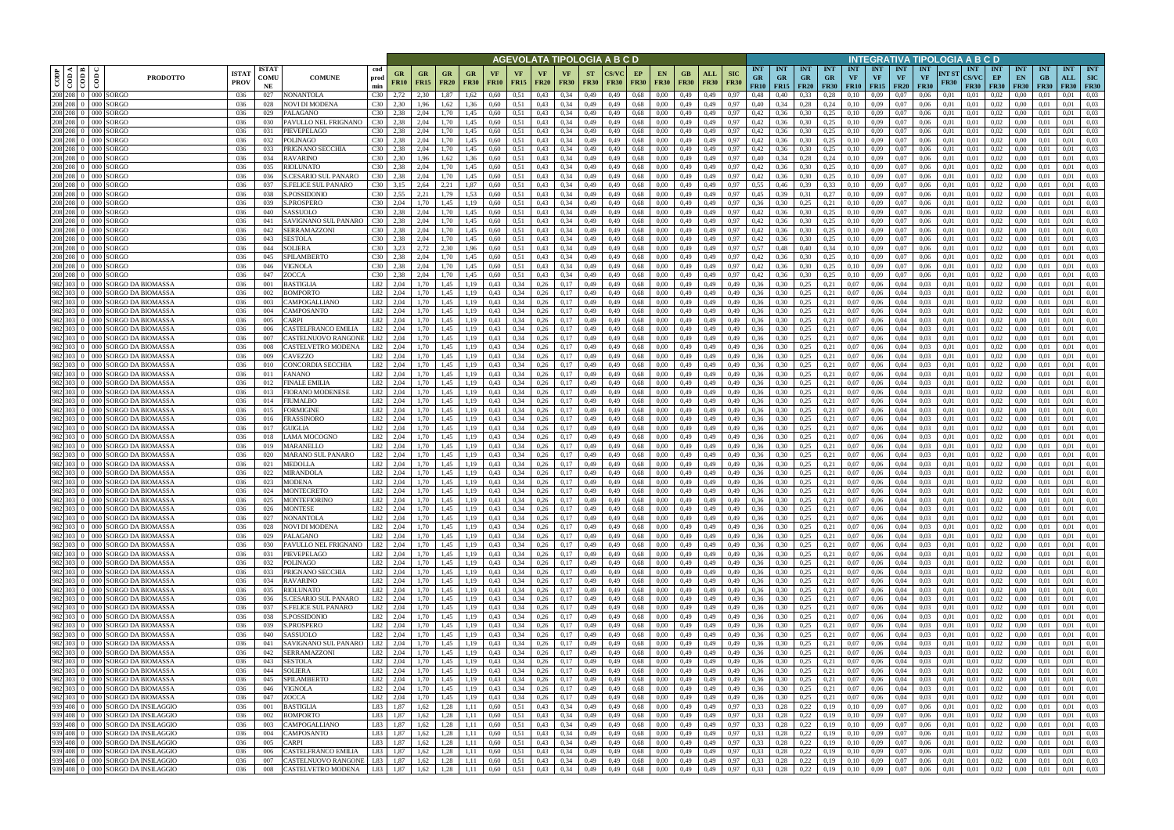|                                                     |                                                                        |                             |                            |                                                    |                                    |                      |                          |                                        |                          |                   |                    |                              |                                      |                          | AGEVOLATA TIPOLOGIA A B C D     |                   |                    |                    |                                |                            |                                        |                                          |                                |                                        |                         |                                        |                                        | INTEGRATIVA TIPOLOGIA A B C D   |                      |                                           |                                                              |                                 |                           |                                       |                            |
|-----------------------------------------------------|------------------------------------------------------------------------|-----------------------------|----------------------------|----------------------------------------------------|------------------------------------|----------------------|--------------------------|----------------------------------------|--------------------------|-------------------|--------------------|------------------------------|--------------------------------------|--------------------------|---------------------------------|-------------------|--------------------|--------------------|--------------------------------|----------------------------|----------------------------------------|------------------------------------------|--------------------------------|----------------------------------------|-------------------------|----------------------------------------|----------------------------------------|---------------------------------|----------------------|-------------------------------------------|--------------------------------------------------------------|---------------------------------|---------------------------|---------------------------------------|----------------------------|
| ⊲ ∣ ⊭<br>$\rm{cop}$<br>$\frac{1}{\frac{1}{2}}$<br>ĝ | <b>PRODOTTO</b>                                                        | <b>ISTAT</b><br><b>PROV</b> | <b>ISTAT</b><br>COMU<br>NE | <b>COMUNE</b>                                      | cod<br>prod<br>min                 | GR<br><b>FR10</b>    | <b>GR</b><br><b>FR15</b> | <b>GR</b><br><b>FR20</b>               | <b>GR</b><br><b>FR30</b> | VF<br><b>FR10</b> | VF.<br><b>FR15</b> | VF<br><b>FR20</b>            | VF<br><b>FR30</b>                    | <b>ST</b><br><b>FR30</b> | <b>CS/VC</b><br>FR30            | EP<br><b>FR30</b> | EN.<br><b>FR30</b> | GB.<br><b>FR30</b> | ALL<br><b>FR30</b>             | <b>SIC</b><br><b>FR30</b>  | <b>INT</b><br><b>GR</b><br><b>FR10</b> | <b>INT</b><br><b>GR</b><br>$FR15$ $FR20$ | <b>INT</b><br><b>GR</b>        | <b>INT</b><br><b>GR</b><br><b>FR30</b> | <b>INT</b><br><b>VF</b> | <b>INT</b><br><b>VF</b><br>$FR10$ FR15 | <b>INT</b><br><b>VF</b><br><b>FR20</b> | <b>INT</b><br>VF<br><b>FR30</b> | NT ST<br><b>FR30</b> | <b>INT</b><br><b>CS/VC</b><br><b>FR30</b> | <b>INT</b><br>EP<br><b>FR30</b>                              | <b>INT</b><br>EN<br><b>FR30</b> | <b>INT</b><br>GB<br>F R30 | <b>INT</b><br>ALL<br><b>FR30 FR30</b> | <b>INT</b><br>SIC          |
| 208 208 0 000 SORGO<br>208 208 0 000 SORGO          |                                                                        | 036<br>036                  | 027<br>028                 | <b>NONANTOLA</b><br><b>NOVI DI MODENA</b>          | C30<br>C30                         | 2,72<br>2.30         | 2.30<br>1,96             | 1.87<br>,62                            | 1.62<br>.36              | 0.60<br>0,60      | 0,51<br>0,51       | 0.43<br>0,43                 | 0.34<br>0,34                         | 0,49<br>0,49             | 0,49<br>0,49                    | 0,68<br>0,68      | 0.00<br>0,00       | 0,49<br>0,49       | 0.49<br>0,49                   | 0.97<br>0,97               | 0.48<br>0,40                           | 0.40<br>0,34                             | 0,33<br>0,28                   | 0.28<br>0,24                           | $0.10\,$<br>0,10        | 0.09<br>0.09                           | 0.07<br>0.07                           | 0.06<br>0,06                    | 0.01<br>0,01         | 0,01<br>0,01                              | 0.02<br>0.02                                                 | 0.00<br>0,00                    | 0,01                      | 0.01<br>0.01                          | 0.03<br>0,03               |
| 208 208 0 000 SORGO                                 |                                                                        | 036                         | 029                        | PALAGANO                                           | C30                                | 2.38                 | 2,04                     | 1.70                                   | 1,45                     | 0,60              | 0,51               | 0,43                         | 0,34                                 | 0,49                     | 0,49                            | 0,68              | 0,00               | 0,49               | 0,49                           | 0,97                       | 0,42                                   | 0,36                                     | 0,30                           | 0,25                                   | 0,10                    | 0,09                                   | 0,07                                   | 0,06                            | 0,01                 | 0,01                                      | 0,02                                                         | 0,00                            | 0,01                      | 0.01                                  | 0.03                       |
| 208 208 0 000 SORGO                                 |                                                                        | 036                         | 030                        | PAVULLO NEL FRIGNANO                               | C <sub>30</sub>                    | 2.38                 | 2.04                     | 1.70                                   | 1,45                     | 0.60              | 0.51               | 0,43                         | 0.34                                 | 0,49                     | 0,49                            | 0,68              | 0.00               | 0,49               | 0,49                           | 0.97                       | 0.42                                   | 0,36                                     | 0,30                           | 0,25                                   | 0,10                    | 0.09                                   | 0,07                                   | 0.06                            | 0.01                 | 0.01                                      | 0.02                                                         | 0,00                            | 0.01                      | 0.01                                  | 0.03                       |
| 208 208 0 000 SORGO                                 |                                                                        | 036                         | 031                        | PIEVEPELAGO                                        | C30                                | 2.38                 | 2.04                     | 1.70                                   | 1.45                     | 0.60              | 0.51               | 0.43                         | 0.34                                 | 0,49                     | 0,49                            | 0,68              | 0.00               | 0,49               | 0.49                           | 0.97                       | 0,42                                   | 0.36                                     | 0.30                           | 0.25                                   | 0.10                    | 0.09                                   | 0.07                                   | 0.06                            | 0.01                 | 0.01                                      | 0.02                                                         | 0.00                            | 0.01                      | 0.01                                  | 0.03                       |
| 208 208 0 000 SORGO<br>208 208 0 000 SORGO          |                                                                        | 036<br>-036                 | 032<br>033                 | <b>POLINAGO</b><br>PRIGNANO SECCHIA                | C30<br>C30                         | 2,38<br>2.38         | 2.04<br>2.04             | 1.70<br>1.70                           | 1,45<br>1,45             | 0.60<br>0.60      | 0,51<br>0,51       | 0,43<br>0.43                 | 0.34<br>0.34                         | 0,49<br>0,49             | 0,49<br>0,49                    | 0,68<br>0.68      | 0,00<br>0.00       | 0,49<br>0,49       | 0,49<br>0,49                   | 0.97<br>0.97               | 0,42<br>0.42                           | 0,36<br>0.36                             | 0,30<br>0.30                   | 0,25<br>0,25                           | 0,10<br>0.10            | 0,09<br>0.09                           | 0,07<br>0.07                           | 0.06<br>0.06                    | 0.01<br>0.01         | 0,01<br>0.01                              | 0.02<br>0.02                                                 | 0,00<br>0.00                    | 0.01<br>0.01              | 0.01<br>0.01                          | 0.03<br>0.03               |
| 208 208 0 000 SORGO                                 |                                                                        | -036                        | 034                        | <b>RAVARINO</b>                                    | C30                                | 2.30                 | 1.96                     | 1.62                                   | 1,36                     | 0.60              | 0,51               | 0.43                         | 0.34                                 | 0,49                     | 0,49                            | 0,68              | 0.00               | 0,49               | 0,49                           | 0,97                       | 0.40                                   | 0,34                                     | 0,28                           | 0,24                                   | 0,10                    | 0,09                                   | 0.07                                   | 0.06                            | 0.01                 | 0.01                                      | 0.02                                                         | $0.00\,$                        | 0.01                      | 0.01                                  | 0.03                       |
| 208 208 0 000 SORGO                                 |                                                                        | 036                         | 035                        | <b>RIOLUNATO</b>                                   | C30                                | 2.38                 | 2.04                     | 1.70                                   | 1,45                     | 0.60              | 0,51               | 0.43                         | 0.34                                 | 0,49                     | 0,49                            | 0.68              | 0.00               | 0,49               | 0,49                           | 0.97                       | 0,42                                   | 0,36                                     | 0,30                           | 0,25                                   | 0,10                    | 0,09                                   | 0,07                                   | 0,06                            | 0.01                 | 0,01                                      | 0,02                                                         | $0.00\,$                        | 0.01                      | 0.01                                  | 0.03                       |
| 208 208 0 000 SORGO<br>208 208 0 000 SORGO          |                                                                        | 036<br>036                  | 036<br>037                 | S.CESARIO SUL PANARO<br><b>S.FELICE SUL PANARO</b> | C <sub>30</sub><br>C <sub>30</sub> | 2,38<br>3,15         | 2.04<br>2,64             | 1.70<br>2,21                           | 1,45<br>1,87             | 0.60<br>0,60      | 0,51<br>0,51       | 0,43<br>0,43                 | 0.34<br>0.34                         | 0,49<br>0,49             | 0,49<br>0,49                    | 0.68<br>0,68      | 0.00<br>0,00       | 0,49<br>0,49       | 0,49<br>0,49                   | 0,97<br>0,97               | 0,42<br>0.55                           | 0,36<br>0,46                             | 0,30<br>0,39                   | 0,25<br>0.33                           | 0,10<br>0,10            | 0,09<br>0.09                           | 0.07<br>0.07                           | 0,06<br>0,06                    | 0,01<br>0.01         | 0,01<br>0,01                              | 0,02<br>0,02                                                 | 0,00<br>0,00                    | 0.01<br>0.01              | 0.01<br>0,01                          | 0,03<br>0,03               |
| 208 208 0 000 SORGO                                 |                                                                        | 036                         | 038                        | S.POSSIDONIO                                       | C <sub>30</sub>                    | 2,55                 | 2,21                     | 1,79                                   | 1,53                     | 0,60              | 0,51               | 0.43                         | 0,34                                 | 0,49                     | 0,49                            | 0,68              | 0,00               | 0,49               | 0,49                           | 0,97                       | 0,45                                   | 0,39                                     | 0,31                           | 0,27                                   | 0,10                    | 0,09                                   | 0.07                                   | 0,06                            | 0,01                 | 0,01                                      | 0,02                                                         | 0,00                            | 0,01                      | 0,01                                  | 0,03                       |
| 208 208 0 000 SORGO                                 |                                                                        | 036                         | 039                        | S.PROSPERO                                         | C30                                | 2.04                 | 1.70                     | 1,45                                   | 1,19                     | 0,60              | 0,51               | 0.43                         | 0.34                                 | 0,49                     | 0,49                            | 0.68              | 0,00               | 0,49               | 0,49                           | 0.97                       | 0,36                                   | 0.30                                     | 0,25                           | 0,21                                   | 0,10                    | 0,09                                   | 0.07                                   | 0,06                            | 0.01                 | 0,01                                      | 0.02                                                         | 0,00                            | 0.01                      | 0,01                                  | 0,03                       |
| 208 208 0 000 SORGO                                 |                                                                        | 036                         | 040                        | SASSUOLO                                           | C30                                | 2,38                 | 2,04                     | 1,70                                   | 1,45                     | 0,60              | 0,51               | 0.43                         | 0,34                                 | 0,49                     | 0,49                            | 0.68              | 0,00               | 0,49               | 0,49                           | 0,97                       | 0,42                                   | 0,36                                     | 0,30                           | 0,25                                   | 0,10                    | 0,09                                   | 0.07                                   | 0,06                            | 0,01                 | 0,01                                      | 0,02                                                         | 0,00                            | 0.01                      | 0,01                                  | 0,03                       |
| 208 208 0 000 SORGO<br>208 208 0 000 SORGO          |                                                                        | 036<br>036                  | 041<br>042                 | SAVIGNANO SUL PANARO<br>SERRAMAZZONI               | C30<br>C30                         | 2,38<br>2.38         | 2,04<br>2.04             | 1,70<br>1.70                           | 1,45<br>1.45             | 0,60<br>0.60      | 0,51<br>0.51       | 0,43<br>0.43                 | 0.34<br>0.34                         | 0,49<br>0,49             | 0,49<br>0.49                    | 0.68<br>0.68      | 0,00<br>0.00       | 0,49<br>0,49       | 0,49<br>0,49                   | 0,97<br>0.97               | 0,42<br>0.42                           | 0,36<br>0.36                             | 0,30<br>0,30                   | 0,25<br>0,25                           | 0,10<br>0,10            | 0,09<br>0.09                           | 0.07<br>0.07                           | 0,06<br>0.06                    | 0,01<br>0.01         | 0,01<br>0.01                              | 0,02<br>0.02                                                 | 0,00<br>0,00                    | 0,01<br>0.01              | 0,01<br>0.01                          | 0.03<br>0.03               |
| 208 208 0 000 SORGO                                 |                                                                        | 036                         | 043                        | <b>SESTOLA</b>                                     | C30                                | 2.38                 | 2.04                     | 1.70                                   | 1.45                     | 0.60              | 0,51               | 0.43                         | 0.34                                 | 0,49                     | 0,49                            | 0.68              | 0.00               | 0,49               | 0,49                           | 0.97                       | 0,42                                   | 0.36                                     | 0,30                           | 0,25                                   | 0,10                    | 0.09                                   | 0.07                                   | 0.06                            | 0.01                 | 0.01                                      | 0.02                                                         | 0.00                            | 0.01                      | 0,01                                  | 0.03                       |
| 208 208 0 000 SORGO                                 |                                                                        | 036                         | 044                        | SOLIERA                                            | C30                                | 3,23                 | 2,72                     | 2.30                                   | 1.96                     | 0,60              | 0,51               | 0,43                         | 0.34                                 | 0,49                     | 0,49                            | 0.68              | 0.00               | 0,49               | 0,49                           | 0.97                       | 0,57                                   | 0,48                                     | 0,40                           | 0.34                                   | 0,10                    | 0,09                                   | 0.07                                   | 0,06                            | 0.01                 | 0.01                                      | 0,02                                                         | 0,00                            | 0.01                      | 0.01                                  | 0,03                       |
| 208 208 0 000 SORGO<br>208 208 0 000 SORGO          |                                                                        | 036<br>036                  | 045<br>046                 | SPILAMBERTO<br>VIGNOLA                             | C30<br>C30                         | 2.38<br>2.38         | 2.04<br>2.04             | 1.70<br>1.70                           |                          | 0.60<br>0.60      | 0,51<br>0.51       | 0.43<br>0.43                 | 0.34<br>0.34                         | 0,49<br>0,49             | 0,49<br>0.49                    | 0.68<br>0.68      | 0.00<br>0.00       | 0,49<br>0,49       | 0,49<br>0.49                   | 0.97<br>0.97               | 0,42<br>0,42                           | 0.36                                     | 0.30<br>0,30                   | 0,25<br>0,25                           | 0.10<br>0.10            | 0.09<br>0.09                           | 0.07<br>0.07                           | 0.06<br>0.06                    | 0.01<br>0.01         | 0.01<br>0.01                              | 0.02<br>0,02                                                 | 0.00<br>0.00                    | 0.01<br>0.01              | 0.01<br>0.01                          | 0.03<br>0.03               |
| 208 208 0 000 SORGO                                 |                                                                        | 036                         | 047                        | ZOCCA                                              | C30                                | 2.38                 | 2.04                     | 1.70                                   | 1,45                     | 0.60              | 0,51               | 0,43                         | 0.34                                 | 0,49                     | 0,49                            | 0.68              | 0.00               | 0,49               | 0,49                           | 0,97                       | 0,42                                   | 0.36                                     | 0,30                           | 0,25                                   | 0,10                    | 0,09                                   | 0.07                                   | 0,06                            | 0,01                 | 0,01                                      | 0,02                                                         | 0,00                            | 0.01                      | 0,01                                  | 0.03                       |
| 982                                                 | 303 0 000 SORGO DA BIOMASSA                                            | 036                         | 001                        | BASTIGLIA                                          | L82                                | 2.04                 | 1.70                     | 1.45                                   |                          | 0.43              | 0.34               | 0.26                         | 0.17                                 | 0,49                     | 0,49                            | 0,68              | 0.00               | 0,49               | 0.49                           | 0,49                       | 0.36                                   | 0.30                                     | 0,25                           | 0,21                                   | 0,07                    | 0.06                                   | 0,04                                   | 0.03                            | 0.01                 | 0,01                                      | 0.02                                                         | 0.00                            | 0.01                      | 0.01                                  | 0.01                       |
| 982 303 0                                           | 000 SORGO DA BIOMASSA                                                  | 036                         | 002                        | BOMPORTO                                           | L82                                | 2.04                 | 1.70                     | 1.45                                   | 1.19                     | 0.43              | 0,34               | 0,26                         | 0.17                                 | 0,49                     | 0,49                            | 0,68              | 0,00               | 0,49               | 0,49                           | 0,49                       | 0.36                                   | 0.30                                     | 0,25                           | 0,21                                   | 0,07                    | 0,06                                   | 0,04                                   | 0,03                            | 0,01                 | 0,01                                      | 0,02                                                         | 0,00                            | 0,01                      | 0,01                                  | 0,01                       |
| 982 303 0<br>982 303 0                              | 000 SORGO DA BIOMASSA<br>000 SORGO DA BIOMASSA                         | 036<br>036                  | 003<br>004                 | CAMPOGALLIANO<br>CAMPOSANTO                        | L82<br>L82                         | 2,04<br>2.04         | 1.70<br>1.70             | .45<br>.45                             |                          | 0.43<br>0.43      | 0,34<br>0,34       | 0.26<br>0,26                 | 0,17<br>0.17                         | 0,49<br>0,49             | 0,49<br>0,49                    | 0,68<br>0,68      | 0,00<br>0.00       | 0,49<br>0,49       | 0.49<br>0,49                   | 0,49<br>0,49               | 0,36<br>0.36                           | 0.30<br>0.30                             | 0,25<br>0,25                   | 0,21<br>0,21                           | 0,07<br>0,07            | 0,06<br>0.06                           | 0,04<br>0,04                           | 0.03<br>0.03                    | 0,01<br>0.01         | 0,01<br>0,01                              | 0,02<br>0.02                                                 | 0,00<br>0,00                    | 0.01<br>0.01              | 0.01<br>0,01                          | 0,01<br>0.01               |
| 982 303 0                                           | 000 SORGO DA BIOMASSA                                                  | 036                         | 005                        | `ARPI                                              | L82                                | 2.04                 |                          | .45                                    |                          | 0.43              | 0.34               | 0.26                         | 0.17                                 | 0,49                     | 0,49                            | 0,68              | 0.00               | 0,49               | 0.49                           | 0.49                       | 0.36                                   | 0.30                                     | 0,25                           | 0,21                                   | 0.07                    | 0.06                                   | 0.04                                   | 0.03                            | 0.01                 | 0.01                                      | 0.02                                                         | 0.00                            |                           | 0.01                                  | 0.01                       |
| 982 303 0                                           | 000 SORGO DA BIOMASSA                                                  | 036                         | 006                        | CASTELFRANCO EMILIA                                | L82                                | 2,04                 | 1,70                     | 1,45                                   | 1,19                     | 0.43              | 0,34               | 0,26                         | 0,17                                 | 0,49                     | 0,49                            | 0,68              | 0,00               | 0,49               | 0,49                           | 0,49                       | 0,36                                   | 0,30                                     | 0,25                           | 0,21                                   | 0,07                    | 0,06                                   | 0,04                                   | 0,03                            | 0,01                 | 0,01                                      | 0,02                                                         | 0,00                            | 0,01                      | 0,01                                  | 0,01                       |
| 982 303 0<br>982 303 0                              | 000 SORGO DA BIOMASSA                                                  | 036                         | 007                        | CASTELNUOVO RANGONE                                | L82<br>L82                         | 2.04                 | 1.70                     | 1.45                                   | 1.19                     | 0.43              | 0,34               | 0.26                         | 0.17                                 | 0,49                     | 0,49                            | 0,68              | 0.00               | 0,49               | 0,49                           | 0.49                       | 0.36<br>0.36                           | 0.30                                     | 0,25                           | 0,21                                   | 0.07                    | 0.06<br>0.06                           | 0.04                                   | 0.03                            | 0.01                 | 0.01                                      | 0.02<br>0.02                                                 | 0,00                            | 0.01                      | 0.01                                  | 0.01                       |
| 982 303 0                                           | 000 SORGO DA BIOMASSA<br>000 SORGO DA BIOMASSA                         | 036<br>036                  | 008<br>009                 | CASTELVETRO MODENA<br>CAVEZZO                      | L82                                | 2.04<br>2.04         | 1.70<br>1.70             | 1,45<br>1,45                           | 1,19<br>1.19             | 0,43<br>0.43      | 0,34<br>0,34       | 0.26<br>0.26                 | 0,17<br>0,17                         | 0,49<br>0,49             | 0,49<br>0,49                    | 0.68<br>0,68      | 0.00<br>0.00       | 0,49<br>0,49       | 0,49<br>0,49                   | 0,49<br>0.49               | 0.36                                   | 0.30<br>0.30                             | 0,25<br>0,25                   | 0,21<br>0,21                           | 0,07<br>0.07            | 0.06                                   | 0,04<br>0,04                           | 0.03<br>0.03                    | 0.01<br>0.01         | 0.01<br>0.01                              | 0.02                                                         | 0,00<br>0.00                    | 0.01<br>0.01              | 0,01<br>0.01                          | 0,01<br>0,01               |
| 982 303 0                                           | 000 SORGO DA BIOMASSA                                                  | 036                         | 010                        | CONCORDIA SECCHIA                                  | L82                                | 2.04                 | 1.70                     | 1.45                                   | 1.19                     | 0.43              | 0,34               | 0.26                         | 0.17                                 | 0,49                     | 0,49                            | 0.68              | 0.00               | 0,49               | 0,49                           | 0,49                       | 0.36                                   | 0.30                                     | 0,25                           | 0,21                                   | 0.07                    | 0.06                                   | 0.04                                   | 0.03                            | 0.01                 | 0.01                                      | 0.02                                                         | 0,00                            | 0.01                      | 0.01                                  | 0.01                       |
| 982 303 0                                           | 000 SORGO DA BIOMASSA                                                  | 036                         | 011                        | FANANO                                             | L82                                | 2.04                 | 1.70                     | 1.45                                   | 1.19                     | 0.43              | 0,34               | 0.26                         | 0.17                                 | 0,49                     | 0,49                            | 0.68              | 0.00               | 0,49               | 0,49                           | 0.49                       | 0.36                                   | 0.30                                     | 0,25                           | 0,21                                   | 0.07                    | 0.06                                   | 0.04                                   | 0.03                            | 0.01                 | 0.01                                      | 0.02                                                         | $0.00\,$                        | 0.01                      | 0.01                                  | 0.01                       |
| 982 303 0<br>000E                                   | 982 303 0 000 SORGO DA BIOMASSA<br>SORGO DA BIOMASSA                   | 036<br>036                  | 012<br>013                 | FINALE EMILIA<br>FIORANO MODENESE                  | L82<br>L82                         | 2,04<br>2,04         | 1,70<br>1.70             | 1,45<br>1,45                           | 1,19<br>1,19             | 0.43<br>0.43      | 0,34<br>0,34       | 0,26<br>0.26                 | 0,17<br>0,17                         | 0,49<br>0,49             | 0,49<br>0,49                    | 0,68<br>0.68      | 0,00<br>0.00       | 0,49<br>0,49       | 0,49<br>0,49                   | 0,49<br>0.49               | 0.36<br>0,36                           | 0,30<br>0.30                             | 0,25<br>0,25                   | 0,21<br>0,21                           | 0,07<br>0,07            | 0,06<br>0.06                           | 0,04<br>0,04                           | 0.03<br>0.03                    | 0,01<br>0.01         | 0,01<br>0,01                              | 0,02<br>0,02                                                 | $0.00\,$<br>0.00                | 0.01<br>0.01              | 0,01<br>0,01                          | 0,01<br>0,01               |
| 982 303 0                                           | 000 SORGO DA BIOMASSA                                                  | 036                         | 014                        | FIUMALBO                                           | L82                                | 2,04                 | 1.70                     | 1,45                                   | 1,19                     | 0.43              | 0,34               | 0,26                         | 0,17                                 | 0,49                     | 0,49                            | 0.68              | 0.00               | 0,49               | 0,49                           | 0,49                       | 0.36                                   | 0,30                                     | 0,25                           | 0,21                                   | 0,07                    | 0,06                                   | 0,04                                   | 0.03                            | 0,01                 | 0,01                                      | 0,02                                                         | 0,00                            | 0,01                      | 0,01                                  | 0,01                       |
| 982 303 0                                           | 000 SORGO DA BIOMASSA                                                  | 036                         | 015                        | FORMIGINE                                          | L82                                | 2,04                 | 1,70                     | 1,45                                   | 1,19                     | 0.43              | 0,34               | 0,26                         | 0,17                                 | 0,49                     | 0,49                            | 0,68              | 0,00               | 0,49               | 0,49                           | 0,49                       | 0,36                                   | 0,30                                     | 0,25                           | 0,21                                   | 0,07                    | 0,06                                   | 0,04                                   | 0,03                            | 0,01                 | 0,01                                      | 0,02                                                         | 0,00                            | 0,01                      | 0,01                                  | 0,01                       |
| 982 303 0                                           | 000 SORGO DA BIOMASSA                                                  | 036                         | 016                        | FRASSINORO                                         | L82                                | 2,04                 | 1.70                     | 1.45                                   | 1,19                     | 0.43              | 0,34               | 0,26                         | 0,17                                 | 0,49                     | 0,49                            | 0,68              | 0,00               | 0,49               | 0,49                           | 0,49                       | 0,36                                   | 0,30                                     | 0,25                           | 0,21                                   | 0,07                    | 0,06                                   | 0,04                                   | 0.03                            | 0,01                 | 0,01                                      | 0,02                                                         | 0,00                            | 0.01                      | 0,01                                  | 0,01                       |
| 982 303 0                                           | 982 303 0 000 SORGO DA BIOMASSA<br>000 SORGO DA BIOMASSA               | 036<br>036                  | 017<br>018                 | GUIGLIA<br>LAMA MOCOGNO                            | L82<br>L82                         | 2,04<br>2,04         | 1,70<br>1,70             | 1,45<br>1,45                           | 1,19<br>1,19             | 0.43<br>0,43      | 0,34<br>0,34       | 0,26<br>0,26                 | 0,17<br>0,17                         | 0,49<br>0,49             | 0,49<br>0,49                    | 0,68<br>0.68      | 0,00<br>0,00       | 0,49<br>0,49       | 0,49<br>0,49                   | 0,49<br>0,49               | 0,36<br>0,36                           | 0,30<br>0,30                             | 0,25<br>0,25                   | 0,21<br>0,21                           | 0,07<br>0,07            | 0,06<br>0,06                           | 0,04<br>0,04                           | 0,03<br>0,03                    | 0,01<br>0,01         | 0,01<br>0,01                              | 0,02<br>0,02                                                 | $0.00\,$<br>0,00                | 0,01<br>0.01              | 0,01<br>0,01                          | 0,01<br>0,01               |
| 982 303 0                                           | 000 SORGO DA BIOMASSA                                                  | 036                         | 019                        | <b>MARANELLO</b>                                   | L82                                | 2.04                 | 1.70                     | 1.45                                   | 1.19                     | 0.43              | 0,34               | 0.26                         | 0.17                                 | 0,49                     | 0,49                            | 0.68              | 0.00               | 0,49               | 0,49                           | 0.49                       | 0.36                                   | 0.30                                     | 0,25                           | 0,21                                   | 0.07                    | 0,06                                   | 0,04                                   | 0.03                            | 0.01                 | 0.01                                      | 0,02                                                         | 0,00                            | 0.01                      | 0,01                                  | 0.01                       |
| 982 303 0                                           | 000 SORGO DA BIOMASSA                                                  | 036                         | 020                        | MARANO SUL PANARO                                  | L82                                | 2.04                 | 1.70                     | 1.45                                   | 1.19                     | 0.43              | 0.34               | 0.26                         | 0.17                                 | 0,49                     | 0,49                            | 0.68              | 0.00               | 0,49               | 0,49                           | 0.49                       | 0.36                                   | 0.30                                     | 0,25                           | 0,21                                   | 0.07                    | 0.06                                   | 0.04                                   | 0.03                            | 0.01                 | 0.01                                      | 0,02                                                         | 0,00                            | 0.01                      | 0.01                                  | 0.01                       |
|                                                     | 982 303 0 000 SORGO DA BIOMASSA<br>982 303 0 000 SORGO DA BIOMASSA     | 036<br>036                  | 021<br>022                 | <b>MEDOLLA</b><br>MIRANDOLA                        | L82<br>L82                         | 2,04<br>2.04         | 1,70<br>1.70             | 1,45<br>1.45                           | 1.19<br>1.19             | 0,43<br>0.43      | 0,34<br>0.34       | 0,26<br>0.26                 | 0,17<br>0.17                         | 0,49<br>0.49             | 0,49<br>0.49                    | 0.68<br>0.68      | 0,00<br>0.00       | 0,49<br>0.49       | 0,49<br>0.49                   | 0,49<br>0.49               | 0,36<br>0.36                           | 0,30<br>0.30                             | 0,25<br>0.25                   | 0,21<br>0.21                           | 0,07<br>0.07            | 0,06<br>0.06                           | 0,04<br>0.04                           | 0,03<br>0.03                    | 0,01<br>0.01         | 0,01<br>0.01                              | 0,02<br>0.02                                                 | 0,00<br>0.00                    | 0,01<br>0.01              | 0,01<br>0.01                          | 0,01<br>0.01               |
|                                                     | 982 303 0 000 SORGO DA BIOMASSA                                        | 036                         | 023                        | <b>MODENA</b>                                      | L82                                | 2.04                 | 1.70                     | 1.45                                   | 1.19                     | 0.43              | 0,34               | 0,26                         | 0.17                                 | 0,49                     | 0,49                            | 0.68              | 0.00               | 0,49               | 0,49                           | 0,49                       | 0,36                                   | 0.30                                     | 0,25                           | 0,21                                   | 0,07                    | 0.06                                   | 0.04                                   | 0.03                            | 0,01                 | 0.01                                      | 0.02                                                         | 0.00                            | 0.01                      | 0,01                                  | 0,01                       |
|                                                     | 982 303 0 000 SORGO DA BIOMASSA                                        | 036                         | 024                        | <b>MONTECRETO</b>                                  | L82                                | 2.04                 | 1.70                     | 1.45                                   | 1.19                     | 0.43              | 0.34               | 0.26                         | 0,17                                 | 0.49                     | 0.49                            | 0,68              | 0.00               | 0,49               | 0,49                           | 0,49                       | 0,36                                   | 0,30                                     | 0,25                           | 0,21                                   | 0.07                    | 0.06                                   | 0.04                                   | 0.03                            | 0.01                 | 0.01                                      | 0.02                                                         | 0.00                            | 0.01                      | 0.01                                  | 0,01                       |
|                                                     | 982 303 0 000 SORGO DA BIOMASSA<br>982 303 0 000 SORGO DA BIOMASSA     | 036                         | 025                        | <b>MONTEFIORINO</b>                                | L82                                | 2,04                 | 1,70                     | 1,45                                   | 1,19                     | 0.43              | 0,34               | 0,26                         | 0,17                                 | 0,49                     | 0,49                            | 0,68              | 0,00               | 0,49               | 0,49                           | 0,49                       | 0.36                                   | 0,30                                     | 0,25                           | 0,21                                   | 0,07                    | 0,06                                   | 0,04                                   | 0,03                            | 0,01                 | 0,01                                      | 0,02                                                         | $0.00\,$                        | 0,01                      | 0.01                                  | 0,01                       |
|                                                     | 982 303 0 000 SORGO DA BIOMASSA                                        | 036<br>036                  | 026<br>027                 | <b>MONTESE</b><br><b>NONANTOLA</b>                 | L82<br>L82                         | 2,04<br>2,04         | 1,70<br>1,70             | 1.45<br>1,45                           | 1,19<br>1,19             | 0.43<br>0,43      | 0,34<br>0,34       | 0,26<br>0,26                 | 0,17<br>0,17                         | 0,49<br>0,49             | 0,49<br>0,49                    | 0,68<br>0,68      | 0,00<br>0,00       | 0,49<br>0,49       | 0,49<br>0,49                   | 0,49<br>0,49               | 0,36<br>0,36                           | 0,30<br>0,30                             | 0,25<br>0,25                   | 0,21<br>0,21                           | 0,07                    | 0,06<br>$0,07$ 0.06                    | 0,04<br>0,04                           | 0,03<br>0,03                    | 0,01<br>0,01         | 0,01<br>0,01                              | 0,02<br>0,02                                                 | $0.00\,$<br>0,00                | 0,01<br>  0,01            | 0,01<br>0,01                          | 0,01<br>0,01               |
|                                                     | 982 303 0 000 SORGO DA BIOMASSA                                        | 036                         | 028                        | <b>NOVI DI MODENA</b>                              | L82                                | 2,04                 | 1,70                     | 1,45                                   | 1,19                     | 0.43              | 0,34               | 0,26                         | 0,17                                 | 0,49                     | 0,49                            | 0,68              | 0,00               |                    | $0,49$ $0,49$                  | 0,49                       | 0,36                                   | 0,30                                     | 0,25                           | 0,21                                   |                         | $0,07$ 0.06                            | 0,04                                   | 0,03                            | 0,01                 | 0,01                                      | 0,02                                                         | $0.00\,$                        | 0.01                      | 0.01                                  | 0,01                       |
|                                                     | 982 303 0 000 SORGO DA BIOMASSA                                        | 036                         | 029                        | PALAGANO                                           | L82                                | 2,04                 | 1,70                     | 1,45                                   | 1,19                     | 0,43              | 0,34               | 0,26                         | 0,17                                 | 0,49                     | 0,49                            | 0,68              | 0,00               | 0,49               | 0,49                           | 0,49                       | 0,36                                   | 0,30                                     | 0,25                           | 0,21                                   | 0,07                    | 0,06                                   | 0,04                                   | 0,03                            | 0,01                 | 0,01                                      | 0,02                                                         | 0,00                            | 0.01                      | 0.01                                  | 0,01                       |
|                                                     | 982 303 0 000 SORGO DA BIOMASSA<br>982 303 0 000 SORGO DA BIOMASSA     | 036<br>036                  | 030<br>031                 | PAVULLO NEL FRIGNANO<br>PIEVEPELAGO                | L82<br>L82                         | 2,04<br>2,04         | 1,70<br>1,70             | 1,45<br>$1,45$ $1,19$                  | 1,19                     | 0,43<br>0.43      | 0,34<br>0,34       | 0,26<br>0,26                 | 0,17<br>0,17                         | 0,49<br>0,49             | 0,49<br>0,49 0,68               | 0,68              | 0,00<br>0,00       |                    | $0,49$ $0,49$<br>$0,49$ $0,49$ | 0,49<br>0,49               | 0,36<br>0,36                           | 0,30<br>0,30                             | 0,25<br>0,25                   | 0,21<br>0,21                           | 0,07                    | 0,06<br>$0,07$ 0.06                    | 0,04<br>0,04                           | 0,03<br>0,03                    | 0,01<br>0,01         | 0,01<br>0,01                              | 0,02<br>$0,02$ 0.00 0.01                                     | $0,00 \qquad 0,01$              |                           | 0.01                                  | 0,01<br>$0,01$ $0,01$      |
|                                                     | 982 303 0 000 SORGO DA BIOMASSA                                        | 036                         | 032                        | <b>POLINAGO</b>                                    | L82                                | 2,04                 | 1,70                     | $1,45$ 1,19 0,43                       |                          |                   | 0,34               | 0,26                         | 0,17                                 | 0,49                     |                                 | 0,49 0,68         | 0,00               |                    | $0,49$ $0,49$                  | 0,49                       | 0,36                                   | $0,30$ $0,25$                            |                                | 0,21                                   |                         | $0.07\qquad 0.06$                      | 0,04                                   | 0,03                            | 0,01                 | 0.01                                      | $0.02 \quad 0.00 \quad 0.01$                                 |                                 |                           | 0.01                                  | 0,01                       |
|                                                     | 982 303 0 000 SORGO DA BIOMASSA                                        | 036                         | 033                        | PRIGNANO SECCHIA                                   | L82                                | 2,04                 | 1,70                     | 1,45 1,19                              |                          | 0,43              | 0,34               | $0,26$ $0,17$                |                                      | 0,49                     | 0,49                            | 0,68              | 0,00               |                    | 0,49 0,49                      | 0,49                       | 0,36                                   | 0,30                                     | 0,25                           | 0,21                                   |                         | $0,07$ 0,06                            | 0,04                                   | 0,03                            | 0,01                 | 0,01                                      | $0,02 \quad 0,00 \quad 0,01$                                 |                                 |                           | 0.01                                  | 0,01                       |
|                                                     | 982 303 0 000 SORGO DA BIOMASSA<br>982 303 0 000 SORGO DA BIOMASSA     | 036                         | 034                        | <b>RAVARINO</b>                                    | L82                                | 2,04                 | 1,70                     | 1,45                                   | 1,19                     | 0,43              | 0,34               | 0,26                         | 0,17                                 | 0,49                     | 0,49                            | 0,68              | 0,00               | 0,49               | 0,49                           | 0,49                       | 0,36                                   | 0,30                                     | 0,25                           | 0,21                                   | 0,07                    | 0,06                                   | 0,04                                   | 0,03                            | 0,01                 | 0,01                                      | 0,02                                                         | 0,00                            | 0.01                      | 0.01                                  | 0,01                       |
|                                                     | 982 303 0 000 SORGO DA BIOMASSA                                        | 036<br>036                  | 035<br>036                 | <b>RIOLUNATO</b><br>S.CESARIO SUL PANARO           | L82<br>L82                         | 2,04                 | 1,70<br>2,04 1,70        | 1,45<br>$1,45$ $1,19$                  | 1,19                     | 0,43<br>0,43      | 0,34<br>0,34       | 0,26<br>0,26                 | 0,17<br>0,17                         | 0,49<br>0,49             | 0,49<br>0,49                    | 0,68<br>0,68      | 0,00<br>0,00       | 0,49               | 0,49<br>$0,49$ $0,49$          | 0,49<br>0,49               | 0,36<br>0,36                           | 0,30<br>0,30                             | 0,25<br>0,25                   | 0,21<br>0,21                           | 0,07<br>0,07            | 0,06<br>0,06                           | 0,04<br>0,04                           | 0,03<br>0,03                    | 0,01<br>0,01         | 0,01<br>0,01                              | 0,02<br>0,02                                                 | 0,00<br>$0,00$ $0,01$           | 0,01                      | 0,01<br>0,01                          | 0,01<br>0,01               |
|                                                     | 982 303 0 000 SORGO DA BIOMASSA                                        | 036                         | 037                        | <b>S.FELICE SUL PANARO</b>                         | L82                                | 2,04                 | 1,70                     | $1,45$ $1,19$                          |                          | 0,43              | 0,34               | 0,26                         | 0,17                                 | 0,49                     | 0,49                            | 0,68              | 0,00               |                    | $0,49$ $0,49$                  | 0,49                       | 0,36                                   | 0,30                                     | 0,25                           | 0,21                                   |                         | $0,07$ 0.06                            | 0,04                                   | 0.03                            | 0,01                 | 0,01                                      |                                                              | $0,02 \quad 0,00 \quad 0,01$    |                           | 0,01                                  | 0,01                       |
|                                                     | 982 303 0 000 SORGO DA BIOMASSA                                        | 036                         | 038                        | S.POSSIDONIO                                       | L82                                | 2,04                 | 1,70                     | $1,45$ $1,19$ 0.43                     |                          |                   | 0,34               | $0,26$ 0,17                  |                                      | 0,49                     | 0,49                            | 0,68              | 0,00               |                    | $0,49$ $0,49$                  | 0,49                       | 0,36                                   | 0,30                                     | 0,25                           | 0,21                                   |                         | $0,07$ 0.06                            | 0,04                                   | 0.03                            | 0,01                 | 0,01                                      |                                                              | $0,02 \quad 0,00 \quad 0,01$    |                           | 0,01                                  | 0,01                       |
|                                                     | 982 303 0 000 SORGO DA BIOMASSA<br>982 303 0 000 SORGO DA BIOMASSA     | 036<br>036                  | 039<br>040                 | S.PROSPERO<br>SASSUOLO                             | L82<br>L82                         | 2,04<br>2,04         | 1,70<br>1,70             | $1,45$ $1,19$<br>$1,45$ 1,19 0,43      |                          | 0,43              | 0,34<br>0,34       | $0,26$ 0,17<br>$0,26$ $0,17$ |                                      | 0,49<br>0,49             | 0,49<br>0,49                    | 0,68<br>0.68      | 0,00<br>0,00       | 0,49               | 0,49<br>$0,49$ $0,49$          | 0,49<br>0,49               | 0,36<br>0,36                           | 0,30<br>0,30                             | 0,25<br>0,25                   | 0,21<br>0,21                           |                         | $0,07$ 0.06<br>$0,07$ 0.06             | 0,04<br>0,04                           | 0,03<br>0,03                    | 0,01<br>0,01         | 0,01<br>0.01                              | 0,02<br>0,02                                                 | $0,\!00$<br>$0,00 \quad 0,01$   | 0,01                      | 0,01<br>0,01                          | 0,01<br>0,01               |
|                                                     | 982 303 0 000 SORGO DA BIOMASSA                                        | 036                         | 041                        | SAVIGNANO SUL PANARO                               | L82                                | 2,04                 | 1,70                     | $1,45$ $1,19$ 0.43                     |                          |                   | 0,34               | $0,26$ 0,17                  |                                      | 0,49                     | 0,49                            | 0,68              | 0,00               |                    | $0,49$ $0,49$                  | 0,49                       | 0.36                                   | 0,30                                     | 0,25                           | 0,21                                   |                         | $0,07$ 0.06                            | 0,04                                   | 0,03                            | 0,01                 | 0,01                                      | 0,02                                                         | $0,00$ $0,01$                   |                           | 0,01                                  | 0,01                       |
|                                                     | 982 303 0 000 SORGO DA BIOMASSA                                        | 036                         | 042                        | SERRAMAZZONI                                       | L82                                | 2,04                 | 1,70                     | $1,45$ 1,19 0,43                       |                          |                   | 0,34               | $0,26$ $0,17$                |                                      | 0,49                     | 0,49                            | 0,68              | 0,00               |                    | $0,49$ $0,49$                  | 0,49                       | $0,36$ $0,30$                          |                                          | 0,25                           | 0,21                                   |                         | $0,07$ 0.06                            | 0,04                                   | 0.03                            | 0,01                 | 0,01                                      | 0,02                                                         | $0,00$ $0,01$                   |                           | 0,01                                  | 0,01                       |
|                                                     | 982 303 0 000 SORGO DA BIOMASSA                                        | 036                         | 043                        | <b>SESTOLA</b>                                     | L82                                | 2,04                 | 1,70                     | $1,45$ 1,19 0,43                       |                          |                   | 0,34               | $0,26$ 0,17                  |                                      | 0,49                     | 0,49 0,68                       |                   | 0,00               |                    | $0,49$ $0,49$                  | 0,49                       | $0,36$ $0,30$                          |                                          | 0,25                           | 0,21                                   |                         | $0,07$ 0.06                            | 0,04                                   | 0,03                            | 0,01                 | 0,01                                      | $0.02 \quad 0.00 \quad 0.01$                                 |                                 |                           | 0,01                                  | 0,01                       |
|                                                     | 982 303 0 000 SORGO DA BIOMASSA<br>982 303 0 000 SORGO DA BIOMASSA     | 036<br>036                  | 044<br>045                 | <b>SOLIERA</b><br>SPILAMBERTO                      | L82<br>L82                         | 2,04<br>2,04         | 1,70<br>1,70             | $1,45$ $1,19$ 0.43<br>$1,45$ 1,19 0,43 |                          |                   | 0,34<br>0,34       | $0,26$ 0,17<br>$0,26$ 0,17   |                                      | 0,49<br>0,49             | 0,49<br>0,49                    | 0,68<br>0,68      | 0,00<br>0,00       |                    | $0,49$ $0,49$<br>$0,49$ $0,49$ | 0,49<br>0,49               | $0.36\qquad 0.30$<br>$0,36$ $0,30$     |                                          | 0,25<br>0,25                   | 0,21<br>0,21                           |                         | $0,07$ 0.06<br>$0,07$ 0.06             | 0,04<br>0,04                           | 0,03<br>0,03                    | 0,01<br>0,01         | 0,01<br>0,01                              | $0.02 \quad 0.00 \quad 0.01$<br>$0.02 \quad 0.00 \quad 0.01$ |                                 |                           | 0,01<br>0,01                          | 0,01<br>0,01               |
|                                                     | 982 303 0 000 SORGO DA BIOMASSA                                        | 036                         | 046                        | <b>VIGNOLA</b>                                     | L82                                | 2,04                 | 1,70                     | $1,45$ 1,19 0,43                       |                          |                   | 0,34               | $0,26$ $0,17$                |                                      | 0,49                     | $0,49$ $0,68$                   |                   | 0,00               | 0,49 0,49          |                                | 0,49                       | $0.36\qquad 0.30$                      |                                          | 0,25                           | 0,21                                   |                         | $0,07$ 0.06                            | 0,04                                   | 0,03                            | 0,01                 | 0.01                                      | $0,02$ $0,00$ $0,01$                                         |                                 |                           | 0,01                                  | 0,01                       |
|                                                     | 982 303 0 000 SORGO DA BIOMASSA                                        | 036                         | 047                        | ZOCCA                                              | L82                                | 2,04                 | 1,70                     | $1,45$ 1,19 0,43                       |                          |                   | 0,34               | $0,26$ $0,17$                |                                      | 0,49                     | $0,49$ $0,68$                   |                   | 0,00               |                    | $0,49$ $0,49$                  | 0,49                       | $0,36$ $0,30$                          |                                          | 0,25                           | 0,21                                   |                         | $0.07$ 0.06                            | 0,04                                   | 0,03                            | 0,01                 | 0,01                                      | $0.02 \quad 0.00$                                            |                                 | 0,01                      | 0,01                                  | 0,01                       |
|                                                     | 939 408 0 000 SORGO DA INSILAGGIO<br>939 408 0 000 SORGO DA INSILAGGIO | 036<br>036                  | 001<br>002                 | <b>BASTIGLIA</b><br><b>BOMPORTO</b>                | L83<br>L83                         | 1,87<br>1,87         | 1,62<br>1,62             | $1,28$ 1,11<br>1,28                    |                          | 0,60<br>0,60      | 0,51<br>0,51       | 0,43<br>0,43                 | 0,34<br>0,34                         | 0,49<br>0,49             | 0,49<br>0,49                    | 0,68<br>0,68      | 0,00<br>0,00       | 0,49               | $0,49$ $0,49$<br>0,49          | 0,97<br>0,97               | $0,33$ $0,28$<br>0,33                  | 0,28                                     | 0,22<br>0,22                   | 0,19<br>0,19                           |                         | $0,10$ 0.09<br>$0,10$ $0,09$           | 0,07<br>0.07                           | 0,06<br>0,06                    | 0,01<br>0,01         | 0,01<br>0,01                              | $0,02$ 0.00<br>0,02                                          | 0,00                            | 0.01<br>0,01              | 0,01<br>0,01                          | 0,03<br>0,03               |
|                                                     | 939 408 0 000 SORGO DA INSILAGGIO                                      | 036                         | 003                        | CAMPOGALLIANO                                      | L83                                | 1,87                 | 1,62                     | 1,28                                   | 1,11                     | 0,60              | 0,51               | 0,43                         | 0,34                                 | 0,49                     | 0,49                            | 0,68              | 0,00               | 0,49               | 0,49                           | 0,97                       | 0,33                                   | 0,28                                     | 0,22                           | 0,19                                   |                         | $0,10$ $0,09$                          | 0,07                                   | 0,06                            | 0,01                 | 0,01                                      | 0,02                                                         | 0,00                            | 0.01                      | 0,01                                  | 0,03                       |
|                                                     | 939 408 0 000 SORGO DA INSILAGGIO                                      | 036                         | 004                        | CAMPOSANTO                                         | L83                                | 1,87                 | 1,62                     | $1,28$ 1,11                            |                          | 0,60              | 0,51               | $0,43$ $0,34$                |                                      | 0,49                     | 0,49 0,68                       |                   | 0,00               |                    | $0,49$ $0,49$                  | 0,97                       | $0,33$ $0,28$                          |                                          | 0,22                           | 0,19                                   |                         | $0,10$ $0,09$                          | 0,07                                   | 0,06                            | 0,01                 | 0,01                                      | $0,02$ 0,00 0,01                                             |                                 |                           | 0.01                                  | 0,03                       |
|                                                     | 939 408 0 000 SORGO DA INSILAGGIO                                      | 036                         | 005                        | CARPI                                              | L83                                | 1,87                 | 1,62                     | $1,28$ $1,11$                          |                          | 0,60              | 0,51               | $0,43$ 0,34                  |                                      | 0,49                     | 0,49 0,68                       |                   | 0,00               |                    | 0,49 0,49                      | 0,97                       | $0,33$ $0,28$                          |                                          | 0,22                           | 0,19                                   |                         | $0,10$ $0,09$                          | 0,07                                   | 0,06                            | 0,01                 | 0,01                                      | 0,02                                                         | $0,00$ $0,01$                   |                           | 0.01                                  | 0,03                       |
|                                                     | 939 408 0 000 SORGO DA INSILAGGIO<br>939 408 0 000 SORGO DA INSILAGGIO | 036<br>036                  | 006<br>007                 | CASTELFRANCO EMILIA<br>CASTELNUOVO RANGONE         |                                    | L83 1,87<br>L83 1,87 | 1,62<br>1,62             | $1,28$ $1,11$<br>$1,28$ $1,11$         |                          | 0,60<br>0,60      | 0,51<br>0,51       |                              | $0,43$ 0.34 0.49<br>$0,43$ 0.34 0.49 |                          | 0,49 0,68<br>$0,49$ $0,68$ 0,00 |                   | 0,00               |                    | 0,49 0,49<br>0,49 0,49         | 0,97<br>0,97               | $0,33$ $0,28$                          | $0,33$ $0,28$                            | $0,22$ $0,19$<br>$0,22$ $0,19$ |                                        |                         | $0,10$ 0.09<br>$0,10$ $0,09$           | 0,07<br>0,07                           | 0,06<br>0,06                    | 0,01<br>0,01         | 0,01<br>0,01                              | $0.02 \quad 0.00 \quad 0.01$<br>$0,02 \quad 0,00 \quad 0,01$ |                                 |                           | 0.01                                  | 0,03<br>$0.01 \qquad 0.03$ |
|                                                     | 939 408 0 000 SORGO DA INSILAGGIO                                      | 036                         | 008                        | <b>CASTELVETRO MODENA</b>                          |                                    |                      |                          | L83 1,87 1,62 1,28 1,11                |                          | 0,60              | 0,51               |                              |                                      |                          | $0,43$ 0.34 0.49 0.49 0.68 0.00 |                   |                    |                    | $0,49$ $0,49$                  | $0.97$ 0.33 0.28 0.22 0.19 |                                        |                                          |                                |                                        |                         | $0,10 \qquad 0,09$                     | 0,07                                   | 0,06                            | 0,01                 | $0,01$ $0,02$ $0,00$ $0,01$               |                                                              |                                 |                           |                                       | $0,01$ $0,03$              |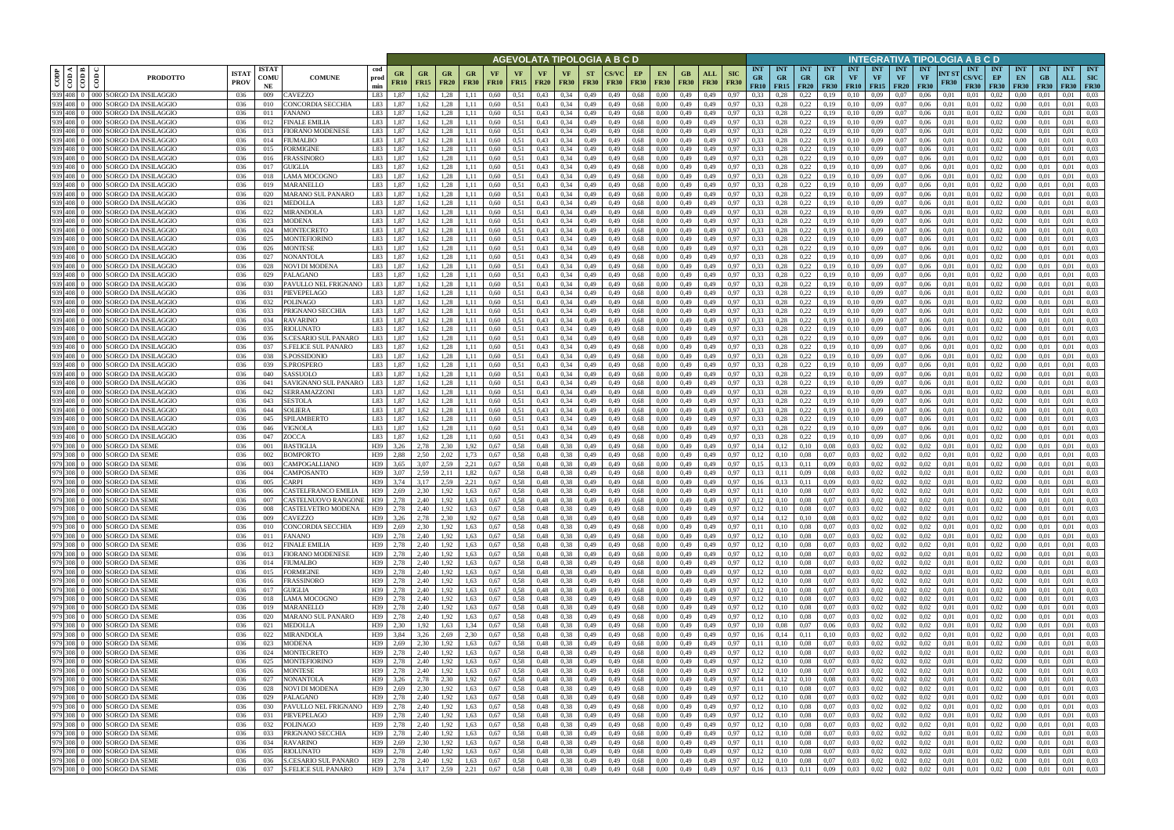|                                                |                                                              |                             |                            |                                                           |                    |                                   |                          |                                          |                   |                   |                   |                              |                   |                          | AGEVOLATA TIPOLOGIA A B C D     |                   |                    |                                |                    |                           |                                 |                                        |                                        |                                        |                         |                                             |                                        | INTEGRATIVA TIPOLOGIA A B C D   |               |                                    |                                                              |                                 |                           |                                  |                                         |
|------------------------------------------------|--------------------------------------------------------------|-----------------------------|----------------------------|-----------------------------------------------------------|--------------------|-----------------------------------|--------------------------|------------------------------------------|-------------------|-------------------|-------------------|------------------------------|-------------------|--------------------------|---------------------------------|-------------------|--------------------|--------------------------------|--------------------|---------------------------|---------------------------------|----------------------------------------|----------------------------------------|----------------------------------------|-------------------------|---------------------------------------------|----------------------------------------|---------------------------------|---------------|------------------------------------|--------------------------------------------------------------|---------------------------------|---------------------------|----------------------------------|-----------------------------------------|
| ⊲ ∣ ≃<br>CODP<br>$\frac{1}{100}$<br>$\epsilon$ | <b>PRODOTTO</b>                                              | <b>ISTA1</b><br><b>PROV</b> | <b>ISTAT</b><br>COMU<br>NE | <b>COMUNE</b>                                             | cod<br>prod<br>min | GR<br><b>FR10</b>                 | <b>GR</b><br><b>FR15</b> | <b>GR</b><br><b>FR20</b>                 | GR<br><b>FR30</b> | VF<br><b>FR10</b> | VF<br><b>FR15</b> | <b>VF</b><br><b>FR20</b>     | VF<br><b>FR30</b> | <b>ST</b><br><b>FR30</b> | <b>CS/VC</b><br><b>FR30</b>     | EP<br><b>FR30</b> | EN.<br><b>FR30</b> | GB.<br><b>FR30</b>             | ALL<br><b>FR30</b> | <b>SIC</b><br><b>FR30</b> | <b>INT</b><br><b>GR</b><br>FR10 | <b>INT</b><br><b>GR</b><br><b>FR15</b> | <b>INT</b><br><b>GR</b><br><b>FR20</b> | <b>INT</b><br><b>GR</b><br><b>FR30</b> | <b>INT</b><br><b>VF</b> | <b>INT</b><br><b>VF</b><br><b>FR10</b> FR15 | <b>INT</b><br><b>VF</b><br><b>FR20</b> | <b>INT</b><br>VF<br><b>FR30</b> | NT ST<br>FR30 | INT<br><b>CS/VC</b><br><b>FR30</b> | <b>INT</b><br>EP<br><b>FR30</b>                              | <b>INT</b><br>EN<br><b>FR30</b> | <b>INT</b><br>GB<br>F R30 | <b>INT</b><br>ALL<br><b>FR30</b> | <b>INT</b><br><b>SIC</b><br><b>FR30</b> |
| 939 408 0<br>939 408 0                         | 000 SORGO DA INSILAGGIO<br>000 SORGO DA INSILAGGIO           | 036<br>036                  | 009<br>010                 | CAVEZZO<br>CONCORDIA SECCHIA                              | L83<br>L83         | 1.87<br>1.87                      | 1,62<br>1,62             | 1.28<br>1,28                             |                   | 0.60<br>0,60      | 0,51<br>0,51      | 0.43<br>0,43                 | 0.34<br>0.34      | 0,49<br>0,49             | 0,49<br>0,49                    | 0,68<br>0,68      | 0.00<br>0.00       | 0,49<br>0,49                   | 0.49<br>0,49       | 0.97<br>0,97              | 0.33<br>0.33                    | 0.28<br>0,28                           | 0,22<br>0,22                           | 0.19<br>0,19                           | $0.10\,$<br>0,10        | 0.09<br>0.09                                | 0.07<br>0.07                           | 0.06<br>0,06                    | 0.01<br>0,01  | 0.01<br>0,01                       | 0.02<br>0.02                                                 | 0.00<br>0,00                    | 0,01                      | 0.01<br>0.01                     | 0.03<br>0.03                            |
| 939 408 0                                      | 000 SORGO DA INSILAGGIO                                      | 036                         | 011                        | FANANO                                                    | L83                | 1,87                              | 1,62                     | 1,28                                     |                   | 0,60              | 0,51              | 0,43                         | 0.34              | 0,49                     | 0,49                            | 0,68              | 0.00               | 0,49                           | 0,49               | 0.97                      | 0.33                            | 0,28                                   | 0,22                                   | 0,19                                   | 0,10                    | 0,09                                        | 0,07                                   | 0,06                            | 0,01          | 0,01                               | 0,02                                                         | 0,00                            | -0.01                     | 0.01                             | 0.03                                    |
| 939 408 0                                      | 000 SORGO DA INSILAGGIO                                      | 036                         | 012                        | <b>FINALE EMILIA</b>                                      | L83                | 1.87                              | 1.62                     | 1.28                                     |                   | 0.60              | 0.51              | 0.43                         | 0.34              | 0,49                     | 0,49                            | 0,68              | 0.00               | 0,49                           | 0.49               | 0.97                      | 0.33                            | 0.28                                   | 0,22                                   | 0,19                                   | 0.10                    | 0.09                                        | 0,07                                   | 0.06                            | 0.01          | 0.01                               | 0.02                                                         | 0.00                            | 0.01                      | 0.01                             | 0.03                                    |
| 939 408 0                                      | 000 SORGO DA INSILAGGIO                                      | 036                         | 013                        | FIORANO MODENESE                                          | L83                | 1.87                              | 1.62                     | 1.28                                     |                   | 0.60              | 0.51              | 0.43                         | 0.34              | 0,49                     | 0.49                            | 0.68              | 0.00               | 0.49                           | 0.49               | 0.97                      | 0.33                            | 0.28                                   | 0,22                                   | 0.19                                   | 0.10                    | 0.09                                        | 0.07                                   | 0.06                            | 0.01          | 0.01                               | 0.02                                                         | 0.00                            | -00                       | 0.01                             | 0.03                                    |
| 939 408 0                                      | 000 SORGO DA INSILAGGIO<br>000 SORGO DA INSILAGGIO           | 036                         | 014                        | <b>IUMALBO</b>                                            | L83                | 1.87                              | 1.62                     | 1.28                                     |                   | 0.60              | 0,51              | 0,43                         | 0.34              | 0,49                     | 0,49                            | 0,68              | 0.00               | 0,49                           | 0,49               | 0.97                      | 0.33                            | 0,28                                   | 0,22                                   | 0,19                                   | 0,10                    | 0.09                                        | 0,07                                   | 0.06                            | 0.01          | 0.01                               | 0.02                                                         | 0,00                            | 0.01                      | 0.01                             | 0.03                                    |
| 939 408 0<br>939 408 0                         | 000 SORGO DA INSILAGGIO                                      | -036<br>-036                | 015<br>016                 | FORMIGINE<br><b>FRASSINORO</b>                            | L83<br>L83         | 1.87<br>1.87                      | 1.62<br>1.62             | 1.28<br>1.28                             | 1.11<br>1.11      | 0.60<br>0.60      | 0,51<br>0.51      | 0.43<br>0.43                 | 0.34<br>0.34      | 0,49<br>0,49             | 0.49<br>0,49                    | 0.68<br>0.68      | 0.00<br>0.00       | 0.49<br>0,49                   | 0.49<br>0,49       | 0.97<br>0.97              | 0.33<br>0.33                    | 0.28<br>0,28                           | 0,22<br>0,22                           | 0,19<br>0,19                           | 0.10<br>0.10            | 0.09<br>0.09                                | 0.07<br>0.07                           | 0.06<br>0.06                    | 0.01<br>0.01  | 0.01<br>0.01                       | 0.02<br>0.02                                                 | 0.00<br>$0.00\,$                | 0.01<br>0.01              | 0.01<br>0.01                     | 0.03<br>0.03                            |
| 939 408 0                                      | 000 SORGO DA INSILAGGIO                                      | 036                         | 017                        | GUIGLIA                                                   | L83                | 1,87                              | 1.62                     | 1,28                                     | 1,11              | 0.60              | 0,51              | 0.43                         | 0.34              | 0,49                     | 0,49                            | 0.68              | 0.00               | 0,49                           | 0,49               | 0.97                      | 0.33                            | 0,28                                   | 0,22                                   | 0,19                                   | 0,10                    | 0.09                                        | 0,07                                   | 0.06                            | 0.01          | 0,01                               | 0,02                                                         | $0.00\,$                        | 0.01                      | 0.01                             | 0.03                                    |
| 939 408 0<br>000                               | SORGO DA INSILAGGIO                                          | 036                         | 018                        | AMA MOCOGNO                                               | L83                | 1,87                              | 1.62                     | 1,28                                     | 1,11              | 0.60              | 0.51              | 0.43                         | 0.34              | 0,49                     | 0,49                            | 0,68              | 0.00               | 0,49                           | 0,49               | 0.97                      | 0.33                            | 0,28                                   | 0,22                                   | 0,19                                   | 0,10                    | 0.09                                        | 0.07                                   | 0,06                            | 0,01          | 0,01                               | 0.02                                                         | 0,00                            | 0.01                      | 0.01                             | 0.03                                    |
| 939 408                                        | 000 SORGO DA INSILAGGIO                                      | 036                         | 019                        | <b>MARANELLO</b>                                          | L83                | 1,87                              | 1,62                     | 1,28                                     | 1,11              | 0.60              | 0,51              | 0.43                         | 0.34              | 0,49                     | 0,49                            | 0.68              | 0.00               | 0,49                           | 0,49               | 0.97                      | 0.33                            | 0,28                                   | 0,22                                   | 0,19                                   | 0,10                    | 0.09                                        | 0.07                                   | 0,06                            | 0.01          | 0,01                               | 0,02                                                         | 0,00                            | 0.01                      | 0.01                             | 0.03                                    |
| 939 408 0<br>939 408 0                         | 000 SORGO DA INSILAGGIO<br>000 SORGO DA INSILAGGIO           | 036<br>036                  | 020<br>021                 | MARANO SUL PANARO<br><b>MEDOLLA</b>                       | L83<br>L83         | 1,87<br>1,87                      | 1,62<br>1,62             | 1,28<br>1.28                             | 1,11<br>1.11      | 0,60<br>0.60      | 0,51<br>0,51      | 0,43<br>0.43                 | 0,34<br>0.34      | 0,49<br>0,49             | 0,49<br>0,49                    | 0,68<br>0.68      | 0,00<br>0.00       | 0,49<br>0,49                   | 0,49<br>0,49       | 0,97<br>0.97              | 0,33<br>0.33                    | 0,28<br>0.28                           | 0,22<br>0,22                           | 0,19<br>0,19                           | 0,10<br>0,10            | 0,09<br>0.09                                | 0.07<br>0.07                           | 0,06<br>0,06                    | 0,01<br>0.01  | 0,01<br>0.01                       | 0,02<br>0.02                                                 | 0,00<br>0,00                    | 0,01<br>0.01              | 0,01<br>0,01                     | 0,03<br>0.03                            |
| 939 408 0                                      | 000 SORGO DA INSILAGGIO                                      | 036                         | 022                        | MIRANDOLA                                                 | L83                | 1,87                              | 1,62                     | 1.28                                     | 1.11              | 0,60              | 0,51              | 0.43                         | 0.34              | 0,49                     | 0,49                            | 0.68              | 0.00               | 0,49                           | 0,49               | 0.97                      | 0.33                            | 0,28                                   | 0,22                                   | 0,19                                   | 0,10                    | 0,09                                        | 0.07                                   | 0,06                            | 0,01          | 0.01                               | 0.02                                                         | 0,00                            | 0.01                      | 0,01                             | 0.03                                    |
|                                                | 939 408 0 000 SORGO DA INSILAGGIO                            | 036                         | 023                        | <b>MODENA</b>                                             | L83                | 1,87                              | 1,62                     | 1,28                                     | 1.11              | 0,60              | 0,51              | 0,43                         | 0.34              | 0,49                     | 0,49                            | 0.68              | 0,00               | 0,49                           | 0,49               | 0.97                      | 0.33                            | 0,28                                   | 0,22                                   | 0,19                                   | 0,10                    | 0,09                                        | 0.07                                   | 0,06                            | 0,01          | 0,01                               | 0,02                                                         | 0,00                            | 0.01                      | 0,01                             | 0.03                                    |
| 939 408 0                                      | 000 SORGO DA INSILAGGIO                                      | 036                         | 024                        | <b>MONTECRETO</b>                                         | L83                | 1.87                              | 1.62                     | 1.28                                     | 1.11              | 0.60              | 0.51              | 0.43                         | 0.34              | 0.49                     | 0.49                            | 0.68              | 0.00               | 0,49                           | 0.49               | 0.97                      | 0.33                            | 0.28                                   | 0,22                                   | 0,19                                   | 0,10                    | 0.09                                        | 0.07                                   | 0.06                            | 0.01          | 0.01                               | 0.02                                                         | 0.00                            | 0.01                      | 0.01                             | 0.03                                    |
| 939 408 0<br>939 408 0                         | 000 SORGO DA INSILAGGIO<br>000 SORGO DA INSILAGGIO           | 036<br>036                  | 025<br>026                 | <b>MONTEFIORINO</b><br>MONTESE                            | L83<br>L83         | 1.87<br>1.87                      | 1.62<br>1.62             | 1.28<br>1,28                             | -1.11<br>1.11     | 0.60<br>0.60      | 0,51<br>0,51      | 0.43<br>0.43                 | 0.34<br>0.34      | 0,49<br>0,49             | 0,49<br>0,49                    | 0.68<br>0,68      | 0.00<br>0.00       | 0.49<br>0,49                   | 0.49<br>0,49       | 0.97<br>0.97              | 0.33<br>0.33                    | 0.28<br>0,28                           | 0,22<br>0,22                           | 0,19<br>0,19                           | 0,10<br>0,10            | 0.09<br>0,09                                | 0.07<br>0,07                           | 0.06<br>0.06                    | 0.01<br>0.01  | 0.01<br>0.01                       | 0.02<br>0,02                                                 | 0.00<br>0,00                    | 0.01<br>0.01              | 0.01<br>0.01                     | 0.03<br>0.03                            |
| 939 408 0                                      | 000 SORGO DA INSILAGGIO                                      | 036                         | 027                        | NONANTOLA                                                 | L83                | 1.87                              |                          | .28                                      |                   | 0.60              | 0,51              | 0.43                         | 0.34              | 0.49                     | 0.49                            | 0.68              | 0.00               | 0.49                           | 0.49               | 0.97                      | 0.33                            | 0.28                                   | 0,22                                   | 0,19                                   | $0.10\,$                | 0.09                                        | 0.07                                   | 0.06                            | 0.01          | 0.01                               | 0.02                                                         | 0.00                            | 0.01                      | 0.01                             | 0.03                                    |
| 939 408 0                                      | 000 SORGO DA INSILAGGIO                                      | 036                         | 028                        | NOVI DI MODENA                                            | L83                | 1.87                              |                          | 1.28                                     |                   | 0.60              | 0.51              | 0.43                         | 0.34              | 0.49                     | 0.49                            | 0.68              | 0.00               | 0.49                           | 0.49               | 0.97                      | 0.33                            | 0.28                                   | 0,22                                   | 0,19                                   | 0.10                    | 0.09                                        | 0.07                                   | 0.06                            | 0.01          | 0.01                               | 0.02                                                         | 0.00                            | $0.0^{\circ}$             | 0.01                             | 0.03                                    |
| 939 408 0                                      | 000 SORGO DA INSILAGGIO                                      | 036                         | 029                        | PALAGANO                                                  | L83                | 1.87                              | 1,62                     | 1,28                                     |                   | 0.60              | 0,51              | 0,43                         | 0.34              | 0,49                     | 0,49                            | 0.68              | 0.00               | 0,49                           | 0,49               | 0,97                      | 0.33                            | 0,28                                   | 0,22                                   | 0,19                                   | 0,10                    | 0.09                                        | 0,07                                   | 0.06                            | 0.01          | 0.01                               | 0,02                                                         | 0.00                            | 0.01                      | 0.01                             | 0.03                                    |
| 939 408 0<br>939 408 0                         | 000 ISORGO DA INSILAGGIO                                     | 036                         | 030                        | PAVULLO NEL FRIGNANO                                      | L83<br>L83         | 1.87<br>1.87                      | 1.62                     | 1.28<br>1.28                             |                   | 0.60              | 0.51              | 0.43                         | 0.34              | 0,49                     | 0,49                            | 0,68              | 0.00               | 0,49                           | 0.49               | 0.97                      | 0.33<br>0.33                    | 0.28                                   | 0,22                                   | 0,19                                   | 0,10                    | 0.09<br>0.09                                | 0,07                                   | 0.06                            | 0.01          | 0.01                               | 0.02                                                         | 0.00<br>0.00                    | 0.01                      | 0.01<br>0.01                     | 0.03<br>0.03                            |
| 939 408 0                                      | 000 SORGO DA INSILAGGIO<br>000 SORGO DA INSILAGGIO           | 036<br>036                  | 031<br>032                 | PIEVEPELAGO<br>POLINAGO                                   | L83                | 1,87                              | 1,62<br>1,62             | 1,28                                     |                   | 0.60<br>0.60      | 0,51<br>0,51      | 0.43<br>0.43                 | 0.34<br>0.34      | 0,49<br>0,49             | 0,49<br>0,49                    | 0,68<br>0,68      | 0.00<br>0.00       | 0,49<br>0,49                   | 0,49<br>0.49       | 0,97<br>0.97              | 0.33                            | 0,28<br>0,28                           | 0,22<br>0,22                           | 0,19<br>0,19                           | 0,10<br>0,10            | 0.09                                        | 0.07<br>0.07                           | 0,06<br>0.06                    | 0,01<br>0.01  | 0,01<br>0,01                       | 0,02<br>0,02                                                 | 0,00                            | 0.01<br>0.01              | 0.01                             | 0.03                                    |
| 939 408 0                                      | 000 SORGO DA INSILAGGIO                                      | 036                         | 033                        | PRIGNANO SECCHIA                                          | L83                | 1.87                              | 1,62                     | .28                                      |                   | 0.60              | 0,51              | 0.43                         | 0.34              | 0,49                     | 0,49                            | 0,68              | 0.00               | 0,49                           | 0.49               | 0.97                      | 0.33                            | 0.28                                   | 0,22                                   | 0,19                                   | 0,10                    | 0.09                                        | 0.07                                   | 0.06                            | 0.01          | 0,01                               | 0.02                                                         | 0.00                            | 0.01                      | 0.01                             | 0.03                                    |
| 939 408 0                                      | 000 SORGO DA INSILAGGIO                                      | 036                         | 034                        | RAVARINO                                                  | L83                | 1.87                              | 1.62                     | .28                                      |                   | 0.60              | 0.51              | 0.43                         | 0.34              | 0,49                     | 0.49                            | 0,68              | 0.00               | 0,49                           | 0.49               | 0.97                      | 0.33                            | 0.28                                   | 0,22                                   | 0,19                                   | $0.10\,$                | 0.09                                        | 0.07                                   | 0.06                            | 0.01          | 0.01                               | 0.02                                                         | 0.00                            |                           | 0.01                             | 0.03                                    |
| 939 408 0                                      | 000 SORGO DA INSILAGGIO                                      | 036                         | 035                        | RIOLUNATO                                                 | L83                | 1,87                              | 1,62                     | 1,28                                     |                   | 0,60              | 0,51              | 0,43                         | 0,34              | 0,49                     | 0,49                            | 0,68              | 0,00               | 0,49                           | 0,49               | 0,97                      | 0,33                            | 0,28                                   | 0,22                                   | 0,19                                   | 0,10                    | 0,09                                        | 0.07                                   | 0,06                            | 0,01          | 0,01                               | 0,02                                                         | 0,00                            | 0,01                      | 0,01                             | 0.03                                    |
| 939 408 0<br>939 408 0                         | 000 SORGO DA INSILAGGIO<br>000 SORGO DA INSILAGGIO           | 036<br>036                  | 036<br>037                 | <b>S.CESARIO SUL PANARO</b><br><b>S.FELICE SUL PANARO</b> | L83<br>L83         | 1.87<br>1.87                      | 1.62<br>1.62             | 1.28<br>1.28                             | 1.11              | 0.60<br>0.60      | 0.51<br>0,51      | 0.43<br>0.43                 | 0.34<br>0.34      | 0,49<br>0,49             | 0.49<br>0,49                    | 0.68<br>0.68      | 0.00<br>0.00       | 0,49<br>0,49                   | 0.49<br>0,49       | 0.97<br>0.97              | 0.33<br>0.33                    | 0,28<br>0,28                           | 0,22<br>0,22                           | 0,19<br>0,19                           | 0.10<br>0,10            | 0.09<br>0.09                                | 0.07<br>0,07                           | 0.06<br>0.06                    | 0.01<br>0.01  | 0.01<br>0.01                       | 0.02<br>0.02                                                 | 0.00<br>0,00                    | 0.01<br>0.01              | 0.01<br>0.01                     | 0.03<br>0.03                            |
| 939 408 0                                      | 000 SORGO DA INSILAGGIO                                      | 036                         | 038                        | S.POSSIDONIO                                              | L83                | 1.87                              | 1.62                     | 1.28                                     | 1.11              | 0.60              | 0.51              | 0.43                         | 0.34              | 0,49                     | 0,49                            | 0,68              | 0.00               | 0,49                           | 0.49               | 0.97                      | 0.33                            | 0.28                                   | 0,22                                   | 0,19                                   | 0,10                    | 0.09                                        | 0.07                                   | 0.06                            | 0.01          | 0.01                               | 0.02                                                         | 0.00                            | -0.01                     | 0.01                             | 0.03                                    |
| 939 408 0                                      | 000 SORGO DA INSILAGGIO                                      | 036                         | 039                        | <b>S.PROSPERO</b>                                         | L83                | 1.87                              | 1.62                     | 1.28                                     | 1.11              | 0.60              | 0.51              | 0.43                         | 0.34              | 0,49                     | 0,49                            | 0.68              | 0.00               | 0,49                           | 0,49               | 0.97                      | 0.33                            | 0,28                                   | 0,22                                   | 0,19                                   | 0.10                    | 0.09                                        | 0.07                                   | 0.06                            | 0.01          | 0.01                               | 0.02                                                         | 0.00                            | 0.01                      | 0.01                             | 0.03                                    |
| 939 408 0                                      | 000 SORGO DA INSILAGGIO                                      | 036                         | 040                        | SASSUOLO                                                  | I 83               | 1.87                              | 1.62                     | 1.28                                     | 1.11              | 0.60              | 0,51              | 0.43                         | 0.34              | 0,49                     | 0.49                            | 0.68              | 0.00               | 0,49                           | 0.49               | 0.97                      | 0.33                            | 0.28                                   | 0,22                                   | 0,19                                   | 0.10                    | 0.09                                        | 0.07                                   | 0.06                            | 0.01          | 0.01                               | 0.02                                                         | 0.00                            | 0.01                      | 0.01                             | 0.03                                    |
| 939 408<br>$000 -$                             | 939 408 0 000 SORGO DA INSILAGGIO<br>SORGO DA INSILAGGIO     | 036<br>036                  | 041<br>042                 | SAVIGNANO SUL PANARO<br>SERRAMAZZONI                      | L83<br>L83         | 1,87<br>1,87                      | 1,62<br>1.62             | 1,28<br>1,28                             | 1,11<br>1.11      | 0,60<br>0.60      | 0,51<br>0,51      | 0,43<br>0.43                 | 0.34<br>0.34      | 0,49<br>0,49             | 0,49<br>0,49                    | 0,68<br>0.68      | 0,00<br>0.00       | 0,49<br>0,49                   | 0,49<br>0,49       | 0,97<br>0.97              | 0.33<br>0.33                    | 0,28<br>0,28                           | 0,22<br>0,22                           | 0,19<br>0,19                           | 0,10<br>0,10            | 0,09<br>0.09                                | 0,07<br>0.07                           | 0.06<br>0.06                    | 0,01<br>0.01  | 0,01<br>0.01                       | 0,02<br>0.02                                                 | $0.00\,$<br>0.00                | 0.01<br>0.01              | 0.01<br>0.01                     | 0.03<br>0.03                            |
| 939 408 0                                      | 000 SORGO DA INSILAGGIO                                      | 036                         | 043                        | SESTOLA                                                   | L83                | 1,87                              | 1,62                     | 1,28                                     | 1,11              | 0.60              | 0,51              | 0,43                         | 0.34              | 0,49                     | 0,49                            | 0,68              | 0.00               | 0,49                           | 0,49               | 0.97                      | 0.33                            | 0,28                                   | 0,22                                   | 0,19                                   | 0,10                    | 0.09                                        | 0.07                                   | 0,06                            | 0,01          | 0,01                               | 0,02                                                         | 0,00                            | 0.01                      | 0.01                             | 0.03                                    |
| 939 408 0                                      | 000 SORGO DA INSILAGGIO                                      | 036                         | 044                        | SOLIERA                                                   | L83                | 1,87                              | 1,62                     | 1,28                                     | 1,11              | 0,60              | 0,51              | 0,43                         | 0.34              | 0,49                     | 0,49                            | 0,68              | 0,00               | 0,49                           | 0,49               | 0,97                      | 0.33                            | 0,28                                   | 0,22                                   | 0,19                                   | 0,10                    | 0,09                                        | 0.07                                   | 0,06                            | 0,01          | 0,01                               | 0,02                                                         | 0,00                            | 0,01                      | 0,01                             | 0,03                                    |
| 939 408 0                                      | 000 SORGO DA INSILAGGIO                                      | 036                         | 045                        | SPILAMBERTO                                               | L83                | 1,87                              | 1,62                     | 1.28                                     | 1.11              | 0,60              | 0,51              | 0.43                         | 0.34              | 0,49                     | 0,49                            | 0.68              | 0.00               | 0,49                           | 0,49               | 0.97                      | 0.33                            | 0,28                                   | 0,22                                   | 0,19                                   | 0,10                    | 0,09                                        | 0.07                                   | 0,06                            | 0,01          | 0,01                               | 0.02                                                         | 0,00                            | 0.01                      | 0,01                             | 0.03                                    |
| 939 408 0                                      | 000 SORGO DA INSILAGGIO<br>939 408 0 000 SORGO DA INSILAGGIO | 036<br>036                  | 046<br>047                 | VIGNOLA<br>ZOCCA                                          | L83<br>L83         | 1,87<br>1,87                      | 1,62<br>1,62             | 1,28<br>1,28                             | 1,11<br>1,11      | 0,60<br>0,60      | 0,51<br>0,51      | 0.43<br>0,43                 | 0.34<br>0.34      | 0,49<br>0,49             | 0,49<br>0,49                    | 0.68<br>0.68      | 0,00<br>0.00       | 0,49<br>0,49                   | 0,49<br>0,49       | 0.97<br>0.97              | 0.33<br>0.33                    | 0,28<br>0,28                           | 0,22<br>0,22                           | 0,19<br>0,19                           | 0,10<br>0,10            | 0.09<br>0,09                                | 0.07<br>0.07                           | 0,06<br>0,06                    | 0.01<br>0,01  | 0,01<br>0.01                       | 0,02<br>0,02                                                 | 0,00<br>0,00                    | 0.01<br>0.01              | 0,01<br>0,01                     | 0.03<br>0.03                            |
|                                                | 979 308 0 000 SORGO DA SEME                                  | 036                         | 001                        | <b>BASTIGLIA</b>                                          | H39                | 3.26                              | 2.78                     | 2.30                                     | 1.92              | 0.67              | 0.58              | 0.48                         | 0.38              | 0,49                     | 0.49                            | 0.68              | 0.00               | 0,49                           | 0.49               | 0.97                      | 0.14                            | 0.12                                   | 0,10                                   | 0.08                                   | 0.03                    | 0.02                                        | 0.02                                   | 0.02                            | 0.01          | 0.01                               | 0.02                                                         | 0.00                            | 0.01                      | 0.01                             | 0.03                                    |
|                                                | 979 308 0 000 SORGO DA SEME                                  | 036                         | 002                        | BOMPORTO                                                  | H39                | 2.88                              | 2.50                     | 2.02                                     | 1.73              | 0.67              | 0.58              | 0.48                         | 0.38              | 0,49                     | 0.49                            | 0.68              | 0.00               | 0,49                           | 0.49               | 0.97                      | 0.12                            | 0.10                                   | 0,08                                   | 0.07                                   | 0.03                    | 0.02                                        | 0.02                                   | 0.02                            | 0.01          | 0.01                               | 0,02                                                         | 0.00                            | 0.01                      | 0.01                             | 0.03                                    |
|                                                | 979 308 0 000 SORGO DA SEME                                  | 036                         | 003                        | <b>CAMPOGALLIANO</b>                                      | H39                | 3,65                              | 3,07                     | 2,59                                     | 2,21              | 0,67              | 0,58              | 0,48                         | 0.38              | 0,49                     | 0,49                            | 0,68              | 0,00               | 0,49                           | 0,49               | 0.97                      | 0,15                            | 0,13                                   | 0,11                                   | 0.09                                   | 0,03                    | 0,02                                        | 0.02                                   | 0,02                            | 0,01          | 0.01                               | 0,02                                                         | 0,00                            | 0.01                      | 0,01                             | 0.03                                    |
|                                                | 979 308 0 000 SORGO DA SEME<br>979 308 0 000 SORGO DA SEME   | 036<br>036                  | 004<br>005                 | CAMPOSANTO<br>CARPI                                       | H39<br>H39         | 3.07<br>3.74                      | 2.59<br>3.17             | 2.11<br>2.59                             | 1.82<br>2,21      | 0.67<br>0.67      | 0.58<br>0.58      | 0.48<br>0.48                 | 0.38<br>0.38      | 0.49<br>0,49             | 0.49<br>0,49                    | 0.68<br>0.68      | 0.00<br>0.00       | 0.49<br>0.49                   | 0.49<br>0,49       | 0.97<br>0.97              | 0.13<br>0.16                    | 0.11<br>0.13                           | 0.09<br>0,11                           | 0.08<br>0,09                           | 0.03<br>0.03            | 0.02<br>0.02                                | 0.02<br>0.02                           | 0.02<br>0.02                    | 0.01<br>0.01  | 0.01<br>0.01                       | 0.02<br>0.02                                                 | 0.00<br>0.00                    | 0.01<br>0.01              | 0.01<br>0.01                     | 0.03<br>0.03                            |
|                                                | 979 308 0 000 SORGO DA SEME                                  | 036                         | 006                        | CASTELFRANCO EMILIA                                       | H39                | 2.69                              | 2.30                     | 1,92                                     | 1.63              | 0.67              | 0.58              | 0.48                         | 0.38              | 0.49                     | 0.49                            | 0.68              | 0.00               | 0.49                           | 0.49               | 0.97                      | 0.11                            | 0.10                                   | 0.08                                   | 0.07                                   | 0.03                    | 0.02                                        | 0.02                                   | 0.02                            | 0.01          | 0.01                               | 0.02                                                         | 0.00                            | 0.01                      | 0.01                             | 0.03                                    |
|                                                | 979 308 0 000 SORGO DA SEME                                  | 036                         | 007                        | CASTELNUOVO RANGONE                                       | H39                | 2,78                              | 2,40                     | 1,92                                     | 1,63              | 0,67              | 0,58              | 0,48                         | 0,38              | 0,49                     | 0,49                            | 0,68              | 0,00               | 0,49                           | 0,49               | 0,97                      | 0,12                            | 0,10                                   | 0,08                                   | 0,07                                   | 0,03                    | 0,02                                        | 0,02                                   | 0,02                            | 0,01          | 0,01                               | 0,02                                                         | $0.00\,$                        | 0,01                      | 0,01                             | 0,03                                    |
|                                                | 979 308 0 000 SORGO DA SEME                                  | 036                         | 008                        | CASTELVETRO MODENA                                        | H39                | 2,78                              | 2,40                     | 1,92                                     | 1,63              | 0,67              | 0,58              | 0,48                         | 0,38              | 0,49                     | 0,49                            | 0,68              | 0,00               | 0,49                           | 0,49               | 0,97                      | 0,12                            | 0,10                                   | 0,08                                   | 0,07                                   | 0,03                    | 0,02                                        | 0,02                                   | 0,02                            | 0,01          | 0,01                               | 0,02                                                         | $0.00\,$                        | 0,01                      | 0,01                             | 0,03                                    |
|                                                | 979 308 0 000 SORGO DA SEME<br>979 308 0 000 SORGO DA SEME   | 036<br>036                  | 009<br>010                 | CAVEZZO<br>CONCORDIA SECCHIA                              | H39<br>H39         | 3,26<br>2,69                      | 2,78<br>2,30             | 2,30<br>1,92                             | 1,92<br>1,63      | 0,67<br>0,67      | 0,58<br>0,58      | 0,48<br>0,48                 | 0,38<br>0,38      | 0,49<br>0,49             | 0,49<br>0,49                    | 0,68<br>0,68      | 0,00<br>0,00       | 0,49<br>$0,49$ $0,49$          | 0,49               | 0,97<br>0,97              | 0,14<br>0,11                    | 0,12<br>0,10                           | 0,10<br>0,08                           | 0,08<br>0,07                           |                         | $0,03$ 0.02<br>$0,03$ 0.02                  | 0,02<br>0,02                           | 0,02<br>0,02                    | 0,01<br>0,01  | 0,01<br>0,01                       | 0,02<br>0,02                                                 | 0,00<br>$0.00\,$                | 0,01<br>0,01              | 0,01<br>0,01                     | 0,03<br>0,03                            |
|                                                | 979 308 0 000 SORGO DA SEME                                  | 036                         | 011                        | FANANO                                                    | H39                | 2,78                              | 2,40                     | 1,92                                     | 1,63              | 0,67              | 0,58              | 0,48                         | 0,38              | 0,49                     | 0,49                            | 0,68              | 0,00               | 0,49                           | 0,49               | 0,97                      | 0,12                            | 0,10                                   | 0,08                                   | 0,07                                   |                         | $0,03$ 0.02                                 | 0,02                                   | 0,02                            | 0,01          | 0,01                               | 0,02                                                         | 0,00                            | 0,01                      | 0,01                             | 0,03                                    |
|                                                | 979 308 0 000 SORGO DA SEME                                  | 036                         | 012                        | <b>FINALE EMILIA</b>                                      | H39                | 2,78                              | 2,40                     | 1,92                                     | 1,63              | 0,67              | 0,58              | 0,48                         | 0,38              | 0,49                     | 0,49                            | 0,68              | 0,00               | $0,49$ $0,49$                  |                    | 0,97                      | 0,12                            | 0,10                                   | 0,08                                   | 0,07                                   |                         | $0,03$ 0.02                                 | 0,02                                   | 0,02                            | 0,01          | 0,01                               | 0,02                                                         | $0,\!00$                        | 0,01                      | 0,01                             | 0,03                                    |
|                                                | 979 308 0 000 SORGO DA SEME                                  | 036                         | 013                        | FIORANO MODENESE                                          | H39                | 2,78                              | 2,40                     | 1,92                                     | 1,63              | 0,67              | 0,58              | 0,48                         | 0,38              | 0,49                     | 0,49 0,68                       |                   | 0,00               | $0,49$ $0,49$                  |                    | 0,97                      | 0,12                            | 0,10                                   | 0,08                                   | 0,07                                   |                         | $0,03$ $0,02$                               | 0,02                                   | 0,02                            | 0,01          | 0,01                               | 0,02                                                         | $0,00$ $0,01$                   |                           | 0.01                             | 0,03                                    |
|                                                | 979 308 0 000 SORGO DA SEME<br>979 308 0 000 SORGO DA SEME   | 036<br>036                  | 014<br>015                 | FIUMALBO<br><b>FORMIGINE</b>                              | H39<br>H39         | 2,78<br>2,78                      | 2,40<br>2,40             | $1,92$ $1,63$ $0,67$<br>$1,92$ 1,63 0,67 |                   |                   | 0,58<br>0,58      | 0,48<br>$0,48$ 0,38          | 0,38              | 0,49<br>0,49             | 0,49                            | 0,49 0,68<br>0,68 | 0,00<br>0,00       | $0,49$ $0,49$<br>$0,49$ $0,49$ |                    | 0,97<br>0,97              | 0,12<br>0,12                    | 0,10<br>0,10                           | 0,08<br>0,08                           | 0,07<br>0,07                           |                         | $0,03$ 0.02<br>$0,03$ 0.02                  | 0,02<br>0,02                           | 0,02<br>0,02                    | 0,01<br>0,01  | 0.01<br>0,01                       | 0,02<br>0,02                                                 | $0,00$ $0,01$<br>$0,00$ $0,01$  |                           | 0,01<br>0,01                     | 0,03<br>0,03                            |
|                                                | 979 308 0 000 SORGO DA SEME                                  | 036                         | 016                        | FRASSINORO                                                | H39                | 2,78                              | 2,40                     | 1,92                                     | 1,63              | 0,67              | 0,58              | 0,48                         | 0,38              | 0,49                     | 0,49                            | 0,68              | 0,00               | 0,49                           | 0,49               | 0,97                      | 0,12                            | 0,10                                   | 0,08                                   | 0,07                                   | 0,03                    | 0,02                                        | 0,02                                   | 0,02                            | 0,01          | 0,01                               | 0,02                                                         | 0,00                            | 0,01                      | 0,01                             | 0,03                                    |
|                                                | 979 308 0 000 SORGO DA SEME                                  | 036                         | 017                        | <b>GUIGLIA</b>                                            | H39                | 2,78                              | 2,40                     | 1,92                                     | 1,63              | 0,67              | 0,58              | 0,48                         | 0,38              | 0,49                     | 0,49                            | 0,68              | 0,00               | 0,49                           | 0,49               | 0,97                      | 0,12                            | 0,10                                   | 0,08                                   | 0,07                                   | 0,03                    | 0,02                                        | 0,02                                   | 0,02                            | 0,01          | 0,01                               | 0,02                                                         | 0,00                            | 0,01                      | 0,01                             | 0,03                                    |
|                                                | 979 308 0 000 SORGO DA SEME                                  | 036                         | 018                        | LAMA MOCOGNO                                              | H <sub>39</sub>    | 2,78                              | 2,40                     | 1,92                                     | 1,63              | 0,67              | 0,58              | 0,48                         | 0,38              | 0,49                     | 0,49                            | 0,68              | 0,00               | 0,49                           | 0,49               | 0,97                      | 0,12                            | 0,10                                   | 0,08                                   | 0,07                                   | 0,03                    | 0,02                                        | 0,02                                   | 0,02                            | 0,01          | 0,01                               | 0,02                                                         | 0,00                            | 0,01                      | 0,01                             | 0,03                                    |
|                                                | 979 308 0 000 SORGO DA SEME<br>979 308 0 000 SORGO DA SEME   | 036<br>036                  | 019                        | <b>MARANELLO</b><br>MARANO SUL PANARO                     | H39<br>H39         | 2,78<br>2,78                      | 2,40<br>2,40             | $1,92$ 1,63<br>$1,92$ 1,63               |                   | 0,67              | 0,58<br>0,58      | 0,48                         | 0,38              | 0,49<br>0,49             | 0,49<br>0,49                    | 0,68<br>0,68      | 0,00               | 0,49<br>$0,49$ $0,49$          | 0,49               | 0,97                      | 0,12<br>0,12                    | 0,10                                   | 0,08                                   | 0,07<br>0,07                           |                         | $0,03$ 0.02<br>$0,03$ 0.02                  | 0,02                                   | 0,02<br>0,02                    | 0,01<br>0,01  | 0,01                               | 0,02<br>0,02                                                 | 0,00                            | 0,01                      | 0,01                             | 0,03<br>0,03                            |
|                                                | 979 308 0 000 SORGO DA SEME                                  | 036                         | 020<br>021                 | MEDOLLA                                                   | H39                | 2,30                              | 1,92                     | 1,63                                     | 1,34              | 0,67<br>0,67      | 0,58              | 0,48<br>0,48                 | 0,38<br>0,38      | 0,49                     | 0,49                            | 0,68              | 0,00<br>0,00       | 0,49                           | 0,49               | 0,97<br>0,97              | 0,10                            | 0,10<br>0,08                           | 0,08<br>0,07                           | 0,06                                   |                         | $0,03$ 0.02                                 | 0,02<br>0,02                           | 0,02                            | 0,01          | 0,01<br>0,01                       | 0,02                                                         | 0,00<br>$0,\!00$                | 0,01<br>  0,01            | 0,01<br>0,01                     | 0,03                                    |
|                                                | 979 308 0 000 SORGO DA SEME                                  | 036                         | 022                        | <b>MIRANDOLA</b>                                          | H39                | 3,84                              | 3,26                     | 2,69 2,30                                |                   | 0,67              | 0,58              | 0,48                         | 0,38              | 0,49                     | 0,49                            | 0.68              | 0,00               | $0,49$ $0,49$                  |                    | 0,97                      | 0,16                            | 0,14                                   | 0,11                                   | 0,10                                   |                         | $0,03$ 0.02                                 | 0,02                                   | 0,02                            | 0,01          | 0,01                               | 0,02                                                         | $0,00$ $0,01$                   |                           | 0,01                             | 0,03                                    |
|                                                | 979 308 0 000 SORGO DA SEME                                  | 036                         | 023                        | <b>MODENA</b>                                             | H39                | 2,69                              | 2,30                     | 1,92 1,63                                |                   | 0,67              | 0,58              | 0,48                         | 0,38              | 0,49                     | 0,49                            | 0,68              | 0,00               | $0,49$ $0,49$                  |                    | 0,97                      | 0,11                            | 0,10                                   | 0,08                                   | 0,07                                   |                         | $0,03$ 0.02                                 | 0,02                                   | 0,02                            | 0,01          | 0,01                               | 0,02                                                         | $0,00$ $0,01$                   |                           | 0,01                             | 0,03                                    |
|                                                | 979 308 0 000 SORGO DA SEME<br>979 308 0 000 SORGO DA SEME   | 036                         | 024                        | <b>MONTECRETO</b>                                         | H39                | 2,78                              | 2,40                     | 1,92 1,63                                |                   | 0,67              | 0,58              | 0,48                         | 0,38              | 0,49                     | 0,49                            | 0,68              | 0,00               | $0,49$ $0,49$                  |                    | 0,97                      | $0,12$ $0,10$                   |                                        | 0,08                                   | 0,07                                   |                         | $0,03$ 0.02                                 | 0,02                                   | 0,02                            | 0,01          | 0,01                               | 0,02                                                         | $0,00$ $0,01$                   |                           | 0,01                             | 0,03                                    |
|                                                | 979 308 0 000 SORGO DA SEME                                  | 036<br>036                  | 025<br>026                 | <b>MONTEFIORINO</b><br><b>MONTESE</b>                     | H39<br>H39         | 2,78<br>2,78                      | 2,40<br>2,40             | $1,92$ 1,63<br>1,92 1,63                 |                   | 0,67<br>0,67      | 0,58<br>0,58      | 0,48<br>0,48                 | 0,38<br>0,38      | 0,49<br>0,49             | 0,49<br>0,49                    | 0,68<br>0,68      | 0,00<br>0,00       | $0,49$ $0,49$<br>$0,49$ $0,49$ |                    | 0,97<br>0,97              | $0,12$ $0,10$<br>$0,12$ $0,10$  |                                        | 0,08<br>0,08                           | 0,07<br>0,07                           |                         | $0,03$ 0.02<br>$0,03$ 0.02                  | 0,02<br>0,02                           | 0,02<br>0,02                    | 0,01<br>0,01  | 0,01<br>0,01                       | 0,02<br>$0,02$ 0.00                                          | $0,00$ $0,01$                   | 0,01                      | 0,01<br>0,01                     | 0,03<br>0,03                            |
|                                                | 979 308 0 000 SORGO DA SEME                                  | 036                         | 027                        | <b>NONANTOLA</b>                                          | H39                | 3,26                              | 2,78                     | 2,30 1,92                                |                   | 0,67              | 0,58              | 0,48                         | 0,38              | 0,49                     | 0,49                            | 0,68              | 0,00               | $0,49$ $0,49$                  |                    | 0,97                      | $0,14$ $0,12$                   |                                        | 0,10                                   | 0,08                                   |                         | $0,03$ 0.02                                 | 0,02                                   | 0,02                            | 0,01          | 0,01                               | 0,02                                                         | 0,00                            | 0.01                      | 0,01                             | 0,03                                    |
|                                                | 979 308 0 000 SORGO DA SEME                                  | 036                         | 028                        | NOVI DI MODENA                                            | H39                | 2,69                              | 2,30                     | $1,92$ 1,63 0,67                         |                   |                   | 0,58              | $0,48$ 0.38                  |                   | 0,49                     | 0,49 0,68                       |                   | 0,00               | $0,49$ $0,49$                  |                    | 0,97                      | $0,11$ $0,10$                   |                                        | 0,08                                   | 0,07                                   |                         | $0,03$ 0.02                                 | 0,02                                   | 0,02                            | 0,01          | 0,01                               | $0,02$ 0.00                                                  |                                 | 0,01                      | 0,01                             | 0,03                                    |
|                                                | 979 308 0 000 SORGO DA SEME<br>979 308 0 000 SORGO DA SEME   | 036                         | 029                        | PALAGANO                                                  | H39                | 2,78                              | 2,40                     | $1,92$ 1,63 0,67                         |                   |                   | 0,58              | $0,48$ 0.38                  |                   | 0,49                     | $0,49$ $0,68$                   |                   | 0,00               | $0,49$ $0,49$                  |                    | 0,97                      | $0,12$ $0,10$                   |                                        | 0,08                                   | 0,07                                   |                         | $0,03$ 0.02                                 | 0,02                                   | 0,02                            | 0,01          | 0,01                               | $0.02 \quad 0.00$                                            |                                 | 0,01                      | 0,01                             | 0,03                                    |
|                                                | 979 308 0 000 SORGO DA SEME                                  | 036<br>036                  | 030<br>031                 | PAVULLO NEL FRIGNANO<br>PIEVEPELAGO                       | H39<br>H39         | 2,78<br>2,78                      | 2,40<br>2,40             | $1,92$ 1,63<br>1,92                      | 1,63              | 0,67<br>0.67      | 0,58<br>0,58      | 0,48<br>0,48                 | 0,38<br>0,38      | 0,49<br>0,49             | 0,49<br>0,49                    | 0,68<br>0,68      | 0,00<br>0,00       | 0,49<br>0,49                   | 0,49<br>0,49       | 0,97<br>0,97              | $0,12$ $0,10$<br>0,12           | 0,10                                   | 0,08<br>0,08                           | 0,07<br>0,07                           | 0,03                    | $0,03$ 0.02<br>0,02                         | 0,02<br>0,02                           | 0,02<br>0,02                    | 0,01<br>0,01  | 0,01<br>0,01                       | 0,02<br>0,02                                                 | 0,00<br>0,00                    | 0,01<br>0,01              | 0,01<br>0,01                     | 0,03<br>0,03                            |
|                                                | 979 308 0 000 SORGO DA SEME                                  | 036                         | 032                        | POLINAGO                                                  | H39                | 2,78                              | 2,40                     | 1,92                                     | 1,63              | 0,67              | 0,58              | 0,48                         | 0,38              | 0,49                     | 0,49                            | 0,68              | 0,00               | 0,49                           | 0,49               | 0,97                      | 0,12                            | 0,10                                   | 0,08                                   | 0,07                                   | 0,03                    | 0,02                                        | 0,02                                   | 0,02                            | 0,01          | 0,01                               | 0,02                                                         | 0,00                            | 0,01                      | 0,01                             | 0,03                                    |
|                                                | 979 308 0 000 SORGO DA SEME                                  | 036                         | 033                        | PRIGNANO SECCHIA                                          | H39                | 2,78                              | 2,40                     | $1,92 \quad 1,63$                        |                   | 0,67              | 0,58              | $0,48$ 0.38                  |                   | 0,49                     | 0,49 0,68                       |                   | 0,00               | $0,49$ $0,49$                  |                    | 0,97                      | 0,12                            | 0,10                                   | 0,08                                   | 0,07                                   |                         | $0,03$ 0.02                                 | 0,02                                   | 0,02                            | 0,01          | 0,01                               | 0,02                                                         | 0,00                            | 0,01                      | 0,01                             | 0,03                                    |
|                                                | 979 308 0 000 SORGO DA SEME<br>979 308 0 000 SORGO DA SEME   | 036                         | 034                        | <b>RAVARINO</b>                                           | H39                | 2,69                              | 2,30                     | 1,92 1,63                                |                   | 0,67              | 0,58              | $0,48$ 0.38                  |                   | 0,49                     | 0,49 0,68                       |                   | 0,00               | 0,49 0,49                      |                    | 0,97                      | 0,11                            | 0,10                                   | 0,08                                   | 0,07                                   |                         | $0,03$ 0.02                                 | 0,02                                   | 0,02                            | 0,01          | 0,01                               | 0,02                                                         | $0,00$ $0,01$                   |                           | 0,01                             | 0,03                                    |
|                                                | 979 308 0 000 SORGO DA SEME                                  | 036<br>036                  | 035<br>036                 | <b>RIOLUNATO</b><br><b>S.CESARIO SUL PANARO</b>           | H <sub>39</sub>    | 2,78<br>H <sub>39</sub> 2,78 2,40 | 2,40                     | $1,92$ 1,63 0,67<br>$1,92$ 1,63 0,67     |                   |                   | 0,58<br>0,58      | $0,48$ $0,38$<br>$0,48$ 0,38 |                   | 0,49<br>0,49             | 0,49 0,68<br>0,49 0,68          |                   | 0,00<br>0,00       | 0,49 0,49<br>0,49 0,49         |                    | 0,97<br>0,97              | 0,12<br>0,12                    | 0,10<br>0,10                           | 0,08<br>0,08                           | 0,07<br>0,07                           |                         | $0,03$ $0,02$<br>$0,03$ $0,02$              | 0,02<br>0,02                           | 0,02<br>0,02                    | 0,01<br>0,01  | 0,01<br>0,01                       | $0,02 \quad 0,00 \quad 0,01$<br>$0,02 \quad 0,00 \quad 0,01$ |                                 |                           | 0,01<br>0.01                     | 0,03<br>0,03                            |
|                                                | 979 308 0 000 SORGO DA SEME                                  | 036                         | 037                        | <b>S.FELICE SUL PANARO</b>                                |                    |                                   |                          | $H39$ 3,74 3,17 2,59 2,21 0,67           |                   |                   | 0,58              |                              |                   |                          | $0,48$ 0.38 0.49 0.49 0.68 0.00 |                   |                    | $0,49$ $0,49$                  |                    | $0,97$ 0,16 0,13 0,11     |                                 |                                        |                                        | 0,09                                   |                         | $0,03$ 0.02                                 | 0,02                                   | 0,02                            | 0,01          | $0,01$ $0,02$ $0,00$ $0,01$        |                                                              |                                 |                           | $0,01$ $0,03$                    |                                         |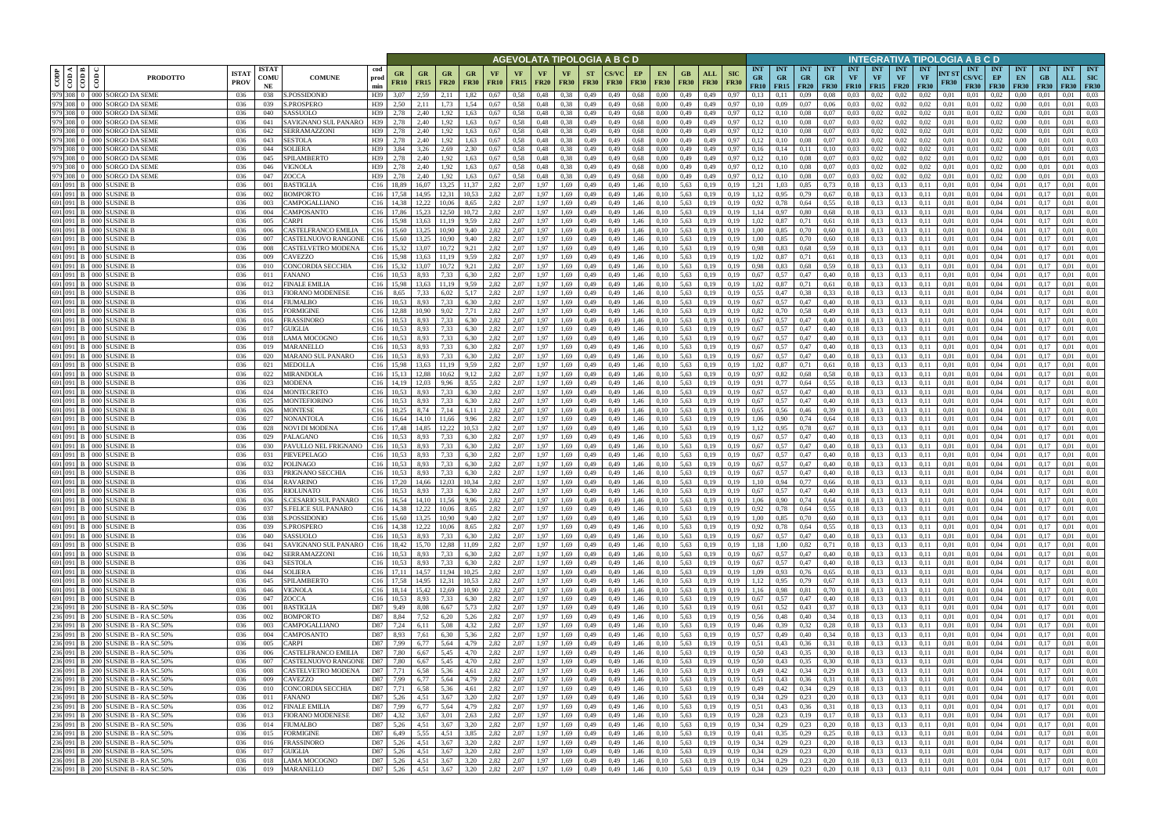|           |                                                    |                                                                          |                                                           |                                                    |                        |                       |                                        |                                               |                        |                   | AGEVOLATA TIPOLOGIA A B C D |                          |                          |              |                                               |                   |                          |                           |                                        |                                                      |                         |                                        |                         |                                             |                                        | INTEGRATIVA TIPOLOGIA A B C D |                      |                                           |                                       |                                 |                                 |                                  |                                  |
|-----------|----------------------------------------------------|--------------------------------------------------------------------------|-----------------------------------------------------------|----------------------------------------------------|------------------------|-----------------------|----------------------------------------|-----------------------------------------------|------------------------|-------------------|-----------------------------|--------------------------|--------------------------|--------------|-----------------------------------------------|-------------------|--------------------------|---------------------------|----------------------------------------|------------------------------------------------------|-------------------------|----------------------------------------|-------------------------|---------------------------------------------|----------------------------------------|-------------------------------|----------------------|-------------------------------------------|---------------------------------------|---------------------------------|---------------------------------|----------------------------------|----------------------------------|
|           | $\overline{\text{cond}}$<br>$\overline{\text{co}}$ | <b>PRODOTTO</b>                                                          | <b>ISTAT</b><br><b>ISTA7</b><br>COMU<br><b>PROV</b><br>NE | <b>COMUNE</b>                                      | cod<br>prod<br>min     | GR<br><b>FR10</b>     | GR<br><b>FR15</b>                      | GR<br><b>GR</b><br><b>FR20</b><br><b>FR30</b> | VF<br><b>FR10</b>      | VF<br><b>FR15</b> | <b>VF</b><br><b>FR20</b>    | <b>VF</b><br><b>FR30</b> | <b>ST</b><br><b>FR30</b> | <b>FR30</b>  | EP<br><b>EN</b><br><b>FR30</b><br><b>FR30</b> | GB<br><b>FR30</b> | ALL<br><b>FR30</b>       | <b>SIC</b><br><b>FR30</b> | <b>INT</b><br><b>GR</b><br><b>FR10</b> | <b>INT</b><br><b>GR</b><br>$FR15$ FR20               | <b>INT</b><br><b>GR</b> | <b>INT</b><br><b>GR</b><br><b>FR30</b> | <b>INT</b><br><b>VF</b> | <b>INT</b><br><b>VF</b><br><b>FR10</b> FR15 | <b>INT</b><br><b>VF</b><br><b>FR20</b> | <b>INT</b><br>VF              | NT ST<br><b>FR30</b> | <b>INT</b><br><b>CS/VC</b><br><b>FR30</b> | INT<br>EP<br><b>FR30</b>              | <b>INT</b><br>EN<br><b>FR30</b> | <b>INT</b><br>GB<br><b>FR30</b> | <b>INT</b><br>ALL<br><b>FR30</b> | <b>INT</b><br>SIC<br><b>FR30</b> |
|           |                                                    | 979 308 0 000 SORGO DA SEME<br>979 308 0 000 SORGO DA SEME               | 036<br>038                                                | S.POSSIDONIO<br><b>S.PROSPERO</b>                  | H39                    | 3.07<br>2.50          | 2,59                                   | 2.11<br>1.82<br>1.73                          | 0.67                   | 0.58<br>0,58      | 0,48                        | 0.38                     | 0,49                     | 0,49         | 0,68<br>0.00                                  | 0,49              | 0,49                     | 0.97                      | 0.13                                   | 0.11                                                 | 0,09                    | 0.08                                   | 0.03                    | 0.02<br>0.02                                | 0.02<br>0.02                           | 0.02<br>0,02                  | 0.01                 | 0.01                                      | 0.02                                  | 0.00                            |                                 | 0.01                             | 0.03<br>0,03                     |
|           |                                                    | 979 308 0 000 SORGO DA SEME                                              | 036<br>039<br>036<br>040                                  | SASSUOLO                                           | H39<br>H39             | 2.78                  | 2,11<br>2,40                           | 1,54<br>1.92<br>1,63                          | 0.67<br>0,67           | 0.58              | 0,48<br>0,48                | 0.38<br>0.38             | 0,49<br>0,49             | 0,49<br>0,49 | 0.68<br>0.00<br>0,68<br>0.00                  | 0,49<br>0,49      | 0,49<br>0,49             | 0,97<br>0,97              | 0,10<br>0,12                           | 0,09<br>0.10                                         | 0,07<br>0,08            | 0,06<br>0,07                           | 0.03<br>0.03            | 0,02                                        | 0,02                                   | 0.02                          | 0,01<br>0,01         | 0,01<br>0,01                              | 0,02                                  | 0,00<br>0,00                    | 0,01<br>0.01                    | 0.01<br>0.01                     | 0.03                             |
|           |                                                    | 979 308 0 000 SORGO DA SEME                                              | 036<br>041                                                | SAVIGNANO SUL PANARO                               | H39                    | 2,78                  | 2,40                                   | .92<br>1,63                                   | 0.67                   | 0.58              | 0,48                        | 0.38                     | 0,49                     | 0,49         | 0,68<br>0.00                                  | 0,49              | 0,49                     | 0.97                      | 0,12                                   | 0,10                                                 | 0,08                    | 0.07                                   | 0.03                    | 0.02                                        | 0.02                                   | 0.02                          | 0.01                 | 0.01                                      | 0.02                                  | 0.00                            | 0.01                            | 0.01                             | 0.03                             |
| 979 308 0 |                                                    | 000 SORGO DA SEME<br>979 308 0 000 SORGO DA SEME                         | 036<br>042<br>036<br>043                                  | <b>SERRAMAZZONI</b><br><b>SESTOLA</b>              | H <sub>39</sub><br>H39 | 2,78<br>2,78          | 2,40<br>2,40                           | 1.63<br>.92<br>1.92<br>1,63                   | 0.67<br>0.67           | 0.58<br>0,58      | 0.48<br>0,48                | 0.38<br>0.38             | 0,49<br>0,49             | 0.49<br>0,49 | 0.68<br>0.00<br>0,68<br>0.00                  | 0,49<br>0,49      | 0,49<br>0,49             | 0.97<br>0.97              | 0,12<br>0,12                           | 0,10                                                 | 0.08<br>0,08            | 0.07<br>0,07                           | 0.03<br>0,03            | 0.02<br>0,02                                | 0.02<br>0,02                           | 0.02<br>0.02                  | 0.01<br>0.01         | 0.01<br>0.01                              | 0.02<br>0.02                          | 0.00<br>0,00                    | 0.01                            | 0.01<br>0.01                     | 0.03<br>0.03                     |
|           |                                                    | 979 308 0 000 SORGO DA SEME                                              | 036<br>044                                                | <b>SOLIERA</b>                                     | H39                    | 3.84                  | 3,26                                   | 2.69<br>2,30                                  | 0.67                   | 0.58              | 0.48                        | 0.38                     | 0,49                     | 0.49         | 0,68<br>0.00                                  | 0,49              | 0,49                     | 0.97                      | 0,16                                   | 0,14                                                 | 0.11                    | 0,10                                   | 0.03                    | 0.02                                        | 0.02                                   | 0.02                          | 0.01                 | 0.01                                      | 0.02                                  | 0.00                            | 0.01                            | 0.01                             | 0.03                             |
|           |                                                    | 979 308 0 000 SORGO DA SEME                                              | 045<br>-036                                               | SPILAMBERTO                                        | H39                    | 2.78                  | 2,40                                   | 1,63<br>1,92                                  | 0.67                   | 0.58              | 0,48                        | 0,38                     | 0,49                     | 0,49         | 0,68<br>0,00                                  | 0,49              | 0,49                     | 0,97                      | 0,12                                   | 0,10                                                 | 0,08                    | 0,07                                   | 0,03                    | 0,02                                        | 0,02                                   | 0.02                          | 0.01                 | 0.01                                      | 0.02                                  | $0.00\,$                        | 0.01                            | 0.01                             | 0.03                             |
|           |                                                    | 979 308 0 000 SORGO DA SEME<br>979 308 0 000 SORGO DA SEME               | 036<br>046<br>036<br>047                                  | <b>VIGNOLA</b><br>ZOCCA                            | H <sub>39</sub><br>H39 | 2,78<br>2.78          | 2,40<br>2,40                           | 1,63<br>1,92<br>1,92<br>1,63                  | 0,67<br>0.67           | 0,58<br>0,58      | 0,48<br>0,48                | 0,38<br>0,38             | 0,49<br>0,49             | 0,49<br>0,49 | 0,68<br>0,00<br>0.68<br>0,00                  | 0,49<br>0,49      | 0,49<br>0,49             | 0.97<br>0,97              | 0,12<br>0,12                           | 0,10<br>0,10                                         | 0,08<br>0,08            | 0,07<br>0,07                           | 0,03<br>0,03            | 0,02<br>0,02                                | 0,02<br>0,02                           | 0.02<br>0,02                  | 0.01<br>0,01         | 0,01<br>0,01                              | 0,02<br>0,02                          | 0,00<br>0,00                    | 0.01<br>0,01                    | 0.01<br>0.01                     | 0.03<br>0,03                     |
|           |                                                    | 691 091 B 000 SUSINE B                                                   | 036<br>001                                                | <b>BASTIGLIA</b>                                   | C16                    | 18,89                 | 16,07                                  | 13,25<br>11,37                                | 2,82                   | 2,07              | 1,97                        | 1,69                     | 0,49                     | 0,49         | 1,46<br>0,10                                  | 5,63              | 0.19                     | 0,19                      | 1,21                                   | 1,03                                                 | 0,85                    | 0,73                                   | 0,18                    | 0,13                                        | 0.13                                   | 0,11                          | 0.01                 | 0,01                                      | 0.04                                  | 0,01                            | 0,17                            | 0,01                             | 0,01                             |
|           |                                                    | 691 091 B 000 SUSINE B                                                   | 036<br>002                                                | BOMPORTO                                           | C16                    | 17,58                 | 14,95                                  | 12,31<br>10,53                                | 2,82                   | 2,07              | 1,97                        | 1,69                     | 0,49                     | 0,49         | 1,46<br>0,10                                  | 5,63              | 0,19                     | 0,19                      | 1,12                                   | 0,95                                                 | 0,79                    | 0,67                                   | 0,18                    | 0,13                                        | 0,13                                   | 0,11                          | 0,01                 | 0,01                                      | 0,04                                  | 0,01                            | 0,17                            | 0,01                             | 0,01                             |
|           |                                                    | 691 091 B 000 SUSINE B<br>691 091 B 000 SUSINE B                         | 036<br>003<br>036<br>004                                  | CAMPOGALLIANO<br>CAMPOSANTO                        | C16<br>C16             | 14.38<br>17,86        | 12.22<br>15.23                         | 8,65<br>10.06<br>12,50<br>10,72               | 2,82<br>2,82           | 2,07<br>2,07      | 1,97<br>1,97                | 1,69<br>1,69             | 0,49<br>0,49             | 0,49<br>0,49 | 1,46<br>0,10<br>1,46<br>0,10                  | 5,63<br>5,63      | 0,19<br>0,19             | 0.19<br>0,19              | 0,92<br>1,14                           | 0.78<br>0,97                                         | 0,64<br>0,80            | 0.55<br>0.68                           | 0,18<br>0,18            | 0,13<br>0,13                                | 0.13<br>0.13                           | 0.11<br>0.11                  | 0.01<br>0,01         | 0,01<br>0,01                              | 0,04<br>0,04                          | 0,01<br>0,01                    | 0,17<br>0.17                    | 0,01<br>0,01                     | 0,01<br>0,01                     |
|           |                                                    | 691 091 B 000 SUSINE B                                                   | 036<br>005                                                | CARPI                                              | C16                    | 15.98                 | 13,63                                  | 11.19<br>9,59                                 | 2,82                   | 2,07              | 1,97                        | 1,69                     | 0,49                     | 0,49         | 1,46<br>0,10                                  | 5,63              | 0,19                     | 0,19                      | 1,02                                   | 0,87                                                 | 0,71                    | 0.61                                   | 0,18                    | 0,13                                        | 0.13                                   | 0,11                          | 0,01                 | 0,01                                      | 0,04                                  | 0,01                            | 0,17                            | 0,01                             | 0.01                             |
|           |                                                    | 691 091 B 000 SUSINE B                                                   | 036<br>006                                                | CASTELFRANCO EMILIA                                | C16                    | 15.60                 | 13.25                                  | 10.90<br>9.40                                 | 2,82                   | 2.07              | 1.97                        | 1.69                     | 0,49                     | 0.49         | 1,46<br>0.10                                  | 5.63              | 0.19                     | 0.19                      | 1.00                                   | 0.85                                                 | 0,70                    | 0.60                                   | 0,18                    | 0.13                                        | 0.13                                   | 0.11                          | 0.01                 | 0.01                                      | 0.04                                  | 0.01                            | 0.17                            | 0.01                             | 0.01                             |
|           |                                                    | 691 091 B 000 SUSINE B<br>691 091 B 000 SUSINE B                         | 036<br>007<br>036<br>008                                  | CASTELNUOVO RANGONE<br>CASTELVETRO MODENA          | C16<br>C16             | 15.60<br>15,32        | 13.25<br>13,07                         | 10.90<br>9.40<br>10,72<br>9,21                | 2,82<br>2,82           | 2,07<br>2,07      | 1,97<br>1,97                | 1,69<br>1,69             | 0,49<br>0,49             | 0.49<br>0.49 | 1,46<br>0,10<br>1,46<br>0,10                  | 5,63<br>5,63      | 0.19<br>0,19             | 0.19<br>0.19              | 1.00<br>0,98                           | 0.85<br>0,83                                         | 0,70<br>0,68            | 0,60<br>0.59                           | 0,18<br>0,18            | 0,13<br>0,13                                | 0.13<br>0,13                           | 0.11<br>0.11                  | 0.01<br>0.01         | 0.01<br>0.01                              | 0.04<br>0,04                          | 0.01<br>0.01                    | 0.17<br>0.17                    | 0,01<br>0.01                     | 0.01<br>0,01                     |
|           |                                                    | 691 091 B 000 SUSINE                                                     | 036<br>009                                                | CAVEZZO                                            | C16                    | 15.98                 |                                        | 9.59                                          | 2,82                   | 2,07              | 1.97                        | 1.69                     | 0,49                     | 0.49         | 1.46<br>0.10                                  | 5.63              | 0.19                     | 0.19                      | 1.02                                   | 0.87                                                 | 0.71                    | 0.61                                   | 0.18                    | 0.13                                        | 0.13                                   |                               | 0.01                 | 0.01                                      | 0.04                                  | 0.01                            |                                 | 0.01                             | 0.01                             |
|           |                                                    | 691 091 B 000 SUSINE                                                     | 036<br>010                                                | CONCORDIA SECCHIA                                  | C16                    | 15.32                 | 13.07                                  | 10.72<br>9.21                                 | 2,82                   | 2.07              | 1.97                        | 1.69                     | 0,49                     | 0.49         | 1.46<br>0.10                                  | 5.63              | 0.19                     | 0.19                      | 0.98                                   | 0.83                                                 | 0,68                    | 0.59                                   | 0.18                    | 0.13                                        | 0.13                                   |                               | 0.01                 | 0.01                                      | 0.04                                  | 0.01                            |                                 | 0.01                             | 0.01                             |
|           |                                                    | 691 091 B 000 SUSINE<br>691 091 B 000 SUSINE B                           | 036<br>011                                                | FANANO                                             | C16                    | 10,53                 | 8,93                                   | 7,33<br>6,30                                  | 2,82                   | 2,07<br>2.07      | 1.97                        | 1,69                     | 0,49                     | 0,49         | 1.46<br>0,10                                  | 5,63              | 0,19                     | 0,19                      | 0,67                                   | 0,57                                                 | 0,47                    | 0,40                                   | 0,18                    | 0,13                                        | 0,13                                   | 0,11                          | 0.01                 | 0,01                                      | 0,04                                  | 0.01                            |                                 | 0.01                             | 0,01<br>0.01                     |
|           |                                                    | 691 091 B 000 SUSINE B                                                   | 036<br>012<br>036<br>013                                  | <b>FINALE EMILIA</b><br>FIORANO MODENESE           | C16<br>C16             | 15.98<br>8,65         | 13,63<br>7,33                          | 9.59<br>11.19<br>6,02<br>5,17                 | 2,82<br>2,82           | 2,07              | 1.97<br>1.97                | 1,69<br>1,69             | 0,49<br>0,49             | 0,49<br>0,49 | 1,46<br>0,10<br>1,46<br>0,10                  | 5,63<br>5,63      | 0.19<br>0,19             | 0,19<br>0,19              | 1,02<br>0.55                           | 0,87<br>0,47                                         | 0,71<br>0,38            | 0.61<br>0,33                           | 0.18<br>0.18            | 0,13<br>0,13                                | 0.13<br>0.13                           | 0.11<br>0,11                  | 0.01<br>0,01         | 0,01<br>0,01                              | 0.04<br>0.04                          | 0.01<br>0.01                    | 0.17                            | 0.01<br>0.01                     | 0.01                             |
|           |                                                    | 691 091 B 000 SUSINE B                                                   | 036<br>014                                                | FIUMALBO                                           | C16                    | 10.53                 | 8,93                                   | 7,33<br>6,30                                  | 2,82                   | 2,07              | 1.97                        | 1,69                     | 0,49                     | 0,49         | 1,46<br>0,10                                  | 5,63              | 0,19                     | 0,19                      | 0.67                                   | 0.57                                                 | 0,47                    | 0,40                                   | 0,18                    | 0,13                                        | 0,13                                   | 0.11                          | 0.01                 | 0.01                                      | 0,04                                  | 0.01                            |                                 | 0.01                             | 0.01                             |
|           |                                                    | 691 091 B 000 SUSINE                                                     | 036<br>015                                                | <b>FORMIGINE</b>                                   | C16                    | 12.88                 | 10.90                                  | 9.02                                          | 2,82                   | 2,07              | 1.97                        | 1,69                     | 0,49                     | 0,49         | 1,46<br>0.10                                  | 5,63              | 0.19                     | 0,19                      | 0,82                                   |                                                      | 0,58                    | 0,49                                   | 0,18                    | 0.13                                        | 0.13                                   |                               | 0.01                 | 0,01                                      | 0.04                                  | 0.01                            | $0.1^{\circ}$                   | 0.01                             | 0.01                             |
|           |                                                    | 691 091 B 000 SUSINE<br>691 091 B 000 SUSINE B                           | 036<br>016<br>036<br>017                                  | FRASSINORO<br>GUIGLIA                              | C16<br>C16             | 10,53                 | 8,93                                   | 7.33<br>6.30<br>7,33<br>6,30                  | 2,82<br>2,82           | 2.07<br>2,07      | 1.97<br>1,97                | 1.69<br>1,69             | 0,49<br>0,49             | 0.49<br>0,49 | 1.46<br>0.10<br>1,46<br>0,10                  | 5,63<br>5,63      | 0.19<br>0,19             | 0.19<br>0,19              | 0,67<br>0,67                           | 0.57<br>0,57                                         | 0,47<br>0,47            | 0,40<br>0,40                           | 0.18<br>0,18            | 0.13<br>0,13                                | 0.13<br>0.13                           | 0,11                          | 0.01<br>0,01         | 0.01<br>0,01                              | 0.04<br>0,04                          | 0.01<br>0,01                    | 0,17                            | 0.01<br>0,01                     | 0.01<br>0,01                     |
|           |                                                    | 691 091 B 000 SUSINE B                                                   | 036<br>018                                                | LAMA MOCOGNO                                       | C16                    | 10.53                 | 8,93                                   | 7,33<br>6,30                                  | 2,82                   | 2.07              | 1.97                        | 1,69                     | 0,49                     | 0.49         | 1,46<br>0,10                                  | 5.63              | 0,19                     | 0.19                      | 0.67                                   | 0.57                                                 | 0,47                    | 0,40                                   | 0.18                    | 0.13                                        | 0.13                                   | 0.11                          | 0.01                 | 0.01                                      | 0.04                                  | 0.01                            | 0.17                            | 0.01                             | 0.01                             |
|           |                                                    | 691 091 B 000 SUSINE B                                                   | 036<br>019                                                | MARANELLO                                          | C16                    | 10.53                 | 8,93                                   | 7,33<br>6,30                                  | 2,82                   | 2,07              | 1,97                        | 1,69                     | 0,49                     | 0,49         | 1,46<br>0,10                                  | 5,63              | 0,19                     | 0,19                      | 0,67                                   | 0,57                                                 | 0,47                    | 0,40                                   | 0,18                    | 0,13                                        | 0.13                                   | 0.11                          | 0.01                 | 0.01                                      | 0.04                                  | 0,01                            | 0.17                            | 0,01                             | 0,01                             |
|           |                                                    | 691 091 B 000 SUSINE B<br>691 091 B 000 SUSINE B                         | 036<br>020<br>036<br>021                                  | MARANO SUL PANARO<br>MEDOLLA                       | C16<br>C16             | 10.53<br>15,98        | 8,93<br>13.63                          | 6,30<br>7,33<br>9,59<br>11.19                 | 2,82<br>2,82           | 2.07<br>2.07      | 1,97<br>1.97                | 1,69<br>1.69             | 0,49<br>0,49             | 0,49<br>0,49 | 1,46<br>0,10<br>1,46<br>0,10                  | 5,63<br>5.63      | 0,19<br>0.19             | 0.19<br>0.19              | 0.67<br>1.02                           | 0.57<br>0,87                                         | 0,47<br>0.71            | 0,40<br>0,61                           | 0.18<br>0.18            | 0,13<br>0,13                                | 0.13<br>0.13                           | 0.11<br>0.11                  | 0.01<br>0.01         | 0.01<br>0.01                              | 0.04<br>0.04                          | 0.01<br>0.01                    | 0.17<br>0.17                    | 0.01<br>0.01                     | 0,01<br>0.01                     |
|           |                                                    | 691 091 B 000 SUSINE B                                                   | 036<br>022                                                | <b>MIRANDOLA</b>                                   | C16                    | 15.13                 | 12.88                                  | 10.62<br>9,12                                 | 2,82                   | 2.07              | 1,97                        | 1,69                     | 0,49                     | 0,49         | 1,46<br>0,10                                  | 5,63              | 0,19                     | 0.19                      | 0,97                                   | 0,82                                                 | 0,68                    | 0.58                                   | 0,18                    | 0,13                                        | 0.13                                   | 0.11                          | 0.01                 | 0,01                                      | 0.04                                  | 0.01                            | 0.17                            | 0.01                             | 0.01                             |
|           |                                                    | 691 091 B 000 SUSINE B                                                   | 023<br>036                                                | <b>MODENA</b>                                      | C16                    | 14,19                 | 12,03                                  | 8,55<br>9,96                                  | 2,82                   | 2,07              | 1,97                        | 1,69                     | 0,49                     | 0,49         | 1,46<br>0,10                                  | 5,63              | 0,19                     | 0,19                      | 0,91                                   | 0,77                                                 | 0,64                    | 0,55                                   | 0,18                    | 0,13                                        | 0,13                                   | 0,11                          | 0,01                 | 0,01                                      | 0,04                                  | 0,01                            | 0,17                            | 0,01                             | 0,01                             |
|           |                                                    | 691 091 B 000 SUSINE B<br>691 091 B 000 SUSINE B                         | 036<br>024<br>036<br>025                                  | MONTECRETO<br>MONTEFIORINO                         | C16<br>C16             | 10.53<br>10,53        | 8.93<br>8,93                           | 6,30<br>7,33<br>7,33<br>6,30                  | 2,82<br>2,82           | 2,07<br>2,07      | 1,97<br>1,97                | 1,69<br>1,69             | 0,49<br>0,49             | 0,49<br>0,49 | 1,46<br>0,10<br>1,46<br>0,10                  | 5,63<br>5,63      | 0,19<br>0,19             | 0.19<br>0,19              | 0,67<br>0,67                           | 0,57<br>0,57                                         | 0,47<br>0,47            | 0,40<br>0,40                           | 0,18<br>0,18            | 0,13<br>0,13                                | 0.13<br>0.13                           | 0,11<br>0,11                  | 0.01<br>0,01         | 0,01<br>0,01                              | 0.04<br>0.04                          | 0,01<br>0,01                    | 0,17<br>0,17                    | 0,01<br>0,01                     | 0,01<br>0,01                     |
|           |                                                    | 691 091 B 000 SUSINE B                                                   | 036<br>026                                                | MONTESE                                            | C16                    | 10,25                 | 8,74                                   | 7,14<br>6,11                                  | 2,82                   | 2,07              | 1,97                        | 1,69                     | 0,49                     | 0,49         | 1,46<br>0,10                                  | 5,63              | 0,19                     | 0,19                      | 0,65                                   | 0,56                                                 | 0,46                    | 0,39                                   | 0,18                    | 0,13                                        | 0,13                                   | 0,11                          | 0,01                 | 0,01                                      | 0.04                                  | 0,01                            | 0,17                            | 0,01                             | 0,01                             |
|           |                                                    | 691 091 B 000 SUSINE B                                                   | 036<br>027                                                | NONANTOLA                                          | C16                    | 16,64                 | 14.10                                  | 11,66<br>9,96                                 | 2,82                   | 2,07              | 1,97                        | 1,69                     | 0,49                     | 0,49         | 1,46<br>0,10                                  | 5,63              | 0,19                     | 0,19                      | 1,06                                   | 0,90                                                 | 0,74                    | 0,64                                   | 0,18                    | 0,13                                        | 0.13                                   | 0,11                          | 0,01                 | 0,01                                      | 0,04                                  | 0,01                            | 0.17                            | 0,01                             | 0,01                             |
|           |                                                    | 691 091 B 000 SUSINE B<br>691 091 B 000 SUSINE B                         | 036<br>028<br>036<br>029                                  | NOVI DI MODENA<br>PALAGANO                         | C16<br>C16             | 17,48<br>10.53        | 14,85<br>8,93                          | 12.22<br>10,53<br>7,33<br>6,30                | 2,82<br>2,82           | 2,07<br>2,07      | 1,97<br>1,97                | 1,69<br>1,69             | 0,49<br>0,49             | 0,49<br>0,49 | 1,46<br>0,10<br>1,46<br>0,10                  | 5,63<br>5,63      | 0,19<br>0,19             | 0,19<br>0,19              | 1,12<br>0,67                           | 0,95<br>0,57                                         | 0,78<br>0,47            | 0.67<br>0,40                           | 0,18<br>0,18            | 0,13<br>0,13                                | 0,13<br>0,13                           | 0,11<br>0,11                  | 0,01<br>0,01         | 0,01<br>0,01                              | 0,04<br>0,04                          | 0,01<br>0,01                    | 0,17<br>0.17                    | 0,01<br>0,01                     | 0,01<br>0,01                     |
|           |                                                    | 691 091 B 000 SUSINE B                                                   | 036<br>030                                                | PAVULLO NEL FRIGNANO                               | C16                    | 10.53                 | 8.93                                   | 7.33<br>6.30                                  | 2,82                   | 2,07              | 1.97                        | 1.69                     | 0,49                     | 0.49         | 1,46<br>0,10                                  | 5,63              | 0.19                     |                           | 0,67                                   | 0.57                                                 | 0,47                    | 0,40                                   | 0,18                    | 0,13                                        | 0,13                                   | 0.11                          | 0.01                 | 0.01                                      | 0.04                                  | 0.01                            | 0.17                            | 0,01                             | 0.01                             |
|           |                                                    | 691 091 B 000 SUSINE B                                                   | 036<br>031                                                | PIEVEPELAGO                                        | C16                    | 10.53                 | 8.93                                   | 7.33<br>6.30                                  | 2,82                   | 2,07              | 1.97                        | 1.69                     | 0,49                     | 0.49         | 1,46<br>0.10                                  | 5,63              | 0.19                     | 0.19                      | 0,67                                   | 0.57                                                 | 0,47                    | 0,40                                   | 0,18                    | 0,13                                        | 0.13                                   | 0.11                          | 0.01                 | 0.01                                      | 0.04                                  | 0.01                            | 0.17                            | 0.01                             | 0.01                             |
|           |                                                    | 691 091 B 000 SUSINE B                                                   | 036<br>032                                                | POLINAGO                                           | C16                    | 10,53                 | 8,93                                   | 7,33<br>6,30                                  | 2,82                   | 2,07              | 1,97                        | 1,69                     | 0,49                     | 0,49         | 1,46<br>0,10                                  | 5,63              | 0,19                     | 0,19                      | 0,67                                   | 0,57                                                 | 0,47                    | 0,40                                   | 0,18                    | 0,13                                        | 0.13                                   | 0,11                          | 0,01                 | 0,01                                      | 0,04                                  | 0,01                            | 0,17                            | 0,01                             | 0,01                             |
|           |                                                    | 691 091 B 000 SUSINE B<br>691 091 B 000 SUSINE B                         | 036<br>033<br>036<br>034                                  | PRIGNANO SECCHIA<br><b>RAVARINO</b>                | C16<br>C16             | 10.53<br>17,20        | 8.93<br>14,66                          | 7.33<br>6.30<br>12,03<br>10,34                | 2.82<br>2,82           | 2.07<br>2,07      | 1.97<br>1,97                | 1.69<br>1.69             | 0,49<br>0,49             | 0.49<br>0,49 | 1.46<br>0.10<br>1,46<br>0,10                  | 5.63<br>5,63      | 0.19<br>0,19             | 0.19<br>0,19              | 0.67<br>1,10                           | 0.57<br>0,94                                         | 0.47<br>0,77            | 0,40<br>0,66                           | 0.18<br>0,18            | 0.13<br>0,13                                | 0.13<br>0,13                           | 0.11<br>0,11                  | 0.01<br>0,01         | 0.01<br>0.01                              | 0.04<br>0.04                          | 0.01<br>0.01                    | 0.17                            | 0.01<br>0,01                     | 0.01<br>0,01                     |
|           |                                                    | 691 091 B 000 SUSINE B                                                   | 036<br>035                                                | <b>RIOLUNATO</b>                                   |                        | $C16$ 10.53           | 8.93                                   | 7,33<br>6,30                                  | 2,82                   | 2.07              | 1,97                        | 1,69                     | 0,49                     | 0,49         | 1,46<br>0.10                                  | 5,63              | 0,19                     | 0.19                      | 0.67                                   | 0,57                                                 | 0,47                    | 0.40                                   | 0.18                    | 0.13                                        | 0.13                                   | 0.11                          | 0.01                 | 0.01                                      | 0.04                                  | 0.01                            | 0.17                            | 0.01                             | 0.01                             |
|           |                                                    | 691 091 B 000 SUSINE B                                                   | 036<br>036                                                | S.CESARIO SUL PANARO<br><b>S.FELICE SUL PANARO</b> |                        | C <sub>16</sub> 16,54 | 14,10                                  | 11,56<br>9,96                                 | 2,82                   | 2,07              | 1,97                        | 1,69                     | 0,49                     | 0,49         | 1,46<br>0,10                                  | 5,63              | 0,19                     | 0,19                      | 1,06                                   | 0,90                                                 | 0,74                    | 0,64                                   | 0,18                    | 0,13                                        | 0.13                                   | 0,11                          | 0,01                 | 0,01                                      | 0,04                                  | 0,01                            | 0,17                            | 0.01                             | 0,01                             |
|           |                                                    | 691 091 B 000 SUSINE B<br>691 091 B 000 SUSINE B                         | 036<br>037<br>036<br>038                                  | S.POSSIDONIO                                       |                        | $C16$ 14,38           | 12,22 10,06<br>$C16$ 15,60 13,25 10,90 | 8,65<br>9,40                                  | 2,82<br>2,82           | 2,07<br>2,07      | 1,97                        | 1,69<br>1,97 1,69        | 0,49<br>0,49             | 0,49<br>0,49 | 1,46<br>0,10<br>1,46<br>0,10                  | 5,63              | 0,19<br>5,63 0,19        | 0,19<br>0,19              | 0,92<br>1,00                           | 0,78<br>0,85                                         | 0,64<br>0,70            | 0,55<br>0,60                           | 0,18                    | 0,13<br>$0,18$ 0,13                         | 0.13<br>0,13                           | 0,11<br>0,11                  | 0,01<br>0,01         | 0,01<br>0,01                              | 0,04<br>0,04                          | 0,01<br>0,01                    | 0,17<br>0,17                    | 0,01<br>0,01                     | 0,01<br>0,01                     |
|           |                                                    | 691 091 B 000 SUSINE B                                                   | 036<br>039                                                | S.PROSPERO                                         |                        |                       | $C16$ 14,38 12,22 10,06                | 8,65                                          | 2,82                   | 2,07              |                             | 1,97 1,69                | 0,49                     | 0,49         | 1,46<br>0,10                                  |                   | 5,63 0,19                | 0,19                      | 0,92                                   | 0,78                                                 | 0,64                    | 0,55                                   |                         | $0,18$ 0.13                                 | 0,13                                   | 0,11                          | 0,01                 | 0,01                                      | 0,04                                  | 0,01                            | 0,17                            | 0,01                             | 0,01                             |
|           |                                                    | 691 091 B 000 SUSINE B                                                   | 036<br>040                                                | SASSUOLO                                           |                        | $C16$ 10,53           | 8,93                                   | 7,33<br>6,30                                  | 2,82                   | 2,07              | 1,97                        | 1,69                     | 0,49                     | 0,49         | 1,46<br>0,10                                  |                   | 5,63 0,19                | 0,19                      | 0,67                                   | 0,57                                                 | 0,47                    | 0,40                                   |                         | $0,18$ 0.13                                 | 0,13                                   | 0,11                          | 0,01                 | 0,01                                      | 0,04                                  | 0,01                            | 0,17                            | 0,01                             | 0,01                             |
|           |                                                    | 691 091 B 000 SUSINE B<br>691 091 B 000 SUSINE B                         | 036<br>041<br>036<br>042                                  | SAVIGNANO SUL PANARO<br>SERRAMAZZONI               |                        | C <sub>16</sub> 18,42 | 15,70 12,88<br>$C16$ 10,53 8,93 7,33   | 11,09                                         | 2,82<br>6,30 2,82      | 2,07<br>2,07      | 1,97                        | 1,69<br>1,97 1,69        | 0,49<br>0,49             | 0,49<br>0,49 | 1,46<br>0,10<br>1,46<br>0,10                  |                   | 5,63 0,19<br>5,63 0,19   | 0,19<br>0,19              | 1,18<br>0,67                           | 1,00<br>$0,57$ 0,47                                  | 0,82                    | 0,71<br>0,40                           |                         | $0,18$ 0.13<br>$0,18$ $0,13$                | 0,13<br>0,13                           | 0,11<br>0,11                  | 0,01<br>0,01         | 0,01<br>0,01                              | 0,04<br>$0,04$ $0,01$                 | 0,01                            | 0,17<br>0,17                    | 0,01                             | 0,01<br>$0,01$ $0,01$            |
|           |                                                    | 691 091 B 000 SUSINE B                                                   | 036<br>043                                                | <b>SESTOLA</b>                                     |                        |                       |                                        | $C16$ 10,53 8,93 7,33                         | 6,30 2,82              | 2,07              |                             | 1,97 1,69                | 0,49                     | 0,49         | $1,46$ 0,10                                   |                   | 5,63 0,19                |                           | $0,19$ $0,67$                          | $0,57$ 0.47                                          |                         | 0,40                                   |                         | $0,18$ $0,13$                               | 0,13                                   | 0,11                          | 0,01                 | 0,01                                      | $0,04$ $0,01$                         |                                 | 0,17                            |                                  | $0,01$ $0,01$                    |
|           |                                                    | 691 091 B 000 SUSINE B                                                   | 036<br>044                                                | <b>SOLIERA</b>                                     |                        |                       |                                        | $C16$ 17,11 14,57 11,94 10,25 2,82            |                        | 2,07              |                             | 1,97 1,69                | 0,49                     | 0,49         | $1,46$ 0,10                                   |                   | 5,63 0,19                | 0,19                      | 1,09                                   | 0,93                                                 | 0,76                    | 0,65                                   |                         | $0,18$ 0,13                                 | 0,13                                   | 0,11                          | 0,01                 | 0,01                                      | $0,04$ $0,01$                         |                                 | 0,17                            |                                  | $0,01$ 0.01                      |
|           |                                                    | 691 091 B 000 SUSINE B<br>691 091 B 000 SUSINE B                         | 036<br>045<br>036<br>046                                  | SPILAMBERTO<br><b>VIGNOLA</b>                      |                        | C <sub>16</sub> 17,58 | 14,95<br>$C16$ 18,14 15,42             | 12,31<br>12,69<br>10,90                       | $10,53$ 2,82<br>2,82   | 2,07<br>2,07      |                             | 1,97 1,69<br>1,97 1,69   | 0,49<br>0,49             | 0,49<br>0,49 | 1,46<br>0,10<br>1,46<br>0,10                  |                   | 5,63 0,19<br>5,63 0,19   | 0,19<br>0,19              | 1,12<br>1,16                           | 0,95<br>0,98                                         | 0,79<br>0,81            | 0,67<br>0,70                           | 0,18                    | 0,13<br>$0,18$ $0,13$                       | 0,13<br>0,13                           | 0,11<br>0,11                  | 0,01<br>0,01         | 0,01<br>0,01                              | 0,04<br>0,04                          | 0,01<br>0,01                    | 0,17<br>0,17                    | 0,01<br>0,01                     | 0,01<br>0,01                     |
|           |                                                    | 691 091 B 000 SUSINE B                                                   | 036<br>047                                                | ZOCCA                                              |                        | $C16$ 10,53 8,93      |                                        | 7,33                                          | 6,30 2,82              | 2,07              |                             | 1,97 1,69                | 0,49                     | 0,49         | 1,46<br>0,10                                  |                   | 5,63 0,19                | 0,19                      | 0,67                                   | 0,57                                                 | 0,47                    | 0,40                                   |                         | $0,18$ 0.13                                 | 0,13                                   | 0,11                          | 0,01                 | 0,01                                      | $0,04$ $0,01$                         |                                 | 0,17                            | 0,01                             | 0,01                             |
|           |                                                    | 236 091 B 200 SUSINE B - RA SC.50%                                       | 036<br>001                                                | <b>BASTIGLIA</b>                                   |                        | D87 9,49              | 8,08                                   | 6,67<br>5,73                                  | 2,82                   | 2,07              |                             | 1,97 1,69                | 0,49                     | 0,49         | 1,46<br>0,10                                  |                   | 5,63 0,19                | 0,19                      | 0,61                                   | 0,52                                                 | 0,43                    | 0,37                                   |                         | $0,18$ $0,13$                               | 0,13                                   | 0,11                          | 0,01                 | 0,01                                      | $0,04$ 0.01                           |                                 | 0,17                            | 0,01                             | 0,01                             |
|           |                                                    | 236 091 B 200 SUSINE B - RA SC.50%<br>236 091 B 200 SUSINE B - RA SC.50% | 036<br>002<br>036<br>003                                  | <b>BOMPORTO</b><br>CAMPOGALLIANO                   |                        | D87 8,84<br>D87 7,24  | 7,52<br>6,11                           | 6,20<br>5,08<br>4,32                          | 5,26 2,82<br>2,82      | 2,07<br>2,07      |                             | 1,97 1,69<br>1,97 1,69   | 0,49<br>0,49             | 0,49<br>0,49 | $1,46$ 0,10<br>1,46<br>0,10                   |                   | 5,63 0,19<br>$5,63$ 0,19 | 0,19<br>0,19              | 0,56<br>0,46                           | 0,48<br>0,39                                         | 0,40<br>0,32            | 0,34<br>0,28                           |                         | $0,18$ $0,13$<br>$0,18$ $0,13$              | 0,13<br>0,13                           | 0,11<br>0,11                  | 0,01<br>0,01         | 0,01<br>0,01                              | $0,04$ 0.01<br>0,04                   | 0,01                            | 0,17<br>0,17                    | 0,01<br>0,01                     | 0,01<br>0,01                     |
|           |                                                    | 236 091 B 200 SUSINE B - RA SC.50%                                       | 036<br>004                                                | CAMPOSANTO                                         |                        | D87 8,93              | 7,61                                   | 5,36<br>6,30                                  | 2,82                   | 2,07              |                             | 1,97 1,69                | 0,49                     | 0,49         | $1,46$ 0,10                                   |                   | 5,63 0,19                | 0,19                      | $0,57$ 0,49                            |                                                      | 0,40                    | 0,34                                   |                         | $0,18$ 0.13                                 | 0,13                                   | 0,11                          | 0,01                 | 0,01                                      | $0,04$ 0.01                           |                                 | 0,17                            | 0,01                             | 0,01                             |
|           |                                                    | 236 091 B 200 SUSINE B - RA SC.50%<br>236 091 B 200 SUSINE B - RA SC.50% | 036<br>005                                                | CARPI                                              |                        | D87 7,99              |                                        | 6,77 5,64                                     | 4,79 2,82              | 2,07              |                             | 1,97 1,69                | 0,49                     | 0,49         | $1,46$ 0,10                                   |                   | 5,63 0,19                | 0,19                      | $0,51$ 0.43                            |                                                      | $0,36$ $0,31$           |                                        |                         | $0,18$ $0,13$                               | 0,13                                   | 0,11                          | 0,01                 | 0,01                                      | $0,04$ $0,01$                         |                                 | 0,17                            | 0,01                             | 0,01                             |
|           |                                                    |                                                                          | 036<br>006<br>036<br>007                                  | CASTELFRANCO EMILIA<br>CASTELNUOVO RANGONE         | D87 7,80               | D87 7,80              |                                        | 6,67 5,45<br>6,67 5,45                        | 4,70 2,82<br>4,70 2,82 | 2,07<br>2,07      |                             | 1,97 1,69<br>1,97 1,69   | 0,49<br>0,49             | 0,49         | $1,46$ 0,10<br>$0,49$ 1,46 0,10               |                   | 5,63 0,19<br>5,63 0,19   | 0,19<br>0,19              | $0,50$ $0,43$                          | $0,50$ 0.43 0.35 0.30                                | $0,35$ 0,30             |                                        |                         | $0,18$ $0,13$<br>$0,18$ $0,13$              | 0,13<br>0,13                           | 0,11<br>0,11                  | 0,01<br>0,01         | 0,01<br>0,01                              | $0,04$ $0,01$<br>$0,04$ 0.01          |                                 | 0,17<br>0,17                    | 0,01<br>0,01                     | 0,01<br>0,01                     |
|           |                                                    | 236 091 B 200 SUSINE B - RA SC.50%<br>236 091 B 200 SUSINE B - RA SC.50% | 036<br>008                                                | CASTELVETRO MODENA                                 |                        | D87 7,71              |                                        | 6,58 5,36<br>4,61                             | 2,82                   | 2,07              |                             | 1,97 1,69                | 0,49                     |              | $0,49$ 1,46 0,10                              |                   | 5,63 0,19                | 0,19                      | $0,49$ $0,42$                          |                                                      | $0,34$ $0,29$           |                                        |                         | $0,18$ $0,13$                               | 0,13                                   | 0,11                          | 0,01                 | 0,01                                      | $0,04$ $0,01$                         |                                 | 0,17                            | 0,01                             | 0,01                             |
|           |                                                    | 236 091 B 200 SUSINE B - RA SC.50%                                       | 036<br>009                                                | CAVEZZO                                            |                        | D87 7.99              |                                        | 6,77 5,64<br>4,79                             | 2,82                   | 2,07              |                             | 1,97 1,69                | 0,49                     |              | $0,49$ 1,46 $0,10$                            |                   | 5,63 0,19                | 0,19                      | $0,51$ $0,43$                          |                                                      | $0,36$ $0,31$           |                                        |                         | $0,18$ $0,13$                               | 0,13                                   | 0,11                          | 0,01                 | 0.01                                      | $0,04$ $0,01$                         |                                 | 0,17                            | 0,01                             | 0,01                             |
|           |                                                    | 236 091 B 200 SUSINE B - RA SC.50%                                       | 036<br>010                                                | CONCORDIA SECCHIA                                  |                        | D87 7,71              | 6,58                                   | 5,36<br>4,61                                  | 2,82                   | 2,07              |                             | 1,97 1,69                | 0,49                     |              | $0,49$ 1,46 $0,10$                            |                   | 5,63 0,19                | 0,19                      |                                        | $0,49$ $0,42$ $0,34$ $0,29$                          |                         |                                        |                         | $0,18$ $0,13$                               | 0,13                                   | 0,11                          | 0,01                 |                                           | $0,01$ 0.04 0.01                      |                                 | 0,17                            | 0,01                             | 0,01                             |
|           |                                                    | 236 091 B 200 SUSINE B - RA SC.50%<br>236 091 B 200 SUSINE B - RA SC.50% | 036<br>011<br>036<br>012                                  | <b>FANANO</b><br><b>FINALE EMILIA</b>              |                        | D87 5,26<br>D87 7,99  | 6,77                                   | 4,51 3,67<br>5,64<br>4,79                     | 3,20 2,82<br>2,82      | 2,07<br>2,07      |                             | 1,97 1,69<br>1,97 1,69   | 0,49<br>0,49             | 0,49         | $0,49$ 1,46 0,10<br>1,46<br>0,10              |                   | 5,63 0,19<br>5,63 0,19   | 0,19<br>0,19              | $0,51$ 0,43                            | $0,34$ 0,29 0,23 0,20                                | 0,36                    | 0,31                                   | 0,18                    | $0,18$ $0,13$<br>0,13                       | 0,13<br>0,13                           | 0,11<br>0,11                  | 0,01<br>0,01         | 0,01                                      | $0,01$ 0.04 0.01<br>$0,04$ $0,01$     |                                 | 0,17<br>0,17                    | 0,01<br>0,01                     | 0,01<br>0,01                     |
|           |                                                    | 236 091 B 200 SUSINE B - RA SC.50%                                       | 036<br>013                                                | <b>FIORANO MODENESE</b>                            |                        | D87 4,32              | 3,67                                   | 3,01<br>2,63                                  | 2,82                   | 2,07              | 1,97                        | 1,69                     | 0,49                     | 0,49         | 1,46<br>0,10                                  | 5,63              | 0,19                     | 0,19                      | 0,28                                   | 0,23                                                 | 0,19                    | 0,17                                   | 0,18                    | 0,13                                        | 0,13                                   | 0,11                          | 0,01                 | 0,01                                      | 0,04                                  | 0.01                            | 0,17                            | 0,01                             | 0,01                             |
|           |                                                    | 236 091 B 200 SUSINE B - RA SC.50%<br>236 091 B 200 SUSINE B - RA SC.50% | 036<br>014                                                | FIUMALBO                                           |                        | D87 5,26              | 4,51                                   | 3,67<br>3,20                                  | 2,82                   | 2,07              | 1,97                        | 1,69                     | 0,49                     | 0,49         | 1,46<br>0,10                                  | 5,63              | 0,19                     | 0,19                      | 0,34                                   | 0,29                                                 | 0,23                    | 0,20                                   | 0,18                    | 0,13                                        | 0,13                                   | 0,11                          | 0,01                 | 0,01                                      | 0,04                                  | 0,01                            | 0,17                            | 0,01                             | 0,01                             |
|           |                                                    |                                                                          | 036<br>015<br>036<br>016                                  | <b>FORMIGINE</b><br><b>FRASSINORO</b>              |                        | D87 6,49<br>D87 5,26  | 4,51                                   | 5,55 4,51<br>3,85<br>3,67                     | 2,82<br>$3,20$ 2,82    | 2,07<br>2,07      |                             | 1,97 1,69<br>1,97 1,69   | 0,49 0,49                |              | $0,49$ 0.49 1.46 0.10<br>$1,46$ 0,10          |                   | 5,63 0,19<br>5,63 0,19   | 0,19<br>0,19              |                                        | $0,41$ 0.35 0.29 0.25<br>$0,34$ $0,29$ $0,23$ $0,20$ |                         |                                        |                         | $0,18$ $0,13$<br>$0,18$ $0,13$              | 0,13<br>0,13                           | 0,11<br>0,11                  | 0,01<br>0,01         | 0,01<br>0,01                              | $0,04$ $0,01$<br>$0,04$ $0,01$ $0,17$ |                                 | 0,17                            | 0,01<br>0,01                     | 0,01<br>0,01                     |
|           |                                                    | 236 091 B 200 SUSINE B - RA SC.50%<br>236 091 B 200 SUSINE B - RA SC.50% | 036<br>017                                                | <b>GUIGLIA</b>                                     |                        | D87 5,26              |                                        | $4,51$ $3,67$                                 | 3,20 2,82              | 2,07              |                             |                          | 1,97 1,69 0,49 0,49      |              | $1,46$ 0,10                                   |                   | 5,63 0,19                |                           |                                        | $0,19$ 0.34 0.29 0.23 0.20                           |                         |                                        |                         | $0,18$ $0,13$                               | 0,13                                   | 0,11                          | 0,01                 | 0,01                                      | $0,04$ 0.01 0.17                      |                                 |                                 |                                  | $0,01$ $0,01$                    |
|           |                                                    | 236 091 B 200 SUSINE B - RA SC.50%<br>236 091 B 200 SUSINE B - RA SC.50% | 036<br>018                                                | LAMA MOCOGNO                                       |                        | D87 5,26              |                                        | $4,51$ $3,67$                                 | 3,20 2,82              | 2,07              |                             | 1,97 1,69                |                          |              | $0,49$ 0,49 1,46 0,10                         |                   | 5,63 0,19                |                           |                                        | $0,19$ $0,34$ $0,29$ $0,23$ $0,20$                   |                         |                                        | $0,18$ $0,13$           |                                             | 0,13                                   | 0,11                          | 0,01                 | 0,01                                      | $0,04$ 0.01 0.17                      |                                 |                                 |                                  | $0,01$ $0,01$                    |
|           |                                                    |                                                                          | 036<br>019                                                | <b>MARANELLO</b>                                   |                        | D87 5,26              |                                        | $4,51$ $3,67$                                 | 3,20 2,82              |                   |                             |                          |                          |              | 2,07 1,97 1,69 0,49 0,49 1,46 0,10 5,63 0,19  |                   |                          |                           |                                        | $0,19$ 0.34 0.29 0.23 0.20                           |                         |                                        |                         | $0,18$ $0,13$                               |                                        | $0,13$ $0,11$                 | 0,01                 |                                           |                                       |                                 | $0,01$ $0,04$ $0,01$ $0,17$     |                                  | $0,01$ $0,01$                    |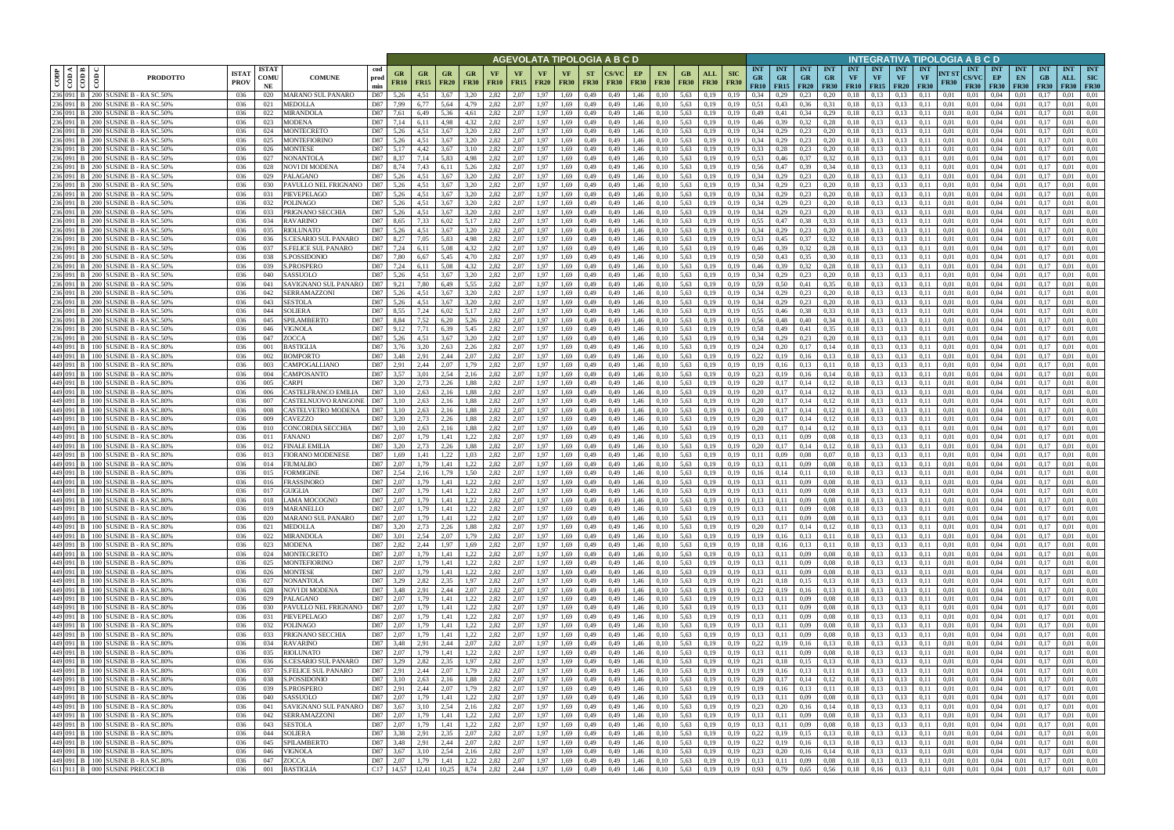|                                           |                                                                                |                             |                            |                                                   |                    |                      |                          |                          |                                                     |                   |                          |                          |                         |                          | AGEVOLATA TIPOLOGIA A B C D                                                                                                    |                   |                                                     |                          |                           |                           |                                       |                                            |                  |                                 |                        |                                        |                                 |                          |                      | INTEGRATIVA TIPOLOGIA A B C D             |                                 |                                      |                     |                                  |                                         |
|-------------------------------------------|--------------------------------------------------------------------------------|-----------------------------|----------------------------|---------------------------------------------------|--------------------|----------------------|--------------------------|--------------------------|-----------------------------------------------------|-------------------|--------------------------|--------------------------|-------------------------|--------------------------|--------------------------------------------------------------------------------------------------------------------------------|-------------------|-----------------------------------------------------|--------------------------|---------------------------|---------------------------|---------------------------------------|--------------------------------------------|------------------|---------------------------------|------------------------|----------------------------------------|---------------------------------|--------------------------|----------------------|-------------------------------------------|---------------------------------|--------------------------------------|---------------------|----------------------------------|-----------------------------------------|
| I≺I≅<br>$\frac{\text{COD}}{\text{COD A}}$ | ලී<br><b>PRODOTTO</b>                                                          | <b>ISTAT</b><br><b>PROV</b> | <b>ISTAT</b><br>comu<br>NE | <b>COMUNE</b>                                     | cod<br>prod<br>min | GR<br>FR10           | <b>GR</b><br><b>FR15</b> | <b>GR</b><br><b>FR20</b> | <b>GR</b><br><b>FR30</b>                            | VF<br><b>FR10</b> | <b>VF</b><br><b>FR15</b> | <b>VF</b><br><b>FR20</b> | VF<br><b>FR30</b>       | <b>ST</b><br><b>FR30</b> | CS/VC<br><b>FR30</b>                                                                                                           | EP<br><b>FR30</b> | <b>EN</b><br><b>FR30</b>                            | GB<br><b>FR30</b>        | <b>ALL</b><br><b>FR30</b> | <b>SIC</b><br><b>FR30</b> | <b>INT</b><br><b>GR</b><br>FR10       | <b>INT</b><br><b>GR</b><br>$FR15$   $FR20$ | <b>INT</b><br>GR | <b>INT</b><br>GR<br><b>FR30</b> | <b>INT</b><br>VF       | <b>INT</b><br><b>VF</b><br>$FR10$ FR15 | <b>INT</b><br>VF<br><b>FR20</b> | INT<br>VF<br><b>FR30</b> | NT ST<br><b>FR30</b> | <b>INT</b><br><b>CS/VC</b><br><b>FR30</b> | <b>INT</b><br>EP<br><b>FR30</b> | <b>INT</b><br>EN<br>F R30            | <b>INT</b><br>F R30 | <b>INT</b><br>ALL<br><b>FR30</b> | <b>INT</b><br><b>SIC</b><br><b>FR30</b> |
| 236 091<br>236 091                        | 200 SUSINE B - RA SC.50%<br>200 SUSINE B - RA SC.50%                           | 036<br>036                  | 020<br>021                 | MARANO SUL PANARO<br>AEDOLLA                      | D87<br>D87         | 5,26<br>7.99         | 4.51<br>6,77             | 3.67<br>5.64             | 3.20                                                | 2,82<br>2,82      | 2.07<br>2.07             | .97                      | 1.69<br>1.69            | 0,49<br>0,49             | 0,49<br>0,49                                                                                                                   | 1.46              | 0.10<br>0.10                                        | 5,63<br>5,63             |                           | 0.19<br>0.19              | 0.34<br>0,51                          | 0,43                                       | 0.23<br>0,36     | 0.20<br>0.31                    | 0.18                   | 0.13<br>0,13                           | 0.13                            |                          | 0.01<br>0.01         | 0.01<br>0,01                              | 0.04<br>0.04                    | 0.01                                 |                     | 0.01                             | 0.01<br>0.01                            |
| 236 091                                   | 200 SUSINE B - RA SC.50%                                                       | 036                         | 022                        | MIRANDOLA                                         | D87                | 7.61                 | 6,49                     | 5.36                     |                                                     | 2,82              | 2.07                     |                          | L <sub>69</sub>         | 0,49                     | 0.49                                                                                                                           | 1.46              |                                                     | 5,63                     | 0,19                      | 0,19                      | 0,49                                  |                                            | 0,34             | 0,29                            | $_{0.18}$<br>$_{0.18}$ | 0,13                                   | 0.13<br>0.13                    |                          | 0.01                 | 0,01                                      | 0.04                            | 0.01                                 | $0.1^{\circ}$       | 0.01                             | 0.01                                    |
|                                           | 236 091   B   200   SUSINE B - RASC.50%                                        | 036                         | 023                        | MODENA                                            | D87                | 7,14                 | 6.11                     | 4.98                     | 4.32                                                | 2,82              | 2.07                     | 1.97                     | 1,69                    | 0,49                     | 0,49                                                                                                                           | 1,46              | 0.10                                                | 5,63                     | 0.19                      | 0.19                      | 0,46                                  | 0.39                                       | 0,32             | 0,28                            | 0,18                   | 0,13                                   | 0.13                            | 0.11                     | 0.01                 | 0,01                                      | 0.04                            | 0.01                                 | 0.17                | 0.01                             | 0.01                                    |
| 236 091                                   | 200 SUSINE B - RA SC.50%                                                       | 036                         | 024                        | MONTECRETO                                        | D87                | 5,26                 | 4.51                     | 3.67                     | 3.20                                                | 2.82              | 2.07                     | 1.97                     | 1.69                    | 0.49                     | 0.49                                                                                                                           | 1.46              |                                                     | 5.63                     | 0.19                      | 0.19                      | 0.34                                  | 0.29                                       | 0,23             | 0.20                            | 0,18                   | 0.13                                   | 0.13                            |                          | 0.01                 | 0.01                                      | 0.04                            | 0.01                                 |                     | 0.01                             | 0.01                                    |
|                                           | 236 091 B 200 SUSINE B - RASC.50%                                              | 036                         | 025                        | MONTEFIORINO                                      | D87                | 5,26                 | 4.51                     | 3.67                     | 3,20                                                | 2,82              | 2,07                     | 1.97                     | 1,69                    | 0,49                     | 0,49                                                                                                                           | 1,46              | 0.10                                                | 5,63                     | 0,19                      | 0.19                      | 0.34                                  | 0,29                                       | 0,23             | 0,20                            | 0,18                   | 0,13                                   | 0,13                            |                          | 0,01                 | 0,01                                      | 0.04                            | 0,01                                 | 0.17                | 0,01                             | 0.01                                    |
| 236 091 B                                 | 200 SUSINE B - RA SC.50%                                                       | 036                         | 026                        | MONTESE                                           | D87                | 5.17                 | 4.42                     | 3.67                     |                                                     | 2.82              | 2.07                     | 1.97                     | l.69                    | 0.49                     | 0.49                                                                                                                           |                   |                                                     | 5.63                     | 0.19                      |                           | 0.33                                  | 0.28                                       | 0,23             | 0,20                            | 0.18                   | 0,13                                   | 0.13                            |                          | 0.01                 | 0.01                                      | 0.04                            | 0.01                                 |                     | 0.01                             | 0.01                                    |
| 236 091 B                                 | 236 091   B   200   SUSINE B - RASC.50%<br>200 SUSINE B - RA SC.50%            | 036<br>036                  | 027<br>028                 | NONANTOLA<br>NOVI DI MODENA                       | D87<br>D87         | 8.37<br>8.74         | 7.14<br>7,43             | 5.83<br>6.11             | 4.98<br>5,26                                        | 2.82<br>2.82      | 2.07<br>2.07             | 1.97<br>1.97             | 1.69<br>1.69            | 0,49<br>0,49             | 0,49<br>0.49                                                                                                                   | 1.46<br>1.46      | 0.10<br>0.10                                        | 5.63<br>5.63             | 0.19<br>0,19              | 0.19<br>0.19              | 0.53<br>0.56                          | 0,46<br>0,47                               | 0,37<br>0,39     | 0.32<br>0,34                    | 0,18<br>0.18           | 0,13<br>0,13                           | 0.13<br>0.13                    | 0.11<br>0.11             | 0.01<br>0.01         | 0.01<br>0.01                              | 0.04<br>0.04                    | 0.01<br>0.01                         | 0.17<br>0.17        | 0.01<br>0.01                     | 0.01<br>0,01                            |
| 236 091 B                                 | 200 SUSINE B - RA SC.50%                                                       | 036                         | 029                        | <b>ALAGANO</b>                                    | D87                | 5.26                 | 4.51                     | 3.67                     | 3,20                                                | 2,82              | 2.07                     | .97                      | 1.69                    | 0,49                     | 0.49                                                                                                                           |                   | 0.10                                                | 5.63                     | 0,19                      | 0.19                      | 0.34                                  | 0,29                                       | 0,23             | 0,20                            | 0.18                   | 0,13                                   | 0.13                            |                          | 0.01                 | 0.01                                      | 0.04                            | 0.01                                 | 0.17                | 0.01                             | 0.01                                    |
| 236 091                                   | 200 SUSINE B - RA SC.50%                                                       | 036                         | 030                        | PAVULLO NEL FRIGNANO                              | D87                | 5,26                 | 4.51                     | 3.67                     | 3,20                                                | 2.82              | 2,07                     | .97                      | L <sub>69</sub>         | 0,49                     | 0.49                                                                                                                           |                   | 0.10                                                | 5.63                     | 0,19                      | 0.19                      | 0.34                                  | 0,29                                       | 0,23             | 0,20                            | 0.18                   | 0,13                                   | 0.13                            |                          | 0.01                 | 0.01                                      | 0.04                            | 0,01                                 | 0.17                | 0.01                             | 0.01                                    |
| 236 091 B                                 | 200 SUSINE B - RA SC.50%                                                       | 036                         | 031                        | <b>IEVEPELAGO</b>                                 | D87                | 5,26                 | 4,51                     | 3.67                     | 3,20                                                | 2,82              | 2,07                     | 1,97                     | 1,69                    | 0,49                     | 0,49                                                                                                                           | 1.46              | 0,10                                                | 5.63                     | 0,19                      | 0,19                      | 0.34                                  | 0,29                                       | 0,23             | 0,20                            | 0,18                   | 0,13                                   | 0.13                            |                          | 0.01                 | 0,01                                      | 0.04                            | 0,01                                 | 0,17                | 0.01                             | 0.01                                    |
| 236 091 B                                 | 200 SUSINE B - RA SC.50%                                                       | 036                         | 032                        | POLINAGO                                          | D87                | 5.26                 | 4.51                     | 3.67                     | 3.20                                                | 2.82              | 2.07                     | 1.97                     | 1.69                    | 0,49                     | 0,49                                                                                                                           | 1.46              | 0,10                                                | 5.63                     | 0,19                      | 0.19                      | 0.34                                  | 0,29                                       | 0,23             | 0,20                            | 0,18                   | 0,13                                   | 0,13                            | 0.11                     | 0.01                 | 0,01                                      | 0.04                            | 0,01                                 | 0.17                | 0.01                             | 0.01                                    |
|                                           | 236 091 B   200 SUSINE B - RASC.50%<br>236 091   B   200   SUSINE B - RASC.50% | 036                         | 033<br>034                 | PRIGNANO SECCHIA<br>RAVARINO                      | D87<br>D87         | 5,26<br>8,65         | 4,51<br>7,33             | 3.67<br>6,02             | 3,20<br>5,17                                        | 2.82<br>2,82      | 2.07<br>2,07             | 1,97<br>1,97             | 1,69                    | 0,49<br>0,49             | 0,49<br>0,49                                                                                                                   | 1,46              | 0,10                                                | 5,63<br>5,63             | 0,19                      | 0,19                      | 0.34<br>0,55                          | 0,29<br>0,47                               | 0,23             | 0,20<br>0.33                    | 0,18<br>0,18           | 0,13<br>0,13                           | 0,13<br>0.13                    | 0.11                     | 0,01<br>0,01         | 0,01                                      | 0.04<br>0.04                    | 0,01<br>0,01                         | 0,17                | 0.01<br>0,01                     | 0,01<br>0,01                            |
| 236 091 B                                 | 200 SUSINE B - RA SC.50%                                                       | 036<br>036                  | 035                        | RIOLUNATO                                         | D87                | 5.26                 | 4.51                     | 3.67                     | 3.20                                                | 2.82              | 2,07                     | 1.97                     | 1,69<br>1,69            | 0,49                     | 0,49                                                                                                                           | 1,46<br>1,46      | 0,10<br>0.10                                        | 5,63                     | 0,19<br>0.19              | 0,19<br>0.19              | 0.34                                  | 0,29                                       | 0,38<br>0,23     | 0,20                            | 0,18                   | 0.13                                   | 0.13                            | 0,11<br>0.11             | 0,01                 | 0,01<br>0.01                              | 0.04                            | 0,01                                 | 0,17<br>0.17        | 0.01                             | 0.01                                    |
|                                           | 236 091 B   200 SUSINE B - RASC.50%                                            | 036                         | 036                        | <b>S.CESARIO SUL PANARO</b>                       | D87                | 8,27                 | 7,05                     | 5.83                     | 4.98                                                | 2.82              | 2,07                     | 1.97                     | 1,69                    | 0,49                     | 0,49                                                                                                                           | 1,46              | 0,10                                                | 5,63                     | 0,19                      | 0.19                      | 0.53                                  | 0,45                                       | 0,37             | 0,32                            | 0,18                   | 0.13                                   | 0,13                            | 0.11                     | 0.01                 | 0,01                                      | 0.04                            | 0,01                                 | 0.17                | 0,01                             | 0.01                                    |
|                                           | 236 091 B 200 SUSINE B - RA SC.50%                                             | 036                         | 037                        | <b>S.FELICE SUL PANARO</b>                        | D87                | 7,24                 | 6,11                     | 5.08                     | 4,32                                                | 2,82              | 2,07                     | 1,97                     | 1,69                    | 0,49                     | 0,49                                                                                                                           | 1,46              | 0.10                                                | 5,63                     | 0,19                      | 0,19                      | 0,46                                  | 0.39                                       | 0,32             | 0,28                            | 0,18                   | 0,13                                   | 0,13                            | 0.11                     | 0,01                 | 0.01                                      | 0,04                            | 0,01                                 | 0.17                | 0.01                             | 0.01                                    |
|                                           | 236 091 B 200 SUSINE B - RASC.50%                                              | 036                         | 038                        | <b>S.POSSIDONIO</b>                               | D87                | 7.80                 | 6.67                     | 5.45                     | 4.70                                                | 2.82              | 2,07                     | 1.97                     | 1.69                    | 0.49                     | 0.49                                                                                                                           | 1.46              | 0.10                                                | 5.63                     | 0.19                      |                           | 0.50                                  | 0.43                                       | 0.35             | 0.30                            | 0.18                   | 0.13                                   | 0.13                            | 0.11                     | 0.01                 | 0.01                                      | 0.04                            | 0.01                                 | 0.17                | 0.01                             | 0.01                                    |
|                                           | 236 091 B 200 SUSINE B - RASC.50%                                              | 036                         | 039                        | PROSPERO                                          | D87                | 7.24                 | 6.11                     | 5.08                     | 4.32                                                | 2.82              | 2.07                     | 1.97                     | 1.69                    | 0.49                     | 0.49                                                                                                                           | 1.46              |                                                     | 5.63                     | 0.19                      |                           | 0.46                                  | 0.39                                       | 0,32             | 0.28                            | 0.18                   | 0.13                                   | 0.13                            | 0.11                     | 0.01                 | 0.01                                      | 0.04                            | 0.01                                 | 0.17                | 0.01                             | 0.01                                    |
| 236 091 B                                 | 236 091 B 200 SUSINE B - RA SC.50%<br>200 SUSINE B - RA SC.50%                 | 036<br>036                  | 040<br>041                 | ASSUOLO<br>SAVIGNANO SUL PANARO                   | D87<br>D87         | 5.26<br>9.21         | 4.51<br>7.80             | 3.67<br>6.49             | 3.20<br>5.55                                        | 2.82<br>2.82      | 2,07<br>2.07             | 1.97<br>1.97             | 1.69<br>1.69            | 0,49<br>0.49             | 0,49<br>0.49                                                                                                                   | 1.46<br>1.46      | 0.10                                                | 5.63<br>5.63             | 0.19<br>0.19              | 0.19<br>0.19              | 0.34<br>0.59                          | 0,29<br>0.50                               | 0,23<br>0.41     | 0,20<br>0.35                    | 0,18<br>0.18           | 0,13<br>0.13                           | 0.13<br>0.13                    | 0.11<br>0.11             | 0.01<br>0.01         | 0.01<br>0.01                              | 0,04<br>0.04                    | 0,01<br>0.01                         | 0.17                | 0,01<br>0.01                     | 0.01<br>0.01                            |
|                                           | 236 091 B 200 SUSINE B - RASC.50%                                              | 036                         | 042                        | <b>ERRAMAZZONI</b>                                | D87                | 5.26                 | 4.51                     | 3.67                     | 3.20                                                | 2.82              | 2.07                     | 1.97                     | 1.69                    | 0.49                     | 0.49                                                                                                                           |                   | 0.10                                                | 5.63                     | 0.19                      |                           | 0.34                                  | 0.29                                       | 0.23             | 0,20                            | 0.18                   | 0.13                                   | 0.13                            |                          | 0.01                 | 0.01                                      | 0.04                            | 0.01                                 | 0.17                | 0.01                             | 0.01                                    |
| 236 091                                   | 200 SUSINE B - RA SC.50%                                                       | 036                         | 043                        | <b>ESTOLA</b>                                     | D87                | 5.26                 | 4.51                     | 3.67                     | 3.20                                                | 2.82              | 2.07                     | 1.97                     | 1.69                    | 0.49                     | 0.49                                                                                                                           |                   |                                                     | 5.63                     |                           |                           | 0.34                                  | 0.29                                       | 0,23             | 0,20                            | 0.18                   | 0.13                                   | 0.13                            |                          | 0.01                 | 0.01                                      | 0.04                            | 0.01                                 |                     | 0.01                             | 0.01                                    |
| 236 091                                   | 200 SUSINE B - RA SC.50%                                                       | 036                         | 044                        | SOLIERA                                           | D87                | 8.55                 | 7.24                     | 6.02                     |                                                     | 2.82              | 2.07                     |                          | 1.69                    | 0,49                     | 0,49                                                                                                                           |                   |                                                     | 5.63                     |                           |                           | 0.55                                  | 0.46                                       | 0,38             | 0.33                            | $_{0.18}$              | 0,13                                   | 0.13                            |                          | 0.01                 | 0.01                                      | 0.04                            | 0.01                                 | $0.1^{\circ}$       | 0.01                             | 0.01                                    |
| 236 091                                   | 200 SUSINE B - RA SC.50%                                                       | 036                         | 045                        | PILAMBERTO                                        | D87                | 8.84                 | 7.52                     | 6.20                     | 5.26                                                | 2.82              | 2.07                     | .97                      | 1.69                    | 0.49                     | 0.49                                                                                                                           |                   |                                                     | 5.63                     |                           | 0.19                      | 0.56                                  | 0.48                                       | 0.40             | 0.34                            | 0.18                   | 0.13                                   | 0.13                            |                          | 0.01                 | 0.01                                      | 0.04                            | 0.01                                 |                     | 0.01                             | 0.01                                    |
| 236 091 1<br>236 091                      | 200 SUSINE B - RA SC.50%<br>200 SUSINE B - RA SC.50%                           | 036<br>036                  | 046<br>047                 | /IGNOLA<br><b>ZOCCA</b>                           | D87<br>D87         | 9,12<br>5.26         | 4.51                     | 6,39<br>3.67             | 5,45<br>3.20                                        | 2,82<br>2,82      | 2,07<br>2.07             | 1.97                     | 1,69<br>L <sub>69</sub> | 0,49<br>0.49             | 0,49<br>0.49                                                                                                                   | 1.46<br>1.46      | 0,10                                                | 5,63<br>5.63             | 0,19<br>0.19              |                           | 0.58<br>0.34                          | 0,49<br>0.29                               | 0,41<br>0.23     | 0,35<br>0.20                    | 0,18<br>0.18           | 0,13<br>0.13                           | 0.13<br>0.13                    |                          | 0,01<br>0.01         | 0,01<br>0.01                              | 0,04<br>0.04                    | 0,01<br>0.01                         | 0,1                 | 0,01<br>0.01                     | 0,01<br>0.01                            |
|                                           | 449 091 B 100 SUSINE B - RA SC.80%                                             | 036                         | 001                        | <b>BASTIGLIA</b>                                  | D87                | 3,76                 | 3.20                     | 2.63                     | 2,26                                                | 2,82              | 2.07                     |                          | 1.69                    | 0,49                     | 0,49                                                                                                                           | 1.46              |                                                     | 5,63                     | 0.19                      | 0.19                      | 0,24                                  | 0.20                                       | 0,17             | 0,14                            | 0,18                   | 0,13                                   | 0.13                            |                          | 0.01                 | 0,01                                      | 0.04                            | 0,01                                 | -0.13               | 0.01                             | 0.01                                    |
| 449 091                                   | 100 SUSINE B - RA SC.80%                                                       | 036                         | 002                        | <b>BOMPORTO</b>                                   | D87                | 3,48                 | 2,91                     | 2.44                     | 2.07                                                | 2,82              | 2,07                     |                          | L <sub>0</sub> 9        | 0,49                     | 0.49                                                                                                                           | 1.46              |                                                     | 5,63                     | 0.19                      |                           | 0,22                                  |                                            | 0,16             | 0.13                            | 0,18                   | 0,13                                   | 0.13                            |                          | 0.01                 | 0.01                                      | 0.04                            | 0,01                                 |                     | 0.01                             | 0.01                                    |
|                                           | 449 091 B 100 SUSINE B - RASC.80%                                              | 036                         | 003                        | 'AMPOGALLIANO                                     | D87                | 2.91                 | 2.44                     | 2.07                     | 1.79                                                | 2.82              | 2.07                     | 1.97                     | 1.69                    | 0,49                     | 0,49                                                                                                                           | 1.46              | 0.10                                                | 5.63                     | 0.19                      | 0.19                      | 0.19                                  | 0.16                                       | 0,13             | 0,11                            | 0,18                   | 0,13                                   | 0.13                            | 0.11                     | 0.01                 | 0.01                                      | 0.04                            | 0.01                                 | 0.17                | 0.01                             | 0.01                                    |
| 449 091 B                                 | 100 SUSINE B - RA SC.80%                                                       | 036                         | 004                        | CAMPOSANTO                                        | D87                | 3.57                 | 3.01                     | 2.54                     | 2.16                                                | 2.82              | 2,07                     | 1.97                     | 1.69                    | 0,49                     | 0.49                                                                                                                           | 1.46              | 0.10                                                | 5.63                     | 0,19                      | 0.19                      | 0.23                                  | 0,19                                       | 0,16             | 0,14                            | 0.18                   | 0,13                                   | 0.13                            |                          | 0.01                 | 0.01                                      | 0.04                            | 0.01                                 | 0.17                | 0.01                             | 0.01                                    |
| 449 091 1                                 | 449 091 B 100 SUSINE B - RASC.80%<br>100 SUSINE B - RA SC.80%                  | 036<br>036                  | 005                        | 'ARPI<br>'ASTELFRANCO EMILIA                      | D87<br>D87         | 3.20<br>3.10         | 2,73<br>2.63             | 2.26<br>2.16             | 1,88                                                | 2,82<br>2.82      | 2,07<br>2.07             | 1.97<br>.97              | 1,69<br>1.69            | 0,49                     | 0,49<br>0.49                                                                                                                   | 1,46              | 0,10                                                | 5,63<br>5.63             | 0,19                      | 0.19<br>0.19              | 0.20<br>0.20                          | 0,17<br>0.17                               | 0,14             | 0,12                            | 0,18                   | 0,13                                   | 0.13<br>0.13                    | 0.11                     | 0.01<br>0.01         | 0,01                                      | 0.04<br>0.04                    | 0,01<br>0.01                         | 0,17                | 0.01<br>0.01                     | 0,01<br>0.01                            |
| 449 091 B                                 | 100 SUSINE B - RA SC.80%                                                       | 036                         | 006<br>007                 | 'ASTELNUOVO RANGONE                               | D87                | 3.10                 | 2.63                     | 2.16                     | 1,88<br>1,88                                        | 2.82              | 2.07                     | 1.97                     | 1.69                    | 0,49<br>0.49             | 0.49                                                                                                                           | 1.46              | 0.10<br>0.10                                        | 5.63                     | 0,19<br>0.19              | 0.19                      | 0.20                                  | 0.17                                       | 0.14<br>0.14     | 0,12<br>0,12                    | 0.18<br>0.18           | 0,13<br>0,13                           | 0.13                            | 0.11                     | 0.01                 | 0.01<br>0.01                              | 0.04                            | 0.01                                 | 0.17<br>0.17        | 0.01                             | 0.01                                    |
| 449 091 B                                 | 100 SUSINE B - RA SC.80%                                                       | 036                         | 008                        | 'ASTELVETRO MODENA                                | D87                | 3.10                 | 2,63                     | 2,16                     | 1,88                                                | 2,82              | 2,07                     | 1,97                     | 1.69                    | 0,49                     | 0.49                                                                                                                           | 1.46              | 0,10                                                | 5.63                     | 0,19                      | 0,19                      | 0.20                                  | 0,17                                       | 0,14             | 0,12                            | 0,18                   | 0,13                                   | 0,13                            | 0.11                     | 0.01                 | 0,01                                      | 0.04                            | 0,01                                 | 0,17                | 0.01                             | 0.01                                    |
| 449 091 B                                 | 100 SUSINE B - RA SC.80%                                                       | 036                         | 009                        | <b>AVEZZO:</b>                                    | D87                | 3,20                 | 2.73                     | 2,26                     | 1,88                                                | 2,82              | 2.07                     | 1,97                     | 1.69                    | 0,49                     | 0,49                                                                                                                           | 1,46              | 0,10                                                | 5,63                     | 0,19                      | 0,19                      | 0.20                                  | 0,17                                       | 0,14             | 0,12                            | 0,18                   | 0,13                                   | 0,13                            | 0.11                     | 0,01                 | 0,01                                      | 0.04                            | 0,01                                 | 0.17                | 0.01                             | 0,01                                    |
| 449 091 1                                 | 100 SUSINE B - RA SC.80%                                                       | 036                         | 010                        | CONCORDIA SECCHIA                                 | D87                | 3,10                 | 2,63                     | 2,16                     | 1,88                                                | 2,82              | 2,07                     | 1.97                     | 1.69                    | 0,49                     | 0,49                                                                                                                           | 1.46              | 0,10                                                | 5,63                     | 0,19                      | 0,19                      | 0,20                                  | 0,17                                       | 0,14             | 0,12                            | 0,18                   | 0,13                                   | 0,13                            | 0.11                     | 0.01                 | 0,01                                      | 0.04                            | 0,01                                 | 0,17                | 0,01                             | 0,01                                    |
|                                           | 449 091 B 100 SUSINE B - RASC.80%                                              | 036                         | 011                        | ANANO                                             | D87                | 2,07                 | 1,79                     | 1,41                     | 1,22                                                | 2,82              | 2,07                     | 1,97                     | 1,69                    | 0,49                     | 0,49                                                                                                                           | 1,46              | 0,10                                                | 5,63                     | 0,19                      | 0,19                      | 0,13                                  | 0,11                                       | 0,09             | 0.08                            | 0,18                   | 0,13                                   | 0,13                            | 0,11                     | 0,01                 | 0,01                                      | 0,04                            | 0,01                                 | 0,17                | 0,01                             | 0,01                                    |
|                                           | 449 091 B 100 SUSINE B - RA SC.80%<br>449 091 B   100 SUSINE B - RA SC.80%     | 036<br>036                  | 012<br>013                 | <b>INALE EMILIA</b><br><b>IORANO MODENESE</b>     | D87<br>D87         | 3.20<br>1,69         | 2.73<br>1.41             | 2.26<br>1.22             | 1,88<br>1,03                                        | 2.82<br>2,82      | 2,07<br>2,07             | 1.97<br>1,97             | 1.69<br>1,69            | 0,49<br>0,49             | 0,49<br>0,49                                                                                                                   | 1,46<br>1,46      | 0,10<br>0,10                                        | 5,63<br>5,63             | 0,19<br>0,19              | 0.19<br>0,19              | 0,20<br>0,11                          | 0,17<br>0,09                               | 0,14<br>0,08     | 0,12<br>0,07                    | 0,18<br>0,18           | 0,13<br>0,13                           | 0,13<br>0,13                    | 0.11<br>0.11             | 0.01<br>0,01         | 0,01<br>0,01                              | 0,04<br>0,04                    | 0,01<br>0,01                         | 0.17<br>0.17        | 0,01<br>0,01                     | 0.01<br>0.01                            |
|                                           | 449 091 B 100 SUSINE B - RA SC.80%                                             | 036                         | 014                        | FIUMALBO                                          | D87                | 2,07                 | 1,79                     | 1,41                     | 1,22                                                | 2,82              | 2,07                     | 1.97                     | 1,69                    | 0,49                     | 0,49                                                                                                                           | 1,46              | 0,10                                                | 5,63                     | 0,19                      | 0.19                      | 0,13                                  | 0,11                                       | 0,09             | 0.08                            | 0,18                   | 0,13                                   | 0,13                            | 0.11                     | 0,01                 | 0,01                                      | 0,04                            | 0,01                                 | 0,17                | 0,01                             | 0.01                                    |
|                                           | 449 091 B 100 SUSINE B - RASC.80%                                              | 036                         | 015                        | <b>ORMIGINE</b>                                   | D87                | 2.54                 | 2.16                     | 1.79                     | 1.50                                                | 2.82              | 2.07                     | 1.97                     | 1.69                    | 0.49                     | 0.49                                                                                                                           | 1.46              |                                                     | 5.63                     | 0.19                      |                           | 0.16                                  | 0.14                                       | 0.11             | 0.10                            | 0,18                   | 0.13                                   | 0.13                            | 0.11                     | 0.01                 | 0.01                                      | 0.04                            | 0.01                                 | $0.1^{\circ}$       | 0.01                             | 0.01                                    |
|                                           | 449 091 B   100 SUSINE B - RASC.80%                                            | 036                         | 016                        | FRASSINORO                                        | D87                | 2.07                 | 1.79                     | 1.41                     | 1,22                                                | 2,82              | 2,07                     | 1.97                     | 1.69                    | 0,49                     | 0,49                                                                                                                           | 1.46              | 0.10                                                | 5.63                     | 0,19                      | 0.19                      | 0,13                                  | 0.11                                       | 0,09             | 0.08                            | 0,18                   | 0.13                                   | 0.13                            | 0.11                     | 0.01                 | 0.01                                      | 0.04                            | 0,01                                 | 0.17                | 0,01                             | 0.01                                    |
|                                           | 449 091 B 100 SUSINE B - RA SC.80%                                             | 036                         | 017                        | GUIGLIA                                           | D87                | 2.07                 | 1.79                     | 1.41                     | 1,22                                                | 2,82              | 2.07                     | 1,97                     | 1.69                    | 0.49                     | 0.49                                                                                                                           | 1.46              | 0.10                                                | 5.63                     | 0,19                      | 0.19                      | 0.13                                  | 0.11                                       | 0.09             | 0.08                            | 0,18                   | 0.13                                   | 0.13                            | 0.11                     | 0.01                 | 0.01                                      | 0.04                            | 0.01                                 | 0.17                | 0.01                             | 0.01                                    |
|                                           | 449 091 B 100 SUSINE B - RA SC.80%<br>449 091 B 100 SUSINE B - RA SC.80%       | 036<br>036                  | 018<br>019                 | LAMA MOCOGNO<br>MARANELLO                         | D87<br>D87         | 2,07<br>2,07         | 1,79<br>1,79             | 1,41<br>1,41             | 1,22<br>1,22                                        | 2,82<br>2,82      | 2,07<br>2,07             | 1,97<br>1,97             | 1,69<br>1,69            | 0,49<br>0,49             | 0,49                                                                                                                           | 0,49 1,46<br>1,46 | 0,10<br>0,10                                        | 5,63 0,19<br>$5,63$ 0,19 |                           | 0,19<br>0,19              | 0,13<br>0,13                          | 0,11<br>0,11                               | 0,09<br>0,09     | 0,08<br>0,08                    |                        | $0,18$ $0,13$<br>$0,18$ 0.13           | 0,13<br>0,13                    | 0,11<br>0,11             | 0,01<br>0,01         | 0,01<br>0,01                              | $0,04$ 0.01<br>$0.04$ 0.01      |                                      | 0,17<br>0,17        | 0,01<br>0,01                     | 0,01<br>0,01                            |
|                                           | 449 091 B 100 SUSINE B - RA SC.80%                                             | 036                         | 020                        | MARANO SUL PANARO                                 |                    | D87 2,07             | 1,79                     | 1,41                     | 1,22                                                | 2,82              | 2,07                     | 1,97                     | 1,69                    | 0,49                     |                                                                                                                                | 0,49 1,46         | 0,10                                                | 5,63 0,19                |                           | 0,19                      | 0,13                                  | 0,11                                       | 0,09             | 0,08                            |                        | $0,18$ $0,13$                          | 0,13                            | 0,11                     | 0,01                 | 0,01                                      | $0,04$ $0,01$                   |                                      | 0,17                | 0,01                             | 0,01                                    |
|                                           | 449 091 B 100 SUSINE B - RA SC.80%                                             | 036                         | 021                        | MEDOLLA                                           | D87                | 3,20                 | 2,73                     | 2,26                     | 1,88                                                |                   | 2,82 2,07                |                          | 1,97 1,69 0,49          |                          |                                                                                                                                | $0,49$ 1,46       | $0,10$ $5,63$ $0,19$                                |                          |                           | 0,19                      | 0,20                                  | 0,17                                       | 0,14             | 0,12                            |                        | $0,18$ $0,13$                          | 0,13                            | 0,11                     | 0,01                 | 0.01                                      | $0,04$ 0.01                     |                                      | 0.17                | 0,01                             | 0,01                                    |
|                                           | 449 091 B 100 SUSINE B - RA SC.80%                                             | 036                         | 022                        | <b>MIRANDOLA</b>                                  | D87                | 3,01                 | 2,54                     | 2,07                     | 1,79                                                | 2,82              | 2,07                     | 1,97                     | 1,69                    | 0,49                     |                                                                                                                                | 0,49 1,46         | $0,10$ 5,63 0,19                                    |                          |                           | 0,19                      | 0,19                                  | 0,16                                       | 0,13             | 0,11                            |                        | $0,18$ $0,13$                          | 0,13                            | 0,11                     | 0,01                 | 0,01                                      | $0,04$ 0.01                     |                                      | 0.17                | 0,01                             | 0,01                                    |
|                                           | 449 091 B 100 SUSINE B - RA SC.80%<br>449 091 B 100 SUSINE B - RA SC.80%       | 036<br>036                  | 023<br>024                 | MODENA<br>MONTECRETO                              | D87<br>D87         | 2,82<br>2,07         | 2,44<br>1,79             | 1,97<br>1,41             | 1,69<br>1,22                                        | 2,82<br>2,82      | 2,07<br>2,07             | 1,97<br>1,97             | 1,69<br>1,69            | 0,49<br>0,49             | 0,49 1,46<br>0,49                                                                                                              | 1,46              | 0,10<br>0,10                                        | 5,63 0,19<br>5,63 0,19   |                           | 0,19<br>0,19              | 0,18<br>0,13                          | 0,16<br>0,11                               | 0,13<br>0,09     | 0,11<br>0,08                    |                        | $0,18$ $0,13$<br>$0,18$ $0,13$         | 0,13<br>0,13                    | 0,11<br>0,11             | 0,01<br>0,01         | 0,01<br>0,01                              | $0,04$ 0.01<br>0,04             | 0,01                                 | 0,17<br>0,17        | 0,01<br>0,01                     | 0,01<br>0,01                            |
|                                           | 449 091 B 100 SUSINE B - RA SC.80%                                             | 036                         | 025                        | MONTEFIORINO                                      | D87                | 2,07                 | 1,79                     | 1,41                     | 1,22                                                | 2,82              | 2,07                     | 1,97                     | 1,69                    | 0,49                     |                                                                                                                                | 0,49 1,46         | 0,10                                                | 5,63 0,19                |                           | 0,19                      | 0,13                                  | 0,11                                       | 0,09             | 0,08                            |                        | $0,18$ $0,13$                          | 0,13                            | 0,11                     | 0,01                 | 0.01                                      | $0.04 \qquad 0.01$              |                                      | 0,17                | 0,01                             | 0,01                                    |
|                                           | 449 091 B 100 SUSINE B - RA SC.80%                                             | 036                         | 026                        | <b>MONTESE</b>                                    | D87                | 2,07                 | 1,79                     | 1,41                     | 1,22 2,82                                           |                   | 2,07                     | 1,97                     | 1,69                    | 0,49                     |                                                                                                                                | 0,49 1,46         | $0,10$ $5,63$ $0,19$                                |                          |                           | 0,19                      | 0,13                                  | 0,11                                       | 0,09             | 0,08                            |                        | $0,18$ $0,13$                          | 0,13                            | 0,11                     | 0,01                 | 0,01                                      | $0,04$ 0.01                     |                                      | 0,17                | 0,01                             | 0,01                                    |
|                                           | 449 091 B 100 SUSINE B - RA SC.80%                                             | 036                         | 027                        | <b>NONANTOLA</b>                                  | D87                |                      |                          |                          | $3,29$ $2,82$ $2,35$ $1,97$ $2,82$ $2,07$           |                   |                          | 1,97 1,69 0,49           |                         |                          |                                                                                                                                |                   | $0,49$ 1,46 0,10 5,63 0,19                          |                          |                           | 0,19                      | 0,21                                  | $0,18$ $0,15$                              |                  | 0,13                            |                        | $0,18$ $0,13$                          | 0,13                            | 0,11                     | 0,01                 | 0,01                                      |                                 | $0,04$ $0,01$ $0,17$                 |                     |                                  | $0,01$ $0,01$                           |
|                                           | 449 091 B 100 SUSINE B - RA SC.80%<br>449 091 B 100 SUSINE B - RA SC.80%       | 036                         | 028                        | NOVI DI MODENA                                    |                    | D87 3,48 2,91        |                          |                          | 2,44 2,07 2,82 2,07                                 |                   |                          |                          | 1,97 1,69               | 0,49                     |                                                                                                                                |                   | $0,49$ 1,46 $0,10$ 5,63 0,19                        |                          |                           | 0,19                      | 0,22                                  | 0,19                                       | 0,16             | 0,13                            |                        | $0,18$ $0,13$                          | 0,13                            | 0,11                     | 0,01                 | 0,01                                      |                                 | $0,04$ $0,01$ $0,17$                 |                     |                                  | $0,01$ $0,01$                           |
|                                           | 449 091 B 100 SUSINE B - RA SC.80%                                             | 036<br>036                  | 029<br>030                 | PALAGANO<br>PAVULLO NEL FRIGNANO   D87   2,07     |                    | D87 2,07             | 1,79<br>1,79             | 1,41                     | $1,22$ $2,82$ $2,07$<br>$1,41$ $1,22$ $2,82$ $2,07$ |                   |                          | 1,97                     | 1,69<br>1,97 1,69       | 0,49<br>0,49             | 0,49 1,46                                                                                                                      | 0,49 1,46         | $0,10$ $5,63$ $0,19$<br>$0,10$ $5,63$ $0,19$        |                          |                           | 0,19<br>0,19              | 0,13<br>0,13                          | 0,11<br>0,11                               | 0,09<br>0,09     | 0,08<br>0,08                    |                        | $0,18$ $0,13$<br>$0,18$ $0,13$         | 0,13<br>0,13                    | 0,11<br>0,11             | 0,01<br>0,01         | 0,01<br>0,01                              |                                 | $0,04$ 0.01 0.17<br>$0.04$ 0.01 0.17 |                     | 0.01                             | 0,01<br>$0,01$ $0,01$                   |
|                                           | 449 091 B 100 SUSINE B - RA SC.80%                                             | 036                         | 031                        | PIEVEPELAGO                                       |                    | D87 2,07 1,79        |                          |                          | $1,41$ 1,22 2,82 2,07 1,97 1,69 0,49                |                   |                          |                          |                         |                          |                                                                                                                                | 0,49 1,46         | $0,10$ $5,63$ $0,19$ $0,19$                         |                          |                           |                           | 0,13                                  | $0,11$ $0,09$                              |                  | 0,08                            |                        | $0,18$ $0,13$                          | 0,13                            | 0,11                     | 0,01                 | 0,01                                      |                                 | $0,04$ 0.01 0.17                     |                     |                                  | $0,01$ $0,01$                           |
|                                           | 449 091 B 100 SUSINE B - RA SC.80%                                             | 036                         | 032                        | POLINAGO                                          |                    | D87 2,07 1,79        |                          | 1,41                     | $1,22$ 2,82 2,07                                    |                   |                          |                          | 1,97 1,69 0,49          |                          |                                                                                                                                | 0,49 1,46         | $0,10$ 5,63 0,19 0,19                               |                          |                           |                           | 0,13                                  | 0,11                                       | 0,09             | 0,08                            |                        | $0,18$ $0,13$                          | 0,13                            | 0,11                     | 0,01                 | 0,01                                      |                                 | $0,04$ 0.01 0.17                     |                     |                                  | $0,01$ 0.01                             |
|                                           | 449 091 B 100 SUSINE B - RA SC.80%                                             | 036                         | 033                        | PRIGNANO SECCHIA                                  | D87                | 2,07                 | 1,79                     | 1,41                     | $1,22$ $2,82$                                       |                   | 2,07                     | 1,97                     | 1,69                    | 0,49                     | 0,49                                                                                                                           | 1,46              | 0,10                                                | 5,63 0,19                |                           | 0,19                      | 0,13                                  | 0,11                                       | 0,09             | 0,08                            |                        | $0,18$ $0,13$                          | 0,13                            | 0,11                     | 0,01                 | 0,01                                      | $0,04$ 0.01                     |                                      | 0,17                | 0,01                             | 0,01                                    |
|                                           | 449 091 B 100 SUSINE B - RA SC.80%                                             | 036                         | 034                        | <b>RAVARINO</b>                                   | D87                | 3,48                 | 2,91                     | 2,44                     | $2,07$ $2,82$                                       |                   | 2,07                     | 1,97                     | 1,69                    | 0,49                     | 0,49                                                                                                                           | 1,46              | 0,10                                                | 5,63 0,19                |                           | 0,19                      | 0,22                                  | 0,19                                       | 0,16             | 0,13                            |                        | $0,18$ $0,13$                          | 0,13                            | 0,11                     | 0,01                 | 0,01                                      | $0,04$ $0,01$                   |                                      | 0,17                | 0,01                             | 0,01                                    |
|                                           | 449 091 B 100 SUSINE B - RA SC 80%<br>449 091 B 100 SUSINE B - RA SC.80%       | 036<br>036                  | 035<br>036                 | RIOLUNATO<br>S.CESARIO SUL PANARO                 |                    | D87 2,07<br>D87 3,29 | 1,79<br>2,82             | 1,41                     | $1,22$ $2,82$<br>2,35 1,97 2,82                     |                   | 2,07<br>2,07             | 1,97                     | 1,69<br>1,97 1,69       | 0,49<br>0,49             | 0,49<br>0,49 1,46                                                                                                              | 1,46              | 0,10<br>0,10                                        | 5,63 0,19<br>5,63 0,19   |                           | 0,19<br>0,19              | 0,13<br>0,21                          | 0,11<br>0,18                               | 0,09<br>0,15     | 0,08<br>0,13                    |                        | $0,18$ $0,13$<br>$0,18$ $0,13$         | 0,13<br>0,13                    | 0,11<br>0,11             | 0,01<br>0,01         | 0,01<br>0,01                              | $0,04$ 0.01<br>$0,04$ 0.01      |                                      | 0, 17<br>0,17       | 0,01<br>0,01                     | 0,01<br>0,01                            |
|                                           | 449 091 B 100 SUSINE B - RA SC.80%                                             | 036                         | 037                        | <b>S.FELICE SUL PANARO</b>                        |                    | D87 2,91             | 2,44                     |                          | 2,07 1,79 2,82                                      |                   | 2,07                     |                          | 1,97 1,69               | 0,49                     |                                                                                                                                |                   | $0,49$ 1,46 0,10 5,63 0,19                          |                          |                           | 0,19                      | 0,19                                  | 0,16                                       | 0,13             | 0,11                            |                        | $0,18$ $0,13$                          | 0,13                            | 0,11                     | 0,01                 | 0,01                                      |                                 | $0,04$ 0.01 0.17                     |                     | 0,01                             | 0,01                                    |
|                                           | 449 091 B 100 SUSINE B - RA SC.80%                                             | 036                         | 038                        | S.POSSIDONIO                                      |                    | D87 3,10             | 2,63                     |                          | 2,16 1,88 2,82                                      |                   | 2,07                     |                          | 1,97 1,69               | 0,49                     |                                                                                                                                |                   | $0,49$ 1,46 0,10 5,63 0,19                          |                          |                           | 0,19                      | 0,20                                  | 0,17                                       | 0,14             | 0,12                            |                        | $0,18$ $0,13$                          | 0,13                            | 0,11                     | 0,01                 | 0,01                                      | $0,04$ 0.01                     |                                      | 0,17                | 0,01                             | 0,01                                    |
|                                           | 449 091 B 100 SUSINE B - RASC.80%                                              | 036                         | 039                        | S.PROSPERO                                        |                    | D87 2,91             | 2,44                     |                          | 2,07 1,79 2,82 2,07 1,97 1,69 0,49                  |                   |                          |                          |                         |                          |                                                                                                                                |                   | $0,49$ 1,46 0,10 5,63 0,19                          |                          |                           | 0,19                      | $0,19$ $0,16$ $0,13$                  |                                            |                  |                                 |                        | $0,11$ $0,18$ $0,13$                   | 0,13                            | 0,11                     | 0,01                 | 0,01                                      |                                 | $0,04$ $0,01$ $0,17$                 |                     |                                  | $0,01$ 0.01                             |
|                                           | 449 091 B 100 SUSINE B - RA SC.80%<br>449 091 B 100 SUSINE B - RA SC.80%       | 036                         | 040                        | SASSUOLO                                          |                    | D87 2,07             | 1,79                     |                          | $1,41$ $1,22$ $2,82$ $2,07$ $1,97$ $1,69$ $0,49$    |                   |                          |                          |                         |                          |                                                                                                                                |                   | $0,49$ 1,46 0,10 5,63 0,19                          |                          |                           | 0,19                      | 0,13                                  | 0,11                                       | 0,09             | 0,08                            |                        | $0,18$ $0,13$                          | 0,13                            | 0,11                     | 0,01                 | 0,01                                      |                                 | $0,04$ 0.01 0.17                     |                     | 0,01                             | 0,01                                    |
|                                           | 449 091 B 100 SUSINE B - RA SC.80%                                             | 036<br>036                  | 041<br>042                 | SAVIGNANO SUL PANARO   D87   3,67<br>SERRAMAZZONI |                    | D87 2,07             | 3,10<br>1,79             |                          | 2,54 2,16 2,82 2,07<br>$1,41$   $1,22$   $2,82$     |                   | 2,07                     | 1,97 1,69                | 1,97 1,69               | 0,49<br>0,49             |                                                                                                                                | 0,49 1,46         | $0,49$ 1,46 0,10 5,63 0,19<br>0,10                  | 5,63 0,19                |                           | 0,19<br>0,19              | 0,23<br>0,13                          | 0,20<br>0,11                               | 0,16<br>0,09     | 0,14<br>0,08                    |                        | $0,18$ $0,13$<br>$0,18$ $0,13$         | 0,13<br>0,13                    | 0,11<br>0,11             | 0,01<br>0,01         | 0,01<br>0,01                              | $0,04$ 0.01                     | $0,04$ $0,01$ $0,17$                 | 0,17                | 0,01<br>0,01                     | 0,01<br>0,01                            |
|                                           | 449 091 B 100 SUSINE B - RA SC.80%                                             | 036                         | 043                        | SESTOLA                                           |                    | D87 2,07             | 1,79                     | 1,41                     | 1,22                                                | 2,82              | 2,07                     | 1,97                     | 1,69                    | 0,49                     | $0,49$ 1,46                                                                                                                    |                   | 0,10                                                | 5,63 0,19                |                           | 0,19                      | 0,13                                  | 0,11                                       | 0,09             | 0,08                            |                        | $0,18$ $0,13$                          | 0,13                            | 0,11                     | 0,01                 | 0,01                                      | $0,04$ 0.01                     |                                      | 0,17                | 0,01                             | 0,01                                    |
|                                           | 449 091 B 100 SUSINE B - RA SC.80%                                             | 036                         | 044                        | SOLIERA                                           | D87                | 3,38                 | 2,91                     | 2,35                     | 2,07                                                | 2,82              | 2,07                     |                          | 1,97 1,69               | 0,49                     |                                                                                                                                | 0,49 1,46         | 0,10                                                | 5,63 0,19                |                           | 0,19                      | 0,22                                  | 0,19                                       | 0,15             | 0,13                            |                        | $0,18$ $0,13$                          | 0,13                            | 0,11                     | 0,01                 | 0,01                                      | $0,04$ 0.01                     |                                      | 0,17                | 0,01                             | 0,01                                    |
|                                           | 449 091 B 100 SUSINE B - RA SC.80%                                             | 036                         | 045                        | SPILAMBERTO                                       | D87                | 3,48                 | 2,91                     | 2,44                     | 2,07                                                | 2,82              | 2,07                     | 1,97                     | 1,69                    | 0,49                     |                                                                                                                                | 0,49 1,46         | 0,10                                                | 5,63 0,19                |                           | 0,19                      | 0,22                                  | 0,19                                       | 0,16             | 0,13                            |                        | $0,18$ $0,13$                          | 0,13                            | 0,11                     | 0,01                 | 0,01                                      | $0,04$ 0.01                     |                                      | 0,17                | 0,01                             | 0,01                                    |
|                                           | 449 091 B 100 SUSINE B - RA SC.80%<br>449 091 B 100 SUSINE B - RA SC.80%       | 036<br>036                  | 046<br>047                 | VIGNOLA<br>ZOCCA                                  | D87                | 3,67<br>D87 2,07     | 3,10<br>1,79             |                          | 2,54 2,16 2,82 2,07<br>$1,41$ $1,22$ $2,82$ $2,07$  |                   |                          | 1,97                     | 1,97 1,69               | 1,69 0,49<br>0,49        |                                                                                                                                |                   | $0,49$ 1,46 0,10<br>$0,49$ 1,46 0,10 5,63 0,19 0,19 | 5,63 0,19                |                           | 0,19                      | $0,23$ $0,20$<br>$0,13$ $0,11$ $0,09$ |                                            | 0,16             | 0,14<br>0,08                    |                        | $0,18$ $0,13$<br>$0,18$ $0,13$         | 0,13<br>0,13                    | 0,11<br>0,11             | 0,01<br>0,01         | 0,01<br>0,01                              | $0.04$ 0.01<br>$0,04$ 0.01      |                                      | 0,17<br>0,17        | 0,01<br>0,01                     | 0,01<br>0,01                            |
|                                           | 611 911 B 000 SUSINE PRECOCI B                                                 | 036                         | 001                        | <b>BASTIGLIA</b>                                  |                    |                      |                          |                          |                                                     |                   |                          |                          |                         |                          | C17 14.57 12.41 10.25 8.74 2.82 2.44 1.97 1.69 0.49 0.49 1.46 0.10 5.63 0.19 0.19 0.93 0.79 0.65 0.56 0.18 0.16 0.13 0.11 0.01 |                   |                                                     |                          |                           |                           |                                       |                                            |                  |                                 |                        |                                        |                                 |                          |                      | $0,01$ 0.04 0.01 0.17 0.01 0.01           |                                 |                                      |                     |                                  |                                         |
|                                           |                                                                                |                             |                            |                                                   |                    |                      |                          |                          |                                                     |                   |                          |                          |                         |                          |                                                                                                                                |                   |                                                     |                          |                           |                           |                                       |                                            |                  |                                 |                        |                                        |                                 |                          |                      |                                           |                                 |                                      |                     |                                  |                                         |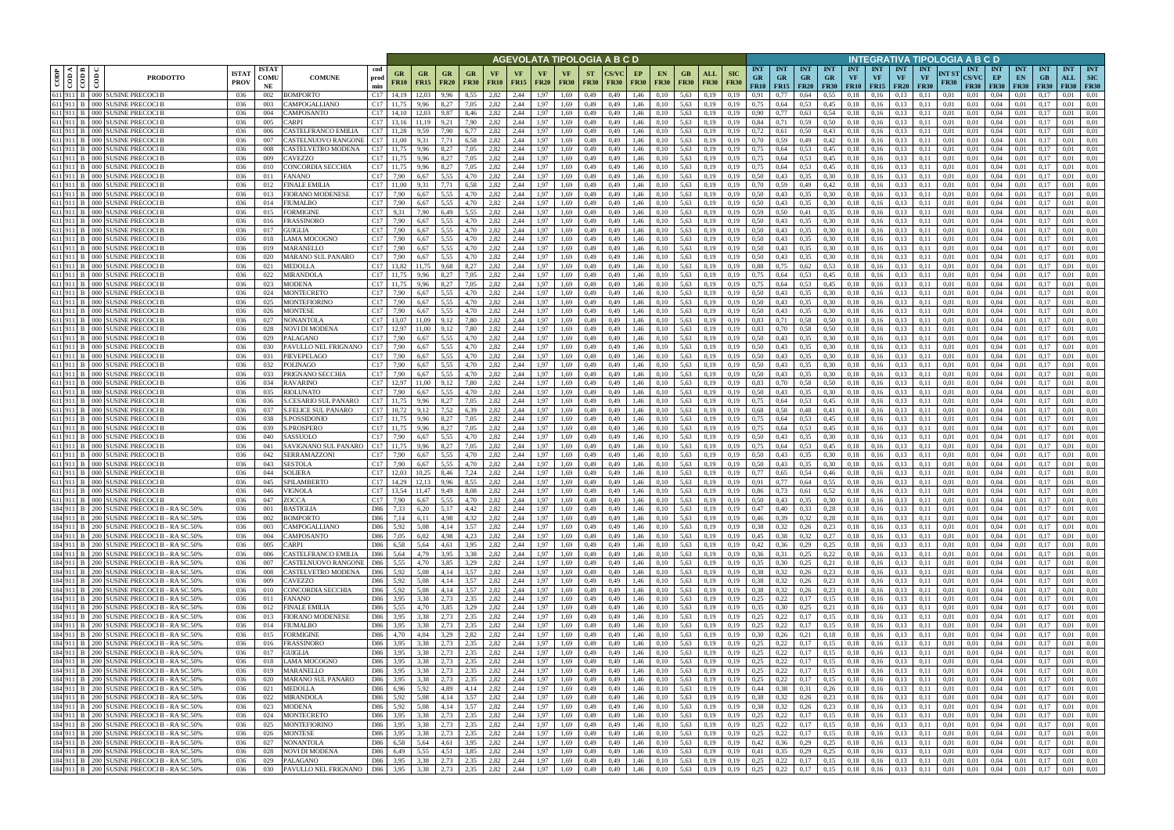|           |                                     |                                                                                          |                            |                            |                                                   |                      |                       |                   |                                              |                          |                   |              |                          |                          |                          | AGEVOLATA TIPOLOGIA A B C D |                   |                             |                        |                           |                           |                                                            |                                        |                  |                                 |                         |                                            |                                 |                                 |                      | INTEGRATIVA TIPOLOGIA A B C D      |                                   |                                 |                                 |                                  |                                         |
|-----------|-------------------------------------|------------------------------------------------------------------------------------------|----------------------------|----------------------------|---------------------------------------------------|----------------------|-----------------------|-------------------|----------------------------------------------|--------------------------|-------------------|--------------|--------------------------|--------------------------|--------------------------|-----------------------------|-------------------|-----------------------------|------------------------|---------------------------|---------------------------|------------------------------------------------------------|----------------------------------------|------------------|---------------------------------|-------------------------|--------------------------------------------|---------------------------------|---------------------------------|----------------------|------------------------------------|-----------------------------------|---------------------------------|---------------------------------|----------------------------------|-----------------------------------------|
| CODP      | $\frac{\text{H 000}}{\text{V 000}}$ | <b>PRODOTTO</b>                                                                          | <b>ISTA</b><br><b>PROV</b> | <b>ISTAT</b><br>COMU<br>NE | <b>COMUNE</b>                                     | cod<br>prod<br>min   | GR<br><b>FR10</b>     | GR<br><b>FR15</b> | GR<br><b>FR20</b>                            | <b>GR</b><br><b>FR30</b> | VF<br><b>FR10</b> | VF<br>FR15   | <b>VF</b><br><b>FR20</b> | <b>VF</b><br><b>FR30</b> | <b>ST</b><br><b>FR30</b> | <b>FR30</b>                 | EP<br><b>FR30</b> | EN<br><b>FR30</b>           | GВ<br><b>FR30</b>      | <b>ALL</b><br><b>FR30</b> | <b>SIC</b><br><b>FR30</b> | <b>INT</b><br><b>GR</b><br>FR10                            | <b>INT</b><br><b>GR</b><br>$FR15$ FR20 | <b>INT</b><br>GR | <b>INT</b><br>GR<br><b>FR30</b> | <b>INT</b><br><b>VF</b> | <b>INT</b><br><b>VF</b><br>$FR10$   $FR15$ | <b>INT</b><br>VF<br><b>FR20</b> | <b>INT</b><br>VF<br><b>FR30</b> | NT ST<br><b>FR30</b> | <b>INT</b><br>CS/VC<br><b>FR30</b> | <b>INT</b><br>EP<br><b>FR30</b>   | <b>INT</b><br>EN<br><b>FR30</b> | <b>INT</b><br>GB<br><b>FR30</b> | <b>INT</b><br>ALL<br><b>FR30</b> | <b>INT</b><br><b>SIC</b><br><b>FR30</b> |
|           |                                     | 611 911 B 000 SUSINE PRECOCI B<br>611 911 B 000 SUSINE PRECOCI B                         | 036<br>036                 | 002<br>003                 | BOMPORTO<br>CAMPOGALLIANO                         | C17<br>C17           | 14,19                 | 12.03<br>9,96     | 9.96<br>8,27                                 | 8.55<br>7,05             | 2,82<br>2,82      | 2,44<br>2,44 | 1.97<br>.97              | 1.69<br>1,69             | 0,49<br>0,49             | 0.49<br>0,49                | 1.46<br>1.46      | 0.10<br>0,10                | 5,63<br>5,63           | 0.19<br>0,19              | 0.19<br>0.19              | 0.91<br>0.75                                               | 0,64                                   | 0.64<br>0.53     | 0.55<br>0,45                    | $_{0.18}$               | 0.16<br>0.16                               | 0.13<br>0.13                    |                                 | 0.01<br>0.01         | 0.01<br>0.01                       | 0.04                              | 0.01                            | $0.1^{\circ}$                   | 0.01<br>0.01                     | 0.01<br>0.01                            |
| 611 911   |                                     | 000 SUSINE PRECOCI E                                                                     | 036                        | 004                        | CAMPOSANTO                                        | C17                  |                       |                   | 9.87                                         |                          | 2,82              | 2,44         | .97                      | 1,69                     | 0,49                     | 0.49                        | l.46              | 0.10                        | 5,63                   | 0.19                      | 0.19                      | 0,90                                                       |                                        | 0,63             | 0.54                            |                         | 0.16                                       | 0.13                            |                                 | 0.01                 | 0.01                               | 0.04                              |                                 |                                 |                                  | 0.01                                    |
|           |                                     | 611 911 B 000 SUSINE PRECOCI B                                                           | 036                        | 005                        | CARPI                                             | C17                  |                       | 11.19             | 9.21                                         | 7,90                     | 2,82              | 2,44         | 1.97                     | 1,69                     | 0,49                     | 0,49                        | 1,46              | 0.10                        | 5.63                   | 0.19                      | 0,19                      | 0,84                                                       | 0.71                                   | 0,59             | 0,50                            | 0,18                    | 0.16                                       | 0.13                            | 0.11                            | 0,01                 | 0,01                               | 0.04                              | 0.01                            | 0.17                            | 0.01                             | 0.01                                    |
| 611 911 B |                                     | 000 SUSINE PRECOCI E                                                                     | 036                        | 006                        | CASTELFRANCO EMILIA                               | C17                  |                       | 9.59              | 7.90                                         | 6,77                     | 2,82              | 2,44         | 1.97                     | 1,69                     | 0,49                     | 0.49                        | 1,46              | 0.10                        | 5,63                   | 0.19                      | 0.19                      | 0.72                                                       | 0.61                                   | 0,50             | 0.43                            | 0.18                    | 0.16                                       | 0.13                            | 0.11                            | 0.01                 | 0.01                               | 0.04                              | 0.01                            |                                 | 0.01                             | 0.01                                    |
|           |                                     | 611 911 B 000 SUSINE PRECOCI B                                                           | 036                        | 007                        | CASTELNUOVO RANGONE                               | C17                  | 11,00                 | 9,31              | 7,71                                         | 6,58                     | 2,82              | 2,44         | 1,97                     | 1,69                     | 0,49                     | 0,49                        | 1,46              | 0,10                        | 5,63                   | 0,19                      | 0,19                      | 0.70                                                       | 0.59                                   | 0,49             | 0,42                            | 0,18                    | 0,16                                       | 0.13                            | 0,11                            | 0,01                 | 0,01                               | 0,04                              | 0,01                            | 0,17                            | 0,01                             | 0.01                                    |
| 611 911   |                                     | 000 SUSINE PRECOCI E                                                                     | 036                        | 008                        | CASTELVETRO MODENA                                | C17                  |                       | 9.96              | 8,27                                         | 7,05                     | 2,82              | 2,44         | 1.97                     | 1.69                     | 0,49                     | 0.49                        | 1.46              | 0.10                        | 5.63                   | 0.19                      |                           | 0.75                                                       | 0.64                                   | 0.53             | 0.45                            |                         | 0.16                                       | 0.13                            |                                 | 0.01                 | 0.01                               | 0.04                              | 0.01                            |                                 | 0.01                             | 0.01                                    |
| 611 911 B |                                     | 611 911 B 000 SUSINE PRECOCI B<br>000 SUSINE PRECOCI I                                   | 036<br>036                 | 009<br>010                 | <b>AVEZZO</b><br>CONCORDIA SECCHIA                | C17<br>C17           | 11.75<br>11,75        | 9.96<br>9,96      | 8.27<br>8,27                                 | 7,05<br>7,05             | 2,82<br>2,82      | 2,44<br>2,44 | 1.97<br>1.97             | 1.69<br>1,69             | 0,49<br>0,49             | 0.49<br>0.49                | 1.46<br>1,46      | 0.10<br>0,10                | 5.63<br>5,63           | 0.19<br>0,19              | 0.19<br>0.19              | 0.75<br>0,75                                               | 0.64<br>0.64                           | 0,53<br>0,53     | 0,45<br>0.45                    | 0.18<br>0.18            | 0.16<br>0.16                               | 0.13<br>0.13                    | 0.11<br>0.11                    | 0.01<br>0.01         | 0.01<br>0.01                       | 0.04<br>0.04                      | 0.01<br>0.01                    | 0.17<br>0.17                    | 0.01<br>0.01                     | 0.01<br>0.01                            |
|           |                                     | 611 911 B 000 SUSINE PRECOCI B                                                           | 036                        | 011                        | FANANO                                            | C17                  | 7,90                  | 6.67              | 5.55                                         | 4,70                     | 2,82              | 2.44         | 1.97                     | 1.69                     | 0,49                     | 0.49                        | 1.46              | 0.10                        | 5.63                   | 0.19                      | 0.19                      | 0.50                                                       | 0,43                                   | 0.35             | 0.30                            | 0.18                    | 0.16                                       | 0.13                            | 0.11                            | 0.01                 | 0.01                               | 0.04                              | 0.01                            | 0.17                            | 0.01                             | 0.01                                    |
| 611 911 B |                                     | 000 SUSINE PRECOCI E                                                                     | 036                        | 012                        | <b>FINALE EMILIA</b>                              | C17                  | 11.00                 | 9.31              | 7.71                                         | 6.58                     | 2,82              | 2.44         | 1.97                     | 1.69                     | 0,49                     | 0.49                        | 1.46              | 0.10                        | 5.63                   | 0.19                      | 0.19                      | 0.70                                                       | 0.59                                   | 0.49             | 0,42                            | 0.18                    | 0.16                                       | 0.13                            | 0.11                            | 0.01                 | 0.01                               | 0.04                              | 0.01                            | 0.17                            | 0.01                             | 0.01                                    |
|           |                                     | 611 911 B 000 SUSINE PRECOCI                                                             | 036                        | 013                        | FIORANO MODENESE                                  | C17                  | 7,90                  | 6,67              | 5.55                                         | 4,70                     | 2,82              | 2,44         | 1.97                     | 1,69                     | 0,49                     | 0,49                        | 1,46              | 0,10                        | 5,63                   | 0.19                      | 0.19                      | 0.50                                                       | 0,43                                   | 0,35             | 0,30                            | 0,18                    | 0,16                                       | 0.13                            | 0.11                            | 0,01                 | 0,01                               | 0,04                              | 0,01                            | 0,17                            | 0.01                             | 0.01                                    |
| 611 911 B |                                     | 000 SUSINE PRECOCI B                                                                     | 036                        | 014                        | FIUMALBO                                          | C17                  | 7,90                  | 6,67              | 5.55                                         | 4,70                     | 2,82              | 2.44         | 1.97                     | 1,69                     | 0,49                     | 0,49                        | 1,46              | 0,10                        | 5,63                   | 0,19                      | 0.19                      | 0.50                                                       | 0,43                                   | 0.35             | 0,30                            | 0,18                    | 0.16                                       | 0.13                            | 0,11                            | 0.01                 | 0,01                               | 0.04                              | 0,01                            | 0,1                             | 0.01                             | 0.01                                    |
| 611 911 B |                                     | 611 911 B 000 SUSINE PRECOCI B<br>000 SUSINE PRECOCI E                                   | 036<br>036                 | 015                        | FORMIGINE<br>FRASSINORO                           | C17<br>C17           | 9.31<br>7,90          | 7,90<br>6,67      | 6,49<br>5,55                                 | 5,55<br>4,70             | 2,82<br>2,82      | 2,44<br>2,44 | 1.97<br>1,97             | 1,69<br>1,69             | 0,49                     | 0,49<br>0,49                | 1,46<br>1,46      | 0,10<br>0,10                | 5,63<br>5,63           | 0.19                      | 0,19<br>0.19              | 0.59<br>0,50                                               | 0.50<br>0,43                           | 0,41<br>0,35     | 0.35                            | 0,18<br>0,18            | 0,16<br>0,16                               | 0.13<br>0.13                    | 0,11                            | 0,01<br>0,01         | 0,01<br>0,01                       | 0.04<br>0,04                      | 0,01<br>0,01                    | 0,17                            | 0.01<br>0,01                     | 0.01<br>0,01                            |
|           |                                     | 611 911 B 000 SUSINE PRECOCII                                                            | 036                        | 016<br>017                 | GUIGLIA                                           | C17                  | 7,90                  | 6.67              | 5.55                                         | 4,70                     | 2,82              | 2,44         | 1.97                     | 1,69                     | 0,49<br>0,49             | 0.49                        | 1,46              | 0.10                        | 5,63                   | 0,19<br>0.19              | 0.19                      | 0.50                                                       | 0,43                                   | 0.35             | 0,30<br>0.30                    | 0,18                    | 0.16                                       | 0.13                            | 0,11<br>0.11                    | 0.01                 | 0.01                               | 0.04                              | 0,01                            | 0,17<br>0.17                    | 0.01                             | 0.01                                    |
|           |                                     | 611 911 B 000 SUSINE PRECOCI                                                             | 036                        | 018                        | LAMA MOCOGNO                                      | C17                  | 7,90                  | 6.67              | 5.55                                         | 4,70                     | 2,82              | 2,44         | 1.97                     | 1.69                     | 0,49                     | 0.49                        | 1,46              | 0.10                        | 5,63                   | 0.19                      | 0.19                      | 0,50                                                       | 0.43                                   | 0,35             | 0.30                            | 0.18                    | 0.16                                       | 0,13                            | 0.11                            | 0.01                 | 0.01                               | 0.04                              | 0.01                            | 0.17                            | 0.01                             | 0.01                                    |
|           |                                     | 611 911 B 000 SUSINE PRECOCII                                                            | 036                        | 019                        | MARANELLO                                         | C17                  | 7,90                  | 6,67              | 5,55                                         | 4,70                     | 2,82              | 2,44         | 1,97                     | 1,69                     | 0,49                     | 0,49                        | 1,46              | 0,10                        | 5,63                   | 0,19                      | 0.19                      | 0,50                                                       | 0,43                                   | 0,35             | 0.30                            | 0,18                    | 0,16                                       | 0.13                            | 0,11                            | 0,01                 | 0.01                               | 0,04                              | 0,01                            | 0.17                            | 0,01                             | 0.01                                    |
|           |                                     | 611 911 B 000 SUSINE PRECOCIE                                                            | 036                        | 020                        | MARANO SUL PANARO                                 | C <sub>17</sub> 7.90 |                       | 6.67              | 5.55                                         | 4.70                     | 2.82              | 2.44         | 1.97                     | 1.69                     | 0,49                     | 0.49                        | 1.46              | 0.10                        | 5.63                   | 0.19                      | 0.19                      | 0.50                                                       | 0.43                                   | 0.35             | 0.30                            | 0.18                    | 0.16                                       | 0.13                            | 0.11                            | 0.01                 | 0.01                               | 0.04                              | 0.01                            | 0.17                            | 0.01                             | 0.01                                    |
|           |                                     | 611 911 B 000 SUSINE PRECOCIE                                                            | 036                        | 021                        | MEDOLLA                                           | C17                  | 13.82                 | 11.75             | 9.68                                         | 8.27                     | 2.82              | 2.44         | 1.97                     | 1.69                     | 0,49                     | 0.49                        | 1.46              | 0.10                        | 5.63                   | 0.19                      | 0.19                      | 0.88                                                       | 0.75                                   | 0.62             | 0.53                            | 0.18                    | 0.16                                       | 0.13                            | 0.11                            | 0.01                 | 0.01                               | 0.04                              | 0.01                            | 0.17                            | 0.01                             | 0.01                                    |
|           |                                     | 611 911 B 000 SUSINE PRECOCIE<br>000 SUSINE PRECOCI                                      | 036<br>036                 | 022<br>023                 | MIRANDOLA                                         | C17<br>C17           | 11.75                 | 9,96              | 8,27<br>8.27                                 | 7,05<br>7.05             | 2,82<br>2.82      | 2,44<br>2.44 | 1.97<br>1.97             | 1,69<br>1.69             | 0,49<br>0.49             | 0,49                        | 1,46              | 0,10                        | 5,63<br>5.63           | 0,19<br>0.19              | 0.19                      | 0,75<br>0.75                                               | 0.64                                   | 0.53             | 0,45<br>0.45                    | 0,18                    | 0,16                                       | 0.13                            | 0,11                            | 0.01                 | 0.01<br>0.01                       | 0,04<br>0.04                      | 0,01                            | 0.17                            | 0,01<br>0.01                     | 0.01<br>0.01                            |
| 611 911 B |                                     | 611 911 B 000 SUSINE PRECOCI                                                             | 036                        | 024                        | MODENA<br>MONTECRETO                              | C17                  | 7.90                  | 9.96              | 5.55                                         | 4.70                     | 2,82              | 2.44         | .97                      | 1.69                     | 0,49                     | 0.49<br>0.49                | 1.46<br>1.46      | 0.10<br>0.10                | 5.63                   | 0.19                      |                           | 0.50                                                       |                                        | 0,53<br>0,35     | 0.30                            | 0.18                    | 0.16<br>0.16                               | 0.13<br>0.13                    |                                 | 0.01<br>0.01         | 0.01                               | 0.04                              | 0.01                            |                                 | 0.01                             | 0.01                                    |
| 611 911 B |                                     | 000 SUSINE PRECOCI I                                                                     | 036                        | 025                        | MONTEFIORINO                                      | C17                  | 7.90                  | 6.67              | 5.55                                         | 4.70                     | 2,82              | 2.44         | 1.97                     | 1.69                     | 0,49                     | 0.49                        | 1.46              | 0.10                        | 5.63                   | 0.19                      | 0.19                      | 0.50                                                       | 0.43                                   | 0,35             | 0.30                            | 0.18                    | 0.16                                       | 0.13                            |                                 | 0.01                 | 0.01                               | 0.04                              | 0.01                            |                                 | 0.01                             | 0.01                                    |
|           |                                     | 611 911 B 000 SUSINE PRECOCIE                                                            | 036                        | 026                        | MONTESE                                           | C17                  | 7,90                  | 6,67              | 5.55                                         | 4,70                     | 2,82              | 2,44         | 1.97                     | 1,69                     | 0,49                     | 0,49                        | 1.46              | 0,10                        | 5,63                   | 0.19                      | 0,19                      | 0.50                                                       | 0,43                                   | 0,35             | 0,30                            | 0,18                    | 0.16                                       | 0.13                            | 0,11                            | 0.01                 | 0,01                               | 0,04                              | 0.01                            | 0.17                            | 0.01                             | 0.01                                    |
|           |                                     | 611 911 B 000 SUSINE PRECOCI B                                                           | 036                        | 027                        | NONANTOLA                                         | C17                  |                       | 11.09             | 9,12                                         | 7.80                     | 2,82              | 2,44         | 1.97                     | 1.69                     | 0,49                     | 0.49                        | 1.46              | 0.10                        | 5.63                   | 0.19                      | 0.19                      | 0.83                                                       | 0.71                                   | 0.58             | 0.50                            | 0.18                    | 0.16                                       | 0.13                            |                                 | 0.01                 | 0.01                               | 0.04                              | 0.01                            |                                 | 0.01                             | 0.01                                    |
|           |                                     | 611 911 B 000 SUSINE PRECOCI B                                                           | 036                        | 028                        | NOVI DI MODENA                                    | C17                  |                       | 11,00             |                                              | 7,80                     | 2,82              | 2,44         | .97                      | 1,69                     | 0,49                     | 0,49                        | 1.46              | 0,10                        | 5,63                   | 0,19                      |                           | 0.83                                                       |                                        | 0,58             | 0.50                            | 0.18                    | 0.16                                       | 0,13                            |                                 | 0.01                 | 0.01                               | $_{0.04}$                         | 0.01                            |                                 | 0.01                             |                                         |
| 611 911   |                                     | 000 SUSINE PRECOCI                                                                       | 036                        | 029                        | PALAGANO                                          | C17                  | 7.90                  |                   | 5.55<br>5.55                                 | 4.70                     | 2.82              | 2,44         | .97                      | 1.69                     | 0,49                     | 0.49                        | l.46              | 0.10                        | 5,63                   | 0.19                      | 0.19                      | 0.50                                                       |                                        | 0.35             | 0.30                            |                         | 0.16                                       | 0.13                            |                                 |                      | 0.01                               | 0.04                              | 0.01                            |                                 | 0.01                             | 0.01                                    |
| 611 911 B |                                     | 611 911 B 000 SUSINE PRECOCI<br>000 SUSINE PRECOCI I                                     | 036<br>036                 | 030<br>031                 | PAVULLO NEL FRIGNANO<br>PIEVEPELAGO               | C17<br>C17           | 7,90<br>7,90          | 6,67<br>6.67      | 5.55                                         | 4,70<br>4,70             | 2,82<br>2,82      | 2,44<br>2,44 | 1.97<br>1.97             | 1,69<br>1,69             | 0,49<br>0,49             | 0,49<br>0.49                | 1,46<br>1,46      | 0.10<br>0.10                | 5,63<br>5,63           | 0.19<br>0,19              | 0.19<br>0.19              | 0.50<br>0,50                                               | 0,43<br>0.43                           | 0,35<br>0,35     | 0,30<br>0.30                    | 0.18<br>0.18            | 0.16<br>0.16                               | 0.13<br>0.13                    | 0.11                            | 0.01<br>0.01         | 0,01<br>0.01                       | 0.04<br>0.04                      | 0.01<br>0,01                    | (0.1)                           | 0.01<br>0.01                     | 0.01<br>0.01                            |
|           |                                     | 611 911 B 000 SUSINE PRECOCI B                                                           | 036                        | 032                        | POLINAGO                                          | C17                  | 7.90                  | 6.67              | 5.55                                         | 4,70                     | 2,82              | 2,44         | 1.97                     | 1.69                     | 0,49                     | 0.49                        | 1.46              | 0.10                        | 5.63                   | 0.19                      | 0.19                      | 0.50                                                       | 0,43                                   | 0.35             | 0.30                            | 0.18                    | 0.16                                       | 0.13                            |                                 | 0.01                 | 0.01                               | 0.04                              | 0.01                            | 0.17                            | 0.01                             | 0.01                                    |
| 611 911 B |                                     | 000 SUSINE PRECOCI E                                                                     | 036                        | 033                        | PRIGNANO SECCHIA                                  | C17                  | 7.90                  | 6.67              | 5.55                                         | 4.70                     | 2,82              | 2,44         | 1.97                     | 1.69                     | 0,49                     | 0.49                        | 1,46              | 0.10                        | 5.63                   | 0.19                      | 0.19                      | 0.50                                                       | 0.43                                   | 0.35             | 0.30                            |                         | 0.16                                       | 0.13                            |                                 | 0.01                 | 0.01                               | 0.04                              | 0.01                            |                                 | 0.01                             | 0.01                                    |
|           |                                     | 611 911 B 000 SUSINE PRECOCI B                                                           | 036                        | 034                        | <b>RAVARINO</b>                                   | C17                  | 12,97                 | 11,00             | 9,12                                         | 7,80                     | 2,82              | 2,44         | 1.97                     | 1,69                     | 0,49                     | 0,49                        | 1,46              | 0,10                        | 5,63                   | 0.19                      | 0.19                      | 0.83                                                       | 0.70                                   | 0,58             | 0,50                            | 0.18                    | 0.16                                       | 0.13                            | 0.11                            | 0.01                 | 0.01                               | 0.04                              | 0.01                            | 0.17                            | 0.01                             | 0.01                                    |
| 611 911 B |                                     | 000 SUSINE PRECOCI E                                                                     | 036                        | 035                        | RIOLUNATO                                         | C17                  | 7.90                  | 6.67              | 5.55                                         | 4.70                     | 2.82              | 2.44         | 1.97                     | 1.69                     | 0,49                     | 0.49                        | 1.46              | 0.10                        | 5.63                   | 0.19                      | 0.19                      | 0.50                                                       | 0.43                                   | 0.35             | 0.30                            | 0.18                    | 0.16                                       | 0.13                            | 0.11                            | 0.01                 | 0.01                               | 0.04                              | 0.01                            | 0.17                            | 0.01                             | 0.01                                    |
|           |                                     | 611 911 B 000 SUSINE PRECOCIE                                                            | -036                       | 036                        | S.CESARIO SUL PANARO                              | C17                  | 11,75                 | 9,96              | 8.27                                         | 7,05                     | 2,82              | 2.44         | 1.97                     | 1.69                     | 0,49                     | 0,49                        | 1,46              | 0,10                        | 5.63                   | 0.19                      | 0.19                      | 0.75                                                       | 0,64                                   | 0,53             | 0,45                            | 0,18                    | 0.16                                       | 0.13                            | 0.11                            | 0.01                 | 0.01                               | 0.04                              | 0.01                            | 0.17                            | 0.01                             | 0.01                                    |
| 611 911 B |                                     | 611 911 B 000 SUSINE PRECOCI B<br>000 SUSINE PRECOCI                                     | 036<br>036                 | 037<br>038                 | <b>S.FELICE SUL PANARO</b><br><b>S.POSSIDONIO</b> | C17<br>C17           | 10,72<br>11,75        | 9,12<br>9,96      | 7,52<br>8,27                                 | 6,39<br>7,05             | 2,82<br>2,82      | 2,44<br>2,44 | 1,97<br>1.97             | 1,69<br>1,69             | 0,49<br>0,49             | 0,49<br>0,49                | 1,46<br>1,46      | 0,10<br>0,10                | 5,63<br>5,63           | 0,19<br>0.19              | 0.19<br>0.19              | 0.68<br>0.75                                               | 0.58<br>0,64                           | 0,48<br>0,53     | 0,41<br>0,45                    | 0,18<br>0,18            | 0,16<br>0,16                               | 0,13<br>0.13                    | 0,11<br>0,11                    | 0.01<br>0,01         | 0,01<br>0.01                       | 0.04<br>0,04                      | 0,01<br>0,01                    | 0,17<br>0.17                    | 0.01<br>0.01                     | 0.01<br>0.01                            |
| 611 911 B |                                     | 000 SUSINE PRECOCI I                                                                     | 036                        | 039                        | S.PROSPERO                                        | C17                  | 11,75                 | 9.96              | 8,27                                         | 7,05                     | 2,82              | 2,44         | 1.97                     | 1,69                     | 0,49                     | 0,49                        | 1,46              | 0,10                        | 5,63                   | 0.19                      | 0.19                      | 0,75                                                       | 0,64                                   | 0,53             | 0,45                            | 0,18                    | 0.16                                       | 0.13                            | 0,11                            | 0.01                 | 0,01                               | 0.04                              | 0,01                            | 0,17                            | 0,01                             | 0,01                                    |
|           |                                     | 611 911 B 000 SUSINE PRECOCI                                                             | 036                        | 040                        | SASSUOLO                                          | C17                  | 7,90                  | 6,67              | 5,55                                         | 4,70                     | 2,82              | 2,44         | 1,97                     | 1,69                     | 0,49                     | 0,49                        | 1,46              | 0,10                        | 5,63                   | 0,19                      | 0,19                      | 0,50                                                       | 0,43                                   | 0,35             | 0,30                            | 0,18                    | 0,16                                       | 0.13                            | 0,11                            | 0,01                 | 0,01                               | 0,04                              | 0,01                            | 0,17                            | 0,01                             | 0,01                                    |
|           |                                     | 611 911 B 000 SUSINE PRECOCI E                                                           | 036                        | 041                        | SAVIGNANO SUL PANARO                              | C17                  | 11,75                 | 9,96              | 8.27                                         | 7,05                     | 2,82              | 2,44         | 1.97                     | 1,69                     | 0,49                     | 0.49                        | 1,46              | 0,10                        | 5,63                   | 0.19                      | 0.19                      | 0.75                                                       | 0,64                                   | 0.53             | 0,45                            | 0,18                    | 0.16                                       | 0.13                            | 0.11                            | 0.01                 | 0,01                               | 0.04                              | 0.01                            | 0.17                            | 0,01                             | 0.01                                    |
|           |                                     | 611 911 B 000 SUSINE PRECOCI E                                                           | 036                        | 042                        | <b>SERRAMAZZONI</b>                               | C17                  | 7,90                  | 6,67              | 5.55                                         | 4,70                     | 2,82              | 2,44         | 1.97                     | 1,69                     | 0,49                     | 0,49                        | 1,46              | 0.10                        | 5,63                   | 0,19                      | 0.19                      | 0,50                                                       | 0,43                                   | 0,35             | 0,30                            | 0,18                    | 0.16                                       | 0,13                            | 0.11                            | 0,01                 | 0,01                               | 0,04                              | 0,01                            | 0.17                            | 0,01                             | 0.01                                    |
|           |                                     | 611 911 B 000 SUSINE PRECOCI B<br>$611$ 911 B $\pm$ 000 SUSINE PRECOCLE                  | 036                        | 043                        | <b>SESTOLA</b>                                    | C17                  | 7,90                  | 6,67              | 5.55                                         | 4.70                     | 2,82              | 2,44         | 1,97                     | 1,69                     | 0,49                     | 0,49                        | 1,46              | 0,10                        | 5,63                   | 0,19                      | 0.19                      | 0,50                                                       | 0,43                                   | 0,35             | 0,30                            | 0,18                    | 0,16                                       | 0,13                            | 0.11                            | 0.01                 | 0.01                               | 0,04                              | 0,01                            | 0.17                            | 0,01                             | 0.01                                    |
|           |                                     | 611 911 B 000 SUSINE PRECOCI E                                                           | 036<br>036                 | 044<br>045                 | <b>SOLIERA</b><br>SPILAMBERTO                     | C17<br>C17           | 12.03<br>14.29        | 10.25<br>12.13    | 8.46<br>9.96                                 | 7.24<br>8.55             | 2,82<br>2,82      | 2.44<br>2,44 | 1.97<br>1.97             | 1.69<br>1.69             | 0.49<br>0,49             | 0.49<br>0.49                | 1.46<br>1,46      | 0.10<br>0,10                | 5.63<br>5.63           | 0.19<br>0,19              | 0.19                      | 0.77<br>0,91                                               | 0.65<br>0.77                           | 0.54<br>0,64     | 0.46<br>0.55                    | 0.18<br>0,18            | 0.16<br>0.16                               | 0.13<br>0.13                    | 0.11<br>0.11                    | 0.01<br>0.01         | 0.01<br>0.01                       | 0.04<br>0.04                      | 0.01<br>0.01                    | $0.1^{\circ}$<br>0.17           | 0.01<br>0.01                     | 0.01<br>0.01                            |
|           |                                     | 611 911 B 000 SUSINE PRECOCI B                                                           | 036                        | 046                        | <b>VIGNOLA</b>                                    |                      | C <sub>17</sub> 13.54 | 11.47             | 9.49                                         | 8,08                     | 2.82              | 2.44         | 1.97                     | 1.69                     | 0,49                     | 0.49                        | 1,46              | 0.10                        | 5.63                   | 0.19                      | 0.19                      | 0.86                                                       | 0,73                                   | 0.61             | 0.52                            | 0.18                    | 0.16                                       | 0.13                            | 0.11                            | 0.01                 | 0.01                               | 0.04                              | 0.01                            | 0.17                            | 0.01                             | 0.01                                    |
|           |                                     | 611 911 B 000 SUSINE PRECOCI B                                                           | 036                        | 047                        | ZOCCA                                             |                      | C <sub>17</sub> 7.90  | 6,67              | 5,55                                         | 4,70                     | 2,82              | 2,44         |                          | 1,97 1,69                | 0,49                     | 0,49                        | 1,46              | 0,10                        | 5,63                   | 0,19                      | 0,19                      | 0,50                                                       | 0,43                                   | 0,35             | 0,30                            | 0,18                    | 0,16                                       | 0,13                            | 0,11                            | 0,01                 | 0,01                               | $0,04$ 0.01                       |                                 | 0,17                            | 0,01                             | 0,01                                    |
|           |                                     | 184 911 B 200 SUSINE PRECOCI B - RA SC.50%                                               | 036                        | 001                        | <b>BASTIGLIA</b>                                  | D <sub>86</sub>      | 7,33                  | 6,20              | 5,17                                         | 4,42                     | 2,82              | 2,44         |                          | 1,97 1,69                | 0,49                     | 0,49                        | 1,46              | 0,10                        | 5,63                   | 0,19                      | 0,19                      | 0,47                                                       | 0,40                                   | 0,33             | 0,28                            | 0,18                    | 0,16                                       | 0.13                            | 0,11                            | 0,01                 | 0,01                               | $0,04$ 0.01                       |                                 | 0,17                            | 0,01                             | 0.01                                    |
|           |                                     | 184 911 B 200 SUSINE PRECOCI B - RA SC.50%                                               | 036                        | 002                        | <b>BOMPORTO</b>                                   | D86 7,14             |                       | 6,11              | 4,98                                         | 4,32                     | 2,82              | 2,44         |                          | $1,97$ 1,69              | 0,49                     | 0,49                        | 1,46              | 0,10                        | 5,63 0,19              |                           | 0,19                      | $0,46$ 0,39                                                |                                        | 0,32             | 0,28                            | 0,18                    | 0,16                                       | 0,13                            | 0,11                            | 0,01                 | 0,01                               | $0,04$ $0,01$                     |                                 | 0,17                            | 0,01                             | 0,01                                    |
|           |                                     | 184 911 B 200 SUSINE PRECOCI B - RA SC.50%<br>184 911 B 200 SUSINE PRECOCI B - RA SC.50% | 036<br>036                 | 003<br>004                 | CAMPOGALLIANO<br>CAMPOSANTO                       |                      | D86 5.92<br>D86 7,05  | 5,08<br>6,02      | 4,14<br>4,98                                 | 3,57<br>4,23             | 2,82<br>2,82      | 2,44<br>2,44 |                          | 1,97 1,69<br>1,97 1,69   | 0,49<br>0,49             | 0,49<br>0,49                | 1,46              | $1,46$ 0.10<br>0,10         | 5,63 0,19<br>5,63 0,19 |                           | 0,19<br>0,19              | 0.38<br>0.45                                               | 0,32<br>0,38                           | 0,26<br>0,32     | 0,23<br>0,27                    |                         | $0,18$ 0,16<br>$0,18$ $0,16$               | 0,13<br>0,13                    | 0,11<br>0,11                    | 0,01<br>0,01         | 0,01<br>0.01                       | $0,04$ 0.01<br>$0.04 \qquad 0.01$ |                                 | 0,17<br>0,17                    | 0,01<br>0.01                     | 0,01<br>0,01                            |
|           |                                     | 184 911 B 200 SUSINE PRECOCI B - RA SC.50%                                               | 036                        | 005                        | CARPI                                             |                      | D86 6,58              | 5,64              | 4,61                                         | 3,95                     | 2,82              | 2,44         | 1,97                     | 1,69                     | 0,49                     | 0,49                        | 1,46              | 0,10                        | 5,63                   | 0,19                      | 0,19                      | 0,42                                                       | 0,36                                   | 0,29             | 0,25                            | 0,18                    | 0,16                                       | 0,13                            | 0,11                            | 0,01                 | 0,01                               | 0,04                              | 0,01                            | 0,17                            | 0,01                             | 0,01                                    |
|           |                                     | 184 911 B 200 SUSINE PRECOCI B - RA SC.50%                                               | 036                        | 006                        | CASTELFRANCO EMILIA                               | D86 5.64             |                       | 4,79              | 3,95                                         | 3,38                     | 2,82              | 2,44         | 1,97                     | 1,69                     | 0,49                     | 0,49                        | 1,46              | 0,10                        | 5,63                   | 0,19                      | 0,19                      | 0.36                                                       | 0,31                                   | 0,25             | 0,22                            | 0,18                    | 0,16                                       | 0,13                            | 0,11                            | 0,01                 | 0,01                               | 0,04                              | 0,01                            | 0,17                            | 0.01                             | 0,01                                    |
|           |                                     | 184 911 B 200 SUSINE PRECOCI B - RA SC 50%                                               | 036                        | 007                        | CASTELNUOVO RANGONE                               | D86 5,55             |                       | 4,70              | 3,85                                         | 3,29                     | 2,82              | 2,44         | 1,97                     | 1,69                     | 0,49                     | 0,49                        | 1,46              | 0,10                        | 5,63 0,19              |                           | 0,19                      | 0,35                                                       | 0,30                                   | 0,25             | 0,21                            | 0,18                    | 0,16                                       | 0,13                            | 0,11                            | 0,01                 | 0,01                               | 0,04                              | 0,01                            | 0,17                            | 0,01                             | 0,01                                    |
|           |                                     | 184 911 B 200 SUSINE PRECOCI B - RA SC.50%                                               | 036                        | 008                        | CASTELVETRO MODENA                                |                      | D86 5,92              | 5,08              | 4,14                                         | 3,57                     | 2,82              | 2,44         |                          | 1,97 1,69                | 0,49                     | 0,49                        | 1,46              | 0,10                        | 5,63 0,19              |                           | 0,19                      | 0,38                                                       | 0,32                                   | 0,26             | 0,23                            |                         | $0,18$ 0,16                                | 0,13                            | 0,11                            | 0,01                 | 0,01                               | 0,04                              | 0,01                            | 0,17                            | 0,01                             | 0,01                                    |
|           |                                     | 184 911 B 200 SUSINE PRECOCI B - RA SC.50%                                               | 036                        | 009                        | CAVEZZO                                           |                      | D86 5,92              |                   | $5,08$ $4,14$                                | $3,57$ 2,82              |                   | 2,44         |                          | 1,97 1,69                |                          |                             |                   | $0,49$ 0.49 1.46 0.10       | 5,63 0,19              |                           |                           | $0,19$ $0,38$ $0,32$ $0,26$ $0,23$                         |                                        |                  |                                 |                         | $0,18$ $0,16$                              | 0,13                            | 0,11                            | 0,01                 | 0,01                               | $0,04$ 0.01                       |                                 | 0,17                            |                                  | $0,01$ $0,01$                           |
|           |                                     | 184 911 B 200 SUSINE PRECOCI B - RA SC.50%<br>184 911 B 200 SUSINE PRECOCI B - RA SC.50% | 036<br>036                 | 010<br>011                 | CONCORDIA SECCHIA<br>FANANO                       |                      | D86 5,92<br>D86 3,95  |                   | $5,08$ $4,14$<br>$3,38$ $2,73$ $2,35$ $2,82$ | 3,57 2,82                |                   | 2,44<br>2,44 |                          | 1,97 1,69<br>1,97 1,69   |                          | 0,49 0,49<br>0,49 0,49      |                   | $1,46$ 0,10<br>1,46 0,10    | 5,63 0,19<br>5,63 0,19 |                           | 0,19<br>0,19              | $0,38$ $0,32$ $0,26$ $0,23$<br>$0,25$ $0,22$ $0,17$ $0,15$ |                                        |                  |                                 |                         | $0,18$ $0,16$<br>$0,18$ $0,16$             | 0,13<br>0,13                    | 0,11<br>0,11                    | 0,01<br>0,01         | 0,01<br>0,01                       | $0,04$ 0.01 0.17<br>$0,04$ $0,01$ |                                 | 0,17                            |                                  | $0,01$ $0,01$<br>$0,01$ $0,01$          |
|           |                                     | 184 911 B 200 SUSINE PRECOCI B - RA SC.50%                                               | 036                        | 012                        | <b>FINALE EMILIA</b>                              |                      | D86 5.55              | 4,70              | 3,85                                         | $3,29$ $2,82$            |                   | 2,44         |                          | 1,97 1,69                | 0,49                     | 0,49                        | 1,46              | 0,10                        | 5,63 0,19              |                           | 0,19                      | $0,35$ $0,30$                                              |                                        | 0,25             | 0,21                            |                         | $0,18$ 0,16                                | 0,13                            | 0,11                            | 0,01                 | 0,01                               | $0,04$ 0.01                       |                                 | 0,17                            | 0.01                             | 0,01                                    |
|           |                                     | 184 911 B 200 SUSINE PRECOCI B - RA SC.50%                                               | 036                        | 013                        | FIORANO MODENESE                                  | D86 3,95             |                       |                   | 3,38 2,73                                    | $2,35$ $2,82$            |                   | 2,44         |                          | 1,97 1,69                | 0,49                     | 0,49                        |                   | $1,46$ 0,10                 | 5,63 0,19              |                           | 0,19                      | $0,25$ 0,22 0,17                                           |                                        |                  | 0,15                            |                         | $0,18$ 0,16                                | 0,13                            | 0,11                            | 0,01                 | 0,01                               | $0,04$ 0.01                       |                                 | 0,17                            | 0.01                             | 0,01                                    |
|           |                                     | 184 911 B 200 SUSINE PRECOCI B - RA SC.50%                                               | 036                        | 014                        | FIUMALBO                                          |                      | D86 3,95              |                   | 3,38 2,73                                    | $2,35$ $2,82$            |                   | 2,44         |                          | 1,97 1,69                | 0,49                     | 0,49                        | 1,46              | 0,10                        | 5,63 0,19              |                           | 0,19                      | 0,25                                                       | $0,22$ $0,17$                          |                  | 0,15                            |                         | $0,18$ 0,16                                | 0,13                            | 0,11                            | 0,01                 | 0,01                               | $0,04$ $0,01$                     |                                 | 0,17                            | 0.01                             | 0,01                                    |
|           |                                     | 184 911 B   200 SUSINE PRECOCI B - RA SC.50%                                             | 036                        | 015                        | <b>FORMIGINE</b>                                  |                      | D86 4,70              | 4,04              | 3,29                                         | 2,82                     | 2,82              | 2,44         |                          | 1,97 1,69                | 0,49                     | 0,49                        | 1,46              | 0,10                        | 5,63 0,19              |                           | 0,19                      | 0,30                                                       | 0,26                                   | 0,21             | 0,18                            |                         | $0,18$ 0.16                                | 0,13                            | 0,11                            | 0,01                 | 0,01                               | 0,04                              | 0,01                            | 0,17                            | 0,01                             | 0,01                                    |
|           |                                     | 184 911 B 200 SUSINE PRECOCI B - RA SC.50%<br>184 911 B 200 SUSINE PRECOCI B - RA SC.50% | 036<br>036                 | 016<br>017                 | <b>FRASSINORO</b><br><b>GUIGLIA</b>               | D86<br>D86           | 3,95<br>3,95          | 3,38<br>3,38      | 2,73<br>2,73                                 | 2,35 2,82<br>2,35        | 2,82              | 2,44<br>2,44 |                          | 1,97 1,69<br>1,97 1,69   | 0,49<br>0,49             | 0,49<br>0,49                | 1,46              | 0,10<br>$1,46$ 0,10         | 5,63 0,19<br>5,63 0,19 |                           | 0,19<br>0,19              | 0,25<br>0,25                                               | $0,22$ $0,17$<br>$0,22$ $0,17$         |                  | 0,15                            |                         | $0,18$ $0,16$<br>$0,18$ $0,16$             | 0,13<br>0,13                    | 0,11<br>0,11                    | 0,01<br>0,01         | 0,01<br>0,01                       | $0,04$ 0.01<br>$0,04$ 0.01        |                                 | 0,17                            | 0,01<br>0,01                     | 0,01<br>0,01                            |
|           |                                     | 184 911 B 200 SUSINE PRECOCI B - RA SC.50%                                               | 036                        | 018                        | LAMA MOCOGNO                                      |                      | D86 3,95              |                   | 3,38 2,73                                    | 2,35 2,82                |                   | 2,44         |                          | 1,97 1,69                | 0,49                     | 0,49                        |                   | $1,46$ 0,10                 | 5,63 0,19              |                           | 0,19                      | $0,25$ $0,22$ $0,17$ $0,15$                                |                                        |                  | 0,15                            |                         | $0,18$ 0.16                                | 0,13                            | 0,11                            | 0,01                 | 0.01                               | $0,04$ $0,01$                     |                                 | 0,17<br>0,17                    | 0.01                             | 0,01                                    |
|           |                                     | 184 911 B   200 SUSINE PRECOCI B - RA SC.50%                                             | 036                        | 019                        | <b>MARANELLO</b>                                  |                      | D86 3.95              |                   | $3,38$ 2,73                                  | 2,35 2,82                |                   | 2,44         |                          | 1,97 1,69                | 0,49                     | 0,49                        |                   | $1,46$ 0,10                 | 5,63 0,19              |                           | 0,19                      | $0,25$ $0,22$ $0,17$ $0,15$                                |                                        |                  |                                 |                         | $0,18$ $0,16$                              | 0,13                            | 0,11                            | 0,01                 | 0.01                               | $0,04$ 0.01 0.17                  |                                 |                                 | 0,01                             | 0,01                                    |
|           |                                     | 184 911 B 200 SUSINE PRECOCI B - RA SC.50%                                               | 036                        | 020                        | MARANO SUL PANARO                                 |                      | D86 3,95              |                   | $3,38$ 2,73 2,35 2,82                        |                          |                   | 2,44         |                          | 1,97 1,69                | 0,49                     |                             |                   | $0,49$ 1,46 0,10            | 5,63 0,19              |                           | 0,19                      | $0,25$ $0,22$ $0,17$ $0,15$                                |                                        |                  |                                 |                         | $0,18$ $0,16$                              | 0,13                            | 0,11                            | 0,01                 | 0,01                               | $0,04$ 0.01 0.17                  |                                 |                                 | 0.01                             | 0,01                                    |
|           |                                     | 184 911 B 200 SUSINE PRECOCI B - RA SC.50%                                               | 036                        | 021                        | MEDOLLA                                           |                      | D86 6,96              |                   | 5,92 4,89                                    | $4,14$ 2,82              |                   | 2,44         |                          | 1,97 1,69                | 0,49                     |                             |                   | $0,49$ 1,46 $0,10$          | 5,63 0,19              |                           | 0,19                      | $0,44$ $0,38$                                              |                                        | 0,31             | 0,26                            |                         | $0,18$ $0,16$                              | 0,13                            | 0,11                            | 0,01                 | 0.01                               | $0,04$ 0.01                       |                                 | 0,17                            | 0,01                             | 0,01                                    |
|           |                                     | 184 911 B 200 SUSINE PRECOCI B - RA SC.50%                                               | 036                        | 022                        | <b>MIRANDOLA</b>                                  |                      | D86 5,92              |                   | $5,08$ $4,14$                                | 3,57                     | 2,82              | 2,44         |                          | 1,97 1,69                | 0,49                     | 0,49                        |                   | $1,46$ 0,10                 | 5,63 0,19              |                           | 0,19                      | $0,38$ $0,32$                                              |                                        | 0,26             | 0,23                            |                         | $0,18$ $0,16$                              | 0,13                            | 0,11                            | 0,01                 | 0,01                               | $0,04$ $0,01$                     |                                 | 0,17                            | 0,01                             | 0,01                                    |
|           |                                     | 184 911 B 200 SUSINE PRECOCI B - RA SC.50%<br>184 911 B 200 SUSINE PRECOCI B - RA SC.50% | 036<br>036                 | 023<br>024                 | <b>MODENA</b><br><b>MONTECRETO</b>                |                      | D86 5,92<br>D86 3.95  | 5,08              | 4,14<br>$3,38$ 2,73 2,35 2,82                | 3,57                     | 2,82              | 2,44<br>2,44 |                          | 1,97 1,69                | 0,49                     | 0,49<br>0,49                |                   | $1,46$ 0.10<br>$1,46$ 0,10  | 5,63 0,19<br>5,63 0,19 |                           | 0,19                      | $0,38$ $0,32$<br>$0,25$ 0.22 0.17 0.15                     |                                        | $0,26$ $0,23$    |                                 |                         | $0,18$ 0,16<br>$0,18$ $0,16$               | 0,13<br>0,13                    | 0,11<br>0,11                    | 0,01<br>0,01         | 0,01<br>0.01                       | $0,04$ $0,01$<br>$0,04$ 0.01      |                                 | 0,17                            | 0,01<br>0,01                     | 0,01<br>0,01                            |
|           |                                     | 184 911 B 200 SUSINE PRECOCI B - RA SC.50%                                               | 036                        | 025                        | <b>MONTEFIORINO</b>                               | D86 3,95             |                       | 3,38              | 2,73                                         | 2,35                     | 2,82              | 2,44         |                          | 1,97 1,69<br>1,97 1,69   | 0,49<br>0,49             | 0,49                        | 1,46              | 0,10                        | 5,63 0,19              |                           | 0,19<br>0,19              | $0,25$ 0,22                                                |                                        | 0,17             | 0,15                            | 0,18                    | 0,16                                       | 0,13                            | 0,11                            | 0,01                 | 0,01                               | $0,04$ 0.01                       |                                 | 0,17<br>0,17                    | 0,01                             | 0,01                                    |
|           |                                     | 184 911 B 200 SUSINE PRECOCI B - RA SC.50%                                               | 036                        | 026                        | <b>MONTESE</b>                                    | D86 3,95             |                       | 3,38              | 2,73                                         | 2,35                     | 2,82              | 2,44         | 1,97                     | 1,69                     | 0,49                     | 0,49                        | 1,46              | 0,10                        | 5,63                   | 0,19                      | 0,19                      | 0,25                                                       | 0,22                                   | 0,17             | 0,15                            | 0,18                    | 0,16                                       | 0,13                            | 0,11                            | 0,01                 | 0,01                               | $0,04$ 0.01                       |                                 | 0,17                            | 0,01                             | 0,01                                    |
|           |                                     | 184 911 B 200 SUSINE PRECOCI B - RA SC.50%                                               | 036                        | 027                        | <b>NONANTOLA</b>                                  | D86 6.58             |                       | 5,64              | 4,61                                         | 3,95                     | 2,82              | 2,44         |                          | 1,97 1,69                | 0,49                     | 0,49                        | 1,46              | 0,10                        | 5,63 0,19              |                           | 0,19                      | 0,42                                                       | 0,36                                   | 0,29             | 0,25                            | 0,18                    | 0,16                                       | 0,13                            | 0,11                            | 0,01                 | 0,01                               | $0,04$ 0.01                       |                                 | 0,17                            | 0,01                             | 0,01                                    |
|           |                                     | 184 911 B 200 SUSINE PRECOCI B - RA SC.50%                                               | 036                        | 028                        | NOVI DI MODENA                                    |                      | D86 6,49              | 5,55              | 4,51                                         | 3,85                     | 2,82              | 2,44         |                          | 1,97 1,69                | 0,49                     | 0,49                        | 1,46              | 0,10                        | 5,63 0,19              |                           | 0,19                      | 0,41                                                       | $0,35$ $0,29$                          |                  | 0,25                            |                         | $0,18$ $0,16$                              | 0,13                            | 0,11                            | 0,01                 | 0.01                               | $0,04$ $0,01$                     |                                 | 0,17                            | 0,01                             | 0,01                                    |
|           |                                     | 184 911 B 200 SUSINE PRECOCI B - RA SC.50%                                               | 036                        | 029                        | PALAGANO                                          |                      | D86 3,95              |                   | $3,38$ $2,73$ $2,35$                         |                          | 2,82              | 2,44         |                          | 1,97 1,69                | 0,49                     | 0,49                        |                   | $1,46$ 0,10                 | 5,63 0,19              |                           | 0,19                      | $0,25$ $0,22$ $0,17$ $0,15$                                |                                        |                  |                                 |                         | $0,18$ $0,16$                              | 0,13                            | 0,11                            | 0,01                 | 0,01                               | $0,04$ $0,01$                     |                                 | 0,17                            | 0,01                             | 0,01                                    |
|           |                                     | 184 911 B 200 SUSINE PRECOCI B - RA SC.50%                                               | 036                        | 030                        | PAVULLO NEL FRIGNANO                              |                      |                       |                   | $DS6$ 3,95 3,38 2,73 2,35                    |                          | 2,82              | 2,44         |                          | 1,97 1,69                |                          |                             |                   | $0,49$ $0,49$ $1,46$ $0,10$ |                        | 5,63 0,19                 |                           | $0,19$ $0,25$ $0,22$ $0,17$ $0,15$                         |                                        |                  |                                 |                         | $0,18$ $0,16$                              | 0,13                            | 0,11                            | 0,01                 | $0,01$ 0.04 0.01                   |                                   |                                 | 0,17                            |                                  | $0,01$ $0,01$                           |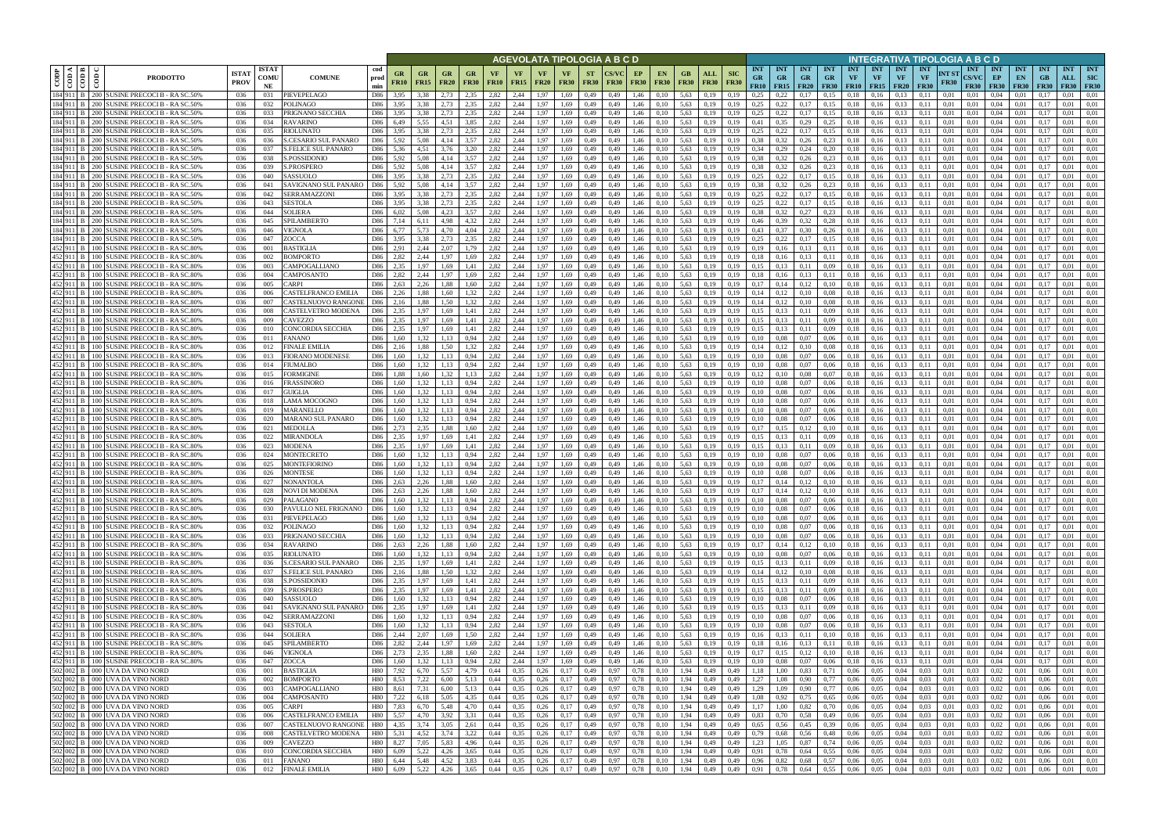|                                               |                                                                                            |                             |                            |                                            |                          |                   |                          |                                                                    |                   |                   |                   |                                              |                       |                          | AGEVOLATA TIPOLOGIA A B C D |                   |                                                          |                    |                        |                                    |                                 |                                        |                         |                                        |                  |                                        |                                        | INTEGRATIVA TIPOLOGIA A B C D |               |                                               |                                       |                                 |                                 |                                       |                                |
|-----------------------------------------------|--------------------------------------------------------------------------------------------|-----------------------------|----------------------------|--------------------------------------------|--------------------------|-------------------|--------------------------|--------------------------------------------------------------------|-------------------|-------------------|-------------------|----------------------------------------------|-----------------------|--------------------------|-----------------------------|-------------------|----------------------------------------------------------|--------------------|------------------------|------------------------------------|---------------------------------|----------------------------------------|-------------------------|----------------------------------------|------------------|----------------------------------------|----------------------------------------|-------------------------------|---------------|-----------------------------------------------|---------------------------------------|---------------------------------|---------------------------------|---------------------------------------|--------------------------------|
| ⊲ ∣ ≃<br>CODP<br>$\frac{1}{60}$<br>$\epsilon$ | <b>PRODOTTO</b>                                                                            | <b>ISTAT</b><br><b>PROV</b> | <b>ISTAT</b><br>COMU<br>NE | <b>COMUNE</b>                              | cod<br>prod<br>min       | GR<br><b>FR10</b> | <b>GR</b><br><b>FR15</b> | <b>GR</b><br><b>FR20</b>                                           | GR<br><b>FR30</b> | VF<br><b>FR10</b> | VF<br><b>FR15</b> | <b>VF</b><br><b>FR20</b>                     | VF<br><b>FR30</b>     | <b>ST</b><br><b>FR30</b> | <b>CS/VC</b><br><b>FR30</b> | EP<br><b>FR30</b> | EN.<br><b>FR30</b>                                       | GB.<br><b>FR30</b> | ALL<br><b>FR30</b>     | <b>SIC</b><br><b>FR30</b>          | <b>INT</b><br><b>GR</b><br>FR10 | <b>INT</b><br><b>GR</b><br>$FR15$ FR20 | <b>INT</b><br><b>GR</b> | <b>INT</b><br><b>GR</b><br><b>FR30</b> | <b>INT</b><br>VF | <b>INT</b><br><b>VF</b><br>$FR10$ FR15 | <b>INT</b><br><b>VF</b><br><b>FR20</b> | INT<br>VF<br><b>FR30</b>      | NT ST<br>FR30 | <b>INT</b><br><b>CS/VC</b><br><b>FR30</b>     | <b>INT</b><br>EP<br><b>FR30</b>       | <b>INT</b><br>EN<br><b>FR30</b> | <b>INT</b><br>GB<br><b>FR30</b> | <b>INT</b><br>ALL<br><b>FR30 FR30</b> | <b>INT</b><br>SIC              |
| 184 911 B<br>184 911 B                        | 200 SUSINE PRECOCI B - RA SC.50%<br>200 SUSINE PRECOCI B - RA SC.50%                       | 036                         | 031                        | PIEVEPELAGO                                | D86<br>D86               | 3.95              | 3.38<br>3.38             | 2.73<br>2.73                                                       | 2.35<br>2.35      | 2.82<br>2,82      | 2,44<br>2,44      | 1.97                                         | 1.69                  | 0,49                     | 0,49                        | 1,46              | 0.10                                                     | 5.63               | 0.19                   | 0.19                               | 0.25<br>0.25                    | 0.22<br>0.22                           | 0.17                    | 0.15                                   | 0.18             | 0.16<br>0.16                           | 0.13<br>0.13                           | 0.11                          | 0.01          | 0.01                                          | 0.04<br>0.04                          | 0.01                            |                                 | 0.01                                  | 0.01<br>0.01                   |
| 184 911 B                                     | 200 SUSINE PRECOCI B - RA SC.50%                                                           | 036<br>036                  | 032<br>033                 | POLINAGO<br>PRIGNANO SECCHIA               | D86                      | 3,95<br>3,95      | 3.38                     | 2.73                                                               | 2.35              | 2,82              | 2,44              | 1,97<br>1,97                                 | 1,69<br>1,69          | 0,49<br>0,49             | 0,49<br>0,49                | 1,46<br>1,46      | 0,10<br>0,10                                             | 5.63<br>5,63       | 0,19<br>0,19           | 0,19<br>0,19                       | 0.25                            | 0,22                                   | 0,17<br>0,17            | 0,15<br>0,15                           | 0,18<br>0,18     | 0,16                                   | 0,13                                   | 0,11<br>0.11                  | 0,01<br>0,01  | 0,01<br>0,01                                  | 0.04                                  | 0,01<br>0,01                    | 0.17<br>0.17                    | 0.01<br>0.01                          | 0,01                           |
| 184 911 B                                     | 200 SUSINE PRECOCI B - RA SC.50%                                                           | 036                         | 034                        | <b>RAVARINO</b>                            | D86                      | 6,49              | 5.55                     | 4.51                                                               | 3.85              | 2.82              | 2,44              | 1.97                                         | 1.69                  | 0,49                     | 0,49                        | 1.46              | 0,10                                                     | 5.63               | 0.19                   | 0.19                               | 0.41                            | 0.35                                   | 0,29                    | 0.25                                   | 0.18             | 0.16                                   | 0.13                                   | 0.11                          | 0.01          | 0.01                                          | 0.04                                  | 0.01                            | 0.17                            | 0.01                                  | 0.01                           |
| 184 911 B                                     | 200 SUSINE PRECOCI B - RA SC.50%                                                           | 036                         | 035                        | <b>RIOLUNATO</b>                           | D86                      | 3.95              | 3.38                     | 2.73                                                               | 2.35              | 2.82              | 2.44              | 1.97                                         | 1.69                  | 0,49                     | 0.49                        | 1.46              | 0.10                                                     | 5.63               | 0.19                   | 0.19                               | 0.25                            | 0.22                                   | 0.17                    | 0.15                                   | 0.18             | 0.16                                   | 0.13                                   |                               | 0.01          | 0.01                                          | 0.04                                  | 0.01                            | -0.13                           | 0.01                                  | 0.01                           |
| 184 911 B                                     | 200 SUSINE PRECOCI B - RA SC.50%                                                           | 036                         | 036                        | S.CESARIO SUL PANARO                       | D86                      | 5.92              | 5.08                     | 4.14                                                               | 3.57              | 2,82              | 2,44              | 1.97                                         | 1.69                  | 0,49                     | 0,49                        | 1,46              | 0,10                                                     | 5,63               | 0,19                   | 0.19                               | 0.38                            | 0.32                                   | 0,26                    | 0,23                                   | 0,18             | 0,16                                   | 0.13                                   | 0.11                          | 0.01          | 0.01                                          | 0.04                                  | 0,01                            | 0.17                            | 0.01                                  | 0,01                           |
| 184 911 B<br>184 911 B                        | 200 SUSINE PRECOCI B - RA SC.50%<br>200 SUSINE PRECOCI B - RA SC.50%                       | -036                        | 037<br>038                 | <b>S.FELICE SUL PANARO</b><br>S.POSSIDONIO | D86                      | 5.36<br>5.92      | 4.51<br>5.08             | 3.76<br>4.14                                                       | 3.20<br>3.57      | 2.82<br>2,82      | 2.44<br>2.44      | 1.97                                         | 1.69<br>1.69          | 0.49                     | 0.49                        | 1.46<br>1.46      | 0,10                                                     | 5.63<br>5.63       | 0.19                   | 0.19<br>0.19                       | 0.34<br>0.38                    | 0,29<br>0.32                           | 0.24                    | 0,20                                   | 0.18             | 0.16                                   | 0.13<br>0.13                           | 0.11                          | 0.01<br>0.01  | 0.01<br>0.01                                  | 0.04<br>0.04                          | 0.01<br>0.01                    | 0.17<br>0.17                    | 0.01<br>0.01                          | 0.01<br>0.01                   |
| 184 911 B                                     | 200 SUSINE PRECOCI B - RA SC.50%                                                           | 036<br>036                  | 039                        | S.PROSPERO                                 | D86<br>D86               | 5.92              | 5.08                     | 4,14                                                               | 3,57              | 2,82              | 2,44              | 1,97<br>1,97                                 | 1.69                  | 0,49<br>0,49             | 0,49<br>0.49                | 1.46              | 0,10<br>0,10                                             | 5.63               | 0.19<br>0,19           | 0.19                               | 0.38                            | 0,32                                   | 0,26<br>0,26            | 0,23<br>0,23                           | 0,18<br>0,18     | 0,16<br>0,16                           | 0.13                                   | 0.11<br>0.11                  | 0.01          | 0.01                                          | 0.04                                  | 0,01                            | 0,17                            | 0.01                                  | 0.01                           |
| 184 911 B                                     | 200 SUSINE PRECOCI B - RA SC.50%                                                           | 036                         | 040                        | SASSUOLO                                   | D86                      | 3,95              | 3.38                     | 2.73                                                               | 2,35              | 2,82              | 2,44              | 1,97                                         | 1.69                  | 0,49                     | 0,49                        | 1,46              | 0,10                                                     | 5,63               | 0,19                   | 0.19                               | 0.25                            | 0,22                                   | 0,17                    | 0.15                                   | 0,18             | 0,16                                   | 0.13                                   | 0.11                          | 0,01          | 0.01                                          | 0.04                                  | 0,01                            | 0.17                            | 0.01                                  | 0.01                           |
| 184 911 B                                     | 200 SUSINE PRECOCI B - RA SC.50%                                                           | 036                         | 041                        | SAVIGNANO SUL PANARO                       | D86                      | 5,92              | 5.08                     | 4,14                                                               | 3.57              | 2,82              | 2,44              | 1,97                                         | 1.69                  | 0,49                     | 0,49                        | 1.46              | 0,10                                                     | 5,63               | 0,19                   | 0.19                               | 0.38                            | 0,32                                   | 0,26                    | 0,23                                   | 0,18             | 0.16                                   | 0.13                                   | 0.11                          | 0.01          | 0,01                                          | 0.04                                  | 0,01                            | 0.17                            | 0.01                                  | 0.01                           |
| 184 911 B                                     | 200 SUSINE PRECOCI B - RA SC.50%                                                           | 036                         | 042                        | SERRAMAZZONI                               | D86                      | 3,95              | 3,38                     | 2,73                                                               | 2,35              | 2,82              | 2,44              | 1,97                                         | 1,69                  | 0,49                     | 0,49                        | 1,46              | 0,10                                                     | 5,63               | 0,19                   | 0,19                               | 0,25                            | 0,22                                   | 0,17                    | 0,15                                   | 0,18             | 0,16                                   | 0,13                                   | 0,11                          | 0,01          | 0,01                                          | 0.04                                  | 0,01                            | 0,17                            | 0,01                                  | 0,01                           |
| 184 911 B<br>184 911 B                        | 200 SUSINE PRECOCI B - RA SC.50%<br>200 SUSINE PRECOCI B - RA SC.50%                       | 036<br>036                  | 043<br>044                 | SESTOLA<br><b>SOLIERA</b>                  | D86<br>D86               | 3,95<br>6,02      | 3.38<br>5,08             | 2.73<br>4.23                                                       | 2.35<br>3,57      | 2.82<br>2,82      | 2,44<br>2,44      | 1.97<br>1.97                                 | 1.69<br>1,69          | 0,49<br>0,49             | 0.49<br>0,49                | 1,46<br>1,46      | 0,10<br>0,10                                             | 5,63<br>5,63       | 0.19<br>0,19           | 0.19<br>0.19                       | 0.25<br>0.38                    | 0.22<br>0.32                           | 0,17<br>0,27            | 0,15<br>0,23                           | 0,18<br>0,18     | 0.16<br>0.16                           | 0.13<br>0.13                           | 0.11<br>0.11                  | 0.01<br>0,01  | 0.01<br>0.01                                  | 0.04<br>0,04                          | 0.01<br>0,01                    | 0.17<br>0.17                    | 0,01<br>0,01                          | 0.01<br>0.01                   |
| 184 911 B                                     | 200 SUSINE PRECOCI B - RA SC.50%                                                           | 036                         | 045                        | SPILAMBERTO                                | D86                      | 7,14              | 6,11                     | 4,98                                                               | 4.32              | 2,82              | 2,44              | 1,97                                         | 1,69                  | 0,49                     | 0,49                        | 1,46              | 0,10                                                     | 5,63               | 0,19                   | 0.19                               | 0,46                            | 0.39                                   | 0,32                    | 0,28                                   | 0,18             | 0,16                                   | 0,13                                   | 0.11                          | 0,01          | 0.01                                          | 0,04                                  | 0,01                            | 0.17                            | 0,01                                  | 0.01                           |
| 184 911 B                                     | 200 SUSINE PRECOCI B - RA SC.50%                                                           | 036                         | 046                        | VIGNOLA                                    | D86                      | 6.77              | 5.73                     | 4.70                                                               | 4.04              | 2.82              | 2.44              | 1.97                                         | 1.69                  | 0.49                     | 0.49                        | 1.46              | 0.10                                                     | 5.63               | 0.19                   | 0.19                               | 0.43                            | 0.37                                   | 0.30                    | 0.26                                   | 0.18             | 0.16                                   | 0.13                                   | 0.11                          | 0.01          | 0.01                                          | 0.04                                  | 0.01                            | 0.17                            | 0.01                                  | 0.01                           |
| 184 911 B                                     | 200 SUSINE PRECOCI B - RA SC.50%                                                           | 036                         | 047                        | ZOCCA                                      | D86                      | 3.95              | 3.38                     | 2.73                                                               | 2.35              | 2.82              | 2.44              | 1.97                                         | 1.69                  | 0.49                     | 0.49                        | 1.46              | 0.10                                                     | 5.63               | 0.19                   | 0.19                               | 0.25                            | 0.22                                   | 0.17                    | 0,15                                   | 0.18             | 0.16                                   | 0.13                                   | 0.11                          | 0.01          | 0.01                                          | 0.04                                  | 0.01                            | 0.17                            | 0.01                                  | 0.01                           |
| 452 911 B<br>100L                             | 100 SUSINE PRECOCI B - RA SC.80%<br>SUSINE PRECOCI B - RA SC.809                           | 036                         | 001                        | <b>BASTIGLIA</b><br><b>BOMPORTO</b>        | D86                      | 2.91<br>2.82      | 2.44                     | 2.07<br>.97                                                        | 1.79              | 2,82<br>2.82      | 2,44<br>2.44      | 1.97<br>L.97                                 | 1.69                  | 0,49                     | 0.49                        | 1.46              | 0,10                                                     | 5,63<br>5.63       | 0.19                   | 0.19                               | 0,19                            | 0.16                                   | 0,13                    | 0,11                                   | 0,18             | 0.16                                   | 0.13                                   | 0.11                          | 0.01<br>0.01  | 0.01<br>0.01                                  | 0.04                                  | 0.01                            | 0.17                            | 0.01<br>0.01                          | 0.01                           |
| 452 911 B<br>452 911 B<br>100 l               | SUSINE PRECOCI B - RA SC.80%                                                               | 036<br>036                  | 002<br>003                 | CAMPOGALLIANO                              | D86<br>D86               | 2.35              | 2.44<br>1.97             | .69                                                                | 1.69              | 2.82              | 2.44              | 1.97                                         | 1.69<br>1.69          | 0.49<br>0.49             | 0.49<br>0.49                | 1.46<br>1.46      | 0.10<br>0.10                                             | 5.63               | 0.19<br>0.19           | 0.19                               | 0.18<br>0.15                    |                                        | 0,13<br>0.11            | 0,11<br>0.09                           | 0.18<br>0.18     | 0.16<br>0.16                           | 0.13<br>0.13                           |                               | 0.01          | 0.01                                          | 0.04<br>0.04                          | 0.01<br>0.01                    |                                 | 0.01                                  | 0.01<br>0.01                   |
| 452 911 B                                     | 100 SUSINE PRECOCI B - RA SC.80%                                                           | 036                         | 004                        | CAMPOSANTO                                 | D86                      | 2.82              | 2.44                     | .97                                                                |                   | 2,82              | 2.44              | 1.97                                         | 1.69                  | 0,49                     | 0,49                        | 1.46              | 0,10                                                     | 5.63               | 0.19                   | 0.19                               | 0.18                            |                                        | 0,13                    | 0,11                                   | 0,18             | 0.16                                   | 0.13                                   |                               | 0.01          | 0.01                                          | 0.04                                  | 0.01                            |                                 | 0.01                                  | 0.01                           |
| 452 911 B                                     | 100 SUSINE PRECOCI B - RA SC.80%                                                           | 036                         | 005                        | CARPI                                      | D86                      | 2.63              | 2.26                     | .88.                                                               | 1.60              | 2.82              | 2.44              | 1.97                                         | 1.69                  | 0,49                     | 0.49                        | 1.46              | 0,10                                                     | 5.63               | 0.19                   | 0.19                               | 0.17                            | 0.14                                   | 0,12                    | 0,10                                   | 0.18             | 0.16                                   | 0.13                                   | 0.11                          | 0.01          | 0.01                                          | 0.04                                  | 0.01                            |                                 | 0.01                                  | 0.01                           |
| 452 911 B                                     | 100 SUSINE PRECOCI B - RA SC.80%                                                           | 036                         | 006                        | CASTELFRANCO EMILIA                        | D86                      | 2.26              | 1.88                     | 1.60                                                               | 1.32              | 2.82              | 2,44              | 1.97                                         | 1.69                  | 0,49                     | 0,49                        | 1.46              | 0,10                                                     | 5.63               | 0.19                   | 0,19                               | 0.14                            | 0,12                                   | 0,10                    | 0.08                                   | 0.18             | 0.16                                   | 0.13                                   | 0.11                          | 0.01          | 0,01                                          | 0.04                                  | 0.01                            | 0.17                            | 0.01                                  | 0.01                           |
| 452 911 B<br>452 911 B                        | 100 SUSINE PRECOCI B - RA SC.80%                                                           | 036                         | 007<br>008                 | CASTELNUOVO RANGONE<br>CASTELVETRO MODENA  | D86<br>D86               | 2,16<br>2,35      | 1.88<br>1.97             | 1.50<br>.69                                                        | 1.32<br>1.41      | 2,82<br>2.82      | 2,44<br>2,44      | 1.97<br>l.97                                 | 1,69<br>1.69          | 0,49                     | 0.49<br>0,49                | 1.46              | 0,10                                                     | 5,63<br>5,63       | 0.19                   | 0,19<br>0.19                       | 0,14<br>0.15                    | 0,12                                   | 0,10                    | 0,08                                   | 0,18             | 0.16<br>0.16                           | 0,13<br>0.13                           |                               | 0.01<br>0.01  | 0.01<br>0.01                                  | 0.04<br>0.04                          | 0.01<br>0.01                    |                                 | 0.01<br>0.01                          | 0.01<br>0.01                   |
| 452 911 B<br>100 L                            | 100 SUSINE PRECOCI B - RA SC.80%<br>USINE PRECOCI B - RA SC.80%                            | 036<br>036                  | 009                        | CAVEZZO                                    | D86                      | 2.35              |                          | .69                                                                |                   | 2.82              | 2.44              | l.97                                         | 1.69                  | 0,49<br>0,49             | 0.49                        | 1.46<br>1.46      | 0.10<br>0.10                                             | 5.63               | 0.19<br>0.19           | 0.19                               | 0.15                            |                                        | 0,11<br>0.11            | 0.09<br>0.09                           | 0,18<br>0.18     | 0.16                                   | 0.13                                   |                               | 0.01          | 0.01                                          | 0.04                                  | 0.01                            | $0.1^{\circ}$                   | 0.01                                  | 0.01                           |
| 452 911 B                                     | 100 SUSINE PRECOCI B - RA SC.80%                                                           | 036                         | 010                        | CONCORDIA SECCHIA                          | D86                      | 2,35              | 1.97                     | 1,69                                                               | 1,41              | 2,82              | 2,44              | 1,97                                         | 1,69                  | 0,49                     | 0,49                        | 1,46              | 0,10                                                     | 5,63               | 0,19                   | 0,19                               | 0,15                            | 0,13                                   | 0,11                    | 0,09                                   | 0,18             | 0,16                                   | 0.13                                   | 0,11                          | 0,01          | 0,01                                          | 0,04                                  | 0,01                            | 0,1                             | 0,01                                  | 0,01                           |
| 452 911 B                                     | 100 SUSINE PRECOCI B - RA SC.80%                                                           | 036                         | 011                        | <b>FANANO</b>                              | D86                      | 1.60              | 1.32                     | 1.13                                                               | 0.94              | 2.82              | 2.44              | 1.97                                         | 1.69                  | 0,49                     | 0.49                        | 1.46              | 0.10                                                     | 5.63               | 0.19                   | 0.19                               | 0.10                            | 0.08                                   | 0.07                    | 0.06                                   | 0.18             | 0.16                                   | 0.13                                   | 0.11                          | 0.01          | 0.01                                          | 0.04                                  | 0.01                            | 0.17                            | 0.01                                  | 0.01                           |
| 452 911 B                                     | 100 SUSINE PRECOCI B - RA SC.80%                                                           | 036                         | 012                        | FINALE EMILIA                              | D86                      | 2.16              | 1.88                     | 1.50                                                               | 1.32              | 2.82              | 2,44              | 1.97                                         | 1.69                  | 0,49                     | 0,49                        | 1.46              | 0,10                                                     | 5,63               | 0.19                   | 0.19                               | 0.14                            | 0,12                                   | 0,10                    | 0.08                                   | 0,18             | 0.16                                   | 0.13                                   | 0.11                          | 0.01          | 0.01                                          | 0.04                                  | 0.01                            | 0.17                            | 0.01                                  | 0.01                           |
| 452 911 B<br>452 911 B                        | 100 SUSINE PRECOCI B - RA SC.80%<br>100 SUSINE PRECOCI B - RA SC.80%                       | 036<br>036                  | 013<br>014                 | FIORANO MODENESE<br>FIUMALBO               | D86<br>D86               | 1.60<br>1.60      | 1.32<br>1.32             | 1.13<br>1.13                                                       | 0.94<br>0.94      | 2.82<br>2.82      | 2,44<br>2.44      | 1,97<br>1.97                                 | 1.69<br>1.69          | 0,49<br>0,49             | 0.49<br>0.49                | 1,46<br>1.46      | 0,10<br>0,10                                             | 5.63<br>5.63       | 0.19<br>0.19           | 0.19<br>0.19                       | 0.10<br>0.10                    | 0.08<br>0.08                           | 0,07<br>0.07            | 0.06<br>0.06                           | 0.18<br>0.18     | 0.16<br>0.16                           | 0.13<br>0.13                           | 0.11<br>0.11                  | 0.01<br>0.01  | 0.01<br>0.01                                  | 0.04<br>0.04                          | 0.01<br>0.01                    | 0.17<br>0.17                    | 0.01<br>0.01                          | 0.01<br>0.01                   |
| 452 911 B                                     | 100 SUSINE PRECOCI B - RA SC.80%                                                           | -036                        | 015                        | FORMIGINE                                  | D86                      | 1.88              | 1.60                     | 1.32                                                               | 1.13              | 2.82              | 2.44              | 1.97                                         | 1.69                  | 0,49                     | 0.49                        | 1.46              | 0,10                                                     | 5.63               | 0.19                   | 0.19                               | 0.12                            | 0.10                                   | 0.08                    | 0.07                                   | 0.18             | 0.16                                   | 0.13                                   | 0.11                          | 0.01          | 0.01                                          | 0.04                                  | 0.01                            | 0.17                            | 0.01                                  | 0.01                           |
| 452 911 B                                     | 100 SUSINE PRECOCI B - RA SC.80%                                                           | 036                         | 016                        | FRASSINORO                                 | D86                      | 1.60              | 1,32                     | 1,13                                                               | 0,94              | 2,82              | 2,44              | 1,97                                         | 1.69                  | 0,49                     | 0,49                        | 1,46              | 0,10                                                     | 5,63               | 0,19                   | 0.19                               | 0.10                            | 0.08                                   | 0,07                    | 0,06                                   | 0,18             | 0,16                                   | 0,13                                   | 0.11                          | 0,01          | 0,01                                          | 0,04                                  | 0,01                            | 0,17                            | 0.01                                  | 0.01                           |
| 452 911 B<br>100 <sup>1</sup>                 | <b>SUSINE PRECOCI B - RA SC.80%</b>                                                        | 036                         | 017                        | GUIGLIA                                    | D86                      | 1.60              | 1.32                     | 1,13                                                               | 0.94              | 2.82              | 2,44              | 1.97                                         | 1.69                  | 0,49                     | 0.49                        | 1.46              | 0,10                                                     | 5,63               | 0.19                   | 0.19                               | 0.10                            | 0.08                                   | 0.07                    | 0,06                                   | 0,18             | 0.16                                   | 0.13                                   |                               | 0.01          | 0.01                                          | 0.04                                  | 0.01                            | 0.17                            | 0.01                                  | 0.01                           |
| 452 911 B                                     | 100 SUSINE PRECOCI B - RA SC.80%                                                           | 036                         | 018                        | LAMA MOCOGNO                               | D86                      | 1,60              | 1,32                     | 1,13                                                               | 0,94              | 2,82              | 2,44              | 1,97                                         | 1.69                  | 0,49                     | 0,49                        | 1,46              | 0,10                                                     | 5,63               | 0,19                   | 0.19                               | 0.10                            | 0,08                                   | 0,07                    | 0,06                                   | 0,18             | 0,16                                   | 0,13                                   | 0.11                          | 0,01          | 0,01                                          | 0.04                                  | 0,01                            | 0,17                            | 0.01                                  | 0,01                           |
| 452 911 B<br>452 911 B                        | 100 SUSINE PRECOCI B - RA SC.80%<br>100 SUSINE PRECOCI B - RA SC.80%                       | 036<br>036                  | 019<br>020                 | MARANELLO<br>MARANO SUL PANARO             | D86<br>D86               | 1,60<br>1,60      | 1,32<br>1.32             | 1,13<br>1.13                                                       | 0,94<br>0.94      | 2,82<br>2,82      | 2,44<br>2,44      | 1,97<br>1,97                                 | 1,69<br>1,69          | 0,49<br>0,49             | 0,49<br>0,49                | 1,46<br>1,46      | 0,10<br>0,10                                             | 5,63<br>5,63       | 0,19<br>0.19           | 0.19<br>0.19                       | 0,10<br>0.10                    | 0,08<br>0,08                           | 0,07<br>0,07            | 0,06<br>0,06                           | 0,18<br>0,18     | 0,16<br>0.16                           | 0.13<br>0,13                           | 0,11<br>0.11                  | 0,01<br>0,01  | 0,01<br>0.01                                  | 0,04<br>0,04                          | 0,01<br>0,01                    | 0,17<br>0.17                    | 0,01<br>0,01                          | 0,01<br>0.01                   |
| 452 911 B                                     | 100 SUSINE PRECOCI B - RA SC.80%                                                           | 036                         | 021                        | <b>MEDOLLA</b>                             | D86                      | 2.73              | 2.35                     | 1.88                                                               | 1.60              | 2.82              | 2,44              | 1,97                                         | 1.69                  | 0,49                     | 0,49                        | 1,46              | 0,10                                                     | 5,63               | 0.19                   | 0.19                               | 0,17                            | 0,15                                   | 0,12                    | 0,10                                   | 0.18             | 0.16                                   | 0,13                                   | 0.11                          | 0.01          | 0,01                                          | 0,04                                  | 0,01                            | 0.17                            | 0,01                                  | 0.01                           |
| 452 911 B                                     | 100 SUSINE PRECOCI B - RA SC.80%                                                           | 036                         | 022                        | MIRANDOLA                                  | D86                      | 2,35              | 1.97                     | 1.69                                                               | 1.41              | 2,82              | 2,44              | 1,97                                         | 1,69                  | 0,49                     | 0,49                        | 1,46              | 0,10                                                     | 5,63               | 0,19                   | 0.19                               | 0,15                            | 0,13                                   | 0,11                    | 0.09                                   | 0,18             | 0,16                                   | 0,13                                   | 0.11                          | 0,01          | 0.01                                          | 0,04                                  | 0,01                            | 0.17                            | 0,01                                  | 0.01                           |
| 452 911 B                                     | 100 SUSINE PRECOCI B - RA SC.80%                                                           | 036                         | 023                        | <b>MODENA</b>                              | D86                      | 2.35              | 1.97                     | 1.69                                                               | 1.41              | 2.82              | 2.44              | 1.97                                         | 1.69                  | 0.49                     | 0.49                        | 1.46              | 0.10                                                     | 5.63               | 0.19                   |                                    | 0.15                            | 0.13                                   | 0.11                    | 0.09                                   | 0.18             | 0.16                                   | 0.13                                   | 0.11                          | 0.01          | 0.01                                          | 0.04                                  | 0.01                            | 0.17                            | 0.01                                  | 0.01                           |
| 452 911 B<br>100L<br>452 911 B                | <b>SUSINE PRECOCI B - RA SC.80%</b><br>100 SUSINE PRECOCI B - RA SC.80%                    | 036<br>036                  | 024<br>025                 | <b>MONTECRETO</b><br><b>MONTEFIORINO</b>   | D86<br>D86               | 1.60<br>1.60      | 1.32<br>1,32             | 1.13<br>1,13                                                       | 0.94<br>0.94      | 2.82<br>2,82      | 2.44<br>2,44      | 1.97<br>1,97                                 | 1.69<br>1.69          | 0.49<br>0,49             | 0.49<br>0,49                | 1.46<br>1.46      | 0.10<br>0,10                                             | 5.63<br>5,63       | 0.19<br>0.19           | 0.19                               | 0.10<br>0.10                    | 0.08<br>0.08                           | 0,07<br>0,07            | 0.06<br>0,06                           | 0.18<br>0,18     | 0.16<br>0,16                           | 0.13<br>0,13                           | 0.11<br>0.11                  | 0.01<br>0.01  | 0.01<br>0.01                                  | 0.04<br>0,04                          | 0.01<br>0,01                    | 0.17<br>0.17                    | 0.01<br>0,01                          | 0.01<br>0.01                   |
| 452 911 B                                     | 100 SUSINE PRECOCI B - RA SC.80%                                                           | 036                         | 026                        | MONTESE                                    | D86                      | 1.60              | 1.32                     | 1.13                                                               |                   | 2.82              | 2.44              | 1.97                                         | 1.69                  | 0.49                     | 0.49                        | 1.46              | 0.10                                                     | 5.63               | 0.19                   |                                    | 0.10                            |                                        | 0.07                    | 0.06                                   | 0.18             | 0.16                                   | 0.13                                   |                               | 0.01          | 0.01                                          | 0.04                                  | 0.01                            |                                 | 0.01                                  | 0.01                           |
|                                               | 452 911 B 100 SUSINE PRECOCI B - RA SC.80%                                                 | 036                         | 027                        | <b>NONANTOLA</b>                           | D86                      | 2.63              | 2.26                     | 1.88                                                               | 1.60              | 2.82              | 2.44              | 1.97                                         | 1.69                  | 0.49                     | 0.49                        | 1.46              | 0.10                                                     | 5.63               | 0.19                   | 0.19                               | 0.17                            | 0.14                                   | 0,12                    | 0,10                                   | 0.18             | 0.16                                   | 0.13                                   | 0.11                          | 0.01          | 0.01                                          | 0.04                                  | 0.01                            | 0.17                            | 0.01                                  | 0.01                           |
|                                               | 452 911 B 100 SUSINE PRECOCI B - RA SC.80%                                                 | 036                         | 028                        | <b>NOVI DI MODENA</b>                      | D86                      | 2.63              | 2,26                     | 1.88                                                               | 1.60              | 2,82              | 2.44              | 1.97                                         | 1.69                  | 0.49                     | 0.49                        | 1.46              | 0.10                                                     | 5.63               | 0.19                   | 0.19                               | 0.17                            | 0.14                                   | 0.12                    | 0.10                                   | 0.18             | 0.16                                   | 0.13                                   | 0.11                          | 0.01          | 0.01                                          | 0.04                                  | 0.01                            |                                 | 0.01                                  | 0.01                           |
|                                               | 452 911 B 100 SUSINE PRECOCI B - RA SC.80%                                                 | 036                         | 029                        | PALAGANO                                   | D86                      | 1,60              | 1,32                     | 1,13                                                               | 0,94              | 2,82              | 2,44              | 1,97                                         | 1,69                  | 0,49                     | 0,49                        | 1,46              | 0,10                                                     | 5,63               | 0,19                   | 0,19                               | 0,10                            | 0,08                                   | 0,07                    | 0,06                                   | 0,18             | 0,16                                   | 0.13                                   | 0,11                          | 0,01          | 0,01                                          | 0,04                                  | 0,01                            | 0,17                            | 0,01                                  | 0,01                           |
|                                               | 452 911 B 100 SUSINE PRECOCI B - RA SC.80%<br>452 911 B 100 SUSINE PRECOCI B - RA SC.80%   | 036<br>036                  | 030<br>031                 | PAVULLO NEL FRIGNANO<br>PIEVEPELAGO        | D86<br>D86               | 1.60<br>1,60      | 1,32<br>1,32             | 1,13<br>$1,13$ 0.94                                                | 0,94              | 2,82<br>2,82      | 2,44<br>2,44      | 1,97<br>$1,97$ 1,69                          | 1,69                  | 0,49<br>0,49             | 0,49<br>0,49                | 1,46<br>1,46      | 0,10<br>0,10                                             | 5,63               | 0,19<br>5,63 0,19      | 0,19<br>0,19                       | 0,10<br>0,10                    | 0,08<br>0,08                           | 0,07<br>0,07            | 0,06<br>0,06                           |                  | $0,18$ 0.16<br>$0,18$ 0,16             | 0.13<br>0,13                           | 0,11<br>0,11                  | 0,01<br>0,01  | 0,01<br>0,01                                  | 0,04<br>$0,04$ $0,01$                 | 0,01                            | 0,17<br>0,17                    | 0,01<br>0,01                          | 0,01<br>0,01                   |
|                                               | 452 911 B 100 SUSINE PRECOCI B - RA SC.80%                                                 | 036                         | 032                        | POLINAGO                                   | D86                      | 1,60              | 1,32                     | 1,13 0,94                                                          |                   | 2,82              | 2,44              |                                              | 1,97 1,69             | 0,49                     |                             |                   | $0,49$ 1,46 0,10                                         |                    | 5,63 0,19              | 0,19                               | 0,10                            | 0,08                                   | 0,07                    | 0,06                                   |                  | $0,18$ 0,16                            | 0,13                                   | 0,11                          | 0,01          | 0,01                                          | $0,04$ 0.01                           |                                 | 0,17                            | 0,01                                  | 0,01                           |
|                                               | 452 911 B 100 SUSINE PRECOCI B - RA SC.80%                                                 | 036                         | 033                        | PRIGNANO SECCHIA                           | D86                      | 1,60              | 1,32                     | 1,13                                                               | 0,94              | 2,82              | 2,44              | 1,97                                         | 1,69                  | 0,49                     | 0,49                        | 1,46              | 0,10                                                     |                    | 5,63 0,19              | 0,19                               | 0,10                            | 0,08                                   | 0,07                    | 0,06                                   |                  | $0,18$ $0,16$                          | 0,13                                   | 0,11                          | 0,01          | 0,01                                          | 0,04                                  | 0,01                            | 0,17                            | 0,01                                  | 0,01                           |
|                                               | 452 911 B 100 SUSINE PRECOCI B - RA SC.80%                                                 | 036                         | 034                        | <b>RAVARINO</b>                            | D86                      | 2,63              | 2,26                     | 1,88 1,60                                                          |                   | 2,82              | 2,44              | 1,97                                         | 1,69                  | 0,49                     |                             |                   | $0,49$   1,46   0,10                                     |                    | 5,63 0,19              | 0,19                               | 0,17                            | 0,14                                   | 0,12                    | 0,10                                   |                  | $0,18$ 0,16                            | 0,13                                   | 0,11                          | 0,01          | 0,01                                          | $0,04$ $0,01$                         |                                 | 0,17                            | 0,01                                  | 0,01                           |
|                                               | 452 911 B 100 SUSINE PRECOCI B - RA SC.80%<br>452 911 B   100 SUSINE PRECOCI B - RA SC.80% | 036<br>036                  | 035<br>036                 | RIOLUNATO<br>S.CESARIO SUL PANARO          | D86<br>D86               | 1,60<br>2,35      | 1,32<br>1,97             | $1,13$ 0.94 2.82<br>$1,69$ $1,41$ $2,82$                           |                   |                   | 2,44<br>2,44      | $1,97$ $1,69$ 0,49                           | 1,97 1,69             | 0,49                     |                             |                   | $0,49$ 1,46 $0,10$<br>$0,49$ 1,46 0,10                   |                    | 5,63 0,19<br>5,63 0,19 | 0,19<br>0,19                       | 0,10                            | 0,08<br>$0,15$ $0,13$ $0,11$           | 0,07                    | 0,06<br>0,09                           |                  | $0,18$ $0,16$<br>$0,18$ $0,16$         | 0,13<br>0,13                           | 0,11<br>0,11                  | 0,01<br>0,01  | 0,01<br>0,01                                  | $0,04$ $0,01$ $0,17$<br>$0,04$ $0,01$ |                                 | 0,17                            |                                       | $0,01$ $0,01$<br>$0,01$ $0,01$ |
|                                               | 452 911 B 100 SUSINE PRECOCI B - RA SC.80%                                                 | 036                         | 037                        | S.FELICE SUL PANARO                        | D86                      | 2,16              | 1,88                     | 1,50 1,32 2,82                                                     |                   |                   | 2,44              |                                              | 1,97 1,69             | 0,49                     |                             |                   | $0,49$ 1,46 $0,10$                                       |                    | 5,63 0,19              | 0,19                               | 0,14                            | $0,12$ $0,10$                          |                         | 0,08                                   |                  | $0,18$ $0,16$                          | 0,13                                   | 0,11                          | 0,01          | 0,01                                          | $0,04$ $0,01$                         |                                 | 0,17                            | $0,01$ 0.01                           |                                |
|                                               | 452 911 B 100 SUSINE PRECOCI B - RA SC.80%                                                 | 036                         | 038                        | S.POSSIDONIO                               | D86                      |                   | 2,35 1,97                | 1,69                                                               | 1,41              | 2,82              | 2,44              | 1,97 1,69                                    |                       | 0,49                     |                             | 0,49 1,46         | 0,10                                                     |                    | 5,63 0,19              | 0,19                               | 0,15                            | 0,13                                   | 0,11                    | 0,09                                   |                  | $0,18$ 0,16                            | 0,13                                   | 0,11                          | 0,01          | 0,01                                          | $0,04$ 0.01                           |                                 | 0,17                            | 0,01                                  | 0,01                           |
|                                               | 452 911 B   100 SUSINE PRECOCI B - RA SC.80%                                               | 036                         | 039                        | S.PROSPERO                                 | D86                      | 2,35              | 1,97                     | 1,69 1,41                                                          |                   | 2,82              | 2,44              | 1,97 1,69                                    |                       | 0,49                     | $0,49$ 1,46                 |                   | 0,10                                                     |                    | 5,63 0,19              | 0,19                               | 0,15                            | 0,13                                   | 0,11                    | 0,09                                   |                  | $0,18$ 0,16                            | 0,13                                   | 0,11                          | 0,01          | 0,01                                          | $0,04$ 0.01                           |                                 | 0,17                            | 0,01                                  | 0,01                           |
|                                               | 452 911 B 100 SUSINE PRECOCI B - RA SC.80%                                                 | 036                         | 040                        | SASSUOLO                                   | D86                      | 1,60              | 1,32                     | $1,13$ 0.94 2.82                                                   |                   |                   | 2,44              | 1,97 1,69                                    |                       | 0,49                     |                             | 0,49 1,46         | 0,10                                                     |                    | $5,63$ 0,19            | 0,19                               | 0,10                            | 0,08<br>$0,15$ $0,13$                  | 0,07                    | 0,06                                   |                  | $0,18$ 0,16                            | 0,13                                   | 0,11                          | 0,01          | 0,01                                          | $0,04$ 0.01                           |                                 | 0,17                            | 0,01                                  | 0,01                           |
|                                               | 452 911 B   100 SUSINE PRECOCI B - RA SC.80%<br>452 911 B 100 SUSINE PRECOCI B - RA SC.80% | 036<br>036                  | 041<br>042                 | SAVIGNANO SUL PANARO<br>SERRAMAZZONI       | D86<br>D86               | 2,35<br>1,60      | 1,97<br>1,32             | 1,69 1,41<br>$1,13$ 0.94 2.82                                      |                   | 2,82              | 2,44<br>2,44      | 1,97 1,69<br>1,97 1,69                       |                       | 0,49<br>0,49             | $0,49$ 1,46                 |                   | 0,10<br>$0,49$ 1,46 $0,10$                               |                    | 5,63 0,19<br>5,63 0,19 | 0,19<br>0,19                       | 0,10                            | 0,08                                   | 0,11<br>0,07            | 0,09<br>0,06                           |                  | $0,18$ 0,16<br>$0,18$ $0,16$           | 0,13<br>0,13                           | 0,11<br>0,11                  | 0,01<br>0,01  | 0,01<br>0,01                                  | $0,04$ 0.01<br>$0,04$ 0.01            |                                 | 0,17<br>0,17                    | 0,01<br>0,01                          | 0,01<br>0,01                   |
|                                               | 452 911 B 100 SUSINE PRECOCI B - RA SC.80%                                                 | 036                         | 043                        | <b>SESTOLA</b>                             | D86                      | 1,60              | 1,32                     | 1,13 0,94                                                          |                   | 2,82              | 2,44              | 1,97 1,69                                    |                       | 0,49                     | 0,49 1,46                   |                   | 0,10                                                     |                    | $5,63$ 0,19            | 0,19                               | 0,10                            | 0,08                                   | 0,07                    | 0,06                                   |                  | $0,18$ $0,16$                          | 0,13                                   | 0,11                          | 0,01          | 0,01                                          | $0,04$ 0.01                           |                                 | 0,17                            | 0,01                                  | 0,01                           |
|                                               | 452 911 B 100 SUSINE PRECOCI B - RA SC.80%                                                 | 036                         | 044                        | <b>SOLIERA</b>                             | D86                      | 2,44 2,07         |                          | $1,69$ $1,50$ $2,82$                                               |                   |                   | 2,44              | 1,97 1,69                                    |                       | 0,49                     |                             |                   | $0,49$ 1,46 0,10                                         |                    | 5,63 0,19              | 0,19                               | $0,16$ $0,13$                   |                                        | 0,11                    | 0,10                                   |                  | $0,18$ $0,16$                          | 0,13                                   | 0,11                          | 0,01          | 0,01                                          | $0,04$ 0.01                           |                                 | 0,17                            | 0,01                                  | 0,01                           |
|                                               | 452 911 B 100 SUSINE PRECOCI B - RA SC.80%                                                 | 036                         | 045                        | SPILAMBERTO                                | D86                      | 2,82              | 2,44                     | $1,97$ 1,69 2,82                                                   |                   |                   | 2,44              | 1,97 1,69                                    |                       | 0,49                     |                             |                   | $0,49$ 1,46 $0,10$                                       |                    | 5,63 0,19              | 0,19                               |                                 | $0,18$ $0,16$                          | 0,13                    | 0,11                                   |                  | $0,18$ 0,16                            | 0,13                                   | 0,11                          | 0,01          | 0,01                                          | $0,04$ $0,01$                         |                                 | 0,17                            | 0,01                                  | 0,01                           |
|                                               | 452 911 B 100 SUSINE PRECOCI B - RA SC.80%<br>452 911 B 100 SUSINE PRECOCI B - RA SC.80%   | 036<br>036                  | 046<br>047                 | <b>VIGNOLA</b><br><b>ZOCCA</b>             | D86<br>D86               | 1,60              | 2,73 2,35<br>1,32        | $1,88$ $1,60$ $2,82$<br>$1,13$ 0.94 2.82                           |                   |                   | 2,44<br>2,44      | $1,97$ 1,69                                  | 1,97 1,69             | 0,49<br>0,49             |                             |                   | $0,49$ 1,46 0,10<br>$0,49$ 1,46 $0,10$                   |                    | 5,63 0,19<br>5,63 0,19 | 0,19<br>0,19                       | $0,10$ $0,08$                   | $0,17$ $0,15$                          | 0,12<br>0,07            | 0,10<br>0,06                           |                  | $0,18$ $0,16$<br>$0,18$ $0,16$         | 0,13<br>0,13                           | 0,11<br>0,11                  | 0,01<br>0,01  | 0,01<br>$0,01$ 0.04 0.01                      | $0,04$ 0.01 0.17                      |                                 | 0,17                            | 0,01<br>0,01                          | 0,01<br>0,01                   |
|                                               | 502 002 B 000 UVA DA VINO NORD                                                             | 036                         | 001                        | <b>BASTIGLIA</b>                           | H80                      | 7,92              | 6,70                     | 5,57 4,79 0,44                                                     |                   |                   | 0,35              | $0,26$ $0,17$                                |                       | 0,49                     |                             |                   | $0,97$ 0.78 0.10                                         |                    | 1,94 0,49              | 0,49                               | 1,18 1,00                       |                                        | 0,83                    | 0,71                                   |                  | $0,06$ 0.05                            | 0,04                                   | 0,03                          | 0,01          | 0,03                                          | $0,02$ $0,01$                         |                                 | 0,06                            | 0,01                                  | 0,01                           |
|                                               | 502 002 B 000 UVA DA VINO NORD                                                             | 036                         | 002                        | <b>BOMPORTO</b>                            | <b>H80</b>               |                   | 8,53 7,22                | $6,00$ $5,13$ $0,44$                                               |                   |                   | 0,35              | $0,26$ $0,17$                                |                       | 0,49                     |                             |                   | $0.97$ 0.78 0.10                                         |                    | 1,94 0,49              | 0,49                               | 1,27 1,08                       |                                        | 0,90                    | 0,77                                   |                  | $0,06$ 0.05                            | 0,04                                   | 0,03                          | 0,01          | $0,03$ $0,02$ $0,01$                          |                                       |                                 | 0,06                            | 0,01                                  | 0,01                           |
|                                               | $502$ 002 B 000 UVA DA VINO NORD                                                           | 036                         | 003                        | CAMPOGALLIANO                              | <b>H80</b>               | 8,61              | 7,31                     | $6,00$ $5,13$ $0,44$                                               |                   |                   | 0,35              | $0,26$ 0,17                                  |                       | 0,49                     |                             |                   | $0,97$ 0,78 0,10                                         |                    | 1,94 0,49              | 0,49                               |                                 | 1,29 1,09                              | 0,90                    | 0,77                                   |                  | $0,06$ 0.05                            | 0,04                                   | 0,03                          | 0,01          | $0,03$ 0.02 0.01                              |                                       |                                 | 0,06                            | 0,01                                  | 0,01                           |
|                                               | 502 002 B 000 UVA DA VINO NORD<br>$502$ 002 B 000 UVA DA VINO NORD                         | 036<br>036                  | 004<br>005                 | CAMPOSANTO<br>CARPI                        | <b>H80</b><br><b>H80</b> | 7,22<br>7,83      | 6,18<br>6,70             | 5,05 4,35 0,44<br>5,48                                             | 4,70              | 0,44              | 0,35<br>0,35      | 0,26                                         | $0,26$ $0,17$<br>0,17 | 0,49<br>0,49             | 0,97 0,78                   |                   | $0.97$ 0.78 0.10<br>0,10                                 |                    | 1,94 0,49<br>1,94 0,49 | 0,49<br>0,49                       | 1,17                            | 1,08 0,92<br>1,00                      | 0,75<br>0,82            | 0,65<br>0,70                           |                  | $0,06$ 0.05<br>$0,06$ 0.05             | 0,04<br>0,04                           | 0,03<br>0,03                  | 0,01<br>0,01  | $0,03$ 0.02 0.01<br>0,03                      | $0,02$ $0,01$                         |                                 | 0,06<br>0,06                    | 0.01<br>0,01                          | 0,01<br>0,01                   |
|                                               | 502 002 B 000 UVA DA VINO NORD                                                             | 036                         | 006                        | CASTELFRANCO EMILIA                        | H80                      | 5,57              | 4,70                     | 3,92                                                               | 3,31              | 0,44              | 0,35              | 0,26                                         | 0,17                  | 0,49                     | 0,97                        | 0,78              | 0,10                                                     |                    | 1,94 0,49              | 0,49                               | 0,83                            | 0,70                                   | 0,58                    | 0,49                                   |                  | $0,06$ 0.05                            | 0,04                                   | 0,03                          | 0,01          | 0.03                                          | 0,02                                  | 0,01                            | 0,06                            | 0,01                                  | 0,01                           |
|                                               | 502 002 B 000 UVA DA VINO NORD                                                             | 036                         | 007                        | CASTELNUOVO RANGONE                        | H80                      | 4,35              | 3,74                     | 3,05                                                               | 2,61              | 0,44              | 0,35              | 0,26                                         | 0,17                  | 0,49                     | 0,97                        | 0,78              | 0,10                                                     | 1,94               | 0,49                   | 0,49                               | 0,65                            | 0,56                                   | 0,45                    | 0,39                                   |                  | $0,06$ 0.05                            | 0,04                                   | 0,03                          | 0,01          | 0,03                                          | 0,02                                  | 0,01                            | 0,06                            | 0,01                                  | 0,01                           |
|                                               | 502 002 B 000 UVA DA VINO NORD                                                             | 036                         | 008                        | CASTELVETRO MODENA                         | <b>H80</b>               | 5,31              | 4,52                     | $3,74$ $3,22$ 0,44                                                 |                   |                   | 0,35              | $0,26$ $0,17$                                |                       | 0,49                     |                             |                   | $0,97$ 0.78 0.10 1.94 0.49                               |                    |                        | 0,49                               |                                 | 0,79 0,68                              | 0,56                    | 0,48                                   |                  | $0,06$ 0.05                            | 0,04                                   | 0,03                          | 0,01          | 0,03                                          | $0,02$ $0,01$                         |                                 | 0,06                            | 0,01                                  | 0,01                           |
|                                               | 502 002 B 000 UVA DA VINO NORD                                                             | 036                         | 009                        | CAVEZZO                                    | <b>H80</b>               | 8,27              |                          | 7,05 5,83 4,96 0,44                                                |                   |                   | 0,35              | $0,26$ 0,17                                  |                       | 0,49                     |                             |                   | $0,97$ 0.78 0.10 1.94 0.49                               |                    |                        | 0,49                               |                                 | $1,23$ $1,05$ 0,87                     |                         | 0,74                                   |                  | $0,06$ 0.05                            | 0,04                                   | 0,03                          | 0,01          | 0,03                                          | $0,02 \quad 0,01 \quad 0,06$          |                                 |                                 | 0,01                                  | 0,01                           |
|                                               | 502 002 B 000 UVA DA VINO NORD<br>502 002 B 000 UVA DA VINO NORD                           | 036<br>036                  | 010<br>011                 | CONCORDIA SECCHIA<br>FANANO                | <b>H80</b>               |                   |                          | $6,09$ $5,22$ $4,26$ $3,65$ $0,44$<br>H80 6,44 5,48 4,52 3,83 0,44 |                   |                   | 0,35<br>0,35      | $0,26$ $0,17$ $0,49$<br>$0,26$ $0,17$ $0,49$ |                       |                          |                             |                   | $0.97$ 0.78 0.10 1.94 0.49<br>$0.97$ 0.78 0.10 1.94 0.49 |                    |                        | $0,49$ 0.91 0.78 0.64 0.55<br>0,49 |                                 | $0,96$ $0,82$ $0,68$                   |                         | 0,57                                   |                  | $0,06$ 0.05<br>$0,06$ 0.05             | 0,04<br>0,04                           | 0,03<br>0,03                  | 0,01<br>0,01  | $0,03$ 0.02 0.01 0.06<br>$0,03$ $0,02$ $0,01$ |                                       |                                 | 0,06                            | $0,01$ $0,01$<br>$0,01$ $0,01$        |                                |
|                                               | 502 002 B 000 UVA DA VINO NORD                                                             | 036                         |                            | 012 FINALE EMILIA                          |                          |                   |                          | H80 6,09 5,22 4,26 3,65 0,44 0,35                                  |                   |                   |                   | $0,26$ 0.17 0.49                             |                       |                          |                             |                   |                                                          |                    |                        |                                    |                                 |                                        |                         |                                        |                  |                                        | 0,04                                   | 0,03                          | 0,01          | $0,03$ 0.02 0.01 0.06                         |                                       |                                 |                                 | $0,01$ $0,01$                         |                                |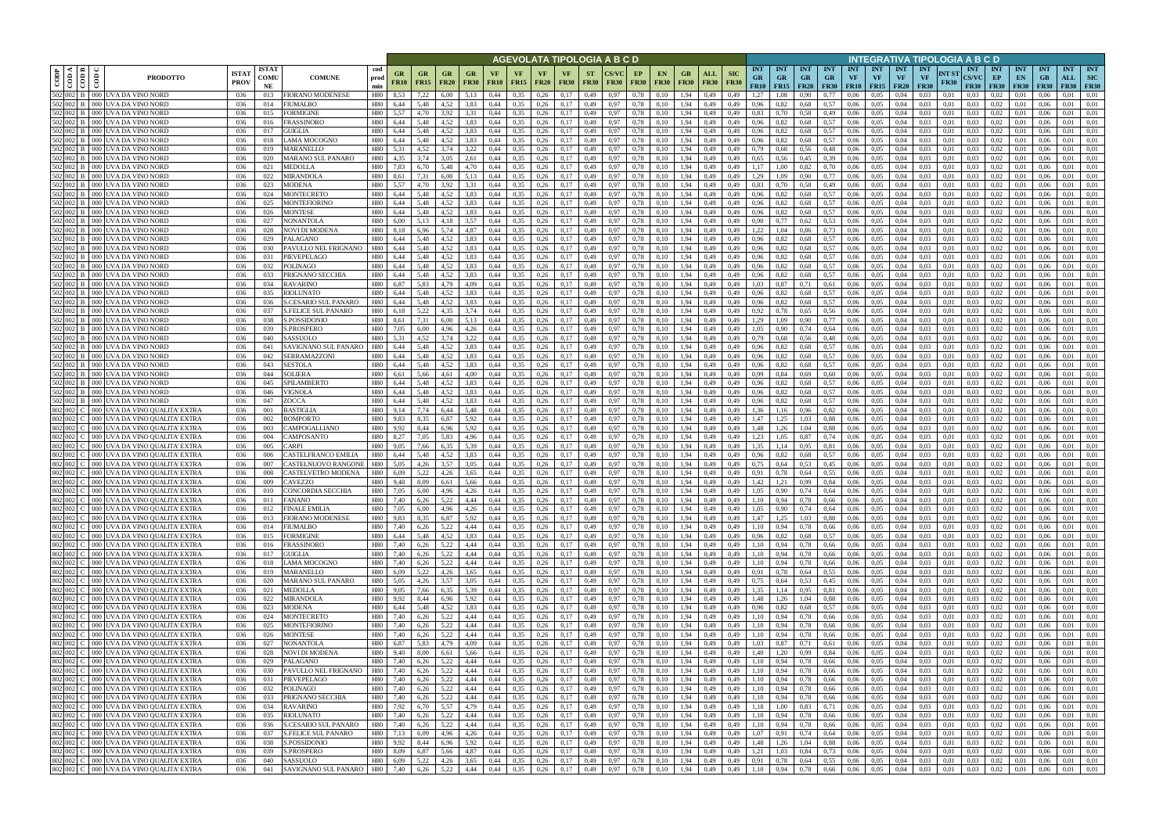|           |                             |                                                                                      |                            |                            |                                       |                          |                   |                        |                   |                        |                   |                   |                                         |                          |                          | AGEVOLATA TIPOLOGIA A B C D |                   |                                           |                          |                           |                           |                                      |                          |                                 |                                 |                         |                                            |                                 | INTEGRATIVA TIPOLOGIA A B C D          |                      |                                    |                                 |                                 |                           |                                  |                                         |
|-----------|-----------------------------|--------------------------------------------------------------------------------------|----------------------------|----------------------------|---------------------------------------|--------------------------|-------------------|------------------------|-------------------|------------------------|-------------------|-------------------|-----------------------------------------|--------------------------|--------------------------|-----------------------------|-------------------|-------------------------------------------|--------------------------|---------------------------|---------------------------|--------------------------------------|--------------------------|---------------------------------|---------------------------------|-------------------------|--------------------------------------------|---------------------------------|----------------------------------------|----------------------|------------------------------------|---------------------------------|---------------------------------|---------------------------|----------------------------------|-----------------------------------------|
| CODP      | ≺ I ⊨<br>$\frac{1}{2}$<br>ĝ | <b>PRODOTTO</b>                                                                      | <b>ISTA</b><br><b>PROV</b> | <b>ISTAT</b><br>COMU<br>NE | <b>COMUNE</b>                         | cod<br>prod<br>min       | GR<br><b>FR10</b> | GR<br><b>FR15</b>      | GR<br><b>FR20</b> | GR<br><b>FR30</b>      | VF<br><b>FR10</b> | <b>VF</b><br>FR15 | <b>VF</b><br><b>FR20</b>                | <b>VF</b><br><b>FR30</b> | <b>ST</b><br><b>FR30</b> | <b>FR30</b>                 | EP<br><b>FR30</b> | EN<br><b>FR30</b>                         | GВ<br><b>FR30</b>        | <b>ALL</b><br><b>FR30</b> | <b>SIC</b><br><b>FR30</b> | <b>INT</b><br><b>GR</b><br>FR10      | <b>INT</b><br><b>GR</b>  | <b>INT</b><br>GR<br>$FR15$ FR20 | <b>INT</b><br>GR<br><b>FR30</b> | <b>INT</b><br><b>VF</b> | <b>INT</b><br><b>VF</b><br>$FR10$   $FR15$ | <b>INT</b><br>VF<br><b>FR20</b> | <b>INT</b><br><b>VF</b><br><b>FR30</b> | NT ST<br><b>FR30</b> | <b>INT</b><br>CS/VC<br><b>FR30</b> | <b>INT</b><br>EP<br><b>FR30</b> | <b>INT</b><br>EN<br><b>FR30</b> | <b>INT</b><br>GB<br>F R30 | <b>INT</b><br>ALL<br><b>FR30</b> | <b>INT</b><br><b>SIC</b><br><b>FR30</b> |
|           |                             | 502 002 B 000 UVA DA VINO NORD<br>502 002 B 000 UVA DA VINO NORD                     | 036<br>036                 | 013<br>014                 | FIORANO MODENESE<br>FIUMALBO          | H80<br>H80               | 8,53<br>6,44      | 7,22<br>5,48           | 6.00<br>4,52      | 5,13<br>3,83           | 0.44<br>0,44      | 0,35<br>0,35      | 0,26<br>0,26                            | 0.17<br>0,17             | 0,49<br>0,49             | 0.97<br>0,97                | 0,78<br>0,78      | 0.10<br>0,10                              | 1.94<br>1,94             | 0.49<br>0,49              | 0.49<br>0,49              | 1.27<br>0.96                         | 0,82                     | 0.90<br>0,68                    | 0.57                            | 0.06<br>0.06            | 0.05<br>0.05                               | 0.04<br>0.04                    | $0.03 -$<br>0.03                       | 0.01<br>0.01         | 0.03<br>0.03                       | 0.02<br>0.02                    | 0.01                            | 0.06                      | 0.01                             | 0.01<br>0.01                            |
| 502 002   |                             | B   000  UVA DA VINO NORD                                                            | 036                        | 015                        | FORMIGINE                             | H80                      | 5.57              | 4.70                   | 3.92              |                        | 0,44              | 0,35              | 0,26                                    | 0.17                     | 0,49                     | 0.97                        | 0,78              | 0.10                                      | 1,94                     | 0.49                      | 0,49                      | 0.83                                 |                          | 0,58                            | 0,49                            | 0.06                    | 0.05                                       | 0.04                            | 0.03                                   | 0.01                 | 0.03                               | 0.02                            | 0.01                            |                           | 0.01                             | 0.01                                    |
|           |                             | 502 002 B 000 UVA DA VINO NORD                                                       | 036                        | 016                        | FRASSINORO                            | H80                      | 6,44              | 5,48                   | 4.52              | 3,83                   | 0.44              | 0,35              | 0,26                                    | 0.17                     | 0,49                     | 0.97                        | 0,78              | 0.10                                      | 1,94                     | 0,49                      | 0,49                      | 0.96                                 | 0,82                     | 0,68                            | 0.57                            | 0,06                    | 0.05                                       | 0,04                            | 0,03                                   | 0,01                 | 0.03                               | 0.02                            | 0,01                            | 0.06                      | 0.01                             | 0.01                                    |
|           |                             | 502 002 B 000 UVA DA VINO NORD                                                       | 036                        | 017                        | GUIGLIA                               | H80                      | 6.44              | 5,48                   | 4.52              | 3,83                   | 0.44              | 0.35              | 0,26                                    | 0.17                     | 0,49                     | 0.97                        | 0,78              | 0.10                                      | 1.94                     | 0.49                      | 0,49                      | 0,96                                 | 0.82                     | 0,68                            | 0.57                            | 0.06                    | 0.05                                       | 0,04                            | 0.03                                   | 0.01                 | 0.03                               | 0.02                            | 0.01                            | 0.06                      | 0.01                             | 0.01                                    |
|           |                             | 502 002 B 000 UVA DA VINO NORD                                                       | 036                        | 018                        | LAMA MOCOGNO                          | H80                      | 6,44              | 5,48                   | 4,52              | 3,83                   | 0,44              | 0,35              | 0,26                                    | 0,17                     | 0,49                     | 0.97                        | 0,78              | 0,10                                      | 1,94                     | 0,49                      | 0,49                      | 0,96                                 | 0,82                     | 0,68                            | 0.57                            | 0,06                    | 0,05                                       | 0,04                            | 0,03                                   | 0,01                 | 0.03                               | 0,02                            | 0,01                            | 0.06                      | 0,01                             | 0,01                                    |
| 502 002   |                             | 000 UVA DA VINO NORD<br>502 002 B 000 UVA DA VINO NORD                               | 036<br>036                 | 019<br>020                 | MARANELLO<br>MARANO SUL PANARO        | H80<br>H80               | 5.31<br>4.35      | 4.52<br>3.74           | 3.74<br>3.05      | 3,22<br>2,61           | 0.44<br>0.44      | 0.35<br>0.35      | 0.26<br>0.26                            | 0.17<br>0.17             | 0,49<br>0,49             | 0.97<br>0.97                | 0.78<br>0,78      | 0.10<br>0.10                              | l.94<br>1.94             | 0.49<br>0,49              | 0.49<br>0.49              | 0.79<br>0.65                         | 0.68<br>0,56             | 0.56<br>0,45                    | 0.48<br>0.39                    | 0.06<br>0.06            | 0.05<br>0.05                               | 0.04<br>0.04                    | 0.03                                   | 0.01<br>0.01         | 0.03<br>0.03                       | 0.02<br>0.02                    | 0.01<br>0.01                    | 0.06                      | 0.01<br>0.01                     | 0.01<br>0.01                            |
| 502 002 B |                             | 000 UVA DA VINO NORD                                                                 | 036                        | 021                        | MEDOLLA                               | H80                      | 7,83              | 6.70                   | 5.48              | 4,70                   | 0.44              | 0.35              | 0.26                                    | 0,17                     | 0,49                     | 0.97                        | 0,78              | 0,10                                      | 1.94                     | 0,49                      | 0.49                      | 1.17                                 | .00                      | 0,82                            | 0,70                            | 0.06                    | 0.05                                       | 0.04                            | 0.03                                   | 0.01                 | 0.03                               | 0.02                            | 0.01                            | 0.06                      | 0.01                             | 0,01                                    |
|           |                             | 502 002 B 000 UVA DA VINO NORD                                                       | 036                        | 022                        | MIRANDOLA                             | H80                      | 8.61              | 7,31                   | 6.00              | 5,13                   | 0.44              | 0.35              | 0.26                                    | 0.17                     | 0,49                     | 0.97                        | 0.78              | 0.10                                      | 1.94                     | 0.49                      | 0.49                      | 1.29                                 | 1.09                     | 0.90                            | 0,77                            | 0.06                    | 0.05                                       | 0.04                            | 0.03                                   | 0.01                 | 0.03                               | 0.02                            | 0.01                            | 0.06                      | 0.01                             | 0.01                                    |
|           |                             | 502 002 B 000 UVA DA VINO NORD                                                       | 036                        | 023                        | MODENA                                | H80                      | 5.57              | 4.70                   | 3.92              | 3.31                   | 0.44              | 0.35              | 0.26                                    | 0.17                     | 0,49                     | 0.97                        | 0.78              | 0,10                                      | 1.94                     | 0.49                      | 0.49                      | 0.83                                 | 0.70                     | 0.58                            | 0,49                            | 0.06                    | 0.05                                       | 0.04                            | 0.03                                   | 0.01                 | 0.03                               | 0.02                            | 0.01                            | 0.06                      | 0.01                             | 0.01                                    |
|           |                             | 502 002 B 000 UVA DA VINO NORD                                                       | 036                        | 024                        | MONTECRETO                            | H80                      | 6,44              | 5,48                   | 4,52              | 3,83                   | 0,44              | 0,35              | 0.26                                    | 0,17                     | 0,49                     | 0.97                        | 0,78              | 0,10                                      | 1.94                     | 0,49                      | 0,49                      | 0.96                                 | 0,82                     | 0,68                            | 0,57                            | 0,06                    | 0,05                                       | 0,04                            | 0.03                                   | 0.01                 | 0.03                               | 0,02                            | 0,01                            | 0.06                      | 0.01                             | 0.01                                    |
|           |                             | 502 002 B 000 UVA DA VINO NORD<br>502 002 B 000 UVA DA VINO NORD                     | 036                        | 025                        | MONTEFIORINO                          | H80                      | 6,44              | 5.48                   | 4.52<br>4.52      | 3,83                   | 0.44              | 0,35              | 0,26                                    | 0,17                     | 0,49                     | 0.97                        | 0,78              | 0,10                                      | 1,94                     | 0,49                      | 0.49                      | 0,96                                 | 0.82                     | 0,68                            | 0,57                            | 0.06                    | 0.05                                       | 0,04                            | 0.03                                   | 0.01                 | 0.03                               | 0.02                            | 0,01                            | 0.06                      | 0.01                             | 0.01                                    |
|           |                             | 502 002 B 000 UVA DA VINO NORD                                                       | 036<br>036                 | 026<br>027                 | MONTESE<br>NONANTOLA                  | H80<br>H80               | 6,44<br>6,00      | 5,48<br>5,13           | 4,18              | 3,83<br>3,57           | 0.44<br>0,44      | 0,35<br>0,35      | 0,26<br>0,26                            | 0,17<br>0,17             | 0,49<br>0,49             | 0.97<br>0.97                | 0,78<br>0,78      | 0,10<br>0,10                              | 1,94<br>1,94             | 0,49<br>0,49              | 0,49<br>0,49              | 0,96<br>0,90                         | 0,82<br>0,77             | 0,68<br>0,62                    | 0,57<br>0,53                    | 0,06<br>0,06            | 0,05<br>0,05                               | 0,04<br>0,04                    | 0.03<br>0,03                           | 0.01<br>0.01         | 0.03<br>0.03                       | 0.02<br>0,02                    | 0,01<br>0,01                    | 0.06<br>0.06              | 0.01<br>0,01                     | 0.01<br>0,01                            |
|           |                             | 502 002 B 000 UVA DA VINO NORD                                                       | 036                        | 028                        | NOVI DI MODENA                        | H80                      | 8.18              | 6,96                   | 5,74              | 4,87                   | 0.44              | 0,35              | 0,26                                    | 0.17                     | 0,49                     | 0.97                        | 0,78              | 0.10                                      | 1,94                     | 0,49                      | 0.49                      | 1,22                                 |                          | 0,86                            | 0.73                            | 0,06                    | 0.05                                       | 0.04                            | 0.03                                   | 0.01                 | 0.03                               | 0.02                            | 0,01                            | 0.06                      | 0.01                             | 0.01                                    |
|           |                             | 502 002 B 000 UVA DA VINO NORD                                                       | 036                        | 029                        | PALAGANO                              | H80                      | 6,44              | 5,48                   | 4.52              | 3,83                   | 0.44              | 0,35              | 0,26                                    | 0.17                     | 0,49                     | 0.97                        | 0,78              | 0.10                                      | 1,94                     | 0,49                      | 0.49                      | 0,96                                 | 0.82                     | 0,68                            | 0,57                            | 0,06                    | 0.05                                       | 0,04                            | 0.03                                   | 0.01                 | 0.03                               | 0.02                            | 0.01                            | 0.06                      | 0.01                             | 0.01                                    |
|           |                             | 502 002 B 000 UVA DA VINO NORD                                                       | 036                        | 030                        | PAVULLO NEL FRIGNANO                  | H80                      | 6,44              | 5,48                   | 4,52              | 3,83                   | 0,44              | 0,35              | 0,26                                    | 0,17                     | 0,49                     | 0.97                        | 0,78              | 0.10                                      | 1,94                     | 0,49                      | 0,49                      | 0,96                                 | 0,82                     | 0,68                            | 0,57                            | 0,06                    | 0,05                                       | 0,04                            | 0,03                                   | 0,01                 | 0.03                               | 0,02                            | 0,01                            | 0.06                      | 0,01                             | 0.01                                    |
|           |                             | 502 002 B 000 UVA DA VINO NORD                                                       | 036                        | 031                        | PIEVEPELAGO                           | H80                      | 6.44              | 5.48                   | 4.52              | 3.83                   | 0.44              | 0.35              | 0.26                                    | 0.17                     | 0,49                     | 0.97                        | 0.78              | 0.10                                      | 1.94                     | 0.49                      | 0.49                      | 0.96                                 | 0.82                     | 0.68                            | 0.57                            | 0.06                    | 0.05                                       | 0.04                            | 0.03                                   | 0.01                 | 0.03                               | 0.02                            | 0.01                            | 0.06                      | 0.01                             | 0.01                                    |
|           |                             | 502 002 B 000 UVA DA VINO NORD<br>502 002 B 000 UVA DA VINO NORD                     | 036<br>036                 | 032<br>033                 | POLINAGO<br>PRIGNANO SECCHIA          | H80<br>H80               | 6.44<br>6,44      | 5.48<br>5,48           | 4.52<br>4,52      | 3.83<br>3,83           | 0.44<br>0,44      | 0.35<br>0,35      | 0.26<br>0.26                            | 0,17<br>0,17             | 0,49<br>0,49             | 0.97<br>0.97                | 0.78<br>0,78      | 0.10<br>0,10                              | 1.94<br>1,94             | 0.49<br>0,49              | 0.49<br>0,49              | 0.96<br>0,96                         | 0.82<br>0,82             | 0,68<br>0,68                    | 0.57<br>0.57                    | 0.06<br>0,06            | 0.05<br>0,05                               | 0.04<br>0,04                    | 0.03<br>0,03                           | 0.01<br>0.01         | 0.03<br>0.03                       | 0.02<br>0,02                    | 0.01<br>0,01                    | 0.06<br>0.06              | 0.01<br>0,01                     | 0.01<br>0.01                            |
| 502 002 B |                             | 000 UVA DA VINO NORD                                                                 | 036                        | 034                        | RAVARINO                              | H80                      | 6.87              | 5.83                   | 4.79              | 4.09                   | 0.44              | 0.35              | 0.26                                    | 0.17                     | 0,49                     | 0.97                        | 0.78              | 0.10                                      | 1.94                     | 0.49                      | 0.49                      | 1.03                                 | 0.87                     | 0.71                            | 0.61                            | 0.06                    | 0.05                                       | 0.04                            | 0.03                                   | 0.01                 | 0.03                               | 0.02                            | 0.01                            |                           | 0.01                             | 0.01                                    |
|           |                             | 502 002 B 000 UVA DA VINO NORD                                                       | 036                        | 035                        | RIOLUNATO                             | <b>H80</b>               | 6.44              | 5.48                   | 4.52              | 3.83                   |                   | 0,35              | 0.26                                    | 0.17                     | 0,49                     | 0.97                        | 0.78              | 0.10                                      | l.94                     | 0.49                      |                           | 0.96                                 | 0.82                     | 0,68                            | 0,57                            | 0.06                    | 0.05                                       | 0.04                            | 0.03                                   | 0.01                 | 0.03                               | 0.02                            | 0.01                            |                           | 0.01                             | 0.01                                    |
|           |                             | 502 002 B 000 UVA DA VINO NORD                                                       | 036                        | 036                        | S.CESARIO SUL PANARO                  | H80                      | 6.44              | 5.48                   | 4.52              | 3.83                   | 0.44              | 0.35              | 0.26                                    | 0.17                     | 0,49                     | 0.97                        | 0,78              | 0.10                                      | l.94                     | 0.49                      | 0.49                      | 0.96                                 | 0.82                     | 0,68                            | 0,57                            | 0.06                    | 0.05                                       | 0.04                            | 0.03                                   | 0.01                 | 0.03                               | 0,02                            | 0.01                            |                           | 0.01                             | 0.01                                    |
|           |                             | 502 002 B 000 UVA DA VINO NORD                                                       | 036                        | 037                        | S.FELICE SUL PANARO                   | H80                      | 6,18              | 5,22                   | 4.35              | 3,74                   | 0,44              | 0,35              | 0,26                                    | 0,17                     | 0,49                     | 0.97                        | 0,78              | 0,10                                      | 1,94                     | 0,49                      | 0,49                      | 0,92                                 | 0,78                     | 0,65                            | 0.56                            | 0,06                    | 0.05                                       | 0,04                            | 0.03                                   | 0.01                 | 0.03                               | 0,02                            | 0.01                            | 0.06                      | 0.01                             | 0.01                                    |
|           |                             | 502 002 B 000 UVA DA VINO NORD                                                       | 036                        | 038                        | <b>S.POSSIDONIC</b>                   | H80                      | 8,61              | 7,31                   | 6.00              | 5,13                   | 0.44              | 0.35              | 0.26                                    | 0.17                     | 0,49                     | 0.97                        | 0.78              | 0.10                                      | 1.94                     | 0.49                      | 0,49                      | 1.29                                 | .09                      | 0.90                            | 0.77                            | 0.06                    | 0.05                                       | 0.04                            | 0.03                                   | 0.01                 | 0.03                               | 0.02                            | 0.01                            | 0.06                      | 0.01                             | 0.01                                    |
| 502 002   |                             | 502 002 B 000 UVA DA VINO NORD<br>B   000  UVA DA VINO NORD                          | 036<br>036                 | 039<br>040                 | <b>S.PROSPERO</b><br>SASSUOLO         | H80<br>H80               | 7,05<br>5.31      | 6,00<br>4.52           | 4,96<br>3.74      | 4,26<br>3.22           | 0,44<br>0.44      | 0,35<br>0.35      | 0,26<br>0.26                            | 0,17<br>0.17             | 0,49<br>0,49             | 0,97<br>0.97                | 0,78<br>0.78      | 0,10<br>0.10                              | 1,94<br>1.94             | 0,49<br>0.49              | 0,49<br>0.49              | 1,05<br>0.79                         | 0.90<br>0.68             | 0,74<br>0,56                    | 0,64<br>0,48                    | 0,06<br>0.06            | 0.05<br>0.05                               | 0,04<br>0.04                    | 0,03<br>0.03                           | 0.01<br>0.01         | 0.03<br>0.03                       | 0,02<br>0.02                    | 0,01<br>0.01                    | 0.06                      | 0.01<br>0.01                     | 0.01<br>0.01                            |
|           |                             | 502 002 B 000 UVA DA VINO NORD                                                       | 036                        | 041                        | SAVIGNANO SUL PANARO                  | H80                      | 6,44              | 5,48                   | 4.52              | 3,83                   | 0.44              | 0,35              | 0,26                                    | 0.17                     | 0,49                     | 0.97                        | 0,78              | 0.10                                      | 1,94                     | 0,49                      | 0,49                      | 0.96                                 | 0,82                     | 0,68                            | 0.57                            | 0,06                    | 0.05                                       | 0,04                            | 0.03                                   | 0.01                 | 0.03                               | 0.02                            | 0.01                            | 0.06                      | 0.01                             | 0.01                                    |
|           |                             | 502 002 B 000 UVA DA VINO NORD                                                       | 036                        | 042                        | SERRAMAZZONI                          | H80                      | 6,44              | 5,48                   | 4.52              | 3,83                   | 0.44              | 0,35              | 0,26                                    | 0,17                     | 0,49                     | 0.97                        | 0,78              | 0.10                                      | 1,94                     | 0,49                      | 0,49                      | 0,96                                 | 0.82                     | 0,68                            | 0.57                            | 0.06                    | 0,05                                       | 0.04                            | 0.03                                   | 0.01                 | 0.03                               | 0.02                            | 0,01                            | 0.06                      | 0.01                             | 0.01                                    |
|           |                             | 502 002 B 000 UVA DA VINO NORD                                                       | 036                        | 043                        | <b>SESTOLA</b>                        | H80                      | 6,44              | 5,48                   | 4.52              | 3,83                   | 0.44              | 0.35              | 0.26                                    | 0.17                     | 0,49                     | 0.97                        | 0,78              | 0.10                                      | 1.94                     | 0.49                      | 0.49                      | 0.96                                 | 0.82                     | 0.68                            | 0.57                            | 0,06                    | 0.05                                       | 0.04                            | 0.03                                   | 0.01                 | 0.03                               | 0.02                            | 0.01                            | 0.06                      | 0.01                             | 0.01                                    |
|           |                             | 502 002 B 000 UVA DA VINO NORD                                                       | 036                        | 044                        | <b>SOLIERA</b>                        | H80                      | 6.61              | 5.66                   | 4.61              | 4.00                   | 0.44              | 0.35              | 0.26                                    | 0.17                     | 0,49                     | 0.97                        | 0,78              | 0.10                                      | 1.94                     | 0.49                      | 0.49                      | 0.99                                 | 0.84                     | 0.69                            | 0.60                            | 0.06                    | 0.05                                       | 0.04                            | 0.03                                   | 0.01                 | 0.03                               | 0.02                            | 0.01                            |                           | 0.01                             | 0.01                                    |
|           |                             | 502 002 B 000 UVA DA VINO NORD<br>502 002 B 000 UVA DA VINO NORD                     | 036                        | 045                        | SPILAMBERTO                           | H80<br>H80               | 6,44<br>6.44      | 5,48<br>5.48           | 4,52<br>4.52      | 3,83<br>3.83           | 0.44<br>0.44      | 0,35<br>0.35      | 0,26<br>0.26                            | 0,17<br>0.17             | 0,49                     | 0.97                        | 0,78<br>0.78      | 0,10                                      | 1.94<br>1.94             | 0,49                      | 0,49<br>0.49              | 0,96<br>0.96                         | 0,82<br>0.82             | 0,68<br>0.68                    | 0.57<br>0.57                    | 0,06<br>0.06            | 0.05<br>0.05                               | 0,04<br>0.04                    | 0.03<br>0.03                           | 0.01<br>0.01         | 0.03                               | 0.02<br>0.02                    | 0,01<br>0.01                    | 0.06<br>0.06              | 0.01<br>0.01                     | 0.01<br>0.01                            |
|           |                             | 502 002 B 000 UVA DA VINO NORD                                                       | 036<br>-036                | 046<br>047                 | VIGNOLA<br>ZOCCA                      | H80                      | 6.44              | 5.48                   | 4.52              | 3,83                   | 0.44              | 0.35              | 0.26                                    | 0,17                     | 0,49<br>0,49             | 0.97<br>0.97                | 0,78              | 0.10<br>0,10                              | 1.94                     | 0.49<br>0,49              | 0,49                      | 0.96                                 | 0,82                     | 0,68                            | 0.57                            | 0.06                    | 0.05                                       | 0.04                            | 0.03                                   | 0.01                 | 0.03<br>0.03                       | 0.02                            | 0.01                            | 0.06                      | 0.01                             | 0.01                                    |
|           |                             | 802 002 C 000 UVA DA VINO QUALITA' EXTRA                                             | 036                        | 001                        | BASTIGLIA                             | H80                      | 9.14              | 7,74                   | 6,44              | 5,48                   | 0.44              | 0,35              | 0.26                                    | 0,17                     | 0,49                     | 0.97                        | 0,78              | 0,10                                      | 1,94                     | 0,49                      | 0.49                      | 1,36                                 | 1,16                     | 0,96                            | 0,82                            | 0.06                    | 0.05                                       | 0.04                            | 0.03                                   | 0.01                 | 0.03                               | 0,02                            | 0,01                            | 0.06                      | 0.01                             | 0,01                                    |
| 802 002 C |                             | 000 UVA DA VINO QUALITA' EXTRA                                                       | 036                        | 002                        | <b>BOMPORTO</b>                       | H80                      | 9,83              | 8.35                   | 6.87              | 5,92                   | 0.44              | 0,35              | 0,26                                    | 0,17                     | 0,49                     | 0.97                        | 0,78              | 0.10                                      | 1,94                     | 0,49                      | 0.49                      | 1.47                                 | 1,25                     | 1,03                            | 0.88                            | 0,06                    | 0,05                                       | 0.04                            | 0.03                                   | 0.01                 | 0.03                               | 0,02                            | 0,01                            | 0.06                      | 0.01                             | 0.01                                    |
| 802 002   |                             | 000 UVA DA VINO QUALITA' EXTRA                                                       | 036                        | 003                        | CAMPOGALLIANO                         | H80                      | 9,92              | 8,44                   | 6,96              | 5,92                   | 0.44              | 0,35              | 0,26                                    | 0,17                     | 0,49                     | 0.97                        | 0,78              | 0,10                                      | 1,94                     | 0,49                      | 0.49                      | 1,48                                 | 1,26                     | 1.04                            | 0.88                            | 0.06                    | 0.05                                       | 0,04                            | 0.03                                   | 0.01                 | 0.03                               | 0,02                            | 0,01                            | 0.06                      | 0.01                             | 0,01                                    |
|           |                             | 802 002 C   000 UVA DA VINO QUALITA' EXTRA                                           | 036                        | 004                        | CAMPOSANTO                            | H80                      | 8,27              | 7,05                   | 5,83              | 4,96                   | 0,44              | 0,35              | 0,26                                    | 0,17                     | 0,49                     | 0,97                        | 0,78              | 0,10                                      | 1,94                     | 0,49                      | 0,49                      | 1,23                                 | 1,05                     | 0,87                            | 0,74                            | 0,06                    | 0,05                                       | 0,04                            | 0,03                                   | 0,01                 | 0.03                               | 0,02                            | 0,01                            | 0,06                      | 0,01                             | 0,01                                    |
| 802 002 C |                             | 000 UVA DA VINO QUALITA' EXTRA<br>802 002 C   000 UVA DA VINO QUALITA' EXTRA         | 036<br>036                 | 005<br>006                 | CARPI<br>CASTELFRANCO EMILIA          | H80<br>H80               | 9.05<br>6,44      | 7,66<br>5,48           | 6.35<br>4.52      | 5,39<br>3,83           | 0.44<br>0,44      | 0,35<br>0,35      | 0,26<br>0,26                            | 0.17<br>0,17             | 0,49<br>0,49             | 0.97<br>0.97                | 0,78<br>0,78      | 0,10<br>0.10                              | 1,94<br>1,94             | 0,49<br>0,49              | 0.49<br>0,49              | 1,35<br>0,96                         | 1.14<br>0,82             | 0,95<br>0,68                    | 0.81<br>0.57                    | 0,06<br>0,06            | 0.05<br>0,05                               | 0,04<br>0,04                    | 0.03<br>0.03                           | 0.01<br>0,01         | 0.03<br>0.03                       | 0.02<br>0,02                    | 0,01<br>0,01                    | 0.06<br>0.06              | 0,01<br>0,01                     | 0.01<br>0.01                            |
| 802 002   |                             | 000 UVA DA VINO OUALITA' EXTRA                                                       | 036                        | 007                        | CASTELNUOVO RANGONI                   | H80                      | 5,05              | 4,26                   | 3,57              | 3,05                   | 0,44              | 0,35              | 0,26                                    | 0,17                     | 0,49                     | 0.97                        | 0,78              | 0,10                                      | 1,94                     | 0,49                      | 0,49                      | 0,75                                 | 0,64                     | 0.53                            | 0,45                            | 0,06                    | 0,05                                       | 0,04                            | 0.03                                   | 0.01                 | 0.03                               | 0,02                            | 0,01                            | 0.06                      | 0,01                             | 0.01                                    |
| 802 002   |                             | 000 UVA DA VINO QUALITA' EXTRA                                                       | 036                        | 008                        | CASTELVETRO MODENA                    | H80                      | 6.09              | 5.22                   | 4.26              | 3.65                   | 0.44              | 0.35              | 0.26                                    | 0.17                     | 0.49                     | 0.97                        | 0.78              | 0.10                                      | 1.94                     | 0.49                      | 0.49                      | 0.91                                 |                          | 0.64                            | 0.55                            | 0.06                    | 0.05                                       | 0.04                            | 0.03                                   | 0.01                 | 0.03                               | 0.02                            | 0.01                            | 0.06                      | 0.01                             | 0.01                                    |
|           |                             | 802 002 C 000 UVA DA VINO OUALITA' EXTRA                                             | 036                        | 009                        | CAVEZZO                               | H80                      | 9.48              | 8.09                   | 6.61              | 5.66                   | 0.44              | 0.35              | 0.26                                    | 0.17                     | 0,49                     | 0.97                        | 0,78              | 0.10                                      | 1.94                     | 0,49                      | 0.49                      | 1,42                                 | 1.21                     | 0,99                            | 0.84                            | 0.06                    | 0.05                                       | 0.04                            | 0.03                                   | 0.01                 | 0.03                               | 0.02                            | 0.01                            | 0.06                      | 0.01                             | 0.01                                    |
|           |                             | 802 002 C   000 UVA DA VINO QUALITA' EXTRA                                           | 036                        | 010                        | CONCORDIA SECCHIA                     | H80                      | 7.05              | 6.00                   | 4.96              | 4,26                   | 0.44              | 0.35              | 0.26                                    | 0,17                     | 0.49                     | 0.97                        | 0.78              | 0.10                                      | 1.94                     | 0.49                      | 0.49                      | 1.05                                 | 0.90                     | 0.74                            | 0.64                            | 0.06                    | 0.05                                       | 0.04                            | 0.03                                   | 0.01                 | 0.03                               | 0.02                            | 0.01                            | 0.06                      | 0.01                             | 0.01                                    |
|           |                             | 802 002 C 000 UVA DA VINO QUALITA' EXTRA<br>802 002 C 000 UVA DA VINO QUALITA' EXTRA | 036<br>036                 | 011<br>012                 | <b>FANANO</b><br><b>FINALE EMILIA</b> | <b>H80</b><br><b>H80</b> | 7,40<br>7,05      | 6,26<br>6,00           | 5,22<br>4,96      | 4,44<br>4,26           | 0,44<br>0,44      | 0,35<br>0,35      | $0,26$ $0,17$<br>$0,26$ $0,17$          |                          | 0,49<br>0,49             | 0,97<br>0,97                | 0,78<br>0,78      | 0,10<br>0,10                              | 1,94<br>1,94             | 0,49<br>0,49              | 0,49<br>0,49              | 1,10<br>1,05                         | 0,94<br>0,90             | 0,78<br>0,74                    | 0,66<br>0,64                    | 0,06<br>0,06            | 0,05<br>0,05                               | 0,04<br>0,04                    | 0,03<br>0,03                           | 0,01<br>0,01         | 0,03<br>0.03                       | 0,02<br>$0,02$ $0,01$           | 0,01                            | 0,06<br>0,06              | 0,01<br>0,01                     | 0,01<br>0,01                            |
|           |                             | 802 002 C 000 UVA DA VINO QUALITA' EXTRA                                             | 036                        | 013                        | FIORANO MODENESE                      | H80 9,83                 |                   | 8,35                   | 6,87              | 5,92                   | 0,44              | 0,35              | $0,26$ $0,17$                           |                          | 0,49                     | 0,97                        | 0,78              | 0,10                                      | 1,94                     | 0,49                      | 0,49                      | 1,47                                 | 1,25                     | 1,03                            | 0,88                            | 0,06                    | 0,05                                       | 0,04                            | 0,03                                   | 0,01                 | 0,03                               | $0,02$ $0,01$                   |                                 | 0,06                      | 0,01                             | 0,01                                    |
|           |                             | 802 002 C 000 UVA DA VINO QUALITA' EXTRA                                             | 036                        | 014                        | <b>FIUMALBO</b>                       | H80 7,40                 |                   | 6,26                   | 5,22              | 4,44 0,44              |                   | 0,35              |                                         | $0,26$ $0,17$            | 0,49                     | 0,97                        | 0,78              | 0,10                                      | 1,94 0,49                |                           | 0,49                      | 1,10                                 | 0,94                     | 0,78                            | 0,66                            | 0,06                    | 0,05                                       | 0,04                            | 0,03                                   | 0,01                 | 0,03                               | $0,02$ 0.01                     |                                 | 0,06                      | 0,01                             | 0,01                                    |
|           |                             | $ 802 002 $ C $ 000 $ UVA DA VINO QUALITA' EXTRA                                     | 036                        | 015                        | <b>FORMIGINE</b>                      | H80 6,44                 |                   | 5,48                   | 4,52              | 3,83                   | 0,44              | 0,35              |                                         | $0,26$ $0,17$            | 0,49                     | 0,97                        | 0,78              | 0,10                                      | 1,94                     | 0,49                      | 0,49                      | 0,96                                 | 0,82                     | 0,68                            | 0,57                            | 0,06                    | 0,05                                       | 0,04                            | 0,03                                   | 0,01                 | 0,03                               | $0,02$ $0,01$                   |                                 | 0,06                      | 0,01                             | 0,01                                    |
|           |                             | 802 002 C 000 UVA DA VINO QUALITA' EXTRA                                             | 036                        | 016                        | <b>FRASSINORO</b>                     | H80 7,40                 |                   | 6,26                   | 5,22              | 4,44                   | 0,44              | 0,35              | $0,26$ 0,17                             |                          | 0,49                     | 0,97                        | 0,78              | 0,10                                      | 1,94                     | 0,49                      | 0,49                      | 1,10                                 | 0,94                     | 0,78                            | 0,66                            | 0,06                    | 0,05                                       | 0,04                            | 0,03                                   | 0,01                 | 0,03                               | 0,02                            | 0,01                            | 0,06                      | 0,01                             | 0,01                                    |
|           |                             | 802 002 C 000 UVA DA VINO QUALITA' EXTRA<br>802 002 C 000 UVA DA VINO QUALITA' EXTRA | 036<br>036                 | 017<br>018                 | GUIGLIA<br>LAMA MOCOGNO               | H80<br><b>H80</b>        | 7,40<br>7,40      | 6,26<br>6,26           | 5,22<br>5,22      | 4,44<br>4,44           | 0,44<br>0,44      | 0,35<br>0,35      | $0,26$ $0,17$                           | $0,26$ $0,17$            | 0,49<br>0,49             | 0,97<br>0,97                | 0,78<br>0,78      | 0,10<br>0,10                              | 1,94<br>1,94             | 0,49<br>0,49              | 0,49<br>0,49              | 1,10<br>1,10                         | 0,94<br>0,94             | 0,78<br>0,78                    | 0,66<br>0,66                    | 0,06<br>0,06            | 0,05<br>0,05                               | 0,04<br>0,04                    | 0,03<br>0,03                           | 0,01<br>0,01         | 0,03<br>0.03                       | 0,02<br>0,02                    | 0,01<br>0,01                    | 0,06<br>0,06              | 0,01<br>0,01                     | 0,01<br>0,01                            |
|           |                             | 802 002 C 000 UVA DA VINO QUALITA' EXTRA                                             | 036                        | 019                        | MARANELLO                             | <b>H80</b>               | 6,09              | 5,22                   | 4,26              | 3,65                   | 0,44              | 0,35              | $0,26$ 0,17                             |                          | 0,49                     | 0,97                        | 0,78              | 0,10                                      | 1,94                     | 0,49                      | 0,49                      | 0,91                                 | 0,78                     | 0,64                            | 0,55                            | 0,06                    | 0,05                                       | 0,04                            | 0,03                                   | 0,01                 | 0,03                               | 0,02                            | 0,01                            | 0,06                      | 0,01                             | 0,01                                    |
|           |                             | 802 002 C 000 UVA DA VINO QUALITA' EXTRA                                             | 036                        | 020                        | MARANO SUL PANARO                     | H80 5,05                 |                   |                        | $4,26$ $3,57$     | $3,05$ 0.44            |                   | 0,35              | $0,26$ 0,17 0,49                        |                          |                          | 0,97                        | 0,78              | 0,10                                      | 1,94 0,49                |                           |                           | $0,49$ 0,75 0,64 0,53                |                          |                                 | 0,45                            |                         | $0,06$ 0.05                                | 0,04                            | 0,03                                   | 0,01                 | $0,03$ $0,02$ $0,01$               |                                 |                                 | 0,06                      | 0.01                             | 0,01                                    |
|           |                             | 802 002 C 000 UVA DA VINO QUALITA' EXTRA                                             | 036                        | 021                        | MEDOLLA                               | H80 9,05                 |                   | 7,66                   | 6,35              | 5,39 0,44              |                   | 0,35              | $0,26$ $0,17$                           |                          | 0,49                     | 0,97                        | 0,78              | 0,10                                      | 1,94 0,49                |                           | 0,49                      | 1,35                                 | $1,14$ 0,95              |                                 | 0,81                            |                         | $0,06$ 0.05                                | 0,04                            | 0,03                                   | 0,01                 | $0,03$ $0,02$ $0,01$               |                                 |                                 | 0,06                      |                                  | $0,01$ $0,01$                           |
|           |                             | 802 002 C 000 UVA DA VINO QUALITA' EXTRA                                             | 036                        | 022                        | <b>MIRANDOLA</b>                      | H80 9,92                 |                   |                        | 8,44 6,96         | 5,92                   | 0,44              | 0,35              |                                         | $0,26$ $0,17$            | 0,49                     | 0,97                        | 0,78              | 0,10                                      | 1,94 0,49                |                           | 0,49                      | 1,48                                 | $1,26$ 1,04              |                                 | 0,88                            | 0,06                    | 0,05                                       | 0,04                            | 0,03                                   | 0,01                 | 0,03                               | $0,02$ 0.01                     |                                 | 0,06                      | 0,01                             | 0,01                                    |
|           |                             | 802 002 C 000 UVA DA VINO QUALITA' EXTRA<br>802 002 C 000 UVA DA VINO QUALITA' EXTRA | 036                        | 023                        | <b>MODENA</b><br><b>MONTECRETO</b>    | H80                      | 6,44              | 5,48                   | 4,52              | 3,83                   | 0,44              | 0,35              | $0,26$ 0,17                             |                          | 0,49                     | 0,97                        | 0,78              | 0,10                                      | 1,94                     | 0,49                      | 0,49                      | 0,96                                 | 0,82                     | 0,68                            | 0,57                            | 0,06                    | 0,05                                       | 0,04                            | 0,03<br>0,03                           | 0,01                 | 0,03                               | $0,02 \qquad 0,01$              |                                 | 0,06                      | 0.01                             | 0,01                                    |
|           |                             | 802 002 C 000 UVA DA VINO QUALITA' EXTRA                                             | 036<br>036                 | 024<br>025                 | <b>MONTEFIORINO</b>                   | H80 7,40<br>H80 7,40     |                   | 6,26<br>6,26           | 5,22<br>5,22      | 4,44 0,44<br>4,44 0,44 |                   | 0,35<br>0,35      | $0,26$ 0,17                             | $0,26$ 0,17              | 0,49<br>0,49             | 0,97<br>0,97                | 0,78<br>0,78      | 0,10<br>0,10                              | 1,94 0,49<br>$1,94$ 0,49 |                           | 0,49<br>0,49              | 1,10<br>1,10                         | $0,94$ 0.78<br>0,94 0,78 |                                 | 0,66<br>0,66                    | 0,06<br>0,06            | 0,05<br>0,05                               | 0,04<br>0,04                    | 0,03                                   | 0,01<br>0,01         | 0,03<br>0,03                       | $0,02$ 0.01<br>$0,02$ $0,01$    |                                 | 0,06<br>0,06              | 0.01<br>0,01                     | 0,01<br>0,01                            |
|           |                             | 802 002 C 000 UVA DA VINO QUALITA' EXTRA                                             | 036                        | 026                        | <b>MONTESE</b>                        | H80 7,40                 |                   | 6,26                   | 5,22              | 4,44                   | 0,44              | 0,35              | $0,26$ $0,17$                           |                          | 0,49                     | 0,97                        | 0,78              | 0,10                                      | $1,94$ 0,49              |                           | 0,49                      | 1,10                                 | 0,94                     | 0,78                            | 0,66                            | 0,06                    | 0,05                                       | 0,04                            | 0,03                                   | 0,01                 | 0,03                               | $0,02 \qquad 0,01$              |                                 | 0,06                      | 0,01                             | 0,01                                    |
|           |                             | 802 002 C 000 UVA DA VINO QUALITA' EXTRA                                             | 036                        | 027                        | <b>NONANTOLA</b>                      | H80                      | 6,87              | 5,83                   | 4,79              | 4,09                   | 0,44              | 0,35              | $0,26$ $0,17$                           |                          | 0,49                     | 0,97                        | 0,78              | 0,10                                      | 1,94                     | 0,49                      | 0,49                      | 1,03                                 | 0,87                     | 0,71                            | 0,61                            | 0,06                    | 0,05                                       | 0,04                            | 0,03                                   | 0,01                 | 0,03                               | $0,02$ 0.01                     |                                 | 0,06                      | 0,01                             | 0,01                                    |
|           |                             | 802 002 C 000 UVA DA VINO QUALITA' EXTRA                                             | 036                        | 028                        | NOVI DI MODENA                        | H80 9,40                 |                   | 8,00                   | 6,61              | 5,66                   | 0,44              | 0,35              | $0,26$ 0,17                             |                          | 0,49                     | 0,97                        | 0,78              | 0,10                                      | 1,94                     | 0,49                      | 0,49                      | 1,40                                 | 1,20                     | 0,99                            | 0,84                            | 0,06                    | 0,05                                       | 0,04                            | 0,03                                   | 0,01                 | 0,03                               | 0,02                            | 0,01                            | 0,06                      | 0,01                             | 0,01                                    |
|           |                             | 802 002 C 000 UVA DA VINO QUALITA' EXTRA                                             | 036                        | 029                        | PALAGANO                              | H80 7,40                 |                   | 6,26                   | 5,22              | 4,44                   | 0,44              | 0,35              |                                         | $0,26$ $0,17$            | 0,49                     | 0,97                        | 0,78              | 0,10                                      | 1,94 0,49                |                           | 0,49                      | $1,10$ 0.94 0.78                     |                          |                                 | 0,66                            | 0,06                    | 0,05                                       | 0,04                            | 0,03                                   | 0,01                 | 0,03                               | $0,02$ 0.01                     |                                 | 0,06                      | 0,01                             | 0,01                                    |
|           |                             | 802 002 C 000 UVA DA VINO QUALITA' EXTRA<br>802 002 C 000 UVA DA VINO QUALITA' EXTRA | 036<br>036                 | 030<br>031                 | PAVULLO NEL FRIGNANO<br>PIEVEPELAGO   | H80 7,40<br>H80 7,40     |                   | 6,26 5,22<br>6,26 5,22 |                   | 4,44 0,44<br>4,44      | 0,44              | 0,35<br>0,35      | $0,26$ 0,17                             | $0,26$ $0,17$            | 0,49<br>0,49             | 0,97<br>0,97                |                   | $0,78$ $0,10$<br>$0,78$ $0,10$            | 1,94 0,49<br>1,94 0,49   |                           | 0,49<br>0,49              | $1,10$ 0.94 0.78<br>$1,10$ 0.94 0.78 |                          |                                 | 0,66<br>0,66                    |                         | $0,06$ 0.05<br>$0,06$ 0.05                 | 0,04<br>0,04                    | 0,03<br>0,03                           | 0,01<br>0,01         | 0,03<br>0,03                       | $0,02$ $0,01$<br>0,02           | 0,01                            | 0,06<br>0,06              | 0,01<br>0,01                     | 0,01<br>0,01                            |
|           |                             | 802 002 C 000 UVA DA VINO QUALITA' EXTRA                                             | 036                        | 032                        | POLINAGO                              | H80 7,40                 |                   | 6,26                   | 5,22              | 4,44                   | 0,44              | 0,35              | $0,26$ 0,17                             |                          | 0,49                     | 0,97                        |                   | $0,78$ $0,10$                             | $1,94$ 0,49              |                           | 0,49                      | $1,10$ 0.94                          |                          | 0,78                            | 0,66                            |                         | $0,06$ 0.05                                | 0,04                            | 0,03                                   | 0,01                 | 0,03                               | $0,02$ 0.01                     |                                 | 0,06                      | 0,01                             | 0,01                                    |
|           |                             | 802 002 C 000 UVA DA VINO QUALITA' EXTRA                                             | 036                        | 033                        | PRIGNANO SECCHIA                      | H80 7,40                 |                   | 6,26                   | 5,22              | 4,44                   | 0,44              | 0,35              |                                         | $0,26$ $0,17$            | 0,49                     | 0,97                        |                   | $0,78$ $0,10$                             | $1,94$ 0,49              |                           | 0,49                      | 1,10                                 | 0,94                     | 0,78                            | 0,66                            |                         | $0,06$ 0.05                                | 0,04                            | 0,03                                   | 0,01                 | 0,03                               | $0,02$ $0,01$                   |                                 | 0,06                      | 0,01                             | 0,01                                    |
|           |                             | 802 002 C 000 UVA DA VINO QUALITA' EXTRA                                             | 036                        | 034                        | RAVARINO                              | H80 7,92                 |                   | 6,70                   | 5,57              | 4,79                   | 0,44              | 0,35              | $0,26$ 0,17                             |                          | 0,49                     | 0,97                        | 0,78              | 0,10                                      | 1,94 0,49                |                           | 0,49                      | 1,18                                 | 1,00                     | 0,83                            | 0,71                            | 0,06                    | 0,05                                       | 0,04                            | 0,03                                   | 0,01                 | 0,03                               | $0,02$ 0.01                     |                                 | 0,06                      | 0,01                             | 0,01                                    |
|           |                             | 802 002 C 000 UVA DA VINO QUALITA' EXTRA                                             | 036                        | 035                        | RIOLUNATO                             | H80 7,40                 |                   | 6,26                   | 5,22              | 4,44 0,44              |                   | 0,35              |                                         | $0,26$ $0,17$            | 0,49                     | 0,97                        |                   | $0,78$ $0,10$                             | $1,94$ 0,49              |                           | 0,49                      | $1,10$ 0.94                          |                          | 0,78                            | 0,66                            |                         | $0,06$ 0.05                                | 0,04                            | 0,03                                   | 0,01                 |                                    | $0,03$ 0.02 0.01                |                                 | 0,06                      | 0,01                             | 0,01                                    |
|           |                             | 802 002 C 000 UVA DA VINO QUALITA' EXTRA                                             | 036                        | 036                        | S.CESARIO SUL PANARO                  | H80 7,40                 |                   | 6,26                   | 5,22              | 4,44                   | 0,44              | 0,35              | $0,26$ 0,17                             |                          | 0,49                     | 0,97                        | 0,78              | 0,10                                      | 1,94                     | 0,49                      | 0,49                      | 1,10                                 | 0,94                     | 0,78                            | 0,66                            | 0,06                    | 0,05                                       | 0,04                            | 0,03                                   | 0,01                 | 0,03                               | $0,02$ $0,01$                   |                                 | 0,06                      | 0,01                             | 0,01                                    |
|           |                             | 802 002 C 000 UVA DA VINO QUALITA' EXTRA<br>802 002 C 000 UVA DA VINO QUALITA' EXTRA | 036<br>036                 | 037<br>038                 | S.FELICE SUL PANARO<br>S.POSSIDONIO   | H80 7,13<br>H80 9,92     |                   | 6,09<br>8,44           | 4,96<br>6,96      | 4,26<br>5,92           | 0,44<br>0,44      | 0,35<br>0,35      | $\overline{0,26}$ 0,17<br>$0,26$ $0,17$ |                          | 0,49<br>0,49             | 0,97<br>0,97                | 0,78<br>0,78      | 0,10<br>0,10                              | 1,94<br>1,94             | 0,49<br>0,49              | 0,49<br>0,49              | 1,07<br>1,48                         | 0,91<br>1,26             | 0,74<br>1,04                    | 0,64<br>0,88                    | 0,06<br>0,06            | 0,05<br>0,05                               | 0,04<br>0,04                    | 0,03<br>0,03                           | 0,01<br>0,01         | 0,03<br>0,03                       | 0,02<br>$0,02$ $0,01$           | 0,01                            | 0,06<br>0,06              | 0,01<br>0,01                     | 0,01<br>0,01                            |
|           |                             | 802 002 C 000 UVA DA VINO QUALITA' EXTRA                                             | 036                        | 039                        | S.PROSPERO                            | H80 8.09                 |                   | 6,87                   | 5,66              | 4,87                   | 0,44              | 0,35              |                                         | $0,26$ $0,17$            | 0,49                     | 0,97                        | 0,78              | 0,10                                      | 1,94 0,49                |                           | 0,49                      | 1,21                                 | 1,03                     | 0,84                            | 0,73                            | 0,06                    | 0,05                                       | 0,04                            | 0,03                                   | 0,01                 | 0,03                               | $0,02$ $0,01$                   |                                 | 0,06                      | 0,01                             | 0,01                                    |
|           |                             | 802 002 C 000 UVA DA VINO QUALITA' EXTRA                                             | 036                        | 040                        | SASSUOLO                              | H80 6,09                 |                   |                        | 5,22 4,26         | 3,65                   | 0,44              | 0,35              | $0,26$ 0,17                             |                          | 0,49                     | 0,97                        | 0,78              | 0,10                                      | 1,94 0,49                |                           | 0,49                      | 0,91                                 | 0,78                     | 0,64                            | 0,55                            |                         | $0,06$ 0.05                                | 0,04                            | 0,03                                   | 0,01                 | 0,03                               | $0,02$ 0.01                     |                                 | 0,06                      | 0,01                             | 0,01                                    |
|           |                             | 802 002 C 000 UVA DA VINO QUALITA' EXTRA                                             | 036                        | 041                        | SAVIGNANO SUL PANARO   H80   7,40     |                          |                   |                        | $6,26$ $5,22$     | 4,44                   | 0,44              | 0,35              |                                         |                          |                          |                             |                   | $0.26$ 0.17 0.49 0.97 0.78 0.10 1.94 0.49 |                          |                           |                           | $0,49$ 1,10 0,94 0,78 0,66           |                          |                                 |                                 |                         | $0,06$ 0.05                                | 0,04                            | 0,03                                   | 0,01                 | $0,03$ $0,02$ $0,01$               |                                 |                                 | 0,06                      | 0,01                             | 0,01                                    |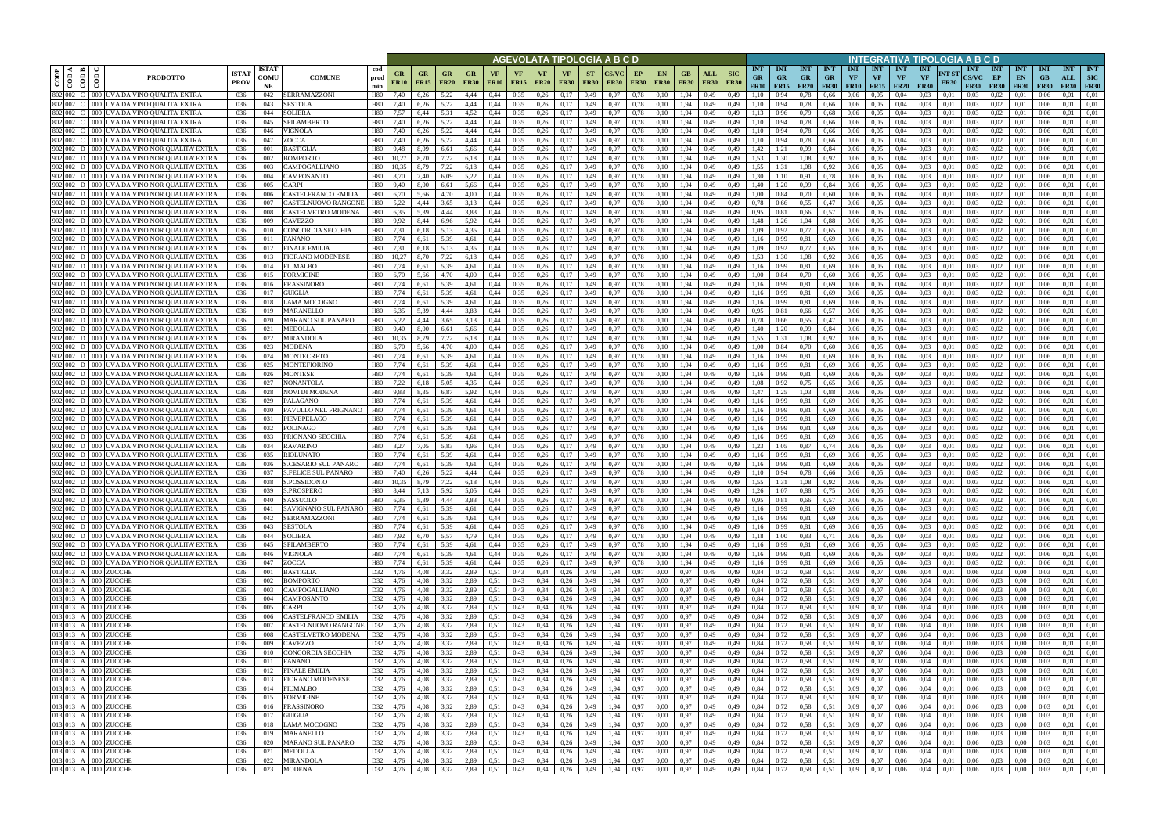|                    |                               |                                                                                              |                             |                            |                                                                |                      |                               |                   |                        |                   |                      |                                   | AGEVOLATA TIPOLOGIA A B C D |                          |              |                   |                          |                            |                                                 |                                        |                          |                                        |                                        |                                      |                  |                                        | INTEGRATIVA TIPOLOGIA A B C D                                  |                                           |                                 |                                                    |                                    |                                  |                                         |
|--------------------|-------------------------------|----------------------------------------------------------------------------------------------|-----------------------------|----------------------------|----------------------------------------------------------------|----------------------|-------------------------------|-------------------|------------------------|-------------------|----------------------|-----------------------------------|-----------------------------|--------------------------|--------------|-------------------|--------------------------|----------------------------|-------------------------------------------------|----------------------------------------|--------------------------|----------------------------------------|----------------------------------------|--------------------------------------|------------------|----------------------------------------|----------------------------------------------------------------|-------------------------------------------|---------------------------------|----------------------------------------------------|------------------------------------|----------------------------------|-----------------------------------------|
| CODP               | kt i pa i<br>$rac{1}{2}$      | $\epsilon$<br><b>PRODOTTO</b>                                                                | <b>ISTA1</b><br><b>PROV</b> | <b>ISTAT</b><br>COMU<br>NE | cod<br><b>COMUNE</b><br>prod<br>min                            | GR<br><b>FR10</b>    | G <sub>R</sub><br><b>FR15</b> | GR<br><b>FR20</b> | GR<br><b>FR30</b>      | VF<br><b>FR10</b> | <b>FR15</b>          | <b>VF</b><br><b>FR20</b>          | <b>VF</b><br><b>FR30</b>    | <b>ST</b><br><b>FR30</b> | <b>FR30</b>  | EP<br><b>FR30</b> | <b>EN</b><br><b>FR30</b> | GВ<br><b>FR30</b>          | <b>SIC</b><br>ALL<br><b>FR30</b><br><b>FR30</b> | <b>INT</b><br><b>GR</b><br><b>FR10</b> | <b>INT</b><br><b>GR</b>  | <b>INT</b><br><b>GR</b><br>$FR15$ FR20 | <b>INT</b><br><b>GR</b><br><b>FR30</b> | <b>INT</b><br>VF<br><b>FR10 FR15</b> | <b>INT</b><br>VF | <b>INT</b><br><b>VF</b><br><b>FR20</b> | <b>INT</b><br>NT ST<br><b>VF</b><br><b>FR30</b><br><b>FR30</b> | <b>INT</b><br><b>CS/VC</b><br><b>FR30</b> | <b>INT</b><br>EP<br><b>FR30</b> | <b>INT</b><br>EN<br><b>FR30</b>                    | <b>INT</b><br>$G$ B<br><b>FR30</b> | <b>INT</b><br>ALL<br><b>FR30</b> | <b>INT</b><br><b>SIC</b><br><b>FR30</b> |
| 802 002            |                               | 000 UVA DA VINO QUALITA' EXTRA                                                               | 036                         | 042                        | SERRAMAZZONI<br>H80                                            | 7.40                 | 6,26                          | 5.22              | 4.44                   | 0.44              | 0.35                 | 0,26                              | 0.17                        | 0,49                     | 0.97         | 0.78              | 0.10                     | 1.94                       | 0,49<br>0.49                                    | 1.10                                   |                          | 0.78                                   | 0.66                                   | 0.06                                 | 0.05             | 0.04                                   | 0.03<br>0.01                                                   | 0.03                                      | 0.02                            | 0.01                                               | 0.06                               | 0.01                             | 0.01                                    |
| 802 002<br>802 002 |                               | JVA DA VINO QUALITA' EXTRA<br>000 I<br>000 UVA DA VINO QUALITA' EXTRA                        | 036<br>036                  | 043<br>044                 | SESTOLA<br>H80<br>SOLIERA<br>H80                               | 7.40<br>7,57         | 6,26<br>6,44                  | 5.22<br>5,31      | 4,44<br>4,52           | 0,44<br>0,44      | 0,35<br>0,35         | 0,26<br>0,26                      | 0,17<br>0,17                | 0,49<br>0,49             | 0.97<br>0.97 | 0,78<br>0,78      | 0,10<br>0.10             | 1,94<br>1,94               | 0,49<br>0,49<br>0,49<br>0,49                    | 1.10<br>1.13                           | 0,94<br>0.96             | 0,78<br>0,79                           | 0,66<br>0.68                           | 0.06<br>0.06                         | 0.05<br>0,05     | 0,04<br>0,04                           | 0.03<br>0,01<br>0.03<br>0,01                                   | 0.03<br>0.03                              | 0.02<br>0,02                    | 0.01<br>0,01                                       | 0.06<br>0.06                       | 0.01<br>0.01                     | 0,01<br>0,01                            |
|                    | 802 002 C                     | 000 UVA DA VINO OUALITA' EXTRA                                                               | 036                         | 045                        | SPILAMBERTO<br>H80                                             | 7,40                 | 6,26                          | 5.22              | 4,44                   | 0.44              | 0,35                 | 0.26                              | 0,17                        | 0,49                     | 0.97         | 0,78              | 0.10                     | 1.94                       | 0,49<br>0,49                                    | 1.10                                   | 0,94                     | 0.78                                   | 0,66                                   | 0.06                                 | 0.05             | 0,04                                   | 0.03<br>0.01                                                   | 0.03                                      | 0.02                            | 0.01                                               | 0.06                               | 0.01                             | 0.01                                    |
| 802 002            |                               | JVA DA VINO QUALITA' EXTRA<br>DOC                                                            | 036                         | 046                        | VIGNOLA<br>H80                                                 | 7.40                 | 6.26                          | 5.22              | 4.44                   | 0.44              | 0.35                 | 0.26                              | 0.17                        | 0.49                     | 0.97         | 0.78              | 0.10                     | 1.94                       | 0.49<br>0.49                                    | 1.10                                   | 0.94                     | 0.78                                   | 0.66                                   | 0.06                                 | 0.05             | 0.04                                   | 0.03<br>0.01                                                   | 0.03                                      | 0.02                            | 0.01                                               | 0.06                               | 0.01                             | 0.01                                    |
|                    | 802 002 C                     | JVA DA VINO QUALITA' EXTRA<br>000 I                                                          | 036                         | 047                        | ZOCCA<br>H80                                                   | 7,40                 | 6,26                          | 5,22              | 4,44                   | 0.44              | 0,35                 | 0,26                              | 0,17                        | 0,49                     | 0.97         | 0,78              | 0.10                     | 1.94                       | 0,49<br>0,49                                    | 1.10                                   | 0,94                     | 0,78                                   | 0,66                                   | 0.06                                 | 0.05             | 0,04                                   | 0.03<br>0.01                                                   | 0.03                                      | 0.02                            | 0,01                                               | 0.06                               | 0.01                             | 0,01                                    |
|                    | $902 \ 002 \ $ D<br>902 002 D | JVA DA VINO NOR QUALITA' EXTRA<br>JVA DA VINO NOR QUALITA' EXTRA<br>000 I                    | 036<br>036                  | 001<br>002                 | <b>BASTIGLIA</b><br>H80<br>BOMPORTO<br>H80                     | 9.48<br>10,27        | 8.09<br>8,70                  | 6.61<br>7,22      | 5.66<br>6,18           | 0.44<br>0.44      | 0.35<br>0,35         | 0.26<br>0.26                      | 0,17<br>0,17                | 0.49<br>0,49             | 0.97<br>0.97 | 0.78<br>0,78      | 0.10<br>0.10             | 1.94<br>1.94               | 0.49<br>0.49<br>0,49<br>0,49                    | 1,42<br>1.53                           | 1,21<br>1,30             | 0,99<br>1.08                           | 0.84<br>0,92                           | 0.06<br>0.06                         | 0.05<br>0.05     | 0.04<br>0.04                           | 0.03<br>0.01<br>0.03<br>0.01                                   | 0.03<br>0.03                              | 0.02<br>0.02                    | 0.01<br>0.01                                       | 0.06<br>0.06                       | 0.01<br>0.01                     | 0.01<br>0.01                            |
|                    | $902 002 $ D                  | 000  UVA DA VINO NOR QUALITA' EXTRA                                                          | 036                         | 003                        | CAMPOGALLIANO<br>H80                                           | 10.35                | 8,79                          | 7,22              | 6,18                   | 0.44              | 0,35                 | 0,26                              | 0,17                        | 0,49                     | 0.97         | 0,78              | 0,10                     | 1.94                       | 0,49<br>0.49                                    | 1.55                                   | 1,31                     | 1,08                                   | 0.92                                   | 0.06                                 | 0.05             | 0.04                                   | 0.03<br>0.01                                                   | 0.03                                      | 0,02                            | 0.01                                               | 0.06                               | 0.01                             | 0,01                                    |
|                    | 902 002 D                     | <b>JVA DA VINO NOR OUALITA' EXTRA</b>                                                        | 036                         | 004                        | CAMPOSANTO<br>H80                                              | 8.70                 | 7,40                          | 6.09              | 5,22                   | 0.44              | 0,35                 | 0,26                              | 0,17                        | 0,49                     | 0.97         | 0,78              | 0.10                     | 1,94                       | 0,49<br>0,49                                    | 1.30                                   | 1,10                     | 0,91                                   | 0,78                                   | 0,06                                 | 0.05             | 0,04                                   | 0.03<br>0,01                                                   | 0.03                                      | 0,02                            | 0,01                                               | 0.06                               | 0.01                             | 0,01                                    |
|                    | 902 002 D                     | JVA DA VINO NOR OUALITA' EXTRA                                                               | 036                         | 005                        | CARPI<br>H80                                                   | 9.40                 | 8.00                          | 6,61              | 5,66                   | 0.44              | 0,35                 | 0,26                              | 0,17                        | 0,49                     | 0.97         | 0,78              | 0,10                     | 1,94                       | 0,49<br>0.49                                    | 1.40                                   | 1,20                     | 0,99                                   | 0,84                                   | 0.06                                 | 0.05             | 0,04                                   | 0.03<br>0.01                                                   | 0.03                                      | 0,02                            | 0,01                                               | 0.06                               | 0.01                             | 0.01                                    |
|                    | 902 002 D                     | JVA DA VINO NOR QUALITA' EXTRA                                                               | 036                         | 006                        | CASTELFRANCO EMILIA<br>H80                                     | 6,70                 | 5,66                          | 4,70              | 4,00                   | 0,44              | 0,35                 | 0,26                              | 0,17                        | 0,49                     | 0.97         | 0,78              | 0,10                     | 1,94                       | 0,49<br>0,49                                    | 1,00                                   | 0,84                     | 0,70                                   | 0,60                                   | 0,06                                 | 0,05             | 0,04                                   | 0,03<br>0,01                                                   | 0.03                                      | 0,02                            | 0,01                                               | 0,06                               | 0,01                             | 0,01                                    |
|                    | 902 002 D<br>902 002 D        | JVA DA VINO NOR QUALITA' EXTRA<br>JVA DA VINO NOR QUALITA' EXTRA                             | 036<br>036                  | 007<br>008                 | H80<br>CASTELNUOVO RANGONE<br>CASTELVETRO MODENA<br><b>H80</b> | 5.22<br>6,35         | 4.44<br>5,39                  | 3,65<br>4,44      | 3.13<br>3,83           | 0.44<br>0.44      | 0,35<br>0,35         | 0,26<br>0,26                      | 0.17<br>0,17                | 0,49<br>0,49             | 0.97<br>0.97 | 0,78<br>0,78      | 0.10<br>0.10             | 1,94<br>1,94               | 0,49<br>0.49<br>0,49<br>0,49                    | 0,78<br>0,95                           | 0.66<br>0,81             | 0.55<br>0,66                           | 0,47<br>0,57                           | 0.06<br>0,06                         | 0.05<br>0,05     | 0,04<br>0,04                           | 0.03<br>0.01<br>0.03<br>0.01                                   | 0.03<br>0.03                              | 0.02<br>0,02                    | 0.01<br>0,01                                       | 0.06<br>0.06                       | 0,01<br>0,01                     | 0.01<br>0.01                            |
|                    | 902 002 D                     | JVA DA VINO NOR QUALITA' EXTRA<br>000 I                                                      | 036                         | 009                        | CAVEZZO<br>H80                                                 | 9.92                 | 8,44                          | 6.96              | 5,92                   | 0.44              | 0,35                 | 0,26                              | 0,17                        | 0,49                     | 0.97         | 0,78              | 0.10                     | 1,94                       | 0,49<br>0.49                                    | 1,48                                   | 1,26                     | 1.04                                   | 0.88                                   | 0,06                                 | 0,05             | 0,04                                   | 0.03<br>0.01                                                   | 0.03                                      | 0,02                            | 0,01                                               | 0.06                               | 0,01                             | 0.01                                    |
|                    | 902 002 D                     | JVA DA VINO NOR QUALITA' EXTRA                                                               | 036                         | 010                        | CONCORDIA SECCHIA<br>H80                                       | 7.31                 | 6.18                          | 5.13              | 4.35                   | 0.44              | 0.35                 | 0.26                              | 0.17                        | 0.49                     | 0.97         | 0.78              | 0.10                     | 1.94                       | 0.49<br>0.49                                    | 1.09                                   | 0.92                     | 0.77                                   | 0.65                                   | 0.06                                 | 0.05             | 0.04                                   | 0.03<br>0.01                                                   | 0.03                                      | 0.02                            | 0.01                                               | 0.06                               | 0.01                             | 0.01                                    |
|                    | 902 002 D                     | JVA DA VINO NOR QUALITA' EXTRA                                                               | 036                         | 011                        | <b>FANANO</b><br>H80                                           | 7.74                 | 6.61                          | 5.39              | 4.61                   | 0.44              | 0.35                 | 0.26                              | 0.17                        | 0.49                     | 0.97         | 0.78              | 0.10                     | 1.94                       | 0.49<br>0.49                                    | 1.16                                   | 0.99                     | 0.81                                   | 0.69                                   | 0.06                                 | 0.05             | 0.04                                   | 0.03<br>0.01                                                   | 0.03                                      | 0.02                            | 0.01                                               | 0.06                               | 0.01                             | 0.01                                    |
|                    | 902 002 D<br>902 002 D        | JVA DA VINO NOR QUALITA' EXTRA                                                               | 036<br>036                  | 012<br>013                 | FINALE EMILIA<br>H80<br>FIORANO MODENESE<br>H80                | 7.31                 | 6,18<br>8.70                  | 5,13<br>7.22      | 4.35                   | 0.44<br>0.44      | 0,35<br>0,35         | 0,26<br>0.26                      | 0,17<br>0.17                | 0,49<br>0.49             | 0.97         | 0.78<br>0.78      | 0.10<br>0.10             | 1.94<br>1.94               | 0,49<br>0.49<br>0.49<br>0.49                    | 1.09<br>1.53                           | 0,92<br>- 30             | 0.77<br>1.08                           | 0.65                                   | 0.06<br>0.06                         | 0,05<br>0.05     | 0.04<br>0.04                           | 0.03<br>0.01<br>0.03<br>0.01                                   | 0.03<br>0.03                              | 0,02<br>0.02                    | 0.01                                               | 0.06<br>0.06                       | 0.01<br>0.01                     | 0,01<br>0.01                            |
|                    | 902 002 D                     | IVA DA VINO NOR QUALITA' EXTRA<br>IVA DA VINO NOR QUALITA' EXTRA                             | 036                         | 014                        | FIUMALBO<br>H80                                                | 7.74                 | 6.61                          | 5.39              |                        | 0.44              | 0.35                 | 0.26                              | 0.17                        | 0.49                     | 0.97         | 0.78              | 0.10                     | 1.94                       | 0.49<br>0.49                                    | 1.16                                   | 0.99                     | 0.81                                   | 0.92<br>0.69                           | 0.06                                 | 0.05             | 0.04                                   | 0.03<br>0.01                                                   | 0.03                                      | 0.02                            | 0.0<br>0.0                                         | 0.06                               | 0.01                             | 0.01                                    |
|                    | 902 002 D                     | JVA DA VINO NOR QUALITA' EXTRA<br>000 l                                                      | 036                         | 015                        | FORMIGINE<br>H80                                               | 6.70                 | 5.66                          | 4.70              | 4,00                   | 0.44              | 0,35                 | 0,26                              | 0,17                        | 0,49                     | 0.97         | 0,78              | 0.10                     | 1.94                       | 0.49<br>0.49                                    | 1.00                                   |                          | 0.70                                   | 0.60                                   | 0.06                                 | 0.05             | 0.04                                   | 0,03<br>0.01                                                   | 0.03                                      | 0,02                            | 0.0                                                | 0.06                               | 0.01                             | 0.01                                    |
|                    | 902   002   D                 | JVA DA VINO NOR QUALITA' EXTRA<br>ാററ                                                        | 036                         | 016                        | H80<br>FRASSINORO                                              | 7.74                 | 6.61                          | 5.39              | 4.61                   | 0.44              | 0.35                 | 0,26                              | 0.17                        | 0,49                     | 0.97         | 0.78              | 0.10                     | 1.94                       | 0.49<br>0.49                                    | 1.16                                   | 0.99                     | 0.81                                   | 0.69                                   | 0.06                                 | 0.05             | 0.04                                   | 0.03<br>0.01                                                   | 0.03                                      | 0.02                            | 0.01                                               | 0.06                               | 0.01                             | 0.01                                    |
|                    | 902 002 D                     | JVA DA VINO NOR OUALITA' EXTRA<br>000 I                                                      | 036                         | 017                        | GUIGLIA<br>H80                                                 | 7,74                 | 6,61                          | 5.39              | 4,61                   | 0.44              | 0,35                 | 0,26                              | 0,17                        | 0,49                     | 0.97         | 0,78              | 0.10                     | 1.94                       | 0,49<br>0,49                                    | 1.16                                   | 0.99                     | 0.81                                   | 0.69                                   | 0.06                                 | 0.05             | 0,04                                   | 0,03<br>0.01                                                   | 0.03                                      | 0,02                            | 0.01                                               | 0.06                               | 0,01                             | 0.01                                    |
| 902 002            | 902 002 D                     | JVA DA VINO NOR QUALITA' EXTRA<br>൜<br>JVA DA VINO NOR QUALITA' EXTRA<br>DOC                 | 036<br>036                  | 018<br>019                 | LAMA MOCOGNO<br>H80<br>MARANELLO<br><b>H80</b>                 | 7,74<br>6.35         | 6,61<br>5,39                  | 5,39<br>4.44      | 4,61<br>3,83           | 0.44<br>0.44      | 0,35<br>0,35         | 0,26<br>0,26                      | 0,17<br>0.17                | 0,49<br>0,49             | 0.97         | 0,78<br>0.78      | 0.10<br>0.10             | 1,94<br>1,94               | 0.49<br>0,49<br>0,49<br>0,49                    | 1.16<br>0,95                           | 0.81                     | 0,81<br>0,66                           | 0.69<br>0.57                           | 0.06<br>0,06                         | 0.05<br>0.05     | 0.04                                   | 0.03<br>0.03<br>0.01                                           | 0.03<br>0.03                              | 0,02<br>0.02                    | 0.01<br>0.01                                       | 0.06<br>0.06                       | 0.01<br>0.01                     | 0.01<br>0.01                            |
| 902 002            |                               | JVA DA VINO NOR QUALITA' EXTRA                                                               | 036                         | 020                        | MARANO SUL PANARO<br>H80                                       | 5.22                 | 4.44                          | 3.65              | 3.13                   | 0.44              | 0.35                 | 0,26                              | 0.17                        | 0.49                     |              | 0.78              |                          | l.94                       | 0.49<br>0.49                                    | 0.78                                   | 0.66                     | 0.55                                   | 0.47                                   | 0.06                                 | 0.05             | 0.04                                   | 0.03<br>0.01                                                   | 0.03                                      | 0.02                            | 0.01                                               | 0.06                               | 0.01                             | 0.01                                    |
|                    | 902 002 D                     | JVA DA VINO NOR QUALITA' EXTRA<br>000 I                                                      | 036                         | 021                        | H80<br>MEDOLLA                                                 | 9,40                 | 8,00                          | 6,61              | 5,66                   | 0,44              | 0,35                 | 0,26                              | 0,17                        | 0,49                     | 0.97         | 0,78              | 0,10                     | 1,94                       | 0,49<br>0,49                                    | 1,40                                   | 1,20                     | 0,99                                   | 0,84                                   | 0,06                                 | 0,05             | 0,04                                   | 0,03<br>0,01                                                   | 0.03                                      | 0,02                            | 0,01                                               | 0,06                               | 0,01                             | 0,01                                    |
|                    | 902 002 D                     | JVA DA VINO NOR QUALITA' EXTRA<br>DOC                                                        | 036                         | 022                        | <b>MIRANDOLA</b><br>H80                                        |                      | 8.79                          | 7.22              | 6.18                   | 0.44              | 0.35                 | 0.26                              | 0,17                        | 0,49                     | 0.97         | 0,78              | 0.10                     | 1.94                       | 0.49<br>0.49                                    | 1.55                                   | 1.31                     | 1.08                                   | 0.92                                   | 0.06                                 | 0.05             | 0.04                                   | 0.03<br>0.01                                                   | 0.03                                      | 0.02                            | 0.01                                               | 0.06                               | 0.01                             | 0.01                                    |
|                    | 902 002 D<br>902 002 D        | 000  UVA DA VINO NOR QUALITA' EXTRA<br>JVA DA VINO NOR QUALITA' EXTRA<br>DOO 11              | 036<br>036                  | 023<br>024                 | <b>MODENA</b><br>H80<br>MONTECRETO<br>H80                      | 6,70<br>7,74         | 5.66                          | 4.70<br>5.39      | 4,00<br>4,61           | 0.44<br>0.44      | 0,35<br>0.35         | 0,26<br>0.26                      | 0,17<br>0,17                | 0,49                     | 0.97<br>0.97 | 0,78              | 0.10                     | 1.94<br>1.94               | 0,49<br>0,49<br>0.49                            | 1.00                                   | 0,84<br>0.99             | 0,70<br>0.81                           | 0,60<br>0.69                           | 0,06<br>0.06                         | 0.05<br>0.05     | 0,04<br>0.04                           | 0.03<br>0.01<br>0.03<br>0.01                                   | 0.03                                      | 0.02<br>0.02                    | 0.01<br>0.01                                       | 0.06                               | 0.01<br>0.01                     | 0.01<br>0,01                            |
|                    | 902 002 D                     | JVA DA VINO NOR QUALITA' EXTRA<br>000 I                                                      | 036                         | 025                        | <b>MONTEFIORINO</b><br>H80                                     | 7.74                 | 6,61<br>6.61                  | 5.39              | 4.61                   | 0.44              | 0.35                 | 0.26                              | 0,17                        | 0,49<br>0,49             | 0.97         | 0,78<br>0,78      | 0.10<br>0.10             | 1.94                       | 0,49<br>0.49<br>0,49                            | 1,16<br>1.16                           | 0,99                     | 0.81                                   | 0.69                                   | 0.06                                 | 0.05             | 0.04                                   | 0.03<br>0.01                                                   | 0.03<br>0.03                              | 0.02                            | 0.01                                               | 0.06<br>0.06                       | 0.01                             | 0.01                                    |
|                    | 902 002 D                     | JVA DA VINO NOR QUALITA' EXTRA                                                               | 036                         | 026                        | <b>MONTESE</b><br>H80                                          | 7.74                 | 6.61                          | 5.39              | 4.61                   | 0.44              | 0.35                 | 0.26                              | 0,17                        | 0,49                     | 0.97         | 0.78              | 0.10                     | 1.94                       | 0.49<br>0.49                                    | 1.16                                   | 0.99                     | 0.81                                   | 0.69                                   | 0.06                                 | 0.05             | 0.04                                   | 0.03<br>0.01                                                   | 0.03                                      | 0.02                            | 0.01                                               | 0.06                               | 0.01                             | 0.01                                    |
|                    | 902 002 D                     | 000  UVA DA VINO NOR QUALITA' EXTRA                                                          | 036                         | 027                        | NONANTOLA<br>H80                                               | 7,22                 | 6,18                          | 5.05              | 4,35                   | 0,44              | 0,35                 | 0,26                              | 0,17                        | 0,49                     | 0.97         | 0,78              | 0,10                     | 1,94                       | 0,49<br>0,49                                    | 1,08                                   | 0,92                     | 0,75                                   | 0.65                                   | 0,06                                 | 0.05             | 0,04                                   | 0.03<br>0,01                                                   | 0.03                                      | 0,02                            | 0,01                                               | 0.06                               | 0.01                             | 0,01                                    |
|                    | 902   002   D                 | JVA DA VINO NOR QUALITA' EXTRA                                                               | 036                         | 028                        | NOVI DI MODENA<br>H80                                          | 9.83                 | 8.35                          | 6,87              | 5,92                   | 0.44              | 0,35                 | 0.26                              | 0,17                        | 0,49                     | 0.97         | 0,78              | 0.10                     | 1,94                       | 0.49<br>0.49                                    | 1,47                                   | 1.25                     | 1.03                                   | 0.88                                   | 0.06                                 | 0.05             | 0.04                                   | 0.03<br>0.01                                                   | 0.03                                      | 0.02                            | 0.01                                               | 0.06                               | 0.01                             | 0.01                                    |
|                    | 902 002 D<br>902 002 D        | JVA DA VINO NOR QUALITA' EXTRA<br>000 I<br>JVA DA VINO NOR QUALITA' EXTRA                    | 036<br>036                  | 029<br>030                 | <b>PALAGANO</b><br>H80<br>PAVULLO NEL FRIGNANO<br>H80          | 7,74<br>7,74         | 6,61<br>6,61                  | 5.39<br>5,39      | 4,61<br>4,61           | 0.44<br>0,44      | 0,35<br>0,35         | 0,26<br>0,26                      | 0,17<br>0,17                | 0,49<br>0,49             | 0.97<br>0.97 | 0,78<br>0,78      | 0.10<br>0,10             | 1,94<br>1,94               | 0,49<br>0,49<br>0,49<br>0,49                    | 1,16<br>1,16                           | 0,99<br>0,99             | 0,81<br>0,81                           | 0.69<br>0,69                           | 0,06<br>0.06                         | 0.05<br>0,05     | 0,04<br>0,04                           | 0.03<br>0,01<br>0,03<br>0,01                                   | 0.03<br>0.03                              | 0,02<br>0,02                    | 0,01<br>0,01                                       | 0.06<br>0.06                       | 0.01<br>0,01                     | 0,01<br>0,01                            |
|                    | 902 002 D                     | JVA DA VINO NOR QUALITA' EXTRA                                                               | 036                         | 031                        | PIEVEPELAGO<br>H80                                             | 7,74                 | 6.61                          | 5.39              | 4,61                   | 0.44              | 0,35                 | 0,26                              | 0.17                        | 0,49                     | 0.97         | 0,78              | 0.10                     | 1,94                       | 0,49<br>0.49                                    | 1,16                                   | 0,99                     | 0.81                                   | 0.69                                   | 0.06                                 | 0.05             | 0,04                                   | 0.03<br>0.01                                                   | 0.03                                      | 0,02                            | 0,01                                               | 0.06                               | 0,01                             | 0.01                                    |
|                    | 902 002 D                     | 000 UVA DA VINO NOR QUALITA' EXTRA                                                           | 036                         | 032                        | POLINAGO<br>H80                                                | 7.74                 | 6.61                          | 5.39              | 4.61                   | 0.44              | 0,35                 | 0,26                              | 0.17                        | 0,49                     | 0.97         | 0,78              | 0.10                     | 1,94                       | 0,49<br>0.49                                    | 1,16                                   | 0.99                     | 0.81                                   | 0.69                                   | 0,06                                 | 0,05             | 0,04                                   | 0.03<br>0.01                                                   | 0.03                                      | 0,02                            | 0.01                                               | 0.06                               | 0,01                             | 0.01                                    |
|                    | 902 002 D                     | JVA DA VINO NOR QUALITA' EXTRA                                                               | 036                         | 033                        | PRIGNANO SECCHIA<br><b>H80</b>                                 | 7,74                 | 6,61                          | 5,39              | 4,61                   | 0.44              | 0,35                 | 0,26                              | 0,17                        | 0,49                     | 0.97         | 0,78              | 0.10                     | 1,94                       | 0,49<br>0,49                                    | 1,16                                   | 0,99                     | 0,81                                   | 0.69                                   | 0.06                                 | 0,05             | 0.04                                   | 0.03<br>0.01                                                   | 0.03                                      | 0,02                            | 0,01                                               | 0.06                               | 0.01                             | 0.01                                    |
|                    | 902 002 D                     | JVA DA VINO NOR QUALITA' EXTRA                                                               | 036                         | 034                        | <b>RAVARINO</b><br>H80                                         | 8.27                 | 7.05                          | 5.83              | 4.96                   | 0.44              | 0,35                 | 0.26                              | 0.17                        | 0.49                     | 0.97         | 0.78              | 0.10                     | 1.94                       | 0.49<br>0.49                                    | 1.23                                   | 1.05                     | 0.87                                   | 0.74                                   | 0.06                                 | 0.05             | 0.04                                   | 0.03<br>0.01                                                   | 0.03                                      | 0.02                            | 0.01                                               | 0.06                               | 0.01                             | 0.01                                    |
|                    | 902 002 D<br>902 002 D        | JVA DA VINO NOR QUALITA' EXTRA<br>JVA DA VINO NOR QUALITA' EXTRA<br>000 I                    | 036<br>036                  | 035<br>036                 | RIOLUNATO<br>H80<br>S.CESARIO SUL PANARO<br>H80                | 7.74<br>7.74         | 6.61<br>6.61                  | 5.39<br>5.39      | 4.61<br>4.61           | 0.44<br>0.44      | 0.35<br>0,35         | 0.26<br>0,26                      | 0.17<br>0,17                | 0.49<br>0,49             | 0.97<br>0.97 | 0.78<br>0,78      | 0.10<br>0.10             | 1.94<br>1,94               | 0.49<br>0.49<br>0,49<br>0,49                    | 1.16<br>1,16                           | 0.99<br>0.99             | 0.81<br>0.81                           | 0.69<br>0.69                           | 0.06<br>0.06                         | 0.05<br>0.05     | 0.04<br>0,04                           | 0.01<br>0.03<br>0.03<br>0.01                                   | 0.03<br>0.03                              | 0.02<br>0,02                    | 0.01<br>0,01                                       | 0.06<br>0.06                       | 0.01<br>0,01                     | 0.01<br>0,01                            |
|                    | $902$ 002 D                   | <b>IVA DA VINO NOR OUALITA' EXTRA</b>                                                        | 036                         | 037                        | H80<br>S.FELICE SUL PANARO                                     | 7.40                 | 6.26                          | 5.22              | 4.44                   | 0.44              | 0.35                 | 0.26                              | 0.17                        | 0.49                     | 0.97         | 0.78              | 0.10                     | 1.94                       | 0.49<br>0.49                                    | 1.10                                   |                          | 0.78                                   | 0.66                                   | 0.06                                 | 0.05             | 0.04                                   | 0.03<br>0.01                                                   | 0.03                                      | 0.02                            | 0.01                                               | 0.06                               | 0.01                             | 0.01                                    |
|                    |                               | 902 002 D 000 UVA DA VINO NOR QUALITA' EXTRA                                                 | 036                         | 038                        | H80<br>S.POSSIDONIO                                            | 10.35                | 8.79                          | 7,22              | 6.18                   | 0.44              | 0,35                 | 0,26                              | 0.17                        | 0.49                     | 0.97         | 0.78              | 0.10                     | 1.94                       | 0.49<br>0.49                                    | 1.55                                   | 1.31                     | 1.08                                   | 0,92                                   | 0.06                                 | 0.05             | 0.04                                   | 0.03<br>0.01                                                   | 0.03                                      | 0.02                            | 0.01                                               | 0.06                               | 0.01                             | 0.01                                    |
|                    |                               | 902 002 D 000 UVA DA VINO NOR QUALITA' EXTRA                                                 | 036                         | 039                        | H80<br>S.PROSPERO                                              | 8.44                 | 7.13                          | 5,92              | 5.05                   | 0.44              | 0.35                 | 0.26                              | 0.17                        | 0.49                     | 0.97         | 0.78              | 0.10                     | 1.94                       | 0.49<br>0.49                                    | 1.26                                   | 1.07                     | 0.88                                   | 0.75                                   | 0.06                                 | 0.05             | 0.04                                   | 0.03<br>0.01                                                   | 0.03                                      | 0.02                            | 0.01                                               | 0.06                               | 0.01                             | 0.01                                    |
|                    |                               | 902 002 D 000 UVA DA VINO NOR QUALITA' EXTRA<br>902 002 D 000 UVA DA VINO NOR QUALITA' EXTRA | 036<br>036                  | 040<br>041                 | SASSUOLO<br>H80<br>SAVIGNANO SUL PANARO<br>H80                 | 6.35<br>7,74         | 5,39<br>6,61                  | 4,44<br>5,39      | 3,83<br>4,61           | 0,44<br>0,44      | 0,35<br>0,35         | $0,26$ 0,17<br>$0,26$ 0,17        |                             | 0,49<br>0,49             | 0,97<br>0,97 | 0,78<br>0,78      | 0,10<br>0,10             | 1,94<br>1,94               | 0,49<br>0,49<br>0,49<br>0,49                    | 0,95<br>1,16                           | 0,81<br>0,99             | 0,66<br>0,81                           | 0,57<br>0,69                           | 0,06<br>0,06                         | 0.05<br>0,05     | 0,04<br>0,04                           | 0,03<br>0,01<br>0,03<br>0,01                                   | 0,03<br>0.03                              | 0,02<br>0,02                    | 0,01<br>0.01                                       | 0,06<br>0,06                       | 0,01<br>0,01                     | 0,01<br>0,01                            |
|                    |                               | 902 002 D 000 UVA DA VINO NOR QUALITA' EXTRA                                                 | 036                         | 042                        | SERRAMAZZONI<br>H80                                            | 7,74                 | 6,61                          | 5,39              | 4,61                   | 0,44              | 0,35                 | $0,26$ 0,17                       |                             | 0,49                     | 0,97         | 0,78              | 0,10                     | $1,94$ 0,49                | 0,49                                            | 1,16                                   | 0,99                     | 0,81                                   | 0,69                                   | 0,06                                 | 0,05             | 0,04                                   | 0,03<br>0,01                                                   | 0,03                                      | 0,02                            | 0,01                                               | 0,06                               | 0,01                             | 0,01                                    |
|                    |                               | 902 002 D 000 UVA DA VINO NOR QUALITA' EXTRA                                                 | 036                         | 043                        | <b>SESTOLA</b>                                                 | H80 7,74             | 6,61                          | 5,39              | 4,61                   | 0,44              | 0,35                 | $0,26$ $0,17$                     |                             | 0,49                     | 0,97         | 0,78              | 0,10                     | 1,94 0,49                  | 0,49                                            | 1,16                                   | 0,99                     | 0,81                                   | 0,69                                   | 0,06                                 | 0,05             | 0,04                                   | 0,03<br>0,01                                                   | 0.03                                      | 0,02                            | 0,01                                               | 0,06                               | 0,01                             | 0,01                                    |
|                    |                               | 902 002 D 000 UVA DA VINO NOR QUALITA' EXTRA                                                 | 036                         | 044                        | <b>SOLIERA</b>                                                 | H80 7,92             | 6,70                          | 5,57              | 4,79                   | 0,44              | 0,35                 | $0,26$ 0,17                       |                             | 0,49                     | 0,97         | 0,78              | 0,10                     | 1,94 0,49                  | 0,49                                            | 1,18                                   | 1,00                     | 0,83                                   | 0,71                                   | 0,06                                 | 0,05             | 0,04                                   | 0,03<br>0,01                                                   | 0,03                                      | 0,02                            | 0,01                                               | 0,06                               | 0.01                             | 0,01                                    |
|                    |                               | 902 002 D 000 UVA DA VINO NOR QUALITA' EXTRA<br>902 002 D 000 UVA DA VINO NOR QUALITA' EXTRA | 036                         | 045<br>046                 | SPILAMBERTO<br><b>VIGNOLA</b>                                  | H80 7,74<br>H80 7,74 | 6,61<br>6,61                  | 5,39<br>5,39      | 4,61<br>4,61           | 0,44<br>0,44      | 0,35<br>0,35         | $0,26$ 0,17<br>$0,26$ 0,17        |                             | 0,49<br>0,49             | 0,97<br>0,97 | 0,78<br>0,78      | 0,10<br>0,10             | $1,94$ 0,49<br>1,94 0,49   | 0,49<br>0,49                                    | 1,16                                   | 0,99<br>$1,16$ 0,99 0,81 | 0,81                                   | 0,69<br>0,69                           | 0,06<br>0,06                         | 0,05<br>0,05     | 0,04<br>0,04                           | 0,01<br>0,03<br>0,03<br>0,01                                   | 0,03<br>0,03                              | 0,02                            | 0,01<br>$0,02$ $0,01$                              | 0,06<br>0,06                       | 0.01                             | 0,01<br>$0,01$ $0,01$                   |
|                    |                               | 902 002 D 000 UVA DA VINO NOR QUALITA' EXTRA                                                 | 036<br>036                  | 047                        | ZOCCA                                                          | H80 7,74             | 6,61 5,39                     |                   | $4,61$ 0,44            |                   |                      |                                   | $0,35$ 0,26 0,17            | 0,49                     | 0,97         | 0,78              | 0,10                     | 1,94 0,49                  |                                                 | $0,49$ 1,16                            |                          | 0,99 0,81                              | 0,69                                   | $0,06$ 0.05                          |                  | 0,04                                   | 0,03<br>0,01                                                   | 0,03                                      |                                 | $0,02$ $0,01$                                      | 0,06                               |                                  | $0,01$ 0.01                             |
|                    |                               | 013 013 A 000 ZUCCHE                                                                         | 036                         | 001                        | <b>BASTIGLIA</b>                                               | D32 4,76             | 4,08                          | 3,32              | 2,89                   | 0,51              | $0,43$ $0,34$ $0,26$ |                                   |                             | 0,49                     | 1,94         | 0,97              | 0,00                     | 0,97 0,49                  | 0,49                                            | 0,84                                   |                          | 0,72 0,58                              | 0,51                                   | $0,09$ 0.07                          |                  | 0,06                                   | 0,04<br>0,01                                                   | 0,06                                      | 0,03                            | $0,00$ 0.03                                        |                                    | 0,01                             | 0,01                                    |
|                    |                               | 013 013 A 000 ZUCCHE                                                                         | 036                         | 002                        | <b>BOMPORTO</b>                                                | D32 4,76             | 4,08                          | 3,32              | 2,89                   | 0,51              | 0,43                 | $0,34$ 0,26                       |                             | 0,49                     | 1,94         | 0,97              | 0,00                     | $0,97$ 0,49                | 0,49                                            | 0,84                                   |                          | $0,72$ 0.58                            | 0,51                                   | 0,09                                 | 0,07             | 0,06                                   | 0,04<br>0,01                                                   | 0,06                                      | 0,03                            | 0,00                                               | 0,03                               | 0.01                             | 0,01                                    |
|                    |                               | 013 013 A 000 ZUCCHE<br>013 013 A 000 ZUCCHE                                                 | 036<br>036                  | 003<br>004                 | CAMPOGALLIANO<br>CAMPOSANTO                                    | D32 4,76<br>D32 4,76 | 4,08<br>4,08                  | 3,32<br>3,32      | 2,89<br>2,89           | 0,51<br>0,51      | 0,43<br>0,43         | $0,34$ 0,26<br>$0,34$ 0,26        |                             | 0,49<br>0,49             | 1,94<br>1,94 | 0,97<br>0,97      | 0,00<br>0,00             | 0,97<br>$0,97$ 0,49        | 0,49<br>0,49<br>0,49                            | 0,84<br>0,84                           |                          | $0,72$ 0.58<br>$0,72$ 0,58             | 0,51<br>0,51                           | 0,09<br>0,09                         | 0,07<br>0,07     | 0,06<br>0,06                           | 0,04<br>0,01<br>0,04<br>0,01                                   | 0,06<br>0,06                              | 0,03<br>0,03                    | 0,00<br>0,00                                       | 0,03<br>0,03                       | 0,01<br>0,01                     | 0,01<br>0,01                            |
|                    |                               | 013 013 A 000 ZUCCHE                                                                         | 036                         | 005                        | CARPI                                                          | D <sub>32</sub> 4,76 | 4,08                          | 3,32              | 2,89                   | 0,51              | 0,43                 | $0,34$ 0,26                       |                             | 0,49                     | 1,94         | 0,97              | 0,00                     | 0,97                       | 0,49<br>0,49                                    | 0,84                                   |                          | $0,72$ 0.58                            | 0,51                                   | 0,09                                 | 0,07             | 0,06                                   | 0,04<br>0,01                                                   | 0,06                                      |                                 | $0,03$ 0,00                                        | 0,03                               | 0,01                             | 0,01                                    |
|                    |                               | 013 013 A 000 ZUCCHE                                                                         | 036                         | 006                        | CASTELFRANCO EMILIA                                            | D32 4,76             | 4,08                          | 3,32              | 2,89                   | 0,51              | 0,43                 | $0,34$ $0,26$                     |                             | 0,49                     | 1,94         | 0,97              | 0,00                     | $0,97$ 0,49                | 0,49                                            | 0,84                                   |                          | $0,72$ 0.58                            | 0,51                                   | 0,09                                 | 0,07             | 0,06                                   | 0,01<br>0,04                                                   | 0,06                                      | 0,03                            | 0,00                                               | 0,03                               | 0,01                             | 0,01                                    |
|                    |                               | 013 013 A 000 ZUCCHE                                                                         | 036                         | 007                        | CASTELNUOVO RANGONE                                            | D32 4,76             | 4,08                          | 3,32              | 2,89                   | 0,51              | 0,43                 | $0,34$ 0,26                       |                             | 0,49                     | 1,94         | 0,97              | 0,00                     | 0,97 0,49                  | 0,49                                            | 0,84                                   |                          | $0,72$ 0.58                            | 0,51                                   | 0,09                                 | 0,07             | 0,06                                   | 0,04<br>0,01                                                   | 0,06                                      | 0,03                            | 0,00                                               | 0,03                               | 0,01                             | 0,01                                    |
|                    |                               | 013 013 A 000 ZUCCHE                                                                         | 036                         | 008                        | CASTELVETRO MODENA                                             | D32 4,76             | 4,08                          | 3,32              | 2,89                   | 0,51              | 0,43                 | $0,34$ 0,26                       |                             | 0,49                     | 1,94         | 0,97              | 0,00                     | $0,97$ 0,49                | 0,49                                            | 0,84                                   |                          | $0,72$ 0.58                            | 0,51                                   | 0,09                                 | 0,07             | 0,06                                   | 0,04<br>0,01                                                   | 0,06                                      | 0,03                            | $0.00\,$                                           | 0,03                               | 0,01                             | 0,01                                    |
|                    |                               | 013 013 A 000 ZUCCHE<br>013 013 A 000 ZUCCHE                                                 | 036<br>036                  | 009<br>010                 | CAVEZZO<br><b>CONCORDIA SECCHIA</b>                            | D32 4,76<br>D32 4,76 | 4,08<br>4,08                  | 3,32<br>3,32      | 2,89<br>2,89           | 0,51<br>0,51      | 0,43<br>0,43         | $0,34$ 0,26<br>$0,34$ 0,26        |                             | 0,49<br>0,49             | 1,94<br>1,94 | 0,97<br>0,97      | 0,00<br>0,00             | $0,97$ 0,49<br>0,97 0,49   | 0,49<br>0,49                                    | 0,84<br>0,84                           |                          | $0,72$ 0.58<br>$0,72$ 0.58             | 0,51<br>0,51                           | 0,09<br>0,09                         | 0,07<br>0,07     | 0,06<br>0,06                           | 0,04<br>0,01<br>0,04<br>0,01                                   | 0,06<br>0,06                              | 0,03                            | 0,00<br>$0,03$ 0,00 0,03                           | 0,03                               | 0,01<br>0,01                     | 0,01<br>0,01                            |
|                    |                               | 013 013 A 000 ZUCCHE                                                                         | 036                         | 011                        | <b>FANANO</b>                                                  | D32 4,76             | 4,08                          | 3,32              | 2,89 0,51              |                   | 0,43                 |                                   | $0,34$ $0,26$               | 0,49                     | 1,94         | 0,97              | 0,00                     | $0,97$ 0,49                | 0,49                                            |                                        | $0,84$ 0.72 0.58         |                                        | 0,51                                   | $0,09$ 0.07                          |                  | 0,06                                   | 0,04<br>0,01                                                   | 0,06                                      |                                 | $0,03$ 0,00                                        | 0,03                               | 0,01                             | 0,01                                    |
|                    |                               | 013 013 A 000 ZUCCHE                                                                         | 036                         | 012                        | <b>FINALE EMILIA</b>                                           | D32 4,76             | 4,08                          | 3,32              | 2,89                   | 0,51              | 0,43                 | $0,34$ 0,26                       |                             | 0,49                     | 1,94         | 0,97              | 0,00                     | $0,97$ 0,49                | 0,49                                            |                                        | $0,84$ $0,72$ $0,58$     |                                        | 0,51                                   | 0,09                                 | 0,07             | 0,06                                   | 0,04<br>0,01                                                   | 0,06                                      |                                 | $0,03$ 0.00                                        | 0,03                               | 0,01                             | 0,01                                    |
|                    |                               | 013 013 A 000 ZUCCHE                                                                         | 036                         | 013                        | <b>FIORANO MODENESE</b>                                        | D32 4,76             | 4,08                          | 3,32              | 2,89                   | 0,51              | 0,43                 | $0,34$ 0,26                       |                             | 0,49                     | 1,94         | 0,97              | 0,00                     | $0,97$ 0,49                | 0,49                                            | 0,84                                   | $0,72$ 0.58              |                                        | 0,51                                   | $0,09$ 0.07                          |                  | 0,06                                   | 0,04<br>0,01                                                   | 0,06                                      |                                 | $0,03$ 0,00                                        | 0,03                               | 0,01                             | 0,01                                    |
|                    |                               | 013 013 A 000 ZUCCHE<br>013 013 A 000 ZUCCHE                                                 | 036                         | 014                        | <b>FIUMALBO</b>                                                | D32 4,76             | 4,08                          | 3,32              | 2,89                   | 0,51              | 0,43                 | $0,34$ 0,26<br>$0,34$ 0,26        |                             | 0,49                     | 1,94         | 0,97              | 0,00                     | $0,97$ 0,49                | 0,49                                            | 0,84                                   |                          | $0,72$ 0.58                            | 0,51                                   | 0,09                                 | 0,07             | 0,06                                   | 0,04<br>0,01                                                   | 0,06                                      |                                 | $0,03$ 0,00                                        | 0.03                               | 0,01                             | 0,01<br>0,01                            |
|                    |                               | 013 013 A 000 ZUCCHE                                                                         | 036<br>036                  | 015<br>016                 | <b>FORMIGINE</b><br><b>FRASSINORO</b>                          | D32 4,76<br>D32 4,76 | 4,08<br>4,08                  | 3,32<br>3,32      | 2,89<br>2,89           | 0,51<br>0,51      | 0,43<br>0,43         | $0,34$ 0,26                       |                             | 0,49<br>0,49             | 1,94<br>1,94 | 0,97<br>0,97      | 0,00<br>0,00             | $0,97$ 0,49<br>0,97        | 0,49<br>0,49<br>0,49                            | 0,84<br>0,84                           | 0,72                     | $0,72$ 0.58<br>0,58                    | 0,51<br>0,51                           | $0,09$ 0.07<br>0,09                  | 0,07             | 0,06<br>0,06                           | 0,04<br>0,01<br>0,04<br>0,01                                   | 0,06<br>0,06                              | $0,03$ 0,00<br>0,03             | 0,00                                               | 0,03<br>0,03                       | 0.01<br>0,01                     | 0,01                                    |
|                    |                               | 013 013 A 000 ZUCCHE                                                                         | 036                         | 017                        | <b>GUIGLIA</b><br>D32                                          | 4,76                 | 4,08                          | 3,32              | 2,89                   | 0,51              | 0,43                 | $0,34$ 0,26                       |                             | 0,49                     | 1,94         | 0,97              | 0,00                     | 0,97                       | 0,49<br>0,49                                    | 0,84                                   | 0,72                     | 0,58                                   | 0,51                                   | 0,09                                 | 0,07             | 0,06                                   | 0,04<br>0,01                                                   | 0,06                                      | 0,03                            | 0.00                                               | 0,03                               | 0,01                             | 0,01                                    |
|                    |                               | 013 013 A 000 ZUCCHE                                                                         | 036                         | 018                        | D32<br>LAMA MOCOGNO                                            | 4,76                 | 4,08                          | 3,32              | 2,89                   | 0,51              | 0,43                 | $0,34$ 0,26                       |                             | 0,49                     | 1,94         | 0,97              | 0,00                     | 0,97                       | 0,49<br>0,49                                    | 0,84                                   | 0,72                     | 0,58                                   | 0,51                                   | 0,09                                 | 0,07             | 0,06                                   | 0,04<br>0,01                                                   | 0,06                                      | 0,03                            | 0,00                                               | 0,03                               | 0,01                             | 0,01                                    |
|                    |                               | 013 013 A 000 ZUCCHE                                                                         | 036                         | 019                        | MARANELLO                                                      | D32 4,76             | 4,08                          | 3,32              | 2,89                   | 0,51              | 0,43                 | $0,34$ 0,26                       |                             | 0,49                     | 1,94         | 0,97              | 0,00                     | $0,97$ 0,49                | 0,49                                            | 0,84                                   |                          | $0,72$ 0.58                            | 0,51                                   | $0,09$ 0,07                          |                  | 0,06                                   | 0,04<br>0,01                                                   | 0,06                                      |                                 | $0,03$ 0.00                                        | 0,03                               | 0,01                             | 0,01                                    |
|                    |                               | 013 013 A 000 ZUCCHE<br>013 013 A 000 ZUCCHE                                                 | 036<br>036                  | 020<br>021                 | MARANO SUL PANARO<br><b>MEDOLLA</b>                            | D32 4,76<br>D32 4,76 | 4,08<br>4,08                  | 3,32<br>3,32      | 2,89 0,51<br>2,89 0,51 |                   | 0,43                 | $0,34$ $0,26$<br>$0,43$ 0,34 0,26 |                             | 0,49<br>0,49             | 1,94<br>1,94 | 0,97<br>0,97      | 0,00<br>0,00             | $0,97$ 0,49<br>$0,97$ 0,49 | 0,49                                            | 0,84<br>$0,49$ $0,84$                  |                          | $0,72$ 0,58<br>$0,72$ 0.58 0.51        | 0,51                                   | $0,09$ 0.07<br>$0,09$ 0.07           |                  | 0,06<br>0,06                           | 0,04<br>0,01<br>0,04<br>0,01                                   | 0,06<br>0,06                              |                                 | $0,03$ 0.00 0.03<br>$0.03 \qquad 0.00 \qquad 0.03$ |                                    | 0,01<br>0,01                     | 0,01<br>0,01                            |
|                    |                               | 013 013 A 000 ZUCCHE                                                                         | 036                         | 022                        | <b>MIRANDOLA</b>                                               | D32 4,76             | 4,08                          | 3,32 2,89 0,51    |                        |                   | $0,43$ 0,34 0,26     |                                   |                             | 0,49                     | 1,94         | 0,97              | 0,00                     | 0,97 0,49                  |                                                 | 0,49 0,84                              |                          | $0,72$ 0.58 0.51                       |                                        | $0,09$ 0,07                          |                  | 0,06                                   | 0,04<br>0,01                                                   | 0,06                                      |                                 | $0,03$ 0,00 0,03                                   |                                    |                                  | $0,01$ $0,01$                           |
|                    |                               | 013 013 A 000 ZUCCHE                                                                         | 036                         | 023                        | <b>MODENA</b>                                                  | D32 4,76             | 4,08                          | 3,32 2,89 0,51    |                        |                   |                      |                                   | $0,43$ 0.34 0.26 0.49 1.94  |                          |              | 0,97              |                          | $0,00$ 0.97 0.49           |                                                 | $0,49$ 0.84 0.72 0.58 0.51             |                          |                                        |                                        | $0,09$ 0.07                          |                  | 0,06                                   | 0,01<br>0,04                                                   |                                           | $0,06$ $0,03$ $0,00$ $0,03$     |                                                    |                                    | $0,01$ $0,01$                    |                                         |